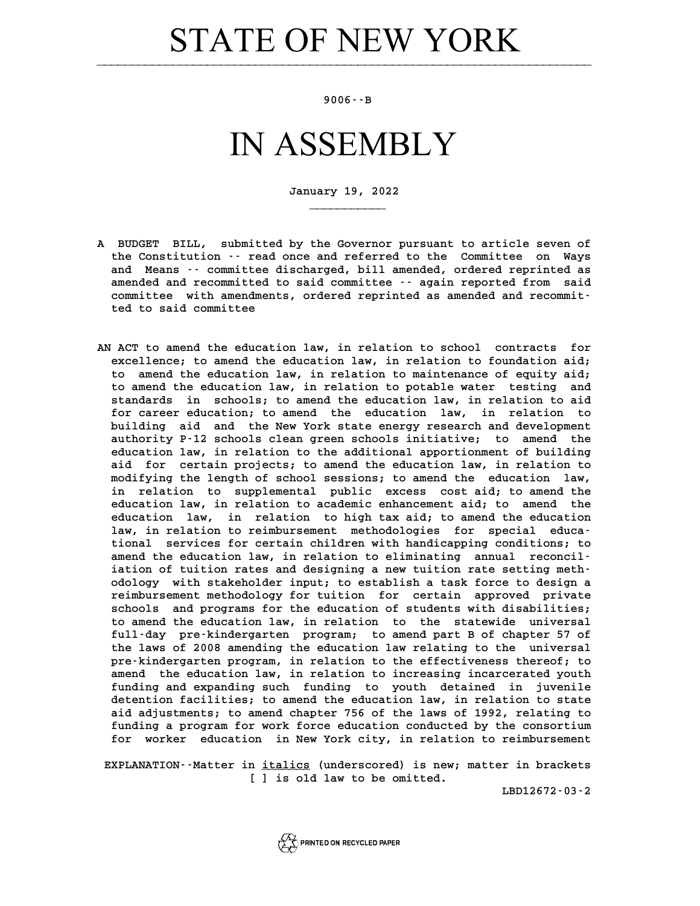# **STATE OF NEW YORK**

#### **9006--B**

## IN ASSEMBLY

**January 19, 2022**

**\_\_\_\_\_\_\_\_\_\_\_**

- **A BUDGET BILL, submitted by the Governor pursuant to article seven of** BUDGET BILL, submitted by the Governor pursuant to article seven of<br>the Constitution -- read once and referred to the Committee on Ways BUDGET BILL, submitted by the Governor pursuant to article seven of<br>the Constitution -- read once and referred to the Committee on Ways<br>and Means -- committee discharged, bill amended, ordered reprinted as<br>areaded and reco the Constitution -- read once and referred to the Committee on Ways<br>and Means -- committee discharged, bill amended, ordered reprinted as<br>amended and recommitted to said committee -- again reported from said<br>committee with and Means  $\cdot$  committee discharged, bill amended, ordered reprinted as amended and recommitted to said committee  $\cdot$  again reported from said committee with amendments, ordered reprinted as amended and recommitted to sai amended and recommitted<br>committee with amendmen<br>ted to said committee
- **AN ACT to amend the education law, in relation to school contracts for** ACT to amend the education law, in relation to school contracts for<br>excellence; to amend the education law, in relation to foundation aid;<br>to expend the education law, in relation to maintenance of equity aid; ACT to amend the education law, in relation to school contracts for<br>excellence; to amend the education law, in relation to foundation aid;<br>to amend the education law, in relation to potable when testing and excellence; to amend the education law, in relation to foundation aid;<br>to amend the education law, in relation to maintenance of equity aid;<br>to amend the education law, in relation to potable water testing and<br>atomdaria in to amend the education law, in relation to maintenance of equity aid;<br>to amend the education law, in relation to potable water testing and<br>standards in schools; to amend the education law, in relation to aid<br>for gareer edu to amend the education law, in relation to potable water testing and<br>standards in schools; to amend the education law, in relation to aid<br>for career education; to amend the education law, in relation to<br>huilding aid and th standards in schools; to amend the education law, in relation to aid<br>for career education; to amend the education law, in relation to<br>building aid and the New York state energy research and development for career education; to amend the education law, in relation to<br>building aid and the New York state energy research and development<br>authority P-12 schools clean green schools initiative; to amend the<br>education law in rela building aid and the New York state energy research and development<br>authority P-12 schools clean green schools initiative; to amend the<br>education law, in relation to the additional apportionment of building<br>aid for certain authority P-12 schools clean green schools initiative; to amend the<br>education law, in relation to the additional apportionment of building<br>aid for certain projects; to amend the education law, in relation to<br>modifying the education law, in relation to the additional apportionment of building<br>aid for certain projects; to amend the education law, in relation to<br>modifying the length of school sessions; to amend the education law,<br>in relation t aid for certain projects; to amend the education law, in relation to modifying the length of school sessions; to amend the education law, in relation to supplemental public excess cost aid; to amend the education law in re modifying the length of school sessions; to amend the education law, in relation to supplemental public excess cost aid; to amend the education law, in relation to academic enhancement aid; to amend the in relation to supplemental public excess cost aid; to amend the education law, in relation to academic enhancement aid; to amend the education law, in relation to high tax aid; to amend the education education law, in relation to academic enhancement aid; to amend the<br>education law, in relation to high tax aid; to amend the education<br>law, in relation to reimbursement methodologies for special educa-<br>tional services for education law, in relation to high tax aid; to amend the education<br>law, in relation to reimbursement methodologies for special educa-<br>tional services for certain children with handicapping conditions; to<br>amond the educatio law, in relation to reimbursement methodologies for special educational services for certain children with handicapping conditions; to amend the education law, in relation to eliminating annual reconcil-<br>intion of tuition tional services for certain children with handicapping conditions; to<br>amend the education law, in relation to eliminating annual reconcil-<br>iation of tuition rates and designing a new tuition rate setting meth-<br>cdalogy with amend the education law, in relation to eliminating annual reconcil-<br>iation of tuition rates and designing a new tuition rate setting meth-<br>odology with stakeholder input; to establish a task force to design a<br>reimbursemen iation of tuition rates and designing a new tuition rate setting meth-<br>odology with stakeholder input; to establish a task force to design a<br>reimbursement methodology for tuition for certain approved private **schools and programs for the education of students with disabilities;** reimbursement methodology for tuition for certain approved private<br>schools and programs for the education of students with disabilities;<br>to amend the education law, in relation to the statewide universal<br>full-day pro-kinde **full-day and programs for the education of students with disabilities;**<br>to amend the education law, in relation to the statewide universal<br>full-day pre-kindergarten program; to amend part B of chapter 57 of<br>the laws of 20 to amend the education law, in relation to the statewide universal<br>full-day pre-kindergarten program; to amend part B of chapter 57 of<br>the laws of 2008 amending the education law relating to the universal<br>pre-kindergarten full-day pre-kindergarten program; to amend part B of chapter 57 of<br>the laws of 2008 amending the education law relating to the universal<br>pre-kindergarten program, in relation to the effectiveness thereof; to<br>amend the edu the laws of 2008 amending the education law relating to the universal pre-kindergarten program, in relation to the effectiveness thereof; to amend the education law, in relation to increasing incarcerated youth<br>funding and expanding such funding to youth detained in juvenile<br>detention facili amend the education law, in relation to increasing incarcerated youth<br>funding and expanding such funding to youth detained in juvenile<br>detention facilities; to amend the education law, in relation to state<br>aid adjustments: funding and expanding such funding to youth detained in juvenile<br>detention facilities; to amend the education law, in relation to state<br>aid adjustments; to amend chapter 756 of the laws of 1992, relating to<br>funding a progr detention facilities; to amend the education law, in relation to state<br>aid adjustments; to amend chapter 756 of the laws of 1992, relating to<br>funding a program for work force education conducted by the consortium<br>for worke aid adjustments; to amend chapter 756 of the laws of 1992, relating to<br>funding a program for work force education conducted by the consortium<br>for worker education in New York city, in relation to reimbursement

for worker education in New York city, in relation to reimbursement<br>EXPLANATION--Matter in <u>italics</u> (underscored) is new; matter in brackets n <u>italics</u> (underscored) is new;<br>[ ] is old law to be omitted.

**LBD12672-03-2**

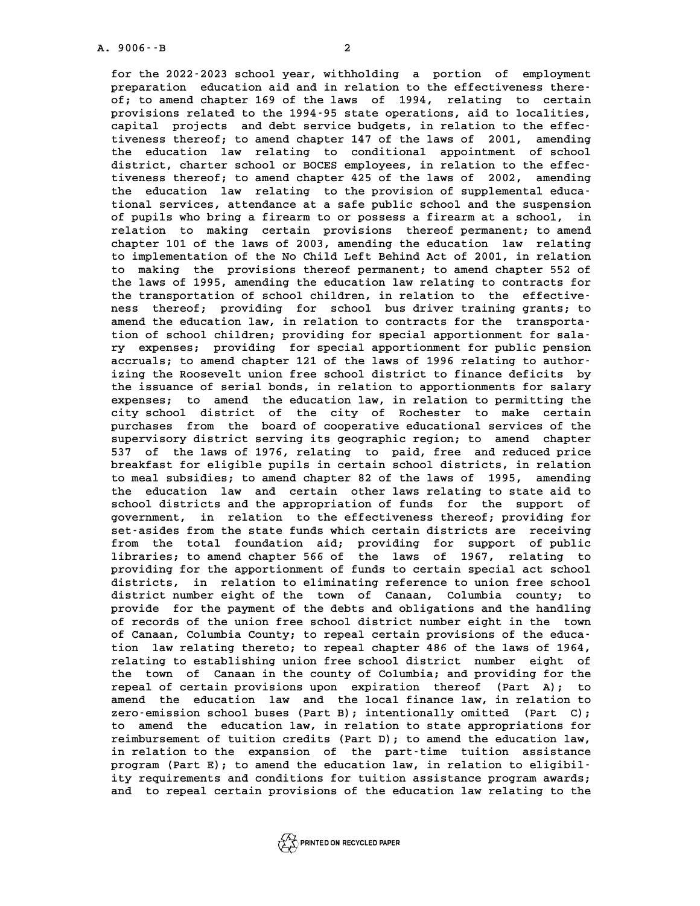**for the 2022-2023 school year, withholding a portion of employment** for the 2022-2023 school year, withholding a portion of employment<br>preparation education aid and in relation to the effectiveness there-<br>of, to amend chapter 169 of the laws of 1994, relating to certain for the 2022-2023 school year, withholding a portion of employment<br>preparation education aid and in relation to the effectiveness there-<br>of; to amend chapter 169 of the laws of 1994, relating to certain<br>provisions related preparation education aid and in relation to the effectiveness there-<br>of; to amend chapter 169 of the laws of 1994, relating to certain<br>provisions related to the 1994-95 state operations, aid to localities, of, to amend chapter 169 of the laws of 1994, relating to certain<br>provisions related to the 1994-95 state operations, aid to localities,<br>capital projects and debt service budgets, in relation to the effec-<br>tiveness thereof provisions related to the 1994-95 state operations, aid to localities, capital projects and debt service budgets, in relation to the effeccapital projects and debt service budgets, in relation to the effec-<br>tiveness thereof; to amend chapter 147 of the laws of 2001, amending<br>the education law relating to conditional appointment of school<br>digital sharter scho tiveness thereof; to amend chapter 147 of the laws of 2001, amending<br>the education law relating to conditional appointment of school<br>district, charter school or BOCES employees, in relation to the effec-<br>tiveness thereof: the education law relating to conditional appointment of school district, charter school or BOCES employees, in relation to the effectiveness thereof; to amend chapter 425 of the laws of 2002, amending **the education law relating to the provision of supplemental educa**tiveness thereof; to amend chapter 425 of the laws of 2002, amending<br>the education law relating to the provision of supplemental educa-<br>tional services, attendance at a safe public school and the suspension<br>of pupils who b the education law relating to the provision of supplemental educational services, attendance at a safe public school and the suspension<br>of pupils who bring a firearm to or possess a firearm at a school, in<br>relation to maki tional services, attendance at a safe public school and the suspension<br>of pupils who bring a firearm to or possess a firearm at a school, in<br>relation to making certain provisions thereof permanent; to amend<br>chapter 101 of of pupils who bring a firearm to or possess a firearm at a school, in<br>relation to making certain provisions thereof permanent; to amend<br>chapter 101 of the laws of 2003, amending the education law relating<br>to implementation relation to making certain provisions thereof permanent; to amend<br>chapter 101 of the laws of 2003, amending the education law relating<br>to implementation of the No Child Left Behind Act of 2001, in relation<br>to making the pr chapter 101 of the laws of 2003, amending the education law relating<br>to implementation of the No Child Left Behind Act of 2001, in relation<br>to making the provisions thereof permanent; to amend chapter 552 of to implementation of the No Child Left Behind Act of 2001, in relation<br>to making the provisions thereof permanent; to amend chapter 552 of<br>the laws of 1995, amending the education law relating to contracts for<br>the transpor to making the provisions thereof permanent; to amend chapter 552 of<br>the laws of 1995, amending the education law relating to contracts for<br>the transportation of school children, in relation to the effective-<br>negative there the laws of 1995, amending the education law relating to contracts for<br>the transportation of school children, in relation to the effective-<br>ness thereof; providing for school bus driver training grants; to<br>amond the educat the transportation of school children, in relation to the effective-<br>ness thereof; providing for school bus driver training grants; to<br>amend the education law, in relation to contracts for the transporta-<br>tion of school ch ness thereof; providing for school bus driver training grants; to amend the education law, in relation to contracts for the transporta-<br>tion of school children; providing for special apportionment for sala-<br>ry expenses; providing for special apportionment for public pension<br>accruals: to tion of school children; providing for special apportionment for sala-<br>ry expenses; providing for special apportionment for public pension<br>accruals; to amend chapter 121 of the laws of 1996 relating to author-<br>iring the Pe ry expenses; providing for special apportionment for public pension<br>accruals; to amend chapter 121 of the laws of 1996 relating to author-<br>izing the Roosevelt union free school district to finance deficits by<br>the issuance accruals; to amend chapter 121 of the laws of 1996 relating to author-<br>izing the Roosevelt union free school district to finance deficits by<br>the issuance of serial bonds, in relation to apportionments for salary<br>cureoses: izing the Roosevelt union free school district to finance deficits by<br>the issuance of serial bonds, in relation to apportionments for salary<br>expenses; to amend the education law, in relation to permitting the<br>city school d the issuance of serial bonds, in relation to apportionments for salary<br>expenses; to amend the education law, in relation to permitting the<br>city school district of the city of Rochester to make certain<br>nurshasse from the be expenses; to amend the education law, in relation to permitting the<br>city school district of the city of Rochester to make certain<br>purchases from the board of cooperative educational services of the<br>superwisery district ser city school district of the city of Rochester to make certain<br>purchases from the board of cooperative educational services of the<br>supervisory district serving its geographic region; to amend chapter<br>527 of the laws of 1976 purchases from the board of cooperative educational services of the<br>supervisory district serving its geographic region; to amend chapter<br>537 of the laws of 1976, relating to paid, free and reduced price<br>breakfast for eligi supervisory district serving its geographic region; to amend chapter<br>537 of the laws of 1976, relating to paid, free and reduced price<br>breakfast for eligible pupils in certain school districts, in relation<br>to moal qubsidio 537 of the laws of 1976, relating to paid, free and reduced price<br>breakfast for eligible pupils in certain school districts, in relation<br>to meal subsidies; to amend chapter 82 of the laws of 1995, amending<br>the education la breakfast for eligible pupils in certain school districts, in relation<br>to meal subsidies; to amend chapter 82 of the laws of 1995, amending<br>the education law and certain other laws relating to state aid to<br>school districts to meal subsidies; to amend chapter 82 of the laws of 1995, amending<br>the education law and certain other laws relating to state aid to<br>school districts and the appropriation of funds for the support of<br>covernment in relati the education law and certain other laws relating to state aid to school districts and the appropriation of funds for the support of government, in relation to the effectiveness thereof; providing for set-asides from the s school districts and the appropriation of funds for the support of government, in relation to the effectiveness thereof; providing for<br>set-asides from the state funds which certain districts are receiving<br>from the total foundation aid; providing for support of public<br>libraries to aread sh set-asides from the state funds which certain districts are receiving<br>from the total foundation aid; providing for support of public<br>libraries; to amend chapter 566 of the laws of 1967, relating to<br>providing for the apport from the total foundation aid; providing for support of public<br>libraries; to amend chapter 566 of the laws of 1967, relating to<br>providing for the apportionment of funds to certain special act school<br>districts in relation t libraries; to amend chapter 566 of the laws of 1967, relating to providing for the apportionment of funds to certain special act school districts, in relation to eliminating reference to union free school **district number eight of the town of Canaan, Columbia county; to** districts, in relation to eliminating reference to union free school<br>district number eight of the town of Canaan, Columbia county; to<br>provide for the payment of the debts and obligations and the handling<br>of records of the district number eight of the town of Canaan, Columbia county; to<br>provide for the payment of the debts and obligations and the handling<br>of records of the union free school district number eight in the town<br>of Canaan, Columb provide for the payment of the debts and obligations and the handling<br>of records of the union free school district number eight in the town<br>of Canaan, Columbia County; to repeal certain provisions of the educa-<br>tion, law r of records of the union free school district number eight in the town<br>of Canaan, Columbia County; to repeal certain provisions of the educa-<br>tion law relating thereto; to repeal chapter 486 of the laws of 1964,<br>relating to of Canaan, Columbia County; to repeal certain provisions of the education law relating thereto; to repeal chapter 486 of the laws of 1964, relating to establishing union free school district number eight of the town of Can tion law relating thereto; to repeal chapter 486 of the laws of 1964,<br>relating to establishing union free school district number eight of<br>the town of Canaan in the county of Columbia; and providing for the<br>repeal of contai relating to establishing union free school district number eight of<br>the town of Canaan in the county of Columbia; and providing for the<br>repeal of certain provisions upon expiration thereof (Part A); to<br>amond the education the town of Canaan in the county of Columbia; and providing for the<br>repeal of certain provisions upon expiration thereof (Part A); to<br>amend the education law and the local finance law, in relation to<br>repeated and the local repeal of certain provisions upon expiration thereof (Part A); to<br>amend the education law and the local finance law, in relation to<br>zero-emission school buses (Part B); intentionally omitted (Part C);<br>to amend the educatio amend the education law and the local finance law, in relation to zero-emission school buses (Part B); intentionally omitted (Part C); to amend the education law, in relation to state appropriations for reimburgement of tu zero-emission school buses (Part B); intentionally omitted (Part C);<br>to amend the education law, in relation to state appropriations for<br>reimbursement of tuition credits (Part D); to amend the education law,<br>in relation to to amend the education law, in relation to state appropriations for<br>reimbursement of tuition credits (Part D); to amend the education law,<br>in relation to the expansion of the part-time tuition assistance<br>program (Part E); reimbursement of tuition credits (Part D); to amend the education law, in relation to the expansion of the part-time tuition assistance program (Part E); to amend the education law, in relation to eligibil-<br>ity requirement in relation to the expansion of the part-time tuition assistance<br>program (Part E); to amend the education law, in relation to eligibil-<br>ity requirements and conditions for tuition assistance program awards;<br>and to repeal e in relation to the expansion of the part-time tuition assistance<br>program (Part E); to amend the education law, in relation to eligibil-<br>ity requirements and conditions for tuition assistance program awards;<br>and to repeal c

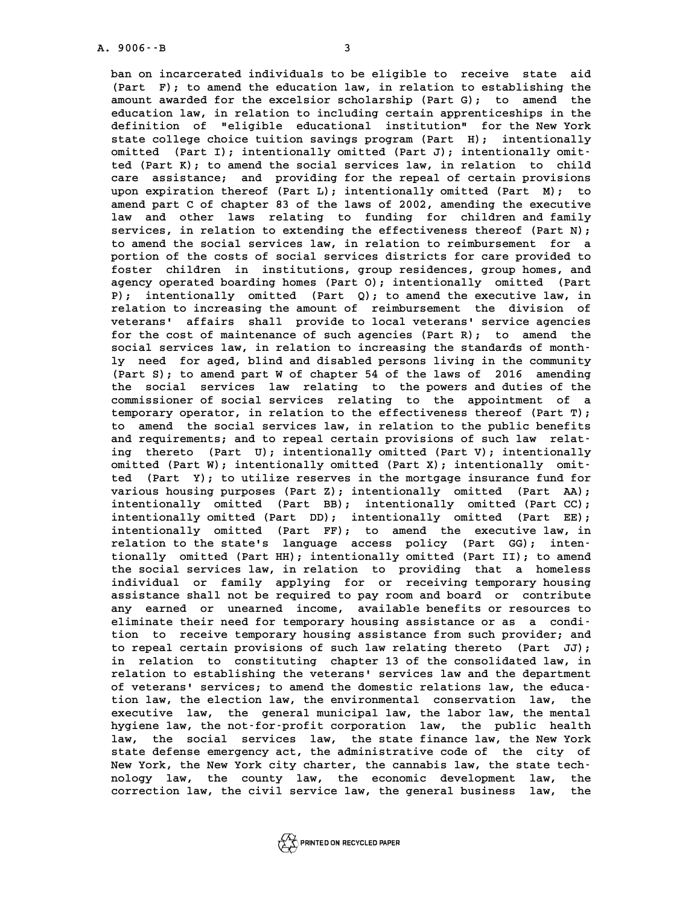**A. 9006--B 3 ban on incarcerated individuals to be eligible to receive state aid** ban on incarcerated individuals to be eligible to receive state aid<br>(Part F); to amend the education law, in relation to establishing the<br>amount awarded for the excelsior scholarship (Part G), to amend the ban on incarcerated individuals to be eligible to receive state aid<br>(Part F); to amend the education law, in relation to establishing the<br>amount awarded for the excelsior scholarship (Part G); to amend the<br>education law in (Part F); to amend the education law, in relation to establishing the amount awarded for the excelsior scholarship (Part G); to amend the education law, in relation to including certain apprenticeships in the amount awarded for the excelsior scholarship (Part G); to amend the<br>education law, in relation to including certain apprenticeships in the<br>definition of "eligible educational institution" for the New York<br>atato sellere she education law, in relation to including certain apprenticeships in the<br>definition of "eligible educational institution" for the New York<br>state college choice tuition savings program (Part H); intentionally<br>omitted (Part I) definition of "eligible educational institution" for the New York<br>state college choice tuition savings program (Part H); intentionally<br>omitted (Part I); intentionally omitted (Part J); intentionally omit-<br>ted (Part K): to state college choice tuition savings program (Part H); intentionally omitted (Part I); intentionally omit-<br>ted (Part K); to amend the social services law, in relation to child<br>care assistance; and providing for the repeal comitted (Part I); intentionally omitted (Part J); intentionally omitted (Part K); to amend the social services law, in relation to child<br>care assistance; and providing for the repeal of certain provisions<br>upon expiration thereof (Part L); intentionally omitted (Part M); to<br>amend part C of care assistance; and providing for the repeal of certain provisions<br>upon expiration thereof (Part L); intentionally omitted (Part M); to<br>amend part C of chapter 83 of the laws of 2002, amending the executive<br>laws and other upon expiration thereof (Part L); intentionally omitted (Part M); to<br>amend part C of chapter 83 of the laws of 2002, amending the executive<br>law and other laws relating to funding for children and family<br>services in relatio amend part C of chapter 83 of the laws of 2002, amending the executive law and other laws relating to funding for children and family services, in relation to extending the effectiveness thereof (Part N); law and other laws relating to funding for children and family services, in relation to extending the effectiveness thereof (Part N); to amend the social services law, in relation to reimbursement for a portion of the cost to amend the social services law, in relation to reimbursement for a **foster children in institutions, group residences, group homes, and** portion of the costs of social services districts for care provided to<br>foster children in institutions, group residences, group homes, and<br>agency operated boarding homes (Part O); intentionally omitted (Part<br>P); intentiona Foster children in institutions, group residences, group homes, and<br>agency operated boarding homes (Part O); intentionally omitted (Part<br>P); intentionally omitted (Part Q); to amend the executive law, in<br>rolation to increa agency operated boarding homes (Part 0); intentionally omitted (Part P); intentionally omitted (Part 2); to amend the executive law, in relation to increasing the amount of reimbursement the division of unchanged and inter P); intentionally omitted (Part Q); to amend the executive law, in relation to increasing the amount of reimbursement the division of veterans' affairs shall provide to local veterans' service agencies for the cost of main relation to increasing the amount of reimbursement the division of veterans' affairs shall provide to local veterans' service agencies<br>for the cost of maintenance of such agencies (Part R); to amend the<br>social services law, in relation to increasing the standards of month-<br>ly need for age for the cost of maintenance of such agencies (Part R); to amend the<br>social services law, in relation to increasing the standards of month-<br>ly need for aged, blind and disabled persons living in the community<br>(Part S), to a social services law, in relation to increasing the standards of month-<br>ly need for aged, blind and disabled persons living in the community<br>(Part S); to amend part W of chapter 54 of the laws of 2016 amending<br>the social se ly need for aged, blind and disabled persons living in the community (Part S); to amend part W of chapter 54 of the laws of 2016 amending<br>the social services law relating to the powers and duties of the<br>commissioner of soc (Part S); to amend part W of chapter 54 of the laws of 2016 amending<br>the social services law relating to the powers and duties of the<br>commissioner of social services relating to the appointment of a<br>termorary energies in the social services law relating to the powers and duties of the commissioner of social services relating to the appointment of a<br>temporary operator, in relation to the effectiveness thereof (Part T);<br>to appeal the social commissioner of social services relating to the appointment of a<br>temporary operator, in relation to the effectiveness thereof (Part T);<br>to amend the social services law, in relation to the public benefits<br>and requirements, temporary operator, in relation to the effectiveness thereof (Part T);<br>to amend the social services law, in relation to the public benefits<br>and requirements; and to repeal certain provisions of such law relat-<br>ing therete to amend the social services law, in relation to the public benefits<br>and requirements; and to repeal certain provisions of such law relat-<br>ing thereto (Part U); intentionally omitted (Part V); intentionally<br>omitted (Part W and requirements; and to repeal certain provisions of such law relat-<br>ing thereto (Part U); intentionally omitted (Part V); intentionally<br>omitted (Part W); intentionally omitted (Part X); intentionally omit-<br>ted (Part V); ing thereto (Part U); intentionally omitted (Part V); intentionally<br>omitted (Part W); intentionally omitted (Part X); intentionally omit-<br>ted (Part Y); to utilize reserves in the mortgage insurance fund for<br>various bousing **varitted (Part W); intentionally omitted (Part X); intentionally omit-<br>ted (Part Y); to utilize reserves in the mortgage insurance fund for<br>various housing purposes (Part Z); intentionally omitted (Part AA);<br>intentionally** ted (Part Y); to utilize reserves in the mortgage insurance fund for various housing purposes (Part Z); intentionally omitted (Part CC); intentionally omitted (Part DD); intentionally omitted (Part EE); intentionally omitted (Part BB); intentionally omitted (Part CC); **intentionally omitted (Part FF); to amend the executive law, in** intentionally omitted (Part DD); intentionally omitted (Part EE);<br>intentionally omitted (Part FF); to amend the executive law, in<br>relation to the state's language access policy (Part GG); inten-<br>tionally omitted (Part WW); intentionally omitted (Part FF); to amend the executive law, in<br>relation to the state's language access policy (Part GG); inten-<br>tionally omitted (Part HH); intentionally omitted (Part II); to amend<br>the social services law relation to the state's language access policy (Part GG); inten-<br>tionally omitted (Part HH); intentionally omitted (Part II); to amend<br>the social services law, in relation to providing that a homeless<br>individual or family tionally omitted (Part HH); intentionally omitted (Part II); to amend<br>the social services law, in relation to providing that a homeless<br>individual or family applying for or receiving temporary housing

**assistance shall not be required to pay room and board or contribute** individual or family applying for or receiving temporary housing<br>assistance shall not be required to pay room and board or contribute<br>any earned or unearned income, available benefits or resources to<br>eliminate their need f assistance shall not be required to pay room and board or contribute<br>any earned or unearned income, available benefits or resources to<br>eliminate their need for temporary housing assistance or as a condi-<br>tion to resoive te any earned or unearned income, available benefits or resources to<br>eliminate their need for temporary housing assistance or as a condi-<br>tion to receive temporary housing assistance from such provider; and<br>to repeal earthin eliminate their need for temporary housing assistance or as a condition to receive temporary housing assistance from such provider; and<br>to repeal certain provisions of such law relating thereto (Part JJ);<br>in relation to co tion to receive temporary housing assistance from such provider; and<br>to repeal certain provisions of such law relating thereto (Part JJ);<br>in relation to constituting chapter 13 of the consolidated law, in<br>relation to estab to repeal certain provisions of such law relating thereto (Part JJ);<br>in relation to constituting chapter 13 of the consolidated law, in<br>relation to establishing the veterans' services law and the department<br>of veterans' se in relation to constituting chapter 13 of the consolidated law, in<br>relation to establishing the veterans' services law and the department<br>of veterans' services; to amend the domestic relations law, the educa-<br>tion law, the relation to establishing the veterans' services law and the department<br>of veterans' services; to amend the domestic relations law, the educa-<br>tion law, the election law, the environmental conservation law, the<br>executive la of veterans' services; to amend the domestic relations law, the education law, the election law, the environmental conservation law, the executive law, the general municipal law, the labor law, the mental<br>hygiene law, the tion law, the election law, the environmental conservation law, the executive law, the general municipal law, the labor law, the mental<br>hygiene law, the not-for-profit corporation law, the public health<br>law, the social ser executive law, the general municipal law, the labor law, the mental<br>hygiene law, the not-for-profit corporation law, the public health<br>law, the social services law, the state finance law, the New York<br>state defense emergen hygiene law, the not-for-profit corporation law, the public health<br>law, the social services law, the state finance law, the New York<br>state defense emergency act, the administrative code of the city of **New York, the New York city charter, the cannabis law, the state tech**state defense emergency act, the administrative code of the city of<br>New York, the New York city charter, the cannabis law, the state tech-<br>nology law, the county law, the economic development law, the<br>convection law the si New York, the New York city charter, the cannabis law, the state tech-<br>nology law, the county law, the economic development law, the<br>correction law, the civil service law, the general business law, the

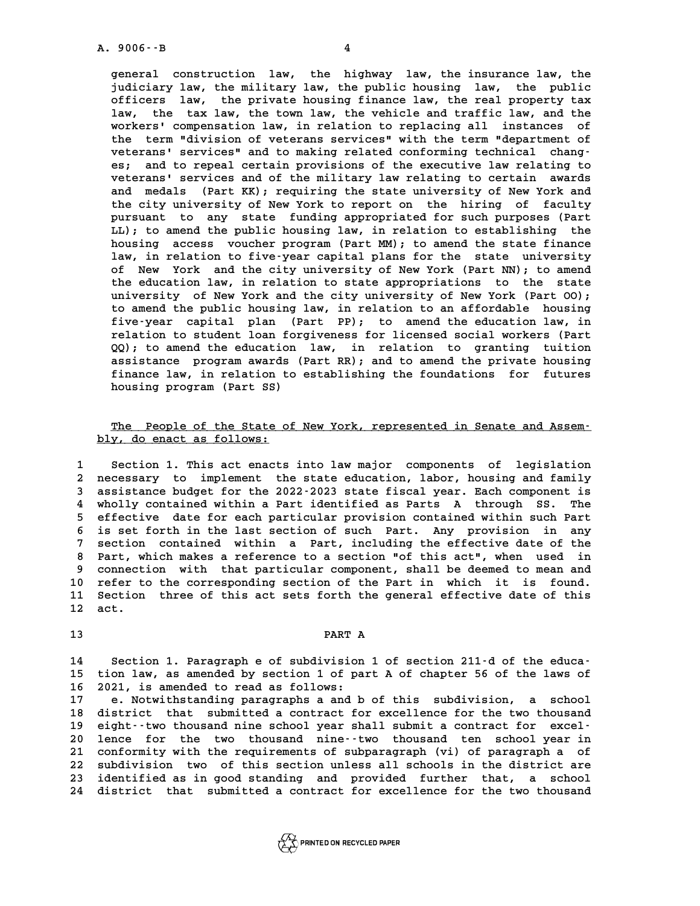**general construction law, the highway law, the insurance law, the** general construction law, the highway law, the insurance law, the<br>judiciary law, the military law, the public housing law, the public<br>officers law, the private bousing finance law, the real property tar general construction law, the highway law, the insurance law, the judiciary law, the military law, the public housing law, the public officers law, the private housing finance law, the real property tax diciary law, the military law, the public housing law, the public officers law, the private housing finance law, the real property tax law, the tax law, the town law, the vehicle and traffic law, and the vertices of the pr officers law, the private housing finance law, the real property tax<br>law, the tax law, the town law, the vehicle and traffic law, and the<br>workers' compensation law, in relation to replacing all instances of<br>the term "divis law, the tax law, the town law, the vehicle and traffic law, and the workers' compensation law, in relation to replacing all instances of the term "division of veterans services" with the term "department of veterans' services" and to making related conforming technical changes; and to repeal certain provisions of the executive law relating to veterans' serv veterans' services" and to making related conforming technical changes; and to repeal certain provisions of the executive law relating to veterans' services and of the military law relating to certain awards and medals (Part KK); requiring the state university of New York and the city univ and medals (Part KK); requiring the state university of New York and and medals (Part KK); requiring the state university of New York and<br>the city university of New York to report on the hiring of faculty<br>pursuant to any state funding appropriated for such purposes (Part<br>II); to amend the p the city university of New York to report on the hiring of faculty<br>pursuant to any state funding appropriated for such purposes (Part<br>LL); to amend the public housing law, in relation to establishing the<br>housing accose wou pursuant to any state funding appropriated for such purposes (Part LL); to amend the public housing law, in relation to establishing the housing access voucher program (Part MM); to amend the state finance<br>housing access v LL); to amend the public housing law, in relation to establishing the housing access voucher program (Part MM); to amend the state finance law, in relation to five-year capital plans for the state university housing access voucher program (Part MM); to amend the state finance<br>law, in relation to five-year capital plans for the state university<br>of New York and the city university of New York (Part NN); to amend<br>the education la law, in relation to five-year capital plans for the state university<br>of New York and the city university of New York (Part NN); to amend<br>the education law, in relation to state appropriations to the state<br>university of New of New York and the city university of New York (Part NN); to amend<br>the education law, in relation to state appropriations to the state<br>university of New York and the city university of New York (Part 00);<br>to amond the pub the education law, in relation to state appropriations to the state<br>university of New York and the city university of New York (Part 00);<br>to amend the public housing law, in relation to an affordable housing<br>five-year capi university of New York and the city university of New York (Part 00);<br>to amend the public housing law, in relation to an affordable housing<br>five-year capital plan (Part PP); to amend the education law, in<br>relation to stude to amend the public housing law, in relation to an affordable housing<br>five-year capital plan (Part PP); to amend the education law, in<br>relation to student loan forgiveness for licensed social workers (Part<br>20): to amend th five-year capital plan (Part PP); to amend the education law, in<br>relation to student loan forgiveness for licensed social workers (Part<br>QQ); to amend the education law, in relation to granting tuition<br>assistance program aw relation to student loan forgiveness for licensed social workers (Part QQ); to amend the education law, in relation to granting tuition<br>assistance program awards (Part RR); and to amend the private housing<br>finance law, in QQ); to amend the education law, in relation to granting tuition<br>assistance program awards (Part RR); and to amend the private housing<br>finance law, in relation to establishing the foundations for futures<br>housing program (B assistance program awards (Part RR); and to amend the private housing<br>finance law, in relation to establishing the foundations for futures<br>housing program (Part SS)

### The People of the State of New York, represented in Senate and Assem-<br>**We ded and the State of New York, represented in Senate and Assem**-<u>The People of the State o</u><br>bly, do enact as follows:

**1 Section 1. This act enacts into law major components of legislation**<br>2 noncepary to implement the state education labor bousing and family **2**<br> **2** section 1. This act enacts into law major components of legislation<br> **2** necessary to implement the state education, labor, housing and family<br> **2** assistance budget for the 2022-2023 state fiscal year. Each compo **3** Section 1. This act enacts into law major components of legislation<br> **2** necessary to implement the state education, labor, housing and family<br> **3** assistance budget for the 2022-2023 state fiscal year. Each component 2 necessary to implement the state education, labor, housing and family<br>3 assistance budget for the 2022-2023 state fiscal year. Each component is<br>4 wholly contained within a Part identified as Parts A through SS. The<br>5 ef 3 assistance budget for the 2022-2023 state fiscal year. Each component is<br>4 wholly contained within a Part identified as Parts A through SS. The<br>5 effective date for each particular provision contained within such Part<br>5 4 wholly contained within a Part identified as Parts A through SS. The<br>5 effective date for each particular provision contained within such Part<br>6 is set forth in the last section of such Part. Any provision in any<br>7 secti 5 effective date for each particular provision contained within such Part<br>6 is set forth in the last section of such Part. Any provision in any<br>7 section contained within a Part, including the effective date of the **8 is set forth in the last section of such Part. Any provision in any section contained within a Part, including the effective date of the Part, which makes a reference to a section "of this act", when used in**<br>connection **9 section contained within a Part, including the effective date of the<br>
8 Part, which makes a reference to a section "of this act", when used in<br>
9 connection with that particular component, shall be deemed to mean and<br>
8** 8 Part, which makes a reference to a section "of this act", when used in<br>9 connection with that particular component, shall be deemed to mean and<br>10 refer to the corresponding section of the Part in which it is found.<br><sup>11</sup> 9 connection with that particular component, shall be deemed to mean and 10 refer to the corresponding section of the Part in which it is found.<br>11 Section three of this act sets forth the general effective date of this<br>12 Section three of this act sets forth the general effective date of this 12 act.<br>13 **PART A** 

**13**<br> **14** Section 1. Paragraph e of subdivision 1 of section 211-d of the educa-<br> **15** tion law, as amended by section 1 of part A of chapter 56 of the laws of 14 Section 1. Paragraph e of subdivision 1 of section 211–d of the educa<br>15 tion law, as amended by section 1 of part A of chapter 56 of the laws of **14** Section 1. Paragraph e of subdivision<br>**15 tion law, as amended by section 1 of pa**<br>**16 2021, is amended to read as follows:**<br><sup>17</sup> 2. Motwithstanding paragraphs a and b **15 tion law, as amended by section 1 of part A of chapter 56 of the laws of 2021, is amended to read as follows:**<br>**17 e. Notwithstanding paragraphs a and b of this subdivision, a school**<br>**18 district that submitted a sont** 

16 2021, is amended to read as follows:<br>17 e. Notwithstanding paragraphs a and b of this subdivision, a school<br>18 district that submitted a contract for excellence for the two thousand<br>19 eight--two thousand nine school ye 17 e. Notwithstanding paragraphs a and b of this subdivision, a school<br>
18 district that submitted a contract for excellence for the two thousand<br>
19 eight--two thousand nine school year shall submit a contract for excel-<br> 18 district that submitted a contract for excellence for the two thousand<br>19 eight--two thousand nine school year shall submit a contract for excel-<br>20 lence for the two thousand nine--two thousand ten school year in<br>21 co **21 eight - two thousand nine school year shall submit a contract for excel-**<br> **20 lence for the two thousand nine - two thousand ten school year in**<br> **21 conformity with the requirements of subparagraph (vi) of paragraph** 20 lence for the two thousand nine--two thousand ten school year in<br>21 conformity with the requirements of subparagraph (vi) of paragraph a of<br>22 subdivision two of this section unless all schools in the district are<br>23 id 21 conformity with the requirements of subparagraph (vi) of paragraph a of<br>22 subdivision two of this section unless all schools in the district are<br>23 identified as in good standing and provided further that, a school<br>24 22 subdivision two of this section unless all schools in the district are<br>23 identified as in good standing and provided further that, a school<br>24 district that submitted a contract for excellence for the two thousand

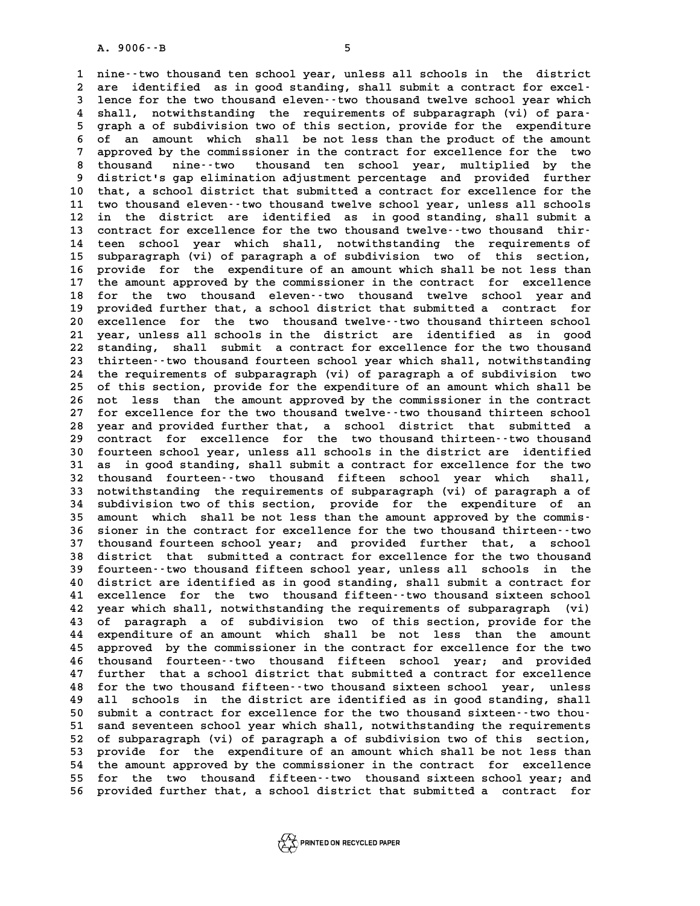**1 nine--two thousand ten school year, unless all schools in the district** 1 nine--two thousand ten school year, unless all schools in the district<br>2 are identified as in good standing, shall submit a contract for excel-<br>3 lenge for the two thousand eleven..two thousand twelve school year which 1 nine--two thousand ten school year, unless all schools in the district<br>2 are identified as in good standing, shall submit a contract for excel-<br>3 lence for the two thousand eleven--two thousand twelve school year which<br><sup></sup> 2 are identified as in good standing, shall submit a contract for excel-<br>
3 lence for the two thousand eleven--two thousand twelve school year which<br>
4 shall, notwithstanding the requirements of subparagraph (vi) of para-<br> 3 lence for the two thousand eleven--two thousand twelve school year which<br>4 shall, notwithstanding the requirements of subparagraph (vi) of para-<br>5 graph a of subdivision two of this section, provide for the expenditure 4 shall, notwithstanding the requirements of subparagraph (vi) of para-<br>5 graph a of subdivision two of this section, provide for the expenditure<br>6 of an amount which shall be not less than the product of the amount<br>7 appr 5 graph a of subdivision two of this section, provide for the expenditure<br>6 of an amount which shall be not less than the product of the amount<br>7 approved by the commissioner in the contract for excellence for the two<br>10 t 6 of an amount which shall be not less than the product of the amount<br>7 approved by the commissioner in the contract for excellence for the two<br>8 thousand nine--two thousand ten school year, multiplied by the<br>9 district's 9 district's gap eliminationer in the contract for excellence for the two<br>8 thousand nine--two thousand ten school year, multiplied by the<br>9 district's gap elimination adjustment percentage and provided further<br>10 that, a 8 thousand nine--two thousand ten school year, multiplied by the<br>9 district's gap elimination adjustment percentage and provided further<br>10 that, a school district that submitted a contract for excellence for the<br>11 two th 9 district's gap elimination adjustment percentage and provided further<br>10 that, a school district that submitted a contract for excellence for the<br>11 two thousand eleven--two thousand twelve school year, unless all school 10 that, a school district that submitted a contract for excellence for the<br>11 two thousand eleven - two thousand twelve school year, unless all schools<br>12 in the district are identified as in good standing, shall submit a 11 two thousand eleven<sup>-</sup>-two thousand twelve school year, unless all schools<br>
12 in the district are identified as in good standing, shall submit a<br>
13 contract for excellence for the two thousand twelve--two thousand thi 12 in the district are identified as in good standing, shall submit a<br>13 contract for excellence for the two thousand twelve--two thousand thir-<br>14 teen school year which shall, notwithstanding the requirements of<br>15 subpa 13 contract for excellence for the two thousand twelve--two thousand thir-<br>14 teen school year which shall, notwithstanding the requirements of<br>15 subparagraph (vi) of paragraph a of subdivision two of this section,<br>16 pro 14 teen school year which shall, notwithstanding the requirements of<br>15 subparagraph (vi) of paragraph a of subdivision two of this section,<br>16 provide for the expenditure of an amount which shall be not less than<br>17 the a 15 subparagraph (vi) of paragraph a of subdivision two of this section,<br>16 provide for the expenditure of an amount which shall be not less than<br>17 the amount approved by the commissioner in the contract for excellence<br>18 16 provide for the expenditure of an amount which shall be not less than<br>17 the amount approved by the commissioner in the contract for excellence<br>18 for the two thousand eleven--two thousand twelve school year and<br>19 prov I7 the amount approved by the commissioner in the contract for excellence<br>18 for the two thousand eleven - two thousand twelve school year and<br>19 provided further that, a school district that submitted a contract for<br>20 ex 18 for the two thousand eleven--two thousand twelve school year and<br>19 provided further that, a school district that submitted a contract for<br>20 excellence for the two thousand twelve--two thousand thirteen school<br>21 year 19 provided further that, a school district that submitted a contract for<br>20 excellence for the two thousand twelve--two thousand thirteen school<br>21 year, unless all schools in the district are identified as in good<br>22 sta excellence for the two thousand twelve - two thousand thirteen school<br>21 year, unless all schools in the district are identified as in good<br>22 standing, shall submit a contract for excellence for the two thousand<br>thirteen. 21 year, unless all schools in the district are identified as in good<br>22 standing, shall submit a contract for excellence for the two thousand<br>23 thirteen--two thousand fourteen school year which shall, notwithstanding<br>24 22 standing, shall submit a contract for excellence for the two thousand<br>23 thirteen - two thousand fourteen school year which shall, notwithstanding<br>24 the requirements of subparagraph (vi) of paragraph a of subdivision t 23 thirteen--two thousand fourteen school year which shall, notwithstanding<br>24 the requirements of subparagraph (vi) of paragraph a of subdivision two<br>25 of this section, provide for the expenditure of an amount which shal 24 the requirements of subparagraph (vi) of paragraph a of subdivision two<br>25 of this section, provide for the expenditure of an amount which shall be<br>26 not less than the amount approved by the commissioner in the contrac 25 of this section, provide for the expenditure of an amount which shall be<br>26 not less than the amount approved by the commissioner in the contract<br>27 for excellence for the two thousand twelve--two thousand thirteen scho 26 not less than the amount approved by the commissioner in the contract<br>27 for excellence for the two thousand twelve--two thousand thirteen school<br>28 year and provided further that, a school district that submitted a<br>29 27 for excellence for the two thousand twelve -- two thousand thirteen school<br>28 year and provided further that, a school district that submitted a<br>29 contract for excellence for the two thousand thirteen--two thousand<br>30 **30 year and provided further that, a school district that submitted a**<br> **30 contract for excellence for the two thousand thirteen**--two thousand<br> **30 fourteen school year, unless all schools in the district are identified** 29 contract for excellence for the two thousand thirteen--two thousand<br>30 fourteen school year, unless all schools in the district are identified<br>31 as in good standing, shall submit a contract for excellence for the two<br>3 **30 fourteen school year, unless all schools in the district are identified**<br>**31 as in good standing, shall submit a contract for excellence for the two<br><b>32 thousand fourteen--two thousand fifteen school year which shall, 31 as in good standing, shall submit a contract for excellence for the two<br>32 thousand fourteen - two thousand fifteen school year which shall,<br>33 notwithstanding the requirements of subparagraph (vi) of paragraph a of<br>34** 32 thousand fourteen--two thousand fifteen school year which shall,<br>33 notwithstanding the requirements of subparagraph (vi) of paragraph a of<br>34 subdivision two of this section, provide for the expenditure of an<br>35 spount 33 notwithstanding the requirements of subparagraph (vi) of paragraph a of<br>34 subdivision two of this section, provide for the expenditure of an<br>35 amount which shall be not less than the amount approved by the commis-<br>36 34 subdivision two of this section, provide for the expenditure of an<br>35 amount which shall be not less than the amount approved by the commis-<br>36 sioner in the contract for excellence for the two thousand thirteen--two<br><sup>3</sup> 35 amount which shall be not less than the amount approved by the commis-<br>36 sioner in the contract for excellence for the two thousand thirteen - two<br>37 thousand fourteen school year; and provided further that, a school<br>3 36 sioner in the contract for excellence for the two thousand thirteen - two<br>37 thousand fourteen school year; and provided further that, a school<br>38 district that submitted a contract for excellence for the two thousand<br>5 **37 thousand fourteen school year, and provided further that, a school**<br>**38 district that submitted a contract for excellence for the two thousand**<br>**39 fourteen--two thousand fifteen school year, unless all schools in the 40 district that submitted a contract for excellence for the two thousand**<br>**40 district are identified as in good standing, shall submit a contract for**<br>**40 district are identified as in good standing, shall submit a cont** 39 fourteen -- two thousand fifteen school year, unless all schools in the district are identified as in good standing, shall submit a contract for excellence for the two thousand fifteen -- two thousand sixteen school yea **42 year which shall, notwithstanding the requirements of subparagraph (vi)** 41 excellence for the two thousand fifteen - two thousand sixteen school<br>42 year which shall, notwithstanding the requirements of subparagraph (vi)<br>43 of paragraph a of subdivision two of this section, provide for the<br>44 e 42 year which shall, notwithstanding the requirements of subparagraph (vi)<br>43 of paragraph a of subdivision two of this section, provide for the<br>44 expenditure of an amount which shall be not less than the amount<br>45 entry 43 of paragraph a of subdivision two of this section, provide for the<br>44 expenditure of an amount which shall be not less than the amount<br>45 approved by the commissioner in the contract for excellence for the two<br>46 theusa 44 expenditure of an amount which shall be not less than the amount<br>45 approved by the commissioner in the contract for excellence for the two<br>46 thousand fourteen--two thousand fifteen school year; and provided<br>47 further 45 approved by the commissioner in the contract for excellence for the two<br>46 thousand fourteen - two thousand fifteen school year; and provided<br>47 further that a school district that submitted a contract for excellence<br>50 46 thousand fourteen--two thousand fifteen school year; and provided<br>47 further that a school district that submitted a contract for excellence<br>48 for the two thousand fifteen--two thousand sixteen school year, unless<br><sup>49</sup> 47 further that a school district that submitted a contract for excellence<br>48 for the two thousand fifteen--two thousand sixteen school year, unless<br>49 all schools in the district are identified as in good standing, shall<br> **50** for the two thousand fifteen--two thousand sixteen school year, unless<br> **49** all schools in the district are identified as in good standing, shall<br>
50 submit a contract for excellence for the two thousand sixteen--two **50 all schools in the district are identified as in good standing, shall**<br>
50 submit a contract for excellence for the two thousand sixteen--two thou-<br>
51 sand seventeen school year which shall, notwithstanding the requir 50 submit a contract for excellence for the two thousand sixteen $\cdot$ -two thou-<br>51 sand seventeen school year which shall, notwithstanding the requirements<br>52 of subparagraph (vi) of paragraph a of subdivision two of this s 51 sand seventeen school year which shall, notwithstanding the requirements<br>52 of subparagraph (vi) of paragraph a of subdivision two of this section,<br>53 provide for the expenditure of an amount which shall be not less tha 52 of subparagraph (vi) of paragraph a of subdivision two of this section,<br>53 provide for the expenditure of an amount which shall be not less than<br>54 the amount approved by the commissioner in the contract for excellence<br> 53 provide for the expenditure of an amount which shall be not less than<br>54 the amount approved by the commissioner in the contract for excellence<br>55 for the two thousand fifteen--two thousand sixteen school year; and<br>56 p 54 the amount approved by the commissioner in the contract for excellence<br>55 for the two thousand fifteen--two thousand sixteen school year; and<br>56 provided further that, a school district that submitted a contract for

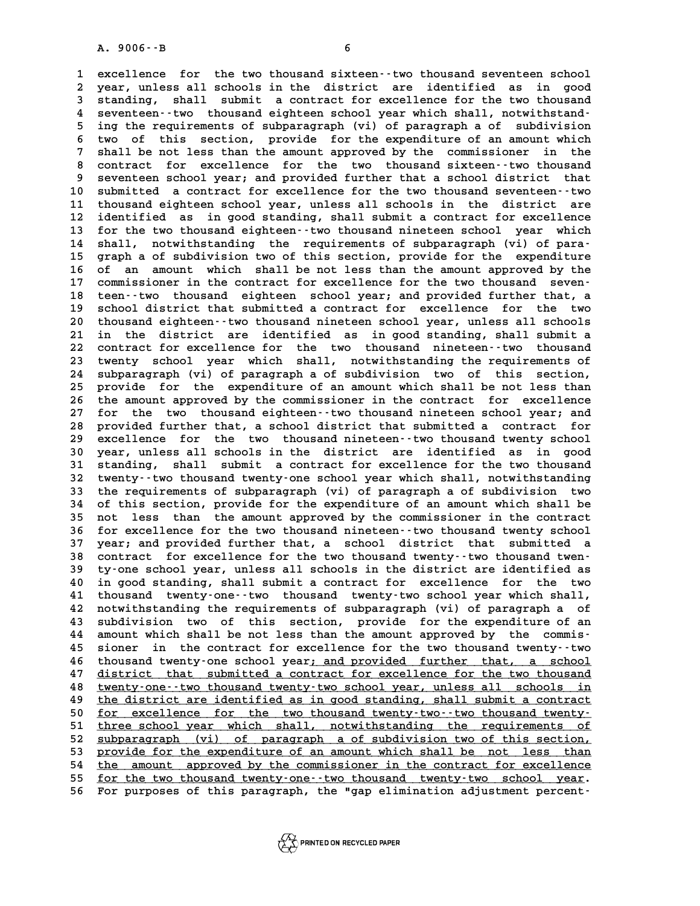A. 9006 --B<br>1 excellence for the two thousand sixteen--two thousand seventeen school<br>2 year unloss all schools in the district are identified as in seed **2** excellence for the two thousand sixteen--two thousand seventeen school<br>2 year, unless all schools in the district are identified as in good **3** excellence for the two thousand sixteen - two thousand seventeen school<br>**2** year, unless all schools in the district are identified as in good<br>**3** standing, shall submit a contract for excellence for the two thousand<br> **4 sear, unless all schools in the district are identified as in good<br>
<b>4 standing, shall submit a contract for excellence for the two thousand**<br> **4 seventeen--two thousand eighteen school year which shall, notwithstand-**<br> 3 standing, shall submit a contract for excellence for the two thousand<br>4 seventeen - two thousand eighteen school year which shall, notwithstand-<br>5 ing the requirements of subparagraph (vi) of paragraph a of subdivision<br>5 **6** seventeen - two thousand eighteen school year which shall, notwithstand-<br> **6** two of this section, provide for the expenditure of an amount which<br> **6** two of this section, provide for the expenditure of an amount which 5 ing the requirements of subparagraph (vi) of paragraph a of subdivision<br>6 two of this section, provide for the expenditure of an amount which<br>7 shall be not less than the amount approved by the commissioner in the<br>8 sont **8 two of this section, provide for the expenditure of an amount which**<br> **8 contract for excellence for the two thousand sixteen--two thousand**<br> **8 contract for excellence for the two thousand sixteen--two thousand**<br> **8 co** 9 shall be not less than the amount approved by the commissioner in the<br>8 contract for excellence for the two thousand sixteen - two thousand<br>9 seventeen school year; and provided further that a school district that<br>10 sub 8 contract for excellence for the two thousand sixteen--two thousand<br>9 seventeen school year; and provided further that a school district that<br>10 submitted a contract for excellence for the two thousand seventeen--two<br>11 t 9 seventeen school year; and provided further that a school district that<br>10 submitted a contract for excellence for the two thousand seventeen - two<br>11 thousand eighteen school year, unless all schools in the district are 10 submitted a contract for excellence for the two thousand seventeen - two<br>11 thousand eighteen school year, unless all schools in the district are<br>12 identified as in good standing, shall submit a contract for excellence 11 thousand eighteen school year, unless all schools in the district are<br>12 identified as in good standing, shall submit a contract for excellence<br>13 for the two thousand eighteen--two thousand nineteen school year which<br>1 12 identified as in good standing, shall submit a contract for excellence<br>
13 for the two thousand eighteen--two thousand nineteen school year which<br>
14 shall, notwithstanding the requirements of subparagraph (vi) of para-13 for the two thousand eighteen--two thousand nineteen school year which<br>14 shall, notwithstanding the requirements of subparagraph (vi) of para-<br>15 graph a of subdivision two of this section, provide for the expenditure<br> 14 shall, notwithstanding the requirements of subparagraph (vi) of para-<br>15 graph a of subdivision two of this section, provide for the expenditure<br>16 of an amount which shall be not less than the amount approved by the<br>17 15 graph a of subdivision two of this section, provide for the expenditure<br>16 of an amount which shall be not less than the amount approved by the<br>17 commissioner in the contract for excellence for the two thousand seven-<br> 16 of an amount which shall be not less than the amount approved by the<br>17 commissioner in the contract for excellence for the two thousand seven-<br>18 teen--two thousand eighteen school year; and provided further that, a<br>19 17 commissioner in the contract for excellence for the two thousand seven-<br>18 teen--two thousand eighteen school year; and provided further that, a<br>19 school district that submitted a contract for excellence for the two<br>20 18 teen--two thousand eighteen school year; and provided further that, a<br>19 school district that submitted a contract for excellence for the two<br>20 thousand eighteen--two thousand nineteen school year, unless all schools<br><sup></sup> 19 school district that submitted a contract for excellence for the two<br>20 thousand eighteen - two thousand nineteen school year, unless all schools<br>21 in the district are identified as in good standing, shall submit a<br>22 20 thousand eighteen--two thousand nineteen school year, unless all schools<br>21 in the district are identified as in good standing, shall submit a<br>22 contract for excellence for the two thousand nineteen--two thousand<br>23 tw 21 in the district are identified as in good standing, shall submit a<br>22 contract for excellence for the two thousand nineteen--two thousand<br>23 twenty school year which shall, notwithstanding the requirements of<br>24 subpara 22 contract for excellence for the two thousand nineteen--two thousand<br>23 twenty school year which shall, notwithstanding the requirements of<br>24 subparagraph (vi) of paragraph a of subdivision two of this section,<br>25 provi 23 twenty school year which shall, notwithstanding the requirements of<br>24 subparagraph (vi) of paragraph a of subdivision two of this section,<br>25 provide for the expenditure of an amount which shall be not less than<br>the am 24 subparagraph (vi) of paragraph a of subdivision two of this section,<br>25 provide for the expenditure of an amount which shall be not less than<br>26 the amount approved by the commissioner in the contract for excellence<br>27 25 provide for the expenditure of an amount which shall be not less than<br>26 the amount approved by the commissioner in the contract for excellence<br>27 for the two thousand eighteen--two thousand nineteen school year; and<br>28 26 the amount approved by the commissioner in the contract for excellence<br>27 for the two thousand eighteen - two thousand nineteen school year; and<br>28 provided further that, a school district that submitted a contract for<br> 27 for the two thousand eighteen--two thousand nineteen school year; and<br>28 provided further that, a school district that submitted a contract for<br>29 excellence for the two thousand nineteen--two thousand twenty school<br>20 provided further that, a school district that submitted a contract for<br>29 excellence for the two thousand nineteen--two thousand twenty school<br>30 year, unless all schools in the district are identified as in good<br>31 standi excellence for the two thousand nineteen - two thousand twenty school<br>30 year, unless all schools in the district are identified as in good<br>31 standing, shall submit a contract for excellence for the two thousand<br>32 typety **30 year, unless all schools in the district are identified as in good standing, shall submit a contract for excellence for the two thousand twenty--two thousand twenty-one school year which shall, notwithstanding**<br>the req 31 standing, shall submit a contract for excellence for the two thousand<br>32 twenty--two thousand twenty-one school year which shall, notwithstanding<br>33 the requirements of subparagraph (vi) of paragraph a of subdivision tw 32 twenty-two thousand twenty-one school year which shall, notwithstanding<br>33 the requirements of subparagraph (vi) of paragraph a of subdivision two<br>34 of this section, provide for the expenditure of an amount which shall 33 the requirements of subparagraph (vi) of paragraph a of subdivision two<br>34 of this section, provide for the expenditure of an amount which shall be<br>35 not less than the amount approved by the commissioner in the contrac **34 of this section, provide for the expenditure of an amount which shall be**<br>**35 not less than the amount approved by the commissioner in the contract**<br>**36 for excellence for the two thousand nineteen**--two thousand twent 35 not less than the amount approved by the commissioner in the contract<br>36 for excellence for the two thousand nineteen--two thousand twenty school<br>37 year; and provided further that, a school district that submitted a<br>38 **36 for excellence for the two thousand nineteen--two thousand twenty school**<br> **37 year; and provided further that, a school district that submitted a**<br> **38 contract for excellence for the two thousand twenty--two thousand 37 year; and provided further that, a school district that submitted a**<br>**38 contract for excellence for the two thousand twenty--two thousand twen-**<br>**39 ty-one school year, unless all schools in the district are identifie 40 in good standing, shall submit a contract for excellence for the two thousand twenty-two thousand twenty-<br>40 in good standing, shall submit a contract for excellence for the two<br>41 thousand twenty-one-two thousand twen** <sup>41</sup> ty-one school year, unless all schools in the district are identified as<br>40 in good standing, shall submit a contract for excellence for the two<br>41 thousand twenty-one--two thousand twenty-two school year which shall, **42 notwithstanding the requirements of subparagraph (vi) of paragraph a of** 41 thousand twenty-one--two thousand twenty-two school year which shall,<br>42 notwithstanding the requirements of subparagraph (vi) of paragraph a of<br>43 subdivision two of this section, provide for the expenditure of an<br>44 a 42 notwithstanding the requirements of subparagraph (vi) of paragraph a of<br>43 subdivision two of this section, provide for the expenditure of an<br>44 amount which shall be not less than the amount approved by the commis-<br>45 43 subdivision two of this section, provide for the expenditure of an<br>44 amount which shall be not less than the amount approved by the commis-<br>45 sioner in the contract for excellence for the two thousand twenty--two<br>46 t 44 amount which shall be not less than the amount approved by the commis-<br>45 sioner in the contract for excellence for the two thousand twenty-two<br>46 thousand twenty-one school year; and provided further that, a school<br>47 45 sioner in the contract for excellence for the two thousand twenty-two<br>46 thousand twenty-one school year, and provided further that, a school<br>47 district that submitted a contract for excellence for the two thousand<br>48 thousand twenty-one school year; and provided further that, a school<br>47 <u>district that submitted a contract for excellence for the two thousand</u><br>48 <u>twenty-one--two thousand twenty-two school year, unless all schools in</u><br>t district that submitted a contract for excellence for the two thousand<br>
48 <u>twenty-one--two thousand twenty-two school year, unless all schools in</u><br>
the district are identified as in good standing, shall submit a contract<br> twenty-one--two-thousand twenty-two-school year, unless all schools in<br>
the district are identified as in good standing, shall submit a contract<br>
for excellence for the two-thousand twenty-two--two-thousand twenty-<br>
three the district are identified as in good standing, shall submit a contract<br>
for excellence for the two thousand twenty-two--two thousand twenty-<br>
three school year which shall, notwithstanding the requirements of<br>
subparatio for excellence for the two thousand twenty-two--two thousand twenty-<br>
three school year which shall, notwithstanding the requirements of<br>
<u>subparagraph</u> (vi) of paragraph a of subdivision two of this section,<br>
provide for 51 <u>three school year which shall, notwithstanding the requirements of</u><br>52 <u>subparagraph</u> (vi) of paragraph a of subdivision two of this section,<br>53 <u>provide for the expenditure of an amount which shall be not less than</u><br>5 52 <u>subparagraph (vi) of paragraph a of subdivision two of this section,</u><br>53 <u>provide for the expenditure of an amount which shall be not less than</u><br>54 <u>the amount approved by the commissioner in the contract for excellenc</u> for the two thousand twenty-one--two thousand twenty-two school year. **56 For purposes of this paragraph, the "gap elimination adjustment percent-**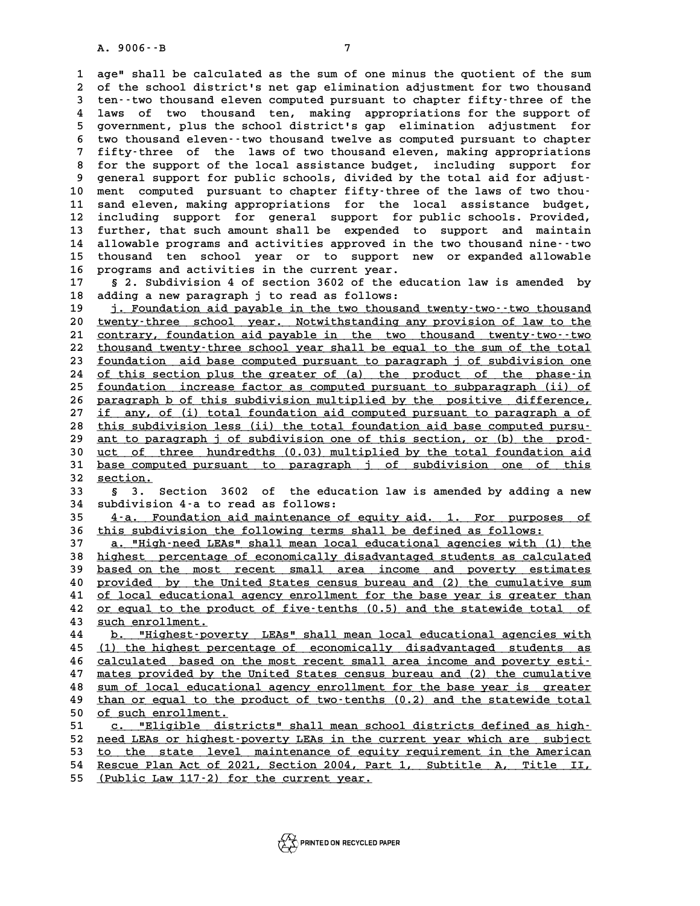**1 age" shall be calculated as the sum of one minus the quotient of the sum 2** age" shall be calculated as the sum of one minus the quotient of the sum<br>2 of the school district's net gap elimination adjustment for two thousand<br>3 ten..two thousand eleven computed pursuant to chanter fifty.three of **3** age" shall be calculated as the sum of one minus the quotient of the sum<br>2 of the school district's net gap elimination adjustment for two thousand<br>3 ten--two thousand eleven computed pursuant to chapter fifty-three of 2 of the school district's net gap elimination adjustment for two thousand<br>3 ten--two thousand eleven computed pursuant to chapter fifty-three of the<br>4 laws of two thousand ten, making appropriations for the support of<br>5 c **5** ten-two thousand eleven computed pursuant to chapter fifty-three of the laws of two thousand ten, making appropriations for the support of government, plus the school district's gap elimination adjustment for 4 laws of two thousand ten, making appropriations for the support of<br>5 government, plus the school district's gap elimination adjustment for<br>6 two thousand eleven--two thousand twelve as computed pursuant to chapter<br>7 fift 5 government, plus the school district's gap elimination adjustment for<br>6 two thousand eleven - two thousand twelve as computed pursuant to chapter<br>7 fifty-three of the laws of two thousand eleven, making appropriations<br>fo **8 two thousand eleven--two thousand twelve as computed pursuant to chapter**<br>**8 for the support of the local assistance budget, including support for**<br>**8 for the support of the local assistance budget, including support fo** 9 fifty-three of the laws of two thousand eleven, making appropriations<br>
8 for the support of the local assistance budget, including support for<br>
9 general support for public schools, divided by the total aid for adjust-<br> 8 for the support of the local assistance budget, including support for<br>
9 general support for public schools, divided by the total aid for adjust-<br>
10 ment computed pursuant to chapter fifty-three of the laws of two thou-9 general support for public schools, divided by the total aid for adjust-<br>10 ment computed pursuant to chapter fifty-three of the laws of two thou-<br>11 sand eleven, making appropriations for the local assistance budget,<br>in 10 ment computed pursuant to chapter fifty-three of the laws of two thou-<br>11 sand eleven, making appropriations for the local assistance budget,<br>12 including support for general support for public schools. Provided,<br><sup>13</sup> f 11 sand eleven, making appropriations for the local assistance budget,<br>12 including support for general support for public schools. Provided,<br>13 further, that such amount shall be expended to support and maintain<br>14 allowa 12 including support for general support for public schools. Provided,<br>13 further, that such amount shall be expended to support and maintain<br>14 allowable programs and activities approved in the two thousand nine--two<br>15 t 13 further, that such amount shall be expended to support and maintain<br>14 allowable programs and activities approved in the two thousand nine--two<br>15 thousand ten school year or to support new or expanded allowable 14 allowable programs and activities approved in the thousand ten school year or to support n<br>16 programs and activities in the current year.<br>17 5.2 Subdivision 4 of sostion 3602 of the odu **15 thousand ten school year or to support new or expanded allowable**<br>**16 programs and activities in the current year.**<br>**17** § 2. Subdivision 4 of section 3602 of the education law is amended by

16 programs and activities in the current year.<br>17 § 2. Subdivision 4 of section 3602 of the edu<br>18 adding a new paragraph j to read as follows:<br>19 is Foundation aid pauphle in the tre thousand **17** s<sup>2</sup>. Subdivision 4 of section 3602 of the education law is amended by<br>18 adding a new paragraph j to read as follows:<br><u>j. Foundation aid payable in the two thousand twenty-two--two thousand</u><br>20 tworty-three spheel we

adding a new paragraph j to read as follows:<br>
19 i. Foundation aid payable in the two thousand twenty-two--two thousand<br>
20 <u>twenty-three school year. Notwithstanding any provision of law to the</u><br>
21 contrary foundation ai *i.* Foundation aid payable in the two thousand twenty-two--two thousand<br>20 <u>twenty-three school year. Notwithstanding any provision of law to the</u><br>21 <u>contrary, foundation aid payable in the two thousand twenty-two--two</u><br> 20 twenty-three school year. Notwithstanding any provision of law to the contrary, foundation aid payable in the two thousand twenty-two--two thousand twenty-three school year shall be equal to the sum of the total foundat 21 <u>contrary, foundation aid payable in the two thousand twenty-two--two</u><br>22 <u>thousand twenty-three school year shall be equal to the sum of the total</u><br>23 <u>foundation aid base computed pursuant to paragraph j of subdivisio</u> 22 <u>thousand twenty-three school year shall be equal to the sum of the total</u><br>23 <u>foundation aid base computed pursuant to paragraph j of subdivision one</u><br>24 <u>of this section plus the greater of (a) the product of the phas</u> foundation aid base computed pursuant to paragraph j of subdivision one<br>
of this section plus the greater of (a) the product of the phase-in<br>
<u>foundation increase factor</u> as computed pursuant to subparagraph (ii) of<br>
parag 24 of this section plus the greater of (a) the product of the phase-in<br>
25 <u>foundation increase factor</u> as computed pursuant to subparagraph (ii) of<br>
26 paragraph b of this subdivision multiplied by the positive difference 25 <u>foundation increase factor as computed pursuant to subparagraph (ii) of</u><br>26 <u>paragraph b of this subdivision multiplied by the positive difference,</u><br>27 <u>if any, of (i) total foundation aid computed pursuant to paragrap</u> **26 paragraph b of this subdivision multiplied by the positive difference,<br>
27 if any, of (i) total foundation aid computed pursuant to paragraph a of<br>
<u>this subdivision less</u> (ii) the total foundation aid base computed pu 16 28 11 223**<br> **29 ant to paragraph j of subdivision one of this section, or (b) the prod-**<br> **29 ant to paragraph j of subdivision one of this section, or (b) the prod-**<br> **20** ant of three hundredths (0.03) multiplied by this subdivision less (ii) the total foundation aid base computed pursu-<br>
29 <u>ant to paragraph j of subdivision one of this section, or (b) the product of three hundredths (0.03) multiplied by the total foundation aid<br>
31 </u> 39 ant to paragraph j of subdivision one of this section, or (b) the prod-<br>30 <u>uct of three hundredths (0.03) multiplied by the total foundation aid</u><br>31 <u>base computed pursuant to paragraph</u> j of subdivision one of this 30 <u>uct of the 31</u><br>31 <u>base comput</u><br>32 <u>section</u>. **31 base computed pursuant to paragraph j of subdivision one of this**<br>**32 <u>section.</u><br><b>53.** Section 3602 of the education law is amended by adding a new<br>**34** subdivision 4-a to read as follows:

**34 subdivision 4-a to read as follows: 33** 5 3. Section 3602 of the education law is amended by adding a new<br>34 subdivision 4-a to read as follows:<br><u>4-a. Foundation aid maintenance of equity aid. 1. For purposes of</u><br>this subdivision the following terms shall b

34 subdivision 4 -a to read as follows:<br>35 <u>4 -a. Foundation aid maintenance of equity aid. 1. For purposes</u><br>36 this subdivision the following terms shall be defined as follows:<br><sup>27</sup> 2. Wigherood Englished in more local ed **4-a. Foundation aid maintenance of equity aid. 1. For purposes of<br>
<u>this subdivision the following terms shall be defined as follows:<br>
<b>a. "High-need LEAs" shall mean local educational agencies with (1) the**<br> **highert per**</u>

**36 this subdivision the following terms shall be defined as follows:**<br> **37 a.** "High-need LEAs" shall mean local educational agencies with (1) the<br> **highest percentage of economically disadvantaged students as calculate 37 a.** "High-need LEAs" shall mean local educational agencies with (1) the highest percentage of economically disadvantaged students as calculated based on the most recent small area income and poverty estimates provide A provides the United States of economically disadvantaged students as calculated<br>
<u>10 based on the most recent small area income and poverty estimates</u><br>
40 <u>provided by the United States census bureau and (2) the cumulati</u> based on the most recent small area income and poverty estimates<br>40 provided by the United States census bureau and (2) the cumulative sum<br>41 of local educational agency enrollment for the base year is greater than<br>22 or e provided by the United States census bureau and (2) the cumulative sum<br>of local educational agency enrollment for the base year is greater than<br>or equal to the product of five-tenths (0.5) and the statewide total of<br>such e 41 <u>of local educationa</u><br>42 <u>or equal to the pro-</u><br>43 <u>such enrollment.</u> **42** <u>or equal to the product of five-tenths (0.5) and the statewide total of such enrollment.<br> **44** <u>b. "Highest-poverty LEAs" shall mean local educational agencies with</u><br> **45** (1) the bighest persontice of esconomically </u>

**43** <u>such enrollment.</u><br>
<u>b. "Highest poverty LEAs" shall mean local educational agencies with</u><br> **45** (1) the highest percentage of economically disadvantaged students as<br>  $\frac{16}{25}$  coloulated based on the meat meant sma **6. "Highest-poverty LEAs" shall mean local educational agencies with<br>
<u>45 (1) the highest percentage of economically disadvantaged students as<br>
calculated based on the most recent small area income and poverty esti-<br>
aris**</u> 45 (1) the highest percentage of economically disadvantaged students as<br>46 calculated based on the most recent small area income and poverty esti-<br>47 mates provided by the United States census bureau and (2) the cumulative calculated based on the most recent small area income and poverty esti-<br>47 <u>mates provided by the United States census bureau and (2) the cumulative<br><u>sum of local educational agency enrollment for the base year is greater</u></u> A a that of the provided by the United States census bureau and (2) the cumulative sum of local educational agency enrollment for the base year is greater than or equal to the product of two-tenths (0.2) and the statewide <u>sum of local educational agency enrollment for the base year is greater<br> **50** <u>of such enrollment.</u><br> **51** c. "Eligible districts" shall mean school districts defined as high-</u> than or equal to the product of two-tenths (0.2) and the statewide total<br>
<u>of such enrollment.</u><br>
<u>C. "Eligible districts" shall mean school districts defined as high-</u><br>
<u>peed</u> LEAs or highest-poverty LEAs in the current ye

51 c. "Eligible districts" shall mean school districts defined as high-<br>52 <u>need LEAs or highest-poverty LEAs in the current year which are subject</u><br>53 to the state level maintenance of equity requirement in the American 53 <u>to the state level maintenance of equity requirement in the American</u><br>54 Rescue Plan Act of 2021, Section 2004, Part 1, Subtitle A, Title II, 52 <u>need LEAs or highest-poverty LEAs in the current year which are subject</u><br>53 <u>to the state level maintenance of equity requirement in the American</u><br><u>Rescue Plan Act of 2021, Section 2004, Part 1, Subtitle A, Title II,</u> 53 to the state level maintenance of equit<br>54 Rescue Plan Act of 2021, Section 2004, Part<br>55 (Public Law 117-2) for the current year.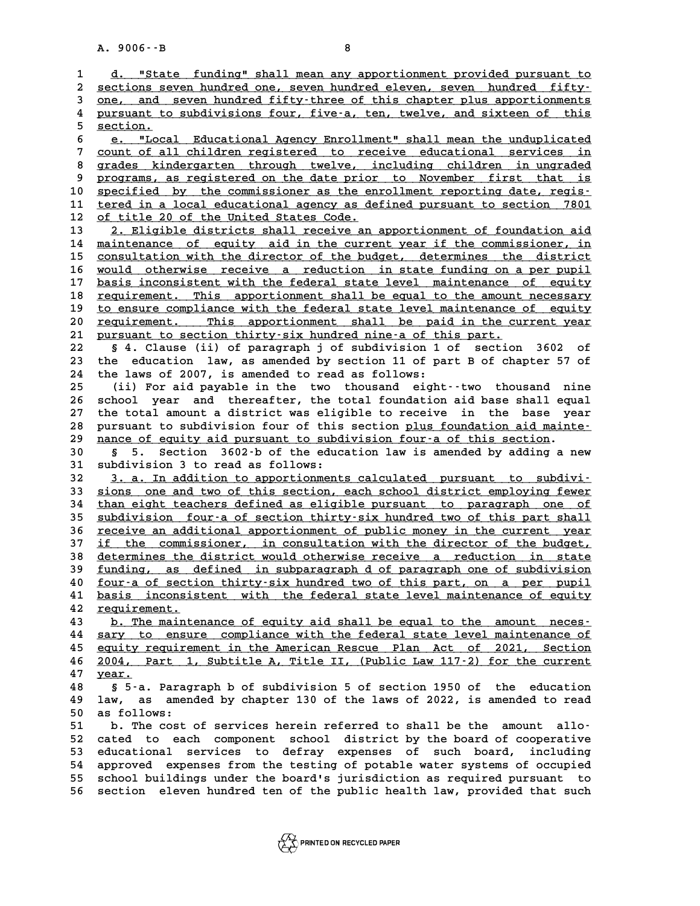|              | $A. 9006 - B$<br>8                                                                                                                             |
|--------------|------------------------------------------------------------------------------------------------------------------------------------------------|
|              |                                                                                                                                                |
| $\mathbf{1}$ | d. "State funding" shall mean any apportionment provided pursuant to<br>sections seven hundred one, seven hundred eleven, seven hundred fifty- |
| 2<br>3       | one, and seven hundred fifty-three of this chapter plus apportionments                                                                         |
| 4            | pursuant to subdivisions four, five-a, ten, twelve, and sixteen of this                                                                        |
| 5            | section.                                                                                                                                       |
| 6            | "Local Educational Agency Enrollment" shall mean the unduplicated<br>e.                                                                        |
| 7            | count of all children registered to receive educational services in                                                                            |
| 8            | grades kindergarten through twelve, including children in ungraded                                                                             |
| 9            | programs, as registered on the date prior to November first that is                                                                            |
| 10           | specified by the commissioner as the enrollment reporting date, regis-                                                                         |
| 11           | tered in a local educational agency as defined pursuant to section 7801                                                                        |
| 12           | of title 20 of the United States Code.                                                                                                         |
| 13           | 2. Eligible districts shall receive an apportionment of foundation aid                                                                         |
| 14           | maintenance of equity aid in the current year if the commissioner, in                                                                          |
| 15           | consultation with the director of the budget, determines the district                                                                          |
| 16           | would otherwise receive a reduction in state funding on a per pupil                                                                            |
| 17           | basis inconsistent with the federal state level maintenance of equity                                                                          |
| 18           | requirement. This apportionment shall be equal to the amount necessary                                                                         |
| 19           | to ensure compliance with the federal state level maintenance of equity                                                                        |
| 20           | requirement. This apportionment shall be paid in the current year                                                                              |
| 21           | pursuant to section thirty-six hundred nine-a of this part.                                                                                    |
| 22           | § 4. Clause (ii) of paragraph j of subdivision 1 of section 3602<br>оf                                                                         |
| 23           | the education law, as amended by section 11 of part B of chapter 57 of                                                                         |
| 24<br>25     | the laws of 2007, is amended to read as follows:<br>(ii) For aid payable in the two thousand eight--two thousand nine                          |
| 26           | school year and thereafter, the total foundation aid base shall equal                                                                          |
| 27           | the total amount a district was eligible to receive in the base year                                                                           |
| 28           | pursuant to subdivision four of this section plus foundation aid mainte-                                                                       |
| 29           | nance of equity aid pursuant to subdivision four-a of this section.                                                                            |
| 30           | Section 3602 b of the education law is amended by adding a new<br>S.<br>5.                                                                     |
| 31           | subdivision 3 to read as follows:                                                                                                              |
| 32           | 3. a. In addition to apportionments calculated pursuant to subdivi-                                                                            |
| 33           | sions one and two of this section, each school district employing fewer                                                                        |
| 34           | than eight teachers defined as eligible pursuant to paragraph one of                                                                           |
| 35           | subdivision four-a of section thirty-six hundred two of this part shall                                                                        |
| 36           | receive an additional apportionment of public money in the current year                                                                        |
| 37           | if the commissioner, in consultation with the director of the budget,                                                                          |
| 38           | <u>determines the district would otherwise receive a reduction in</u><br>state                                                                 |
| 39           | funding, as defined in subparagraph d of paragraph one of subdivision                                                                          |
| 40           | four-a of section thirty-six hundred two of this part, on a per pupil                                                                          |
| 41           | basis inconsistent with the federal state level maintenance of equity                                                                          |
| 42           | requirement.                                                                                                                                   |
| 43<br>44     | b. The maintenance of equity aid shall be equal to the amount neces-<br>sary to ensure compliance with the federal state level maintenance of  |
| 45           | equity requirement in the American Rescue Plan Act of 2021, Section                                                                            |
| 46           | 2004, Part 1, Subtitle A, Title II, (Public Law 117-2) for the current                                                                         |
| 47           | year.                                                                                                                                          |
| 48           | § 5-a. Paragraph b of subdivision 5 of section 1950 of the education                                                                           |
| 49           | law, as amended by chapter 130 of the laws of 2022, is amended to read                                                                         |
| 50           | as follows:                                                                                                                                    |
| 51           | b. The cost of services herein referred to shall be the amount allo-                                                                           |
| 52           | cated to each component school district by the board of cooperative                                                                            |
| 53           | services to defray expenses of such board,<br>educational<br>including                                                                         |
| 54           | approved expenses from the testing of potable water systems of occupied                                                                        |
| 55           | school buildings under the board's jurisdiction as required pursuant to                                                                        |
| 56           | eleven hundred ten of the public health law, provided that such<br>section                                                                     |

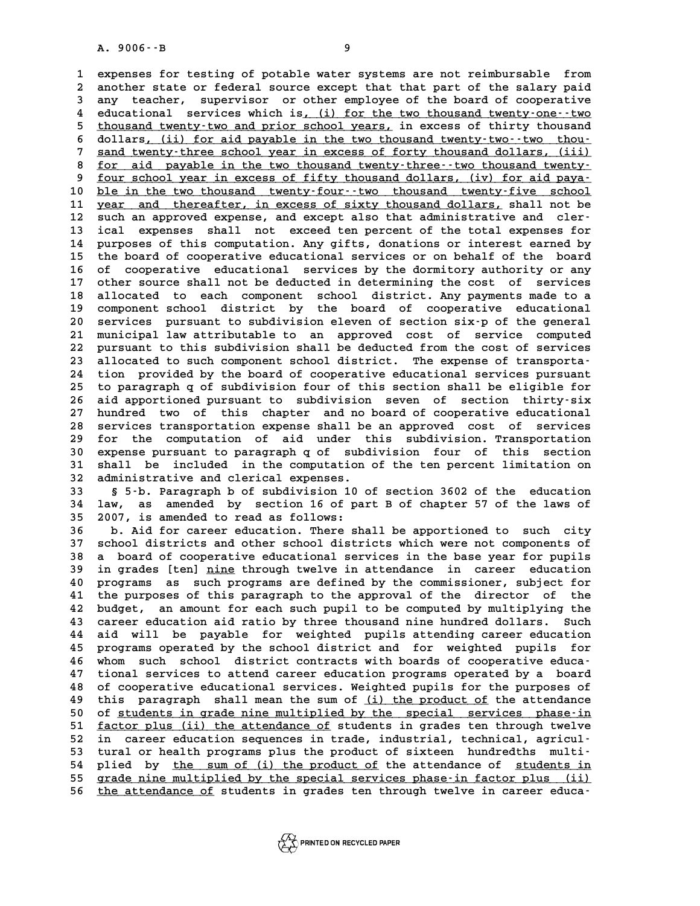**1 expenses for testing of potable water systems are not reimbursable from 2** expenses for testing of potable water systems are not reimbursable from<br>2 another state or federal source except that that part of the salary paid<br>3 any teacher, supervisor, or other employee of the board of cooperativ **3** expenses for testing of potable water systems are not reimbursable from<br>
2 another state or federal source except that that part of the salary paid<br>
3 any teacher, supervisor or other employee of the board of cooperati 2 another state or federal source except that that part of the salary paid<br>3 any teacher, supervisor or other employee of the board of cooperative<br>4 educational services which is, (i) for the two thousand twenty-one--two<br>5 3 any teacher, supervisor or other employee of the board of cooperative<br>4 educational services which is, (i) for the two thousand twenty-one--two<br>5 <u>thousand twenty-two and prior school years</u>, in excess of thirty thousand 4 educational services which is, (i) for the two thousand twenty-one-two<br>5 <u>thousand twenty-two and prior school years</u>, in excess of thirty thousand<br>6 dollars, (ii) for aid payable in the two thousand twenty-two-two thou-5 <u>thousand twenty-two and prior school years,</u> in excess of thirty thousand 6 dollars, (ii) for aid payable in the two thousand twenty-two--two thou-<br>7 sand twenty-three school year in excess of forty thousand dollars, (i 8 dollars, (ii) for aid payable in the two thousand twenty-two--two thou-<br>
8 sand twenty-three school year in excess of forty thousand dollars, (iii)<br>
8 for aid payable in the two thousand twenty-three--two thousand twenty 9 sand twenty-three school year in excess of forty thousand dollars, (iii)<br>
8 for aid payable in the two thousand twenty-three--two thousand twenty-<br>
<u>four school year in excess of fifty thousand dollars, (iv) for aid paya</u> 8 <u>for aid payable in the two thousand twenty-three--two thousand twenty-</u><br>
9 <u>four school year in excess of fifty thousand dollars, (iv) for aid paya-</u><br>
10 <u>ble in the two thousand twenty-four--two thousand twenty-five sc</u> **10** <u>four school year in excess of fifty thousand dollars, (iv) for aid payation ble in the two thousand twenty-four--two thousand twenty-five school year and thereafter, in excess of sixty thousand dollars, shall not be </u> **10** <u>ble in the two thousand twenty-four--two</u> thousand twenty-five school<br>
11 year and thereafter, in excess of sixty thousand dollars, shall not be<br>
12 such an approved expense, and except also that administrative and c 11 year and thereafter, in excess of sixty thousand dollars, shall not be<br>12 such an approved expense, and except also that administrative and cler-<br>13 ical expenses shall not exceed ten percent of the total expenses for<br>1 12 such an approved expense, and except also that administrative and cler-<br>13 ical expenses shall not exceed ten percent of the total expenses for<br>14 purposes of this computation. Any gifts, donations or interest earned by 13 ical expenses shall not exceed ten percent of the total expenses for<br>14 purposes of this computation. Any gifts, donations or interest earned by<br>15 the board of cooperative educational services by the dormitory authorit 14 purposes of this computation. Any gifts, donations or interest earned by 15 the board of cooperative educational services or on behalf of the board 16 of cooperative educational services by the dormitory authority or an 16 of cooperative educational services by the dormitory authority or any<br>17 other source shall not be deducted in determining the cost of services<br>18 allocated to each component school district. Any payments made to a 16 of cooperative educational services by the dormitory authority or any<br>17 other source shall not be deducted in determining the cost of services<br>18 allocated to each component school district. Any payments made to a<br>20 c 17 other source shall not be deducted in determining the cost of services<br>18 allocated to each component school district. Any payments made to a<br>19 component school district by the board of cooperative educational<br>20 servi 18 allocated to each component school district. Any payments made to a<br>19 component school district by the board of cooperative educational<br>20 services pursuant to subdivision eleven of section six-p of the general<br>21 muni 20 component school district by the board of cooperative educational<br>20 services pursuant to subdivision eleven of section six-p of the general<br>21 municipal law attributable to an approved cost of service computed<br>22 nursu 20 services pursuant to subdivision eleven of section six-p of the general<br>21 municipal law attributable to an approved cost of service computed<br>22 pursuant to this subdivision shall be deducted from the cost of services<br>2 21 municipal law attributable to an approved cost of service computed<br>
22 pursuant to this subdivision shall be deducted from the cost of services<br>
23 allocated to such component school district. The expense of transporta-22 pursuant to this subdivision shall be deducted from the cost of services<br>23 allocated to such component school district. The expense of transporta-<br>24 tion provided by the board of cooperative educational services pursu 23 allocated to such component school district. The expense of transporta-<br>24 tion provided by the board of cooperative educational services pursuant<br>25 to paragraph q of subdivision four of this section shall be eligible 24 tion provided by the board of cooperative educational services pursuant<br>25 to paragraph q of subdivision four of this section shall be eligible for<br>26 aid apportioned pursuant to subdivision seven of section thirty-six<br> 25 to paragraph q of subdivision four of this section shall be eligible for<br>26 aid apportioned pursuant to subdivision seven of section thirty-six<br>27 hundred two of this chapter and no board of cooperative educational<br>28 d 27 hundred two of this chapter and no board of cooperative educational<br>28 services transportation expense shall be an approved cost of services<br>29 for the computation of aid under this subdivision. Transportation 27 hundred two of this chapter and no board of cooperative educational<br>28 services transportation expense shall be an approved cost of services<br>29 for the computation of aid under this subdivision. Transportation<br>20 sympho **30 services transportation expense shall be an approved cost of services**<br> **30 expense pursuant to paragraph q of subdivision four of this section**<br> **30 expense pursuant to paragraph q of subdivision four of this section** 29 for the computation of aid under this subdivision. Transportation<br>30 expense pursuant to paragraph q of subdivision four of this section<br>31 shall be included in the computation of the ten percent limitation on<br>32 admini 30 expense pursuant to paragraph q of subd<br>31 shall be included in the computation<br>32 administrative and clerical expenses.<br>33 5.5.b Paragraph b of subdivision 10.0 **31 shall be included in the computation of the ten percent limitation on**<br>**32 administrative and clerical expenses.**<br>**33** § 5-b. Paragraph b of subdivision 10 of section 3602 of the education<br><sup>34</sup> layses are areaded by se

**32 administrative and clerical expenses.**<br>**33 § 5-b. Paragraph b of subdivision 10 of section 3602 of the education**<br>**34 law, as amended by section 16 of part B of chapter 57 of the laws of**<br>**35 2007 is amended to read as** 32 administrative and clerical expenses.<br>
33 § 5-b. Paragraph b of subdivision 10 of section 3602 of the education<br>
34 law, as amended by section 16 of part B of chapter 57 of the laws of<br>
35 2007, is amended to read as fo **14 law, as amended by section 16 of part B of chapter 57 of the laws of 2007, is amended to read as follows:**<br> **36** b. Aid for career education. There shall be apportioned to such city<br> **37** school districts and other sch

**37 school districts and other school districts which were not components of 36 b. Aid for career education. There shall be apportioned to such city**<br>37 school districts and other school districts which were not components of<br>38 a board of cooperative educational services in the base year for pupi 37 school districts and other school districts which were not components of<br>38 a board of cooperative educational services in the base year for pupils<br>39 in grades [ten] <u>nine</u> through twelve in attendance in career educat **40 a board of cooperative educational services in the base year for pupils**<br> **40 programs as such programs are defined by the commissioner, subject for**<br> **40 programs as such programs are defined by the commissioner, subj** 39 in grades [ten] <u>nine</u> through twelve in attendance in career education<br>40 programs as such programs are defined by the commissioner, subject for<br>41 the purposes of this paragraph to the approval of the director of the<br> 40 programs as such programs are defined by the commissioner, subject for<br>41 the purposes of this paragraph to the approval of the director of the<br>42 budget, an amount for each such pupil to be computed by multiplying the<br> 41 the purposes of this paragraph to the approval of the director of the<br>42 budget, an amount for each such pupil to be computed by multiplying the<br>43 career education aid ratio by three thousand nine hundred dollars. Such 42 budget, an amount for each such pupil to be computed by multiplying the<br>43 career education aid ratio by three thousand nine hundred dollars. Such<br>44 aid will be payable for weighted pupils attending career education<br>45 43 career education aid ratio by three thousand nine hundred dollars. Such<br>44 aid will be payable for weighted pupils attending career education<br>45 programs operated by the school district and for weighted pupils for<br>46 ph 44 aid will be payable for weighted pupils attending career education<br>45 programs operated by the school district and for weighted pupils for<br>46 whom such school district contracts with boards of cooperative educa-<br><sup>47</sup> ti 45 programs operated by the school district and for weighted pupils for<br>46 whom such school district contracts with boards of cooperative educa-<br>47 tional services to attend career education programs operated by a board<br>48 whom such school district contracts with boards of cooperative educa-<br>47 tional services to attend career education programs operated by a board<br>48 of cooperative educational services. Weighted pupils for the purposes of<br>t 47 tional services to attend career education programs operated by a board<br>48 of cooperative educational services. Weighted pupils for the purposes of<br>this paragraph shall mean the sum of <u>(i) the product of</u> the attendanc 48 of cooperative educational services. Weighted pupils for the purposes of<br>
49 this paragraph shall mean the sum of <u>(i) the product of</u> the attendance<br>
50 of <u>students in grade nine multiplied by the special services pha</u> 49 this paragraph shall mean the sum of <u>(i) the product of</u> the attendance<br>50 of <u>students in grade nine multiplied by the special services phase-in</u><br>51 <u>factor plus (ii) the attendance of</u> students in grades ten through 50 of <u>students in grade nine multiplied by the special services phase-in<br>
51 <u>factor plus (ii) the attendance of</u> students in grades ten through twelve<br>
52 in career education sequences in trade, industrial, technical, ag</u> 51 <u>factor plus (ii) the attendance of</u> students in grades ten through twelve<br>
52 in career education sequences in trade, industrial, technical, agricul-<br>
53 tural or health programs plus the product of sixteen hundredths 52 in career education sequences in trade, industrial, technical, agricul-<br>53 tural or health programs plus the product of sixteen hundredths multi-<br>54 plied by <u>the sum of (i) the product of</u> the attendance of <u>students i</u> 53 tural or health programs plus the product of sixteen hundredths multi-<br>54 plied by <u>the sum of (i) the product of</u> the attendance of <u>students in<br>55 grade nine multiplied by the special services phase-in factor plus (ii</u> 54 plied by <u>the sum of (i) the product of</u> the attendance of <u>students in</u><br>55 <u>grade nine multiplied by the special services phase in factor plus (ii)</u><br>56 <u>the attendance of</u> students in grades ten through twelve in caree

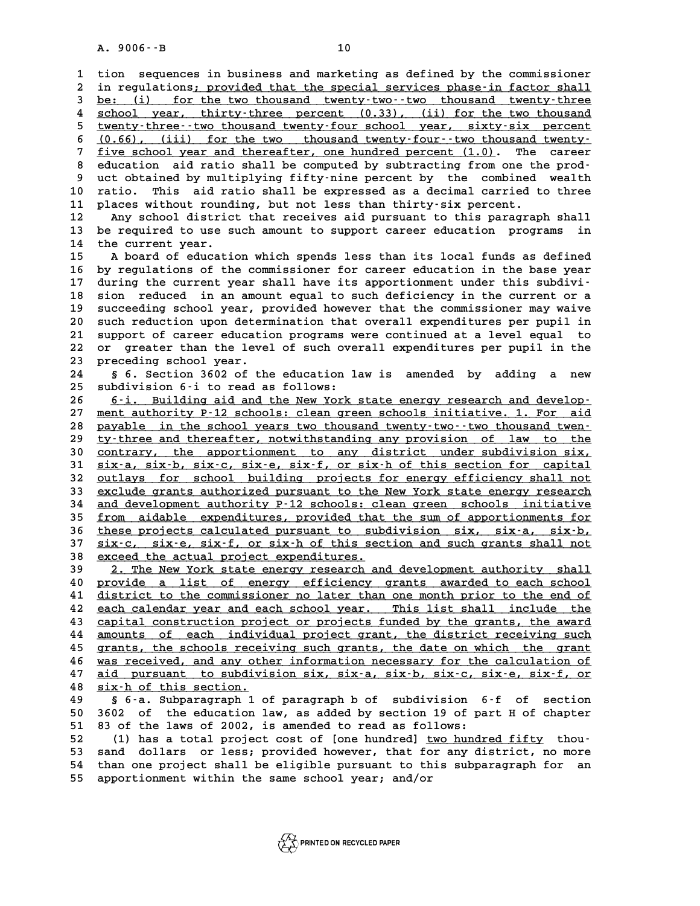**1 tion sequences in business and marketing as defined by the commissioner** 1 tion sequences in business and marketing as defined by the commissioner<br>2 in regulations<u>; provided that the special services phase-in factor shall</u><br>3 be: (i) for the two thousand twenty-two--two thousand twenty-three 1 tion sequences in business and marketing as defined by the commissioner<br>
2 in regulations; provided that the special services phase-in factor shall<br>
3 <u>be: (i)</u> for the two thousand twenty-two--two thousand twenty-three<br> in regulations; provided that the special services phase-in factor shall<br> **4** <u>school year, thirty-three</u> percent (0.33), (ii) for the two thousand<br> **1** two-tu-three two thousand two-tu-four shall wear, sixtusive percent be: (i) for the two thousand twenty-two--two thousand twenty-three<br>
school year, thirty-three percent  $(0.33)$ , (ii) for the two thousand<br>  $\frac{t$ wenty-three--two thousand twenty-four school year, sixty-six percent<br>  $\frac{t}{t$ 4 school year, thirty-three percent  $(0.33)$ , (ii) for the two thousand<br>
5 twenty-three--two thousand twenty-four-school year, sixty-six percent<br>  $\frac{(0.66)}{\text{time}}$ , (iii) for the two thousand twenty-four--two thousand twenty For the school year, sixty-six percent<br>  $\frac{(0.66)}{10.66}$ , (iii) for the two thousand twenty-four--two thousand twenty-<br>
Tive school year and thereafter, one hundred percent (1.0). The career<br>
contained and thereafter, one 8 (0.66), (iii) for the two thousand twenty-four--two thousand twenty-<br> **8 five school year and thereafter**, one hundred percent (1.0). The career<br> **8 education** aid ratio shall be computed by subtracting from one the prod Five school year and thereafter, one hundred percent (1.0). The career<br>education aid ratio shall be computed by subtracting from one the prod-<br>out obtained by multiplying fifty-nine percent by the combined wealth<br>a ratio s 8 education aid ratio shall be computed by subtracting from one the prod-<br>9 uct obtained by multiplying fifty-nine percent by the combined wealth<br>10 ratio. This aid ratio shall be expressed as a decimal carried to three<br>11 9 uct obtained by multiplying fifty-nine percent by the combined<br>10 ratio. This aid ratio shall be expressed as a decimal carried t<br>11 places without rounding, but not less than thirty-six percent.<br>12 Apr school district t 10 ratio. This aid ratio shall be expressed as a decimal carried to three<br>11 places without rounding, but not less than thirty-six percent.<br>12 he required to use such amount to support gareer education programs in

11 places without rounding, but not less than thirty-six percent.<br>12 Any school district that receives aid pursuant to this paragraph shall<br>13 be required to use such amount to support career education programs in<br>14 the g 12 Any school distric<br>13 be required to use s<br>14 the current year.<br>15 A board of educati 13 be required to use such amount to support career education programs in<br>14 the current year.<br>15 A board of education which spends less than its local funds as defined<br>16 hy requisions of the commissioner for sareor educa

14 the current year.<br>15 A board of education which spends less than its local funds as defined<br>16 by regulations of the commissioner for career education in the base year<br>17 during the current wear shall have its apperties 15 A board of education which spends less than its local funds as defined<br>16 by regulations of the commissioner for career education in the base year<br>17 during the current year shall have its apportionment under this subdi **16 by regulations of the commissioner for career education in the base year**<br>17 during the current year shall have its apportionment under this subdivi-<br>18 sion reduced in an amount equal to such deficiency in the current 17 during the current year shall have its apportionment under this subdivi-<br>18 sion reduced in an amount equal to such deficiency in the current or a<br>19 succeeding school year, provided however that the commissioner may wa 18 sion reduced in an amount equal to such deficiency in the current or a<br>19 succeeding school year, provided however that the commissioner may waive<br>20 such reduction upon determination that overall expenditures per pupil 21 succeeding school year, provided however that the commissioner may waive<br>20 such reduction upon determination that overall expenditures per pupil in<br>21 support of career education programs were continued at a level equa 20 such reduction upon determination that overall expenditures per pupil in<br>21 support of career education programs were continued at a level equal to<br>22 or greater than the level of such overall expenditures per pupil in 21 support of career educaties<br>
22 or greater than the leve<br>
23 preceding school year.<br>
24 5 6 Sotion 2602 of the 22 or greater than the level of such overall expenditures per pupil in the<br>23 preceding school year.<br>24 § 6. Section 3602 of the education law is amended by adding a new<br>25 subdivision 6.i to road as follows:

23 preceding school year.<br>
24 § 6. Section 3602 of the education law is amended by adding a new<br>
25 subdivision 6-i to read as follows:<br>
26 § 6-i. Building aid and the New York state energy research and develop-

**26 6-i. Building aid and the New York state energy research and develop- \_\_\_\_\_\_\_\_\_\_\_\_\_\_\_\_\_\_\_\_\_\_\_\_\_\_\_\_\_\_\_\_\_\_\_\_\_\_\_\_\_\_\_\_\_\_\_\_\_\_\_\_\_\_\_\_\_\_\_\_\_\_\_\_\_\_\_\_\_\_** 27 <u>ment authority P-12 schools: clean green schools initiative. 1. For aid</u><br>28 pavable in the school vears two thousand twenty-two--two thousand twen-28 <u>payable in the school years two thousand twenty-two--two thousand twen-</u><br>29 ty-three and thereafter, notwithstanding any provision of law to the 27 <u>ment authority P-12 schools: clean green schools initiative. 1. For aid</u><br>28 <u>payable in the school years two thousand twenty-two--two thousand twen-</u><br>29 ty-three and thereafter, notwithstanding any provision of law to **30 payable in the school years two thousand twenty-two--two thousand twen-**<br> **29 ty-three and thereafter, notwithstanding any provision of law to the**<br> **30 contrary, the apportionment to any district under subdivision six 131 six-a, six-b, six-c, six-e, six-f, or six-h of this section for capital**<br> **31 six-a, six-b, six-c, six-e, six-f, or six-h of this section for capital**<br> **31 six-a, six-b, six-c, six-e, six-f, or six-h of this section f** 30 contrary, the apportionment to any district under subdivision six,<br>31 <u>six-a, six-b, six-c, six-e, six-f, or six-h of this section for capital</u><br>32 <u>outlays for school building projects for energy efficiency shall not</u><br>3 31 <u>six-a, six-b, six-c, six-e, six-f, or six-h of this section for capital</u><br>32 <u>outlays for school building projects for energy efficiency shall not</u><br>33 <u>exclude grants authorized pursuant to the New York state energy res</u> 32 <u>outlays for school building projects for energy efficiency shall not</u><br>33 <u>exclude grants authorized pursuant to the New York state energy research</u><br>34 <u>and development authority P-12 schools: clean green schools initia</u> 33 exclude grants authorized pursuant to the New York state energy research<br>34 and development authority P-12 schools: clean green schools initiative<br>35 <u>from aidable expenditures, provided that the sum of apportionments f</u> 34 and development authority P-12 schools: clean green schools initiative<br>35 <u>from aidable expenditures, provided that the sum of apportionments for</u><br>36 <u>these projects calculated pursuant to subdivision six, six-a, six-b,</u> **35** <u>from aidable expenditures, provided that the sum of apportionments for these projects calculated pursuant to subdivision six, six-a, six-b, six-c, six-e, six-f, or six-h of this section and such grants shall not supp</u> 36 these projects calculated pursuant to sub<br>37 <u>six-c, six-e, six-f, or six-h of this sec</u><br>38 <u>exceed the actual project expenditures.</u><br>29 . The Now York state energy research and 37 <u>six-c, six-e, six-f, or six-h of this section and such grants shall not<br>38 exceed the actual project expenditures.<br><u>2. The New York state energy research and development authority shall</u><br>2. The New York state energy re</u>

ab the exceed the actual project expenditures.<br> **40** 2. The New York state energy research and development authority shall<br> **40** provide a list of energy efficiency grants awarded to each school<br> **41** district to the commi **41** <u>district to the commissioner no later than one month prior to the end of</u><br>42 each calendar year and each school year. This list shall include the **42** each calendar year and each school year. This list shall include the<br>43 capital construction project or projects funded by the grants, the award **41** district to the commissioner no later than one month prior to the end of each calendar year and each school year. This list shall include the capital construction project or projects funded by the grants, the award am **42** each calendar year and each school year. This list shall include the<br>43 capital construction project or projects funded by the grants, the award<br>44 amounts of each individual project grant, the district receiving such capital construction project or projects funded by the grants, the award<br>44 amounts of each individual project grant, the district receiving such<br><u>grants, the schools receiving such grants, the date on which the grant</u><br>16 44 <u>amounts of each individual project grant, the district receiving such</u><br>45 grants, the schools receiving such grants, the date on which the grant<br>46 was received, and any other information necessary for the calculation 45 grants, the schools receiving such grants, the date on which the grant<br>46 was received, and any other information necessary for the calculation of<br>47 aid pursuant to subdivision six, six-a, six-b, six-c, six-e, six-f, o 46 <u>was received, and any oth</u><br>47 <u>aid pursuant to subdivi</u><br>48 <u>six-h of this section.</u><br>49 5 f. 2 Subparagraph 1.2 **47** aid pursuant to subdivision six, six-a, six-b, six-c, six-e, six-f, or<br> **48** six-h of this section.<br> **49** s 6-a. Subparagraph 1 of paragraph b of subdivision 6-f of section<br> **49** a 3602 of the education law as added b

#### **50 3602 of the education law, as added by section 19 of part H of chapter 51 83 of the education law, as added by section 19 of paragraph 33 of the education law, as added by section 19 of paragraph 83 of the laws of 2002, is amended to read as follows:** 50 3602 of the education law, as added by section 19 of part H of chapter<br>51 83 of the laws of 2002, is amended to read as follows:<br>52 (1) has a total project cost of [one hundred] <u>two hundred fifty</u> thou-<br>53 sand dollars

51 83 of the laws of 2002, is amended to read as follows:<br>
52 (1) has a total project cost of [one hundred] <u>two hundred fifty</u> thou-<br>
53 sand dollars or less; provided however, that for any district, no more<br>
54 than ano 52 (1) has a total project cost of [one hundred] <u>two hundred fifty</u> thou-<br>53 sand dollars or less; provided however, that for any district, no more<br>54 than one project shall be eligible pursuant to this subparagraph for a 53 sand dollars or less; provided however, that fo<br>54 than one project shall be eligible pursuant to th<br>55 apportionment within the same school year; and/or

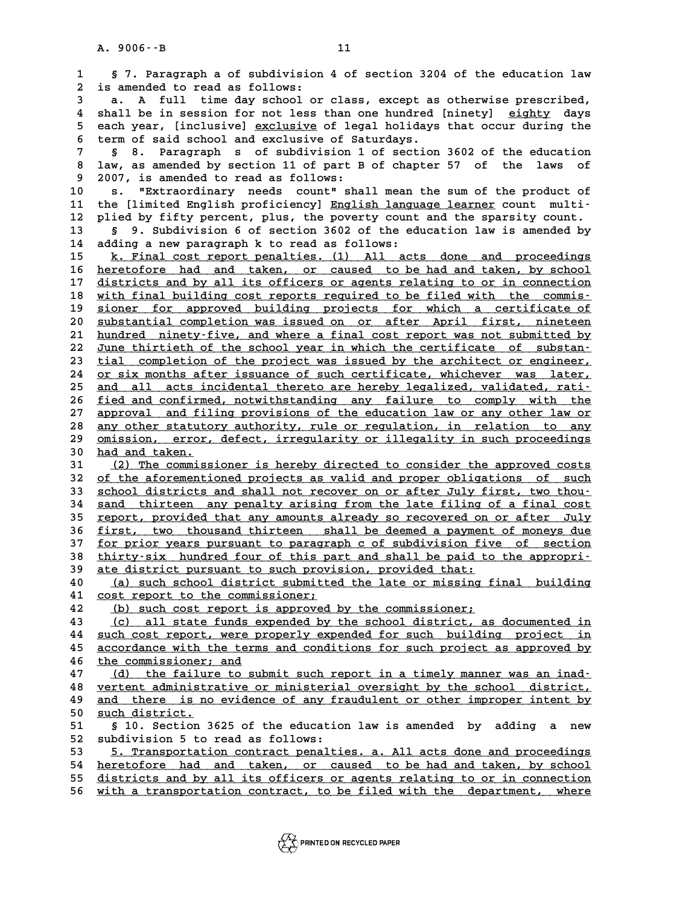**1 § 7. Paragraph a of subdivision 4 of section 3204 of the education law 2 is amended to read as follows: 3 a. Paragraph a of subdivision 4 of section 3204 of the education law**<br> **3 a. A full time day school or class, except as otherwise prescribed,**<br> **3 a. A full time day school or class, except as otherwise prescribed,**<br> **4 4 shall be in section for the interest of the in session for not less than one hundred [ninety] eighty days**<br>4 shall be in session for not less than one hundred [ninety] eighty days<br>5 cash wear, [inclusive] evaluaive of l **5 a.** A full time day school or class, except as otherwise prescribed,<br>4 shall be in session for not less than one hundred [ninety] eighty days<br>5 each year, [inclusive] exclusive of legal holidays that occur during the<br> 4 shall be in session for not less than one hundred<br>5 each year, [inclusive] <u>exclusive</u> of legal holidays<br>6 term of said school and exclusive of Saturdays. **7** each year, [inclusive] exclusive of legal holidays that occur during the<br> **6** term of said school and exclusive of Saturdays.<br> **8** 8. Paragraph s of subdivision 1 of section 3602 of the education<br>
<sup>2</sup> law as appealed b **8 term of said school and exclusive of Saturdays.**<br> **8 8. Paragraph s of subdivision 1 of section 3602 of the education**<br> **8 law, as amended by section 11 of part B of chapter 57 of the laws of**<br> **8 2007 is amended to rea 9 8. Paragraph s of subdivision 1**<br>**9 2007, is amended to read as follows:**<br>**9 2007, is amended to read as follows: 10 8 1aw, as amended by section 11 of part B of chapter 57 of the laws of**<br>**10 s. "Extraordinary needs count" shall mean the sum of the product of**<br>**11 the Ulimited Forlish proficiencyl Forlish language learner count mult** 2007, is amended to read as follows:<br>
10 s. "Extraordinary needs count" shall mean the sum of the product of<br>
11 the [limited English proficiency] English language learner count multi-<br>
<sup>12</sup> plied by fifty persont, plus, t **10** s. "Extraordinary needs count" shall mean the sum of the product of<br> **11** the [limited English proficiency] <u>English language learner</u> count multi-<br> **12** plied by fifty percent, plus, the poverty count and the sparsit 11 the [limited English proficiency] English language learner count multi-<br>12 plied by fifty percent, plus, the poverty count and the sparsity count.<br>13 § 9. Subdivision 6 of section 3602 of the education law is amended by plied by fifty percent, plus, the poverty count and the sparsity count.<br>13 § 9. Subdivision 6 of section 3602 of the education law is amended by<br>14 adding a new paragraph k to read as follows:<br>15 k. Final cost report penal 15 k. Final cost report penalties. (1) All acts done and proceedings<br>16 heretofore had and taken, or caused to be had and taken, by school adding a new paragraph k to read as follows:<br>
15 k. Final cost report penalties. (1) All acts done and proceedings<br>
16 heretofore had and taken, or caused to be had and taken, by school<br>
17 districts and by all its officer **15 k. Final cost report penalties. (1) All acts done and proceedings**<br>16 <u>heretofore had and taken, or caused to be had and taken, by school</u><br>17 <u>districts and by all its officers or agents relating to or in connection</u><br>w 16 <u>heretofore had and taken, or caused to be had and taken, by school</u><br>17 <u>districts and by all its officers or agents relating to or in connection</u><br>18 with final building cost reports required to be filed with the commis 17 districts and by all its officers or agents relating to or in connection<br>18 with final building cost reports required to be filed with the commis-<br>19 sioner for approved building projects for which a certificate of<br>20 s <u>with final building cost reports required to be filed with the commis-</u><br>19 <u>sioner for approved building projects for which a certificate of</u><br>20 <u>substantial completion was issued on or after April first, nineteen</u><br>21 <u>hu</u> 20 <u>sioner for approved building projects for which a certificate of</u><br>20 <u>substantial completion was issued on or after April first, nineteen</u><br>21 <u>hundred ninety-five, and where a final cost report was not submitted by</u><br>22 20 substantial completion was issued on or after April first, nineteen<br>
21 hundred ninety-five, and where a final cost report was not submitted by<br>
22 June thirtieth of the school year in which the certificate of substan-<br> 21 <u>hundred ninety-five, and where a final cost report was not submitted by<br>22 June thirtieth of the school year in which the certificate of substan-<br>23 tial completion of the project was issued by the architect or enginee</u> I June thirtieth of the school year in which the certificate of substance of the project was issued by the architect or engineer,<br>
24 <u>or six months after issuance of such certificate, whichever was later,</u><br>
25 and 211 ast <sup>23</sup> tial completion of the project was issued by the architect or engineer,<br>
<sup>24</sup> or six months after issuance of such certificate, whichever was later,<br>
<sup>25</sup> and all acts incidental thereto are hereby legalized, validate 24 <u>or six months after issuance of such certificate, whichever was later,</u><br>25 <u>and all acts incidental thereto are hereby legalized, validated, rati-</u><br>26 <u>fied and confirmed, notwithstanding any failure to comply with the</u> 25 <u>and all acts incidental thereto are hereby legalized, validated, rati-</u><br>26 <u>fied and confirmed, notwithstanding any failure to comply with the</u><br>27 approval and filing provisions of the education law or any other law or 26 <u>fied and confirmed, notwithstanding any failure to comply with the</u><br>27 approval and filing provisions of the education law or any other law or<br>28 <u>any other statutory authority, rule or regulation, in relation to any</u><br> 27 approval and filing provisions of the education law or any other law or<br>28 any other statutory authority, rule or regulation, in relation to any<br>29 omission, error, defect, irregularity or illegality in such proceedings 28 <u>any other statuto</u><br>29 <u>omission, error,</u><br>30 <u>had and taken.</u><br>31 (2) The commiss 81 <u>bad and taken.</u><br>
31 <u>(2) The commissioner is hereby directed to consider the approved costs</u><br>
32 <u>of the aforementioned projects</u> as valid and proper obligations of such **30** <u>had and taken.</u><br> **31** (2) The commissioner is hereby directed to consider the approved costs<br> **32** <u>of the aforementioned projects as valid and proper obligations of such</u><br> **33** school districts and shall not recover 31 (2) The commissioner is hereby directed to consider the approved costs<br>32 of the aforementioned projects as valid and proper obligations of such<br>33 <u>school districts and shall not recover on or after July first, two tho</u> 32 <u>of the aforementioned projects as valid and proper obligations of such</u><br>33 <u>school districts and shall not recover on or after July first, two thou-</u><br>34 <u>sand thirteen any penalty arising from the late filing of a fina</u> 33 <u>school districts and shall not recover on or after July first, two thou-</u><br>34 <u>sand thirteen any penalty arising from the late filing of a final cost</u><br>35 <u>report, provided that any amounts already so recovered on or aft</u> 34 sand thirteen any penalty arising from the late filing of a final cost<br>35 <u>report, provided that any amounts already so recovered on or after July</u><br>36 <u>first, two thousand thirteen shall be deemed a payment of moneys du</u> **35** <u>report, provided that any amounts already so recovered on or after July</u><br>36 <u>first, two thousand thirteen shall be deemed a payment of moneys due</u><br>37 <u>for prior years pursuant to paragraph c of subdivision five of se</u> 36 <u>first, two thousand thirteen shall be deemed a payment of moneys due</u><br>37 <u>for prior years pursuant to paragraph c of subdivision five of section</u><br>28 thirty-six hundred four of this part and shall be paid to the appropr **37** <u>for prior years pursuant to paragraph c of subdivision fiv</u><br>38 thirty-six hundred four of this part and shall be paid to<br>39 ate district pursuant to such provision, provided that:<br>(a) such school district submitted t 48 thirty-six hundred four of this part and shall be paid to the appropri-<br>
40 <u>(a) such school district submitted the late or missing final building</u><br>
41 cost report to the commissioner. thirty-six hundred four of this part and shall be paid to the appropri-<br> **40** ate district pursuant to such provision, provided that:<br> **40** (a) such school district submitted the late or missing final building<br> **41** cost r 40 (a) such school district submitted the late or missing f<br>
41 cost report to the commissioner;<br>
42 (b) such cost report is approved by the commissioner;<br>
43 (c) all state funds expended by the school district **43** (c) all state funds expended by the school district, as documented in<br>**44** such cost report, were properly expended for such building project in **42** (b) such cost report is approved by the commissioner;<br> **43** (c) all state funds expended by the school district, as documented in<br>
<u>such cost report, were properly expended for such building project in</u><br> **45** accordan 43 (c) all state funds expended by the school district, as documented in<br>44 <u>such cost report, were properly expended for such building project in</u><br>45 <u>accordance with the terms and conditions for such project as approved </u> 44 such cost report, were p<br>45 <u>accordance with the term</u><br>46 <u>the commissioner; and</u><br>47 (d) the failure to sui 45 <u>accordance with the terms and conditions for such project as approved by<br>46 <u>the commissioner; and</u><br>47 (d) the failure to submit such report in a timely manner was an inad-<br>48 vertent administrative or ministerial over</u> **46** <u>the commissioner; and</u><br> **47** (d) the failure to submit such report in a timely manner was an inad-<br>
<u>pertent administrative or ministerial oversight by the school district,</u><br>
and there is no evidence of any fraudulen **47** (d) the failure to submit such report in a timely manner was an inad-<br>48 vertent administrative or ministerial oversight by the school district,<br>49 and there is no evidence of any fraudulent or other improper intent b <u>overtent administrative or ministerial oversight by the school district,<br> **50** <u>such district.</u><br>
51 s 10. Section 3625 of the education law is amended by adding a new</u> **50** <u>such district.</u><br>50 <u>such district.</u><br>51 § 10. Section 3625 of the education law is amended by adding a new<br>52 subdivision 5 to read as follows: 51 § 10. Section 3625 of the education law is amended by adding a new<br>52 subdivision 5 to read as follows:<br>53 5. Transportation contract penalties. a. All acts done and proceedings 53 <u>5. Transportation contract penalties. a. All acts done and proceedings</u><br>54 heretofore had and taken, or caused to be had and taken, by school 52 subdivision 5 to read as follows:<br>
53 5. Transportation contract penalties. a. All acts done and proceedings<br>
<u>heretofore had and taken, or caused to be had and taken, by school</u><br>
55 districts and by all its officers or 53 5. Transportation contract penalties. a. All acts done and proceedings<br>
54 heretofore had and taken, or caused to be had and taken, by school<br>
55 districts and by all its officers or agents relating to or in connection<br> be the same of the same of the same of the same of the department of the districts and by all its officers or agents relating to or in connection with a transportation contract, to be filed with the department, where

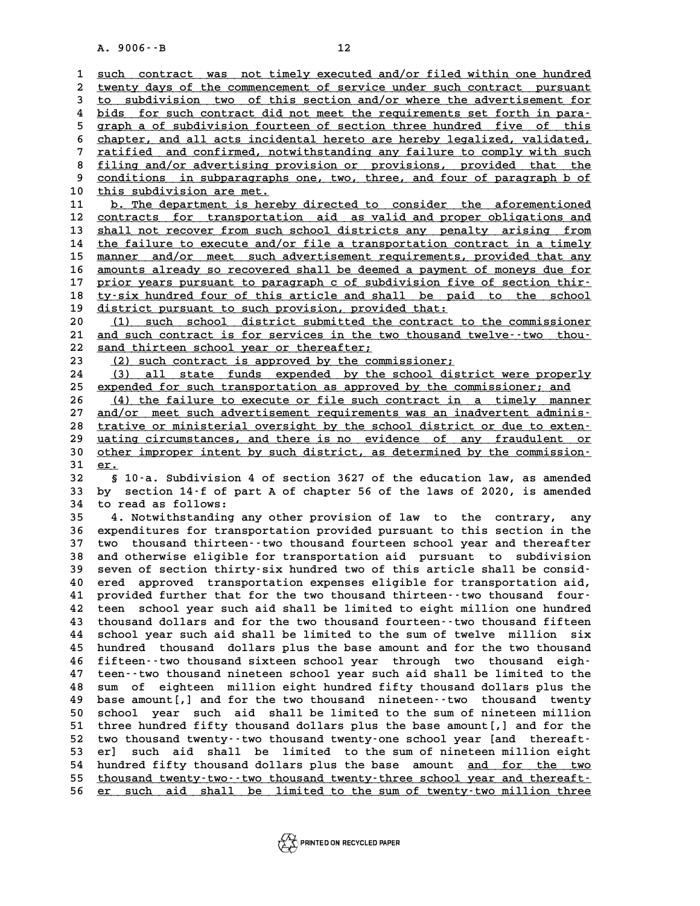A. 9006 · - B<br>12<br>1 <u>such contract was not timely executed and/or filed within one hundred</u><br>2 typesty days of the commensement of service under such contrast pursuant 2 <u>such contract was not timely executed and/or filed within one hundred</u><br>2 <u>twenty days of the commencement of service under such contract pursuant</u><br>3 to subdivision, type of this section and/or where the advertisement fo 3 such contract was not timely executed and/or filed within one hundred<br>2 twenty days of the commencement of service under such contract pursuant<br>3 to subdivision two of this section and/or where the advertisement for<br>bids twenty days of the commencement of service under such contract pursuant<br>
<u>to subdivision two</u> of this section and/or where the advertisement for<br>
bids for such contract did not meet the requirements set forth in para-<br>
ser to subdivision two of this section and/or where the advertisement for<br>
4 bids for such contract did not meet the requirements set forth in para-<br>
5 graph a of subdivision fourteen of section three hundred five of this<br>
cha 4 bids for such contract did not meet the requirements set forth in para-<br>5 graph a of subdivision fourteen of section three hundred five of this<br>6 chapter, and all acts incidental hereto are hereby legalized, validated,<br>7 **9 raph a of subdivision fourteen of section three hundred five of this**<br> **6** chapter, and all acts incidental hereto are hereby legalized, validated,<br> **pairing and confirmed, notwithstanding any failure to comply with suc** 8 chapter, and all acts incidental hereto are hereby legalized, validated, ratified and confirmed, notwithstanding any failure to comply with such filing and/or advertising provision or provisions, provided that the condit **Propertive and confirmed, notwithstanding any failure to comply with such filing and/or advertising provision or provisions, provided that the conditions in subparagraphs one, two, three, and four of paragraph b of** this 8 <u>filing and/or advertising provision or provisions, provided that the</u><br>9 <u>conditions in subparagraphs one, two, three, and four of paragraph b of</u><br>10 <u>this subdivision are met.</u><br>11 b. The department is hereby directed to 9 conditions in subparagraphs one, two, three, and four of paragraph b of<br>
10 <u>this subdivision are met.</u><br>
11 <u>b. The department is hereby directed to consider the aforementioned</u><br>
22 contracts for transportation aid as un this subdivision are met.<br>
11 b. The department is hereby directed to consider the aforementioned<br>
12 contracts for transportation aid as valid and proper obligations and<br>
13 shall not recover from such school districts an **11** b. The department is hereby directed to consider the aforementioned<br> **12** contracts for transportation aid as valid and proper obligations and<br> **Example 11** into failure to execute and/or file a transportation contrac 212 contracts for transportation aid as valid and proper obligations and<br>
13 shall not recover from such school districts any penalty arising from<br>
14 the failure to execute and/or file a transportation contract in a timel **13** shall not recover from such school districts any penalty arising from<br>
14 the failure to execute and/or file a transportation contract in a timely<br>
15 manner and/or meet such advertisement requirements, provided that the failure to execute and/or file a transportation contract in a timely<br>
15 <u>manner and/or meet</u> such advertisement requirements, provided that any<br>
16 <u>amounts already so recovered shall be deemed a payment of moneys due</u> manner and/or meet such advertisement requirements, provided that any<br>
16 <u>amounts already so recovered shall be deemed a payment of moneys due for</u><br>
17 prior years pursuant to paragraph c of subdivision five of section th **16 amounts already so recovered shall be deemed a payment of moneys due for**<br>17 prior years pursuant to paragraph c of subdivision five of section thir-<br>18 ty-six hundred four of this article and shall be paid to the scho 17 <u>prior years pursuant to paragraph c of subdivision five of section thir-</u><br>18 <u>ty-six hundred four of this article and shall be paid to the school</u><br>19 <u>district pursuant to such provision</u>, provided that:<br>20 (1) such sc **20 (1) such school district submitted the contract to the commissioner \_\_\_\_\_\_\_\_\_\_\_\_\_\_\_\_\_\_\_\_\_\_\_\_\_\_\_\_\_\_\_\_\_\_\_\_\_\_\_\_\_\_\_\_\_\_\_\_\_\_\_\_\_\_\_\_\_\_\_\_\_\_\_\_\_\_\_\_\_\_** district pursuant to such provision, provided that:<br>
20 (1) such school district submitted the contract to the commissioner<br>
21 and such contract is for services in the two thousand twelve--two thou-<br>
22 and thirteen schoo 22 <u>sand thirteen school year or thereafter;</u><br>23 (2) such contract is approved by the commissioner; 21 and such contract is for services in the two thousand the sand thirteen school year or thereafter;<br>
23 (2) such contract is approved by the commissioner;<br>
24 (3) all state funds expended by the school distr 22 <u>sand thirteen school year or thereafter;</u><br>
23 (2) such contract is approved by the commissioner;<br>
24 (3) all state funds expended by the school district were properly<br>
25 expended for such transportation as approved by **23** (2) such contract is approved by the commissioner;<br> **24** (3) all state funds expended by the school district were properly<br> **25** expended for such transportation as approved by the commissioner; and<br>
26 (4) the failur 24 (3) all state funds expended by the school district were properly<br>25 <u>expended for such transportation as approved by the commissioner; and<br>26 (4) the failure to execute or file such contract in a timely manner<br>27 and/o</u> 25 <u>expended for such transportation as approved by the commissioner; and  $(4)$  the failure to execute or file such contract in a timely manner and/or meet such advertisement requirements was an inadvertent adminis-<br>28 tra</u> 28 trative or ministerial oversight by the school district or due to exten-<br>29 uating circumstances, and there is no evidence of any fraudulent or 27 <u>and/or meet such advertisement requirements was an inadvertent adminis-</u><br>28 <u>trative or ministerial oversight by the school district or due to exten-</u><br>29 <u>uating circumstances, and there is no evidence of any fraudulen</u> 28 <u>trative or ministerial oversight by the school district or due to exten-</u><br>29 <u>uating circumstances, and there is no evidence of any fraudulent or<br>30 other improper intent by such district, as determined by the commissi</u> 29 <u>uating<br>30 other</u><br>31 <u>er.</u><br>32 5 10 **30 other improper intent by such district, as determined by the commission**<br>**31 er. 5** 10-a. Subdivision 4 of section 3627 of the education law, as amended<br>**33** by section 14-f of part A of chapter 56 of the laws of **33 by section 14-f of part A of chapter 56 of the laws of 2020, is amended** 33 by section 14<sup>.</sup>f of part A of chapter 56 of the laws of 2020, is amended<br>34 to read as follows:<br>35 4. Notwithstanding any other provision of law to the contrary, any **33 by section 14-f of part A of chapter 56 of the laws of 2020, is amended**<br>**34 to read as follows:**<br>**35 4. Notwithstanding any other provision of law to the contrary, any**<br>**26 cuper-ditures for transportation provided pu 34 to read as follows:**<br> **35 4. Notwithstanding any other provision of law to the contrary, any<br>
36 expenditures for transportation provided pursuant to this section in the<br>
27 type thougand thirteen, two thougand fourtee 4. Notwithstanding any other provision of law to the contrary, any<br>36 expenditures for transportation provided pursuant to this section in the<br>37 two thousand thirteen--two thousand fourteen school year and thereafter**<br>28 **36 expenditures for transportation provided pursuant to this section in the two thousand thirteen - two thousand fourteen school year and thereafter and otherwise eligible for transportation aid pursuant to subdivision**<br> 37 two thousand thirteen--two thousand fourteen school year and thereafter<br>38 and otherwise eligible for transportation aid pursuant to subdivision<br>39 seven of section thirty-six hundred two of this article shall be consid and otherwise eligible for transportation aid pursuant to subdivision<br>
40 seven of section thirty-six hundred two of this article shall be considered approved transportation expenses eligible for transportation aid,<br>
41 pr 39 seven of section thirty-six hundred two of this article shall be consid-<br>40 ered approved transportation expenses eligible for transportation aid,<br>41 provided further that for the two thousand thirteen--two thousand fou 40 ered approved transportation expenses eligible for transportation aid,<br>41 provided further that for the two thousand thirteen--two thousand four-<br>42 teen school year such aid shall be limited to eight million one hundre 41 provided further that for the two thousand thirteen--two thousand four-<br>42 teen school year such aid shall be limited to eight million one hundred<br>43 thousand dollars and for the two thousand fourteen--two thousand fift **42** teen school year such aid shall be limited to eight million one hundred<br>43 thousand dollars and for the two thousand fourteen - two thousand fifteen<br>44 school year such aid shall be limited to the sum of twelve millio 43 thousand dollars and for the two thousand fourteen - two thousand fifteen<br>44 school year such aid shall be limited to the sum of twelve million six<br>45 hundred thousand dollars plus the base amount and for the two thousa 44 school year such aid shall be limited to the sum of twelve million six<br>45 hundred thousand dollars plus the base amount and for the two thousand<br>46 fifteen--two thousand sixteen school year through two thousand eigh-<br>47 45 hundred thousand dollars plus the base amount and for the two thousand<br>46 fifteen--two thousand sixteen school year through two thousand eigh-<br>47 teen--two thousand nineteen school year such aid shall be limited to the<br> **46 fifteen--two thousand sixteen school year through two thousand eigh-**<br>47 teen--two thousand nineteen school year such aid shall be limited to the<br>48 sum of eighteen million eight hundred fifty thousand dollars plus the 47 teen--two thousand nineteen school year such aid shall be limited to the<br>48 sum of eighteen million eight hundred fifty thousand dollars plus the<br>49 base amount[,] and for the two thousand nineteen--two thousand twenty<br> **50 sum of eighteen million eight hundred fifty thousand dollars plus the**<br> **49 base amount**[,] and for the two thousand nineteen - two thousand twenty<br> **50 school year such aid shall be limited to the sum of nineteen mill 50** base amount[,] and for the two thousand nineteen $-$ two thousand twenty<br>
50 school year such aid shall be limited to the sum of nineteen million<br>
51 three hundred fifty thousand dollars plus the base amount[,] and for 50 school year such aid shall be limited to the sum of nineteen million<br>
51 three hundred fifty thousand dollars plus the base amount[,] and for the<br>
52 two thousand twenty--two thousand twenty-one school year [and thereaf 51 three hundred fifty thousand dollars plus the base amount[,] and for the<br>52 two thousand twenty-two thousand twenty-one school year [and thereaft-<br>53 er] such aid shall be limited to the sum of nineteen million eight<br>54 52 two thousand twenty-two thousand twenty-one school year [and thereaft-<br>53 er] such aid shall be limited to the sum of nineteen million eight<br>54 hundred fifty thousand dollars plus the base amount <u>and for the two</u><br>55 th 53 er] such aid shall be limited to the sum of nineteen million eight<br>54 hundred fifty thousand dollars plus the base amount <u>and for the two</u><br>55 <u>thousand twenty-two--two thousand twenty-three school year and thereaft-</u><br>5 54 hundred fifty thousand dollars plus the base amount <u>and for the two</u><br>55 <u>thousand twenty-two--two thousand twenty-three school year and thereaft-<br>56 <u>er such aid shall be limited to the sum of twenty-two million three</u></u>

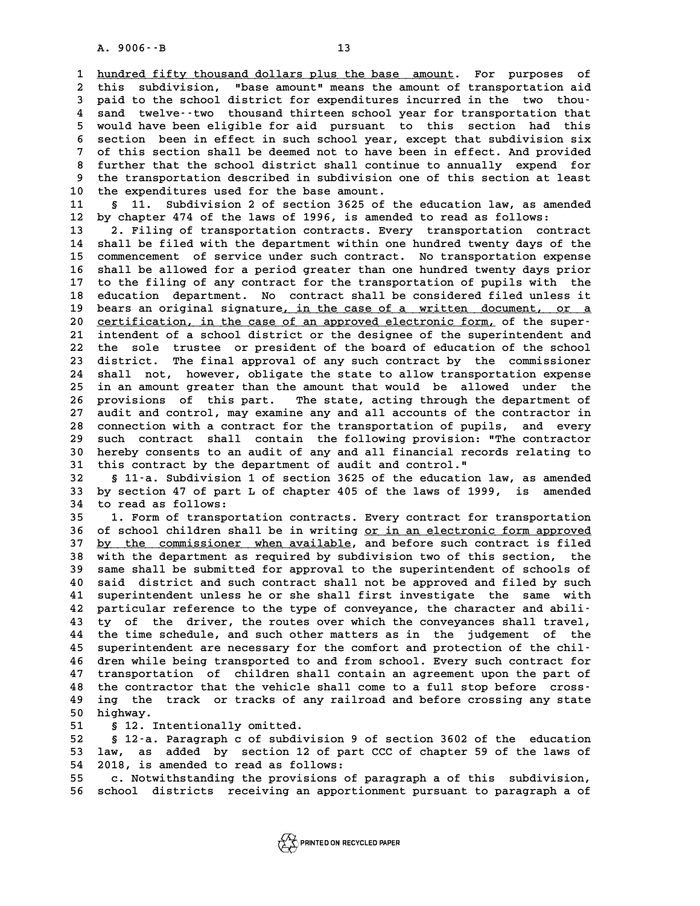A. 9006 · - B<br>1 **hundred fifty thousand dollars plus the base amount**. For purposes of<br><sup>2</sup> this subdivision whose amount means the amount of transportation aid 1 <u>hundred fifty thousand dollars plus the base amount</u>. For purposes of<br>2 this subdivision, "base amount" means the amount of transportation aid<br>3 paid to the school district for expenditures incurred in the two thou. 1 <u>hundred fifty thousand dollars plus the base amount</u>. For purposes of<br>
2 this subdivision, "base amount" means the amount of transportation aid<br>
3 paid to the school district for expenditures incurred in the two thou-<br> this subdivision, "base amount" means the amount of transportation aid<br>
3 paid to the school district for expenditures incurred in the two thou-<br>
4 sand twelve--two thousand thirteen school year for transportation that<br>  $\$ 3 paid to the school district for expenditures incurred in the two thou-<br>4 sand twelve--two thousand thirteen school year for transportation that<br>5 would have been eligible for aid pursuant to this section had this<br>5 secti 6 sand twelve--two thousand thirteen school year for transportation that<br>
6 would have been eligible for aid pursuant to this section had this<br>
6 section been in effect in such school year, except that subdivision six<br>
7 o **7** would have been eligible for aid pursuant to this section had this<br>6 section been in effect in such school year, except that subdivision six<br>7 of this section shall be deemed not to have been in effect. And provided<br>6 8 **section** been in effect in such school year, except that subdivision six<br>7 of this section shall be deemed not to have been in effect. And provided<br>8 further that the school district shall continue to annually expend fo 9 of this section shall be deemed not to have been in effect. And provided<br>8 further that the school district shall continue to annually expend for<br>9 the transportation described in subdivision one of this section at least 8 further that the school district shall continue to annually expend for<br>
9 the transportation described in subdivision one of this section at least<br>
10 the expenditures used for the base amount.<br>
11 § 11. Subdivision 2 of 9 the transportation described in subdivision one of this section at least<br>10 the expenditures used for the base amount.<br>11 § 11. Subdivision 2 of section 3625 of the education law, as amended<br>12 by chapter 474 of the laws

**10 the expenditures used for the base amount.**<br> **11 § 11. Subdivision 2 of section 3625 of the education law, as amended**<br> **12 by chapter 474 of the laws of 1996, is amended to read as follows:**<br> **13** 2 Filips of transpor 11 § 11. Subdivision 2 of section 3625 of the education law, as amended<br>12 by chapter 474 of the laws of 1996, is amended to read as follows:<br>2. Filing of transportation contracts. Every transportation contract<br>14 shall be

12 by chapter 474 of the laws of 1996, is amended to read as follows:<br>13 2. Filing of transportation contracts. Every transportation contract<br>14 shall be filed with the department within one hundred twenty days of the<br>15 c 13 <sup>2</sup> 2. Filing of transportation contracts. Every transportation contract<br>14 shall be filed with the department within one hundred twenty days of the<br>15 commencement of service under such contract. No transportation expe 14 shall be filed with the department within one hundred twenty days of the<br>15 commencement of service under such contract. No transportation expense<br>16 shall be allowed for a period greater than one hundred twenty days pr 15 commencement of service under such contract. No transportation expense<br>16 shall be allowed for a period greater than one hundred twenty days prior<br>17 to the filing of any contract for the transportation of pupils with t **16 shall be allowed for a period greater than one hundred twenty days prior**<br>17 to the filing of any contract for the transportation of pupils with the<br>18 education department. No contract shall be considered filed unless 17 to the filing of any contract for the transportation of pupils with the<br>18 education department. No contract shall be considered filed unless it<br>19 bears an original signature, <u>in the case of a written document, or a</u><br> 20 education department. No contract shall be considered filed unless it<br>
20 <u>certification, in the case of an approved electronic form,</u> of the super-<br>
<sup>21</sup> intendent of a school district or the designee of the superinten **20 bears an original signature, in the case of a written document, or a**<br> **20 certification, in the case of an approved electronic form, of the super-**<br> **21 intendent of a school district or the designee of the superinten 20 certification, in the case of an approved electronic form, of the super-**<br>21 intendent of a school district or the designee of the superintendent and<br>22 the sole trustee or president of the board of education of the sc 21 intendent of a school district or the designee of the superintendent and<br>22 the sole trustee or president of the board of education of the school<br>23 district. The final approval of any such contract by the commissioner<br> 22 the sole trustee or president of the board of education of the school<br>23 district. The final approval of any such contract by the commissioner<br>24 shall not, however, obligate the state to allow transportation expense<br>25 23 district. The final approval of any such contract by the commissioner<br>24 shall not, however, obligate the state to allow transportation expense<br>25 in an amount greater than the amount that would be allowed under the 24 shall not, however, obligate the state to allow transportation expense<br>25 in an amount greater than the amount that would be allowed under the<br>26 provisions of this part. The state, acting through the department of<br>27 a 25 in an amount greater than the amount that would be allowed under the<br>26 provisions of this part. The state, acting through the department of<br>27 audit and control, may examine any and all accounts of the contractor in<br>28 26 provisions of this part. The state, acting through the department of<br>27 audit and control, may examine any and all accounts of the contractor in<br>28 connection with a contract for the transportation of pupils, and every<br> and 27 audit and control, may examine any and all accounts of the contractor in<br>
28 connection with a contract for the transportation of pupils, and every<br>
29 such contract shall contain the following provision: "The contr 28 connection with a contract for the transportation of pupils, and every<br>29 such contract shall contain the following provision: "The contractor<br>30 hereby consents to an audit of any and all financial records relating to<br> 39 such contract shall contain the following provision: "The contractor<br>30 hereby consents to an audit of any and all financial records relating to<br>31 this contract by the department of audit and control."<br>32 § 11-a. Subdi 30 hereby consents to an audit of any and all financial records relating to<br>31 this contract by the department of audit and control."<br>32 § 11-a. Subdivision 1 of section 3625 of the education law, as amended<br>33 by section

**33 by section 47 of part L of chapter 405 of the laws of 1999, is amended** 33 by section 47 of part L of chapter 405 of the laws of 1999, is amended<br>34 to read as follows:<br>35 1. Form of transportation contracts. Every contract for transportation **33 by section 47 of part L of chapter 405 of the laws of 1999, is amended**<br>**34 to read as follows:**<br>**35 1. Form of transportation contracts. Every contract for transportation**<br>**26 of school children shall be in uniting or** 

**34 to read as follows:**<br> **35 1. Form of transportation contracts. Every contract for transportation**<br> **36 of school children shall be in writing <u>or in an electronic form approved</u><br>
<b>27 by the commissioner** when available **35 1. Form of transportation contracts. Every contract for transportation**<br>36 of school children shall be in writing <u>or in an electronic form approved</u><br>37 <u>by the commissioner when available</u>, and before such contract is **36 of school children shall be in writing <u>or in an electronic form approved</u><br>37 <u>by the commissioner when available</u>, and before such contract is filed<br>38 with the department as required by subdivision two of this sectio 37 by the commissioner when available, and before such contract is filed**<br>38 with the department as required by subdivision two of this section, the<br>39 same shall be submitted for approval to the superintendent of schools with the department as required by subdivision two of this section, the same shall be submitted for approval to the superintendent of schools of 40 said district and such contract shall not be approved and filed by such 41 **41 superintendent unless he or she shall first investigate the same with 42 particular reference to the type of conveyance, the character and abili-43 ty of the driver, the routes over which the conveyances shall travel, 42 particular reference to the type of conveyance, the character and abili-**<br>**43 ty of the driver, the routes over which the conveyances shall travel,**<br>**44 the time schedule, and such other matters as in the judgement of** 43 ty of the driver, the routes over which the conveyances shall travel,<br>44 the time schedule, and such other matters as in the judgement of the<br>45 superintendent are necessary for the comfort and protection of the chil-<br>4 44 the time schedule, and such other matters as in the judgement of the<br>45 superintendent are necessary for the comfort and protection of the chil-<br>46 dren while being transported to and from school. Every such contract fo 45 superintendent are necessary for the comfort and protection of the chil-<br>46 dren while being transported to and from school. Every such contract for<br>47 transportation of children shall contain an agreement upon the part 46 dren while being transported to and from school. Every such contract for<br>47 transportation of children shall contain an agreement upon the part of<br>48 the contractor that the vehicle shall come to a full stop before cros 47 transportation of children shall contain an agreement upon the part of<br>48 the contractor that the vehicle shall come to a full stop before cross-<br>49 ing the track or tracks of any railroad and before crossing any state<br> %48 the contractor that the vehicle shall come to a full stop before cross-<br> **49** ing the track or tracks of any railroad and before crossing any state<br>
50 highway.<br>
§ 12. Intentionally omitted. ing the track or tracks of any railroad and before crossing any state<br>50 highway.<br>51 § 12. Intentionally omitted.<br>52 § 12-a. Paragraph c of subdivision 9 of section 3602 of the education

**52 § 12-a. Paragraph c of subdivision 9 of section 3602 of the education 53 law, as added by section 12 of part CCC of chapter 59 of the laws of 54 2018, is amended to read as follows:**

**55 c. Notwithstanding the provisions of paragraph a of this subdivision, 56 school districts receiving an apportionment pursuant to paragraph a of**

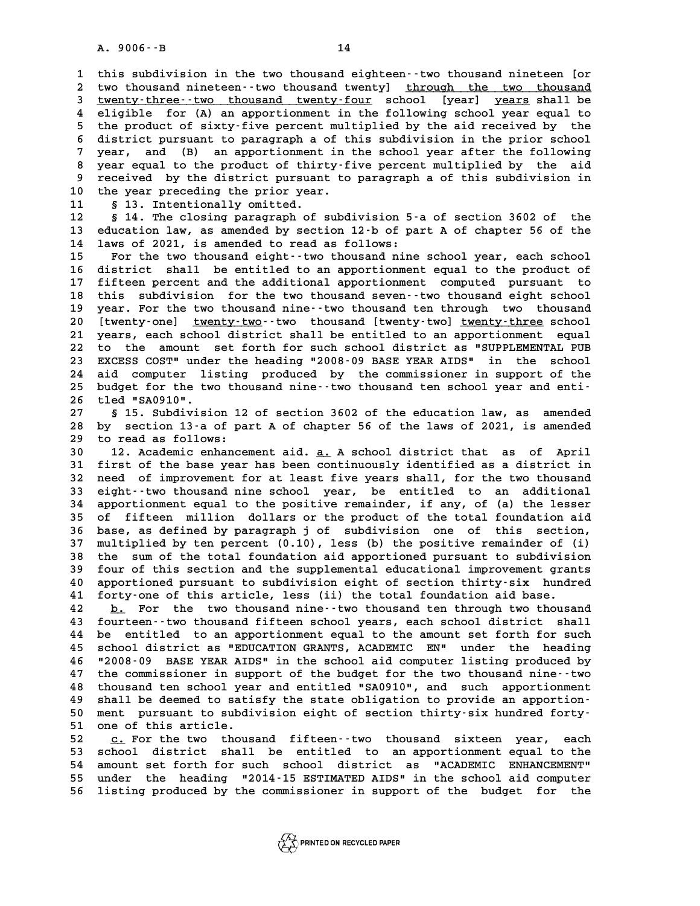**1 this subdivision in the two thousand eighteen--two thousand nineteen [or** this subdivision in the two thousand eighteen--two thousand nineteen [or<br>2 two thousand nineteen--two thousand twenty] <u>through the two thousand</u><br>3 twenty-three--two thousand twenty-four school [wear] years shall be this subdivision in the two thousand eighteen--two thousand nineteen [or<br>2 two thousand nineteen--two thousand twenty] <u>through the two thousand</u><br>3 <u>twenty-three--two thousand twenty-four</u> school [year] <u>years</u> shall be<br><sup>4</sup> 2 two thousand nineteen--two thousand twenty] <u>through the two thousand</u><br>
3 <u>twenty-three--two thousand twenty-four</u> school [year] <u>years</u> shall be<br>
4 eligible for (A) an apportionment in the following school year equal to **5** twenty-three--two thousand twenty-four school [year] years shall be eligible for (A) an apportionment in the following school year equal to the product of sixty-five percent multiplied by the aid received by the distri 4 eligible for (A) an apportionment in the following school year equal to<br>5 the product of sixty-five percent multiplied by the aid received by the<br>6 district pursuant to paragraph a of this subdivision in the prior school 5 the product of sixty-five percent multiplied by the aid received by the<br>6 district pursuant to paragraph a of this subdivision in the prior school<br>7 year, and (B) an apportionment in the school year after the following<br>8 8 district pursuant to paragraph a of this subdivision in the prior school<br>
7 year, and (B) an apportionment in the school year after the following<br>
8 year equal to the product of thirty-five percent multiplied by the aid<br> 9 year, and (B) an apportionment in the school year after the following<br>8 year equal to the product of thirty-five percent multiplied by the aid<br>9 received by the district pursuant to paragraph a of this subdivision in<br>10 8 year equal to the product of thirty-f<br>
9 received by the district pursuant to<br>
10 the year preceding the prior year.<br>
<sup>11</sup> 5<sup>13</sup> Intentionally omitted 9 received by the district pursuan<br>10 the year preceding the prior year<br>11 § 13. Intentionally omitted.

**12 § 14. The closing paragraph of subdivision 5-a of section 3602 of the 11** § 13. Intentionally omitted.<br>
12 § 14. The closing paragraph of subdivision 5-a of section 3602 of the<br>
13 education law, as amended by section 12-b of part A of chapter 56 of the<br>
14 laws of 2021 is amended to read a 12 § 14. The closing paragraph of subdivision 5-13<br>13 education law, as amended by section 12-b of pa<br>14 laws of 2021, is amended to read as follows:<br>15 For the two thousand eight-two thousand pine 13 education law, as amended by section 12 b of part A of chapter 56 of the<br>14 laws of 2021, is amended to read as follows:<br>15 For the two thousand eight--two thousand nine school year, each school<br>16 digital shall be enti

14 laws of 2021, is amended to read as follows:<br>15 For the two thousand eight--two thousand nine school year, each school<br>16 district shall be entitled to an apportionment equal to the product of<br>17 fifteen persont and the For the two thousand eight-two thousand nine school year, each school<br>16 district shall be entitled to an apportionment equal to the product of<br>17 fifteen percent and the additional apportionment computed pursuant to<br>this **16 district shall be entitled to an apportionment equal to the product of fifteen percent and the additional apportionment computed pursuant to this subdivision for the two thousand seven--two thousand eight school**<br>19 ye 17 fifteen percent and the additional apportionment computed pursuant to<br>18 this subdivision for the two thousand seven--two thousand eight school<br>19 year. For the two thousand nine--two thousand ten through two thousand<br>2 this subdivision for the two thousand seven--two thousand eight school<br>19 year. For the two thousand nine--two thousand ten through two thousand<br>20 [twenty-one] <u>twenty-two</u>--two thousand [twenty-two] <u>twenty-three</u> school 19 year. For the two thousand nine--two thousand ten through two thousand<br>20 [twenty-one] <u>twenty-two</u>--two thousand [twenty-two] <u>twenty-three</u> school<br>21 years, each school district shall be entitled to an apportionment e <sup>20</sup> [twenty-one] <u>twenty-two</u>--two thousand [twenty-two] <u>twenty-three</u> school<br>21 years, each school district shall be entitled to an apportionment equal<br>22 to the amount set forth for such school district as "SUPPLEMENTA 21 years, each school district shall be entitled to an apportionment equal<br>22 to the amount set forth for such school district as "SUPPLEMENTAL PUB<br>23 EXCESS COST" under the heading "2008-09 BASE YEAR AIDS" in the school<br>2 <sup>22</sup> to the amount set forth for such school district as "SUPPLEMENTAL PUB<br>23 EXCESS COST" under the heading "2008-09 BASE YEAR AIDS" in the school<br>24 aid computer listing produced by the commissioner in support of the<br>25 EXCESS COST" under the heading "2008-09 BASE YEAR AIDS" in the school<br>
24 aid computer listing produced by the commissioner in support of the<br>
25 budget for the two thousand nine--two thousand ten school year and enti-<br>
<sup>2</sup> 24 aid computer li<br>25 budget for the tw:<br>26 tled "SA0910".<br>27 s.15 Subdivici. 25 budget for the two thousand nine--two thousand ten school year and enti-<br>26 tled "SA0910".<br>27 § 15. Subdivision 12 of section 3602 of the education law, as amended<br>28 by section 13-a of part A of chapter 56 of the laws

**26 tled "SA0910".<br>27 § 15. Subdivision 12 of section 3602 of the education law, as amended<br>28 by section 13-a of part A of chapter 56 of the laws of 2021, is amended<br>29 to read as follows:** 27 § 15. Subdivision 12<br>
28 by section 13 a of pa<br>
29 to read as follows:<br>
20 **12. Agademia ophano** by section 13<sup>-</sup>a of part A of chapter 56 of the laws of 2021, is amended<br>29 to read as follows:<br>30 12. Academic enhancement aid. <u>a.</u> A school district that as of April<br>31 first of the base wear bas been continuously iden

12. Academic enhancement aid. <u>a.</u> A school district that as of April<br>31 first of the base year has been continuously identified as a district in<br>32 need of improvement for at least five years shall, for the two thousand **12. Academic enhancement aid. <u>a.</u> A school district that as of April<br>31 first of the base year has been continuously identified as a district in<br>32 need of improvement for at least five years shall, for the two thousand<br>** 31 first of the base year has been continuously identified as a district in<br>32 need of improvement for at least five years shall, for the two thousand<br>33 eight--two thousand nine school year, be entitled to an additional<br>3 32 need of improvement for at least five years shall, for the two thousand<br>33 eight--two thousand nine school year, be entitled to an additional<br>34 apportionment equal to the positive remainder, if any, of (a) the lesser<br>2 33 eight--two thousand nine school year, be entitled to an additional<br>34 apportionment equal to the positive remainder, if any, of (a) the lesser<br>35 of fifteen million dollars or the product of the total foundation aid **34 apportionment equal to the positive remainder, if any, of (a) the lesser**<br>35 of fifteen million dollars or the product of the total foundation aid<br>36 base, as defined by paragraph j of subdivision one of this section,<br> 35 of fifteen million dollars or the product of the total foundation aid<br>36 base, as defined by paragraph j of subdivision one of this section,<br>37 multiplied by ten percent (0.10), less (b) the positive remainder of (i)<br>th **36 base, as defined by paragraph j of subdivision one of this section,<br>37 multiplied by ten percent (0.10), less (b) the positive remainder of (i)<br>38 the sum of the total foundation aid apportioned pursuant to subdivision** 37 multiplied by ten percent (0.10), less (b) the positive remainder of (i)<br>38 the sum of the total foundation aid apportioned pursuant to subdivision<br>39 four of this section and the supplemental educational improvement gr **40 apportioned pursuant to subdivision**<br>
40 apportioned pursuant to subdivision eight of section thirty-six hundred<br>
40 apportioned pursuant to subdivision eight of section thirty-six hundred<br>
41 forty-one of this artigle **40 four of this section and the supplemental educational improvement grants**<br>**40 apportioned pursuant to subdivision eight of section thirty-six hundred**<br>**41 forty-one of this article, less (ii) the total foundation aid b** 

**42** b. For the two thousand nine--two thousand ten through two thousand<br>43 fourteen--two thousand fifteen school vears, each school district shall **43 fourteen--two thousand fifteen school years, each school district shall 42 b.** For the two thousand nine--two thousand ten through two thousand<br>43 fourteen--two thousand fifteen school years, each school district shall<br>44 be entitled to an apportionment equal to the amount set forth for such<br> **43 fourteen--two thousand fifteen school years, each school district shall**<br>44 be entitled to an apportionment equal to the amount set forth for such<br>45 school district as "EDUCATION GRANTS, ACADEMIC EN" under the heading **44 be entitled to an apportionment equal to the amount set forth for such school district as "EDUCATION GRANTS, ACADEMIC EN" under the heading "2008-09 BASE YEAR AIDS" in the school aid computer listing produced by**<br>A<sup>7</sup> **45 school district as "EDUCATION GRANTS, ACADEMIC EN" under the heading "2008-09 BASE YEAR AIDS" in the school aid computer listing produced by the commissioner in support of the budget for the two thousand nine--two thou 46 "2008-09 BASE YEAR AIDS" in the school aid computer listing produced by<br>47 the commissioner in support of the budget for the two thousand nine--two<br>48 thousand ten school year and entitled "SA0910", and such apportionm** 47 the commissioner in support of the budget for the two thousand nine-two<br>48 thousand ten school year and entitled "SA0910", and such apportionment<br>49 shall be deemed to satisfy the state obligation to provide an apportio 48 thousand ten school year and entitled "SA0910", and such apportionment<br>
49 shall be deemed to satisfy the state obligation to provide an apportion-<br>
50 ment pursuant to subdivision eight of section thirty-six hundred fo 49 shall be deemed to sati<br>50 ment pursuant to subdi-<br>51 one of this article. 50 ment pursuant to subdivision eight of section thirty-six hundred forty-<br>51 one of this article.<br>52 <u>c.</u> For the two thousand fifteen--two thousand sixteen year, each<br>53 school district shall be entitled to an apportionm

51 one of this article.<br>
52 <u>c.</u> For the two thousand fifteen--two thousand sixteen year, each<br>
53 school district shall be entitled to an apportionment equal to the<br>
54 apount sot forth for such school district as **"ACADE** 52 <u>c.</u> For the two thousand fifteen--two thousand sixteen year, each<br>53 school district shall be entitled to an apportionment equal to the<br>54 amount set forth for such school district as "ACADEMIC ENHANCEMENT"<br>55 under th 53 school district shall be entitled to an apportionment equal to the<br>54 amount set forth for such school district as "ACADEMIC ENHANCEMENT"<br>55 under the heading "2014-15 ESTIMATED AIDS" in the school aid computer<br>56 light 54 amount set forth for such school district as "ACADEMIC ENHANCEMENT"<br>55 under the heading "2014-15 ESTIMATED AIDS" in the school aid computer<br>56 listing produced by the commissioner in support of the budget for the

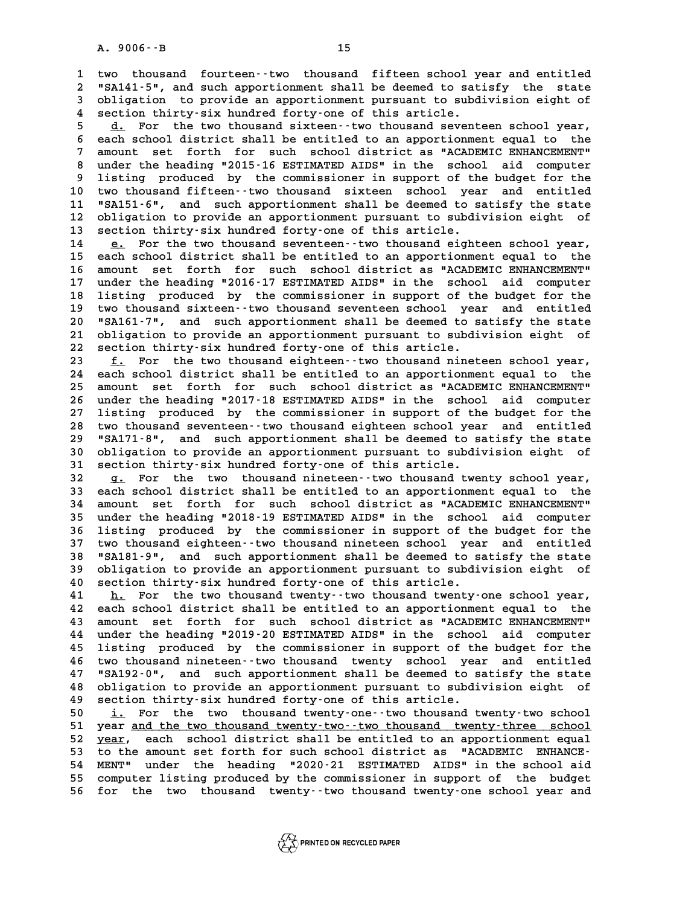A. 9006<sup>--B</sup><br>1 two thousand fourteen--two thousand fifteen school year and entitled<br>2 USA141-5U, and such apportionment shall be deemed to satisfy the state 1 two thousand fourteen--two thousand fifteen school year and entitled<br>2 "SA141-5", and such apportionment shall be deemed to satisfy the state<br>3 obligation to provide an apportionment pursuant to subdivision eight of **3 two thousand fourteen--two thousand fifteen school year and entitled<br>
<b>3** "SA141-5", and such apportionment shall be deemed to satisfy the state<br>
3 obligation to provide an apportionment pursuant to subdivision eight of **4 section thirty-six hundred forty-one of this article. 5** deligation to provide an apportionment pursuant to subdivision eight of<br>**5** d. For the two thousand sixteen--two thousand seventeen school year,<br>**6** each school district shall be entitled to an apportionment equal to t

**6 each school district shall be entitled to an apportionment equal to the** <sup>5</sup> d. For the two thousand sixteen - two thousand seventeen school year,<br>
<sup>6</sup> each school district shall be entitled to an apportionment equal to the<br>
7 amount set forth for such school district as "ACADEMIC ENHANCEMENT"<br> **8 each school district shall be entitled to an apportionment equal to the amount set forth for such school district as "ACADEMIC ENHANCEMENT"**<br>8 under the heading "2015-16 ESTIMATED AIDS" in the school aid computer<br>1istin 8 under the heading "2015-16 ESTIMATED AIDS" in the school aid computer<br>9 listing produced by the commissioner in support of the budget for the<br>10 two thousand fifteen--two thousand sixteen school year and entitled 8 under the heading "2015-16 ESTIMATED AIDS" in the school aid computer<br>9 listing produced by the commissioner in support of the budget for the<br>10 two thousand fifteen--two thousand sixteen school year and entitled<br>11 USA1 9 listing produced by the commissioner in support of the budget for the<br>10 two thousand fifteen--two thousand sixteen school year and entitled<br>11 "SA151-6", and such apportionment shall be deemed to satisfy the state<br>22 ob 10 two thousand fifteen<sup>-</sup>-two thousand sixteen school year and entitled<br>11 "SA151-6", and such apportionment shall be deemed to satisfy the state<br>12 obligation to provide an apportionment pursuant to subdivision eight of<br> **11 "SA151-6", and such apportionment shall be deemed to satisfy the state**<br>**12 obligation to provide an apportionment pursuant to subdivision eight of**<br>**13 section thirty-six hundred forty-one of this article.**<br>**14** e. Fo **12 obligation to provide an apportionment pursuant to subdivision eight of<br>
<b>13 section thirty-six hundred forty-one of this article.**<br> **14 e.** For the two thousand seventeen--two thousand eighteen school year,<br> **15 each** 

13 section thirty-six hundred forty-one of this article.<br>14 e. For the two thousand seventeen - two thousand eighteen school year,<br>15 each school district shall be entitled to an apportionment equal to the<br>16 each school f 15 each school district shall be entitled to an apportionment equal to the<br>16 amount set forth for such school district as "ACADEMIC ENHANCEMENT"<br>17 under the heading "2016-17 ESTIMATED AIDS" in the school aid computer **17 under the heading "2016-17 ESTIMATED AIDS" in the school aid computer** 16 amount set forth for such school district as "ACADEMIC ENHANCEMENT"<br>17 under the heading "2016-17 ESTIMATED AIDS" in the school aid computer<br>18 listing produced by the commissioner in support of the budget for the<br>two t 17 under the heading "2016-17 ESTIMATED AIDS" in the school aid computer<br>18 listing produced by the commissioner in support of the budget for the<br>19 two thousand sixteen--two thousand seventeen school year and entitled<br>20 18 listing produced by the commissioner in support of the budget for the<br>19 two thousand sixteen-two thousand seventeen school year and entitled<br>20 "SA161-7", and such apportionment shall be deemed to satisfy the state<br>21 19 two thousand sixteen - two thousand seventeen school year and entitled<br>20 "SA161-7", and such apportionment shall be deemed to satisfy the state<br>21 obligation to provide an apportionment pursuant to subdivision eight of **22 section thirty-six hundred forty-one of this article.** 21 obligation to provide an apportionment pursuant to subdivision eight of<br>22 section thirty-six hundred forty-one of this article.<br>23 <u>f.</u> For the two thousand eighteen--two thousand nineteen school year,<br>24 secha school

22 section thirty-six hundred forty-one of this article.<br>
23 <u>f.</u> For the two thousand eighteen--two thousand nineteen school year,<br>
24 each school district shall be entitled to an apportionment equal to the<br>
25 apount of 23 <u>f.</u> For the two thousand eighteen - two thousand nineteen school year,<br>24 each school district shall be entitled to an apportionment equal to the<br>25 amount set forth for such school district as "ACADEMIC ENHANCEMENT" 24 each school district shall be entitled to an apportionment equal to the<br>25 amount set forth for such school district as "ACADEMIC ENHANCEMENT"<br>26 under the heading "2017-18 ESTIMATED AIDS" in the school aid computer<br>27 25 amount set forth for such school district as "ACADEMIC ENHANCEMENT"<br>26 under the heading "2017-18 ESTIMATED AIDS" in the school aid computer<br>27 listing produced by the commissioner in support of the budget for the<br>28 tw 26 under the heading "2017-18 ESTIMATED AIDS" in the school aid computer<br>27 listing produced by the commissioner in support of the budget for the<br>28 two thousand seventeen--two thousand eighteen school year and entitled<br>29 27 listing produced by the commissioner in support of the budget for the<br>28 two thousand seventeen - two thousand eighteen school year and entitled<br>29 "SA171-8", and such apportionment shall be deemed to satisfy the state<br> **28 two thousand seventeen--two thousand eighteen school year and entitled**<br>**29 "SA171-8", and such apportionment shall be deemed to satisfy the state**<br>30 obligation to provide an apportionment pursuant to subdivision eigh **31 sample 131 set is and such apportionment shall be deemed to satisfy the state<br>30 obligation to provide an apportionment pursuant to subdivision eight of<br>31 section thirty-six hundred forty-one of this article.<br>32 g. Fo** 

**32 g. For the two thousand nineteen--two thousand twenty school year, \_\_** 31 section thirty-six hundred forty-one of this article.<br>
32 g. For the two thousand nineteen--two thousand twenty school year,<br>
33 each school district shall be entitled to an apportionment equal to the<br>
34 apount of fort **32 g. For the two thousand nineteen - two thousand twenty school year,<br>33 each school district shall be entitled to an apportionment equal to the<br>34 amount set forth for such school district as "ACADEMIC ENHANCEMENT" 35 under the heading "2018-19 ESTIMATED AIDS" in the school aid computer** 34 amount set forth for such school district as "ACADEMIC ENHANCEMENT"<br>35 under the heading "2018-19 ESTIMATED AIDS" in the school aid computer<br>36 listing produced by the commissioner in support of the budget for the<br><sup>37</sup> 35 under the heading "2018-19 ESTIMATED AIDS" in the school aid computer<br>36 listing produced by the commissioner in support of the budget for the<br>37 two thousand eighteen--two thousand nineteen school year and entitled<br>38 **36 listing produced by the commissioner in support of the budget for the two thousand eighteen--two thousand nineteen school year and entitled "SA181-9", and such apportionment shall be deemed to satisfy the state**<br> **38 " 37 two thousand eighteen--two thousand nineteen school year and entitled**<br>**38 "SA181-9", and such apportionment shall be deemed to satisfy the state**<br>**39 obligation to provide an apportionment pursuant to subdivision eigh 40 section 10 section 10 section 10 section 10 section to provide an apportionment pursuant to subdi-**<br>**40 section thirty-six hundred forty-one of this article.**<br><sup>41</sup> h For the two thousand tyenty..two thousand tyenty.

bligation to provide an apportionment pursuant to subdivision eight of<br>40 section thirty-six hundred forty-one of this article.<br>41 <u>h.</u> For the two thousand twenty--two thousand twenty-one school year,<br>42 each school distr 40 section thirty-six hundred forty-one of this article.<br>
41 h. For the two thousand twenty--two thousand twenty-one school year,<br>
42 each school district shall be entitled to an apportionment equal to the<br>
<sup>43</sup> apount set **41 h. For the two thousand twenty-two thousand twenty-one school year,**<br>42 each school district shall be entitled to an apportionment equal to the<br>43 amount set forth for such school district as "ACADEMIC ENHANCEMENT"<br>44 **42 each school district shall be entitled to an apportionment equal to the amount set forth for such school district as "ACADEMIC ENHANCEMENT"**<br>**44 under the heading "2019-20 ESTIMATED AIDS" in the school aid computer**<br>15 43 amount set forth for such school district as "ACADEMIC ENHANCEMENT"<br>44 under the heading "2019-20 ESTIMATED AIDS" in the school aid computer<br>45 listing produced by the commissioner in support of the budget for the<br>46 tw 44 under the heading "2019-20 ESTIMATED AIDS" in the school aid computer<br>45 listing produced by the commissioner in support of the budget for the<br>46 two thousand nineteen--two thousand twenty school year and entitled<br>47 US 45 listing produced by the commissioner in support of the budget for the<br>46 two thousand nineteen<sup>-</sup>-two thousand twenty school year and entitled<br>47 "SA192-0", and such apportionment shall be deemed to satisfy the state<br>48 **46 two thousand nineteen--two thousand twenty school year and entitled<br>47 "SA192-0", and such apportionment shall be deemed to satisfy the state<br>48 obligation to provide an apportionment pursuant to subdivision eight of<br>6 47 "SA192-0", and such apportionment shall be deemed to s**<br>48 obligation to provide an apportionment pursuant to subdi-<br>49 section thirty-six hundred forty-one of this article.<br>50 in the two thousand two-ty-one-two-thousa **50** 48 obligation to provide an apportionment pursuant to subdivision eight of<br> **50** <u>i.</u> For the two thousand twenty-one--two thousand twenty-two school<br> **50** i. For the two thousand twenty-two thousand twenty-two school

**50** section thirty-six hundred forty-one of this article.<br> **50** <u>i.</u> For the two thousand twenty-one--two thousand twenty-two school<br> **pear and the two thousand twenty-two--two thousand twenty-three school**<br> **52** year and 50 <u>i.</u> For the two thousand twenty-one--two thousand twenty-two school<br>51 year <u>and the two thousand twenty-two--two thousand twenty-three school<br>52 year, each school district shall be entitled to an apportionment equal<br>5</u> 51 year <u>and the two thousand twenty-two--two thousand twenty-three school<br>
52 year, each school district shall be entitled to an apportionment equal<br>
53 to the amount set forth for such school district as "ACADEMIC ENHANC</u> **52** <u>year</u>, each school district shall be entitled to an apportionment equal<br>53 to the amount set forth for such school district as "ACADEMIC ENHANCE-<br>54 MENT" under the heading "2020-21 ESTIMATED AIDS" in the school aid<br> <sup>53</sup> to the amount set forth for such school district as "ACADEMIC ENHANCE-<br>54 MENT" under the heading "2020-21 ESTIMATED AIDS" in the school aid<br>55 computer listing produced by the commissioner in support of the budget<br>56 **56 for the two thousand twenty--two thousand twenty-one school year and**

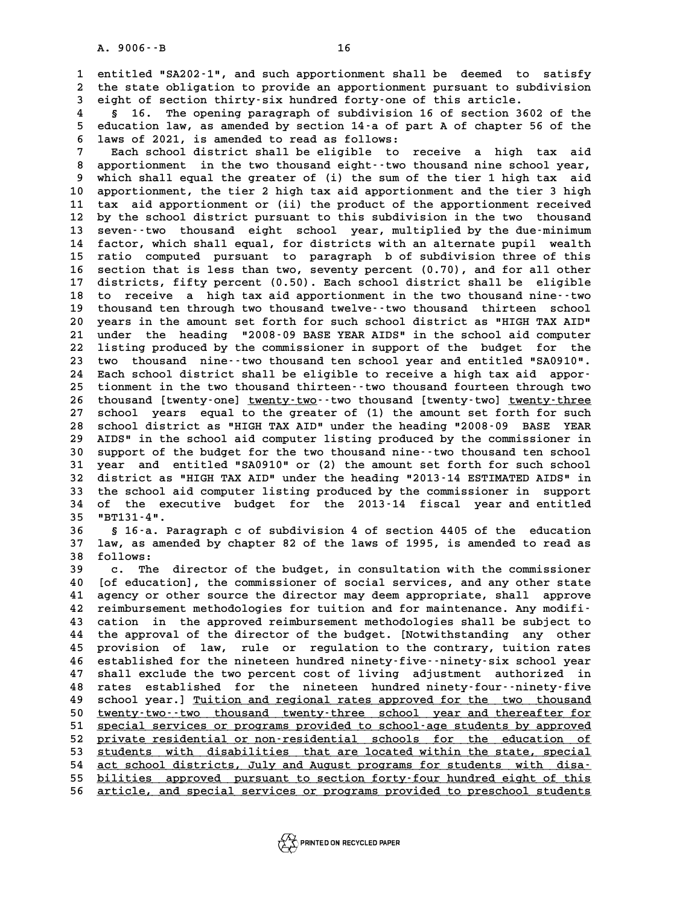**1 entitled "SA202-1", and such apportionment shall be deemed to satisfy 2** entitled "SA202-1", and such apportionment shall be deemed to satisfy<br>2 the state obligation to provide an apportionment pursuant to subdivision 1 entitled "SA202-1", and such apportionment shall be deemed to<br>2 the state obligation to provide an apportionment pursuant to subd<br>3 eight of section thirty-six hundred forty-one of this article.<br>4 5 16 The opening paragr

% the state obligation to provide an apportionment pursuant to subdivision<br>3 eight of section thirty-six hundred forty-one of this article.<br>4 \$ 16. The opening paragraph of subdivision 16 of section 3602 of the<br>5 education **5** eight of section thirty-six hundred forty-one of this article.<br> **5** 16. The opening paragraph of subdivision 16 of section 3602 of the<br> **5** education law, as amended by section 14-a of part A of chapter 56 of the<br> **1 6 16.** The opening paragraph of subdivision<br> **6 ducation law, as amended by section 14-a of pa**<br> **6 laws of 2021, is amended to read as follows:**<br> **6 laws of 2021, is amended to read as follows:** 5 education law, as amended by section 14-a of part A of chapter 56 of the<br>6 laws of 2021, is amended to read as follows:<br>7 Each school district shall be eligible to receive a high tax aid<br>8 constitutions in the two thousa

**8 laws of 2021, is amended to read as follows:**<br>**8 apportionment in the two thousand eight--two thousand nine school year,**<br>**8 which shall ownal the greater of (i) the sum of the tier 1 high tay aid Each school district shall be eligible to receive a high tax aid<br>
8 apportionment in the two thousand eight--two thousand nine school year,<br>
9 which shall equal the greater of (i) the sum of the tier 1 high tax aid<br>
8 app** 10 apportionment in the two thousand eight-two thousand nine school year,<br>
10 apportionment, the tier 2 high tax aid apportionment and the tier 3 high<br>
11 tax aid apportionment or (ii) the product of the apportionment rece 9 which shall equal the greater of (i) the sum of the tier 1 high tax aid<br>10 apportionment, the tier 2 high tax aid apportionment and the tier 3 high<br>11 tax aid apportionment or (ii) the product of the apportionment receiv 10 apportionment, the tier 2 high tax aid apportionment and the tier 3 high<br>11 tax aid apportionment or (ii) the product of the apportionment received<br>12 by the school district pursuant to this subdivision in the two thous 11 tax aid apportionment or (ii) the product of the apportionment received<br>12 by the school district pursuant to this subdivision in the two thousand<br>13 seven--two thousand eight school year, multiplied by the due-minimum<br> 12 by the school district pursuant to this subdivision in the two thousand<br>13 seven--two thousand eight school year, multiplied by the due-minimum<br>14 factor, which shall equal, for districts with an alternate pupil wealth<br> 13 seven--two thousand eight school year, multiplied by the due-minimum<br>14 factor, which shall equal, for districts with an alternate pupil wealth<br>15 ratio computed pursuant to paragraph b of subdivision three of this<br>16 s 14 factor, which shall equal, for districts with an alternate pupil wealth<br>15 ratio computed pursuant to paragraph b of subdivision three of this<br>16 section that is less than two, seventy percent (0.70), and for all other<br> 15 ratio computed pursuant to paragraph b of subdivision three of this<br>16 section that is less than two, seventy percent (0.70), and for all other<br>17 districts, fifty percent (0.50). Each school district shall be eligible<br> **16 section that is less than two, seventy percent (0.70), and for all other**<br>17 districts, fifty percent (0.50). Each school district shall be eligible<br>18 to receive a high tax aid apportionment in the two thousand nine--17 districts, fifty percent (0.50). Each school district shall be eligible<br>18 to receive a high tax aid apportionment in the two thousand nine--two<br>19 thousand ten through two thousand twelve--two thousand thirteen school<br> 18 to receive a high tax aid apportionment in the two thousand nine-two thousand ten through two thousand twelve-two thousand thirteen school 20 years in the amount set forth for such school district as "HIGH TAX AID" unde thousand ten through two thousand twelve - two thousand thirteen school **20 years in the amount set forth for such school district as "HIGH TAX AID"**<br>21 under the heading "2008-09 BASE YEAR AIDS" in the school aid computer<br>22 listing produced by the commissioner in support of the budget for th 21 under the heading "2008-09 BASE YEAR AIDS" in the school aid computer<br>22 listing produced by the commissioner in support of the budget for the<br>23 two thousand nine--two thousand ten school year and entitled "SA0910".<br>24 22 listing produced by the commissioner in support of the budget for the<br>
23 two thousand nine--two thousand ten school year and entitled "SA0910".<br>
24 Each school district shall be eligible to receive a high tax aid appor 23 two thousand nine--two thousand ten school year and entitled "SA0910".<br>24 Each school district shall be eligible to receive a high tax aid appor-<br>25 tionment in the two thousand thirteen--two thousand fourteen through t Each school district shall be eligible to receive a high tax aid appor-<br>25 tionment in the two thousand thirteen--two thousand fourteen through two<br>26 thousand [twenty-one] <u>twenty-two</u>--two thousand [twenty-two] <u>twenty-t</u> 25 tionment in the two thousand thirteen--two thousand fourteen through two<br>26 thousand [twenty-one] <u>twenty-two</u>--two thousand [twenty-two] <u>twenty-three</u><br>27 school years equal to the greater of (1) the amount set forth f 27 school years equal to the greater of (1) the amount set forth for such<br>28 school district as "HIGH TAX AID" under the heading "2008-09 BASE YEAR<br>29 AIDS" in the school aid computer listing produced by the commissioner i 27 school years equal to the greater of (1) the amount set forth for such<br>28 school district as "HIGH TAX AID" under the heading "2008-09 BASE YEAR<br>29 AIDS" in the school aid computer listing produced by the commissioner i **30 school district as "HIGH TAX AID" under the heading "2008-09 BASE YEAR**<br>**29 AIDS" in the school aid computer listing produced by the commissioner in**<br>**30 support of the budget for the two thousand nine--two thousand te 39 AIDS" in the school aid computer listing produced by the commissioner in<br>30 support of the budget for the two thousand nine--two thousand ten school**<br>31 year and entitled "SA0910" or (2) the amount set forth for such s **30 support of the budget for the two thousand nine--two thousand ten school**<br>**31 year and entitled "SA0910" or (2) the amount set forth for such school**<br>**32 district as "HIGH TAX AID" under the heading "2013-14 ESTIMATED 31 year and entitled "SA0910" or (2) the amount set forth for such school<br>32 district as "HIGH TAX AID" under the heading "2013-14 ESTIMATED AIDS" in<br>33 the school aid computer listing produced by the commissioner in supp 32** district as "HIGH TAX AID" under the heading "2013-14 ESTIMATED AIDS" in<br>33 the school aid computer listing produced by the commissioner in support<br>34 of the executive budget for the 2013-14 fiscal year and entitled<br><sup></sup> **33** the school aim<br> **34** of the exect<br> **35** "BT131-4". **34 of the executive budget for the 2013-14 fiscal year and entitled<br>35 "BT131-4".<br>36 § 16-a. Paragraph c of subdivision 4 of section 4405 of the education<br>27 lay as arranded by chanter 82 of the lays of 1995 is arranded t** 

**35 "BT131-4".**<br>36 § 16-a. Paragraph c of subdivision 4 of section 4405 of the education<br>37 law, as amended by chapter 82 of the laws of 1995, is amended to read as<br>38 follows: 37 law, as amended by chapter 82 of the laws of 1995, is amended to read as<br>38 follows:<br>39 c. The director of the budget, in consultation with the commissioner **1995, is amended by chapter 82 of the laws of 1995, is amended to read as<br>
<b>38 follows:**<br> **39 c. The director of the budget, in consultation with the commissioner**<br> **10** [of oducation] the commissioner of social services,

<sup>1</sup> **40 follows:**<br> **40** c. The director of the budget, in consultation with the commissioner<br> **40** [of education], the commissioner of social services, and any other state<br> **41** agency or other source the director may deem 29 c. The director of the budget, in consultation with the commissioner<br>40 [of education], the commissioner of social services, and any other state<br>41 agency or other source the director may deem appropriate, shall approve 40 [of education], the commissioner of social services, and any other state<br>41 agency or other source the director may deem appropriate, shall approve<br>42 reimbursement methodologies for tuition and for maintenance. Any mod 41 agency or other source the director may deem appropriate, shall approve<br>42 reimbursement methodologies for tuition and for maintenance. Any modifi-<br>43 cation in the approved reimbursement methodologies shall be subject **42 reimbursement methodologies for tuition and for maintenance. Any modifi-**<br>**43 cation in the approved reimbursement methodologies shall be subject to**<br>**44 the approval of the director of the budget. [Notwithstanding any** 43 cation in the approved reimbursement methodologies shall be subject to<br>44 the approval of the director of the budget. [Notwithstanding any other<br>45 provision of law, rule or regulation to the contrary, tuition rates<br>26 44 the approval of the director of the budget. [Notwithstanding any other<br>45 provision of law, rule or regulation to the contrary, tuition rates<br>46 established for the nineteen hundred ninety-five--ninety-six school year<br>4 45 provision of law, rule or regulation to the contrary, tuition rates<br>46 established for the nineteen hundred ninety-five--ninety-six school year<br>47 shall exclude the two percent cost of living adjustment authorized in<br>18 **46** established for the nineteen hundred ninety-five--ninety-six school year<br>47 shall exclude the two percent cost of living adjustment authorized in<br>48 rates established for the nineteen hundred ninety-four--ninety-five<br> 47 shall exclude the two percent cost of living adjustment authorized in<br>48 rates established for the nineteen hundred ninety-four--ninety-five<br>50 tuntu-two-two thousand two-tu-three school wear and thereafter for **50 twenty-two--two thousand twenty-three school year and thereafter for \_\_\_\_\_\_\_\_\_\_\_\_\_\_\_\_\_\_\_\_\_\_\_\_\_\_\_\_\_\_\_\_\_\_\_\_\_\_\_\_\_\_\_\_\_\_\_\_\_\_\_\_\_\_\_\_\_\_\_\_\_\_\_\_\_\_\_\_\_\_\_\_** school year.] <u>Tuition and regional rates approved for the two thousand</u><br>50 <u>twenty-two--two thousand twenty-three school year and thereafter for</u><br>51 <u>special services or programs provided to school-age students by approve</u> 50 <u>twenty-two-two thousand twenty-three school year and thereafter for</u><br>51 <u>special services or programs provided to school-age students by approved</u><br>52 <u>private residential or non-residential schools for the education of</u> 51 <u>special services or programs provided to school-age students by approved</u><br>52 <u>private residential or non-residential</u> schools for the education of<br>53 students with disabilities that are located within the state, specia 52 private residential or non-residential schools for the education of<br>53 <u>students with disabilities that are located within the state, special</u><br><u>act school districts, July and August programs for students with disa-</u><br>bil 53 <u>students with disabilities that are located within the state, special<br>54 <u>act school districts</u>, July and August programs for students with disa-<br><u>bilities approved pursuant to section forty-four hundred eight of this</u></u> 54 <u>act school districts, July and August programs for students with disa-</u><br>55 <u>bilities approved pursuant to section forty-four hundred eight of this</u><br>56 <u>article, and special services or programs provided to preschool st</u>

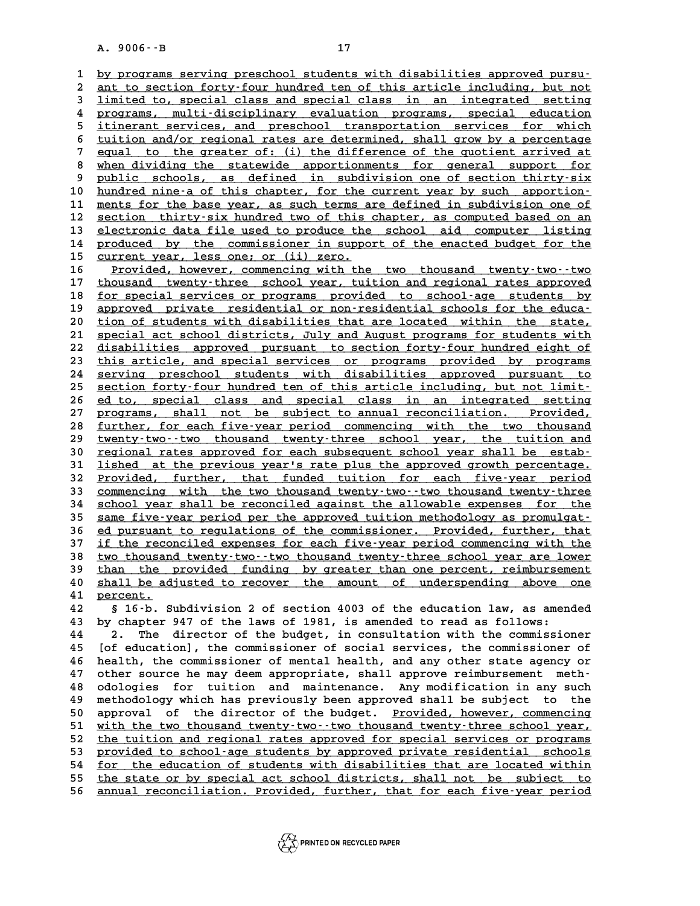A. 9006 · - B<br>17<br>1 <u>by programs serving preschool students with disabilities approved pursu-</u><br>2 ant to section forty-four bundred top of this artigle including, but not **2** by programs serving preschool students with disabilities approved pursu-<br>2 <u>ant to section forty-four hundred ten of this article including, but not</u><br>3 limited to, special class and special class, in an integrated sett **3 by programs serving preschool students with disabilities approved pursu-**<br> **3 ant to section forty-four hundred ten of this article including, but not**<br> **3 limited to, special class and special class in an integrated se** 2 ant to section forty-four hundred ten of this article including, but not<br>
4 <u>limited to, special class and special class in an integrated setting</u><br>
<u>programs, multi-disciplinary evaluation programs, special education</u><br>
i 3 <u>limited to, special class and special class in an integrated setting<br>4 programs, multi-disciplinary evaluation programs, special education<br>5 <u>itinerant services, and preschool transportation services for which</u><br>5 tuitio</u> programs, multi-disciplinary evaluation programs, special education<br>
5 itinerant services, and preschool transportation services for which<br>
6 tuition and/or regional rates are determined, shall grow by a percentage<br>
<sup>7</sup> cq 5 itinerant services, and preschool transportation services for which<br>6 tuition and/or regional rates are determined, shall grow by a percentage<br>7 equal to the greater of: (i) the difference of the quotient arrived at<br>the 8 <u>tuition and/or regional rates are determined, shall grow by a percentage<br>
8 equal to the greater of: (i) the difference of the quotient arrived at<br>
8 when dividing the statewide apportionments for general support for<br>
p</u> **9 public schools, as defined in subdivision one of section thirty-six**<br> **9 public schools, as defined in subdivision one of section thirty-six**<br> **pundiced pipers** of this shaptor for the surront wear by such appertise 8 when dividing the statewide apportionments for general support for<br>
9 public schools, as defined in subdivision one of section thirty-six<br>
10 hundred nine-a of this chapter, for the current year by such apportion-<br>
11 me 9 public schools, as defined in subdivision one of section thirty-six<br>10 <u>hundred nine-a of this chapter</u>, for the current year by such apportion-<br>11 ments for the base year, as such terms are defined in subdivision one of **10** hundred nine-a of this chapter, for the current year by such apportion-<br>11 ments for the base year, as such terms are defined in subdivision one of<br>12 section thirty-six hundred two of this chapter, as computed based 11 ments for the base year, as such terms are defined in subdivision one of<br>12 <u>section thirty-six hundred two of this chapter</u>, as computed based on an<br>13 <u>electronic data file used to produce the school aid computer list</u> 12 <u>section thirty-six hundred two of this chapter, as computed based on an</u><br>13 <u>electronic data file used to produce the school aid computer listing</u><br>14 produced by the commissioner in support of the enacted budget for th 13 electronic data file used to produce the<br>14 <u>produced by the commissioner in suppo</u><br>15 <u>current year, less one; or (ii) zero.</u><br>16 **Provided by the commonsion with the** 14 <u>produced by the commissioner in support of the enacted budget for the current year, less one; or (ii) zero.<br>16 Provided, however, commencing with the two thousand twenty-two--two<br>17 thousand twenty-three school year</u> **17 thousand twenty-three school year, tuition and regional rates approved \_\_\_\_\_\_\_\_\_\_\_\_\_\_\_\_\_\_\_\_\_\_\_\_\_\_\_\_\_\_\_\_\_\_\_\_\_\_\_\_\_\_\_\_\_\_\_\_\_\_\_\_\_\_\_\_\_\_\_\_\_\_\_\_\_\_\_\_\_\_\_\_** Provided, however, commencing with the two thousand twenty-two--two thousand twenty-three school year, tuition and regional rates approved<br> **thousand twenty-three school year, tuition and regional rates approved**<br> **18** for 17 <u>thousand twenty-three school year, tuition and regional rates approved</u><br>18 <u>for special services or programs</u> provided to school-age students by<br>19 approved private residential or non-residential schools for the educa-18 <u>for special services or programs</u> provided to school-age students by<br>
20 approved private residential or non-residential schools for the educa-<br>
20 tion of students with disabilities that are located within the state,<br> 20 <u>tion of students with disabilities that are located within the state,</u><br>21 <u>special act school districts, July and August programs for students with</u><br>22 disabilities approved pursuant to section forty-four hundred eight 22 <u>disabilities approved pursuant to-section-forty-four-hundred-eight-of-</u><br>23 this article, and special services or programs provided by programs 21 <u>special act school districts, July and August programs for students with</u><br>22 <u>disabilities approved pursuant to section forty-four hundred eight of</u><br>23 this article, and special services or programs provided by program 22 <u>disabilities approved pursuant to section forty-four hundred eight of</u><br>23 <u>this article, and special services or programs provided by programs</u><br>24 <u>serving preschool students with disabilities approved pursuant to</u><br>25 23 this article, and special services or programs provided by programs serving preschool students with disabilities approved pursuant to section forty-four hundred ten of this article including, but not limit-<br>25 section f 24 serving preschool students with disabilities approved pursuant to<br>25 <u>section forty-four hundred ten of this article including, but not limit-</u><br>26 <u>ed to, special class and special class in an integrated setting</u><br>27 pro 25 <u>section forty-four hundred ten of this article including, but not limit-<br>26 <u>ed to, special class and special class in an integrated setting</u><br>27 <u>programs, shall not be subject to annual reconciliation. Provided,</u><br>28 f</u> 26 ed to, special class and special class in an integrated setting<br>27 programs, shall not be subject to annual reconciliation. Provided,<br>28 further, for each five-year period commencing with the two thousand<br>twortu-two-two **27 programs, shall not be subject to annual reconciliation.** Provided,<br> **28 further, for each five-year period commencing with the two thousand**<br> **29 twenty-two--two thousand twenty-three school year, the tuition and**<br> **2** further, for each five-year period commencing with the two thousand<br>
29 twenty-two--two thousand twenty-three school year, the tuition and<br>
30 regional rates approved for each subsequent school year shall be estab-<br>
31 lis **30** <u>twenty-two--two thousand twenty-three school year, the tuition and regional rates approved for each subsequent school year shall be estab-<br>31 lished at the previous year's rate plus the approved growth percentage.</u> **10 Provided at the previous year's rate plus the approved growth percentage.**<br> **32** <u>Provided, further, that funded tuition for each five-year period</u><br> **Example:**  $\frac{1}{3}$  **COMPERION**  $\frac{1}{3}$  **COMPERION**  $\frac{1}{3}$  **C** 31 <u>lished at the previous year's rate plus the approved growth percentage.</u><br>32 <u>Provided, further, that funded tuition for each five-year period</u><br>33 <u>commencing with the two thousand twenty-two--two thousand twenty-three</u> Frovided, further, that funded tuition for each five-year period<br>
33 <u>commencing with the two thousand twenty-two--two thousand twenty-three</u><br>
34 <u>school year shall be reconciled against the allowable expenses for the</u><br>
35 33 <u>commencing with the two thousand twenty-two--two thousand twenty-three</u><br>34 <u>school year shall be reconciled against the allowable expenses for the</u><br>35 <u>same five-year period per the approved tuition methodology as prom</u> 34 <u>school year shall be reconciled against the allowable expenses for the same five-year period per the approved tuition methodology as promulgat-<br>
36 <u>ed pursuant to regulations of the commissioner.</u> Provided, further, t</u> 35 <u>same five-year period per the approved tuition methodology as promulgat-<br>36 ed pursuant to regulations of the commissioner. Provided, further, that<br>37 <u>if the reconciled expenses for each five-year period commencing wi</u></u> 36 ed pursuant to regulations of the commissioner. Provided, further, that<br>37 <u>if the reconciled expenses for each five-year period commencing with the</u><br>38 <u>two thousand twenty-two--two thousand twenty-three school year ar</u> **37** if the reconciled expenses for each five-year period commencing with the<br>38 two thousand twenty-two--two thousand twenty-three school year are lower<br>than the provided funding by greater than one percent, reimbursement two thousand twenty two - two thousand twenty three school year are lower<br> **40** <u>shall be adjusted to recover the amount</u> of underspending above one<br> **41** percent than the provided funding by greater than one percent, reimbursement<br>40 <u>shall be adjusted to recover the amount of underspending above one</u><br>42 § 16-b. Subdivision 2 of section 4003 of the education law, as amended **40 shall be adjusted to recover the amount of underspending above one**<br>41 **percent.**<br>42 § 16-b. Subdivision 2 of section 4003 of the education law, as amended<br>43 by chapter 947 of the laws of 1981 is amended to read as **41 <u>percent.</u><br>42 § 16-b. Subdivision 2 of section 4003 of the education law, as amended to read as follows:<br>43 by chapter 947 of the laws of 1981, is amended to read as follows:<br>44 a 2 The director of the budget in concul 42 5** 16-b. Subdivision 2 of section 4003 of the education law, as amended<br>43 by chapter 947 of the laws of 1981, is amended to read as follows:<br>44 2. The director of the budget, in consultation with the commissioner **43 by chapter 947 of the laws of 1981, is amended to read as follows:**<br>44 2. The director of the budget, in consultation with the commissioner<br>45 [of education], the commissioner of social services, the commissioner of<br>16 **44 2.** The director of the budget, in consultation with the commissioner (of education), the commissioner of social services, the commissioner of health, the commissioner of mental health, and any other state agency or 45 [of education], the commissioner of social services, the commissioner of<br>46 health, the commissioner of mental health, and any other state agency or<br>47 other source he may deem appropriate, shall approve reimbursement m A bealth, the commissioner of mental health, and any other state agency or<br>47 other source he may deem appropriate, shall approve reimbursement meth-<br>48 odologies for tuition and maintenance. Any modification in any such<br>1 47 other source he may deem appropriate, shall approve reimbursement meth-<br>48 odologies for tuition and maintenance. Any modification in any such<br>49 methodology which has previously been approved shall be subject to the<br>50 60 approval of tuition and maintenance. Any modification in any such<br>
49 methodology which has previously been approved shall be subject to the<br>
50 approval of the director of the budget. <u>Provided, however, commencing</u><br>
5 49 methodology which has previously been approved shall be subject to the<br>50 approval of the director of the budget. <u>Provided, however, commencing</u><br>51 <u>with the two thousand twenty-two--two thousand twenty-three school ye</u> 50 approval of the director of the budget. <u>Provided, however, commencing</u><br>51 <u>with the two thousand twenty-two--two thousand twenty-three school year,</u><br>52 <u>the tuition and regional rates approved for special services or p</u> 51 with the two thousand twenty-two--two thousand twenty-three school year,<br>52 <u>the tuition and regional rates approved for special services or programs</u><br>53 provided to school-age students by approved private residential s 52 the tuition and regional rates approved for special services or programs<br>53 provided to school-age students by approved private residential schools<br><u>54 for the education of students with disabilities that are located wi</u> 53 provided to school-age students by approved private residential schools<br>54 <u>for the education of students with disabilities that are located within</u><br>55 <u>the state or by special act school districts, shall not be subject</u> 55 <u>the state or by special act school districts, shall not be subject to subject to subject to serving the school districts, shall not be subject to sensual reconciliation. Provided, further, that for each five-year perio</u>

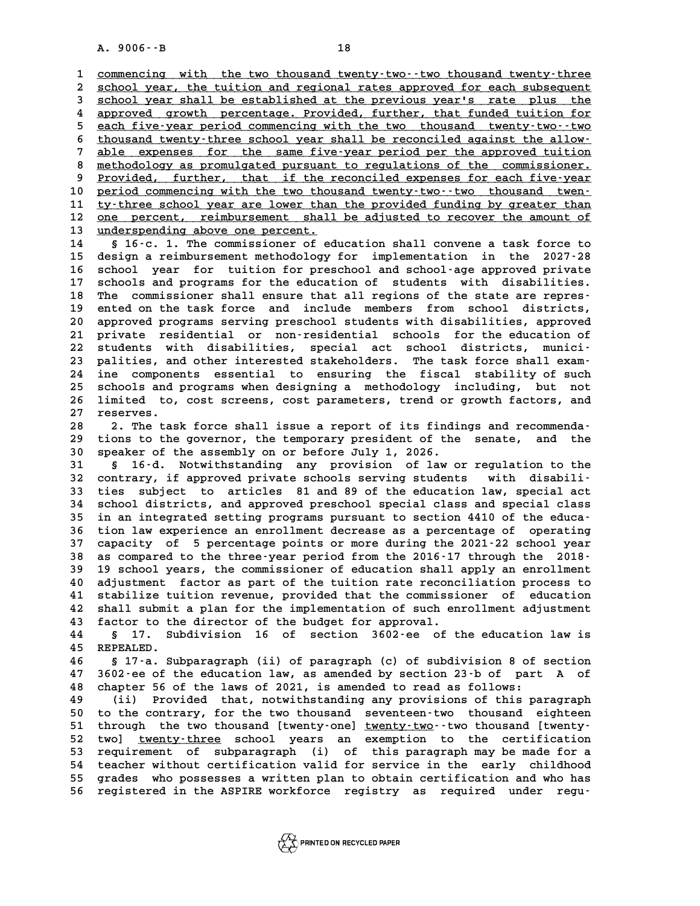A. 9006--B<br>18<br>1 <u>commencing with the two thousand twenty-two--two thousand twenty-three</u><br>2 sabool work the tuition and regional rates approved for each subsequent 2 <u>commencing with the two thousand twenty-two--two thousand twenty-three<br>2 <u>school year, the tuition and regional rates approved for each subsequent</u><br>3 school year shall be established at the previous yearls, rate, plus, </u> 3 <u>school year, the tuition and regional rates approved for each subsequent</u><br>3 <u>school year shall be established at the previous year's rate plus the</u><br>4 approved growth percentage. Provided, further, that funded tuition fo 2 school year, the tuition and regional rates approved for each subsequent<br>3 school year shall be established at the previous year's rate plus the<br>4 approved growth percentage. Provided, further, that funded tuition for<br>22 5 school year shall be established at the previous year's rate plus the<br>4 approved growth percentage. Provided, further, that funded tuition for<br>5 each five-year period commencing with the two thousand twenty-two--two<br>5 th 4 approved growth percentage. Provided, further, that funded tuition for<br>
5 each five-year period commencing with the two thousand twenty-two--two<br>
6 thousand twenty-three school year shall be reconciled against the allow-5 each five-year period commencing with the two thousand twenty-two--two<br>6 thousand twenty-three school year shall be reconciled against the allow-<br>7 able expenses for the same five-year period per the approved tuition<br>8 m 8 able expenses for the same five-year period per the approved tuition<br>8 methodology as promulgated pursuant to regulations of the commissioner.<br>8 Provided, further, that if the reconciled expenses for each five-year Provided, further and the same five-year period per the approved tuition<br> **9 Reconciled, further, that if the reconciled expenses for each five-year**<br> **Provided, further, that if the reconciled expenses for each five-year** 8 <u>methodology as promulgated pursuant to regulations of the commissioner.</u><br>9 <u>Provided, further, that if the reconciled expenses for each five-year</u><br>10 <u>period commencing with the two thousand twenty-two--two thousand twe</u> 9 **Provided, further, that if the reconciled expenses for each five-year**<br>10 <u>period commencing with the two thousand twenty-two--two thousand twen-</u><br>11 ty-three school year are lower than the provided funding by greater t 10 period commencing with the two thousand twenty-two-two thousand twen-<br>
11 ty-three school year are lower than the provided funding by greater than<br>
12 one percent, reimbursement shall be adjusted to recover the amount o 11 ty-three school year are lower than the provided funding by greater than<br>12 <u>one percent, reimbursement shall be adjusted to recover the amount of</u><br>13 <u>underspending above one percent.</u><br>14 § 16.c. 1. The commissioner of **12 <u>one percent, reimbursement</u> shall be adjusted to recover the amount of underspending above one percent.<br>14 § 16-c. 1. The commissioner of education shall convene a task force to<br>15 design a reimbursement methodology f** 

14 S 16 -c. 1. The commissioner of education shall convene a task force to<br>15 design a reimbursement methodology for implementation in the 2027-28<br>16 school vear for tuition for preschool and school-age approved private **16 school year for tuition for preschool and school-age approved private 15 design a reimbursement methodology for implementation in the 2027-28**<br>**16 school year for tuition for preschool and school-age approved private**<br>17 schools and programs for the education of students with disabilities.<br> 16 school year for tuition for preschool and school-age approved private<br>17 schools and programs for the education of students with disabilities.<br>18 The commissioner shall ensure that all regions of the state are repres-<br>2 17 schools and programs for the education of students with disabilities.<br>18 The commissioner shall ensure that all regions of the state are repres-<br>19 ented on the task force and include members from school districts,<br>20 e The commissioner shall ensure that all regions of the state are repres-<br>19 ented on the task force and include members from school districts,<br>20 approved programs serving preschool students with disabilities, approved<br>21 p 19 ented on the task force and include members from school districts,<br>20 approved programs serving preschool students with disabilities, approved<br>21 private residential or non-residential schools for the education of<br>22 st 20 approved programs serving preschool students with disabilities, approved<br>
21 private residential or non-residential schools for the education of<br>
22 students with disabilities, special act school districts, munici-<br>
23 21 private residential or non-residential schools for the education of<br>
22 students with disabilities, special act school districts, munici-<br>
23 palities, and other interested stakeholders. The task force shall exam-<br>
24 i 22 students with disabilities, special act school districts, munici-<br>23 palities, and other interested stakeholders. The task force shall exam-<br>24 ine components essential to ensuring the fiscal stability of such<br>25 school 23 palities, and other interested stakeholders. The task force shall exam-<br>24 ine components essential to ensuring the fiscal stability of such<br>25 schools and programs when designing a methodology including, but not<br>26 lim 24 ine components essential to ensuring the fiscal stability of such<br>25 schools and programs when designing a methodology including, but not<br>26 limited to, cost screens, cost parameters, trend or growth factors, and<br><sup>27</sup> r 25 schools and :<br>26 limited to,<br>27 reserves. 26 limited to, cost screens, cost parameters, trend or growth factors, and<br>
27 reserves.<br>
28 2. The task force shall issue a report of its findings and recommenda-<br>
29 tions to the governor, the temporary president of the

**27 reserves.**<br>28 2. The task force shall issue a report of its findings and recommenda-<br>29 tions to the governor, the temporary president of the senate, and the<br>30 speaker of the assembly on ar before July 1, 2026 28 2. The task force shall issue a report of its findi<sup>29</sup> tions to the governor, the temporary president of the speaker of the assembly on or before July 1, 2026. 29 tions to the governor, the temporary president of the senate, and the<br>30 speaker of the assembly on or before July 1, 2026.<br>31 § 16-d. Notwithstanding any provision of law or regulation to the<br>22 september if approved p

30 speaker of the assembly on or before July 1, 2026.<br>
31 § 16-d. Notwithstanding any provision of law or regulation to the<br>
32 contrary, if approved private schools serving students with disabili-<br>
<sup>33</sup> ties subject to ar **31** S 16-d. Notwithstanding any provision of law or regulation to the<br>32 contrary, if approved private schools serving students with disabili-<br>33 ties subject to articles 81 and 89 of the education law, special act<br>34 sch 32 contrary, if approved private schools serving students with disabili-<br>33 ties subject to articles 81 and 89 of the education law, special act<br>34 school districts, and approved preschool special class and special class<br>i 33 ties subject to articles 81 and 89 of the education law, special act<br>34 school districts, and approved preschool special class and special class<br>35 in an integrated setting programs pursuant to section 4410 of the educa 34 school districts, and approved preschool special class and special class<br>35 in an integrated setting programs pursuant to section 4410 of the educa-<br>36 tion law experience an enrollment decrease as a percentage of opera 35 in an integrated setting programs pursuant to section 4410 of the educa-<br>36 tion law experience an enrollment decrease as a percentage of operating<br>37 capacity of 5 percentage points or more during the 2021-22 school ye **36 tion law experience an enrollment decrease as a percentage of operating<br>37 capacity of 5 percentage points or more during the 2021-22 school year<br>38 as compared to the three-year period from the 2016-17 through the 201** 37 capacity of 5 percentage points or more during the 2021-22 school year<br>38 as compared to the three-year period from the 2016-17 through the 2018-<br>39 19 school years, the commissioner of education shall apply an enrollme as compared to the three-year period from the 2016-17 through the 2018-<br>
19 school years, the commissioner of education shall apply an enrollment<br>
40 adjustment factor as part of the tuition rate reconciliation process to<br> 19 school years, the commissioner of education shall apply an enrollment<br>40 adjustment factor as part of the tuition rate reconciliation process to<br>41 stabilize tuition revenue, provided that the commissioner of education<br> **40 adjustment factor as part of the tuition rate reconciliation process to stabilize tuition revenue, provided that the commissioner of education shall submit a plan for the implementation of such enrollment adjustment** 41 stabilize tuition revenue, provided that the commissi<br>42 shall submit a plan for the implementation of such en<br>43 factor to the director of the budget for approval. **42 shall submit a plan for the implementation of such enrollment adjustment**<br>**43 factor to the director of the budget for approval.**<br>**44 S 17. Subdivision 16 of section 3602–ee of the education law is**<br><sup>45</sup> PEDEALED

factor to the director of the budget for approval.<br> **44** § 17. Subdivision 16 of section 3602 ee of the education law is<br> **45 REPEALED.**<br>
§ 17 -a. Subparagraph (ii) of paragraph (c) of subdivision 8 of section **6 § 17. Subdivision 16 of section 3602-ee of the education law is<br>
<b>45 REPEALED.**<br> **46 § 17-a. Subparagraph (ii) of paragraph (c) of subdivision 8 of section**<br> **47 3602-ee of the education law, as amended by section 23-b** 

**45 REPEALED.<br>46 § 17-a. Subparagraph (ii) of paragraph (c) of subdivision 8 of section<br>47 3602-ee of the education law, as amended by section 23-b of part A of<br>48 sharts 56 of the laws of 2021, is amended to read as follo 46 5 17-a. Subparagraph (ii) of paragraph (c) of subdivision 8 of 47 3602-ee of the education law, as amended by section 23-b of part chapter 56 of the laws of 2021, is amended to read as follows:<br>
<b>48** chapter 56 of th **47 3602-ee of the education law, as amended by section 23-b of part A of chapter 56 of the laws of 2021, is amended to read as follows:**<br>**49** (ii) Provided that, notwithstanding any provisions of this paragraph<br>**50 to the** 

chapter 56 of the laws of 2021, is amended to read as follows:<br>
49 (ii) Provided that, notwithstanding any provisions of this paragraph<br>
50 to the contrary, for the two thousand seventeen-two thousand eighteen<br>
51 through 49 (ii) Provided that, notwithstanding any provisions of this paragraph<br>50 to the contrary, for the two thousand seventeen-two thousand eighteen<br>51 through the two thousand [twenty-one] <u>twenty-two</u>--two thousand [twenty-<br> 50 to the contrary, for the two thousand seventeen-two thousand eighteen<br>51 through the two thousand [twenty-one] <u>twenty-two</u>--two thousand [twenty-<br>52 two] <u>twenty-three</u> school years an exemption to the certification<br>53 51 through the two thousand [twenty-one] <u>twenty-two</u>--two thousand [twenty-<br>52 two] <u>twenty-three</u> school years an exemption to the certification<br>53 requirement of subparagraph (i) of this paragraph may be made for a<br>54 t 52 twol <u>twenty-three</u> school years an exemption to the certification<br>53 requirement of subparagraph (i) of this paragraph may be made for a<br>54 teacher without certification valid for service in the early childhood<br>55 grad **53 requirement of subparagraph (i) of this paragraph may be made for a**<br>54 teacher without certification valid for service in the early childhood<br>55 grades who possesses a written plan to obtain certification and who has<br> 54 teacher without certification valid for service in the early childhood<br>55 grades who possesses a written plan to obtain certification and who has<br>56 registered in the ASPIRE workforce registry as required under regu-

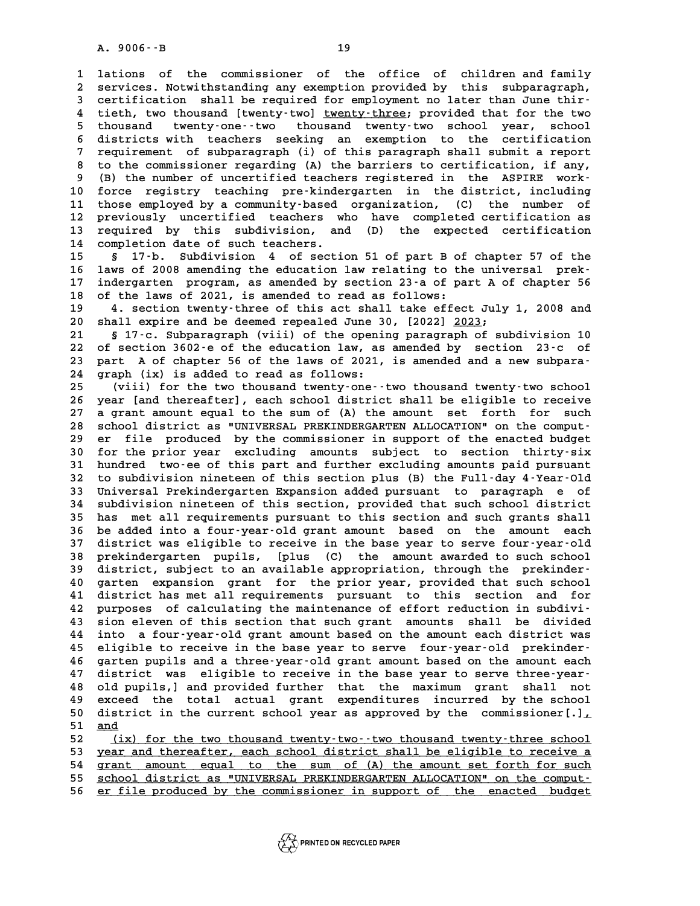**1 lations of the commissioner of the office of children and family** 1 lations of the commissioner of the office of children and family<br>2 services. Notwithstanding any exemption provided by this subparagraph,<br>3 sertification, shall be required for employment no later than June thir. 1 lations of the commissioner of the office of children and family<br>
2 services. Notwithstanding any exemption provided by this subparagraph,<br>
3 certification shall be required for employment no later than June thir-<br>
<sup>1</sup> t 2 services. Notwithstanding any exemption provided by this subparagraph,<br>3 certification shall be required for employment no later than June thir-<br>4 tieth, two thousand [twenty-two] <u>twenty-three</u>; provided that for the tw 3 certification shall be required for employment no later than June thir-<br>4 tieth, two thousand [twenty-two] <u>twenty-three</u>; provided that for the two<br>5 thousand twenty-one--two thousand twenty-two school year, school<br>6 di 4 tieth, two thousand [twenty-two] <u>twenty-three</u>; provided that for the two<br>5 thousand twenty-one--two thousand twenty-two school year, school<br>6 districts with teachers seeking an exemption to the certification<br>7 requirem **7** thousand twenty-one--two thousand twenty-two school year, school<br>6 districts with teachers seeking an exemption to the certification<br>7 requirement of subparagraph (i) of this paragraph shall submit a report<br>8 to the co 8 districts with teachers seeking an exemption to the certification<br>
7 requirement of subparagraph (i) of this paragraph shall submit a report<br>
8 to the commissioner regarding (A) the barriers to certification, if any,<br>
8 9 requirement of subparagraph (i) of this paragraph shall submit a report<br>
8 to the commissioner regarding (A) the barriers to certification, if any,<br>
9 (B) the number of uncertified teachers registered in the ASPIRE work-10 **10 force registers** (A) the barriers to certification, if any,<br>
10 (B) the number of uncertified teachers registered in the ASPIRE work-<br>
10 force registry teaching pre-kindergarten in the district, including<br>
11 those 10 (B) the number of uncertified teachers registered in the ASPIRE work-<br>10 force registry teaching pre-kindergarten in the district, including<br>11 those employed by a community-based organization, (C) the number of<br>12 prov 10 force registry teaching pre-kindergarten in the district, including<br>11 those employed by a community-based organization, (C) the number of<br>12 previously uncertified teachers who have completed certification as<br>required 11 those employed by a community-based organization, (C) the number of<br>12 previously uncertified teachers who have completed certification as<br>13 required by this subdivision, and (D) the expected certification<br>14 completio 12 previously uncertified teachers w.<br>13 required by this subdivision, an<br>14 completion date of such teachers.<br><sup>15</sup> 5.<sup>17-b</sup> Subdivision 4.05 sosti 13 required by this subdivision, and (D) the expected certification<br>14 completion date of such teachers.<br>15 § 17-b. Subdivision 4 of section 51 of part B of chapter 57 of the<br>16 laws of 2008 amending the education law rela

<sup>14</sup> completion date of such teachers.<br>
15 § 17-b. Subdivision 4 of section 51 of part B of chapter 57 of the<br>
16 laws of 2008 amending the education law relating to the universal prek-<br>
17 indexparter program as amended b 15 § 17-b. Subdivision 4 of section 51 of part B of chapter 57 of the<br>16 laws of 2008 amending the education law relating to the universal prek-<br>17 indergarten program, as amended by section 23-a of part A of chapter 56<br>18 16 laws of 2008 amending the education law relating to the indergarten program, as amended by section 23<sup>-</sup>a of pa<br>18 of the laws of 2021, is amended to read as follows:<br><sup>19</sup> description transportant program in the offer 17 indergarten program, as amended by section 23<sup>-</sup>a of part A of chapter 56<br>18 of the laws of 2021, is amended to read as follows:<br>19 4. section twenty-three of this act shall take effect July 1, 2008 and<br>20 shall expire

18 of the laws of 2021, is amended to read as follows:<br>19 4. section twenty-three of this act shall take effect July<br>20 shall expire and be deemed repealed June 30, [2022] 2023;<br><sup>21</sup> 5.17:5. Subparagraph (wiji) of the open **21 \$ 17-c. Subparagraph (viii) of the opening paragraph of subdivision 10**<br> **21 \$ 17-c. Subparagraph (viii) of the opening paragraph of subdivision 10**<br> **22 of section 2602.0 of the oducation 124 as amonded by section 23.** 

**20** shall expire and be deemed repealed June 30, [2022] 2023;<br> **21** § 17-c. Subparagraph (viii) of the opening paragraph of subdivision 10<br>
22 of section 3602-e of the education law, as amended by section 23-c of<br>
23 part 21 § 17 c. Subparagraph (viii) of the opening paragraph of subdivision 10<br>22 of section 3602 e of the education law, as amended by section 23 c of<br>23 part A of chapter 56 of the laws of 2021, is amended and a new subpara-<br> 22 of section 3602-e of the education law, as<br>23 part A of chapter 56 of the laws of 2021,<br>24 graph (ix) is added to read as follows:<br><sup>25</sup> (wiji) for the two thousand twotty.cross 23 part A of chapter 56 of the laws of 2021, is amended and a new subpara-<br>24 graph (ix) is added to read as follows:<br>25 (viii) for the two thousand twenty-one--two thousand twenty-two school<br>26 year [and thereafter], each

**24 graph (ix) is added to read as follows:**<br>25 (viii) for the two thousand twenty-one--two thousand twenty-two school<br>26 year [and thereafter], each school district shall be eligible to receive<br>27 a graph arount equal to <sup>25</sup> (viii) for the two thousand twenty-one--two thousand twenty-two school<br>26 year [and thereafter], each school district shall be eligible to receive<br>27 a grant amount equal to the sum of (A) the amount set forth for suc 26 year [and thereafter], each school district shall be eligible to receive<br>27 a grant amount equal to the sum of (A) the amount set forth for such<br>28 school district as "UNIVERSAL PREKINDERGARTEN ALLOCATION" on the comput 27 a grant amount equal to the sum of (A) the amount set forth for such<br>28 school district as "UNIVERSAL PREKINDERGARTEN ALLOCATION" on the comput-<br>29 er file produced by the commissioner in support of the enacted budget<br>3 **30 school district as "UNIVERSAL PREKINDERGARTEN ALLOCATION" on the comput-**<br>29 er file produced by the commissioner in support of the enacted budget<br>30 for the prior year excluding amounts subject to section thirty-six<br>3 29 er file produced by the commissioner in support of the enacted budget<br>30 for the prior year excluding amounts subject to section thirty-six<br>31 hundred two-ee of this part and further excluding amounts paid pursuant<br>22 t 30 for the prior year excluding amounts subject to section thirty-six<br>31 hundred two-ee of this part and further excluding amounts paid pursuant<br>32 to subdivision nineteen of this section plus (B) the Full-day 4-Year-Old<br>3 31 hundred two-ee of this part and further excluding amounts paid pursuant<br>32 to subdivision nineteen of this section plus (B) the Full-day 4-Year-Old<br>33 Universal Prekindergarten Expansion added pursuant to paragraph e of **32 to subdivision nineteen of this section plus (B) the Full-day 4-Year-Old**<br>**33 Universal Prekindergarten Expansion added pursuant to paragraph e of subdivision nineteen of this section, provided that such school distric** 33 Universal Prekindergarten Expansion added pursuant to paragraph e of<br>34 subdivision nineteen of this section, provided that such school district<br>35 has met all requirements pursuant to this section and such grants shall 34 subdivision nineteen of this section, provided that such school district<br>35 has met all requirements pursuant to this section and such grants shall<br>36 be added into a four-year-old grant amount based on the amount each<br> **35 has met all requirements pursuant to this section and such grants shall**<br>36 be added into a four-year-old grant amount based on the amount each<br>37 district was eligible to receive in the base year to serve four-year-ol **36 be added into a four-year-old grant amount based on the amount each**<br>37 district was eligible to receive in the base year to serve four-year-old<br>38 prekindergarten pupils, [plus (C) the amount awarded to such school<br>39 37 district was eligible to receive in the base year to serve four-year-old<br>38 prekindergarten pupils, [plus (C) the amount awarded to such school<br>39 district, subject to an available appropriation, through the prekinder-<br> **40 40 40 garten pupils, [plus (C) the amount awarded to such school**<br> **40 garten expansion grant for the prior year, provided that such school**<br> **40 garten expansion grant for the prior year, provided that such school**<br> 39 district, subject to an available appropriation, through the prekinder-<br>40 garten expansion grant for the prior year, provided that such school<br>41 district has met all requirements pursuant to this section and for<br>42 pu **42 purposes of calculating the maintenance of effort reduction in subdivi-**41 district has met all requirements pursuant to this section and for<br>42 purposes of calculating the maintenance of effort reduction in subdivi-<br>43 sion eleven of this section that such grant amounts shall be divided<br><sup>44</sup> 42 purposes of calculating the maintenance of effort reduction in subdivi-<br>43 sion eleven of this section that such grant amounts shall be divided<br>44 into a four-year-old grant amount based on the amount each district was<br> 43 sion eleven of this section that such grant amounts shall be divided<br>44 into a four-year-old grant amount based on the amount each district was<br>45 eligible to receive in the base year to serve four-year-old prekinder-<br>4 44 into a four-year-old grant amount based on the amount each district was<br>45 eligible to receive in the base year to serve four-year-old prekinder-<br>46 garten pupils and a three-year-old grant amount based on the amount ea 45 eligible to receive in the base year to serve four-year-old prekinder-<br>46 garten pupils and a three-year-old grant amount based on the amount each<br>47 district was eligible to receive in the base year to serve three-year **48 old pupils,] and provided further that the maximum grant shall not** district was eligible to receive in the base year to serve three-year-<br>48 old pupils,] and provided further that the maximum grant shall not<br>49 exceed the total actual grant expenditures incurred by the school<br>50 district 48 old pupils,] and provided further that the maximum grant shall not<br>49 exceed the total actual grant expenditures incurred by the school<br>50 district in the current school year as approved by the commissioner[.]<br>51 and **49** exceed<br>50 distri<br>51 <u>and</u><br>53 (iv) district in the current school year as approved by the commissioner[.]<sub>*L*</sub><br>51 <u>and</u><br>52 (ix) for the two thousand twenty-two--two thousand twenty-three school<br>53 year and thereafter, each school district shall be eligible

53 <u>year and thereafter, each school district shall be eligible to receive a</u><br>54 grant amount equal to the sum of (A) the amount set forth for such 52 (ix) for the two thousand twenty-two--two thousand twenty-three school<br>53 year and thereafter, each school district shall be eligible to receive a<br>54 grant amount equal to the sum of (A) the amount set forth for such<br>55 year and thereafter, each school district shall be eligible to receive a<br>
grant amount equal to the sum of (A) the amount set forth for such<br>
<u>school district as "UNIVERSAL PREKINDERGARTEN ALLOCATION" on the comput-</u><br>
is a 54 grant amount equal to the sum of (A) the amount set forth for such<br>55 <u>school district as "UNIVERSAL PREKINDERGARTEN ALLOCATION" on the comput-<br>56 er file produced by the commissioner in support of the enacted budget</u>

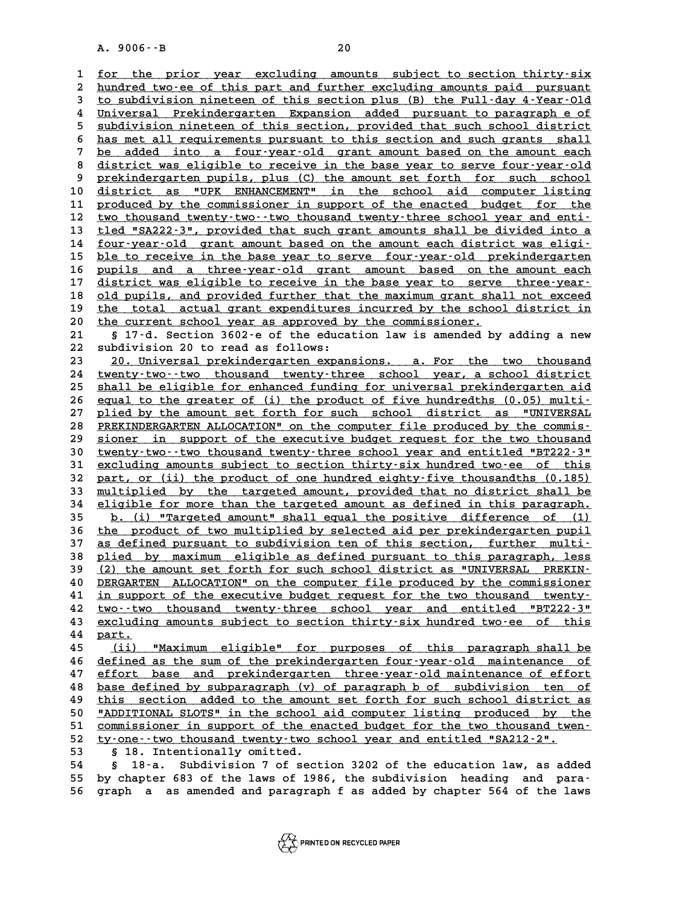A. 9006 · - B<br> **1** <u>for the prior year excluding amounts subject to section thirty-six</u><br>
<sup>2</sup> bundred typese of this part and further excluding amounts paid pursuant 1 <u>for the prior year excluding amounts subject to section thirty-six</u><br>2 <u>hundred two-ee of this part and further excluding amounts paid pursuant</u><br>3 to subdivision nineteen of this section plus (B) the Full-day 4-Vear-Old **5 to the prior year excluding amounts subject to section thirty-six<br>
2 hundred two-ee of this part and further excluding amounts paid pursuant<br>
<u>to subdivision nineteen of this section plus (B) the Full-day 4-Year-Old</u><br>
I** 2 <u>hundred two-ee of this part and further excluding amounts paid pursuant<br>
to subdivision nineteen of this section plus (B) the Full-day 4-Year-Old<br>
<u>Universal Prekindergarten Expansion added pursuant to paragraph e of</u><br>
</u> 5 to subdivision nineteen of this section plus (B) the Full-day 4-Year-Old<br>
4 Universal Prekindergarten Expansion added pursuant to paragraph e of<br>
5 subdivision nineteen of this section, provided that such school district 4 Universal Prekindergarten Expansion added pursuant to paragraph e of<br>5 <u>subdivision nineteen of this section, provided that such school district</u><br>6 has met all requirements pursuant to this section and such grants shall<br> 5 <u>subdivision nineteen of this section, provided that such school district<br>
thas met all requirements pursuant to this section and such grants shall<br>
<sup>7</sup> be added into a four-year-old grant amount based on the amount each</u> **8** has met all requirements pursuant to this section and such grants shall<br> **be added into a four-year-old grant amount based on the amount each**<br> **a** district was eligible to receive in the base year to serve four-year-o **be added into a four-year-old grant amount based on the amount each**<br> **8 district was eligible to receive in the base year to serve four-year-old**<br> **9 prekindergarten pupils, plus (C) the amount set forth for such school** 8 district was eligible to receive in the base year to serve four-year-old<br>9 prekindergarten pupils, plus (C) the amount set forth for such school<br>10 district as "UPK ENHANCEMENT" in the school aid computer listing<br>11 prod 9 prekindergarten pupils, plus (C) the amount set forth for such school<br>10 <u>district as "UPK ENHANCEMENT" in the school aid computer listing</u><br>11 produced by the commissioner in support of the enacted budget for the<br>12 two 10 district as "UPK ENHANCEMENT" in the school aid computer listing<br>11 produced by the commissioner in support of the enacted budget for the<br>12 two thousand twenty-two--two thousand twenty-three school year and enti-<br><sup>13</sup> 11 <u>produced by the commissioner in support of the enacted budget for the</u><br>12 <u>two thousand twenty-two--two thousand twenty-three school year and enti-</u><br>13 <u>tled "SA222-3", provided that such grant amounts shall be divided</u> two thousand twenty-two--two thousand twenty-three school year and enti-<br>
13 <u>tled "SA222-3", provided that such grant amounts shall be divided into a</u><br>
14 <u>four-year-old</u> grant amount based on the amount each district was **13** <u>tled "SA222-3", provided that such grant amounts shall be divided into a</u><br>14 <u>four-year-old grant amount based on the amount each district was eligi-</u><br>15 ble to receive in the base year to serve four-year-old prekind **14** <u>four-year-old grant amount based on the amount each district was eligi-</u><br> **15** <u>ble to receive in the base year to serve four-year-old prekindergarten</u><br> **16** <u>pupils and a three-year-old grant amount based on the amo</u> ble to receive in the base year to serve four-year-old prekindergarten<br>16 <u>pupils and a three-year-old grant amount based on the amount each</u><br>17 <u>district was eligible to receive in the base year to serve three-year-</u><br>18 a **16 pupils and a three-year-old grant amount based on the amount each**<br> **17 district was eligible to receive in the base year to serve three-year-**<br>
<u>old pupils, and provided further that the maximum grant shall not exceed</u> 17 district was eligible to receive in the base year to serve three-year-<br>18 <u>old pupils, and provided further that the maximum grant shall not exceed</u><br>19 the total actual grant expenditures incurred by the school district **20 the current school year as approved by the commissioner. \_\_\_\_\_\_\_\_\_\_\_\_\_\_\_\_\_\_\_\_\_\_\_\_\_\_\_\_\_\_\_\_\_\_\_\_\_\_\_\_\_\_\_\_\_\_\_\_\_\_\_\_\_\_\_\_ 20 he total actual grant expenditures incurred by the school district in**<br>
20 **he current school year as approved by the commissioner.**<br>
21 § 17-d. Section 3602-e of the education law is amended by adding a new 20 the current school year as approved by the commissioner.<br>
21 § 17-d. Section 3602-e of the education law is amended by adding a new<br>
22 subdivision 20 to read as follows:<br>
23 20. Universal prekindergarten expansions. a. 23 20. Universal prekindergarten expansions. a. For the two thousand<br>24 twenty-two--two thousand twenty-three school vear, a school district 22 subdivision 20 to read as follows:<br>
23 20. Universal prekindergarten expansions. a. For the two thousand<br>
24 twenty-two--two thousand twenty-three school year, a school district<br>
25 shall be eligible for ephanoed fundin 23 <u>20. Universal prekindergarten expansions. a. For the two thousand</u><br>24 <u>twenty-two--two thousand twenty-three school year, a school district</u><br>25 shall be eligible for enhanced funding for universal prekindergarten aid<br>2 24 <u>twenty-two-two thousand twenty-three school year, a school district</u><br>25 <u>shall be eligible for enhanced funding for universal prekindergarten aid</u><br>26 equal to the greater of (i) the product of five hundredths (0.05) mu **25** shall be eligible for enhanced funding for universal prekindergarten aid<br>26 equal to the greater of (i) the product of five hundredths (0.05) multi-<br>27 plied by the amount set forth for such school district as "UNIVER 26 equal to the greater of (i) the product of five hundredths (0.05) multi-<br>27 plied by the amount set forth for such school district as "UNIVERSAL<br>28 PREKINDERGARTEN ALLOCATION" on the computer file produced by the commis plied by the amount set forth for such school district as "UNIVERSAL<br>28 <u>PREKINDERGARTEN ALLOCATION" on the computer file produced by the commis-</u><br><u>sioner in support of the executive budget request for the two thousand</u><br>tw **30 PREKINDERGARTEN ALLOCATION"** on the computer file produced by the commis-<br>30 <u>sioner in support of the executive budget request for the two thousand<br>30 <u>twenty-two--two thousand twenty-three school year and entitled "B</u></u> 30 sioner in support of the executive budget request for the two thousand<br>30 <u>twenty-two--two thousand twenty-three school year and entitled "BT222-3"<br>31 excluding amounts subject to section thirty-six hundred two-ee of th</u> **30** <u>twenty-two--two thousand twenty-three school year and entitled "BT222-3"<br>31 excluding amounts subject to section thirty-six hundred two-ee of this<br>32 part, or (ii) the product of one hundred eighty-five thousandths (</u> 31 <u>excluding amounts subject to section thirty-six hundred two-ee of this</u><br>32 <u>part, or (ii) the product of one hundred eighty-five thousandths (0.185)</u><br>33 <u>multiplied by the targeted amount, provided that no district sha</u> 32 part, or (ii) the product of one hundred eighty-five thousandths (0.185)<br>33 <u>multiplied by the targeted amount</u>, provided that no district shall be<br>34 eligible for more than the targeted amount as defined in this paragr 33 <u>multiplied by the targeted amount, provided that no district shall be<br>34 eligible for more than the targeted amount as defined in this paragraph.<br>35 <u>b. (i) "Targeted amount" shall equal the positive difference of (1)</u></u> **34** eligible for more than the targeted amount as defined in this paragraph.<br>
<u>b. (i)</u> "Targeted amount" shall equal the positive difference of (1)<br>
<u>the product of two multiplied by selected aid per prekindergarten pupil</u> **b.** (i) "Targeted amount" shall equal the positive difference of (1)<br> **the product of two multiplied by selected aid per prekindergarten pupil**<br> **as defined pursuant to subdivision ten of this section, further multi-**<br> **a** 36 <u>the product of two multiplied by selected aid per prekindergarten pupil</u><br>37 <u>as defined pursuant to subdivision ten of this section, further multi-</u><br><u>plied by maximum eligible as defined pursuant to this paragraph, les</u> **37** as defined pursuant to subdivision ten of this section, further multi-<br>
<u>plied by maximum eligible</u> as defined pursuant to this paragraph, less<br>
(2) the amount set forth for such school district as "UNIVERSAL PREKIN-<br> **40 Depart of the maximum eligible as defined pursuant to this paragraph, less<br>
<u>(2) the amount set forth for such school district as "UNIVERSAL PREKIN-</u><br>
<u>DERGARTEN ALLOCATION" on the computer file produced by the commiss**</u> 40 <u>DERGARTEN ALLOCATION" on the computer file produced by the commissioner</u><br>40 <u>DERGARTEN ALLOCATION" on the computer file produced by the commissioner</u><br>41 <u>in support of the executive budget request for the two thousand </u> **EXERTEN ALLOCATION"** on the computer file produced by the commissioner<br> **41** in support of the executive budget request for the two thousand twenty-<br>
<u>two--two thousand twenty-three school year and entitled "BT222-3"</u><br>
ex **41** <u>in support of the executive budget request for the two thousand twenty-<br>42 <u>two--two thousand twenty-three school year and entitled "BT222-3"<br><u>excluding amounts subject to section thirty-six hundred two-ee of this</u><br>2</u></u> **42** <u>two--two</u><br>**43** <u>excludin</u><br>**44** part.<br>*15* (ii)</sub> **43** excluding amounts subject to section thirty-six hundred two-ee of this part.<br>44 part. (ii) "Maximum eligible" for purposes of this paragraph shall be<br>46 defined as the sum of the prekinderspies four wear old maintenan **44 <u>part.</u><br>45 (ii) "Maximum eligible" for purposes of this paragraph shall be<br>46 defined as the sum of the prekindergarten four-year-old maintenance of<br>47 offert base and prekindergarten three-wear-old maintenance of offe** 45 (ii) "Maximum eligible" for purposes of this paragraph shall be<br>46 defined as the sum of the prekindergarten four-year-old maintenance of<br><u>effort</u> base and prekindergarten three-year-old maintenance of effort<br>has been d **46** <u>defined as the sum of the prekindergarten four-year-old maintenance of effort</u><br>47 <u>effort base and prekindergarten three-year-old maintenance of effort</u><br>base defined by subparagraph (v) of paragraph b of subdivision **47** effort base and prekindergarten three-year-old maintenance of effort<br>48 base defined by subparagraph (v) of paragraph b of subdivision ten of<br>this section added to the amount set forth for such school district as<br> $\frac{$ base defined by subparagraph (v) of paragraph b of subdivision ten of<br> **this section added to the amount set forth for such school district as**<br> **EXPLOMAL SLOTS"** in the school aid computer listing produced by the<br>
commiss this section added to the amount set forth for such school district as<br>50 <u>"ADDITIONAL SLOTS" in the school aid computer listing produced by the<br>51 commissioner in support of the enacted budget for the two thousand twen-<br>5</u> **F2** TRIMBLITIONAL SLOTS" in the school aid computer listing produced by the commissioner in support of the enacted budget for the two thousand twenty-two school year and entitled "SA212-2". 51 <u>commissioner in support of the enacted budget for the two thousand twen-<br>52 <u>ty-one--two thousand twenty-two school year and entitled "SA212-2".</u><br>53 § 18. Intentionally omitted.<br>54 § 18-a. Subdivision 7 of section 3202</u> **52 <u>ty-one--two thousand twenty-two school year and entitled "SA212-2".**<br>53 § 18. Intentionally omitted.<br>54 § 18-a. Subdivision 7 of section 3202 of the education law, as added<br>55 by chapter 683 of the laws of 1986 the su</u> 53 **5 18. Intentionally omitted.**<br>
54 **5 18-a.** Subdivision 7 of section 3202 of the education law, as added<br>
55 by chapter 683 of the laws of 1986, the subdivision heading and para-<br>
56 graph a 25 appended and paragraph f **56 graph a as amended and paragraph f as added by chapter 564 of the laws**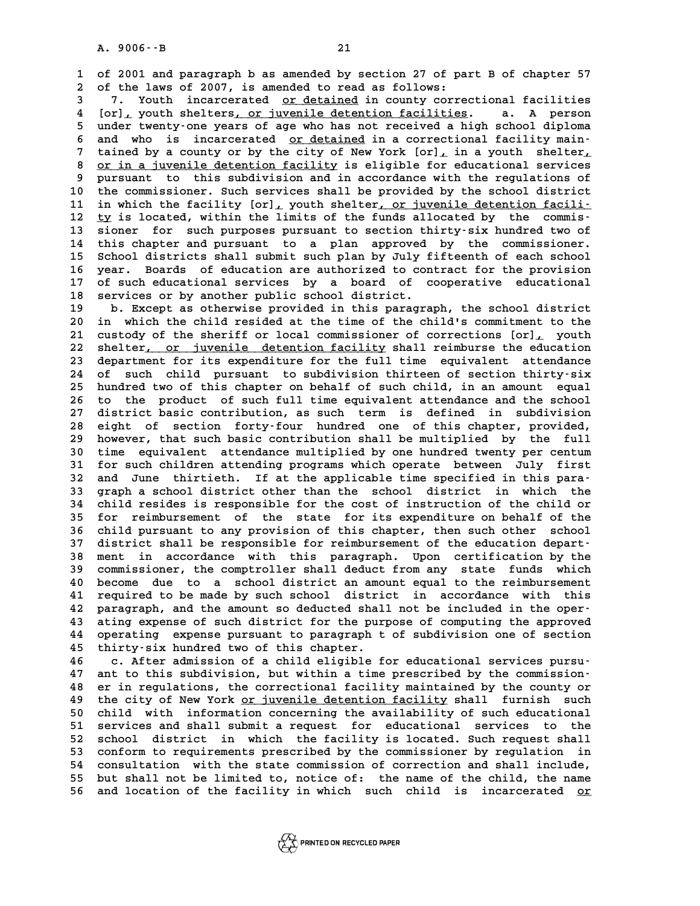**1 of 2001 and paragraph b as amended by section 27 of part B of chapter 57 2** of 2001 and paragraph b as amended by section 27 of pa<br>2 of the laws of 2007, is amended to read as follows:<br>2 1 2 Youth incargerated or detained in county corre **3** 1 of 2001 and paragraph b as amended by section 27 of part B of chapter 57<br> **3** 6 the laws of 2007, is amended to read as follows:<br> **3** 7. Youth incarcerated <u>or detained</u> in county correctional facilities<br> **1** for lay

of the laws of 2007, is amended to read as follows:<br> **4** [or], youth incarcerated <u>or detained</u> in county correctional facilities<br> **4** [or], youth shelters, <u>or juvenile detention facilities</u>. a. A person<br> **5** under twenty **5** 3 1. Youth incarcerated <u>or detained</u> in county correctional facilities<br> **4** [or], youth shelters, or juvenile detention facilities. a. A person<br>
5 under twenty-one years of age who has not received a high school diplo **6 and who is incarcerated or detention facilities.** a. A person<br> **6 and who is incarcerated <u>or detained</u> in a correctional facility main-**<br> **6 and who is incarcerated <u>or detained</u> in a correctional facility main-<br>
<b>Exam** 5 under twenty-one years of age who has not received a high school diploma<br>6 and who is incarcerated <u>or detained</u> in a correctional facility main-<br>7 tained by a county or by the city of New York [or], in a youth shelter,<br> 8 and who is incarcerated <u>or detained</u> in a correctional facility main-<br>7 tained by a county or by the city of New York [or], in a youth shelter,<br>8 <u>or in a juvenile detention facility</u> is eligible for educational service <sup>7</sup> tained by a county or by the city of New York [or], in a youth shelter,<br>
<sup>8</sup> <u>or in a juvenile detention facility</u> is eligible for educational services<br>
9 pursuant to this subdivision and in accordance with the regulat 8 <u>or in a juvenile detention facility</u> is eligible for educational services<br>9 pursuant to this subdivision and in accordance with the regulations of<br>10 the commissioner. Such services shall be provided by the school distr 9 pursuant to this subdivision and in accordance with the regulations of<br>10 the commissioner. Such services shall be provided by the school district<br>11 in which the facility  $[or]_L$  youth shelter, <u>or juvenile detention fa</u> the commissioner. Such services shall be provided by the school district<br>11 in which the facility  $[or]_L$  youth shelter, <u>or juvenile detention facili</u>-<br>12 ty is located, within the limits of the funds allocated by the com 11 in which the facility [or], youth shelter, <u>or juvenile detention facili-</u><br>12 <u>ty</u> is located, within the limits of the funds allocated by the commis-<br>13 sioner for such purposes pursuant to section thirty-six hundred t 12 <u>ty</u> is located, within the limits of the funds allocated by the commis-<br>13 sioner for such purposes pursuant to section thirty-six hundred two of<br>14 this chapter and pursuant to a plan approved by the commissioner.<br>25 **13 sioner for such purposes pursuant to section thirty-six hundred two of**<br>**14 this chapter and pursuant to a plan approved by the commissioner.**<br>**15 School districts shall submit such plan by July fifteenth of each schoo** 14 this chapter and pursuant to a plan approved by the commissioner.<br>15 School districts shall submit such plan by July fifteenth of each school<br>16 year. Boards of education are authorized to contract for the provision<br>17 15 School districts shall submit such plan by July fifteenth of each school<br>16 year. Boards of education are authorized to contract for the provision<br>17 of such educational services by a board of cooperative educational<br>18 16 year. Boards of education are authorized to con<br>17 of such educational services by a board of c<br>18 services or by another public school district.<br>19 by Freet as athorwige provided in this paragram 17 of such educational services by a board of cooperative educational<br>18 services or by another public school district.<br>19 b. Except as otherwise provided in this paragraph, the school district<br>20 in which the shild regide

18 services or by another public school district.<br>
20 in which the child resided at the time of the child's commitment to the<br>
21 quitedy of the shariff or local commissioner of corrections [or], wouth **20** b. Except as otherwise provided in this paragraph, the school district 20 in which the child resided at the time of the child's commitment to the custody of the sheriff or local commissioner of corrections  $\text{[or]}_{\perp$ 20 in which the child resided at the time of the child's commitment to the<br>21 custody of the sheriff or local commissioner of corrections  $[\text{or}]_L$  youth<br>22 shelter, <u>or juvenile detention facility</u> shall reimburse the edu 21 custody of the sheriff or local commissioner of corrections [or], youth<br>22 shelter, <u>or juvenile detention facility</u> shall reimburse the education<br>23 department for its expenditure for the full time equivalent attendanc 22 shelter<u>, or juvenile detention facility</u> shall reimburse the education<br>23 department for its expenditure for the full time equivalent attendance<br>24 of such child pursuant to subdivision thirteen of section thirty-six<br>2 23 department for its expenditure for the full time equivalent attendance<br>24 of such child pursuant to subdivision thirteen of section thirty-six<br>25 hundred two of this chapter on behalf of such child, in an amount equal<br>2 24 of such child pursuant to subdivision thirteen of section thirty-six<br>25 hundred two of this chapter on behalf of such child, in an amount equal<br>26 to the product of such full time equivalent attendance and the school<br>27 **27 district basic contribution, as such term is defined in subdivision 28 eight of section forty-four hundred one of this chapter, provided,** 27 district basic contribution, as such term is defined in subdivision<br>28 eight of section forty-four hundred one of this chapter, provided,<br>29 however, that such basic contribution shall be multiplied by the full<br>20 time 28 eight of section forty-four hundred one of this chapter, provided,<br>29 however, that such basic contribution shall be multiplied by the full<br>30 time equivalent attendance multiplied by one hundred twenty per centum<br>31 fo 29 however, that such basic contribution shall be multiplied by the full<br>30 time equivalent attendance multiplied by one hundred twenty per centum<br>31 for such children attending programs which operate between July first<br>22 30 time equivalent attendance multiplied by one hundred twenty per centum<br>31 for such children attending programs which operate between July first<br>32 and June thirtieth. If at the applicable time specified in this para-<br><sup>3</sup> 31 for such children attending programs which operate between July first<br>32 and June thirtieth. If at the applicable time specified in this para-<br>33 graph a school district other than the school district in which the<br><sup>34</sup> 32 and June thirtieth. If at the applicable time specified in this para-<br>33 graph a school district other than the school district in which the<br>34 child resides is responsible for the cost of instruction of the child or<br>35 33 graph a school district other than the school district in which the<br>34 child resides is responsible for the cost of instruction of the child or<br>35 for reimbursement of the state for its expenditure on behalf of the<br>36 c **34 child resides is responsible for the cost of instruction of the child or**<br>**35 for reimbursement of the state for its expenditure on behalf of the**<br>**36 child pursuant to any provision of this chapter, then such other sc** 35 for reimbursement of the state for its expenditure on behalf of the<br>36 child pursuant to any provision of this chapter, then such other school<br>37 district shall be responsible for reimbursement of the education depart-<br> **36 child pursuant to any provision of this chapter, then such other school**<br>**37 district shall be responsible for reimbursement of the education depart-**<br>**38 ment in accordance with this paragraph.** Upon certification by **37 district shall be responsible for reimbursement of the education depart-**<br>38 ment in accordance with this paragraph. Upon certification by the<br>39 commissioner, the comptroller shall deduct from any state funds which<br>20 **40 absorberies 10 accordance with this paragraph.** Upon certification by the commissioner, the comptroller shall deduct from any state funds which<br>40 become due to a school district an amount equal to the reimbursement<br>41 39 commissioner, the comptroller shall deduct from any state funds which<br>40 become due to a school district an amount equal to the reimbursement<br>41 required to be made by such school district in accordance with this<br>42 par **42 paragraph, and the amount so deducted shall not be included in the oper-43 ating expense of such district for the purpose of computing the approved** 42 paragraph, and the amount so deducted shall not be included in the oper-<br>43 ating expense of such district for the purpose of computing the approved<br>44 operating expense pursuant to paragraph t of subdivision one of sec 43 ating expense of such district for the pur<br>44 operating expense pursuant to paragraph t<br>45 thirty-six hundred two of this chapter.<br>16 a Atiox admission of a shild aligible f 44 operating expense pursuant to paragraph t of subdivision one of section<br>
45 thirty-six hundred two of this chapter.<br>
46 c. After admission of a child eligible for educational services pursu-<br>
47 ant to this subdivision,

45 thirty-six hundred two of this chapter.<br>
46 c. After admission of a child eligible for educational services pursu-<br>
47 ant to this subdivision, but within a time prescribed by the commission-<br>
48 er in regulations, the **46** c. After admission of a child eligible for educational services pursu-<br>47 ant to this subdivision, but within a time prescribed by the commission-<br>48 er in regulations, the correctional facility maintained by the coun 47 ant to this subdivision, but within a time prescribed by the commission-<br>48 er in regulations, the correctional facility maintained by the county or<br>49 the city of New York <u>or juvenile detention facility</u> shall furnish 48 er in regulations, the correctional facility maintained by the county or<br>49 the city of New York <u>or juvenile detention facility</u> shall furnish such<br>50 child with information concerning the availability of such educatio 49 the city of New York <u>or juvenile detention facility</u> shall furnish such<br>50 child with information concerning the availability of such educational<br>51 services and shall submit a request for educational services to the<br>5 50 child with information concerning the availability of such educational<br>51 services and shall submit a request for educational services to the<br>52 school district in which the facility is located. Such request shall<br>53 co 51 services and shall submit a request for educational services to the<br>52 school district in which the facility is located. Such request shall<br>53 conform to requirements prescribed by the commissioner by regulation in<br>54 c 52 school district in which the facility is located. Such request shall<br>53 conform to requirements prescribed by the commissioner by regulation in<br>54 consultation with the state commission of correction and shall include,<br> **55 but shall not be limited to, notice of: the name of the child, the name** and location of the facility in which such child is incarcerated or

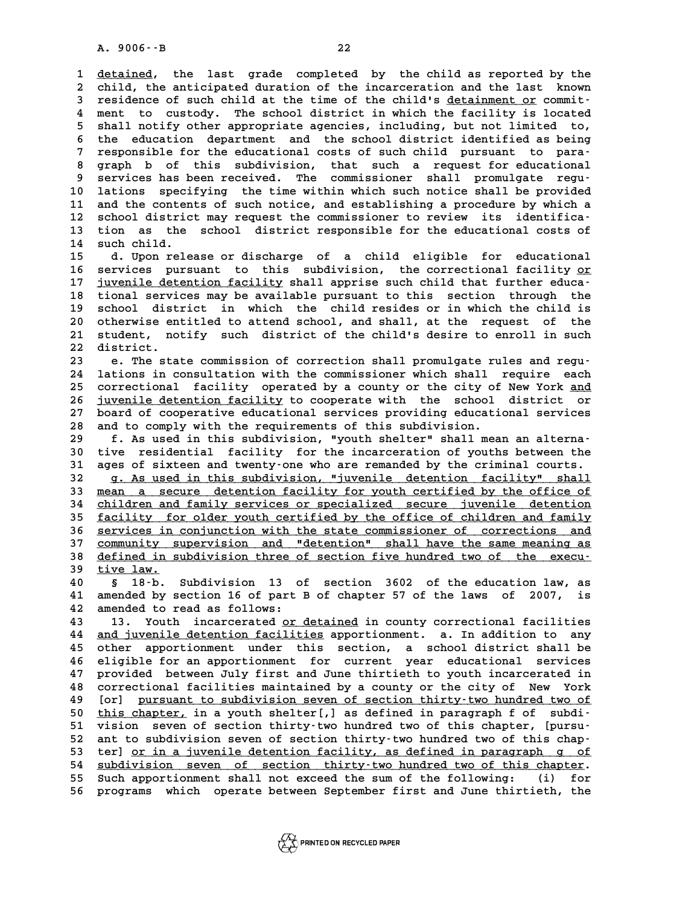A. 9006 --B<br>1 <u>detained</u>, the last grade completed by the child as reported by the<br>2 shild the anticipated duration of the incorporation and the last known 1 <u>detained</u>, the last grade completed by the child as reported by the<br>2 child, the anticipated duration of the incarceration and the last known<br>3 residence of such child at the time of the child's detainment or commit. 1 <u>detained</u>, the last grade completed by the child as reported by the child, the anticipated duration of the incarceration and the last known<br>3 residence of such child at the time of the child's <u>detainment or</u> commit-<br><sup>4</sup> 2 child, the anticipated duration of the incarceration and the last known<br>3 residence of such child at the time of the child's <u>detainment or</u> commit-<br>4 ment to custody. The school district in which the facility is located **5** residence of such child at the time of the child's <u>detainment or</u> commit-<br>4 ment to custody. The school district in which the facility is located<br>5 shall notify other appropriate agencies, including, but not limited t 4 ment to custody. The school district in which the facility is located<br>5 shall notify other appropriate agencies, including, but not limited to,<br>6 the education department and the school district identified as being<br>7 res 5 shall notify other appropriate agencies, including, but not limited to,<br>
6 the education department and the school district identified as being<br>
7 responsible for the educational costs of such child pursuant to para-<br>
<sup>2</sup> 6 the education department and the school district identified as being<br>7 responsible for the educational costs of such child pursuant to para-<br>8 graph b of this subdivision, that such a request for educational<br>8 services h 9 responsible for the educational costs of such child pursuant to para-<br>
9 services has been received. The commissioner shall promulgate regu-<br>
10 lations specifying the time within which such notice shall be provided 8 graph b of this subdivision, that such a request for educational<br>9 services has been received. The commissioner shall promulgate regu-<br>10 lations specifying the time within which such notice shall be provided<br><sup>11</sup> and th 9 services has been received. The commissioner shall promulgate regu-<br>10 lations specifying the time within which such notice shall be provided<br>11 and the contents of such notice, and establishing a procedure by which a<br>22 10 lations specifying the time within which such notice shall be provided<br>
11 and the contents of such notice, and establishing a procedure by which a<br>
12 school district may request the commissioner to review its identifi 11 and the contents of such notice, and establishing a procedure by which a<br>12 school district may request the commissioner to review its identifica-<br>13 tion as the school district responsible for the educational costs of 12 school distric<br>13 tion as the<br>14 such child.<br><sup>15</sup> d Upon role 13 tion as the school district responsible for the educational costs of<br>14 such child.<br>15 d. Upon release or discharge of a child eligible for educational<br>16 services pursuant to this subdivision, the correctional facility

14 such child.<br>15 d. Upon release or discharge of a child eligible for educational<br>16 services pursuant to this subdivision, the correctional facility <u>or</u><br>17 iunerile detention facility shall apprise such shild that furth **15 d. Upon release or discharge of a child eligible for educational<br>16 services pursuant to this subdivision, the correctional facility <u>or</u><br>17 juvenile detention facility shall apprise such child that further educa-<br>tion** 16 services pursuant to this subdivision, the correctional facility or<br>17 <u>juvenile detention facility</u> shall apprise such child that further educa-<br>18 tional services may be available pursuant to this section through the<br> **17 juvenile detention facility shall apprise such child that further educa-**<br>**18 tional services may be available pursuant to this section through the school district in which the child resides or in which the child is**<br> 18 tional services may be available pursuant to this section through the<br>19 school district in which the child resides or in which the child is<br>20 otherwise entitled to attend school, and shall, at the request of the<br>21 st 19 school district in which the child resides or in which the child is<br>20 otherwise entitled to attend school, and shall, at the request of the<br>21 student, notify such district of the child's desire to enroll in such<br>22 di %20 otherwise entitled to attend school, and shall, at the request of the<br>21 student, notify such district of the child's desire to enroll in such<br>22 district.<br>23 e. The state commission of correction shall promulgate rule 21 student, notify such district of the child's desire to enroll in such<br>
22 district.<br>
23 e. The state commission of correction shall promulgate rules and regu-<br>
24 lations in consultation with the commissioner which shal

**24 lations in consultation with the commissioner which shall require each 23** e. The state commission of correction shall promulgate rules and regu-<br>24 lations in consultation with the commissioner which shall require each<br>25 correctional facility operated by a county or the city of New York an 24 lations in consultation with the commissioner which shall require each<br>25 correctional facility operated by a county or the city of New York and<br>26 juvenile detention facility to cooperate with the school district or<br>27 25 correctional facility operated by a county or the city of New York <u>and</u><br>26 <u>juvenile detention facility</u> to cooperate with the school district or<br>27 board of cooperative educational services providing educational servi 26 juvenile detention facility to cooperate with the school district or<br>27 board of cooperative educational services providing educational services<br>28 and to comply with the requirements of this subdivision.<br>29 f. As used

**29 f. As used in this subdivision, "youth shelter" shall mean an alterna-30 and to comply with the requirements of this subdivision.**<br> **30 f. As used in this subdivision, "youth shelter" shall mean an alterna-**<br> **30 tive residential facility for the incarceration of youths between the**<br> **31 ag 51 and the subdivision, "youth shelter" shall mean an alternative residential facility for the incarceration of youths between the ages of sixteen and twenty-one who are remanded by the criminal courts.<br>
<b>32** a 25 used in 30 tive residential facility for the incarceration of youths between the<br>31 ages of sixteen and twenty-one who are remanded by the criminal courts.<br>32 <u>g. As used in this subdivision, "juvenile detention facility" shall</u><br>3

31 ages of sixteen and twenty-one who are remanded by the criminal courts.<br>32 g. As used in this subdivision, "juvenile detention facility" shall<br>33 <u>mean a secure detention facility for youth certified by the office of</u><br>2 **32 g.** As used in this subdivision, "juvenile detention facility" shall<br>33 mean a secure detention facility for youth certified by the office of<br>25 facility for eldor wouth certified by the office of children and family 33 <u>mean a secure detention facility for youth certified by the office of children and family services or specialized secure juvenile detention facility for older youth certified by the office of children and family formis</u> children and family services or specialized secure juvenile detention<br>
35 <u>facility</u> for older youth certified by the office of children and family<br>
36 services in conjunction with the state commissioner of corrections and **<u>facility</u> for older youth certified by the office of children and family**<br>36 <u>services in conjunction with the state commissioner of corrections and</u><br>37 <u>community supervision and "detention" shall have the same meaning </u> 36 <u>services in conjunction with the state commissioner of corrections and</u><br>37 <u>community supervision and "detention" shall have the same meaning as</u><br><u>defined in subdivision three of section five hundred two of the execu-</u> 37 <u>community s</u><br>38 <u>defined in s</u><br>39 <u>tive law.</u><br>40 5 19-b **40 30 defined in subdivision three of section five hundred two of the execu-**<br>**40 § 18-b. Subdivision 13 of section 3602 of the education law, as**<br>**41 amended by section 16 of part B of chapter 57 of the laws of 2007, is** 

**<u>tive law.</u><br>40 § 18-b. Subdivision 13 of section 3602 of the education law, as<br>41 amended by section 16 of part B of chapter 57 of the laws of 2007, is<br>42 amended to read as follows:** 40 **§ 18-b.** Subdivision 13 o<br>41 amended by section 16 of part 3<br>42 amended to read as follows:<br>43 13 Youth incargarated or **41 amended by section 16 of part B of chapter 57 of the laws of 2007, is<br>42 amended to read as follows:<br>43 13. Youth incarcerated <u>or detained</u> in county correctional facilities<br><sup>44</sup> and invenile detention facilities appo** 

**42 amended to read as follows:<br>43 13. Youth incarcerated <u>or detained</u> in county correctional facilities<br>44 <u>and juvenile detention facilities</u> apportionment. a. In addition to any<br>45 other apportionment under this sectio** 13. Youth incarcerated <u>or detained</u> in county correctional facilities<br>44 <u>and juvenile detention facilities</u> apportionment. a. In addition to any<br>45 other apportionment under this section, a school district shall be<br>46 ol 44 <u>and juvenile detention facilities</u> apportionment. a. In addition to any<br>45 other apportionment under this section, a school district shall be<br>46 eligible for an apportionment for current year educational services<br>47 pr 45 other apportionment under this section, a school district shall be<br>46 eligible for an apportionment for current year educational services<br>47 provided between July first and June thirtieth to youth incarcerated in<br>48 cor **46 eligible for an apportionment for current year educational services**<br>47 provided between July first and June thirtieth to youth incarcerated in<br>48 correctional facilities maintained by a county or the city of New York<br> **47 provided between July first and June thirtieth to youth incarcerated in**<br>48 correctional facilities maintained by a county or the city of New York<br>49 [or] <u>pursuant to subdivision seven of section thirty-two hundred tw</u> correctional facilities maintained by a county or the city of New York<br> **49** [or] <u>pursuant to subdivision seven of section thirty-two hundred two of<br>
<u>this chapter</u>, in a youth shelter[,] as defined in paragraph f of subd</u> **50** [or] pursuant to subdivision seven of section thirty-two hundred two of this chapter, in a youth shelter[,] as defined in paragraph f of subdi-<br>
51 vision seven of section thirty-two hundred two of this chapter, [purs **50 this chapter, in a youth shelter**[,] as defined in paragraph f of subdivision seven of section thirty-two hundred two of this chapter, [pursu-<br>
52 ant to subdivision seven of section thirty-two hundred two of this chap 51 vision seven of section thirty-two hundred two of this chapter, [pursu-<br>52 ant to subdivision seven of section thirty-two hundred two of this chap-<br>53 ter] <u>or in a juvenile detention facility, as defined in paragraph g</u> 52 ant to subdivision seven of section thirty-two hundred two of this chap-<br>53 ter] <u>or in a juvenile detention facility, as defined in paragraph g of</u><br>54 <u>subdivision seven of section thirty-two hundred two of this chapte</u> **53 terl <u>or in a juvenile detention facility</u>, as defined in paragraph g of<br>54 <u>subdivision seven of section thirty-two hundred two of this chapter</u>.<br>55 Such apportionment shall not exceed the sum of the following: (i) fo** 53 ter] <u>or in a juvenile detention facility, as defined in paragraph g of</u><br>54 <u>subdivision seven of section thirty-two hundred two of this chapter</u>.<br>55 Such apportionment shall not exceed the sum of the following: (i) for

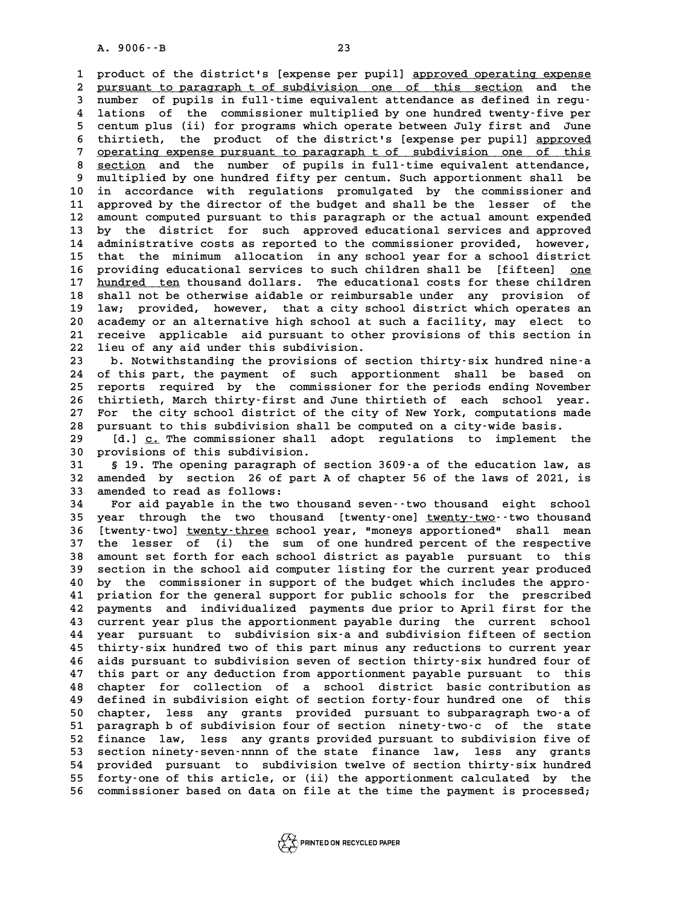A. 9006 --B<br>1 product of the district's [expense per pupil] <u>approved operating expense</u><br>2 purguant to paragraph t of subdivision one of this section and the **2** product of the district's [expense per pupil] <u>approved operating expense</u><br>2 <u>pursuant to paragraph t of subdivision one of this section</u> and the<br>3 number of pupils in full-time equivalent attendance as defined in requ 1 product of the district's [expense per pupil] approved operating expense<br>
2 pursuant to paragraph t of subdivision one of this section and the<br>
3 number of pupils in full-time equivalent attendance as defined in regu-<br>
<sup></sup> **4 Dursuant to paragraph t of subdivision one of this section and the number of pupils in full-time equivalent attendance as defined in regularities**<br>4 lations of the commissioner multiplied by one hundred twenty-five per<br> For the commissioner multiplied by one hundred twenty-five per<br>
thations of the commissioner multiplied by one hundred twenty-five per<br>
that plus (ii) for programs which operate between July first and June<br>
thirtich the pr 4 lations of the commissioner multiplied by one hundred twenty-five per<br>5 centum plus (ii) for programs which operate between July first and June<br>6 thirtieth, the product of the district's [expense per pupil] <u>approved</u><br>7 5 centum plus (ii) for programs which operate between July first and June<br>6 thirtieth, the product of the district's [expense per pupil] <u>approved</u><br>7 <u>operating expense pursuant to paragraph t of subdivision one of this</u><br>2 6 thirtieth, the product of the district's [expense per pupil] <u>approved</u><br>7 <u>operating expense pursuant to paragraph t of subdivision one of this<br>8 <u>section</u> and the number of pupils in full-time equivalent attendance,<br><sup>8</sup></u> 9 **9 operating expense pursuant to paragraph t of subdivision one of this**<br>8 **section** and the number of pupils in full-time equivalent attendance,<br>9 multiplied by one hundred fifty per centum. Such apportionment shall be<br> 8 **<u>section</u></u> and the number of pupils in full-time equivalent attendance,<br>
9 multiplied by one hundred fifty per centum. Such apportionment shall be<br>
10 in accordance with regulations promulgated by the commissioner and<br>** 9 multiplied by one hundred fifty per centum. Such apportionment shall be in accordance with regulations promulgated by the commissioner and approved by the director of the budget and shall be the lesser of the approved by 10 in accordance with regulations promulgated by the commissioner and<br>11 approved by the director of the budget and shall be the lesser of the<br>12 amount computed pursuant to this paragraph or the actual amount expended<br>13 11 approved by the director of the budget and shall be the lesser of the<br>12 amount computed pursuant to this paragraph or the actual amount expended<br>13 by the district for such approved educational services and approved<br>14 12 amount computed pursuant to this paragraph or the actual amount expended<br>13 by the district for such approved educational services and approved<br>14 administrative costs as reported to the commissioner provided, however,<br> 13 by the district for such approved educational services and approved administrative costs as reported to the commissioner provided, however, that the minimum allocation in any school year for a school district<br>16 providi **14 administrative costs as reported to the commissioner provided, however,**<br>15 that the minimum allocation in any school year for a school district<br>16 providing educational services to such children shall be [fifteen] <u>on</u> that the minimum allocation in any school year for a school district<br>16 providing educational services to such children shall be [fifteen] <u>one</u><br>17 <u>hundred ten</u> thousand dollars. The educational costs for these children<br>1 **16 providing educational services to such children shall be [fifteen] <u>one</u><br>17 <u>hundred ten</u> thousand dollars. The educational costs for these children<br>18 shall not be otherwise aidable or reimbursable under any provision 17 <u>hundred ten</u> thousand dollars. The educational costs for these children<br>18 shall not be otherwise aidable or reimbursable under any provision of<br>19 law; provided, however, that a city school district which operates an 20 and 18 shall not be otherwise aidable or reimbursable under any provision of**  $19$  law; provided, however, that a city school district which operates an academy or an alternative high school at such a facility, may ele 19 law; provided, however, that a city school district which operates an<br>20 academy or an alternative high school at such a facility, may elect to<br>21 receive applicable aid pursuant to other provisions of this section in<br>2 20 academy or an alternative high school at s<br>21 receive applicable aid pursuant to other<br>22 lieu of any aid under this subdivision.<br>23 b. Notwithstanding the provisions of seg 21 receive applicable aid pursuant to other provisions of this section in<br>22 lieu of any aid under this subdivision.<br>23 b. Notwithstanding the provisions of section thirty-six hundred nine-a<br>24 of this part, the payment of

**24 of this part, the payment of such apportionment shall be based on 23 b. Notwithstanding the provisions of section thirty-six hundred nine-a**<br>24 of this part, the payment of such apportionment shall be based on<br>25 reports required by the commissioner for the periods ending November<br>26 th 24 of this part, the payment of such apportionment shall be based on<br>25 reports required by the commissioner for the periods ending November<br>26 thirtieth, March thirty-first and June thirtieth of each school year.<br>27 For t **25 reports required by the commissioner for the periods ending November**<br>26 thirtieth, March thirty-first and June thirtieth of each school year.<br>27 For the city school district of the city of New York, computations made<br> 26 thirtieth, March thirty-first and June thirtieth of each school year.<br>27 For the city school district of the city of New York, computations made<br>28 pursuant to this subdivision shall be computed on a city-wide basis.<br>29 For the city school district of the city of New York, computations made<br>28 pursuant to this subdivision shall be computed on a city-wide basis.<br>29 [d.] <u>c.</u> The commissioner shall adopt regulations to implement the<br>20 prov

28 pursuant to this subdivision shall be computed on a city-wide basis.<br> **30** [d.] <u>c.</u> The commissioner shall adopt regulations to implement the<br>
30 provisions of this subdivision.<br>
31 § 19. The opening paragraph of secti **19 • Id. I c. The commissioner shall adopt regulations to implement the provisions of this subdivision.**<br> **31 • S 19. The opening paragraph of section 3609-a of the education law, as**<br> **32 • anondod by section 26 of part** 

**30 provisions of this subdivision.**<br> **31** § 19. The opening paragraph of section 3609 a of the education law, as<br> **32 amended by section 26 of part A of chapter 56 of the laws of 2021, is**<br> **33 amended to read as follows: 31** § 19. The opening paragraph 32 amended by section 26 of pa<br>33 amended to read as follows:<br><sup>34</sup> Exploited payphle in the two ti 32 amended by section 26 of part A of chapter 56 of the laws of 2021, is<br>33 amended to read as follows:<br>34 For aid payable in the two thousand seven--two thousand eight school<br>35 Were through the two thousand [two-two-one]

32 amended by section 26 of part A of chapter 56 of the laws of 2021, is<br>33 amended to read as follows:<br>34 For aid payable in the two-thousand seven--two-thousand eight school<br>35 year through the two-thousand [twenty-one] For aid payable in the two thousand seven--two thousand eight school<br>35 year through the two thousand [twenty-one] <u>twenty-two</u>--two thousand<br>36 [twenty-two] <u>twenty-three</u> school year, "moneys apportioned" shall mean<br><sup>27</sup> 35 year through the two thousand [twenty-one] <u>twenty-two</u>--two thousand<br>36 [twenty-two] <u>twenty-three</u> school year, "moneys apportioned" shall mean<br>37 the lesser of (i) the sum of one hundred percent of the respective<br>28 **36 [twenty-two] <u>twenty-three</u> school year, "moneys apportioned" shall mean**<br>37 the lesser of (i) the sum of one hundred percent of the respective<br>38 amount set forth for each school district as payable pursuant to this<br>3 37 the lesser of (i) the sum of one hundred percent of the respective<br>38 amount set forth for each school district as payable pursuant to this<br>39 section in the school aid computer listing for the current year produced<br><sup>40</sup> 38 amount set forth for each school district as payable pursuant to this<br>39 section in the school aid computer listing for the current year produced<br>40 by the commissioner in support of the budget which includes the appro-39 section in the school aid computer listing for the current year produced<br>40 by the commissioner in support of the budget which includes the appro-<br>41 priation for the general support for public schools for the prescribe **40 by the commissioner in support of the budget which includes the appro-**<br>**41 priation for the general support for public schools for the prescribed**<br>**42 payments and individualized payments due prior to April first for** 41 priation for the general support for public schools for the prescribed<br>42 payments and individualized payments due prior to April first for the<br>43 current year plus the apportionment payable during the current school<br>44 **42 payments and individualized payments due prior to April first for the**<br>43 current year plus the apportionment payable during the current school<br>44 year pursuant to subdivision six-a and subdivision fifteen of section<br>4 **43 current year plus the apportionment payable during the current school**<br>**44 year pursuant to subdivision six-a and subdivision fifteen of section**<br>**45 thirty-six hundred two of this part minus any reductions to current 44 year pursuant to subdivision six-a and subdivision fifteen of section**<br>**45 thirty-six hundred two of this part minus any reductions to current year**<br>**46 aids pursuant to subdivision seven of section thirty-six hundred 45 thirty-six hundred two of this part minus any reductions to current year**<br>46 aids pursuant to subdivision seven of section thirty-six hundred four of<br>47 this part or any deduction from apportionment payable pursuant to 46 aids pursuant to subdivision seven of section thirty-six hundred four of<br>47 this part or any deduction from apportionment payable pursuant to this<br>48 chapter for collection of a school district basic contribution as<br>49 47 this part or any deduction from apportionment payable pursuant to this<br>48 chapter for collection of a school district basic contribution as<br>49 defined in subdivision eight of section forty-four hundred one of this<br>50 ch 48 chapter for collection of a school district basic contribution as<br>49 defined in subdivision eight of section forty-four hundred one of this<br>50 chapter, less any grants provided pursuant to subparagraph two-a of<br>51 parag **49 defined in subdivision eight of section forty-four hundred one of this**<br>50 chapter, less any grants provided pursuant to subparagraph two-a of<br>51 paragraph b of subdivision four of section ninety-two-c of the state<br>52 50 chapter, less any grants provided pursuant to subparagraph two-a of<br>51 paragraph b of subdivision four of section ninety-two-c of the state<br>52 finance law, less any grants provided pursuant to subdivision five of<br>53 sec 51 paragraph b of subdivision four of section ninety-two-c of the state<br>52 finance law, less any grants provided pursuant to subdivision five of<br>53 section ninety-seven-nnnn of the state finance law, less any grants<br>54 pro 52 finance law, less any grants provided pursuant to subdivision five of<br>53 section ninety-seven-nnnn of the state finance law, less any grants<br>54 provided pursuant to subdivision twelve of section thirty-six hundred<br>55 fo 53 section ninety-seven-nnnn of the state finance law, less any grants<br>54 provided pursuant to subdivision twelve of section thirty-six hundred<br>55 forty-one of this article, or (ii) the apportionment calculated by the<br>56 c 54 provided pursuant to subdivision twelve of section thirty-six hundred<br>55 forty-one of this article, or (ii) the apportionment calculated by the<br>56 commissioner based on data on file at the time the payment is processed;

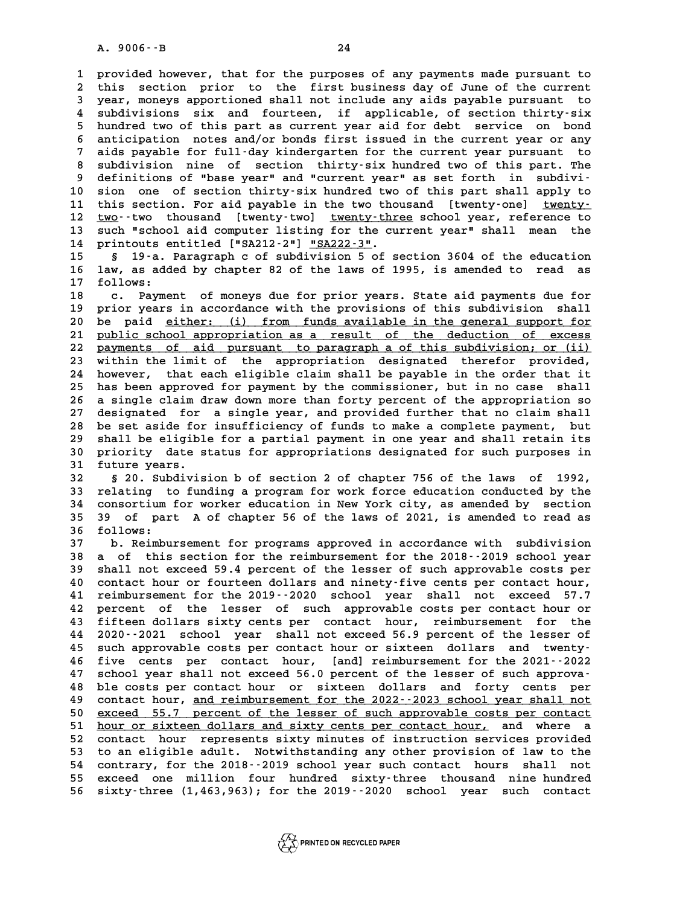**1 provided however, that for the purposes of any payments made pursuant to 2** provided however, that for the purposes of any payments made pursuant to<br>2 this section prior to the first business day of June of the current<br>3 year moneys apportioned shall not include any aids payable pursuant to **3 year, moneys apportioned shall not include any aids payable pursuant to** this section prior to the first business day of June of the current<br>
year, moneys apportioned shall not include any aids payable pursuant to<br>
4 subdivisions six and fourteen, if applicable, of section thirty-six<br>
hundred t **5** year, moneys apportioned shall not include any aids payable pursuant to<br>4 subdivisions six and fourteen, if applicable, of section thirty-six<br>5 hundred two of this part as current year aid for debt service on bond<br>5 ap 4 subdivisions six and fourteen, if applicable, of section thirty-six<br>5 hundred two of this part as current year aid for debt service on bond<br>6 anticipation notes and/or bonds first issued in the current year or any<br>3 aids 5 hundred two of this part as current year aid for debt service on bond<br>6 anticipation notes and/or bonds first issued in the current year or any<br>7 aids payable for full-day kindergarten for the current year pursuant to<br>8 8 anticipation notes and/or bonds first issued in the current year or any<br>
7 aids payable for full-day kindergarten for the current year pursuant to<br>
8 subdivision nine of section thirty-six hundred two of this part. The<br> aids payable for full-day kindergarten for the current year pursuant to 10 subdivision nine of section thirty-six hundred two of this part. The<br>
10 definitions of "base year" and "current year" as set forth in subdivi-<br>
10 sion one of section thirty-six hundred two of this part shall apply to<br> 9 definitions of "base year" and "current year" as set forth in subdivi-<br>10 sion one of section thirty-six hundred two of this part shall apply to<br>11 this section. For aid payable in the two thousand [twenty-one] <u>twenty-</u> 10 sion one of section thirty-six hundred two of this part shall apply to<br>11 this section. For aid payable in the two thousand [twenty-one] <u>twenty-</u><br>12 <u>two</u>--two thousand [twenty-two] <u>twenty-three</u> school year, referenc 11 this section. For aid payable in the two thousand [twenty-one] <u>twenty-</u><br>12 <u>two</u>--two thousand [twenty-two] <u>twenty-three</u> school year, reference to<br>13 such "school aid computer listing for the current year" shall mean 12 <u>two</u>-two thousand [twenty-two] <u>twenty-thr</u><br>13 such "school aid computer listing for the cu<br>14 printouts entitled ["SA212-2"] <u>"SA222-3"</u>.<br>15 \$ 1942 Paragraph a of subdivision 5 of 5 **13** such "school aid computer listing for the current year" shall mean the<br>14 printouts entitled ["SA212-2"] <u>"SA222-3"</u>.<br>15 § 19-a. Paragraph c of subdivision 5 of section 3604 of the education<br>16 lay 25 added by shantor

**14 printouts entitled ["SA212-2"] <u>"SA222-3"</u>.<br>15 § 19-a. Paragraph c of subdivision 5 of section 3604 of the education<br>16 law, as added by chapter 82 of the laws of 1995, is amended to read as<br>17 follows:** 15 § 19–a.<br>16 law, as add<br>17 follows:<br><sup>19</sup> G Porme **16 law, as added by chapter 82 of the laws of 1995, is amended to read as<br>17 follows:<br>18 c. Payment of moneys due for prior years. State aid payments due for<br>19 prior wors in associations with the provisions of this subdi** 

**17 follows:**<br>18 c. Payment of moneys due for prior years. State aid payments due for<br>19 prior years in accordance with the provisions of this subdivision shall<br>20 be paid either. (i) from funds available in the conoral su 20 c. Payment of moneys due for prior years. State aid payments due for<br>19 prior years in accordance with the provisions of this subdivision shall<br>20 be paid <u>either: (i) from funds available in the general support for</u><br>21 prior years in accordance with the provisions of this subdivision shall<br>
20 be paid <u>either: (i) from funds available in the general support for</u><br>
21 <u>public school appropriation as a result of the deduction of excess</u><br>
22 be paid <u>either: (i) from funds available in the general support for</u><br>21 <u>public school appropriation as a result of the deduction of excess</u><br>22 <u>payments of aid pursuant to paragraph a of this subdivision; or (ii)</u><br>23 wit 21 public school appropriation as a result of the deduction of excess<br>22 payments of aid pursuant to paragraph a of this subdivision; or (ii)<br>23 within the limit of the appropriation designated therefor provided,<br>24 boys i **22 payments of aid pursuant to paragraph a of this subdivision; or (ii)**<br> **23 within the limit of the appropriation designated therefor provided,**<br> **24 however, that each eligible claim shall be payable in the order that** within the limit of the appropriation designated therefor provided,<br>24 however, that each eligible claim shall be payable in the order that it<br>25 has been approved for payment by the commissioner, but in no case shall<br>26 a 24 however, that each eligible claim shall be payable in the order that it<br>25 has been approved for payment by the commissioner, but in no case shall<br>26 a single claim draw down more than forty percent of the appropriation 25 has been approved for payment by the commissioner, but in no case shall<br>26 a single claim draw down more than forty percent of the appropriation so<br>27 designated for a single year, and provided further that no claim sha 26 a single claim draw down more than forty percent of the appropriation so<br>27 designated for a single year, and provided further that no claim shall<br>28 be set aside for insufficiency of funds to make a complete payment, b 27 designated for a single year, and provided further that no claim shall<br>28 be set aside for insufficiency of funds to make a complete payment, but<br>29 shall be eligible for a partial payment in one year and shall retain i 28 be set aside for insufficiency of funds to make a complete payment, but<br>29 shall be eligible for a partial payment in one year and shall retain its<br>30 priority date status for appropriations designated for such purposes 29 shall be eligible for a partial payment in one year and shall retain its<br>30 priority date status for appropriations designated for such purposes in<br>31 future years.<br>**8 20. Subdivision b of section 2 of chapter** 756 of t **30 priority date status for appropriations designated for such purposes in**<br>**31 future years.**<br>**32** § 20. Subdivision b of section 2 of chapter 756 of the laws of 1992,<br>**33 relating to funding a program for work force edu** 

**31 future years.**<br> **32** § 20. Subdivision b of section 2 of chapter 756 of the laws of 1992,<br> **33 relating to funding a program for work force education conducted by the**<br> **34 consertium for worker education in Now York g 32 5 20.** Subdivision b of section 2 of chapter 756 of the laws of 1992,<br>33 relating to funding a program for work force education conducted by the<br>34 consortium for worker education in New York city, as amended by sect 33 relating to funding a program for work force education conducted by the<br>34 consortium for worker education in New York city, as amended by section<br>35 39 of part A of chapter 56 of the laws of 2021, is amended to read as 34 consortium<br>35 39 of par<br>36 follows: **35 39 of part A of chapter 56 of the laws of 2021, is amended to read as<br>36 follows:**<br>37 b. Reimbursement for programs approved in accordance with subdivision<br>38 a of this sostion for the reimbursement for the 2018-2019 s

**58 follows:**<br> **37** b. Reimbursement for programs approved in accordance with subdivision<br> **38** a of this section for the reimbursement for the 2018--2019 school year<br> **29 shall pot aveced 58.4 persont of the legger of suc 57 b. Reimbursement for programs approved in accordance with subdivision**<br> **38 a of this section for the reimbursement for the 2018--2019 school year**<br> **39 shall not exceed 59.4 percent of the lesser of such approvable co 40 a of this section for the reimbursement for the 2018--2019 school year**<br>**40 contact hour or fourteen dollars and ninety-five cents per contact hour,**<br>**41 reimbursement for the 2019--2020** school, year, shall, not, exce 39 shall not exceed 59.4 percent of the lesser of such approvable costs per<br>40 contact hour or fourteen dollars and ninety-five cents per contact hour,<br>41 reimbursement for the 2019--2020 school year shall not exceed 57.7<br> 40 contact hour or fourteen dollars and ninety-five cents per contact hour,<br>41 reimbursement for the 2019--2020 school year shall not exceed 57.7<br>42 percent of the lesser of such approvable costs per contact hour or<br>5 fift 41 reimbursement for the 2019--2020 school year shall not exceed 57.7<br>42 percent of the lesser of such approvable costs per contact hour or<br>43 fifteen dollars sixty cents per contact hour, reimbursement for the<br>44 2020--20 **42 percent of the lesser of such approvable costs per contact hour or<br>43 fifteen dollars sixty cents per contact hour, reimbursement for the<br>44 2020–-2021 school year shall not exceed 56.9 percent of the lesser of<br>5 such** 43 fifteen dollars sixty cents per contact hour, reimbursement for the 2020--2021 school year shall not exceed 56.9 percent of the lesser of such approvable costs per contact hour or sixteen dollars and twenty-<br>
46 five ce 44 2020--2021 school year shall not exceed 56.9 percent of the lesser of<br>45 such approvable costs per contact hour or sixteen dollars and twenty-<br>46 five cents per contact hour, [and] reimbursement for the 2021--2022<br>47 sc 45 such approvable costs per contact hour or sixteen dollars and twenty-<br>46 five cents per contact hour, [and] reimbursement for the 2021--2022<br>47 school year shall not exceed 56.0 percent of the lesser of such approva-<br><sup>1</sup> **46 five cents per contact hour, [and] reimbursement for the 2021--2022**<br>**47 school year shall not exceed 56.0 percent of the lesser of such approva-**<br>**48 ble costs per contact hour or sixteen dollars and forty cents per**<br> 47 school year shall not exceed 56.0 percent of the lesser of such approva-<br>48 ble costs per contact hour or sixteen dollars and forty cents per<br>49 contact hour, <u>and reimbursement for the 2022--2023 school year shall not</u> ble costs per contact hour or sixteen dollars and forty cents per contact hour, <u>and reimbursement for the 2022-2023 school year shall not</u><br>50 <u>exceed 55.7 percent of the lesser of such approvable costs per contact</u><br>51 bou 49 contact hour, <u>and reimbursement for the 2022--2023 school year shall not</u><br>50 <u>exceed 55.7 percent of the lesser of such approvable costs per contact</u><br>51 <u>hour or sixteen dollars and sixty cents per contact hour,</u> and w **50** exceed 55.7 percent of the lesser of such approvable costs per contact<br>51 hour or sixteen dollars and sixty cents per contact hour, and where a<br>52 contact hour represents sixty minutes of instruction services provided 51 hour or sixteen dollars and sixty cents per contact hour, and where a<br>52 contact hour represents sixty minutes of instruction services provided<br>53 to an eligible adult. Notwithstanding any other provision of law to the<br> 52 contact hour represents sixty minutes of instruction services provided<br>53 to an eligible adult. Notwithstanding any other provision of law to the<br>54 contrary, for the 2018--2019 school year such contact hours shall not<br> 53 to an eligible adult. Notwithstanding any other provision of law to the<br>54 contrary, for the 2018--2019 school year such contact hours shall not<br>55 exceed one million four hundred sixty-three thousand nine hundred<br>56 si **56 sixty-three (1,463,963); for the 2019--2020 school year such contact**

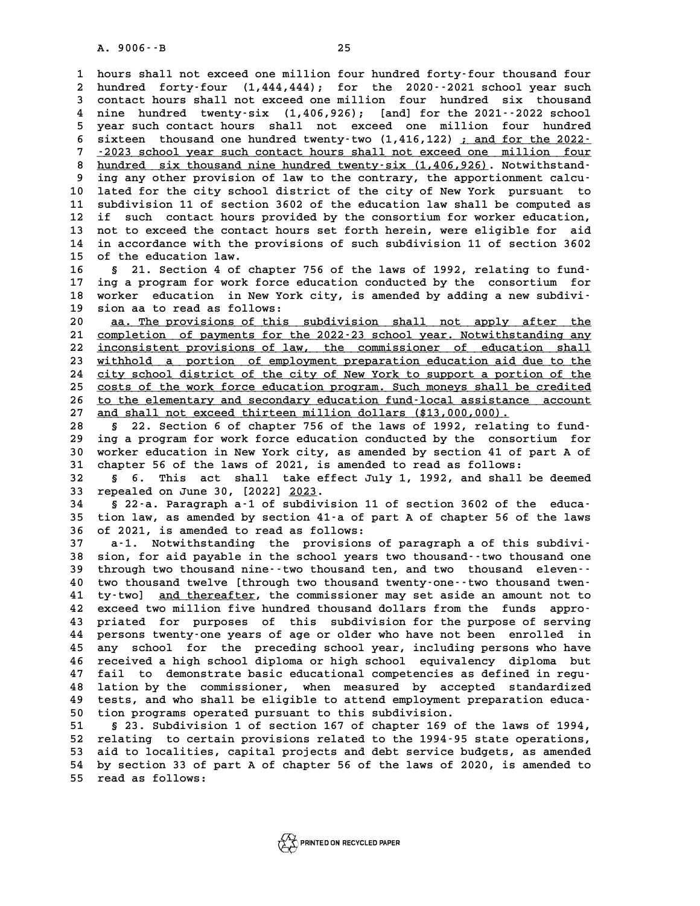**1 hours shall not exceed one million four hundred forty-four thousand four 2** hours shall not exceed one million four hundred forty-four thousand four<br>2 hundred forty-four (1,444,444); for the 2020–-2021 school year such<br>3 contact bours shall not exceed one million, four, hundred six, thousand **1 hours shall not exceed one million four hundred forty-four thousand four<br>
2 hundred forty-four (1,444,444); for the 2020--2021 school year such<br>
3 contact hours shall not exceed one million four hundred six thousand<br>
4** 2 hundred forty-four (1,444,444); for the 2020--2021 school year such<br>3 contact hours shall not exceed one million four hundred six thousand<br>4 nine hundred twenty-six (1,406,926); [and] for the 2021--2022 school<br>5 year qua 3 contact hours shall not exceed one million four hundred six thousand<br>4 nine hundred twenty-six (1,406,926); [and] for the 2021--2022 school<br>5 year such contact hours shall not exceed one million four hundred<br>5 sittiers t 4 nine hundred twenty-six  $(1,406,926)$ ; [and] for the 2021--2022 school<br>5 year such contact hours shall not exceed one million four hundred<br>6 sixteen thousand one hundred twenty-two  $(1,416,122)$ ; and for the 2022-<br>7 -202 5 year such contact hours shall not exceed one million four hundred<br>6 sixteen thousand one hundred twenty-two  $(1,416,122)$  <u>; and for the 2022-</u><br>7 -2023 school year such contact hours shall not exceed one million four<br>8 h 8 sixteen thousand one hundred twenty-two (1,416,122) <u>; and for the 2022-</u><br>
7 -2023 school year such contact hours shall not exceed one million four<br>
8 hundred six thousand nine hundred twenty-six (1,406,926). Notwithstan <sup>9</sup> 1923 school year such contact hours shall not exceed one million four<br>
<sup>9</sup> hundred six thousand nine hundred twenty-six (1,406,926). Notwithstand-<br>
<sup>9</sup> ing any other provision of law to the contrary, the apportionment 8 <u>hundred six thousand nine hundred twenty-six (1,406,926)</u>. Notwithstand-<br>9 ing any other provision of law to the contrary, the apportionment calcu-<br>10 lated for the city school district of the city of New York pursuant <sup>9</sup> ing any other provision of law to the contrary, the apportionment calcu-<br>
10 lated for the city school district of the city of New York pursuant to<br>
11 subdivision 11 of section 3602 of the education law shall be compu 10 lated for the city school district of the city of New York pursuant to<br>11 subdivision 11 of section 3602 of the education law shall be computed as<br>12 if such contact hours provided by the consortium for worker education 11 subdivision 11 of section 3602 of the education law shall be computed as<br>12 if such contact hours provided by the consortium for worker education,<br>13 not to exceed the contact hours set forth herein, were eligible for a 12 if such contact hours provided by the consortium for worker education,<br>13 not to exceed the contact hours set forth herein, were eligible for aid<br>14 in accordance with the provisions of such subdivision 11 of section 36 13 not to exceed the contacter in accordance with the p<br>15 of the education law.<br>16 state in Continual of sh 14 in accordance with the provisions of such subdivision 11 of section 3602<br>15 of the education law.<br>16 § 21. Section 4 of chapter 756 of the laws of 1992, relating to fund-<br><sup>17</sup> ing a program for work force education cond

15 of the education law.<br>16 § 21. Section 4 of chapter 756 of the laws of 1992, relating to fund-<br>17 ing a program for work force education conducted by the consortium for<br>18 increase oducation in Nov York gity, is arrange 16 § 21. Section 4 of chapter 756 of the laws of 1992, relating to fund-<br>17 ing a program for work force education conducted by the consortium for<br>18 worker education in New York city, is amended by adding a new subdivi-17 ing a program for work force e<br>18 worker education in New York<br>19 sion aa to read as follows:<br><sup>20</sup> 22 <sup>mbo</sup> Provisions of this 18 worker education in New York city, is amended by adding a new subdivi-<br>19 sion aa to read as follows:<br>20 <u>aa. The provisions of this subdivision shall not apply after the</u><br>21 complation of payments for the 2022-23 schoo

20 sion aa to read as follows:<br>
20 <u>aa. The provisions of this subdivision shall not apply after the</u><br>
21 <u>completion of payments for the 2022-23 school year. Notwithstanding any</u><br>
22 inconsistent provisions of law, the co and the provisions of this subdivision shall not apply after the<br>
21 <u>completion of payments for the 2022-23</u> school year. Notwithstanding any<br>
22 <u>inconsistent provisions of law, the commissioner of education shall</u><br>
23 w 21 <u>completion of payments for the 2022-23 school year. Notwithstanding any<br>22 inconsistent provisions of law, the commissioner of education shall<br>23 withhold a portion of employment preparation education aid due to the<br>24</u> 22 <u>inconsistent provisions of law, the commissioner of education shall</u><br>23 <u>withhold a portion of employment preparation education aid due to the</u><br>24 <u>city school district of the city of New York to support a portion of t</u> 23 withhold a portion of employment preparation education aid due to the<br>24 city school district of the city of New York to support a portion of the<br>25 costs of the work force education program. Such moneys shall be credit 24 city school district of the city of New York to support a portion of the<br>25 costs of the work force education program. Such moneys shall be credited<br>26 to the elementary and secondary education fund-local assistance acc 25 costs of the work force education program. Such moneys shall be<br>
26 to the elementary and secondary education fund-local assistance<br>
27 and shall not exceed thirteen million dollars (\$13,000,000). 26 <u>to the elementary and secondary education fund-local assistance account</u><br>
27 <u>and shall not exceed thirteen million dollars (\$13,000,000).</u><br>
28 § 22. Section 6 of chapter 756 of the laws of 1992, relating to fund-<br>
29

**27** and shall not exceed thirteen million dollars (\$13,000,000).<br> **28** § 22. Section 6 of chapter 756 of the laws of 1992, relating to fund-<br> **29** ing a program for work force education conducted by the consortium for<br> **2 30 S 22. Section 6 of chapter 756 of the laws of 1992, relating to fund-**<br> **29 ing a program for work force education conducted by the consortium for**<br> **30 worker education in New York city, as amended by section 41 of pa** <sup>29</sup> ing a program for work force education conducted by the consorti<br>30 worker education in New York city, as amended by section 41 of pa<br>31 chapter 56 of the laws of 2021, is amended to read as follows:<br><sup>22</sup> 5 6 mbig 20t

30 worker education in New York city, as amended by section 41 of part A of 31 chapter 56 of the laws of 2021, is amended to read as follows:<br>32 § 6. This act shall take effect July 1, 1992, and shall be deemed<br>33 repealed 31 chapter 56 of the laws of 2021, is a<br>32 § 6. This act shall take effe<br>33 repealed on June 30, [2022] <u>2023</u>.<br><sup>24</sup> § 22:2. Paragraph 2:1 of gubdivici

**34 § 22-a. Paragraph a-1 of subdivision 11 of section 3602 of the educa-33 repealed on June 30, [2022] <u>2023</u>.<br>34 § 22-a. Paragraph a-1 of subdivision 11 of section 3602 of the educa-<br>35 tion law, as amended by section 41-a of part A of chapter 56 of the laws<br>26 of 2021, is amended by read as 34 s** 22-a. Paragraph a-1 of subdivision 11<br>35 tion law, as amended by section 41-a of pa<br>36 of 2021, is amended to read as follows:<br><sup>27</sup> 2-<sup>1</sup> Notwithstanding the provisions 2 35 tion law, as amended by section 41-a of part A of chapter 56 of the laws<br>36 of 2021, is amended to read as follows:<br>37 a-1. Notwithstanding the provisions of paragraph a of this subdivi-<br>38 sion for aid parable in the s

**36 of 2021, is amended to read as follows:**<br> **37 a-1. Notwithstanding the provisions of paragraph a of this subdivi-**<br> **38 sion, for aid payable in the school years two thousand--two thousand one**<br> **1918** through two thou **a-1. Notwithstanding the provisions of paragraph a of this subdivi-**<br>**38 sion, for aid payable in the school years two thousand--two thousand one**<br>**39 through two thousand nine--two thousand ten, and two thousand eleven--**38 sion, for aid payable in the school years two thousand--two thousand one<br>39 through two thousand nine--two thousand ten, and two thousand eleven--<br>40 two thousand twelve [through two thousand twenty-one--two thousand tw 39 through two thousand nine--two thousand ten, and two thousand eleven--<br>40 two thousand twelve [through two thousand twenty-one--two thousand twen-<br>41 ty-two] <u>and thereafter</u>, the commissioner may set aside an amount no **42 exceed two million five hundred thousand dollars from the funds appro-43 priated for purposes of this subdivision for the purpose of serving** 42 exceed two million five hundred thousand dollars from the funds appro-<br>43 priated for purposes of this subdivision for the purpose of serving<br>44 persons twenty-one years of age or older who have not been enrolled in<br>45 43 priated for purposes of this subdivision for the purpose of serving<br>44 persons twenty-one years of age or older who have not been enrolled in<br>45 any school for the preceding school year, including persons who have<br>46 re **44** persons twenty-one years of age or older who have not been enrolled in<br>45 any school for the preceding school year, including persons who have<br>46 received a high school diploma or high school equivalency diploma but<br>4 45 any school for the preceding school year, including persons who have<br>46 received a high school diploma or high school equivalency diploma but<br>47 fail to demonstrate basic educational competencies as defined in regu-<br>48 **46 received a high school diploma or high school equivalency diploma but**<br>**47 fail to demonstrate basic educational competencies as defined in regu-**<br>**48 lation by the commissioner, when measured by accepted standardized** 47 fail to demonstrate basic educational competencies as defined in regu-<br>48 lation by the commissioner, when measured by accepted standardized<br>49 tests, and who shall be eligible to attend employment preparation educa-<br>50 48 lation by the commissioner, when measured by accep<br>49 tests, and who shall be eligible to attend employment p<br>50 tion programs operated pursuant to this subdivision.<br>51 5.23 Subdivision 1.05 section.167 of chapter.169.0 **49 tests, and who shall be eligible to attend employment preparation educa-**<br>50 tion programs operated pursuant to this subdivision.<br>51 § 23. Subdivision 1 of section 167 of chapter 169 of the laws of 1994,<br>52 relating to

50 tion programs operated pursuant to this subdivision.<br>
51 § 23. Subdivision 1 of section 167 of chapter 169 of the laws of 1994,<br>
52 relating to certain provisions related to the 1994-95 state operations,<br>
53 aid to loca 51 § 23. Subdivision 1 of section 167 of chapter 169 of the laws of 1994,<br>52 relating to certain provisions related to the 1994-95 state operations,<br>53 aid to localities, capital projects and debt service budgets, as amend 52 relating to certain provisions related to the 1994-95 state operations,<br>53 aid to localities, capital projects and debt service budgets, as amended<br>54 by section 33 of part A of chapter 56 of the laws of 2020, is amende **55 read as follows:**

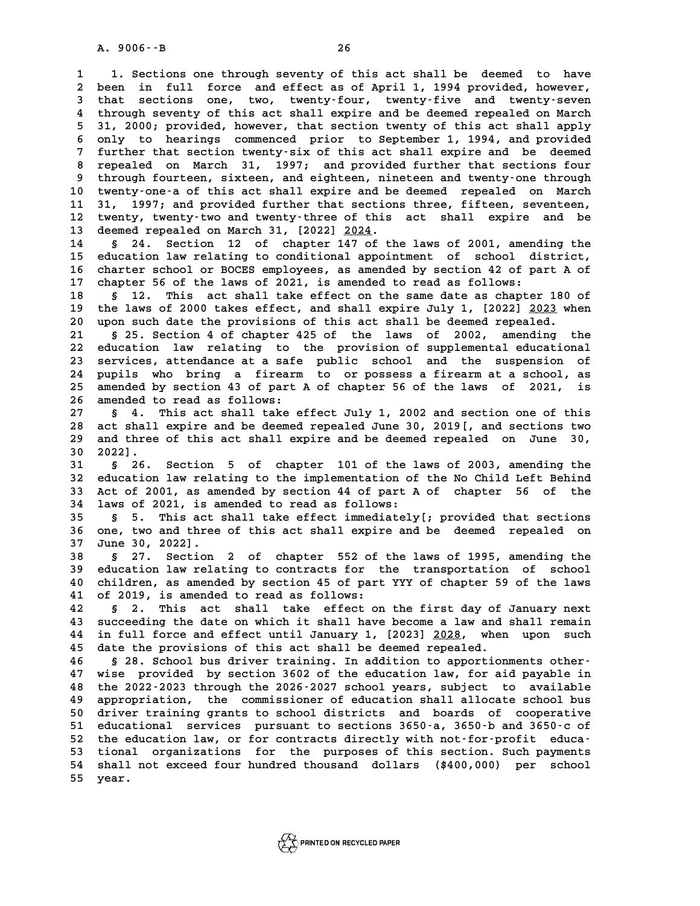A. 9006<sup>--B</sup><br>1 1. Sections one through seventy of this act shall be deemed to have<br>2 been in full force and effect as of April 1, 1994 provided, however, **2 been in full force and effect as of April 1, 1994 provided, however, 3 that sections one, two, twenty-four, twenty-five and twenty-seven 4** the initial force and effect as of April 1, 1994 provided, however,<br> **4** through seventy of this act shall expire and be deemed repealed on March<br> **4** through seventy of this act shall expire and be deemed repealed on that sections one, two, twenty-four, twenty-five and twenty-seven<br>4 through seventy of this act shall expire and be deemed repealed on March<br>5 31, 2000; provided, however, that section twenty of this act shall apply<br>5 calu 4 through seventy of this act shall expire and be deemed repealed on March<br>5 31, 2000; provided, however, that section twenty of this act shall apply<br>6 only to hearings commenced prior to September 1, 1994, and provided<br>7 **7 and 1000;** provided, however, that section twenty of this act shall apply<br>6 only to hearings commenced prior to September 1, 1994, and provided<br>7 further that section twenty-six of this act shall expire and be deemed<br>8 6 only to hearings commenced prior to September 1, 1994, and provided<br>7 further that section twenty-six of this act shall expire and be deemed<br>8 repealed on March 31, 1997; and provided further that sections four<br>through f Further that section twenty-six of this act shall expire and be deemed<br>
8 repealed on March 31, 1997; and provided further that sections four<br>
9 through fourteen, sixteen, and eighteen, nineteen and twenty-one through<br>
1 t 8 repealed on March 31, 1997; and provided further that sections four<br>9 through fourteen, sixteen, and eighteen, nineteen and twenty-one through<br>10 twenty-one-a of this act shall expire and be deemed repealed on March<br>11 3 9 through fourteen, sixteen, and eighteen, nineteen and twenty-one through<br>10 twenty-one-a of this act shall expire and be deemed repealed on March<br>11 31, 1997; and provided further that sections three, fifteen, seventeen, 10 twenty-one-a of this act shall expire and be deemed repealed on March<br>11 31, 1997; and provided further that sections three, fifteen, seventeen,<br>12 twenty, twenty-two and twenty-three of this act shall expire and be<br>13 11 31, 1997; and provided further that sections three, fifteen, seventeen, 12 twenty, twenty-two and twenty-three of this act shall expire and be deemed repealed on March 31, [2022]  $\frac{2024}{14}$ . **6** 24. Section 12 of cha 12 twenty, twenty-two and twenty-three of this act shall expire and be<br>13 deemed repealed on March 31, [2022] <u>2024</u>.<br>14 § 24. Section 12 of chapter 147 of the laws of 2001, amending the<br>15 education law relating to condit

13 deemed repealed on March 31, [2022] <u>2024</u>.<br>14 § 24. Section 12 of chapter 147 of the laws of 2001, amending the<br>15 education law relating to conditional appointment of school district,<br>16 sharter school or BOCES employ 14 § 24. Section 12 of chapter 147 of the laws of 2001, amending the<br>15 education law relating to conditional appointment of school district,<br>16 charter school or BOCES employees, as amended by section 42 of part A of<br>17 c 15 education law relating to conditional appointment of school di<br>16 charter school or BOCES employees, as amended by section 42 of pa<br>17 chapter 56 of the laws of 2021, is amended to read as follows:<br><sup>19</sup> chapter 2<sup>1</sup> mbi **16 charter school or BOCES employees, as amended by section 42 of part A of**<br>17 chapter 56 of the laws of 2021, is amended to read as follows:<br>18 § 12. This act shall take effect on the same date as chapter 180 of<br>the law

chapter 56 of the laws of 2021, is amended to read as follows:<br>18 § 12. This act shall take effect on the same date as chapter 180 of<br>19 the laws of 2000 takes effect, and shall expire July 1, [2022] 2023 when<br>20 upon such 18 § 12. This act shall take effect on the same date as chapter 180<br>19 the laws of 2000 takes effect, and shall expire July 1, [2022] <u>2023</u> wh<br>20 upon such date the provisions of this act shall be deemed repealed.<br>21 § 25 **21 \$ 25. Section 4 of chapter 425 of the laws of 2002 2023** when<br> **20 upon such date the provisions of this act shall be deemed repealed.**<br> **21** \$ 25. Section 4 of chapter 425 of the laws of 2002, amending the<br> **22. Conta** 

20 upon such date the provisions of this act shall be deemed repealed.<br>
21 § 25. Section 4 of chapter 425 of the laws of 2002, amending the<br>
22 education law relating to the provision of supplemental educational<br>
23 servic 21 § 25. Section 4 of chapter 425 of the laws of 2002, amending the<br>22 education law relating to the provision of supplemental educational<br>23 services, attendance at a safe public school and the suspension of<br>24 numils who 22 education law relating to the provision of supplemental educational<br>23 services, attendance at a safe public school and the suspension of<br>24 pupils who bring a firearm to or possess a firearm at a school, as<br>25 aponded 23 services, attendance at a safe public school and the suspension of<br>24 pupils who bring a firearm to or possess a firearm at a school, as<br>25 amended by section 43 of part A of chapter 56 of the laws of 2021, is 24 pupils who bring a firearm<br>25 amended by section 43 of part<br>26 amended to read as follows:<br><sup>27</sup> 5 4 mbig 20t shall take 2 25 amended by section 43 of part A of chapter 56 of the laws of 2021, is<br>26 amended to read as follows:<br>27 § 4. This act shall take effect July 1, 2002 and section one of this<br>28 act shall expire and be deemed repealed Jun

26 amended to read as follows:<br>27 § 4. This act shall take effect July 1, 2002 and section one of this<br>28 act shall expire and be deemed repealed June 30, 2019[, and sections two<br>29 and three of this ast shall expire and b **8 4. This act shall take effect July 1, 2002 and section one of this act shall expire and be deemed repealed June 30, 2019[, and sections two and three of this act shall expire and be deemed repealed on June 30, 20221** 28 act shall<br>29 and three<br>30 2022]. **31** and three of this act shall expire and be deemed repealed on June 30, 2022].<br>**31** § 26. Section 5 of chapter 101 of the laws of 2003, amending the<br>**32** education law relating to the implementation of the No Child Left

**30 2022].**<br> **31 § 26. Section 5 of chapter 101 of the laws of 2003, amending the<br>
32 education law relating to the implementation of the No Child Left Behind<br>
33 Act of 2001 as amended by section 44 of part A of chapter 5 31** § 26. Section 5 of chapter 101 of the laws of 2003, amending the<br>32 education law relating to the implementation of the No Child Left Behind<br>33 Act of 2001, as amended by section 44 of part A of chapter 56 of the<br>34 l 32 education law relating to the implementation of<br>33 Act of 2001, as amended by section 44 of part A<br>34 laws of 2021, is amended to read as follows:<br><sup>35</sup> 5 mbig 20t shall take offect immediately 33 Act of 2001, as amended by section 44 of part A of chapter 56 of the<br>34 laws of 2021, is amended to read as follows:<br>35 § 5. This act shall take effect immediately[; provided that sections<br>36 one, two and three of this

**34 laws of 2021, is amended to read as follows:**<br>**35 § 5. This act shall take effect immediately[; provided that sections**<br>**36 one, two and three of this act shall expire and be deemed repealed on**<br>**37 Tupe 30 20221 35 5.** This act<br>36 one, two and three<br>37 June 30, 2022]. **36 one, two and three of this act shall expire and be deemed repealed on**<br>**37 June 30, 2022].**<br>**38 § 27. Section 2 of chapter 552 of the laws of 1995, amending the**<br>**29. Oducation law relating to contracts for the transpo** 

**37 June 30, 2022].**<br> **38 § 27. Section 2 of chapter 552 of the laws of 1995, amending the<br>
39 education law relating to contracts for the transportation of school**<br>
40 childron as amended by section 45 of part YYY of chap 8 8 27. Section 2 of chapter 552 of the laws of 1995, amending the<br>39 education law relating to contracts for the transportation of school<br>40 children, as amended by section 45 of part YYY of chapter 59 of the laws<br>41 of 2 education law relating to contracts for the transportation of school<br>
40 children, as amended by section 45 of part YYY of chapter 59 of the laws<br>
41 of 2019, is amended to read as follows:<br>
42 § 2. This act shall take eff 40 children, as amended by section 45 of part YYY of chapter 59 of the laws<br>41 of 2019, is amended to read as follows:<br>42 § 2. This act shall take effect on the first day of January next<br>43 succeeding the date on which it

**41 of 2019, is amended to read as follows:**<br>**42 § 2. This act shall take effect on the first day of January next**<br>**43 succeeding the date on which it shall have become a law and shall remain**<br><sup>44</sup> in full force and effect **42** § 2. This act shall take effect on the first day of January next<br>43 succeeding the date on which it shall have become a law and shall remain<br>44 in full force and effect until January 1, [2023] 2028, when upon such<br>45 43 succeeding the date on which it shall have become a law and<br>44 in full force and effect until January 1, [2023] <u>2028</u>, when<br>45 date the provisions of this act shall be deemed repealed.<br>46 528 School by driver training 44 in full force and effect until January 1, [2023] <u>2028</u>, when upon such<br>45 date the provisions of this act shall be deemed repealed.<br>46 § 28. School bus driver training. In addition to apportionments other-<br><sup>47</sup> wise pr

date the provisions of this act shall be deemed repealed.<br>46 § 28. School bus driver training. In addition to apportionments other-<br>47 wise provided by section 3602 of the education law, for aid payable in<br>48 the 2022-2023 **46 S 28. School bus driver training. In addition to apportionments other-**<br>**47 wise provided by section 3602 of the education law, for aid payable in**<br>**48 the 2022-2023 through the 2026-2027 school years, subject to avail** 47 wise provided by section 3602 of the education law, for aid payable in<br>48 the 2022-2023 through the 2026-2027 school years, subject to available<br>49 appropriation, the commissioner of education shall allocate school bus<br> 48 the 2022-2023 through the 2026-2027 school years, subject to available<br>49 appropriation, the commissioner of education shall allocate school bus<br>50 driver training grants to school districts and boards of cooperative<br>51 **49 appropriation, the commissioner of education shall allocate school bus**<br>50 driver training grants to school districts and boards of cooperative<br>51 educational services pursuant to sections 3650-a, 3650-b and 3650-c of<br> 50 driver training grants to school districts and boards of cooperative<br>
51 educational services pursuant to sections 3650-a, 3650-b and 3650-c of<br>
52 the education law, or for contracts directly with not-for-profit educa-51 educational services pursuant to sections 3650-a, 3650-b and 3650-c of<br>52 the education law, or for contracts directly with not-for-profit educa-<br>53 tional organizations for the purposes of this section. Such payments<br>5 52 the education law, or for contracts directly with not-for-profit educa-<br>53 tional organizations for the purposes of this section. Such payments<br>54 shall not exceed four hundred thousand dollars (\$400,000) per school<br>55 53 tiona<br>54 shall<br>55 year.

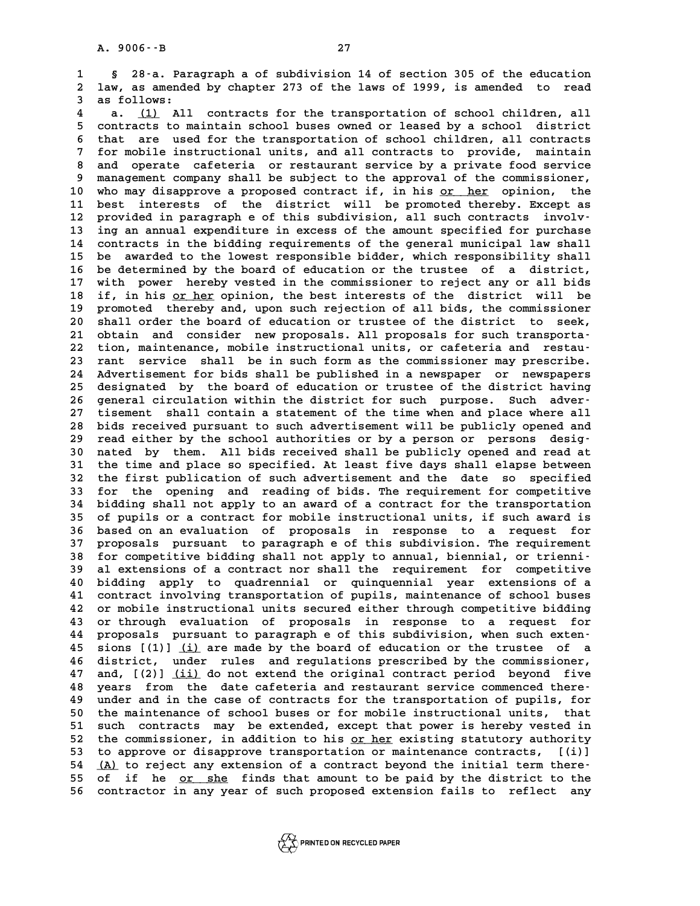**1 § 28-a. Paragraph a of subdivision 14 of section 305 of the education 2 law, as amended by chapter 273 of the laws of 1999, is amended to read** 1 § 28 a. Par.<br>2 law, as amende<br>3 as follows:<br><sup>4</sup> a. (1) <sup>all</sup> 1 aw, as amended by chapter 273 of the laws of 1999, is amended to read<br>3 as follows:<br>**4 a.** (1) All contracts for the transportation of school children, all<br>5 contracts to maintain school buses aread or logood by a scho

**5** as follows:<br> **5 contracts to maintain school buses owned or leased by a school district<br>
<b>5 contracts to maintain school buses owned or leased by a school district**<br> **6** that are used for the transportation of school c **6 that are used for the transportation of school children, all contracts** 5 contracts to maintain school buses owned or leased by a school district<br>
6 that are used for the transportation of school children, all contracts<br>
7 for mobile instructional units, and all contracts to provide, maintain<br> **8 that are used for the transportation of school children, all contracts**<br>**8 for mobile instructional units, and all contracts to provide, maintain**<br>**8 and operate cafeteria or restaurant service by a private food service** For mobile instructional units, and all contracts to provide, maintain<br>
8 and operate cafeteria or restaurant service by a private food service<br>
9 management company shall be subject to the approval of the commissioner,<br>
1 8 and operate cafeteria or restaurant service by a private food service<br>9 management company shall be subject to the approval of the commissioner,<br>10 who may disapprove a proposed contract if, in his <u>or her</u> opinion, the<br> 9 management company shall be subject to the approval of the commissioner,<br>10 who may disapprove a proposed contract if, in his <u>or her</u> opinion, the<br>11 best interests of the district will be promoted thereby. Except as<br>12 10 who may disapprove a proposed contract if, in his <u>or her</u> opinion, the<br>11 best interests of the district will be promoted thereby. Except as<br>12 provided in paragraph e of this subdivision, all such contracts involv-<br><sup>1</sup> 11 best interests of the district will be promoted thereby. Except as<br>12 provided in paragraph e of this subdivision, all such contracts involv-<br>13 ing an annual expenditure in excess of the amount specified for purchase<br>1 12 provided in paragraph e of this subdivision, all such contracts involv-<br>13 ing an annual expenditure in excess of the amount specified for purchase<br>14 contracts in the bidding requirements of the general municipal law s **13 ing an annual expenditure in excess of the amount specified for purchase**<br>14 contracts in the bidding requirements of the general municipal law shall<br>15 be awarded to the lowest responsible bidder, which responsibility 14 contracts in the bidding requirements of the general municipal law shall<br>15 be awarded to the lowest responsible bidder, which responsibility shall<br>16 be determined by the board of education or the trustee of a district 15 be awarded to the lowest responsible bidder, which responsibility shall<br>16 be determined by the board of education or the trustee of a district,<br>17 with power hereby vested in the commissioner to reject any or all bids<br> 16 be determined by the board of education or the trustee of a district,<br>17 with power hereby vested in the commissioner to reject any or all bids<br>18 if, in his <u>or her</u> opinion, the best interests of the district will be<br> 17 with power hereby vested in the commissioner to reject any or all bids<br>18 if, in his <u>or her</u> opinion, the best interests of the district will be<br>19 promoted thereby and, upon such rejection of all bids, the commissione 18 if, in his <u>or her</u> opinion, the best interests of the district will be promoted thereby and, upon such rejection of all bids, the commissioner 20 shall order the board of education or trustee of the district to seek, 2 promoted thereby and, upon such rejection of all bids, the commissioner 20 shall order the board of education or trustee of the district to seek,<br>
21 obtain and consider new proposals. All proposals for such transporta-<br>
22 tion, maintenance, mobile instructional units, or cafeteria and restau 21 obtain and consider new proposals. All proposals for such transporta-<br>22 tion, maintenance, mobile instructional units, or cafeteria and restau-<br>23 rant service shall be in such form as the commissioner may prescribe.<br>2 22 tion, maintenance, mobile instructional units, or cafeteria and restau-<br>23 rant service shall be in such form as the commissioner may prescribe.<br>24 Advertisement for bids shall be published in a newspaper or newspapers<br> 23 rant service shall be in such form as the commissioner may prescribe.<br>24 Advertisement for bids shall be published in a newspaper or newspapers<br>25 designated by the board of education or trustee of the district having<br>2 24 Advertisement for bids shall be published in a newspaper or newspapers<br>
25 designated by the board of education or trustee of the district having<br>
26 general circulation within the district for such purpose. Such adver-25 designated by the board of education or trustee of the district having<br>26 general circulation within the district for such purpose. Such adver-<br>27 tisement shall contain a statement of the time when and place where all<br> **26 general circulation within the district for such purpose. Such adver-**<br>27 tisement shall contain a statement of the time when and place where all<br>28 bids received pursuant to such advertisement will be publicly opened 27 tisement shall contain a statement of the time when and place where all<br>
28 bids received pursuant to such advertisement will be publicly opened and<br>
29 read either by the school authorities or by a person or persons de **30 bids received pursuant to such advertisement will be publicly opened and read either by the school authorities or by a person or persons desig-**<br>30 nated by them. All bids received shall be publicly opened and read at<br> 29 read either by the school authorities or by a person or persons desig-<br>30 nated by them. All bids received shall be publicly opened and read at<br>31 the time and place so specified. At least five days shall elapse between 30 nated by them. All bids received shall be publicly opened and read at<br>31 the time and place so specified. At least five days shall elapse between<br>32 the first publication of such advertisement and the date so specified<br> 31 the time and place so specified. At least five days shall elapse between<br>32 the first publication of such advertisement and the date so specified<br>33 for the opening and reading of bids. The requirement for competitive<br>3 32 the first publication of such advertisement and the date so specified<br>33 for the opening and reading of bids. The requirement for competitive<br>34 bidding shall not apply to an award of a contract for the transportation<br>2 33 for the opening and reading of bids. The requirement for competitive<br>34 bidding shall not apply to an award of a contract for the transportation<br>35 of pupils or a contract for mobile instructional units, if such award i 34 bidding shall not apply to an award of a contract for the transportation<br>35 of pupils or a contract for mobile instructional units, if such award is<br>36 based on an evaluation of proposals in response to a request for<br><sup>3</sup> 35 of pupils or a contract for mobile instructional units, if such award is<br>36 based on an evaluation of proposals in response to a request for<br>37 proposals pursuant to paragraph e of this subdivision. The requirement<br>528 **36 based on an evaluation of proposals in response to a request for<br>
37 proposals pursuant to paragraph e of this subdivision. The requirement<br>
38 for competitive bidding shall not apply to annual, biennial, or trienni-<br> 37 proposals pursuant to paragraph e of this subdivision. The requirement**<br>**38 for competitive bidding shall not apply to annual, biennial, or trienni-**<br>**39 al extensions of a contract nor shall the requirement for compet 40 30 40 and Structure Sidding shall not apply to annual, biennial, or trienni-**<br>**40 bidding apply to quadrennial or quinquennial year extensions of a**<br>**41 contract involving transportation of pupils, maintenance of schoo** al extensions of a contract nor shall the requirement for competitive<br>40 bidding apply to quadrennial or quinquennial year extensions of a<br>41 contract involving transportation of pupils, maintenance of school buses<br>22 crup 40 bidding apply to quadrennial or quinquennial year extensions of a<br>41 contract involving transportation of pupils, maintenance of school buses<br>42 or mobile instructional units secured either through competitive bidding<br>4 41 contract involving transportation of pupils, maintenance of school buses<br>42 or mobile instructional units secured either through competitive bidding<br>43 or through evaluation of proposals in response to a request for<br>44 42 or mobile instructional units secured either through competitive bidding<br>43 or through evaluation of proposals in response to a request for<br>44 proposals pursuant to paragraph e of this subdivision, when such exten-<br><sup>45</sup> 43 or through evaluation of proposals in response to a request for<br>44 proposals pursuant to paragraph e of this subdivision, when such exten-<br>45 sions [(1)] <u>(i)</u> are made by the board of education or the trustee of a<br>46 d 44 proposals pursuant to paragraph e of this subdivision, when such exten-<br>45 sions [(1)] <u>(i)</u> are made by the board of education or the trustee of a<br>46 district, under rules and regulations prescribed by the commissioner 45 sions [(1)] <u>(i)</u> are made by the board of education or the trustee of a<br>46 district, under rules and regulations prescribed by the commissioner,<br>47 and, [(2)] <u>(ii)</u> do not extend the original contract period beyond fi 46 district, under rules and regulations prescribed by the commissioner,<br>47 and, [(2)] <u>(ii)</u> do not extend the original contract period beyond five<br>48 years from the date cafeteria and restaurant service commenced there-<br> **47 and, [(2)] <u>(ii)</u> do not extend the original contract period beyond five<br>48 years from the date cafeteria and restaurant service commenced there-<br>49 under and in the case of contracts for the transportation of pupils,** 90 years from the date cafeteria and restaurant service commenced there-<br>
49 under and in the case of contracts for the transportation of pupils, for<br>
50 the maintenance of school buses or for mobile instructional units, t Inder and in the case of contracts for the transportation of pupils, for<br>50 the maintenance of school buses or for mobile instructional units, that<br>51 such contracts may be extended, except that power is hereby vested in<br>5 50 the maintenance of school buses or for mobile instructional units, that<br>51 such contracts may be extended, except that power is hereby vested in<br>52 the commissioner, in addition to his <u>or her</u> existing statutory author 51 such contracts may be extended, except that power is hereby vested in<br>52 the commissioner, in addition to his <u>or her</u> existing statutory authority<br>53 to approve or disapprove transportation or maintenance contracts, [( 52 the commissioner, in addition to his <u>or her</u> existing statutory authority<br>53 to approve or disapprove transportation or maintenance contracts, [(i)]<br>54 <u>(A)</u> to reject any extension of a contract beyond the initial ter 55 of if he <u>or she</u> finds that amount to be paid by the district to the<br>56 contractor in any year of such proposed extension fails to reflect any **56 contractor in any year of such proposed extension fails to reflect any**

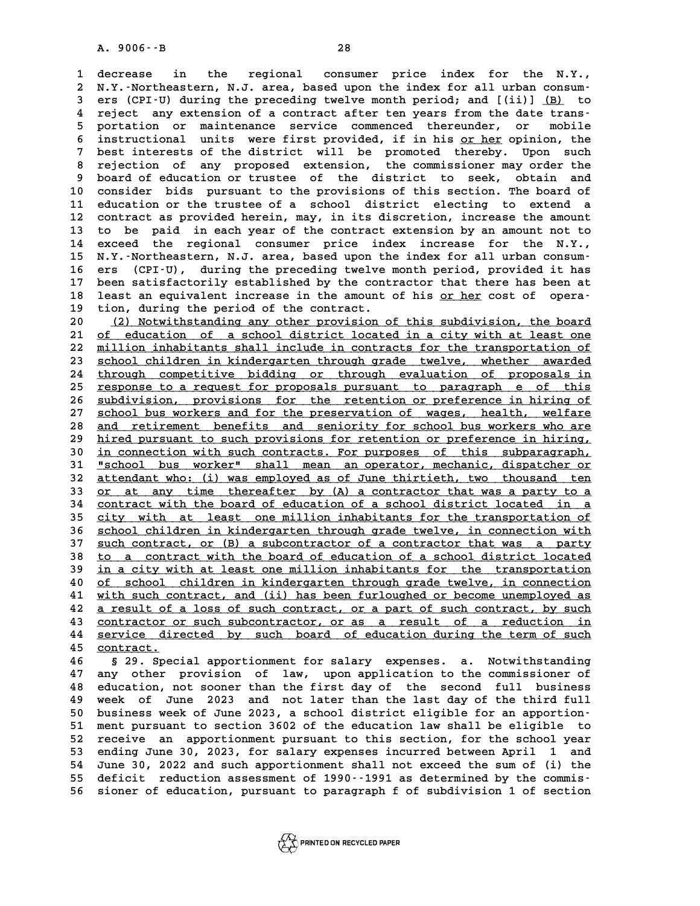**1 decrease in the regional consumer price index for the N.Y., 2 N.Y.-Northeastern, N.J. area, based upon the index for all urban consum-3** decrease in the regional consumer price index for the N.Y.,<br> **3** N.Y. Northeastern, N.J. area, based upon the index for all urban consum-<br> **3** ers (CPI-U) during the preceding twelve month period; and [(ii)] <u>(B)</u> to<br> A R.Y. Northeastern, N.J. area, based upon the index for all urban consum-<br>
<sup>3</sup> ers (CPI-U) during the preceding twelve month period; and [(ii)] <u>(B)</u> to<br>
<sup>4</sup> reject any extension of a contract after ten years from the dat **5** ers (CPI-U) during the preceding twelve month period; and [(ii)] <u>(B)</u> to<br>4 reject any extension of a contract after ten years from the date trans-<br>5 portation or maintenance service commenced thereunder, or mobile<br>ins **6 4** reject any extension of a contract after ten years from the date trans-<br> **6** instructional units were first provided, if in his <u>or her</u> opinion, the<br> **6** heat interests of the district will be premated thereby Upo 5 portation or maintenance service commenced thereunder, or mobile<br>6 instructional units were first provided, if in his <u>or her</u> opinion, the<br>7 best interests of the district will be promoted thereby. Upon such<br>8 rejection **8** instructional units were first provided, if in his <u>or her</u> opinion, the<br> **8** best interests of the district will be promoted thereby. Upon such<br> **8** rejection of any proposed extension, the commissioner may order the<br> 9 best interests of the district will be promoted thereby. Upon such<br>8 rejection of any proposed extension, the commissioner may order the<br>9 board of education or trustee of the district to seek, obtain and<br>10 consider bid 10 **10 consider bids pursuant to the section** of the district to seek, obtain and<br>10 consider bids pursuant to the provisions of this section. The board of<br>11 education or the trustee of a school district election, to exte 9 board of education or trustee of the district to seek, obtain and<br>10 consider bids pursuant to the provisions of this section. The board of<br>11 education or the trustee of a school district electing to extend a<br>22 contras 10 consider bids pursuant to the provisions of this section. The board of<br>11 education or the trustee of a school district electing to extend a<br>12 contract as provided herein, may, in its discretion, increase the amount<br>13 11 education or the trustee of a school district electing to extend a<br>12 contract as provided herein, may, in its discretion, increase the amount<br>13 to be paid in each year of the contract extension by an amount not to<br>14 12 contract as provided herein, may, in its discretion, increase the amount<br>13 to be paid in each year of the contract extension by an amount not to<br>14 exceed the regional consumer price index increase for the N.Y.,<br>15 N.Y 13 to be paid in each year of the contract extension by an amount not to exceed the regional consumer price index increase for the N.Y., 15 N.Y. Northeastern, N.J. area, based upon the index for all urban consum-<br>
16 A.Y. 14 exceed the regional consumer price index increase for the N.Y., 15 N.Y. Northeastern, N.J. area, based upon the index for all urban consum-<br>16 ers (CPI-U), during the preceding twelve month period, provided it has<br>17 be 15 N.Y. Northeastern, N.J. area, based upon the index for all urban consum-<br>16 ers (CPI-U), during the preceding twelve month period, provided it has<br>17 been satisfactorily established by the contractor that there has been 16 ers (CPI-U), during the preceding twelve month period, provided it has<br>17 been satisfactorily established by the contractor that there has been at<br>18 least an equivalent increase in the amount of his <u>or her</u> cost of op 17 been satisfactorily established by the cont<br>18 least an equivalent increase in the amount<br>19 tion, during the period of the contract.<br>20 (2) Notwithtanding any other provision 2

18 least an equivalent increase in the amount of his <u>or her</u> cost of opera-<br>19 tion, during the period of the contract.<br>20 (2) Notwithstanding any other provision of this subdivision, the board<br>21 of education of a school 21 <u>of education of a school district located in a city with at least one</u><br>22 million inhabitants shall include in contracts for the transportation of 22 million inhabitants shall include in contracts for the transportation of<br>23 school children in kindergarten through grade twelve, whether awarded 21 <u>of education of a school district located in a city with at least one</u><br>22 <u>million inhabitants shall include in contracts for the transportation of</u><br>23 <u>school children in kindergarten through grade twelve, whether awa</u> 22 <u>million inhabitants shall include in contracts for the transportation of school children in kindergarten through grade twelve, whether awarded through competitive bidding or through evaluation of proposals in reception</u> 23 <u>school children in kindergarten through grade twelve, whether awarded<br>24 through competitive bidding or through evaluation of proposals in<br>25 response to a request for proposals pursuant to paragraph e of this<br>26 white</u> 24 through competitive bidding or through evaluation of proposals in<br>25 <u>response to a request for proposals pursuant to paragraph e of this</u><br>26 <u>subdivision, provisions for the retention or preference in hiring of</u><br>27 sch response to a request for proposals pursuant to paragraph e of this<br>
26 <u>subdivision, provisions for the retention or preference in hiring of</u><br>
27 <u>school bus workers and for the preservation of wages, health, welfare</u><br>
28 26 <u>subdivision, provisions for the retention or preference in hiring of</u><br>27 <u>school bus workers and for the preservation of wages, health, welfare</u><br>28 <u>and retirement benefits and seniority for school bus workers who are</u> 27 <u>school bus workers and for the preservation of wages, health, welfare<br>
28 and retirement benefits and seniority for school bus workers who are<br>
29 hired pursuant to such provisions for retention or preference in hiring</u> and retirement benefits and seniority for school bus workers who are<br>
29 hired pursuant to such provisions for retention or preference in hiring,<br>
30 <u>in connection with such contracts. For purposes of this subparagraph,</u><br> **130** inconnection with such provisions for retention or preference in hiring,<br> **31** <u>"school bus worker" shall mean an operator, mechanic, dispatcher or</u><br> **Example 132** itterdant who (i) was explored as of lung thirtigth **30** <u>in connection with such contracts. For purposes of this subparagraph,<br>31 "school bus worker" shall mean an operator, mechanic, dispatcher or<br>32 attendant who: (i) was employed as of June thirtieth, two thousand ten<br>3</u> **31** <u>"school bus worker" shall mean an operator, mechanic, dispatcher or</u><br>**32** <u>attendant who: (i) was employed as of June thirtieth, two thousand ten</u><br>**33** <u>or at any time thereafter by (A) a contractor that was a party </u> 32 <u>attendant who: (i) was employed as of June thirtieth, two thousand ten<br>33 <u>or at any time thereafter</u> by (A) a contractor that was a party to a<br>34 contract with the board of education of a school district located in a<br></u> 33 <u>or at any time thereafter by (A) a contractor that was a party to a</u><br>34 <u>contract with the board of education of a school district located in a</u><br>35 <u>city with at least one million inhabitants for the transportation of</u> 34 <u>contract with the board of education of a school district located in a<br>35 <u>city with at least one million inhabitants for the transportation of</u><br>36 <u>school children in kindergarten through grade twelve, in connection w</u></u> 35 city with at least one million inhabitants for the transportation of school children in kindergarten through grade twelve, in connection with such contract, or (B) a subcontractor of a contractor that was a party to a c 36 school children in kindergarten through grade twelve, in connection with<br>37 <u>such contract, or (B)</u> a subcontractor of a contractor that was a party<br>38 to a contract with the board of education of a school district loca 37 <u>such contract, or (B)</u> a subcontractor of a contractor that was a party<br>38 <u>to a contract with the board of education of a school district located</u><br>39 <u>in a city with at least one million inhabitants for the transporta</u> to a contract with the board of education of a school district located<br> **40** <u>of school</u> children in kindergarten through grade twelve, in connection<br> **41** with such contract, and (ii) has been furloughed or become unemplo in a city with at least one million inhabitants for the transportation<br>40 <u>of school children in kindergarten through grade twelve, in connection</u><br>41 with such contract, and (ii) has been furloughed or become unemployed as **40** <u>of school children in kindergarten through grade twelve, in connection</u><br> **41** with such contract, and (ii) has been furloughed or become unemployed as<br>
<u>a result of a loss of such contract, or a part of such contract</u> **41 with such contract, and (ii) has been furloughed or become unemployed as<br>
<u>a result of a loss of such contract</u>, or a part of such contract, by such<br>
<b>23** contractor or such subcontractor, or as a result of a reduction **42** <u>a result of a loss of such contract</u>, or a part of such contract, by such<br>43 contractor or such subcontractor, or as a result of a reduction in<br><u>service directed</u> by such board of education during the term of such<br>45 43 <u>contractor of</u><br>44 <u>service direct.</u><br>45 contract.

94 service directed by such board of education during the term of such<br>45 <u>contract.</u><br>46 § 29. Special apportionment for salary expenses. a. Notwithstanding<br>47 any other provision of law, upon application to the commission **45** <u>contract.</u><br>46 § 29. Special apportionment for salary expenses. a. Notwithstanding<br>47 any other provision of law, upon application to the commissioner of<br>48 education pot seemer than the first day of the seemed full b **46 S 29. Special apportionment for salary expenses. a. Notwithstanding<br>47 any other provision of law, upon application to the commissioner of<br>48 education, not sooner than the first day of the second full business** 47 any other provision of law, upon application to the commissioner of<br>48 education, not sooner than the first day of the second full business<br>49 week of June 2023 and not later than the last day of the third full<br>50 busin 48 education, not sooner than the first day of the second full business<br>49 week of June 2023 and not later than the last day of the third full<br>50 business week of June 2023, a school district eligible for an apportionweek of June 2023 and not later than the last day of the third full<br>50 business week of June 2023, a school district eligible for an apportion-<br>51 ment pursuant to section 3602 of the education law shall be eligible to<br>52 50 business week of June 2023, a school district eligible for an apportion-<br>51 ment pursuant to section 3602 of the education law shall be eligible to<br>52 receive an apportionment pursuant to this section, for the school ye 51 ment pursuant to section 3602 of the education law shall be eligible to<br>52 receive an apportionment pursuant to this section, for the school year<br>53 ending June 30, 2023, for salary expenses incurred between April 1 and 52 receive an apportionment pursuant to this section, for the school year<br>53 ending June 30, 2023, for salary expenses incurred between April 1 and<br>54 June 30, 2022 and such apportionment shall not exceed the sum of (i) th 53 ending June 30, 2023, for salary expenses incurred between April 1 and<br>54 June 30, 2022 and such apportionment shall not exceed the sum of (i) the<br>55 deficit reduction assessment of 1990--1991 as determined by the commi 54 June 30, 2022 and such apportionment shall not exceed the sum of (i) the<br>55 deficit reduction assessment of 1990--1991 as determined by the commis-<br>56 sioner of education, pursuant to paragraph f of subdivision 1 of sec

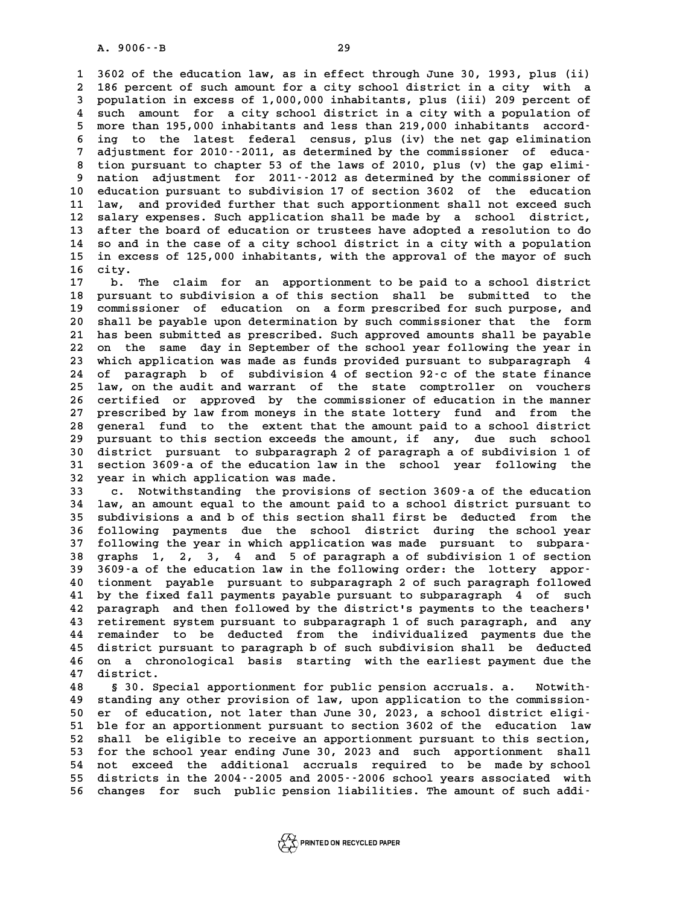**1 3602 of the education law, as in effect through June 30, 1993, plus (ii) 2** 18602 of the education law, as in effect through June 30, 1993, plus (ii)<br>2 186 percent of such amount for a city school district in a city with a<br>3 population in excess of 1,000,000 inhabitants, plus (iii) 209 percent **3602 of the education law, as in effect through June 30, 1993, plus (ii)**<br> **2 186 percent of such amount for a city school district in a city with a<br>
3 population in excess of 1,000,000 inhabitants, plus (iii) 209 percent** 186 percent of such amount for a city school district in a city with a<br>3 population in excess of 1,000,000 inhabitants, plus (iii) 209 percent of<br>4 such amount for a city school district in a city with a population of<br>5 mo **5** population in excess of 1,000,000 inhabitants, plus (iii) 209 percent of such amount for a city school district in a city with a population of more than 195,000 inhabitants and less than 219,000 inhabitants accord-<br>  $\$ 4 such amount for a city school district in a city with a population of<br>5 more than 195,000 inhabitants and less than 219,000 inhabitants accord-<br>6 ing to the latest federal census, plus (iv) the net gap elimination<br>2 adju 5 more than 195,000 inhabitants and less than 219,000 inhabitants accord-<br>6 ing to the latest federal census, plus (iv) the net gap elimination<br>7 adjustment for 2010--2011, as determined by the commissioner of educa-<br>8 tio 6 ing to the latest federal census, plus (iv) the net gap elimination<br>
7 adjustment for 2010 - 2011, as determined by the commissioner of educa-<br>
8 tion pursuant to chapter 53 of the laws of 2010, plus (v) the gap elimi-<br> **9** adjustment for 2010--2011, as determined by the commissioner of education pursuant to chapter 53 of the laws of 2010, plus (v) the gap elimination adjustment for 2011--2012 as determined by the commissioner of colucati 10 tion pursuant to chapter 53 of the laws of 2010, plus (v) the gap eliminum adjustment for 2011--2012 as determined by the commissioner of education pursuant to subdivision 17 of section 3602 of the education<br>
11 law and 9 nation adjustment for 2011--2012 as determined by the commissioner of<br>10 education pursuant to subdivision 17 of section 3602 of the education<br>11 law, and provided further that such apportionment shall not exceed such<br>12 **10 education pursuant to subdivision 17 of section 3602 of the education 11 law, and provided further that such apportionment shall not exceed such salary expenses. Such application shall be made by a school district,**<br>13 11 law, and provided further that such apportionment shall not exceed such<br>12 salary expenses. Such application shall be made by a school district,<br>13 after the board of education or trustees have adopted a resolution to d **14 so and in the case of a city school district in a city with a population** 13 after the board of education or trustees have adopted a resolution to do<br>14 so and in the case of a city school district in a city with a population<br>15 in excess of 125,000 inhabitants, with the approval of the mayor of 14 so and i:<br>15 in exces<br>16 city. 15 in excess of 125,000 inhabitants, with the approval of the mayor of such<br>16 city.<br>17 b. The claim for an apportionment to be paid to a school district<br>18 pursuant to subdivision a of this section, shall, be submitted to

16 city.<br>17 b. The claim for an apportionment to be paid to a school district<br>18 pursuant to subdivision a of this section shall be submitted to the<br>19 commissioner of education on a form prescribed for such purpose, and 17 b. The claim for an apportionment to be paid to a school district<br>18 pursuant to subdivision a of this section shall be submitted to the<br>19 commissioner of education on a form prescribed for such purpose, and<br>20 shall b 18 pursuant to subdivision a of this section shall be submitted to the<br>19 commissioner of education on a form prescribed for such purpose, and<br>20 shall be payable upon determination by such commissioner that the form<br>21 ba **20** commissioner of education on a form prescribed for such purpose, and<br>20 shall be payable upon determination by such commissioner that the form<br>21 has been submitted as prescribed. Such approved amounts shall be payabl 20 shall be payable upon determination by such commissioner that the form<br>21 has been submitted as prescribed. Such approved amounts shall be payable<br>22 on the same day in September of the school year following the year in 21 has been submitted as prescribed. Such approved amounts shall be payable<br>22 on the same day in September of the school year following the year in<br>23 which application was made as funds provided pursuant to subparagraph 22 on the same day in September of the school year following the year in<br>23 which application was made as funds provided pursuant to subparagraph 4<br>24 of paragraph b of subdivision 4 of section 92-c of the state finance<br>25 23 which application was made as funds provided pursuant to subparagraph 4<br>24 of paragraph b of subdivision 4 of section 92 c of the state finance<br>25 law, on the audit and warrant of the state comptroller on vouchers<br>26 ce **26 certified or approved by the commissioner of education in the manner** 25 law, on the audit and warrant of the state comptroller on vouchers<br>26 certified or approved by the commissioner of education in the manner<br>27 prescribed by law from moneys in the state lottery fund and from the<br>28 censo 26 certified or approved by the commissioner of education in the manner<br>27 prescribed by law from moneys in the state lottery fund and from the<br>28 general fund to the extent that the amount paid to a school district<br>29 pur 27 prescribed by law from moneys in the state lottery fund and from the<br>28 general fund to the extent that the amount paid to a school district<br>29 pursuant to this section exceeds the amount, if any, due such school<br>30 dis 30 general fund to the extent that the amount paid to a school district<br>
30 pursuant to this section exceeds the amount, if any, due such school<br>
30 district pursuant to subparagraph 2 of paragraph a of subdivision 1 of<br>
3 29 pursuant to this section exceeds the amount, if any, due such school 30 district pursuant to subparagraph 2 of paragraph a of subdivision 1 of section 3609-a of the education law in the school year following the year in 30 district pursuant to subparagraph 2<br>31 section 3609 a of the education law in<br>32 year in which application was made.<br>33 C. Notwithstanding the provisions 31 section 3609-a of the education law in the school year following the<br>32 year in which application was made.<br>33 c. Notwithstanding the provisions of section 3609-a of the education<br>34 law approval coupl to the appoint pa

**32 year in which application was made.**<br> **33 c. Notwithstanding the provisions of section 3609 a of the education**<br> **34 law, an amount equal to the amount paid to a school district pursuant to**<br> **35 subdivisions a and b o 33** c. Notwithstanding the provisions of section 3609-a of the education 14 law, an amount equal to the amount paid to a school district pursuant to subdivisions a and b of this section shall first be deducted from the fo **34 law, an amount equal to the amount paid to a school district pursuant to subdivisions a and b of this section shall first be deducted from the following payments due the school district during the school year<br>27 follow** 35 subdivisions a and b of this section shall first be deducted from the<br>36 following payments due the school district during the school year<br>37 following the year in which application was made pursuant to subpara-<br>38 grap **36 following payments due the school district during the school year**<br>**37 following the year in which application was made pursuant to subpara-**<br>**38 graphs 1, 2, 3, 4 and 5 of paragraph a of subdivision 1 of section**<br>**39** 37 following the year in which application was made pursuant to subpara-<br>38 graphs 1, 2, 3, 4 and 5 of paragraph a of subdivision 1 of section<br>39 3609-a of the education law in the following order: the lottery appor-<br>10 ti **40 tionment payable pursuant to subparagraph 2 of such paragraph followed 40 3609-a of the education law in the following order: the lottery appor-**<br> **40 tionment payable pursuant to subparagraph 2 of such paragraph followed**<br> **41 by the fixed fall payments payable pursuant to subparagraph 4 of** 40 tionment payable pursuant to subparagraph 2 of such paragraph followed<br>41 by the fixed fall payments payable pursuant to subparagraph 4 of such<br>42 paragraph and then followed by the district's payments to the teachers'<br> 41 by the fixed fall payments payable pursuant to subparagraph 4 of such<br>42 paragraph and then followed by the district's payments to the teachers'<br>43 retirement system pursuant to subparagraph 1 of such paragraph, and any 42 paragraph and then followed by the district's payments to the teachers'<br>43 retirement system pursuant to subparagraph 1 of such paragraph, and any<br>44 remainder to be deducted from the individualized payments due the<br>45 **43** retirement system pursuant to subparagraph 1 of such paragraph, and any<br>44 remainder to be deducted from the individualized payments due the<br>45 district pursuant to paragraph b of such subdivision shall be deducted<br>46 44 remainder to be deducted from the individualized payments due the<br>45 district pursuant to paragraph b of such subdivision shall be deducted<br>46 on a chronological basis starting with the earliest payment due the<br>47 distr **45** district pur<br>**46** on a chron<br>**47** district. % 46 on a chronological basis starting with the earliest payment due the<br>
47 district.<br>
9 30. Special apportionment for public pension accruals. a. Notwith-<br>
49 standing any other provision of law, upon application to the

**49 standing any other provision of law, upon application to the commission-50 er of education, not later than June 30, 2023, a school district eligi-50** standing any other provision of law, upon application to the commission-<br>50 er of education, not later than June 30, 2023, a school district eligi-<br>51 ble for an apportionment pursuant to section 3602 of the education 50 er of education, not later than June 30, 2023, a school district eligi-<br>51 ble for an apportionment pursuant to section 3602 of the education law<br>52 shall be eligible to receive an apportionment pursuant to this section 51 ble for an apportionment pursuant to section 3602 of the education law<br>52 shall be eligible to receive an apportionment pursuant to this section,<br>53 for the school year ending June 30, 2023 and such apportionment shall<br> 52 shall be eligible to receive an apportionment pursuant to this section,<br>53 for the school year ending June 30, 2023 and such apportionment shall<br>54 not exceed the additional accruals required to be made by school<br>55 dis 53 for the school year ending June 30, 2023 and such apportionment shall<br>54 not exceed the additional accruals required to be made by school<br>55 districts in the 2004--2005 and 2005--2006 school years associated with<br>56 sha 54 not exceed the additional accruals required to be made by school<br>55 districts in the 2004<sup>--</sup>2005 and 2005<sup>--2006</sup> school years associated with<br>56 changes for such public pension liabilities. The amount of such addi<sup>-</sup>

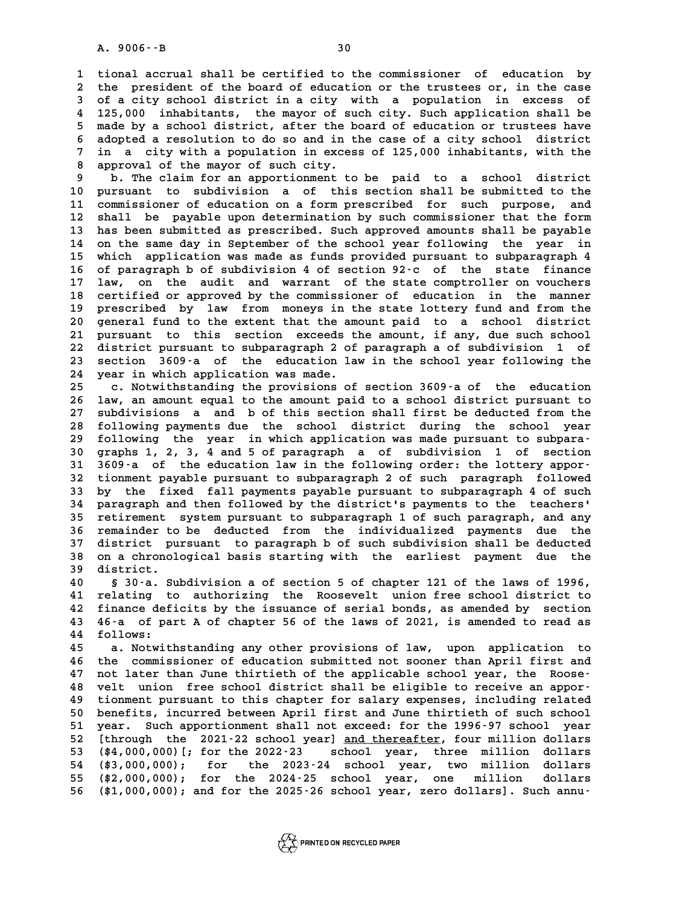**1 tional accrual shall be certified to the commissioner of education by 2** tional accrual shall be certified to the commissioner of education by<br>2 the president of the board of education or the trustees or, in the case<br>3 of 3 gity school district in 3 gity, with a population in excess of 1 tional accrual shall be certified to the commissioner of education by<br>
2 the president of the board of education or the trustees or, in the case<br>
3 of a city school district in a city with a population in excess of<br>
4 12 2 the president of the board of education or the trustees or, in the case<br>3 of a city school district in a city with a population in excess of<br>4 125,000 inhabitants, the mayor of such city. Such application shall be<br>5 made 3 of a city school district in a city with a population in excess of<br>4 125,000 inhabitants, the mayor of such city. Such application shall be<br>5 made by a school district, after the board of education or trustees have<br>1 ado 4 125,000 inhabitants, the mayor of such city. Such application shall be<br>5 made by a school district, after the board of education or trustees have<br>6 adopted a resolution to do so and in the case of a city school district<br> 5 made by a school district, after the board of education or trustees have<br>6 adopted a resolution to do so and in the case of a city school district<br>7 in a city with a population in excess of 125,000 inhabitants, with the<br> 8 adopted a resolution to do so and in the mayor of such city.<br>8 approval of the mayor of such city.<br>8 b mbo slaim for an apportionment to **9** in a city with a population in excess of 125,000 inhabitants, with the<br>8 approval of the mayor of such city.<br>9 b. The claim for an apportionment to be paid to a school district<br>0 nursuant to subdivision a of this secti

**10 pursuant to subdivision a of this section shall be submitted to the 11 commissioner of education on a form prescribed for such purpose, and** 10 pursuant to subdivision a of this section shall be submitted to the<br>11 commissioner of education on a form prescribed for such purpose, and<br>12 shall be payable upon determination by such commissioner that the form<br>13 ba 11 commissioner of education on a form prescribed for such purpose, and<br>12 shall be payable upon determination by such commissioner that the form<br>13 has been submitted as prescribed. Such approved amounts shall be payable<br> 12 shall be payable upon determination by such commissioner that the form<br>13 has been submitted as prescribed. Such approved amounts shall be payable<br>14 on the same day in September of the school year following the year in 13 has been submitted as prescribed. Such approved amounts shall be payable<br>14 on the same day in September of the school year following the year in<br>15 which application was made as funds provided pursuant to subparagraph 14 on the same day in September of the school year following the year in<br>15 which application was made as funds provided pursuant to subparagraph 4<br>16 of paragraph b of subdivision 4 of section 92<sup>-</sup>c of the state finance<br> which application was made as funds provided pursuant to subparagraph 4<br>16 of paragraph b of subdivision 4 of section 92 c of the state finance<br>17 law, on the audit and warrant of the state comptroller on vouchers<br>contifie 16 of paragraph b of subdivision 4 of section 92<sup>-</sup>c of the state finance<br>17 law, on the audit and warrant of the state comptroller on vouchers<br>18 certified or approved by the commissioner of education in the manner<br>19 pro 18 certified or approved by the commissioner of education in the manner<br>19 prescribed by law from moneys in the state lottery fund and from the<br>20 general fund to the extent that the amount paid to a school district 20 general fund to the commissioner of education in the manner<br>
20 general fund to the extent that the amount paid to a school district<br>
21 nurguart to this section exceeds the amount if any due such school 19 prescribed by law from moneys in the state lottery fund and from the<br>20 general fund to the extent that the amount paid to a school district<br>21 pursuant to this section exceeds the amount, if any, due such school<br>22 dis **20** general fund to the extent that the amount paid to a school district<br>21 pursuant to this section exceeds the amount, if any, due such school<br>22 district pursuant to subparagraph 2 of paragraph a of subdivision 1 of<br>23 21 pursuant to this section exceeds the amount, if any, due such school<br>22 district pursuant to subparagraph 2 of paragraph a of subdivision 1 of<br>23 section 3609-a of the education law in the school year following the<br>24 y 22 district pursuant to subparagraph 2 of<br>23 section 3609 a of the education la<br>24 year in which application was made.<br>25 a Motwithstanding the provisions of 23 section 3609-a of the education law in the school year following the<br>24 year in which application was made.<br>25 c. Notwithstanding the provisions of section 3609-a of the education<br>26 low around agreed to the amount paid

**24 year in which application was made.**<br> **25 c. Notwithstanding the provisions of section 3609 a of the education**<br> **26 law, an amount equal to the amount paid to a school district pursuant to**<br> **27 subdivisions** a and b 25 c. Notwithstanding the provisions of section 3609-a of the education<br>26 law, an amount equal to the amount paid to a school district pursuant to<br>27 subdivisions a and b of this section shall first be deducted from the<br>5 16 law, an amount equal to the amount paid to a school district pursuant to<br>27 subdivisions a and b of this section shall first be deducted from the<br>28 following payments due the school district during the school year<br>5<sup>29</sup> 27 subdivisions a and b of this section shall first be deducted from the following payments due the school district during the school year<br>29 following the year in which application was made pursuant to subpara-<br>20 graphs **30 following payments due the school district during the school year**<br>**30 graphs 1, 2, 3, 4 and 5 of paragraph a of subdivision 1 of section**<br>**31 3609.3 of the education law in the following order: the lottery apport 31 3609-a of the education law in the following order: the lottery appor-**30 graphs 1, 2, 3, 4 and 5 of paragraph a of subdivision 1 of section<br>31 3609-a of the education law in the following order: the lottery appor-<br>32 tionment payable pursuant to subparagraph 2 of such paragraph followed<br>33 b 31 3609 a of the education law in the following order: the lottery appor-<br>32 tionment payable pursuant to subparagraph 2 of such paragraph followed<br>33 by the fixed fall payments payable pursuant to subparagraph 4 of such **34 paragraph and then followed by the district's payments to the teachers' 33 by the fixed fall payments payable pursuant to subparagraph 4 of such paragraph and then followed by the district's payments to the teachers'**<br>35 retirement system pursuant to subparagraph 1 of such paragraph, and any<br> 34 paragraph and then followed by the district's payments to the teachers'<br>35 retirement system pursuant to subparagraph 1 of such paragraph, and any<br>36 remainder to be deducted from the individualized payments due the<br>37 **35 retirement system pursuant to subparagraph 1 of such paragraph, and any**<br>36 remainder to be deducted from the individualized payments due the<br>37 district pursuant to paragraph b of such subdivision shall be deducted<br>38 36 remainder to be deducted from the individualized payments due the<br>37 district pursuant to paragraph b of such subdivision shall be deducted<br>38 on a chronological basis starting with the earliest payment due the<br><sup>39</sup> dis 37 district pu<br>38 on a chronol<sup>1</sup><br>39 district.<br>40 5 30:3 Sui **40 30 Solution 30 Solution 10 Solution 10 Solution 10 Solution 40** Solution 30.1-a. Subdivision a of section 5 of chapter 121 of the laws of 1996,<br> **41** relating to authorizing the Roosevelt union free school district to

**41 relating to authorizing the Roosevelt union free school district to 40** § 30-a. Subdivision a of section 5 of chapter 121 of the laws of 1996,<br>41 relating to authorizing the Roosevelt union free school district to<br>42 finance deficits by the issuance of serial bonds, as amended by section<br> 41 relating to authorizing the Roosevelt union free school district to<br>42 finance deficits by the issuance of serial bonds, as amended by section<br>43 46-a of part A of chapter 56 of the laws of 2021, is amended to read as<br>4 42 finance def<br>43 46 - a of pa<br>44 follows:<br><sup>45</sup> - <sup>Notwiti</sup> 43 46 a of part A of chapter 56 of the laws of 2021, is amended to read as<br>44 follows:<br>**45** a. Notwithstanding any other provisions of law, upon application to<br>46 the commissioner of education submitted not sooner than Apr

45 a. Notwithstanding any other provisions of law, upon application to<br>46 the commissioner of education submitted not sooner than April first and<br>47 not later than June thirtieth of the applicable school year, the Roose<sup>.</sup> 45 a. Notwithstanding any other provisions of law, upon application to<br>46 the commissioner of education submitted not sooner than April first and<br>47 not later than June thirtieth of the applicable school year, the Roose-<br><sup></sup> the commissioner of education submitted not sooner than April first and<br>
47 not later than June thirtieth of the applicable school year, the Roose-<br>
48 velt union free school district shall be eligible to receive an appor-**47 not later than June thirtieth of the applicable school year, the Roose-<br>48 velt union free school district shall be eligible to receive an appor-<br>49 tionment pursuant to this chapter for salary expenses, including rela 50 benefits, incurred between April first and June theorem including related**<br>50 benefits, incurred between April first and June thirtieth of such school<br>51 year, Such apportionment shall not exceed: for the 1996-97 schoo **50 tionment pursuant to this chapter for salary expenses, including related**<br>
50 benefits, incurred between April first and June thirtieth of such school<br>
51 year. Such apportionment shall not exceed: for the 1996-97 scho 50 benefits, incurred between April first and June thirtieth of such school<br>51 year. Such apportionment shall not exceed: for the 1996-97 school year<br>52 [through the 2021-22 school year] <u>and thereafter</u>, four million doll 51 year. Such apportionment shall not exceed: for the 1996-97 school year<br>52 [through the 2021-22 school year] <u>and thereafter</u>, four million dollars<br>53 (\$4,000,000)[; for the 2022-23 school year, three million dollars<br>54 52 [through the 2021–22 school year] <u>and thereafter</u>, four million dollars<br>53 (\$4,000,000)[; for the 2022–23 school year, three million dollars<br>54 (\$3,000,000); for the 2023–24 school year, two million dollars<br>55 (\$2,000, **53** (\$4,000,000)[; for the 2022-23 school year, three million dollars<br>54 (\$3,000,000); for the 2023-24 school year, two million dollars<br>55 (\$2,000,000); for the 2024-25 school year, one million dollars<br>56 (\$1,000,000); an 54 (\$3,000,000); for the 2023–24 school year, two million dollars<br>55 (\$2,000,000); for the 2024–25 school year, one million dollars<br>56 (\$1,000,000); and for the 2025–26 school year, zero dollars]. Such annu-

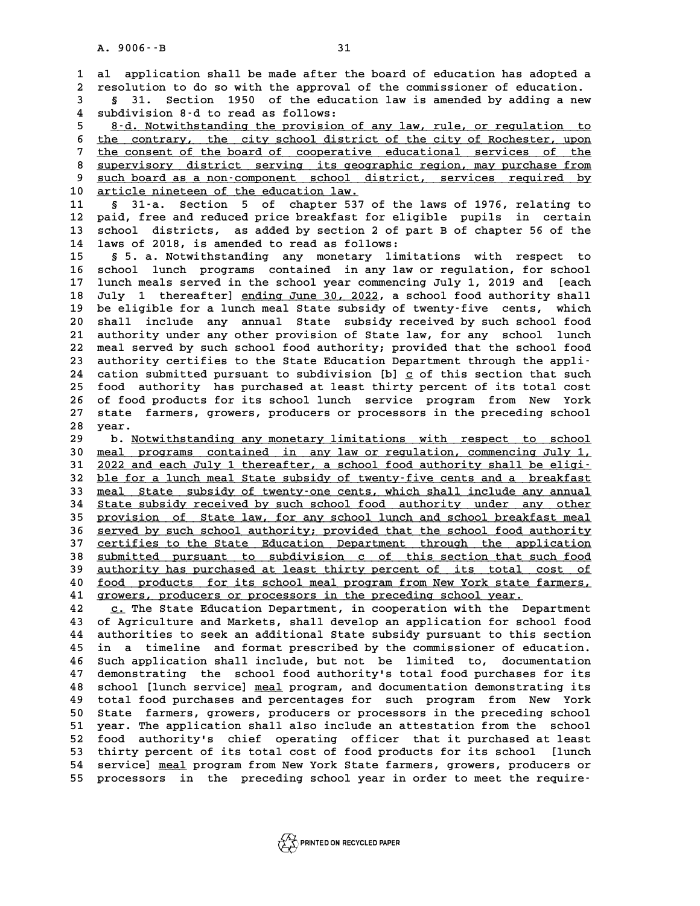**1 al application shall be made after the board of education has adopted a 2** 1 al application shall be made after the board of education has adopted a<br>2 resolution to do so with the approval of the commissioner of education. **3 1** al application shall be made after the board of education has adopted a<br>**2** resolution to do so with the approval of the commissioner of education.<br>**5** 31. Section 1950 of the education law is amended by adding a n 2 resolution to do so with the approval of the commissioner of education.<br> **4 subdivision 8-d to read as follows:**<br> **4 subdivision 8-d to read as follows:**<br> **6-d. Notwithstanding the provision of any law, rule, or regulati 5** 8-d. Notwithstanding the provision of any law, rule, or regulation to <br>6 the contrary, the city school district of the city of Rochester, upon 6 <u>the contrary, the city school district of the city of Rochester, upon</u><br>7 the consent of the board of cooperative educational services of the 8-d. Notwithstanding the provision of any law, rule, or regulation to<br>
the contrary, the city school district of the city of Rochester, upon<br>
The consent of the board of cooperative educational services of the<br>
supervisory 6 <u>the contrary, the city school district of the city of Rochester, upon</u><br>
<sup>7</sup> the consent of the board of cooperative educational services of the<br> **8** supervisory district serving its geographic region, may purchase from<br> The consent of the board of cooperative educational services of the<br>
supervisory district serving its geographic region, may purchase from<br>
<u>such board as a non-component school</u> district, services required by<br>
a pricele p 8 <u>supervisory district serving its geographic region, may purchase from</u><br>
9 <u>such board as a non-component school district, services required by<br>
10 <u>article nineteen of the education law.</u><br>
11 § 31-a. Section 5 of chapte</u> 9 <u>such board as a non-component school district, services required by<br>10 <u>article nineteen of the education law.</u><br>11 § 31-a. Section 5 of chapter 537 of the laws of 1976, relating to<br>12 paid free and reduced price breakfa</u> **10 article nineteen of the education law.**<br>
11 § 31-a. Section 5 of chapter 537 of the laws of 1976, relating to<br>
12 paid, free and reduced price breakfast for eligible pupils in certain<br>
13 school districts as added by 11 § 31-a. Section 5 of chapter 537 of the laws of 1976, relating to<br>12 paid, free and reduced price breakfast for eligible pupils in certain<br>13 school districts, as added by section 2 of part B of chapter 56 of the<br>14 law 12 paid, free and reduced price breakfast for eligible pupils in certain<br>13 school districts, as added by section 2 of part B of chapter 56 of the<br>14 laws of 2018, is amended to read as follows:<br>15 § 5. a. Notwithstanding 13 school districts, as added by section 2 of part B of chapter 56 of the<br>14 laws of 2018, is amended to read as follows:<br>15 § 5. a. Notwithstanding any monetary limitations with respect to<br>16 school lunch programs contain 14 laws of 2018, is amended to read as follows:<br>15 § 5. a. Notwithstanding any monetary limitations with respect to<br>16 school lunch programs contained in any law or regulation, for school<br>17 lunch moals sorved in the schoo 15 § 5. a. Notwithstanding any monetary limitations with respect to<br>16 school lunch programs contained in any law or regulation, for school<br>17 lunch meals served in the school year commencing July 1, 2019 and [each<br>18 July 16 school lunch programs contained in any law or regulation, for school<br>17 lunch meals served in the school year commencing July 1, 2019 and [each<br>18 July 1 thereafter] ending June 30, 2022, a school food authority shall<br>h 17 lunch meals served in the school year commencing July 1, 2019 and [each<br>18 July 1 thereafter] <u>ending June 30, 2022</u>, a school food authority shall<br>19 be eligible for a lunch meal State subsidy of twenty-five cents, whi **20 shall include any annual State subsidy received by such school food** 19 be eligible for a lunch meal State subsidy of twenty-five cents, which<br>20 shall include any annual State subsidy received by such school food<br>21 authority under any other provision of State law, for any school lunch 20 shall include any annual State subsidy received by such school food<br>21 authority under any other provision of State law, for any school lunch<br>22 meal served by such school food authority; provided that the school food<br>2 21 authority under any other provision of State law, for any school lunch<br>
22 meal served by such school food authority; provided that the school food<br>
23 authority certifies to the State Education Department through the a 22 meal served by such school food authority; provided that the school food<br>23 authority certifies to the State Education Department through the appli-<br>24 cation submitted pursuant to subdivision [b] <u>c</u> of this section th 23 authority certifies to the State Education Department through the appli-<br>24 cation submitted pursuant to subdivision [b] <u>c</u> of this section that such<br>25 food authority has purchased at least thirty percent of its total 24 cation submitted pursuant to subdivision [b] c of this section that such<br>25 food authority has purchased at least thirty percent of its total cost<br>26 of food products for its school lunch service program from New York<br>2 25 food authority has purchased at least thirty percent of its total cost<br>26 of food products for its school lunch service program from New York<br>27 state farmers, growers, producers or processors in the preceding school 26 of food products for its school lunch service program from New York<br>27 state farmers, growers, producers or processors in the preceding school<br>28 year.<br>29 b. Notwithstanding any monetary limitations with respect to scho 29 b. <u>Notwithstanding any monetary limitations with respect to school</u><br>30 meal programs contained in any law or regulation, commencing July 1, 30 <u>meal programs contained in any law or regulation, commencing July 1, 31</u> 2022 and each July 1 thereafter, a school food authority shall be eligib. Notwithstanding any monetary limitations with respect to school<br> **30** meal programs contained in any law or regulation, commencing July 1,<br>
<u>2022 and each July 1 thereafter, a school food authority shall be eligi-</u><br>
alo 30 <u>meal programs contained in any law or regulation, commencing July 1,<br>31 <u>2022 and each July 1 thereafter</u>, a school food authority shall be eligi-<br>32 ble for a lunch meal State subsidy of twenty-five cents and a breakf</u> **31** <u>2022</u> and each July 1 thereafter, a school food authority shall be eligi-<br> **ble for a lunch meal State subsidy of twenty-five cents and a breakfast**<br> **33** meal State subsidy of twenty-one cents, which shall include a 32 <u>ble for a lunch meal State subsidy of twenty-five cents and a breakfast</u><br>33 <u>meal State subsidy of twenty-one cents</u>, which shall include any annual<br>34 State subsidy received by such school food authority under any oth 33 <u>meal State subsidy of twenty-one cents, which shall include any annual<br>34 State subsidy received by such school food authority under any other<br>35 provision of State law, for any school lunch and school breakfast meal<br>3</u> 34 State subsidy received by such school food authority under any other<br>35 provision of State law, for any school lunch and school breakfast meal<br>36 served by such school authority; provided that the school food authority<br> provision of State law, for any school lunch and school breakfast meal<br>36 <u>served by such school authority</u>; provided that the school food authority<br>37 certifies to the State Education Department through the application<br>38 36 served by such school authority; provided that the school food authority<br>37 <u>certifies to the State Education Department</u> through the application<br>38 submitted pursuant to subdivision c of this section that such food<br>39 37 certifies to the State Education Department through the application<br>38 <u>submitted pursuant to subdivision c of this section that such food</u><br>39 <u>authority has purchased at least thirty percent of its total cost of</u><br>500 p 38 <u>submitted pursuant to subdivision c of this section that such food</u><br>
40 <u>food products</u> for its school meal program from New York state farmers,<br>
41 growers, producers or processors in the preceding school year. **41 growers, producers or processors in the preceding school year.**<br>**42 c.** The State Education Department, in cooperation with the I **42** c. The State Education Department, in cooperation with the Department<br>43 of Agriculture and Markets, shall develop an application for school food **43 of Agriculture and Markets, shall develop an application for school food 44 authorities to seek an additional State subsidy pursuant to this section** 43 of Agriculture and Markets, shall develop an application for school food<br>44 authorities to seek an additional State subsidy pursuant to this section<br>45 in a timeline and format prescribed by the commissioner of educatio 44 authorities to seek an additional State subsidy pursuant to this section<br>45 in a timeline and format prescribed by the commissioner of education.<br>46 Such application shall include, but not be limited to, documentation<br>4 45 in a timeline and format prescribed by the commissioner of education.<br>46 Such application shall include, but not be limited to, documentation<br>47 demonstrating the school food authority's total food purchases for its<br>48 46 Such application shall include, but not be limited to, documentation<br>47 demonstrating the school food authority's total food purchases for its<br>48 school [lunch service] <u>meal</u> program, and documentation demonstrating it 47 demonstrating the school food authority's total food purchases for its<br>48 school [lunch service] <u>meal</u> program, and documentation demonstrating its<br>49 total food purchases and percentages for such program from New York 48 school [lunch service] <u>meal</u> program, and documentation demonstrating its<br>49 total food purchases and percentages for such program from New York<br>50 State farmers, growers, producers or processors in the preceding schoo **50 total food purchases and percentages for such program from New York**<br>
50 State farmers, growers, producers or processors in the preceding school<br>
51 year. The application shall also include an attestation from the scho 50 State farmers, growers, producers or processors in the preceding school<br>51 year. The application shall also include an attestation from the school<br>52 food authority's chief operating officer that it purchased at least<br>t 51 year. The application shall also include an attestation from the school<br>52 food authority's chief operating officer that it purchased at least<br>53 thirty percent of its total cost of food products for its school [lunch<br>5 52 food authority's chief operating officer that it purchased at least<br>53 thirty percent of its total cost of food products for its school [lunch<br>54 service] <u>meal</u> program from New York State farmers, growers, producers o 53 thirty percent of its total cost of food products for its school [lunch<br>54 service] <u>meal</u> program from New York State farmers, growers, producers or<br>55 processors in the preceding school year in order to meet the requi

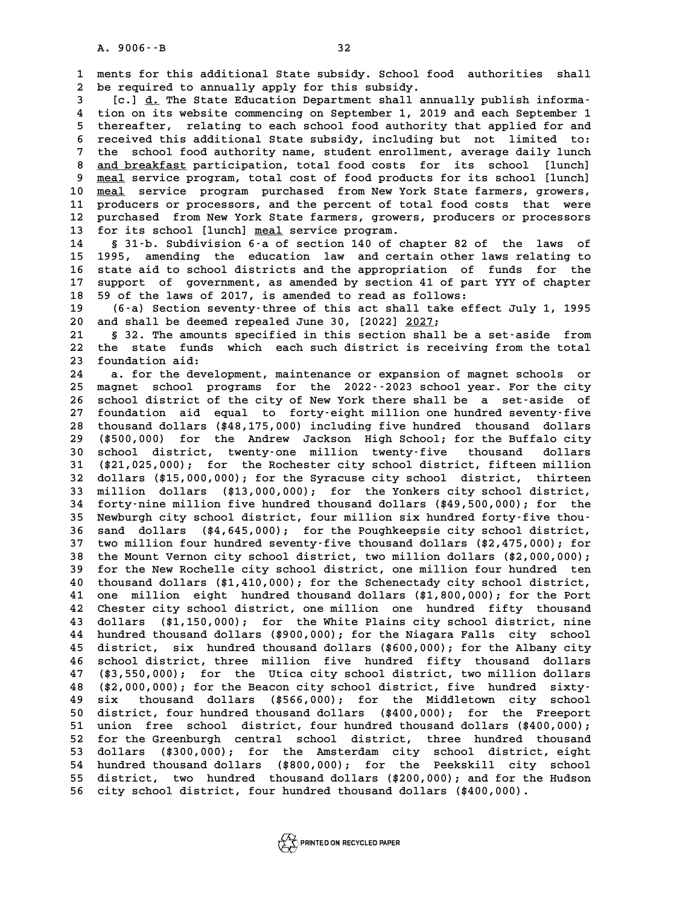**1 ments for this additional State subsidy. School food authorities shall** 1 ments for this additional State subsidy. School fo<br>2 be required to annually apply for this subsidy.<br>3 [c ] d. The State Education Department shall appro **3** I ments for this additional State subsidy. School food authorities shall<br>2 be required to annually apply for this subsidy.<br>3 [c.] <u>d.</u> The State Education Department shall annually publish informa-<br>4 tion on its vehsit

**4 tion of the community of the subsidy.**<br> **4 tion on its website commencing on September 1, 2019 and each September 1**<br> **4 tion on its website commencing on September 1, 2019 and each September 1**<br> **5 thereafter** relating **5 thereafter, relating to each school food authority that applied for and** 4 tion on its website commencing on September 1, 2019 and each September 1<br>5 thereafter, relating to each school food authority that applied for and<br>6 received this additional State subsidy, including but not limited to:<br><sup></sup> 5 the reafter, relating to each school food authority that applied for and<br>6 received this additional State subsidy, including but not limited to:<br>7 the school food authority name, student enrollment, average daily lunch<br>8 **8** received this additional State subsidy, including but not limited to:<br> **8** and breakfast participation, total food costs for its school [lunch]<br> **and breakfast participation**, total food costs for its school [lunch] the school food authority name, student enrollment, average daily lunch<br>
8 <u>and breakfast</u> participation, total food costs for its school [lunch]<br>
9 meal service program, total cost of food products for its school [lunch]<br> 8 <u>and breakfast</u> participation, total food costs for its school [lunch]<br>
9 <u>meal</u> service program, total cost of food products for its school [lunch]<br>
10 <u>meal</u> service program purchased from New York State farmers, growe 9 **meal service program, total cost of food products for its school [lunch]**<br>10 <u>meal</u> service program purchased from New York State farmers, growers,<br>11 producers or processors, and the percent of total food costs that we 10 **meal** service program purchased from New York State farmers, growers,<br>11 producers or processors, and the percent of total food costs that were<br>12 purchased from New York State farmers, growers, producers or processors 11 producers or processors, and the percent of tot.<br>12 purchased from New York State farmers, growers<br>13 for its school [lunch] <u>meal</u> service program. **12 purchased from New York State farmers, growers, producers or processors**<br> **13 for its school [lunch]** <u>meal</u> service program.<br> **14** § 31-b. Subdivision 6-a of section 140 of chapter 82 of the laws of<br> **15 1995** appeali

13 for its school [lunch] <u>meal</u> service program.<br>14 § 31-b. Subdivision 6-a of section 140 of chapter 82 of the laws of<br>15 1995, amending the education law and certain other laws relating to<br>16 state aid to school distric 14 s 31-b. Subdivision 6-a of section 140 of chapter 82 of the laws of<br>15 1995, amending the education law and certain other laws relating to<br>16 state aid to school districts and the appropriation of funds for the<br>17 suppo 15 1995, amending the education law and certain other laws relating to<br>16 state aid to school districts and the appropriation of funds for the<br>17 support of government, as amended by section 41 of part YYY of chapter<br>18 50 16 state aid to school districts and the appropriation of<br>17 support of government, as amended by section 41 of part<br>18 59 of the laws of 2017, is amended to read as follows:<br>19 (f.g) Section seventy, three of this ast sha 17 support of government, as amended by section 41 of part YYY of chapter 18 59 of the laws of 2017, is amended to read as follows:<br>
(6-a) Section seventy-three of this act shall take effect July 1, 1995<br>
20 and shall be d

59 of the laws of 2017, is amended to read as follows:<br>
19 (6-a) Section seventy-three of this act shall take effect July 1, 1995<br>
20 and shall be deemed repealed June 30, [2022] 2027;<br>
21 § 32. The amounts specified in th **21 (6-a) Section seventy-three of this act shall take effect July 1, 1995**<br> **20 and shall be deemed repealed June 30, [2022] <u>2027</u>;<br>
<b>21** § 32. The amounts specified in this section shall be a set-aside from<br> **22** the st

20 and shall be deemed repealed June 30, [2022] 2027;<br>21 § 32. The amounts specified in this section shall be a set-aside from<br>22 the state funds which each such district is receiving from the total<br><sup>23</sup> foundation aid: 21 § 32. The amount<br>22 the state funds<br>23 foundation aid:<br><sup>24</sup> a for the dovel 22 the state funds which each such district is receiving from the total<br>23 foundation aid:<br>24 a. for the development, maintenance or expansion of magnet schools or<br>25 magnet school programs for the 2022-2023 school wear Fo

23 foundation aid:<br>24 a. for the development, maintenance or expansion of magnet schools or<br>25 magnet school programs for the 2022--2023 school year. For the city<br>26 school district of the sity of Nov York there shall be a 24 a. for the development, maintenance or expansion of magnet schools or<br>25 magnet school programs for the 2022--2023 school year. For the city<br>26 school district of the city of New York there shall be a set-aside of<br>27 fo 25 magnet school programs for the 2022--2023 school year. For the city<br>26 school district of the city of New York there shall be a set-aside of<br>27 foundation aid equal to forty-eight million one hundred seventy-five<br>thousa 26 school district of the city of New York there shall be a set-aside of foundation aid equal to forty-eight million one hundred seventy-five thousand dollars (\$48,175,000) including five hundred thousand dollars (\$500,000 27 foundation aid equal to forty-eight million one hundred seventy-five<br>28 thousand dollars (\$48,175,000) including five hundred thousand dollars<br>29 (\$500,000) for the Andrew Jackson High School; for the Buffalo city<br>20 sc 28 thousand dollars (\$48,175,000) including five hundred thousand dollars<br>29 (\$500,000) for the Andrew Jackson High School; for the Buffalo city<br>30 school district, twenty-one million twenty-five thousand dollars<br><sup>31</sup> (\$21 **31 (\$21,025,000); for the Rochester city school district, fifteen million** 30 school district, twenty-one million twenty-five thousand dollars<br>31 (\$21,025,000); for the Rochester city school district, fifteen million<br>32 dollars (\$15,000,000); for the Syracuse city school district, thirteen<br>33 mil **31 (\$21,025,000); for the Rochester city school district, fifteen million<br>32 dollars (\$15,000,000); for the Syracuse city school district, thirteen<br>33 million dollars (\$13,000,000); for the Yonkers city school district,<br>5 32 dollars (\$15,000,000); for the Syracuse city school district, thirteen**<br> **33 million dollars (\$13,000,000); for the Yonkers city school district,**<br> **34 forty-nine million five hundred thousand dollars (\$49,500,000); fo** 33 million dollars (\$13,000,000); for the Yonkers city school district,<br>34 forty-nine million five hundred thousand dollars (\$49,500,000); for the<br>35 Newburgh city school district, four million six hundred forty-five thou-34 forty-nine million five hundred thousand dollars (\$49,500,000); for the Newburgh city school district, four million six hundred forty-five thou-<br>36 sand dollars (\$4,645,000); for the Poughkeepsie city school district,<br>3 **35 Newburgh city school district, four million six hundred forty-five thou-**<br>**36 sand dollars (\$4,645,000); for the Poughkeepsie city school district,**<br>**37 two million four hundred seventy-five thousand dollars (\$2,475,00** 36 sand dollars (\$4,645,000); for the Poughkeepsie city school district,<br>37 two million four hundred seventy-five thousand dollars (\$2,475,000); for<br>38 the Mount Vernon city school district, two million dollars (\$2,000,000 **37 two million four hundred seventy-five thousand dollars (\$2,475,000); for**<br>**38 the Mount Vernon city school district, two million dollars (\$2,000,000);**<br>**39 for the New Rochelle city school district, one million four hu 40 the Mount Vernon city school district, two million dollars (\$2,000,000);**<br>**40 thousand dollars (\$1,410,000); for the Schenectady city school district,**<br>**41** one million eight hundred thousand dollars (\$1,800,000); for **40** for the New Rochelle city school district, one million four hundred ten thousand dollars (\$1,410,000); for the Schenectady city school district, 41 one million eight hundred thousand dollars (\$1,800,000); for the Port **40 thousand dollars (\$1,410,000); for the Schenectady city school district,<br>41 one million eight hundred thousand dollars (\$1,800,000); for the Port<br>42 Chester city school district, one million one hundred fifty thousand<br>** 41 one million eight hundred thousand dollars (\$1,800,000); for the Port<br>42 Chester city school district, one million one hundred fifty thousand<br>43 dollars (\$1,150,000); for the White Plains city school district, nine<br>44 h 42 Chester city school district, one million one hundred fifty thousand<br>43 dollars (\$1,150,000); for the White Plains city school district, nine<br>44 hundred thousand dollars (\$900,000); for the Niagara Falls city school<br>45 **43 dollars (\$1,150,000); for the White Plains city school district, nine<br>44 hundred thousand dollars (\$900,000); for the Niagara Falls city school**<br>45 district, six hundred thousand dollars (\$600,000); for the Albany city 44 hundred thousand dollars (\$900,000); for the Niagara Falls city school<br>45 district, six hundred thousand dollars (\$600,000); for the Albany city<br>46 school district, three million five hundred fifty thousand dollars<br>47 ( **45 district, six hundred thousand dollars (\$600,000); for the Albany city**<br>46 school district, three million five hundred fifty thousand dollars<br>47 (\$3,550,000); for the Utica city school district, two million dollars<br>(\$3 46 school district, three million five hundred fifty thousand dollars<br>47 (\$3,550,000); for the Utica city school district, two million dollars<br>48 (\$2,000,000); for the Beacon city school district, five hundred sixty-<br><sup>49</sup> **47 (\$3,550,000); for the Utica city school district, two million dollars (\$2,000,000); for the Beacon city school district, five hundred sixty-<br><b>49 six thousand dollars (\$566,000); for the Middletown city school**<br>50 distr 48 (\$2,000,000); for the Beacon city school district, five hundred sixty-<br>49 six thousand dollars (\$566,000); for the Middletown city school<br>50 district, four hundred thousand dollars (\$400,000); for the Freeport **51 union free school district, four hundred thousand dollars (\$400,000); for the Freeport**<br>
50 district, four hundred thousand dollars (\$400,000); for the Freeport<br>
51 union free school district, four hundred thousand dol 50 district, four hundred thousand dollars (\$400,000); for the Freeport<br>51 union free school district, four hundred thousand dollars (\$400,000);<br>52 for the Greenburgh central school district, three hundred thousand<br>53 doll 51 union free school district, four hundred thousand dollars (\$400,000);<br>52 for the Greenburgh central school district, three hundred thousand<br>53 dollars (\$300,000); for the Amsterdam city school district, eight<br>54 hundred **52 for the Greenburgh central school district, three hundred thousand**<br> **53 dollars (\$300,000); for the Amsterdam city school district, eight<br>
hundred thousand dollars (\$800,000); for the Peekskill city school<br>
<b>55 distri 53 dollars (\$300,000); for the Amsterdam city school district, eight<br>54 hundred thousand dollars (\$800,000); for the Peekskill city school<br>55 district, two hundred thousand dollars (\$200,000); and for the Hudson<br>56 dity s** 54 hundred thousand dollars (\$800,000); for the Peekskill cit<br>55 district, two hundred thousand dollars (\$200,000); and for t<br>56 city school district, four hundred thousand dollars (\$400,000).

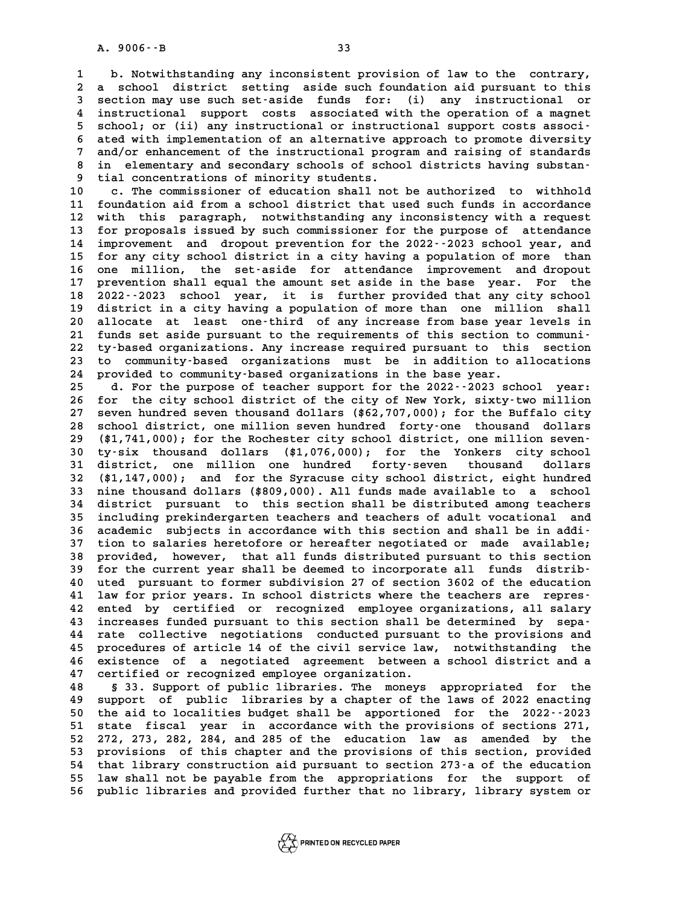**1 b. Notwithstanding any inconsistent provision of law to the contrary, 2** b. Notwithstanding any inconsistent provision of law to the contrary,<br>2 a school district setting aside such foundation aid pursuant to this<br>3 section may use such setiaside funds, for, (i) any instructional or **3 section may inconsistent provision of law to the contrary,**<br>**3 section may use such set-aside funds for:** (i) any instructional or<br>**4 instructional support costs associated with the operation of a magnet** 2 a school district setting aside such foundation aid pursuant to this<br>3 section may use such set-aside funds for: (i) any instructional or<br>4 instructional support costs associated with the operation of a magnet<br>5 school: 3 section may use such set-aside funds for: (i) any instructional or<br>
4 instructional support costs associated with the operation of a magnet<br>
5 school; or (ii) any instructional or instructional support costs associ-<br>
<sup>5</sup> 4 instructional support costs associated with the operation of a magnet<br>5 school; or (ii) any instructional or instructional support costs associ-<br>6 ated with implementation of an alternative approach to promote diversity<br> 5 school; or (ii) any instructional or instructional support costs associ-<br>6 ated with implementation of an alternative approach to promote diversity<br>7 and/or enhancement of the instructional program and raising of standar 8 ated with implementation of an alternative approach to promote diversity<br>
7 and/or enhancement of the instructional program and raising of standards<br>
<sup>8</sup> in elementary and secondary schools of school districts having sub 9 and/or enhancement of the instructional prog<br>8 in elementary and secondary schools of schools<br>9 tial concentrations of minority students. 10 **10 c. The commissioner of education shall not be authorized to withhold**<br>10 c. The commissioner of education shall not be authorized to withhold<br>11 foundation aid from a school district that used such funds in accordan

**11 foundation aid from a school district that used such funds in accordance** 10 c. The commissioner of education shall not be authorized to withhold<br>11 foundation aid from a school district that used such funds in accordance<br>12 with this paragraph, notwithstanding any inconsistency with a request<br>1 11 foundation aid from a school district that used such funds in accordance<br>12 with this paragraph, notwithstanding any inconsistency with a request<br>13 for proposals issued by such commissioner for the purpose of attendanc 12 with this paragraph, notwithstanding any inconsistency with a request<br>13 for proposals issued by such commissioner for the purpose of attendance<br>14 improvement and dropout prevention for the 2022--2023 school year, and<br> 13 for proposals issued by such commissioner for the purpose of attendance<br>14 improvement and dropout prevention for the 2022--2023 school year, and<br>15 for any city school district in a city having a population of more tha 14 improvement and dropout prevention for the 2022--2023 school year, and<br>15 for any city school district in a city having a population of more than<br>16 one million, the set-aside for attendance improvement and dropout<br>17 p 15 for any city school district in a city having a population of more than<br>16 one million, the set-aside for attendance improvement and dropout<br>17 prevention shall equal the amount set aside in the base year. For the<br>18 20 16 one million, the set-aside for attendance improvement and dropout<br>17 prevention shall equal the amount set aside in the base year. For the<br>18 2022--2023 school year, it is further provided that any city school<br>district 17 prevention shall equal the amount set aside in the base year. For the<br>18 2022--2023 school year, it is further provided that any city school<br>19 district in a city having a population of more than one million shall<br>20 al **2022--2023** school year, it is further provided that any city school<br>19 district in a city having a population of more than one million shall<br>20 allocate at least one-third of any increase from base year levels in<br>21 fund 19 district in a city having a population of more than one million shall<br>20 allocate at least one-third of any increase from base year levels in<br>21 funds set aside pursuant to the requirements of this section to communi-<br>2 20 allocate at least one-third of any increase from base year levels in<br>21 funds set aside pursuant to the requirements of this section to communi-<br>22 ty-based organizations. Any increase required pursuant to this section<br> 21 funds set aside pursuant to the requirements of this section to communi-<br>22 ty-based organizations. Any increase required pursuant to this section<br>23 to community-based organizations must be in addition to allocations<br>2 22 ty-based organizations. Any increase required pursuant to thi<br>23 to community-based organizations must be in addition to a<br>24 provided to community-based organizations in the base year.<br>25 december 2022-2023.50b

23 to community-based organizations must be in addition to allocations<br>24 provided to community-based organizations in the base year.<br>25 d. For the purpose of teacher support for the 2022--2023 school year:<br>26 for the city 24 provided to community-based organizations in the base year.<br>25 d. For the purpose of teacher support for the 2022--2023 school year:<br>26 for the city school district of the city of New York, sixty-two million<br>27 seven hu **25 d. For the purpose of teacher support for the 2022–2023 school year:**<br>26 for the city school district of the city of New York, sixty-two million<br>27 seven hundred seven thousand dollars (\$62,707,000); for the Buffalo ci **26 for the city school district of the city of New York, sixty-two million**<br>27 seven hundred seven thousand dollars (\$62,707,000); for the Buffalo city<br>28 school district, one million seven hundred forty-one thousand doll 27 seven hundred seven thousand dollars (\$62,707,000); for the Buffalo city<br>28 school district, one million seven hundred forty-one thousand dollars<br>29 (\$1,741,000); for the Rochester city school district, one million seve **30 school district, one million seven hundred forty-one thousand dollars**<br>**30 (\$1,741,000); for the Rochester city school district, one million seven-**<br>**30 ty-six thousand dollars (\$1,076,000); for the Yonkers city school 39** (\$1,741,000); for the Rochester city school district, one million seven-<br>30 ty-six thousand dollars (\$1,076,000); for the Yonkers city school<br>31 district, one million one hundred forty-seven thousand dollars<br>32 (\$1,14 **30 ty-six thousand dollars (\$1,076,000); for the Yonkers city school**<br>**31 district, one million one hundred forty-seven thousand dollars**<br>**32 (\$1,147,000); and for the Syracuse city school district, eight hundred**<br>**33 nin 31 district, one million one hundred forty-seven thousand dollars**<br>32 (\$1,147,000); and for the Syracuse city school district, eight hundred<br>33 nine thousand dollars (\$809,000). All funds made available to a school<br>34 dis **32 (\$1,147,000); and for the Syracuse city school district, eight hundred**<br>33 nine thousand dollars (\$809,000). All funds made available to a school<br>34 district pursuant to this section shall be distributed among teachers 33 nine thousand dollars (\$809,000). All funds made available to a school<br>34 district pursuant to this section shall be distributed among teachers<br>35 including prekindergarten teachers and teachers of adult vocational and<br> 34 district pursuant to this section shall be distributed among teachers<br>35 including prekindergarten teachers and teachers of adult vocational and<br>36 academic subjects in accordance with this section and shall be in addi-35 including prekindergarten teachers and teachers of adult vocational and<br>36 academic subjects in accordance with this section and shall be in addi-<br>37 tion to salaries heretofore or hereafter negotiated or made available **36 academic subjects in accordance with this section and shall be in addition to salaries heretofore or hereafter negotiated or made available;<br>38 provided, however, that all funds distributed pursuant to this section<br>50** 37 tion to salaries heretofore or hereafter negotiated or made available;<br>38 provided, however, that all funds distributed pursuant to this section<br>39 for the current year shall be deemed to incorporate all funds distrib-<br> **40 uted pursuant to former subdivision 27 of section 3602 of the education** 39 for the current year shall be deemed to incorporate all funds distrib-<br>40 uted pursuant to former subdivision 27 of section 3602 of the education<br>41 law for prior years. In school districts where the teachers are repres 40 uted pursuant to former subdivision 27 of section 3602 of the education<br>41 law for prior years. In school districts where the teachers are repres-<br>42 ented by certified or recognized employee organizations, all salary<br><sup></sup> 41 law for prior years. In school districts where the teachers are repres-<br>42 ented by certified or recognized employee organizations, all salary<br>43 increases funded pursuant to this section shall be determined by sepa-<br><sup>4</sup> 43 increases funded pursuant to this section shall be determined by sepa-<br>44 rate collective negotiations conducted pursuant to the provisions and<br>45 procedures of article 14 of the civil service law, notwithstanding the 43 increases funded pursuant to this section shall be determined by sepa-<br>44 rate collective negotiations conducted pursuant to the provisions and<br>45 procedures of article 14 of the civil service law, notwithstanding the<br>4 44 rate collective negotiations conducted pursuant to the provisions and<br>45 procedures of article 14 of the civil service law, notwithstanding the<br>46 existence of a negotiated agreement between a school district and a<br>47 e 45 procedures of article 14 of the civil service law<br>46 existence of a negotiated agreement between<br>47 certified or recognized employee organization.<br>48 5.23 Support of public libraries mba procus **46 existence of a negotiated agreement between a school district and a**<br>47 certified or recognized employee organization.<br>48 § 33. Support of public libraries. The moneys appropriated for the<br>49 support of public librarie

**47 certified or recognized employee organization.**<br>**48 § 33. Support of public libraries. The moneys appropriated for the support of public libraries by a chapter of the laws of 2022 enacting<br><b>50. the aid to localities by 50 the aid to localities budget shall be apportioned for the 2022--2023 50** support of public libraries by a chapter of the laws of 2022 enacting<br>50 the aid to localities budget shall be apportioned for the 2022--2023<br>51 state fiscal year in accordance with the provisions of sections 271,<br>52 50 the aid to localities budget shall be apportioned for the 2022--2023<br>51 state fiscal year in accordance with the provisions of sections 271,<br>52 272, 273, 282, 284, and 285 of the education law as amended by the<br>53 provi 51 state fiscal year in accordance with the provisions of sections 271,<br>52 272, 273, 282, 284, and 285 of the education law as amended by the<br>53 provisions of this chapter and the provisions of this section, provided<br>54 th 52 272, 273, 282, 284, and 285 of the education law as amended by the<br>53 provisions of this chapter and the provisions of this section, provided<br>54 that library construction aid pursuant to section 273-a of the education<br>5 53 provisions of this chapter and the provisions of this section, provided<br>54 that library construction aid pursuant to section 273 a of the education<br>55 law shall not be payable from the appropriations for the support of<br> 54 that library construction aid pursuant to section 273<sup>-</sup>a of the education<br>55 law shall not be payable from the appropriations for the support of<br>56 public libraries and provided further that no library, library system

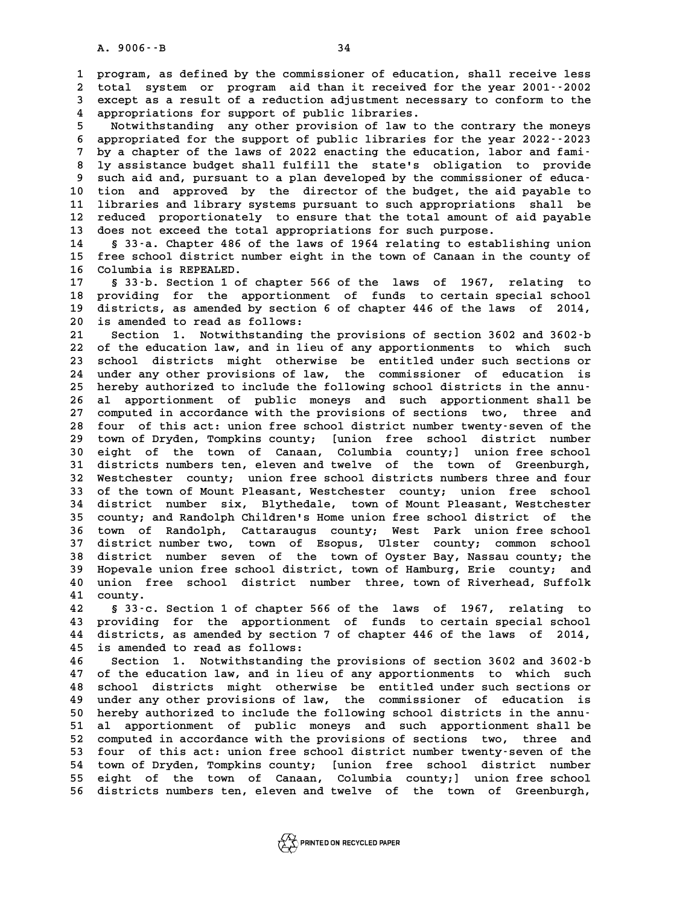**1 program, as defined by the commissioner of education, shall receive less 2** program, as defined by the commissioner of education, shall receive less<br>2 total system or program aid than it received for the year 2001--2002<br>3 except as a result of a reduction adjustment pecessary to conform to the **3** program, as defined by the commissioner of education, shall receive less<br>2 total system or program aid than it received for the year 2001--2002<br>3 except as a result of a reduction adjustment necessary to conform to the 2 total system or program aid than it received for support of a reduction adjustment neces<br>4 appropriations for support of public libraries.<br><sup>5</sup> Moturithation in a public provision of law to the **5** except as a result of a reduction adjustment necessary to conform to the<br>4 appropriations for support of public libraries.<br>5 Notwithstanding any other provision of law to the contrary the moneys<br>5 contrary integration

**6 appropriations for support of public libraries.<br>
5 Notwithstanding any other provision of law to the contrary the moneys<br>
6 appropriated for the support of public libraries for the year 2022--2023<br>
Thus chapter of the l 7 by a chapter of the support of public libraries for the year 2022--2023**<br> **7 by a chapter of the laws of 2022 enacting the education, labor and fami-**<br>
<sup>2</sup> by a chapter of the laws of 2022 enacting the education, labor 8 appropriated for the support of public libraries for the year 2022--2023<br>
7 by a chapter of the laws of 2022 enacting the education, labor and fami-<br>
8 ly assistance budget shall fulfill the state's obligation to provide 9 by a chapter of the laws of 2022 enacting the education, labor and fami-<br>
8 ly assistance budget shall fulfill the state's obligation to provide<br>
9 such aid and, pursuant to a plan developed by the commissioner of educa-19 assistance budget shall fulfill the state's obligation to provide<br>
9 such aid and, pursuant to a plan developed by the commissioner of educa-<br>
10 tion and approved by the director of the budget, the aid payable to<br>
11 l 9 such aid and, pursuant to a plan developed by the commissioner of educa-<br>10 tion and approved by the director of the budget, the aid payable to<br>11 libraries and library systems pursuant to such appropriations shall be<br>12 10 tion and approved by the director of the budget, the aid payable to<br>11 libraries and library systems pursuant to such appropriations shall be<br>12 reduced proportionately to ensure that the total amount of aid payable<br>13 11 libraries and library systems pursuant to such appropriations<br>12 reduced proportionately to ensure that the total amount of<br>13 does not exceed the total appropriations for such purpose.<br>14 5 33:2 Chapter 486 of the laws 12 reduced proportionately to ensure that the total amount of aid payable<br>13 does not exceed the total appropriations for such purpose.<br>14 § 33-a. Chapter 486 of the laws of 1964 relating to establishing union<br>15 free scho

**13 does not exceed the total appropriations for such purpose.**<br>14 § 33-a. Chapter 486 of the laws of 1964 relating to establishing union<br>15 free school district number eight in the town of Canaan in the county of<br>16 Colum 14 § 33-a. Chapter 486 of<br>15 free school district num<br>16 Columbia is REPEALED.<br>17 § 33-b Sostion 1 of C **15 free school district number eight in the town of Canaan in the county of Columbia is REPEALED.**<br>17 § 33-b. Section 1 of chapter 566 of the laws of 1967, relating to<br>18 providing for the apportionment of funds to sertii

16 Columbia is REPEALED.<br>17 § 33-b. Section 1 of chapter 566 of the laws of 1967, relating to<br>18 providing for the apportionment of funds to certain special school<br>19 districts as apported by Section 6 of shapter 446 of th 17 § 33-b. Section 1 of chapter 566 of the laws of 1967, relating to<br>18 providing for the apportionment of funds to certain special school<br>19 districts, as amended by section 6 of chapter 446 of the laws of 2014,<br>20 is ame 18 providing for the apportionmen<br>19 districts, as amended by section<br>20 is amended to read as follows:<br><sup>21</sup> section 1 Motwithstanding th 19 districts, as amended by section 6 of chapter 446 of the laws of 2014,<br>20 is amended to read as follows:<br>21 Section 1. Notwithstanding the provisions of section 3602 and 3602<sup>-</sup>b

**22 of the education law, and in lieu of any apportionments to which such 21 Section 1. Notwithstanding the provisions of section 3602 and 3602 b**<br>**22 of the education law, and in lieu of any apportionments to which such sections or**<br>**23 school districts might otherwise be entitled under such s** 22 of the education law, and in lieu of any apportionments to which such<br>23 school districts might otherwise be entitled under such sections or<br>24 under any other provisions of law, the commissioner of education is<br>25 bero 23 school districts might otherwise be entitled under such sections or<br>24 under any other provisions of law, the commissioner of education is<br>25 hereby authorized to include the following school districts in the annu-<br>26 a 24 under any other provisions of law, the commissioner of education is<br>25 hereby authorized to include the following school districts in the annu-<br>26 al apportionment of public moneys and such apportionment shall be<br>27 com 25 hereby authorized to include the following school districts in the annu-<br>26 al apportionment of public moneys and such apportionment shall be<br>27 computed in accordance with the provisions of sections two, three and<br>28 f 26 al apportionment of public moneys and such apportionment shall be<br>27 computed in accordance with the provisions of sections two, three and<br>28 four of this act: union free school district number twenty-seven of the<br>29 to 27 computed in accordance with the provisions of sections two, three and<br>28 four of this act: union free school district number twenty-seven of the<br>29 town of Dryden, Tompkins county; [union free school district number<br>20 **30 eight of the town of Canaan, Columbia county;] union free school 31 districts numbers ten, eleven and twelve of the town of Greenburgh,** 30 eight of the town of Canaan, Columbia county; union free school<br>31 districts numbers ten, eleven and twelve of the town of Greenburgh,<br>32 Westchester county; union free school districts numbers three and four 31 districts numbers ten, eleven and twelve of the town of Greenburgh,<br>32 Westchester county; union free school districts numbers three and four<br>33 of the town of Mount Pleasant, Westchester county; union free school<br>34 di **32 Westchester county; union free school districts numbers three and four<br>33 of the town of Mount Pleasant, Westchester county; union free school<br>34 district number six, Blythedale, town of Mount Pleasant, Westchester**<br>25 33 of the town of Mount Pleasant, Westchester county; union free school<br>34 district number six, Blythedale, town of Mount Pleasant, Westchester<br>35 county; and Randolph Children's Home union free school district of the **34 district number six, Blythedale, town of Mount Pleasant, Westchester**<br>35 county; and Randolph Children's Home union free school district of the<br>36 town of Randolph, Cattaraugus county; West Park union free school<br>37 di 35 county; and Randolph Children's Home union free school district of the<br>36 town of Randolph, Cattaraugus county; West Park union free school<br>37 district number two, town of Esopus, Ulster county; common school<br>38 distric **36 town of Randolph, Cattaraugus county; West Park union free school**<br>**37 district number two, town of Esopus, Ulster county; common school**<br>**38 district number seven of the town of Oyster Bay, Nassau county; the**<br>**29 Hon** 37 district number two, town of Esopus, Ulster county; common school<br>38 district number seven of the town of Oyster Bay, Nassau county; the<br>39 Hopevale union free school district, town of Hamburg, Erie county; and<br><sup>40</sup> uni **40 district number seven of the town of Oyster Bay, Nassau county; the**<br>**40 union free school district, town of Hamburg, Erie county; and<br>40 union free school district number three, town of Riverhead, Suffolk** By Hopevale union free school district, town of Hamburg, Erie county; and<br>40 union free school district number three, town of Riverhead, Suffolk<br>41 county.<br>**8** 33 - c. Section 1 of chapter 566 of the laws of 1967, relating

**42 § 33-c. Section 1 of chapter 566 of the laws of 1967, relating to 41 county.**<br>42 § 33-c. Section 1 of chapter 566 of the laws of 1967, relating to<br>43 providing for the apportionment of funds to certain special school<br>44 districts 25 propoed by section 7 of shapter 446 of the laws of 201 **42** § 33-c. Section 1 of chapter 566 of the laws of 1967, relating to<br>43 providing for the apportionment of funds to certain special school<br>44 districts, as amended by section 7 of chapter 446 of the laws of 2014,<br>45 is a 43 providing for the apportionmen<br>44 districts, as amended by section<br>45 is amended to read as follows:<br>46 Section 1 Motuithstanding th districts, as amended by section 7 of chapter 446 of the laws of 2014,<br>45 is amended to read as follows:<br>46 Section 1. Notwithstanding the provisions of section 3602 and 3602 b<br>47 of the education law, and in lieu of any a

**45 is amended to read as follows:**<br>**46 Section 1. Notwithstanding the provisions of section 3602 and 3602 b**<br>**47 of the education law, and in lieu of any apportionments to which such**<br>**48 Second districts wight otherwise 46 Section 1. Notwithstanding the provisions of section 3602 and 3602-b**<br>**47 of the education law, and in lieu of any apportionments to which such sections or**<br>**48 school districts might otherwise be entitled under such s** 47 of the education law, and in lieu of any apportionments to which such<br>48 school districts might otherwise be entitled under such sections or<br>49 under any other provisions of law, the commissioner of education is<br>50 bero **50 hereby authorized to include the following school districts in the annu-**49 under any other provisions of law, the commissioner of education is<br>50 hereby authorized to include the following school districts in the annu-<br>51 al apportionment of public moneys and such apportionment shall be<br>52 com **50 hereby authorized to include the following school districts in the annu-**<br> **51 al apportionment of public moneys and such apportionment shall be**<br> **52 computed in accordance with the provisions of sections two, three a** 51 al apportionment of public moneys and such apportionment shall be<br>52 computed in accordance with the provisions of sections two, three and<br>53 four of this act: union free school district number twenty-seven of the<br>54 to **54 town of Dryden, Tompkins county; [union free school district number** 53 four of this act: union free school district number twenty-seven of the<br>54 town of Dryden, Tompkins county; [union free school district number<br>55 eight of the town of Canaan, Columbia county;] union free school<br>56 distr 54 town of Dryden, Tompkins county; [union free school district number<br>55 eight of the town of Canaan, Columbia county;] union free school<br>56 districts numbers ten, eleven and twelve of the town of Greenburgh,

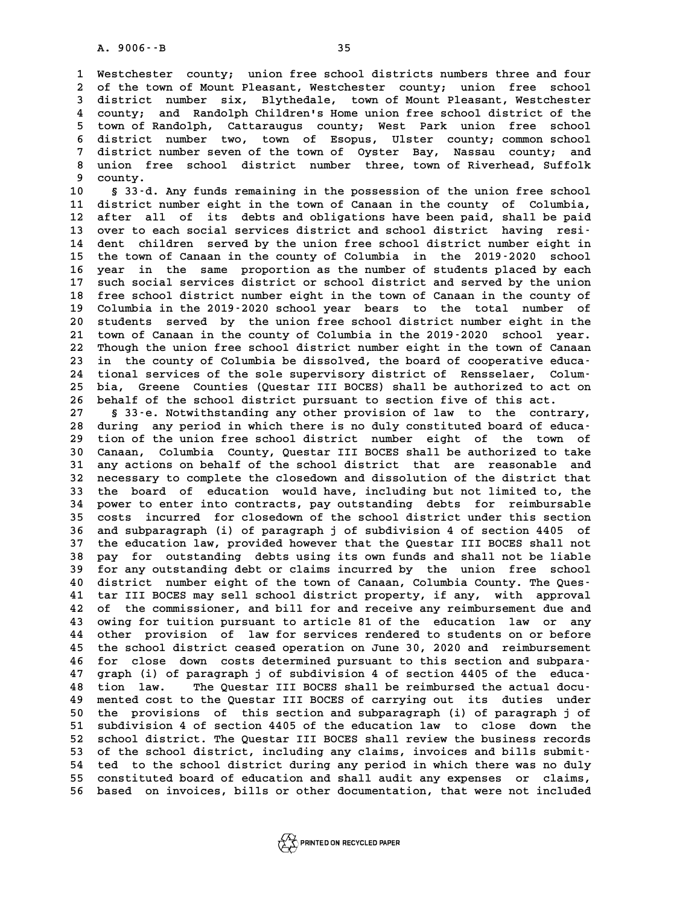**1 Westchester county; union free school districts numbers three and four 2** Westchester county; union free school districts numbers three and four<br>2 of the town of Mount Pleasant, Westchester county; union free school<br>3 district number six, Blythedale, town of Mount Pleasant Westchester 1 Westchester county; union free school districts numbers three and four<br>2 of the town of Mount Pleasant, Westchester county; union free school<br>3 district number six, Blythedale, town of Mount Pleasant, Westchester<br>4 count 2 of the town of Mount Pleasant, Westchester county; union free school<br>3 district number six, Blythedale, town of Mount Pleasant, Westchester<br>4 county; and Randolph Children's Home union free school district of the<br>5 town 3 district number six, Blythedale, town of Mount Pleasant, Westchester<br>4 county; and Randolph Children's Home union free school district of the<br>5 town of Randolph, Cattaraugus county; West Park union free school<br>6 district **6 district of the town of Randolph Children's Home union free school district of the town of Randolph, Cattaraugus county; West Park union free school**<br>**6 district number two, town of Esopus, Ulster county; common school** 5 town of Randolph, Cattaraugus county; West Park union free school<br>6 district number two, town of Esopus, Ulster county; common school<br>7 district number seven of the town of Oyster Bay, Nassau county; and<br><sup>8</sup> union free s 6 district number two, town of Esopus, Ulster county; common school<br>7 district number seven of the town of Oyster Bay, Nassau county; and<br>8 union free school district number three, town of Riverhead, Suffolk<br>8 county: 9 district n<br>8 union fre<br>9 county. 8 union free school district number three, town of Riverhead, Suffolk<br>
9 county.<br>
10 § 33-d. Any funds remaining in the possession of the union free school<br>
11 district number eight in the town of Canaan in the county of C

**10 county.**<br>
10 § 33-d. Any funds remaining in the possession of the union free school<br>
11 district number eight in the town of Canaan in the county of Columbia,<br>
12 after all of its debts and ebligations baye been paid s **10** § 33-d. Any funds remaining in the possession of the union free school<br>
11 district number eight in the town of Canaan in the county of Columbia,<br>
12 after all of its debts and obligations have been paid, shall be pai 11 district number eight in the town of Canaan in the county of Columbia,<br>
12 after all of its debts and obligations have been paid, shall be paid<br>
13 over to each social services district and school district having resi-<br> 12 after all of its debts and obligations have been paid, shall be paid<br>13 over to each social services district and school district having resi-<br>14 dent children served by the union free school district number eight in<br>15 13 over to each social services district and school district having resi-<br>14 dent children served by the union free school district number eight in<br>15 the town of Canaan in the county of Columbia in the 2019-2020 school<br>16 14 dent children served by the union free school district number eight in<br>15 the town of Canaan in the county of Columbia in the 2019-2020 school<br>16 year in the same proportion as the number of students placed by each<br>17 s 15 the town of Canaan in the county of Columbia in the 2019-2020 school<br>16 year in the same proportion as the number of students placed by each<br>17 such social services district or school district and served by the union<br>18 16 year in the same proportion as the number of students placed by each<br>17 such social services district or school district and served by the union<br>18 free school district number eight in the town of Canaan in the county o I7 such social services district or school district and served by the union<br>18 free school district number eight in the town of Canaan in the county of<br>19 Columbia in the 2019-2020 school year bears to the total number of<br> 18 free school district number eight in the town of Canaan in the county of<br>19 Columbia in the 2019-2020 school year bears to the total number of<br>20 students served by the union free school district number eight in the<br>21 19 Columbia in the 2019-2020 school year bears to the total number of 20 students served by the union free school district number eight in the 21 town of Canaan in the county of Columbia in the 2019-2020 school year. 20 students served by the union free school district number eight in the 2019 town of Canaan in the county of Columbia in the 2019 - 2020 school year.<br>22 Though the union free school district number eight in the town of Ca 21 town of Canaan in the county of Columbia in the 2019-2020 school year.<br>22 Though the union free school district number eight in the town of Canaan<br>23 in the county of Columbia be dissolved, the board of cooperative educ 22 Though the union free school district number eight in the town of Canaan<br>
23 in the county of Columbia be dissolved, the board of cooperative educa-<br>
24 tional services of the sole supervisory district of Rensselaer, Co 23 in the county of Columbia be dissolved, the board of cooperative educa-<br>24 tional services of the sole supervisory district of Rensselaer, Colum-<br>25 bia, Greene Counties (Questar III BOCES) shall be authorized to act on 24 tional services of the sole supervisory district of Rensselaer, Column 25 bia, Greene Counties (Questar III BOCES) shall be authorized to act.<br>26 behalf of the school district pursuant to section five of this act.<br>27 5 **25 bia, Greene Counties (Questar III BOCES) shall be authorized to act on 26 behalf of the school district pursuant to section five of this act.<br>27 § 33-e. Notwithstanding any other provision of law to the contrary,<br>28 du** 

**26 behalf of the school district pursuant to section five of this act.**<br>
27 § 33-e. Notwithstanding any other provision of law to the contrary,<br>
28 during any period in which there is no duly constituted board of educa-<br> **27** § 33-e. Notwithstanding any other provision of law to the contrary,<br>28 during any period in which there is no duly constituted board of educa-<br>29 tion of the union free school district number eight of the town of 28 during any period in which there is no duly constituted board of educa-<br>29 tion of the union free school district number eight of the town of<br>30 Canaan, Columbia County, Questar III BOCES shall be authorized to take<br>31 29 tion of the union free school district number eight of the town of<br>30 Canaan, Columbia County, Questar III BOCES shall be authorized to take<br>31 any actions on behalf of the school district that are reasonable and<br>32 acc 30 Canaan, Columbia County, Questar III BOCES shall be authorized to take<br>31 any actions on behalf of the school district that are reasonable and<br>32 necessary to complete the closedown and dissolution of the district that<br> 31 any actions on behalf of the school district that are reasonable and<br>32 necessary to complete the closedown and dissolution of the district that<br>33 the board of education would have, including but not limited to, the **34 power to enter into contracts, pay outstanding debts for reimbursable** 33 the board of education would have, including but not limited to, the<br>34 power to enter into contracts, pay outstanding debts for reimbursable<br>35 costs incurred for closedown of the school district under this section<br>26 **34 power to enter into contracts, pay outstanding debts for reimbursable**<br>35 costs incurred for closedown of the school district under this section<br>36 and subparagraph (i) of paragraph j of subdivision 4 of section 4405 o **35** costs incurred for closedown of the school district under this section<br>36 and subparagraph (i) of paragraph j of subdivision 4 of section 4405 of<br>37 the education law, provided however that the Questar III BOCES shall **36 and subparagraph (i) of paragraph j of subdivision 4 of section 4405 of the education law, provided however that the Questar III BOCES shall not pay for outstanding debts using its own funds and shall not be liable**<br>**3** 37 the education law, provided however that the Questar III BOCES shall not<br>38 pay for outstanding debts using its own funds and shall not be liable<br>39 for any outstanding debt or claims incurred by the union free school<br>4 90 pay for outstanding debts using its own funds and shall not be liable<br>
40 district number eight of the town of Canaan, Columbia County. The Ques-<br>
<sup>41</sup> tar III BOCES may sell school district property if any with approva **41 target is a set of the school** district number eight of the town of Canaan, Columbia County. The Ques-<br>41 tar III BOCES may sell school district property, if any, with approval<br>42 of the commissioner, and hill for and **40 district number eight of the town of Canaan, Columbia County. The Ques-**<br>**41 tar III BOCES may sell school district property, if any, with approval**<br>**42 of the commissioner, and bill for and receive any reimbursement d 41 tar III BOCES may sell school district property, if any, with approval<br>42 of the commissioner, and bill for and receive any reimbursement due and<br>43 owing for tuition pursuant to article 81 of the education law or any<br>** 42 of the commissioner, and bill for and receive any reimbursement due and<br>43 owing for tuition pursuant to article 81 of the education law or any<br>44 other provision of law for services rendered to students on or before<br><sup>4</sup> 43 owing for tuition pursuant to article 81 of the education law or any<br>44 other provision of law for services rendered to students on or before<br>45 the school district ceased operation on June 30, 2020 and reimbursement<br>46 44 other provision of law for services rendered to students on or before<br>45 the school district ceased operation on June 30, 2020 and reimbursement<br>46 for close down costs determined pursuant to this section and subpara-<br><sup></sup> 45 the school district ceased operation on June 30, 2020 and reimbursement<br>46 for close down costs determined pursuant to this section and subpara-<br>47 graph (i) of paragraph j of subdivision 4 of section 4405 of the educa-46 for close down costs determined pursuant to this section and subpara-<br>47 graph (i) of paragraph j of subdivision 4 of section 4405 of the educa-<br>48 tion law. The Questar III BOCES shall be reimbursed the actual docu-<br><sup>4</sup> **47 graph (i) of paragraph j of subdivision 4 of section 4405 of the educa-**<br>**48 tion law.** The Questar III BOCES shall be reimbursed the actual docu-<br>**49 mented cost to the Questar III BOCES of carrying out its duties und 50 tion law.** The Questar III BOCES shall be reimbursed the actual documented cost to the Questar III BOCES of carrying out its duties under<br>50 the provisions of this section and subparagraph (i) of paragraph j of<br>51 subd **50** mented cost to the Questar III BOCES of carrying out its duties under<br>50 the provisions of this section and subparagraph (i) of paragraph j of<br>51 subdivision 4 of section 4405 of the education law to close down the<br>52 50 the provisions of this section and subparagraph (i) of paragraph j of<br>51 subdivision 4 of section 4405 of the education law to close down the<br>52 school district. The Questar III BOCES shall review the business records<br>5 51 subdivision 4 of section 4405 of the education law to close down the<br>
52 school district. The Questar III BOCES shall review the business records<br>
53 of the school district, including any claims, invoices and bills subm 52 school district. The Questar III BOCES shall review the business records<br>53 of the school district, including any claims, invoices and bills submit-<br>54 ted to the school district during any period in which there was no 53 of the school district, including any claims, invoices and bills submit-<br>54 ted to the school district during any period in which there was no duly<br>55 constituted board of education and shall audit any expenses or claim **56 based on invoices, bills or other documentation, that were not included**

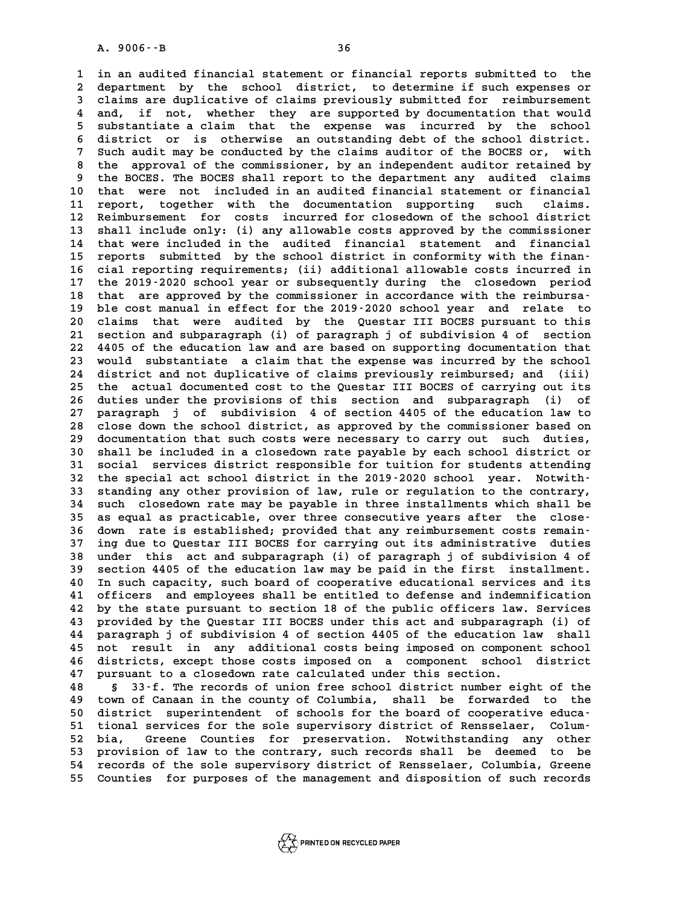**1 in an audited financial statement or financial reports submitted to the** 1 in an audited financial statement or financial reports submitted to the<br>2 department by the school district, to determine if such expenses or<br>3 claims are duplicative of claims previously submitted for reimbursement 1 in an audited financial statement or financial reports submitted to the<br>2 department by the school district, to determine if such expenses or<br>3 claims are duplicative of claims previously submitted for reimbursement<br><sup>4</sup> department by the school district, to determine if such expenses or<br>3 claims are duplicative of claims previously submitted for reimbursement<br>4 and, if not, whether they are supported by documentation that would<br>5 substant 3 claims are duplicative of claims previously submitted for reimbursement<br>4 and, if not, whether they are supported by documentation that would<br>5 substantiate a claim that the expense was incurred by the school 4 and, if not, whether they are supported by documentation that would<br>5 substantiate a claim that the expense was incurred by the school<br>6 district or is otherwise an outstanding debt of the school district.<br><sup>7</sup> Such audit 5 substantiate a claim that the expense was incurred by the school<br>6 district or is otherwise an outstanding debt of the school district.<br>7 Such audit may be conducted by the claims auditor of the BOCES or, with<br>the approx 8 district or is otherwise an outstanding debt of the school district.<br>
7 Such audit may be conducted by the claims auditor of the BOCES or, with<br>
8 the approval of the commissioner, by an independent auditor retained by<br> 9 Such audit may be conducted by the claims auditor of the BOCES or, with<br>
8 the approval of the commissioner, by an independent auditor retained by<br>
9 the BOCES. The BOCES shall report to the department any audited claims 10 the approval of the commissioner, by an independent auditor retained by<br>
10 that were not included in an audited financial statement or financial<br>
11 report together with the documentation supporting such glaims 9 the BOCES. The BOCES shall report to the department any audited claims<br>10 that were not included in an audited financial statement or financial<br>11 report, together with the documentation supporting such claims.<br><sup>12</sup> Poim 10 that were not included in an audited financial statement or financial<br>11 report, together with the documentation supporting such claims.<br>12 Reimbursement for costs incurred for closedown of the school district<br>13 Shall 11 report, together with the documentation supporting such claims.<br>12 Reimbursement for costs incurred for closedown of the school district<br>13 shall include only: (i) any allowable costs approved by the commissioner<br>14 tha 12 Reimbursement for costs incurred for closedown of the school district<br>13 shall include only: (i) any allowable costs approved by the commissioner<br>14 that were included in the audited financial statement and financial<br>15 13 shall include only: (i) any allowable costs approved by the commissioner<br>
14 that were included in the audited financial statement and financial<br>
15 reports submitted by the school district in conformity with the finan-15 reports submitted by the school district in conformity with the finan-<br>16 cial reporting requirements; (ii) additional allowable costs incurred in<br>17 the 2019-2020 school year or subsequently during the closedown period 15 reports submitted by the school district in conformity with the finan-<br>16 cial reporting requirements; (ii) additional allowable costs incurred in<br>17 the 2019-2020 school year or subsequently during the closedown period 16 cial reporting requirements; (ii) additional allowable costs incurred in<br>17 the 2019-2020 school year or subsequently during the closedown period<br>18 that are approved by the commissioner in accordance with the reimbursa 17 the 2019-2020 school year or subsequently during the closedown period<br>18 that are approved by the commissioner in accordance with the reimbursa-<br>19 ble cost manual in effect for the 2019-2020 school year and relate to<br>2 18 that are approved by the commissioner in accordance with the reimbursa-<br>19 ble cost manual in effect for the 2019-2020 school year and relate to<br>20 claims that were audited by the Questar III BOCES pursuant to this<br>21 s 19 ble cost manual in effect for the 2019-2020 school year and relate to<br>20 claims that were audited by the Questar III BOCES pursuant to this<br>21 section and subparagraph (i) of paragraph j of subdivision 4 of section<br>22 4 20 claims that were audited by the Questar III BOCES pursuant to this<br>21 section and subparagraph (i) of paragraph j of subdivision 4 of section<br>22 4405 of the education law and are based on supporting documentation that<br>2 21 section and subparagraph (i) of paragraph j of subdivision 4 of section<br>22 4405 of the education law and are based on supporting documentation that<br>23 would substantiate a claim that the expense was incurred by the scho 22 4405 of the education law and are based on supporting documentation that<br>23 would substantiate a claim that the expense was incurred by the school<br>24 district and not duplicative of claims previously reimbursed; and (ii 23 would substantiate a claim that the expense was incurred by the school<br>24 district and not duplicative of claims previously reimbursed; and (iii)<br>25 the actual documented cost to the Questar III BOCES of carrying out it 24 district and not duplicative of claims previously reimbursed; and (iii)<br>25 the actual documented cost to the Questar III BOCES of carrying out its<br>26 duties under the provisions of this section and subparagraph (i) of<br>2 25 the actual documented cost to the Questar III BOCES of carrying out its<br>26 duties under the provisions of this section and subparagraph (i) of<br>27 paragraph j of subdivision 4 of section 4405 of the education law to<br>28 a 26 duties under the provisions of this section and subparagraph (i) of<br>27 paragraph j of subdivision 4 of section 4405 of the education law to<br>28 close down the school district, as approved by the commissioner based on<br>29 27 paragraph j of subdivision 4 of section 4405 of the education law to<br>28 close down the school district, as approved by the commissioner based on<br>29 documentation that such costs were necessary to carry out such duties,<br> close down the school district, as approved by the commissioner based on<br>29 documentation that such costs were necessary to carry out such duties,<br>30 shall be included in a closedown rate payable by each school district or 30 documentation that such costs were necessary to carry out such duties,<br>30 shall be included in a closedown rate payable by each school district or<br>31 social services district responsible for tuition for students attendi 30 shall be included in a closedown rate payable by each school district or social services district responsible for tuition for students attending the special act school district in the 2019-2020 school year. Notwith-<br>
<sup>3</sup> 31 social services district responsible for tuition for students attending<br>32 the special act school district in the 2019-2020 school year. Notwith-<br>33 standing any other provision of law, rule or regulation to the contrar 33 standing any other provision of law, rule or regulation to the contrary,<br>34 such closedown rate may be payable in three installments which shall be<br>35 as equal as practicable, over three consecutive years after the clos 33 standing any other provision of law, rule or regulation to the contrary,<br>34 such closedown rate may be payable in three installments which shall be<br>35 as equal as practicable, over three consecutive years after the clos 34 such closedown rate may be payable in three installments which shall be<br>35 as equal as practicable, over three consecutive years after the close-<br>36 down rate is established; provided that any reimbursement costs remain **35 as equal as practicable, over three consecutive years after the close-**<br>**36 down rate is established; provided that any reimbursement costs remain-**<br>**37 ing due to Questar III BOCES for carrying out its administrative 36 down rate is established; provided that any reimbursement costs remain-**<br>**37 ing due to Questar III BOCES for carrying out its administrative duties**<br>**38 under this act and subparagraph (i) of paragraph j of subdivisio** 37 ing due to Questar III BOCES for carrying out its administrative duties<br>38 under this act and subparagraph (i) of paragraph j of subdivision 4 of<br>39 section 4405 of the education law may be paid in the first installment **40 In such capacity, such board of cooperative educational services and its** 39 section 4405 of the education law may be paid in the first installment.<br>40 In such capacity, such board of cooperative educational services and its<br>41 officers and employees shall be entitled to defense and indemnificat **40 In such capacity, such board of cooperative educational services and its**<br>**41 officers and employees shall be entitled to defense and indemnification**<br>**42 by the state pursuant to section 18 of the public officers law.** 41 officers and employees shall be entitled to defense and indemnification<br>42 by the state pursuant to section 18 of the public officers law. Services<br>43 provided by the Questar III BOCES under this act and subparagraph (i 43 provided by the Questar III BOCES under this act and subparagraph (i) of<br>44 paragraph j of subdivision 4 of section 4405 of the education law shall<br>45 not result in any additional costs being imposed on component school 43 provided by the Questar III BOCES under this act and subparagraph (i) of<br>44 paragraph j of subdivision 4 of section 4405 of the education law shall<br>45 not result in any additional costs being imposed on component school **44 paragraph j of subdivision 4 of section 4405 of the education law shall**<br>45 not result in any additional costs being imposed on component school<br>46 districts, except those costs imposed on a component school district<br>4 As not result in any additional costs being imposed on compon<br>46 districts, except those costs imposed on a component school<br>47 pursuant to a closedown rate calculated under this section.<br><sup>49</sup> and 2<sup>3</sup> a<sup>2</sup> a<sup>n</sup> be reserve districts, except those costs imposed on a component school district<br>47 pursuant to a closedown rate calculated under this section.<br>48 § 33-f. The records of union free school district number eight of the<br>49 town of Canaan

**49 town of Canaan in the county of Columbia, shall be forwarded to the 50 district superintendent of schools for the board of cooperative educa-**49 town of Canaan in the county of Columbia, shall be forwarded to the<br>50 district superintendent of schools for the board of cooperative educa-<br>51 tional services for the sole supervisory district of Rensselaer, Colum-50 district superintendent of schools for the board of cooperative educa-<br>51 tional services for the sole supervisory district of Rensselaer, Colum-<br>52 bia, Greene Counties for preservation. Notwithstanding any other<br>53 pr 51 tional services for the sole supervisory district of Rensselaer, Colum-<br>52 bia, Greene Counties for preservation. Notwithstanding any other<br>53 provision of law to the contrary, such records shall be deemed to be<br>54 reco 52 bia, Greene Counties for preservation. Notwithstanding any other<br>53 provision of law to the contrary, such records shall be deemed to be<br>54 records of the sole supervisory district of Rensselaer, Columbia, Greene **55 Counties for purposes of the management and disposition of such records**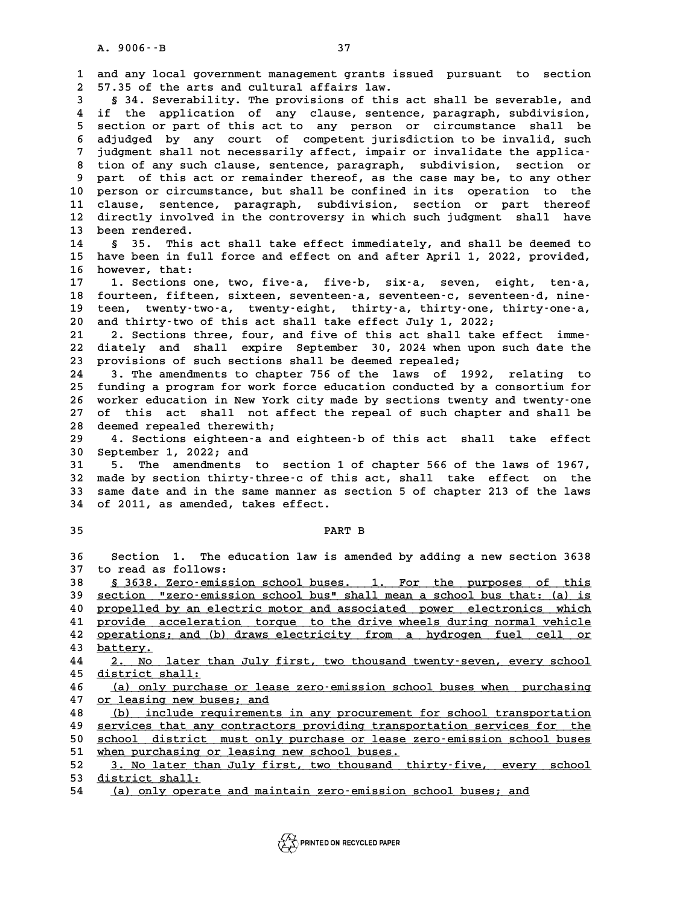**1 and any local government management grants issued pursuant to section 2** and any local government management grants iss<br>2 57.35 of the arts and cultural affairs law.<br>3 5 34 Severability, The provisions of this 3 **3 and any local government management grants issued pursuant to section<br>
<b>3 57.35 of the arts and cultural affairs law.**<br> **3 34. Severability. The provisions of this act shall be severable, and**<br> **1** if the application of 4 57.35 of the arts and cultural affairs law.<br>
4 if the application of any clause, sentence, paragraph, subdivision,<br>
4 if the application of any clause, sentence, paragraph, subdivision,<br>
5 section or part of this act to **5 34. Severability. The provisions of this act shall be severable, and<br>4 if the application of any clause, sentence, paragraph, subdivision,<br>5 section or part of this act to any person or circumstance shall be<br>6 section t** 4 if the application of any clause, sentence, paragraph, subdivision,<br>5 section or part of this act to any person or circumstance shall be<br>6 adjudged by any court of competent jurisdiction to be invalid, such<br><sup>7</sup> iudgmont 5 section or part of this act to any person or circumstance shall be<br>
6 adjudged by any court of competent jurisdiction to be invalid, such<br>
7 judgment shall not necessarily affect, impair or invalidate the applica-<br>
<sup>2</sup> i 8 adjudged by any court of competent jurisdiction to be invalid, such<br>7 judgment shall not necessarily affect, impair or invalidate the applica-<br>8 tion of any such clause, sentence, paragraph, subdivision, section or<br>9 par judgment shall not necessarily affect, impair or invalidate the applica-**10 person or circumstance, but shall be confined in its operation to the** 9 part of this act or remainder thereof, as the case may be, to any other<br>10 person or circumstance, but shall be confined in its operation to the<br>11 clause, sentence, paragraph, subdivision, section or part thereof<br><sup>12</sup> d 10 person or circumstance, but shall be confined in its operation to the<br>11 clause, sentence, paragraph, subdivision, section or part thereof<br>12 directly involved in the controversy in which such judgment shall have<br>13 bee 11 clause, sentence<br>12 directly involved<br>13 been rendered.<br>14 5 35 mbis 20 12 directly involved in the controversy in which such judgment shall have<br>13 been rendered.<br>14 § 35. This act shall take effect immediately, and shall be deemed to<br>15 have been in full force and effect on and after April 1 13 been rendered.<br>14 § 35. This act shall take effect immediately, and shall be deemed to<br>15 have been in full force and effect on and after April 1, 2022, provided,<br>16 hours to the to the to the to the to the to the to th 14 § 35. This ac<br>15 have been in full<br>16 however, that:<br><sup>17</sup> <sup>1</sup> Sostions one **15 have been in full force and effect on and after April 1, 2022, provided,<br>16 however, that:<br>17 1. Sections one, two, five-a, five-b, six-a, seven, eight, ten-a,<br>fourteen fifteen sixteen seventeen.s seventeen.s seventeen** 16 however, that:<br>17 1. Sections one, two, five-a, five-b, six-a, seven, eight, ten-a,<br>18 fourteen, fifteen, sixteen, seventeen-a, seventeen-c, seventeen-d, nine-<br>19 teen, twenty-two-e, twenty-eight, thirty-e, thirty-ene, 17 1. Sections one, two, five-a, five-b, six-a, seven, eight, ten-a,<br>18 fourteen, fifteen, sixteen, seventeen-a, seventeen-c, seventeen-d, nine-<br>19 teen, twenty-two-a, twenty-eight, thirty-a, thirty-one, thirty-one-a,<br>20 a 18 fourteen, fifteen, sixteen, seventeen-a, seventeen-c, sevente<br>19 teen, twenty-two-a, twenty-eight, thirty-a, thirty-one, th<br>20 and thirty-two of this act shall take effect July 1, 2022;<br>21 a Sections three four, and fiv 19 teen, twenty-two-a, twenty-eight, thirty-a, thirty-one, thirty-one-a,<br>20 and thirty-two of this act shall take effect July 1, 2022;<br>21 2. Sections three, four, and five of this act shall take effect imme-20 and thirty-two of this act shall take effect July 1, 2022;<br>21 2. Sections three, four, and five of this act shall take effect imme-<br>22 diately and shall expire September 30, 2024 when upon such date the<br>23 provisions of 21 2. Sections three, four, and five of this act shall take diately and shall expire September 30, 2024 when up<br>23 provisions of such sections shall be deemed repealed;<br><sup>24</sup> <sup>2</sup> The amordments to shapter <sup>756</sup> of the laws 22 diately and shall expire September 30, 2024 when upon such date the<br>23 provisions of such sections shall be deemed repealed;<br>24 3. The amendments to chapter 756 of the laws of 1992, relating to<br>25 funding a program for 23 provisions of such sections shall be deemed repealed;<br>24 3. The amendments to chapter 756 of the laws of 1992, relating to<br>25 funding a program for work force education conducted by a consortium for<br>26 works education i 24 3. The amendments to chapter 756 of the laws of 1992, relating to<br>25 funding a program for work force education conducted by a consortium for<br>26 worker education in New York city made by sections twenty and twenty-one<br>2 25 funding a program for work force education conducted by a consortium for<br>26 worker education in New York city made by sections twenty and twenty-one<br>27 of this act shall not affect the repeal of such chapter and shall b 26 worker education in New York city made by sections twenty and twenty-one<br>27 of this act shall not affect the repeal of such chapter and shall be<br>28 deemed repealed therewith;<br>29 4. Sections eighteen-a and eighteen-b of 27 of this act shall not affect the repeal of such chapter and shall be<br>28 deemed repealed therewith;<br>29 4. Sections eighteen-a and eighteen-b of this act shall take effect<br>20 September 1,2022; and deemed repealed therewith;<br>
29 4. Sections eighteen a and eighteen b of this act shall take effect<br>
30 September 1, 2022; and<br>
31 5. The amendments to section 1 of chapter 566 of the laws of 1967, **4. Sections eighteen a and eighteen b of this act shall take effect**<br>30 September 1, 2022; and<br>31 5. The amendments to section 1 of chapter 566 of the laws of 1967,<br>32 made by section thirty-three-s of this ast shall take **30 September 1, 2022; and<br>
31 5. The amendments to section 1 of chapter 566 of the laws of 1967,<br>
32 made by section thirty-three-c of this act, shall take effect on the<br>
33 same date and in the same manner as section 5 o** 31 5. The amendments to section 1 of chapter 566 of the laws of 1967,<br>32 made by section thirty-three-c of this act, shall take effect on the<br>33 same date and in the same manner as section 5 of chapter 213 of the laws 32 made by section thirty-three-c of thi<br>33 same date and in the same manner as s<br>34 of 2011, as amended, takes effect. 33 same date and in the same manner as section 5 of chapter 213 of the laws<br>34 of 2011, as amended, takes effect.<br>**PART B 36 Section 1. The education law is amended by adding a new section 3638 37 to read as follows: 38 <u>§ 3638. Zero-emission school buses. 1. For the purposes of this**<br>39 section "zero-emission school bus" shall mean a school bus that: (a) is</u> 39 <u>section "zero-emission school bus" shall mean a school bus that: (a) is</u><br>40 <u>propelled by an electric motor and associated</u> power electronics which 40 <u>propelled by an electric motor and associated power electronics which</u><br>41 <u>provide acceleration torque to the drive wheels during normal vehicle</u> **40** <u>section</u> "zero-emission school bus" shall mean a school bus that: (a) is<br> **40** propelled by an electric motor and associated power electronics which<br> **41** provide acceleration torque to the drive wheels during normal 40 <u>propelled by an electric motor and associated</u> power electronics which<br>41 <u>provide acceleration torque to the drive wheels during normal vehicle</u><br>42 perations; and (b) draws electricity from a hydrogen fuel cell or<br>bet 41 <u>provide ac</u><br>42 <u>operations;</u><br>43 <u>battery.</u> 22 <u>operations; and (b) draws electricity from a hydrogen fuel cell or</u><br> **44** 2. No later than July first, two thousand twenty-seven, every school<br> **45** district shall: 43 <u>battery.</u><br>44 <u>2. No later the</u><br>45 <u>district shall:</u><br>46 (a) only nurshed **44** 2. No later than July first, two thousand twenty-seven, every school<br> **45** district shall:<br>
<u>(a) only purchase or lease zero-emission school buses when purchasing</u><br>  $\frac{17}{2}$  or leasing pow buses: and 46 <u>(a) only purchase or lease zero–emission school buses when purchasing<br>47 <u>or leasing new buses; and</u><br>48 (b) include requirements in any procurement for school transportation</u> **46** (a) only purchase or lease zero-emission school buses when purchasing<br> **47** <u>or leasing new buses; and</u><br> **48** (b) include requirements in any procurement for school transportation<br> **49** services that any contractors p **47** <u>or leasing new buses; and</u><br> **48** (b) include requirements in any procurement for school transportation<br> **49** services that any contractors providing transportation services for the<br> **50** sebeel district must enly pur 48 (b) include requirements in any procurement for school transportation<br>49 services that any contractors providing transportation services for the<br>50 school district must only purchase or lease zero-emission school buses<br> **50** <u>services that any contractors providing transportation services for the school district must only purchase or lease zero-emission school buses<br>51 when purchasing or leasing new school buses.<br>52 3. No later than July </u> 50 <u>school district must only purchase or lease zero-emission school buses<br>51 when purchasing or leasing new school buses.<br>52 3. No later than July first, two thousand thirty-five, every school<br>district shall.</u> <u>3. We alter than July first, two thousand thirty-five, every<br>
52 3. No later than July first, two thousand thirty-five, every<br>
53 <u>district shall:</u><br>
54 (a) only operate and maintain zero-emission school buses; and</u> **52 3. No later than July first, two thousand thirty-five, every ...**<br>53 <u>district shall:</u><br>54 <u>(a) only operate and maintain zero–emission school buses; and</u>

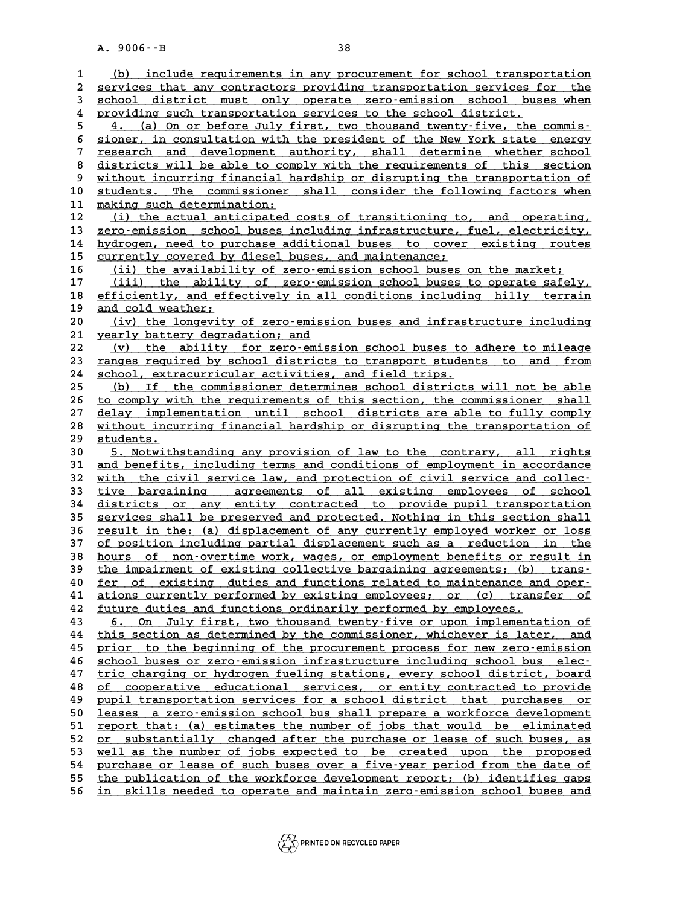|              | $A. 9006 - B$<br>38                                                                                                                                |
|--------------|----------------------------------------------------------------------------------------------------------------------------------------------------|
|              |                                                                                                                                                    |
| $\mathbf{1}$ | include requirements in any procurement for school transportation<br>(b)                                                                           |
| 2<br>3       | services that any contractors providing transportation services for the<br>school district must only operate zero-emission school buses when       |
| 4            | providing such transportation services to the school district.                                                                                     |
| 5            | 4. (a) On or before July first, two thousand twenty-five, the commis-                                                                              |
| 6            | sioner, in consultation with the president of the New York state energy                                                                            |
| 7            | research and development authority, shall determine whether school                                                                                 |
| 8            | districts will be able to comply with the requirements of this section                                                                             |
| 9            | without incurring financial hardship or disrupting the transportation of                                                                           |
| 10           | students. The commissioner shall consider the following factors when                                                                               |
| 11           | making such determination:                                                                                                                         |
| 12           | (i) the actual anticipated costs of transitioning to, and operating,                                                                               |
| 13           | zero-emission school buses including infrastructure, fuel, electricity,                                                                            |
| 14           | hydrogen, need to purchase additional buses to cover existing routes                                                                               |
| 15           | currently covered by diesel buses, and maintenance;                                                                                                |
| 16           | (ii) the availability of zero-emission school buses on the market;                                                                                 |
| 17           | (iii) the ability of zero-emission school buses to operate safely,                                                                                 |
| 18           | efficiently, and effectively in all conditions including hilly terrain                                                                             |
| 19           | and cold weather;                                                                                                                                  |
| 20           | (iv) the longevity of zero-emission buses and infrastructure including                                                                             |
| 21           | yearly battery degradation; and                                                                                                                    |
| 22           | (v) the ability for zero-emission school buses to adhere to mileage                                                                                |
| 23           | ranges required by school districts to transport students to and from                                                                              |
| 24           | school, extracurricular activities, and field trips.                                                                                               |
| 25           | If the commissioner determines school districts will not be able<br>(b)                                                                            |
| 26<br>27     | to comply with the requirements of this section, the commissioner shall<br>delay implementation until school districts are able to fully comply    |
| 28           | without incurring financial hardship or disrupting the transportation of                                                                           |
| 29           | students.                                                                                                                                          |
| 30           | 5. Notwithstanding any provision of law to the contrary, all rights                                                                                |
| 31           | and benefits, including terms and conditions of employment in accordance                                                                           |
| 32           | with the civil service law, and protection of civil service and collec-                                                                            |
| 33           | tive bargaining agreements of all existing employees of school                                                                                     |
| 34           | districts or any entity contracted to provide pupil transportation                                                                                 |
| 35           | services shall be preserved and protected. Nothing in this section shall                                                                           |
| 36           | result in the: (a) displacement of any currently employed worker or loss                                                                           |
| 37           | of position including partial displacement such as a reduction in the                                                                              |
| 38           | <u>hours of non-overtime work, wages, or employment benefits or result in</u>                                                                      |
| 39           | the impairment of existing collective bargaining agreements; (b) trans-                                                                            |
| 40           | fer of existing duties and functions related to maintenance and oper-                                                                              |
| 41           | ations currently performed by existing employees; or (c) transfer of                                                                               |
| 42           | future duties and functions ordinarily performed by employees.                                                                                     |
| 43           | 6. On July first, two thousand twenty-five or upon implementation of                                                                               |
| 44           | this section as determined by the commissioner, whichever is later, and<br>prior to the beginning of the procurement process for new zero-emission |
| 45<br>46     | school buses or zero-emission infrastructure including school bus<br>elec-                                                                         |
| 47           | tric charging or hydrogen fueling stations, every school district, board                                                                           |
| 48           | of cooperative educational services, or entity contracted to provide                                                                               |
| 49           | pupil transportation services for a school district that purchases or                                                                              |
| 50           | leases a zero-emission school bus shall prepare a workforce development                                                                            |
| 51           | report that: (a) estimates the number of jobs that would be eliminated                                                                             |
| 52           | substantially changed after the purchase or lease of such buses, as<br>or                                                                          |
| 53           | well as the number of jobs expected to be created upon the proposed                                                                                |
| 54           | purchase or lease of such buses over a five-year period from the date of                                                                           |
| 55           | the publication of the workforce development report; (b) identifies gaps                                                                           |
| 56           | skills needed to operate and maintain zero-emission school buses and<br>in                                                                         |
|              |                                                                                                                                                    |

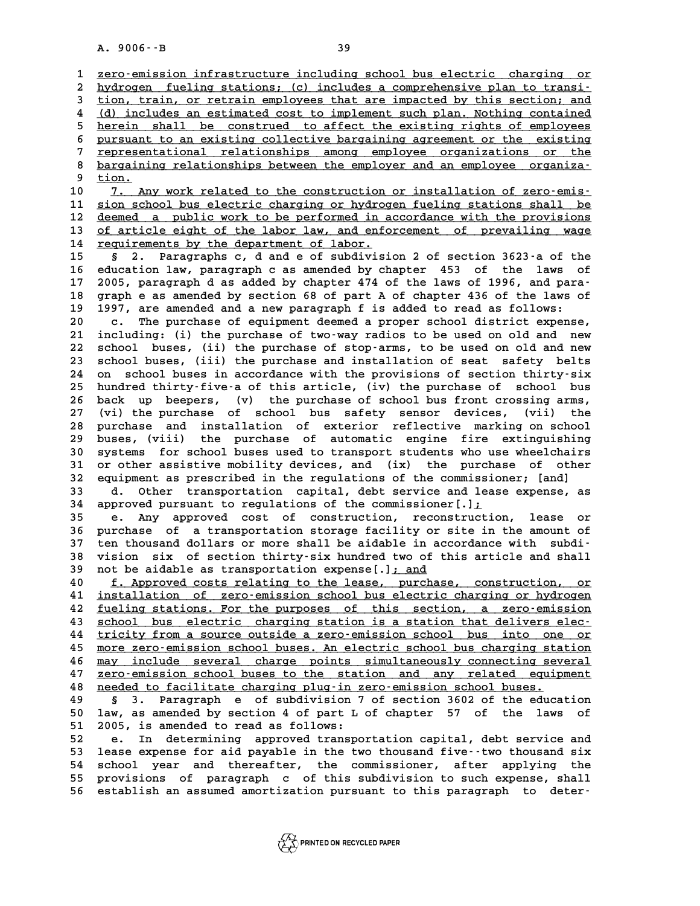A. 9006 · - B<br>1 <u>zero-emission infrastructure including school bus electric charging or</u><br>2 bydrogen fueling stations: (c) includes a comprehensive plan to transi-2 <u>zero-emission infrastructure including school bus electric charging or hydrogen fueling stations; (c) includes a comprehensive plan to transi-<br><sup>2</sup> hydrogen fueling stations; (c) includes a comprehensive plan to transi-</u> **3 the section in the section in the set of the section of the section of the section of the section of the section, train, or retrain employees that are impacted by this section; and<br>
<b>A** included are extincted sect to im A <u>tion, train, or retrain employees that are impacted by this section; and<br>
4 (d) includes an estimated cost to implement such plan. Nothing contained<br> **A** herein, shall be construed to affect the evising rights of employ</u> 5 **tion, train, or retrain employees that are impacted by this section; and**<br>
4 (d) includes an estimated cost to implement such plan. Nothing contained<br>
5 herein shall be construed to affect the existing rights of employe 6 **1 4 (d)** includes an estimated cost to implement such plan. Nothing contained<br>5 herein shall be construed to affect the existing rights of employees<br>6 pursuant to an existing collective bargaining agreement or the exist 5 <u>herein shall be construed to affect the existing rights of employees</u><br>6 <u>pursuant to an existing collective bargaining agreement or the existing</u><br>7 <u>representational relationships among employee organizations or the</u><br>8 8 pursuant to an existing collective bargaining agreement or the existing<br> **Propresentational relationships** among employee organizations or the<br> **8 bargaining relationships between the employer and an employee organiza-**<br> representational relationships among employee organizations or the<br>**8 bargaining relationships between the employer and an employee organiza-**<br>**9 tion.**<br>**7. Any work related to the construction or installation of zero-emis** 10 <u>bargaining relationships between the employer and an employee organization.</u><br>10 <u>7. Any work related to the construction or installation of zero-emis-</u><br>11 sion school bus electric charging or hydrogen fueling stations 11 <u>sion school bus electric charging or hydrogen fueling stations shall be</u><br>12 deemed a public work to be performed in accordance with the provisions **12** <u>deemed a public work to be performed in accordance with the provisions</u><br>13 of article eight of the labor law, and enforcement of prevailing wage 11 <u>sion school bus electric charging or hydrogen fueling stations shall be<br>12 deemed a public work to be performed in accordance with the provisions<br>13 <u>of article eight of the labor law, and enforcement of prevailing wag</u></u> 12 <u>deemed a public work to be performed in a</u><br>13 <u>of article eight of the labor law, and enfo</u><br>14 <u>requirements by the department of labor.</u> **13 of article eight of the labor law, and enforcement of prevailing wage**<br> **14 requirements by the department of labor.**<br> **15 §** 2. Paragraphs c, d and e of subdivision 2 of section 3623-a of the<br> **16 education la 14 requirements by the department of labor.**<br>
15 § 2. Paragraphs c, d and e of subdivision 2 of section 3623-a of the<br>
16 education law, paragraph c as amended by chapter 453 of the laws of<br>
17 2005 paragraph d as added b 15 § 2. Paragraphs c, d and e of subdivision 2 of section 3623-a of the<br>16 education law, paragraph c as amended by chapter 453 of the laws of<br>17 2005, paragraph d as added by chapter 474 of the laws of 1996, and para-<br><sup>19</sup> **16 education law, paragraph c as amended by chapter 453 of the laws of 17 2005, paragraph d as added by chapter 474 of the laws of 1996, and para-<br>18 graph e as amended by section 68 of part A of chapter 436 of the laws o** 17 2005, paragraph d as added by chapter 474 of the laws of 1996, and para<br>18 graph e as amended by section 68 of part A of chapter 436 of the laws o<br>19 1997, are amended and a new paragraph f is added to read as follows:<br> 18 graph e as amended by section 68 of part A of chapter 436 of the laws of 19 1997, are amended and a new paragraph f is added to read as follows:<br>20 c. The purchase of equipment deemed a proper school district expense,<br>2 19 1997, are amended and a new paragraph f is added to read as follows:<br>
20 c. The purchase of equipment deemed a proper school district expe<br>
21 including: (i) the purchase of two-way radios to be used on old and<br>
22 scho 20 c. The purchase of equipment deemed a proper school district expense,<br>21 including: (i) the purchase of two-way radios to be used on old and new<br>22 school buses, (ii) the purchase of stop-arms, to be used on old and new 21 including: (i) the purchase of two-way radios to be used on old and new<br>22 school buses, (ii) the purchase of stop-arms, to be used on old and new<br>23 school buses, (iii) the purchase and installation of seat safety belt 22 school buses, (ii) the purchase of stop-arms, to be used on old and new<br>23 school buses, (iii) the purchase and installation of seat safety belts<br>24 on school buses in accordance with the provisions of section thirty-si 23 school buses, (ii) the purchase and installation of seat safety belts<br>24 on school buses in accordance with the provisions of section thirty-six<br>25 hundred thirty-five-a of this article, (iv) the purchase of school bus<br> 24 on school buses in accordance with the provisions of section thirty-six<br>25 hundred thirty-five-a of this article, (iv) the purchase of school bus<br>26 back up beepers, (v) the purchase of school bus front crossing arms,<br><sup></sup> 25 hundred thirty-five-a of this article, (iv) the purchase of school bus<br>26 back up beepers, (v) the purchase of school bus front crossing arms,<br>27 (vi) the purchase of school bus safety sensor devices, (vii) the<br>28 nursh 26 back up beepers, (v) the purchase of school bus front crossing arms,<br>27 (vi) the purchase of school bus safety sensor devices, (vii) the<br>28 purchase and installation of exterior reflective marking on school<br>29 buses (vi 27 (vi) the purchase of school bus safety sensor devices, (vii) the purchase and installation of exterior reflective marking on school<br>29 buses, (viii) the purchase of automatic engine fire extinguishing<br>20 quaters for sch 28 purchase and installation of exterior reflective marking on school<br>29 buses, (viii) the purchase of automatic engine fire extinguishing<br>30 systems for school buses used to transport students who use wheelchairs<br>31 or ot 29 buses, (viii) the purchase of automatic engine fire extinguishing<br>30 systems for school buses used to transport students who use wheelchairs<br>31 or other assistive mobility devices, and (ix) the purchase of other<br>32 equi 30 systems for school buses used to transport students who use wheelchairs<br>31 or other assistive mobility devices, and (ix) the purchase of other<br>32 equipment as prescribed in the regulations of the commissioner; [and]<br>33 31 or other assistive mobility devices, and (ix) the purchase of other<br>32 equipment as prescribed in the regulations of the commissioner; [and]<br>33 d. Other transportation capital, debt service and lease expense, as<br><sup>34</sup> ap equipment as prescribed in the regulations of the commissioner; [and]<br>
33 d. Other transportation capital, debt service and lease expense,<br>
34 approved pursuant to regulations of the commissioner[.];<br>
35 e. Any approved co d. Other transportation capital, debt service and lease expense, as<br>34 approved pursuant to regulations of the commissioner[.]<u>;</u><br>85 e. Any approved cost of construction, reconstruction, lease or<br>36 purchase of a transport **34 approved pursuant to regulations of the commissioner[.];**<br> **35** e. Any approved cost of construction, reconstruction, lease or<br> **36 purchase of a transportation storage facility or site in the amount of**<br> **37** ton thou <sup>1</sup> e. Any approved cost of construction, reconstruction, lease or<br>
36 purchase of a transportation storage facility or site in the amount of<br>
37 ten thousand dollars or more shall be aidable in accordance with subdi-<br>
<sup>29</sup> 36 purchase of a transportation storage facility or site in the amount of<br>37 ten thousand dollars or more shall be aidable in accordance with subdi-<br>38 vision six of section thirty-six hundred two of this article and shall 37 ten thousand dollars or more shall be aidable in according the side of section thirty-six hundred two of the notice and the aidable as transportation expense[.]; and **48 vision six of section thirty-six hundred two of this article and shall**<br> **40** f. Approved costs relating to the lease, purchase, construction, or<br> **41** installation of zero-emission school bus electric charging or budr at the stransportation expense[.]<u>; and<br>
40 f. Approved costs relating to the lease, purchase, construction, or<br>
41 <u>installation of zero-emission school bus electric charging or hydrogen</u><br>
42 <u>fueling stations. For the pu</u></u> **42** <u>fueling stations. For the purposes of this section, a zero-emission</u><br>43 <u>school bus electric charging station is a station that delivers elec-</u> 41 <u>installation of zero-emission school bus electric charging or hydrogen</u><br>42 <u>fueling stations. For the purposes of this section, a zero-emission</u><br>5000 school bus electric charging station is a station that delivers elec **42** <u>fueling stations. For the purposes of this section, a zero-emission</u><br>43 <u>school bus electric charging station is a station that delivers electricity from a source outside a zero-emission school bus into one or<br>45 mor</u> 43 school bus electric charging station is a station that delivers electricity from a source outside a zero-emission school bus into one or more zero-emission school buses. An electric school bus charging station more incl 44 tricity from a source outside a zero-emission school bus into one or<br>45 more zero-emission school buses. An electric school bus charging station<br>46 may include several charge points simultaneously connecting several<br>47 A station school buses. An electric school bus charging station<br>  $\frac{1}{2}$  may include several charge points simultaneously connecting several<br>  $\frac{1}{2}$  are emission school buses to the station and any related equipment<br> 46 <u>may include several charge points simultaneously connecting several correspondence to the station and any related equipment and a meeting in the station and a my related equipment of the station of the station of a mat</u> **47 <u>zero-emission school buses to the station and any related equipment</u><br>48 <u>needed to facilitate charging plug-in zero-emission school buses.</u><br>49 § 3. Paragraph e of subdivision 7 of section 3602 of the education<br>50 la 50 law, as amended by section 4 of part L of chapter 57 of the laws of 51 2005, 3. Paragraph e of subdivision 7**<br> **50 law, as amended by section 4 of part L**<br> **51 2005, is amended to read as follows: 50 law, as amended by section 4 of part L of chapter 57 of the laws of 2005, is amended to read as follows:<br>52 e. In determining approved transportation capital, debt service and<br>53 lesse expense for aid payable in the tw** 51 2005, is amended to read as follows:<br>
52 e. In determining approved transportation capital, debt service and<br>
53 lease expense for aid payable in the two thousand five--two thousand six<br>
54 school year and thereafter, t **52** e. In determining approved transportation capital, debt service and<br>
53 lease expense for aid payable in the two thousand five - two thousand six<br>
54 school year and thereafter, the commissioner, after applying the<br>
5 **53 lease expense for aid payable in the two thousand five--two thousand six**<br>54 school year and thereafter, the commissioner, after applying the<br>55 provisions of paragraph c of this subdivision to such expense, shall<br>56 s 54 school year and thereafter, the commissioner, after applying the<br>55 provisions of paragraph c of this subdivision to such expense, shall<br>56 establish an assumed amortization pursuant to this paragraph to deter<sup>.</sup>

 $\sum_{i=1}^{n}$  PRINTED ON RECYCLED PAPER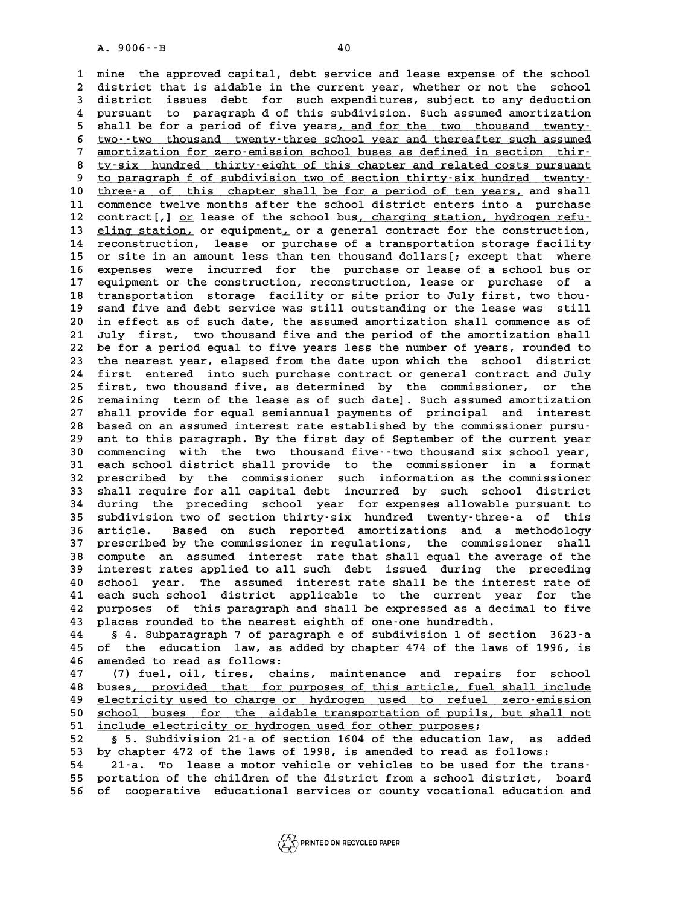**1 mine the approved capital, debt service and lease expense of the school** 1 mine the approved capital, debt service and lease expense of the school<br>2 district that is aidable in the current year, whether or not the school<br>3 district issues debt, for such expenditures, subject to any deduction 1 mine the approved capital, debt service and lease expense of the school<br>2 district that is aidable in the current year, whether or not the school<br>3 district issues debt for such expenditures, subject to any deduction<br>4 n 2 district that is aidable in the current year, whether or not the school<br>3 district issues debt for such expenditures, subject to any deduction<br>4 pursuant to paragraph d of this subdivision. Such assumed amortization<br>5 sh 3 district issues debt for such expenditures, subject to any deduction<br>4 pursuant to paragraph d of this subdivision. Such assumed amortization<br>5 shall be for a period of five years, and for the two thousand twenty-<br><sup>5</sup> ty 4 pursuant to paragraph d of this subdivision. Such assumed amortization<br>5 shall be for a period of five years, and for the two thousand twenty-<br>6 <u>two--two thousand twenty-three school year and thereafter such assumed</u><br>7 5 shall be for a period of five years, and for the two thousand twenty-<br>  $\frac{two - two \; thousand \; twenty \cdot three \; school \; year \; and \; thereafter \; such \; assumed \; amount of \; amount of \; amount of \; time \; amount \; without \; width \; of \; this \; chapter \; and \; related \; acts \; current \; amount$ 8 two--two thousand twenty-three school year and thereafter such assumed<br> **amortization for zero-emission school buses as defined in section thir-**<br> **a** ty-six hundred thirty-eight of this chapter and related costs pursuan 9 amortization for zero-emission school buses as defined in section thir-<br>8 ty-six hundred thirty-eight of this chapter and related costs pursuant<br>9 to paragraph f of subdivision two of section thirty-six hundred twenty-10 ty-six hundred thirty-eight of this chapter and related costs pursuant<br>
10 to paragraph f of subdivision two of section thirty-six hundred twenty-<br>
10 three-a of this chapter shall be for a period of ten years, and shal 10 to paragraph f of subdivision two of section thirty-six hundred twenty-<br>
10 three-a of this chapter shall be for a period of ten years, and shall<br>
11 commence twelve months after the school district enters into a purcha three a of this chapter shall be for a period of ten years, and shall<br>11 commence twelve months after the school district enters into a purchase<br>12 contract[,] <u>or</u> lease of the school bus, charging station, hydrogen refu-11 commence twelve months after the school district enters into a purchase<br>12 contract [,] <u>or</u> lease of the school bus, charging station, hydrogen refu-<br>13 eling station, or equipment, or a general contract for the constr 12 contract[,] <u>or</u> lease of the school bus, charging station, hydrogen refu-<br>13 <u>eling station</u>, or equipment, or a general contract for the construction,<br>14 reconstruction, lease or purchase of a transportation storage f 13 eling station, or equipment, or a general contract for the construction,<br>14 reconstruction, lease or purchase of a transportation storage facility<br>15 or site in an amount less than ten thousand dollars[; except that whe **16 expenses were incurred for the purchase or lease of a school bus or** 15 or site in an amount less than ten thousand dollars[; except that where<br>16 expenses were incurred for the purchase or lease of a school bus or<br>17 equipment or the construction, reconstruction, lease or purchase of a<br>18 16 expenses were incurred for the purchase or lease of a school bus or<br>17 equipment or the construction, reconstruction, lease or purchase of a<br>18 transportation storage facility or site prior to July first, two thou-<br>19 s 17 equipment or the construction, reconstruction, lease or purchase of a<br>18 transportation storage facility or site prior to July first, two thou-<br>19 sand five and debt service was still outstanding or the lease was still<br> 18 transportation storage facility or site prior to July first, two thou-<br>19 sand five and debt service was still outstanding or the lease was still<br>20 in effect as of such date, the assumed amortization shall commence as 20 sand five and debt service was still outstanding or the lease was still<br>20 in effect as of such date, the assumed amortization shall commence as of<br>21 July first, two thousand five and the period of the amortization sha 20 in effect as of such date, the assumed amortization shall commence as of<br>21 July first, two thousand five and the period of the amortization shall<br>22 be for a period equal to five years less the number of years, rounded 21 July first, two thousand five and the period of the amortization shall<br>22 be for a period equal to five years less the number of years, rounded to<br>23 the nearest year, elapsed from the date upon which the school distric 22 be for a period equal to five years less the number of years, rounded to<br>23 the nearest year, elapsed from the date upon which the school district<br>24 first entered into such purchase contract or general contract and Jul 23 the nearest year, elapsed from the date upon which the school district<br>24 first entered into such purchase contract or general contract and July<br>25 first, two thousand five, as determined by the commissioner, or the<br>26 24 first entered into such purchase contract or general contract and July<br>25 first, two thousand five, as determined by the commissioner, or the<br>26 remaining term of the lease as of such date]. Such assumed amortization<br>27 25 first, two thousand five, as determined by the commissioner, or the<br>26 remaining term of the lease as of such date]. Such assumed amortization<br>27 shall provide for equal semiannual payments of principal and interest<br>28 26 remaining term of the lease as of such date]. Such assumed amortization<br>
27 shall provide for equal semiannual payments of principal and interest<br>
28 based on an assumed interest rate established by the commissioner pur **29 ant to this paragraph. By the first day of September of the current year 28 based on an assumed interest rate established by the commissioner pursu-<br>29 ant to this paragraph. By the first day of September of the current year<br>30 commencing with the two thousand five--two thousand six school yea** 29 ant to this paragraph. By the first day of September of the current year<br>30 commencing with the two thousand five--two thousand six school year,<br>31 each school district shall provide to the commissioner in a format<br>32 p 30 commencing with the two thousand five--two thousand six school year,<br>31 each school district shall provide to the commissioner in a format<br>32 prescribed by the commissioner such information as the commissioner<br>33 shall 31 each school district shall provide to the commissioner in a format<br>32 prescribed by the commissioner such information as the commissioner<br>33 shall require for all capital debt incurred by such school district<br><sup>34</sup> durin 32 prescribed by the commissioner such information as the commissioner<br>33 shall require for all capital debt incurred by such school district<br>34 during the preceding school year for expenses allowable pursuant to<br>35 subdiv 33 shall require for all capital debt incurred by such school district<br>34 during the preceding school year for expenses allowable pursuant to<br>35 subdivision two of section thirty-six hundred twenty-three-a of this<br>36 stigl 34 during the preceding school year for expenses allowable pursuant to<br>35 subdivision two of section thirty-six hundred twenty-three-a of this<br>36 article. Based on such reported amortizations and a methodology<br>37 progeribe 35 subdivision two of section thirty-six hundred twenty-three-a of this<br>36 article. Based on such reported amortizations and a methodology<br>37 prescribed by the commissioner in regulations, the commissioner shall<br>28 compute 36 article. Based on such reported amortizations and a methodology<br>37 prescribed by the commissioner in regulations, the commissioner shall<br>38 compute an assumed interest rate that shall equal the average of the<br>interest r 37 prescribed by the commissioner in regulations, the commissioner shall<br>38 compute an assumed interest rate that shall equal the average of the<br>39 interest rates applied to all such debt issued during the preceding<br>40 sch 38 compute an assumed interest rate that shall equal the average of the<br>39 interest rates applied to all such debt issued during the preceding<br>40 school year. The assumed interest rate shall be the interest rate of<br>41 each 39 interest rates applied to all such debt issued during the preceding<br>40 school year. The assumed interest rate shall be the interest rate of<br>41 each such school district applicable to the current year for the<br>42 nurreses 40 school year. The assumed interest rate shall be the interest rate of<br>41 each such school district applicable to the current year for the<br>42 purposes of this paragraph and shall be expressed as a decimal to five<br><sup>43</sup> pla 41 each such school district applicable to the current yea<br>42 purposes of this paragraph and shall be expressed as a decimal<br>43 places rounded to the nearest eighth of one-one hundredth. 42 purposes of this paragraph and shall be expressed as a decimal to five<br>43 places rounded to the nearest eighth of one-one hundredth.<br>44 § 4. Subparagraph 7 of paragraph e of subdivision 1 of section 3623-a<br>45 of the edu **43** places rounded to the nearest eighth of one-one hundredth.<br>44 § 4. Subparagraph 7 of paragraph e of subdivision 1 of section 3623-a<br>45 of the education law, as added by chapter 474 of the laws of 1996, is<br>46 appended 44 § 4. Subparagraph 7 of parag<br>45 of the education law, as ad<br>46 amended to read as follows:<br><sup>47</sup> (<sup>7) fuol oil tires shain</sub></sup>

45 of the education law, as added by chapter 474 of the laws of 1996, is<br>46 amended to read as follows:<br>47 (7) fuel, oil, tires, chains, maintenance and repairs for school<br>48 buses, provided that for purposes of this artic 46 amended to read as follows:<br>47 (7) fuel, oil, tires, chains, maintenance and repairs for school<br>48 buses<u>, provided that for purposes of this article, fuel shall include</u><br>29 electricity used to sharse ar hydrogen used t 47 (7) fuel, oil, tires, chains, maintenance and repairs for school<br>48 buses<u>, provided that for purposes of this article, fuel shall include</u><br><u>electricity used to charge or hydrogen used to refuel zero-emission</u><br>50 school **50 state for purposes of this article, fuel shall include**<br> **49 electricity used to charge or hydrogen used to refuel zero-emission**<br>
<u>school buses for the aidable transportation of pupils, but shall not</u><br>
include electri **51** <u>electricity used to charge or hydrogen used to refuel</u><br> **51** <u>include electricity or hydrogen used for other purposes;<br> **52 5 5 5 Subdivision** 21.3 of section 1604 of the education 15</u> **50 school buses for the aidable transportation of pupils, but shall not**<br>51 include electricity or hydrogen used for other purposes;<br>52 § 5. Subdivision 21-a of section 1604 of the education law, as added<br>by chapter 472

51 <u>include electricity or hydrogen used for other purposes</u>;<br>52 § 5. Subdivision 21-a of section 1604 of the education law, as added<br>53 by chapter 472 of the laws of 1998, is amended to read as follows:<br>21-a. To lease a m 52 § 5. Subdivision 21-a of section 1604 of the education law, as added<br>
53 by chapter 472 of the laws of 1998, is amended to read as follows:<br>
<sup>54</sup> 21-a. To lease a motor vehicle or vehicles to be used for the trans-<br>
<sup>55</sup>

**53 by chapter 472 of the laws of 1998, is amended to read as follows:**<br> **54 21.a. To lease a motor vehicle or vehicles to be used for the trans-**<br> **55 portation of the children of the district from a school district, boar** 55 portation of the children of the district from a school district, board<br>56 of cooperative educational services or county vocational education and

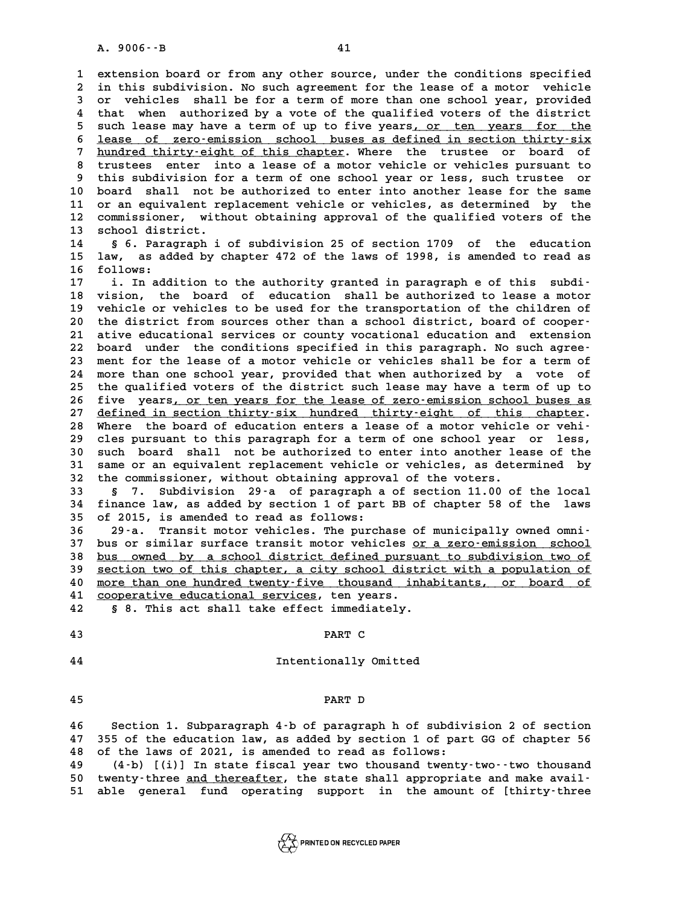**1 extension board or from any other source, under the conditions specified 2** extension board or from any other source, under the conditions specified<br>2 in this subdivision. No such agreement for the lease of a motor vehicle<br>3 or webicles, shall be for a term of more than one school year, provid **3** extension board or from any other source, under the conditions specified<br>2 in this subdivision. No such agreement for the lease of a motor vehicle<br>3 or vehicles shall be for a term of more than one school year, provide 2 in this subdivision. No such agreement for the lease of a motor vehicle<br>3 or vehicles shall be for a term of more than one school year, provided<br>4 that when authorized by a vote of the qualified voters of the district<br>5 3 or vehicles shall be for a term of more than one school year, provided<br>4 that when authorized by a vote of the qualified voters of the district<br>5 such lease may have a term of up to five years, <u>or ten years for the</u><br>199 4 that when authorized by a vote of the qualified voters of the district<br>5 such lease may have a term of up to five years, <u>or ten years for the</u><br>6 <u>lease of zero-emission school buses as defined in section thirty-six</u><br>7 h 5 such lease may have a term of up to five years<u>, or ten years for the</u><br>6 <u>lease of zero-emission school buses as defined in section thirty-six</u><br>7 <u>hundred thirty-eight of this chapter</u>. Where the trustee or board of<br>8 tr 8 **lease of zero-emission school buses as defined in section thirty-six**<br>**8 trustees enter into a lease of a motor vehicle or vehicles pursuant to**<br>**8 trustees enter into a lease of a motor vehicle or vehicles pursuant to 9 hundred thirty-eight of this chapter.** Where the trustee or board of trustees enter into a lease of a motor vehicle or vehicles pursuant to this subdivision for a term of one school year or less, such trustee or heard s 10 **10 board shall not be authorized to enter into another lease for the same**<br>10 board shall not be authorized to enter into another lease for the same<br>11 or an equivalent replacement vehicle or vehicles as determined by 9 this subdivision for a term of one school year or less, such trustee or 10 board shall not be authorized to enter into another lease for the same<br>11 or an equivalent replacement vehicle or vehicles, as determined by the<br> 10 board shall not be authorized to enter into another lease for the same<br>11 or an equivalent replacement vehicle or vehicles, as determined by the<br>12 commissioner, without obtaining approval of the qualified voters of the 11 or an equivalent replacement vehicle or vehicles, as determined by the<br>12 commissioner, without obtaining approval of the qualified voters of the<br>13 school district.<br>14 § 6. Paragraph i of subdivision 25 of section 1709 **14 § 6. Paragraph i of subdivision 25 of section 1709 of the education 13 school district.**<br>14 § 6. Paragraph i of subdivision 25 of section 1709 of the education<br>15 law, as added by chapter 472 of the laws of 1998, is amended to read as<br>16 follows: **14 § 6. Para**<br>**15 law, as ad**<br>**16 follows:**<br><sup>17</sup> <sup>i Tp 2dd</sub></sup> 15 law, as added by chapter 472 of the laws of 1998, is amended to read as<br>16 follows:<br>17 i. In addition to the authority granted in paragraph e of this subdi-<br><sup>19</sup> wision, the beard of education shall be authorized to lea

**16 follows:**<br> **17** i. In addition to the authority granted in paragraph e of this subdi-<br> **18 vision, the board of education shall be authorized to lease a motor**<br> **19 vobigle or vobigles to be used for the transportation** 17 i. In addition to the authority granted in paragraph e of this subdi-<br>18 vision, the board of education shall be authorized to lease a motor<br>19 vehicle or vehicles to be used for the transportation of the children of<br>20 18 vision, the board of education shall be authorized to lease a motor<br>
19 vehicle or vehicles to be used for the transportation of the children of<br>
20 the district from sources other than a school district, board of coope 19 vehicle or vehicles to be used for the transportation of the children of<br>20 the district from sources other than a school district, board of cooper-<br>21 ative educational services or county vocational education and exten 20 the district from sources other than a school district, board of cooper-<br>21 ative educational services or county vocational education and extension<br>22 board under the conditions specified in this paragraph. No such agre 21 ative educational services or county vocational education and extension<br>22 board under the conditions specified in this paragraph. No such agree-<br>23 ment for the lease of a motor vehicle or vehicles shall be for a term 22 board under the conditions specified in this paragraph. No such agree-<br>23 ment for the lease of a motor vehicle or vehicles shall be for a term of<br>24 more than one school year, provided that when authorized by a vote of 23 ment for the lease of a motor vehicle or vehicles shall be for a term of 24 more than one school year, provided that when authorized by a vote of the qualified voters of the district such lease may have a term of up to 24 more than one school year, provided that when authorized by a vote of<br>25 the qualified voters of the district such lease may have a term of up to<br>26 five years, or ten years for the lease of zero-emission school buses a 25 the qualified voters of the district such lease may have a term of up to<br>26 five years, or ten years for the lease of zero-emission school buses as<br>27 <u>defined in section thirty-six hundred thirty-eight of this chapter</u> 26 five years, or ten years for the lease of zero-emission school buses as<br>27 <u>defined in section thirty-six hundred thirty-eight of this chapter</u>.<br>28 Where the board of education enters a lease of a motor vehicle or vehi-**27 defined in section thirty-six hundred thirty-eight of this chapter.**<br>28 Where the board of education enters a lease of a motor vehicle or vehi-<br>29 cles pursuant to this paragraph for a term of one school year or less,<br> Where the board of education enters a lease of a motor vehicle or vehical<br>29 cles pursuant to this paragraph for a term of one school year or less,<br>30 such board shall not be authorized to enter into another lease of the<br>3 cles pursuant to this paragraph for a term of one school year or less,<br>30 such board shall not be authorized to enter into another lease of the<br>31 same or an equivalent replacement vehicle or vehicles, as determined by<br><sup>32</sup> 30 such board shall not be authorized to enter into another le<br>31 same or an equivalent replacement vehicle or vehicles, as dete<br>32 the commissioner, without obtaining approval of the voters.<br><sup>33</sup> 5.7 Subdivision 29:3 of p **31 same or an equivalent replacement vehicle or vehicles, as determined by<br>
32 the commissioner, without obtaining approval of the voters.<br>
33 § 7. Subdivision 29-a of paragraph a of section 11.00 of the local<br>
34 finance** 

32 the commissioner, without obtaining approval of the voters.<br>33 § 7. Subdivision 29-a of paragraph a of section 11.00 of the local<br>34 finance law, as added by section 1 of part BB of chapter 58 of the laws<br>35 of 2015 is **5 33 s 7.** Subdivision 29-a of paragraph a<br>34 finance law, as added by section 1 of part<br>35 of 2015, is amended to read as follows:<br>26 2010. Transit reter webisles The nursh 34 finance law, as added by section 1 of part BB of chapter 58 of the laws<br>35 of 2015, is amended to read as follows:<br>29-a. Transit motor vehicles. The purchase of municipally owned omni-<br><sup>27</sup> by ar similar surface transit

35 of 2015, is amended to read as follows:<br>36 29-a. Transit motor vehicles. The purchase of municipally owned omni-<br>37 bus or similar surface transit motor vehicles <u>or a zero-emission school</u><br>28 bus cured by a school dist 28 **29-a.** Transit motor vehicles. The purchase of municipally owned omni-<br>37 bus or similar surface transit motor vehicles <u>or a zero-emission school</u><br>38 <u>bus owned by a school district defined pursuant to subdivision two</u> 37 bus or similar surface transit motor vehicles <u>or a zero-emission school</u><br>38 <u>bus owned by a school district defined pursuant to subdivision two of<br>39 section two of this chapter, a city school district with a populatio</u> **40 bus owned by a school district defined pursuant to subdivision two of section two of this chapter, a city school district with a population of more than one hundred twenty-five thousand inhabitants, or board of concern** bus owned by a school district defined pursuant to subdivision two of<br>
gection two of this chapter, a city school district with a population of<br>
40 more than one hundred twenty-five thousand inhabitants, or board of<br>
41 co A **42 12. The more than one hundred twenty-five** thousand inhained the cooperative educational services, ten years.<br>42 **52. This act shall take effect immediately.** 

**42** § 8. This act shall take effect immediately.<br>**43** PART C

**43**<br>**44** Intentionally Omitted

# **45 PART D**

<br>**46** Section 1. Subparagraph 4-b of paragraph h of subdivision 2 of section<br><sup>47</sup> <sup>355</sup> of the odugation law as added by section 1 of part CC of shaptor 56 Section 1. Subparagraph 4–b of paragraph h of subdivision 2 of section<br>47 355 of the education law, as added by section 1 of part GG of chapter 56<br>48 of the laws of 2021, is amended to read as follows: Section 1. Subparagraph 4-b of paragraph h of subdiv<br>47 355 of the education law, as added by section 1 of par<br>48 of the laws of 2021, is amended to read as follows:<br>(4.b) [(i)] In state figgal wear two they and typet **47 355 of the education law, as added by section 1 of part GG of chapter 56<br>48 of the laws of 2021, is amended to read as follows:**<br>(4-b) [(i)] In state fiscal year two thousand twenty-two--two thousand<br>50 typesty thousan

50 the laws of 2021, is amended to read as follows:<br> **50** (4-b) [(i)] In state fiscal year two thousand twenty-two--two thousand<br> **50** twenty-three <u>and thereafter</u>, the state shall appropriate and make avail-<br> **propriate** 49 (4-b) [(i)] In state fiscal year two thousand twenty-two--two thousand<br>50 twenty-three <u>and thereafter</u>, the state shall appropriate and make avail-<br>51 able general fund operating support in the amount of [thirty-three

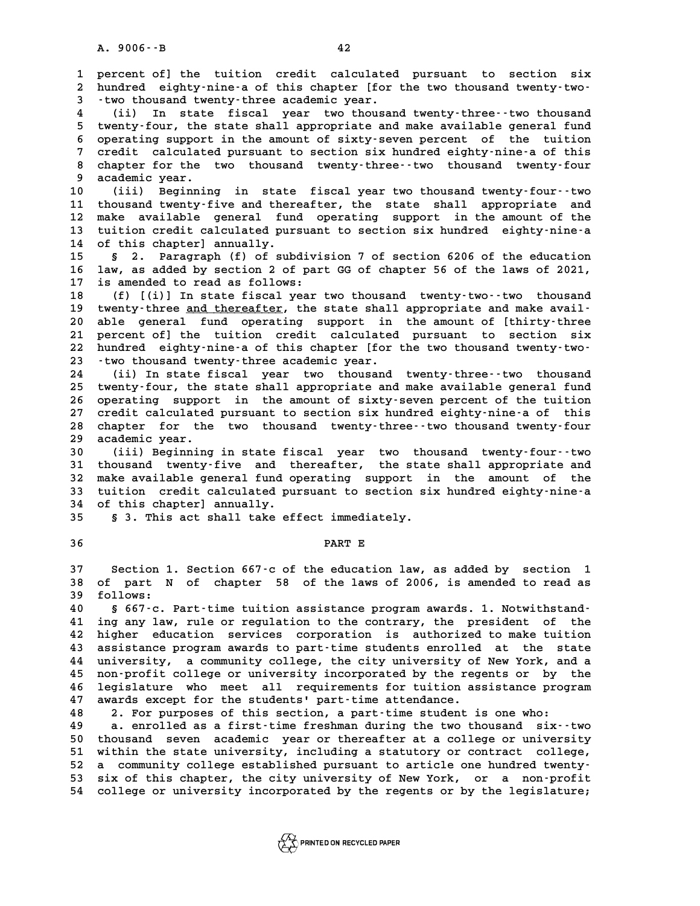**1 percent of] the tuition credit calculated pursuant to section six** 1 percent of] the tuition credit calculated pursuant to section six<br>2 hundred eighty-nine-a of this chapter [for the two thousand twenty-two-1 percent of] the tuition credit calculated<br>2 hundred eighty-nine-a of this chapter [for<br>3 -two thousand twenty-three academic year.<br><sup>4</sup> (ii) In state fiscal wear two thousan 2 hundred eighty-nine-a of this chapter [for the two thousand twenty-two-<br>3 -two thousand twenty-three academic year.<br>4 (ii) In state fiscal year two thousand twenty-three--two thousand<br>5 tup tup the state shall appropriat <sup>3</sup> two thousand twenty-three academic year.<br>
4 (ii) In state fiscal year two thousand twenty-three--two thousand<br>
5 twenty-four, the state shall appropriate and make available general fund<br>
6 contring support in the appro (ii) In state fiscal year two thousand twenty-three--two thousand<br>5 twenty-four, the state shall appropriate and make available general fund<br>6 operating support in the amount of sixty-seven percent of the tuition<br>7 gradit 5 twenty-four, the state shall appropriate and make available general fund<br>6 operating support in the amount of sixty-seven percent of the tuition<br>7 credit calculated pursuant to section six hundred eighty-nine-a of this<br>8 **8 operating support in the amount of sixty-seven percent of the tuition**<br>7 credit calculated pursuant to section six hundred eighty-nine-a of this<br>8 chapter for the two thousand twenty-three--two thousand twenty-four<br>8 co 7 credit calculated pursuant to section six hundred eighty-nine-a of this<br>8 chapter for the two thousand twenty-three--two thousand twenty-four<br>9 academic year.<br>10 (iii) Beginning in state fiscal year two thousand twenty-f **10 (iii) Beginning in state fiscal year two thousand twenty-four--two** <sup>9</sup> academic year.<br>
10 (ii) Beginning in state fiscal year two thousand twenty-four--two<br>
11 thousand twenty-five and thereafter, the state shall appropriate and<br>
<sup>12 make</sup> available seperal fund eperating support in the a 10 (ii) Beginning in state fiscal year two thousand twenty-four--two<br>11 thousand twenty-five and thereafter, the state shall appropriate and<br>12 make available general fund operating support in the amount of the<br>13 tuition 11 thousand twenty-five and thereafter, the state shall appropriate and<br>12 make available general fund operating support in the amount of the<br>13 tuition credit calculated pursuant to section six hundred eighty-nine-a<br>14 of 12 make available general fun<br>13 tuition credit calculated pur<br>14 of this chapter] annually.<br>15 S. 2 Baragraph (f) of sub **13 tuition credit calculated pursuant to section six hundred eighty-nine-a**<br>**14 of this chapter** annually.<br>**15 § 2. Paragraph (f) of subdivision 7 of section 6206 of the education**<br>**16 low 23 added by setion 2 of part CG** 14 of this chapter] annually.<br>15 § 2. Paragraph (f) of subdivision 7 of section 6206 of the education<br>16 law, as added by section 2 of part GG of chapter 56 of the laws of 2021,<br>17 is annualed to read as follows: 15 § 2. Paragraph (f) of subdivi<br>16 law, as added by section 2 of par<br>17 is amended to read as follows: **16 law, as added by section 2 of part GG of chapter 56 of the laws of 2021,<br>17 is amended to read as follows:**<br>(f) [(i)] In state fiscal year two thousand twenty-two--two thousand<br>19 tworty-three and thorosfor, the state 17 is amended to read as follows:<br>
18 (f) [(i)] In state fiscal year two thousand twenty-two--two thousand<br>
19 twenty-three <u>and thereafter</u>, the state shall appropriate and make avail-<br>
20 able coneral fund operating supp **20 able general fund operations of the state shall appropriate and make avail-**<br>**20 able general fund operating support in the amount of [thirty-three**<br>**21 percept of the tuition credit calculated pursuant to section six** 19 twenty-three <u>and thereafter</u>, the state shall appropriate and make avail-<br>20 able general fund operating support in the amount of [thirty-three<br>21 percent of] the tuition credit calculated pursuant to section six<br>22 hu 20 able general fund operating support in the amount of [thirty-three<br>21 percent of] the tuition credit calculated pursuant to section six<br>22 hundred eighty-nine-a of this chapter [for the two thousand twenty-two-<br>23 two t 21 percent of] the tuition credit calculated<br>22 hundred eighty-nine-a of this chapter [for<br>23 -two thousand twenty-three academic year.<br>24 (ii) In state figgal wear two thousand 22 hundred eighty-nine-a of this chapter [for the two thousand twenty-two-<br>23 -two thousand twenty-three academic year.<br>24 (ii) In state fiscal year two thousand twenty-three--two thousand<br>25 tworty-four the state shall ap <sup>23</sup> two thousand twenty-three academic year.<br>
24 (ii) In state fiscal year two thousand twenty-three--two thousand<br>
25 twenty-four, the state shall appropriate and make available general fund<br>
26 conception support in the (ii) In state fiscal year two thousand twenty-three--two thousand<br>25 twenty-four, the state shall appropriate and make available general fund<br>26 operating support in the amount of sixty-seven percent of the tuition<br>27 ared 25 twenty-four, the state shall appropriate and make available general fund<br>26 operating support in the amount of sixty-seven percent of the tuition<br>27 credit calculated pursuant to section six hundred eighty-nine-a of thi 26 operating support in the amount of sixty-seven percent of the tuition<br>27 credit calculated pursuant to section six hundred eighty-nine-a of this<br>28 chapter for the two thousand twenty-three--two thousand twenty-four<br>29 27 credit calculated<br>28 chapter for the<br>29 academic year.<br><sup>20</sup> (iii) Poginning 28 chapter for the two thousand twenty-three--two thousand twenty-four<br>29 academic year.<br>30 (iii) Beginning in state fiscal year two thousand twenty-four--two<br>31 thousand twenty-five and thereafter, the state shall appropr academic year.<br>
30 (ii) Beginning in state fiscal year two thousand twenty-four--two<br>
31 thousand twenty-five and thereafter, the state shall appropriate and<br>
<sup>32</sup> The available conoral fund eperating support in the apount **30** (ii) Beginning in state fiscal year two thousand twenty-four--two<br>31 thousand twenty-five and thereafter, the state shall appropriate and<br>32 make available general fund operating support in the amount of the<br>33 tuitio 31 thousand twenty-five and thereafter, the state shall appropriate and<br>32 make available general fund operating support in the amount of the<br>33 tuition credit calculated pursuant to section six hundred eighty-nine-a<br>34 of 32 make available general fund operating support in the amount of the<br>33 tuition credit calculated pursuant to section six hundred eighty-nine-a<br>34 of this chapter] annually.<br>35 § 3. This act shall take effect immediately. tuition credit calculated pursuant to section six hundred eighty-nine-a 35 § 3. This act shall take effect immediately.<br>36 **PART E 28**<br>37 Section 1. Section 667-c of the education law, as added by section 1<br>38 Of part N of chaptor 58 of the laws of 2006 is arended to read as **38 of part N of chapter 58 of the laws of 2006, is amended to read as** 37 Section 1. Section 667-c of the education law, as added by section 1<br>38 of part N of chapter 58 of the laws of 2006, is amended to read as<br>39 follows:<br>8 667-c. Part-time tuition assistance program awards. 1. Notwithstan **40 § 667-c. Part-time tuition assistance program awards. 1. Notwithstand-41 ing any law, rule or regulation to the contrary, the president of the 40** § 667-c. Part-time tuition assistance program awards. 1. Notwithstand-<br>**41** ing any law, rule or regulation to the contrary, the president of the<br>**42** higher education services corporation is authorized to make tuitio 41 ing any law, rule or regulation to the contrary, the president of the<br>42 higher education services corporation is authorized to make tuition<br>43 assistance program awards to part-time students enrolled at the state<br>44 un A university and the correction of the composition of the composition assistance program awards to part-time students enrolled at the state university, a community college, the city university of New York, and a<br>A poper of 43 assistance program awards to part-time students enrolled at the state<br>44 university, a community college, the city university of New York, and a<br>45 non-profit college or university incorporated by the regents or by the<br> 44 university, a community college, the city university of New York, and a<br>45 non-profit college or university incorporated by the regents or by the<br>46 legislature who meet all requirements for tuition assistance program<br>4 45 non-profit college or university incorporated by the reg<br>46 legislature who meet all requirements for tuition as<br>47 awards except for the students' part-time attendance.<br>48 avarts experience of this acction a part-time **46 legislature who meet all requirements for tuition assistance program**<br>**47 awards except for the students' part-time attendance.**<br>**48 2. For purposes of this section, a part-time student is one who:**<br>**49 a. enrolled as 47 awards except for the students' part-time attendance.**<br> **48** 2. For purposes of this section, a part-time student is one who:<br> **49** a. enrolled as a first-time freshman during the two thousand six--two<br> **60** thousand s 2. For purposes of this section, a part-time student is one who:<br> **49** a. enrolled as a first-time freshman during the two thousand six-two<br>
50 thousand seven academic year or thereafter at a college or university<br>
51 with **50 a. enrolled as a first-time freshman during the two thousand six--two**<br>
50 thousand seven academic year or thereafter at a college or university<br>
51 within the state university, including a statutory or contract colleg 50 thousand seven academic year or thereafter at a college or university<br>
51 within the state university, including a statutory or contract college,<br>
52 a community college established pursuant to article one hundred twent 51 within the state university, including a statutory or contract college,<br>52 a community college established pursuant to article one hundred twenty-<br>53 six of this chapter, the city university of New York, or a non-profit 52 a community college established pursuant to article one hundred twenty-<br>53 six of this chapter, the city university of New York, or a non-profit<br>54 college or university incorporated by the regents or by the legislature

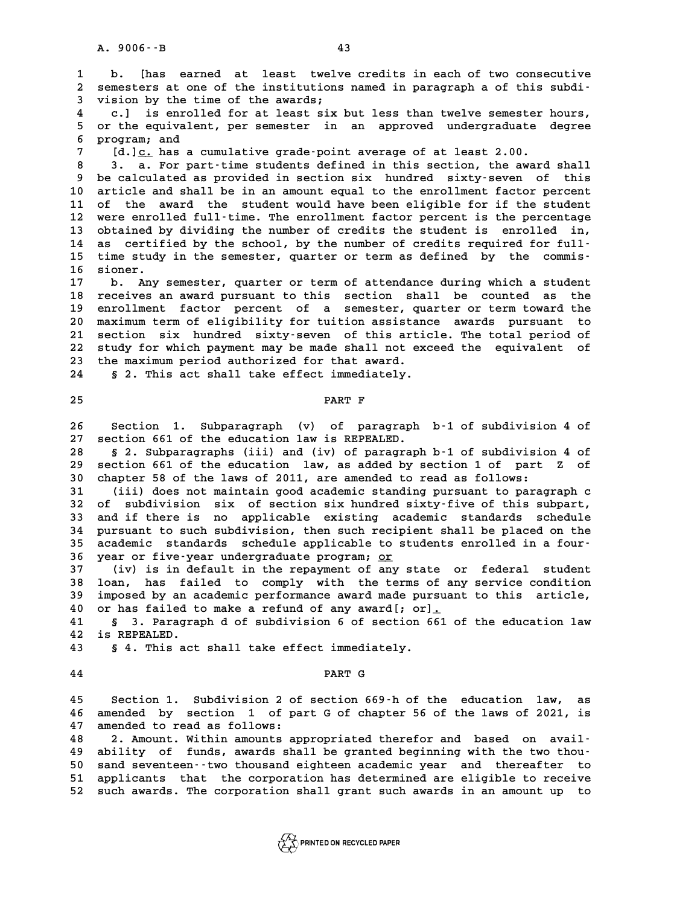**1 b. [has earned at least twelve credits in each of two consecutive** 1 b. [has earned at least twelve credits in each of two consecutive<br>2 semesters at one of the institutions named in paragraph a of this subdi-<br>3 vision by the time of the avards. **b.** [has earned at least twelve credits in each of two consecutive<br>2 semesters at one of the institutions named in paragraph a of this subdi-<br>3 vision by the time of the awards;<br><sup>4</sup> C. 1 is enrolled for at least six but l 2 semesters at one of the institutions named in paragraph a of this subdivision by the time of the awards;<br>
4 c.] is enrolled for at least six but less than twelve semester hours,<br>
5 or the equivalent per semester in an ap

3 vision by the time of the awards;<br>4 c.] is enrolled for at least six but less than twelve semester hours,<br>5 or the equivalent, per semester in an approved undergraduate degree<br>5 program: and **6** or the equivalent, per semester in an approved undergraduate degree<br>6 program; and<br>7 [d.lc. has a cumulative grade-point average of at least 2.00. 5 or the equivalent, per semester in an approved undergraduate<br>6 program; and<br>7 **[d.]c. has a cumulative grade-point average of at least 2.00.**<br>2. **Per part-time students defined in this section** the average

**8 program; and<br>
7 [d.]c. has a cumulative grade-point average of at least 2.00.**<br> **8 3. a. For part-time students defined in this section, the award shall**<br> **8** be salgulated as provided in section six, hundred, sixtu sev **9 be calculated as provided in this section, the award shall**<br> **9 be calculated as provided in section six hundred sixty-seven of this**<br> **9 be calculated as provided in section six hundred sixty-seven of this**<br> **9 article** 10 a. For part-time students defined in this section, the award shall<br>
10 be calculated as provided in section six hundred sixty-seven of this<br>
10 article and shall be in an amount equal to the enrollment factor percent<br>
1 9 be calculated as provided in section six hundred sixty-seven of this<br>10 article and shall be in an amount equal to the enrollment factor percent<br>11 of the award the student would have been eligible for if the student<br><sup>12</sup> 10 article and shall be in an amount equal to the enrollment factor percent<br>11 of the award the student would have been eligible for if the student<br>12 were enrolled full-time. The enrollment factor percent is the percentag 11 of the award the student would have been eligible for if the student<br>12 were enrolled full-time. The enrollment factor percent is the percentage<br>13 obtained by dividing the number of credits the student is enrolled in,<br> 12 were enrolled full-time. The enrollment factor percent is the percentage<br>
13 obtained by dividing the number of credits the student is enrolled in,<br>
14 as certified by the school, by the number of credits required for f 13 obtained by dividing the number of credits the student is enrolled in,<br>14 as certified by the school, by the number of credits required for full-<br>15 time study in the semester, quarter or term as defined by the commis-14 as certif<br>15 time study<br>16 sioner.<br><sup>17</sup> b <sup>any</sup> 15 time study in the semester, quarter or term as defined by the commis-<br>16 sioner.<br>17 b. Any semester, quarter or term of attendance during which a student<br>18 receives an average pursuant to this section shall be sounted

**16 sioner.**<br>17 b. Any semester, quarter or term of attendance during which a student<br>18 receives an award pursuant to this section shall be counted as the<br>19 enrollment factor persont of a semester quarter or term teuard **17 b. Any semester, quarter or term of attendance during which a student<br>18 receives an award pursuant to this section shall be counted as the<br>19 enrollment factor percent of a semester, quarter or term toward the<br>20 mayi** 18 receives an award pursuant to this section shall be counted as the<br>19 enrollment factor percent of a semester, quarter or term toward the<br>20 maximum term of eligibility for tuition assistance awards pursuant to<br>21 secti 19 enrollment factor percent of a semester, quarter or term toward the<br>20 maximum term of eligibility for tuition assistance awards pursuant to<br>21 section six hundred sixty-seven of this article. The total period of<br>22 stu 20 maximum term of eligibility for tuition assistance awards pursuant to<br>21 section six hundred sixty-seven of this article. The total period of<br>22 study for which payment may be made shall not exceed the equivalent of<br><sup>23</sup> 21 section six hundred sixty-seven of this arti<br>22 study for which payment may be made shall not ex<br>23 the maximum period authorized for that award.<br>24 s.2 This 25t shall take offect immediately 22 study for which payment may be made shall not exc<br>23 the maximum period authorized for that award.<br>24 § 2. This act shall take effect immediately.

8 2. This act shall take effect immediately.<br>25 **PART F** 

**26 Section 1. Subparagraph (v) of paragraph b-1 of subdivision 4 of 26 Section 1. Subparagraph (v) of paragraph**<br>27 section 661 of the education law is REPEALED.<br>28 S.2 Subparagraphs (iii) and (iv) of paragraph **26 Section 1. Subparagraph (v) of paragraph b-1 of subdivision 4 of section 661 of the education law is REPEALED.**<br>**28 § 2. Subparagraphs (iii) and (iv) of paragraph b-1 of subdivision 4 of section 661 of the education la** 

**27 section 661 of the education law is REPEALED.**<br>28 § 2. Subparagraphs (iii) and (iv) of paragraph b-1 of subdivision 4 of<br>29 section 661 of the education law, as added by section 1 of part Z of<br>20 shapter 58 of the laws **30 chapter 30 chapter 58 of the education 1 aw, as added by section 1 of part**<br> **30 chapter 58 of the laws of 2011, are amended to read as follows:**<br> **31** (iii) does not maintain good academic standing pursuant to paramet **39 section 661 of the education law, as added by section 1 of part Z of chapter 58 of the laws of 2011, are amended to read as follows:**<br>31 (iii) does not maintain good academic standing pursuant to paragraph c<br>32 of subd

30 chapter 58 of the laws of 2011, are amended to read as follows:<br>31 (iii) does not maintain good academic standing pursuant to paragraph c<br>32 of subdivision six of section six hundred sixty-five of this subpart,<br>33 and i **31** (ii) does not maintain good academic standing pursuant to paragraph c<br>32 of subdivision six of section six hundred sixty-five of this subpart,<br>33 and if there is no applicable existing academic standards schedule<br>24 n 32 of subdivision six of section six hundred sixty-five of this subpart,<br>33 and if there is no applicable existing academic standards schedule<br>34 pursuant to such subdivision, then such recipient shall be placed on the<br>35 33 and if there is no applicable existing academic standards schedule<br>34 pursuant to such subdivision, then such recipient shall be placed on the<br>35 academic standards schedule applicable to students enrolled in a four-<br><sup>2</sup> 34 pursuant to such subdivision, then such recipient shall be placed on the<br>35 academic standards schedule applicable to students enrolled in a four-<br>36 year or five-year undergraduate program; <u>or</u><br>37 (iv) is in default i **35 academic standards schedule applicable to students enrolled in a four-**<br>36 year or five-year undergraduate program; <u>or</u><br>37 (iv) is in default in the repayment of any state or federal student<br>38 loan, bas failed to com

**36 year or five-year undergraduate program; <u>or</u><br>37 (iv) is in default in the repayment of any state or federal student<br>38 loan, has failed to comply with the terms of any service condition<br>39 imposed by an agademic perfo** 38 loan, has failed to comply with the terms of any service condition 39 imposed by an academic performance award made pursuant to this article, 40 or has failed to make a refund of any award[; or]. 10 **10 or has failed to comply with the terms of any imposed by an academic performance award made pursuan**<br>40 or has failed to make a refund of any award[; or].<br><sup>41</sup> <sup>8</sup> <sup>3</sup> <sup>Deregraph</sub> *A* of subdivision 6 of section 661</sup> **40 imposed by an academic performance award made pursuant to this article,<br>40 or has failed to make a refund of any award[; or]<u>.</u><br>41 § 3. Paragraph d of subdivision 6 of section 661 of the education law<br>42 is REPEALED** 

40 or has failed t<br>41 § 3. Paragra<br>42 is REPEALED.<br>43 § 4 This 20t **41 § 3. Paragraph d of subdivision 6 of section 6**<br>**42 is REPEALED.**<br>**43 § 4. This act shall take effect immediately.** 

**43 6 4.** This act shall take effect immediately.<br>**44 PART G** 

**45 Section 1. Subdivision 2 of section 669-h of the education law, as 45** Section 1. Subdivision 2 of section 669 h of the education law, as<br>46 amended by section 1 of part G of chapter 56 of the laws of 2021, is 45 Section 1. Subdivision 2 of amended by section 1 of pa<br>47 amended to read as follows:<br><sup>49</sup> 2 Ameunt Within ameunts are 46 amended by section 1 of part G of chapter 56 of the laws of 2021, is<br>47 amended to read as follows:<br>48 2. Amount. Within amounts appropriated therefor and based on avail-<br><sup>49</sup> ability of funds, awards shall be granted b

47 amended to read as follows:<br>48 2. Amount. Within amounts appropriated therefor and based on avail-<br>49 ability of funds, awards shall be granted beginning with the two thou-<br>50 sand seventeen--two thousand eighteen acade 2. Amount. Within amounts appropriated therefor and based on avail-<br>49 ability of funds, awards shall be granted beginning with the two thou-<br>50 sand seventeen--two thousand eighteen academic year and thereafter to<br>51 appl **50** ability of funds, awards shall be granted beginning with the two thousand seventeen - two thousand eighteen academic year and thereafter to applicants that the corporation has determined are eligible to receive **52 such awards. The corporation shall grant such awards in an amount up to**

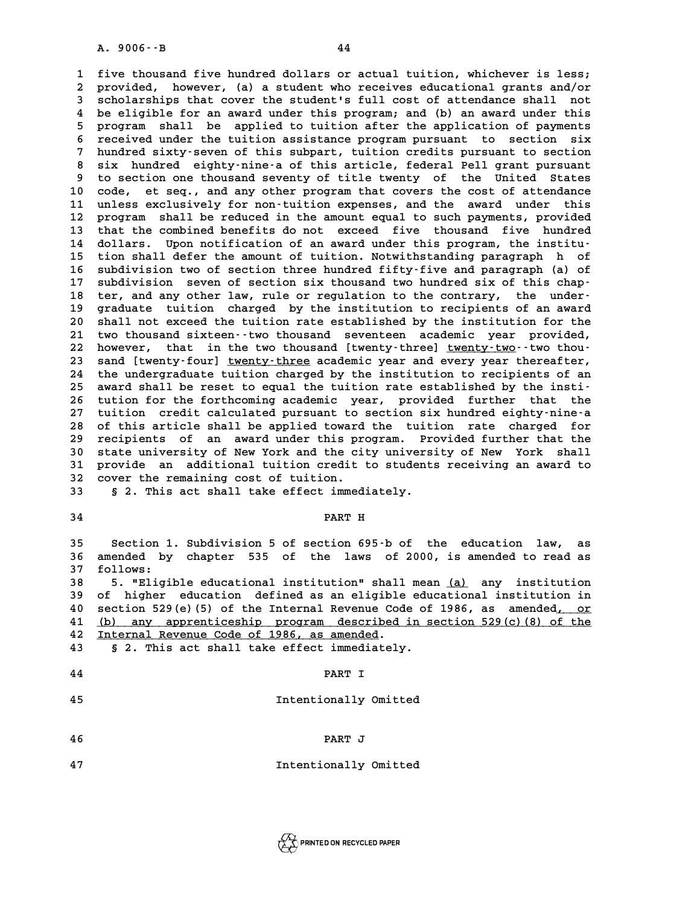A. 9006<sup>--B</sup><br>1 five thousand five hundred dollars or actual tuition, whichever is less;<br>2 provided boyeuer (a) a student who resoives educational graphs and/or **2** five thousand five hundred dollars or actual tuition, whichever is less;<br>2 provided, however, (a) a student who receives educational grants and/or<br>3 scholarships that gover the studentls full gost of attendance shall, 1 five thousand five hundred dollars or actual tuition, whichever is less;<br>2 provided, however, (a) a student who receives educational grants and/or<br>3 scholarships that cover the student's full cost of attendance shall not provided, however, (a) a student who receives educational grants and/or<br>3 scholarships that cover the student's full cost of attendance shall not<br>4 be eligible for an award under this program; and (b) an award under this<br>5 5 scholarships that cover the student's full cost of attendance shall not<br>4 be eligible for an award under this program; and (b) an award under this<br>5 program shall be applied to tuition after the application of payments<br>5 4 be eligible for an award under this program; and (b) an award under this<br>5 program shall be applied to tuition after the application of payments<br>6 received under the tuition assistance program pursuant to section six<br>7 h 5 program shall be applied to tuition after the application of payments<br>6 received under the tuition assistance program pursuant to section six<br>7 hundred sixty-seven of this subpart, tuition credits pursuant to section<br>8 s **8** received under the tuition assistance program pursuant to section six<br> **8 six hundred eighty-nine-a of this article, federal Pell grant pursuant**<br> **8 six hundred eighty-nine-a of this article, federal Pell grant pursua** Poundred sixty-seven of this subpart, tuition credits pursuant to section<br>8 six hundred eighty-nine-a of this article, federal Pell grant pursuant<br>9 to section one thousand seventy of title twenty of the United States<br>2010 8 six hundred eighty-nine-a of this article, federal Pell grant pursuant<br>
9 to section one thousand seventy of title twenty of the United States<br>
10 code, et seq., and any other program that covers the cost of attendance<br> 9 to section one thousand seventy of title twenty of the United States<br>10 code, et seq., and any other program that covers the cost of attendance<br>11 unless exclusively for non-tuition expenses, and the award under this<br>12 10 code, et seq., and any other program that covers the cost of attendance<br>11 unless exclusively for non-tuition expenses, and the award under this<br>12 program shall be reduced in the amount equal to such payments, provided 11 unless exclusively for non-tuition expenses, and the award under this<br>12 program shall be reduced in the amount equal to such payments, provided<br>13 that the combined benefits do not exceed five thousand five hundred<br>14 12 program shall be reduced in the amount equal to such payments, provided<br>
13 that the combined benefits do not exceed five thousand five hundred<br>
14 dollars. Upon notification of an award under this program, the institu-**13** that the combined benefits do not exceed five thousand five hundred<br>14 dollars. Upon notification of an award under this program, the institu-<br>15 tion shall defer the amount of tuition. Notwithstanding paragraph h of<br> 14 dollars. Upon notification of an award under this program, the institu-<br>15 tion shall defer the amount of tuition. Notwithstanding paragraph h of<br>16 subdivision two of section three hundred fifty-five and paragraph (a) 15 tion shall defer the amount of tuition. Notwithstanding paragraph h of<br>16 subdivision two of section three hundred fifty-five and paragraph (a) of<br>17 subdivision seven of section six thousand two hundred six of this cha 16 subdivision two of section three hundred fifty-five and paragraph (a) of<br>17 subdivision seven of section six thousand two hundred six of this chap-<br>18 ter, and any other law, rule or regulation to the contrary, the unde 17 subdivision seven of section six thousand two hundred six of this chap-<br>18 ter, and any other law, rule or regulation to the contrary, the under-<br>19 graduate tuition charged by the institution to recipients of an award<br> 18 ter, and any other law, rule or regulation to the contrary, the under-<br>19 graduate tuition charged by the institution to recipients of an award<br>20 shall not exceed the tuition rate established by the institution for the 19 graduate tuition charged by the institution to recipients of an award<br>20 shall not exceed the tuition rate established by the institution for the<br>21 two thousand sixteen--two thousand seventeen academic year provided, 20 shall not exceed the tuition rate established by the institution for the<br>21 two thousand sixteen--two thousand seventeen academic year provided,<br>22 however, that in the two thousand [twenty-three] <u>twenty-two</u>--two thou 21 two thousand sixteen--two thousand seventeen academic year provided,<br>22 however, that in the two thousand [twenty-three] <u>twenty-two</u>--two thou-<br>23 sand [twenty-four] <u>twenty-three</u> academic year and every year thereaft 22 however, that in the two thousand [twenty-three] <u>twenty-two</u>--two thou-<br>23 sand [twenty-four] <u>twenty-three</u> academic year and every year thereafter,<br>24 the undergraduate tuition charged by the institution to recipient 23 sand [twenty-four] <u>twenty-three</u> academic year and every year thereafter,<br>
24 the undergraduate tuition charged by the institution to recipients of an<br>
25 award shall be reset to equal the tuition rate established by t 24 the undergraduate tuition charged by the institution to recipients of an<br>25 award shall be reset to equal the tuition rate established by the insti-<br>26 tution for the forthcoming academic year, provided further that the 25 award shall be reset to equal the tuition rate established by the insti-<br>26 tution for the forthcoming academic year, provided further that the<br>27 tuition credit calculated pursuant to section six hundred eighty-nine-a<br> 26 tution for the forthcoming academic year, provided further that the<br>27 tuition credit calculated pursuant to section six hundred eighty-nine-a<br>28 of this article shall be applied toward the tuition rate charged for<br>29 r 27 tuition credit calculated pursuant to section six hundred eighty-nine-a<br>28 of this article shall be applied toward the tuition rate charged for<br>29 recipients of an award under this program. Provided further that the<br>20 28 of this article shall be applied toward the tuition rate charged for<br>29 recipients of an award under this program. Provided further that the<br>30 state university of New York and the city university of New York shall<br>31 p **39 recipients of an award under this program. Provided further that the state university of New York and the city university of New York shall provide an additional tuition credit to students receiving an award to**<br>32 gov 30 state university of New York and the ci<br>31 provide an additional tuition credit<br>32 cover the remaining cost of tuition.<br>33 5.2 This act shall take effect immed 31 provide an additional tuition credit to students receiving an award to<br>32 cover the remaining cost of tuition.<br>33 § 2. This act shall take effect immediately.

**5 2. This act shall take effect immediately.**<br>**34** PART H

**35 Section 1. Subdivision 5 of section 695-b of the education law, as 36 amended by chapter 535 of the laws of 2000, is amended to read as** 35 Section 1<br>36 amended by<br>37 follows: **36 amended by chapter 535 of the laws of 2000, is amended to read as<br>37 follows:<br>38 5. "Eligible educational institution" shall mean (a) any institution<br>39 of bigber education defined as an eligible educational institutio 59 37 follows:**<br> **38 5. "Eligible educational institution" shall mean <u>(a)</u> any institution<br>
<b>39 of higher education defined as an eligible educational institution in**<br> **40 section 529(e)(5) of the Internal Revenue Code o 40 section 529(e)(5) of the Internal Revenue Code of 1986, as amended, or \_\_\_\_\_** of higher education defined as an eligible educational institution in<br>40 section 529(e)(5) of the Internal Revenue Code of 1986, as amended<u>, or</u><br>41 (b) any apprenticeship program described in section 529(c)(8) of the<br>42 I 40 section 529(e)(5) of the Internal Revenue Cod<br>41 <u>(b) any apprenticeship program described</u><br>42 Internal Revenue Code of 1986, as amended.<br>43 5.2 This 29t Shall take of foot immediately 41 <u>(b) any apprenticeship program described in s</u><br>42 <u>Internal Revenue Code of 1986, as amended</u>.<br>43 § 2. This act shall take effect immediately. 12 Internal Revenue Code of 1986, as amended.<br>
43 S 2. This act shall take effect immediately.<br>
44 PART I **44** PART I<br>45 Intentionally Omitted **46 PART J 46** PART J<br>**47** Intentionally Omitted

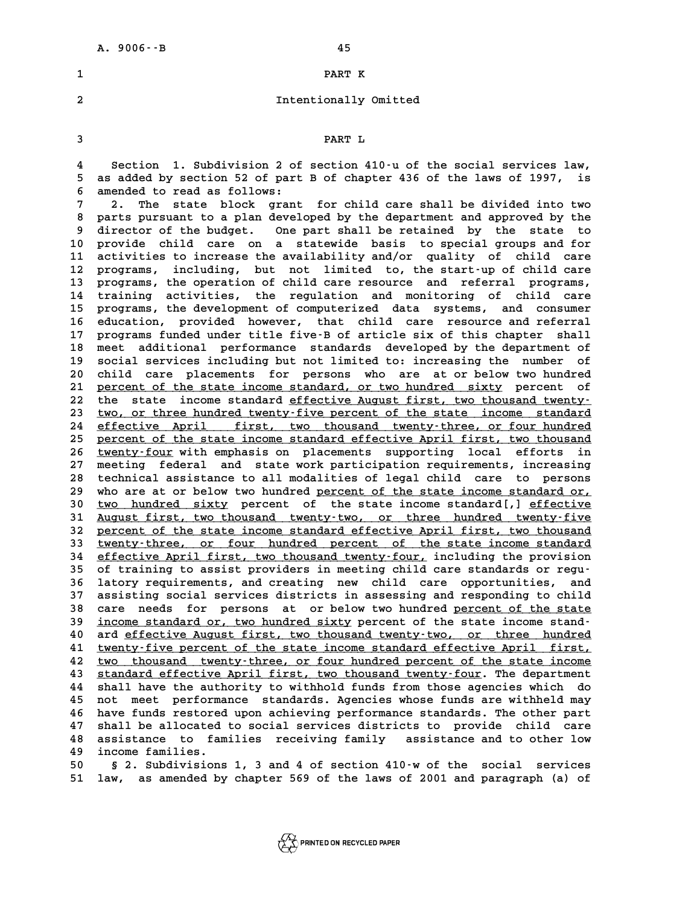PART K<br>
2 Intentionally Omitted<br>
2

# **3 PART L**

**PART L**<br>**4** Section 1. Subdivision 2 of section 410-u of the social services law,<br>5 25 244cd by section 52 of part B of chapter 436 of the lays of 1997, is **5 4 Section 1. Subdivision 2 of section 410–u of the social services law,<br>5 as added by section 52 of part B of chapter 436 of the laws of 1997, is** Section 1. Subdivision 2 of section 410<sup>-</sup>u of the social services law,<br>5 as added by section 52 of part B of chapter 436 of the laws of 1997, is<br>6 amended to read as follows:<br>7 2. The state block grant for child care shal 5 as added by section 52 of part B of chapter 436 of the laws of 1997, is<br>6 amended to read as follows:<br>7 2. The state block grant for child care shall be divided into two<br>8 parts pursuant to a plan developed by the depart

**8 parts pursuant to a plan developed by the department and approved by the** 2. The state block grant for child care shall be divided into two<br>8 parts pursuant to a plan developed by the department and approved by the<br>9 director of the budget. One part shall be retained by the state to<br>8 provide ch 8 parts pursuant to a plan developed by the department and approved by the<br>9 director of the budget. One part shall be retained by the state to<br>10 provide child care on a statewide basis to special groups and for<br>11 activi 9 director of the budget. One part shall be retained by the state to<br>10 provide child care on a statewide basis to special groups and for<br>11 activities to increase the availability and/or quality of child care<br>12 programs 10 provide child care on a statewide basis to special groups and for<br>11 activities to increase the availability and/or quality of child care<br>12 programs, including, but not limited to, the start-up of child care<br>13 program **13 programs, the operation of child care resource and referral programs, 14 training activities, the regulation and monitoring of child care 13 programs, the operation of child care resource and referral programs,<br>14 training activities, the regulation and monitoring of child care<br>15 programs, the development of computerized data systems, and consumer<br>26 progr** 14 training activities, the regulation and monitoring of child care<br>15 programs, the development of computerized data systems, and consumer<br>16 education, provided however, that child care resource and referral<br>17 programs 15 programs, the development of computerized data systems, and consumer<br>16 education, provided however, that child care resource and referral<br>17 programs funded under title five-B of article six of this chapter shall<br>18 mo 16 education, provided however, that child care resource and referral<br>17 programs funded under title five-B of article six of this chapter shall<br>18 meet additional performance standards developed by the department of<br>19 so 17 programs funded under title five-B of article six of this chapter shall<br>18 meet additional performance standards developed by the department of<br>19 social services including but not limited to: increasing the number of<br>2 18 meet additional performance standards developed by the department of<br>19 social services including but not limited to: increasing the number of<br>20 child care placements for persons who are at or below two hundred<br>21 pers 20 social services including but not limited to: increasing the number of<br>20 child care placements for persons who are at or below two hundred<br>21 <u>percent of the state income standard</u>, or two hundred sixty percent of<br>the 20 child care placements for persons who are at or below two hundred<br>21 <u>percent of the state income standard, or two hundred sixty</u> percent of<br>22 the state income standard <u>effective August first, two thousand twenty</u>-<br>23 percent of the state income standard, or two hundred sixty percent of 22 the state income standard <u>effective August first, two thousand twenty-</u><br>23 <u>two, or three hundred twenty-five percent of the state income standard</u><br>24 <u>effective April first, two thousand twenty-three, or four hundred</u> 23 <u>two, or three hundred twenty-five percent of the state income standard</u><br>24 <u>effective April first, two thousand twenty-three, or four hundred</u><br>25 percent of the state income standard effective April first, two thousand 24 effective April first, two thousand twenty-three, or four hundred<br>25 percent of the state income standard effective April first, two thousand<br>26 <u>twenty-four</u> with emphasis on placements supporting local efforts in<br>27 m **25 percent of the state income standard effective April first, two thousand**<br>26 <u>twenty-four</u> with emphasis on placements supporting local efforts in<br>27 meeting federal and state work participation requirements, increasin **26 twenty-four with emphasis on placements supporting local efforts in**<br>27 meeting federal and state work participation requirements, increasing<br>28 technical assistance to all modalities of legal child care to persons<br>29 27 meeting federal and state work participation requirements, increasing<br>28 technical assistance to all modalities of legal child care to persons<br>29 who are at or below two hundred <u>percent of the state income standard or,</u> 28 technical assistance to all modalities of legal child care to persons<br>29 who are at or below two hundred <u>percent of the state income standard or,</u><br>30 <u>two hundred sixty</u> percent of the state income standard[,] effectiv who are at or below two hundred <u>percent of the state income standard or,</u><br>30 <u>two hundred sixty</u> percent of the state income standard[,] effective<br>31 <u>August first, two thousand twenty-two, or three hundred twenty-five</u><br>2 30 <u>two hundred sixty</u> percent of the state income standard[,] effective<br>31 <u>August first, two thousand twenty-two, or three hundred twenty-five<br>32 percent of the state income standard effective April first, two thousand<br>3</u> 31 August first, two thousand twenty-two, or three hundred twenty-five<br>32 percent of the state income standard effective April first, two thousand<br>33 <u>twenty-three, or four hundred percent of the state income standard</u><br>34 32 percent of the state income standard effective April first, two thousand<br>33 <u>twenty-three, or four hundred percent of the state income standard</u><br>34 <u>effective April first, two thousand twenty-four,</u> including the provis **33** twenty-three, or four hundred percent of the state income standard<br> **34** effective April first, two thousand twenty-four, including the provision<br>
35 of training to assist providers in meeting child care standards or **34 effective April first, two thousand twenty-four, including the provision**<br>35 of training to assist providers in meeting child care standards or regu-<br>36 latory requirements, and creating new child care opportunities, a 35 of training to assist providers in meeting child care standards or regu-<br>36 latory requirements, and creating new child care opportunities, and<br>37 assisting social services districts in assessing and responding to child 36 latory requirements, and creating new child care opportunities, and<br>37 assisting social services districts in assessing and responding to child<br>38 care needs for persons at or below two hundred <u>percent of the state</u><br>in 37 assisting social services districts in assessing and responding to child<br>38 care needs for persons at or below two hundred <u>percent of the state</u><br>39 <u>income standard or, two hundred sixty</u> percent of the state income st 38 care needs for persons at or below two hundred <u>percent of the state</u><br>39 <u>income standard or, two hundred sixty</u> percent of the state income stand-<br>40 ard <u>effective August first, two thousand twenty-two, or three hundr</u> 39 <u>income standard or, two hundred sixty</u> percent of the state income stand-<br>40 ard <u>effective August first, two thousand twenty-two, or three hundred</u><br>41 <u>twenty-five percent of the state income standard effective April </u> and <u>effective August first, two thousand twenty-two, or three hundred</u><br> **42** <u>two thousand twenty-three, or four hundred percent of the state income</u><br> **42** <u>two thousand twenty-three, or four hundred percent of the state </u> 41 <u>twenty-five percent of the state income standard effective April first,</u><br>42 <u>two thousand twenty-three, or four hundred percent of the state income</u><br>43 <u>standard effective April first, two thousand twenty-four</u>. The de **42 two thousand twenty-three, or four hundred percent of the state income**<br>43 standard effective April first, two thousand twenty-four. The department<br>44 shall have the authority to withhold funds from those agencies whic 43 standard effective April first, two thousand twenty-four. The department<br>44 shall have the authority to withhold funds from those agencies which do<br>45 not meet performance standards. Agencies whose funds are withheld ma 44 shall have the authority to withhold funds from those agencies which do<br>45 not meet performance standards. Agencies whose funds are withheld may<br>46 have funds restored upon achieving performance standards. The other par 45 not meet performance standards. Agencies whose funds are withheld may<br>46 have funds restored upon achieving performance standards. The other part<br>47 shall be allocated to social services districts to provide child care<br> 46 have funds restored upon achieving performance standards. The other part<br>47 shall be allocated to social services districts to provide child care<br>48 assistance to families receiving family assistance and to other low<br><sup>4</sup> 47 shall be allocated<br>48 assistance to fam<br>49 income families.<br>50 5.2 Subdivisions **50 § 2. Subdivisions 1, 3 and 4 of section 410-w of the social services**

**49** income families.<br>50 § 2. Subdivisions 1, 3 and 4 of section 410 w of the social services<br>51 law, as amended by chapter 569 of the laws of 2001 and paragraph (a) of

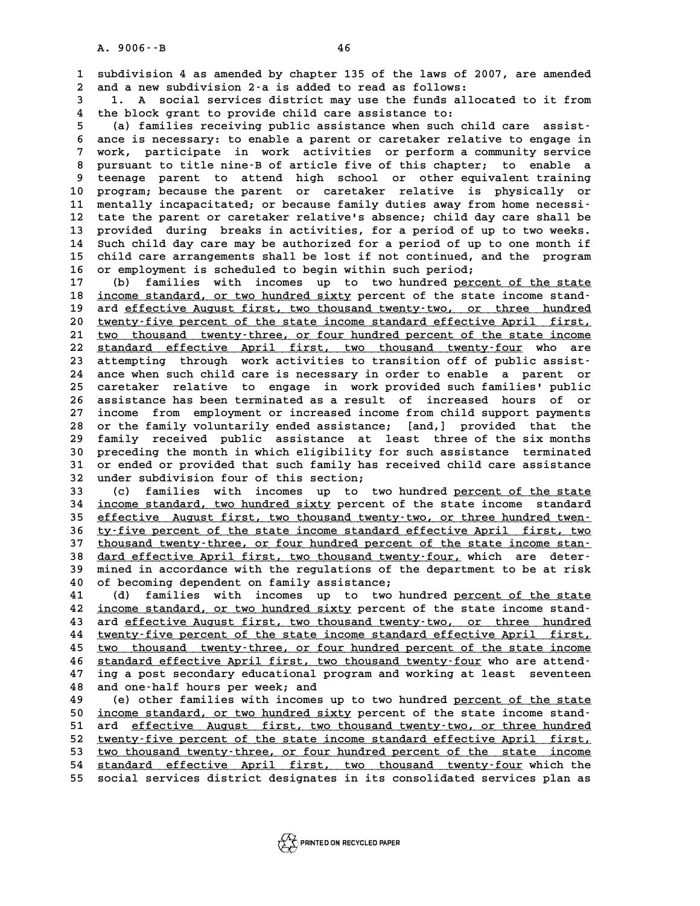**1 subdivision 4 as amended by chapter 135 of the laws of 2007, are amended 2** subdivision 4 as amended by chapter 135 of the laws of 20<br>2 and a new subdivision 2 a is added to read as follows:<br>3 1 A social services district may use the funds alloc **3** 1. A social services district may use the laws of 2007, are amended<br> **3** and a new subdivision 2-a is added to read as follows:<br> **3** 1. A social services district may use the funds allocated to it from

2 and a new subdivision 2-a is added to read as follows:<br>
4 the block grant to provide child care assistance to:<br>
<sup>4</sup> (a) families resoluting public assistance when such sh 1. A social services district may use the funds allocated to it from<br>
4 the block grant to provide child care assistance to:<br>
5 (a) families receiving public assistance when such child care assist-<br>
5 angeles possessive to

4 the block grant to provide child care assistance to:<br>
5 (a) families receiving public assistance when such child care assist-<br>
6 ance is necessary: to enable a parent or caretaker relative to engage in<br>
7 work, participa <sup>5</sup> (a) families receiving public assistance when such child care assist-<br>
<sup>6</sup> ance is necessary: to enable a parent or caretaker relative to engage in<br>
7 work, participate in work activities or perform a community service 8 ance is necessary: to enable a parent or caretaker relative to engage in<br>
7 work, participate in work activities or perform a community service<br>
8 pursuant to title nine-B of article five of this chapter; to enable a<br>
1 **9 work, participate in work activities or perform a community service**<br>**9 teenage parent to attend high school or other equivalent training**<br>**9 teenage parent to attend high school or other equivalent training**<br>**0 program** 8 pursuant to title nine-B of article five of this chapter; to enable a<br>9 teenage parent to attend high school or other equivalent training<br>10 program; because the parent or caretaker relative is physically or<br>11 mentally 9 teenage parent to attend high school or other equivalent training<br>
10 program; because the parent or caretaker relative is physically or<br>
11 mentally incapacitated; or because family duties away from home necessi-<br>
<sup>12</sup> 10 program; because the parent or caretaker relative is physically or<br>11 mentally incapacitated; or because family duties away from home necessi-<br>12 tate the parent or caretaker relative's absence; child day care shall be<br> 11 mentally incapacitated; or because family duties away from home necessi-<br>12 tate the parent or caretaker relative's absence; child day care shall be<br>13 provided during breaks in activities, for a period of up to two wee 12 tate the parent or caretaker relative's absence; child day care shall be<br>13 provided during breaks in activities, for a period of up to two weeks.<br>14 Such child day care may be authorized for a period of up to one month 13 provided during breaks in activities, for a period of up to two weeks.<br>14 Such child day care may be authorized for a period of up to one month if<br>15 child care arrangements shall be lost if not continued, and the progr **16 or employment is scheduled to begin within such period;**

17 (b) families with incomes up to two hundred <u>percent of the state</u><br>18 income standard, or two hundred sixty percent of the state income stand-16 or employment is scheduled to begin within such period;<br>17 (b) families with incomes up to two hundred <u>percent of the state</u><br>18 <u>income standard, or two hundred sixty</u> percent of the state income stand-<br>20 indicate inc 17 (b) families with incomes up to two hundred <u>percent of the state</u><br>18 <u>income standard, or two hundred sixty</u> percent of the state income stand-<br>20 types the state income and the state income at the state of fortive and 18 <u>income standard, or two hundred sixty</u> percent of the state income stand-<br>19 ard <u>effective August first, two thousand twenty-two, or three hundred</u><br>20 <u>twenty-five percent of the state income standard effective April </u> 20 ard <u>effective August first, two thousand twenty-two, or three hundred</u><br>20 <u>twenty-five percent of the state income</u> standard effective April first,<br>21 two thousand twenty-three, or four hundred percent of the state inc 22 <u>standard effective April first, two thousand twenty-four</u> who are<br>23 attempting through work activities to transition off of public assist-21 <u>two thousand twenty-three, or four hundred percent of the state income<br>
22 standard effective April first, two thousand twenty-four who are<br>
23 attempting through work activities to transition off of public assist-<br>
24</u> 22 standard effective April first, two thousand twenty-four who are<br>23 attempting through work activities to transition off of public assist-<br>24 ance when such child care is necessary in order to enable a parent or<br>25 apro 23 attempting through work activities to transition off of public assist-<br>24 ance when such child care is necessary in order to enable a parent or<br>25 caretaker relative to engage in work provided such families' public<br>26 c 24 ance when such child care is necessary in order to enable a parent or<br>25 caretaker relative to engage in work provided such families' public<br>26 assistance has been terminated as a result of increased hours of or<br>27 inco 25 caretaker relative to engage in work provided such families' public<br>26 assistance has been terminated as a result of increased hours of or<br>27 income from employment or increased income from child support payments<br>28 art 26 assistance has been terminated as a result of increased hours of or<br>27 income from employment or increased income from child support payments<br>28 or the family voluntarily ended assistance; [and,] provided that the<br>29 fa 27 income from employment or increased income from child support payments<br>28 or the family voluntarily ended assistance; [and,] provided that the<br>29 family received public assistance at least three of the six months<br>20 pro 28 or the family voluntarily ended assistance; [and,] provided that the<br>29 family received public assistance at least three of the six months<br>30 preceding the month in which eligibility for such assistance terminated<br>31 or 29 family received public assistance at least three of the six months<br>30 preceding the month in which eligibility for such assistance terminated<br>31 or ended or provided that such family has received child care assistance<br>3 30 preceding the month in which eligibility f<br>31 or ended or provided that such family has<br>32 under subdivision four of this section;<br><sup>33</sup> (c) families with incomes up to two 31 or ended or provided that such family has received child care assistance<br>32 under subdivision four of this section;<br>(c) families with incomes up to two hundred <u>percent of the state</u><br>34 income standard two hundred givty

32 under subdivision four of this section;<br>33 (c) families with incomes up to two hundred <u>percent of the state</u><br>34 <u>income standard, two hundred sixty</u> percent of the state income standard<br>35 offective August first, two t 33 (c) families with incomes up to two hundred <u>percent of the state</u><br>34 <u>income standard, two hundred sixty</u> percent of the state income standard<br>35 <u>effective August first, two thousand twenty-two, or three hundred twen-</u> 34 <u>income standard, two hundred sixty</u> percent of the state income standard<br>35 <u>effective August first, two thousand twenty-two, or three hundred twen-</u><br>36 <u>ty-five percent of the state income standard effective April fir</u> 35 effective August first, two thousand twenty-two, or three hundred twen-<br>36 ty-five percent of the state income standard effective April first, two<br>37 thousand twenty-three, or four hundred percent of the state income st 36 ty-five percent of the state income standard effective April first, two<br>37 thousand twenty-three, or four hundred percent of the state income stan-<br>38 dard effective April first, two thousand twenty-four, which are dete 37 thousand twenty-three, or four hundred percent of the state income stan-<br>38 dard effective April first, two thousand twenty-four, which are deter-<br>39 mined in accordance with the regulations of the department to be at r dard effective April first, two thousand twenty-four, which are deter-<br> **40** of becoming dependent on family assistance;<br> **41** (d) families with incomes up to two hundred percent of the state

41 (d) families with incomes up to two hundred <u>percent of the state</u><br>42 <u>income standard, or two hundred sixty</u> percent of the state income stand-**42** <u>income standard, or two hundred sixty</u> percent of the state income stand-<br>43 ard effective August first, two thousand twenty-two, or three hundred 43 ard <u>effective August first, two thousand twenty-two, or three hundred</u><br>44 twenty-five percent of the state income standard effective April first, **42 income standard, or two hundred sixty percent of the state income stand-**<br>43 ard <u>effective August first, two thousand twenty-two, or three hundred</u><br>44 <u>twenty-five percent of the state income standard effective April </u> and <u>effective August first, two thousand twenty-two, or three hundred</u><br>44 <u>twenty-five percent of the state income</u> standard effective April first,<br>45 <u>two thousand twenty-three, or four hundred percent of the state incom</u> **44** <u>twenty-five percent of the state income standard effective April first,</u><br>45 <u>two thousand twenty-three, or four hundred percent of the state income</u><br>46 <u>standard effective April first, two thousand twenty-four</u> who a 45 <u>two thousand twenty-three, or four hundred percent of the state income</u><br>46 <u>standard effective April first, two thousand twenty-four</u> who are attend-<br>47 ing a post secondary educational program and working at least sev 46 **standard effective April first, two**<br>47 ing a post secondary educational pr<br>48 and one-half hours per week; and<br>49 (c) other families with incomes w ing a post secondary educational program and working at least seventeen<br>
48 and one-half hours per week; and<br>
49 (e) other families with incomes up to two hundred <u>percent of the state</u><br>
50 income standard ar two hundred s

and one-half hours per week; and<br>
49 (e) other families with incomes up to two hundred <u>percent of the state</u><br>
50 <u>income standard, or two hundred sixty</u> percent of the state income stand-<br>
51 ard effective August first, t 49 (e) other families with incomes up to two hundred <u>percent of the state</u><br>50 <u>income standard, or two hundred sixty</u> percent of the state income stand-<br>51 ard <u>effective August first, two thousand twenty-two, or three hu</u> 50 <u>income standard, or two hundred sixty</u> percent of the state income stand-<br>51 ard <u>effective August first, two thousand twenty-two, or three hundred</u><br>52 <u>twe thousand twenty-three</u> or four hundred percent of the state i 51 ard <u>effective August first, two thousand twenty-two, or three hundred</u><br>52 <u>two thousand twenty-three, or four hundred percent of the state income</u><br>54 standard effective April first, two thousand twenty-four which the 52 <u>twenty-five percent of the state income standard effective April first,</u><br>53 <u>two thousand twenty-three, or four hundred percent of the state income</u><br>54 standard effective April first, two thousand twenty-four which the 53 two thousand twenty-three, or four hundred percent of the state income<br>54 standard effective April first, two thousand twenty-four which the<br>55 social services district designates in its consolidated services plan as

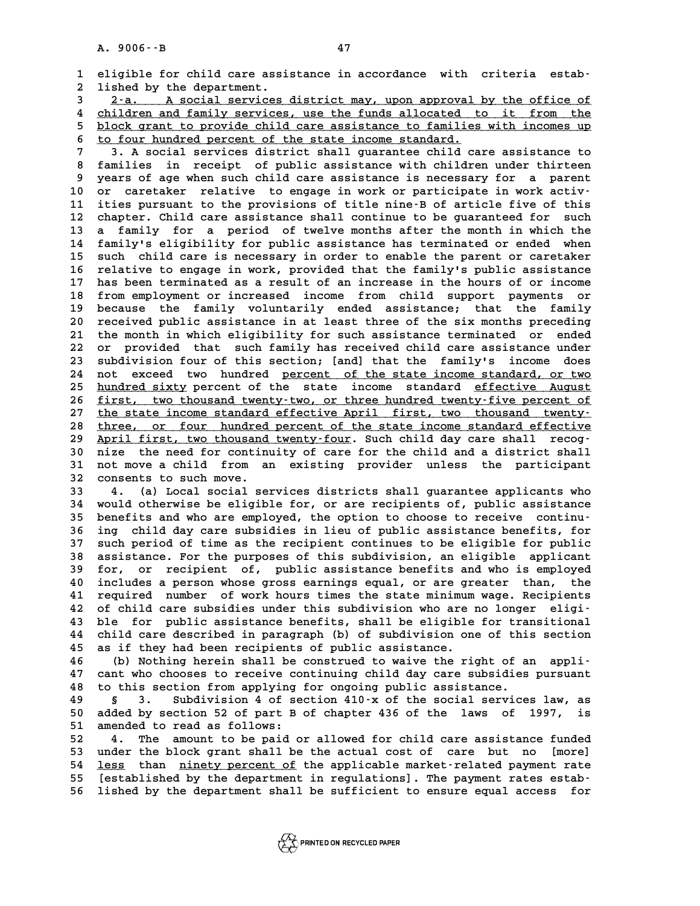A. 9006<sup>--B</sup><br>1 eligible for child care assistance in accordance with criteria estab-<br>2 lighed by the department **2** eligible for child care assi<br>2 lished by the department. 2 1 eligible for child care assistance in accordance with criteria estab-<br>
2 lished by the department.<br>
3 <u>2-a. A social services district may, upon approval by the office of</u><br>
4 children and family services, use the funds

4 lished by the department.<br>
4 <u>2.a. A social services district may, upon approval by the office of</u><br>
4 <u>children and family services, use the funds allocated to it from the</u><br>
5 block grapt to provide child gare aggistance 3 <u>2.a. A social services district may, upon approval by the office of children and family services, use the funds allocated to it from the block grant to provide child care assistance to families with incomes up</u> 6 <u>block grant to provide child care assistance to families with incomes up</u><br>6 <u>to four hundred percent of the state income standard.</u><br>7 3. A social services district shall quarantee child care assistance to **7 3. A social services district shall guarantee child care assistance to**

**8 to four hundred percent of the state income standard.**<br> **8 families in receipt of public assistance with children under thirteen**<br> **8 families in receipt of public assistance with children under thirteen**<br> **8 work of 20** 3. A social services district shall guarantee child care assistance to<br>8 families in receipt of public assistance with children under thirteen<br>9 years of age when such child care assistance is necessary for a parent<br>2. Con 8 families in receipt of public assistance with children under thirteen<br>
9 years of age when such child care assistance is necessary for a parent<br>
10 or caretaker relative to engage in work or participate in work activ-<br>
<sup></sup> 9 years of age when such child care assistance is necessary for a parent<br>10 or caretaker relative to engage in work or participate in work activ-<br>11 ities pursuant to the provisions of title nine-B of article five of this<br> **10** or caretaker relative to engage in work or participate in work activ-<br>11 ities pursuant to the provisions of title nine-B of article five of this<br>12 chapter. Child care assistance shall continue to be guaranteed for s 11 ities pursuant to the provisions of title nine-B of article five of this<br>12 chapter. Child care assistance shall continue to be guaranteed for such<br>13 a family for a period of twelve months after the month in which the<br> 12 chapter. Child care assistance shall continue to be guaranteed for such<br>13 a family for a period of twelve months after the month in which the<br>14 family's eligibility for public assistance has terminated or ended when<br>1 13 a family for a period of twelve months after the month in which the<br>14 family's eligibility for public assistance has terminated or ended when<br>15 such child care is necessary in order to enable the parent or caretaker<br>1 14 family's eligibility for public assistance has terminated or ended when<br>15 such child care is necessary in order to enable the parent or caretaker<br>16 relative to engage in work, provided that the family's public assista 15 such child care is necessary in order to enable the parent or caretaker<br>16 relative to engage in work, provided that the family's public assistance<br>17 has been terminated as a result of an increase in the hours of or in 16 relative to engage in work, provided that the family's public assistance<br>17 has been terminated as a result of an increase in the hours of or income<br>18 from employment or increased income from child support payments or<br> 17 has been terminated as a result of an increase in the hours of or income<br>18 from employment or increased income from child support payments or<br>19 because the family voluntarily ended assistance; that the family<br>20 resol 18 from employment or increased income from child support payments or<br>19 because the family voluntarily ended assistance; that the family<br>20 received public assistance in at least three of the six months preceding<br>21 the m 19 because the family voluntarily ended assistance; that the family<br>20 received public assistance in at least three of the six months preceding<br>21 the month in which eligibility for such assistance terminated or ended<br>22 o **22 or provided that such family has received child care assistance under** 21 the month in which eligibility for such assistance terminated or ended<br>22 or provided that such family has received child care assistance under<br>23 subdivision four of this section; [and] that the family's income does<br>24 22 or provided that such family has received child care assistance under<br>23 subdivision four of this section; [and] that the family's income does<br>24 not exceed two hundred <u>percent of the state income standard, or two</u><br>25 23 subdivision four of this section; [and] that the family's income does<br>24 not exceed two hundred <u>percent of the state income standard, or two</u><br>25 <u>hundred sixty</u> percent of the state income standard <u>effective August</u><br>2 24 not exceed two hundred <u>percent of the state income standard, or two</u><br>25 <u>hundred sixty</u> percent of the state income standard <u>effective August</u><br>26 <u>first, two thousand twenty-two, or three hundred twenty-five percent o</u> 26 <u>first, two thousand twenty-two, or three hundred twenty-five percent of the state income standard effective April first, two thousand twenty-<br>28 three, or four hundred percent of the state income standard effective</u> 26 <u>first, two thousand twenty-two, or three hundred twenty-five percent of the state income standard effective April first, two thousand twenty-<br>28 three, or four hundred percent of the state income standard effective<br>29 </u> The state income standard effective April first, two thousand twenty-<br>
28 three, or four hundred percent of the state income standard effective<br>
29 April first, two thousand twenty-four. Such child day care shall recog-<br>
2 **30 three, or four hundred percent of the state income standard effective**<br> **30 April first, two thousand twenty-four.** Such child day care shall recog-<br>
30 nize the need for continuity of care for the child and a district **39 April first, two thousand twenty-four.** Such child day care shall recog-<br>30 nize the need for continuity of care for the child and a district shall<br>31 not move a child from an existing provider unless the participant 30 nize the need for continent<br>31 not move a child from a<br>32 consents to such move.

31 not move a child from an existing provider unless the participant<br>32 consents to such move.<br>33 4. (a) Local social services districts shall guarantee applicants who<br>34 would otherwise be eligible for, or are recipients **32 consents to such move.**<br> **33 4. (a) Local social services districts shall guarantee applicants who**<br> **34 would otherwise be eligible for, or are recipients of, public assistance**<br> **25 benefits and who are employed, the 4.** (a) Local social services districts shall guarantee applicants who would otherwise be eligible for, or are recipients of, public assistance benefits and who are employed, the option to choose to receive continu-<br> **35 34 would otherwise be eligible for, or are recipients of, public assistance**<br>35 benefits and who are employed, the option to choose to receive continu-<br>36 ing child day care subsidies in lieu of public assistance benefits 35 benefits and who are employed, the option to choose to receive continu-<br>36 ing child day care subsidies in lieu of public assistance benefits, for<br>37 such period of time as the recipient continues to be eligible for pub **36 ing child day care subsidies in lieu of public assistance benefits, for such period of time as the recipient continues to be eligible for public assistance. For the purposes of this subdivision, an eligible applicant o** 37 such period of time as the recipient continues to be eligible for public<br>38 assistance. For the purposes of this subdivision, an eligible applicant<br>39 for, or recipient of, public assistance benefits and who is employed **40 includes a person whose set of this subdivision, an eligible applicant**<br>**40 includes a person whose gross earnings equal, or are greater than, the**<br>**41 required number of work bours times the state minimum wage. Begini** 39 for, or recipient of, public assistance benefits and who is employed<br>40 includes a person whose gross earnings equal, or are greater than, the<br>41 required number of work hours times the state minimum wage. Recipients<br>42 **42 of child care subsidies under this subdivision who are no longer eligi-41 required number of work hours times the state minimum wage. Recipients**<br>**42 of child care subsidies under this subdivision who are no longer eligi-**<br>**43 ble for public assistance benefits, shall be eligible for transit 42 of child care subsidies under this subdivision who are no longer eligi-**<br>**43 ble for public assistance benefits, shall be eligible for transitional**<br>**44 child care described in paragraph (b) of subdivision one of this** A ble for public assistance benefits, shall be eligible<br>
44 child care described in paragraph (b) of subdivision on<br>
45 as if they had been recipients of public assistance.<br>
<sup>46</sup> (b) Nothing bensin shall be construed to va % thild care described in paragraph (b) of subdivision one of this section<br>
45 as if they had been recipients of public assistance.<br>
46 (b) Nothing herein shall be construed to waive the right of an appli-<br>
47 cant who cho

**45 as if they had been recipients of public assistance.**<br>**46** (b) Nothing herein shall be construed to waive the right of an appli-<br>**47 cant who chooses to receive continuing child day care subsidies pursuant**<br>**48 to this 46** (b) Nothing herein shall be construed to waive the right of a<br>47 cant who chooses to receive continuing child day care subsidies<br>48 to this section from applying for ongoing public assistance. 47 cant who chooses to receive continuing child day care subsidies pursuant<br>48 to this section from applying for ongoing public assistance.<br>49 \$ 3. Subdivision 4 of section 410-x of the social services law, as<br>50 added by

**50 added by section from applying for ongoing public assistance.**<br> **50 added by section 52 of part B of chapter 436 of the laws of 1997, is**<br> **51 amended to read as follows: 51 and as Subdivision 4 of se**<br> **50 added by section 52 of part B**<br> **51 amended to read as follows:**<br> **52** 4 The amount to be paid of **50 added by section 52 of part B of chapter 436 of the laws of 1997, is<br>51 amended to read as follows:<br>52 4. The amount to be paid or allowed for child care assistance funded<br>53 under the block grant shall be the agtual g** 

51 amended to read as follows:<br>52 4. The amount to be paid or allowed for child care assistance funded<br>53 under the block grant shall be the actual cost of care but no [more]<br>54 loss than ninety persont of the applicable m 52 4. The amount to be paid or allowed for child care assistance funded<br>53 under the block grant shall be the actual cost of care but no [more]<br>54 <u>less</u> than <u>ninety percent of</u> the applicable market-related payment rate<br> 53 under the block grant shall be the actual cost of care but no [more]<br>
54 <u>less</u> than <u>ninety percent of</u> the applicable market-related payment rate<br>
55 [established by the department in regulations]. The payment rates e **56 lished by the department shall be sufficient to ensure equal access for**

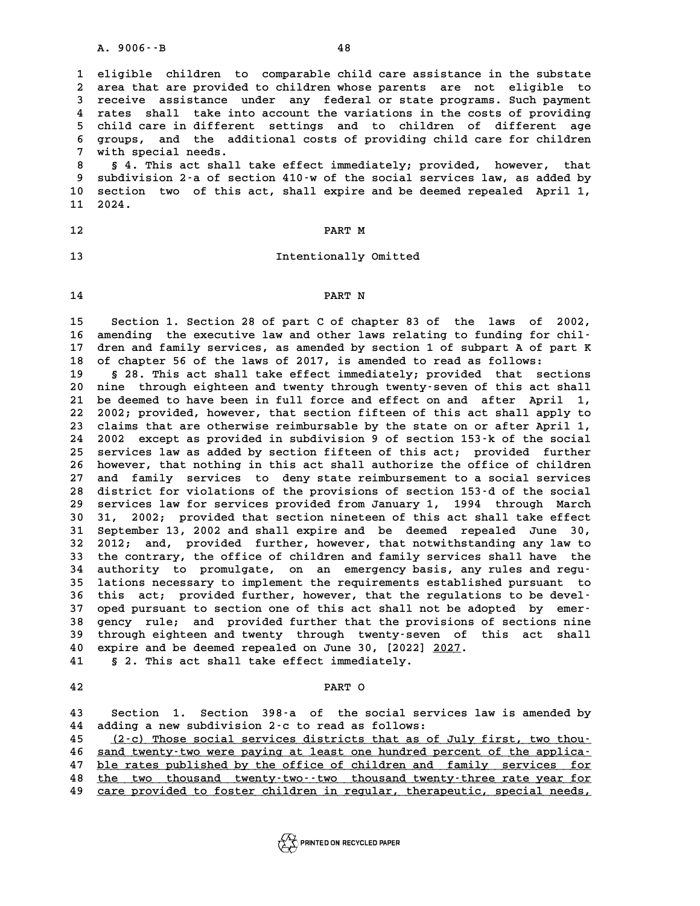**1 eligible children to comparable child care assistance in the substate 2** aligible children to comparable child care assistance in the substate<br>2 area that are provided to children whose parents are not eligible to<br>3 receive assistance under any federal or state programs. Such payment 1 eligible children to comparable child care assistance in the substate<br>2 area that are provided to children whose parents are not eligible to<br>3 receive assistance under any federal or state programs. Such payment<br>4 rates area that are provided to children whose parents are not eligible to<br>3 receive assistance under any federal or state programs. Such payment<br>4 rates shall take into account the variations in the costs of providing<br>5 shild a 3 receive assistance under any federal or state programs. Such payment<br>4 rates shall take into account the variations in the costs of providing<br>5 child care in different settings and to children of different age<br>5 crows an 4 rates shall take into account the variations in the costs of providing<br>5 child care in different settings and to children of different age<br>6 groups, and the additional costs of providing child care for children<br>7 with ap 5 child care in different settings and to children of different age<br>6 groups, and the additional costs of providing child care for children<br>7 with special needs.<br>8 § 4. This act shall take effect immediately; provided, how 8 groups, and the additional costs of providing child care for children<br> **8** § 4. This act shall take effect immediately; provided, however, that<br> **8** subdivision 2-a of section 410-w of the social services law, as added b

**9 subdivision 2-a of section 410-w of the social services law, as added by** 8 § 4. This act shall take effect immediately; provided, however, that<br>9 subdivision 2-a of section 410-w of the social services law, as added by<br>10 section two of this act, shall expire and be deemed repealed April 1,<br><sup>11</sup> 9 subdivis<br>10 section<br>11 2024. **11** 2024.<br>**12** PART M

# **12** PART M<br> **13** Intentionally Omitted

# **14 PART N**

**14 14 14 14 14 14 14 15 Section 1. Section 28 of part C of chapter 83 of the laws of 2002,<br><b>15 aggregation** the executive law and other laws relating to funding for ghil-**15** Section 1. Section 28 of part C of chapter 83 of the laws of 2002,<br>16 amending the executive law and other laws relating to funding for chil-<br>17 dren and family servises, as amended by section 1 of subpart A of part K **15 Section 1. Section 28 of part C of chapter 83 of the laws of 2002,<br>16 amending the executive law and other laws relating to funding for chil-**<br>17 dren and family services, as amended by section 1 of subpart A of part K 16 amending the executive law and other laws relating to funding for c<br>17 dren and family services, as amended by section 1 of subpart A of pa<br>18 of chapter 56 of the laws of 2017, is amended to read as follows:<br><sup>59</sup> mbig 17 dren and family services, as amended by section 1 of subpart A of part K<br>18 of chapter 56 of the laws of 2017, is amended to read as follows:<br>5 28. This act shall take effect immediately; provided that sections<br>20 pine,

18 of chapter 56 of the laws of 2017, is amended to read as follows:<br>19 § 28. This act shall take effect immediately; provided that sections<br>20 nine through eighteen and twenty through twenty-seven of this act shall **22 be deemed to have statushed to have effect immediately; provided that sections**<br>20 nine through eighteen and twenty through twenty-seven of this act shall<br>21 be deemed to have been in full force and effect on and after 20 nine through eighteen and twenty through twenty-seven of this act shall<br>21 be deemed to have been in full force and effect on and after April 1,<br>22 2002; provided, however, that section fifteen of this act shall apply t 21 be deemed to have been in full force and effect on and after April 1,<br>22 2002; provided, however, that section fifteen of this act shall apply to<br>23 claims that are otherwise reimbursable by the state on or after April 22 2002; provided, however, that section fifteen of this act shall apply to<br>23 claims that are otherwise reimbursable by the state on or after April 1,<br>24 2002 except as provided in subdivision 9 of section 153<sup>-</sup>k of the 23 claims that are otherwise reimbursable by the state on or after April 1,<br>24 2002 except as provided in subdivision 9 of section 153 k of the social<br>25 services law as added by section fifteen of this act; provided furth 24 2002 except as provided in subdivision 9 of section 153 k of the social<br>25 services law as added by section fifteen of this act; provided further<br>26 however, that nothing in this act shall authorize the office of childr 25 services law as added by section fifteen of this act; provided further<br>26 however, that nothing in this act shall authorize the office of children<br>27 and family services to deny state reimbursement to a social services<br> 26 however, that nothing in this act shall authorize the office of children<br>27 and family services to deny state reimbursement to a social services<br>28 district for violations of the provisions of section 153-d of the socia 27 and family services to deny state reimbursement to a social services<br>28 district for violations of the provisions of section 153-d of the social<br>29 services law for services provided from January 1, 1994 through March<br>2 28 district for violations of the provisions of section 153-d of the social<br>29 services law for services provided from January 1, 1994 through March<br>30 31, 2002; provided that section nineteen of this act shall take effect **39 services law for services provided from January 1, 1994 through March 30 31, 2002; provided that section nineteen of this act shall take effect september 13, 2002 and shall expire and be deemed repealed June 30,<br>2013: 30 31, 2002; provided that section nineteen of this act shall take effect**<br>**31 September 13, 2002 and shall expire and be deemed repealed June 30,<br><b>32 2012; and, provided further, however, that notwithstanding any law to** 31 September 13, 2002 and shall expire and be deemed repealed June 30,<br>32 2012; and, provided further, however, that notwithstanding any law to<br>33 the contrary, the office of children and family services shall have the<br><sup>34</sup> 32 2012; and, provided further, however, that notwithstanding any law to<br>33 the contrary, the office of children and family services shall have the<br>34 authority to promulgate, on an emergency basis, any rules and regu-<br>35 33 the contrary, the office of children and family services shall have the<br>34 authority to promulgate, on an emergency basis, any rules and regu-<br>35 lations necessary to implement the requirements established pursuant to<br>3 34 authority to promulgate, on an emergency basis, any rules and regu-<br>
35 lations necessary to implement the requirements established pursuant to<br>
36 this act; provided further, however, that the regulations to be devel-<br> **37 oped pursuant to section one of this act shall not be adopted by emer-38 gency rule; and provided further that the provisions of sections nine** 37 oped pursuant to section one of this act shall not be adopted by emer-<br>38 gency rule; and provided further that the provisions of sections nine<br>39 through eighteen and twenty through twenty-seven of this act shall<br>40 cy **40 a 38 ency rule; and provided further that the provisions of through eighteen and twenty through twenty-seven of the expire and be deemed repealed on June 30, [2022] 2027.** <sup>1</sup> 39 through eighteen and twenty through twenty-seve:<br>40 expire and be deemed repealed on June 30, [2022]<br>41 § 2. This act shall take effect immediately. expire and be deemed repealed on June 30, [2022] 2027.<br>41 § 2. This act shall take effect immediately.<br>42 **PART O** 

**42**<br>**43** Section 1. Section 398-a of the social services law is amended by<br>Adding a new subdivision 2:9 to read as follows: **44 adding a new subdivision 2-c to read as follows:** Section 1. Section 398-a of the social services law is amended by<br>44 adding a new subdivision 2-c to read as follows:<br>45 (2-c) Those social services districts that as of July first, two thou-<br>46 sand twenty-two were paying

adding a new subdivision 2-c to read as follows:<br>  $\frac{(2-c)}{\text{Those}}$  Those social services districts that as of July first, two thou-<br> **Sand twenty-two were paying at least one hundred percent of the applica-**<br> **at the services 45** (2.c) Those social services districts that as of July first, two thou-<br>46 <u>sand twenty two were paying at least one hundred percent of the applica-</u><br><u>ble rates published by the office of children and family services f</u> 46 sand twenty-two were paying at least one hundred percent of the applica-<br>47 <u>ble rates published by the office of children and family services for</u><br>48 <u>the two thousand twenty-two--two thousand twenty-three rate year fo</u> A to the set of the set of the set of thildren and family services for the two thousand twenty-two--two thousand twenty-three rate year for care provided to foster children in regular, therapeutic, special needs,

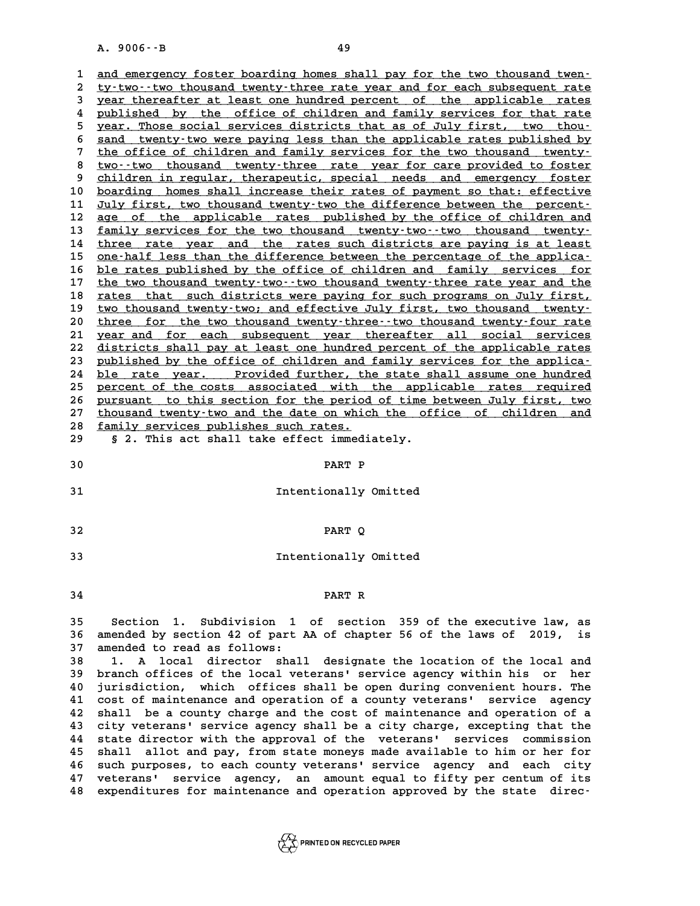A. 9006 · · B<br>1 <u>and emergency foster boarding homes shall pay for the two thousand twen-</u><br>2 ty-tye--tye thousand twenty-three rate year and for each subsequent rate 2 and emergency foster boarding homes shall pay for the two thousand twen-<br>2 ty-two--two thousand twenty-three rate year and for each subsequent rate<br>3 year thereafter at least one hundred persent, of the applicable rates 2 ty-two--two thousand twenty-three rate year and for each subsequent rate<br>3 year thereafter at least one hundred percent of the applicable rates<br>4 published by the office of children and family services for that rate 4 ty-two-two thousand twenty-three rate year and for each subsequent rate<br>
4 published by the office of children and family services for that rate<br>  $\frac{1}{2}$ <br>  $\frac{1}{2}$ <br>  $\frac{1}{2}$ <br>  $\frac{1}{2}$ <br>  $\frac{1}{2}$ <br>  $\frac{1}{2}$ <br>  $\frac{1}{2}$ year thereafter at least one hundred percent of the applicable rates<br>
4 published by the office of children and family services for that rate<br>
<u>pear. Those social services districts that as of July first, two thou-</u><br>
cand 4 published by the office of children and family services for that rate<br>
5 year. Those social services districts that as of July first, two thou-<br>
6 sand twenty-two were paying less than the applicable rates published by<br> year. Those social services districts that as of July first, two thousand twenty-two were paying less than the applicable rates published by the office of children and family services for the two thousand twenty-two thousa 8 sand twenty-two were paying less than the applicable rates published by<br>
<sup>7</sup> the office of children and family services for the two thousand twenty-<br>
<sup>8</sup> two--two thousand twenty-three rate year for care provided to fost the office of children and family services for the two thousand twenty-<br> **8** <u>two--two</u> thousand twenty-three rate year for care provided to foster<br> **children in regular, therapeutic, special needs and emergency foster**<br> 8 <u>two--two thousand twenty-three rate year for care provided to foster</u><br>
9 children in regular, therapeutic, special needs and emergency foster<br>
10 <u>boarding homes shall increase their rates of payment so that: effective</u> 9 children in regular, therapeutic, special needs and emergency foster<br>
10 <u>boarding homes shall increase their rates of payment so that: effective</u><br>
11 July first, two thousand twenty-two the difference between the percen 10 <u>boarding homes shall increase their rates of payment so that: effective<br>11 July first, two thousand twenty two the difference between the percent-<br>12 <u>age of the applicable rates published by the office of children and</u></u> **11 July first, two thousand twenty-two the difference between the percent-**<br> **12 age of the applicable rates published by the office of children and**<br> **13 family services for the two thousand twenty-two--two thousand twen** 12 <u>age of the applicable rates published by the office of children and</u><br>13 <u>family services for the two thousand twenty-two--two thousand twenty-</u><br>14 <u>three rate year and the rates such districts are paying is at least</u><br>2 14 three rate year and the rates such districts are paying is at least<br>15 <u>one-half less than the difference between the percentage of the applica-</u> three rate year and the rates such districts are paying is at least<br>
15 <u>one-half less than the difference between the percentage of the applica-</u><br>
16 <u>ble rates published by the office of children and family services for</u> one-half less than the difference between the percentage of the applica-<br>
16 <u>ble rates published by the office of children and family services for</u><br>
17 <u>the two thousand twenty-two--two thousand twenty-three rate year and</u> ble rates published by the office of children and family services for<br>17 <u>the two thousand twenty-two--two thousand twenty-three rate year and the</u><br>18 <u>rates that such districts were paying for such programs on July first,</u> 17 the two thousand twenty-two--two thousand twenty-three rate year and the rates that such districts were paying for such programs on July first, two thousand twenty-two; and effective July first, two thousand twenty-20 t 20 the two thousand twenty-two; and effective July first, two thousand twenty-<br>
20 three for the two thousand twenty-three--two thousand twenty-four rate<br>
21 year and for each subsequent year thereafter all social services two thousand twenty-two; and effective July first, two thousand twenty-<br>
20 three for the two thousand twenty-three--two thousand twenty-four rate<br>
21 year and for each subsequent year thereafter all social services<br>
22 di three for the two thousand twenty-three--two thousand twenty-four rate<br>
21 year and for each subsequent year thereafter all social services<br>
22 districts shall pay at least one hundred percent of the applicable rates<br>
23 p 21 year and for each subsequent year thereafter all social services<br>
22 districts shall pay at least one hundred percent of the applicable rates<br>
23 published by the office of children and family services for the applica-<br> 22 districts shall pay at least one hundred percent of the applicable rates<br>23 <u>published by the office of children and family services for the applica-</u><br>24 <u>ble rate year.</u> Provided further, the state shall assume one hun <u>published by the office of children and family services for the applicational point of the costs associated with the applicable rates required<br>25 percent of the costs associated with the applicable rates required<br>26 perce</u> 24 <u>ble rate year. Provided further, the state shall assume one hundred</u><br>25 <u>percent of the costs associated with the applicable rates required</u><br>26 <u>pursuant to this section for the period of time between July first, two</u><br> 25 <u>percent of the costs associated with the applicable rates required</u><br>26 <u>pursuant to this section for the period of time between July first, two</u><br>27 <u>thousand twenty-two and the date on which the office of children and</u> 28 <u>family services publishes such rates.</u><br>29 § 2. This act shall take effect imme thousand twenty-two and the date on which the office of children and S 2. This act shall take effect immediately.<br>30 **PART P** 

- 
- **21** Intentionally Omitted<br> **31** Intentionally Omitted
- **32 PART Q**
- **32** PART Q<br> **33** Intentionally Omitted
- **34 PART R**

<sup>34</sup> PART R<br>35 Section 1. Subdivision 1 of section 359 of the executive law, as<br>36 amended by section 42 of part AA of chapter 56 of the laws of 2019, is 35 Section 1. Subdivision 1 of section 359 of the executive law, as<br>36 amended by section 42 of part AA of chapter 56 of the laws of 2019, is 35 Section 1. Subdivision 1<br>36 amended by section 42 of part<br>37 amended to read as follows: **36 amended by section 42 of part AA of chapter 56 of the laws of 2019, is<br>37 amended to read as follows:<br>38 1. A local director shall designate the location of the local and<br>29 branch offices of the local uptorangl servic** 

**37 amended to read as follows:**<br> **38 1. A local director shall designate the location of the local and<br>
<b>39 branch offices of the local veterans' service agency within his or her**<br> **10 iunicalistics** which offices shall b 1. A local director shall designate the location of the local and<br>39 branch offices of the local veterans' service agency within his or her<br>40 jurisdiction, which offices shall be open during convenient hours. The<br>41 goot 39 branch offices of the local veterans' service agency within his or her<br>40 jurisdiction, which offices shall be open during convenient hours. The<br>41 cost of maintenance and operation of a county veterans' service agency<br> 40 jurisdiction, which offices shall be open during convenient hours. The cost of maintenance and operation of a county veterans' service agency shall be a county charge and the cost of maintenance and operation of a<br>43 ci 41 cost of maintenance and operation of a county veterans' service agency<br>42 shall be a county charge and the cost of maintenance and operation of a<br>43 city veterans' service agency shall be a city charge, excepting that t 42 shall be a county charge and the cost of maintenance and operation of a<br>43 city veterans' service agency shall be a city charge, excepting that the<br>44 state director with the approval of the veterans' services commissio 43 city veterans' service agency shall be a city charge, excepting that the<br>44 state director with the approval of the veterans' services commission<br>45 shall allot and pay, from state moneys made available to him or her fo 44 state director with the approval of the veterans' services commission<br>45 shall allot and pay, from state moneys made available to him or her for<br>46 such purposes, to each county veterans' service agency and each city<br>47 45 shall allot and pay, from state moneys made available to him or her for<br>46 such purposes, to each county veterans' service agency and each city<br>47 veterans' service agency, an amount equal to fifty per centum of its<br>28 46 such purposes, to each county veterans' service agency and each city<br>47 veterans' service agency, an amount equal to fifty per centum of its<br>48 expenditures for maintenance and operation approved by the state direc-

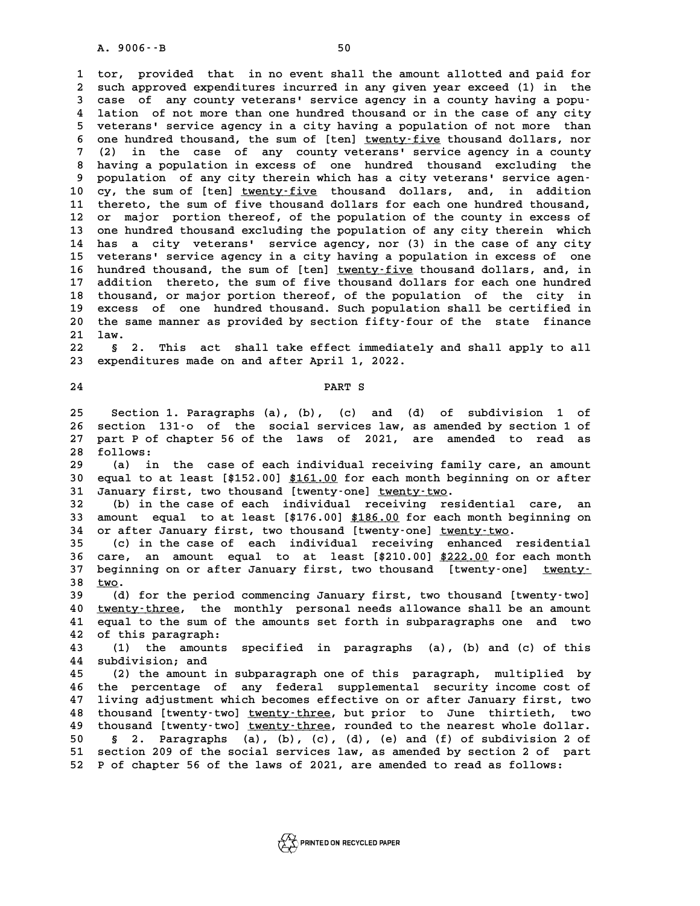**1 tor, provided that in no event shall the amount allotted and paid for 2** tor, provided that in no event shall the amount allotted and paid for<br>2 such approved expenditures incurred in any given year exceed (1) in the<br>3 sase of any county veterans! service agency in a county having a popu. 1 tor, provided that in no event shall the amount allotted and paid for<br>2 such approved expenditures incurred in any given year exceed (1) in the<br>3 case of any county veterans' service agency in a county having a popu-<br><sup>4</sup> 2 such approved expenditures incurred in any given year exceed (1) in the<br>3 case of any county veterans' service agency in a county having a popu-<br>4 lation of not more than one hundred thousand or in the case of any city<br>5 3 case of any county veterans' service agency in a county having a popu-<br>4 lation of not more than one hundred thousand or in the case of any city<br>5 veterans' service agency in a city having a population of not more than<br>5 4 lation of not more than one hundred thousand or in the case of any city<br>5 veterans' service agency in a city having a population of not more than<br>6 one hundred thousand, the sum of [ten] twenty-five thousand dollars, nor 5 veterans' service agency in a city having a population of not more than<br>6 one hundred thousand, the sum of [ten] <u>twenty-five</u> thousand dollars, nor<br>7 (2) in the case of any county veterans' service agency in a county<br>be **8 one hundred thousand, the sum of [ten] twenty-five thousand dollars, nor<br>
<b>8 having a population in excess of one hundred thousand excluding the**<br> **8 nonulation of any gity therein which has a gity voterangl gorving ago** 9 (2) in the case of any county veterans' service agency in a county<br>
8 having a population in excess of one hundred thousand excluding the<br>
9 population of any city therein which has a city veterans' service agen-<br>
10 cy, cy, the sum of [ten] **twenty-five** thousand dollars, and, in addition 9 population of any city therein which has a city veterans' service agen-<br>10 cy, the sum of [ten] <u>twenty-five</u> thousand dollars, and, in addition<br>11 thereto, the sum of five thousand dollars for each one hundred thousand, 10 cy, the sum of [ten] twenty-five thousand dollars, and, in addition<br>11 thereto, the sum of five thousand dollars for each one hundred thousand,<br>12 or major portion thereof, of the population of the county in excess of<br>1 11 thereto, the sum of five thousand dollars for each one hundred thousand,<br>12 or major portion thereof, of the population of the county in excess of<br>13 one hundred thousand excluding the population of any city therein whi 12 or major portion thereof, of the population of the county in excess of<br>13 one hundred thousand excluding the population of any city therein which<br>14 has a city veterans' service agency, nor (3) in the case of any city<br>1 13 one hundred thousand excluding the population of any city therein which<br>14 has a city veterans' service agency, nor (3) in the case of any city<br>15 veterans' service agency in a city having a population in excess of one<br> **14 has a city veterans' service agency, nor (3) in the case of any city**<br>15 veterans' service agency in a city having a population in excess of one<br>16 hundred thousand, the sum of [ten] <u>twenty-five</u> thousand dollars, and 15 veterans' service agency in a city having a population in excess of one<br>16 hundred thousand, the sum of [ten] <u>twenty-five</u> thousand dollars, and, in<br>17 addition thereto, the sum of five thousand dollars for each one hu **16 hundred thousand, the sum of [ten] <u>twenty-five</u> thousand dollars, and, in<br>17 addition thereto, the sum of five thousand dollars for each one hundred<br>18 thousand, or major portion thereof, of the population of the city** 17 addition thereto, the sum of five thousand dollars for each one hundred<br>18 thousand, or major portion thereof, of the population of the city in<br>19 excess of one hundred thousand. Such population shall be certified in<br>20 18 thousand, or major portion thereof, of the population of the city in<br>19 excess of one hundred thousand. Such population shall be certified in<br>20 the same manner as provided by section fifty-four of the state finance 19 excess<br>20 the sam<br>21 law. 20 the same manner as provided by section fifty-four of the state finance<br>21 law.<br>22 § 2. This act shall take effect immediately and shall apply to all

§ 2. This act shall take effect immediately and shall apply to all 23 expenditures made on and after April 1, 2022.<br>24 PART S

**25 Section 1. Paragraphs (a), (b), (c) and (d) of subdivision 1 of 25 Section 1. Paragraphs (a), (b), (c) and (d) of subdivision 1 of**<br>26 section 131-o of the social services law, as amended by section 1 of<br>27 part B of shaptor 56 of the laws of 2021, are amended to read as **25 Section 1. Paragraphs (a), (b), (c) and (d) of subdivision 1 of section 131.0 of the social services law, as amended by section 1 of part P of chapter 56 of the laws of 2021, are amended to read as**<br>28 follows: **26** section 13<br> **27** part P of c.<br> **28** follows: 27 part P of chapter 56 of the laws of 2021, are amended to read as<br>28 follows:<br>(a) in the case of each individual receiving family care, an amount<br>20 equal to at loast [\$152,00] \$161,00 for each month beginning on or afte **38 follows:**<br>29 (a) in the case of each individual receiving family care, an amount<br>30 equal to at least [\$152.00] <u>\$161.00</u> for each month beginning on or after<br>31 January first, two thousend [twenty-one] twenty-two **39** (a) in the case of each individual receiving family equal to at least [\$152.00] \$161.00 for each month beging January first, two thousand [twenty-one] <u>twenty-two</u>. **30 equal to at least [\$152.00] <u>\$161.00</u> for each month beginning on or after<br>31 January first, two thousand [twenty-one] <u>twenty-two</u>.<br>32 (b) in the case of each individual receiving residential care, an<br>33 apount equal 31 January first, two thousand [twenty-one] <u>twenty-two</u>.<br>32 (b) in the case of each individual receiving residential care, an<br>33 amount equal to at least [\$176.00] <u>\$186.00</u> for each month beginning on<br>24 are after Innua 32** (b) in the case of each individual receiving residential c.<br>33 amount equal to at least [\$176.00] <u>\$186.00</u> for each month beging<br>34 or after January first, two thousand [twenty-one] <u>twenty-two</u>.<br>25 (c) in the case o **33 amount equal to at least [\$176.00] <u>\$186.00</u> for each month beginning on<br>34 or after January first, two thousand [twenty-one] <u>twenty-two</u>.<br>35 (c) in the case of each individual receiving enhanced residential<br>26 3000 a 34 or after January first, two thousand [twenty-one] <u>twenty-two</u>.<br>35 (c) in the case of each individual receiving enhanced residential<br>36 care, an amount equal to at least [\$210.00] \$222.00 for each month<br>27 boginning on** 35 (c) in the case of each individual receiving enhanced residential<br>36 care, an amount equal to at least [\$210.00] <u>\$222.00</u> for each month<br>37 beginning on or after January first, two thousand [twenty-one] <u>twenty-</u><br>38 tw **36 care,<br>37 beginni:<br>38 <u>two</u>.<br>39 (d) f** beginning on or after January first, two thousand [twenty-one] <u>twenty-</u><br> **38** <u>two</u>.<br>
(d) for the period commencing January first, two thousand [twenty-two]<br>
40 <u>twenty-three</u>, the monthly personal needs allowance shall b <sup>4</sup> two.<br>
40 twenty-three, the monthly personal needs allowance shall be an amount<br>
<sup>41</sup> equal to the sum of the amounts set forth in subparagraphs one, and two **41 (d)** for the period commencing January first, two thousand [twenty-two]<br>40 <u>twenty-three</u>, the monthly personal needs allowance shall be an amount<br>41 equal to the sum of the amounts set forth in subparagraphs one and t 40 <u>twenty-three</u>, the m<br>41 equal to the sum of the<br>42 of this paragraph:<br><sup>43</sup> (1) the amounts 41 equal to the sum of the amounts set forth in subparagraphs one and two<br>42 of this paragraph:<br>43 (1) the amounts specified in paragraphs (a), (b) and (c) of this<br>44 subdivision; and 42 of this paragraph:<br>43 (1) the amount:<br>44 subdivision; and<br>45 (2) the amount i: **45 (2) the amount in subparagraph one of this paragraph, multiplied by** 44 subdivision; and<br>45 (2) the amount in subparagraph one of this paragraph, multiplied by<br>46 the percentage of any federal supplemental security income cost of<br>47 living adjustment which becames offective on or after Innu 45 (2) the amount in subparagraph one of this paragraph, multiplied by<br>46 the percentage of any federal supplemental security income cost of<br>47 living adjustment which becomes effective on or after January first, two<br>thous the percentage of any federal supplemental security income cost of<br>47 living adjustment which becomes effective on or after January first, two<br>48 thousand [twenty-two] twenty-three, but prior to June thirtieth, two<br>thousan **47 living adjustment which becomes effective on or after January first, two<br>48 thousand [twenty-two] <u>twenty-three</u>, but prior to June thirtieth, two<br>49 thousand [twenty-two] <u>twenty-three</u>, rounded to the nearest whole d 50 § 2. Paragraphs (a), (b), (c), (d), (e) and (f) of subdivision 2 of 50** s 2. Paragraphs (a), (b), (c), (d), (e) and (f) of subdivision 2 of section 209 of the social services law, as amended by section 2 of part<br> **51** section 209 of the social services law, as amended by section 2 of part 50 § 2. Paragraphs (a), (b), (c), (d), (e) and (f) of subdivision 2 of 51 section 209 of the social services law, as amended by section 2 of part 52 P of chapter 56 of the laws of 2021, are amended to read as follows:

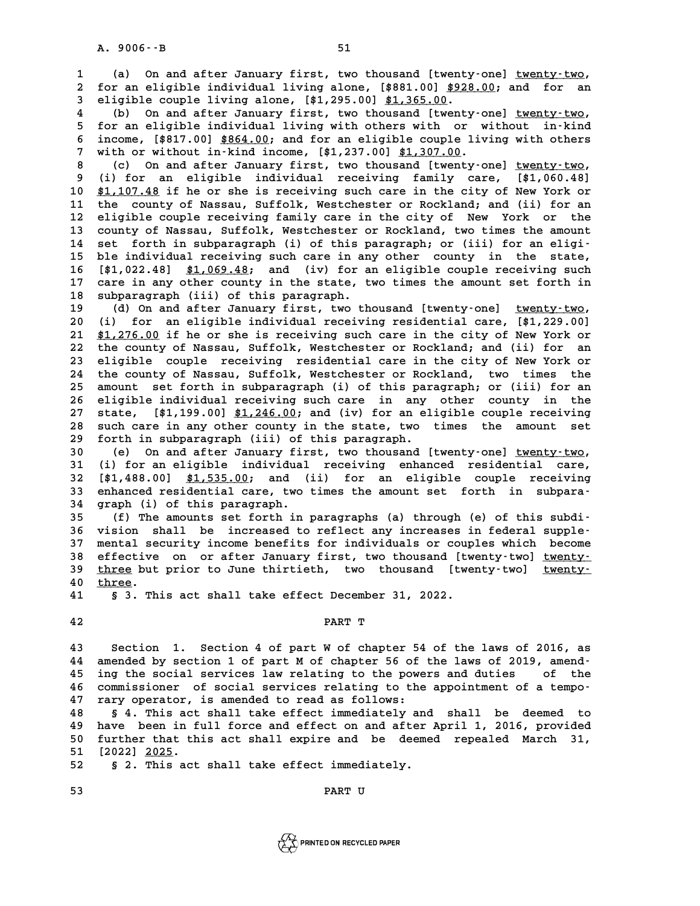(a) On and after January first, two thousand [twenty-one] <u>twenty-two,</u><br>1 (a) On and after January first, two thousand [twenty-one] <u>twenty-two</u>, (a) On and after January first, two thousand [twenty-one] <u>twenty-two</u>,<br>2 for an eligible individual living alone, [\$881.00] <u>\$928.00</u>; and for an<br>3 eligible couple living alone, [\$1,295,00] \$1,365,00 (a) On and after January first, two thousand [twenty<br> **2** for an eligible individual living alone, [\$881.00] <u>\$928</u><br> **3** eligible couple living alone, [\$1,295.00] <u>\$1,365.00</u>.<br>
(b) On and after January first, two thous 2 for an eligible individual living alone, [\$881.00] <u>\$928.00</u>; and for an<br>3 eligible couple living alone, [\$1,295.00] <u>\$1,365.00</u>.<br>4 (b) On and after January first, two thousand [twenty-one] twenty-two,<br>5 for an eligible

**5** eligible couple living alone, [\$1,295.00] \$1,365.00.<br>
4 (b) On and after January first, two thousand [twenty-one] <u>twenty-two</u>,<br>
5 for an eligible individual living with others with or without in-kind<br>
5 income [\$817.0 **6 4 (b)** On and after January first, two thousand [twenty-one] <u>twenty-two</u>,<br> **6** for an eligible individual living with others with or without in-kind<br> **6** income, [\$817.00] \$864.00; and for an eligible couple living wit **5** for an eligible individual living with others with or w<br>6 income, [\$817.00] <u>\$864.00</u>; and for an eligible couple liv<br>7 with or without in-kind income, [\$1,237.00] <u>\$1,307.00</u>.<br>(a) On and after Innuary first, two thous **8 income, [\$817.00] \$864.00; and for an eligible couple living with others<br>
7 with or without in-kind income, [\$1,237.00] <u>\$1,307.00</u>.<br>
8 (c) On and after January first, two thousand [twenty-one] <u>twenty-two</u>,<br>
8 (i) for** 

with or without in-kind income, [\$1,237.00] \$1,307.00.<br>8 (c) On and after January first, two thousand [twenty-one] <u>twenty-two</u>,<br>9 (i) for an eligible individual receiving family care, [\$1,060.48]<br>10 \$1,107.48 if he or she 10 8 (c) On and after January first, two thousand [twenty-one] <u>twenty-two</u>,<br>
10 \$1,107.48 if he or she is receiving such care in the city of New York or<br>
11 the county of Nassau Suffolk Westsbester or Pockland: and (ii) f 10 (i) for an eligible individual receiving family care, [\$1,060.48]<br>10 <u>\$1,107.48</u> if he or she is receiving such care in the city of New York or<br>11 the county of Nassau, Suffolk, Westchester or Rockland; and (ii) for an<br> 10 \$1,107.48 if he or she is receiving such care in the city of New York or<br>11 the county of Nassau, Suffolk, Westchester or Rockland; and (ii) for an<br>12 eligible couple receiving family care in the city of New York or the 11 the county of Nassau, Suffolk, Westchester or Rockland; and (ii) for an<br>12 eligible couple receiving family care in the city of New York or the<br>13 county of Nassau, Suffolk, Westchester or Rockland, two times the amount 12 eligible couple receiving family care in the city of New York or the<br>13 county of Nassau, Suffolk, Westchester or Rockland, two times the amount<br>14 set forth in subparagraph (i) of this paragraph; or (iii) for an eligi-13 county of Nassau, Suffolk, Westchester or Rockland, two times the amount<br>14 set forth in subparagraph (i) of this paragraph; or (iii) for an eligi-<br>15 ble individual receiving such care in any other county in the state, **16** [\$1,022.48] <u>\$1,069.48</u>; and (iv) for an eligible couple receiving such<br>17 care in any other county in the state, two times the amount set forth in **15 ble individual receiving such care in any other county in the state, [\$1,022.48] \$1,069.48; and (iv) for an eligible couple receiving such care in any other county in the state, two times the amount set forth in** 16 [\$1,022.48] <u>\$1,069.48</u>; and (iv) for a<br>17 care in any other county in the state, the<br>18 subparagraph (iii) of this paragraph.<br>19 (d) Op and after January first, two the 17 care in any other county in the state, two times the amount set forth in<br>18 subparagraph (iii) of this paragraph.<br>19 (d) On and after January first, two thousand [twenty-one] <u>twenty-two</u>,<br>20 (i) for an eligible individ

**20 (1)** 18 subparagraph (iii) of this paragraph.<br> **20** (i) for an eligible individual receiving residential care, [\$1,229.00]<br> **21** \$1,226,00 if be or she is receiving such gare in the gity of New York or **20** (d) On and after January first, two thousand [twenty-one] <u>twenty-two</u>,<br>20 (i) for an eligible individual receiving residential care, [\$1,229.00]<br>21 \$1,276.00 if he or she is receiving such care in the city of New Yor **20 (i) for an eligible individual receiving residential care, [\$1,229.00]**<br>**21 \$1,276.00** if he or she is receiving such care in the city of New York or<br>**22** the county of Nassau, Suffolk, Westchester or Rockland; and (ii 21 \$1,276.00 if he or she is receiving such care in the city of New York or<br>22 the county of Nassau, Suffolk, Westchester or Rockland; and (ii) for an<br>23 eligible couple receiving residential care in the city of New York o 22 the county of Nassau, Suffolk, Westchester or Rockland; and (ii) for an<br>23 eligible couple receiving residential care in the city of New York or<br>24 the county of Nassau, Suffolk, Westchester or Rockland, two times the<br>2 23 eligible couple receiving residential care in the city of New York or<br>24 the county of Nassau, Suffolk, Westchester or Rockland, two times the<br>25 amount set forth in subparagraph (i) of this paragraph; or (iii) for an<br>2 24 the county of Nassau, Suffolk, Westchester or Rockland, two times the<br>25 amount set forth in subparagraph (i) of this paragraph; or (iii) for an<br>26 eligible individual receiving such care in any other county in the<br>27 s 25 amount set forth in subparagraph (i) of this paragraph; or (iii) for an<br>26 eligible individual receiving such care in any other county in the<br>27 state, [\$1,199.00] <u>\$1,246.00</u>; and (iv) for an eligible couple receiving<br> 26 eligible individual receiving such care in any other county in the state, [\$1,199.00] \$1,246.00; and (iv) for an eligible couple receiving such care in any other county in the state, two times the amount set<br>28 such car 26 eligible individual receiving such care in any other county in the state, [\$1,199.00] \$1,246.00; and (iv) for an eligible couple receiving 28 such care in any other county in the state, two times the amount set forth in 38 such care in any other county in the state, two times the amount set<br>
29 forth in subparagraph (iii) of this paragraph.<br>
30 (e) On and after January first, two thousand [twenty-one] <u>twenty-two</u>,<br>
31 (i) for an eligible

**39 forth in subparagraph (iii) of this paragraph.**<br>30 (e) On and after January first, two thousand [twenty-one] <u>twenty-two</u>,<br>31 (i) for an eligible individual receiving enhanced residential care,<br>32 [\*1,488,00] \*1,535,00 **30** (e) On and after January first, two thousand [twenty-one] <u>twenty-two</u>,<br>31 (i) for an eligible individual receiving enhanced residential care,<br>32 [\$1,488.00] \$1,535.00; and (ii) for an eligible couple receiving<br>33 enh 31 (i) for an eligible individual receiving enhanced residential care,<br>32 [\$1,488.00] <u>\$1,535.00</u>; and (ii) for an eligible couple receiving<br>33 enhanced residential care, two times the amount set forth in subpara-<br><sup>34</sup> gra 12 [\$1,488.00] <u>\$1,535.00</u>; and (ii) for an eligible couple receiving<br>33 enhanced residential care, two times the amount set forth in subpara-<br>34 graph (i) of this paragraph.<br>35 (f) The amounts set forth in paragraphs (a) 33 enhanced residential care, two times the amount set forth in subpara-<br>34 graph (i) of this paragraph.<br>35 (f) The amounts set forth in paragraphs (a) through (e) of this subdi-<br><sup>36</sup> vision shall be ingressed to reflect a

**34 graph (i) of this paragraph.**<br> **35** (f) The amounts set forth in paragraphs (a) through (e) of this subdi-<br> **36 vision shall be increased to reflect any increases in federal supple-**<br> **37 montal sequrity income bonofit 35** (f) The amounts set forth in paragraphs (a) through (e) of this subdi-<br>36 vision shall be increased to reflect any increases in federal supple-<br>37 mental security income benefits for individuals or couples which becom **36 vision shall be increased to reflect any increases in federal supple-**<br>37 mental security income benefits for individuals or couples which become<br>38 effective on or after January first, two thousand [twenty-two] <u>twent</u> 37 mental security income benefits for individuals or couples which become<br>38 effective on or after January first, two thousand [twenty-two] <u>twenty-</u><br>39 <u>three</u> but prior to June thirtieth, two thousand [twenty-two] <u>twen</u> 38 effective<br>39 <u>three</u> but<br>40 <u>three</u>. all the sout prior to June thirtieth, two thousand [twenty-two] <u>twenty-</u><br>10 <u>three</u>.<br>41 § 3. This act shall take effect December 31, 2022.

- **41** § 3. This act shall take effect December 31, 2022.<br>**42** PART T
- 

**43 Section 1. Section 4 of part W of chapter 54 of the laws of 2016, as 43** Section 1. Section 4 of part W of chapter 54 of the laws of 2016, as<br>44 amended by section 1 of part M of chapter 56 of the laws of 2019, amend-<br>45 ing the segial services law relating to the powers and duties of the **43** Section 1. Section 4 of part W of chapter 54 of the laws of 2016, as<br>44 amended by section 1 of part M of chapter 56 of the laws of 2019, amend-<br>45 ing the social services law relating to the powers and duties of the<br> 44 amended by section 1 of part M of chapter 56 of the laws of 2019, amend-<br>45 ing the social services law relating to the powers and duties of the<br>46 commissioner of social services relating to the appointment of a tempo-45 ing the social services law relating to the powers and duties of the commissioner of social services relating to the appointment of a tempo-<br>47 rary operator, is amended to read as follows:<br>48 § 4. This act shall take e % 46 commissioner of social services relating to the appointment of a tempo-<br>
47 rary operator, is amended to read as follows:<br>
48 § 4. This act shall take effect immediately and shall be deemed to<br>
49 have been in full fo

**47 rary operator, is amended to read as follows:**<br> **48** § 4. This act shall take effect immediately and shall be deemed to<br> **49 have been in full force and effect on and after April 1, 2016, provided**<br> **50 further that th 50 follow 10 follow 10 follow 10 follow 10 follow 10 follow 10 follow 10 follow 10 further that this act shall expire and be deemed repealed March 31,<br>50 further that this act shall expire and be deemed repealed March 31, 49** have been in f:<br>50 further that th<br>51 [2022] <u>2025</u>.<br>52 \$2 This 2015 50 further that this act shall expire and be deeme<br>51 [2022] <u>2025</u>.<br>52 § 2. This act shall take effect immediately.

52 § 2. This act shall take effect immediat<br>53 PART U

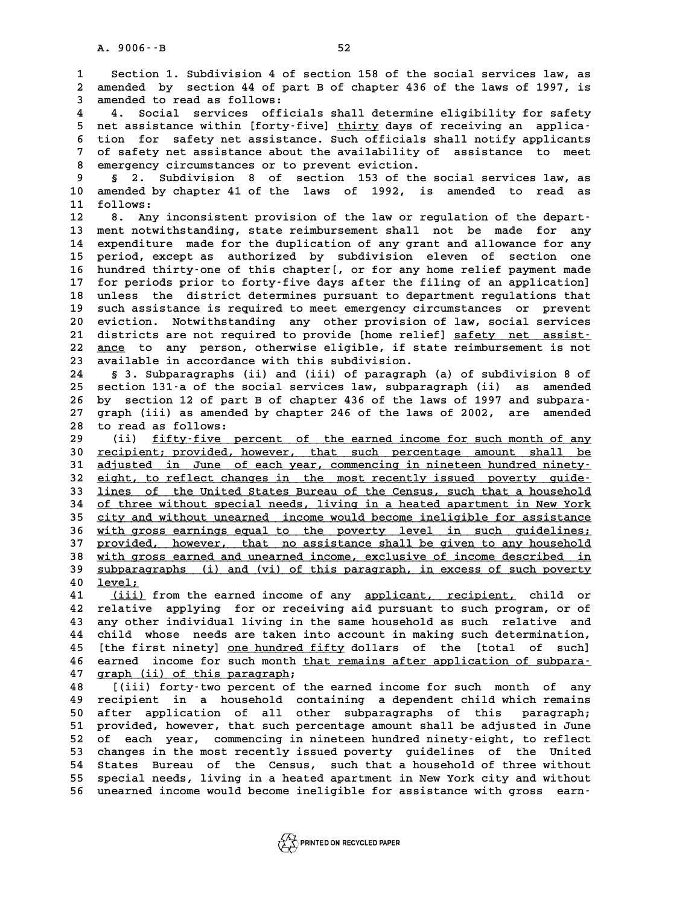A. 9006<sup>--B</sup><br>1 Section 1. Subdivision 4 of section 158 of the social services law, as<br>2 amended by section 44 of part B of chapter 436 of the laws of 1997, is **2** Section 1. Subdivision 4 of section 158 of the social services law, as<br>2 amended by section 44 of part B of chapter 436 of the laws of 1997, is **3 amended to read as follows:** 2 amended by section 44 of part B of chapter 436 of the laws of 1997, is<br>3 amended to read as follows:<br>4 . Social services officials shall determine eligibility for safety<br>5 not aggistance within [forty-five] thirty days o

3 amended to read as follows:<br>4 4. Social services officials shall determine eligibility for safety<br>5 net assistance within [forty-five] thirty days of receiving an applica-<br>5 tion for asfety per assistance Such officials 4 4. Social services officials shall determine eligibility for safety<br>
5 net assistance within [forty-five] <u>thirty</u> days of receiving an applica-<br>
6 tion for safety net assistance. Such officials shall notify applicants<br> 5 net assistance within [forty-five] thirty days of receiving an applica-<br>6 tion for safety net assistance. Such officials shall notify applicants<br>7 of safety net assistance about the availability of assistance to meet<br>8 c 6 tion for safety net assistance. Such officials s<br>
7 of safety net assistance about the availability of<br>
8 emergency circumstances or to prevent eviction.<br>
8 5 2 Subdivision 8 of acction 153 of the 3 9 9 9 9 9 9 9 9 9 9 9 10 11 12 12 13 14 14 15 14 16 14 16 14 16 14 16 14 15 14 15 14 15 14 15 14 15 14 15 14 1<br>
9 16 2. Subdivision 8 of section 153 of the social services law, as<br>
9 2. Subdivision 8 of section 153 of the

8 emergency circumstances or to prevent eviction.<br>
9 § 2. Subdivision 8 of section 153 of the social services law, as<br>
10 amended by chapter 41 of the laws of 1992, is amended to read as<br>
<sup>11 follows</sub>.</sup> **9 5 2**. Su:<br> **10** amended by<br> **11** follows:<br> **12 8 Apu** i 10 amended by chapter 41 of the laws of 1992, is amended to read as<br>
11 follows:<br>
12 8. Any inconsistent provision of the law or regulation of the depart-<br>
<sup>13</sup> ment potwithstanding state reimbursement shall not be made fo

11 follows:<br> **13** 8. Any inconsistent provision of the law or regulation of the depart-<br> **13** ment notwithstanding, state reimbursement shall not be made for any<br> **14** expenditure made for the duplication of any grant and 12 8. Any inconsistent provision of the law or regulation of the depart-<br>13 ment notwithstanding, state reimbursement shall not be made for any<br>14 expenditure made for the duplication of any grant and allowance for any<br>15 13 ment notwithstanding, state reimbursement shall not be made for any<br>14 expenditure made for the duplication of any grant and allowance for any<br>15 period, except as authorized by subdivision eleven of section one<br>16 hund 15 period, except as authorized by subdivision eleven of section one<br>16 hundred thirty-one of this chapter[, or for any home relief payment made<br>17 for periods prior to forty-five days after the filing of an application] 15 period, except as authorized by subdivision eleven of section one<br>16 hundred thirty-one of this chapter [, or for any home relief payment made<br>17 for periods prior to forty-five days after the filing of an application]<br> 16 hundred thirty-one of this chapter[, or for any home relief payment made<br>17 for periods prior to forty-five days after the filing of an application]<br>18 unless the district determines pursuant to department regulations t 17 for periods prior to forty-five days after the filing of an application]<br>18 unless the district determines pursuant to department regulations that<br>19 such assistance is required to meet emergency circumstances or preven 18 unless the district determines pursuant to department regulations that<br>19 such assistance is required to meet emergency circumstances or prevent<br>20 eviction. Notwithstanding any other provision of law, social services<br>2 such assistance is required to meet emergency circumstances or prevent 20 eviction. Notwithstanding any other provision of law, social services<br>21 districts are not required to provide [home relief] safety net assist-<br>22 <u>ance</u> to any person, otherwise eligible, if state reimbursement is not<br> 21 districts are not required to provide [home relie 22 <u>ance</u> to any person, otherwise eligible, if sta<br>23 available in accordance with this subdivision. **22 <u>ance</u> to any person, otherwise eligible, if state reimbursement is not<br>23 available in accordance with this subdivision.<br>8 3. Subparagraphs (ii) and (iii) of paragraph (a) of subdivision 8 of<br>25 aogtion 131:2 of the s** 

23 available in accordance with this subdivision.<br>24 § 3. Subparagraphs (ii) and (iii) of paragraph (a) of subdivision 8 of<br>25 section 131-a of the social services law, subparagraph (ii) as amended<br>26 by section 12 of part 8 3. Subparagraphs (ii) and (iii) of paragraph (a) of subdivision 8 of<br>
25 section 131-a of the social services law, subparagraph (ii) as amended<br>
26 by section 12 of part B of chapter 436 of the laws of 1997 and subpara-<br> 25 section 131-a of the social services law, subparagraph (ii) as amended<br>26 by section 12 of part B of chapter 436 of the laws of 1997 and subpara-<br>27 graph (iii) as amended by chapter 246 of the laws of 2002, are amended 26 by section 12 of part<br>27 graph (iii) as amended<br>28 to read as follows:<br><sup>29</sup> (ii) fifty-fire po 27 graph (iii) as amended by chapter 246 of the laws of 2002, are amended<br>28 to read as follows:<br>(ii) fifty-five percent of the earned income for such month of any<br>20 regiment provided beyour that such percentage amount sh

28 to read as follows:<br>
29 (ii) <u>fifty-five percent of the earned income for such month of any</u><br>
30 <u>recipient; provided, however, that such percentage amount shall be</u><br>
31 adjusted in June of each year commencing in pinet (ii) <u>fifty-five percent of the earned income for such month of any</u><br> **30** <u>recipient; provided, however, that such percentage amount shall be<br> **adjusted in June of each year, commencing in nineteen hundred ninety-**<br> **a** a</u> **30** <u>recipient; provided, however, that such percentage amount shall be adjusted in June of each year, commencing in nineteen hundred ninety-<br>32 eight, to reflect changes in the most recently issued poverty guide-<br>33 line</u> **31 adjusted in June of each year, commencing in nineteen hundred ninety-**<br> **32 eight, to reflect changes in the most recently issued poverty guide-**<br> **33 lines of the United States Bureau of the Census, such that a househ** 32 eight, to reflect changes in the most recently issued poverty guide-<br>33 <u>lines of the United States Bureau of the Census, such that a household</u><br>34 <u>of three without special needs, living in a heated apartment in New Yo</u> 32 eight, to reflect changes in the most recently issued poverty guide-<br>33 <u>lines of the United States Bureau of the Census, such that a household</u><br>34 <u>of three without special needs, living in a heated apartment in New Yo</u> 36 with gross earnings equal to the poverty level in such guidelines;<br>37 provided, however, that no assistance shall be given to any household 35 city and without unearned income would become ineligible for assistance<br>36 with gross earnings equal to the poverty level in such guidelines;<br>37 provided, however, that no assistance shall be given to any household<br>in w **36 with gross earnings equal to the poverty level in such guidelines;**<br>37 provided, however, that no assistance shall be given to any household<br>38 with gross earned and unearned income, exclusive of income described in<br>qu 37 provided, however, that no assistance shall be given to any household<br>38 <u>with gross earned and unearned income, exclusive of income described in<br>39 subparagraphs (i) and (vi) of this paragraph, in excess of such povert</u> <u>with gross earned and unearned income, exclusive of income described in<br>
39 <u>subparagraphs (i) and (vi) of this paragraph, in excess of such poverty</u><br>
40 <u>level;</u><br>
41 (iii) from the earned income of any applicant, recipie</u>

**41** (iii) from the earned income of any <u>applicant, recipient,</u> child or<br>42 relative applying for or receiving aid pursuant to such program, or of **42 relative applying for or receiving aid pursuant to such program, or of** 41 (iii) from the earned income of any <u>applicant, recipient,</u> child or<br>42 relative applying for or receiving aid pursuant to such program, or of<br>43 any other individual living in the same household as such relative and<br>44 42 relative applying for or receiving aid pursuant to such program, or of<br>43 any other individual living in the same household as such relative and<br>44 child whose needs are taken into account in making such determination,<br> 43 any other individual living in the same household as such relative and<br>44 child whose needs are taken into account in making such determination,<br>45 [the first ninety] <u>one hundred fifty</u> dollars of the [total of such]<br>4 44 child whose needs are taken into account in making such determination,<br>45 [the first ninety] <u>one hundred fifty</u> dollars of the [total of such]<br>46 earned income for such month <u>that remains after application of subpara</u> 45 [the first ninety] <u>one hundred f</u><br>46 earned income for such month <u>th</u><br>47 graph (ii) of this paragraph;<br><sup>49</sup> [(iii) fortutive paragraph of the exteed income for such month that remains after application of subpara-<br> **48** [(iii) forty-two percent of the earned income for such month of any<br> **49** recipient in a household containing a dependent child which remains

**47 graph (ii) of this paragraph;**<br> **48 [(iii) forty-two percent of the earned income for such month of any<br>
<b>49 recipient in a household containing a dependent child which remains**<br> **50 after annisotion of all other subpa** I a state of the earned income for such month of any<br> **19 recipient in a household containing a dependent child which remains**<br> **50 after application of all other subparagraphs of this paragraph;**<br> **51 provided boyever tha 50 recipient in a household containing a dependent child which remains<br>50 after application of all other subparagraphs of this paragraph;<br>51 provided, however, that such percentage amount shall be adjusted in June<br>52 of 2** 50 after application of all other subparagraphs of this paragraph;<br>51 provided, however, that such percentage amount shall be adjusted in June<br>52 of each year, commencing in nineteen hundred ninety-eight, to reflect<br>53 cha 51 provided, however, that such percentage amount shall be adjusted in June<br>52 of each year, commencing in nineteen hundred ninety-eight, to reflect<br>53 changes in the most recently issued poverty guidelines of the United<br>5 52 of each year, commencing in nineteen hundred ninety-eight, to reflect<br>53 changes in the most recently issued poverty guidelines of the United<br>54 States Bureau of the Census, such that a household of three without<br>55 spe 53 changes in the most recently issued poverty guidelines of the United<br>54 States Bureau of the Census, such that a household of three without<br>55 special needs, living in a heated apartment in New York city and without<br>56 55 special needs, living in a heated apartment in New York city and without<br>56 unearned income would become ineligible for assistance with gross earn-

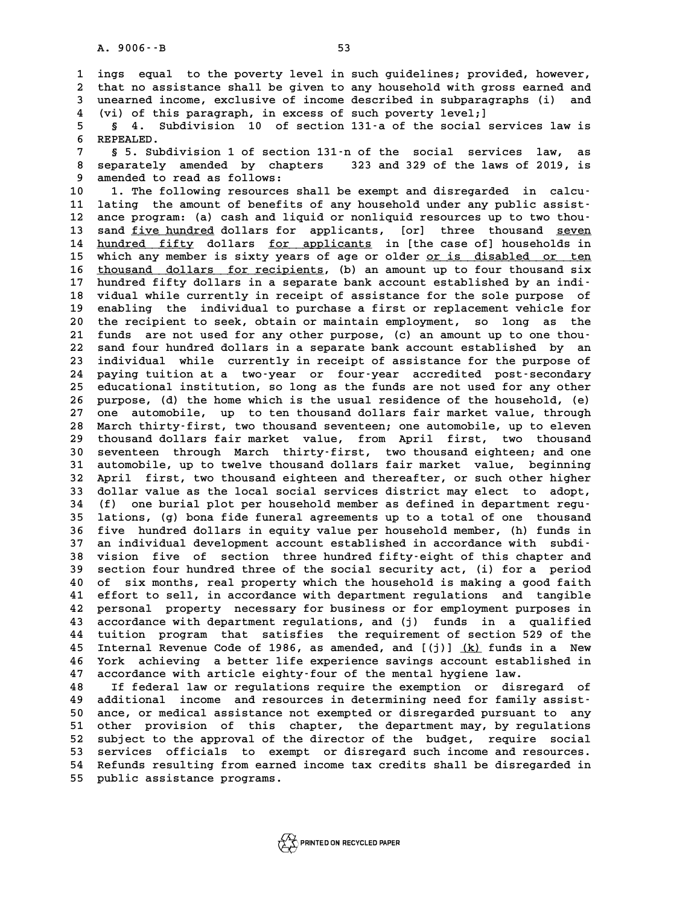**1 ings equal to the poverty level in such guidelines; provided, however, 2** ings equal to the poverty level in such guidelines; provided, however,<br>2 that no assistance shall be given to any household with gross earned and<br>3 unearned income exclusive of income described in subparagraphs (i) and **3** ings equal to the poverty level in such guidelines; provided, however,<br>
2 that no assistance shall be given to any household with gross earned and<br>
3 unearned income, exclusive of income described in subparagraphs (i) that no assistance shall be given to any household with gros<br>3 unearned income, exclusive of income described in subparagra<br>4 (vi) of this paragraph, in excess of such poverty level;] 2 that no assistance shall be given to any household with gross earned and<br>3 unearned income, exclusive of income described in subparagraphs (i) and<br>4 (vi) of this paragraph, in excess of such poverty level;<br>5 § 4. Subdivi

4 (vi) of this<br>5 § 4. Sub<br>6 REPEALED.<br>7 § 5 Subdi **8 4. Subdivision 10 of section 131-a of the social services law is<br>
<b>8 REPEALED.**<br> **8 5. Subdivision 1 of section 131-n of the social services law, as**<br> **8 Separately arounded by sharters** 222 and 220 of the lays of 2010

6 REPEALED.<br>7 § 5. Subdivision 1 of section 131–n of the social services law, as<br>8 separately amended by chapters 323 and 329 of the laws of 2019, is<br>9 amended to read as follows: 8 5. Subdivision 1 of section 13<br>8 separately amended by chapters<br>9 amended to read as follows:<br>10 1. The following resources shall 8 separately amended by chapters 323 and 329 of the laws of 2019, is<br>
9 amended to read as follows:<br>
10 1. The following resources shall be exempt and disregarded in calcu-<br>
<sup>11</sup> lating the amount of benefits of any buysho

9 amended to read as follows:<br>
10 1. The following resources shall be exempt and disregarded in calcu-<br>
11 lating the amount of benefits of any household under any public assist-<br>
12 ange program: (a) gash and liguid or po 10 1. The following resources shall be exempt and disregarded in calcu-<br>
11 lating the amount of benefits of any household under any public assist-<br>
12 ance program: (a) cash and liquid or nonliquid resources up to two tho 11 lating the amount of benefits of any household under any public assist-<br>12 ance program: (a) cash and liquid or nonliquid resources up to two thou-<br>13 sand <u>five hundred</u> dollars for applicants, [or] three thousand <u>sev</u> 12 ance program: (a) cash and liquid or nonliquid resources up to two thou-<br>13 sand <u>five hundred</u> dollars for applicants, [or] three thousand <u>seven</u><br>14 <u>hundred fifty</u> dollars <u>for applicants</u> in [the case of] households 13 sand <u>five hundred</u> dollars for applicants, [or] three thousand <u>seven</u><br>14 <u>hundred fifty</u> dollars <u>for applicants</u> in [the case of] households in<br>15 which any member is sixty years of age or older <u>or is disabled or te</u> **14 hundred fifty dollars <u>for applicants</u> in [the case of] households in<br>15 which any member is sixty years of age or older <u>or is disabled or ten</u><br>16 <u>thousand dollars for recipients</u>, (b) an amount up to four thousand s** which any member is sixty years of age or older <u>or is disabled or ten</u><br>16 <u>thousand dollars for recipients</u>, (b) an amount up to four thousand six<br>17 hundred fifty dollars in a separate bank account established by an indi **16 <u>thousand dollars for recipients</u>, (b) an amount up to four thousand six<br>17 hundred fifty dollars in a separate bank account established by an indi-<br>18 vidual while currently in receipt of assistance for the sole purpo** 17 hundred fifty dollars in a separate bank account established by an indi-<br>18 vidual while currently in receipt of assistance for the sole purpose of<br>19 enabling the individual to purchase a first or replacement vehicle f 18 vidual while currently in receipt of assistance for the sole purpose of<br>19 enabling the individual to purchase a first or replacement vehicle for<br>20 the recipient to seek, obtain or maintain employment, so long as the<br><sup></sup> 21 enabling the individual to purchase a first or replacement vehicle for<br>
20 the recipient to seek, obtain or maintain employment, so long as the<br>
21 funds are not used for any other purpose, (c) an amount up to one thou-20 the recipient to seek, obtain or maintain employment, so long as the<br>21 funds are not used for any other purpose, (c) an amount up to one thou-<br>22 sand four hundred dollars in a separate bank account established by an<br><sup></sup> 21 funds are not used for any other purpose, (c) an amount up to one thou-<br>22 sand four hundred dollars in a separate bank account established by an<br>23 individual while currently in receipt of assistance for the purpose of 22 sand four hundred dollars in a separate bank account established by an<br>23 individual while currently in receipt of assistance for the purpose of<br>24 paying tuition at a two-year or four-year accredited post-secondary<br>25 23 individual while currently in receipt of assistance for the purpose of<br>24 paying tuition at a two-year or four-year accredited post-secondary<br>25 educational institution, so long as the funds are not used for any other<br>2 24 paying tuition at a two-year or four-year accredited post-secondary<br>25 educational institution, so long as the funds are not used for any other<br>26 purpose, (d) the home which is the usual residence of the household, (e) 25 educational institution, so long as the funds are not used for any other<br>26 purpose, (d) the home which is the usual residence of the household, (e)<br>27 one automobile, up to ten thousand dollars fair market value, throu 26 purpose, (d) the home which is the usual residence of the household, (e)<br>27 one automobile, up to ten thousand dollars fair market value, through<br>28 March thirty-first, two thousand seventeen; one automobile, up to elev <sup>27</sup> one automobile, up to ten thousand dollars fair market value, through<br>
28 March thirty-first, two thousand seventeen; one automobile, up to eleven<br>
29 thousand dollars fair market value, from April first, two thousand **38 March thirty-first, two thousand seventeen; one automobile, up to eleven**<br>29 thousand dollars fair market value, from April first, two thousand<br>30 seventeen through March thirty-first, two thousand eighteen; and one<br>31 29 thousand dollars fair market value, from April first, two thousand<br>30 seventeen through March thirty-first, two thousand eighteen; and one<br>31 automobile, up to twelve thousand dollars fair market value, beginning<br>32 Apr 30 seventeen through March thirty-first, two thousand eighteen; and one<br>31 automobile, up to twelve thousand dollars fair market value, beginning<br>32 April first, two thousand eighteen and thereafter, or such other higher<br>3 31 automobile, up to twelve thousand dollars fair market value, beginning<br>32 April first, two thousand eighteen and thereafter, or such other higher<br>33 dollar value as the local social services district may elect to adopt, April first, two thousand eighteen and thereafter, or such other higher **35 lations, (g) bona fide funeral agreements up to a total of one thousand 34 (f) one burial plot per household member as defined in department regu-**<br>**35 lations, (g) bona fide funeral agreements up to a total of one thousand**<br>**36 five hundred dollars in equity value per household member, (h) f** 35 lations, (g) bona fide funeral agreements up to a total of one thousand<br>36 five hundred dollars in equity value per household member, (h) funds in<br>37 an individual development account established in accordance with subd **36 five hundred dollars in equity value per household member, (h) funds in<br>37 an individual development account established in accordance with subdi-<br>38 vision five of section three hundred fifty-eight of this chapter and 37 an individual development account established in accordance with subdi-**<br>**38 vision five of section three hundred fifty-eight of this chapter and**<br>**39 section four hundred three of the social security act, (i) for a pe 40 of section three hundred fifty-eight of this chapter and section four hundred three of the social security act, (i) for a period of six months, real property which the household is making a good faith**<br> **40** of six mon 39 section four hundred three of the social security act, (i) for a period 40 of six months, real property which the household is making a good faith 41 effort to sell, in accordance with department regulations and tangibl **40 of six months, real property which the household is making a good faith**<br>**41 effort to sell, in accordance with department regulations and tangible**<br>**42 personal property necessary for business or for employment purpos** 41 effort to sell, in accordance with department regulations and tangible<br>42 personal property necessary for business or for employment purposes in<br>43 accordance with department regulations, and (j) funds in a qualified<br>44 **42 personal property necessary for business or for employment purposes in<br>43 accordance with department regulations, and (j) funds in a qualified<br>44 tuition program that satisfies the requirement of section 529 of the<br>15 43 accordance with department regulations, and (j) funds in a qualified<br>44 tuition program that satisfies the requirement of section 529 of the<br>45 Internal Revenue Code of 1986, as amended, and [(j)] <u>(k)</u> funds in a New<br>** 44 tuition program that satisfies the requirement of section 529 of the<br>45 Internal Revenue Code of 1986, as amended, and [(j)] <u>(k)</u> funds in a New<br>46 York achieving a better life experience savings account established in 45 Internal Revenue Code of 1986, as amended, and [(j)] <u>(k)</u> funds in a New<br>46 York achieving a better life experience savings account established in<br>47 accordance with article eighty-four of the mental hygiene law.<br>48 If **46 York achieving a better life experience savings account established in<br>47 accordance with article eighty-four of the mental hygiene law.**<br>48 If federal law or regulations require the exemption or disregard of<br>20 Idditi

47 accordance with article eighty-four of the mental hygiene law.<br>48 If federal law or regulations require the exemption or disregard of<br>49 additional income and resources in determining need for family assist-<br>50 ange or 49 additional income and resources in determining need for family assist-<br>50 ance, or medical assistance not exempted or disregarded pursuant to any<br>51 other provision of this chapter, the department may, by regulations 49 additional income and resources in determining need for family assist-<br>50 ance, or medical assistance not exempted or disregarded pursuant to any<br>51 other provision of this chapter, the department may, by regulations<br>52 50 ance, or medical assistance not exempted or disregarded pursuant to any<br>51 other provision of this chapter, the department may, by regulations<br>52 subject to the approval of the director of the budget, require social<br>53 51 other provision of this chapter, the department may, by regulations<br>52 subject to the approval of the director of the budget, require social<br>53 services officials to exempt or disregard such income and resources.<br>54 Pof 52 subject to the approval of the director of the budget, require social<br>53 services officials to exempt or disregard such income and resources.<br>54 Refunds resulting from earned income tax credits shall be disregarded in 53 services officials to ex<br>54 Refunds resulting from earn<br>55 public assistance programs.

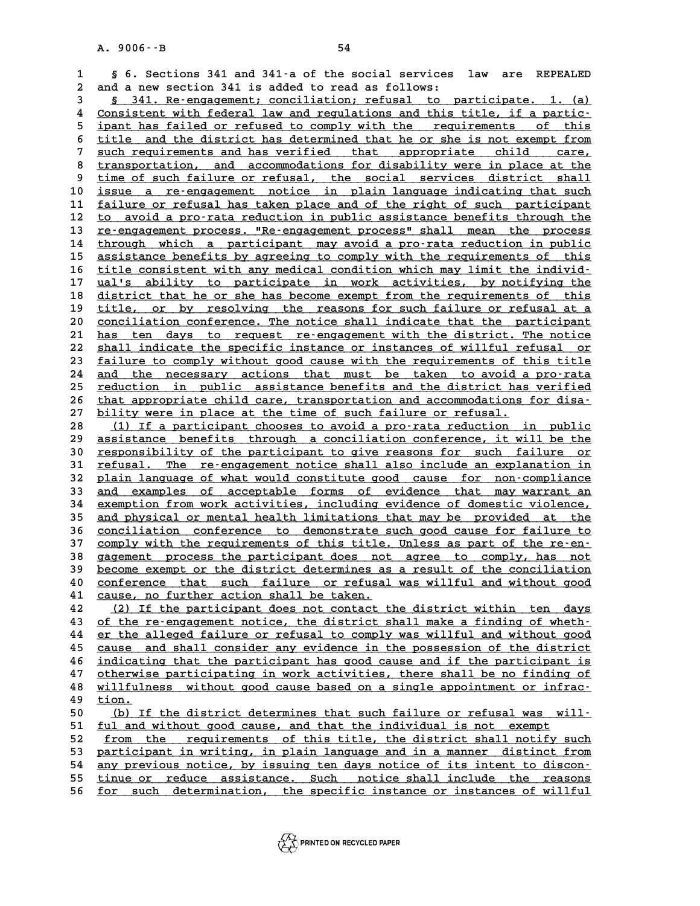**1 § 6. Sections 341 and 341-a of the social services law are REPEALED 2 and a new section 341 is added to read as follows:** § 6. Sections 341 and 341 a of the social services law are REPEALED<br>
2 and a new section 341 is added to read as follows:<br>
<u>§ 341. Re-engagement; conciliation; refusal to participate. 1. (a)</u><br>
4 Consistent with federal law and a new section 341 is added to read as follows:<br>
<u>S 341. Re-engagement; conciliation; refusal to participate. 1. (a)</u><br>
<u>Consistent with federal law and regulations and this title, if a partic-</u><br>
inant bas failed or refu **5** 341. Re-engagement; conciliation; refusal to participate. 1. (a)<br>4 Consistent with federal law and regulations and this title, if a partic-<br>5 ipant has failed or refused to comply with the requirements of this<br>title an 4 Consistent with federal law and regulations and this title, if a partic-<br>5 ipant has failed or refused to comply with the requirements of this<br>6 title and the district has determined that he or she is not exempt from<br>3 s *i* pant has failed or refused to comply with the requirements of this<br> **6** title and the district has determined that he or she is not exempt from<br>
<u>such requirements and has verified</u> that appropriate child care,<br> **propr** 8 title and the district has determined that he or she is not exempt from<br> **8** such requirements and has verified that appropriate child care,<br> **8** time of such failure or refusel the social services district shall 9 such requirements and has verified that appropriate child care,<br>8 transportation, and accommodations for disability were in place at the<br>9 time of such failure or refusal, the social services district shall<br>10 issue a re 8 transportation, and accommodations for disability were in place at the<br>
9 time of such failure or refusal, the social services district shall<br>
10 <u>issue a re-engagement notice</u> in plain language indicating that such<br>
11 9 time of such failure or refusal, the social services district shall<br>
10 <u>issue a re-engagement notice in plain language indicating that such</u><br>
11 <u>failure or refusal has taken place and of the right of such participant</u><br> **10** issue a re-engagement notice in plain language indicating that such<br> **11** failure or refusal has taken place and of the right of such participant<br> **12** to avoid a pro-rata reduction in public assistance benefits throu 11 <u>failure or refusal has taken place and of the right of such participant</u><br>12 <u>to avoid a pro-rata reduction in public assistance benefits through the<br>13 re-engagement process. "Re-engagement process" shall mean the proc</u> to avoid a pro-rata reduction in public assistance benefits through the<br>
13 <u>re-engagement process. "Re-engagement process" shall mean the process</u><br>
14 through which a participant may avoid a pro-rata reduction in public<br> 12 to avoid a pro-rata reduction in public assistance benefits through the<br>
13 <u>re-engagement process</u>. "Re-engagement process" shall mean the process<br>
14 through which a participant may avoid a pro-rata reduction in publi **16** title consistent with any medical condition which may limit the individ-<br>17 ual's ability to participate in work activities, by notifying the assistance benefits by agreeing to comply with the requirements of this<br>16 <u>title consistent with any medical condition which may limit the individ-<br>17 ual's ability to participate in work activities, by notifying the<br>dist</u> **16** title consistent with any medical condition which may limit the individ-<br>17 ual's ability to participate in work activities, by notifying the<br>district that he or she has become exempt from the requirements of this<br>iii **17** ual's ability to participate in work activities, by notifying the district that he or she has become exempt from the requirements of this title, or by resolving the reasons for such failure or refusal at a conciliatio district that he or she has become exempt from the requirements of this<br>19 title, or by resolving the reasons for such failure or refusal at a<br>20 conciliation conference. The notice shall indicate that the participant<br>21 h 21 <u>title, or by resolving the reasons for such failure or refusal at a</u><br>20 <u>conciliation conference. The notice shall indicate that the participant</u><br>21 <u>has ten days to request re-engagement with the district. The notice</u> conciliation conference. The notice shall indicate that the participant<br>
21 has ten days to request re-engagement with the district. The notice<br>
22 shall indicate the specific instance or instances of willful refusal or<br> 21 has ten days to request re-engagement with the district. The notice<br>
22 shall indicate the specific instance or instances of willful refusal or<br>
23 failure to comply without good cause with the requirements of this titl 22 <u>shall indicate the specific instance or instances of willful refusal or</u><br>23 <u>failure to comply without good cause with the requirements of this title</u><br>24 <u>and the necessary actions that must be taken to avoid a pro-rat</u> <u>Failure to comply without good cause with the requirements of this title</u><br>24 and the necessary actions that must be taken to avoid a pro-rata<br>25 reduction in public assistance benefits and the district has verified<br>26 tha 24 and the necessary actions that must be taken to avoid a pro-rata<br>25 <u>reduction in public assistance benefits and the district has verified</u><br>26 <u>that appropriate child care, transportation and accommodations for disa-</u><br>2 25 <u>reduction in public assistance benefits and the district has verified<br>26 <u>that appropriate child care, transportation and accommodations for disa-</u><br>27 <u>bility were in place at the time of such failure or refusal.</u><br>28 (</u> 28 (1) If a participant chooses to avoid a pro-rata reduction in public<br>29 assistance benefits through a conciliation conference, it will be the 29 <u>assistance benefits through a conciliation conference, it will be the</u><br>30 responsibility of the participant to give reasons for such failure or **30 10.15 a participant chooses to avoid a pro-rata reduction in public<br>
<b>30** assistance benefits through a conciliation conference, it will be the<br> **The participant of the participant** to give reasons for such failure or<br> assistance benefits through a conciliation conference, it will be the<br>30 <u>responsibility of the participant to give reasons for such failure or</u><br>31 <u>refusal. The re-engagement notice shall also include an explanation in</u><br>2 **10 responsibility of the participant to give reasons for such failure or**<br> **31 plain language of what would constitute good cause for non-compliance**<br> **32 and ayamples** of **acceptable** forms of evidence that may w 31 refusal. The re-engagement notice shall also include an explanation in<br>32 plain language of what would constitute good cause for non-compliance<br>33 <u>and examples of acceptable forms of evidence that may warrant an</u><br>24 ex plain language of what would constitute good cause for non-compliance<br> **and examples of acceptable forms of evidence that may warrant an**<br>
<u>exemption from work activities, including evidence of domestic violence,</u><br>
and phy 33 and examples of acceptable forms of evidence that may warrant an<br>34 <u>exemption from work activities, including evidence of domestic violence,</u><br>35 <u>and physical or mental health limitations that may be provided at the</u><br>c 34 exemption from work activities, including evidence of domestic violence,<br>35 and physical or mental health limitations that may be provided at the<br><u>conciliation</u> conference to demonstrate such good cause for failure to<br>c 35 and physical or mental health limitations that may be provided at the conciliation conference to demonstrate such good cause for failure to comply with the requirements of this title. Unless as part of the re-en-<br> **EXEC** 36 <u>conciliation conference to demonstrate such good cause for failure to</u><br>37 <u>comply with the requirements of this title. Unless as part of the re-en-</u><br>38 gagement process the participant does not agree to comply, has not **37** comply with the requirements of this title. Unless as part of the re-en-<br>38 gagement process the participant does not agree to comply, has not<br>39 become exempt or the district determines as a result of the conciliatio **48 gagement process the participant does not agree to comply, has not**<br> **40 <u>conference</u> that such failure or refusal was willful and without good</u><br>
<b>41 cause no further action shall be taken** 39 <u>become exempt or the district determines as a result of the conciliation</u><br>40 <u>conference that such failure or refusal was willful and without good</u><br>41 <u>cause, no further action shall be taken.</u><br>42 (2) If the participan 42 (2) If the participant does not contact the district within ten days<br>43 of the re-engagement notice, the district shall make a finding of wheth-**43** of the re-engagement notice, the district shall make a finding of wheth-<br>44 er the alleged failure or refusal to comply was willful and without good **42** (2) If the participant does not contact the district within ten days<br> **43** of the re-engagement notice, the district shall make a finding of wheth-<br>
<u>er the alleged failure or refusal to comply was willful and without</u> **43** of the re-engagement notice, the district shall make a finding of whether<br>44 er the alleged failure or refusal to comply was willful and without good<br><u>cause and shall consider</u> any evidence in the possession of the di **44** er the alleged failure or refusal to comply was willful and without good cause and shall consider any evidence in the possession of the district indicating that the participant has good cause and if the participant is 45 <u>cause and shall consider any evidence in the possession of the district</u><br>46 <u>indicating that the participant has good cause and if the participant is</u><br>47 <u>otherwise participating in work activities, there shall be no f</u> **46** <u>indicating that the participant has good cause and if the participant is otherwise participating in work activities, there shall be no finding of willfulness without good cause based on a single appointment or infrac</u> 47 **otherwis**<br>48 **willfuln**<br>49 **tion.**<br>50 (b) If <u>willfulness without good cause based on a single appointment or infraction.</u><br>
<u>49 tion.</u><br>
<u>(b) If the district determines that such failure or refusal was will-</u><br> **ful and without good cause, and that the individual is no** 49 <u>tion.<br>50 (b) If the district determines that such failure or refusal was wi<br>51 <u>ful and without good cause, and that the individual is not exempt</u><br>52 from the requirements of this title the district shall notify st</u> 50 (b) If the district determines that such failure or refusal was will-<br>51 <u>ful and without good cause, and that the individual is not exempt<br>52 from the requirements of this title, the district shall notify such<br>53 parti</u> 51 <u>ful and without good cause, and that the individual is not exempt</u><br>52 <u>from the requirements of this title, the district shall notify such</u><br>53 <u>participant in writing, in plain language and in a manner distinct from</u><br>5 52 <u>from the requirements of this title, the district shall notify such</u><br>53 <u>participant in writing, in plain language and in a manner distinct from</u><br>54 <u>any previous notice, by issuing ten days notice of its intent to dis</u> 52 <u>from the requirements of this title, the district shall notify such</u><br>53 <u>participant in writing, in plain language and in a manner distinct from</u><br>54 <u>any previous notice, by issuing ten days notice of its intent to dis</u> **56 for such determination, the specific instance or instances of willful \_\_\_\_\_\_\_\_\_\_\_\_\_\_\_\_\_\_\_\_\_\_\_\_\_\_\_\_\_\_\_\_\_\_\_\_\_\_\_\_\_\_\_\_\_\_\_\_\_\_\_\_\_\_\_\_\_\_\_\_\_\_\_\_\_\_\_\_\_\_\_\_**

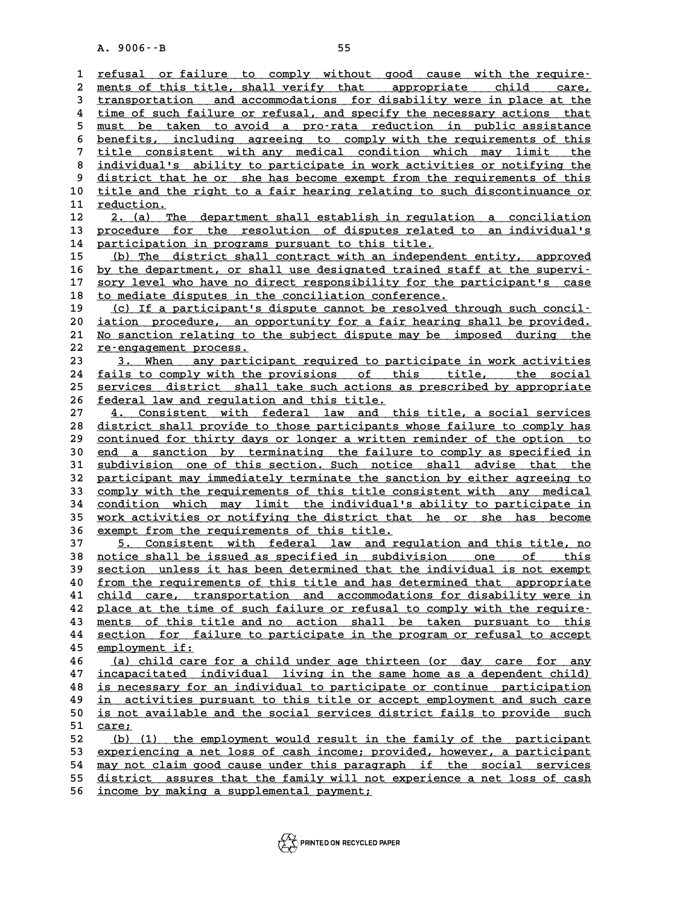A. 9006 ·- B<br>1 <u>refusal or failure to comply without good cause with the require-</u><br>2 monts of this title shall werify that appropriate shild sare **2** refusal or failure to comply without good cause with the require-<br>2 ments of this title, shall verify that appropriate child care,<br>3 transportation, and accommodations for disability were in place at the **2** refusal or failure to comply without good cause with the require-<br> **2** ments of this title, shall verify that appropriate child care,<br> **3** transportation and accommodations for disability were in place at the<br> **1** time a <u>transportation</u> and accommodations for disability were in place at the<br>design failure or refusal, and specify the necessary actions that<br>time of such failure or refusal, and specify the necessary actions that<br>must be ta fram to and accommodations for disability were in place at the<br>
time of such failure or refusal, and specify the necessary actions that<br>  $\frac{m}{2}$  must be taken to avoid a pro-rata reduction in public assistance<br>  $\frac{1}{2}$ 4 <u>time of such failure or refusal, and specify the necessary actions that</u><br>5 <u>must be taken to avoid a pro-rata reduction in public assistance</u><br>6 <u>benefits, including agreeing to comply with the requirements of this</u><br>7 ti For must be taken to avoid a pro-rata reduction in public assistance<br> **6** benefits, including agreeing to comply with the requirements of this<br>
<u>title consistent with any medical condition which may limit the</u><br>
individuall 8 <u>benefits, including agreeing to comply with the requirements of this<br>7 title consistent with any medical condition which may limit the<br>8 individual's ability to participate in work activities or notifying the<br>3 digital </u> Fitle consistent with any medical condition which may limit the<br> **9** district that he or she has become exempt from the requirements of this<br> **district that he or she has become exempt from the requirements of this**<br> **exis** 8 individual's ability to participate in work activities or notifying the<br>9 district that he or she has become exempt from the requirements of this<br>10 title and the right to a fair hearing relating to such discontinuance o 9 district that<br>
10 <u>title and the<br>
11 reduction.</u><br>
2 (a) The 10 title and the right to a fair hearing relating to such discontinuance or<br>
11 <u>reduction.</u><br>
2. (a) The department shall establish in regulation a conciliation<br>
13 procedure for the resolution of disputes related to an in 11 <u>reduction.</u><br>12 <u>2. (a) The department shall establish in regulation a conciliation</u><br>13 procedure for the resolution of disputes related to an individual's<br>14 participation in programs pursuant to this title 12 2. (a) The department shall establish in regulat<br>13 procedure for the resolution of disputes related<br>14 participation in programs pursuant to this title.<br>15 (b) The district shall contrast with an independent 12 (a) The department shall establish in regulation a conciliation<br>13 procedure for the resolution of disputes related to an individual's<br>14 participation in programs pursuant to this title.<br>15 (b) The district shall contr **14** participation in programs pursuant to this title.<br> **15** (b) The district shall contract with an independent entity, approved<br> **16** by the department, or shall use designated trained staff at the supervi-<br> **17** serve l (b) The district shall contract with an independent entity, approved<br>16 by the department, or shall use designated trained staff at the supervi-<br>20 sory level who have no direct responsibility for the participant's case **16 by the department, or shall use designated trained sta**<br>17 sory level who have no direct responsibility for the p<br>18 to mediate disputes in the conciliation conference.<br>(a) If a participantly dignute cannot be resolued 17 sory level who have no direct responsibility for the participant's case<br>
18 to mediate disputes in the conciliation conference.<br>
19 (c) If a participant's dispute cannot be resolved through such concil-<br>
20 iation proce to mediate disputes in the conciliation conference.<br> **20** <u>iation procedure, an opportunity for a fair hearing shall be provided.</u><br> **20** iation procedure, an opportunity for a fair hearing shall be provided.<br>
21 No sangtio 19 (c) If a participant's dispute cannot be resolved through such concil-<br>20 <u>iation procedure, an opportunity for a fair hearing shall be provided.</u><br>21 No sanction relating to the subject dispute may be imposed during the 20 <u>iation procedure, an op</u><br>21 <u>No sanction relating to t</u><br>22 <u>re-engagement process.</u><br>23 <sup>3</sup> <sup>When</sup> any partici-<u>No sanction relating to the subject dispute may be imposed during the re-engagement process.</u><br>
23 3. When any participant required to participate in work activities<br>
24 fails to comply with the provisions of this title th **22** <u>re-engagement process.</u><br> **23** 3. When any participant required to participate in work activities<br> **24** fails to comply with the provisions of this title, the social<br>
corriges district shall take such actions as prose 3. When any participant required to participate in work activities<br>
24 fails to comply with the provisions of this title, the social<br>
25 services district shall take such actions as prescribed by appropriate<br>
26 foderal la 24 <u>fails to comply with the provisions of the services district shall take such actions a<br>26 <u>federal law and regulation and this title.</u><br>27 A Consistent with federal law and the</u> **25 services district shall take such actions as prescribed by appropriate**<br> **26 federal law and regulation and this title.**<br> **27 4. Consistent with federal law and this title, a social services**<br> **district shall provide t** 26 <u>federal law and regulation and this title.</u><br>27 <u>4. Consistent with federal law and this title, a social services</u><br>28 <u>district shall provide to those participants whose failure to comply has</u><br>29 continued for thirty da 27 4. Consistent with federal law and this title, a social services<br>
28 district shall provide to those participants whose failure to comply has<br>
29 continued for thirty days or longer a written reminder of the option to<br> district shall provide to those participants whose failure to comply has<br>
29 continued for thirty days or longer a written reminder of the option to<br>
30 end a sanction by terminating the failure to comply as specified in<br> 29 continued for thirty days or longer a written reminder of the option to<br>30 end a sanction by terminating the failure to comply as specified in<br>31 <u>subdivision one of this section.</u> Such notice shall advise that the<br>32 p 30 end a sanction by terminating the failure to comply as specified in<br>31 <u>subdivision one of this section. Such notice shall advise that the</u><br>32 participant may immediately terminate the sanction by either agreeing to<br>33 31 <u>subdivision one of this section. Such notice shall advise that the participant may immediately terminate the sanction by either agreeing to comply with the requirements of this title consistent with any medical conditi</u> 32 participant may immediately terminate the sanction by either agreeing to<br>33 <u>comply with the requirements of this title consistent with any medical</u><br>34 <u>condition which may limit the individual's ability to participate </u> **33** comply with the requirements of this title consistent with any medical<br>34 condition which may limit the individual's ability to participate in<br>35 work activities or notifying the district that he or she has become<br>36 34 <u>condition which may limit the individual's</u><br>35 <u>work activities or notifying the district that</u><br>36 <u>exempt from the requirements of this title.</u><br>27 **5** Consistent with foderal law and rega **35** work activities or notifying the district that he or she has become<br>36 exempt from the requirements of this title.<br>37 5. Consistent with federal law and regulation and this title, no<br>action child be igneed as aposifie **36** exempt from the requirements of this title.<br> **37** 5. Consistent with federal law and regulation and this title, no<br>
<u>38</u> notice shall be issued as specified in subdivision one of this<br> **38** notion unlose it has been d 37 5. Consistent with federal law and regulation and this title, no<br>38 <u>notice shall be issued as specified in subdivision</u> one of this<br>39 <u>section unless it has been determined that the individual is not exempt</u><br>40 from t **48** <u>motice shall be issued as specified in subdivision one</u> of this section unless it has been determined that the individual is not exempt from the requirements of this title and has determined that appropriate  $\frac{1}{2}$ **40** <u>section unless it has been determined that the individual is not exempt</u><br>40 <u>from the requirements of this title and has determined that appropriate</u><br>41 child care, transportation and accommodations for disability we from the requirements of this title and has determined that appropriate<br>
41 child care, transportation and accommodations for disability were in<br>  $\frac{1}{2}$  place at the time of such failure or refusal to comply with the re 41 child care, transportation and accommodations for disability were in<br>42 place at the time of such failure or refusal to comply with the require-<br>43 ments of this title and no action shall be taken pursuant to this<br>2001 **42** place at the time of such failure or refusal to comply with the require-<br>43 ments of this title and no action shall be taken pursuant to this<br><u>section for failure to participate in the program or refusal to accept<br>45 </u> 43 ments of this ti<br>44 <u>section for fai</u><br>45 <u>employment if:</u><br>46 (a) shild saxe 44 <u>section for failure to participate in the program or refusal to accept</u><br>45 <u>(a) child care for a child under age thirteen (or day care for any</u><br>47 incapacitated individual living in the same home as a dependent child) **47** <u>incapacitated individual living in the same home as a dependent child)</u><br>48 is necessary for an individual to participate or continue participation **46** (a) child care for a child under age thirteen (or day care for any incapacitated individual living in the same home as a dependent child)<br> **48** is necessary for an individual to participate or continue participation<br> **47** <u>incapacitated individual living in the same home as a dependent child)</u><br>48 <u>is necessary for an individual to participate or continue participation</u><br>49 <u>in activities pursuant to this title or accept employment and s</u> **50 is necessary for an individual to participate or continue participation**<br> **49** <u>in activities pursuant to this title or accept employment and such care</u><br> **50** <u>is not available and the social services district fails to</u> **49** <u>in acti</u><br>50 <u>is not a</u><br>51 <u>care;</u><br>52 (b) (1 is not available and the social services district fails to provide such<br>51 <u>care:</u><br>52 (b) (1) the employment would result in the family of the participant<br>53 experiencing 3 net loss of gash income: provided bowever 3 parti 51 <u>care;</u><br>
52 (b) (1) the employment would result in the family of the participant<br>
53 experiencing a net loss of cash income; provided, however, a participant<br>
54 may not claim good cause <u>under this paragraph if the soc</u> (b) (1) the employment would result in the family of the participant<br>53 <u>experiencing a net loss of cash income; provided, however, a participant<br>54 may not claim good cause under this paragraph if the social services<br>55 d</u> 53 <u>experiencing a net loss of cash income; provided, however, a participant<br>54 <u>may not claim good cause under this paragraph if the social services</u><br>55 <u>district assures that the family will not experience a net loss of </u></u> 54 <u>may not claim good cause under this paragra</u><br>55 <u>district assures that the family will not<br>56 <u>income by making a supplemental payment;</u></u>

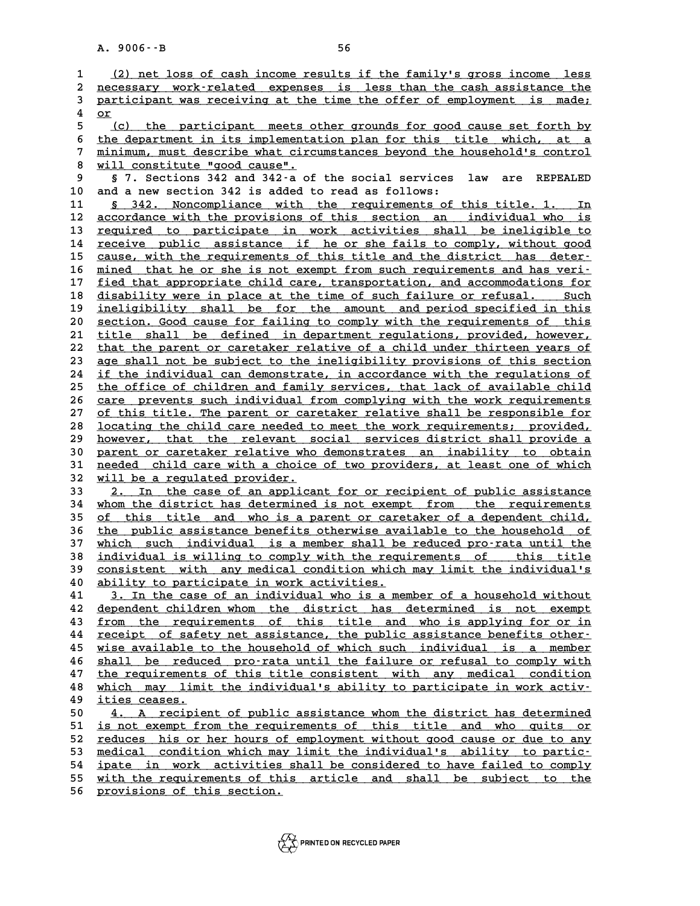A. 9006 · - B<br>
1 (2) net loss of cash income results if the family's gross income less<br>
2 necessary verk-rolated expenses is less than the sash assistance the **2 necessary work-related expenses is less than the cash assistance the \_\_\_\_\_\_\_\_\_\_\_\_\_\_\_\_\_\_\_\_\_\_\_\_\_\_\_\_\_\_\_\_\_\_\_\_\_\_\_\_\_\_\_\_\_\_\_\_\_\_\_\_\_\_\_\_\_\_\_\_\_\_\_\_\_\_\_\_\_\_\_\_** 1 (2) net loss of cash income results if the family's gross income less<br>
2 necessary work-related expenses is less than the cash assistance the<br>
3 participant was receiving at the time the offer of employment is made;<br>
<sup>4</sup> 2 <u>neces</u><br>3 <u>parti</u><br>4 <u>or</u> **5** participant was receiving at the time the offer of employment is made;<br>
<u>4</u> or<br>
<u>(c)</u> the participant meets other grounds for good cause set forth by<br>
the depentment in its implementation plan for this title which at a 4 <u>or</u><br>
<u>5 (c) the participant meets other grounds for good cause set forth by</u><br>
6 <u>the department in its implementation plan for this title which, at a</u><br>
7 minimum, must describe what circumstances beyond the household's 5 (c) the participant meets other grounds for good cause set forth by<br>
the department in its implementation plan for this title which, at a<br>
minimum, must describe what circumstances beyond the household's control<br>
will co 6 <u>the department in its implementa</u><br>7 <u>minimum, must describe what circ</u><br>8 <u>will constitute "good cause".</u><br>8 57 Sostions 342 and 342:0 of **9** <u>will constitute "good cause".</u><br>
8 **will constitute "good cause".**<br>
9 **§ 7. Sections 342 and 342-a of the social services law are REPEALED** 9 will constitute "good cause".<br>
9 § 7. Sections 342 and 342 a of the social services law are REPI<br>
10 and a new section 342 is added to read as follows:<br>
11 § 342. Noncompliance with the requirements of this title. 1. § 7. Sections 342 and 342-a of the social services law are REPEALED<br>10 and a new section 342 is added to read as follows:<br>11 <u>§ 342. Noncompliance with the requirements of this title. 1. In</u><br>12 accordance with the provisio 12 <u>accordance with the provisions of this section an individual who is is the provisions of this section an individual who is the section of the section of  $13$  required to participate in work activities shall be ineligib</u> **11** <u>\$ 342. Noncompliance with the requirements of this title. 1. In</u><br>12 <u>accordance with the provisions of this section an individual who is</u><br>13 <u>required to participate in work activities shall be ineligible to</u><br>14 requ 12 <u>accordance with the provisions of this section an individual who is<br>13 <u>required to participate in work activities shall be ineligible to</u><br>14 <u>receive public assistance if he or she fails to comply, without good</u><br>2016 </u> **13** required to participate in work activities shall be ineligible to receive public assistance if he or she fails to comply, without good cause, with the requirements of this title and the district has deter-<br>15 cause, w 14 <u>receive public assistance if he or she fails to comply, without good</u><br>15 <u>cause, with the requirements of this title and the district has deter-</u><br>16 <u>mined that he or she is not exempt from such requirements and has ve</u> cause, with the requirements of this title and the district has deter-<br>16 <u>mined that he or she is not exempt from such requirements and has veri-</u><br><u>fied that appropriate child care, transportation, and accommodations for</u> 16 <u>mined that he or she is not exempt from such requirements and has veri-</u><br>17 <u>fied that appropriate child care, transportation, and accommodations for</u><br>18 disability were in place at the time of such failure or refusal. I7 ied that appropriate child care, transportation, and accommodations for<br> **18 disability were in place at the time of such failure or refusal.** Such<br> **19 ineligibility shall be for the amount and period specified in this** disability were in place at the time of such failure or refusal. Such<br>19 <u>ineligibility shall be for the amount and period specified in this</u><br>20 <u>section. Good cause for failing to comply with the requirements of this</u><br>21 19 <u>ineligibility shall be for the amount and period specified in this</u><br>20 <u>section. Good cause for failing to comply with the requirements of this</u><br>21 <u>title shall be defined in department regulations, provided, however,</u> **20** section. Good cause for failing to comply with the requirements of this<br>21 title shall be defined in department regulations, provided, however,<br>22 that the parent or caretaker relative of a child under thirteen years 21 <u>title shall be defined in department regulations, provided, however,</u><br>22 <u>that the parent or caretaker relative of a child under thirteen years of</u><br>23 <u>age shall not be subject to the ineligibility provisions of this s</u> 22 that the parent or caretaker relative of a child under thirteen years of<br>23 age shall not be subject to the ineligibility provisions of this section<br>24 if the individual can demonstrate, in accordance with the regulatio age shall not be subject to the ineligibility provisions of this section<br>
<sup>24</sup> if the individual can demonstrate, in accordance with the regulations of<br>
<sup>25</sup> the office of children and family services, that lack of availab 24 <u>if the individual can demonstrate, in accordance with the regulations of<br>25 the office of children and family services, that lack of available child<br>26 care prevents such individual from complying with the work require</u> The office of children and family services, that lack of available child<br>
26 <u>care</u> prevents such individual from complying with the work requirements<br>
27 of this title. The parent or caretaker relative shall be responsibl 26 care prevents such individual from complying with the work requirements<br>27 of this title. The parent or caretaker relative shall be responsible for<br>28 locating the child care needed to meet the work requirements; provid 27 of this title. The parent or caretaker relative shall be responsible for<br>28 <u>locating the child care needed to meet the work requirements; provided,<br>29 however, that the relevant social services district shall provide a</u> **38** locating the child care needed to meet the work requirements; provided,<br> **bowever,** that the relevant social services district shall provide a<br> **parent or caretaker relative who demonstrates an inability to obtain**<br> 29 however, that the relevant social services district shall provide a<br>30 parent or caretaker relative who demonstrates an inability to obtain<br>31 needed child care with a choice of two providers, at least one of which<br>32 w 30 parent or caretaker relative who demonstrates an inability to obtain<br>
31 <u>needed child care with a choice of two providers</u>, at least one of which<br>
32 will be a regulated provider.<br>
33 2. In the case of an applicant for 31 <u>needed child care with a choice of two providers, at least one of which</u><br>32 <u>will be a regulated provider.</u><br>33 2. In the case of an applicant for or recipient of public assistance<br>34 whom the district has determined is 34 whom the district has determined is not exempt from the requirements<br>35 of this title and who is a parent or caretaker of a dependent child, 33 2. In the case of an applicant for or recipient of public assistance<br>34 whom the district has determined is not exempt from the requirements<br>35 <u>of this title and who is a parent or caretaker of a dependent child,</u><br>the 34 whom the district has determined is not exempt from the requirements<br>35 <u>of this title and who is a parent or caretaker of a dependent child,</u><br>36 <u>the public assistance benefits otherwise available to the household of</u><br> 35 of this title and who is a parent or caretaker of a dependent child,<br>36 <u>the public assistance benefits otherwise available to the household of</u><br>37 which such individual is a member shall be reduced pro-rata until the<br>i 36 the public assistance benefits otherwise available to the household of which such individual is a member shall be reduced pro-rata until the individual is willing to comply with the requirements of this title congistant 37 which such individual is a member shall be reduced pro-rata until the<br>38 <u>individual is willing to comply with the requirements of this title</u><br>39 <u>consistent with any medical condition which may limit the individual's</u><br> 38 <u>individual is willing to comply with the requirements of this title</u><br>39 <u>consistent with any medical condition which may limit the individual's</u><br>40 <u>ability to participate in work activities.</u><br>41 3. In the case of an i **41** 3. In the case of an individual who is a member of a household without 42 dependent children whom the district has determined is not exempt **42** <u>dependent children whom the district has determined is not exempt</u><br>43 from the requirements of this title and who is applying for or in **41 3. In the case of an individual who is a member of a household without**<br>**42 dependent children whom the district has determined is not exempt**<br>**43 from the requirements of this title and who is applying for or in**<br>**44 42 dependent children whom the district has determined is not exempt**<br>43 <u>from the requirements of this title and who is applying for or in</u><br><u>receipt of safety net assistance, the public assistance benefits other</u><br>wise av from the requirements of this title and who is applying for or in<br>
<u>receipt of safety net assistance, the public assistance benefits other</u><br> **45** wise available to the household of which such individual is a member<br> **46** a a <u>receipt of safety net assistance, the public assistance benefits other</u><br>45 <u>wise available to the household of which such individual is a member</u><br>46 shall be reduced pro-rata until the failure or refusal to comply with<br> 45 wise available to the household of which such individual is a member<br>46 shall be reduced pro-rata until the failure or refusal to comply with<br>47 the requirements of this title consistent with any medical condition<br>48 wh 46 <u>shall be reduced pro-rata until the failure or refusal to comply with</u><br>47 <u>the requirements of this title consistent with any medical condition<br>which may limit the individual's ability to participate in work activ-<br>iti</u> 47 <u>the requirements</u><br>48 <u>which may limi</u><br>49 <u>ities ceases.</u><br>50 4 require **50 48 which may limit the individual's ability to participate in work activ-**<br> **49 ities ceases.**<br> **50** 4. A recipient of public assistance whom the district has determined<br> **51** is not exempt from the requirements of thi **19** ities ceases.<br> **50 4.** A recipient of public assistance whom the district has determined<br> **51** is not exempt from the requirements of this title and who quits or<br> **produces** bis or bor bours of employment without se 50 4. A recipient of public assistance whom the district has determined<br>51 <u>is not exempt from the requirements of this title and who quits or<br>52 reduces his or her hours of employment without good cause or due to any<br>medi</u> 51 <u>is not exempt from the requirements of this title and who quits or reduces his or her hours of employment without good cause or due to any medical condition which may limit the individual's ability to partic-<br>
54 inste</u> 52 <u>reduces his or her hours of employment without good cause or due to any<br>53 <u>medical condition which may limit the individual's ability to partic-</u><br>54 <u>ipate in work activities shall be considered to have failed to comp</u></u> 53 <u>medical condition which may limit the individual's ability to partic-</u><br>54 <u>ipate in work activities shall be considered to have failed to comply</u><br>55 with the requirements of this article and shall be subject to the<br>56 54 <u>ipate in work activities shall be considered to have failed to comply</u><br>55 <u>with the requirements of this article and shall be subject to the</u><br>56 <u>provisions of this section.</u>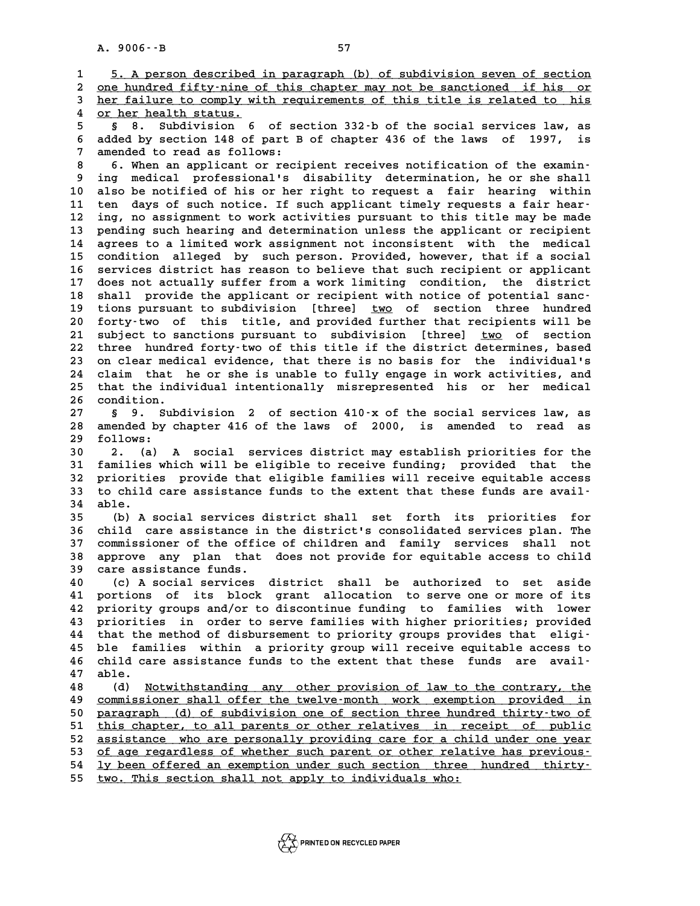2 <u>one hundred fifty-nine of this chapter may not be sanctioned if his or</u><br>3 her failure to comply with requirements of this title is related to his 5. A person described in paragraph (b) of subdivision seven of section<br>
2 one hundred fifty-nine of this chapter may not be sanctioned if his or<br>
3 her failure to comply with requirements of this title is related to his<br>
<sup></sup> 2 <u>one hundred fifty-nine only with the failure to comply with the status.<br>4 or her health status.</u> **5 § 8. Subdivision 6 of section 332-b of the social services law, as 6 added by section 148 of part B of chapter 436 of the social services law, as<br>6 added by section 148 of part B of chapter 436 of the laws of 1997, is<br>7 amonded to read as follows:** 

5 **8. Subdivision 6 of se**<br>6 added by section 148 of part B<br>7 amended to read as follows: 8 added by section 148 of part B of chapter 436 of the laws of 1997, is<br>
7 amended to read as follows:<br>
8 6. When an applicant or recipient receives notification of the examin-<br>
<sup>8</sup> ing modical professionally disphility de

9 ing medical professional's disability determination of the examin-<br>
9 ing medical professional's disability determination, he or she shall<br>
10 also be notified of his or her right to request a fair hearing within 10 8 8 8 8 8 8 8 8 9 10 also be notification of the examin-<br>
10 also be notified of his or her right to request a fair hearing within<br>
11 ten days of such notige If such applicant timely requests a fair hearing 9 ing medical professional's disability determination, he or she shall<br>10 also be notified of his or her right to request a fair hearing within<br>11 ten days of such notice. If such applicant timely requests a fair hear-<br><sup>12</sup> 10 also be notified of his or her right to request a fair hearing within<br>11 ten days of such notice. If such applicant timely requests a fair hear-<br>12 ing, no assignment to work activities pursuant to this title may be mad 11 ten days of such notice. If such applicant timely requests a fair hear-<br>12 ing, no assignment to work activities pursuant to this title may be made<br>13 pending such hearing and determination unless the applicant or recip 12 ing, no assignment to work activities pursuant to this title may be made<br>13 pending such hearing and determination unless the applicant or recipient<br>14 agrees to a limited work assignment not inconsistent with the medic 13 pending such hearing and determination unless the applicant or recipient<br>14 agrees to a limited work assignment not inconsistent with the medical<br>15 condition alleged by such person. Provided, however, that if a social<br> 14 agrees to a limited work assignment not inconsistent with the medical<br>15 condition alleged by such person. Provided, however, that if a social<br>16 services district has reason to believe that such recipient or applicant<br> 15 condition alleged by such person. Provided, however, that if a social<br>16 services district has reason to believe that such recipient or applicant<br>17 does not actually suffer from a work limiting condition, the district<br> 16 services district has reason to believe that such recipient or applicant<br>17 does not actually suffer from a work limiting condition, the district<br>18 shall provide the applicant or recipient with notice of potential sanc 17 does not actually suffer from a work limiting condition, the district<br>18 shall provide the applicant or recipient with notice of potential sanc-<br>19 tions pursuant to subdivision [three] <u>two</u> of section three hundred<br>20 18 shall provide the applicant or recipient with notice of potential sanc-<br>19 tions pursuant to subdivision [three] <u>two</u> of section three hundred<br>20 forty-two of this title, and provided further that recipients will be<br>21 19 tions pursuant to subdivision [three] <u>two</u> of section three hundred<br>20 forty-two of this title, and provided further that recipients will be<br>21 subject to sanctions pursuant to subdivision [three] <u>two</u> of section<br>22 t 20 forty-two of this title, and provided further that recipients will be<br>21 subject to sanctions pursuant to subdivision [three] <u>two</u> of section<br>22 three hundred forty-two of this title if the district determines, based<br>2 21 subject to sanctions pursuant to subdivision [three] <u>two</u> of section<br>22 three hundred forty-two of this title if the district determines, based<br>23 on clear medical evidence, that there is no basis for the individual's<br> 22 three hundred forty-two of this title if the district determines, based<br>23 on clear medical evidence, that there is no basis for the individual's<br>24 claim that he or she is unable to fully engage in work activities, and 23 on clear medical evidence, that there is no basis for the individual's<br>24 claim that he or she is unable to fully engage in work activities, and<br>25 that the individual intentionally misrepresented his or her medical<br>26 24 claim that<br>25 that the indi-<br>26 condition.<br>27 5 0 Subd **25 that the individual intentionally misrepresented his or her medical condition.**<br>26 condition.<br>27 § 9. Subdivision 2 of section 410-x of the social services law, as<br>28 conorated by shapter 416 of the laws of 2000, is ar

26 condition.<br>27 § 9. Subdivision 2 of section 410 x of the social services law, as<br>28 amended by chapter 416 of the laws of 2000, is amended to read as<br>29 follows: 27 **§ 9.** Su<br>
28 amended by<br>
29 follows: **30 2. (a) 2012 2. (a) A social services district may establish priorities for the**<br>**30 2. (a) A social services district may establish priorities for the**<br>**31 families which will be eligible to reseive funding: provided t** 

**30 follows:**<br> **30 2. (a) A social services district may establish priorities for the<br>
<b>31 families which will be eligible to receive funding; provided that the**<br> **32 priorities provide that eligible families will reseive 30 2.** (a) A social services district may establish priorities for the<br>31 families which will be eligible to receive funding; provided that the<br>32 priorities provide that eligible families will receive equitable access<br>to 31 families which will be eligible to receive funding; provided that the<br>32 priorities provide that eligible families will receive equitable access<br>33 to child care assistance funds to the extent that these funds are avail 32 prioriti<br>33 to child<br>34 able. 32 priorities provide that eligible families will receive equitable access<br>33 to child care assistance funds to the extent that these funds are avail-<br>34 able.<br>(b) A social services district shall set forth its priorities

**34 able.**<br>35 (b) A social services district shall set forth its priorities for<br>36 child care assistance in the district's consolidated services plan. The<br>37 commissioner of the office of shildren and family services shall **35** (b) A social services district shall set forth its priorities for<br>36 child care assistance in the district's consolidated services plan. The<br>37 commissioner of the office of children and family services shall not<br>38 c 36 child care assistance in the district's consolidated services plan. The commissioner of the office of children and family services shall not approve any plan that does not provide for equitable access to child<br>38 approv 37 commissioner of the office<br>38 approve any plan that<br>39 care assistance funds. **40 (a) 38 approve any plan that does not provide for equitable access to child**<br> **40** (c) A social services district shall be authorized to set aside<br> **41 portions of its block graph allogation** to serve one or more of it

29 care assistance funds.<br>
40 (c) A social services district shall be authorized to set aside<br>
41 portions of its block grant allocation to serve one or more of its<br>
42 priority groups and/or to discontinue funding to fami **42 priority groups and/or to discontinue funding to families with lower 43 priorities in order to serve families with higher priorities; provided** 42 priority groups and/or to discontinue funding to families with lower<br>43 priorities in order to serve families with higher priorities; provided<br>44 that the method of disbursement to priority groups provides that eligi-<br><sup></sup> **43 priorities in order to serve families with higher priorities; provided**<br>44 that the method of disbursement to priority groups provides that eligi-<br>45 ble families within a priority group will receive equitable access t 44 that the method of disbursement to priority groups provides that eligi-<br>45 ble families within a priority group will receive equitable access to<br>46 child care assistance funds to the extent that these funds are avail-<br><sup></sup> ble families within a priority group will receive equitable access to<br>46 child care assistance funds to the extent that these funds are avail-<br>47 able.<br>(d) <u>Notwithstanding any other provision of law to the contrary, the</u> child care assistance funds to the extent that these funds are avail-<br>47 able.<br>(d) <u>Notwithstanding any other provision of law to the contrary, the</u><br>49 commissioner shall offer the twelve-month work exemption provided in

49 <u>commissioner shall offer the twelve-month work exemption provided in</u><br>50 paragraph (d) of subdivision one of section three hundred thirty-two of (d) <u>Notwithstanding any other provision of law to the contrary, the</u><br> **50** <u>paragraph (d) of subdivision one of section three hundred thirty-two of</u><br>
this chapter to all parents or other relatives in receipt of public **50** commissioner shall offer the twelve-month work exemption provided in paragraph (d) of subdivision one of section three hundred thirty-two of this chapter, to all parents or other relatives in receipt of public aggista **50** paragraph (d) of subdivision one of section three hundred thirty-two of this chapter, to all parents or other relatives in receipt of public assistance who are personally providing care for a child under one year of a 51 this chapter, to all parents or other relatives in receipt of public<br>52 <u>assistance who are personally providing care for a child under one year</u><br>53 <u>of age regardless of whether such parent or other relative has previo</u> of age regardless of whether such parent or other relative has previous-55 two. This section shall not apply to individuals who:

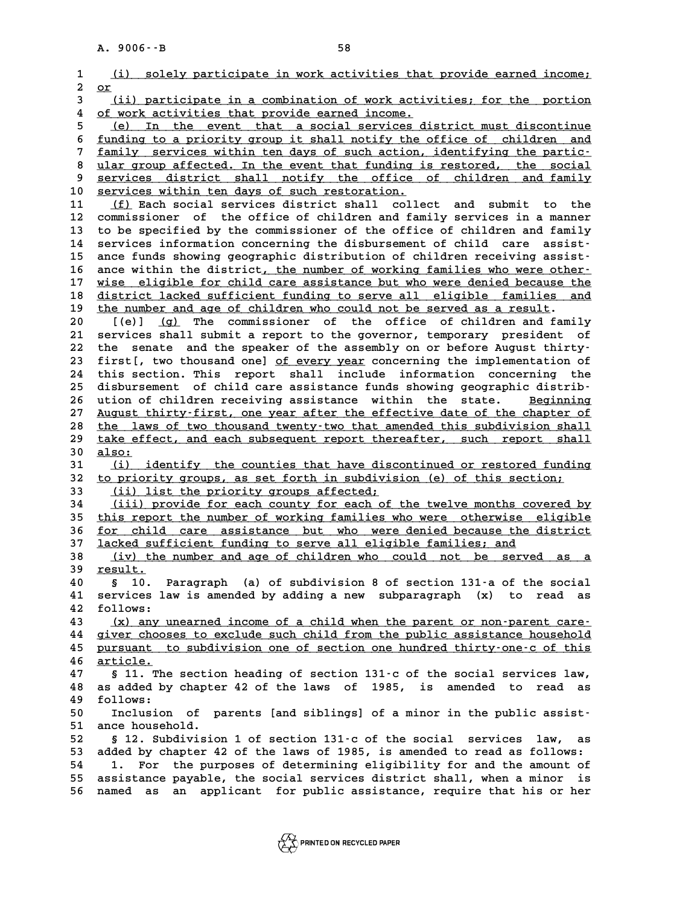|                             | A. 9006 -- B<br>58                                                                                                                        |  |  |  |  |  |
|-----------------------------|-------------------------------------------------------------------------------------------------------------------------------------------|--|--|--|--|--|
|                             |                                                                                                                                           |  |  |  |  |  |
| $\mathbf{1}$<br>$\mathbf 2$ | solely participate in work activities that provide earned income;<br>(i)<br>or                                                            |  |  |  |  |  |
| 3                           | (ii) participate in a combination of work activities; for the portion                                                                     |  |  |  |  |  |
| 4                           | of work activities that provide earned income.                                                                                            |  |  |  |  |  |
| 5                           | In the event that a social services district must discontinue<br>(e)                                                                      |  |  |  |  |  |
| 6                           | funding to a priority group it shall notify the office of children and                                                                    |  |  |  |  |  |
| 7                           | family services within ten days of such action, identifying the partic-                                                                   |  |  |  |  |  |
| 8                           | ular group affected. In the event that funding is restored, the social                                                                    |  |  |  |  |  |
| 9                           | services district shall notify the office of children and family                                                                          |  |  |  |  |  |
| 10 <sub>1</sub><br>11       | services within ten days of such restoration.<br>(f) Each social services district shall collect and submit to the                        |  |  |  |  |  |
| 12                          | commissioner of the office of children and family services in a manner                                                                    |  |  |  |  |  |
| 13                          | to be specified by the commissioner of the office of children and family                                                                  |  |  |  |  |  |
| 14                          | services information concerning the disbursement of child care assist-                                                                    |  |  |  |  |  |
| 15                          | ance funds showing geographic distribution of children receiving assist-                                                                  |  |  |  |  |  |
| 16                          | ance within the district, the number of working families who were other-                                                                  |  |  |  |  |  |
| 17                          | wise eligible for child care assistance but who were denied because the                                                                   |  |  |  |  |  |
| 18                          | district lacked sufficient funding to serve all eligible families<br>and                                                                  |  |  |  |  |  |
| 19                          | the number and age of children who could not be served as a result.                                                                       |  |  |  |  |  |
| 20<br>21                    | [(e)] (g) The commissioner of the office of children and family<br>services shall submit a report to the governor, temporary president of |  |  |  |  |  |
| ${\bf 22}$                  | the senate and the speaker of the assembly on or before August thirty-                                                                    |  |  |  |  |  |
| 23                          | first[, two thousand one] of every year concerning the implementation of                                                                  |  |  |  |  |  |
| 24                          | this section. This report shall include information concerning the                                                                        |  |  |  |  |  |
| 25                          | disbursement of child care assistance funds showing geographic distrib-                                                                   |  |  |  |  |  |
| 26                          | ution of children receiving assistance within the state.<br>Beginning                                                                     |  |  |  |  |  |
| 27                          | August thirty-first, one year after the effective date of the chapter of                                                                  |  |  |  |  |  |
| 28                          | the laws of two thousand twenty-two that amended this subdivision shall                                                                   |  |  |  |  |  |
| 29                          | take effect, and each subsequent report thereafter, such report shall                                                                     |  |  |  |  |  |
| 30<br>31                    | also:<br>(i) identify the counties that have discontinued or restored funding                                                             |  |  |  |  |  |
| 32                          | to priority groups, as set forth in subdivision (e) of this section;                                                                      |  |  |  |  |  |
| 33                          | (ii) list the priority groups affected;                                                                                                   |  |  |  |  |  |
| 34                          | (iii) provide for each county for each of the twelve months covered by                                                                    |  |  |  |  |  |
| 35                          | this report the number of working families who were otherwise eligible                                                                    |  |  |  |  |  |
| 36                          | for child care assistance but who were denied because the district                                                                        |  |  |  |  |  |
| 37                          | lacked sufficient funding to serve all eligible families; and                                                                             |  |  |  |  |  |
| 38                          | (iv) the number and age of children who could not be served<br><u>as a</u>                                                                |  |  |  |  |  |
| 39<br>40                    | result.<br>Paragraph (a) of subdivision 8 of section 131-a of the social<br>$\S$ 10.                                                      |  |  |  |  |  |
| 41                          | services law is amended by adding a new subparagraph (x) to read as                                                                       |  |  |  |  |  |
| 42                          | follows:                                                                                                                                  |  |  |  |  |  |
| 43                          | $(x)$ any unearned income of a child when the parent or non-parent care-                                                                  |  |  |  |  |  |
| 44                          | giver chooses to exclude such child from the public assistance household                                                                  |  |  |  |  |  |
| 45                          | pursuant to subdivision one of section one hundred thirty-one-c of this                                                                   |  |  |  |  |  |
| 46                          | article.                                                                                                                                  |  |  |  |  |  |
| 47                          | § 11. The section heading of section 131-c of the social services law,                                                                    |  |  |  |  |  |
| 48                          | as added by chapter 42 of the laws of 1985, is amended to read as                                                                         |  |  |  |  |  |
| 49<br>50                    | follows:<br>Inclusion of parents [and siblings] of a minor in the public assist-                                                          |  |  |  |  |  |
| 51                          | ance household.                                                                                                                           |  |  |  |  |  |
| 52                          | § 12. Subdivision 1 of section 131-c of the social services law,<br>as                                                                    |  |  |  |  |  |
| 53                          | added by chapter 42 of the laws of 1985, is amended to read as follows:                                                                   |  |  |  |  |  |
| 54                          | For the purposes of determining eligibility for and the amount of<br>1. .                                                                 |  |  |  |  |  |
| 55                          | assistance payable, the social services district shall, when a minor<br>is                                                                |  |  |  |  |  |
| 56                          | applicant for public assistance, require that his or her<br>named as<br>an                                                                |  |  |  |  |  |

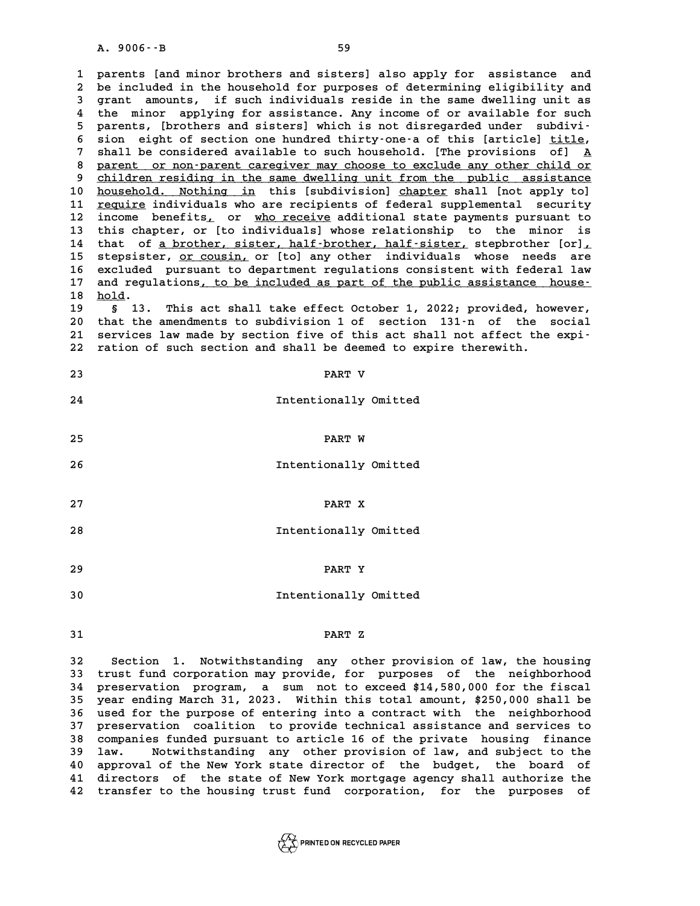A. 9006 --B<br>1 parents [and minor brothers and sisters] also apply for assistance and<br>2 be included in the beugebold for purposes of determining eligibility and **2** parents [and minor brothers and sisters] also apply for assistance and<br>2 be included in the household for purposes of determining eligibility and<br>3 grapt, amounts, if such individuals reside in the same dyelling unit a 1 parents [and minor brothers and sisters] also apply for assistance and<br>2 be included in the household for purposes of determining eligibility and<br>3 grant amounts, if such individuals reside in the same dwelling unit as<br><sup></sup> 2 be included in the household for purposes of determining eligibility and<br>3 grant amounts, if such individuals reside in the same dwelling unit as<br>4 the minor applying for assistance. Any income of or available for such<br>5 3 grant amounts, if such individuals reside in the same dwelling unit as<br>4 the minor applying for assistance. Any income of or available for such<br>5 parents, [brothers and sisters] which is not disregarded under subdivi-<br>5 4 the minor applying for assistance. Any income of or available for such<br>5 parents, [brothers and sisters] which is not disregarded under subdivi-<br>6 sion eight of section one hundred thirty-one-a of this [article] <u>title</u>, **7** parents, [brothers and sisters] which is not disregarded under subdivi-<br> **6** shall be considered available to such household. [The provisions of] <u>A</u><br> **8** narrow and provisions are provisions and provisions are provisi 8 sion eight of section one hundred thirty-one-a of this [article] <u>title</u>,<br>
8 parent or non-parent caregiver may choose to exclude any other child or<br>
2 children regiding in the same duelling unit from the public aggistan 9 shall be considered available to such household. [The provisions of] <u>A</u><br>
9 <u>children residing in the same dwelling unit from the public assistance</u><br>
9 children residing in the same dwelling unit from the public assistan 8 parent or non-parent caregiver may choose to exclude any other child or<br>
9 children residing in the same dwelling unit from the public assistance<br>
10 <u>household.</u> Nothing in this [subdivision] chapter shall [not apply to 9 children residing in the same dwelling unit from the public assistance<br>10 <u>household. Nothing in</u> this [subdivision] chapter shall [not apply to]<br>11 <u>require</u> individuals who are recipients of federal supplemental securi **10** <u>household. Nothing in</u> this [subdivision] chapter shall [not apply to]<br>11 <u>require</u> individuals who are recipients of federal supplemental security<br>12 income benefits, or who receive additional state payments pursuan 11 <u>require</u> individuals who are recipients of federal supplemental security<br>12 income benefits, or <u>who receive</u> additional state payments pursuant to<br>13 this chapter, or [to individuals] whose relationship to the minor i 12 income benefits, or <u>who receive</u> additional state payments pursuant to<br>13 this chapter, or [to individuals] whose relationship to the minor is<br>14 that of <u>a brother, sister, half-brother, half-sister,</u> stepbrother [or] this chapter, or [to individuals] whose relationship to the minor is<br>14 that of <u>a brother, sister, half-brother, half-sister,</u> stepbrother [or],<br>15 stepsister, <u>or cousin</u>, or [to] any other individuals whose needs are<br>21 14 that of <u>a brother, sister, half-brother, half-sister,</u> stepbrother [or],<br>15 stepsister, <u>or cousin</u>, or [to] any other individuals whose needs are<br>16 excluded pursuant to department regulations consistent with federal 15 stepsister, <u>or cousin,</u> or [to] any other individuals whose needs are<br>16 excluded pursuant to department regulations consistent with federal law<br>17 and regulations, to be included as part of the public assistance house **16** excluded<br>**17** and regu<br>**18** <u>hold</u>. 17 and regulations<u>, to be included as part of the public assistance house-</u><br>18 <u>hold</u>.<br>19 § 13. This act shall take effect October 1, 2022; provided, however,<br>20 that the amendments to subdivision 1 of section 131.p of th **20 18 hold.**<br> **20 13.** This act shall take effect October 1, 2022; provided, however,<br>
20 that the amendments to subdivision 1 of section 131-n of the social<br>
21 services law made by section five of this act shall not aff

**21 services law made by section five of this act shall not affect the expi-**20 that the amendments to subdivision 1 of section 131<sup>-</sup>n of the<br>21 services law made by section five of this act shall not affect the<br>22 ration of such section and shall be deemed to expire therewith. 21 services law made by section five of this act shall not affect the expi-<br>22 ration of such section and shall be deemed to expire therewith.<br>23

- **23** PART V<br>24 Intentionally Omitted
- **25 PART W**
- **25** PART W<br>26 Intentionally Omitted
- **27 PART X**
- **27** PART X<br>28 Intentionally Omitted
- **29 PART Y**
- PART Y<br> **30** Intentionally Omitted
- 

# **31 PART Z**

**2** PART Z<br>32 Section 1. Notwithstanding any other provision of law, the housing<br>33 trust fund corporation may provide, for purposes of the neighborhood **33 trust fund corporation may provide, for purposes of the neighborhood 32 Section 1. Notwithstanding any other provision of law, the housing<br>33 trust fund corporation may provide, for purposes of the neighborhood**<br>34 preservation program, a sum not to exceed \$14,580,000 for the fiscal<br>35 yea **33 trust fund corporation may provide, for purposes of the neighborhood**<br>**34 preservation program, a sum not to exceed \$14,580,000 for the fiscal**<br>**35 year ending March 31, 2023. Within this total amount, \$250,000 shall b 34 preservation program, a sum not to exceed \$14,580,000 for the fiscal**<br>**35 year ending March 31, 2023. Within this total amount, \$250,000 shall be**<br>**36 used for the purpose of entering into a contract with the neighborh 35 year ending March 31, 2023. Within this total amount, \$250,000 shall be**<br>36 used for the purpose of entering into a contract with the neighborhood<br>37 preservation coalition to provide technical assistance and services **36** used for the purpose of entering into a contract with the neighborhood<br>37 preservation coalition to provide technical assistance and services to<br>38 companies funded pursuant to article 16 of the private housing financ 37 preservation coalition to provide technical assistance and services to<br>38 companies funded pursuant to article 16 of the private housing finance<br>39 law. Notwithstanding any other provision of law, and subject to the<br><sup>40</sup> **40 38 companies funded pursuant to article 16 of the private housing finance**<br> **40 approval of the New York state director of the budget, the board of**<br> **40 approval of the New York state director of the budget, the board** 19 law. Notwithstanding any other provision of law, and subject to the<br>40 approval of the New York state director of the budget, the board of<br>41 directors of the state of New York mortgage agency shall authorize the<br>12 tra 40 approval of the New York state director of the budget, the board of<br>41 directors of the state of New York mortgage agency shall authorize the<br>42 transfer to the housing trust fund corporation, for the purposes of

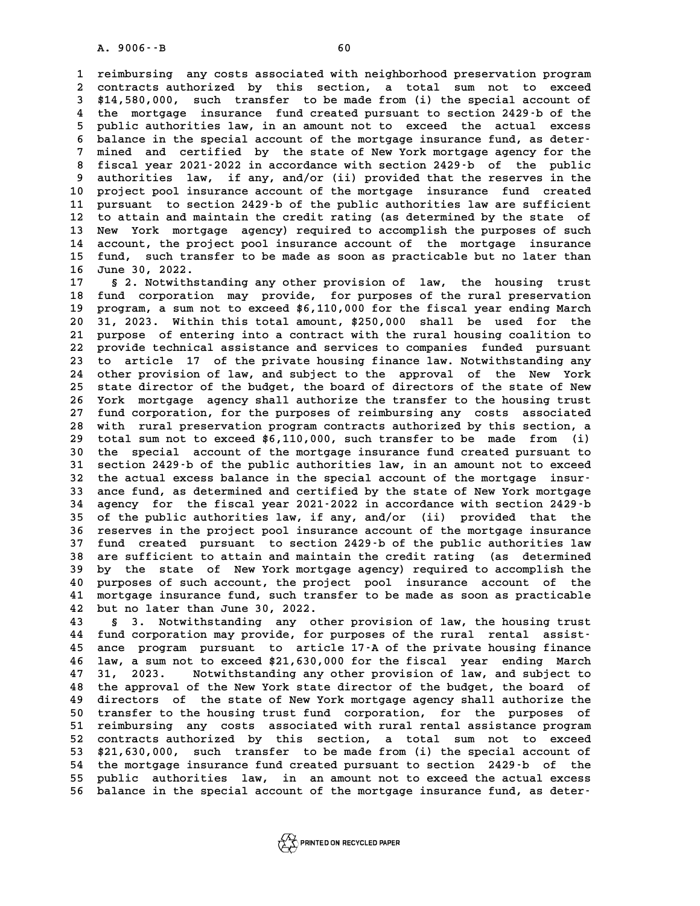**1 reimbursing any costs associated with neighborhood preservation program** 1 reimbursing any costs associated with neighborhood preservation program<br>2 contracts authorized by this section, a total sum not to exceed<br>3 \$14,580,000, such transfer to be made from (i) the special account of **3 \$14,580,000, such transfer to be made from (i) the special account of** 2 contracts authorized by this section, a total sum not to exceed<br>  $$14,580,000$ , such transfer to be made from (i) the special account of<br>
4 the mortgage insurance fund created pursuant to section 2429-b of the<br>
5 public \$14,580,000, such transfer to be made from (i) the special account of<br>4 the mortgage insurance fund created pursuant to section 2429 b of the<br>5 public authorities law, in an amount not to exceed the actual excess<br>5 balance 4 the mortgage insurance fund created pursuant to section 2429 b of the public authorities law, in an amount not to exceed the actual excess<br>6 balance in the special account of the mortgage insurance fund, as deter-<br><sup>7</sup> mi 5 public authorities law, in an amount not to exceed the actual excess<br>6 balance in the special account of the mortgage insurance fund, as deter-<br>7 mined and certified by the state of New York mortgage agency for the<br>8 fis **8 balance in the special account of the mortgage insurance fund, as deter-**<br>**7 mined and certified by the state of New York mortgage agency for the<br><b>8 fiscal year** 2021-2022 in accordance with section 2429-b of the public **9** mined and certified by the state of New York mortgage agency for the<br> **9 fiscal year 2021-2022 in accordance with section 2429-b of the public<br>
<b>9 authorities law, if any, and/or (ii) provided that the reserves in the** 9 authorities law, if any, and/or (ii) provided that the reserves in the<br>10 project pool insurance account of the mortgage insurance fund created<br>11 pursuant to section 2429 b of the public authorities law are sufficient 9 authorities law, if any, and/or (ii) provided that the reserves in the<br>10 project pool insurance account of the mortgage insurance fund created<br>11 pursuant to section 2429-b of the public authorities law are sufficient<br>1 10 project pool insurance account of the mortgage insurance fund created<br>11 pursuant to section 2429 b of the public authorities law are sufficient<br>12 to attain and maintain the credit rating (as determined by the state of 11 pursuant to section 2429 b of the public authorities law are sufficient<br>12 to attain and maintain the credit rating (as determined by the state of<br>13 New York mortgage agency) required to accomplish the purposes of such 12 to attain and maintain the credit rating (as determined by the state of<br>13 New York mortgage agency) required to accomplish the purposes of such<br>14 account, the project pool insurance account of the mortgage insurance<br>1 13 New York mortgage agency) required to accomplish the purposes of such<br>14 account, the project pool insurance account of the mortgage insurance<br>15 fund, such transfer to be made as soon as practicable but no later than<br>1 14 account, the proj.<br>15 fund, such trans<br>16 June 30, 2022.<br>17 5.2 Notwitheta: **15 fund, such transfer to be made as soon as practicable but no later than**<br>16 June 30, 2022.<br>17 § 2. Notwithstanding any other provision of law, the housing trust<br>18 fund corporation move provide for purpose of the wurd

**16 June 30, 2022.**<br>17 § 2. Notwithstanding any other provision of law, the housing trust<br>18 fund corporation may provide, for purposes of the rural preservation<br>19 program a sum pot to exceed \*6 110,000 for the fissal wea **17 § 2. Notwithstanding any other provision of law, the housing trust**<br>18 fund corporation may provide, for purposes of the rural preservation<br>19 program, a sum not to exceed \$6,110,000 for the fiscal year ending March<br>20 18 fund corporation may provide, for purposes of the rural preservation<br>19 program, a sum not to exceed \$6,110,000 for the fiscal year ending March<br>20 31, 2023. Within this total amount, \$250,000 shall be used for the<br>21 p **20 program, a sum not to exceed \$6,110,000 for the fiscal year ending March**<br>20 31, 2023. Within this total amount, \$250,000 shall be used for the<br>21 purpose of entering into a contract with the rural housing coalition to 20 31, 2023. Within this total amount, \$250,000 shall be used for the<br>21 purpose of entering into a contract with the rural housing coalition to<br>22 provide technical assistance and services to companies funded pursuant<br>23 21 purpose of entering into a contract with the rural housing coalition to<br>22 provide technical assistance and services to companies funded pursuant<br>23 to article 17 of the private housing finance law. Notwithstanding any<br> Provide technical assistance and services to companies funded pursuant<br>23 to article 17 of the private housing finance law. Notwithstanding any<br>24 other provision of law, and subject to the approval of the New York<br>25 stat <sup>23</sup> to article 17 of the private housing finance law. Notwithstanding any<br>24 other provision of law, and subject to the approval of the New York<br>25 state director of the budget, the board of directors of the state of New<br> 24 other provision of law, and subject to the approval of the New York<br>25 state director of the budget, the board of directors of the state of New<br>26 York mortgage agency shall authorize the transfer to the housing trust<br>2 25 state director of the budget, the board of directors of the state of New<br>26 York mortgage agency shall authorize the transfer to the housing trust<br>27 fund corporation, for the purposes of reimbursing any costs associate **26 York mortgage agency shall authorize the transfer to the housing trust**<br>27 fund corporation, for the purposes of reimbursing any costs associated<br>28 with rural preservation program contracts authorized by this section, 27 fund corporation, for the purposes of reimbursing any costs associated<br>28 with rural preservation program contracts authorized by this section, a<br>29 total sum not to exceed \$6,110,000, such transfer to be made from (i)<br> **30 with rural preservation program contracts authorized by this section, a**<br>**29 total sum not to exceed \$6,110,000, such transfer to be made from (i)**<br>**30 the special account of the mortgage insurance fund created pursuan** 29 total sum not to exceed \$6,110,000, such transfer to be made from (i)<br>30 the special account of the mortgage insurance fund created pursuant to<br>31 section 2429-b of the public authorities law, in an amount not to exceed 30 the special account of the mortgage insurance fund created pursuant to section 2429 b of the public authorities law, in an amount not to exceed<br>
32 the actual excess balance in the special account of the mortgage insur-31 section 2429 b of the public authorities law, in an amount not to exceed<br>32 the actual excess balance in the special account of the mortgage insur-<br>33 ance fund, as determined and certified by the state of New York mort 32 the actual excess balance in the special account of the mortgage insur-<br>33 ance fund, as determined and certified by the state of New York mortgage<br>34 agency for the fiscal year 2021-2022 in accordance with section 2429 33 ance fund, as determined and certified by the state of New York mortgage<br>34 agency for the fiscal year 2021-2022 in accordance with section 2429-b<br>35 of the public authorities law, if any, and/or (ii) provided that the<br> **34 agency for the fiscal year 2021-2022 in accordance with section 2429-b**<br>35 of the public authorities law, if any, and/or (ii) provided that the<br>36 reserves in the project pool insurance account of the mortgage insuranc 35 of the public authorities law, if any, and/or (ii) provided that the<br>36 reserves in the project pool insurance account of the mortgage insurance<br>37 fund created pursuant to section 2429-b of the public authorities law<br>2 **36 reserves in the project pool insurance account of the mortgage insurance**<br>**37 fund created pursuant to section 2429 b of the public authorities law**<br>**38 are sufficient to attain and maintain the credit rating (as deter** 37 fund created pursuant to section 2429 b of the public authorities law<br>38 are sufficient to attain and maintain the credit rating (as determined<br>39 by the state of New York mortgage agency) required to accomplish the<br><sup>40</sup> **40 are sufficient to attain and maintain the credit rating (as determined**<br> **40 purposes of such account, the project pool insurance account of the**<br> **40 purposes of such account, the project pool insurance account of the** 39 by the state of New York mortgage agency) required to accomplish the 40 purposes of such account, the project pool insurance account of the 41 mortgage insurance fund, such transfer to be made as soon as practicable 42 41 mortgage insurance fund, such transfer to be made as soon as practicable<br>42 but no later than June 30, 2022.<br>43 § 3. Notwithstanding any other provision of law, the housing trust **41 mortgage insurance fund, such transfer to be made as soon as practicable**<br>**42 but no later than June 30, 2022.**<br>**43 § 3. Notwithstanding any other provision of law, the housing trust**<br>*44 fund corporation may provide f* 

42 but no later than June 30, 2022.<br>
43 § 3. Notwithstanding any other provision of law, the housing trust<br>
44 fund corporation may provide, for purposes of the rural rental assist-<br>
45 ange program purguant to artigle 17. **43 § 3. Notwithstanding any other provision of law, the housing trust**<br>**44 fund corporation may provide, for purposes of the rural rental assist-**<br>**45 ance program pursuant to article 17-A of the private housing finance**<br> 44 fund corporation may provide, for purposes of the rural rental assist-<br>45 ance program pursuant to article 17-A of the private housing finance<br>46 law, a sum not to exceed \$21,630,000 for the fiscal year ending March<br>47 45 ance program pursuant to article 17-A of the private housing finance<br>46 law, a sum not to exceed \$21,630,000 for the fiscal year ending March<br>47 31, 2023. Notwithstanding any other provision of law, and subject to<br>48 th **46 law, a sum not to exceed \$21,630,000 for the fiscal year ending March 47 31, 2023. Notwithstanding any other provision of law, and subject to the approval of the New York state director of the budget, the board of dire 47 31, 2023.** Notwithstanding any other provision of law, and subject to the approval of the New York state director of the budget, the board of directors of the state of New York mortgage agency shall authorize the trans 48 the approval of the New York state director of the budget, the board of<br>49 directors of the state of New York mortgage agency shall authorize the<br>50 transfer to the housing trust fund corporation, for the purposes of<br>51 49 directors of the state of New York mortgage agency shall authorize the<br>50 transfer to the housing trust fund corporation, for the purposes of<br>51 reimbursing any costs associated with rural rental assistance program<br>52 c 50 transfer to the housing trust fund corporation, for the purposes of<br>51 reimbursing any costs associated with rural rental assistance program<br>52 contracts authorized by this section, a total sum not to exceed<br>53 \$21.630, 51 reimbursing any costs associated with rural rental assistance program<br>52 contracts authorized by this section, a total sum not to exceed<br>53 \$21,630,000, such transfer to be made from (i) the special account of<br>54 the mo 52 contracts authorized by this section, a total sum not to exceed<br>53 \$21,630,000, such transfer to be made from (i) the special account of<br>54 the mortgage insurance fund created pursuant to section 2429-b of the<br>55 public \$21,630,000, such transfer to be made from (i) the special account of<br>54 the mortgage insurance fund created pursuant to section 2429 b of the<br>55 public authorities law, in an amount not to exceed the actual excess<br>56 bela **56 balance in the special account of the mortgage insurance fund, as deter-**

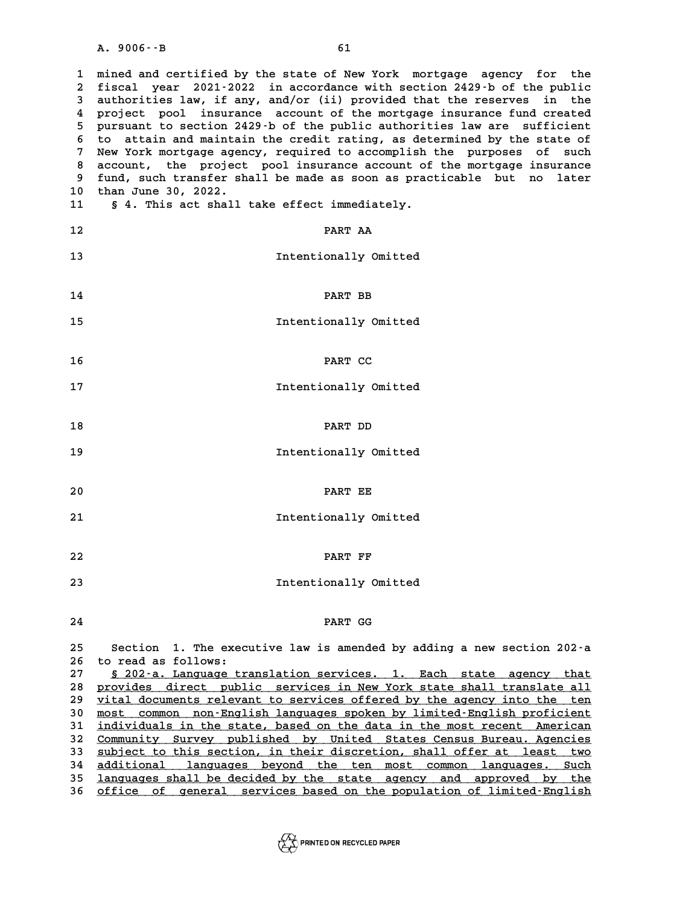|                                                                              | $A. 9006 - B$<br>61                                                                                                                                                                                                                                                                                                                                                                                                                                                                                                                                                                                                                                                                                                                                      |  |
|------------------------------------------------------------------------------|----------------------------------------------------------------------------------------------------------------------------------------------------------------------------------------------------------------------------------------------------------------------------------------------------------------------------------------------------------------------------------------------------------------------------------------------------------------------------------------------------------------------------------------------------------------------------------------------------------------------------------------------------------------------------------------------------------------------------------------------------------|--|
| $\mathbf{1}$<br>$\mathbf{2}$<br>3<br>4<br>5.<br>6<br>7<br>8<br>9<br>10<br>11 | mined and certified by the state of New York mortgage agency for the<br>fiscal year 2021-2022 in accordance with section 2429-b of the public<br>authorities law, if any, and/or (ii) provided that the reserves in the<br>project pool insurance account of the mortgage insurance fund created<br>pursuant to section 2429 b of the public authorities law are sufficient<br>to attain and maintain the credit rating, as determined by the state of<br>New York mortgage agency, required to accomplish the purposes of such<br>account, the project pool insurance account of the mortgage insurance<br>fund, such transfer shall be made as soon as practicable but no later<br>than June 30, 2022.<br>§ 4. This act shall take effect immediately. |  |
| 12                                                                           | PART AA                                                                                                                                                                                                                                                                                                                                                                                                                                                                                                                                                                                                                                                                                                                                                  |  |
| 13                                                                           | Intentionally Omitted                                                                                                                                                                                                                                                                                                                                                                                                                                                                                                                                                                                                                                                                                                                                    |  |
| 14                                                                           | PART BB                                                                                                                                                                                                                                                                                                                                                                                                                                                                                                                                                                                                                                                                                                                                                  |  |
| 15                                                                           | Intentionally Omitted                                                                                                                                                                                                                                                                                                                                                                                                                                                                                                                                                                                                                                                                                                                                    |  |
| 16                                                                           | PART CC                                                                                                                                                                                                                                                                                                                                                                                                                                                                                                                                                                                                                                                                                                                                                  |  |
| 17                                                                           | Intentionally Omitted                                                                                                                                                                                                                                                                                                                                                                                                                                                                                                                                                                                                                                                                                                                                    |  |
| 18                                                                           | PART DD                                                                                                                                                                                                                                                                                                                                                                                                                                                                                                                                                                                                                                                                                                                                                  |  |
| 19                                                                           | Intentionally Omitted                                                                                                                                                                                                                                                                                                                                                                                                                                                                                                                                                                                                                                                                                                                                    |  |
| 20                                                                           | PART EE                                                                                                                                                                                                                                                                                                                                                                                                                                                                                                                                                                                                                                                                                                                                                  |  |
| 21                                                                           | Intentionally Omitted                                                                                                                                                                                                                                                                                                                                                                                                                                                                                                                                                                                                                                                                                                                                    |  |
| 22                                                                           | PART FF                                                                                                                                                                                                                                                                                                                                                                                                                                                                                                                                                                                                                                                                                                                                                  |  |
| 23                                                                           | Intentionally Omitted                                                                                                                                                                                                                                                                                                                                                                                                                                                                                                                                                                                                                                                                                                                                    |  |
| 24                                                                           | PART GG                                                                                                                                                                                                                                                                                                                                                                                                                                                                                                                                                                                                                                                                                                                                                  |  |
| 25                                                                           | Section 1. The executive law is amended by adding a new section 202-a                                                                                                                                                                                                                                                                                                                                                                                                                                                                                                                                                                                                                                                                                    |  |
| 26                                                                           | to read as follows:                                                                                                                                                                                                                                                                                                                                                                                                                                                                                                                                                                                                                                                                                                                                      |  |
| 27                                                                           | § 202-a. Language translation services. 1. Each state agency that                                                                                                                                                                                                                                                                                                                                                                                                                                                                                                                                                                                                                                                                                        |  |
| 28                                                                           | provides direct public services in New York state shall translate all                                                                                                                                                                                                                                                                                                                                                                                                                                                                                                                                                                                                                                                                                    |  |
| 29<br>30                                                                     | vital documents relevant to services offered by the agency into the ten<br>most common non-English languages spoken by limited-English proficient                                                                                                                                                                                                                                                                                                                                                                                                                                                                                                                                                                                                        |  |
| 31                                                                           | individuals in the state, based on the data in the most recent American                                                                                                                                                                                                                                                                                                                                                                                                                                                                                                                                                                                                                                                                                  |  |
| 32                                                                           | Community Survey published by United States Census Bureau. Agencies                                                                                                                                                                                                                                                                                                                                                                                                                                                                                                                                                                                                                                                                                      |  |
| 33                                                                           | subject to this section, in their discretion, shall offer at least two                                                                                                                                                                                                                                                                                                                                                                                                                                                                                                                                                                                                                                                                                   |  |
| 34                                                                           | additional languages beyond the ten most common languages. Such                                                                                                                                                                                                                                                                                                                                                                                                                                                                                                                                                                                                                                                                                          |  |
| 35.<br>36                                                                    | languages shall be decided by the state agency and approved by the<br>office of general services based on the population of limited-English                                                                                                                                                                                                                                                                                                                                                                                                                                                                                                                                                                                                              |  |

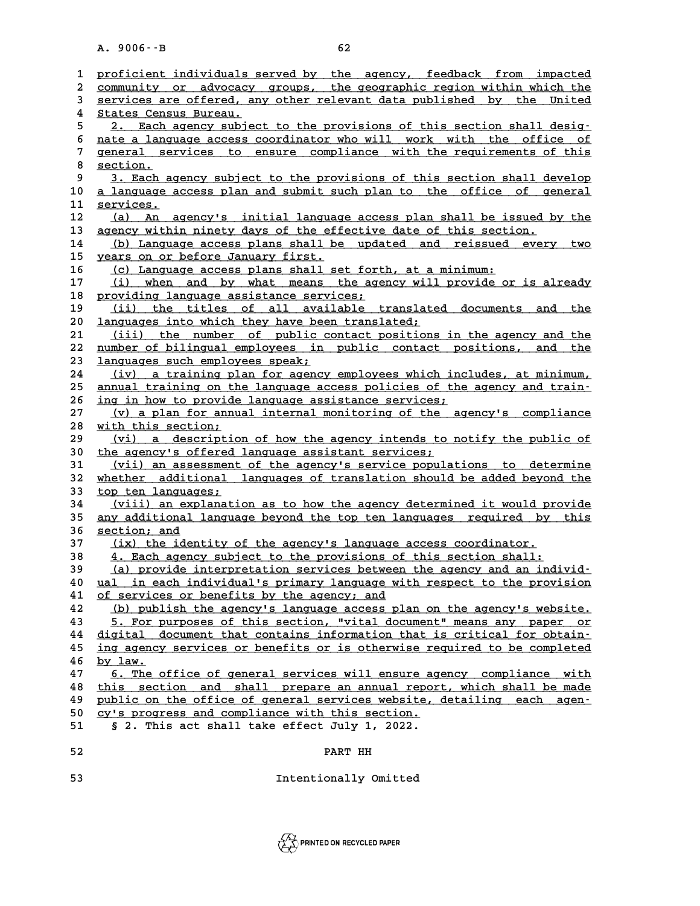|          | $A. 9006 - B$<br>62                                                                                                                               |  |  |  |  |  |
|----------|---------------------------------------------------------------------------------------------------------------------------------------------------|--|--|--|--|--|
|          |                                                                                                                                                   |  |  |  |  |  |
| 1        | proficient individuals served by the agency, feedback from impacted                                                                               |  |  |  |  |  |
| 2        | community or advocacy groups, the geographic region within which the                                                                              |  |  |  |  |  |
| 3        | services are offered, any other relevant data published by the United                                                                             |  |  |  |  |  |
| 4        | States Census Bureau.                                                                                                                             |  |  |  |  |  |
| 5        | 2. Each agency subject to the provisions of this section shall desig-                                                                             |  |  |  |  |  |
| 6        | nate a language access coordinator who will work with the office of                                                                               |  |  |  |  |  |
| 7        | general services to ensure compliance with the requirements of this                                                                               |  |  |  |  |  |
| 8        | section.                                                                                                                                          |  |  |  |  |  |
| 9        | 3. Each agency subject to the provisions of this section shall develop                                                                            |  |  |  |  |  |
| 10       | a language access plan and submit such plan to the office of general                                                                              |  |  |  |  |  |
| 11<br>12 | services.<br>(a) An agency's initial language access plan shall be issued by the                                                                  |  |  |  |  |  |
| 13       | agency within ninety days of the effective date of this section.                                                                                  |  |  |  |  |  |
| 14       | (b) Language access plans shall be updated and reissued every two                                                                                 |  |  |  |  |  |
| 15       | years on or before January first.                                                                                                                 |  |  |  |  |  |
| 16       | (c) Language access plans shall set forth, at a minimum:                                                                                          |  |  |  |  |  |
| 17       | (i) when and by what means the agency will provide or is already                                                                                  |  |  |  |  |  |
| 18       | providing language assistance services;                                                                                                           |  |  |  |  |  |
| 19       | (ii) the titles of all available translated documents<br>and the                                                                                  |  |  |  |  |  |
| 20       | languages into which they have been translated;                                                                                                   |  |  |  |  |  |
| 21       | (iii) the number of public contact positions in the agency and the                                                                                |  |  |  |  |  |
| 22       | number of bilingual employees in public contact positions, and the                                                                                |  |  |  |  |  |
| 23       | languages such employees speak;                                                                                                                   |  |  |  |  |  |
| 24       | (iv) a training plan for agency employees which includes, at minimum,                                                                             |  |  |  |  |  |
| 25       | annual training on the language access policies of the agency and train-                                                                          |  |  |  |  |  |
| 26       | ing in how to provide language assistance services;                                                                                               |  |  |  |  |  |
| 27       | (v) a plan for annual internal monitoring of the agency's compliance                                                                              |  |  |  |  |  |
| 28       | with this section;                                                                                                                                |  |  |  |  |  |
| 29       | (vi) a description of how the agency intends to notify the public of                                                                              |  |  |  |  |  |
| 30       | the agency's offered language assistant services;                                                                                                 |  |  |  |  |  |
| 31       | (vii) an assessment of the agency's service populations to determine                                                                              |  |  |  |  |  |
| 32       | whether additional languages of translation should be added beyond the                                                                            |  |  |  |  |  |
| 33       | top ten languages;                                                                                                                                |  |  |  |  |  |
| 34       | (viii) an explanation as to how the agency determined it would provide                                                                            |  |  |  |  |  |
| 35       | any additional language beyond the top ten languages required by this                                                                             |  |  |  |  |  |
| 36       | section; and                                                                                                                                      |  |  |  |  |  |
| 37       | (ix) the identity of the agency's language access coordinator.                                                                                    |  |  |  |  |  |
| 38       | 4. Each agency subject to the provisions of this section shall:                                                                                   |  |  |  |  |  |
| 39<br>40 | (a) provide interpretation services between the agency and an individ-<br>ual in each individual's primary language with respect to the provision |  |  |  |  |  |
| 41       | of services or benefits by the agency; and                                                                                                        |  |  |  |  |  |
| 42       | (b) publish the agency's language access plan on the agency's website.                                                                            |  |  |  |  |  |
| 43       | 5. For purposes of this section, "vital document" means any paper or                                                                              |  |  |  |  |  |
| 44       | digital document that contains information that is critical for obtain-                                                                           |  |  |  |  |  |
| 45       | ing agency services or benefits or is otherwise required to be completed                                                                          |  |  |  |  |  |
| 46       | by law.                                                                                                                                           |  |  |  |  |  |
| 47       | 6. The office of general services will ensure agency compliance with                                                                              |  |  |  |  |  |
| 48       | this section and shall prepare an annual report, which shall be made                                                                              |  |  |  |  |  |
| 49       | public on the office of general services website, detailing each agen-                                                                            |  |  |  |  |  |
| 50       | cy's progress and compliance with this section.                                                                                                   |  |  |  |  |  |
| 51       | § 2. This act shall take effect July 1, 2022.                                                                                                     |  |  |  |  |  |
|          |                                                                                                                                                   |  |  |  |  |  |
| 52       | PART HH                                                                                                                                           |  |  |  |  |  |
|          |                                                                                                                                                   |  |  |  |  |  |

**53 Intentionally Omitted**

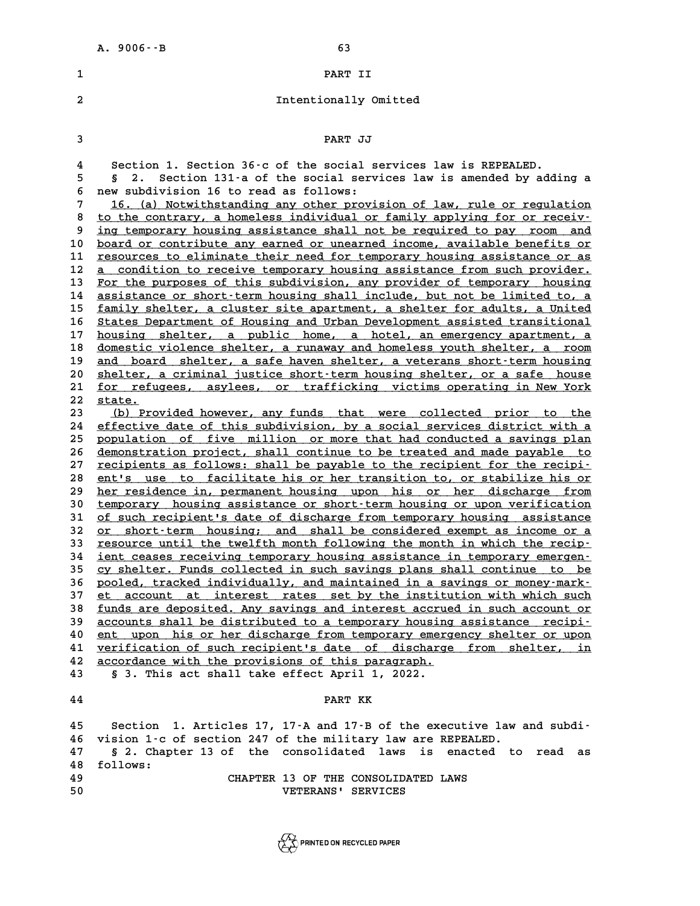**2** Intentionally Omitted<br> **2** Intentionally Omitted

# **3 PART JJ**

PART JJ<br>4 Section 1. Section 36-c of the social services law is REPEALED.<br>5 3 Section 131-2 of the social services law is amended by addi **5** Section 1. Section 36–c of the social services law is REPEALED.<br>5 § 2. Section 131–a of the social services law is amended by adding a **6 1 1. Section 36-c of the social s**<br> **6 2. Section 131-a of the social serv**<br> **6 new subdivision 16 to read as follows:**<br> **6 16 (a) Notwithstanding any other provi** 5 § 2. Section 131 -a of the social services law is amended by adding a<br>6 new subdivision 16 to read as follows:<br><u>16. (a) Notwithstanding any other provision of law, rule or regulation</u><br>8 to the contrary, a homeless indivi 8 new subdivision 16 to read as follows:<br>
7 16. (a) Notwithstanding any other provision of law, rule or regulation<br>
8 to the contrary, a homeless individual or family applying for or receiv-<br>
ing temporary bousing assistan 16. (a) Notwithstanding any other provision of law, rule or regulation<br>8 to the contrary, a homeless individual or family applying for or receiv-<br>9 ing temporary housing assistance shall not be required to pay room and<br>8 b 9 <u>ing temporary housing assistance shall not be required to pay room and</u><br>10 <u>board or contribute any earned or unearned income, available benefits or</u><br>11 resources to eliminate their need for temporary housing assistance **11 <u>resources to eliminate their need for temporary housing assistance or as</u> <b>12** a condition to receive temporary housing assistance from such provider. board or contribute any earned or unearned income, available benefits or<br>
11 <u>resources to eliminate their need for temporary housing assistance or as</u><br>
12 <u>a condition to receive temporary housing assistance from such pro</u> **11 resources to eliminate their need for temporary housing assistance or as**<br> **12 a** condition to receive temporary housing assistance from such provider.<br> **13** For the purposes of this subdivision, any provider of te 12 <u>a condition to receive temporary housing assistance from such provider.</u><br>13 <u>For the purposes of this subdivision, any provider of temporary housing</u><br>14 assistance or short-term housing shall include, but not be limite For the purposes of this subdivision, any provider of temporary housing<br>14 assistance or short-term housing shall include, but not be limited to, a<br><u>family shelter, a cluster site apartment, a shelter for adults, a United</u> **14** assistance or short-term housing shall include, but not be limited to, a<br> **family shelter, a cluster site apartment, a shelter for adults, a United**<br> **Exates Department of Housing and Urban Development assisted transi** 15 <u>family shelter, a cluster site apartment, a shelter for adults, a United</u><br>16 <u>States Department of Housing and Urban Development assisted transitional</u><br>17 <u>housing shelter, a public home, a hotel, an emergency apartmen</u> **16** States Department of Housing and Urban Development assisted transitional<br>17 housing shelter, a public home, a hotel, an emergency apartment, a<br>18 domestic violence shelter, a runaway and homeless youth shelter, a room 17 housing shelter, a public home, a hotel, an emergency apartment, a<br>18 <u>domestic violence shelter</u>, a runaway and homeless youth shelter, a room<br>20 abolier a griminal iustice shert-term bousing shelter, ere as for house domestic violence shelter, a runaway and homeless youth shelter, a room<br>
20 <u>shelter, a criminal justice short-term housing shelter, or a safe house</u><br>
21 for refugees agyleog or trafficking wisting eperting in New York and board shelter, a safe haven shelter, a veterans short-term housing<br>
20 <u>shelter, a criminal justice short-term housing shelter, or a safe house</u><br>
21 for refugees, asylees, or trafficking victims operating in New York<br> 20 <u>shelter,<br>21 for refu</u><br>22 <u>state.</u><br>23 (b) Pro 21 <u>for refugees, asylees, or trafficking victims operating in New York</u><br>22 <u>state.</u><br>23 (b) Provided however, any funds that were collected prior to the<br>24 effective date of this aubdivision, by a sesial services district 22 <u>state.</u><br>
23 (b) Provided however, any funds that were collected prior to the<br>
24 effective date of this subdivision, by a social services district with a<br>
25 population of five million or more that had conducted a savi 23 (b) Provided however, any funds that were collected prior to the<br>24 <u>effective date of this subdivision</u>, by a social services district with a<br>25 population of five million or more that had conducted a savings plan<br>26 d 24 effective date of this subdivision, by a social services district with a<br>25 <u>population of five million or more that had conducted a savings plan</u><br>26 <u>demonstration project, shall continue to be treated and made payable</u> **25 population of five million or more that had conducted a savings plan**<br> **26 demonstration project, shall continue to be treated and made payable to**<br> **27 recipients as follows: shall be payable to the recipient for the** demonstration project, shall continue to be treated and made payable to<br>
<u>recipients</u> as follows: shall be payable to the recipient for the recipi-<br>
28 ent's use to facilitate his or her transition to, or stabilize his or<br> 27 <u>recipients as follows: shall be payable to the recipient for the recipi-</u><br>28 <u>ent's use to facilitate his or her transition to, or stabilize his or</u><br>29 <u>her residence in, permanent housing upon his or her discharge fro</u> <u>ent's use to facilitate his or her transition to, or stabilize his or</u> **130** <u>temporary housing assistance or short-term housing or upon verification</u><br> **31** <u>of such recipient's date of discharge from temporary housing assistance</u><br> **31** or short-term housing, and shall be sensidered event as 30 <u>temporary</u> housing assistance or short-term housing or upon verification<br>31 <u>of such recipient's date of discharge from temporary housing assistance</u><br>32 <u>or short-term housing;</u> and shall be considered exempt as income 31 of such recipient's date of discharge from temporary housing assistance<br>
32 <u>or short-term housing; and shall be considered exempt as income or a</u><br>
33 <u>resource until the twelfth month following the month in which the r</u> 32 <u>or short-term housing; and shall be considered exempt as income or a</u><br>33 <u>resource until the twelfth month following the month in which the recip-</u><br>34 <u>ient ceases receiving temporary housing assistance in temporary em</u> resource until the twelfth month following the month in which the recip-<br>
ient ceases receiving temporary housing assistance in temporary emergen-<br>
<u>cy shelter. Funds collected in such savings plans shall continue to be</u><br> 34 <u>ient ceases receiving temporary housing assistance in temporary emergency<br>35 cy shelter. Funds collected in such savings plans shall continue to be<br>36 pooled, tracked individually, and maintained in a savings or money-</u> **35** cy shelter. Funds collected in such savings plans shall continue to be pooled, tracked individually, and maintained in a savings or money-mark-<br>37 et account at interest rates set by the institution with which such<br>52 pooled, tracked individually, and maintained in a savings or money-mark-<br>
<sup>37</sup> et account at interest rates set by the institution with which such<br>
<u>funds are deposited.</u> Any savings and interest accrued in such account or 37 et account at interest rates set by the institution with which such<br>
<u>shall</u> be distributed to a temporary housing assistance recipi-<br> **accounts shall** be distributed to a temporary housing assistance recipi-<br>  $\frac{10}{10$ funds are deposited. Any savings and interest accrued in such account or<br>  $\frac{100}{2}$  accounts shall be distributed to a temporary housing assistance recipi-<br>  $\frac{100}{2}$  ent upon his or her discharge from temporary emerge accounts shall be distributed to a temporary housing assistance recipi-<br>40 <u>ent upon his or her discharge from temporary emergency shelter or upon<br>41 verification of such recipient's date of discharge from shelter, in<br>42 s</u> **40** <u>ent upon his or her discharge from temporary emergency shelter or upon</u><br> **41** verification of such recipient's date of discharge from shelter, in<br> **42** accordance with the provisions of this paragraph.<br> **43** § 3. Thi verification of such recipient's date of discharge from shelter, in **43** § 3. This act shall take effect April 1, 2022.<br>44 PART KK **44**<br> **45** Section 1. Articles 17, 17-A and 17-B of the executive law and subdi-<br><sup>46</sup> Vision 1:3 of section 247 of the military law are BEDEALED **45 Section 1. Articles 17, 17-A and 17-B of the executive law**<br>46 vision 1-c of section 247 of the military law are REPEALED.<br>47 6.2 Chapter 13 of the consolidated laws is epacted to **45 Section 1. Articles 17, 17–A and 17–B of the executive law and subdi-**<br>**46 vision 1–c of section 247 of the military law are REPEALED.**<br>**47 § 2. Chapter 13 of the consolidated laws is enacted to read as**<br>**48 £ follows:** %46 vision 1-c of section 247 of the military law are REPEALED.<br>47 § 2. Chapter 13 of the consolidated laws is enacted<br>48 follows:<br>**CHAPTER 13 OF THE CONSOLIDATED LAWS 49 CHAPTER 13 OF THE CONSOLIDATED LAWS** CHAPTER 13 OF THE CONSOLIDATED LAWS

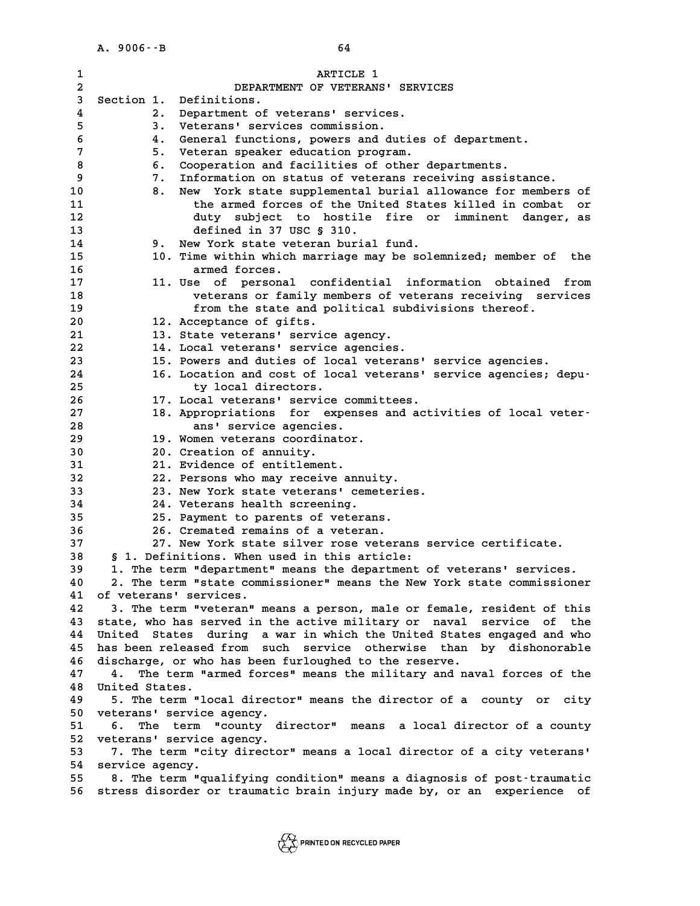|                         | $A. 9006 - B$          | 64                                                                                         |
|-------------------------|------------------------|--------------------------------------------------------------------------------------------|
| 1                       |                        | ARTICLE 1                                                                                  |
| $\overline{\mathbf{2}}$ |                        | DEPARTMENT OF VETERANS' SERVICES                                                           |
| 3                       |                        | Section 1. Definitions.                                                                    |
| 4                       | 2.                     | Department of veterans' services.                                                          |
| 5                       | 3.                     | Veterans' services commission.                                                             |
| 6                       |                        | 4. General functions, powers and duties of department.                                     |
| 7                       | 5.                     | Veteran speaker education program.                                                         |
| 8                       | 6.                     | Cooperation and facilities of other departments.                                           |
| 9                       | 7.                     | Information on status of veterans receiving assistance.                                    |
| 10                      |                        | 8. New York state supplemental burial allowance for members of                             |
| 11                      |                        | the armed forces of the United States killed in combat<br>or                               |
|                         |                        |                                                                                            |
| 12                      |                        | duty subject to hostile fire or imminent danger, as                                        |
| 13                      |                        | defined in 37 USC \$ 310.                                                                  |
| 14                      |                        | 9. New York state veteran burial fund.                                                     |
| 15                      |                        | 10. Time within which marriage may be solemnized; member of the                            |
| 16                      |                        | armed forces.                                                                              |
| 17                      |                        | 11. Use of personal confidential information obtained from                                 |
| 18                      |                        | veterans or family members of veterans receiving services                                  |
| 19                      |                        | from the state and political subdivisions thereof.                                         |
| 20                      |                        | 12. Acceptance of gifts.                                                                   |
| 21                      |                        | 13. State veterans' service agency.                                                        |
| 22                      |                        | 14. Local veterans' service agencies.                                                      |
| 23                      |                        | 15. Powers and duties of local veterans' service agencies.                                 |
| 24                      |                        | 16. Location and cost of local veterans' service agencies; depu-                           |
| 25                      |                        | ty local directors.                                                                        |
| 26                      |                        | 17. Local veterans' service committees.                                                    |
| 27                      |                        | 18. Appropriations for expenses and activities of local veter-                             |
| 28                      |                        | ans' service agencies.                                                                     |
| 29                      |                        | 19. Women veterans coordinator.                                                            |
| 30                      |                        | 20. Creation of annuity.                                                                   |
| 31                      |                        | 21. Evidence of entitlement.                                                               |
| 32                      |                        | 22. Persons who may receive annuity.                                                       |
| 33                      |                        | 23. New York state veterans' cemeteries.                                                   |
| 34                      |                        | 24. Veterans health screening.                                                             |
| 35                      |                        | 25. Payment to parents of veterans.                                                        |
| 36                      |                        | 26. Cremated remains of a veteran.                                                         |
| 37                      |                        | 27. New York state silver rose veterans service certificate.                               |
| 38                      |                        | § 1. Definitions. When used in this article:                                               |
| 39                      |                        | 1. The term "department" means the department of veterans' services.                       |
| 40                      |                        | 2. The term "state commissioner" means the New York state commissioner                     |
| 41                      | of veterans' services. |                                                                                            |
| 42                      |                        | 3. The term "veteran" means a person, male or female, resident of this                     |
| 43                      |                        | state, who has served in the active military or naval service of the                       |
| 44                      |                        | United States during a war in which the United States engaged and who                      |
| 45                      |                        | has been released from such service otherwise than by dishonorable                         |
| 46                      |                        | discharge, or who has been furloughed to the reserve.                                      |
| 47                      | 4.                     | The term "armed forces" means the military and naval forces of the                         |
| 48                      | United States.         |                                                                                            |
| 49                      |                        | 5. The term "local director" means the director of a county or city                        |
| 50<br>51                | 6.                     | veterans' service agency.<br>The term "county director" means a local director of a county |
| 52                      |                        | veterans' service agency.                                                                  |
| 53                      |                        | 7. The term "city director" means a local director of a city veterans'                     |
| 54                      | service agency.        |                                                                                            |
| 55                      |                        | 8. The term "qualifying condition" means a diagnosis of post-traumatic                     |
| 56                      |                        | stress disorder or traumatic brain injury made by, or an experience of                     |
|                         |                        |                                                                                            |

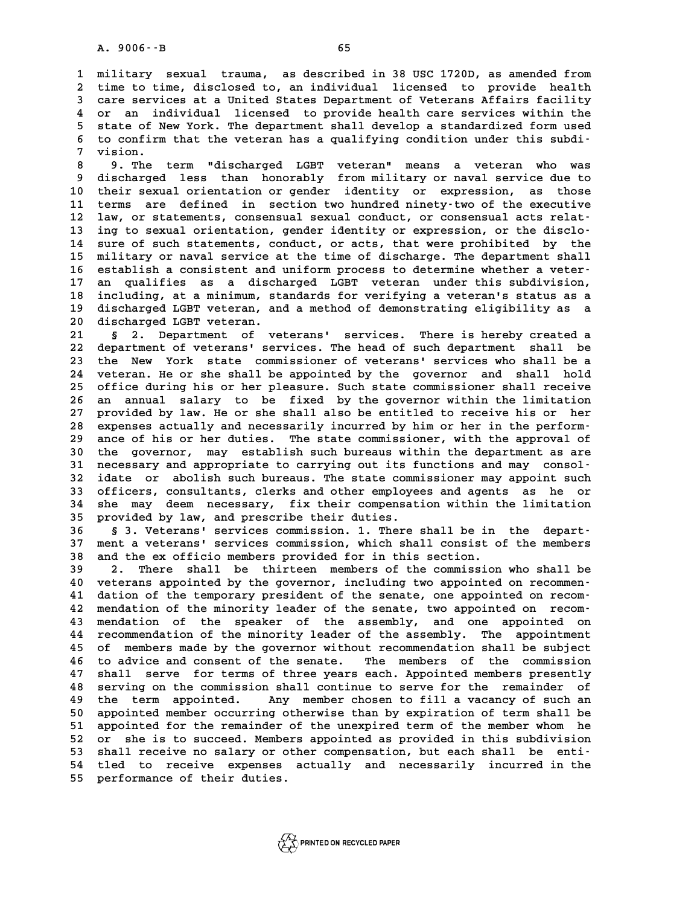**1 military sexual trauma, as described in 38 USC 1720D, as amended from** 1 military sexual trauma, as described in 38 USC 1720D, as amended from<br>2 time to time, disclosed to, an individual licensed to provide health<br>3 sare services at a United States Pepartment of Veterans Affairs facility 1 military sexual trauma, as described in 38 USC 1720D, as amended from<br>2 time to time, disclosed to, an individual licensed to provide health<br>3 care services at a United States Department of Veterans Affairs facility<br>4 cr 2 time to time, disclosed to, an individual licensed to provide health<br>3 care services at a United States Department of Veterans Affairs facility<br>4 or an individual licensed to provide health care services within the<br>5 sta 3 care services at a United States Department of Veterans Affairs facility<br>4 or an individual licensed to provide health care services within the<br>5 state of New York. The department shall develop a standardized form used<br>5 4 or an individual licensed to provide health care services within the<br>5 state of New York. The department shall develop a standardized form used<br>6 to confirm that the veteran has a qualifying condition under this subdi-<br>7 5 state of New York. The department shall develop a standardized form used<br>6 to confirm that the veteran has a qualifying condition under this subdi-<br>7 vision.<br>8 9. The term "discharged LGBT veteran" means a veteran who wa 8 to confirm that the veteran has a qualifying condition under this subdi-<br>**8** 9. The term "discharged LGBT veteran" means a veteran who was<br>9 discharged less than honorably from military or naval service due to

**9 discharged less than honorably from military or naval service due to 10 their sexual orientation or gender identity or expression, as those** 9 discharged less than honorably from military or naval service due to<br>10 their sexual orientation or gender identity or expression, as those<br>11 terms are defined in section two hundred ninety-two of the executive<br>12 law o 10 their sexual orientation or gender identity or expression, as those<br>
11 terms are defined in section two hundred ninety-two of the executive<br>
12 law, or statements, consensual sexual conduct, or consensual acts relat-<br> 11 terms are defined in section two hundred ninety-two of the executive<br>
12 law, or statements, consensual sexual conduct, or consensual acts relat-<br>
13 ing to sexual orientation, gender identity or expression, or the disc 12 law, or statements, consensual sexual conduct, or consensual acts relat-<br>13 ing to sexual orientation, gender identity or expression, or the disclo-<br>14 sure of such statements, conduct, or acts, that were prohibited by **13 ing to sexual orientation, gender identity or expression, or the disclo-**<br>**14 sure of such statements, conduct, or acts, that were prohibited by the**<br>**15 military or naval service at the time of discharge. The departme** 14 sure of such statements, conduct, or acts, that were prohibited by the<br>
15 military or naval service at the time of discharge. The department shall<br>
16 establish a consistent and uniform process to determine whether a v 15 military or naval service at the time of discharge. The department shall<br>16 establish a consistent and uniform process to determine whether a veter-<br>17 an qualifies as a discharged LGBT veteran under this subdivision,<br>i 16 establish a consistent and uniform process to determine whether a veter-<br>17 an qualifies as a discharged LGBT veteran under this subdivision,<br>18 including, at a minimum, standards for verifying a veteran's status as a<br>d 17 an qualifies as a discharged LGBT veteran under this subdivision,<br>18 including, at a minimum, standards for verifying a veteran's status as a<br>19 discharged LGBT veteran, and a method of demonstrating eligibility as a<br>20 18 including, at a minimum, standards for verifying a veteran's status as a<br>19 discharged LGBT veteran, and a method of demonstrating eligibility as a<br>20 discharged LGBT veteran.<br>21 § 2. Department of veterans' services. T **20 discharged LGBT veteran, and a method of demonstrating eligibility as a**<br>20 discharged LGBT veteran.<br>21 § 2. Department of veterans' services. There is hereby created a<br>22 department of veterangl services. The boad of

**22 department of veterans' services. The head of such department shall be 21 § 2. Department of veterans' services. There is hereby created a**<br> **22 department of veterans' services. The head of such department shall be**<br> **23 the New York state commissioner of veterans' services who shall be a**<br> 22 department of veterans' services. The head of such department shall be<br>23 the New York state commissioner of veterans' services who shall be a<br>24 veteran. He or she shall be appointed by the governor and shall hold<br>25 o 23 the New York state commissioner of veterans' services who shall be a<br>24 veteran. He or she shall be appointed by the governor and shall hold<br>25 office during his or her pleasure. Such state commissioner shall receive<br>26 24 veteran. He or she shall be appointed by the governor and shall hold<br>25 office during his or her pleasure. Such state commissioner shall receive<br>26 an annual salary to be fixed by the governor within the limitation<br>27 p 25 office during his or her pleasure. Such state commissioner shall receive<br>26 an annual salary to be fixed by the governor within the limitation<br>27 provided by law. He or she shall also be entitled to receive his or her<br>2 26 an annual salary to be fixed by the governor within the limitation<br>27 provided by law. He or she shall also be entitled to receive his or her<br>28 expenses actually and necessarily incurred by him or her in the perform-<br>2 27 provided by law. He or she shall also be entitled to receive his or her expenses actually and necessarily incurred by him or her in the perform-<br>29 ance of his or her duties. The state commissioner, with the approval of **28 expenses actually and necessarily incurred by him or her in the perform-**<br>29 ance of his or her duties. The state commissioner, with the approval of<br>30 the governor, may establish such bureaus within the department as 29 ance of his or her duties. The state commissioner, with the approval of 30 the governor, may establish such bureaus within the department as are 31 necessary and appropriate to carrying out its functions and may consol-30 the governor, may establish such bureaus within the department as are<br>31 necessary and appropriate to carrying out its functions and may consol-<br>32 idate or abolish such bureaus. The state commissioner may appoint such<br> 31 necessary and appropriate to carrying out its functions and may consol-<br>32 idate or abolish such bureaus. The state commissioner may appoint such<br>33 officers, consultants, clerks and other employees and agents as he or<br> 32 idate or abolish such bureaus. The state commissioner may appoint such<br>33 officers, consultants, clerks and other employees and agents as he or<br>34 she may deem necessary, fix their compensation within the limitation<br><sup>35</sup> 33 officers, consultants, clerks and other employees and agents as he or<br>34 she may deem necessary, fix their compensation within the limitation<br>35 provided by law, and prescribe their duties.<br>83. Veterans' services commis 34 she may deem necessary, fix their compensation within the limitation<br>35 provided by law, and prescribe their duties.<br>36 § 3. Veterans' services commission. 1. There shall be in the depart-<br><sup>27</sup> ment a veterans' services

**35 provided by law, and prescribe their duties.**<br>36 § 3. Veterans' services commission. 1. There shall be in the depart-<br>37 ment a veterans' services commission, which shall consist of the members<br>38 and the oughting prop **36 5 3. Veterans' services commission. 1. There shall be in**<br>37 ment a veterans' services commission, which shall consist o<br>38 and the ex officio members provided for in this section.<br>29 and the extended in this section 37 ment a veterans' services commission, which shall consist of the members<br>38 and the ex officio members provided for in this section.<br>39 2. There shall be thirteen members of the commission who shall be<br>40 veterans appoi

**40 veterans appointed by the governor, including two appointed on recommen-**2. There shall be thirteen members of the commission who shall be<br>
40 veterans appointed by the governor, including two appointed on recommen-<br>
41 dation of the temporary president of the senate, one appointed on recom-<br>
<sup></sup> %40 veterans appointed by the governor, including two appointed on recommen-<br>41 dation of the temporary president of the senate, one appointed on recom-<br>42 mendation of the speaker of the assembly and one appointed on 41 dation of the temporary president of the senate, one appointed on recom-<br>42 mendation of the minority leader of the senate, two appointed on recom-<br>43 mendation of the speaker of the assembly, and one appointed on<br>44 re 42 mendation of the minority leader of the senate, two appointed on recom-<br>43 mendation of the speaker of the assembly, and one appointed on<br>44 recommendation of the minority leader of the assembly. The appointment<br>45 of m 43 mendation of the speaker of the assembly, and one appointed on<br>44 recommendation of the minority leader of the assembly. The appointment<br>45 of members made by the governor without recommendation shall be subject<br>46 the 44 recommendation of the minority leader of the assembly. The appointment<br>45 of members made by the governor without recommendation shall be subject<br>46 to advice and consent of the senate. The members of the commission<br>47 45 of members made by the governor without recommendation shall be subject<br>46 to advice and consent of the senate. The members of the commission<br>47 shall serve for terms of three years each. Appointed members presently<br>28 **46 to advice and consent of the senate. The members of the commission**<br>**47 shall serve for terms of three years each. Appointed members presently**<br>**48 serving on the commission shall continue to serve for the remainder of** 47 shall serve for terms of three years each. Appointed members presently<br>48 serving on the commission shall continue to serve for the remainder of<br>49 the term appointed. Any member chosen to fill a vacancy of such an<br>50 s 48 serving on the commission shall continue to serve for the remainder of<br>49 the term appointed. Any member chosen to fill a vacancy of such an<br>50 appointed member occurring otherwise than by expiration of term shall be **50** the term appointed. Any member chosen to fill a vacancy of such an appointed member occurring otherwise than by expiration of term shall be appointed for the remainder of the unexpired term of the member whom he<br>52 or 50 appointed member occurring otherwise than by expiration of term shall be<br>51 appointed for the remainder of the unexpired term of the member whom he<br>52 or she is to succeed. Members appointed as provided in this subdivis 51 appointed for the remainder of the unexpired term of the member whom he<br>
52 or she is to succeed. Members appointed as provided in this subdivision<br>
53 shall receive no salary or other compensation, but each shall be en 52 or she is to succeed. Members appointed as provided in this subdivision<br>53 shall receive no salary or other compensation, but each shall be enti-<br>54 tled to receive expenses actually and necessarily incurred in the<br>55 p 53 shall receive no salary or o<br>54 tled to receive expenses<br>55 performance of their duties.

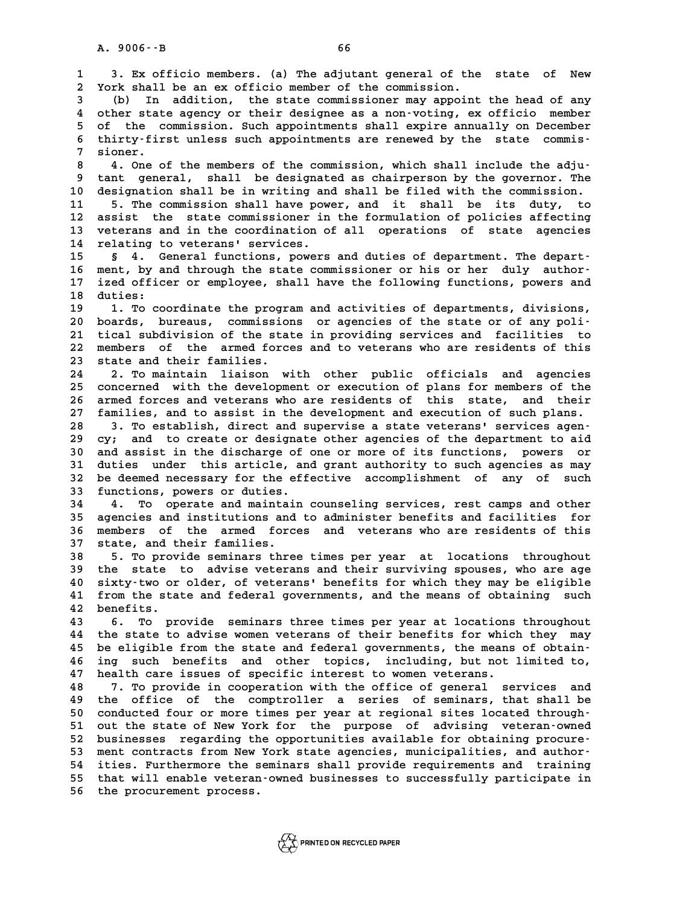**1 3. Ex officio members. (a) The adjutant general of the state of New 2 1 3. Ex officio members. (a) The adjutant general of the 2 York shall be an ex officio member of the commission. 3. Ex officio members.** (a) The adjutant general of the state of New<br>2 York shall be an ex officio member of the commission.<br>(b) In addition, the state commissioner may appoint the head of any<br>1 other state aggregator the **4 York shall be an ex officio member of the commission.**<br> **4 other state agency or their designee as a non-voting, ex officio member**<br> **4 other state agency or their designee as a non-voting, ex officio member**<br> **6 of the** (b) In addition, the state commissioner may appoint the head of any<br>4 other state agency or their designee as a non-voting, ex officio member<br>5 of the commission. Such appointments shall expire annually on December<br>5 thirt 4 other state agency or their designee as a non-voting, ex officio member<br>5 of the commission. Such appointments shall expire annually on December<br>6 thirty-first unless such appointments are renewed by the state commis-<br><sup>7</sup> 5 of the c<sup>o</sup><br>6 thirty-fir<br>7 sioner. 8 thirty-first unless such appointments are renewed by the state commis-<br> **8 4. One of the members of the commission, which shall include the adju-**<br> **8 1. CONCAULARY STATE ADJU** he designated as shairperson by the severno 9 tant general, shall be designated as chairperson by the governor. The designation shall be designated as chairperson by the governor. The designation shall be in writing and shall be filed with the commission. 10 4. One of the members of the commission, which shall include the adju-<br>
10 designation shall be in writing and shall be filed with the commission.<br>
<sup>11</sup> 5 The commission shall have power and it shall be its duty to 9 tant general, shall be designated as chairperson by the governor. The designation shall be in writing and shall be filed with the commission.<br>11 5. The commission shall have power, and it shall be its duty, to<br>12 againt 10 designation shall be in writing and shall be filed with the commission.<br>11 5. The commission shall have power, and it shall be its duty, to<br>12 assist the state commissioner in the formulation of policies affecting<br>13 ve 11 5. The commission shall have power, and it shall be its duty, to<br>12 assist the state commissioner in the formulation of policies affecting<br>13 veterans and in the coordination of all operations of state agencies<br>14 relat 12 assist the state commissioner in<br>13 veterans and in the coordination o<br>14 relating to veterans' services. 13 veterans and in the coordination of all operations of state agencies<br>
14 relating to veterans' services.<br>
15 § 4. General functions, powers and duties of department. The depart-<br>
16 month by and through the state commis 14 relating to veterans' services.<br>
15 § 4. General functions, powers and duties of department. The depart-<br>
16 ment, by and through the state commissioner or his or her duly author-<br>
<sup>17</sup> ined officer or employee, shall h 15 § 4. General functions, powers and duties of department. The depart-<br>16 ment, by and through the state commissioner or his or her duly author-<br>17 ized officer or employee, shall have the following functions, powers and 16 ment, by a<br>17 ized offic<br>18 duties:<br><sup>19</sup> 1 mo.co 17 ized officer or employee, shall have the following functions, powers and<br>18 duties:<br>19 1. To coordinate the program and activities of departments, divisions,<br>20 beze<sup>d</sup>s by the program commissions or agencies of the sta 18 duties:<br>19 1. To coordinate the program and activities of departments, divisions,<br>20 boards, bureaus, commissions or agencies of the state or of any poli-<br><sup>21 tigal subdivision of the state in providing services and fac</sup> 19 1. To coordinate the program and activities of departments, divisions,<br>20 boards, bureaus, commissions or agencies of the state or of any poli-<br>21 tical subdivision of the state in providing services and facilities to<br>2 20 boards, bureaus, commissions or agencies of the state or of any poli-<br>21 tical subdivision of the state in providing services and facilities to<br>22 members of the armed forces and to veterans who are residents of this<br><sup>2</sup> 21 tical subdivision of the sta<br>22 members of the armed forc<br>23 state and their families.<br><sup>24</sup> 2 me maintain liaiser w 22 members of the armed forces and to veterans who are residents of this<br>23 state and their families.<br>24 2. To maintain liaison with other public officials and agencies<br>25 separated with the development or execution of pla 23 state and their families.<br>24 2. To maintain liaison with other public officials and agencies<br>25 concerned with the development or execution of plans for members of the<br>26 comed forces and unterpressible are residents of 24 2. To maintain liaison with other public officials and agencies<br>25 concerned with the development or execution of plans for members of the<br>26 armed forces and veterans who are residents of this state, and their<br>27 famil 25 concerned with the development or execution of plans for members of the<br>26 armed forces and veterans who are residents of this state, and their<br>27 families, and to assist in the development and execution of such plans. 26 armed forces and veterans who are residents of this state, and their<br>
27 families, and to assist in the development and execution of such plans.<br>
28 3. To establish, direct and supervise a state veterans' services agen-27 families, and to assist in the development and execution of such plans.<br>28 3. To establish, direct and supervise a state veterans' services agency;<br>29 cy; and to create or designate other agencies of the department to a 3. To establish, direct and supervise a state veterans' services agency; and to create or designate other agencies of the department to aid<br>30 and assist in the discharge of one or more of its functions, powers or<br>31 dutie 29 cy; and to create or designate other agencies of the department to aid<br>30 and assist in the discharge of one or more of its functions, powers or<br>31 duties under this article, and grant authority to such agencies as may<br> 30 and assist in the discharge of one or more of its functions, powers or<br>31 duties under this article, and grant authority to such agencies as may<br>32 be deemed necessary for the effective accomplishment of any of such<br>33 31 duties under this article, an<br>32 be deemed necessary for the eff<br>33 functions, powers or duties. 32 be deemed necessary for the effective accomplishment of any of such<br>33 functions, powers or duties.<br>34 4. To operate and maintain counseling services, rest camps and other<br>35 agencies and institutions and to administer **33 functions, powers or duties.**<br> **34 4. To operate and maintain counseling services, rest camps and other**<br> **35 agencies and institutions and to administer benefits and facilities for**<br> **36 mombors of the armod forse 4.** To operate and maintain counseling services, rest camps and other<br>35 agencies and institutions and to administer benefits and facilities for<br>36 members of the armed forces and veterans who are residents of this<br>37 sta 35 agencies and institutions and<br>36 members of the armed forc<br>37 state, and their families.<br><sup>39</sup> 5 me provide cominage three 36 members of the armed forces and veterans who are residents of this<br>37 state, and their families.<br>38 5. To provide seminars three times per year at locations throughout<br>39 the state to advise veterans and their surviving **37 state, and their families.<br>38 5. To provide seminars three times per year at locations throughout<br>39 the state to advise veterans and their surviving spouses, who are age<br>40 sixtuations alder of uptorangl bonofits for** 5. To provide seminars three times per year at locations throughout<br>
40 sixty-two or older, of veterans' benefits for which they may be eligible<br>
40 sixty-two or older, of veterans' benefits for which they may be eligible<br> 39 the state to advise veterans and their surviving spouses, who are age<br>40 sixty-two or older, of veterans' benefits for which they may be eligible<br>41 from the state and federal governments, and the means of obtaining suc 40 sixty-two or<br>41 from the sta<br>42 benefits. 41 from the state and federal governments, and the means of obtaining such<br>42 benefits.<br>43 6. To provide seminars three times per year at locations throughout<br>44 the state to advise women veterans of their benefits for whi **42 benefits.**<br>43 6. To provide seminars three times per year at locations throughout<br>44 the state to advise women veterans of their benefits for which they may<br>45 be eligible from the state and foderal covernments, the me **43** 6. To provide seminars three times per year at locations throughout<br> **44** the state to advise women veterans of their benefits for which they may<br> **45** be eligible from the state and federal governments, the means of 44 the state to advise women veterans of their benefits for which they may<br>45 be eligible from the state and federal governments, the means of obtain-<br>46 ing such benefits and other topics, including, but not limited to,<br>4 45 be eligible from the state and federal governments, the means<br>46 ing such benefits and other topics, including, but not<br>47 health care issues of specific interest to women veterans.<br><sup>49</sup> <sup>7</sup> meanwide in seconomation wit ing such benefits and other topics, including, but not limited to,<br>47 health care issues of specific interest to women veterans.<br>48 7. To provide in cooperation with the office of general services and<br>49 the office of the **47 health care issues of specific interest to women veterans.**<br> **48 7. To provide in cooperation with the office of general services and**<br> **49 the office of the comptroller a series of seminars, that shall be**<br> **50 conduc** 7. To provide in cooperation with the office of general services and<br>
49 the office of the comptroller a series of seminars, that shall be<br>
50 conducted four or more times per year at regional sites located through-<br>
<sup>51</sup> 49 the office of the comptroller a series of seminars, that shall be<br>50 conducted four or more times per year at regional sites located through-<br>51 out the state of New York for the purpose of advising veteran-owned<br>52 bus 50 conducted four or more times per year at regional sites located through-<br>51 out the state of New York for the purpose of advising veteran-owned<br>52 businesses regarding the opportunities available for obtaining procure-<br> 51 out the state of New York for the purpose of advising veteran-owned<br>
52 businesses regarding the opportunities available for obtaining procure-<br>
53 ment contracts from New York state agencies, municipalities, and author 52 businesses regarding the opportunities available for obtaining procure-<br>53 ment contracts from New York state agencies, municipalities, and author-<br>54 ities. Furthermore the seminars shall provide requirements and train 53 ment contracts from New York state agencies, municipalities, and author-<br>54 ities. Furthermore the seminars shall provide requirements and training<br>55 the producent process 53 ment contracts from New York state agencies, municipalities, and author-<br>54 ities. Furthermore the seminars shall provide requirements and training<br>55 that will enable veteran-owned businesses to successfully participat

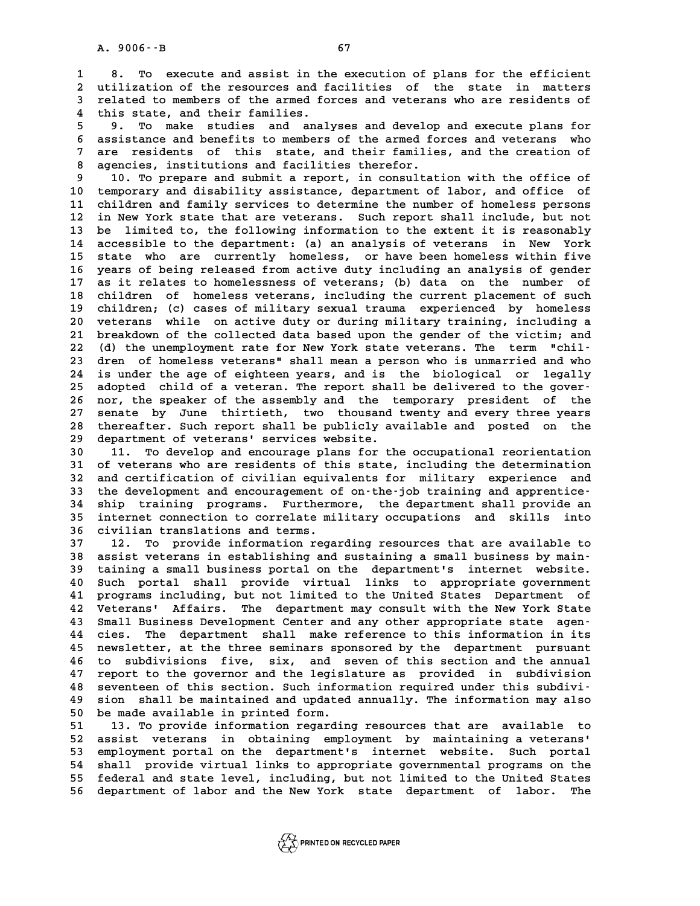**1 8. To execute and assist in the execution of plans for the efficient 2** 1 2. To execute and assist in the execution of plans for the efficient<br>2 utilization of the resources and facilities of the state in matters<br>3 related to members of the armed forces and veterans who are residents of **3.** To execute and assist in the execution of plans for the efficient<br>2 utilization of the resources and facilities of the state in matters<br>3 related to members of the armed forces and veterans who are residents of<br>4 this 2 utilization of the resources and facilities of the state in matters<br>3 related to members of the armed forces and veterans who are residents of<br>4 this state, and their families.<br>9. To make studies and analyses and develop

**5 9. To make studies and analyses and develop and execute plans for 6 assistance and their families.<br>
1 assistance and benefits to members of the armed forces and veterans who**<br> **6 assistance and benefits to members of the armed forces and veterans who**<br> **6 assistance and benefits to memb 9.** To make studies and analyses and develop and execute plans for<br>6 assistance and benefits to members of the armed forces and veterans who<br>7 are residents of this state, and their families, and the creation of<br>8 agonsia 6 assistance and benefits to members of the armed fo<br>7 are residents of this state, and their familie<br>8 agencies, institutions and facilities therefor.<br>2 10 mo propage and submit a report in consultat **9** 10. To presidents of this state, and their families, and the creation of<br> **9** 10. To prepare and submit a report, in consultation with the office of<br> **10. To prepare and submit a report, in consultation with the office** 

10 agencies, institutions and facilities therefor.<br>
10 To prepare and submit a report, in consultation with the office of<br>
10 temporary and disability assistance, department of labor, and office of<br>
11 children and family 10. To prepare and submit a report, in consultation with the office of<br>10 temporary and disability assistance, department of labor, and office of<br>11 children and family services to determine the number of homeless persons<br> 10 temporary and disability assistance, department of labor, and office of<br>11 children and family services to determine the number of homeless persons<br>12 in New York state that are veterans. Such report shall include, but 11 children and family services to determine the number of homeless persons<br>12 in New York state that are veterans. Such report shall include, but not<br>13 be limited to, the following information to the extent it is reasona 12 in New York state that are veterans. Such report shall include, but not<br>13 be limited to, the following information to the extent it is reasonably<br>14 accessible to the department: (a) an analysis of veterans in New York 13 be limited to, the following information to the extent it is reasonably<br>14 accessible to the department: (a) an analysis of veterans in New York<br>15 state who are currently homeless, or have been homeless within five<br>16 14 accessible to the department: (a) an analysis of veterans in New York<br>15 state who are currently homeless, or have been homeless within five<br>16 years of being released from active duty including an analysis of gender<br>17 **17 as it relates to homelessness of veterans; (b) data on the number of** 16 years of being released from active duty including an analysis of gender<br>17 as it relates to homelessness of veterans; (b) data on the number of<br>18 children of homeless veterans, including the current placement of such<br> 17 as it relates to homelessness of veterans; (b) data on the number of<br>18 children of homeless veterans, including the current placement of such<br>19 children; (c) cases of military sexual trauma experienced by homeless<br>20 20 children of homeless veterans, including the current placement of such<br>
20 children; (c) cases of military sexual trauma experienced by homeless<br>
20 veterans while on active duty or during military training, including a children; (c) cases of military sexual trauma experienced by homeless<br>20 veterans while on active duty or during military training, including a<br>21 breakdown of the collected data based upon the gender of the victim; and<br>22 20 veterans while on active duty or during military training, including a<br>21 breakdown of the collected data based upon the gender of the victim; and<br>22 (d) the unemployment rate for New York state veterans. The term "chil 21 breakdown of the collected data based upon the gender of the victim; and<br>22 (d) the unemployment rate for New York state veterans. The term "chil-<br>23 dren of homeless veterans" shall mean a person who is unmarried and w 22 (d) the unemployment rate for New York state veterans. The term "chil-<br>23 dren of homeless veterans" shall mean a person who is unmarried and who<br>24 is under the age of eighteen years, and is the biological or legally<br>2 23 dren of homeless veterans" shall mean a person who is unmarried and who<br>24 is under the age of eighteen years, and is the biological or legally<br>25 adopted child of a veteran. The report shall be delivered to the gover-<br> 24 is under the age of eighteen years, and is the biological or legally<br>25 adopted child of a veteran. The report shall be delivered to the gover-<br>26 nor, the speaker of the assembly and the temporary president of the<br>27 s 26 nor, the speaker of the assembly and the temporary president of the<br>27 senate by June thirtieth, two thousand twenty and every three years<br>28 thereafter. Such report shall be publicly available and posted on the 26 nor, the speaker of the assembly and the temporary president of the<br>27 senate by June thirtieth, two thousand twenty and every three years<br>28 thereafter. Such report shall be publicly available and posted on the<br>29 depa 27 senate by June thirtieth, two thousand<br>28 thereafter. Such report shall be publicly aver<br>29 department of veterans' services website. 28 thereafter. Such report shall be publicly available and posted on the<br>29 department of veterans' services website.<br>30 11. To develop and encourage plans for the occupational reorientation<br>31 of veterans who are resident

department of veterans' services website.<br>
30 11. To develop and encourage plans for the occupational reorientation<br>
31 of veterans who are residents of this state, including the determination<br>
32 and cortification of civi **11.** To develop and encourage plans for the occupational reorientation<br>31 of veterans who are residents of this state, including the determination<br>32 and certification of civilian equivalents for military experience and<br>3 31 of veterans who are residents of this state, including the determination<br>32 and certification of civilian equivalents for military experience and<br>33 the development and encouragement of on-the-job training and apprentic 32 and certification of civilian equivalents for military experience and<br>33 the development and encouragement of on-the-job training and apprentice-<br>34 ship training programs. Furthermore, the department shall provide an<br>3 33 the development and encouragement of on-the-job training and apprentice-<br>34 ship training programs. Furthermore, the department shall provide an<br>35 internet connection to correlate military occupations and skills into<br>2 34 ship training programs. Furtherm<br>35 internet connection to correlate mi<br>36 civilian translations and terms.<br><sup>37</sup> <sup>12</sup> me provide information rega 35 internet connection to correlate military occupations and skills into<br>36 civilian translations and terms.<br>37 12. To provide information regarding resources that are available to<br>38 assist veterans in establishing and su

36 civilian translations and terms.<br>37 12. To provide information regarding resources that are available to<br>38 assist veterans in establishing and sustaining a small business by main-<br>29 taining a small business portal on 12. To provide information regarding resources that are available to<br>38 assist veterans in establishing and sustaining a small business by main-<br>39 taining a small business portal on the department's internet website.<br><sup>40</sup> **40 Such an absolut and Sustaining a small business by main-**<br> **40 Such portal shall provide virtual links to appropriate government**<br> **40 Such portal shall provide virtual links to appropriate government**<br> **41 DECAL STALL** 40 such portal shall provide virtual links to appropriate government<br>40 Such portal shall provide virtual links to appropriate government<br>41 programs including, but not limited to the United States Department of<br>42 Veteran 40 Such portal shall provide virtual links to appropriate government<br>41 programs including, but not limited to the United States Department of<br>42 Veterans' Affairs. The department may consult with the New York State<br><sup>43 Sm</sup> 41 programs including, but not limited to the United States Department of<br>42 Veterans' Affairs. The department may consult with the New York State<br>43 Small Business Development Center and any other appropriate state agen-<br> **42 Veterans' Affairs. The department may consult with the New York State**<br>43 Small Business Development Center and any other appropriate state agen-<br>44 cies. The department shall make reference to this information in its<br> 43 Small Business Development Center and any other appropriate state agen-<br>44 cies. The department shall make reference to this information in its<br>45 newsletter, at the three seminars sponsored by the department pursuant<br>4 44 cies. The department shall make reference to this information in its<br>45 newsletter, at the three seminars sponsored by the department pursuant<br>46 to subdivisions five, six, and seven of this section and the annual<br>47 re 45 newsletter, at the three seminars sponsored by the department pursuant<br>46 to subdivisions five, six, and seven of this section and the annual<br>47 report to the governor and the legislature as provided in subdivision<br>48 s 46 to subdivisions five, six, and seven of this section and the annual<br>47 report to the governor and the legislature as provided in subdivision<br>48 seventeen of this section. Such information required under this subdivi-<br><sup>4</sup> 47 report to the governor and the legislature as provided in subdivision<br>48 seventeen of this section. Such information required under this subdivi-<br>49 sion shall be maintained and updated annually. The information may als % 48 seventeen of this section. Such information required under this subdivi-<br>**50** be made available in printed form.<br>**51** 13. To provide information regarding resources that are available to

50 sion shall be maintained and updated annually. The information may also<br>
50 be made available in printed form.<br>
51 13. To provide information regarding resources that are available to<br>
52 assist veterans in obtaining em **52 assist veterans in obtaining employment by maintaining a veterans'** 51 13. To provide information regarding resources that are available to<br>52 assist veterans in obtaining employment by maintaining a veterans'<br>53 employment portal on the department's internet website. Such portal<br>54 shall 52 assist veterans in obtaining employment by maintaining a veterans'<br>
53 employment portal on the department's internet website. Such portal<br>
54 shall provide virtual links to appropriate governmental programs on the<br>
55 53 employment portal on the department's internet website. Such portal<br>54 shall provide virtual links to appropriate governmental programs on the<br>55 federal and state level, including, but not limited to the United States<br> 54 shall provide virtual links to appropriate governmental programs on the<br>55 federal and state level, including, but not limited to the United States<br>56 department of labor and the New York state department of labor. The

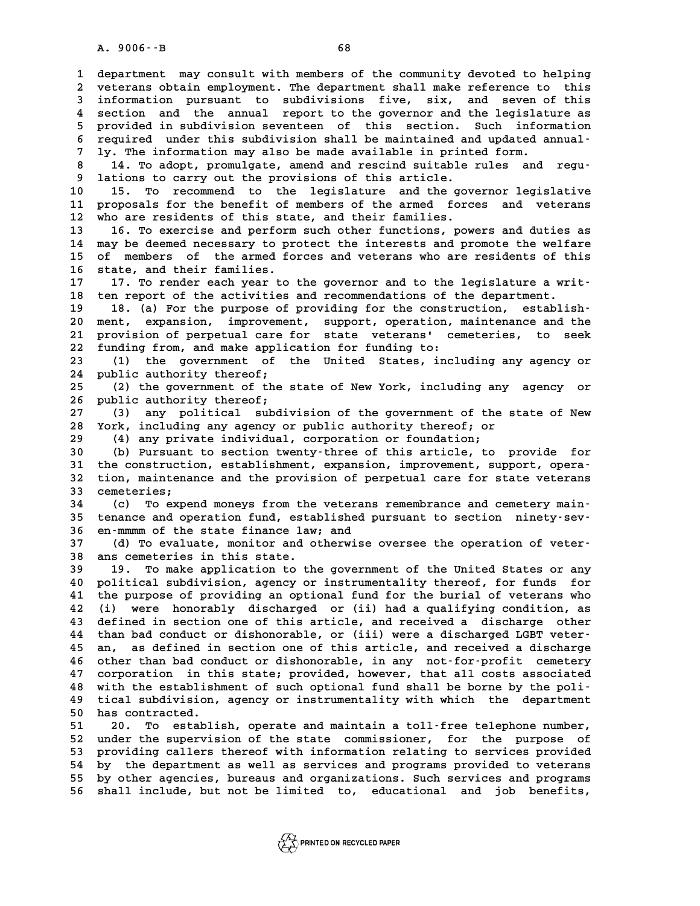**1 department may consult with members of the community devoted to helping** 1 department may consult with members of the community devoted to helping<br>2 veterans obtain employment. The department shall make reference to this<br>3 information pursuant to subdivisions five six, and sever of this 1 department may consult with members of the community devoted to helping<br>2 veterans obtain employment. The department shall make reference to this<br>3 information pursuant to subdivisions five, six, and seven of this<br>3 sect 2 veterans obtain employment. The department shall make reference to this<br>3 information pursuant to subdivisions five, six, and seven of this<br>4 section and the annual report to the governor and the legislature as<br>5 provide 3 information pursuant to subdivisions five, six, and seven of this<br>4 section and the annual report to the governor and the legislature as<br>5 provided in subdivision seventeen of this section. Such information<br>6 required un 4 section and the annual report to the governor and the legislature as<br>
5 provided in subdivision seventeen of this section. Such information<br>
6 required under this subdivision shall be maintained and updated annual-<br>
<sup>7</sup> 5 provided in subdivision seventeen of this section. Such information<br>6 required under this subdivision shall be maintained and updated annual-<br>7 ly. The information may also be made available in printed form.<br>8 14. To ado 6 required under this subdivision shall be maintained and updated annual<sup>-</sup><br>
1y. The information may also be made available in printed form.<br> **8** 14. To adopt, promulgate, amend and rescind suitable rules and regu-<br> **9** la 1 ly. The information may also be made available in printed form.<br>8 14. To adopt, promulgate, amend and rescind suitable rules a<br>9 lations to carry out the provisions of this article.<br>10 15. To recommend to the legislature **10 15. To recommend to the legislature and the governor legislative** 10 15. To recommend to the begislature and the governor legislative<br>10 15. To recommend to the legislature and the governor legislative<br>11 proposals for the benefit of members of the armed forces and veterans<br><sup>12</sup> who are 10 15. To recommend to the legislature and the gov<br>11 proposals for the benefit of members of the armed forc<br>12 who are residents of this state, and their families.<br>13 16 To exercise and perform such other functions. 11 proposals for the benefit of members of the armed forces and veterans<br>12 who are residents of this state, and their families.<br>16. To exercise and perform such other functions, powers and duties as<br>14 may be deemed posse **12 who are residents of this state, and their families.**<br>13 16. To exercise and perform such other functions, powers and duties as<br>14 may be deemed necessary to protect the interests and promote the welfare<br>15 of members 13 16. To exercise and perform such other functions, powers and duties as<br>14 may be deemed necessary to protect the interests and promote the welfare<br>15 of members of the armed forces and veterans who are residents of this 14 may be deemed necessary to pro<br>15 of members of the armed fo<br>16 state, and their families.<br><sup>17</sup> 1<sup>7</sup> me render each wear to 15 of members of the armed forces and veterans who are residents of this<br>
16 state, and their families.<br>
17. To render each year to the governor and to the legislature a writ-<br>
19 to repeat of the edivities and recommondat 16 state, and their families.<br>17 17. To render each year to the governor and to the legislature a writ-<br>18 ten report of the activities and recommendations of the department.<br>19 18. (a) For the purpose of providing for the 17 17. To render each year to the governor and to the legislature a writ-<br>
18 ten report of the activities and recommendations of the department.<br>
19 18. (a) For the purpose of providing for the construction, establish-<br>
2 18 ten report of the activities and recommendations of the department.<br>19 18. (a) For the purpose of providing for the construction, establish-<br>20 ment, expansion, improvement, support, operation, maintenance and the<br>21 pr 19 18. (a) For the purpose of providing for the construction, establish-<br>20 ment, expansion, improvement, support, operation, maintenance and the<br>21 provision of perpetual care for state veterans' cemeteries, to seek<br><sup>22</sup> 20 ment, expansion, improvement, support, operation, 21 provision of perpetual care for state veterans' central<br>22 funding from, and make application for funding to:<br>23 (1) the covernment of the United States incl 20 ment, expansion, improvement, support, operation, maintenance and the provision of perpetual care for state veterans' cemeteries, to seek<br>22 funding from, and make application for funding to:<br>23 (1) the government of th 22 funding from, and make appli<br>
23 (1) the government of<br>
24 public authority thereof;<br>
25 (2) the government of the **23** (1) the government of the United States, including any agency or<br>24 public authority thereof;<br>25 (2) the government of the state of New York, including any agency or<br>26 public authority thereof: 24 public authority thereof;<br>25 (2) the government of the<br>26 public authority thereof;<br>27 (3) any political subdi-**25 (2) the government of the state of New York, including any agency or public authority thereof;<br>27 (3) any political subdivision of the government of the state of New<br>28 York including any agency or public authority the 26 public authority thereof;<br>
27 (3) any political subdivision of the government of the s<br>
28 York, including any agency or public authority thereof; or<br>
29 (4) any private individual corporation or foundation.** (3) any political subdivision of the government of the<br>
28 York, including any agency or public authority thereof; or<br>
(4) any private individual, corporation or foundation;<br>
(b) Purguant to soction typety-three of this ar For York, including any agency or public authority thereof; or<br> **30** (4) any private individual, corporation or foundation;<br> **30** (b) Pursuant to section twenty-three of this article, to provide for<br> **31** the construction, **39** (4) any private individual, corporation or foundation;<br>
30 (b) Pursuant to section twenty-three of this article, to provide for<br>
31 the construction, establishment, expansion, improvement, support, opera-<br>
<sup>32</sup> tion, **30** (b) Pursuant to section twenty-three of this article, to provide for<br>31 the construction, establishment, expansion, improvement, support, opera-<br>32 tion, maintenance and the provision of perpetual care for state veter 31 the constructies;<br>32 tion, maintena:<br>33 cemeteries;<br><sup>34</sup> (3) Te over 32 tion, maintenance and the provision of perpetual care for state veterans<br>33 cemeteries;<br>(c) To expend moneys from the veterans remembrance and cemetery main-<br>35 tenance and operation fund, established pursuant to sectio 33 cemeteries;<br>34 (c) To expend moneys from the veterans remembrance and cemetery main-<br>35 tenance and operation fund, established pursuant to section ninety-sev-<br><sup>26</sup> co-mmmm of the state finance law, and **34 (c)** To expend moneys from the veteran<br>35 tenance and operation fund, established<br>36 en-mmmm of the state finance law; and<br>37 (d) To ovaluate monitor and otherwise 35 tenance and operation fund, established pursuant to section ninety-sev-<br>36 en-mmmm of the state finance law; and<br>37 (d) To evaluate, monitor and otherwise oversee the operation of veter-<br><sup>38</sup> and comptanies in this stat 36 en-mmmm of the state finance law; and<br>37 (d) To evaluate, monitor and otherwise oversee the operation of veter-<br>38 ans cemeteries in this state.<br>39 19. To make application to the government of the United States or any **37** (d) To evaluate, monitor and otherwise oversee the operation of veter-<br>38 ans cemeteries in this state.<br>39 19. To make application to the government of the United States or any<br>20 political subdivision account or inst **40 ans cemeteries in this state.**<br> **40 political subdivision, agency or instrumentality thereof, for funds for**<br> **40 political subdivision, agency or instrumentality thereof, for funds for**<br> **41 the purpose of providing a 40 19. To make application to the government of the United States or any**<br>**40 political subdivision, agency or instrumentality thereof, for funds for**<br>**41 the purpose of providing an optional fund for the burial of vetera 40 political subdivision, agency or instrumentality thereof, for funds for**<br>**41 the purpose of providing an optional fund for the burial of veterans who**<br>**42 (i) were honorably discharged or (ii) had a qualifying conditio** 41 the purpose of providing an optional fund for the burial of veterans who<br>42 (i) were honorably discharged or (ii) had a qualifying condition, as<br>43 defined in section one of this article, and received a discharge other<br> 42 (i) were honorably discharged or (ii) had a qualifying condition, as<br>43 defined in section one of this article, and received a discharge other<br>44 than bad conduct or dishonorable, or (iii) were a discharged LGBT veter-<br> **43 defined in section one of this article, and received a discharge other**<br>**44 than bad conduct or dishonorable, or (iii) were a discharged LGBT veter-**<br>**45 an, as defined in section one of this article, and received a di** 44 than bad conduct or dishonorable, or (iii) were a discharged LGBT veter-<br>45 an, as defined in section one of this article, and received a discharge<br>46 other than bad conduct or dishonorable, in any not-for-profit cemete **45 an, as defined in section one of this article, and received a discharge**<br>**46 other than bad conduct or dishonorable, in any not-for-profit cemetery**<br>**47 corporation in this state; provided, however, that all costs asso** 46 other than bad conduct or dishonorable, in any not-for-profit cemetery<br>47 corporation in this state; provided, however, that all costs associated<br>48 with the establishment of such optional fund shall be borne by the pol 47 corporation in this state; provided, however, that all costs associated<br>48 with the establishment of such optional fund shall be borne by the poli-<br>49 tical subdivision, agency or instrumentality with which the departme with the establishment of such optional fund shall be borne by the poli-<br> **49 tical subdivision, agency or instrumentality with which the department**<br> **50 has contracted.**<br> **51 20.** To establish, operate and maintain a tol 19 tical subdivision, agency or instrumentality with which the department<br>
50 has contracted.<br>
51 20. To establish, operate and maintain a toll-free telephone number,<br>
52 under the supervision of the state commissioner, fo **52 under the supervision of the state commissioner, for the purpose of 53 providing callers thereof with information relating to services provided** 52 under the supervision of the state commissioner, for the purpose of<br>53 providing callers thereof with information relating to services provided<br>54 by the department as well as services and programs provided to veterans<br> 53 providing callers thereof with information relating to services provided<br>54 by the department as well as services and programs provided to veterans<br>55 by other agencies, bureaus and organizations. Such services and prog **56 shall include, but not be limited to, educational and job benefits,**

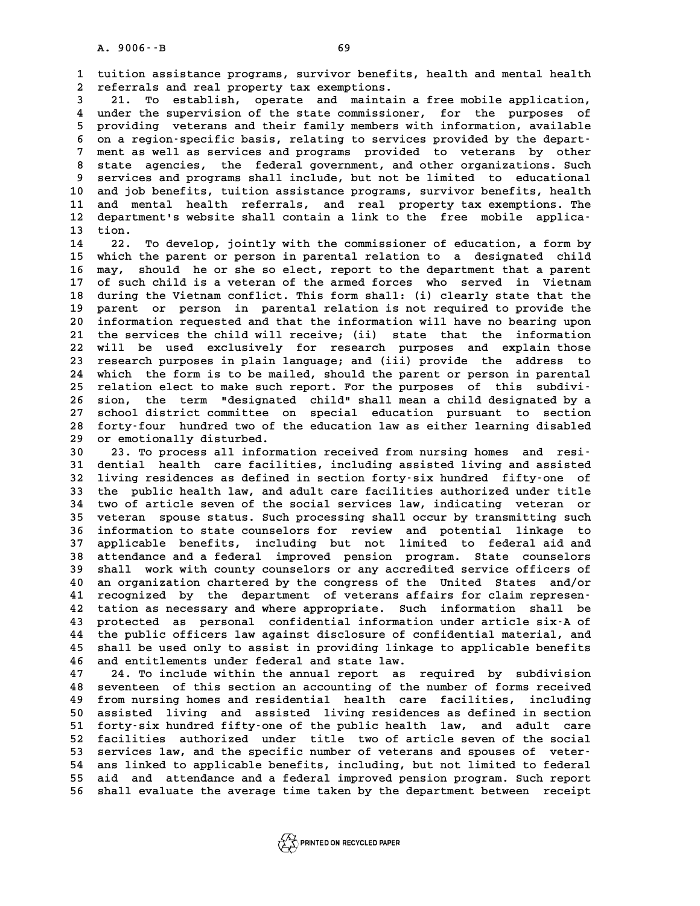**1 tuition assistance programs, survivor benefits, health and mental health** 1 tuition assistance programs, survivor benefits<br>2 referrals and real property tax exemptions.<br><sup>2</sup> 21 To establish, operate and maintain. 1 tuition assistance programs, survivor benefits, health and mental health<br>2 referrals and real property tax exemptions.<br>3 21. To establish, operate and maintain a free mobile application,<br><sup>4</sup> under the supervision of the

**4** referrals and real property tax exemptions.<br> **4** under the supervision of the state commissioner, for the purposes of<br> **6** providing uptorary and their family members with information available 21. To establish, operate and maintain a free mobile application,<br>4 under the supervision of the state commissioner, for the purposes of<br>5 providing veterans and their family members with information, available<br>6 and provi 4 under the supervision of the state commissioner, for the purposes of<br>
5 providing veterans and their family members with information, available<br>
6 on a region-specific basis, relating to services provided by the depart-<br> 5 providing veterans and their family members with information, available<br>6 on a region-specific basis, relating to services provided by the depart-<br>7 ment as well as services and programs provided to veterans by other<br>8 s **8** on a region-specific basis, relating to services provided by the depart-<br> **8 state agencies, the federal government, and other organizations. Such**<br> **8 services and programs shall include** by the limited to educational 9 ment as well as services and programs provided to veterans by other<br>
8 state agencies, the federal government, and other organizations. Such<br>
9 services and programs shall include, but not be limited to educational<br>
9 an **10 and job benefits, tuition assistance programs, survivor benefits, health 11 and mental health referrals, and real property tax exemptions. The** 10 and job benefits, tuition assistance programs, survivor benefits, health<br>11 and mental health referrals, and real property tax exemptions. The<br>12 department's website shall contain a link to the free mobile applica-<br><sup>13</sup> **11 and men**<br> **12 departme:**<br> **13 tion.**<br> **14** 22 m 12 department's website shall contain a link to the free mobile applica-<br>13 tion.<br>14 22. To develop, jointly with the commissioner of education, a form by<br>15 which the parent or person in parental relation to a designated

13 tion.<br>14 22. To develop, jointly with the commissioner of education, a form by<br>15 which the parent or person in parental relation to a designated child<br>16 may, should be or she so elect, report to the department that a 14 22. To develop, jointly with the commissioner of education, a form by<br>15 which the parent or person in parental relation to a designated child<br>16 may, should he or she so elect, report to the department that a parent<br>17 which the parent or person in parental relation to a designated child<br>16 may, should he or she so elect, report to the department that a parent<br>17 of such child is a veteran of the armed forces who served in Vietnam<br><sup>19</sup> d **16 may, should he or she so elect, report to the department that a parent**<br>17 of such child is a veteran of the armed forces who served in Vietnam<br>18 during the Vietnam conflict. This form shall: (i) clearly state that th 17 of such child is a veteran of the armed forces who served in Vietnam<br>18 during the Vietnam conflict. This form shall: (i) clearly state that the<br>19 parent or person in parental relation is not required to provide the<br>20 18 during the Vietnam conflict. This form shall: (i) clearly state that the parent or person in parental relation is not required to provide the 20 information requested and that the information will have no bearing upon t parent or person in parental relation is not required to provide the 20 information requested and that the information will have no bearing upon<br>21 the services the child will receive; (ii) state that the information<br>22 will be used exclusively for research purposes and explain those<br>23 res 21 the services the child will receive; (ii) state that the information<br>22 will be used exclusively for research purposes and explain those<br>23 research purposes in plain language; and (iii) provide the address to<br>24 which 22 will be used exclusively for research purposes and explain those<br>23 research purposes in plain language; and (iii) provide the address to<br>24 which the form is to be mailed, should the parent or person in parental<br>25 rel 23 research purposes in plain language; and (iii) provide the address to<br>24 which the form is to be mailed, should the parent or person in parental<br>25 relation elect to make such report. For the purposes of this subdivi-<br>2 24 which the form is to be mailed, should the parent or person in parental<br>25 relation elect to make such report. For the purposes of this subdivi-<br>26 sion, the term "designated child" shall mean a child designated by a<br>27 25 relation elect to make such report. For the purposes of this subdivi-<br>26 sion, the term "designated child" shall mean a child designated by a<br>27 school district committee on special education pursuant to section<br>28 fort 26 sion, the term "designated child" shall mean a child designated by a<br>27 school district committee on special education pursuant to section<br>28 forty-four hundred two of the education law as either learning disabled<br>29 or 27 school district committee of<br>28 forty-four hundred two of the<br>29 or emotionally disturbed.<br>20 23 To process all informa 28 forty-four hundred two of the education law as either learning disabled<br>
29 or emotionally disturbed.<br>
30 23. To process all information received from nursing homes and resi-<br>
31 dential bealth gare facilities including

**39 or emotionally disturbed.**<br> **30 23. To process all information received from nursing homes and resi-**<br> **31 dential health care facilities, including assisted living and assisted**<br> **32 living residences as defined in se 23. To process all information received from nursing homes and residential health care facilities, including assisted living and assisted living residences as defined in section forty-six hundred fifty-one of<br>the public h** 31 dential health care facilities, including assisted living and assisted<br>32 living residences as defined in section forty-six hundred fifty-one of<br>33 the public health law, and adult care facilities authorized under title 32 living residences as defined in section forty-six hundred fifty-one of<br>33 the public health law, and adult care facilities authorized under title<br>34 two of article seven of the social services law, indicating veteran or 33 the public health law, and adult care facilities authorized under title<br>34 two of article seven of the social services law, indicating veteran or<br>35 veteran spouse status. Such processing shall occur by transmitting suc **34 two of article seven of the social services law, indicating veteran or**<br>**35 veteran spouse status. Such processing shall occur by transmitting such**<br>**36 information to state counselors for review and potential linkage** 35 veteran spouse status. Such processing shall occur by transmitting such<br>36 information to state counselors for review and potential linkage to<br>37 applicable benefits, including but not limited to federal aid and<br>38 atte 36 information to state counselors for review and potential linkage to<br>37 applicable benefits, including but not limited to federal aid and<br>38 attendance and a federal improved pension program. State counselors<br>39 abil wor **37 applicable benefits, including but not limited to federal aid and attendance and a federal improved pension program. State counselors shall work with county counselors or any accredited service officers of<br>20 approxima 40 and 38 attendance and a federal improved pension program. State counselors**<br> **40 an organization chartered by the congress of the United States and/or**<br> **40 an organization chartered by the congress of the United State** 39 shall work with county counselors or any accredited service officers of 40 an organization chartered by the congress of the United States and/or recognized by the department of veterans affairs for claim represen-<br>42 ta **40 an organization chartered by the congress of the United States and/or**<br>**41 recognized by the department of veterans affairs for claim represen-**<br>**42 tation as necessary and where appropriate.** Such information shall be 41 recognized by the department of veterans affairs for claim represen-<br>42 tation as necessary and where appropriate. Such information shall be<br>43 protected as personal confidential information under article six-A of<br>44 th **42 tation as necessary and where appropriate. Such information shall be**<br>**43 protected as personal confidential information under article six-A of**<br>**44 the public officers law against disclosure of confidential material,** 43 protected as personal confidential information under article six-A of<br>44 the public officers law against disclosure of confidential material, and<br>45 shall be used only to assist in providing linkage to applicable benefi 44 the public officers law against disclosure of compared to the used only to assist in providing linkaged and entitlements under federal and state law.<br>
47 24 To include within the annual report as x

45 shall be used only to assist in providing linkage to applicable benefits<br>46 and entitlements under federal and state law.<br>47 24. To include within the annual report as required by subdivision<br>48 seventeen of this sectio and entitlements under federal and state law.<br>47 24. To include within the annual report as required by subdivision<br>48 seventeen of this section an accounting of the number of forms received<br>19 from pursing bomes and regid 24. To include within the annual report as required by subdivision<br>48 seventeen of this section an accounting of the number of forms received<br>49 from nursing homes and residential health care facilities, including<br>50 assis **50 assisted living and assisted living residences as defined in section 50 from nursing homes and residential health care facilities, including<br>
50 assisted living and assisted living residences as defined in section<br>
51 forty-six hundred fifty-one of the public health law, and adult care<br>
52** 50 assisted living and assisted living residences as defined in section<br>51 forty-six hundred fifty-one of the public health law, and adult care<br>52 facilities authorized under title two of article seven of the social<br>53 ser 51 forty-six hundred fifty-one of the public health law, and adult care<br>
52 facilities authorized under title two of article seven of the social<br>
53 services law, and the specific number of veterans and spouses of veter-<br> 52 facilities authorized under title two of article seven of the social<br>53 services law, and the specific number of veterans and spouses of veter-<br>54 ans linked to applicable benefits, including, but not limited to federal 53 services law, and the specific number of veterans and spouses of veter-<br>54 ans linked to applicable benefits, including, but not limited to federal<br>55 aid and attendance and a federal improved pension program. Such repo 54 ans linked to applicable benefits, including, but not limited to federal<br>55 aid and attendance and a federal improved pension program. Such report<br>56 shall evaluate the average time taken by the department between recei

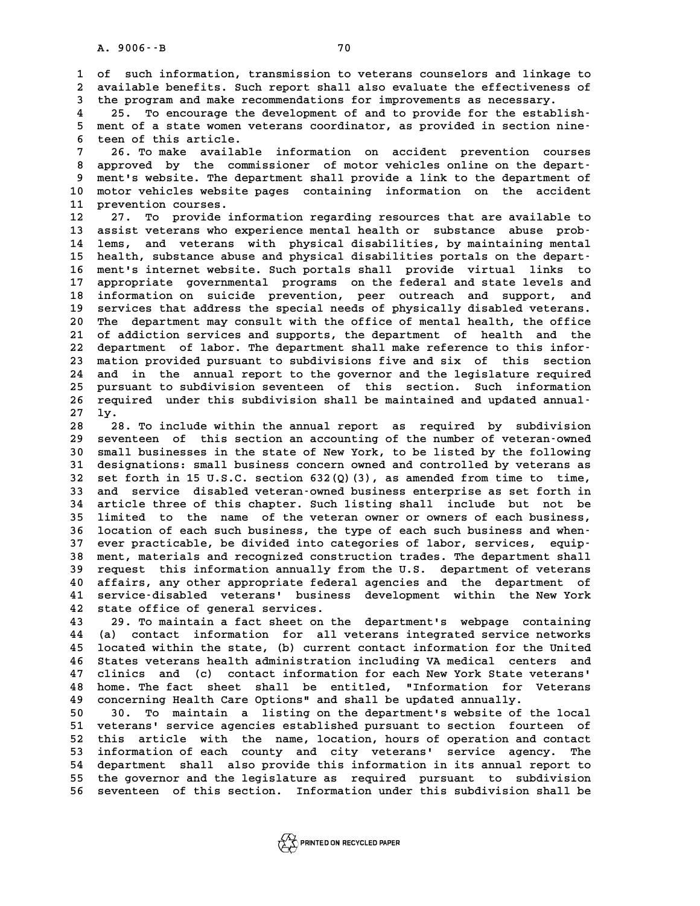**1 of such information, transmission to veterans counselors and linkage to** 1 of such information, transmission to veterans counselors and linkage to<br>2 available benefits. Such report shall also evaluate the effectiveness of<br>3 the program and make recommendations for improvements as pecessary. 3 the such information, transmission to veterans counselors and linkage<br>2 available benefits. Such report shall also evaluate the effectiveness<br>3 the program and make recommendations for improvements as necessary.<br><sup>25</sup> The 2 available benefits. Such report shall also evaluate the effectiveness of<br>
3 the program and make recommendations for improvements as necessary.<br>
4 25. To encourage the development of and to provide for the establish-<br> **1** 

the program and make recommendations for improvements as necessary.<br>
4 25. To encourage the development of and to provide for the establish-<br>
5 ment of a state women veterans coordinator, as provided in section nine-<br>
<sup>5</sup> the program and make recommendations for improvements as necessary.<br>
4 25. To encourage the development of and to provide for the establish-<br>
5 ment of a state women veterans coordinator, as provided in section nine-<br>
6 te 5 ment of a state women veterans coordinator, as provided in section nine-<br>6 teen of this article.<br>7 26. To make available information on accident prevention courses<br>8 contraved by the commissioner of mater uphicles enline

**8 approved by the commissioner of motor vehicles online on the depart-**<br> **8 approved by the commissioner of motor vehicles online on the depart-**<br> **8 montiq vehits The department shall provide a link to the department of** 26. To make available information on accident prevention courses<br>8 approved by the commissioner of motor vehicles online on the depart-<br>9 ment's website. The department shall provide a link to the department of<br>0 meter veh 8 approved by the commissioner of motor vehicles online on the depart-<br>9 ment's website. The department shall provide a link to the department of<br>10 motor vehicles website pages containing information on the accident<br><sup>11</sup> 9 ment's website. The dependent of the motor vehicles website<br>11 prevention courses.<br><sup>12</sup> <sup>27</sup> me provide info 10 motor vehicles website pages containing information on the accident<br>11 prevention courses.<br>12 27. To provide information regarding resources that are available to<br>13 assist veterans who experience mental bealth or subst

11 prevention courses.<br>12 27. To provide information regarding resources that are available to<br>13 assist veterans who experience mental health or substance abuse prob-<br>14 lems, and veterans with physical disabilities, by m 12 27. To provide information regarding resources that are available to<br>13 assist veterans who experience mental health or substance abuse prob-<br>14 lems, and veterans with physical disabilities, by maintaining mental<br>15 bo 13 assist veterans who experience mental health or substance abuse prob-<br>14 lems, and veterans with physical disabilities, by maintaining mental<br>15 health, substance abuse and physical disabilities portals on the depart-<br>1 14 lems, and veterans with physical disabilities, by maintaining mental<br>15 health, substance abuse and physical disabilities portals on the depart-<br>16 ment's internet website. Such portals shall provide virtual links to<br>17 **15 health, substance abuse and physical disabilities portals on the depart-**<br>16 ment's internet website. Such portals shall provide virtual links to<br>17 appropriate governmental programs on the federal and state levels and 16 ment's internet website. Such portals shall provide virtual links to<br>17 appropriate governmental programs on the federal and state levels and<br>18 information on suicide prevention, peer outreach and support, and<br>19 servi 17 appropriate governmental programs on the federal and state levels and<br>18 information on suicide prevention, peer outreach and support, and<br>19 services that address the special needs of physically disabled veterans.<br><sup>20 </sup> 18 information on suicide prevention, peer outreach and support, and<br>19 services that address the special needs of physically disabled veterans.<br>20 The department may consult with the office of mental health, the office<br>21 19 services that address the special needs of physically disabled veterans.<br>
20 The department may consult with the office of mental health, the office<br>
21 of addiction services and supports, the department of health and t The department may consult with the office of mental health, the office<br>
21 of addiction services and supports, the department of health and the<br>
22 department of labor. The department shall make reference to this infor-<br> 21 of addiction services and supports, the department of health and the<br>22 department of labor. The department shall make reference to this infor-<br>23 mation provided pursuant to subdivisions five and six of this section<br>24 22 department of labor. The department shall make reference to this infor-<br>23 mation provided pursuant to subdivisions five and six of this section<br>24 and in the annual report to the governor and the legislature required<br>2 23 mation provided pursuant to subdivisions five and six of this section<br>24 and in the annual report to the governor and the legislature required<br>25 pursuant to subdivision seventeen of this section. Such information<br>26 po 24 and in the annual report to the governor and the legislature required<br>25 pursuant to subdivision seventeen of this section. Such information<br>26 required under this subdivision shall be maintained and updated annual-25 pursua<br>26 requir<br>27 ly.<br><sup>28 28</sup> 1 26 required under this subdivision shall be maintained and updated annual-<br>27 ly.<br>28 28. To include within the annual report as required by subdivision<br>29 seventeen of this section an accounting of the number of veteran-ow

<sup>27</sup> ly.<br>28 28. To include within the annual report as required by subdivision<br>29 seventeen of this section an accounting of the number of veteran-owned<br>20 small businesses in the state of New York, to be listed by the fol 28 <sup>28</sup> 38. To include within the annual report as required by subdivision<br>29 seventeen of this section an accounting of the number of veteran-owned<br>30 small businesses in the state of New York, to be listed by the followi 39 seventeen of this section an accounting of the number of veteran-owned<br>30 small businesses in the state of New York, to be listed by the following<br>31 designations: small business concern owned and controlled by veterans 30 small businesses in the state of New York, to be listed by the following<br>31 designations: small business concern owned and controlled by veterans as<br>32 set forth in 15 U.S.C. section 632(Q)(3), as amended from time to t 31 designations: small business concern owned and controlled by veterans as<br>32 set forth in 15 U.S.C. section 632(Q)(3), as amended from time to time,<br>33 and service disabled veteran-owned business enterprise as set forth 32 set forth in 15 U.S.C. section 632(Q)(3), as amended from time to time,<br>33 and service disabled veteran-owned business enterprise as set forth in<br>34 article three of this chapter. Such listing shall include but not be<br><sup></sup> 33 and service disabled veteran-owned business enterprise as set forth in<br>34 article three of this chapter. Such listing shall include but not be<br>35 limited to the name of the veteran owner or owners of each business,<br>36 l 34 article three of this chapter. Such listing shall include but not be<br>35 limited to the name of the veteran owner or owners of each business,<br>36 location of each such business, the type of each such business and when-<br><sup>2</sup> 35 limited to the name of the veteran owner or owners of each business,<br>36 location of each such business, the type of each such business and when-<br>37 ever practicable, be divided into categories of labor, services, equip-**36 location of each such business, the type of each such business and when-**<br>**37 ever practicable, be divided into categories of labor, services, equip-**<br>**38 ment, materials and recognized construction trades. The departm** 37 ever practicable, be divided into categories of labor, services, equip-<br>38 ment, materials and recognized construction trades. The department shall<br>39 request this information annually from the U.S. department of vetera **40 absolute 10 affairs and recognized construction trades. The department shall**<br>**40 affairs, any other appropriate federal agencies and the department of**<br>**41 service-disabled veterans!** business development within the N 39 request this information annually from the U.S. department of veterans<br>40 affairs, any other appropriate federal agencies and the department of<br>41 service-disabled veterans' business development within the New York<br>42 s Al service-disabled veterans' business development within the New-York<br>**42 state office of general services.**<br>43 29. To maintain a fact sheet on the department's webpage containing

**43 29. To maintain a fact sheet on the department's webpage containing** 42 state office of general services.<br>43 29. To maintain a fact sheet on the department's webpage containing<br>44 (a) contact information for all veterans integrated service networks<br>45 logated within the state (b) gurrent co **43 29. To maintain a fact sheet on the department's webpage containing<br>
44 (a) contact information for all veterans integrated service networks<br>
45 located within the state, (b) current contact information for the United<br> 44 (a) contact information for all veterans integrated service networks**<br>**45 located within the state, (b) current contact information for the United**<br>**46 States veterans health administration including VA medical centers** 45 located within the state, (b) current contact information for the United<br>46 States veterans health administration including VA medical centers and<br>47 clinics and (c) contact information for each New York State veterans' 46 States veterans health administration including VA medical centers and<br>47 clinics and (c) contact information for each New York State veterans'<br>48 home. The fact sheet shall be entitled, "Information for Veterans<br>29 con 47 clinics and (c) contact information for each New York State ve<br>48 home. The fact sheet shall be entitled, "Information for V<br>49 concerning Health Care Options" and shall be updated annually.<br>50 30 The maintains a listin A state that the state the shall be entitled, "Information for Veterans<br>
49 concerning Health Care Options" and shall be updated annually.<br>
50 30. To maintain a listing on the department's website of the local<br>
51 veterans

**50 concerning Health Care Options" and shall be updated annually.**<br> **50 30. To maintain a listing on the department's website of the local**<br> **51 veterans' service agencies established pursuant to section fourteen of**<br> **52** 50 30. To maintain a listing on the department's website of the local<br>51 veterans' service agencies established pursuant to section fourteen of<br>52 this article with the name, location, hours of operation and contact<br>53 inf 51 veterans' service agencies established pursuant to section fourteen of<br>52 this article with the name, location, hours of operation and contact<br>53 information of each county and city veterans' service agency. The<br>54 depa 52 this article with the name, location, hours of operation and contact<br>53 information of each county and city veterans' service agency. The<br>54 department shall also provide this information in its annual report to<br>55 the 53 information of each county and city veterans' service agency. The<br>54 department shall also provide this information in its annual report to<br>55 the governor and the legislature as required pursuant to subdivision<br>56 gove 54 department shall also provide this information in its annual report to<br>55 the governor and the legislature as required pursuant to subdivision<br>56 seventeen of this section. Information under this subdivision shall be

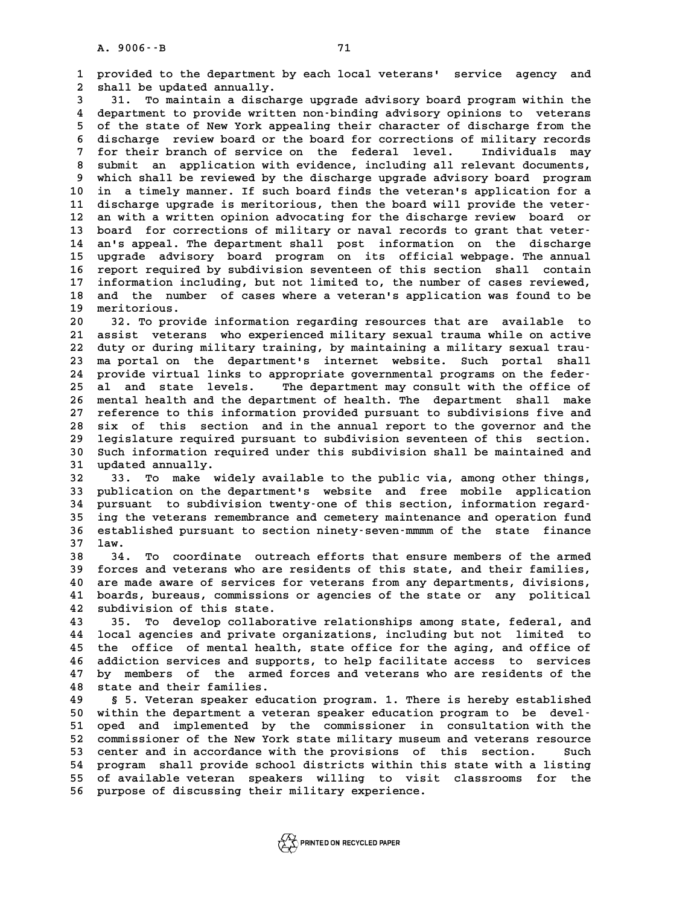**1 provided to the department by each local veterans' service agency and 2** provided to the department by<br>2 shall be updated annually.<br>3 31 To maintain a discharg 1 provided to the department by each local veterans' service agency and<br>2 shall be updated annually.<br>3 31. To maintain a discharge upgrade advisory board program within the<br>4 department to provide written per-binding advis

4 shall be updated annually.<br>
4 department to provide written non-binding advisory opinions to veterans<br>
4 department to provide written non-binding advisory opinions to veterans<br>
5 of the state of New York appealing their 3 **5 of the state of New York appears and Scharge advisory board program within the**<br>4 department to provide written non-binding advisory opinions to veterans<br>5 of the state of New York appealing their character of dischar 4 department to provide written non-binding advisory opinions to veterans<br>5 of the state of New York appealing their character of discharge from the<br>6 discharge review board or the board for corrections of military records 5 of the state of New York appealing their character of discharge from the<br>6 discharge review board or the board for corrections of military records<br>7 for their branch of service on the federal level. Individuals may<br>8 sub 8 discharge review board or the board for corrections of military records<br>
8 for their branch of service on the federal level. Individuals may<br>
8 submit an application with evidence, including all relevant documents,<br>
9 wh **9 which shall be reviewed by the discharge upgrade advisory board program** 10 **8** submit an application with evidence, including all relevant documents,<br>
10 in a timely manner. If such board finds the veteran's application for a<br>
11 discharge upgrade is meritorious, then the board will provide th 9 which shall be reviewed by the discharge upgrade advisory board program<br>
10 in a timely manner. If such board finds the veteran's application for a<br>
11 discharge upgrade is meritorious, then the board will provide the ve 10 in a timely manner. If such board finds the veteran's application for a<br>11 discharge upgrade is meritorious, then the board will provide the veter-<br>12 an with a written opinion advocating for the discharge review board 11 discharge upgrade is meritorious, then the board will provide the veter-<br>
12 an with a written opinion advocating for the discharge review board or<br>
13 board for corrections of military or naval records to grant that ve 12 an with a written opinion advocating for the discharge review board or<br>13 board for corrections of military or naval records to grant that veter-<br>14 an's appeal. The department shall post information on the discharge<br>15 13 board for corrections of military or naval records to grant that veter-<br>14 an's appeal. The department shall post information on the discharge<br>15 upgrade advisory board program on its official webpage. The annual<br>16 rep 14 an's appeal. The department shall post information on the discharge<br>15 upgrade advisory board program on its official webpage. The annual<br>16 report required by subdivision seventeen of this section shall contain<br>17 info 15 upgrade advisory board program on its official webpage. The annual<br>16 report required by subdivision seventeen of this section shall contain<br>17 information including, but not limited to, the number of cases reviewed,<br>20 16 report required by subdivision seventeen of this section shall contain<br>17 information including, but not limited to, the number of cases reviewed,<br>18 and the number of cases where a veteran's application was found to be 17 information including, but not limited to, the number of cases reviewed,<br>18 and the number of cases where a veteran's application was found to be<br>19 meritorious.<br>20 32. To provide information regarding resources that ar 20 21 32. To provide information regarding resources that are available to<br>20 32. To provide information regarding resources that are available to<br>21 assist veterans who experienced military sexual trauma while on active

**21 assist veterans who experienced military sexual trauma while on active** 20 32. To provide information regarding resources that are available to<br>21 assist veterans who experienced military sexual trauma while on active<br>22 duty or during military training, by maintaining a military sexual trau-<br> 21 assist veterans who experienced military sexual trauma while on active<br>22 duty or during military training, by maintaining a military sexual trau-<br>23 ma portal on the department's internet website. Such portal shall<br>24 22 duty or during military training, by maintaining a military sexual trau-<br>
23 ma portal on the department's internet website. Such portal shall<br>
24 provide virtual links to appropriate governmental programs on the feder-23 ma portal on the department's internet website. Such portal shall<br>24 provide virtual links to appropriate governmental programs on the feder-<br>25 al and state levels. The department may consult with the office of 24 provide virtual links to appropriate governmental programs on the feder-<br>25 al and state levels. The department may consult with the office of<br>26 mental health and the department of health. The department shall make<br>27 25 al and state levels. The department may consult with the office of<br>26 mental health and the department of health. The department shall make<br>27 reference to this information provided pursuant to subdivisions five and<br>28 26 mental health and the department of health. The department shall make<br>27 reference to this information provided pursuant to subdivisions five and<br>28 six of this section and in the annual report to the governor and the<br>2 27 reference to this information provided pursuant to subdivisions five and<br>28 six of this section and in the annual report to the governor and the<br>29 legislature required pursuant to subdivision seventeen of this section. **38 six of this section and in the annual report to the governor and the legislature required pursuant to subdivision seventeen of this section.<br>30 Such information required under this subdivision shall be maintained and<br>3** 19 legislature required pursuant to subdivision seventeen of this section.<br>
30 Such information required under this subdivision shall be maintained and<br>
31 updated annually.<br>
32 33. To make widely available to the public v 30 Such information required under this subdivision shall be maintained and<br>31 updated annually.<br>32 33. To make widely available to the public via, among other things,<br>33 publication on the department!s website and free mo

31 updated annually.<br>32 33. To make widely available to the public via, among other things,<br>33 publication on the department's website and free mobile application<br>34 purguant to subdivision typety.org of this section infor 33. To make widely available to the public via, among other things,<br>
33 publication on the department's website and free mobile application<br>
34 pursuant to subdivision twenty-one of this section, information regard-<br>
<sup>25</sup> 33 publication on the department's website and free mobile application<br>34 pursuant to subdivision twenty-one of this section, information regard-<br>35 ing the veterans remembrance and cemetery maintenance and operation fund<br> 34 pursuant to subdivision twenty-one of this section, information regard-<br>35 ing the veterans remembrance and cemetery maintenance and operation fund<br>36 established pursuant to section ninety-seven-mmmm of the state finan 35 ing the<br>36 establi<br>37 law. **36 established pursuant to section ninety-seven-mmmm of the state finance**<br>**37 law.**<br>**38 34. To coordinate outreach efforts that ensure members of the armed**<br>**29 forces and veterars who are residents of this state, and th** 

**188.**<br> **39 14.** To coordinate outreach efforts that ensure members of the armed<br> **39 forces and veterans who are residents of this state, and their families,<br>
10 are made avare of servises for veterans from any department** 34. To coordinate outreach efforts that ensure members of the armed<br>39 forces and veterans who are residents of this state, and their families,<br>40 are made aware of services for veterans from any departments, divisions,<br><sup>4</sup> **40 forces and veterans who are residents of this state, and their families,<br>40 are made aware of services for veterans from any departments, divisions,<br>41 boards, bureaus, commissions or agencies of the state or any polit** 40 are made aware of services fo<br>41 boards, bureaus, commissions<br>42 subdivision of this state.<br><sup>43 35</sup> mo develop sollaborat 41 boards, bureaus, commissions or agencies of the state or any political<br>42 subdivision of this state.<br>43 35. To develop collaborative relationships among state, federal, and<br>44 local agencies and private organizations, i

**42 subdivision of this state.<br>43 35. To develop collaborative relationships among state, federal, and<br>44 local agencies and private organizations, including but not limited to<br>45 the office of montal boalth, state office 43 35. To develop collaborative relationships among state, federal, and<br>44 local agencies and private organizations, including but not limited to<br>45 the office of mental health, state office for the aging, and office of<br>4** 44 local agencies and private organizations, including but not limited to<br>45 the office of mental health, state office for the aging, and office of<br>46 addiction services and supports, to help facilitate access to services<br> 45 the office of mental health, state office for the aging, and office of addiction services and supports, to help facilitate access to services 47 by members of the armed forces and veterans who are residents of the state **46 addiction services and suppo<br>
47 by members of the armed<br>
48 state and their families.**<br>
49 5 5 Voterar spoaker educa **47 by members of the armed forces and veterans who are residents of the state and their families.**<br>48 s 5. Veteran speaker education program. 1. There is hereby established<br>50 within the department a unterer greaker educa

**50 within the department a veteran speaker education program to be devel-51 open and implement and implement a veteral speaker education program to be devel-**<br> **51 oped and implemented by the commissioner in consultation with the**<br> **52 commissioner of the Nov York state military museum and vet** 50 within the department a veteran speaker education program to be devel-<br>51 oped and implemented by the commissioner in consultation with the<br>52 commissioner of the New York state military museum and veterans resource<br>53 51 oped and implemented by the commissioner in consultation with the<br>52 commissioner of the New York state military museum and veterans resource<br>53 center and in accordance with the provisions of this section. Such<br>54 prog 52 commissioner of the New York state military museum and veterans resource<br>53 center and in accordance with the provisions of this section. Such<br>54 program shall provide school districts within this state with a listing<br>5 **55 of available veteran speakers willing to visit classrooms for the 56 purpose of discussing their military experience.**

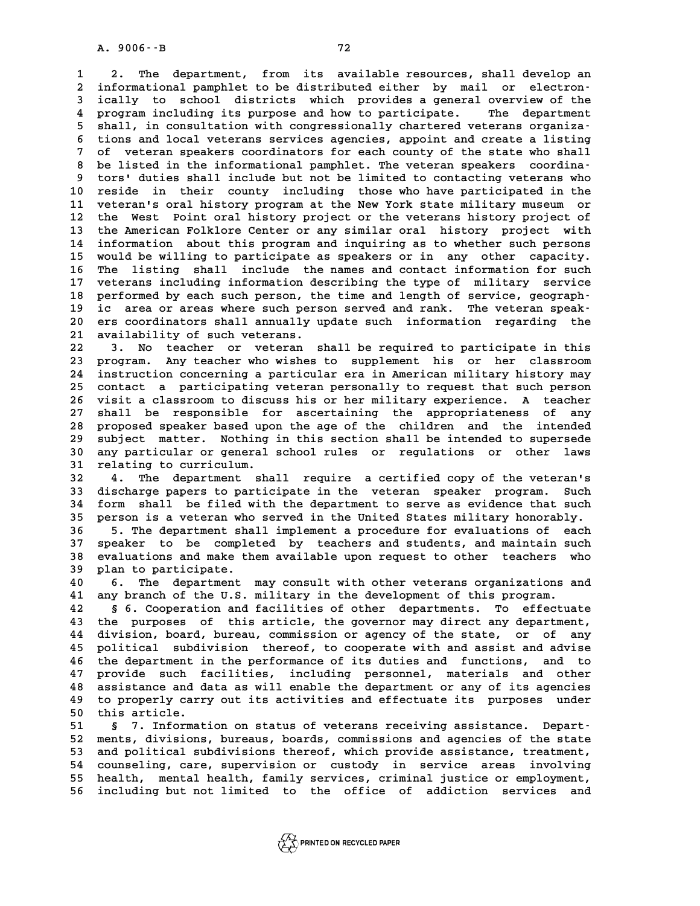**1 2. The department, from its available resources, shall develop an** 1 2. The department, from its available resources, shall develop an<br>2 informational pamphlet to be distributed either by mail or electron-<br>3 isally to school districts which provides a general overview of the **2.** The department, from its available resources, shall develop an<br>2 informational pamphlet to be distributed either by mail or electron-<br>3 ically to school districts which provides a general overview of the<br>4 program inc 2 informational pamphlet to be distributed either by mail or electron-<br>3 ically to school districts which provides a general overview of the<br>4 program including its purpose and how to participate. The department<br>5 shall in 3 ically to school districts which provides a general overview of the<br>4 program including its purpose and how to participate. The department<br>5 shall, in consultation with congressionally chartered veterans organiza-<br>5 tion **6 the department**<br> **6 tions and local veterans services agencies, appoint and create a listing<br>
<b>6 tions and local veterans services agencies, appoint and create a listing**<br> **6 tions and local veterans services agencies,** 5 shall, in consultation with congressionally chartered veterans organiza-<br>6 tions and local veterans services agencies, appoint and create a listing<br>7 of veteran speakers coordinators for each county of the state who shal 8 tions and local veterans services agencies, appoint and create a listing<br>
8 be listed in the informational pamphlet. The veteran speakers coordina-<br>
9 tors' duties shall include but not be limited to contacting veterans of veteran speakers coordinators for each county of the state who shall 8 be listed in the informational pamphlet. The veteran speakers coordina-<br>
9 tors' duties shall include but not be limited to contacting veterans who<br>
10 reside in their county including those who have participated in the<br> 9 tors' duties shall include but not be limited to contacting veterans who<br>10 reside in their county including those who have participated in the<br>11 veteran's oral history program at the New York state military museum or<br><sup></sup> 10 reside in their county including those who have participated in the<br>11 veteran's oral history program at the New York state military museum or<br>12 the Nest Point oral history project or the veterans history project of<br><sup>1</sup> 11 veteran's oral history program at the New York state military museum or<br>12 the West Point oral history project or the veterans history project of<br>13 the American Folklore Center or any similar oral history project with<br> 12 the West Point oral history project or the veterans history project of<br>13 the American Folklore Center or any similar oral history project with<br>14 information about this program and inquiring as to whether such persons<br> 13 the American Folklore Center or any similar oral history project with<br>14 information about this program and inquiring as to whether such persons<br>15 would be willing to participate as speakers or in any other capacity.<br>1 14 information about this program and inquiring as to whether such persons<br>15 would be willing to participate as speakers or in any other capacity.<br>16 The listing shall include the names and contact information for such<br>17 15 would be willing to participate as speakers or in any other capacity.<br>16 The listing shall include the names and contact information for such<br>17 veterans including information describing the type of military service<br>18 17 veterans including information describing the type of military service<br>18 performed by each such person, the time and length of service, geograph-<br>19 ic area or areas where such person served and rank. The veteran speak **19 ic area or areas where such person served and rank. The veteran speak-**18 performed by each such person, the time and length of service, geograph-<br>19 ic area or areas where such person served and rank. The veteran speak-<br>20 ers coordinators shall annually update such information regarding the 19 ic area or areas where such pers<br>20 ers coordinators shall annually u<br>21 availability of such veterans.<br><sup>22</sup> <sup>2</sup> <sup>2</sup> <sup>10</sup> togher or uptorn 2 20 ers coordinators shall annually update such information regarding the<br>21 availability of such veterans.<br>22 3. No teacher or veteran shall be required to participate in this<br>23 program Any teacher who wishes to supplemen

**21 availability of such veterans.**<br> **22** 3. No teacher or veteran shall be required to participate in this<br> **23 program.** Any teacher who wishes to supplement his or her classroom<br> **24 instruction concerning a particular 22 3. No teacher or veteran shall be required to participate in this<br>
23 program. Any teacher who wishes to supplement his or her classroom**<br>
24 instruction concerning a particular era in American military history may<br>
25 23 program. Any teacher who wishes to supplement his or her classroom<br>24 instruction concerning a particular era in American military history may<br>25 contact a participating veteran personally to request that such person<br>26 24 instruction concerning a particular era in American military history may<br>25 contact a participating veteran personally to request that such person<br>26 visit a classroom to discuss his or her military experience. A teache 25 contact a participating veteran personally to request that such person<br>26 visit a classroom to discuss his or her military experience. A teacher<br>27 shall be responsible for ascertaining the appropriateness of any<br>28 pro 26 visit a classroom to discuss his or her military experience. A teacher<br>27 shall be responsible for ascertaining the appropriateness of any<br>28 proposed speaker based upon the age of the children and the intended<br>29 subje 27 shall be responsible for ascertaining the appropriateness of any<br>28 proposed speaker based upon the age of the children and the intended<br>29 subject matter. Nothing in this section shall be intended to supersede<br>20 apy p 28 proposed speaker based upon the age of the children and the intended<br>29 subject matter. Nothing in this section shall be intended to supersede<br>30 any particular or general school rules or regulations or other laws<br><sup>31</sup> subject matter. Nothing in this section shall be intended to supersede<br>30 any particular or general school rules or regulations or other laws<br>31 relating to curriculum.<br>32 4. The department shall require a certified copy o

**30 any particular or general school rules or regulations or other laws**<br>**31 relating to curriculum.**<br>**32 4. The department shall require a certified copy of the veteran's**<br>**33 discharge papers to participate in the vetera 31 relating to curriculum.**<br> **32** 4. The department shall require a certified copy of the veteran's<br> **33 discharge papers to participate in the veteran speaker program. Such**<br> **34 form shall be filed with the department t 4. The department shall require a certified copy of the veteran's**<br>**33 discharge papers to participate in the veteran speaker program.** Such<br>**34 form shall be filed with the department to serve as evidence that such**<br>**25** 33 discharge papers to participate in the veteran speaker program. Such<br>34 form shall be filed with the department to serve as evidence that such<br>35 person is a veteran who served in the United States military honorably.<br><sup></sup> **34 form shall be filed with the department to serve as evidence that such person is a veteran who served in the United States military honorably.<br>
36 5. The department shall implement a procedure for evaluations of each<br>** 

**35 person is a veteran who served in the United States military honorably.**<br> **36 5. The department shall implement a procedure for evaluations of each**<br> **37 speaker to be completed by teachers and students, and maintain s 5.** The department shall implement a procedure for evaluations of each<br>37 speaker to be completed by teachers and students, and maintain such<br>38 evaluations and make them available upon request to other teachers who 37 speaker to be comple<br>38 evaluations and make th<br>39 plan to participate. 90 400 900 evaluations and make them available upon request to other teachers who<br>
90 plan to participate.<br>
40 6. The department may consult with other veterans organizations and<br>
41 any branch of the U.S. military in the

**41 any branch of the U.S. military in the development of this program. 42 § 6. Cooperation and facilities of other departments. To effectuate 43 the purposes of this article, the governor may direct any department, 42** § 6. Cooperation and facilities of other departments. To effectuate<br> **43** the purposes of this article, the governor may direct any department,<br> **44** division, board, bureau, commission or agency of the state, or of a 43 the purposes of this article, the governor may direct any department,<br>44 division, board, bureau, commission or agency of the state, or of any<br>45 political subdivision thereof, to cooperate with and assist and advise<br>th **44 division, board, bureau, commission or agency of the state, or of any**<br>**45 political subdivision thereof, to cooperate with and assist and advise**<br>**46 the department in the performance of its duties and functions, and** 45 political subdivision thereof, to cooperate with and assist and advise<br>46 the department in the performance of its duties and functions, and to<br>47 provide such facilities, including personnel, materials and other 46 the department in the performance of its duties and functions, and to<br>47 provide such facilities, including personnel, materials and other<br>48 assistance and data as will enable the department or any of its agencies<br>to p 47 provide such facilities, including personnel, materials and other<br>48 assistance and data as will enable the department or any of its agencies<br>49 to properly carry out its activities and effectuate its purposes under<br>50 48 assistance and d<br>49 to properly carr<br>50 this article.<br>51 5 7 Informat 49 to properly carry out its activities and effectuate its purposes under<br>50 this article.<br>51 § 7. Information on status of veterans receiving assistance. Depart-<br>52 monta divisions bureaus boards commissions and aconsice

50 this article.<br>
51 § 7. Information on status of veterans receiving assistance. Depart-<br>
52 ments, divisions, bureaus, boards, commissions and agencies of the state<br>
53 and political subdivisions thereof, which provide a 51 § 7. Information on status of veterans receiving assistance. Depart-<br>52 ments, divisions, bureaus, boards, commissions and agencies of the state<br>53 and political subdivisions thereof, which provide assistance, treatment 52 ments, divisions, bureaus, boards, commissions and agencies of the state<br>53 and political subdivisions thereof, which provide assistance, treatment,<br>54 counseling, care, supervision or custody in service areas involving 53 and political subdivisions thereof, which provide assistance, treatment,<br>54 counseling, care, supervision or custody in service areas involving<br>55 health, mental health, family services, criminal justice or employment,<br> **56 including but not limited to the office of addiction services and**

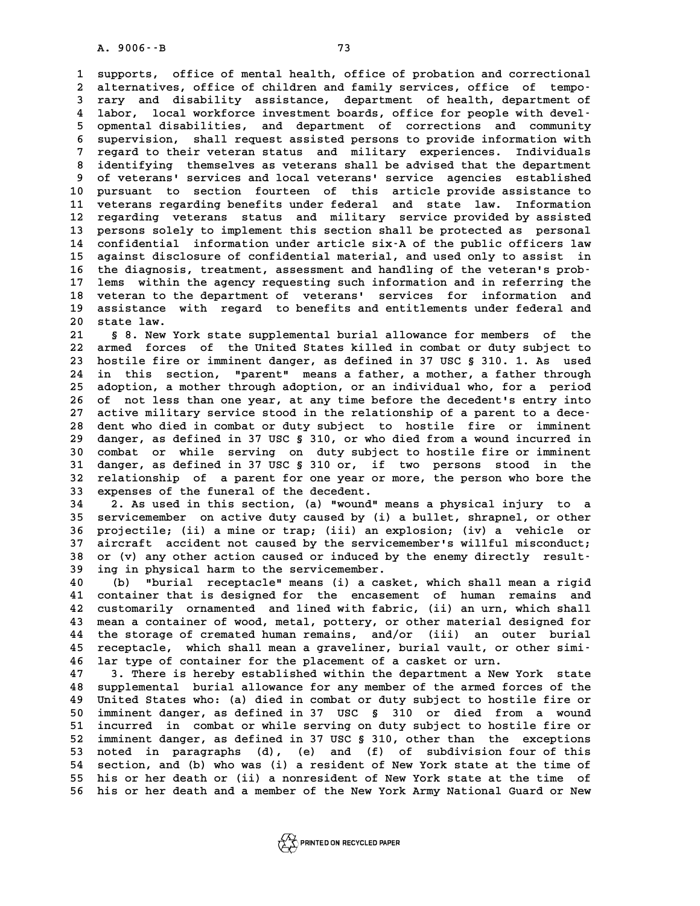**1 supports, office of mental health, office of probation and correctional** 1 supports, office of mental health, office of probation and correctional<br>2 alternatives, office of children and family services, office of tempo-<br><sup>2</sup> rary and disability assistance, department of bealth department of 1 supports, office of mental health, office of probation and correctional<br>2 alternatives, office of children and family services, office of tempo-<br>3 rary and disability assistance, department of health, department of<br>1 lab 2 alternatives, office of children and family services, office of tempo-<br> **4 labor, local workforce investment boards, office for people with devel-**<br> **4 labor, local workforce investment boards, office for people with dev 5** rary and disability assistance, department of health, department of labor, local workforce investment boards, office for people with devel-<br>
5 opmental disabilities, and department of corrections and community<br>
5 super 4 labor, local workforce investment boards, office for people with devel-<br>5 opmental disabilities, and department of corrections and community<br>6 supervision, shall request assisted persons to provide information with<br>7 reg 5 opmental disabilities, and department of corrections and community<br>6 supervision, shall request assisted persons to provide information with<br>7 regard to their veteran status and military experiences. Individuals<br>8 identi 8 supervision, shall request assisted persons to provide information with<br>7 regard to their veteran status and military experiences. Individuals<br>8 identifying themselves as veterans shall be advised that the department<br>9 o 9 regard to their veteran status and military experiences. Individuals<br>8 identifying themselves as veterans shall be advised that the department<br>9 of veterans' services and local veterans' service agencies established<br>10 p **10 pursuant to section fourteen of this article provide assistance to** 9 of veterans' services and local veterans' service agencies established<br>10 pursuant to section fourteen of this article provide assistance to<br>11 veterans regarding benefits under federal and state law. Information<br>12 rega 10 pursuant to section fourteen of this article provide assistance to<br>11 veterans regarding benefits under federal and state law. Information<br>12 regarding veterans status and military service provided by assisted<br>13 person 11 veterans regarding benefits under federal and state law. Information<br>12 regarding veterans status and military service provided by assisted<br>13 persons solely to implement this section shall be protected as personal<br>14 c 12 regarding veterans status and military service provided by assisted<br>13 persons solely to implement this section shall be protected as personal<br>14 confidential information under article six-A of the public officers law<br>1 13 persons solely to implement this section shall be protected as personal<br>14 confidential information under article six A of the public officers law<br>15 against disclosure of confidential material, and used only to assist 14 confidential information under article six-A of the public officers law<br>15 against disclosure of confidential material, and used only to assist in<br>16 the diagnosis, treatment, assessment and handling of the veteran's pr 15 against disclosure of confidential material, and used only to assist in<br>16 the diagnosis, treatment, assessment and handling of the veteran's prob-<br>17 lems within the agency requesting such information and in referring **16 the diagnosis, treatment, assessment and handling of the veteran's prob-**<br>17 lems within the agency requesting such information and in referring the<br>18 veteran to the department of veterans' services for information an 17 lems within the agency requesting such information and in referring the<br>18 veteran to the department of veterans' services for information and<br>19 assistance with regard to benefits and entitlements under federal and<br>20 18 veteran to the 19 assistance w<br>20 state law.<br>21 s 8 Nov Yo

20 assistance with regard to benefits and entitlements under federal and<br>20 state law.<br>21 § 8. New York state supplemental burial allowance for members of the<br>22 armed forces of the United States killed in combat or duty s 20 state law.<br>21 § 8. New York state supplemental burial allowance for members of the<br>22 armed forces of the United States killed in combat or duty subject to<br>23 bostile fire or imminent danger, as defined in 37 USC & 310 **21 § 8. New York state supplemental burial allowance for members of the 22 armed forces of the United States killed in combat or duty subject to hostile fire or imminent danger, as defined in 37 USC § 310. 1. As used** 22 armed forces of the United States killed in combat or duty subject to<br>23 hostile fire or imminent danger, as defined in 37 USC § 310. 1. As used<br>24 in this section, "parent" means a father, a mother, a father through<br>25 23 hostile fire or imminent danger, as defined in 37 USC § 310. 1. As used<br>24 in this section, "parent" means a father, a mother, a father through<br>25 adoption, a mother through adoption, or an individual who, for a period<br> 24 in this section, "parent" means a father, a mother, a father through<br>25 adoption, a mother through adoption, or an individual who, for a period<br>26 of not less than one year, at any time before the decedent's entry into<br> 25 adoption, a mother through adoption, or an individual who, for a period<br>26 of not less than one year, at any time before the decedent's entry into<br>27 active military service stood in the relationship of a parent to a de 26 of not less than one year, at any time before the decedent's entry into<br>27 active military service stood in the relationship of a parent to a dece-<br>28 dent who died in combat or duty subject to hostile fire or imminent<br> 27 active military service stood in the relationship of a parent to a dece-<br>28 dent who died in combat or duty subject to hostile fire or imminent<br>29 danger, as defined in 37 USC § 310, or who died from a wound incurred in 28 dent who died in combat or duty subject to hostile fire or imminent<br>29 danger, as defined in 37 USC § 310, or who died from a wound incurred in<br>30 combat or while serving on duty subject to hostile fire or imminent<br>31 d **39 danger, as defined in 37 USC § 310, or who died from a wound incurred in combat or while serving on duty subject to hostile fire or imminent danger, as defined in 37 USC § 310 or, if two persons stood in the relationsh** 30 combat or while serving on duty subject to hostile fire or imminent<br>31 danger, as defined in 37 USC § 310 or, if two persons stood in the<br>32 relationship of a parent for one year or more, the person who bore the<br>33 expe 31 danger, as defined in 37 USC § 310 or, if two persons stood in the relationship of a parent for one year or more, the person who bore the expenses of the funeral of the decedent.<br>34 2. As used in this section, (a) "woun relationship of a parent for one year or more, the person who bore the

**33 expenses of the funeral of the decedent.**<br> **34 2. As used in this section, (a) "wound" means a physical injury to a**<br> **35 servicemember on active duty caused by (i) a bullet, shrapnel, or other**<br> **26 projectile:** (ii) **2.** As used in this section, (a) "wound" means a physical injury to a<br>35 servicemember on active duty caused by (i) a bullet, shrapnel, or other<br>36 projectile; (ii) a mine or trap; (iii) an explosion; (iv) a vehicle or<br>37 35 servicemember on active duty caused by (i) a bullet, shrapnel, or other<br>36 projectile; (ii) a mine or trap; (iii) an explosion; (iv) a vehicle or<br>37 aircraft accident not caused by the servicemember's willful misconduct 36 projectile; (ii) a mine or trap; (iii) an explosion; (iv) a vehicle or aircraft accident not caused by the servicemember's willful misconduct;<br>38 or (v) any other action caused or induced by the enemy directly result-<br><sup></sup> 36 projectile; (ii) a mine or trap; (iii) an explosion; (iv) a vehicle or<br>37 aircraft accident not caused by the servicemember's willful misconduct;<br>38 or (v) any other action caused or induced by the enemy directly result **40 (a) 38 (a)** or (v) any other action caused or induced by the enemy directly result-<br> **40** (b) "burial receptacle" means (i) a casket, which shall mean a rigid<br> **41 container that is designed for the engagement** of huma

**41 container that is designed for the encasement of human remains and 42 customarily ornamented and lined with fabric, (ii) an urn, which shall 43 mean a container of wood, metal, pottery, or other material designed for** 42 customarily ornamented and lined with fabric, (ii) an urn, which shall<br>43 mean a container of wood, metal, pottery, or other material designed for<br>44 the storage of cremated human remains, and/or (iii) an outer burial<br>1 43 mean a container of wood, metal, pottery, or other material designed for<br>44 the storage of cremated human remains, and/or (iii) an outer burial<br>45 receptacle, which shall mean a graveliner, burial vault, or other simi-<br> 44 the storage of cremated human remains, and/or (iii) an out<br>45 receptacle, which shall mean a graveliner, burial vault, or o<br>46 lar type of container for the placement of a casket or urn.<br>47 3 There is bereby ottablished 45 receptacle, which shall mean a graveliner, burial vault, or other simi-<br>46 lar type of container for the placement of a casket or urn.<br>47 3. There is hereby established within the department a New York state<br>48 suppleme

**46 lar type of container for the placement of a casket or urn.**<br>47 3. There is hereby established within the department a New York state<br>48 supplemental burial allowance for any member of the armed forces of the<br>19 United **47 3. There is hereby established within the department a New York state**<br>**48 supplemental burial allowance for any member of the armed forces of the**<br>**49 United States who:** (a) died in combat or duty subject to hostile **50 imminent danger, as defined in 37 USC § 310 or died from a wound** 49 United States who: (a) died in combat or duty subject to hostile fire or<br>50 imminent danger, as defined in 37 USC § 310 or died from a wound<br>51 incurred in combat or while serving on duty subject to hostile fire or<br>52 i 50 imminent danger, as defined in 37 USC § 310 or died from a wound<br>51 incurred in combat or while serving on duty subject to hostile fire or<br>52 imminent danger, as defined in 37 USC § 310, other than the exceptions<br>53 pot 51 incurred in combat or while serving on duty subject to hostile fire or<br>52 imminent danger, as defined in 37 USC § 310, other than the exceptions<br>53 noted in paragraphs (d), (e) and (f) of subdivision four of this<br>54 sec 52 imminent danger, as defined in 37 USC § 310, other than the exceptions<br>53 noted in paragraphs (d), (e) and (f) of subdivision four of this<br>54 section, and (b) who was (i) a resident of New York state at the time of 53 noted in paragraphs (d), (e) and (f) of subdivision four of this<br>54 section, and (b) who was (i) a resident of New York state at the time of<br>55 his or her death or (ii) a nonresident of New York state at the time of<br>56 54 section, and (b) who was (i) a resident of New York state at the time of<br>55 his or her death or (ii) a nonresident of New York state at the time of<br>56 his or her death and a member of the New York Army National Guard or

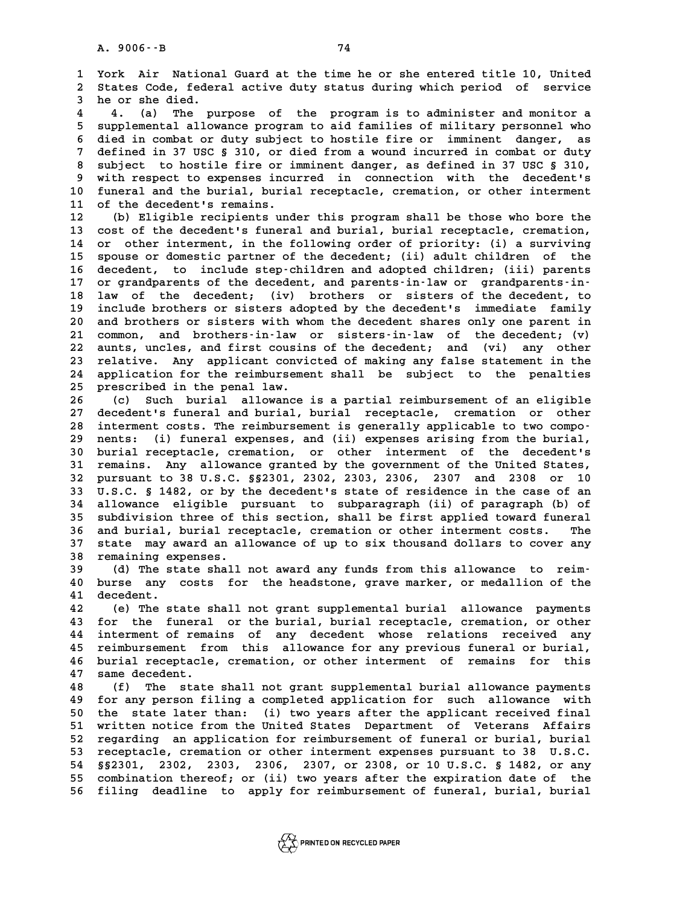**1 York Air National Guard at the time he or she entered title 10, United** 1 York Air National Guard at the time he or she entered title 10, United<br>2 States Code, federal active duty status during which period of service<br>3 he er she died 1 York Air Nationa<br>2 States Code, feder<br>3 he or she died.<br><sup>4</sup> (3) The pu 2 States Code, federal active duty status during which period of service<br>3 he or she died.<br>4 **4.** (a) The purpose of the program is to administer and monitor a<br>5 supplemental allowance program to aid families of military p

**5** supplemental allowance program is to administer and monitor a<br> **5** supplemental allowance program to aid families of military personnel who<br> **6** died in sembat or duty subject to bestile fire or invincational density o **6 4. (a) The purpose of the program is to administer and monitor a**<br>**6 supplemental allowance program to aid families of military personnel who**<br>**6 died in combat or duty subject to hostile fire or imminent danger, as**<br>**6** 5 supplemental allowance program to aid families of military personnel who<br>6 died in combat or duty subject to hostile fire or imminent danger, as<br>7 defined in 37 USC § 310, or died from a wound incurred in combat or duty<br> **8 died in combat or duty subject to hostile fire or imminent danger, as<br>
7 defined in 37 USC § 310, or died from a wound incurred in combat or duty<br>
8 subject to hostile fire or imminent danger, as defined in 37 USC § 310 9** defined in 37 USC § 310, or died from a wound incurred in combat or duty<br>
8 subject to hostile fire or imminent danger, as defined in 37 USC § 310,<br>
9 with respect to expenses incurred in connection with the decedent's 8 subject to hostile fire or imminent danger, as defined in 37 USC § 310,<br>9 with respect to expenses incurred in connection with the decedent's<br>10 funeral and the burial, burial receptacle, cremation, or other interment<br>11 9 with respect to expenses incu<br>10 funeral and the burial, buria<br>11 of the decedent's remains.<br><sup>12</sup> (b) Fligible regiments und 10 funeral and the burial, burial receptacle, cremation, or other interment<br>11 of the decedent's remains.<br>12 (b) Eligible recipients under this program shall be those who bore the<br>13 cost of the decedent's funeral and buri

11 of the decedent's remains.<br>12 (b) Eligible recipients under this program shall be those who bore the<br>13 cost of the decedent's funeral and burial, burial receptacle, cremation,<br>14 cr. other internant, in the following e **12** (b) Eligible recipients under this program shall be those who bore the cost of the decedent's funeral and burial, burial receptacle, cremation, 14 or other interment, in the following order of priority: (i) a survivin 13 cost of the decedent's funeral and burial, burial receptacle, cremation,<br>14 or other interment, in the following order of priority: (i) a surviving<br>15 spouse or domestic partner of the decedent; (ii) adult children of t 14 or other interment, in the following order of priority: (i) a surviving<br>15 spouse or domestic partner of the decedent; (ii) adult children of the<br>16 decedent, to include step-children and adopted children; (iii) parents 15 spouse or domestic partner of the decedent; (ii) adult children of the<br>16 decedent, to include step-children and adopted children; (iii) parents<br>17 or grandparents of the decedent, and parents-in-law or grandparents-in-**16 decedent, to include step-children and adopted children; (iii) parents**<br>17 or grandparents of the decedent, and parents-in-law or grandparents-in-<br>18 law of the decedent; (iv) brothers or sisters of the decedent, to<br>in 17 or grandparents of the decedent, and parents-in-law or grandparents-in-<br>18 law of the decedent; (iv) brothers or sisters of the decedent, to<br>19 include brothers or sisters adopted by the decedent's immediate family<br>20 a 18 law of the decedent; (iv) brothers or sisters of the decedent, to<br>19 include brothers or sisters adopted by the decedent's immediate family<br>20 and brothers or sisters with whom the decedent shares only one parent in<br>21 19 include brothers or sisters adopted by the decedent's immediate family<br>20 and brothers or sisters with whom the decedent shares only one parent in<br>21 common, and brothers-in-law or sisters-in-law of the decedent; (v) **22 aunts, uncles, and first cousins of the decedent; and (vi) any other** 21 common, and brothers-in-law or sisters-in-law of the decedent; (v)<br>22 aunts, uncles, and first cousins of the decedent; and (vi) any other<br>23 relative. Any applicant convicted of making any false statement in the<br>24 app 22 aunts, uncles, and first cousins of the decedent; and (vi) any other<br>23 relative. Any applicant convicted of making any false statement in the<br>24 application for the reimbursement shall be subject to the penalties<br>25 pr 23 relative. Any applicant convi<br>24 application for the reimburseme:<br>25 prescribed in the penal law.<br>26 (3) Sush buriel allowance 24 application for the reimbursement shall be subject to the penalties<br>25 prescribed in the penal law.<br>26 (c) Such burial allowance is a partial reimbursement of an eligible<br>27 decedent's funeral and burial, burial recepta

**27 decedent's funeral and burial, burial receptacle, cremation or other** 26 (c) Such burial allowance is a partial reimbursement of an eligible<br>
27 decedent's funeral and burial, burial receptacle, cremation or other<br>
28 interment costs. The reimbursement is generally applicable to two compo-<br> 27 decedent's funeral and burial, burial receptacle, cremation or other<br>28 interment costs. The reimbursement is generally applicable to two compo-<br>29 nents: (i) funeral expenses, and (ii) expenses arising from the burial, **30 interment costs. The reimbursement is generally applicable to two compo-**<br> **29 nents:** (i) funeral expenses, and (ii) expenses arising from the burial,<br> **30 burial receptacle, cremation, or other interment of the deced 39 nents:** (i) funeral expenses, and (ii) expenses arising from the burial,<br>30 burial receptacle, cremation, or other interment of the decedent's<br>31 remains. Any allowance granted by the government of the United States,<br>3 **30 burial receptacle, cremation, or other interment of the decedent's**<br>31 remains. Any allowance granted by the government of the United States,<br>32 pursuant to 38 U.S.C. §§2301, 2302, 2303, 2306, 2307 and 2308 or 10<br>33 U. **31 remains.** Any allowance granted by the government of the United States,<br>32 pursuant to 38 U.S.C. § 52301, 2302, 2303, 2306, 2307 and 2308 or 10<br>33 U.S.C. § 1482, or by the decedent's state of residence in the case of a 32 pursuant to 38 U.S.C. §§2301, 2302, 2303, 2306, 2307 and 2308 or 10<br>33 U.S.C. § 1482, or by the decedent's state of residence in the case of an<br>34 allowance eligible pursuant to subparagraph (ii) of paragraph (b) of **J.S.C. § 1482, or by the decedent's state of residence in the case of an allowance eligible pursuant to subparagraph (ii) of paragraph (b) of subdivision three of this section, shall be first applied toward funeral 34 allowance eligible pursuant to subparagraph (ii) of paragraph (b) of subdivision three of this section, shall be first applied toward funeral and burial, burial receptacle, cremation or other interment costs. The attic** 35 subdivision three of this section, shall be first applied toward funeral<br>36 and burial, burial receptacle, cremation or other interment costs. The<br>37 state may award an allowance of up to six thousand dollars to cover a 36 and burial, burial receptacle, cremation or other interment costs. The<br>37 state may award an allowance of up to six thousand dollars to cover any<br>38 remaining expenses.<br>39 (d) The state shall not award any funds from th 37 state may award an allowance of up to six thousand dollars to cover any<br>
38 remaining expenses.<br>
39 (d) The state shall not award any funds from this allowance to reim-<br>
40 burse any costs for the headstone, grave marke

38 remaining expenses.<br>39 (d) The state shall not award any funds from this allowance to reim-<br>40 burse any costs for the headstone, grave marker, or medallion of the<br>41 decedent **40** december 11 decedent.<br> **41** decedent.

**42 (e) The state shall not grant supplemental burial allowance payments 41 decedent.**<br>42 (e) The state shall not grant supplemental burial allowance payments<br>43 for the funeral or the burial, burial receptacle, cremation, or other<br>44 interment of remains of any desedent whese relations reseiv **42** (e) The state shall not grant supplemental burial allowance payments<br>43 for the funeral or the burial, burial receptacle, cremation, or other<br>44 interment of remains of any decedent whose relations received any<br>45 rei 43 for the funeral or the burial, burial receptacle, cremation, or other<br>44 interment of remains of any decedent whose relations received any<br>45 reimbursement from this allowance for any previous funeral or burial,<br>16 buri 44 interment of remains of any decedent whose relations received any<br>45 reimbursement from this allowance for any previous funeral or burial,<br>46 burial receptacle, cremation, or other interment of remains for this<br>47 same 45 reimbursement from this allowance for any previous funeral or burial,<br>46 burial receptacle, cremation, or other interment of remains for this<br>47 same decedent.<br>48 (f) The state shall not grant supplemental burial allowa 46 burial receptacle, cremation, or other interment of remains for this<br>47 same decedent.<br>48 (f) The state shall not grant supplemental burial allowance payments<br>49 for any person filing a completed application for such al

**49 for any person filing a completed application for such allowance with 50 the state later than: (i) two years after the applicant received final 50 for any person filing a completed application for such allowance with**<br>
50 the state later than: (i) two years after the applicant received final<br>
51 written notice from the United States Department of Veterans Affairs 50 the state later than: (i) two years after the applicant received final<br>51 written notice from the United States Department of Veterans Affairs<br>52 regarding an application for reimbursement of funeral or burial, burial<br>r 51 written notice from the United States Department of Veterans Affairs<br>52 regarding an application for reimbursement of funeral or burial, burial<br>53 receptacle, cremation or other interment expenses pursuant to 38 U.S.C.<br> 52 regarding an application for reimbursement of funeral or burial, burial<br>53 receptacle, cremation or other interment expenses pursuant to 38 U.S.C.<br>54 §§2301, 2302, 2303, 2306, 2307, or 2308, or 10 U.S.C. § 1482, or any<br> **55 combination thereof; or (ii) two years after the expiration date of the 56 filing deadline to apply for reimbursement of funeral, burial, burial**

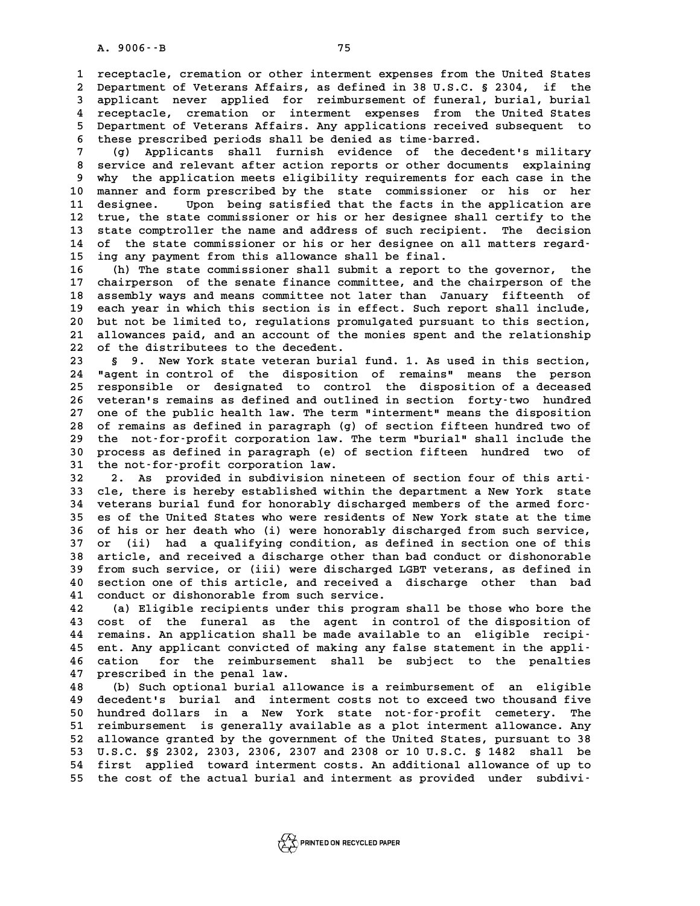**1 receptacle, cremation or other interment expenses from the United States 2 2** receptacle, cremation or other interment expenses from the United States<br>2 Department of Veterans Affairs, as defined in 38 U.S.C. § 2304, if the<br>3 applicant never applied for reimbursement of funeral burial burial 1 receptacle, cremation or other interment expenses from the United States<br>2 Department of Veterans Affairs, as defined in 38 U.S.C. § 2304, if the<br>3 applicant never applied for reimbursement of funeral, burial, burial<br>4 r 2 Department of Veterans Affairs, as defined in 38 U.S.C. § 2304, if the<br>3 applicant never applied for reimbursement of funeral, burial, burial<br>4 receptacle, cremation or interment expenses from the United States<br>5 Departm **5 5** applicant never applied for reimbursement of funeral, burial, burial<br>4 receptacle, cremation or interment expenses from the United States<br>5 Department of Veterans Affairs. Any applications received subsequent to<br>5 4 receptacle, cremation or interment expenses from the<br>5 Department of Veterans Affairs. Any applications received s<br>6 these prescribed periods shall be denied as time-barred.<br><sup>7</sup> (c) Applicants shall furnish evidence of t **7 Department of Veterans Affairs. Any applications received subsequent to<br>
6 these prescribed periods shall be denied as time-barred.<br>
7 (g) Applicants shall furnish evidence of the decedent's military<br>
8 service and rele** 

8 these prescribed periods shall be denied as time-barred.<br> **8 service and relevant after action reports or other documents explaining**<br> **8 service and relevant after action reports or other documents explaining**<br> **8 servi 9 applicants shall furnish evidence of the decedent's military<br>
8 service and relevant after action reports or other documents explaining<br>
9 why the application meets eligibility requirements for each case in the<br>
8 manne** 8 service and relevant after action reports or other documents explaining<br>
9 why the application meets eligibility requirements for each case in the<br>
10 manner and form prescribed by the state commissioner or his or her<br>
<sup></sup> 9 why the application meets eligibility requirements for each case in the<br>10 manner and form prescribed by the state commissioner or his or her<br>11 designee. Upon being satisfied that the facts in the application are<br><sup>12</sup> t 10 manner and form prescribed by the state commissioner or his or her<br>11 designee. Upon being satisfied that the facts in the application are<br>12 true, the state commissioner or his or her designee shall certify to the<br>13 s 11 designee. Upon being satisfied that the facts in the application are<br>12 true, the state commissioner or his or her designee shall certify to the<br>13 state comptroller the name and address of such recipient. The decision<br> 12 true, the state commissioner or his or her designee shall certify to the<br>
13 state comptroller the name and address of such recipient. The decision<br>
14 of the state commissioner or his or her designee on all matters reg 13 state comptroller the name and address of such recipient. The decision 14 of the state commissioner or his or her designee on all matters regard-<br>15 ing any payment from this allowance shall be final.<br>16 (h) The state c

**16 (h) The state commissioner shall submit a report to the governor, the 17 chairperson of the senate finance committee, and the chairperson of the 16** (h) The state commissioner shall submit a report to the governor, the chairperson of the senate finance committee, and the chairperson of the assembly ways and means committee not later than January fifteenth of assem 17 chairperson of the senate finance committee, and the chairperson of the<br>18 assembly ways and means committee not later than January fifteenth of<br>19 each year in which this section is in effect. Such report shall include 18 assembly ways and means committee not later than January fifteenth of<br>19 each year in which this section is in effect. Such report shall include,<br>20 but not be limited to, regulations promulgated pursuant to this sectio 21 each year in which this section is in effect. Such report shall include,<br>20 but not be limited to, regulations promulgated pursuant to this section,<br>21 allowances paid, and an account of the monies spent and the relatio 20 but not be limited to, regulations prom<br>21 allowances paid, and an account of the 1<br>22 of the distributees to the decedent.<br>23 6 9 New York state veterap burial 21 allowances paid, and an account of the monies spent and the relationship<br>22 of the distributees to the decedent.<br>23 § 9. New York state veteran burial fund. 1. As used in this section,<br>24 **Jecont in control of the dispo** 

**24 "agent in control of the disposition of remains" means the person 8 9. New York state veteran burial fund. 1. As used in this section,<br>24 "agent in control of the disposition of remains" means the person<br>25 responsible or designated to control the disposition of a deceased<br>26 veterals r 24 "agent in control of the disposition of remains" means the person<br>25 responsible or designated to control the disposition of a deceased<br>26 veteran's remains as defined and outlined in section forty-two hundred**<br>27 cpo **25 responsible or designated to control the disposition of a deceased**<br>26 veteran's remains as defined and outlined in section forty-two hundred<br>27 one of the public health law. The term "interment" means the disposition<br> 26 veteran's remains as defined and outlined in section forty-two hundred<br>27 one of the public health law. The term "interment" means the disposition<br>28 of remains as defined in paragraph (g) of section fifteen hundred two **29 the not-for-profit corporation law. The term "burial" shall include the** 28 of remains as defined in paragraph (g) of section fifteen hundred two of<br>29 the not-for-profit corporation law. The term "burial" shall include the<br>30 process as defined in paragraph (e) of section fifteen hundred two o 29 the not-for-profit corporation law. The process as defined in paragraph (e) of<br>31 the not-for-profit corporation law.<br>32 a corporation in authinisian pipe 30 process as defined in paragraph (e) of section fifteen hundred two of<br>
31 the not-for-profit corporation law.<br>
32 2. As provided in subdivision nineteen of section four of this arti-<br>
33 cle there is bereby established

31 the not-for-profit corporation law.<br>
32 2. As provided in subdivision nineteen of section four of this arti-<br>
33 cle, there is hereby established within the department a New York state<br>
34 veterans burial fund for honor **32 2. As provided in subdivision nineteen of section four of this arti-**<br> **33 cle, there is hereby established within the department a New York state**<br> **34 veterans burial fund for honorably discharged members of the arme** 33 cle, there is hereby established within the department a New York state<br>34 veterans burial fund for honorably discharged members of the armed forc-<br>35 es of the United States who were residents of New York state at the 34 veterans burial fund for honorably discharged members of the armed forc-<br>35 es of the United States who were residents of New York state at the time<br>36 of his or her death who (i) were honorably discharged from such ser 35 es of the United States who were residents of New York state at the time<br>36 of his or her death who (i) were honorably discharged from such service,<br>37 or (ii) had a qualifying condition, as defined in section one of th **36 of his or her death who (i) were honorably discharged from such service,<br>37 or (ii) had a qualifying condition, as defined in section one of this<br>38 article, and received a discharge other than bad conduct or dishonora** 37 or (ii) had a qualifying condition, as defined in section one of this<br>38 article, and received a discharge other than bad conduct or dishonorable<br>39 from such service, or (iii) were discharged LGBT veterans, as defined **40 article, and received a discharge other than bad conduct or dishonorable**<br>**40 section one of this article, and received a discharge other than bad**<br>**40 section one of this article, and received a discharge other than b** 99 from such service, or (iii) were discharged LGBT veterans, as defined in<br>40 section one of this article, and received a discharge other than bad<br>41 conduct or dishonorable from such service.<br>42 (a) Eligible recipients u

**42 (a) Eligible recipients under this program shall be those who bore the** 41 conduct or dishonorable from such service.<br>42 (a) Eligible recipients under this program shall be those who bore the<br>43 cost of the funeral as the agent in control of the disposition of<br>44 remains in application shall b **42** (a) Eligible recipients under this program shall be those who bore the cost of the funeral as the agent in control of the disposition of remains. An application shall be made available to an eligible recipi-<br> **15** ont 43 cost of the funeral as the agent in control of the disposition of<br>44 remains. An application shall be made available to an eligible recipi-<br>45 ent. Any applicant convicted of making any false statement in the appli-<br>46 44 remains. An application shall be made available to an eligible recipi-<br>45 ent. Any applicant convicted of making any false statement in the appli-<br>46 cation for the reimbursement shall be subject to the penalties<br><sup>47</sup> p 45 ent. Any applicant convicted of<br>46 cation for the reimbursemen<br>47 prescribed in the penal law.<br>48 (b) Sush aptional burial allow % 46 cation for the reimbursement shall be subject to the penalties<br>47 prescribed in the penal law.<br>48 (b) Such optional burial allowance is a reimbursement of an eligible<br>49 decedent's burial and interment costs not to ex

**49 decedent's burial and interment costs not to exceed two thousand five 50 hundred dollars in a New York state is a reimbursement of an eligible**<br>**49 decedent's burial and interment costs not to exceed two thousand five**<br>**50 hundred dollars in a New York state not-for-profit cemetery. The**<br>**5** decedent's burial and interment costs not to exceed two thousand five<br>50 hundred dollars in a New York state not-for-profit cemetery. The<br>51 reimbursement is generally available as a plot interment allowance. Any<br>52 allowa 50 hundred dollars in a New York state not-for-profit cemetery. The<br>51 reimbursement is generally available as a plot interment allowance. Any<br>52 allowance granted by the government of the United States, pursuant to 38<br>53 51 reimbursement is generally available as a plot interment allowance. Any allowance granted by the government of the United States, pursuant to 38 U.S.C. §§ 2302, 2303, 2306, 2307 and 2308 or 10 U.S.C. § 1482 shall be fir 52 allowance granted by the government of the United States, pursuant to 38<br>53 U.S.C. §§ 2302, 2303, 2306, 2307 and 2308 or 10 U.S.C. § 1482 shall be<br>54 first applied toward interment costs. An additional allowance of up t 53 U.S.C. §§ 2302, 2303, 2306, 2307 and 2308 or 10 U.S.C. § 1482 shall be<br>54 first applied toward interment costs. An additional allowance of up to<br>55 the cost of the actual burial and interment as provided under subdivi<sup>.</sup>

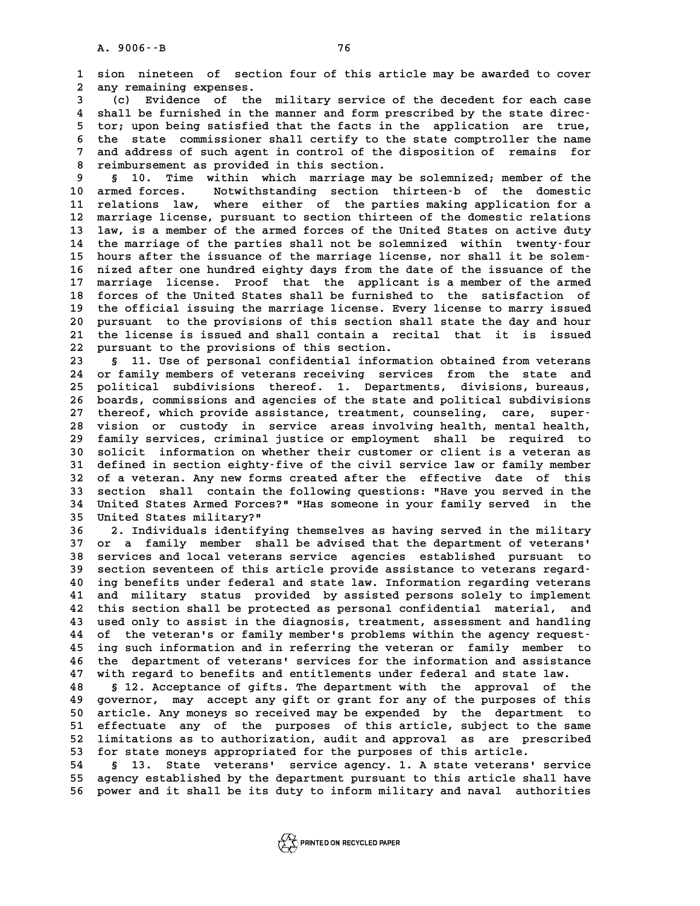**1 sion nineteen of section four of this article may be awarded to cover 2** sion nineteen of section<br>2 any remaining expenses.<br>3 (c) Fyidence of the 1 sion nineteen of section four of this article may be awarded to cover<br>2 any remaining expenses.<br>3 (c) Evidence of the military service of the decedent for each case<br><sup>4</sup> shall be furnished in the mannor and form program b

any remaining expenses.<br>
4 (c) Evidence of the military service of the decedent for each case<br>
4 shall be furnished in the manner and form prescribed by the state direc-<br>
5 tory won being satisfied that the fasts in the ap **5** (c) Evidence of the military service of the decedent for each case<br>4 shall be furnished in the manner and form prescribed by the state direc-<br>5 tor; upon being satisfied that the facts in the application are true,<br>the 4 shall be furnished in the manner and form prescribed by the state director; upon being satisfied that the facts in the application are true,<br>6 the state commissioner shall certify to the state comptroller the name<br>7 and 5 tor; upon being satisfied that the facts in the application are true,<br>6 the state commissioner shall certify to the state comptroller the name<br>7 and address of such agent in control of the disposition of remains for<br>8 re 6 the state commissioner shall certify to the<br>7 and address of such agent in control of the d<br>8 reimbursement as provided in this section.<br>8 5 10 Time within which marriese may b

9 and address of such agent in control of the disposition of remains for<br>
9 § 10. Time within which marriage may be solemnized; member of the<br>
10 armed forces. Notwithstanding section thirteen-b of the domestic **10 armed forces. Notwithstanding section thirteen-b of the domestic** 8 10. Time within which marriage may be solemnized; member of the<br>10 armed forces. Notwithstanding section thirteen-b of the domestic<br>11 relations law, where either of the parties making application for a<br>12 marriage ligat 10 armed forces. Notwithstanding section thirteen b of the domestic<br>11 relations law, where either of the parties making application for a<br>12 marriage license, pursuant to section thirteen of the domestic relations<br><sup>13</sup> la 12 marriage license, pursuant to section thirteen of the domestic relations<br>13 law, is a member of the armed forces of the United States on active duty<br>14 the marriage of the parties shall not be solemnized within twenty-f 12 marriage license, pursuant to section thirteen of the domestic relations<br>13 law, is a member of the armed forces of the United States on active duty<br>14 the marriage of the parties shall not be solemnized within twenty-f 13 law, is a member of the armed forces of the United States on active duty<br>14 the marriage of the parties shall not be solemnized within twenty-four<br>15 hours after the issuance of the marriage license, nor shall it be sol 14 the marriage of the parties shall not be solemnized within twenty-four<br>15 hours after the issuance of the marriage license, nor shall it be solem-<br>16 nized after one hundred eighty days from the date of the issuance of 15 hours after the issuance of the marriage license, nor shall it be solem-<br>16 nized after one hundred eighty days from the date of the issuance of the<br>17 marriage license. Proof that the applicant is a member of the armed 16 nized after one hundred eighty days from the date of the issuance of the<br>17 marriage license. Proof that the applicant is a member of the armed<br>18 forces of the United States shall be furnished to the satisfaction of<br>th 17 marriage license. Proof that the applicant is a member of the armed<br>18 forces of the United States shall be furnished to the satisfaction of<br>19 the official issuing the marriage license. Every license to marry issued<br>20 18 forces of the United States shall be furnished to the satisfaction of<br>19 the official issuing the marriage license. Every license to marry issued<br>20 pursuant to the provisions of this section shall state the day and hou 19 the official issuing the marriage license. Every license to marry issued<br>20 pursuant to the provisions of this section shall state the day and hour<br>21 the license is issued and shall contain a recital that it is issued<br> 20 pursuant to the provisions of this section shall state the day and hour<br>21 the license is issued and shall contain a recital that it is issued<br>22 pursuant to the provisions of this section.<br>23 \$ 11. Use of personal conf 21 the license is issued and shall contain a recital that it is issued<br>22 pursuant to the provisions of this section.<br>23 § 11. Use of personal confidential information obtained from veterans<br>24 or family members of veteran

22 pursuant to the provisions of this section.<br>23 § 11. Use of personal confidential information obtained from veterans<br>24 or family members of veterans receiving services from the state and<br>25 political subdivisions there <sup>23</sup> § 11. Use of personal confidential information obtained from veterans<br>
<sup>24</sup> or family members of veterans receiving services from the state and<br>
<sup>25</sup> political subdivisions thereof. 1. Departments, divisions, bureaus, 24 or family members of veterans receiving services from the state and<br>25 political subdivisions thereof. 1. Departments, divisions, bureaus,<br>26 boards, commissions and agencies of the state and political subdivisions<br>27 t 25 political subdivisions thereof. 1. Departments, divisions, bureaus,<br>26 boards, commissions and agencies of the state and political subdivisions<br>27 thereof, which provide assistance, treatment, counseling, care, super-<br>2 **26 boards, commissions and agencies of the state and political subdivisions**<br>27 thereof, which provide assistance, treatment, counseling, care, super-<br>28 vision or custody in service areas involving health, mental health, 27 thereof, which provide assistance, treatment, counseling, care, super-<br>28 vision or custody in service areas involving health, mental health,<br>29 family services, criminal justice or employment shall be required to<br>20 so 28 vision or custody in service areas involving health, mental health,<br>29 family services, criminal justice or employment shall be required to<br>30 solicit information on whether their customer or client is a veteran as<br>31 d 29 family services, criminal justice or employment shall be required to<br>30 solicit information on whether their customer or client is a veteran as<br>31 defined in section eighty-five of the civil service law or family member 30 solicit information on whether their customer or client is a veteran as<br>31 defined in section eighty-five of the civil service law or family member<br>32 of a veteran. Any new forms created after the effective date of this 31 defined in section eighty-five of the civil service law or family member<br>32 of a veteran. Any new forms created after the effective date of this<br>33 section shall contain the following questions: "Have you served in the<br> 32 of a veteran. Any new forms created after the effective date of this<br>33 section shall contain the following questions: "Have you served in the<br>34 United States Armed Forces?" "Has someone in your family served in the<br><sup>3</sup> 33 section shall contain the following questions: "Have you served in the<br>34 United States Armed Forces?" "Has someone in your family served in the<br>35 United States military?"<br>36 2. Individuals identifying themselves as ha **34 United States Armed Forces?" "Has someone in your family served in the 35 United States military?"**<br>36 2. Individuals identifying themselves as having served in the military<br>37 or a family member shall be advised that

**37 or a family member shall be advised that the department of veterans' 36 2. Individuals identifying themselves as having served in the military**<br>**37 or a family member shall be advised that the department of veterans'<br>38 services and local veterans service agencies established pursuant to<br>2** 37 or a family member shall be advised that the department of veterans<sup>1</sup><br>38 services and local veterans service agencies established pursuant to<br>39 section seventeen of this article provide assistance to veterans regard-<br> 38 services and local veterans service agencies established pursuant to<br>39 section seventeen of this article provide assistance to veterans regard-<br>40 ing benefits under federal and state law. Information regarding veteran 39 section seventeen of this article provide assistance to veterans regard-<br>40 ing benefits under federal and state law. Information regarding veterans<br>41 and military status provided by assisted persons solely to implemen 40 ing benefits under federal and state law. Information regarding veterans<br>41 and military status provided by assisted persons solely to implement<br>42 this section shall be protected as personal confidential material, and<br> 41 and military status provided by assisted persons solely to implement<br>42 this section shall be protected as personal confidential material, and<br>43 used only to assist in the diagnosis, treatment, assessment and handling<br> 42 this section shall be protected as personal confidential material, and<br>43 used only to assist in the diagnosis, treatment, assessment and handling<br>44 of the veteran's or family member's problems within the agency reques 43 used only to assist in the diagnosis, treatment, assessment and handling<br>44 of the veteran's or family member's problems within the agency request-<br>45 ing such information and in referring the veteran or family member t 44 of the veteran's or family member's problems within the agency request-<br>45 ing such information and in referring the veteran or family member to<br>46 the department of veterans' services for the information and assistance ing such information and in referring the veteran or family member to<br>46 the department of veterans' services for the information and assistance<br>47 with regard to benefits and entitlements under federal and state law.<br>48 \$ **46 the department of veterans' services for the information and assistance**<br>**47 with regard to benefits and entitlements under federal and state law.**<br>**48 § 12. Acceptance of gifts. The department with the approval of the** 

**47 with regard to benefits and entitlements under federal and state law.**<br>48 § 12. Acceptance of gifts. The department with the approval of the<br>49 governor, may accept any gift or grant for any of the purposes of this<br>50 **50 12. Acceptance of gifts. The department with the approval of the governor, may accept any gift or grant for any of the purposes of this article. Any moneys so received may be expended by the department to the same of t** 49 governor, may accept any gift or grant for any of the purposes of this<br>50 article. Any moneys so received may be expended by the department to<br>51 effectuate any of the purposes of this article, subject to the same<br>52 li 50 article. Any moneys so received may be expended by the department to<br>51 effectuate any of the purposes of this article, subject to the same<br>52 limitations as to authorization, audit and approval as are prescribed<br>53 for 51 effectuate any of the purposes of this article, subject to the same<br>52 limitations as to authorization, audit and approval as are prescribed<br>53 for state moneys appropriated for the purposes of this article.<br>54 \$ 13. St 52 limitations as to authorization, audit and approval as are prescribed<br>53 for state moneys appropriated for the purposes of this article.<br>54 § 13. State veterans' service agency. 1. A state veterans' service<br>55 agongy ot

53 for state moneys appropriated for the purposes of this article.<br>54 § 13. State veterans' service agency. 1. A state veterans' service<br>55 agency established by the department pursuant to this article shall have<br>56 novem 55 agency established by the department pursuant to this article shall have<br>56 power and it shall be its duty to inform military and naval authorities

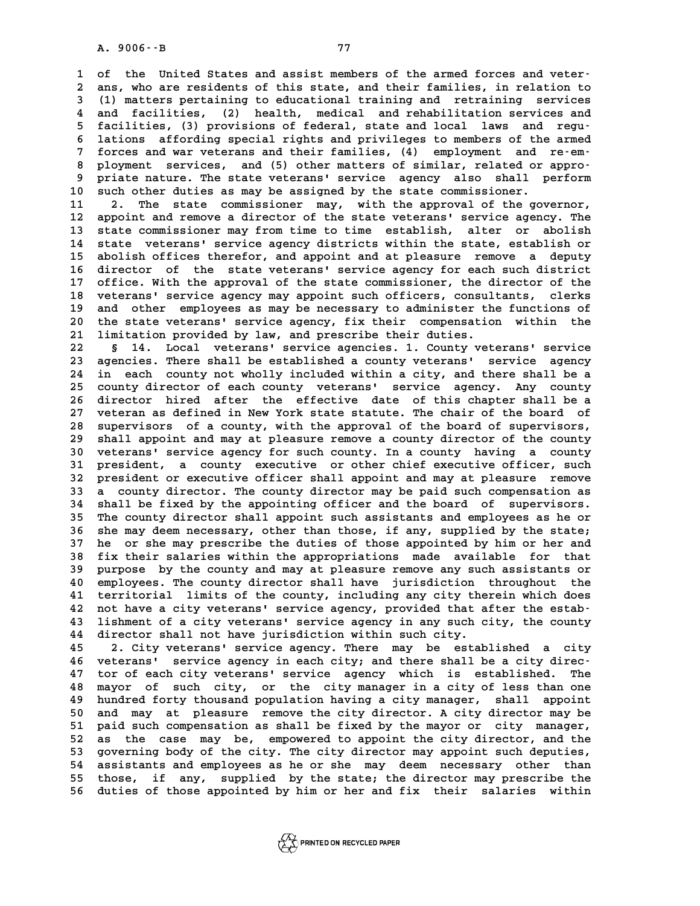A. 9006<sup>--B</sup><br>1 of the United States and assist members of the armed forces and veter-<br>2 and who are regidents of this state, and their families, in relation to 1 of the United States and assist members of the armed forces and veter-<br>2 ans, who are residents of this state, and their families, in relation to<br>3 (1) matters pertaining to educational training and retraining services 1 of the United States and assist members of the armed forces and veter-<br>2 ans, who are residents of this state, and their families, in relation to<br>3 (1) matters pertaining to educational training and retraining services<br><sup></sup> 2 ans, who are residents of this state, and their families, in relation to<br>
4 (1) matters pertaining to educational training and retraining services<br>
4 and facilities, (2) health, medical and rehabilitation services and<br>
5 1 (1) matters pertaining to educational training and retraining services<br>
4 and facilities, (2) health, medical and rehabilitation services and<br>
5 facilities, (3) provisions of federal, state and local laws and regu-<br>
<sup>5</sup> 4 and facilities, (2) health, medical and rehabilitation services and<br>5 facilities, (3) provisions of federal, state and local laws and regu-<br>6 lations affording special rights and privileges to members of the armed<br>7 forc 5 facilities, (3) provisions of federal, state and local laws and regu-<br> **6 lations affording special rights and privileges to members of the armed**<br> **7 forces and war veterans and their families, (4) employment and re-em-**8 lations affording special rights and privileges to members of the armed<br>
7 forces and war veterans and their families, (4) employment and re-em-<br>
8 ployment services, and (5) other matters of similar, related or appro-<br> 9 forces and war veterans and their families, (4) employment and re-em-<br>8 ployment services, and (5) other matters of similar, related or appro-<br>9 priate nature. The state veterans' service agency also shall perform<br>10 suc **10 such other duties as may be assigned by the state commissioner.** 9 priate nature. The state veterans' service agency also shall perform<br>10 such other duties as may be assigned by the state commissioner.<br>11 2. The state commissioner may, with the approval of the governor,<br>12 appoint and

**10** such other duties as may be assigned by the state commissioner.<br>
11 2. The state commissioner may, with the approval of the governor,<br>
12 appoint and remove a director of the state veterans' service agency. The<br>
13 st 11 2. The state commissioner may, with the approval of the governor,<br>12 appoint and remove a director of the state veterans' service agency. The<br>13 state commissioner may from time to time establish, alter or abolish<br>14 st 12 appoint and remove a director of the state veterans' service agency. The<br>13 state commissioner may from time to time establish, alter or abolish<br>14 state veterans' service agency districts within the state, establish or 13 state commissioner may from time to time establish, alter or abolish<br>14 state veterans' service agency districts within the state, establish or<br>15 abolish offices therefor, and appoint and at pleasure remove a deputy<br>16 14 state veterans' service agency districts within the state, establish or<br>15 abolish offices therefor, and appoint and at pleasure remove a deputy<br>16 director of the state veterans' service agency for each such district<br>1 **17 office. With the approval of the state commissioner, the director of the** 16 director of the state veterans' service agency for each such district<br>17 office. With the approval of the state commissioner, the director of the<br>18 veterans' service agency may appoint such officers, consultants, clerk 17 office. With the approval of the state commissioner, the director of the<br>18 veterans' service agency may appoint such officers, consultants, clerks<br>19 and other employees as may be necessary to administer the functions 18 veterans' service agency may appoint such officers, consultants, clerks<br>19 and other employees as may be necessary to administer the functions of<br>20 the state veterans' service agency, fix their compensation within the<br> 20 and other employees as may be necessary to administer the functions of 20 the state veterans' service agency, fix their compensation within the 11 limitation provided by law, and prescribe their duties.<br>22 § 14. Local v 20 the state veterans' service agency, fix their compensation within the<br>21 limitation provided by law, and prescribe their duties.<br>22 § 14. Local veterans' service agencies. 1. County veterans' service<br>23 agencies. There

21 limitation provided by law, and prescribe their duties.<br>22 § 14. Local veterans' service agencies. 1. County veterans' service<br>23 agencies. There shall be established a county veterans' service agency<br>24 in 225b, southy **22** § 14. Local veterans' service agencies. 1. County veterans' service<br> **23** agencies. There shall be established a county veterans' service agency<br> **24** in each county not wholly included within a city, and there shall 23 agencies. There shall be established a county veterans' service agency<br>24 in each county not wholly included within a city, and there shall be a<br>25 county director of each county veterans' service agency. Any county<br>26 24 in each county not wholly included within a city, and there shall be a<br>25 county director of each county veterans' service agency. Any county<br>26 director hired after the effective date of this chapter shall be a<br>27 upto 25 county director of each county veterans' service agency. Any county<br>26 director hired after the effective date of this chapter shall be a<br>27 veteran as defined in New York state statute. The chair of the board of<br>28 sup 26 director hired after the effective date of this chapter shall be a<br>27 veteran as defined in New York state statute. The chair of the board of<br>28 supervisors of a county, with the approval of the board of supervisors,<br>29 27 veteran as defined in New York state statute. The chair of the board of<br>28 supervisors of a county, with the approval of the board of supervisors,<br>29 shall appoint and may at pleasure remove a county director of the cou **30 supervisors of a county, with the approval of the board of supervisors,<br>
29 shall appoint and may at pleasure remove a county director of the county<br>
30 veterans' service agency for such county. In a county having a co** 39 shall appoint and may at pleasure remove a county director of the county<br>30 veterans' service agency for such county. In a county having a county<br>31 president, a county executive or other chief executive officer, such<br>3 30 veterans' service agency for such county. In a county having a county<br>31 president, a county executive or other chief executive officer, such<br>32 president or executive officer shall appoint and may at pleasure remove<br>33 31 president, a county executive or other chief executive officer, such<br>32 president or executive officer shall appoint and may at pleasure remove<br>33 a county director. The county director may be paid such compensation as<br> 32 president or executive officer shall appoint and may at pleasure remove<br>33 a county director. The county director may be paid such compensation as<br>34 shall be fixed by the appointing officer and the board of supervisors **33** a county director. The county director may be paid such compensation as<br>34 shall be fixed by the appointing officer and the board of supervisors.<br>35 The county director shall appoint such assistants and employees as h 34 shall be fixed by the appointing officer and the board of supervisors.<br>35 The county director shall appoint such assistants and employees as he or<br>36 she may deem necessary, other than those, if any, supplied by the sta The county director shall appoint such assistants and employees as he or<br>36 she may deem necessary, other than those, if any, supplied by the state;<br>37 he or she may prescribe the duties of those appointed by him or her an 36 she may deem necessary, other than those, if any, supplied by the state;<br>37 he or she may prescribe the duties of those appointed by him or her and<br>38 fix their salaries within the appropriations made available for that 37 he or she may prescribe the duties of those appointed by him or her and<br>38 fix their salaries within the appropriations made available for that<br>39 purpose by the county and may at pleasure remove any such assistants or<br> **40 fix their salaries within the appropriations made available for that**<br>**40 employees. The county director shall have jurisdiction throughout the**<br>**40 employees. The county director shall have jurisdiction throughout the** 39 purpose by the county and may at pleasure remove any such assistants or 40 employees. The county director shall have jurisdiction throughout the territorial limits of the county, including any city therein which does no **42 not have a city veterans' service agency, provided that after the estab-**41 territorial limits of the county, including any city therein which does<br>42 not have a city veterans' service agency, provided that after the estab-<br>43 lishment of a city veterans' service agency in any such city, the co **44 director shall not have jurisdiction within such city.** 43 lishment of a city veterans' service agency in any such city, the county<br>44 director shall not have jurisdiction within such city.<br>45 2. City veterans' service agency. There may be established a city<br>46 uptorangly servi

45 2. City veterans' service agency. There may be established a city<br>46 veterans' service agency in each city; and there shall be a city direc-<br>47 tor of each city veterans' service agency which is established. The **45** 2. City veterans' service agency. There may be established a city<br>46 veterans' service agency in each city; and there shall be a city direc-<br>47 tor of each city veterans' service agency which is established. The<br>18 mo **46 veterans' service agency in each city; and there shall be a city direc-**<br>**47 tor of each city veterans' service agency which is established. The**<br>**48 mayor of such city, or the city manager in a city of less than one**<br> 47 tor of each city veterans' service agency which is established. The<br>48 mayor of such city, or the city manager in a city of less than one<br>49 hundred forty thousand population having a city manager, shall appoint<br>50 and 48 mayor of such city, or the city manager in a city of less than one<br>49 hundred forty thousand population having a city manager, shall appoint<br>50 and may at pleasure remove the city director. A city director may be<br>51 pai All paid such compensation as shall appoint the main of the such compensation as shall be fixed by the mayor or city manager,<br>
and may at pleasure remove the city director. A city director may be paid such compensation as 50 and may at pleasure remove the city director. A city director may be<br>51 paid such compensation as shall be fixed by the mayor or city manager,<br>52 as the case may be, empowered to appoint the city director, and the<br>53 co 51 paid such compensation as shall be fixed by the mayor or city manager,<br>52 as the case may be, empowered to appoint the city director, and the<br>53 governing body of the city. The city director may appoint such deputies,<br>5 52 as the case may be, empowered to appoint the city director, and the<br>53 governing body of the city. The city director may appoint such deputies,<br>54 assistants and employees as he or she may deem necessary other than<br>55 t 53 governing body of the city. The city director may appoint such deputies,<br>54 assistants and employees as he or she may deem necessary other than<br>55 those, if any, supplied by the state; the director may prescribe the<br>56 54 assistants and employees as he or she may deem necessary other than<br>55 those, if any, supplied by the state; the director may prescribe the<br>56 duties of those appointed by him or her and fix their salaries within

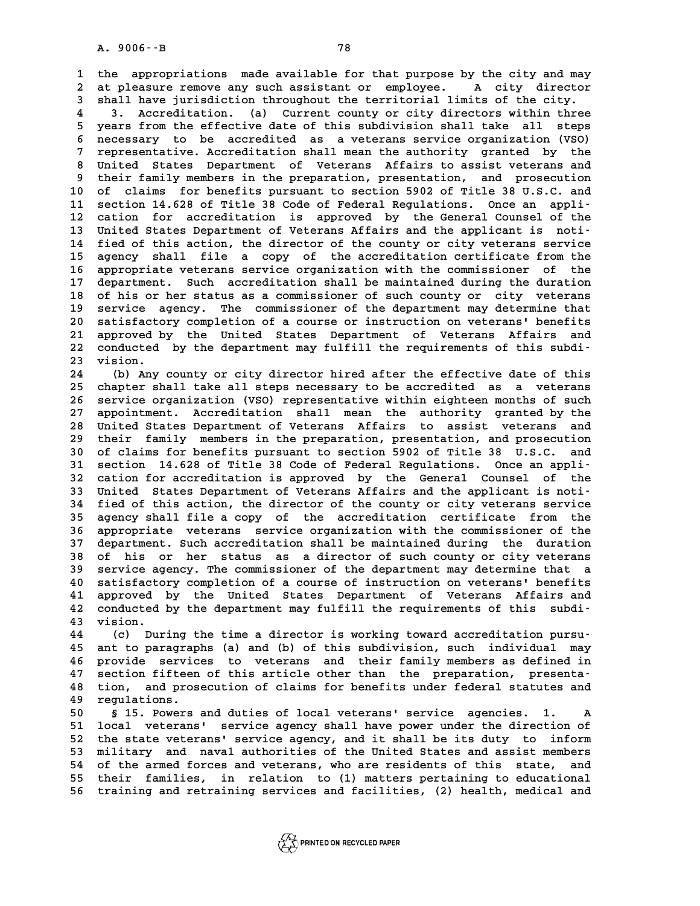A. 9006 · - B<br>1 the appropriations made available for that purpose by the city and may<br>2 at pleasure remove any such assistant or employee. A sity director 1 the appropriations made available for that purpose by the city and may<br>2 at pleasure remove any such assistant or employee. A city director<br>3 shall have iurisdigtion throughout the territorial limits of the gity 1 the appropriations made available for that purpose by the city and may<br>2 at pleasure remove any such assistant or employee. A city director<br>3 shall have jurisdiction throughout the territorial limits of the city.<br><sup>2</sup> cor

2 at pleasure remove any such assistant or employee. A city director<br>3 shall have jurisdiction throughout the territorial limits of the city.<br>4 3. Accreditation. (a) Current county or city directors within three<br>5 years fr 3 shall have jurisdiction throughout the territorial limits of the city.<br>4 3. Accreditation. (a) Current county or city directors within three<br>5 years from the effective date of this subdivision shall take all steps<br>5 sear **6 1 3. Accreditation.** (a) Current county or city directors within three<br>
5 years from the effective date of this subdivision shall take all steps<br>
6 necessary to be accredited as a veterans service organization (VSO)<br>
7 5 years from the effective date of this subdivision shall take all steps<br>6 necessary to be accredited as a veterans service organization (VSO)<br>7 representative. Accreditation shall mean the authority granted by the<br><sup>8</sup> Thi **8** necessary to be accredited as a veterans service organization (VSO)<br> **8 United States Department of Veterans Affairs to assist veterans and<br>
their family members in the proporation procentation and procesution 9 Their Family School School School School School School School School School School School School School School School School School School School School School School School School School School School School School Sch** 8 United States Department of Veterans Affairs to assist veterans and<br>9 their family members in the preparation, presentation, and prosecution<br>10 of claims for benefits pursuant to section 5902 of Title 38 U.S.C. and **11 section 14.628 of Title 38 Code of Federal Regulations. Once an appli-**10 of claims for benefits pursuant to section 5902 of Title 38 U.S.C. and<br>11 section 14.628 of Title 38 Code of Federal Regulations. Once an appli-<br>12 cation for accreditation is approved by the General Counsel of the<br>13 U 11 section 14.628 of Title 38 Code of Federal Regulations. Once an appli-<br>
12 cation for accreditation is approved by the General Counsel of the<br>
13 United States Department of Veterans Affairs and the applicant is noti-<br> 12 cation for accreditation is approved by the General Counsel of the<br>13 United States Department of Veterans Affairs and the applicant is noti-<br>14 fied of this action, the director of the county or city veterans service<br>1 13 United States Department of Veterans Affairs and the applicant is noti-<br>14 fied of this action, the director of the county or city veterans service<br>15 agency shall file a copy of the accreditation certificate from the<br>1 14 fied of this action, the director of the county or city veterans service<br>15 agency shall file a copy of the accreditation certificate from the<br>16 appropriate veterans service organization with the commissioner of the<br>17 15 agency shall file a copy of the accreditation certificate from the<br>16 appropriate veterans service organization with the commissioner of the<br>17 department. Such accreditation shall be maintained during the duration<br>18 o 16 appropriate veterans service organization with the commissioner of the<br>17 department. Such accreditation shall be maintained during the duration<br>18 of his or her status as a commissioner of such county or city veterans<br> 17 department. Such accreditation shall be maintained during the duration<br>18 of his or her status as a commissioner of such county or city veterans<br>19 service agency. The commissioner of the department may determine that<br>2 18 of his or her status as a commissioner of such county or city veterans<br>19 service agency. The commissioner of the department may determine that<br>20 satisfactory completion of a course or instruction on veterans' benefits 19 service agency. The commissioner of the department may determine that<br>20 satisfactory completion of a course or instruction on veterans' benefits<br>21 approved by the United States Department of Veterans Affairs and<br>22 co 20 satisfactory completion of a course or instruction on veterans' benefits<br>21 approved by the United States Department of Veterans Affairs and<br>22 conducted by the department may fulfill the requirements of this subdi-<br><sup>23</sup> 21 approved by the United States Department of Veterans Affairs and<br>22 conducted by the department may fulfill the requirements of this subdi-<br>23 vision.<br>24 (b) Any county or city director hired after the effective date of 22 conducted by the department may fulfill the requirements of this subdi-<br>23 vision.<br>24 (b) Any county or city director hired after the effective date of this<br>25 chapter shall take all steps necessary to be accredited as

**25 chapter shall take all steps necessary to be accredited as a veterans 24** (b) Any county or city director hired after the effective date of this<br>25 chapter shall take all steps necessary to be accredited as a veterans<br>26 service organization (VSO) representative within eighteen months of su 25 chapter shall take all steps necessary to be accredited as a veterans<br>26 service organization (VSO) representative within eighteen months of such<br>27 appointment. Accreditation shall mean the authority granted by the<br>28 26 service organization (VSO) representative within eighteen months of such<br>27 appointment. Accreditation shall mean the authority granted by the<br>28 United States Department of Veterans Affairs to assist veterans and<br>their 27 appointment. Accreditation shall mean the authority granted by the<br>28 United States Department of Veterans Affairs to assist veterans and<br>29 their family members in the preparation, presentation, and prosecution<br>20 of a **30 United States Department of Veterans Affairs to assist veterans and<br>
29 their family members in the preparation, presentation, and prosecution<br>
30 of claims for benefits pursuant to section 5902 of Title 38 U.S.C. and<br>** 29 their family members in the preparation, presentation, and prosecution<br>30 of claims for benefits pursuant to section 5902 of Title 38 U.S.C. and<br>31 section 14.628 of Title 38 Code of Federal Regulations. Once an appli-30 of claims for benefits pursuant to section 5902 of Title 38 U.S.C. and<br>31 section 14.628 of Title 38 Code of Federal Regulations. Once an appli-<br>32 cation for accreditation is approved by the General Counsel of the<br>33 U 31 section 14.628 of Title 38 Code of Federal Regulations. Once an application for accreditation is approved by the General Counsel of the 33 United States Department of Veterans Affairs and the applicant is noti-<br><sup>24</sup> fie 32 cation for accreditation is approved by the General Counsel of the<br>33 United States Department of Veterans Affairs and the applicant is noti-<br>34 fied of this action, the director of the county or city veterans service<br>3 33 United States Department of Veterans Affairs and the applicant is noti-<br>34 fied of this action, the director of the county or city veterans service<br>35 agency shall file a copy of the accreditation certificate from the<br>2 34 fied of this action, the director of the county or city veterans service<br>35 agency shall file a copy of the accreditation certificate from the<br>36 appropriate veterans service organization with the commissioner of the<br>37 35 agency shall file a copy of the accreditation certificate from the<br>36 appropriate veterans service organization with the commissioner of the<br>37 department. Such accreditation shall be maintained during the duration<br>38 o 36 appropriate veterans service organization with the commissioner of the<br>37 department. Such accreditation shall be maintained during the duration<br>38 of his or her status as a director of such county or city veterans<br>39 s **37 department.** Such accreditation shall be maintained during the duration<br>38 of his or her status as a director of such county or city veterans<br>39 service agency. The commissioner of the department may determine that a<br>4 **40 38 of his or her status as a director of such county or city veterans**<br>**40 satisfactory completion of a course of instruction on veterans' benefits**<br>**41 approved by the United States Department of Veterans Affairs and** 39 service agency. The commissioner of the department may determine that a<br>40 satisfactory completion of a course of instruction on veterans' benefits<br>41 approved by the United States Department of Veterans Affairs and<br>42 40 satisfactory completion of a course of instruction on veterans' benefits<br>41 approved by the United States Department of Veterans Affairs and<br>42 conducted by the department may fulfill the requirements of this subdi-<br><sup>43</sup> **41 approved** 1<br>**42 conducted** 1<br>**43 vision.**<br>44 (g) Dur 42 conducted by the department may fulfill the requirements of this subdi-<br>43 vision.<br>44 (c) During the time a director is working toward accreditation pursu-<br>45 ant to paragraphs (a) and (b) of this subdivision, sush indi

**43 vision.**<br>44 (c) During the time a director is working toward accreditation pursu-<br>45 ant to paragraphs (a) and (b) of this subdivision, such individual may<br>46 anouide corvices to uptorans and their family members as de **44** (c) During the time a director is working toward accreditation pursu-<br>45 ant to paragraphs (a) and (b) of this subdivision, such individual may<br>46 provide services to veterans and their family members as defined in<br>47 44 (c) During the time a director is working toward accreditation pursu-<br>45 ant to paragraphs (a) and (b) of this subdivision, such individual may<br>46 provide services to veterans and their family members as defined in<br>47 s 46 provide services to veterans and their family members as defined in<br>47 section fifteen of this article other than the preparation, presenta-<br>48 tion, and prosecution of claims for benefits under federal statutes and<br><sup>49</sup> 47 section fifteen<br>48 tion, and pros<br>49 regulations.<br>50 5.15 Powers **50 \$15. Power and prosecution of claims for benefits under federal statutes and<br>
49 regulations.**<br>
50 § 15. Powers and duties of local veterans' service agencies. 1. A<br>
51 local veterans' service agency shall have power u

**50 regulations.**<br>50 § 15. Powers and duties of local veterans' service agencies. 1. A<br>51 local veterans' service agency shall have power under the direction of<br>52 the state veterans' service agency, and it shall be its du 50 § 15. Powers and duties of local veterans' service agencies. 1. A<br>51 local veterans' service agency shall have power under the direction of<br>52 the state veterans' service agency, and it shall be its duty to inform<br>53 mi 51 local veterans' service agency shall have power under the direction of<br>52 the state veterans' service agency, and it shall be its duty to inform<br>53 military and naval authorities of the United States and assist members<br> 52 the state veterans' service agency, and it shall be its duty to inform<br>53 military and naval authorities of the United States and assist members<br>54 of the armed forces and veterans, who are residents of this state, and<br> 53 military and naval authorities of the United States and assist members<br>54 of the armed forces and veterans, who are residents of this state, and<br>55 their families, in relation to (1) matters pertaining to educational<br>56 54 of the armed forces and veterans, who are residents of this state, and<br>55 their families, in relation to (1) matters pertaining to educational<br>56 training and retraining services and facilities, (2) health, medical and

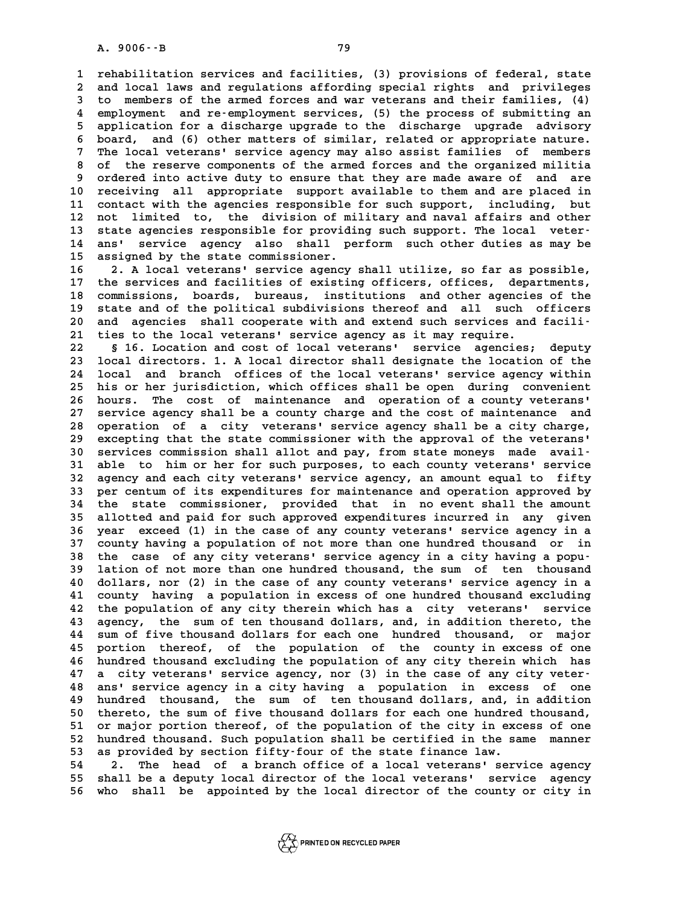**1 rehabilitation services and facilities, (3) provisions of federal, state** 1 rehabilitation services and facilities, (3) provisions of federal, state<br>2 and local laws and regulations affording special rights and privileges<br>3 to members of the armed forces and war veterans and their families. (4) **3 to members of the armed forces and war veterans and their families, (4)** 2 and local laws and regulations affording special rights and privileges<br>3 to members of the armed forces and war veterans and their families, (4)<br>4 employment and re-employment services, (5) the process of submitting an<br>5 5 to members of the armed forces and war veterans and their families, (4)<br>4 employment and re-employment services, (5) the process of submitting an<br>5 application for a discharge upgrade to the discharge upgrade advisory<br>5 4 employment and re-employment services, (5) the process of submitting an<br>5 application for a discharge upgrade to the discharge upgrade advisory<br>6 board, and (6) other matters of similar, related or appropriate nature.<br><sup>7</sup> 5 application for a discharge upgrade to the discharge upgrade advisory<br>6 board, and (6) other matters of similar, related or appropriate nature.<br>7 The local veterans' service agency may also assist families of members<br>8 o **8 board, and (6) other matters of similar, related or appropriate nature.**<br>The local veterans' service agency may also assist families of members<br>8 of the reserve components of the armed forces and the organized militia<br>a The local veterans' service agency may also assist families of members<br>8 of the reserve components of the armed forces and the organized militia<br>9 ordered into active duty to ensure that they are made aware of and are<br>20 r 8 of the reserve components of the armed forces and the organized militia<br>9 ordered into active duty to ensure that they are made aware of and are<br>10 receiving all appropriate support available to them and are placed in<br>11 9 ordered into active duty to ensure that they are made aware of and are<br>10 receiving all appropriate support available to them and are placed in<br>11 contact with the agencies responsible for such support, including, but<br>12 10 receiving all appropriate support available to them and are placed in<br>11 contact with the agencies responsible for such support, including, but<br>12 not limited to, the division of military and naval affairs and other<br>13 11 contact with the agencies responsible for such support, including, but<br>
12 not limited to, the division of military and naval affairs and other<br>
13 state agencies responsible for providing such support. The local veter-11 contact with the agencies responsible for such support, including, but<br>12 not limited to, the division of military and naval affairs and other<br>13 state agencies responsible for providing such support. The local veter-<br>1 13 state agencies responsible for providing<br>14 ans' service agency also shall pe<br>15 assigned by the state commissioner.

**16 2. A local veterans' service agency shall utilize, so far as possible, 17 the services and facilities of existing officers, offices, departments, 16 2. A local veterans' service agency shall utilize, so far as possible,**<br>17 the services and facilities of existing officers, offices, departments,<br>18 commissions, boards, bureaus, institutions and other agencies of the 17 the services and facilities of existing officers, offices, departments,<br>18 commissions, boards, bureaus, institutions and other agencies of the<br>19 state and of the political subdivisions thereof and all such officers<br>20 20 and agencies shall cooperate with and extend all such officers<br>
20 and agencies shall cooperate with and extend such services and facili-<br>
<sup>21</sup> ties to the local weterans' service agency as it may require 21 state and of the political subdivisions thereof and all such officers<br>
20 and agencies shall cooperate with and extend such services and facili-<br>
21 ties to the local veterans' service agency as it may require.<br>
22 § 16 20 and agencies shall cooperate with and extend such services and facili-<br>21 ties to the local veterans' service agency as it may require.<br>22 § 16. Location and cost of local veterans' service agencies; deputy<br>23 local dir

21 ties to the local veterans' service agency as it may require.<br>22 § 16. Location and cost of local veterans' service agencies; deputy<br>23 local directors. 1. A local director shall designate the location of the<br>24 local a 8 16. Location and cost of local veterans' service agencies; deputy<br>23 local directors. 1. A local director shall designate the location of the<br>24 local and branch offices of the local veterans' service agency within<br>25 hi 23 local directors. 1. A local director shall designate the location of the<br>24 local and branch offices of the local veterans' service agency within<br>25 his or her jurisdiction, which offices shall be open during convenient 24 local and branch offices of the local veterans' service agency within<br>25 his or her jurisdiction, which offices shall be open during convenient<br>26 hours. The cost of maintenance and operation of a county veterans'<br>27 se 25 his or her jurisdiction, which offices shall be open during convenient<br>26 hours. The cost of maintenance and operation of a county veterans'<br>27 service agency shall be a county charge and the cost of maintenance and<br>28 26 hours. The cost of maintenance and operation of a county veterans'<br>27 service agency shall be a county charge and the cost of maintenance and<br>28 operation of a city veterans' service agency shall be a city charge,<br>29 ov 27 service agency shall be a county charge and the cost of maintenance and<br>28 operation of a city veterans' service agency shall be a city charge,<br>29 excepting that the state commissioner with the approval of the veterans' 28 operation of a city veterans' service agency shall be a city charge,<br>
29 excepting that the state commissioner with the approval of the veterans'<br>
30 services commission shall allot and pay, from state moneys made avail excepting that the state commissioner with the approval of the veterans'<br>30 services commission shall allot and pay, from state moneys made avail-<br>31 able to him or her for such purposes, to each county veterans' service<br>3 30 services commission shall allot and pay, from state moneys made avail-<br>31 able to him or her for such purposes, to each county veterans' service<br>32 agency and each city veterans' service agency, an amount equal to fifty 31 able to him or her for such purposes, to each county veterans' service<br>32 agency and each city veterans' service agency, an amount equal to fifty<br>33 per centum of its expenditures for maintenance and operation approved 32 agency and each city veterans' service agency, an amount equal to fifty<br>33 per centum of its expenditures for maintenance and operation approved by<br>34 the state commissioner, provided that in no event shall the amount 33 per centum of its expenditures for maintenance and operation approved by<br>34 the state commissioner, provided that in no event shall the amount<br>35 allotted and paid for such approved expenditures incurred in any given<br>36 **34 the state commissioner, provided that in no event shall the amount allotted and paid for such approved expenditures incurred in any given year exceed (1) in the case of any county veterans' service agency in a<br>37 count 35 allotted and paid for such approved expenditures incurred in any given**<br>36 year exceed (1) in the case of any county veterans' service agency in a<br>37 county having a population of not more than one hundred thousand or 36 year exceed (1) in the case of any county veterans' service agency in a<br>37 county having a population of not more than one hundred thousand or in<br>38 the case of any city veterans' service agency in a city having a popu-**37 county having a population of not more than one hundred thousand or in**<br>38 the case of any city veterans' service agency in a city having a popu-<br>39 lation of not more than one hundred thousand, the sum of ten thousand **40 dollars, nor (2) in the case of any city veterans' service agency in a city having a population of not more than one hundred thousand, the sum of ten thousand dollars, nor (2) in the case of any county veterans' servic** 19 lation of not more than one hundred thousand, the sum of ten thousand 40 dollars, nor (2) in the case of any county veterans' service agency in a 41 county having a population in excess of one hundred thousand excluding dollars, nor (2) in the case of any county veterans' service agency in a<br>41 county having a population in excess of one hundred thousand excluding<br>42 the population of any city therein which has a city veterans' service<br>43 41 county having a population in excess of one hundred thousand excluding<br>42 the population of any city therein which has a city veterans' service<br>43 agency, the sum of ten thousand dollars, and, in addition thereto, the<br>4 42 the population of any city therein which has a city veterans' service<br>43 agency, the sum of ten thousand dollars, and, in addition thereto, the<br>44 sum of five thousand dollars for each one hundred thousand, or major<br>15 43 agency, the sum of ten thousand dollars, and, in addition thereto, the<br>44 sum of five thousand dollars for each one hundred thousand, or major<br>45 portion thereof, of the population of the county in excess of one<br>46 hund 44 sum of five thousand dollars for each one hundred thousand, or major<br>45 portion thereof, of the population of the county in excess of one<br>46 hundred thousand excluding the population of any city therein which has<br>47 a c 45 portion thereof, of the population of the county in excess of one<br>46 hundred thousand excluding the population of any city therein which has<br>47 a city veterans' service agency, nor (3) in the case of any city veter-<br>48 46 hundred thousand excluding the population of any city therein which has<br>47 a city veterans' service agency, nor (3) in the case of any city veter-<br>48 ans' service agency in a city having a population in excess of one<br>49 48 ans' service agency in a city having a population in excess of one<br>49 hundred thousand, the sum of ten thousand dollars, and, in addition<br>50 thereto, the sum of five thousand dollars for each one hundred thousand, 48 ans' service agency in a city having a population in excess of one<br>49 hundred thousand, the sum of ten thousand dollars, and, in addition<br>50 thereto, the sum of five thousand dollars for each one hundred thousand,<br>51 or 49 hundred thousand, the sum of ten thousand dollars, and, in addition<br>50 thereto, the sum of five thousand dollars for each one hundred thousand,<br>51 or major portion thereof, of the population of the city in excess of one 50 thereto, the sum of five thousand dollars for each one hundred thousand,<br>51 or major portion thereof, of the population of the city in excess of one<br>52 hundred thousand. Such population shall be certified in the same ma 51 or major portion thereof, of the population of the city in excess of one<br>52 hundred thousand. Such population shall be certified in the same manner<br>53 as provided by section fifty-four of the state finance law.<br>54 2. Th

**54 2. The head of a branch office of a local veterans' service agency** 53 as provided by section fifty-four of the state finance law.<br>54 2. The head of a branch office of a local veterans' service agency<br>55 shall be a deputy local director of the local veterans' service agency<br>56 ibe shall be 54 2. The head of a branch office of a local veterans' service agency<br>55 shall be a deputy local director of the local veterans' service agency<br>56 who shall be appointed by the local director of the county or city in

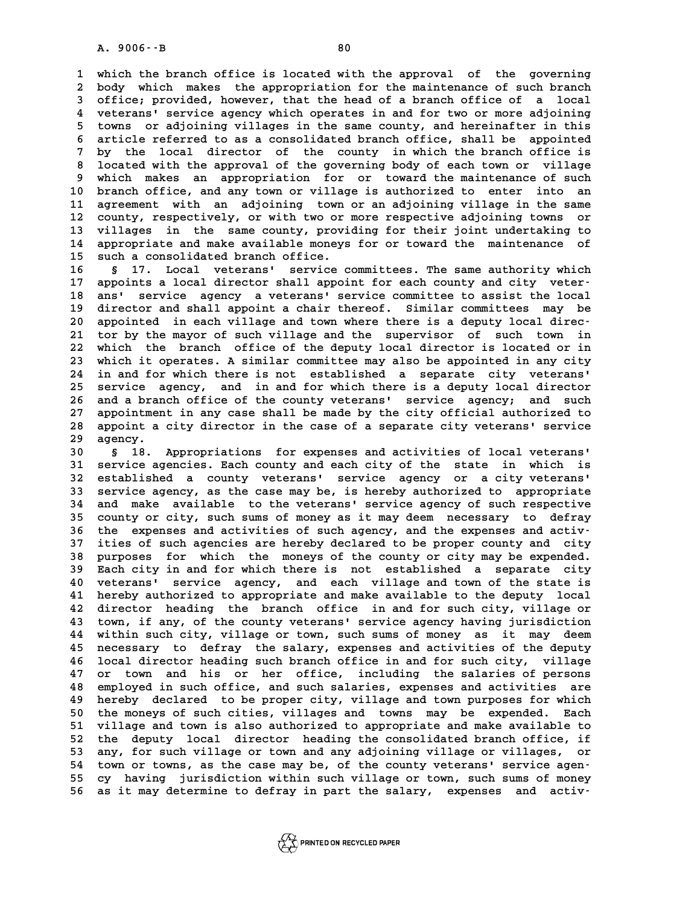**1 which the branch office is located with the approval of the governing 2** which the branch office is located with the approval of the governing<br>2 body which makes the appropriation for the maintenance of such branch<br>3 office: provided boyever, that the bead of a branch office of a local which the branch office is located with the approval of the governing<br>2 body which makes the appropriation for the maintenance of such branch<br>3 office; provided, however, that the head of a branch office of a local<br>4 uptor 2 body which makes the appropriation for the maintenance of such branch<br>3 office; provided, however, that the head of a branch office of a local<br>4 veterans' service agency which operates in and for two or more adjoining<br>5 5 office; provided, however, that the head of a branch office of a local<br>4 veterans' service agency which operates in and for two or more adjoining<br>5 towns or adjoining villages in the same county, and hereinafter in this<br> 4 veterans' service agency which operates in and for two or more adjoining<br>5 towns or adjoining villages in the same county, and hereinafter in this<br>6 article referred to as a consolidated branch office, shall be appointed 5 towns or adjoining villages in the same county, and hereinafter in this<br>6 article referred to as a consolidated branch office, shall be appointed<br>7 by the local director of the county in which the branch office is<br>100110 8 article referred to as a consolidated branch office, shall be appointed<br>
7 by the local director of the county in which the branch office is<br>
8 located with the approval of the governing body of each town or village<br>
8 w 9 by the local director of the county in which the branch office is<br>8 located with the approval of the governing body of each town or village<br>9 which makes an appropriation for or toward the maintenance of such 10 branch of the governing body of each town or village<br>
10 branch office, and any town or village is authorized to enter into an<br>
11 arrespect with an adjoining town or an adjoining village in the same 9 which makes an appropriation for or toward the maintenance of such<br>10 branch office, and any town or village is authorized to enter into an<br>11 agreement with an adjoining town or an adjoining village in the same<br>22 count 10 branch office, and any town or village is authorized to enter into an<br>11 agreement with an adjoining town or an adjoining village in the same<br>12 county, respectively, or with two or more respective adjoining towns or<br>13 11 agreement with an adjoining town or an adjoining village in the same<br>12 county, respectively, or with two or more respective adjoining towns or<br>13 villages in the same county, providing for their joint undertaking to<br>14 12 county, respectively, or with two or more respective adjoining towns or<br>13 villages in the same county, providing for their joint undertaking to<br>14 appropriate and make available moneys for or toward the maintenance of<br> 13 villages in the same county, provi<br>14 appropriate and make available moneys<br>15 such a consolidated branch office. 14 appropriate and make available moneys for or toward the maintenance of<br>15 such a consolidated branch office.<br>16 § 17. Local veterans' service committees. The same authority which<br>17 appoints a local director shall appoi

**15 such a consolidated branch office.**<br>
16 § 17. Local veterans' service committees. The same authority which<br>
17 appoints a local director shall appoint for each county and city veter-<br>
18 application acquires are allowe 16 § 17. Local veterans' service committees. The same authority which<br>17 appoints a local director shall appoint for each county and city veter-<br>18 ans' service agency a veterans' service committee to assist the local<br>dire 17 appoints a local director shall appoint for each county and city veter-<br>18 ans' service agency a veterans' service committee to assist the local<br>19 director and shall appoint a chair thereof. Similar committees may be<br>2 18 ans' service agency a veterans' service committee to assist the local<br>
19 director and shall appoint a chair thereof. Similar committees may be<br>
20 appointed in each village and town where there is a deputy local direc-19 director and shall appoint a chair thereof. Similar committees may be<br>20 appointed in each village and town where there is a deputy local direc-<br>21 tor by the mayor of such village and the supervisor of such town in<br>22 20 appointed in each village and town where there is a deputy local direc-<br>21 tor by the mayor of such village and the supervisor of such town in<br>22 which the branch office of the deputy local director is located or in<br>23 21 tor by the mayor of such village and the supervisor of such town in<br>22 which the branch office of the deputy local director is located or in<br>23 which it operates. A similar committee may also be appointed in any city<br><sup>2</sup> 22 which the branch office of the deputy local director is located or in<br>23 which it operates. A similar committee may also be appointed in any city<br>24 in and for which there is not established a separate city veterans'<br>25 23 which it operates. A similar committee may also be appointed in any city<br>24 in and for which there is not established a separate city veterans'<br>25 service agency, and in and for which there is a deputy local director<br>26 24 in and for which there is not established a separate city veterans'<br>25 service agency, and in and for which there is a deputy local director<br>26 and a branch office of the county veterans' service agency; and such<br>27 app 25 service agency, and in and for which there is a deputy local director<br>26 and a branch office of the county veterans' service agency; and such<br>27 appointment in any case shall be made by the city official authorized to<br>2 26 and a branch office of the county veterans' service agency; and such<br>27 appointment in any case shall be made by the city official authorized to<br>28 appoint a city director in the case of a separate city veterans' servic 27 appointmen<br>28 appoint a<br>29 agency. **38 appoint a city director in the case of a separate city veterans' service**<br>29 agency.<br>30 § 18. Appropriations for expenses and activities of local veterans'<br>31 service agencies. Fach county and each gity of the state in

<sup>1</sup><br> **30** s 18. Appropriations for expenses and activities of local veterans'<br>
31 service agencies. Each county and each city of the state in which is<br>
22 ostablished a county uptorangly service agency or a gity uptorangly **30 5** 18. Appropriations for expenses and activities of local veterans'<br>
31 service agencies. Each county and each city of the state in which is<br>
32 established a county veterans' service agency or a city veterans'<br>
33 31 service agencies. Each county and each city of the state in which is<br>32 established a county veterans' service agency or a city veterans'<br>33 service agency, as the case may be, is hereby authorized to appropriate<br><sup>34</sup> a 32 established a county veterans' service agency or a city veterans'<br>33 service agency, as the case may be, is hereby authorized to appropriate<br>34 and make available to the veterans' service agency of such respective<br>25 co 33 service agency, as the case may be, is hereby authorized to appropriate<br>34 and make available to the veterans' service agency of such respective<br>35 county or city, such sums of money as it may deem necessary to defray<br>2 34 and make available to the veterans' service agency of such respective<br>35 county or city, such sums of money as it may deem necessary to defray<br>36 the expenses and activities of such agency, and the expenses and activ-<br><sup></sup> 35 county or city, such sums of money as it may deem necessary to defray<br>36 the expenses and activities of such agency, and the expenses and activ-<br>37 ities of such agencies are hereby declared to be proper county and city 36 the expenses and activities of such agency, and the expenses and activ-<br>37 ities of such agencies are hereby declared to be proper county and city<br>38 purposes for which the moneys of the county or city may be expended.<br> 37 ities of such agencies are hereby declared to be proper county and city<br>38 purposes for which the moneys of the county or city may be expended.<br>39 Each city in and for which there is not established a separate city<br>10 u **40 purposes for which the moneys of the county or city may be expended.**<br> **40 veterans' service agency, and each village and town of the state is**<br> **40 veterans' service agency, and each village and town of the state is**<br> 39 Each city in and for which there is not established a separate city<br>40 veterans' service agency, and each village and town of the state is<br>41 hereby authorized to appropriate and make available to the deputy local<br>42 di **40 veterans' service agency, and each village and town of the state is<br>41 hereby authorized to appropriate and make available to the deputy local<br>42 director heading the branch office in and for such city, village or<br>43 t** 41 hereby authorized to appropriate and make available to the deputy local<br>42 director heading the branch office in and for such city, village or<br>43 town, if any, of the county veterans' service agency having jurisdiction<br> 42 director heading the branch office in and for such city, village or<br>43 town, if any, of the county veterans' service agency having jurisdiction<br>44 within such city, village or town, such sums of money as it may deem<br>15 43 town, if any, of the county veterans' service agency having jurisdiction<br>44 within such city, village or town, such sums of money as it may deem<br>45 necessary to defray the salary, expenses and activities of the deputy<br>1 within such city, village or town, such sums of money as it may deem<br>45 necessary to defray the salary, expenses and activities of the deputy<br>46 local director heading such branch office in and for such city, village<br>47 ex 45 necessary to defray the salary, expenses and activities of the deputy<br>46 local director heading such branch office in and for such city, village<br>47 or town and his or her office, including the salaries of persons<br>48 emp A local director heading such branch office in and for such city, village<br>47 or town and his or her office, including the salaries of persons<br>48 employed in such office, and such salaries, expenses and activities are<br>hereb 47 or town and his or her office, including the salaries of persons<br>48 employed in such office, and such salaries, expenses and activities are<br>49 hereby declared to be proper city, village and town purposes for which<br>50 th 48 employed in such office, and such salaries, expenses and activities are<br>49 hereby declared to be proper city, village and town purposes for which<br>50 the moneys of such cities, villages and towns may be expended. Each<br>51 A state of the moneys of such cities, villages and town purposes for which<br>
50 the moneys of such cities, villages and towns may be expended. Each<br>
51 village and town is also authorized to appropriate and make available t 50 the moneys of such cities, villages and towns may be expended. Each<br>51 village and town is also authorized to appropriate and make available to<br>52 the deputy local director heading the consolidated branch office, if<br>53 51 village and town is also authorized to appropriate and make available to<br>52 the deputy local director heading the consolidated branch office, if<br>53 any, for such village or town and any adjoining village or villages, or 52 the deputy local director heading the consolidated branch office, if<br>
53 any, for such village or town and any adjoining village or villages, or<br>
54 town or towns, as the case may be, of the county veterans' service age 53 any, for such village or town and any adjoining village or villages, or<br>54 town or towns, as the case may be, of the county veterans' service agen-<br>55 cy having jurisdiction within such village or town, such sums of mon 54 town or towns, as the case may be, of the county veterans' service agen-<br>55 cy having jurisdiction within such village or town, such sums of money<br>56 as it may determine to defray in part the salary, expenses and activ-

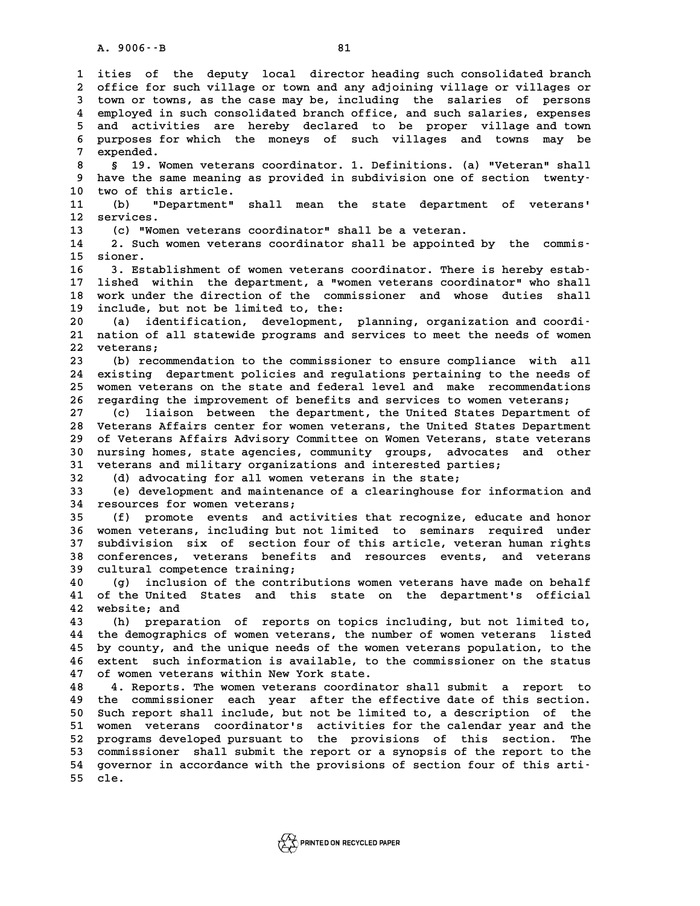**1 ities of the deputy local director heading such consolidated branch 2** ities of the deputy local director heading such consolidated branch<br>2 office for such village or town and any adjoining village or villages or<br>3 town or towns, as the gase may be including, the salaries of persons 1 ities of the deputy local director heading such consolidated branch<br>2 office for such village or town and any adjoining village or villages or<br>3 town or towns, as the case may be, including the salaries of persons<br><sup>4</sup> em 2 office for such village or town and any adjoining village or villages or<br>3 town or towns, as the case may be, including the salaries of persons<br>4 employed in such consolidated branch office, and such salaries, expenses<br>5 3 town or towns, as the case may be, including the salaries of persons<br>4 employed in such consolidated branch office, and such salaries, expenses<br>5 and activities are hereby declared to be proper village and town<br>6 nurrosc 4 employed in such consolidated branch office, and such salaries, expenses<br>5 and activities are hereby declared to be proper village and town<br>6 purposes for which the moneys of such villages and towns may be<br><sup>7</sup> expended 5 and activities are hereby declared to be proper village and town<br>6 purposes for which the moneys of such villages and towns may be<br>7 expended.<br>8 § 19. Women veterans coordinator. 1. Definitions. (a) "Veteran" shall 8 **purposes for which the moneys of such villages and towns may be**<br>**8 § 19. Women veterans coordinator. 1. Definitions. (a) "Veteran" shall**<br>**9 have the same meaning as provided in subdivision one of section twenty**. **9 expended.**<br>8 § 19. Women veterans coordinator. 1. Definitions. (a) "Veteran" shall<br>9 have the same meaning as provided in subdivision one of section twenty-<br>0 type of this article. 8 § 19. Women veterans<br>9 have the same meaning a<br>10 two of this article.<br><sup>11</sup> (b) "Department" a 9 have the same meaning as provided in subdivision one of section twenty-<br>10 two of this article.<br>11 (b) "Department" shall mean the state department of veterans' 10 two of this article.<br>11 (b) "Department"<br>12 services.<br>13 (c) "Women veterans 11 (b) "Department" shall mean the state department of veterans'<br>12 services.<br>13 (c) "Women veterans coordinator" shall be a veteran.<br>14 2. Such women veterans coordinator shall be appointed by the commis-12 services.<br>13 (c) "Women veterans coordinator" shall be a veteran.<br>14 2. Such women veterans coordinator shall be appointed by the commis-<br>15 siener 13 (c) **"Wom**<br>14 2. Such<br>15 sioner. 15 sioner.<br>16 3. Establishment of women veterans coordinator. There is hereby estab-<br>17 lished within, the department, a "women veterans coordinator" who shall 15 sioner.<br>16 3. Establishment of women veterans coordinator. There is hereby estab-<br>17 lished within the department, a "women veterans coordinator" who shall<br>18 work under the direction of the commissioner and whose dutie **16 3. Establishment of women veterans coordinator. There is hereby estab-**<br>**17 lished within the department, a "women veterans coordinator" who shall**<br>**18 work under the direction of the commissioner and whose duties shal** 17 lished within the department, a "wome"<br>18 work under the direction of the commis<br>19 include, but not be limited to, the:<br>20 (a) identification development 18 work under the direction of the commissioner and whose duties shall<br>
19 include, but not be limited to, the:<br>
20 (a) identification, development, planning, organization and coordi-<br>
21 nation of all statewide programs a 19 include, but not be limited to, the:<br>20 (a) identification, development, planning, organization and coordi<sup>.</sup><br>21 nation of all statewide programs and services to meet the needs of women<br><sup>22</sup> veterars. 20 (a) ident<br>21 nation of al<br>22 veterans;<br><sup>23</sup> (b) recomm 21 nation of all statewide programs and services to meet the needs of women<br>22 veterans;<br>(b) recommendation to the commissioner to ensure compliance with all<br>24 evising department policies and requisions pertaining to the **22 veterans;<br>23 (b) recommendation to the commissioner to ensure compliance with all<br>24 existing department policies and regulations pertaining to the needs of<br>25 women uptorang on the state and foderal level and make rec** (b) recommendation to the commissioner to ensure compliance with all<br>24 existing department policies and regulations pertaining to the needs of<br>25 women veterans on the state and federal level and make recommendations<br>26 e 24 existing department policies and regulations pertaining to the needs of<br>25 women veterans on the state and federal level and make recommendations<br>26 regarding the improvement of benefits and services to women veterans;<br> 25 women veterans on the state and federal level and make recommendations<br>26 regarding the improvement of benefits and services to women veterans;<br>27 (c) liaison between the department, the United States Department of<br>28 V **26 regarding the improvement of benefits and services to women veterans;**<br>27 (c) liaison between the department, the United States Department of<br>28 Veterans Affairs center for women veterans, the United States Department<br> 27 (c) liaison between the department, the United States Department of<br>28 Veterans Affairs center for women veterans, the United States Department<br>29 of Veterans Affairs Advisory Committee on Women Veterans, state veterans 28 Veterans Affairs center for women veterans, the United States Department<br>29 of Veterans Affairs Advisory Committee on Women Veterans, state veterans<br>30 nursing homes, state agencies, community groups, advocates and othe 29 of Veterans Affairs Advisory Committee on Women Veterans, state veterans<br>30 nursing homes, state agencies, community groups, advocates and other<br>31 veterans and military organizations and interested parties;<br>(d) advocat 30 nursing homes, state agencies, community groups, advocates and other<br>31 veterans and military organizations and interested parties;<br>32 (d) advocating for all women veterans in the state;<br>(e) development and maintenance **33 (e) development and maintenance of a clearinghouse for information and 32** (d) advocating for all women veterans in the state;<br>**33** (e) development and maintenance of a clearinghouse<br>**34** resources for women veterans;<br>**35** (f) promote events and activities that recognize **33** (e) development and maintenance of a clearinghouse for information and<br>34 resources for women veterans;<br>35 (f) promote events and activities that recognize, educate and honor<br>26 remain veterans including but not limit **34 resources for women veterans;<br>35 (f) promote events and activities that recognize, educate and honor<br>36 women veterans, including but not limited to seminars required under<br><sup>27</sup> subdivision six of sostion four of this 35** (f) promote events and activities that recognize, educate and honor<br>36 women veterans, including but not limited to seminars required under<br>37 subdivision six of section four of this article, veteran human rights<br>38 s **36 women veterans, including but not limited to seminars required under<br>37 subdivision six of section four of this article, veteran human rights<br>38 conferences, veterans benefits and resources events, and veterans**<br>29 sul 37 subdivision six of section fo<br>38 conferences, veterans benefits<br>39 cultural competence training;<br><sup>40</sup> (a) inclusion of the contribu 38 conferences, veterans benefits and resources events, and veterans<br>39 cultural competence training;<br>40 (g) inclusion of the contributions women veterans have made on behalf<br><sup>41</sup> of the United States and this state on the 39 cultural competence training;<br>40 (g) inclusion of the contributions women veterans have made on behalf<br>41 of the United States and this state on the department's official<br>42 vehsite: 30<sup>4</sup> **40** (g) inclusio:<br>**41** of the United<br>**42** website; and<br><sup>43</sup> (b) preparat 41 of the United States and this state on the department's official<br>42 website; and<br>43 (h) preparation of reports on topics including, but not limited to,<br>44 the demographics of women veterans, the number of women veterans **42 website; and<br>43** (h) preparation of reports on topics including, but not limited to,<br>44 the demographics of women veterans, the number of women veterans listed<br>45 by county and the unique poeds of the verse veterans po **43** (h) preparation of reports on topics including, but not limited to,<br>44 the demographics of women veterans, the number of women veterans listed<br>45 by county, and the unique needs of the women veterans population, to th 44 the demographics of women veterans, the number of women veterans listed<br>45 by county, and the unique needs of the women veterans population, to the<br>46 extent such information is available, to the commissioner on the sta 45 by county, and the unique needs of the women veterans population, to the extent such information is available, to the commissioner on the status 47 of women veterans within New York state.<br>48 4. Reports. The women veter 46 extent such information is available, to the commissioner on the status<br>47 of women veterans within New York state.<br>48 4. Reports. The women veterans coordinator shall submit a report to<br>49 the commissioner each year af **49 the commissioner each year after the effective date of this section. 50 Such report shall include, but not be limited to, a description of the** 49 the commissioner each year after the effective date of this section.<br>50 Such report shall include, but not be limited to, a description of the<br>51 women veterans coordinator's activities for the calendar year and the<br>52 50 Such report shall include, but not be limited to, a description of the<br>51 women veterans coordinator's activities for the calendar year and the<br>52 programs developed pursuant to the provisions of this section. The<br>53 co 51 women veterans coordinator's activities for the calendar year and the<br>52 programs developed pursuant to the provisions of this section. The<br>53 commissioner shall submit the report or a synopsis of the report to the<br>54 c 52 programs developed pursuant to the provisions of this section. The<br>
53 commissioner shall submit the report or a synopsis of the report to the<br>
54 governor in accordance with the provisions of section four of this arti-**55 cle.**

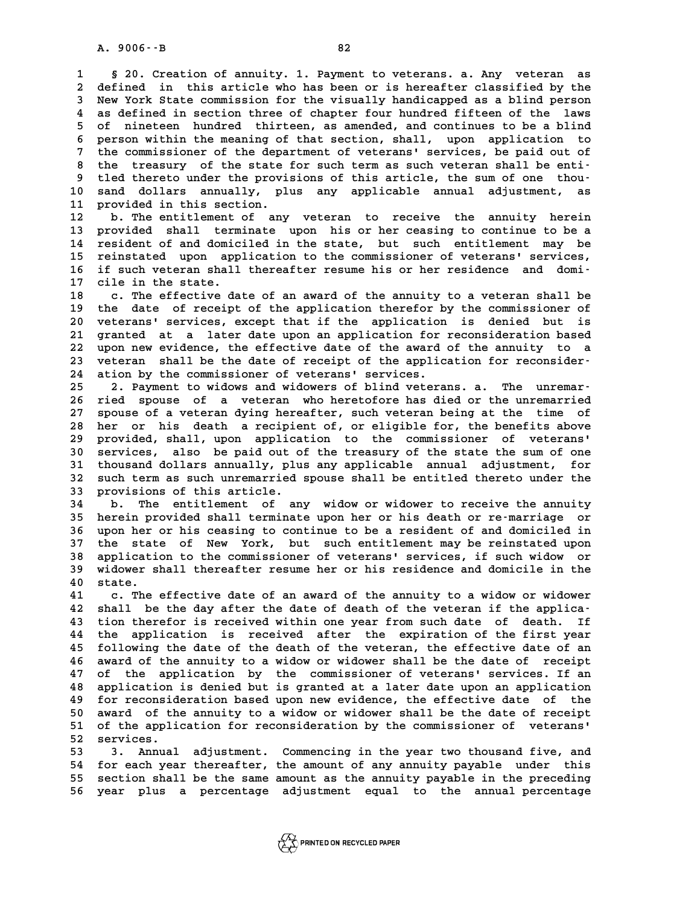**1 § 20. Creation of annuity. 1. Payment to veterans. a. Any veteran as 20. Creation of annuity. 1. Payment to veterans. a. Any veteran as<br>2 defined in this article who has been or is hereafter classified by the<br>3 New York State commission for the visually bandigapped as a blind person 8 20. Creation of annuity. 1. Payment to veterans. a. Any veteran as<br>
2 defined in this article who has been or is hereafter classified by the<br>
3 New York State commission for the visually handicapped as a blind person<br>
4** defined in this article who has been or is hereafter classified by the<br>3 New York State commission for the visually handicapped as a blind person<br>4 as defined in section three of chapter four hundred fifteen of the laws<br>5 **5 New York State commission for the visually handicapped as a blind person**<br>4 as defined in section three of chapter four hundred fifteen of the laws<br>5 of nineteen hundred thirteen, as amended, and continues to be a blind 4 as defined in section three of chapter four hundred fifteen of the laws<br>5 of nineteen hundred thirteen, as amended, and continues to be a blind<br>6 person within the meaning of that section, shall, upon application to<br><sup>7</sup> 5 of nineteen hundred thirteen, as amended, and continues to be a blind<br>6 person within the meaning of that section, shall, upon application to<br>7 the commissioner of the department of veterans' services, be paid out of<br><sup>8</sup> 6 person within the meaning of that section, shall, upon application to<br>
<sup>7</sup> the commissioner of the department of veterans' services, be paid out of<br>
<sup>8</sup> the treasury of the state for such term as such veteran shall be en 7 the commissioner of the department of veterans' services, be paid out of 8 the treasury of the state for such term as such veteran shall be enti-<br>9 tled thereto under the provisions of this article, the sum of one thou-<br> 8 the treasury of the state for such term as such veteran shall be enti-<br>9 tled thereto under the provisions of this article, the sum of one thou-<br>10 sand dollars annually, plus any applicable annual adjustment, as<br><sup>11</sup> pr 9 tled thereto under the provi<br>10 sand dollars annually, pl<br>11 provided in this section. 10 sand dollars annually, plus any applicable annual adjustment, as<br>11 provided in this section.<br>12 b. The entitlement of any veteran to receive the annuity herein<br>13 provided shall terminate upon his or her ceasing to con

11 provided in this section.<br>
12 b. The entitlement of any veteran to receive the annuity herein<br>
13 provided shall terminate upon his or her ceasing to continue to be a<br>
14 resident of and demiciled in the state, but such 12 b. The entitlement of any veteran to receive the annuity herein<br>13 provided shall terminate upon his or her ceasing to continue to be a<br>14 resident of and domiciled in the state, but such entitlement may be<br>15 reinstate 13 provided shall terminate upon his or her ceasing to continue to be a<br>14 resident of and domiciled in the state, but such entitlement may be<br>15 reinstated upon application to the commissioner of veterans' services,<br>16 if 14 resident of and domiciled in the state, but such entitlement may be<br>15 reinstated upon application to the commissioner of veterans' services,<br>16 if such veteran shall thereafter resume his or her residence and domi-<br>17 16 if such veteran shall thereafter resume his or her residence and domi-<br>17 cile in the state.<br>18 c. The effective date of an award of the annuity to a veteran shall be

**18 c. The effective date of an award of the annuity to a veteran shall be 19 the date of receipt of the application therefor by the commissioner of** 20 2. The effective date of an award of the annuity to a veteran shall be<br>19 the date of receipt of the application therefor by the commissioner of<br>20 veterans' services, except that if the application is denied but is<br>21 19 the date of receipt of the application therefor by the commissioner of<br>20 veterans' services, except that if the application is denied but is<br>21 granted at a later date upon an application for reconsideration based<br>22 u 20 veterans' services, except that if the application is denied but is<br>21 granted at a later date upon an application for reconsideration based<br>22 upon new evidence, the effective date of the award of the annuity to a<br>23 v 21 granted at a later date upon an application for reconsideration based<br>
22 upon new evidence, the effective date of the award of the annuity to a<br>
23 veteran shall be the date of receipt of the application for reconsider 22 upon new evidence, the effective date of the award<br>23 veteran shall be the date of receipt of the applic<br>24 ation by the commissioner of veterans' services.<br>25 a Payment to widows and widowsg of blind weters 23 veteran shall be the date of receipt of the application for reconsider-<br>
24 ation by the commissioner of veterans' services.<br>
25 2. Payment to widows and widowers of blind veterans. a. The unremarried<br>
26 ried spouse of

24 ation by the commissioner of veterans' services.<br>25 2. Payment to widows and widowers of blind veterans. a. The unremarried<br>26 ried spouse of a veteran who heretofore has died or the unremarried<br>27 spouse of a veteran d 25 2. Payment to widows and widowers of blind veterans. a. The unremar-<br>26 ried spouse of a veteran who heretofore has died or the unremarried<br>27 spouse of a veteran dying hereafter, such veteran being at the time of<br>28 he 26 ried spouse of a veteran who heretofore has died or the unremarried<br>27 spouse of a veteran dying hereafter, such veteran being at the time of<br>28 her or his death a recipient of, or eligible for, the benefits above<br>29 pr 27 spouse of a veteran dying hereafter, such veteran being at the time of<br>28 her or his death a recipient of, or eligible for, the benefits above<br>29 provided, shall, upon application to the commissioner of veterans'<br>20 ser 28 her or his death a recipient of, or eligible for, the benefits above<br>29 provided, shall, upon application to the commissioner of veterans'<br>30 services, also be paid out of the treasury of the state the sum of one<br>31 tho provided, shall, upon application to the commissioner of veterans'<br>30 services, also be paid out of the treasury of the state the sum of one<br>31 thousand dollars annually, plus any applicable annual adjustment, for<br>32 such 30 services, also be paid out of the treasury of the state the sum of one<br>31 thousand dollars annually, plus any applicable annual adjustment, for<br>32 such term as such unremarried spouse shall be entitled thereto under the 31 thousand dollars annually, plu<br>32 such term as such unremarried<br>33 provisions of this article.<br><sup>34</sup> h. The entitlement of any 32 such term as such unremarried spouse shall be entitled thereto under the<br>33 provisions of this article.<br>34 b. The entitlement of any widow or widower to receive the annuity

**33 provisions of this article.**<br> **34** b. The entitlement of any widow or widower to receive the annuity<br> **35 herein provided shall terminate upon her or his death or re-marriage or**<br> **36 upon ber or bis seesing to sentinu 34** b. The entitlement of any widow or widower to receive the annuity<br>35 herein provided shall terminate upon her or his death or re-marriage or<br>36 upon her or his ceasing to continue to be a resident of and domiciled in<br> 35 herein provided shall terminate upon her or his death or re-marriage or<br>36 upon her or his ceasing to continue to be a resident of and domiciled in<br>37 the state of New York, but such entitlement may be reinstated upon<br>2 **36 upon her or his ceasing to continue to be a resident of and domiciled in**<br>**37 the state of New York, but such entitlement may be reinstated upon<br><b>38 application to the commissioner of veterans' services, if such widow** 37 the state of New York, but such entitlement may be reinstated upon<br>38 application to the commissioner of veterans' services, if such widow or<br>39 widower shall thereafter resume her or his residence and domicile in the<br>4 38 applicati<br>39 widower s<br>40 state.<br>41 G The 40 state.<br>
40 state.<br>
41 c. The effective date of an award of the annuity to a widow or widower<br>
42 shall be the day after the date of death of the veteran if the applica-

**42 shall be the day after the date of death of the veteran if the applica-43 tion therefor is received within one year from such date of death. If** 42 shall be the day after the date of death of the veteran if the applica-<br>43 tion therefor is received within one year from such date of death. If<br>44 the application is received after the expiration of the first year<br>6. S 43 tion therefor is received within one year from such date of death. If<br>44 the application is received after the expiration of the first year<br>45 following the date of the death of the veteran, the effective date of an<br>46 44 the application is received after the expiration of the first year<br>45 following the date of the death of the veteran, the effective date of an<br>46 award of the annuity to a widow or widower shall be the date of receipt<br>4 45 following the date of the death of the veteran, the effective date of an<br>46 award of the annuity to a widow or widower shall be the date of receipt<br>47 of the application by the commissioner of veterans' services. If an<br> 46 award of the annuity to a widow or widower shall be the date of receipt<br>47 of the application by the commissioner of veterans' services. If an<br>48 application is denied but is granted at a later date upon an application<br> 47 of the application by the commissioner of veterans' services. If an<br>48 application is denied but is granted at a later date upon an application<br>49 for reconsideration based upon new evidence, the effective date of the<br>5 48 application is denied but is granted at a later date upon an application for reconsideration based upon new evidence, the effective date of the award of the annuity to a widow or widower shall be the date of receipt of 49 for reconsideration based upon new evidence, the effective date of the<br>50 award of the annuity to a widow or widower shall be the date of receipt<br>51 of the application for reconsideration by the commissioner of veterans 50 award of the 51 of the applitude 52 services.<br>
52 services.<br>
53 3 Appual 51 of the application for reconsideration by the commissioner of veterans'<br>52 services.<br>53 3. Annual adjustment. Commencing in the year two thousand five, and<br>54 for each year thereafter, the amount of any annuity payable,

52 services.<br>53 3. Annual adjustment. Commencing in the year two thousand five, and<br>54 for each year thereafter, the amount of any annuity payable under this<br>55 section shall be the same amount as the annuity payable in th **53 3. Annual adjustment.** Commencing in the year two thousand five, and<br> **54 for each year thereafter**, the amount of any annuity payable under this<br> **55 section shall be the same amount as the annuity payable in the prec** 54 for each year thereafter, the amount of any annuity payable under this<br>55 section shall be the same amount as the annuity payable in the preceding<br>56 year plus a percentage adjustment equal to the annual percentage

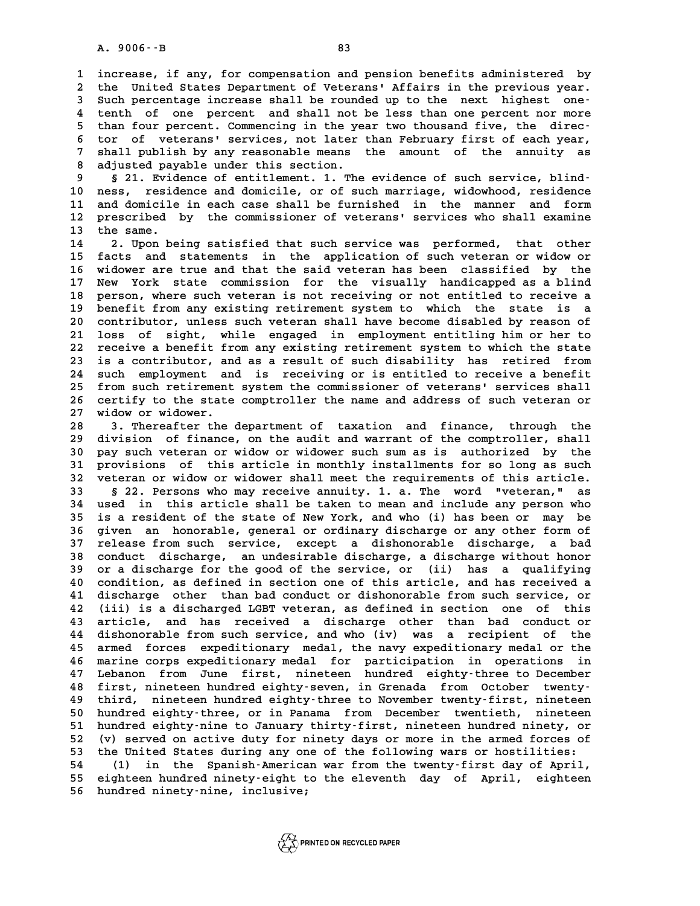**1 increase, if any, for compensation and pension benefits administered by 2** increase, if any, for compensation and pension benefits administered by<br>2 the United States Department of Veterans' Affairs in the previous year.<br>3 Such percentage increase shall be rounded up to the next bigbest one. 1 increase, if any, for compensation and pension benefits administered by<br>
2 the United States Department of Veterans' Affairs in the previous year.<br>
3 Such percentage increase shall be rounded up to the next highest one-<br> the United States Department of Veterans' Affairs in the previous year.<br>
3 Such percentage increase shall be rounded up to the next highest one-<br>
4 tenth of one percent and shall not be less than one percent nor more<br>
than 3 Such percentage increase shall be rounded up to the next highest one-<br>4 tenth of one percent and shall not be less than one percent nor more<br>5 than four percent. Commencing in the year two thousand five, the direc-<br>5 to 4 tenth of one percent and shall not be less than one percent nor more<br>5 than four percent. Commencing in the year two thousand five, the direc-<br>6 tor of veterans' services, not later than February first of each year,<br><sup>7</sup> 5 than four percent. Commencing in the year two thousand five, the director of veterans' services, not later than February first of each year, shall publish by any reasonable means the amount of the annuity as **8 tor of veterans' services, not later<br>
7 shall publish by any reasonable means<br>
8 adjusted payable under this section.**<br>
8 5 31 Fridonce of ontitlement 1 mbo 9 shall publish by any reasonable means the amount of the annuity as<br>
8 adjusted payable under this section.<br>
9 \$ 21. Evidence of entitlement. 1. The evidence of such service, blind-<br>
9 accs recidence and demigile or of su

10 adjusted payable under this section.<br>
10 s 21. Evidence of entitlement. 1. The evidence of such service, blind-<br>
10 ness, residence and domicile, or of such marriage, widowhood, residence<br>
11 and domicile in each gase s <sup>9</sup> § 21. Evidence of entitlement. 1. The evidence of such service, blind-<br>10 ness, residence and domicile, or of such marriage, widowhood, residence<br>11 and domicile in each case shall be furnished in the manner and form 10 ness, residence and domicile, or of such marriage, widowhood, residence<br>11 and domicile in each case shall be furnished in the manner and form<br>12 prescribed by the commissioner of veterans' services who shall examine<br><sup>1</sup> 11 and domicile in each case shall be furnished in the manner and form<br>12 prescribed by the commissioner of veterans' services who shall examine<br>13 the same.<br>2. Upon being satisfied that such service was performed, that ot 12 prescribed by the commissioner of veterans' services who shall examine<br>13 the same.<br>14 2. Upon being satisfied that such service was performed, that other<br>15 facts and statements in the application of such yeterap or wi

**13 the same.**<br>14 2. Upon being satisfied that such service was performed, that other<br>15 facts and statements in the application of such veteran or widow or<br>16 widows are two and that the said veterar has been classified b 15 facts and statements in the application of such veteran or widow or<br>16 widower are true and that the said veteran has been classified by the<br>17 New York state commission for the visually handicapped as a blind 15 facts and statements in the application of such veteran or widow or<br>16 widower are true and that the said veteran has been classified by the<br>17 New York state commission for the visually handicapped as a blind<br>18 person 16 widower are true and that the said veteran has been classified by the<br>17 New York state commission for the visually handicapped as a blind<br>18 person, where such veteran is not receiving or not entitled to receive a<br>heno 17 New York state commission for the visually handicapped as a blind<br>18 person, where such veteran is not receiving or not entitled to receive a<br>19 benefit from any existing retirement system to which the state is a<br>20 con 18 person, where such veteran is not receiving or not entitled to receive a<br>19 benefit from any existing retirement system to which the state is a<br>20 contributor, unless such veteran shall have become disabled by reason of **20** benefit from any existing retirement system to which the state is a<br>20 contributor, unless such veteran shall have become disabled by reason of<br>21 loss of sight, while engaged in employment entitling him or her to<br>22 20 contributor, unless such veteran shall have become disabled by reason of<br>21 loss of sight, while engaged in employment entitling him or her to<br>22 receive a benefit from any existing retirement system to which the state<br> 21 loss of sight, while engaged in employment entitling him or her to<br>22 receive a benefit from any existing retirement system to which the state<br>23 is a contributor, and as a result of such disability has retired from<br>24 22 receive a benefit from any existing retirement system to which the state<br>23 is a contributor, and as a result of such disability has retired from<br>24 such employment and is receiving or is entitled to receive a benefit<br>2 23 is a contributor, and as a result of such disability has retired from<br>24 such employment and is receiving or is entitled to receive a benefit<br>25 from such retirement system the commissioner of veterans' services shall<br>2 24 such employment and is receiving or is entitled to receive a benefit<br>25 from such retirement system the commissioner of veterans' services shall<br>26 certify to the state comptroller the name and address of such veteran o 25 from such retirement<br>26 certify to the state<br>27 widow or widower.<br>29 2 Thereafter the

**28 3. Thereafter the department of taxation and finance, through the** 27 widow or widower.<br>28 3. Thereafter the department of taxation and finance, through the<br>29 division of finance, on the audit and warrant of the comptroller, shall<br>20 november to the widow or widower such sum as is author 3. Thereafter the department of taxation and finance, through the<br>29 division of finance, on the audit and warrant of the comptroller, shall<br>30 pay such veteran or widow or widower such sum as is authorized by the<br>31 provi 29 division of finance, on the audit and warrant of the comptroller, shall<br>30 pay such veteran or widow or widower such sum as is authorized by the<br>31 provisions of this article in monthly installments for so long as such<br> **30 pay such veteran or widow or widower such sum as is authorized by the provisions of this article in monthly installments for so long as such veteran or widow or widower shall meet the requirements of this article.**<br>33 31 provisions of this article in monthly installments for so long as such<br>32 veteran or widow or widower shall meet the requirements of this article.<br>33 § 22. Persons who may receive annuity. 1. a. The word "veteran," as<br>3 **32** veteran or widow or widower shall meet the requirements of this article.<br> **33** § 22. Persons who may receive annuity. 1. a. The word "veteran," as<br>
34 used in this article shall be taken to mean and include any person 32 veteran or widow or widower shall meet the requirements of this article.<br> **33** \$ 22. Persons who may receive annuity. 1. a. The word "veteran," as<br>
34 used in this article shall be taken to mean and include any person w 34 used in this article shall be taken to mean and include any person who<br>35 is a resident of the state of New York, and who (i) has been or may be<br>36 given an honorable, general or ordinary discharge or any other form of<br> 35 is a resident of the state of New York, and who (i) has been or may be<br>36 given an honorable, general or ordinary discharge or any other form of<br>37 release from such service, except a dishonorable discharge, a bad<br>38 se 36 given an honorable, general or ordinary discharge or any other form of<br>37 release from such service, except a dishonorable discharge, a bad<br>38 conduct discharge, an undesirable discharge, a discharge without honor<br>29 cr **37 release from such service, except a dishonorable discharge, a bad**<br>38 conduct discharge, an undesirable discharge, a discharge without honor<br>39 or a discharge for the good of the service, or (ii) has a qualifying<br>40 co **40 conduct discharge, an undesirable discharge, a discharge without honor**<br>**40 condition, as defined in section one of this article, and has received a**<br>**41 discharge other than had conduct or dishoporable from such servi** 39 or a discharge for the good of the service, or (ii) has a qualifying 40 condition, as defined in section one of this article, and has received a discharge other than bad conduct or dishonorable from such service, or (ii **42 (iii) is a discharged LGBT veteran, as defined in section one of this 43 article, and has received a discharge other than bad conduct or 44 dishonorable from such service, and who (iv) was a recipient of the** 43 article, and has received a discharge other than bad conduct or<br>44 dishonorable from such service, and who (iv) was a recipient of the<br>45 armed forces expeditionary medal, the navy expeditionary medal or the<br>46 maries c **44 dishonorable from such service, and who (iv) was a recipient of the armed forces expeditionary medal, the navy expeditionary medal or the marine corps expeditionary medal for participation in operations in**<br>**46 marine** 45 armed forces expeditionary medal, the navy expeditionary medal or the<br>46 marine corps expeditionary medal for participation in operations in<br>47 Lebanon from June first, nineteen hundred eighty-three to December<br>6 first 46 marine corps expeditionary medal for participation in operations in<br>47 Lebanon from June first, nineteen hundred eighty-three to December<br>48 first, nineteen hundred eighty-seven, in Grenada from October twenty-<br>third, n **47 Lebanon from June first, nineteen hundred eighty-three to December<br>
<b>48 first, nineteen hundred eighty-seven, in Grenada from October twenty-**<br> **49 third, nineteen hundred eighty-three to November twenty-first, ninetee 50 first, nineteen hundred eighty-seven, in Grenada from October twenty**<br> **49 third, nineteen hundred eighty-three to November twenty-first, nineteen**<br> **50 hundred eighty-three, or in Panama from December twentieth, ninet 50 third, nineteen hundred eighty-three to November twenty-first, nineteen**<br>
50 hundred eighty-three, or in Panama from December twentieth, nineteen<br>
51 hundred eighty-nine to January thirty-first, nineteen hundred ninety 50 hundred eighty-three, or in Panama from December twentieth, nineteen<br>51 hundred eighty-nine to January thirty-first, nineteen hundred ninety, or<br>52 (v) served on active duty for ninety days or more in the armed forces o 51 hundred eighty-nine to January thirty-first, nineteen hundred ninety, or<br>52 (v) served on active duty for ninety days or more in the armed forces of<br>53 the United States during any one of the following wars or hostiliti 52 (v) served on active duty for ninety days or more in the armed forces of<br>53 the United States during any one of the following wars or hostilities:<br>54 (1) in the Spanish-American war from the twenty-first day of April,<br>5 53 the United States during any one of the following wars or hostilities:<br>54 (1) in the Spanish-American war from the twenty-first day of April,<br>55 eighteen hundred ninety-eight to the eleventh day of April, eighteen 55 eighteen hundred ninety-eight to the eleventh day of April, eighteen<br>56 hundred ninety-nine, inclusive;

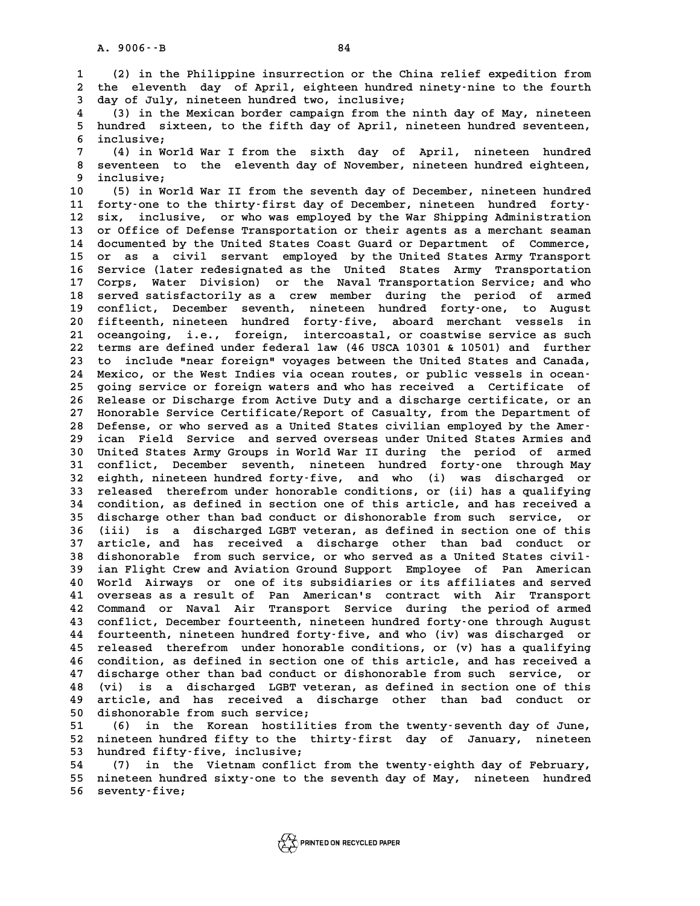**1 (2) in the Philippine insurrection or the China relief expedition from 2 the eleventh day of April, eighteen budget and relief expedition from**<br>2 the eleventh day of April, eighteen hundred ninety-nine to the fourth<br>3 day of July, pineteen hundred typ, inclusive; 1 (2) in the Philippine insurrection or the Chin<br>
2 the eleventh day of April, eighteen hundred n<br>
3 day of July, nineteen hundred two, inclusive;<br>
<sup>1</sup> (3) in the Mexican berder campaign from the pi 2 the eleventh day of April, eighteen hundred ninety-nine to the fourth<br>3 day of July, nineteen hundred two, inclusive;<br>4 (3) in the Mexican border campaign from the ninth day of May, nineteen<br>5 hundred givitary to the fif

**5 day of July, nineteen hundred two, inclusive;<br>4 (3) in the Mexican border campaign from the ninth day of May, nineteen,<br>5 hundred sixteen, to the fifth day of April, nineteen hundred seventeen,<br>5 inclusive.** day of July, nineteen hundred two, inclusive;<br>
4 (3) in the Mexican border campaign from the ninth day of May, nineteen<br>
5 hundred sixteen, to the fifth day of April, nineteen hundred seventeen,<br>
6 inclusive;<br>
4) in World 5 hundred sixteen, to the fifth day of April, nineteen hundred seventeen,<br>6 inclusive;<br>7 (4) in World War I from the sixth day of April, nineteen hundred<br>8 seventeen to the eleventh day of Nevember, pincteen hundred eighte

**8 inclusive;<br>7 (4) in World War I from the sixth day of April, nineteen hundred<br>8 seventeen to the eleventh day of November, nineteen hundred eighteen,<br>9 inclusive:** 8 seventeen to the eleventh day of November, nineteen hundred eighteen,<br>9 inclusive;<br>10 (5) in World War II from the seventh day of December, nineteen hundred 8 seventeen to the eleventh day of November, nineteen hundred eighteen,<br>
9 inclusive;<br>
10 (5) in World War II from the seventh day of December, nineteen hundred<br>
11 fortuone to the thirtu-first day of December, nineteen, h

<sup>1</sup> inclusive;<br>
10 (5) in World War II from the seventh day of December, nineteen hundred<br>
11 forty-one to the thirty-first day of December, nineteen hundred forty-<br>
<sup>12</sup> six inclusive or who was employed by the War Shinni **10** (5) in World War II from the seventh day of December, nineteen hundred<br>11 forty-one to the thirty-first day of December, nineteen hundred forty-<br>12 six, inclusive, or who was employed by the War Shipping Administratio 11 forty-one to the thirty-first day of December, nineteen hundred forty-<br>12 six, inclusive, or who was employed by the War Shipping Administration<br>13 or Office of Defense Transportation or their agents as a merchant seama **14 documented by the United States Coast Guard or Department of Commerce,** 13 or Office of Defense Transportation or their agents as a merchant seaman<br>14 documented by the United States Coast Guard or Department of Commerce,<br>15 or as a civil servant employed by the United States Army Transport<br>16 14 documented by the United States Coast Guard or Department of Commerce,<br>15 or as a civil servant employed by the United States Army Transport<br>16 Service (later redesignated as the United States Army Transportation<br>17 Cor 16 Service (later redesignated as the United States Army Transportation<br>17 Corps, Water Division) or the Naval Transportation Service; and who<br>18 served satisfactorily as a crew member during the period of armed 16 Service (later redesignated as the United States Army Transportation<br>17 Corps, Water Division) or the Naval Transportation Service; and who<br>18 served satisfactorily as a crew member during the period of armed<br>20 served 17 Corps, Water Division) or the Naval Transportation Service; and who<br>18 served satisfactorily as a crew member during the period of armed<br>19 conflict, December seventh, nineteen hundred forty-one, to August<br>20 fifteenth 18 served satisfactorily as a crew member during the period of armed<br>19 conflict, December seventh, nineteen hundred forty-one, to August<br>20 fifteenth, nineteen hundred forty-five, aboard merchant vessels in<br>21 coeargoing 20 conflict, December seventh, nineteen hundred forty-one, to August<br>20 fifteenth, nineteen hundred forty-five, aboard merchant vessels in<br>21 oceangoing, i.e., foreign, intercoastal, or coastwise service as such<br>22 terms a 20 fifteenth, nineteen hundred forty-five, aboard merchant vessels in<br>21 oceangoing, i.e., foreign, intercoastal, or coastwise service as such<br>22 terms are defined under federal law (46 USCA 10301 & 10501) and further<br>23 t 21 oceangoing, i.e., foreign, intercoastal, or coastwise service as such<br>22 terms are defined under federal law (46 USCA 10301 & 10501) and further<br>23 to include "near foreign" voyages between the United States and Canada, 22 terms are defined under federal law (46 USCA 10301 & 10501) and further<br>23 to include "near foreign" voyages between the United States and Canada,<br>24 Mexico, or the West Indies via ocean routes, or public vessels in oce 23 to include "near foreign" voyages between the United States and Canada,<br>24 Mexico, or the West Indies via ocean routes, or public vessels in ocean-<br>25 going service or foreign waters and who has received a Certificate o **24 Mexico, or the West Indies via ocean routes, or public vessels in ocean-**<br>25 going service or foreign waters and who has received a Certificate of<br>26 Release or Discharge from Active Duty and a discharge certificate, o **25 going service or foreign waters and who has received a Certificate of Release or Discharge from Active Duty and a discharge certificate, or an Honorable Service Certificate/Report of Casualty, from the Department of \** Release or Discharge from Active Duty and a discharge certificate, or an<br>27 Honorable Service Certificate/Report of Casualty, from the Department of<br>28 Defense, or who served as a United States civilian employed by the Ame 27 Honorable Service Certificate/Report of Casualty, from the Department of 28 Defense, or who served as a United States civilian employed by the American Field Service and served overseas under United States Armies and 30 **28 Defense, or who served as a United States civilian employed by the Amer-**<br>29 ican Field Service and served overseas under United States Armies and<br>30 United States Army Groups in World War II during the period of armed 29 ican Field Service and served overseas under United States Armies and<br>30 United States Army Groups in World War II during the period of armed<br>31 conflict, December seventh, nineteen hundred forty-one through May<br>22 cigh **30 United States Army Groups in World War II during the period of armed conflict, December seventh, nineteen hundred forty-one through May eighth, nineteen hundred forty-five, and who (i) was discharged or released theref** 31 conflict, December seventh, nineteen hundred forty-one through May<br>32 eighth, nineteen hundred forty-five, and who (i) was discharged or<br>33 released therefrom under honorable conditions, or (ii) has a qualifying<br>24 cond 32 eighth, nineteen hundred forty-five, and who (i) was discharged or released therefrom under honorable conditions, or (ii) has a qualifying condition, as defined in section one of this article, and has received a dischar 33 released therefrom under honorable conditions, or (ii) has a qualifying<br>34 condition, as defined in section one of this article, and has received a<br>35 discharge other than bad conduct or dishonorable from such service, 34 condition, as defined in section one of this article, and has received a<br>35 discharge other than bad conduct or dishonorable from such service, or<br>36 (iii) is a discharged LGBT veteran, as defined in section one of this 35 discharge other than bad conduct or dishonorable from such service, or<br>36 (iii) is a discharged LGBT veteran, as defined in section one of this<br>37 article, and has received a discharge other than bad conduct or<br>38 disba 36 (ii) is a discharged LGBT veteran, as defined in section one of this<br>37 article, and has received a discharge other than bad conduct or<br>38 dishonorable from such service, or who served as a United States civil-<br><sup>39</sup> ian **37 article, and has received a discharge other than bad conduct or dishonorable from such service, or who served as a United States civil-<br>39 ian Flight Crew and Aviation Ground Support Employee of Pan American<br>40 Morld A 40 Air Shonorable from such service, or who served as a United States civil-**<br>**40 World Airways or one of its subsidiaries or its affiliates and served**<br>**41 overseas as a result of Pan American's contract with Air Transpo** 39 ian Flight Crew and Aviation Ground Support Employee of Pan American<br>40 World Airways or one of its subsidiaries or its affiliates and served<br>41 overseas as a result of Pan American's contract with Air Transport<br>42 Comm 40 World Airways or one of its subsidiaries or its affiliates and served<br>41 overseas as a result of Pan American's contract with Air Transport<br>42 Command or Naval Air Transport Service during the period of armed<br>43 conflic 41 overseas as a result of Pan American's contract with Air Transport<br>42 Command or Naval Air Transport Service during the period of armed<br>43 conflict, December fourteenth, nineteen hundred forty-one through August<br>44 four 42 Command or Naval Air Transport Service during the period of armed<br>43 conflict, December fourteenth, nineteen hundred forty-one through August<br>44 fourteenth, nineteen hundred forty-five, and who (iv) was discharged or<br>15 43 conflict, December fourteenth, nineteen hundred forty-one through August<br>44 fourteenth, nineteen hundred forty-five, and who (iv) was discharged or<br>45 released therefrom under honorable conditions, or (v) has a qualifyi 44 fourteenth, nineteen hundred forty-five, and who (iv) was discharged or<br>45 released therefrom under honorable conditions, or (v) has a qualifying<br>46 condition, as defined in section one of this article, and has received **45 released therefrom under honorable conditions, or (v) has a qualifying<br>46 condition, as defined in section one of this article, and has received a<br>47 discharge other than bad conduct or dishonorable from such service, 46 condition, as defined in section one of this article, and has received a**<br>**47 discharge other than bad conduct or dishonorable from such service, or**<br>**48 (vi) is a discharged LGBT veteran, as defined in section one of** 47 discharge other than bad conduct or dishonorable from such service, or<br>48 (vi) is a discharged LGBT veteran, as defined in section one of this<br>49 article, and has received a discharge other than bad conduct or<br>50 disban (vi) is a discharged LGBT veteran, as defined in section one of this<br>49 article, and has received a discharge other than bad conduct or<br>50 dishonorable from such service;<br>51 (6) in the Korean hostilities from the twenty-se **50** article, and has received a discharge other than bad conduct or<br>
50 dishonorable from such service;<br>
51 (6) in the Korean hostilities from the twenty-seventh day of June,<br>
52 ninoteen hundred fifty to the thirty-first

50 dishonorable from such service;<br>51 (6) in the Korean hostilities from the twenty-seventh day of June,<br>52 nineteen hundred fifty to the thirty-first day of January, nineteen<br>53 hundred fifty-fire inclusive. 51 (6) in the Korean hostiliti<br>52 nineteen hundred fifty to the th<br>53 hundred fifty-five, inclusive;<br>54 (7) in the Wistnam conflict 52 nineteen hundred fifty to the thirty-first day of January, nineteen<br>53 hundred fifty-five, inclusive;<br>54 (7) in the Vietnam conflict from the twenty-eighth day of February,<br>55 nineteen hundred sixty-ene to the seventh d

53 hundred fifty-five, inclusive;<br>54 (7) in the Vietnam conflict from the twenty-eighth day of February,<br>55 nineteen hundred sixty-one to the seventh day of May, nineteen hundred<br>56 seventy-five; **56 seventy-five;**

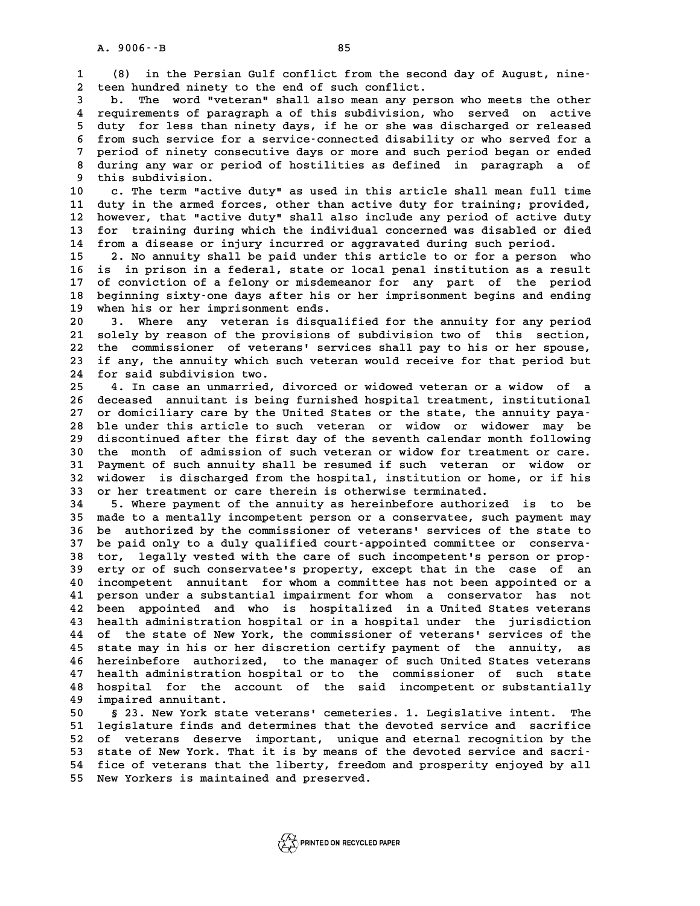A. 9006 - - B<br>
1 (8) in the Persian Gulf conflict from the second day of August, nine-<br>
<sup>2</sup> teen bundred pinety to the end of such conflict **2** (8) in the Persian Gulf conflict from the second<br>2 teen hundred ninety to the end of such conflict.<br>3 b. The word "veteran" shall also mean any person **3 b. The word is also in the Persian Sulf conflict from the second day of August, nine-**<br>**3** b. The word "veteran" shall also mean any person who meets the other<br>**4** requirements of paragraph a of this subdivision, who se

**4 requirements of paragraph a of this subdivision, who served on active 5 duty for less than 1 dependence in the set of paragraph a of this subdivision, who served on active**<br>5 duty for less than ninety days, if he or she was discharged or released<br>from quab convice for a convice connected di **6 from such service for a service-connected disability or who served on active**<br>**6 from such service for a service-connected disability or who served for a**<br>**6 from such service for a service-connected disability or who s** 5 duty for less than ninety days, if he or she was discharged or released<br>6 from such service for a service-connected disability or who served for a<br>7 period of ninety consecutive days or more and such period began or ende **8 from such service for a service-connected disability or who served for a**<br>**8 during any war or period of hostilities as defined in paragraph a of**<br>**8 this subdivision 9 period of ninety con<br>
8 during any war or pe<br>
9 this subdivision.**<br>
9 c. The term "active" 8 during any war or period of hostilities as defined in paragraph a of<br>
9 this subdivision.<br>
10 c. The term "active duty" as used in this article shall mean full time<br>
11 duty in the armed forces, other than active duty fo

<sup>9</sup> this subdivision.<br>
10 c. The term "active duty" as used in this article shall mean full time<br>
11 duty in the armed forces, other than active duty for training; provided,<br>
12 housing that "active duty" shall also includ 10 c. The term "active duty" as used in this article shall mean full time<br>11 duty in the armed forces, other than active duty for training; provided,<br>12 however, that "active duty" shall also include any period of active d 11 duty in the armed forces, other than active duty for training; provided, however, that "active duty" shall also include any period of active duty for training during which the individual concerned was disabled or died 1 12 however, that "active duty" shall also include any period of active du<br>13 for training during which the individual concerned was disabled or di<br>14 from a disease or injury incurred or aggravated during such period.<br>15 2 13 for training during which the individual concerned was disabled or died<br>14 from a disease or injury incurred or aggravated during such period.<br>15 2. No annuity shall be paid under this article to or for a person who<br>16

15 2. No annuity shall be paid under this article to or for a person who<br>16 is in prison in a federal, state or local penal institution as a result<br>17 of conviction of a felony or misdemeanor for any part of the period 15 2. No annuity shall be paid under this article to or for a person who<br>16 is in prison in a federal, state or local penal institution as a result<br>17 of conviction of a felony or misdemeanor for any part of the period<br>beg 16 is in prison in a federal, state or local penal institution as a result<br>17 of conviction of a felony or misdemeanor for any part of the period<br>18 beginning sixty-one days after his or her imprisonment begins and ending<br> 17 of conviction of a felony or misdemeand 18 beginning sixty-one days after his or<br>19 when his or her imprisonment ends.<br>20 a where any upterar is discupling 18 beginning sixty-one days after his or her imprisonment begins and ending<br>19 when his or her imprisonment ends.<br>20 3. Where any veteran is disqualified for the annuity for any period<br>21 solely by reason of the provisions

**21 solely by reason of the provisions of subdivision two of this section,** 20 3. Where any veteran is disqualified for the annuity for any period<br>21 solely by reason of the provisions of subdivision two of this section,<br>22 the commissioner of veterans' services shall pay to his or her spouse,<br><sup>23</sup> 21 solely by reason of the provisions of subdivision two of this section,<br>22 the commissioner of veterans' services shall pay to his or her spouse,<br>23 if any, the annuity which such veteran would receive for that period bu 22 the commissioner of vetera:<br>23 if any, the annuity which su<br>24 for said subdivision two. 23 if any, the annuity which such veteran would receive for that period but<br>24 for said subdivision two.<br>25 4. In case an unmarried, divorced or widowed veteran or a widow of a<br>26 deceaed annuitant is being furnished begui

**24 for said subdivision two.**<br>25 4. In case an unmarried, divorced or widowed veteran or a widow of a<br>26 deceased annuitant is being furnished hospital treatment, institutional<br>27 or demigiliary gare by the United States 25 4. In case an unmarried, divorced or widowed veteran or a widow of a<br>26 deceased annuitant is being furnished hospital treatment, institutional<br>27 or domiciliary care by the United States or the state, the annuity paya-26 deceased annuitant is being furnished hospital treatment, institutional<br>27 or domiciliary care by the United States or the state, the annuity paya-<br>28 ble under this article to such veteran or widow or widower may be<br>29 27 or domiciliary care by the United States or the state, the annuity paya-<br>28 ble under this article to such veteran or widow or widower may be<br>29 discontinued after the first day of the seventh calendar month following<br>2 ble under this article to such veteran or widow or widower may be<br>29 discontinued after the first day of the seventh calendar month following<br>30 the month of admission of such veteran or widow for treatment or care.<br><sup>31</sup> P 29 discontinued after the first day of the seventh calendar month following<br>30 the month of admission of such veteran or widow for treatment or care.<br>31 Payment of such annuity shall be resumed if such veteran or widow or<br> 30 the month of admission of such veteran or widow for treatment or care.<br>31 Payment of such annuity shall be resumed if such veteran or widow or<br>32 widower is discharged from the hospital, institution or home, or if his<br>3 31 Payment of such annuity shall be resumed if such veteran o<br>32 widower is discharged from the hospital, institution or hom<br>33 or her treatment or care therein is otherwise terminated.<br><sup>34</sup> 5 Whore payment of the annuity 32 widower is discharged from the hospital, institution or home, or if his<br>33 or her treatment or care therein is otherwise terminated.<br>34 5. Where payment of the annuity as hereinbefore authorized is to be<br>35 made to a me

33 or her treatment or care therein is otherwise terminated.<br>34 5. Where payment of the annuity as hereinbefore authorized is to be<br>35 made to a mentally incompetent person or a conservatee, such payment may<br>36 he authoriz 5. Where payment of the annuity as hereinbefore authorized is to be<br>35 made to a mentally incompetent person or a conservatee, such payment may<br>36 be authorized by the commissioner of veterans' services of the state to<br><sup>37</sup> 35 made to a mentally incompetent person or a conservatee, such payment may<br>36 be authorized by the commissioner of veterans' services of the state to<br>37 be paid only to a duly qualified court-appointed committee or conser 36 be authorized by the commissioner of veterans' services of the state to 37 be paid only to a duly qualified court-appointed committee or conserva-<br>38 tor, legally vested with the care of such incompetent's person or pro 37 be paid only to a duly qualified court-appointed committee or conserva-<br>38 tor, legally vested with the care of such incompetent's person or prop-<br>39 erty or of such conservatee's property, except that in the case of an **40 incompetent and incompetent and incompetent annuitant for whom a committee has not been appointed or a**<br>**40 incompetent annuitant for whom a committee has not been appointed or a**<br>**41 person under a substantial impairm 41 person under a substantial impairment for whom a conservator has not** 40 incompetent annuitant for whom a committee has not been appointed or a<br>41 person under a substantial impairment for whom a conservator has not<br>42 been appointed and who is hospitalized in a United States veterans<br>health 41 person under a substantial impairment for whom a conservator has not<br>42 been appointed and who is hospitalized in a United States veterans<br>43 health administration hospital or in a hospital under the jurisdiction<br>44 of **42 been appointed and who is hospitalized in a United States veterans**<br>**43 health administration hospital or in a hospital under the jurisdiction**<br>**44 of the state of New York, the commissioner of veterans' services of th** 43 health administration hospital or in a hospital under the jurisdiction<br>44 of the state of New York, the commissioner of veterans' services of the<br>45 state may in his or her discretion certify payment of the annuity, as<br> 44 of the state of New York, the commissioner of veterans' services of the<br>45 state may in his or her discretion certify payment of the annuity, as<br>46 hereinbefore authorized, to the manager of such United States veterans<br> 45 state may in his or her discretion certify payment of the annuity, as<br>46 hereinbefore authorized, to the manager of such United States veterans<br>47 health administration hospital or to the commissioner of such state 46 hereinbefore authorized, to the manager of such United States veterans<br>47 health administration hospital or to the commissioner of such state<br>48 hospital for the account of the said incompetent or substantially<br><sup>49</sup> imp 47 health administration 148 hospital for the action of the set of the set of the set of the set of the set of the set of the set of the set of the set of the set of the set of the set of the set of the set of the set of t **50 § 23. New York state veterans' cemeteries. 1. Legislative intent. The**

**50** impaired annuitant.<br>
50 § 23. New York state veterans' cemeteries. 1. Legislative intent. The<br>
51 legislature finds and determines that the devoted service and sacrifice<br>
52 of uptorang deserve important unique and st 50 <sup>5</sup> 32. New York state veterans' cemeteries. 1. Legislative intent. The<br>51 legislature finds and determines that the devoted service and sacrifice<br>52 of veterans deserve important, unique and eternal recognition by the<br> 51 legislature finds and determines that the devoted service and sacrifice<br>
52 of veterans deserve important, unique and eternal recognition by the<br>
53 state of New York. That it is by means of the devoted service and sacr 52 of veterans deserve important, unique and eternal recognition by the<br>53 state of New York. That it is by means of the devoted service and sacri-<br>54 fice of veterans that the liberty, freedom and prosperity enjoyed by al 52 of veterans deserve important, unique and eternal recognition by the<br>53 state of New York. That it is by means of the devoted service and sacri-<br>54 fice of veterans that the liberty, freedom and prosperity enjoyed by al

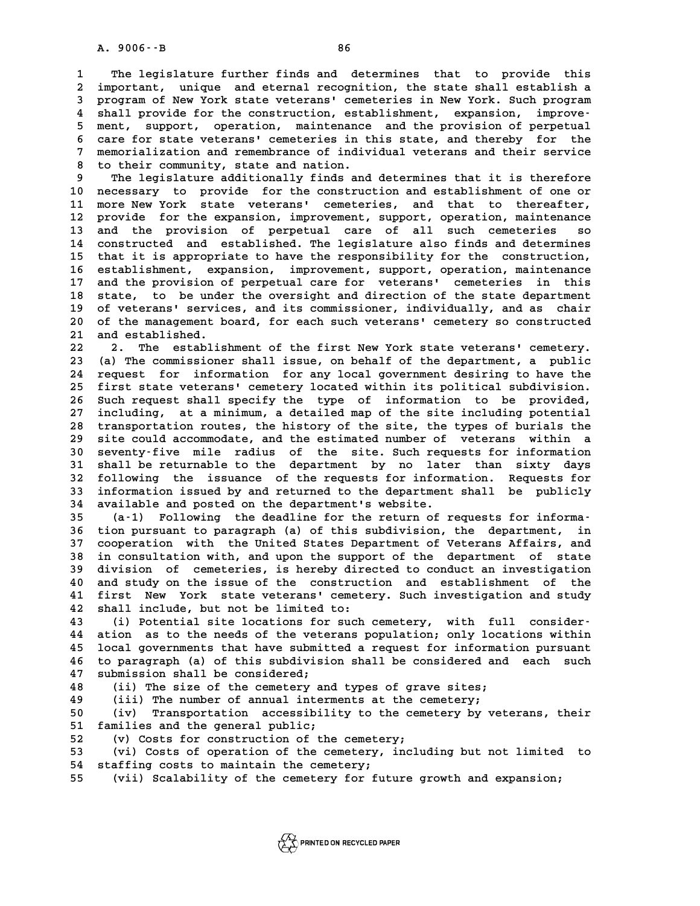**1 The legislature further finds and determines that to provide this 2** The legislature further finds and determines that to provide this<br>2 important, unique and eternal recognition, the state shall establish a<br>3 program of New York state veterans! cemeteries in New York, Such program The legislature further finds and determines that to provide this<br>2 important, unique and eternal recognition, the state shall establish a<br>3 program of New York state veterans' cemeteries in New York. Such program<br>4 shall 2 important, unique and eternal recognition, the state shall establish a<br>3 program of New York state veterans' cemeteries in New York. Such program<br>4 shall provide for the construction, establishment, expansion, improve-<br>5 **5 program of New York state veterans' cemeteries in New York. Such program**<br>4 shall provide for the construction, establishment, expansion, improve-<br>5 ment, support, operation, maintenance and the provision of perpetual<br>5 **6** shall provide for the construction, establishment, expansion, improve-<br>
5 ment, support, operation, maintenance and the provision of perpetual<br>
6 care for state veterans' cemeteries in this state, and thereby for the<br> 5 ment, support, operation, maintenance and the provision of perpetual<br>6 care for state veterans' cemeteries in this state, and thereby for the<br>7 memorialization and remembrance of individual veterans and their service<br>10 8 ment, support, operation, maintenance and the provision of perpetual<br>6 care for state veterans' cemeteries in this state, and thereby for the<br>7 memorialization and remembrance of individual veterans and their service<br>8 t **9 The Same The Legislation and remembrance of individual veterans and their service<br>
8 to their community, state and nation.<br>
9 The legislature additionally finds and determines that it is therefore<br>
8 The construction an** 

**10 necessary to provide for the construction and establishment of one or 11 more New York state veterans' cemeteries, and that to thereafter,** 10 necessary to provide for the construction and establishment of one or<br>11 more New York state veterans' cemeteries, and that to thereafter,<br>12 provide for the expansion, improvement, support, operation, maintenance<br><sup>13 a</sup> 11 more New York state veterans' cemeteries, and that to thereafter,<br>12 provide for the expansion, improvement, support, operation, maintenance<br>13 and the provision of perpetual care of all such cemeteries so<br>14 centrusted 12 provide for the expansion, improvement, support, operation, maintenance<br>13 and the provision of perpetual care of all such cemeteries so<br>14 constructed and established. The legislature also finds and determines<br>15 that 13 and the provision of perpetual care of all such cemeteries so<br>14 constructed and established. The legislature also finds and determines<br>15 that it is appropriate to have the responsibility for the construction,<br>16 estab 14 constructed and established. The legislature also finds and determines<br>15 that it is appropriate to have the responsibility for the construction,<br>16 establishment, expansion, improvement, support, operation, maintenance that it is appropriate to have the responsibility for the construction,<br>16 establishment, expansion, improvement, support, operation, maintenance<br>17 and the provision of perpetual care for veterans' cemeteries in this<br>18 s 16 establishment, expansion, improvement, support, operation, maintenance<br>17 and the provision of perpetual care for veterans' cemeteries in this<br>18 state, to be under the oversight and direction of the state department<br>19 17 and the provision of perpetual care for veterans' cemeteries in this<br>18 state, to be under the oversight and direction of the state department<br>19 of veterans' services, and its commissioner, individually, and as chair<br>2 18 state, to be under the oversight and direction of the state department<br>19 of veterans' services, and its commissioner, individually, and as chair<br>20 of the management board, for each such veterans' cemetery so construct 19 of veterans' services, and its commissioner, individually, and as chair<br>20 of the management board, for each such veterans' cemetery so constructed<br>21 and established.<br>22 2. The establishment of the first New York state

**22 2. The establishment of the first New York state veterans' cemetery.** 21 and established.<br>22 2. The establishment of the first New York state veterans' cemetery.<br>23 (a) The commissioner shall issue, on behalf of the department, a public<br>24 request for information for any logal government deg 22 2. The establishment of the first New York state veterans' cemetery.<br>
23 (a) The commissioner shall issue, on behalf of the department, a public<br>
24 request for information for any local government desiring to have the<br> 23 (a) The commissioner shall issue, on behalf of the department, a public<br>24 request for information for any local government desiring to have the<br>25 first state veterans' cemetery located within its political subdivision 24 request for information for any local government desiring to have the<br>25 first state veterans' cemetery located within its political subdivision.<br>26 Such request shall specify the type of information to be provided,<br>27 25 first state veterans' cemetery located within its political subdivision.<br>26 Such request shall specify the type of information to be provided,<br>27 including, at a minimum, a detailed map of the site including potential<br>1 26 Such request shall specify the type of information to be provided,<br>27 including, at a minimum, a detailed map of the site including potential<br>28 transportation routes, the history of the site, the types of burials the<br>2 27 including, at a minimum, a detailed map of the site including potential<br>28 transportation routes, the history of the site, the types of burials the<br>29 site could accommodate, and the estimated number of veterans within 28 transportation routes, the history of the site, the types of burials the<br>29 site could accommodate, and the estimated number of veterans within a<br>30 seventy-five mile radius of the site. Such requests for information<br>31 30 site could accommodate, and the estimated number of veterans within a<br>30 seventy-five mile radius of the site. Such requests for information<br>31 shall be returnable to the department by no later than sixty days<br><sup>32</sup> foll 30 seventy-five mile radius of the site. Such requests for information<br>31 shall be returnable to the department by no later than sixty days<br>32 following the issuance of the requests for information. Requests for<br>informatio 31 shall be returnable to the department by no later than sixty days<br>32 following the issuance of the requests for information. Requests for<br>33 information issued by and returned to the department shall be publicly<br>34 avai 32 following the issuance of the requests for information. Requests for<br>33 information issued by and returned to the department shall be publicly<br>34 available and posted on the department's website.<br>35 (a-1) Following the

**35 (a-1) Following the deadline for the return of requests for informa-34 available and posted on the department's website.**<br> **35** (a-1) Following the deadline for the return of requests for informa-<br> **36** tion pursuant to paragraph (a) of this subdivision, the department, in<br> **37** decongrat **35** (a-1) Following the deadline for the return of requests for informa-<br>36 tion pursuant to paragraph (a) of this subdivision, the department, in<br>37 cooperation with the United States Department of Veterans Affairs, and<br> 36 tion pursuant to paragraph (a) of this subdivision, the department, in<br>37 cooperation with the United States Department of Veterans Affairs, and<br>38 in consultation with, and upon the support of the department of state<br>3 37 cooperation with the United States Department of Veterans Affairs, and<br>38 in consultation with, and upon the support of the department of state<br>39 division of cemeteries, is hereby directed to conduct an investigation<br>2 **40 38 in consultation with, and upon the support of the department of state**<br>**40 and study on the issue of the construction and establishment of the**<br>**41 first New York state veterans! cometery** Such investigation and stu **41 division of cemeteries, is hereby directed to conduct an investigation**<br> **40 and study on the issue of the construction and establishment of the**<br> **41 first New York state veterans' cemetery.** Such investigation and st 40 and study on the issue of the construct<br>41 first New York state veterans' cemete<br>42 shall include, but not be limited to:<br>43 (i) Potential site locations for such 41 first New York state veterans' cemetery. Such investigation and study<br>
42 shall include, but not be limited to:<br>
43 (i) Potential site locations for such cemetery, with full consider-<br>
44 ation as to the needs of the ve

42 shall include, but not be limited to:<br>43 (i) Potential site locations for such cemetery, with full consider-<br>44 ation as to the needs of the veterans population; only locations within **43** (i) Potential site locations for such cemetery, with full consider-<br>44 ation as to the needs of the veterans population; only locations within<br>45 local governments that have submitted a request for information pursuan 44 ation as to the needs of the veterans population; only locations within<br>45 local governments that have submitted a request for information pursuant<br>46 to paragraph (a) of this subdivision shall be considered and each su 45 local governments that have submitted a request for information pursuant<br>46 to paragraph (a) of this subdivision shall be considered and each such<br>47 submission shall be considered;<br>48 (ii) The size of the cemetery and 46 to paragraph (a) of this subdivision shall be considered and<br>47 submission shall be considered;<br>48 (ii) The size of the cemetery and types of grave sites;<br>(iii) The number of annual interports at the cemetery; **47 submission shall be considered;<br>
48 (ii) The size of the cemetery and types of grave sites;<br>
49 (iii) The number of annual interments at the cemetery;<br>
50 (ii) Transportation aggossibility to the cemetery by Ve** 

**50 (ii)** The size of the cemetery and types of grave sites;<br> **50 (iv)** Transportation accessibility to the cemetery by veterans, their<br> **51** families and the seperal public: 49 (iii) The number of annual interm<br>50 (iv) Transportation accessibili<br>51 families and the general public;<br>52 (i) Costs for sonstruction of the 50 (iv) Transportation accessibility to the cem<br>51 families and the general public;<br>52 (v) Costs for construction of the cemetery;<br><sup>53</sup> (vi) Costs of operation of the cemetery inclu-

51 families and the general public;<br>52 (v) Costs for construction of the cemetery;<br>53 (vi) Costs of operation of the cemetery, including but not limited to<br>54 staffing easts to maintain the comptonu 52 (v) Costs for construction of the cemeter<br>53 (vi) Costs of operation of the cemetery,<br>54 staffing costs to maintain the cemetery;<br><sup>55</sup> (vii) Soalability of the comptony for fut: 53 (vi) Costs of operation of the cemetery, including but not limited<br>54 staffing costs to maintain the cemetery;<br>55 (vii) Scalability of the cemetery for future growth and expansion;

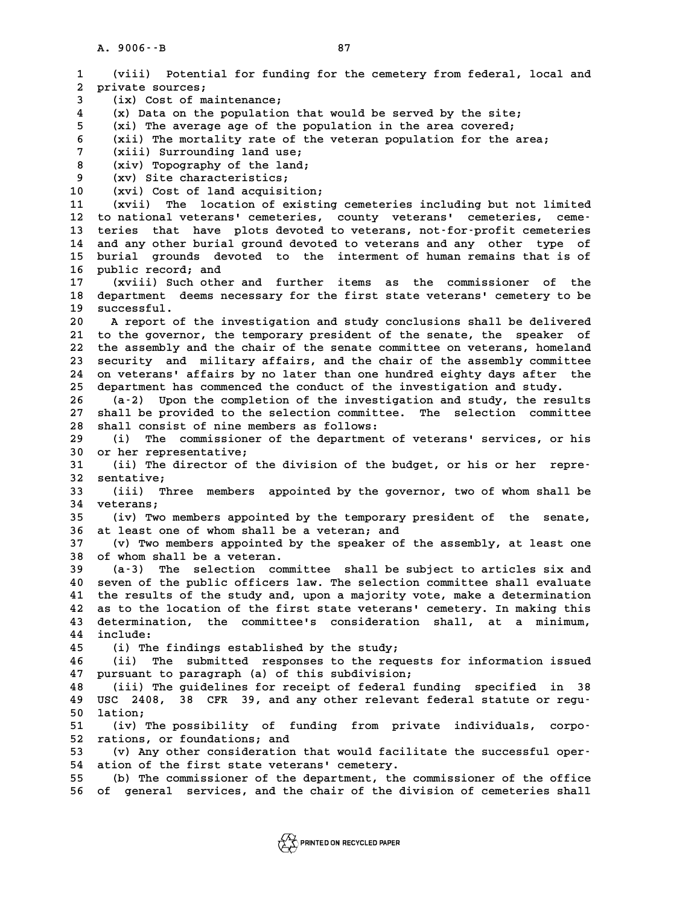**1 (viii) Potential for funding for the cemetery from federal, local and 2** (viii) Potential<br>2 private sources;<br><sup>3</sup> (ix) Cost of main **3** (viii) Potential for fundiner<br> **3** (ix) Cost of maintenance;<br> **3** (v) Data on the population times 2 private sources;<br>3 (ix) Cost of maintenance;<br>4 (x) Data on the population that would be served by the site;<br>5 (yi) The average age of the population in the area sovered. **5** (ix) Cost of maintenance;<br> **4** (x) Data on the population that would be served by the site;<br> **5** (xi) The average age of the population in the area covered;<br> **6** (yii) The mortality rate of the yeterar population for t **(x)** Data on the population that would be served by the site;<br> **6** (xii) The mortality rate of the veteran population for the area;<br> **6** (xii) Surrounding land use: **7** (xi) The average age of the pop<br> **6** (xii) The mortality rate of the<br> **7** (xiii) Surrounding land use;<br>
(yiii) monography of the land. **8 (xii) The mortality rate of the (xiii) Surrounding land use;<br>
<b>8 (xiv) Topography of the land;**<br> **8** (xiv) Site gharacteristics: 7 (xii) Surrounding land use;<br>8 (xiv) Topography of the land;<br>9 (xv) Site characteristics;<br>10 (xvi) Cost of land acquisitio **10 (xvi) Cost of land acquisition; 10 (xv) Site characteristics;<br>
10 (xvi) Cost of land acquisition;<br>
11 (xvii) The location of existing cemeteries including but not limited<br>
12 to pational uptorangl comptories county uptorangly comptories comp.** 10 (xvi) Cost of land acquisition;<br>11 (xvii) The location of existing cemeteries including but not limited<br>12 to national veterans' cemeteries, county veterans' cemeteries, ceme-<br>13 teries that have plots devoted to vetera 11 (xvii) The location of existing cemeteries including but not limited<br>12 to national veterans' cemeteries, county veterans' cemeteries, ceme-<br>13 teries that have plots devoted to veterans, not-for-profit cemeteries<br>14 an 12 to national veterans' cemeteries, county veterans' cemeteries, ceme-<br>13 teries that have plots devoted to veterans, not-for-profit cemeteries<br>14 and any other burial ground devoted to veterans and any other type of<br>15 b 13 teries that have plots devoted to veterans, not-for-profit cemeteries<br>14 and any other burial ground devoted to veterans and any other type of<br>15 burial grounds devoted to the interment of human remains that is of<br>16 pu 14 and any other burial ground devoted to veterans and any other type of<br>15 burial grounds devoted to the interment of human remains that is of<br>16 public record; and<br>17 (xviii) Such other and further items as the commissio **17 (xviii) Such other and further items as the commissioner of the** 16 public record; and<br>17 (xviii) Such other and further items as the commissioner of the<br>18 department deems necessary for the first state veterans' cemetery to be<br>19 suggessful 17 (xviii) Such<br>18 department de<br>19 successful.<br><sup>20</sup> a report of 18 department deems necessary for the first state veterans' cemetery to be<br>19 successful.<br>20 A report of the investigation and study conclusions shall be delivered<br>21 to the covernor, the temporary president of the senate, 20 a report of the investigation and study conclusions shall be delivered<br>21 to the governor, the temporary president of the senate, the speaker of<br>22 the assembly and the chair of the senate committee on veterans, homelan A report of the investigation and study conclusions shall be delivered<br>21 to the governor, the temporary president of the senate, the speaker of<br>22 the assembly and the chair of the senate committee on veterans, homeland<br>2 21 to the governor, the temporary president of the senate, the speaker of<br>22 the assembly and the chair of the senate committee on veterans, homeland<br>23 security and military affairs, and the chair of the assembly committe 22 the assembly and the chair of the senate committee on veterans, homeland<br>23 security and military affairs, and the chair of the assembly committee<br>24 on veterans' affairs by no later than one hundred eighty days after t 23 security and military affairs, and the chair of the assembly committee<br>24 on veterans' affairs by no later than one hundred eighty days after the<br>25 department has commenced the conduct of the investigation and study.<br>2 **26 (a-2) Upon the completion of the investigation and study, the results 27 shall be provided to the selection committee. The selection committee** 26 (a-2) Upon the completion of the investig<br>27 shall be provided to the selection committee<br>28 shall consist of nine members as follows:<br><sup>29</sup> (i) The commissioner of the department of 27 shall be provided to the selection committee. The selection committee<br>28 shall consist of nine members as follows:<br>(i) The commissioner of the department of veterans' services, or his<br>20 or her representative. 28 shall consist of nine mem<sup>29</sup> (i) The commissioner<br>30 or her representative;<br><sup>31</sup> (ii) The director of the (i) The commissioner of the department of veterans' services, or his<br>
30 or her representative;<br>
31 (ii) The director of the division of the budget, or his or her repre-<br>
<sup>32</sup> Sontative: 30 or her representative;<br>31 (ii) The director of the division of the budget, or his or her repre-<br>32 sentative;<br>33 (iii) Three members appointed by the governor, two of whom shall be 31 (ii) The director of the division of the budget, or his or her repre-<br>32 sentative;<br>(iii) Three members appointed by the governor, two of whom shall be<br>34 veterans; 32 sentative;<br>33 (iii) T<br>34 veterans;<br>35 (iv) Two **33** (ii) Three members appointed by the governor, two of whom shall be<br>34 veterans;<br>(iv) Two members appointed by the temporary president of the senate,<br>36 at least and of rham shall be a ustanary and 34 veterans;<br>35 (iv) Two members appointed by the temporary p<br>36 at least one of whom shall be a veteran; and<br><sup>37</sup> (i) Two members appointed by the speaker of ti (iv) Two members appointed by the temporary president of the senate,<br>36 at least one of whom shall be a veteran; and<br>37 (v) Two members appointed by the speaker of the assembly, at least one<br>38 of them shall be a unional 36 at least one of whom shall be a veteran; and<br>37 (v) Two members appointed by the speaker of the assembly, at least one<br>38 of whom shall be a veteran.<br>39 (a-3) The selection committee shall be subject to articles six and **37** (v) Two members appointed by the speaker of the assembly, at least one<br>38 of whom shall be a veteran.<br>39 (a-3) The selection committee shall be subject to articles six and<br>40 source of the public officers law The sele **40 38 of whom shall be a veteran.**<br> **40 seven of the public officers law. The selection committee shall evaluate**<br> **40 seven of the public officers law. The selection committee shall evaluate**<br> **41 the results of the stud 41 (a-3)** The selection committee shall be subject to articles six and<br> **40 seven of the public officers law.** The selection committee shall evaluate<br> **41** the results of the study and, upon a majority vote, make a determ 40 seven of the public officers law. The selection committee shall evaluate<br>41 the results of the study and, upon a majority vote, make a determination<br>42 as to the location of the first state veterans' cemetery. In making 41 the results of the study and, upon a majority vote, make a determination<br>42 as to the location of the first state veterans' cemetery. In making this<br>43 determination, the committee's consideration shall, at a minimum, 42 as to the location of the first state veterans' cemetery. In making this<br>43 determination, the committee's consideration shall, at a minimum,<br>44 include:<br>(i) The findings established by the study; 43 determination, the committee's consideration shall, at a minimum,<br>44 include:<br>(i) The findings established by the study;<br>46 (ii) The submitted responses to the requests for information issued **46 (ii) The submitted responses to the requests for information issued 47 pursuant to paragraph (a) of this subdivision; 48 (iii) The guidelines for receipt of federal funding specified in 38** 47 pursuant to paragraph (a) of this subdivision;<br>48 (iii) The guidelines for receipt of federal funding specified in 38<br>49 USC 2408, 38 CFR 39, and any other relevant federal statute or regu-<br>50 lation: **48** (iii) Th<br>**49** USC 2408,<br>50 lation;<br>51 (iv) The 49 USC 2408, 38 CFR 39, and any other relevant federal statute or regu-<br>50 lation;<br>51 (iv) The possibility of funding from private individuals, corpo-<br>52 rations or foundations: and **50 lation;<br>
51 (iv) The possibility of fun-**<br> **52 rations, or foundations; and**<br> **53** (v) Any other consideration times 51 (iv) The possibility of funding from private individuals, corpo-<br>
52 rations, or foundations; and<br>
53 (v) Any other consideration that would facilitate the successful oper-<br>
54 ation of the first state uptorangl comptor 52 rations, or foundations; and<br>
53 (v) Any other consideration that would facilitate the successful oper-<br>
54 ation of the first state veterans' cemetery.<br>
55 (b) The commissioner of the department, the commissioner of th **55 (b) The commissioner of the department, the commissioner of the office 56 of general services, and the chair of the division of cemeteries shall**

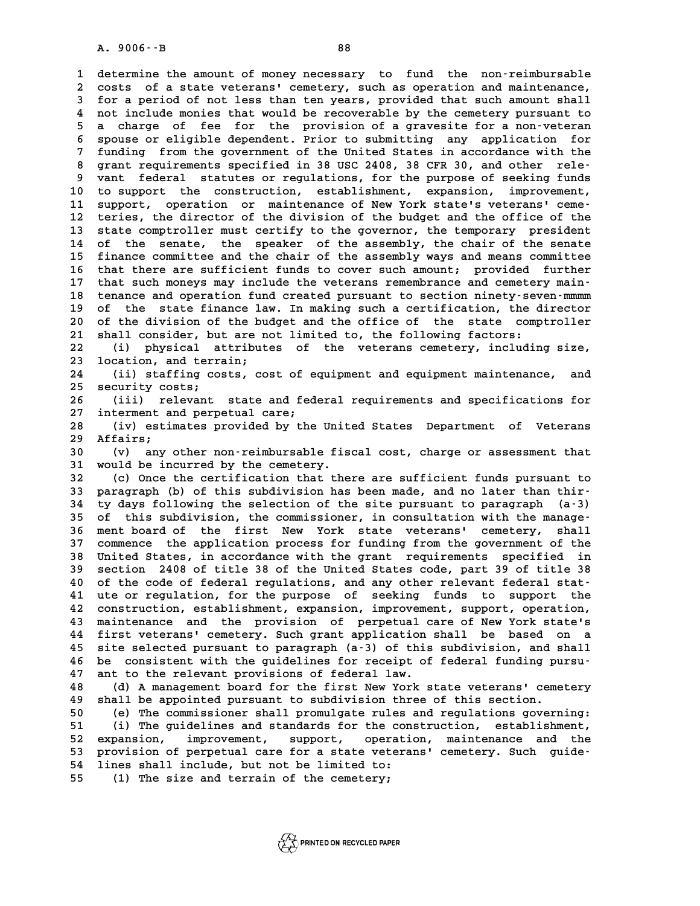**A. 9006--B 88**

**1 determine the amount of money necessary to fund the non-reimbursable** 1 determine the amount of money necessary to fund the non-reimbursable<br>2 costs of a state veterans' cemetery, such as operation and maintenance,<br>3 for a period of not less than ten vears, provided that such amount shall 1 determine the amount of money necessary to fund the non-reimbursable<br>2 costs of a state veterans' cemetery, such as operation and maintenance,<br>3 for a period of not less than ten years, provided that such amount shall<br>2 2 costs of a state veterans' cemetery, such as operation and maintenance,<br>3 for a period of not less than ten years, provided that such amount shall<br>4 not include monies that would be recoverable by the cemetery pursuant t 5 for a period of not less than ten years, provided that such amount shall<br>4 not include monies that would be recoverable by the cemetery pursuant to<br>5 a charge of fee for the provision of a gravesite for a non-veteran<br>5 a 4 not include monies that would be recoverable by the cemetery pursuant to<br>5 a charge of fee for the provision of a gravesite for a non-veteran<br>6 spouse or eligible dependent. Prior to submitting any application for<br>7 fund 5 a charge of fee for the provision of a gravesite for a non-veteran<br>6 spouse or eligible dependent. Prior to submitting any application for<br>7 funding from the government of the United States in accordance with the<br>8 sport 8 spouse or eligible dependent. Prior to submitting any application for<br>
7 funding from the government of the United States in accordance with the<br>
8 grant requirements specified in 38 USC 2408, 38 CFR 30, and other rele-<br> funding from the government of the United States in accordance with the 8 grant requirements specified in 38 USC 2408, 38 CFR 30, and other rele-<br>
9 vant federal statutes or regulations, for the purpose of seeking funds<br>
10 to support the construction, establishment, expansion, improvement,<br>
1 9 vant federal statutes or regulations, for the purpose of seeking funds<br>
10 to support the construction, establishment, expansion, improvement,<br>
11 support, operation or maintenance of New York state's veterans' ceme-<br>
<sup>1</sup> 10 to support the construction, establishment, expansion, improvement,<br>11 support, operation or maintenance of New York state's veterans' ceme-<br>12 teries, the director of the division of the budget and the office of the<br>13 11 support, operation or maintenance of New York state's veterans' ceme-<br>12 teries, the director of the division of the budget and the office of the<br>13 state comptroller must certify to the governor, the temporary presiden 12 teries, the director of the division of the budget and the office of the<br>13 state comptroller must certify to the governor, the temporary president<br>14 of the senate, the speaker of the assembly, the chair of the senate<br> 13 state comptroller must certify to the governor, the temporary president<br>14 of the senate, the speaker of the assembly, the chair of the senate<br>15 finance committee and the chair of the assembly ways and means committee<br> 14 of the senate, the speaker of the assembly, the chair of the senate<br>15 finance committee and the chair of the assembly ways and means committee<br>16 that there are sufficient funds to cover such amount; provided further<br>1 15 finance committee and the chair of the assembly ways and means committee<br>16 that there are sufficient funds to cover such amount; provided further<br>17 that such moneys may include the veterans remembrance and cemetery ma that there are sufficient funds to cover such amount; provided further<br>17 that such moneys may include the veterans remembrance and cemetery main-<br>18 tenance and operation fund created pursuant to section ninety-seven-mmmm 17 that such moneys may include the veterans remembrance and cemetery main-<br>18 tenance and operation fund created pursuant to section ninety-seven-mmmm<br>19 of the state finance law. In making such a certification, the direc 18 tenance and operation fund created pursuant to section ninety-seven-mmmm<br>19 of the state finance law. In making such a certification, the director<br>20 of the division of the budget and the office of the state comptroller 19 of the state finance law. In making such a certification, the director<br>20 of the division of the budget and the office of the state comptroller<br>21 shall consider, but are not limited to, the following factors:<br>22 (i) ph 20 of the division of the budget and the office of the state comptroller<br>21 shall consider, but are not limited to, the following factors:<br>22 (i) physical attributes of the veterans cemetery, including size,<br>23 logation an 21 shall consider, but are not limited to, the following factors:<br>
22 (i) physical attributes of the veterans cemetery, inclu<br>
23 location, and terrain;<br>
24 (ii) staffing costs, cost of equipment and equipment mainten **22 (i) physical attributes of the veterans cemetery, including size,<br>23 location, and terrain;<br>24 (ii) staffing costs, cost of equipment and equipment maintenance, and<br>25 sequrity costs:** (ii) staffing costs, cost of equipment and equipment maintenance,<br>25 security costs;<br>26 (iii) relevant state and federal requirements and specification 24 (ii) staffing costs, cost of equipment and equipment maintenance, and<br>25 security costs;<br>26 (iii) relevant state and federal requirements and specifications for<br><sup>27</sup> interment and perpotual Gare. 25 security costs;<br>26 (iii) relevant state and fed<br>27 interment and perpetual care;<br><sup>29</sup> (ii) ottimates provided by the 26 (iii) relevant state and federal requirements and specifications for<br>27 interment and perpetual care;<br>28 (iv) estimates provided by the United States Department of Veterans<br>29 Affairs: 27 interment and perpetual care;<br>28 (iv) estimates provided by<br>29 Affairs;<br>30 (v) any other non-reimburs (iv) estimates provided by the United States Department of Veterans<br>29 Affairs;<br>30 (v) any other non-reimbursable fiscal cost, charge or assessment that<br>31 Would be incurred by the cemetery **31 would be incurred by the cemetery. 30** (v) any other non-reimbursable fiscal cost, charge or assessment that<br>31 would be incurred by the cemetery.<br>32 (c) Once the certification that there are sufficient funds pursuant to<br>33 paragraph (b) of this subdivisio **31 would be incurred by the cemetery.**<br> **32** (c) Once the certification that there are sufficient funds pursuant to<br> **33 paragraph** (b) of this subdivision has been made, and no later than thir-<br> **34 ty days following the 32** (c) Once the certification that there are sufficient funds pursuant to paragraph (b) of this subdivision has been made, and no later than thir-<br>34 ty days following the selection of the site pursuant to paragraph (a-3 33 paragraph (b) of this subdivision has been made, and no later than thir-<br>34 ty days following the selection of the site pursuant to paragraph (a-3)<br>35 of this subdivision, the commissioner, in consultation with the mana <sup>34</sup> ty days following the selection of the site pursuant to paragraph (a-3)<br>35 of this subdivision, the commissioner, in consultation with the manage-<br>36 ment board of the first New York state veterans' cemetery, shall 35 of this subdivision, the commissioner, in consultation with the manage-<br>36 ment board of the first New York state veterans' cemetery, shall<br>37 commence the application process for funding from the government of the<br><sup>38</sup> 36 ment board of the first New York state veterans' cemetery, shall<br>37 commence the application process for funding from the government of the<br>38 United States, in accordance with the grant requirements specified in<br>39 Sec 37 commence the application process for funding from the government of the<br>38 United States, in accordance with the grant requirements specified in<br>39 section 2408 of title 38 of the United States code, part 39 of title 38 38 United States, in accordance with the grant requirements specified in<br>
39 section 2408 of title 38 of the United States code, part 39 of title 38<br>
40 of the code of federal regulations, and any other relevant federal st 39 section 2408 of title 38 of the United States code, part 39 of title 38<br>40 of the code of federal regulations, and any other relevant federal stat-<br>41 ute or regulation, for the purpose of seeking funds to support the<br>4 **42 construction, establishment, expansion, improvement, support, operation,** 41 ute or regulation, for the purpose of seeking funds to support the<br>42 construction, establishment, expansion, improvement, support, operation,<br>43 maintenance and the provision of perpetual care of New York state's<br>44 fi 42 construction, establishment, expansion, improvement, support, operation,<br>43 maintenance and the provision of perpetual care of New York state's<br>44 first veterans' cemetery. Such grant application shall be based on a<br>45 43 maintenance and the provision of perpetual care of New York state's<br>44 first veterans' cemetery. Such grant application shall be based on a<br>45 site selected pursuant to paragraph (a-3) of this subdivision, and shall<br>16 44 first veterans' cemetery. Such grant application shall be based on a<br>45 site selected pursuant to paragraph (a-3) of this subdivision, and shall<br>46 be consistent with the guidelines for receipt of federal funding pursu-45 site selected pursuant to paragraph (a-3) of this subdivision, and shall<br>46 be consistent with the guidelines for receipt of federal funding pursu-<br>47 ant to the relevant provisions of federal law.<br>48 (d) A management b be consistent with the guidelines for receipt of federal funding pursu-<br>47 ant to the relevant provisions of federal law.<br>48 (d) A management board for the first New York state veterans' cemetery<br>49 shall be appointed purs 48 (d) A management board for the first New York state veterans' cemetery<br>49 shall be appointed pursuant to subdivision three of this section.<br>50 (e) The commissioner shall promulgate rules and regulations governing: (d) A management board for the first New York state veterans' cemetery<br>
49 shall be appointed pursuant to subdivision three of this section.<br>
50 (e) The commissioner shall promulgate rules and regulations governing:<br>
(i) T **50** shall be appointed pursuant to subdivision three of this section.<br> **50** (e) The commissioner shall promulgate rules and regulations governing:<br>
(i) The guidelines and standards for the construction, establishment,<br>  $\$ **50** (e) The commissioner shall promulgate rules and regulations governing:<br> **51** (i) The guidelines and standards for the construction, establishment,<br> **52** expansion, improvement, support, operation, maintenance and the<br> 51 (i) The guidelines and standards for the construction, establishment,<br>
52 expansion, improvement, support, operation, maintenance and the<br>
53 provision of perpetual care for a state veterans' cemetery. Such guide-<br>
54 l 52 expansion, improvement, support, operati<br>53 provision of perpetual care for a state vetera:<br>54 lines shall include, but not be limited to:<br>55 (1) The size and terrain of the comptoru. 53 provision of perpetual care for a state vet<br>54 lines shall include, but not be limited to:<br>55 (1) The size and terrain of the cemetery;

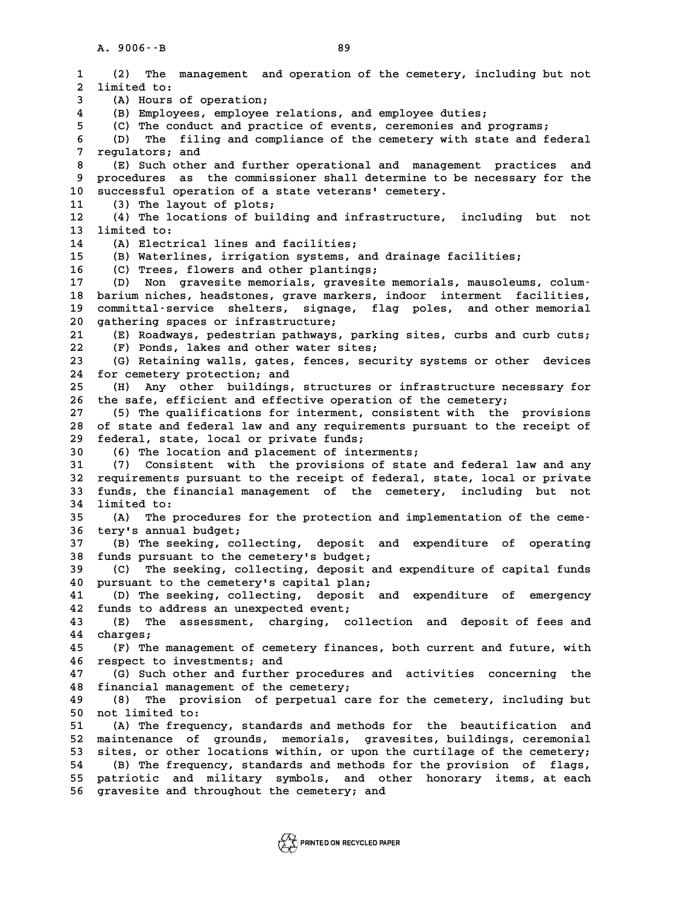**1 (2) The management and operation of the cemetery, including but not 2 limited to:** 1 (2) The management and<br>2 limited to:<br>3 (A) Hours of operation;<br><sup>4</sup> (B) Employees employee re **4 (A) Hours of operation;<br>
4 (B) Employees, employee relations, and employee duties;<br>
4 (C) The conduct and practice of events, ceremonies and Follow CE (A) Hours of operation;<br>
4 (B) Employees, employee relations, and employee duties;<br>
5 (C) The conduct and practice of events, ceremonies and programs;<br>
5 (D) The filing and compliance of the ceretory with state 6 (B) Employees, employee relations, and employee duties;<br>
6 (C) The conduct and practice of events, ceremonies and programs;<br>
6 (D) The filing and compliance of the cemetery with state and federal<br>
7 requisters: and** 5 (C) The conduct<br>6 (D) The filing<br>7 regulators; and<br><sup>8</sup> (E) Sush other 2 **8 (D)** The filing and compliance of the cemetery with state and federal<br> **8 (E)** Such other and further operational and management practices and<br> **8 (E)** Such other and further operational and management practices and<br> **8 9 procedures as the commissioner shall determine to be necessary for the** 8 (E) Such other and further operational and manageme:<br>9 procedures as the commissioner shall determine to be<br>10 successful operation of a state veterans' cemetery.<br>11 (3) The layout of plots: 9 procedures as the commission<br>10 successful operation of a sta<br>11 (3) The layout of plots;<br><sup>12</sup> (4) The locations of building **10** successful operation of a state veterans' cemetery.<br>11 (3) The layout of plots;<br>12 (4) The locations of building and infrastructure, including but not<br>13 limited to: **11** (3) The layo<br>**12** (4) The loca<br>**13** limited to:<br><sup>14</sup> (3) Flottic **12 (4) The locations of building and infra<br>13 limited to:<br>14 (A) Electrical lines and facilities;<br>15 (B) Waterlines invigation systems, and** 13 limited to:<br>14 (A) Electrical lines and facilities;<br>15 (B) Waterlines, irrigation systems, and drainage facilities;<br>16 (C) Trees, flowers and other plantings; **14** (A) Electrical lines and facilities;<br>15 (B) Waterlines, irrigation systems, and dr.<br>16 (C) Trees, flowers and other plantings;<br><sup>17</sup> (D) Non-gravesite permetials gravesite p (A) Electrical lines and facilities;<br>
15 (B) Waterlines, irrigation systems, and drainage facilities;<br>
16 (C) Trees, flowers and other plantings;<br>
17 (D) Non gravesite memorials, gravesite memorials, mausoleums, colum-<br>
18 **16 (C) Trees, flowers and other plantings;<br>17 (D) Non gravesite memorials, gravesite memorials, mausoleums, colum-**<br>18 barium niches, headstones, grave markers, indoor interment facilities,<br>20 committal.sexuise, shelters, 17 (D) Non gravesite memorials, gravesite memorials, mausoleums, colum-<br>18 barium niches, headstones, grave markers, indoor interment facilities,<br>19 committal-service shelters, signage, flag poles, and other memorial<br>20 sa 18 barium niches, headstones, grave marke<br>19 committal service shelters, signage,<br>20 gathering spaces or infrastructure;<br><sup>21</sup> (F) Boadways, pedestrian pathways, p **20 committal service shelters, signage, flag poles, and other memorial<br>20 gathering spaces or infrastructure;<br>21 (E) Roadways, pedestrian pathways, parking sites, curbs and curb cuts;<br><sup>22</sup> (E) Bonds, labor and other witer** 20 gathering spaces or infrastructure;<br>
21 (E) Roadways, pedestrian pathways, parking<br>
22 (F) Ponds, lakes and other water sites;<br>
23 (C) Petaining walls, gates, fenges, sequri 20 gathering spaces or infrastructure;<br>
21 (E) Roadways, pedestrian pathways, parking sites, curbs and curb cuts;<br>
22 (F) Ponds, lakes and other water sites;<br>
23 (G) Retaining walls, gates, fences, security systems or othe 22 (F) Ponds, lakes and other wa<br>23 (G) Retaining walls, gates, f<br>24 for cemetery protection; and<br>25 (H) Apy other buildings **23** (G) Retaining walls, gates, fences, security systems or other devices<br>24 for cemetery protection; and<br>25 (H) Any other buildings, structures or infrastructure necessary for<br>26 the safe officient and offective epertion 24 for cemetery protection; and<br>
25 (H) Any other buildings, structures or infrastructure nece<br>
26 the safe, efficient and effective operation of the cemetery;<br>
27 (5) The gualifications for internant consistent with the D 25 (H) Any other buildings, structures or infrastructure necessary for<br>26 the safe, efficient and effective operation of the cemetery;<br>27 (5) The qualifications for interment, consistent with the provisions<br>28 of state and 26 the safe, efficient and effective operation of the cemetery;<br>27 (5) The qualifications for interment, consistent with the provisions<br>28 of state and federal law and any requirements pursuant to the receipt of<br>500x21 sta 27 (5) The qualifications for interment, com<br>28 of state and federal law and any requireme:<br>29 federal, state, local or private funds;<br><sup>20</sup> (6) The location and placement of interm 28 of state and federal law and any requirements purs<br>29 federal, state, local or private funds;<br>30 (6) The location and placement of interments;<br><sup>31</sup> (7) Consistent with the provisions of state 3) 1991 (17) Consistent Jonal or private funds;<br>
31 (7) Consistent with the provisions of state and federal law and any<br>
12 requirements pursuant to the receipt of federal, state, local or private **30** (6) The location and placement of interments;<br>
31 (7) Consistent with the provisions of state and federal law and any<br>
32 requirements pursuant to the receipt of federal, state, local or private<br>
33 funds the financia **31** (7) Consistent with the provisions of state and federal law and any requirements pursuant to the receipt of federal, state, local or private 33 funds, the financial management of the cemetery, including but not<br>24 lim 32 requirements p<br>33 funds, the fin<br>34 limited to:<br><sup>35</sup> (3) mbo.pro 33 funds, the financial management of the cemetery, including but not<br>34 limited to:<br>35 (A) The procedures for the protection and implementation of the ceme-<br><sup>26</sup> torris annual budget: **34 limited to:<br>35 (A) The procedures fo:<br>36 tery's annual budget;<br><sup>27</sup> (B) The seeking colle 35** (A) The procedures for the protection and implementation of the ceme-<br>36 tery's annual budget;<br>37 (B) The seeking, collecting, deposit and expenditure of operating<br>28 funds pursuant to the semptoruls budget: 36 tery's annual budget;<br>37 (B) The seeking, collecting, deposit an<br>38 funds pursuant to the cemetery's budget;<br><sup>29</sup> (C) The seeking collecting deposit and (B) The seeking, collecting, deposit and expenditure of operating<br>38 funds pursuant to the cemetery's budget;<br>39 (C) The seeking, collecting, deposit and expenditure of capital funds<br>40 pursuant to the cemetery's capital p 40 funds pursuant to the cemetery's budget;<br>
40 pursuant to the cemetery's capital plan;<br>
40 pursuant to the cemetery's capital plan;<br>
41 (D) The seeking collecting deposit and **41 (D) The seeking, collecting, deposit and expenditure of emergency** 40 pursuant to the cemetery's capital plan;<br>41 (D) The seeking, collecting, deposit<br>42 funds to address an unexpected event;<br><sup>43</sup> (F) The assessment charging coll **43 (E) The assessment, charging, collection and deposit of fees and** 42 funds to ad<br>43 (E) The<br>44 charges;<br><sup>45</sup> (E) The T **43** (E) The assessment, charging, collection and deposit of fees and<br>44 charges;<br>(F) The management of cemetery finances, both current and future, with<br>46 regnest to investments, and **44 charges;<br>45 (F) The management of cemete**<br>46 respect to investments; and<br>47 (C) Sugh other and further p **45** (F) The management of cemetery finances, both current and future, with<br>46 respect to investments; and<br>47 (G) Such other and further procedures and activities concerning the<br>48 financial panagement of the comptorum **46 respect to investments; and<br>
47 (G) Such other and further procedures**<br>
48 financial management of the cemetery;<br>
49 (9) The provision of perpotual gare 47 (G) Such other and further procedures and activities concerning the<br>48 financial management of the cemetery;<br>49 (8) The provision of perpetual care for the cemetery, including but<br>50 not limited to: financial management of the cemetery;<br> **49** (8) The provision of perpetual care for the cemetery, including but<br>
50 not limited to:<br> **51** (A) The frequency, standards and methods for the beautification and **50** (8) The provision of perpetual care for the cemetery, including but<br>50 not limited to:<br>51 (A) The frequency, standards and methods for the beautification and<br>52 maintenance of grounds memorials gravesites buildings co 50 not limited to:<br>
51 (A) The frequency, standards and methods for the beautification and<br>
52 maintenance of grounds, memorials, gravesites, buildings, ceremonial<br>
53 sites or other locations within or upon the qurtilage 51 (A) The frequency, standards and methods for the beautification and<br>52 maintenance of grounds, memorials, gravesites, buildings, ceremonial<br>53 sites, or other locations within, or upon the curtilage of the cemetery;<br><sup>54</sup> 52 maintenance of grounds, memorials, gravesites, buildings, ceremonial<br>53 sites, or other locations within, or upon the curtilage of the cemetery;<br>54 (B) The frequency, standards and methods for the provision of flags,<br>55 53 sites, or other locations within, or upon the curtilage of the cemetery;<br>54 (B) The frequency, standards and methods for the provision of flags,<br>55 patriotic and military symbols, and other honorary items, at each<br>56 gr 54 (B) The frequency, standards and methods for the provision of flags,<br>55 patriotic and military symbols, and other honorary items, at each<br>56 gravesite and throughout the cemetery; and

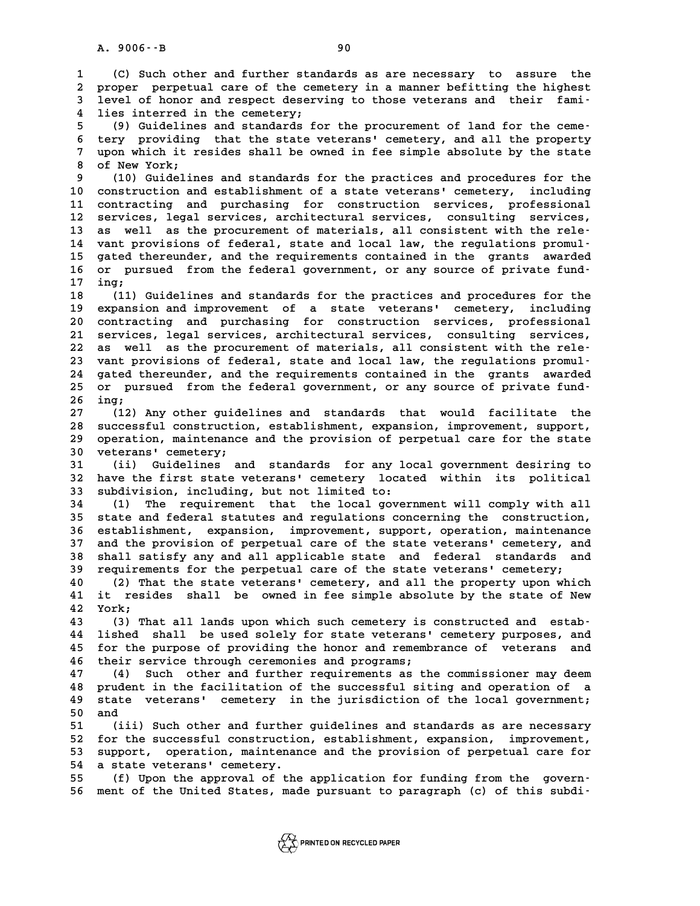A. 9006<sup>--B</sup><br>1 (C) Such other and further standards as are necessary to assure the<br>2 proper perpetual care of the cemetery in a manner befitting the highest **2** (C) Such other and further standards as are necessary to assure the<br>2 proper perpetual care of the cemetery in a manner befitting the highest<br>3 level of bonor and respect deserving to those veterans and their fami-1 (C) Such other and further standards as are necessary to assure the<br>
2 proper perpetual care of the cemetery in a manner befitting the highest<br>
3 level of honor and respect deserving to those veterans and their fami-<br>
<sup>1</sup> 2 proper perpetual care of the cem<br>3 level of honor and respect deserv<br>4 lies interred in the cemetery;<br><sup>4</sup> (a) Cuidelines and standards fo 3 level of honor and respect deserving to those veterans and their fami-<br>
4 lies interred in the cemetery;<br>
5 (9) Guidelines and standards for the procurement of land for the ceme-<br>
6 tery providing that the state veterans

**6 tery providing that the state veterans' cemetery, and all the property 7** (9) Guidelines and standards for the procurement of land for the ceme-<br>**6** tery providing that the state veterans' cemetery, and all the property<br>**7** upon which it resides shall be owned in fee simple absolute by the s **8 tery providing<br>
7 upon which it r**<br>
8 of New York;<br>
8 (10) Cuidolin **9 (10) The state of New York;**<br> **9 (10) Guidelines and standards for the practices and procedures for the**<br> **9 (2001)** Guidelines and standards for the practices and procedures for the<br> **9 (2001)** Superintian and ottablis

10 of New York;<br>
10 construction and establishment of a state veterans' cemetery, including<br>
11 contraction and purchasing for construction services, professional 11 (10) Guidelines and standards for the practices and procedures for the<br>10 construction and establishment of a state veterans' cemetery, including<br>11 contracting and purchasing for construction services, professional<br>12 10 construction and establishment of a state veterans' cemetery, including<br>11 contracting and purchasing for construction services, professional<br>12 services, legal services, architectural services, consulting services,<br><sup>13</sup> 11 contracting and purchasing for construction services, professional<br>
12 services, legal services, architectural services, consulting services,<br>
13 as well as the procurement of materials, all consistent with the rele-<br>
1 12 services, legal services, architectural services, consulting services,<br>
13 as well as the procurement of materials, all consistent with the rele-<br>
14 vant provisions of federal, state and local law, the regulations prom 13 as well as the procurement of materials, all consistent with the rele-<br>14 vant provisions of federal, state and local law, the regulations promul-<br>15 gated thereunder, and the requirements contained in the grants awarde 14 vant provisions of federal, state and local law, the regulations promul-<br>15 gated thereunder, and the requirements contained in the grants awarded<br>16 or pursued from the federal government, or any source of private fund **15** gated the 16 or puri<br>**16** or purily<br>**19** (11) **16 or pursued from the federal government, or any source of private fund-**<br>**17 ing;**<br>(11) Guidelines and standards for the practices and procedures for the<br>proposition and improvement of a state veterantly comptory, inclu

**17 ing;**<br> **18** (11) Guidelines and standards for the practices and procedures for the<br> **19 expansion and improvement of a state veterans' cemetery, including**<br> **20 contracting and purchasing for construction services, pro 20 (11)** Guidelines and standards for the practices and procedures for the<br> **20 contracting and purchasing for construction services, professional<br>
<b>20 contracting and purchasing for construction services, professional<br>
2 20 strange in a state services, and improvement of a state veterans' cemetery, including**<br>20 contracting and purchasing for construction services, professional<br>21 services, legal services, architectural services, consulti 20 contracting and purchasing for construction services, professional<br>
21 services, legal services, architectural services, consulting services,<br>
22 as well as the procurement of materials, all consistent with the rele-<br>
2 21 services, legal services, architectural services, consulting services,<br>
22 as well as the procurement of materials, all consistent with the rele-<br>
23 vant provisions of federal, state and local law, the regulations prom 22 as well as the procurement of materials, all consistent with the rele-<br>23 vant provisions of federal, state and local law, the regulations promul-<br>24 gated thereunder, and the requirements contained in the grants awarde 23 vant provisions of federal, state and local law, the regulations promul-<br>24 gated thereunder, and the requirements contained in the grants awarded<br>25 or pursued from the federal government, or any source of private fund 24 gated t<sup>1</sup><br>25 or pur<br>26 ing;<br><sup>27</sup> (12) 25 or pursued from the federal government, or any source of private fund-<br>26 ing;<br>(12) Any other guidelines and standards that would facilitate the<br>28 suggests construction establishment curangion improvement support

**26 ing;<br>27 (12) Any other guidelines and standards that would facilitate the<br>28 successful construction, establishment, expansion, improvement, support,<br>29 coornion, maintenange and the provision of perpotual gare for the** 27 (12) Any other guidelines and standards that would facilitate the<br>28 successful construction, establishment, expansion, improvement, support,<br>29 operation, maintenance and the provision of perpetual care for the state 28 successful construction<br>29 operation, maintenance<br>30 veterans' cemetery;<br><sup>31</sup> (ii) Guidalines **29 operation, maintenance and the provision of perpetual care for the state**<br>30 veterans' cemetery;<br>31 (ii) Guidelines and standards for any local government desiring to<br>32 have the first state veterangl cemetery, located

**30 veterans' cemetery;**<br>
31 (ii) Guidelines and standards for any local government desiring to<br>
32 have the first state veterans' cemetery located within its political<br>
33 subdivision including but not limited to: 31 (ii) Guidelines and standards for any lo<br>32 have the first state veterans' cemetery locat<br>33 subdivision, including, but not limited to:<br><sup>34</sup> (1) The requirement that the local cover 32 have the first state veterans' cemetery located within its political<br>33 subdivision, including, but not limited to:<br>34 (1) The requirement that the local government will comply with all<br>35 state and foderal statutes and

33 subdivision, including, but not limited to:<br>34 (1) The requirement that the local government will comply with all<br>35 state and federal statutes and regulations concerning the construction,<br>26 stablishment currenties, im **34** (1) The requirement that the local government will comply with all<br>35 state and federal statutes and regulations concerning the construction,<br>36 establishment, expansion, improvement, support, operation, maintenance<br>3 35 state and federal statutes and regulations concerning the construction,<br>36 establishment, expansion, improvement, support, operation, maintenance<br>37 and the provision of perpetual care of the state veterans' cemetery, a **36 establishment, expansion, improvement, support, operation, maintenance**<br>37 and the provision of perpetual care of the state veterans' cemetery, and<br>38 shall satisfy any and all applicable state and federal standards an 37 and the provision of perpetual care of the state veterans' cemetery, an shall satisfy any and all applicable state and federal standards an requirements for the perpetual care of the state veterans' cemetery;<br>(2) That t **40 (2) Shall satisfy any and all applicable state and federal standards and requirements for the perpetual care of the state veterans' cemetery;<br>
40 (2) That the state veterans' cemetery, and all the property upon which<br>** 

**40** requirements for the perpetual care of the state veterans' cemetery;<br>40 (2) That the state veterans' cemetery, and all the property upon which<br>41 it resides shall be owned in fee simple absolute by the state of New<br>42 **40** (2) Th.<br>**41** it resignal<br>**42** York;<br>*43* (3) Th 41 it resides shall be owned in fee simple absolute by the state of New<br>
42 York;<br>
(3) That all lands upon which such cemetery is constructed and estab-<br>
44 lished shall be used solely for state veterans' cemetery purposes

**42 York;<br>43 (3) That all lands upon which such cemetery is constructed and estab-<br>44 lished shall be used solely for state veterans' cemetery purposes, and<br>45 for the purpose of providing the bener and remembrance of upto 43** (3) That all lands upon which such cemetery is constructed and estab-<br>44 lished shall be used solely for state veterans' cemetery purposes, and<br>45 for the purpose of providing the honor and remembrance of veterans and 44 lished shall be used solely for state veterans'<br>45 for the purpose of providing the honor and rememb<br>46 their service through ceremonies and programs;<br><sup>47</sup> (4) Such other and further requirements as the 45 for the purpose of providing the honor and remembrance of veterans and<br>46 their service through ceremonies and programs;<br>47 (4) Such other and further requirements as the commissioner may deem<br>48 prudent in the facilita

**46 their service through ceremonies and programs;<br>47 (4) Such other and further requirements as the commissioner may deem**<br>48 prudent in the facilitation of the successful siting and operation of a<br>49 state uptorangly com (4) Such other and further requirements as the commissioner may deem<br>48 prudent in the facilitation of the successful siting and operation of a<br>49 state veterans' cemetery in the jurisdiction of the local government; pruden<br>**49** state<br>50 and<br>51 (iii state veterans' cemetery in the jurisdiction of the local government;<br>50 and<br>51 (iii) Such other and further guidelines and standards as are necessary<br>52 for the successful construction, establishment, expansion, impr

**52 for the successful construction, establishment, expansion, improvement,** 51 (ii) Such other and further guidelines and standards as are necessary<br>52 for the successful construction, establishment, expansion, improvement,<br>53 support, operation, maintenance and the provision of perpetual care for 52 for the successful construction<br>53 support, operation, maintenan<br>54 a state veterans' cemetery.<br>55 (f) Upon the approval of the 53 support, operation, maintenance and the provision of perpetual care for<br>
54 a state veterans' cemetery.<br>
55 (f) Upon the approval of the application for funding from the govern-<br>
56 mont of the United States made pursua

54 a state veterans' cemetery.<br>55 (f) Upon the approval of the application for funding from the govern-<br>56 ment of the United States, made pursuant to paragraph (c) of this subdi-

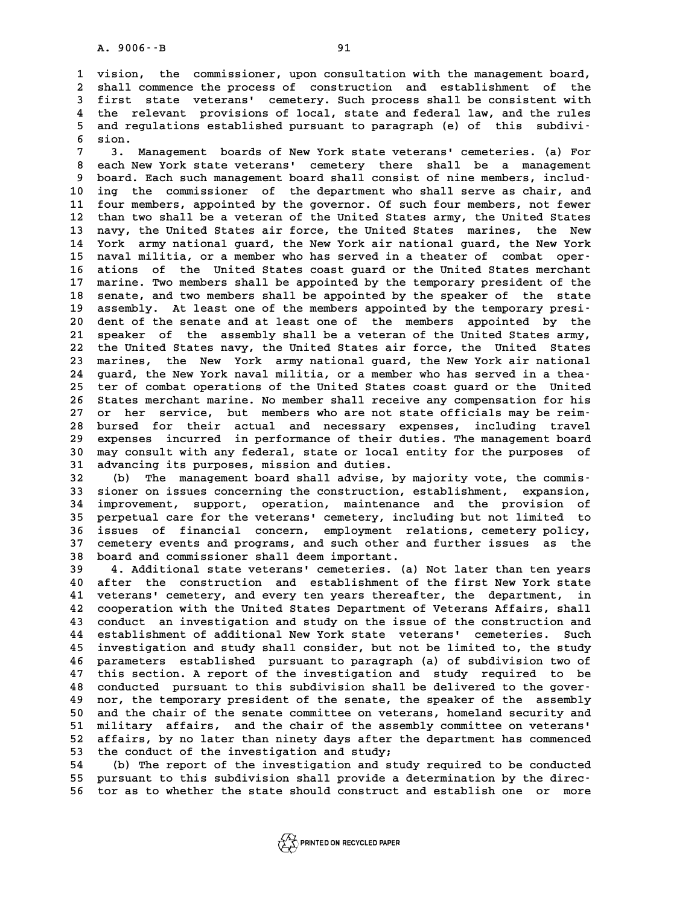**1 vision, the commissioner, upon consultation with the management board,** 1 vision, the commissioner, upon consultation with the management board,<br>2 shall commence the process of construction and establishment of the<br>3 first state veterans! cemetery, Such process shall be consistent with 1 vision, the commissioner, upon consultation with the management board,<br>
2 shall commence the process of construction and establishment of the<br>
3 first state veterans' cemetery. Such process shall be consistent with<br>
<sup>4</sup> 2 shall commence the process of construction and establishment of the<br>3 first state veterans' cemetery. Such process shall be consistent with<br>4 the relevant provisions of local, state and federal law, and the rules<br>25 and 3 first state veterans' cemetery. Such process shall be consistent with<br>4 the relevant provisions of local, state and federal law, and the rules<br>5 and regulations established pursuant to paragraph (e) of this subdivi-<br>5 ai 4 the relevant provisions of local, state and federal law, and the rules<br>5 and regulations established pursuant to paragraph (e) of this subdivi-<br>6 sion.<br>7 3. Management boards of New York state veterans' cemeteries. (a) F 5 and regulations established pursuant to paragraph (e) of this subdivi-<br>6 sion.<br>7 3. Management boards of New York state veterans' cemeteries. (a) For

**8 sion.**<br> **8 each New York state veterans' cemetery there shall be a management<br>
<b>8 each New York state veterans' cemetery there shall be a management**<br> **8 bord** Fach quab management bord shall consist of nine members inc 3. Management boards of New York state veterans' cemeteries. (a) For<br>8 each New York state veterans' cemetery there shall be a management<br>9 board. Each such management board shall consist of nine members, includ-<br><sup>0</sup> ing t 8 each New York state veterans' cemetery there shall be a management<br>9 board. Each such management board shall consist of nine members, includ-<br>10 ing the commissioner of the department who shall serve as chair, and<br>11 fou 9 board. Each such management board shall consist of nine members, includ-<br>10 ing the commissioner of the department who shall serve as chair, and<br>11 four members, appointed by the governor. Of such four members, not fewer 10 ing the commissioner of the department who shall serve as chair, and<br>11 four members, appointed by the governor. Of such four members, not fewer<br>12 than two shall be a veteran of the United States army, the United State 11 four members, appointed by the governor. Of such four members, not fewer<br>12 than two shall be a veteran of the United States army, the United States<br>13 navy, the United States air force, the United States marines, the N 12 than two shall be a veteran of the United States army, the United States<br>13 navy, the United States air force, the United States marines, the New<br>14 York army national guard, the New York air national guard, the New Yor 13 navy, the United States air force, the United States marines, the New<br>14 York army national guard, the New York air national guard, the New York<br>15 naval militia, or a member who has served in a theater of combat oper-<br> **14 York army national guard, the New York air national guard, the New York**<br>15 naval militia, or a member who has served in a theater of combat oper-<br>16 ations of the United States coast guard or the United States merchan 15 naval militia, or a member who has served in a theater of combat oper-<br>16 ations of the United States coast guard or the United States merchant<br>17 marine. Two members shall be appointed by the temporary president of the 16 ations of the United States coast guard or the United States merchant<br>17 marine. Two members shall be appointed by the temporary president of the<br>18 senate, and two members shall be appointed by the speaker of the state 17 marine. Two members shall be appointed by the temporary president of the senate, and two members shall be appointed by the speaker of the state assembly. At least one of the members appointed by the temporary presi-<br>
20 18 senate, and two members shall be appointed by the speaker of the state<br>19 assembly. At least one of the members appointed by the temporary presi-<br>20 dent of the senate and at least one of the members appointed by the<br>21 19 assembly. At least one of the members appointed by the temporary presi-<br>20 dent of the senate and at least one of the members appointed by the<br>21 speaker of the assembly shall be a veteran of the United States army,<br>22 20 dent of the senate and at least one of the members appointed by the<br>21 speaker of the assembly shall be a veteran of the United States army,<br>22 the United States navy, the United States air force, the United States<br><sup>23</sup> 21 speaker of the assembly shall be a veteran of the United States army,<br>22 the United States navy, the United States air force, the United States<br>23 marines, the New York army national guard, the New York air national<br>24 22 the United States navy, the United States air force, the United States<br>23 marines, the New York army national guard, the New York air national<br>24 guard, the New York naval militia, or a member who has served in a thea-<br> 23 marines, the New York army national guard, the New York air national<br>24 guard, the New York naval militia, or a member who has served in a thea-<br>25 ter of combat operations of the United States coast guard or the United 24 guard, the New York naval militia, or a member who has served in a thea-<br>25 ter of combat operations of the United States coast guard or the United<br>26 States merchant marine. No member shall receive any compensation for 25 ter of combat operations of the United States coast guard or the United States merchant marine. No member shall receive any compensation for his<br>27 or her service, but members who are not state officials may be reim-<br>28 26 States merchant marine. No member shall receive any compensation for his<br>27 or her service, but members who are not state officials may be reim-<br>28 bursed for their actual and necessary expenses, including travel<br>29 exp 27 or her service, but members who are not state officials may be reim-<br>28 bursed for their actual and necessary expenses, including travel<br>29 expenses incurred in performance of their duties. The management board<br>20 may c 28 bursed for their actual and necessary expenses, including travel<br>29 expenses incurred in performance of their duties. The management board<br>30 may consult with any federal, state or local entity for the purposes of<br>31 ad 29 expenses incurred in performance of their duties. The management board<br>30 may consult with any federal, state or local entity for the purposes of<br>31 advancing its purposes, mission and duties.<br>32 (b) The management boar

30 may consult with any federal, state or local entity for the purposes of advancing its purposes, mission and duties.<br>
32 (b) The management board shall advise, by majority vote, the commis-<br>
33 sioner on issues concernin **33 sioner on issues concerning the construction, establishment, expansion, 34 improvement, support, operation, maintenance and the provision of 35 perpetual care for the veterans' cemetery, including but not limited to** 34 improvement, support, operation, maintenance and the provision of<br>35 perpetual care for the veterans' cemetery, including but not limited to<br>36 issues of financial concern, employment relations, cemetery policy,<br>27 ceme 35 perpetual care for the veterans' cemetery, including but not limited to<br>36 issues of financial concern, employment relations, cemetery policy,<br>37 cemetery events and programs, and such other and further issues as the<br>28 36 issues of financial concern, employment re<br>37 cemetery events and programs, and such other an<br>38 board and commissioner shall deem important. 37 cemetery events and programs, and such other and further issues as the<br>38 board and commissioner shall deem important.<br>4. Additional state veterans' cemeteries. (a) Not later than ten years<br>40 after the construction and

**40 and commissioner shall deem important.**<br> **40 after the construction and establishment of the first New York state**<br> **40 after the construction and establishment of the first New York state**<br> **41 veterans! comptany and** 4. Additional state veterans' cemeteries. (a) Not later than ten years<br>40 after the construction and establishment of the first New York state<br>41 veterans' cemetery, and every ten years thereafter, the department, in<br>42 co 40 after the construction and establishment of the first New York state<br>41 veterans' cemetery, and every ten years thereafter, the department, in<br>42 cooperation with the United States Department of Veterans Affairs, shall<br> 41 veterans' cemetery, and every ten years thereafter, the department, in<br>42 cooperation with the United States Department of Veterans Affairs, shall<br>43 conduct an investigation and study on the issue of the construction a 42 cooperation with the United States Department of Veterans Affairs, shall<br>43 conduct an investigation and study on the issue of the construction and<br>44 establishment of additional New York state veterans' cemeteries. Suc 43 conduct an investigation and study on the issue of the construction and<br>44 establishment of additional New York state veterans' cemeteries. Such<br>45 investigation and study shall consider, but not be limited to, the stud **44 establishment of additional New York state veterans' cemeteries. Such investigation and study shall consider, but not be limited to, the study parameters established pursuant to paragraph (a) of subdivision two of** 45 investigation and study shall consider, but not be limited to, the study<br>46 parameters established pursuant to paragraph (a) of subdivision two of<br>47 this section. A report of the investigation and study required to be<br> 46 parameters established pursuant to paragraph (a) of subdivision two of<br>47 this section. A report of the investigation and study required to be<br>48 conducted pursuant to this subdivision shall be delivered to the gover-<br>2 this section. A report of the investigation and study required to be<br>48 conducted pursuant to this subdivision shall be delivered to the gover-<br>49 nor, the temporary president of the senate, the speaker of the assembly<br>50 **50 and the chair of the senate committee on veterans, homeland security and 50 mor, the temporary president of the senate, the speaker of the assembly**<br>50 and the chair of the senate committee on veterans, homeland security and<br>51 military affairs, and the chair of the assembly committee on veter 50 and the chair of the senate committee on veterans, homeland security and<br>51 military affairs, and the chair of the assembly committee on veterans'<br>52 affairs, by no later than ninety days after the department has commen 51 military affairs, and the chair of the assem<sup>52</sup> affairs, by no later than ninety days after the the conduct of the investigation and study; 52 affairs, by no later than ninety days after the department has commenced<br>53 the conduct of the investigation and study;<br>(b) The report of the investigation and study required to be conducted<br>55 nurguant to this subdivis

53 the conduct of the investigation and study;<br>54 (b) The report of the investigation and study required to be conducted<br>55 pursuant to this subdivision shall provide a determination by the direc-<br>56 tor 25 the shabber the 54 (b) The report of the investigation and study required to be conducted<br>55 pursuant to this subdivision shall provide a determination by the direc-<br>56 tor as to whether the state should construct and establish one or mor

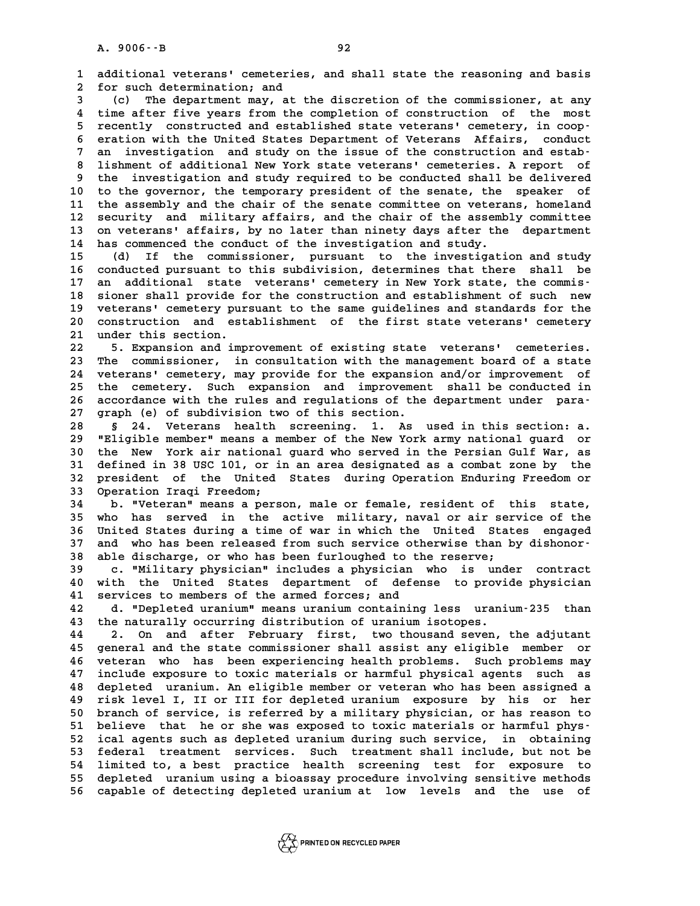2 for such determination; and<br>3 (c) The department may, at the discretion of the commissioner, at any<br>4 time after five years from the completion of construction of the most<br>5 regently constructed and established state vet (c) The department may, at the discretion of the commissioner, at any<br>
4 time after five years from the completion of construction of the most<br>
5 recently constructed and established state veterans' cemetery, in coop-<br>
5 v 4 time after five years from the completion of construction of the most<br>5 recently constructed and established state veterans' cemetery, in coop-<br>6 eration with the United States Department of Veterans Affairs, conduct<br>3 a 5 recently constructed and established state veterans' cemetery, in coop-<br>
6 eration with the United States Department of Veterans Affairs, conduct<br>
7 an investigation and study on the issue of the construction and estab-<br> 8 eration with the United States Department of Veterans Affairs, conduct<br>
8 investigation and study on the issue of the construction and estab-<br>
8 lishment of additional New York state veterans' cemeteries. A report of<br>
9 9 an investigation and study on the issue of the construction and estab-<br>8 lishment of additional New York state veterans' cemeteries. A report of<br>9 the investigation and study required to be conducted shall be delivered<br>1 10 1 ishment of additional New York state veterans' cemeteries. A report of<br>
10 to the governor, the temporary president of the senate, the speaker of<br>
11 the assembly and the chair of the senate committee on veterans, bom 9 the investigation and study required to be conducted shall be delivered<br>10 to the governor, the temporary president of the senate, the speaker of<br>11 the assembly and the chair of the senate committee on veterans, homelan 10 to the governor, the temporary president of the senate, the speaker of<br>11 the assembly and the chair of the senate committee on veterans, homeland<br>12 security and military affairs, and the chair of the assembly committe 11 the assembly and the chair of the senate committee on veterans, homeland<br>12 security and military affairs, and the chair of the assembly committee<br>13 on veterans' affairs, by no later than ninety days after the departme 12 security and military affairs, and the chair of the assemb<br>13 on veterans' affairs, by no later than ninety days after the<br>14 has commenced the conduct of the investigation and study.<br>15 (d) If the commissioner nursuant 13 on veterans' affairs, by no later than ninety days after the department<br>14 has commenced the conduct of the investigation and study.<br>15 (d) If the commissioner, pursuant to the investigation and study<br>16 conducted pursu

14 has commenced the conduct of the investigation and study.<br>
15 (d) If the commissioner, pursuant to the investigation and study<br>
16 conducted pursuant to this subdivision, determines that there shall be<br>
17 an additional 15 (d) If the commissioner, pursuant to the investigation and study<br>16 conducted pursuant to this subdivision, determines that there shall be<br>17 an additional state veterans' cemetery in New York state, the commis-<br>18 sion 16 conducted pursuant to this subdivision, determines that there shall be an additional state veterans' cemetery in New York state, the commis-<br>18 sioner shall provide for the construction and establishment of such new<br>19 17 an additional state veterans' cemetery in New York state, the commis-<br>18 sioner shall provide for the construction and establishment of such new<br>19 veterans' cemetery pursuant to the same guidelines and standards for th 18 sioner shall provide for the construction and establishment of such new<br>19 veterans' cemetery pursuant to the same guidelines and standards for the<br>20 construction and establishment of the first state veterans' cemetery 19 veterans' cemetery pur<br>20 construction and est.<br>21 under this section. 20 construction and establishment of the first state veterans' cemetery<br>
21 under this section.<br>
22 5. Expansion and improvement of existing state veterans' cemeteries.<br>
23 The commissioner, in consultation with the manage

21 under this section.<br>22 5. Expansion and improvement of existing state veterans' cemeteries.<br>23 The commissioner, in consultation with the management board of a state<br>24 unterpress comptorur may provide for the expansion 22 5. Expansion and improvement of existing state veterans' cemeteries.<br>
23 The commissioner, in consultation with the management board of a state<br>
24 veterans' cemetery, may provide for the expansion and/or improvement of The commissioner, in consultation with the management board of a state<br>24 veterans' cemetery, may provide for the expansion and/or improvement of<br>25 the cemetery. Such expansion and improvement shall be conducted in<br>26 acc 24 veterans' cemetery, may provide for the expansion and/or improvement of<br>25 the cemetery. Such expansion and improvement shall be conducted in<br>26 accordance with the rules and regulations of the department under para-<br><sup>2</sup> veterans' cemetery, may provide for the expansion and/or improvement of<br>
25 the cemetery. Such expansion and improvement shall be conducted in<br>
26 accordance with the rules and regulations of the department under para-<br>
27

**28 § 24. Veterans health screening. 1. As used in this section: a. 29 "Eligible member" means a member of the New York army national guard or 30 the New York air national guard who served in the Persian Gulf War, as 39 "Eligible member" means a member of the New York army national guard or the New York air national guard who served in the Persian Gulf War, as defined in 38 USC 101, or in an area designated as a combat zone by the<br>32** 30 the New York air national guard who served in the Persian Gulf War, as<br>31 defined in 38 USC 101, or in an area designated as a combat zone by the<br>32 president of the United States during Operation Enduring Freedom or<br>33 31 defined in 38 USC 101, or in an area designated as a combat zone by the<br>32 president of the United States during Operation Enduring Freedom or<br>33 Operation Iraqi Freedom;<br>34 b. "Veteran" means a person, male or female,

32 president of the United States during Operation Enduring Freedom or<br>33 Operation Iraqi Freedom;<br>34 b. "Veteran" means a person, male or female, resident of this state,<br>35 who has served in the active military, naval or **35 who has served in the active military, naval or air service of the 34** b. "Veteran" means a person, male or female, resident of this state,<br>35 who has served in the active military, naval or air service of the<br>36 United States during a time of war in which the United States engaged<br>37 an 35 who has served in the active military, naval or air service of the<br>36 United States during a time of war in which the United States engaged<br>37 and who has been released from such service otherwise than by dishonor-<br><sup>28</sup> 36 United States during a time of war in which the United Stat<br>37 and who has been released from such service otherwise than b<br>38 able discharge, or who has been furloughed to the reserve;<br>29 a unilitary physician! include 37 and who has been released from such service otherwise than by dishonor-<br>38 able discharge, or who has been furloughed to the reserve;<br>c. "Military physician" includes a physician who is under contract<br><sup>40</sup> with the Unit

**40 able discharge, or who has been furloughed to the reserve;<br>
<b>40** with the United States department of defense to provide physician<br> **41** services to members of the armed forces: and **40** c. "Military physician" includes a physician<br>
40 with the United States department of deferent services to members of the armed forces; and<br>
42 40 with the United States department of defense to provide physician<br>41 services to members of the armed forces; and<br>42 d. "Depleted uranium" means uranium containing less uranium-235 than<br>43 the naturally occurring distri

41 services to members of the armed forces; and<br>42 d. "Depleted uranium" means uranium containing less uranium<br>43 the naturally occurring distribution of uranium isotopes. **42 d. "Depleted uranium" means uranium containing less uranium-235 than<br>43 the naturally occurring distribution of uranium isotopes.<br>44 2. On and after February first, two thousand seven, the adjutant<br>45 general and the s** 

43 the naturally occurring distribution of uranium isotopes.<br>44 2. On and after February first, two thousand seven, the adjutant<br>45 general and the state commissioner shall assist any eligible member or<br>46 uptara the base 2. On and after February first, two thousand seven, the adjutant<br>45 general and the state commissioner shall assist any eligible member or<br>46 veteran who has been experiencing health problems. Such problems may<br>47 include 45 general and the state commissioner shall assist any eligible member or<br>46 veteran who has been experiencing health problems. Such problems may<br>47 include exposure to toxic materials or harmful physical agents such as **46 veteran who has been experiencing health problems. Such problems may**<br>47 include exposure to toxic materials or harmful physical agents such as<br>48 depleted uranium. An eligible member or veteran who has been assigned a 47 include exposure to toxic materials or harmful physical agents such as<br>48 depleted uranium. An eligible member or veteran who has been assigned a<br>49 risk level I, II or III for depleted uranium exposure by his or her<br>50 **48 depleted uranium. An eligible member or veteran who has been assigned a**<br>**49 risk level I, II or III for depleted uranium exposure by his or her**<br>50 branch of service, is referred by a military physician, or has reason **51 believe that he or she was exposed to toxic materials or her branch of service, is referred by a military physician, or has reason to believe that he or she was exposed to toxic materials or harmful phys-<br>
<b>51 believe** 50 branch of service, is referred by a military physician, or has reason to<br>51 believe that he or she was exposed to toxic materials or harmful phys-<br>52 ical agents such as depleted uranium during such service, in obtainin 51 believe that he or she was exposed to toxic materials or harmful phys-<br>52 ical agents such as depleted uranium during such service, in obtaining<br>53 federal treatment services. Such treatment shall include, but not be<br>54 52 ical agents such as depleted uranium during such service, in obtaining<br>53 federal treatment services. Such treatment shall include, but not be<br>54 limited to, a best practice health screening test for exposure to<br>55 depl 53 federal treatment services. Such treatment shall include, but not be<br>54 limited to, a best practice health screening test for exposure to<br>55 depleted uranium using a bioassay procedure involving sensitive methods<br>56 cap **56 capable of detecting depleted uranium at low levels and the use of**

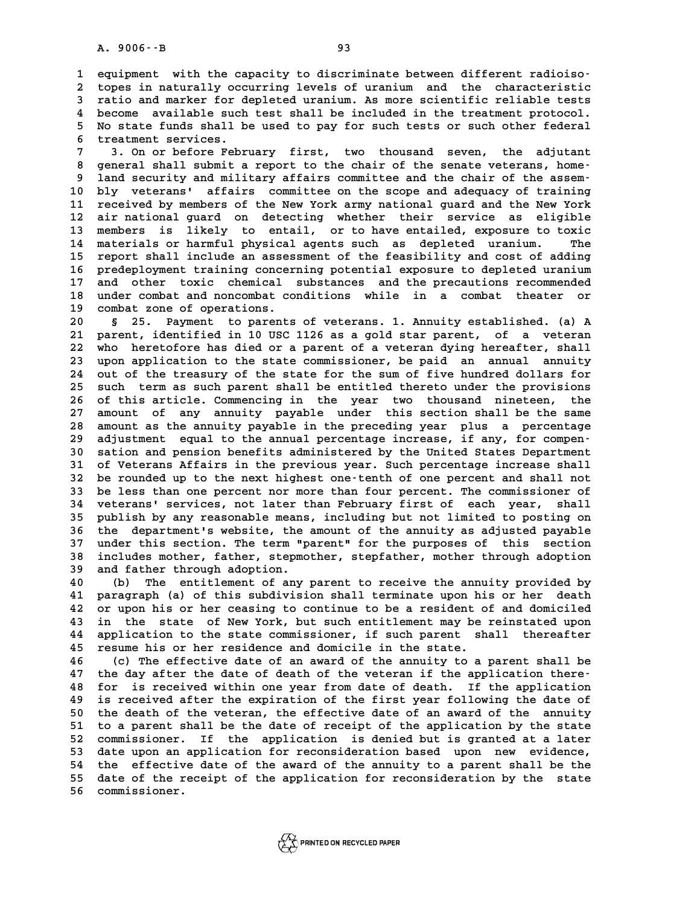A. 9006 · - B<br>1 equipment with the capacity to discriminate between different radioiso -<br><sup>2</sup> topos in paturally essurring levels of uranium, and the sharasteristic **2** equipment with the capacity to discriminate between different radioiso-<br>2 topes in naturally occurring levels of uranium and the characteristic<br>3 ratio and marker for depleted uranium, As more scientific reliable tests 1 equipment with the capacity to discriminate between different radioiso-<br>2 topes in naturally occurring levels of uranium and the characteristic<br>3 ratio and marker for depleted uranium. As more scientific reliable tests<br>2 topes in naturally occurring levels of uranium and the characteristic<br>3 ratio and marker for depleted uranium. As more scientific reliable tests<br>4 become available such test shall be included in the treatment protocol.<br>5 N 3 ratio and marker for depleted uranium. As more scientific reliable tests<br>4 become available such test shall be included in the treatment protocol.<br>5 No state funds shall be used to pay for such tests or such other federa 4 become available such test shall be included in the treatment protocol.<br>5 No state funds shall be used to pay for such tests or such other federal<br>6 treatment services.<br>7 3. On or before February first, two thousand seve 5 No state funds shall be used to pay for such tests or such other federal<br>6 treatment services.<br>7 3. On or before February first, two thousand seven, the adjutant<br>8 separal shall submit a repeat to the shair of the sepate

8 treatment services.<br>
7 3. On or before February first, two thousand seven, the adjutant<br>
8 general shall submit a report to the chair of the senate veterans, home-<br>
<sup>9</sup> land sequrity and military affairs semmittee and th 3. On or before February first, two thousand seven, the adjutant<br>8 general shall submit a report to the chair of the senate veterans, home-<br>9 land security and military affairs committee and the chair of the assem-<br><sup>0</sup> hly 8 general shall submit a report to the chair of the senate veterans, home-<br>9 land security and military affairs committee and the chair of the assem-<br>10 bly veterans' affairs committee on the scope and adequacy of training 9 land security and military affairs committee and the chair of the assem-<br>10 bly veterans' affairs committee on the scope and adequacy of training<br>11 received by members of the New York army national guard and the New Yor 10 bly veterans' affairs committee on the scope and adequacy of training<br>11 received by members of the New York army national guard and the New York<br>12 air national guard on detecting whether their service as eligible<br>13 m 11 received by members of the New York army national guard and the New York<br>12 air national guard on detecting whether their service as eligible<br>13 members is likely to entail, or to have entailed, exposure to toxic<br>14 met 12 air national guard on detecting whether their service as eligible<br>13 members is likely to entail, or to have entailed, exposure to toxic<br>14 materials or harmful physical agents such as depleted uranium. The<br>15 ropert sh 13 members is likely to entail, or to have entailed, exposure to toxic<br>14 materials or harmful physical agents such as depleted uranium. The<br>15 report shall include an assessment of the feasibility and cost of adding<br>16 pr 14 materials or harmful physical agents such as depleted uranium. The<br>15 report shall include an assessment of the feasibility and cost of adding<br>16 predeployment training concerning potential exposure to depleted uranium<br> 15 report shall include an assessment of the feasibility and cost of adding<br>16 predeployment training concerning potential exposure to depleted uranium<br>17 and other toxic chemical substances and the precautions recommended 16 predeployment training concerning potential exposure to depleted uranium<br>17 and other toxic chemical substances and the precautions recommended<br>18 under combat and noncombat conditions while in a combat theater or<br>20 co and other toxic chemical substances and the precautions recommended<br>18 under combat and noncombat conditions while in a combat theater or<br>19 combat zone of operations.<br>20 \$ 25. Payment to parents of veterans. 1. Annuity es 20 **20 and 10 and 10 and 10 and 10 and 10 and 10 and 10 and 10 and 10 and 10 and 10 and 10 and 10 and 11 and 121 parent, identified in 10 usc 1126 as a gold star parent, of a veteran** 

**21 parent, identified in 10 USC 1126 as a gold star parent, of a veteran 8 25. Payment to parents of veterans. 1. Annuity established. (a) A**<br>**21 parent, identified in 10 USC 1126 as a gold star parent, of a veteran 22 who heretofore has died or a parent of a veteran dying hereafter, shall**<br>23 21 parent, identified in 10 USC 1126 as a gold star parent, of a veteran<br>22 who heretofore has died or a parent of a veteran dying hereafter, shall<br>23 upon application to the state commissioner, be paid an annual annuity<br>2 22 who heretofore has died or a parent of a veteran dying hereafter, shall<br>23 upon application to the state commissioner, be paid an annual annuity<br>24 out of the treasury of the state for the sum of five hundred dollars fo 23 upon application to the state commissioner, be paid an annual annuity<br>24 out of the treasury of the state for the sum of five hundred dollars for<br>25 such term as such parent shall be entitled thereto under the provision 24 out of the treasury of the state for the sum of five hundred dollars for<br>25 such term as such parent shall be entitled thereto under the provisions<br>26 of this article. Commencing in the year two thousand nineteen, the<br>2 26 of this article. Commencing in the year two thousand nineteen, the 27 amount of any annuity payable under this section shall be the same 28 amount as the annuity payable in the preceding year plus a percentage 26 of this article. Commencing in the year two thousand nineteen, the<br>27 amount of any annuity payable under this section shall be the same<br>28 amount as the annuity payable in the preceding year plus a percentage<br>29 adjust 27 amount of any annuity payable under this section shall be the same<br>
28 amount as the annuity payable in the preceding year plus a percentage<br>
29 adjustment equal to the annual percentage increase, if any, for compen-<br>
2 28 amount as the annuity payable in the preceding year plus a percentage<br>29 adjustment equal to the annual percentage increase, if any, for compen-<br>30 sation and pension benefits administered by the United States Departmen 29 adjustment equal to the annual percentage increase, if any, for compension sation and pension benefits administered by the United States Department<br>31 of Veterans Affairs in the previous year. Such percentage increase s 30 sation and pension benefits administered by the United States Department<br>31 of Veterans Affairs in the previous year. Such percentage increase shall<br>32 be rounded up to the next highest one-tenth of one percent and shal 31 of Veterans Affairs in the previous year. Such percentage increase shall<br>32 be rounded up to the next highest one-tenth of one percent and shall not<br>33 be less than one percent nor more than four percent. The commission 32 be rounded up to the next highest one-tenth of one percent and shall not<br>33 be less than one percent nor more than four percent. The commissioner of<br>34 veterans' services, not later than February first of each year, sha 33 be less than one percent nor more than four percent. The commissioner of<br>34 veterans' services, not later than February first of each year, shall<br>35 publish by any reasonable means, including but not limited to posting 34 veterans' services, not later than February first of each year, shall<br>35 publish by any reasonable means, including but not limited to posting on<br>36 the department's website, the amount of the annuity as adjusted payabl 35 publish by any reasonable means, including but not limited to posting on<br>36 the department's website, the amount of the annuity as adjusted payable<br>37 under this section. The term "parent" for the purposes of this secti **36** the department's website, the amount of the annuity as adjusted payable<br>37 under this section. The term "parent" for the purposes of this section<br>38 includes mother, father, stepmother, stepfather, mother through adop 37 under this section. The term "p.<br>38 includes mother, father, stepmo<br>39 and father through adoption. **40 (b)** includes mother, father, stepmother, stepfather, mother through adoption<br>
40 (b) The entitlement of any parent to receive the annuity provided by<br>
41 paragraph (a) of this subdivision shall terminate upon his or h

**41 paragraph (a) of this subdivision shall terminate upon his or her death 40** (b) The entitlement of any parent to receive the annuity provided by paragraph (a) of this subdivision shall terminate upon his or her death 42 or upon his or her ceasing to continue to be a resident of and domiciled 41 paragraph (a) of this subdivision shall terminate upon his or her death<br>42 or upon his or her ceasing to continue to be a resident of and domiciled<br>43 in the state of New York, but such entitlement may be reinstated upo 42 or upon his or her ceasing to continue to be a resident of and domiciled<br>43 in the state of New York, but such entitlement may be reinstated upon<br>44 application to the state commissioner, if such parent shall thereafter 43 in the state of New York, but such entitlement may be<br>44 application to the state commissioner, if such parent sh<br>45 resume his or her residence and domicile in the state.<br>46 (3) The effective date of an avand of the an **44 application to the state commissioner, if such parent shall thereafter**<br>**45 resume his or her residence and domicile in the state.**<br>**46** (c) The effective date of an award of the annuity to a parent shall be<br><sup>47</sup> the d

45 resume his or her residence and domicile in the state.<br>
46 (c) The effective date of an award of the annuity to a parent shall be<br>
47 the day after the date of death of the veteran if the application there-<br>
48 for is r **46 (c)** The effective date of an award of the annuity to a parent shall be the day after the date of death of the veteran if the application there-<br>**48** for is received within one year from date of death. If the applicati 47 the day after the date of death of the veteran if the application there-<br>48 for is received within one year from date of death. If the application<br>49 is received after the expiration of the first year following the date **50 for is received within one year from date of death. If the application**<br>**49 is received after the expiration of the first year following the date of**<br>50 the death of the veteran, the effective date of an award of the a 49 is received after the expiration of the first year following the date of<br>50 the death of the veteran, the effective date of an award of the annuity<br>51 to a parent shall be the date of receipt of the application by the s 50 the death of the veteran, the effective date of an award of the annuity<br>51 to a parent shall be the date of receipt of the application by the state<br>52 commissioner. If the application is denied but is granted at a later 51 to a parent shall be the date of receipt of the application by the state<br>52 commissioner. If the application is denied but is granted at a later<br>53 date upon an application for reconsideration based upon new evidence,<br>5 52 commissioner. If the application is denied but is granted at a later<br>53 date upon an application for reconsideration based upon new evidence,<br>54 the effective date of the award of the annuity to a parent shall be the<br>55 53 date upon an application for reconsideration based upon new evidence,<br>54 the effective date of the award of the annuity to a parent shall be the<br>55 date of the receipt of the application for reconsideration by the state 54 the effectiv<br>55 date of the r<br>56 commissioner.

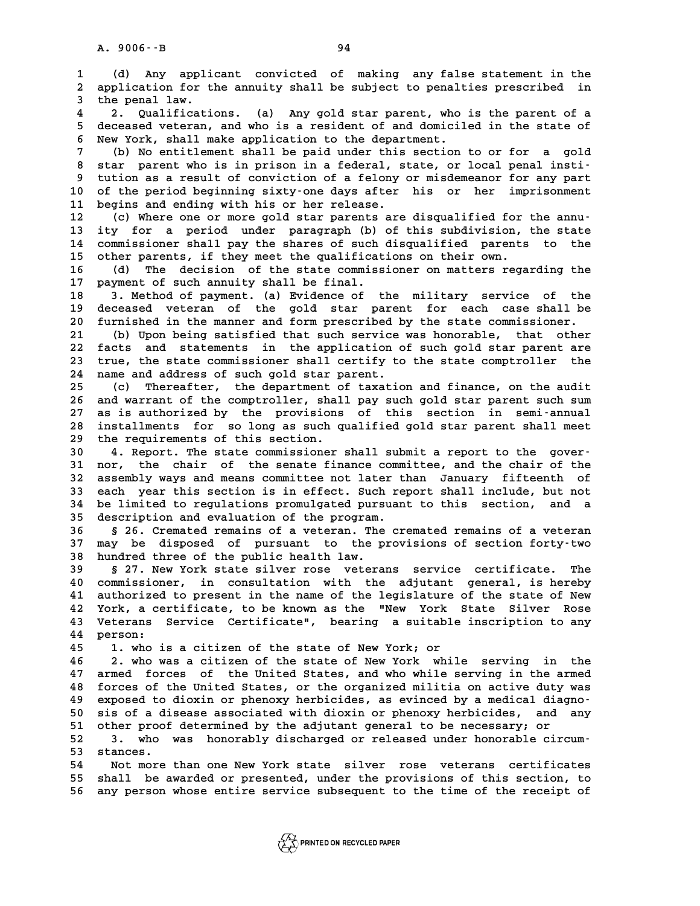**1 (d) Any applicant convicted of making any false statement in the 2 (d) Any applicant convicted of making any false statement in the<br>2 application for the annuity shall be subject to penalties prescribed in** 1 (d) Any appli<br>
2 application for the<br>
3 the penal law.<br>
<sup>2</sup> Qualification application for the annuity shall be subject to penalties prescribed in<br>3 the penal law.<br>4 2. Qualifications. (a) Any gold star parent, who is the parent of a<br>5 deceased units and who is a resident of and demigiled in the <sup>5</sup> the penal law.<br>
<sup>1</sup> 2. Qualifications. (a) Any gold star parent, who is the parent of a<br>
<sup>5</sup> deceased veteran, and who is a resident of and domiciled in the state of<br>
<sup>5</sup> Nov York, shall make application to the dopartm 4 2. Qualifications. (a) Any gold star parent, who<br>5 deceased veteran, and who is a resident of and domicil<br>6 New York, shall make application to the department.<br><sup>7</sup> (b) No ontitlement shall be paid under this section **7** deceased veteran, and who is a resident of and domiciled in the state of<br>**6** New York, shall make application to the department.<br>**7** (b) No entitlement shall be paid under this section to or for a gold 8 New York, shall make application to the department.<br> **8 star parent who is in prison in a federal, state, or local penal insti-**<br>
<sup>8</sup> star parent who is in prison in a federal, state, or local penal insti-(b) No entitlement shall be paid under this section to or for a gold<br>8 star parent who is in prison in a federal, state, or local penal insti-<br>9 tution as a result of conviction of a felony or misdemeanor for any part<br>0 of 8 star parent who is in prison in a federal, state, or local penal insti-<br>9 tution as a result of conviction of a felony or misdemeanor for any part<br>10 of the period beginning sixty-one days after his or her imprisonment<br>1 9 tution as a result of conviction of a felony or misdemeanor for any part<br>10 of the period beginning sixty-one days after his or her imprisonment<br>11 begins and ending with his or her release.<br>12 (c) Where one or more gold 10 of the period beginning sixty-one days after his or her imprisonment<br>
11 begins and ending with his or her release.<br>
12 (c) Where one or more gold star parents are disqualified for the annu-<br>
<sup>13</sup> ity for a period under 11 begins and ending with his or her release.<br>
12 (c) Where one or more gold star parents are disqualified for the annu-<br>
13 ity for a period under paragraph (b) of this subdivision, the state<br>
14 commissioner shall pay th 12 (c) Where one or more gold star parents are disqualified for the annu-<br>13 ity for a period under paragraph (b) of this subdivision, the state<br>14 commissioner shall pay the shares of such disqualified parents to the<br>15 o 13 ity for a period under paragraph (b) of this subdivision,<br>14 commissioner shall pay the shares of such disqualified parents<br>15 other parents, if they meet the qualifications on their own.<br>16 (d) who decision of the stat 14 commissioner shall pay the shares of such disqualified parents to the<br>15 other parents, if they meet the qualifications on their own.<br>16 (d) The decision of the state commissioner on matters regarding the<br>17 naument of 15 other parents, if they meet the qualificat<br>16 (d) The decision of the state commiss<br>17 payment of such annuity shall be final. **16 (d)** The decision of the state commissioner on matters regarding the<br>17 payment of such annuity shall be final.<br>18 3. Method of payment. (a) Evidence of the military service of the<br>deceased uptorar of the gold star par 17 payment of such annuity shall be final.<br>18 3. Method of payment. (a) Evidence of the military service of the<br>19 deceased veteran of the gold star parent for each case shall be<br>20 furnished in the manner and form proscri **20 furnished in the manner and form prescribed by the state commissioner.** 19 deceased veteran of the gold star parent for each case shall be<br>20 furnished in the manner and form prescribed by the state commissioner.<br>21 (b) Upon being satisfied that such service was honorable, that other 20 furnished in the manner and form prescribed by the state commissioner.<br>
21 (b) Upon being satisfied that such service was honorable, that other<br>
22 facts and statements in the application of such gold star parent are<br>
<sup></sup> **21** (b) Upon being satisfied that such service was honorable, that other<br>22 facts and statements in the application of such gold star parent are<br>23 true, the state commissioner shall certify to the state comptroller the<br>2 22 facts and statements in the application o<br>23 true, the state commissioner shall certify to<br>24 name and address of such gold star parent.<br>25 (3) mboroafter, the department of taxation 23 true, the state commissioner shall certify to the state comptroller the<br>24 name and address of such gold star parent.<br>25 (c) Thereafter, the department of taxation and finance, on the audit<br>26 and warrant of the comptro 24 name and address of such gold star parent.<br>25 (c) Thereafter, the department of taxation and finance, on the audit<br>26 and warrant of the comptroller, shall pay such gold star parent such sum<br>27 25 is authorized by the p 25 (c) Thereafter, the department of taxation and finance, on the audit<br>26 and warrant of the comptroller, shall pay such gold star parent such sum<br>27 as is authorized by the provisions of this section in semi-annual<br><sup>28</sup> 26 and warrant of the comptroller, shall pay such gold star parent such sum<br>27 as is authorized by the provisions of this section in semi-annual<br>28 installments for so long as such qualified gold star parent shall meet<br>29 27 as is authorized by the provisions<br>28 installments for so long as such q<br>29 the requirements of this section. 28 installments for so long as such qualified gold star parent shall meet<br>
29 the requirements of this section.<br>
30 4. Report. The state commissioner shall submit a report to the gover-<br>
31 nor, the chair of the senate fin 29 the requirements of this section.<br>
30 4. Report. The state commissioner shall submit a report to the gover-<br>
31 nor, the chair of the senate finance committee, and the chair of the<br>
32 assembly ways and means committee **4. Report. The state commissioner shall submit a report to the gover-**<br>**31 nor, the chair of the senate finance committee, and the chair of the**<br>**32 assembly ways and means committee not later than January fifteenth of**<br> 31 nor, the chair of the senate finance committee, and the chair of the<br>32 assembly ways and means committee not later than January fifteenth of<br>33 each year this section is in effect. Such report shall include, but not<br>34 32 assembly ways and means committee not later than January fifteenth of<br>33 each year this section is in effect. Such report shall include, but not<br>34 be limited to regulations promulgated pursuant to this section, and a<br>3 33 each year this section is in effect. Such reports the limited to regulations promulgated pursuan<br>35 description and evaluation of the program. **34 be limited to regulations promulgated pursuant to this section, and a**<br>35 description and evaluation of the program.<br>36 § 26. Cremated remains of a veteran. The cremated remains of a veteran<br>37 may be dispected of purs **35 description and evaluation of the program.**<br>36 § 26. Cremated remains of a veteran. The cremated remains of a veteran<br>37 may be disposed of pursuant to the provisions of section forty-two<br>28 hundred three of the public **36 § 26. Cremated remains of a veteran. The**<br>37 may be disposed of pursuant to the p<br>38 hundred three of the public health law.<br>39 § 37 Nov York thate silver rose, weters **37 may be disposed of pursuant to the provisions of section forty-two**<br>**38 hundred three of the public health law.**<br>**39 § 27. New York state silver rose veterans service certificate. The**<br>**40 degenerate in conduction with 40 commissioner and the substitute of the public health law.**<br> **40 commissioner, in consultation with the adjutant general, is hereby**<br> **40 commissioner, in consultation with the adjutant general, is hereby**<br> **41 authoriz** 8 17. New York state silver rose veterans service certificate. The<br>40 commissioner, in consultation with the adjutant general, is hereby<br>41 authorized to present in the name of the legislature of the state of New<br><sup>42</sup> York **40 commissioner, in consultation with the adjutant general, is hereby**<br>**41 authorized to present in the name of the legislature of the state of New York, a certificate, to be known as the "New York State Silver Rose**<br>**42** 41 authorized to present in the name of the legislature of the state of New<br>42 York, a certificate, to be known as the "New York State Silver Rose<br>43 Veterans Service Certificate", bearing a suitable inscription to any<br>44 **42 York, a ce.**<br>**43 Veterans**<br>**44 person:**<br>45 1 yie.i Fig. 2008, 1920 and the Mew York State Silver Rose<br>
43 Veterans Service Certificate", bearing a suitable inscription to any<br>
44 person:<br>
1. who is a citizen of the state of New York; or<br>
2. who was a citizen of the state o **46 2. who was a citizen of the state of New York while serving in the 45 1. who is a citizen of the state of New York; or<br>46 2. who was a citizen of the state of New York while serving in the armed**<br>47 armed forces of the United States, and who while serving in the armed<br>48 forces of the Un **46 2. who was a citizen of the state of New York while serving in the armed forces of the United States, and who while serving in the armed forces of the United States, or the organized militia on active duty was**<br>All pro 47 armed forces of the United States, and who while serving in the armed<br>48 forces of the United States, or the organized militia on active duty was<br>49 exposed to dioxin or phenoxy herbicides, as evinced by a medical diagn **50 sis of the United States, or the organized militia on active duty was<br>
<b>49 exposed to dioxin or phenoxy herbicides, as evinced by a medical diagno-**<br> **50 sis of a disease associated with dioxin or phenoxy herbicides, a 49 exposed to dioxin or phenoxy herbicides, as evinced by a medical diagrees**<br>50 sis of a disease associated with dioxin or phenoxy herbicides, and<br>51 other proof determined by the adjutant general to be necessary; or<br>52 50 sis of a disease associated with dioxin or phenoxy herbicides, and any other proof determined by the adjutant general to be necessary; or 3. who was honorably discharged or released under honorable circum-51 other proof determined by the adjutant general to be necessary; or<br>52 3. who was honorably discharged or released under honorable circum-<br>53 stances.<br>Not more than one New York state silver rose veterans certificates **54 Not more than one New York state silver rose veterans certificates 55 shall be awarded or presented, under the provisions of this section, to 56 any person whose entire service subsequent to the time of the receipt of**

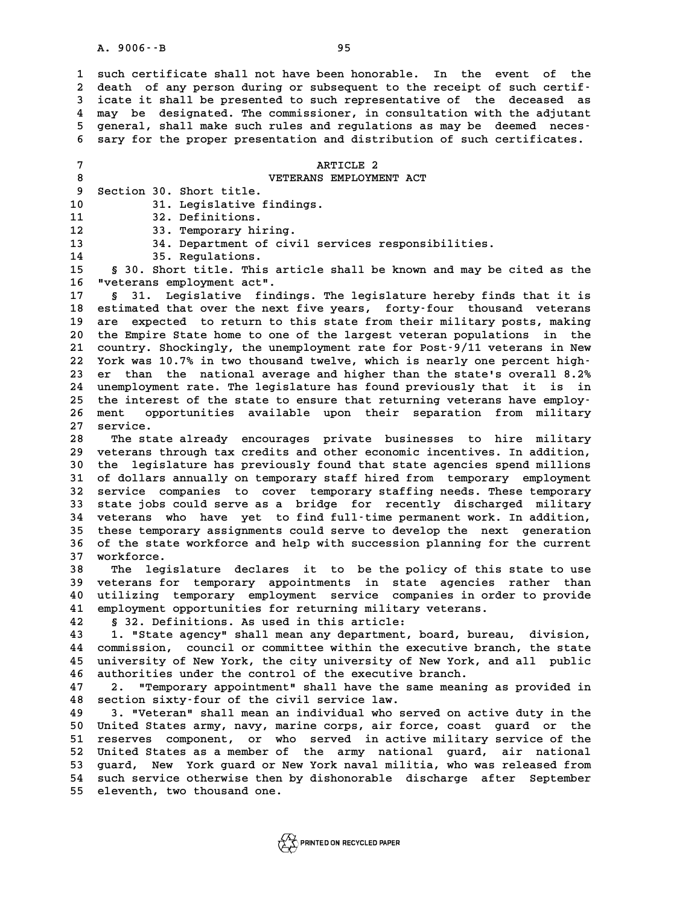**1 such certificate shall not have been honorable. In the event of the** 1 such certificate shall not have been honorable. In the event of the<br>2 death of any person during or subsequent to the receipt of such certif-<br>3 isste it shall be presented to such representative of the deceased as 3 such certificate shall not have been honorable. In the event of the<br>2 death of any person during or subsequent to the receipt of such certif-<br>3 icate it shall be presented to such representative of the deceased as<br><sup>4</sup> ma death of any person during or subsequent to the receipt of such certif-<br>icate it shall be presented to such representative of the deceased as<br>a may be designated. The commissioner, in consultation with the adjutant<br>scopera 3 icate it shall be presented to such representative of the deceased as<br>4 may be designated. The commissioner, in consultation with the adjutant<br>5 general, shall make such rules and regulations as may be deemed neces-<br>5 ga 4 may be designated. The commissioner, in consultation with the adjutant<br>5 general, shall make such rules and regulations as may be deemed neces-<br>6 sary for the proper presentation and distribution of such certificates. 5 general, shall make such rules and regulations as may be deemed neces-<br>6 sary for the proper presentation and distribution of such certificates.<br>7 **ARTICLE 2**<br>8 **VETERANS EMPLOYMENT ACT 8**<br>**8** VETERANS EMPLOYMENT ACT<br>Propertion 30 Short title **9 Section 30. Short title.** 8 VETERANS EM<br>
9 Section 30. Short title.<br>
10 31. Legislative findings.<br>
<sup>22</sup> Pofinitions 9 Section 30. Short title.<br>10 31. Legislative fin<br>11 32. Definitions.<br><sup>33</sup> Temporary birin. 10 31. Legislative findings.<br>
11 32. Definitions.<br>
12 33. Temporary hiring.<br>
13 34. Department of civil s **11 32. Definitions.<br>12 33. Temporary hiring.<br>13 34. Department of civil services responsibilities.**<br>14 35. Bogulations. 12 33. Temporary hirin<br>13 34. Department of c<br>14 35. Regulations. **13 16 § 34. Department of civil services responsibilities.**<br>**14 § 30. Short title. This article shall be known and may be cited as the**<br>**16. Wickspape of Department ast!** 14 35. Regulations.<br>15 § 30. Short title. This art<br>16 "veterans employment act".<br><sup>17</sup> § <sup>21</sup> Locialative findin **15 § 30. Short title. This article shall be known and may be cited as the "veterans employment act".**<br>17 § 31. Legislative findings. The legislature hereby finds that it is<br>28. Satimated that such the port five years fort **16 "veterans employment act".**<br>
17 § 31. Legislative findings. The legislature hereby finds that it is<br>
18 estimated that over the next five years, forty-four thousand veterans<br>
19 are expected to return to this state fro 17 § 31. Legislative findings. The legislature hereby finds that it is<br>18 estimated that over the next five years, forty-four thousand veterans<br>19 are expected to return to this state from their military posts, making<br>20 t 18 estimated that over the next five years, forty-four thousand veterans<br>19 are expected to return to this state from their military posts, making<br>20 the Empire State home to one of the largest veteran populations in the<br>2 19 are expected to return to this state from their military posts, making<br>20 the Empire State home to one of the largest veteran populations in the<br>21 country. Shockingly, the unemployment rate for Post-9/11 veterans in Ne 20 the Empire State home to one of the largest veteran populations in the<br>
21 country. Shockingly, the unemployment rate for Post-9/11 veterans in New<br>
22 York was 10.7% in two thousand twelve, which is nearly one percent 21 country. Shockingly, the unemployment rate for Post-9/11 veterans in New<br>22 York was 10.7% in two thousand twelve, which is nearly one percent high-<br>23 er than the national average and higher than the state's overall 8. 22 York was 10.7% in two thousand twelve, which is nearly one percent high-<br>23 er than the national average and higher than the state's overall 8.2%<br>24 unemployment rate. The legislature has found previously that it is in<br> 23 er than the national average and higher than the state's overall 8.2%<br>
24 unemployment rate. The legislature has found previously that it is in<br>
25 the interest of the state to ensure that returning veterans have employ 24 unemployment rate. The legislature has found previously that it is in<br>25 the interest of the state to ensure that returning veterans have employ-<br>26 ment opportunities available upon their separation from military 25 the interest of the state to ensure that returning veterans have employ-<br>26 ment opportunities available upon their separation from military<br>27 service.<br>28 The state already encourages private businesses to hire militar **28 The state already encourages private businesses to hire military 29 veterans through tax credits and other economic incentives. In addition, 30 the legislature has previously found that state agencies spend millions** 39 veterans through tax credits and other economic incentives. In addition,<br>30 the legislature has previously found that state agencies spend millions<br>31 of dollars annually on temporary staff hired from temporary employme **30 the legislature has previously found that state agencies spend millions**<br>**31 of dollars annually on temporary staff hired from temporary employment**<br>**32 service companies to cover temporary staffing needs. These tempor** 31 of dollars annually on temporary staff hired from temporary employment<br>32 service companies to cover temporary staffing needs. These temporary<br>33 state jobs could serve as a bridge for recently discharged military<br><sup>34</sup> 32 service companies to cover temporary staffing needs. These temporary<br>33 state jobs could serve as a bridge for recently discharged military<br>34 veterans who have yet to find full-time permanent work. In addition,<br>25 thes 33 state jobs could serve as a bridge for recently discharged military<br>34 veterans who have yet to find full-time permanent work. In addition,<br>35 these temporary assignments could serve to develop the next generation<br>36 of 34 veterans who have yet to find full-time permanent work. In addition,<br>35 these temporary assignments could serve to develop the next generation<br>36 of the state workforce and help with succession planning for the current<br> 35 these temporary assignments could serve to develop the next generation<br>36 of the state workforce and help with succession planning for the current<br>37 workforce.<br>38 The legislature declares it to be the policy of this st 36 of the state workforce and help with succession planning for the current<br>37 workforce.<br>38 The legislature declares it to be the policy of this state to use<br>39 veterans for temporary appointments in state agencies rather **39 veterans for temporary appointments in state agencies rather than 40 utilizing temporary employment service companies in order to provide** 39 veterans for temporary appointments in state agencies<br>40 utilizing temporary employment service companies in orde<br>41 employment opportunities for returning military veterans.<br><sup>42</sup> 8.32 Definitions As used in this articl 40 utilizing temporary employment service compa:<br>41 employment opportunities for returning military<br>42 § 32. Definitions. As used in this article:<br><sup>42</sup> <sup>1</sup> UState agency" shall mean any department b **41 employment opportunities for returning military veterans.**<br> **42** § 32. Definitions. As used in this article:<br> **43 1. "State agency" shall mean any department, board, bureau, division,<br>** *44* **commission, council or com 42** S 32. Definitions. As used in this article:<br> **43** 1. "State agency" shall mean any department, board, bureau, division,<br> **44** commission, council or committee within the executive branch, the state<br> **45** university of 1. "State agency" shall mean any department, board, bureau, division,<br>44 commission, council or committee within the executive branch, the state<br>45 university of New York, the city university of New York, and all public<br>46 commission, council or committee within the executive branch, the state<br>45 university of New York, the city university of New York, and all public<br>46 authorities under the control of the executive branch.<br>47 2. "Temporary A 15 university of New York, the city university of New York, and all public<br>46 authorities under the control of the executive branch.<br>47 2. "Temporary appointment" shall have the same meaning as provided in<br>48 section six 46 authorities under the control of the executive branch.<br>47 2. "Temporary appointment" shall have the same mean<br>48 section sixty-four of the civil service law.<br>49 3. "Veteran" shall mean an individual who served on **49 3. "Veteran" shall mean an individual who served on active duty in the 50 Section sixty-four of the civil service law.**<br> **50 United States army, navy, marine corps, air force, coast guard or the**<br> **50 United States army, navy, marine corps, air force, coast guard or the**<br> **51 reserves, sermo 50 3. "Veteran" shall mean an individual who served on active duty in the**<br>50 United States army, navy, marine corps, air force, coast guard or the<br>51 reserves component, or who served in active military service of the<br>52 50 United States army, navy, marine corps, air force, coast guard or the<br>51 reserves component, or who served in active military service of the<br>52 United States as a member of the army national guard, air national<br>53 guard 51 reserves component, or who served in active military service of the<br>52 United States as a member of the army national guard, air national<br>53 guard, New York guard or New York naval militia, who was released from<br>54 guar 52 United States as a member of the army national guard, air national<br>53 guard, New York guard or New York naval militia, who was released from<br>54 such service otherwise then by dishonorable discharge after September<br>55 sl 53 guard, New York guard or New York naval militia, who was released from<br>54 such service otherwise then by dishonorable discharge after September<br>55 eleventh, two thousand one.

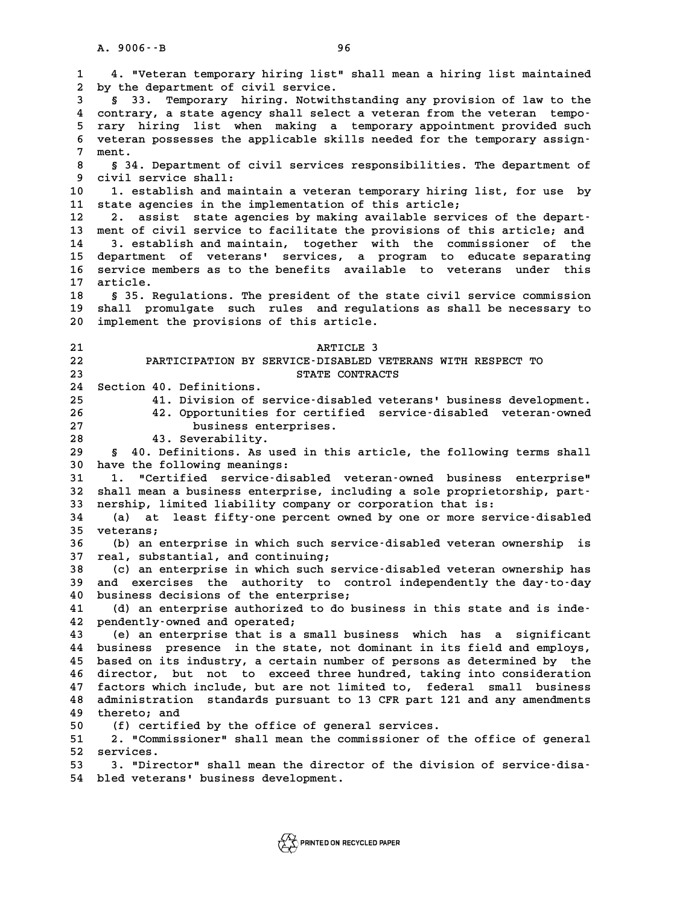**1 4. "Veteran temporary hiring list" shall mean a hiring list maintained 2 d. "Veteran temporary hiring list" s**<br>2 by the department of civil service.<br>3 5 33 Temporary biring Notwithst **4. "Veteran temporary hiring list" shall mean a hiring list maintained<br>
2 by the department of civil service.<br>
5 33. Temporary hiring. Notwithstanding any provision of law to the<br>
6 Sontrany 2 state 25005y shall solect a** by the department of civil service.<br> **4 contrary, a state agency shall select a veteran from the veteran tempo-**<br> **4 contrary, a state agency shall select a veteran from the veteran tempo-**<br> **5 rary biring ligt when making 5 33. Temporary hiring. Notwithstanding any provision of law to the contrary, a state agency shall select a veteran from the veteran tempo-**<br>**5 rary hiring list when making a temporary appointment provided such**<br>**6 retera** 4 contrary, a state agency shall select a veteran from the veteran tempo-<br> **6 veteran possesses the applicable skills needed for the temporary assign-**<br> **7 mont** 5 rary hi<br>6 veteran<br>7 ment.<br>8 8 3 4 **8 § 34. Department of civil services responsibilities. The department of** 8 § 34. Department of civil services responsibilities. The department of<br>9 civil service shall:<br>10 1. establish and maintain a veteran temporary hiring list, for use by 8 § 34. Department of civil services responsibilities. The department of<br>
9 civil service shall:<br>
10 1. establish and maintain a veteran temporary hiring list, for use by<br>
11 state agencies in the implementation of this ar **11 state agencies in the implementation of this article;** 10 1. establish and maintain a veteran temporary hiring list, for use by<br>
11 state agencies in the implementation of this article;<br>
12 2. assist state agencies by making available services of the depart-<br>
13 ment of givil 11 state agencies in the implementation of this article;<br>12 2. assist state agencies by making available services of the depart-<br>13 ment of civil service to facilitate the provisions of this article; and<br>14 3 ostablish and 12 2. assist state agencies by making available services of the depart-<br>13 ment of civil service to facilitate the provisions of this article; and<br>14 3. establish and maintain, together with the commissioner of the<br>15 depa 13 ment of civil service to facilitate the provisions of this article; and<br>14 3. establish and maintain, together with the commissioner of the<br>15 department of veterans' services, a program to educate separating<br>16 departm 14 3. establish and maintain, together with the commissioner of the<br>15 department of veterans' services, a program to educate separating<br>16 service members as to the benefits available to veterans under this<br>17 article 15 department<br>16 service mem<br>17 article.<br>19 s <sup>25</sup> Pegr 16 service members as to the benefits available to veterans under this<br>17 article.<br>18 § 35. Regulations. The president of the state civil service commission<br>19 shall promulgate such rules and regulations as shall be necess 17 article.<br>18 § 35. Regulations. The president of the state civil service commission<br>19 shall promulgate such rules and regulations as shall be necessary to<br>20 implement the provisions of this article. 18 § 35. Regulations. The president of the st<br>19 shall promulgate such rules and regulati<br>20 implement the provisions of this article. 20 implement the provisions of this article.<br>
21 **ARTICLE 3**<br>
22 **PARTICIPATION BY SERVICE-DISABLED 21**<br>22 PARTICIPATION BY SERVICE-DISABLED VETERANS WITH RESPECT TO<br>22 CEANGE COMPRAGES 21 **123**<br>22 **PARTICIPATION BY SERVICE-DISABLED VETERA**<br>23 **STATE CONTRACTS 24 Section 40. Definitions. 23** 24 Section 40. Definitions.<br> **24 Section 40. Definitions.**<br>
25 41. Division of service-disabled veterans' business development.<br>
26 42. Opportunition for cortified, service-disabled, unterpretured **26 42. Opportunities for certified service-disabled veteran-owned** 25 41. Division of service-disabl<br>
26 42. Opportunities for certifie<br>
27 business enterprises.<br>
<sup>29</sup> <sup>43</sup> Soverability 42. Opportunities for certified service-disabled veteran-owned<br>27 business enterprises.<br>28 43. Severability.<br>29 5 40. Definitions. As used in this article, the following terms shall **27** business enterprises.<br>
28 **40. Definitions. As used in this article, the following terms shall<br>
29 § 40. Definitions. As used in this article, the following terms shall** 28 43. Severability.<br>
29 § 40. Definitions. As used i:<br>
30 have the following meanings:<br>
<sup>31</sup> <sup>1</sup> "Cortified sorvige-digeb **31 5 40. Definitions. As used in this article, the following terms shall<br>
30 have the following meanings:<br>
31 1. "Certified service-disabled veteran-owned business enterprise"<br>
32 shall mean a business enterprise includin** 30 have the following meanings:<br>
31 1. "Certified service-disabled veteran-owned business enterprise"<br>
32 shall mean a business enterprise, including a sole proprietorship, part-<br>
33 norship, limited lightlity company or c **31 1. "Certified service-disabled veteran-owned business**<br>**32 shall mean a business enterprise, including a sole proprietor**<br>**33 nership, limited liability company or corporation that is:**<br><sup>24</sup> (a) at locat fifty-one pers 32 shall mean a business enterprise, including a sole proprietorship, part-<br>33 nership, limited liability company or corporation that is:<br>34 (a) at least fifty-one percent owned by one or more service-disabled<br><sup>25</sup> uptorar 32 shall mean a business enterprise, including a sole proprietorship, part-<br>33 nership, limited liability company or corporation that is:<br>34 (a) at least fifty-one percent owned by one or more service-disabled<br>35 veterans; **34** (a) at least fifty-one percent owned by one or more service-disabled<br>35 veterans;<br>(b) an enterprise in which such service-disabled veteran ownership is<br>?? roal substantial and continuing; **37 real, substantial, and continuing; 38 (c) an enterprise in which such service-disabled veteran ownership has 37 real, substantial, and continuing;<br>38 (c) an enterprise in which such service-disabled veteran ownership has<br>39 and exercises the authority to control independently the day-to-day<br>40 business degisions of the enterpris 40 business decisions of the enterprise;** 39 and exercises the authority to control independently the day-to-day<br>40 business decisions of the enterprise;<br>41 (d) an enterprise authorized to do business in this state and is inde-<br><sup>42</sup> perdently-owned and operated: 40 business decisions of the enterp<br>41 (d) an enterprise authorized to<br>42 pendently-owned and operated;<br><sup>43</sup> (e) an enterprise that is a sm A business decisions of the enterprise;<br>
41 (d) an enterprise authorized to do business in this state and is inde-<br>
42 pendently-owned and operated;<br>
43 (e) an enterprise that is a small business which has a significant **42 pendently-owned and operated;<br>43 (e) an enterprise that is a small business which has a significant<br>44 business presence in the state, not dominant in its field and employs,<br>45 based on its industry, a sertain number o 43** (e) an enterprise that is a small business which has a significant<br>44 business presence in the state, not dominant in its field and employs,<br>45 based on its industry, a certain number of persons as determined by the<br>4 **44 business presence in the state, not dominant in its field and employs,**<br>45 based on its industry, a certain number of persons as determined by the<br>46 director, but not to exceed three hundred, taking into consideration 45 based on its industry, a certain number of persons as determined by the<br>46 director, but not to exceed three hundred, taking into consideration<br>47 factors which include, but are not limited to, federal small business<br>48 46 director, but not to exceed three hundred, taking into consideration<br>47 factors which include, but are not limited to, federal small business<br>48 administration standards pursuant to 13 CFR part 121 and any amendments<br>49 47 factors which include, but are not limited to, federal small business<br>48 administration standards pursuant to 13 CFR part 121 and any amendments<br>49 thereto; and<br>60 (f) certified by the office of general services. 48 administration standards pursuant to 13 CFR part 121 and any amendments<br>**50** (f) certified by the office of general services.<br>**51** 2. "Commissioner" shall mean the commissioner of the office of general **51 2. "Commissioner" shall mean the commissioner of the office of general** 50 (f) certified by the office of general services.<br>
51 2. "Commissioner" shall mean the commissioner of<br>
52 services.<br>
53 3. "Director" shall mean the director of the div **53 3. "Director" shall mean the director of the division of service-disa-54 bled veterans' business development.**

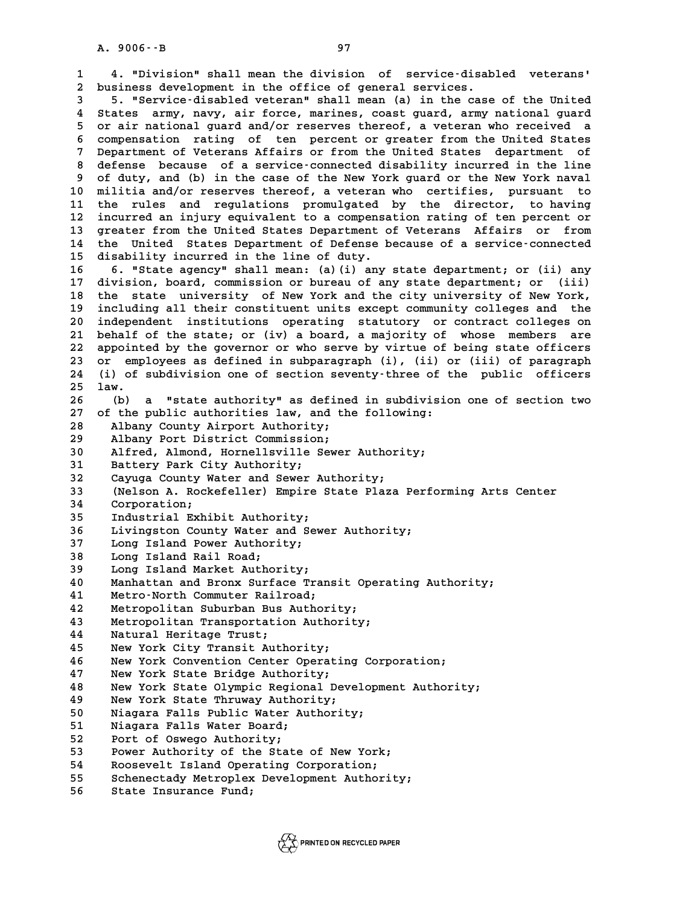**A. 9006--B 97**

**1 4. "Division" shall mean the division of service-disabled veterans' 2 2 1 1.** "Division" shall mean the division of service-disab<br>2 business development in the office of general services.<br>2 **5.** "Service-disabled veteran" shall mean (a) in the gase **4. "Division" shall mean the division of service-disabled veterans'<br>
2 business development in the office of general services.<br>
3 5. "Service-disabled veteran" shall mean (a) in the case of the United** 2 business development in the office of general services.<br>
5. "Service-disabled veteran" shall mean (a) in the case of the United<br>
4 States army, navy, air force, marines, coast guard, army national guard<br>
5 or air pationa 5. "Service-disabled veteran" shall mean (a) in the case of the United<br>4 States army, navy, air force, marines, coast guard, army national guard<br>5 or air national guard and/or reserves thereof, a veteran who received a<br>5 c 4 States army, navy, air force, marines, coast guard, army national guard<br>5 or air national guard and/or reserves thereof, a veteran who received a<br>6 compensation rating of ten percent or greater from the United States<br>7 D 5 or air national guard and/or reserves thereof, a veteran who received a<br>6 compensation rating of ten percent or greater from the United States<br>7 Department of Veterans Affairs or from the United States department of<br>8 de 8 compensation rating of ten percent or greater from the United States<br>
7 Department of Veterans Affairs or from the United States department of<br>
8 defense because of a service-connected disability incurred in the line<br>
8 **9 Department of Veterans Affairs or from the United States department of defense because of a service-connected disability incurred in the line of duty, and (b) in the case of the New York guard or the New York naval<br>
<b>9** 8 defense because of a service-connected disability incurred in the line<br>9 of duty, and (b) in the case of the New York guard or the New York naval<br>10 militia and/or reserves thereof, a veteran who certifies, pursuant to<br><sup></sup> 9 of duty, and (b) in the case of the New York guard or the New York naval<br>10 militia and/or reserves thereof, a veteran who certifies, pursuant to<br>11 the rules and regulations promulgated by the director, to having<br><sup>12</sup> i 10 militia and/or reserves thereof, a veteran who certifies, pursuant to<br>11 the rules and regulations promulgated by the director, to having<br>12 incurred an injury equivalent to a compensation rating of ten percent or<br>13 gr 11 the rules and regulations promulgated by the director, to having<br>12 incurred an injury equivalent to a compensation rating of ten percent or<br>13 greater from the United States Department of Veterans Affairs or from<br>14 th 12 incurred an injury equivalent to a compensation rating of ten percent or<br>13 greater from the United States Department of Veterans Affairs or from<br>14 the United States Department of Defense because of a service-connected 13 greater from the United States Department of<br>14 the United States Department of Defense b<br>15 disability incurred in the line of duty.<br>16 f. Little 2000001 shall mean (a)(i) any 14 the United States Department of Defense because of a service-connected<br>15 disability incurred in the line of duty.<br>16 6. "State agency" shall mean: (a)(i) any state department; or (ii) any<br>17 division board commission o 15 disability incurred in the line of duty.<br>16 6. "State agency" shall mean: (a)(i) any state department; or (ii) any<br>17 division, board, commission or bureau of any state department; or (iii)<br>18 the state university of Ne **16 6. "State agency" shall mean: (a) (i) any state department; or (ii) any division, board, commission or bureau of any state department; or (iii) the state university of New York and the city university of New York, incl** 17 division, board, commission or bureau of any state department; or (iii)<br>18 the state university of New York and the city university of New York,<br>19 including all their constituent units except community colleges and the 18 the state university of New York and the city university of New York,<br>19 including all their constituent units except community colleges and the<br>20 independent institutions operating statutory or contract colleges on<br>21 19 including all their constituent units except community colleges and the<br>20 independent institutions operating statutory or contract colleges on<br>21 behalf of the state; or (iv) a board, a majority of whose members are **22 appointed by the governor or who serve by virtue of being state officers** 21 behalf of the state; or (iv) a board, a majority of whose members are<br>22 appointed by the governor or who serve by virtue of being state officers<br>23 or employees as defined in subparagraph (i), (ii) or (iii) of paragrap 22 appointed by the governor or who serve by virtue of being state officers<br>23 or employees as defined in subparagraph (i), (ii) or (iii) of paragraph<br>24 (i) of subdivision one of section seventy-three of the public office 23 or emp<br>24 (i) of<br>25 law.<br>26 (b) **26 (b) a "state authority" as defined in subdivision one of section two** 26 (b) a "state authority" as defined in subdivision one of section two 27 of the public authorities law, and the following:<br>28 Albany County Airport Authority; 26 (b) a "state authority" as define<br>27 of the public authorities law, and th<br>28 Albany County Airport Authority;<br><sup>29</sup> Albany Port District Commission. 27 of the public authorities law, and th<br>28 Albany County Airport Authority;<br>29 Albany Port District Commission;<br><sup>20</sup> Alfred Almond Horpollawille Sover Albany County Airport Authority;<br>
29 Albany Port District Commission;<br>
30 Alfred, Almond, Hornellsville Sewer Authority;<br>
31 Battery Bark City Authority; Albany Port District Commission;<br>30 Alfred, Almond, Hornellsville Se<br>31 Battery Park City Authority;<br>32 Cayuga County Water and Sewer Au Alfred, Almond, Hornellsville Sewer Authori<br>
31 Battery Park City Authority;<br>
32 Cayuga County Water and Sewer Authority;<br>
<sup>33</sup> (Nelson A Bockefeller) Empire State Plaza) 31 Battery Park City Authority;<br>32 Cayuga County Water and Sewer Authority;<br>33 (Nelson A. Rockefeller) Empire State Plaza Performing Arts Center<br><sup>34</sup> Corporation: Cayuga County Water and Sewer Authority;<br>33 (Nelson A. Rockefeller) Empire State Pla<br>34 Corporation;<br>35 Industrial Exhibit Authority; **33** (Nelson A. Rockefeller) Empire S<br> **34** Corporation;<br> **35** Industrial Exhibit Authority;<br> **36** Industrian County Water and Coun **34 Corporation;<br>35 Industrial Exhibit Authority;<br>36 Livingston County Water and Sewer Authority;<br>37 Lorg Island Power Authority;** 35 Industrial Exhibit Authority;<br>36 Livingston County Water and S<br>37 Long Island Power Authority;<br>38 Long Island Rail Road; **36 Livingston County Water a**<br> **37 Long Island Rower Authori**<br> **38 Long Island Rail Road;**<br> **39 Long Island Markot Author 37 Long Island Power Authority;<br>
<b>38 Long Island Rail Road;**<br> **39 Long Island Market Authority;**<br> **40 Manhattan and Bronx Surface T 40 Manusi Long Island Rail Road;<br>
40 Manhattan and Bronx Surface Transit Operating Authority;<br>
40 Metro-North Commuter Pailroad;<br>
41 Metro-North Commuter Pailroad; 40** Long Island Market Authority;<br> **40** Manhattan and Bronx Surface Trans<br> **41** Metro-North Commuter Railroad;<br> **42** Metropolitan Suburban Bus Authori **40 Manhattan and Bronx Surface Transit Ope<br>
<b>41 Metro-North Commuter Railroad;**<br> **42 Metropolitan Suburban Bus Authority;**<br> **43 Metropolitan Transportation Authority; 41 Metro-North Commuter Railroad;<br>42 Metropolitan Suburban Bus Authority;<br>43 Metropolitan Transportation Authority;<br>44 Natural Horitage Trust: 42 Metropolitan Suburban Bus<br>
<b>43 Metropolitan Transportatio**<br> **44 Natural Heritage Trust;<br>
A5 Now York City Transit Auth** Metropolitan Suburban Bus Authority;<br>
43 Metropolitan Transportation Authority;<br>
44 Natural Heritage Trust;<br>
45 New York City Transit Authority;<br>
46 New York Convention Center Operating C **44 Natural Heritage Trust;<br>45 New York City Transit Authority;<br>46 New York Convention Center Operating Corporation;<br>47 New York State Pridge Authority; 45 New York City Transit Authority;<br>
46 New York Convention Center Operatin<br>
47 New York State Bridge Authority;<br>
48 Nov York State Olympis Borional Dow 16 New York Convention Center Operating Corporation;<br>
47 New York State Bridge Authority;<br>
18 New York State Olympic Regional Development Authority;<br>
19 New York State Thruway Authority.** A Mew York State Bridge Authority;<br> **48 New York State Olympic Regional Devel**<br> **49 New York State Thruway Authority;<br>
50 Niagara Falls Public Water Authority; 50 New York State Olympic Regional Developm**<br> **50 Niagara Falls Public Water Authority;<br>
S1 Niagara Falls Water Board:<br>
Niagara Falls Water Board: 50 New York State Thruway Author<br>50 Niagara Falls Public Water Au<br>51 Niagara Falls Water Board;<br>52 Dort of Osysse Authority.** 50 Niagara Falls Public Water A<br>51 Niagara Falls Water Board;<br>52 Port of Oswego Authority;<br>53 Power Authority of the State 51 Niagara Falls Water Board;<br>
52 Port of Oswego Authority;<br>
53 Power Authority of the State of New York;<br>
54 Poosevelt Island Operating Corporation; **52** Port of Oswego Authority;<br>
53 Power Authority of the State of New York;<br>
Roosevelt Island Operating Corporation;<br>
Shapportady Motroplay Dovelopment Authority Fort of Oswego Authority;<br>
53 Power Authority of the State of New York;<br>
54 Roosevelt Island Operating Corporation;<br>
55 Schenectady Metroplex Development Authority;<br>
56 State Insurance Fund; Roosevelt Island Operating Corporation;

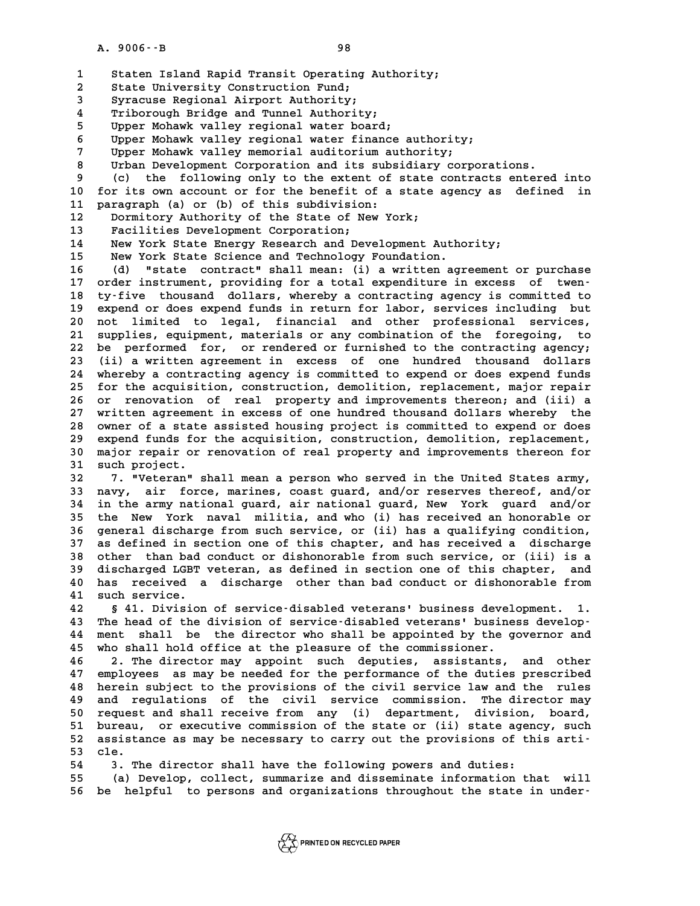**A. 9006--B 98** A. 9006 - B<br>1 Staten Island Rapid Transit Operating Authority;<br><sup>2</sup> State University Construction Fund: **2 Staten Island Rapid Transit Operating**<br>2 State University Construction Fund;<br>3 Syraquee Begional Airport Authority. 3 Staten Island Rapid Transit Operating A<br>
3 State University Construction Fund;<br>
3 Syracuse Regional Airport Authority;<br>
<sup>4</sup> Triborough Pridge and Tunnel Authority. 2 State University Construction Fund;<br>3 Syracuse Regional Airport Authority;<br>4 Triborough Bridge and Tunnel Authority;<br>5 Unner Mehark wallow regional water board; **5 Syracuse Regional Airport Authority;<br>
4 Triborough Bridge and Tunnel Authority;<br>
5 Upper Mohawk valley regional water board;<br>
5 Upper Mohawk wallow regional water finance C 6 Priborough Bridge and Tunnel Authority;<br>
5 Upper Mohawk valley regional water board;<br>
6 Upper Mohawk valley regional water finance authority;<br>
Theor Mohawk valley remorial auditorium authority; 7 Upper Mohawk valley regional water board;<br>
<b>6 Upper Mohawk valley regional water finance authority;**<br> **7 Upper Mohawk valley memorial auditorium authority;**<br> **112000** Urban Development Corporation and its subsidiary ser **8 Upper Mohawk valley regional water finance authority;<br>
The Urban Development Corporation and its subsidiary corporations.**<br>
(c) the following only to the quight of state contrasts ontored Upper Mohawk valley memorial auditorium authority;<br>8 Urban Development Corporation and its subsidiary corporations.<br>9 (c) the following only to the extent of state contracts entered into<br>10 for its own account or for the b 10 **8 8 8 10 for its own account Corporation and its subsidiary corporations.**<br>
10 for its own account or for the benefit of a state agency as defined in<br>
11 paragraph (a) or (b) of this subdivision. 9 (c) the following only to the extent of<br>10 for its own account or for the benefit of a<br>11 paragraph (a) or (b) of this subdivision:<br><sup>12</sup> parmitory Authority of the State of Nov Yo 10 for its own account or for the benefit of a state<br>11 paragraph (a) or (b) of this subdivision:<br>12 Dormitory Authority of the State of New York;<br><sup>13</sup> Facilities Development Corporation: 11 paragraph (a) or (b) of this subdivision:<br>12 Dormitory Authority of the State of New York;<br>13 Facilities Development Corporation;<br>14 New York State Energy Research and Developmen **12** Dormitory Authority of the State of New York;<br> **13** Facilities Development Corporation;<br>
14 New York State Energy Research and Development Authority;<br>
15 New York State Science and Technology Foundation Facilities Development Corporation;<br>
14 New York State Energy Research and Development Autho<br>
15 New York State Science and Technology Foundation.<br>
16 (d) Ustate Science Unball mean (i) a written agr 15 New York State Science and Technology Foundation.<br>16 (d) "state contract" shall mean: (i) a written agreement or purchase<br>17 order instrument, providing for a total expenditure in excess of twen-**15 New York State Science and Technology Foundation.**<br> **16** (d) "state contract" shall mean: (i) a written agreement or purchase<br> **17** order instrument, providing for a total expenditure in excess of twen-<br> **19** ty-five t **16 (d) "state contract" shall mean: (i) a written agreement or purchase**<br>17 order instrument, providing for a total expenditure in excess of twen-<br>18 ty-five thousand dollars, whereby a contracting agency is committed to<br> 17 order instrument, providing for a total expenditure in excess of twen-<br>18 ty-five thousand dollars, whereby a contracting agency is committed to<br>19 expend or does expend funds in return for labor, services including but 18 ty-five thousand dollars, whereby a contracting agency is committed to expend or does expend funds in return for labor, services including but<br>20 not limited to legal, financial and other professional services,<br><sup>21</sup> sup **20 sypend or does expend funds in return for labor, services including but**<br>20 not limited to legal, financial and other professional services,<br>21 supplies, equipment, materials or any combination of the foregoing, to<br>22 20 not limited to legal, financial and other professional services,<br>21 supplies, equipment, materials or any combination of the foregoing, to<br>22 be performed for, or rendered or furnished to the contracting agency;<br><sup>23</sup> (i 21 supplies, equipment, materials or any combination of the foregoing, to<br>22 be performed for, or rendered or furnished to the contracting agency;<br>23 (ii) a written agreement in excess of one hundred thousand dollars<br>24 wh 22 be performed for, or rendered or furnished to the contracting agency;<br>23 (ii) a written agreement in excess of one hundred thousand dollars<br>24 whereby a contracting agency is committed to expend or does expend funds<br>25 23 (ii) a written agreement in excess of one hundred thousand dollars<br>24 whereby a contracting agency is committed to expend or does expend funds<br>25 for the acquisition, construction, demolition, replacement, major repair<br> whereby a contracting agency is committed to expend or does expend funds<br>25 for the acquisition, construction, demolition, replacement, major repair<br>26 or renovation of real property and improvements thereon; and (iii) a<br>2 25 for the acquisition, construction, demolition, replacement, major repair<br>26 or renovation of real property and improvements thereon; and (iii) a<br>27 written agreement in excess of one hundred thousand dollars whereby the 26 or renovation of real property and improvements thereon; and (iii) a<br>27 written agreement in excess of one hundred thousand dollars whereby the<br>28 owner of a state assisted housing project is committed to expend or does 27 written agreement in excess of one hundred thousand dollars whereby the<br>28 owner of a state assisted housing project is committed to expend or does<br>29 expend funds for the acquisition, construction, demolition, replacem 28 owner of a state assisted housing project is committed to expend or does<br>29 expend funds for the acquisition, construction, demolition, replacement,<br>30 major repair or renovation of real property and improvements thereo expend funds for the acquisition, construction, demolition, replacement,<br>30 major repair or renovation of real property and improvements thereon for<br>31 such project.<br>32 7. "Veteran" shall mean a person who served in the Un **30 major repair or renovation of real property and improvements thereon for<br>31 such project.<br>32 7. "Veteran" shall mean a person who served in the United States army,<br>33 navy, air, forge marines, coast guard, and/or reser 31 such project.**<br> **32 7. "Veteran" shall mean a person who served in the United States army,<br>
<b>33 navy, air force, marines, coast guard, and/or reserves thereof, and/or**<br> **34 in the army pational guard, air pational guar 32 7. "Veteran" shall mean a person who served in the United States army,<br>33 navy, air force, marines, coast guard, and/or reserves thereof, and/or<br>34 in the army national guard, air national guard, New York guard and/or<br> 33 navy, air force, marines, coast guard, and/or reserves thereof, and/or**<br>**34 in the army national guard, air national guard, New York guard and/or**<br>**35 the New York naval militia, and who (i) has received an honorable o 34 in the army national guard, air national guard, New York guard and/or**<br>**35 the New York naval militia, and who (i) has received an honorable or<br>36 general discharge from such service, or (ii) has a qualifying condition** 35 the New York naval militia, and who (i) has received an honorable or<br>36 general discharge from such service, or (ii) has a qualifying condition,<br>37 as defined in section one of this chapter, and has received a discharge **36 general discharge from such service, or (ii) has a qualifying condition,**<br>37 as defined in section one of this chapter, and has received a discharge<br>38 other than bad conduct or dishonorable from such service, or (iii) **37** as defined in section one of this chapter, and has received a discharge<br>38 other than bad conduct or dishonorable from such service, or (iii) is a<br>39 discharged LGBT veteran, as defined in section one of this chapter, 38 other than bad conduct or dishonorable from such service, or (iii) is a<br>39 discharged LGBT veteran, as defined in section one of this chapter, and<br>40 has received a discharge other than bad conduct or dishonorable from<br> discharged LGBT veteran, as defined in section one of this chapter, and<br>40 has received a discharge other than bad conduct or dishonorable from<br>41 such service.<br>42 s 41. Division of service-disabled veterans' business deve **42 § 41. Division of service-disabled veterans' business development. 1. 43 The head of the division of service-disabled veterans' business develop-42** § 41. Division of service-disabled veterans' business development. 1.<br>43 The head of the division of service-disabled veterans' business develop-<br>44 ment shall be the director who shall be appointed by the governor an The head of the division of service-disabled veterans' busine<br>44 ment shall be the director who shall be appointed by the g<br>45 who shall hold office at the pleasure of the commissioner.<br><sup>46</sup> 2. The director may appoint suc 44 ment shall be the director who shall be appointed by the governor and<br>45 who shall hold office at the pleasure of the commissioner.<br>46 2. The director may appoint such deputies, assistants, and other<br><sup>47</sup> employees as m who shall hold office at the pleasure of the commissioner.<br>46 2. The director may appoint such deputies, assistants, and other<br>47 employees as may be needed for the performance of the duties prescribed<br>48 herein subject to 2. The director may appoint such deputies, assistants, and other<br>47 employees as may be needed for the performance of the duties prescribed<br>48 herein subject to the provisions of the civil service law and the rules<br>20 and 47 employees as may be needed for the performance of the duties prescribed<br>48 herein subject to the provisions of the civil service law and the rules<br>49 and regulations of the civil service commission. The director may<br>50 As herein subject to the provisions of the civil service law and the rules<br>
49 and regulations of the civil service commission. The director may<br>
50 request and shall receive from any (i) department, division, board,<br>
51 b 49 and regulations of the civil service commission. The director may<br>50 request and shall receive from any (i) department, division, board,<br>51 bureau, or executive commission of the state or (ii) state agency, such<br>52 aggi 50 request and shall receive from any (i) department, division, board,<br>51 bureau, or executive commission of the state or (ii) state agency, such<br>52 assistance as may be necessary to carry out the provisions of this arti-<br> 51 bureau, or executive commission of the state or (ii) state agency, such<br>52 assistance as may be necessary to carry out the provisions of this arti-<br>53 cle.<br>54 3. The director shall have the following powers and duties: 52 assistance as may be necessary to carry out the provisions of this arti-<br>53 cle.<br>54 3. The director shall have the following powers and duties:<br>55 (a) Develop, collect, summarize and disseminate information that will **55 (a) Develop, collect, summarize and disseminate information that will 56 be helpful to persons and organizations throughout the state in under-**

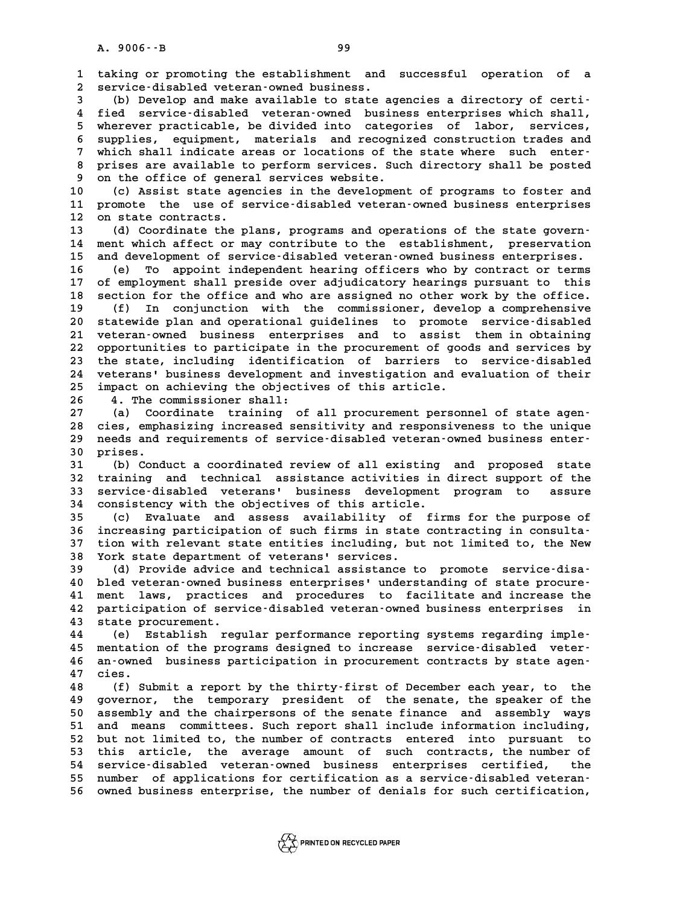**1 taking or promoting the establishment and successful operation of a** 1 taking or promoting the establishment and<br>2 service-disabled veteran-owned business.<br><sup>2</sup> (b) Develop and make available to state a 1 taking or promoting the establishment and successful operation of a<br>
2 service-disabled veteran-owned business.<br>
3 (b) Develop and make available to state agencies a directory of certi-<br>
<sup>4</sup> fied service-disabled veteran

**4 fied service-disabled veteran-owned business.**<br>
4 (b) Develop and make available to state agencies a directory of certi-<br>
4 fied service-disabled veteran-owned business enterprises which shall,<br>
5 whorever praticable be **5 (b) Develop and make available to state agencies a directory of certi-**<br>**4 fied service-disabled veteran-owned business enterprises which shall,**<br>**5 wherever practicable, be divided into categories of labor, services,**<br> 4 fied service-disabled veteran-owned business enterprises which shall,<br>5 wherever practicable, be divided into categories of labor, services,<br>6 supplies, equipment, materials and recognized construction trades and<br>7 which <sup>5</sup> wherever practicable, be divided into categories of labor, services,<br>
<sup>6</sup> supplies, equipment, materials and recognized construction trades and<br>
<sup>7</sup> which shall indicate areas or locations of the state where such enter 8 supplies, equipment, materials and recognized construction trades and<br>7 which shall indicate areas or locations of the state where such enter-<br>8 prises are available to perform services. Such directory shall be posted<br>8 9 which shall indicate areas or locations of the state where such enter-<br>8 prises are available to perform services. Such directory shall be posted<br>9 on the office of general services website.<br>10 (c) Assist state agencies

**10 (c) Assist state agencies in the development of programs to foster and** 9 on the office of general services website.<br>10 (c) Assist state agencies in the development of programs to foster and<br>11 promote the use of service-disabled veteran-owned business enterprises<br><sup>12</sup> on state contracts 10 (c) Assist state age<br>11 promote the use of s<br>12 on state contracts.<br><sup>13</sup> (d) Coordinate the p 11 promote the use of service-disabled veteran-owned business enterprises<br>
12 on state contracts.<br>
13 (d) Coordinate the plans, programs and operations of the state govern-<br>
<sup>14</sup> montivide affect or may contribute to the e

12 on state contracts.<br>13 (d) Coordinate the plans, programs and operations of the state govern-<br>14 ment which affect or may contribute to the establishment, preservation<br>15 and development of corrigo-disebled veterar-erme **13** (d) Coordinate the plans, programs and operations of the state govern-<br>14 ment which affect or may contribute to the establishment, preservation<br>15 and development of service-disabled veteran-owned business enterprise (d) Coordinate the plans, programs and operations of the state govern-<br>14 ment which affect or may contribute to the establishment, preservation<br>15 and development of service-disabled veteran-owned business enterprises.<br>16

**15 and development of service-disabled veteran-owned business enterprises.**<br>16 (e) To appoint independent hearing officers who by contract or terms<br>17 of employment shall preside over adjudicatory hearings pursuant to thi **16 (e) To appoint independent hearing officers who by contract or terms**<br>**17 of employment shall preside over adjudicatory hearings pursuant to this**<br>**18 section for the office and who are assigned no other work by the of** 17 of employment shall preside over adjudicatory hearings pursuant to this<br>18 section for the office and who are assigned no other work by the office.<br>19 (f) In conjunction with the commissioner, develop a comprehensive<br>20 20 statewide plan and operational guidelines to promote service-disabled<br>20 statewide plan and operational guidelines to promote service-disabled<br>21 veteran-owned business enterprises and to assist them in obtaining **21 veteran-owned business enterprises and to assist them in obtaining** 20 statewide plan and operational guidelines to promote service-disabled<br>21 veteran-owned business enterprises and to assist them in obtaining<br>22 opportunities to participate in the procurement of goods and services by<br><sup>23</sup> 21 veteran-owned business enterprises and to assist them in obtaining<br>22 opportunities to participate in the procurement of goods and services by<br>23 the state, including identification of barriers to service-disabled<br>24 up 22 opportunities to participate in the procurement of goods and services by<br>23 the state, including identification of barriers to service-disabled<br>24 veterans' business development and investigation and evaluation of their 23 the state, including identification of barriers to service-disabled<br>24 veterans' business development and investigation and evaluation of their<br>25 impact on achieving the objectives of this article.<br>26 4. The commission 25 impact on achieving the objectives of this article.<br>26 4. The commissioner shall:<br>27 (a) Coordinate training of all procurement per

**27 (a) Coordinate training of all procurement personnel of state agen-26 4. The commissioner shall:**<br> **27** (a) Coordinate training of all procurement personnel of state agencies, emphasizing increased sensitivity and responsiveness to the unique<br> **28** cies, emphasizing increased sensitivity 27 (a) Coordinate training of all procurement personnel of state agen-<br>28 cies, emphasizing increased sensitivity and responsiveness to the unique<br>29 needs and requirements of service-disabled veteran-owned business enter-28 cies, emph.<br>29 needs and<br>30 prises.<br><sup>31</sup> (b) Cond<sup>s</sup> 29 needs and requirements of service-disabled veteran-owned business enter-<br>30 prises.<br>31 (b) Conduct a coordinated review of all existing and proposed state<br>32 training and technical assistance activities in direct suppor

**30 prises.**<br>31 (b) Conduct a coordinated review of all existing and proposed state<br>32 training and technical assistance activities in direct support of the<br>33 service-disebled veterans! business development program to ass 31 (b) Conduct a coordinated review of all existing and proposed state<br>32 training and technical assistance activities in direct support of the<br>33 service-disabled veterans' business development program to assure<br><sup>34</sup> cons 32 training and technical assistance activities in<br>33 service-disabled veterans' business development<br>34 consistency with the objectives of this article.<br>25 (a) Furluite and assess availability of fir 33 service-disabled veterans' business development program to assure<br>34 consistency with the objectives of this article.<br>35 (c) Evaluate and assess availability of firms for the purpose of<br>ingressing participation of quab

34 consistency with the objectives of this article.<br>
35 (c) Evaluate and assess availability of firms for the purpose of<br>
36 increasing participation of such firms in state contracting in consulta-<br>
<sup>27</sup> tion with relevant **35** (c) Evaluate and assess availability of firms for the purpose of increasing participation of such firms in state contracting in consulta-<br>37 tion with relevant state entities including, but not limited to, the New 36 increasing participation of such firms in state contracting in consulta-<br>37 tion with relevant state entities including, but not limited to, the New<br>38 York state department of veterans' services.<br>39 (d) Provide advice 37 tion with relevant state entities including, but not limited to, the New<br>38 York state department of veterans' services.<br>(d) Provide advice and technical assistance to promote service-disa-<br><sup>10</sup> blod veteran-ouned busin

**40 bled veterant of veterans' services.**<br> **40 bled veteran-owned business enterprises' understanding of state procure-**<br> **40 bled veteran-owned business enterprises' understanding of state procure-**<br> **41 ment** laws practi **41 (a) Provide advice and technical assistance to promote service-disa-<br>
40 bled veteran-owned business enterprises' understanding of state procure-<br>
41 ment laws, practices and procedures to facilitate and increase the<br>** 40 bled veteran-owned business enterprises' understanding of state procure-<br>41 ment laws, practices and procedures to facilitate and increase the<br>42 participation of service-disabled veteran-owned business enterprises in<br>4 41 ment laws, practice<br>42 participation of serv<br>43 state procurement.<br>44 (0) Establish reg 42 participation of service-disabled veteran-owned business enterprises in<br>43 state procurement.<br>44 (e) Establish regular performance reporting systems regarding imple-<br><sup>45</sup> mentation of the programs designed to ingresse,

43 state procurement.<br>44 (e) Establish regular performance reporting systems regarding imple-<br>45 mentation of the programs designed to increase service-disabled veter-<br>46 apex med business participation in programment sept **44** (e) Establish regular performance reporting systems regarding imple-<br>45 mentation of the programs designed to increase service-disabled veter-<br>46 an-owned business participation in procurement contracts by state agen-45 mentation of the programs designed to increase service-disabled veter-<br>46 an-owned business participation in procurement contracts by state agen-<br>47 cies.<br>48 (f) Submit a report by the thirty-first of December each year **46 an-owned business participation in procurement contracts by state agen-**<br>47 cies. (f) Submit a report by the thirty-first of December each year, to the<br>48 covernor, the termorary president of the senate the speaker of

<sup>1</sup><br>
49 (f) Submit a report by the thirty-first of December each year, to the<br>
49 governor, the temporary president of the senate, the speaker of the<br>
50 aggombly and the shairpersons of the senate finance and aggombly wav **50 48** (f) Submit a report by the thirty-first of December each year, to the governor, the temporary president of the senate, the speaker of the assembly and the chairpersons of the senate finance and assembly ways<br>and me **50** governor, the temporary president of the senate, the speaker of the assembly and the chairpersons of the senate finance and assembly ways and means committees. Such report shall include information including,<br>  $52 \text{ but$ 50 assembly and the chairpersons of the senate finance and assembly ways<br>51 and means committees. Such report shall include information including,<br>52 but not limited to, the number of contracts entered into pursuant to<br>thi 51 and means committees. Such report shall include information including,<br>52 but not limited to, the number of contracts entered into pursuant to<br>53 this article, the average amount of such contracts, the number of<br>54 serv 52 but not limited to, the number of contracts entered into pursuant to<br>53 this article, the average amount of such contracts, the number of<br>54 service-disabled veteran-owned business enterprises certified, the<br>55 number o 53 this article, the average amount of such contracts, the number of service-disabled veteran-owned business enterprises certified, the number of applications for certification as a service-disabled veteran-<br>
55 number of 54 service-disabled veteran-owned business enterprises certified, the<br>55 number of applications for certification as a service-disabled veteran-<br>56 owned business enterprise, the number of denials for such certification,

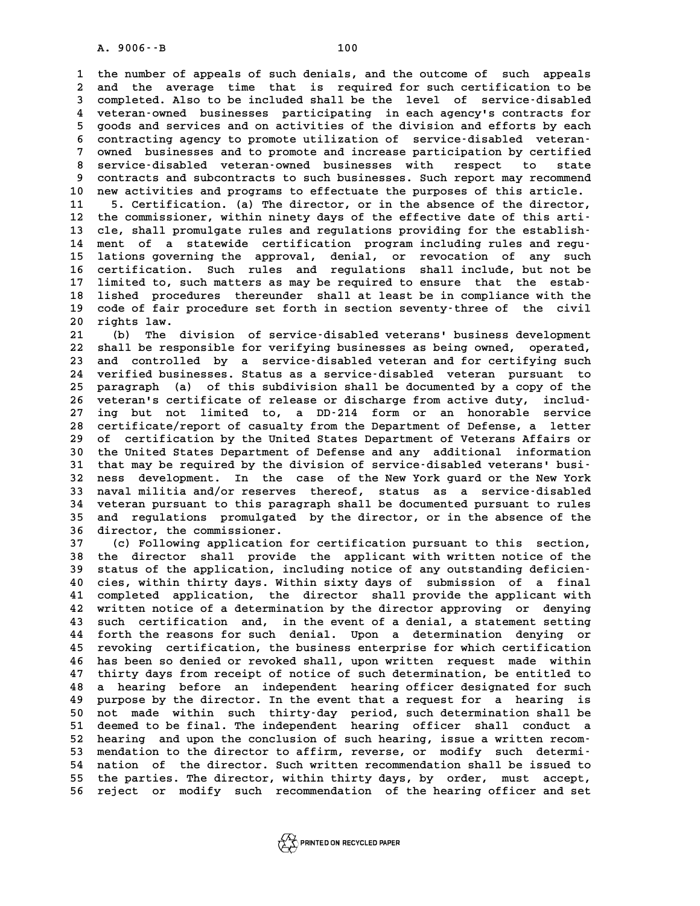A. 9006 --B<br>1 the number of appeals of such denials, and the outcome of such appeals<br>2 and the average time that is required for such sertification to be 1 the number of appeals of such denials, and the outcome of such appeals<br>2 and the average time that is required for such certification to be<br>3 completed Also to be included shall be the lavel of service-disabled 1 the number of appeals of such denials, and the outcome of such appeals<br>2 and the average time that is required for such certification to be<br>3 completed. Also to be included shall be the level of service-disabled<br>4 uptora 2 and the average time that is required for such certification to be completed. Also to be included shall be the level of service-disabled<br>4 veteran-owned businesses participating in each agency's contracts for<br>5 goods and 3 completed. Also to be included shall be the level of service-disabled<br>4 veteran-owned businesses participating in each agency's contracts for<br>5 goods and services and on activities of the division and efforts by each<br>5 c 4 veteran-owned businesses participating in each agency's contracts for<br>
5 goods and services and on activities of the division and efforts by each<br>
6 contracting agency to promote utilization of service-disabled veteran-<br> 5 goods and services and on activities of the division and efforts by each<br>6 contracting agency to promote utilization of service-disabled veteran-<br>7 owned businesses and to promote and increase participation by certified<br> 8 contracting agency to promote utilization of service-disabled veteran-<br>
7 owned businesses and to promote and increase participation by certified<br>
8 service-disabled veteran-owned businesses with respect to state<br>
8 serv 9 owned businesses and to promote and increase participation by certified<br>8 service-disabled veteran-owned businesses with respect to state<br>9 contracts and subcontracts to such businesses. Such report may recommend<br>9 nove 10 11 11 12 new idea of the absence of the directors and subcontracts to such businesses. Such report may recommend<br>
10 new activities and programs to effectuate the purposes of this article.<br>
11 5 Certification (a) The di 9 contracts and subcontracts to such businesses. Such report may recommend<br>10 new activities and programs to effectuate the purposes of this article.<br>11 5. Certification. (a) The director, or in the absence of the director

10 new activities and programs to effectuate the purposes of this article.<br>
11 5. Certification. (a) The director, or in the absence of the director,<br>
12 the commissioner, within ninety days of the effective date of this a 11 5. Certification. (a) The director, or in the absence of the director,<br>
12 the commissioner, within ninety days of the effective date of this arti-<br>
13 cle, shall promulgate rules and regulations providing for the estab 12 the commissioner, within ninety days of the effective date of this arti-<br>
13 cle, shall promulgate rules and regulations providing for the establish-<br>
14 ment of a statewide certification program including rules and reg 13 cle, shall promulgate rules and regulations providing for the establish-<br>14 ment of a statewide certification program including rules and regu-<br>15 lations governing the approval, denial, or revocation of any such<br>16 cer 14 ment of a statewide certification program including rules and regu-<br>15 lations governing the approval, denial, or revocation of any such<br>16 certification. Such rules and regulations shall include, but not be<br>17 limited 15 lations governing the approval, denial, or revocation of any such<br>16 certification. Such rules and regulations shall include, but not be<br>17 limited to, such matters as may be required to ensure that the estab-<br><sup>18</sup> ligh 16 certification. Such rules and regulations shall include, but not be 17 limited to, such matters as may be required to ensure that the estab-<br>18 lished procedures thereunder shall at least be in compliance with the<br>20de 17 limited to, such matters as may be required to ensure that the estab-<br>18 lished procedures thereunder shall at least be in compliance with the<br>19 code of fair procedure set forth in section seventy-three of the civil<br>20 18 lished procedures thereunder shall at least be in compliance with the<br>19 code of fair procedure set forth in section seventy-three of the civil<br>20 rights law.<br>21 (b) The division of service-disabled veterans' business d code of fair procedure set forth in section seventy-three of the civil

<sup>20</sup> rights law.<br>
21 (b) The division of service-disabled veterans' business development<br>
22 shall be responsible for verifying businesses as being owned, operated,<br>
23 and controlled by a service-disabled veterap and for 21 (b) The division of service-disabled veterans' business development<br>22 shall be responsible for verifying businesses as being owned, operated,<br>23 and controlled by a service-disabled veteran and for certifying such<br>24 u 22 shall be responsible for verifying businesses as being owned, operated,<br>23 and controlled by a service-disabled veteran and for certifying such<br>24 verified businesses. Status as a service-disabled veteran pursuant to<br>25 23 and controlled by a service-disabled veteran and for certifying such<br>24 verified businesses. Status as a service-disabled veteran pursuant to<br>25 paragraph (a) of this subdivision shall be documented by a copy of the<br>26 24 verified businesses. Status as a service-disabled veteran pursuant to<br>25 paragraph (a) of this subdivision shall be documented by a copy of the<br>26 veteran's certificate of release or discharge from active duty, includ-<br> 25 paragraph (a) of this subdivision shall be documented by a copy of the<br>26 veteran's certificate of release or discharge from active duty, includ-<br>27 ing but not limited to, a DD-214 form or an honorable service<br>28 certi **26 veteran's certificate of release or discharge from active duty, includ-**<br>27 ing but not limited to, a DD-214 form or an honorable service<br>28 certificate/report of casualty from the Department of Defense, a letter<br>29 of 27 ing but not limited to, a DD-214 form or an honorable service<br>28 certificate/report of casualty from the Department of Defense, a letter<br>29 of certification by the United States Department of Veterans Affairs or<br>20 the **38 certificate/report of casualty from the Department of Defense, a letter**<br>**30 of certification by the United States Department of Veterans Affairs or**<br>**30 the United States Department of Defense and any additional infor** 39 of certification by the United States Department of Veterans Affairs or<br>30 the United States Department of Defense and any additional information<br>31 that may be required by the division of service-disabled veterans' bus 30 the United States Department of Defense and any additional information<br>31 that may be required by the division of service-disabled veterans' busi-<br>32 ness development. In the case of the New York guard or the New York<br>3 31 that may be required by the division of service-disabled veterans' busi-<br>32 ness development. In the case of the New York guard or the New York<br>33 naval militia and/or reserves thereof, status as a service-disabled<br>34 u **32** ness development. In the case of the New York guard or the New York<br>33 naval militia and/or reserves thereof, status as a service-disabled 33 naval militia and/or reserves thereof, status as a service-disabled<br>34 veteran pursuant to this paragraph shall be documented pursuant to rules<br>35 and regulations promulgated by the director, or in the absence of the<br><sup>3</sup> 34 veteran pursuant to this paragraph shall be documented pursuant to rules<br>35 and regulations promulgated by the director, or in the absence of the<br>36 director, the commissioner.<br>37 (c) Following application for certifica **35 and regulations promulgated by the director, or in the absence of the director, the commissioner.**<br>37 (c) Following application for certification pursuant to this section,<br><sup>38</sup> the director shall provide the applicant

**36 director, the commissioner.**<br> **37** (c) Following application for certification pursuant to this section,<br> **38** the director shall provide the applicant with written notice of the<br> **39** status of the application includi **37** (c) Following application for certification pursuant to this section,<br>
38 the director shall provide the applicant with written notice of the<br>
39 status of the application, including notice of any outstanding deficien **40 cies, with the status of the applicant with written notice of the status of the application, including notice of any outstanding deficien-**<br>**40 cies, within thirty days. Within sixty days of submission of a final**<br>21 c 39 status of the application, including notice of any outstanding deficien-<br>40 cies, within thirty days. Within sixty days of submission of a final<br>41 completed application, the director shall provide the applicant with<br>42 **42 written notice of a determination by the director approving or denying** 41 completed application, the director shall provide the applicant with<br>42 written notice of a determination by the director approving or denying<br>43 such certification and, in the event of a denial, a statement setting<br>44 42 written notice of a determination by the director approving or denying<br>43 such certification and, in the event of a denial, a statement setting<br>44 forth the reasons for such denial. Upon a determination denying or<br>15 re 43 such certification and, in the event of a denial, a statement setting<br>44 forth the reasons for such denial. Upon a determination denying or<br>45 revoking certification, the business enterprise for which certification<br>16 h 44 forth the reasons for such denial. Upon a determination denying or<br>45 revoking certification, the business enterprise for which certification<br>46 has been so denied or revoked shall, upon written request made within<br>47 t **45 revoking certification, the business enterprise for which certification**<br>46 has been so denied or revoked shall, upon written request made within<br>47 thirty days from receipt of notice of such determination, be entitled A has been so denied or revoked shall, upon written request made within<br>47 thirty days from receipt of notice of such determination, be entitled to<br>48 a hearing before an independent hearing officer designated for such<br>19 47 thirty days from receipt of notice of such determination, be entitled to<br>48 a hearing before an independent hearing officer designated for such<br>49 purpose by the director. In the event that a request for a hearing is<br>50 48 a hearing before an independent hearing officer designated for such<br>49 purpose by the director. In the event that a request for a hearing is<br>50 not made within such thirty-day period, such determination shall be<br>51 deem 49 purpose by the director. In the event that a request for a hearing is<br>50 not made within such thirty-day period, such determination shall be<br>51 deemed to be final. The independent hearing officer shall conduct a<br>52 begi 50 not made within such thirty-day period, such determination shall be<br>
51 deemed to be final. The independent hearing officer shall conduct a<br>
52 hearing and upon the conclusion of such hearing, issue a written recom-<br>
53 51 deemed to be final. The independent hearing officer shall conduct a<br>
52 hearing and upon the conclusion of such hearing, issue a written recom-<br>
53 mendation to the director to affirm, reverse, or modify such determi-<br> 52 hearing and upon the conclusion of such hearing, issue a written recom-<br>53 mendation to the director to affirm, reverse, or modify such determi-<br>54 nation of the director. Such written recommendation shall be issued to<br> 53 mendation to the director to affirm, reverse, or modify such determi-<br>54 nation of the director. Such written recommendation shall be issued to<br>55 the parties. The director, within thirty days, by order, must accept,<br>56 54 nation of the director. Such written recommendation shall be issued to<br>55 the parties. The director, within thirty days, by order, must accept,<br>56 reject or modify such recommendation of the hearing officer and set

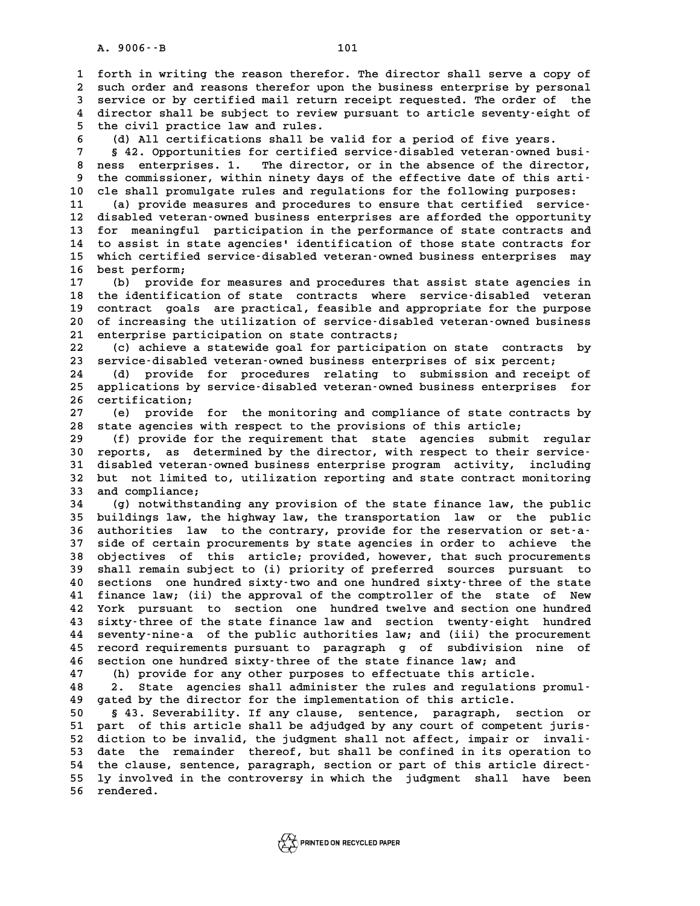**1 forth in writing the reason therefor. The director shall serve a copy of 2** forth in writing the reason therefor. The director shall serve a copy of such order and reasons therefor upon the business enterprise by personal<br>2 service or by certified mail return regaint requested The order of the 1 forth in writing the reason therefor. The director shall serve a copy of<br>2 such order and reasons therefor upon the business enterprise by personal<br>3 service or by certified mail return receipt requested. The order of th 2 such order and reasons therefor upon the business enterprise by personal<br>3 service or by certified mail return receipt requested. The order of the<br>4 director shall be subject to review pursuant to article seventy-eight o 3 service or by certified mail return<br>4 director shall be subject to review<br>5 the civil practice law and rules.<br><sup>6</sup> (d) ll contifications shall be up 4 director shall be subject to review pursuant to article seventy-eight of<br>5 the civil practice law and rules.<br>6 (d) All certifications shall be valid for a period of five years.<br>8 42. Opportunities for certified service-d 5 the civil practice law and rules.<br>
6 (d) All certifications shall be valid for a period of five years.<br>
7 § 42. Opportunities for certified service-disabled veteran-owned busi-<br>
8 noss optornaises a mbo director or in th **8 (d) All certifications shall be valid for a period of five years.**<br>**8 42. Opportunities for certified service-disabled veteran-owned busi-**<br>**8 ness enterprises. 1.** The director, or in the absence of the director,<br>the c **9 42. Opportunities for certified service-disabled veteran-owned busi-**<br> **9 the commissioner, within ninety days of the effective date of this arti-**<br> **9 the commissioner, within ninety days of the effective date of this** 8 ness enterprises. 1. The director, or in the absence of the director,<br>
9 the commissioner, within ninety days of the effective date of this arti-<br>
10 cle shall promulgate rules and regulations for the following purposes: 9 the commissioner, within ninety days of the effective date of this arti-<br>
10 cle shall promulgate rules and regulations for the following purposes:<br>
11 (a) provide measures and procedures to ensure that certified service **10 cle shall promulgate rules and regulations for the following purposes:**<br> **11** (a) provide measures and procedures to ensure that certified service-<br> **12** disabled veteran-owned business enterprises are afforded the opp 11 (a) provide measures and procedures to ensure that certified service-<br>12 disabled veteran-owned business enterprises are afforded the opportunity<br>13 for meaningful participation in the performance of state contracts and 12 disabled veteran-owned business enterprises are afforded the opportunity<br>13 for meaningful participation in the performance of state contracts and<br>14 to assist in state agencies' identification of those state contracts 13 for meaningful participation in the performance of state contracts and<br>14 to assist in state agencies' identification of those state contracts for<br>15 which certified service-disabled veteran-owned business enterprises m 14 to assist in sta<br>15 which certified<br>16 best perform;<br><sup>17</sup> (b) provide f **15 which certified service-disabled veteran-owned business enterprises may**<br>**16 best perform;**<br>**17** (b) provide for measures and procedures that assist state agencies in<br>**18 the identification of state contracts where ser 16 best perform;**<br>
17 (b) provide for measures and procedures that assist state agencies in<br>
18 the identification of state contracts where service-disabled veteran<br>
19 contract sols are practical foasible and appropriate 17 (b) provide for measures and procedures that assist state agencies in<br>18 the identification of state contracts where service-disabled veteran<br>19 contract goals are practical, feasible and appropriate for the purpose<br>20 18 the identification of state contracts where service-disabled veteran<br>19 contract goals are practical, feasible and appropriate for the purpose<br>20 of increasing the utilization of service-disabled veteran-owned business<br> 21 contract goals are practical, feasible and appropriate for the purpose<br>20 of increasing the utilization of service-disabled veteran-owned business<br>21 enterprise participation on state contracts;<br>22 (c) achieve a statewi 20 of increasing the utilization of service-disabled veteran-owned business<br>21 enterprise participation on state contracts;<br>22 (c) achieve a statewide goal for participation on state contracts by<br>23 service-disabled vetera 21 enterprise participation on state contracts;<br>22 (c) achieve a statewide goal for participation on state contracts<br>23 service-disabled veteran-owned business enterprises of six percent;<br>24 (d) provide for prosedures rela 22 (c) achieve a statewide goal for participation on state contracts by<br>23 service-disabled veteran-owned business enterprises of six percent;<br>(d) provide for procedures relating to submission and receipt of<br>25 spoligation 23 service-disabled veteran-owned business enterprises of six percent;<br>24 (d) provide for procedures relating to submission and receipt of<br>25 applications by service-disabled veteran-owned business enterprises for<br>26 appli 24 (d) provide f<br>25 applications by s<br>26 certification;<br><sup>27</sup> (e) provide f 25 applications by service-disabled veteran-owned business enterprises for<br>26 certification;<br>27 (e) provide for the monitoring and compliance of state contracts by<br>28 state contracts with regard to the provisions of this a 26 certification;<br>27 (e) provide for the monitoring and compliance of state contracts by<br>28 state agencies with respect to the provisions of this article;<br>29 (f) provide for the requirement that state agencies submit requl **27** (e) provide for the monitoring and compliance of state contracts by<br> **28** state agencies with respect to the provisions of this article;<br>
(f) provide for the requirement that state agencies submit regular<br> **20** report 30 state agencies with respect to the provisions of this article;<br>
30 (f) provide for the requirement that state agencies submit regular<br>
30 reports, as determined by the director, with respect to their service-<br>
<sup>31</sup> disa 30 reports, as determined by the director, with respect to their service<sup>-</sup><br>31 disabled veteran-owned business enterprise program activity, including<br>32 but not limited to, utilization reporting and state contract monitori **30 reports, as determined by the director, with respect to their service-**<br>31 disabled veteran-owned business enterprise program activity, including<br>32 but not limited to, utilization reporting and state contract monitori 31 disabled veteran-o<sup>32</sup> but not limited to<br>33 and compliance;<br><sup>34</sup> (3) potwithstand 32 but not limited to, utilization reporting and state contract monitoring<br>33 and compliance;<br>(g) notwithstanding any provision of the state finance law, the public<br><sup>35</sup> buildings law, the bighway law, the transportation l **33 and compliance;<br>34 (g) notwithstanding any provision of the state finance law, the public<br>35 buildings law, the highway law, the transportation law or the public<br>26 authorities law to the sentrary provide for the reser** 34 (g) notwithstanding any provision of the state finance law, the public<br>35 buildings law, the highway law, the transportation law or the public<br>36 authorities law to the contrary, provide for the reservation or set-a-<br><sup>3</sup> **35 buildings law, the highway law, the transportation law or the public authorities law to the contrary, provide for the reservation or set-a-**<br>37 side of certain procurements by state agencies in order to achieve the<br>28 **36 authorities law to the contrary, provide for the reservation or set-a-**<br>37 side of certain procurements by state agencies in order to achieve the<br>38 objectives of this article; provided, however, that such procurements 37 side of certain procurements by state agencies in order to achieve the<br>38 objectives of this article; provided, however, that such procurements<br>39 shall remain subject to (i) priority of preferred sources pursuant to<br>20 **40 sections of this article, provided, however, that such procurements**<br> **40 sections one hundred sixty-two and one hundred sixty-three of the state**<br> **40 sections one hundred sixty-two and one hundred sixty-three of the** 39 shall remain subject to (i) priority of preferred sources pursuant to<br>40 sections one hundred sixty-two and one hundred sixty-three of the state<br>41 finance law; (ii) the approval of the comptroller of the state of New<br>4 **42 York pursuant to section one hundred twelve and section one hundred** 41 finance law; (ii) the approval of the comptroller of the state of New<br>42 York pursuant to section one hundred twelve and section one hundred<br>43 sixty-three of the state finance law and section twenty-eight hundred<br>44 se **42 York pursuant to section one hundred twelve and section one hundred**<br>**43 sixty-three of the state finance law and section twenty-eight hundred**<br>**44 seventy-nine-a of the public authorities law; and (iii) the procuremen** 43 sixty-three of the state finance law and section twenty-eight hundred<br>44 seventy-nine-a of the public authorities law; and (iii) the procurement<br>45 record requirements pursuant to paragraph g of subdivision nine of<br>46 s 44 seventy-nine-a of the public authorities law; and (iii) the procurement<br>45 record requirements pursuant to paragraph g of subdivision nine of<br>46 section one hundred sixty-three of the state finance law; and<br>47 (h) provi 45 record requirements pursuant to paragraph g of subdivision nine of<br>46 section one hundred sixty-three of the state finance law; and<br>47 (h) provide for any other purposes to effectuate this article.<br>2. State agencies sha **48 2. State agencies shall administer the rules and regulations promul-**47 (h) provide for any other purposes to effectuate this article.<br>48 2. State agencies shall administer the rules and regulations<br>49 gated by the director for the implementation of this article.<br>50 § 43. Severability. If a 2. State agencies shall administer the rules and regulations promul-<br>49 gated by the director for the implementation of this article.<br>50 § 43. Severability. If any clause, sentence, paragraph, section or<br>51 part of this ar gated by the director for the implementation of this article.<br>
50 § 43. Severability. If any clause, sentence, paragraph, section or<br>
51 part of this article shall be adjudged by any court of competent juris-<br>
52. diction 50 § 43. Severability. If any clause, sentence, paragraph, section or<br>
51 part of this article shall be adjudged by any court of competent juris-<br>
52 diction to be invalid, the judgment shall not affect, impair or invali-<br> 51 part of this article shall be adjudged by any court of competent juris-<br>52 diction to be invalid, the judgment shall not affect, impair or invali-<br>53 date the remainder thereof, but shall be confined in its operation to 52 diction to be invalid, the judgment shall not affect, impair or invali-<br>
53 date the remainder thereof, but shall be confined in its operation to<br>
54 the clause, sentence, paragraph, section or part of this article dire 53 date the remainder thereof, but shall be confined in its operation to<br>54 the clause, sentence, paragraph, section or part of this article direct-<br>55 ly involved in the controversy in which the judgment shall have been 55 ly involved in the controversy in which the judgment shall have been<br>56 rendered.

 $\sum_{i=1}^{n}$  PRINTED ON RECYCLED PAPER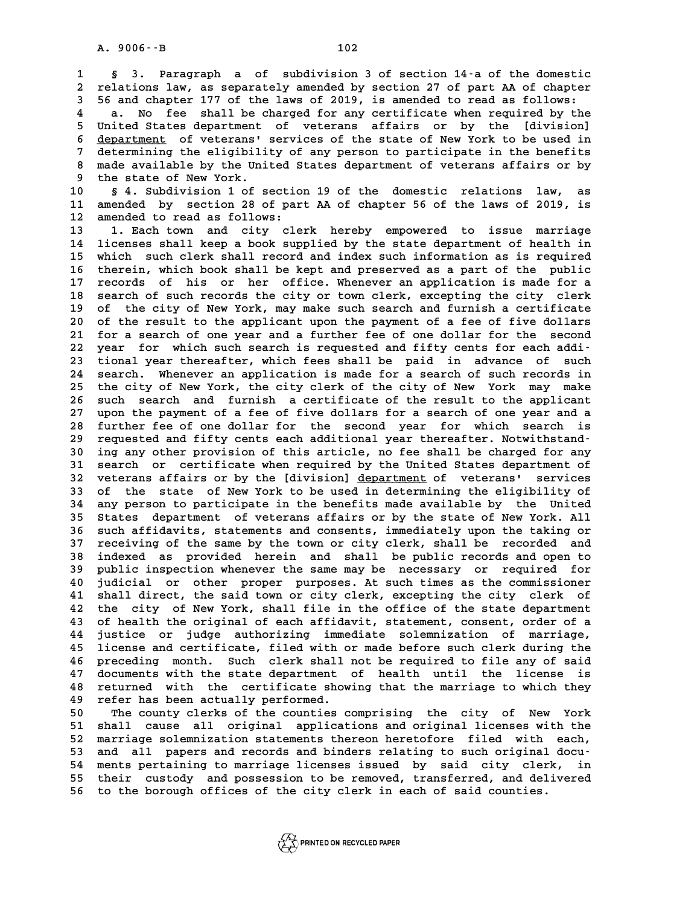**1 § 3. Paragraph a of subdivision 3 of section 14-a of the domestic 2 relations law, as separately amended by section 27 of part AA of chapter 8 3. Paragraph a of subdivision 3 of section 14-a of the domestic<br>
2 relations law, as separately amended by section 27 of part AA of chapter<br>
3 56 and chapter 177 of the laws of 2019, is amended to read as follows:<br>
4 a 4** a. No fee shall be charged by section 27 of part AA of chapter<br> **4** a. No fee shall be charged for any certificate when required by the<br> **4** a. No fee shall be charged for any certificate when required by the<br> **5** Unit

56 and chapter 177 of the laws of 2019, is amended to read as follows:<br>4 a. No fee shall be charged for any certificate when required by the<br>5 United States department of veterans affairs or by the [division] **6 department of veterans affairs or by the [division]**<br>**6 department of veterans affairs or by the [division]**<br>**6 department** of veterans' services of the state of New York to be used in<br>**2** determining the eligibility of 5 United States department of veterans affairs or by the [division]<br>6 <u>department</u> of veterans' services of the state of New York to be used in<br>7 determining the eligibility of any person to participate in the benefits<br>2 m **8 department** of veterans' services of the state of New York to be used in<br>
7 determining the eligibility of any person to participate in the benefits<br>
8 made available by the United States department of veterans affairs 7 determining the eligibility of any person to participate in the benefits<br>8 made available by the United States department of veterans affairs or by<br>9 the state of New York.<br>10 \$ 4. Subdivision 1 of section 19 of the dome 8 made available by the United States department of veterans affairs or by<br>
9 the state of New York.<br>
10 § 4. Subdivision 1 of section 19 of the domestic relations law, as<br>
11 amended by section 28 of part AA of chapter 56

<sup>9</sup> the state of New York.<br>
10 § 4. Subdivision 1 of section 19 of the domestic relations law, as<br>
11 amended by section 28 of part AA of chapter 56 of the laws of 2019, is<br>
<sup>12</sup> amended to read as follows: 10 § 4. Subdivision 1 of section<br>11 amended by section 28 of par<br>12 amended to read as follows:<br><sup>13</sup> <sup>1 Fach town and gity gle</sup> 11 amended by section 28 of part AA of chapter 56 of the laws of 2019, is<br>12 amended to read as follows:<br>13 1. Each town and city clerk hereby empowered to issue marriage<br>14 liganses shall been a book supplied by the state

12 amended to read as follows:<br>13 1. Each town and city clerk hereby empowered to issue marriage<br>14 licenses shall keep a book supplied by the state department of health in<br>15 which such clerk shall recent and index such i 13 1. Each town and city clerk hereby empowered to issue marriage<br>14 licenses shall keep a book supplied by the state department of health in<br>15 which such clerk shall record and index such information as is required<br>16 th 14 licenses shall keep a book supplied by the state department of health in<br>15 which such clerk shall record and index such information as is required<br>16 therein, which book shall be kept and preserved as a part of the pub **15 which such clerk shall record and index such information as is required**<br>**16 therein, which book shall be kept and preserved as a part of the public<br>17 records of his or her office. Whenever an application is made for** 16 therein, which book shall be kept and preserved as a part of the public<br>17 records of his or her office. Whenever an application is made for a<br>18 search of such records the city or town clerk, excepting the city clerk<br>1 17 records of his or her office. Whenever an application is made for a<br>18 search of such records the city or town clerk, excepting the city clerk<br>19 of the city of New York, may make such search and furnish a certificate<br>2 18 search of such records the city or town clerk, excepting the city clerk<br>19 of the city of New York, may make such search and furnish a certificate<br>20 of the result to the applicant upon the payment of a fee of five doll 19 of the city of New York, may make such search and furnish a certificate<br>20 of the result to the applicant upon the payment of a fee of five dollars<br>21 for a search of one year and a further fee of one dollar for the sec 20 of the result to the applicant upon the payment of a fee of five dollars<br>
21 for a search of one year and a further fee of one dollar for the second<br>
22 year for which such search is requested and fifty cents for each a 21 for a search of one year and a further fee of one dollar for the second<br>22 year for which such search is requested and fifty cents for each addi-<br>23 tional year thereafter, which fees shall be paid in advance of such<br>24 22 year for which such search is requested and fifty cents for each addi-<br>23 tional year thereafter, which fees shall be paid in advance of such<br>24 search. Whenever an application is made for a search of such records in<br>25 23 tional year thereafter, which fees shall be paid in advance of such<br>24 search. Whenever an application is made for a search of such records in<br>25 the city of New York, the city clerk of the city of New York may make<br>26 24 search. Whenever an application is made for a search of such records in<br>25 the city of New York, the city clerk of the city of New York may make<br>26 such search and furnish a certificate of the result to the applicant<br>27 25 the city of New York, the city clerk of the city of New York may make<br>26 such search and furnish a certificate of the result to the applicant<br>27 upon the payment of a fee of five dollars for a search of one year and a<br><sup></sup> 26 such search and furnish a certificate of the result to the applicant<br>27 upon the payment of a fee of five dollars for a search of one year and a<br>28 further fee of one dollar for the second year for which search is<br>29 re 27 upon the payment of a fee of five dollars for a search of one year and a<br>28 further fee of one dollar for the second year for which search is<br>29 requested and fifty cents each additional year thereafter. Notwithstand-<br><sup></sup> 28 further fee of one dollar for the second year for which search is<br>29 requested and fifty cents each additional year thereafter. Notwithstand-<br>30 ing any other provision of this article, no fee shall be charged for any<br>3 29 requested and fifty cents each additional year thereafter. Notwithstand-<br>30 ing any other provision of this article, no fee shall be charged for any<br>31 search or certificate when required by the United States department 30 ing any other provision of this article, no fee shall be charged for any<br>31 search or certificate when required by the United States department of<br>32 veterans affairs or by the [division] <u>department</u> of veterans' servi 31 search or certificate when required by the United States department of<br>32 veterans affairs or by the [division] <u>department</u> of veterans' services<br>33 of the state of New York to be used in determining the eligibility of 32 veterans affairs or by the [division] <u>department</u> of veterans' services<br>33 of the state of New York to be used in determining the eligibility of<br>34 any person to participate in the benefits made available by the United 33 of the state of New York to be used in determining the eligibility of<br>34 any person to participate in the benefits made available by the United<br>35 States department of veterans affairs or by the state of New York. All<br>3 **34 any person to participate in the benefits made available by the United States department of veterans affairs or by the state of New York. All such affidavits, statements and consents, immediately upon the taking or<br>27** 35 States department of veterans affairs or by the state of New York. All<br>36 such affidavits, statements and consents, immediately upon the taking or<br>37 receiving of the same by the town or city clerk, shall be recorded an 36 such affidavits, statements and consents, immediately upon the taking or<br>37 receiving of the same by the town or city clerk, shall be recorded and<br>38 indexed as provided herein and shall be public records and open to<br><sup>3</sup> **37 receiving of the same by the town or city clerk, shall be recorded and indexed as provided herein and shall be public records and open to public inspection whenever the same may be necessary or required for 40 indexed as provided herein and shall be public records and open to<br>
40 public inspection whenever the same may be necessary or required for<br>
40 judicial or other proper purposes. At such times as the commissioner<br>
41 s** 39 public inspection whenever the same may be necessary or required for<br>40 judicial or other proper purposes. At such times as the commissioner<br>41 shall direct, the said town or city clerk, excepting the city clerk of<br>42 t **40 judicial or other proper purposes. At such times as the commissioner**<br>**41 shall direct, the said town or city clerk, excepting the city clerk of**<br>**42 the city of New York, shall file in the office of the state departme** 41 shall direct, the said town or city clerk, excepting the city clerk of<br>42 the city of New York, shall file in the office of the state department<br>43 of health the original of each affidavit, statement, consent, order of **44 justice or judge authorizing immediate solemnization of marriage,** 43 of health the original of each affidavit, statement, consent, order of a<br>44 justice or judge authorizing immediate solemnization of marriage,<br>45 license and certificate, filed with or made before such clerk during the<br>4 **44 justice or judge authorizing immediate solemnization of marriage,<br>45 license and certificate, filed with or made before such clerk during the<br>46 preceding month. Such clerk shall not be required to file any of said<br>47 45 license and certificate, filed with or made before such clerk during the preceding month. Such clerk shall not be required to file any of said documents with the state department of health until the license is<br>a return** 46 preceding month. Such clerk shall not be required to file any of said<br>47 documents with the state department of health until the license is<br>48 returned with the certificate showing that the marriage to which they<br>19 ref 47 documents with the state department<br>48 returned with the certificate show<br>49 refer has been actually performed.<br>50 mbo county clocks of the counties G **50 The countificate showing that the marriage to which they**<br> **50 The county clerks of the counties comprising the city of New York**<br> **51 Shall cause all original applications and original ligenses with the** 

**50** refer has been actually performed.<br> **51** shall cause all original applications and original licenses with the<br> **51** shall cause all original applications and original licenses with the<br> **52** marriage colomnization sta The county clerks of the counties comprising the city of New York<br>
51 shall cause all original applications and original licenses with the<br>
52 marriage solemnization statements thereon heretofore filed with each,<br>
53 and a 51 shall cause all original applications and original licenses with the<br>
52 marriage solemnization statements thereon heretofore filed with each,<br>
53 and all papers and records and binders relating to such original docu-<br> 53 and all papers and records and binders relating to such original docu<sup>1</sup><br>54 ments pertaining to marriage licenses issued by said city clerk, in<br>55 their custody and possession to be removed, transferred, and delivered 53 and all papers and records and binders relating to such original docu-<br>54 ments pertaining to marriage licenses issued by said city clerk, in<br>55 their custody and possession to be removed, transferred, and delivered<br>56 54 ments pertaining to marriage licenses issued by said city cler<br>55 their custody and possession to be removed, transferred, and del<br>56 to the borough offices of the city clerk in each of said counties.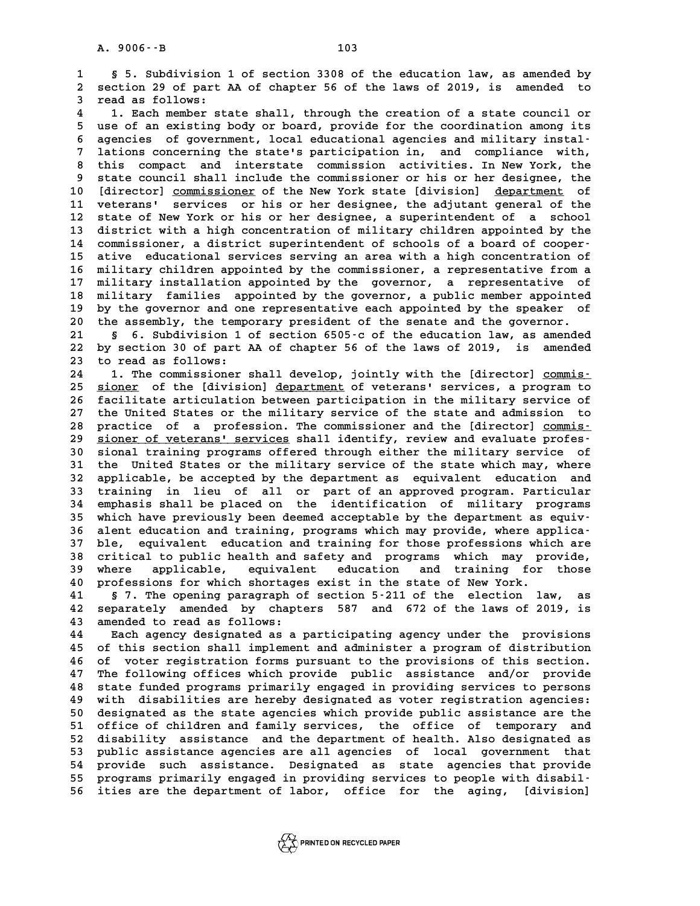A. 9006 - B<br>1 § 5. Subdivision 1 of section 3308 of the education law, as amended by<br>2 section 29 of part AA of chapter 56 of the laws of 2019, is amended to **2 section 29 of part AA of chapter 56 of the laws of 2019, is amended to 3 5.** Subdivision<br>2 section 29 of part<br>3 read as follows:<br>4 **1** Fach member at **4** 1. Each member state shall, through the creation of a state council or<br> **4** 1. Each member state shall, through the creation of a state council or<br> **4** 1. Each member state shall, through the creation of a state counci

5 read as follows:<br>
4 1. Each member state shall, through the creation of a state council or<br>
5 use of an existing body or board, provide for the coordination among its<br>
6 agencies of government, local educational agencies 1. Each member state shall, through the creation of a state council or<br>
5 use of an existing body or board, provide for the coordination among its<br>
6 agencies of government, local educational agencies and military instal-<br> 5 use of an existing body or board, provide for the coordination among its<br>6 agencies of government, local educational agencies and military instal-<br>7 lations concerning the state's participation in, and compliance with,<br>t **8** agencies of government, local educational agencies and military instal-<br> **8 this compact and interstate commission activities. In New York, the**<br> **8 this compact and interstate commission activities. In New York, the** 9 lations concerning the state's participation in, and compliance with,<br>8 this compact and interstate commission activities. In New York, the<br>9 state council shall include the commissioner or his or her designee, the<br>10 [d 8 this compact and interstate commission activities. In New York, the<br>9 state council shall include the commissioner or his or her designee, the<br>10 [director] <u>commissioner</u> of the New York state [division] <u>department</u> of 9 state council shall include the commissioner or his or her designee, the [director] <u>commissioner</u> of the New York state [division] <u>department</u> of veterans' services or his or her designee, the adjutant general of the a 10 [director] <u>commissioner</u> of the New York state [division] <u>department</u> of<br>11 veterans' services or his or her designee, the adjutant general of the<br>12 state of New York or his or her designee, a superintendent of a sch 11 veterans' services or his or her designee, the adjutant general of the<br>12 state of New York or his or her designee, a superintendent of a school<br>13 district with a high concentration of military children appointed by th 12 state of New York or his or her designee, a superintendent of a school<br>13 district with a high concentration of military children appointed by the<br>14 commissioner, a district superintendent of schools of a board of coop 13 district with a high concentration of military children appointed by the<br>14 commissioner, a district superintendent of schools of a board of cooper-<br>15 ative educational services serving an area with a high concentratio 14 commissioner, a district superintendent of schools of a board of cooper-<br>15 ative educational services serving an area with a high concentration of<br>16 military children appointed by the commissioner, a representative fr 15 ative educational services serving an area with a high concentration of<br>16 military children appointed by the commissioner, a representative from a<br>17 military installation appointed by the governor, a representative of 16 military children appointed by the commissioner, a representative from a<br>17 military installation appointed by the governor, a representative of<br>18 military families appointed by the governor, a public member appointed<br> 17 military installation appointed by the governor, a representative of 18 military families appointed by the governor, a public member appointed by the governor and one representative each appointed by the speaker of the 18 military families appointed by the governor, a public member appointed<br>19 by the governor and one representative each appointed by the speaker of<br>20 the assembly, the temporary president of the senate and the governor. by the governor and one representative each appointed by the speaker of<br>20 the assembly, the temporary president of the senate and the governor.<br>21 § 6. Subdivision 1 of section 6505 c of the education law, as amended<br>22 b

20 the assembly, the temporary president of the senate and the governor.<br>21 § 6. Subdivision 1 of section 6505 c of the education law, as amended<br>22 by section 30 of part AA of chapter 56 of the laws of 2019, is amended<br>23 21 § 6. Subdivision 1<br>22 by section 30 of part<br>23 to read as follows:<br><sup>24</sup> <sup>1</sup> The commissioner 22 by section 30 of part AA of chapter 56 of the laws of 2019, is amended<br>23 to read as follows:<br>24 1. The commissioner shall develop, jointly with the [director] <u>commis-</u><br>25 sioner of the [division] department of uptoran

23 to read as follows:<br>24 1. The commissioner shall develop, jointly with the [director] <u>commis-</u><br>25 <u>sioner</u> of the [division] <u>department</u> of veterans' services, a program to<br>26 focilitate articulation between participa 1. The commissioner shall develop, jointly with the [director] <u>commis-</u><br>25 <u>sioner</u> of the [division] <u>department</u> of veterans' services, a program to<br>26 facilitate articulation between participation in the military servi 25 <u>sioner</u> of the [division] <u>department</u> of veterans' services, a program to<br>26 facilitate articulation between participation in the military service of<br>27 the United States or the military service of the state and admis 26 facilitate articulation between participation in the military service of<br>27 the United States or the military service of the state and admission to<br>28 practice of a profession. The commissioner and the [director] <u>commi</u> 27 the United States or the military service of the state and admission to<br>28 practice of a profession. The commissioner and the [director] <u>commis-</u><br>29 sioner of veterans' services shall identify, review and evaluate prof 28 practice of a profession. The commissioner and the [director] <u>commis-</u><br>29 <u>sioner of veterans' services</u> shall identify, review and evaluate profes-<br>30 sional training programs offered through either the military servi <sup>29</sup> sioner of veterans' services shall identify, review and evaluate profes-<br>30 sional training programs offered through either the military service of<br>31 the United States or the military service of the state which may, 30 sional training programs offered through either the military service of<br>31 the United States or the military service of the state which may, where<br>32 applicable, be accepted by the department as equivalent education and 31 the United States or the military service of the state which may, where<br>32 applicable, be accepted by the department as equivalent education and<br>33 training in lieu of all or part of an approved program. Particular<br><sup>34</sup> 32 applicable, be accepted by the department as equivalent education and<br>33 training in lieu of all or part of an approved program. Particular<br>34 emphasis shall be placed on the identification of military programs<br>35 which 33 training in lieu of all or part of an approved program. Particular<br>
34 emphasis shall be placed on the identification of military programs<br>
35 which have previously been deemed acceptable by the department as equiv-<br>
26 34 emphasis shall be placed on the identification of military programs<br>35 which have previously been deemed acceptable by the department as equiv-<br>36 alent education and training, programs which may provide, where applica-35 which have previously been deemed acceptable by the department as equiv-<br>36 alent education and training, programs which may provide, where applica-<br>37 ble, equivalent education and training for those professions which **36 alent education and training, programs which may provide, where applica-**<br>37 ble, equivalent education and training for those professions which are<br>38 critical to public health and safety and programs which may provide 37 ble, equivalent education and training for those professions which are<br>38 critical to public health and safety and programs which may provide,<br>39 where applicable, equivalent education and training for those<br>40 professi 38 critical to public health and safety and programs which may prospect the short of the state of New York.<br>40 professions for which shortages exist in the state of New York.<br><sup>41</sup> 5.7 The opening paragraph of section 5:211

where applicable, equivalent education and training for those<br>40 professions for which shortages exist in the state of New York.<br>41 § 7. The opening paragraph of section 5-211 of the election law, as<br>42 separately amended **40 professions for which shortages exist in the state of New York.**<br>41 § 7. The opening paragraph of section 5-211 of the election law, as<br>42 separately amended by chapters 587 and 672 of the laws of 2019, is<br>43 smonded t 41 § 7. The opening paragraph o<br>42 separately amended by chapt<br>43 amended to read as follows: 42 separately amended by chapters 587 and 672 of the laws of 2019, is<br>43 amended to read as follows:<br>44 Each agency designated as a participating agency under the provisions<br>45 of this sestion shall implement and administe

**43 amended to read as follows:**<br>44 Each agency designated as a participating agency under the provisions<br>45 of this section shall implement and administer a program of distribution<br>46 of this aggior registration forms pur Each agency designated as a participating agency under the provisions<br>45 of this section shall implement and administer a program of distribution<br>46 of voter registration forms pursuant to the provisions of this section.<br><sup></sup> **45 of this section shall implement and administer a program of distribution**<br>46 of voter registration forms pursuant to the provisions of this section.<br>47 The following offices which provide public assistance and/or provi 46 of voter registration forms pursuant to the provisions of this section.<br>47 The following offices which provide public assistance and/or provide<br>48 state funded programs primarily engaged in providing services to persons 47 The following offices which provide public assistance and/or provide<br>48 state funded programs primarily engaged in providing services to persons<br>with disabilities are hereby designated as voter registration agencies:<br><sup>5</sup> **50 designate funded programs primarily engaged in providing services to persons<br>
49 with disabilities are hereby designated as voter registration agencies:<br>
50 designated as the state agencies which provide public assista** with disabilities are hereby designated as voter registration agencies:<br>50 designated as the state agencies which provide public assistance are the<br>51 office of children and family services, the office of temporary and<br>52 50 designated as the state agencies which provide public assistance are the<br>51 office of children and family services, the office of temporary and<br>52 disability assistance and the department of health. Also designated as<br>5 51 office of children and family services, the office of temporary and<br>52 disability assistance and the department of health. Also designated as<br>53 public assistance agencies are all agencies of local government that<br>54 pr 52 disability assistance and the department of health. Also designated as<br>53 public assistance agencies are all agencies of local government that<br>54 provide such assistance. Designated as state agencies that provide<br>55 pro 53 public assistance agencies are all agencies of local government that<br>54 provide such assistance. Designated as state agencies that provide<br>55 programs primarily engaged in providing services to people with disabil-<br>56 i 53 public assistance agencies are all agencies of local government that<br>54 provide such assistance. Designated as state agencies that provide<br>55 programs primarily engaged in providing services to people with disabil-<br>56 i

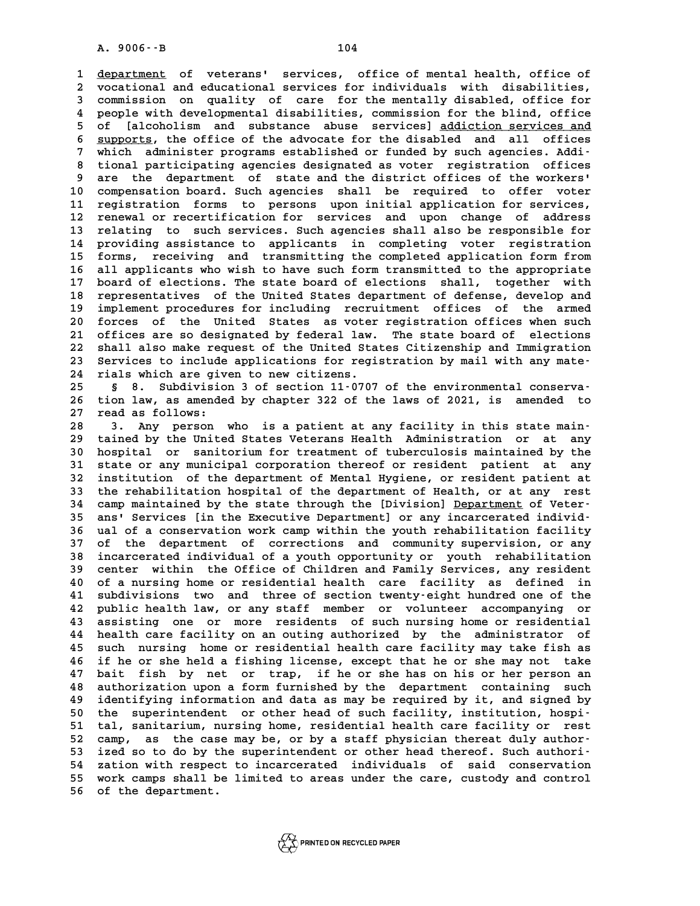**104**<br> **1 department** of veterans' services, office of mental health, office of<br> **1** department of veterans' services, office of mental health, office of 1 <u>department</u> of veterans' services, office of mental health, office of<br>2 vocational and educational services for individuals with disabilities,<br>3 commission on guality of gare for the mentally disabled office for **3** department of veterans' services, office of mental health, office of<br> **3** commission on quality of care for the mentally disabled, office for<br> **3** commission on quality of care for the mentally disabled, office for<br> **1 4 people with disabilities,**<br> **4 people with developmental disabilities, commission for the blind, office for**<br> **4 people with developmental disabilities, commission for the blind, office**<br> **6** people state and substance 3 commission on quality of care for the mentally disabled, office for<br>4 people with developmental disabilities, commission for the blind, office<br>5 of [alcoholism and substance abuse services] <u>addiction services and</u><br>5 sup 4 people with developmental disabilities, commission for the blind, office<br>5 of [alcoholism and substance abuse services] <u>addiction services and</u><br>6 <u>supports</u>, the office of the advocate for the disabled and all offices<br>7 5 of [alcoholism and substance abuse services] <u>addiction services and</u><br>6 <u>supports</u>, the office of the advocate for the disabled and all offices<br>7 which administer programs established or funded by such agencies. Addi-<br><sup>2</sup> 8 supports, the office of the advocate for the disabled and all offices<br>
7 which administer programs established or funded by such agencies. Addi-<br>
8 tional participating agencies designated as voter registration offices<br> which administer programs established or funded by such agencies. Addi-8 tional participating agencies designated as voter registration offices<br>
9 are the department of state and the district offices of the workers'<br>
10 compensation board. Such agencies shall be required to offer voter<br>
11 re 9 are the department of state and the district offices of the workers'<br>10 compensation board. Such agencies shall be required to offer voter<br>11 registration forms to persons upon initial application for services,<br>12 repeat 10 compensation board. Such agencies shall be required to offer voter<br>11 registration forms to persons upon initial application for services,<br>12 relating to such services such agencies shall also be responsible for 11 registration forms to persons upon initial application for services,<br>12 renewal or recertification for services and upon change of address<br>13 relating to such services. Such agencies shall also be responsible for<br>14 pro 12 renewal or recertification for services and upon change of address<br>13 relating to such services. Such agencies shall also be responsible for<br>14 providing assistance to applicants in completing voter registration<br>15 form 13 relating to such services. Such agencies shall also be responsible for<br>14 providing assistance to applicants in completing voter registration<br>15 forms, receiving and transmitting the completed application form from<br>16 a 14 providing assistance to applicants in completing voter registration<br>15 forms, receiving and transmitting the completed application form from<br>16 all applicants who wish to have such form transmitted to the appropriate<br>17 **15 forms, receiving and transmitting the completed application form from**<br>16 all applicants who wish to have such form transmitted to the appropriate<br>17 board of elections. The state board of elections shall, together wit 16 all applicants who wish to have such form transmitted to the appropriate<br>17 board of elections. The state board of elections shall, together with<br>18 representatives of the United States department of defense, develop an 17 board of elections. The state board of elections shall, together with<br>18 representatives of the United States department of defense, develop and<br>19 implement procedures for including recruitment offices of the armed<br>20 18 representatives of the United States department of defense, develop and<br>19 implement procedures for including recruitment offices of the armed<br>20 forces of the United States as voter registration offices when such<br>21 of 19 implement procedures for including recruitment offices of the armed<br>20 forces of the United States as voter registration offices when such<br>21 offices are so designated by federal law. The state board of elections<br><sup>22</sup> s 20 forces of the United States as voter registration offices when such<br>21 offices are so designated by federal law. The state board of elections<br>22 shall also make request of the United States Citizenship and Immigration<br>2 21 offices are so designated by federal law. The state board of elections<br>
22 shall also make request of the United States Citizenship and Immigration<br>
23 Services to include applications for registration by mail with any 22 shall also make request of the United Sta<br>23 Services to include applications for regi<br>24 rials which are given to new citizens.<br>25 September 2013 of Soction 11,0707 23 Services to include applications for registration by mail with any mate-<br>24 rials which are given to new citizens.<br>25 § 8. Subdivision 3 of section 11-0707 of the environmental conserva-<br>26 tion law as appealed by shapt

**24 rials which are given to new citizens.**<br>25 § 8. Subdivision 3 of section 11-0707 of the environmental conserva-<br>26 tion law, as amended by chapter 322 of the laws of 2021, is amended to 25 **S** 8. Subdivisio<br>26 tion law, as amende<br>27 read as follows: 26 tion law, as amended by chapter 322 of the laws of 2021, is amended to read as follows:<br>
28 3. Any person who is a patient at any facility in this state main-<br>
29 tained by the United States Veterans Health Administrati

**29 tained by the United States Veterans Health Administration or at any 30 1. Any person who is a patient at any facility in this state main-**<br> **29 tained by the United States Veterans Health Administration or at any**<br> **30 hospital or sanitorium for treatment of tuberculosis maintained by the** 29 tained by the United States Veterans Health Administration or at any<br>30 hospital or sanitorium for treatment of tuberculosis maintained by the<br>31 state or any municipal corporation thereof or resident patient at any<br>32 **30 hospital or sanitorium for treatment of tuberculosis maintained by the state or any municipal corporation thereof or resident patient at any institution of the department of Mental Hygiene, or resident patient at the r** 31 state or any municipal corporation thereof or resident patient at any<br>32 institution of the department of Mental Hygiene, or resident patient at<br>33 the rehabilitation hospital of the department of Health, or at any rest 32 institution of the department of Mental Hygiene, or resident patient at<br>33 the rehabilitation hospital of the department of Health, or at any rest<br>34 camp maintained by the state through the [Division] <u>Department</u> of V 33 the rehabilitation hospital of the department of Health, or at any rest<br>34 camp maintained by the state through the [Division] <u>Department</u> of Veter-<br>35 ans' Services [in the Executive Department] or any incarcerated in 34 camp maintained by the state through the [Division] <u>Department</u> of Veter-<br>35 ans' Services [in the Executive Department] or any incarcerated individ-<br>36 ual of a conservation work camp within the youth rehabilitation f 35 ans' Services [in the Executive Department] or any incarcerated individ-<br>36 ual of a conservation work camp within the youth rehabilitation facility<br>37 of the department of corrections and community supervision, or any<br> **38 incarcerated individual of a youth opportunity or youth rehabilitation** 37 of the department of corrections and community supervision, or any<br>38 incarcerated individual of a youth opportunity or youth rehabilitation<br>39 center within the Office of Children and Family Services, any resident<br>40 o **40 incarcerated individual of a youth opportunity or youth rehabilitation**<br> **40 of a nursing home or residential health care facility as defined in**<br> **40 of a nursing home or residential health care facility as defined in** 39 center within the Office of Children and Family Services, any resident<br>40 of a nursing home or residential health care facility as defined in<br>41 subdivisions two and three of section twenty-eight hundred one of the<br><sup>42</sup> 40 of a nursing home or residential health care facility as defined in<br>41 subdivisions two and three of section twenty-eight hundred one of the<br>42 public health law, or any staff member or volunteer accompanying or<br>43 assi 41 subdivisions two and three of section twenty-eight hundred one of the<br>42 public health law, or any staff member or volunteer accompanying or<br>43 assisting one or more residents of such nursing home or residential<br>44 boal 42 public health law, or any staff member or volunteer accompanying or<br>43 assisting one or more residents of such nursing home or residential<br>44 health care facility on an outing authorized by the administrator of<br>45 such **43** assisting one or more residents of such nursing home or residential<br>44 health care facility on an outing authorized by the administrator of<br>45 such nursing home or residential health care facility may take fish as<br>46 A health care facility on an outing authorized by the administrator of<br>45 such nursing home or residential health care facility may take fish as<br>46 if he or she held a fishing license, except that he or she may not take<br>47 45 such nursing home or residential health care facility may take fish as<br>46 if he or she held a fishing license, except that he or she may not take<br>47 bait fish by net or trap, if he or she has on his or her person an<br>18 **46 if he or she held a fishing license, except that he or she may not take**<br>**47 bait fish by net or trap, if he or she has on his or her person an**<br>**48 authorization upon a form furnished by the department containing such 47 bait fish by net or trap, if he or she has on his or her person an<br>48 authorization upon a form furnished by the department containing such<br>49 identifying information and data as may be required by it, and signed by<br>50** a authorization upon a form furnished by the department containing such<br>
49 identifying information and data as may be required by it, and signed by<br>
50 the superintendent or other head of such facility, institution, hospi **50 identifying information and data as may be required by it, and signed by**<br>
50 the superintendent or other head of such facility, institution, hospi-<br>
51 tal, sanitarium, nursing home, residential health care facility o 50 the superintendent or other head of such facility, institution, hospi-<br>
51 tal, sanitarium, nursing home, residential health care facility or rest<br>
52 camp, as the case may be, or by a staff physician thereat duly autho 51 tal, sanitarium, nursing home, residential health care facility or rest<br>
52 camp, as the case may be, or by a staff physician thereat duly author-<br>
53 ized so to do by the superintendent or other head thereof. Such auth 52 camp, as the case may be, or by a staff physician thereat duly author-<br>53 ized so to do by the superintendent or other head thereof. Such authori-<br>54 zation with respect to incarcerated individuals of said conservation<br> 53 ized so to do by the superintendent or other head thereof. Such authori-<br>54 zation with respect to incarcerated individuals of said conservation<br>55 work camps shall be limited to areas under the care, custody and contro 55 work camps shall be limited to areas under the care, custody and control 56 of the department.



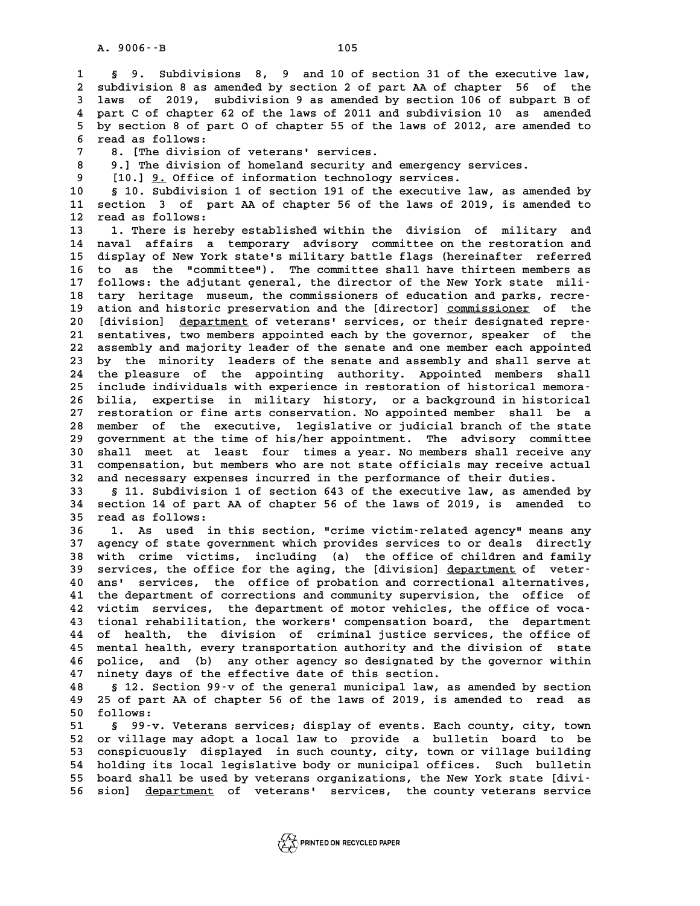**105**<br>**1 6** 9. Subdivisions 8, 9 and 10 of section 31 of the executive law,<br>2 subdivision 8.35 arounded by section 3 of part 3 of chapter 56 of the **2 subdivision 8 as amended by section 2 of part AA of chapter 56 of the 5 9.** Subdivisions 8, 9 and 10 of section 31 of the executive law,<br>
2 subdivision 8 as amended by section 2 of part AA of chapter 56 of the<br>
3 laws of 2019, subdivision 9 as amended by section 106 of subpart B of<br>
4 part 2 subdivision 8 as amended by section 2 of part AA of chapter 56 of the<br>3 laws of 2019, subdivision 9 as amended by section 106 of subpart B of<br>4 part C of chapter 62 of the laws of 2011 and subdivision 10 as amended<br>5 by **5 by section 106 of subpart B of part C of chapter 62 of the laws of 2011 and subdivision 10 as amended by section 8 of part O of chapter 55 of the laws of 2012, are amended to**<br>5 by section 8 of part O of chapter 55 of t 4 part C of chapter 6<br>5 by section 8 of par<br>6 read as follows:<br><sup>7</sup> <sup>6</sup> *I*mbo division 5 by section 8 of part 0 of chapter 55 of the laws of 2012, are amended to<br>6 read as follows:<br>7 8. [The division of veterans' services.<br>8 9.] The division of homeland security and emergency services. **8 9.] The division of homeland security and emergency services. 9 [10.] 9. Office of information technology services. \_\_ 10 § 10. Subdivision 1 of section 191 of the executive law, as amended by** 11 **11 section 3 of fluxe of information technology services.**<br>10 **s** 10. Subdivision 1 of section 191 of the executive law, as amended by<br>11 section 3 of part AA of chapter 56 of the laws of 2019, is amended to 10 **s** 10. Subdivision<br>11 section 3 of par<br>12 read as follows: 11 section 3 of part AA of chapter 56 of the laws of 2019, is amended to<br>12 read as follows:<br>13 1. There is hereby established within the division of military and<br>14 noval official a termorary education committee on the re 12 read as follows:<br>13 1. There is hereby established within the division of military and<br>14 naval affairs a temporary advisory committee on the restoration and<br>15 display of New York state's military battle flags (hereina 13 1. There is hereby established within the division of military and<br>14 naval affairs a temporary advisory committee on the restoration and<br>15 display of New York state's military battle flags (hereinafter referred<br>16 to 14 naval affairs a temporary advisory committee on the restoration and<br>15 display of New York state's military battle flags (hereinafter referred<br>16 to as the "committee"). The committee shall have thirteen members as<br>17 f 15 display of New York state's military battle flags (hereinafter referred<br>16 to as the "committee"). The committee shall have thirteen members as<br>17 follows: the adjutant general, the director of the New York state mili-<br> 16 to as the "committee"). The committee shall have thirteen members as<br>17 follows: the adjutant general, the director of the New York state mili-<br>18 tary heritage museum, the commissioners of education and parks, recre-<br>1 17 follows: the adjutant general, the director of the New York state mili-<br>18 tary heritage museum, the commissioners of education and parks, recre-<br>19 ation and historic preservation and the [director] <u>commissioner</u> of t 18 tary heritage museum, the commissioners of education and parks, recre-<br>19 ation and historic preservation and the [director] <u>commissioner</u> of the<br>20 [division] <u>department</u> of veterans' services, or their designated re 19 ation and historic preservation and the [director] <u>commissioner</u> of the<br>20 [division] <u>department</u> of veterans' services, or their designated repre-<br>21 sentatives, two members appointed each by the governor, speaker of 20 [division] <u>department</u> of veterans' services, or their designated repre-<br>21 sentatives, two members appointed each by the governor, speaker of the<br>22 assembly and majority leader of the senate and one member each appoi 21 sentatives, two members appointed each by the governor, speaker of the<br>22 assembly and majority leader of the senate and one member each appointed<br>23 by the minority leaders of the senate and assembly and shall serve at 22 assembly and majority leader of the senate and one member each appointed<br>23 by the minority leaders of the senate and assembly and shall serve at<br>24 the pleasure of the appointing authority. Appointed members shall<br>25 i 23 by the minority leaders of the senate and assembly and shall serve at<br>24 the pleasure of the appointing authority. Appointed members shall<br>25 include individuals with experience in restoration of historical memora-<br>26 b 24 the pleasure of the appointing authority. Appointed members shall<br>25 include individuals with experience in restoration of historical memora-<br>26 bilia, expertise in military history, or a background in historical<br>27 res **27 restoration or fine arts conservation. No appointed member shall be a 28 member of the executive, legislative or judicial branch of the state** 27 restoration or fine arts conservation. No appointed member shall be a<br>28 member of the executive, legislative or judicial branch of the state<br>29 government at the time of his/her appointment. The advisory committee<br>20 s 28 member of the executive, legislative or judicial branch of the state<br>29 government at the time of his/her appointment. The advisory committee<br>30 shall meet at least four times a year. No members shall receive any<br>31 com 39 government at the time of his/her appointment. The advisory committee<br>30 shall meet at least four times a year. No members shall receive any<br>31 compensation, but members who are not state officials may receive actual<br>32 30 shall meet at least four times a year. No members shall receive any compensation, but members who are not state officials may receive actual 32 and necessary expenses incurred in the performance of their duties.<br>8 11. S 31 compensation, but members who are not state officials may receive actual<br>32 and necessary expenses incurred in the performance of their duties.<br>33 § 11. Subdivision 1 of section 643 of the executive law, as amended by<br>3 32 and necessary expenses incurred in the performance of their duties.<br>33 § 11. Subdivision 1 of section 643 of the executive law, as amended by<br>34 section 14 of part AA of chapter 56 of the laws of 2019, is amended to

**33 5 11. Subdivision**<br>**34** section 14 of part.<br>**35** read as follows: 34 section 14 of part AA of chapter 56 of the laws of 2019, is amended to<br>35 read as follows:<br>36 1. As used in this section, "crime victim-related agency" means any<br>37 agonou of state gouvernment which provided services to **35 read as follows:**<br>36 1. As used in this section, "crime victim-related agency" means any<br>37 agency of state government which provides services to or deals directly<br>28 with grime wisting including (a) the office of shil **1.** As used in this section, "crime victim-related agency" means any agency of state government which provides services to or deals directly with crime victims, including (a) the office of children and family<br> **38** with c

37 agency of state government which provides services to or deals directly<br>38 with crime victims, including (a) the office of children and family<br>39 services, the office for the aging, the [division] <u>department</u> of veter-**40 and 10 and 10 and 10 and 10 and 10 and 10 anstances, the office for the aging, the [division] <u>department</u> of veter-<br>
40 ans' services, the office of probation and correctional alternatives,<br>
41 the department of corre 40** services, the office for the aging, the [division] <u>department</u> of veter-<br>40 ans' services, the office of probation and correctional alternatives,<br>41 the department of corrections and community supervision, the office 40 ans' services, the office of probation and correctional alternatives,<br>41 the department of corrections and community supervision, the office of<br>42 victim services, the department of motor vehicles, the office of voca-<br><sup></sup> 41 the department of corrections and community supervision, the office of<br>42 victim services, the department of motor vehicles, the office of voca-<br>43 tional rehabilitation, the workers' compensation board, the department<br> 42 victim services, the department of motor vehicles, the office of voca-<br>43 tional rehabilitation, the workers' compensation board, the department<br>44 of health, the division of criminal justice services, the office of<br>15 43 tional rehabilitation, the workers' compensation board, the department<br>44 of health, the division of criminal justice services, the office of<br>45 mental health, every transportation authority and the division of state<br>46 44 of health, the division of criminal justice services, the office of<br>45 mental health, every transportation authority and the division of state<br>46 police, and (b) any other agency so designated by the governor within<br>47 45 mental health, every transportation authority and the division of state<br>46 police, and (b) any other agency so designated by the governor within<br>47 ninety days of the effective date of this section.<br>48 § 12. Section 99 police, and (b) any other agency so designated by the governor within<br>47 ninety days of the effective date of this section.<br>48 § 12. Section 99-v of the general municipal law, as amended by section<br>49 25 of part AA of chap

**47 ninety days of the effective date of this section.**<br>48 § 12. Section 99 v of the general municipal law, as amended by section<br>49 25 of part AA of chapter 56 of the laws of 2019, is amended to read as<br>50 follows: 48 **s** 12. Sec<br>49 25 of part.<br>50 follows: **51 § 99-v. Veterans services; display of events. Each county, city, town**

50 follows:<br>**51 § 99–v. Veterans services; display** of events. Each county, city, town<br>52 or village may adopt a local law to provide a bulletin board to be<br>53 conspicuously displayed in such county, city, town or village **53 conspicuously displayed in such county, city, town or village building** 52 or village may adopt a local law to provide a bulletin board to be<br>53 conspicuously displayed in such county, city, town or village building<br>54 holding its local legislative body or municipal offices. Such bulletin<br>55 b 53 conspicuously displayed in such county, city, town or village building<br>
54 holding its local legislative body or municipal offices. Such bulletin<br>
55 board shall be used by veterans organizations, the New York state [di 55 board shall be used by veterans organizations, the New York state [divi<sup>-</sup><br>56 sion] <u>department</u> of veterans' services, the county veterans service

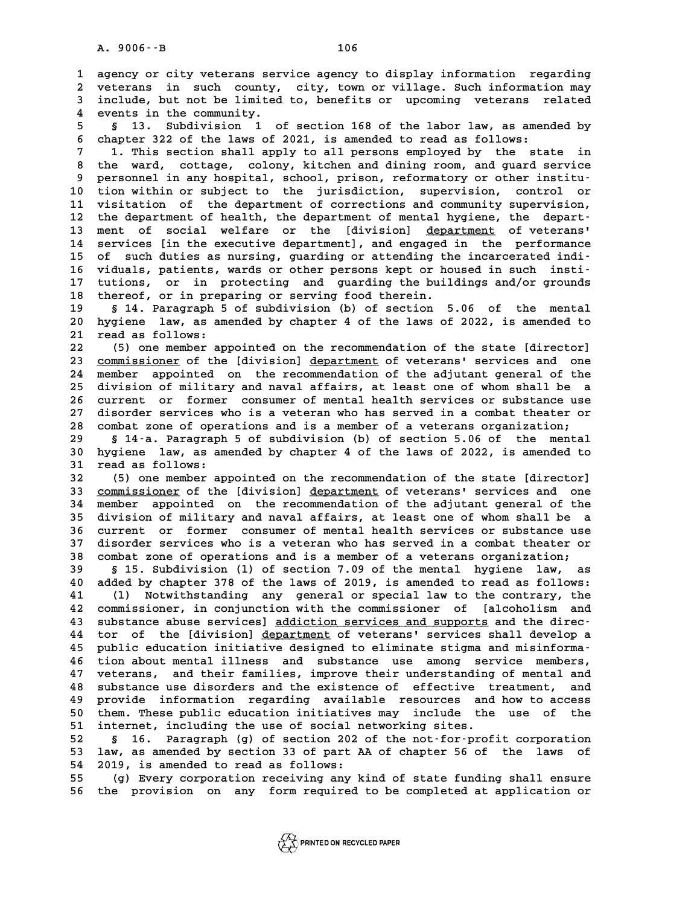**1 agency or city veterans service agency to display information regarding** 1 agency or city veterans service agency to display information regarding<br>2 veterans in such county, city, town or village. Such information may<br>3 include, but not be limited to benefits or uncoming yeterans, related **3** agency or city veterans service agency to display information regarding<br>2 veterans in such county, city, town or village. Such information may<br>3 include, but not be limited to, benefits or upcoming veterans related<br>4 c % 2 veterans in such county, city, town or village. Such information may<br>3 include, but not be limited to, benefits or upcoming veterans related<br>4 events in the community.<br>5 \$ 13. Subdivision 1 of section 168 of the labor 3 include, but not be limited to, benefits or upcoming veterans related<br>4 events in the community.<br>5 § 13. Subdivision 1 of section 168 of the labor law, as amended by<br>6 chapter 322 of the laws of 2021, is amended to read **6 6** 13. Subdivision 1 of section 168 of the labor law, as amended by<br>**6** chapter 322 of the laws of 2021, is amended to read as follows:<br>**7** 1. This section shall apply to all persons employed by the state in <sup>5</sup> \$ 13. Subdivision 1 of section 168 of the labor law, as amended by<br>
<sup>6</sup> chapter 322 of the laws of 2021, is amended to read as follows:<br>
<sup>7</sup> 1. This section shall apply to all persons employed by the state in<br>
<sup>8</sup> the 6 chapter 322 of the laws of 2021, is amended to read as follows:<br>
7 1. This section shall apply to all persons employed by the state in<br>
8 the ward, cottage, colony, kitchen and dining room, and guard service<br>
8 personnel 1. This section shall apply to all persons employed by the state in<br>
8 the ward, cottage, colony, kitchen and dining room, and guard service<br>
9 personnel in any hospital, school, prison, reformatory or other institu-<br>
<sup>1</sup> 8 the ward, cottage, colony, kitchen and dining room, and guard service<br>9 personnel in any hospital, school, prison, reformatory or other institu-<br>10 tion within or subject to the jurisdiction, supervision, control or<br>11 v 9 personnel in any hospital, school, prison, reformatory or other institu-<br>10 tion within or subject to the jurisdiction, supervision, control or<br>11 visitation of the department of corrections and community supervision,<br><sup>1</sup> 10 tion within or subject to the jurisdiction, supervision, control or<br>
11 visitation of the department of corrections and community supervision,<br>
12 the department of health, the department of mental hygiene, the depart-<br> 11 visitation of the department of corrections and community supervision,<br>12 the department of health, the department of mental hygiene, the depart-<br>13 ment of social welfare or the [division] <u>department</u> of veterans'<br>14 **14 services [in the executive department], and engaged in the performance** 13 ment of social welfare or the [division] <u>department</u> of veterans'<br>
14 services [in the executive department], and engaged in the performance<br>
15 of such duties as nursing, guarding or attending the incarcerated indi-<br> 14 services [in the executive department], and engaged in the performance<br>
15 of such duties as nursing, guarding or attending the incarcerated indi-<br>
16 viduals, patients, wards or other persons kept or housed in such ins 15 of such duties as nursing, guarding or attending the incarcerated indi-<br>16 viduals, patients, wards or other persons kept or housed in such insti-<br>17 tutions, or in protecting and guarding the buildings and/or grounds<br>t 16 viduals, patients, wards or other persons kept or ho<br>17 tutions, or in protecting and guarding the buil<br>18 thereof, or in preparing or serving food therein.<br>19 5.14 Paragraph 5 of subdivision (b) of sostion 17 tutions, or in protecting and guarding the buildings and/or grounds<br>18 thereof, or in preparing or serving food therein.<br>19 § 14. Paragraph 5 of subdivision (b) of section 5.06 of the mental<br>20 hydione 12y 23 propeed by **20 13 13 hereof, or in preparing or serving food therein.**<br> **20 5 14. Paragraph 5 of subdivision (b) of section 5.06 of the mental**<br> **20 hygiene law, as amended by chapter 4 of the laws of 2022, is amended to**<br> **21 read a** 20 hygiene law, as amended by chapter 4 of the laws of 2022, is amended to<br>21 read as follows:<br>22 (5) one member appointed on the recommendation of the state [director] **20 hygiene law, as amended by chapter 4 of the laws of 2022, is amended to read as follows:**<br>22 (5) one member appointed on the recommendation of the state [director]<br>23 commissioner of the [division] department of vetera 21 read as follows:<br>22 (5) one member appointed on the recommendation of the state [director]<br>23 <u>commissioner</u> of the [division] <u>department</u> of veterans' services and one<br>24 member appointed on the recommendation of the **22 (5) one member appointed on the recommendation of the state [director]**<br> **23 <u>commissioner</u> of the [division] <u>department</u> of veterans' services and one<br>
<b>24 member appointed on the recommendation of the adjutant gener** 23 <u>commissioner</u> of the [division] <u>department</u> of veterans' services and one<br>24 member appointed on the recommendation of the adjutant general of the<br>25 division of military and naval affairs, at least one of whom shall 24 member appointed on the recommendation of the adjutant general of the<br>25 division of military and naval affairs, at least one of whom shall be a<br>26 current or former consumer of mental health services or substance use<br>2 25 division of military and naval affairs, at least one of whom shall be a<br>26 current or former consumer of mental health services or substance use<br>27 disorder services who is a veteran who has served in a combat theater o 26 current or former consumer of mental health services or substance use<br>27 disorder services who is a veteran who has served in a combat theater or<br>28 combat zone of operations and is a member of a veterans organization;<br> **29 § 14-a. Paragraph 5 of subdivision (b) of section 5.06 of the mental 30 combat zone of operations and is a member of a veterans organization;<br>
<b>30 S 14-a. Paragraph 5 of subdivision (b) of section 5.06 of the mental**<br> **30 hygiene law, as amended by chapter 4 of the laws of 2022, is amended** 29 § 14-a. Paragraph<br>30 hygiene law, as am<br>31 read as follows:<br><sup>22</sup> (5) one member and **30 hygiene law, as amended by chapter 4 of the laws of 2022, is amended to read as follows:**<br>32 (5) one member appointed on the recommendation of the state [director]<br>33 commissioner of the [division] department of vetera 31 read as follows:<br>
32 (5) one member appointed on the recommendation of the state [director]<br>
33 <u>commissioner</u> of the [division] <u>department</u> of veterans' services and one<br>
34 member appointed on the recommendation of t **32** (5) one member appointed on the recommendation of the state [director]<br>**33** <u>commissioner</u> of the [division] <u>department</u> of veterans' services and one<br>**34** member appointed on the recommendation of the adjutant gener **33 <u>commissioner</u> of the [division] <u>department</u> of veterans' services and one<br>34 member appointed on the recommendation of the adjutant general of the<br>35 division of military and naval affairs, at least one of whom shall** 34 member appointed on the recommendation of the adjutant general of the<br>35 division of military and naval affairs, at least one of whom shall be a<br>36 current or former consumer of mental health services or substance use<br><sup></sup> 35 division of military and naval affairs, at least one of whom shall be a<br>36 current or former consumer of mental health services or substance use<br>37 disorder services who is a veteran who has served in a combat theater o 36 current or former consumer of mental health services or substance use<br>37 disorder services who is a veteran who has served in a combat theater or<br>38 combat zone of operations and is a member of a veterans organization;<br> **37 disorder services who is a veteran who has served in a combat theater or**<br>**38 combat zone of operations and is a member of a veterans organization;**<br>**39** § 15. Subdivision (1) of section 7.09 of the mental hygiene law, **40 added by chapter 378 of the laws of a veterans organization;**<br> **40 added by chapter 378 of the laws of 2019, is amended to read as follows:**<br> **40 added by chapter 378 of the laws of 2019, is amended to read as follows:** 8 15. Subdivision (1) of section 7.09 of the mental hygiene law, as<br>40 added by chapter 378 of the laws of 2019, is amended to read as follows:<br>41 (1) Notwithstanding any general or special law to the contrary, the<br>42 comm

**42 commissioner, in conjunction with the commissioner of [alcoholism and** 41 (1) Notwithstanding any general or special law to the contrary, the<br>42 commissioner, in conjunction with the commissioner of [alcoholism and<br>43 substance abuse services] <u>addiction services and supports</u> and the direc-<br> 42 commissioner, in conjunction with the commissioner of [alcoholism and<br>43 substance abuse services] <u>addiction services and supports</u> and the direc-<br>44 tor of the [division] <u>department</u> of veterans' services shall devel 43 substance abuse services] <u>addiction services and supports</u> and the directation of the [division] <u>department</u> of veterans' services shall develop a public education initiative designed to eliminate stigma and misinform 44 tor of the [division] <u>department</u> of veterans' services shall develop a<br>45 public education initiative designed to eliminate stigma and misinforma-<br>46 tion about mental illness and substance use among service members,<br> public education initiative designed to eliminate stigma and misinforma-<br>46 tion about mental illness and substance use among service members,<br>47 veterans, and their families, improve their understanding of mental and<br>18 s **46 tion about mental illness and substance use among service members,**<br>47 veterans, and their families, improve their understanding of mental and<br>48 substance use disorders and the existence of effective treatment, and<br>19 47 veterans, and their families, improve their understanding of mental and<br>48 substance use disorders and the existence of effective treatment, and<br>49 provide information regarding available resources and how to access<br>50 48 substance use disorders and the existence of effective treatment, and<br>49 provide information regarding available resources and how to access<br>50 them. These public education initiatives may include the use of the<br>51 inte 9 provide information regarding available resources and how to access<br>50 them. These public education initiatives may include the use of the<br>51 internet, including the use of social networking sites.<br>52 § 16. Paragraph (g) 50 them. These public education initiatives may include the use of the<br>51 internet, including the use of social networking sites.<br>52 § 16. Paragraph (g) of section 202 of the not-for-profit corporation<br>53 law, as amended b

51 internet, including the use of social networking sites.<br>52 § 16. Paragraph (g) of section 202 of the not-for-profit corporation<br>53 law, as amended by section 33 of part AA of chapter 56 of the laws of<br>54 2019 is amended 52 § 16. Paragraph (g) of section 202<br>53 law, as amended by section 33 of part A<br>54 2019, is amended to read as follows:<br>55 (g) Fuery corporation receiving any k **53 law, as amended by section 33 of part AA of chapter 56 of the laws of 2019, is amended to read as follows:**<br>55 (g) Every corporation receiving any kind of state funding shall ensure<br>56 the provision on any form require

54 2019, is amended to read as follows:<br>55 (g) Every corporation receiving any kind of state funding shall ensure<br>56 the provision on any form required to be completed at application or

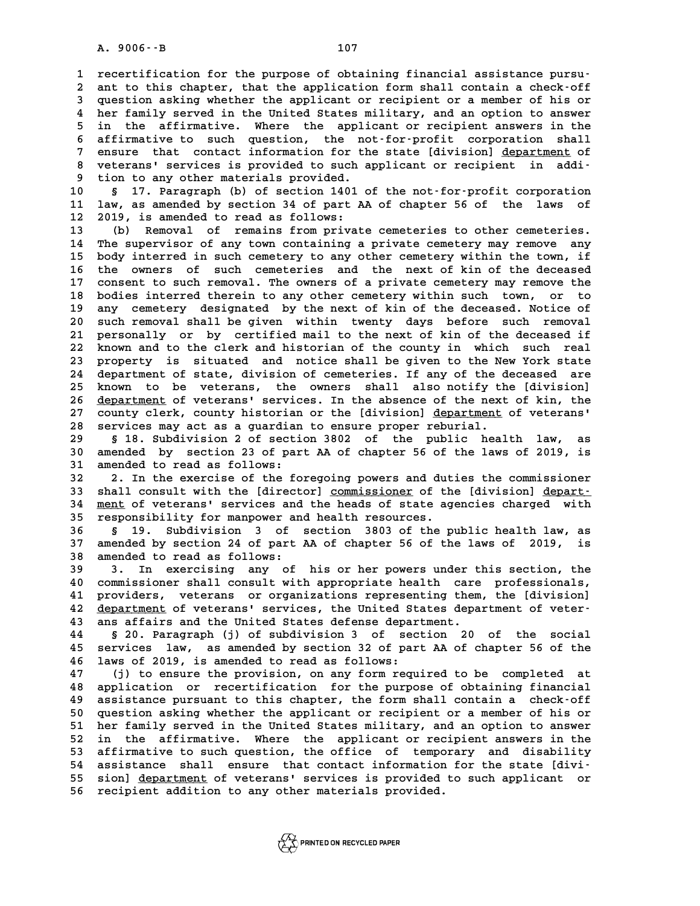A. 9006 -- B<br>1 recertification for the purpose of obtaining financial assistance pursu-<br>2 ant to this shantor, that the application form shall sontain a shocked form **2** ant to this chapter, that the application form shall contain a check-off and to this chapter, that the application form shall contain a check-off and contain a series whether the applicant or regimient or a member of h **3** recertification for the purpose of obtaining financial assistance pursu-<br>2 ant to this chapter, that the application form shall contain a check-off<br>3 question asking whether the applicant or recipient or a member of hi 2 ant to this chapter, that the application form shall contain a check-off<br>3 question asking whether the applicant or recipient or a member of his or<br>4 her family served in the United States military, and an option to answ 3 question asking whether the applicant or recipient or a member of his or<br>4 her family served in the United States military, and an option to answer<br>5 in the affirmative. Where the applicant or recipient answers in the<br>5 4 her family served in the United States military, and an option to answer<br>5 in the affirmative. Where the applicant or recipient answers in the<br>6 affirmative to such question, the not-for-profit corporation shall<br>7 applys 5 in the affirmative. Where the applicant or recipient answers in the<br>6 affirmative to such question, the not-for-profit corporation shall<br>7 ensure that contact information for the state [division] <u>department</u> of<br>8 vetera 6 affirmative to such question, the not-for-profit corporation shall<br>
7 ensure that contact information for the state [division] <u>department</u> of<br>
8 veterans' services is provided to such applicant or recipient in addi-<br>
9 9 that contact information for the state [division] <u>department</u> of<br>**9** veterans' services is provided to such applicant or recipient in addi-<br>**9** tion to any other materials provided.<br>**9** 17. Paragraph (b) of section 1401 8 veterans' services is provided to such applicant or recipient in addi-<br>
9 tion to any other materials provided.<br>
10 § 17. Paragraph (b) of section 1401 of the not-for-profit corporation<br>
11 law as amended by section 34 o

<sup>9</sup> tion to any other materials provided.<br>
10 § 17. Paragraph (b) of section 1401 of the not-for-profit corporation<br>
11 law, as amended by section 34 of part AA of chapter 56 of the laws of<br>
12 2019 is amended to read as f 10 § 17. Paragraph (b) of section 1401<br>11 law, as amended by section 34 of part A<br>12 2019, is amended to read as follows:<br><sup>13</sup> (b) Pemoval of remains from privat 11 law, as amended by section 34 of part AA of chapter 56 of the laws of<br>12 2019, is amended to read as follows:<br>13 (b) Removal of remains from private cemeteries to other cemeteries.<br><sup>14</sup> The supervisor of any term contai

12 2019, is amended to read as follows:<br>
13 (b) Removal of remains from private cemeteries to other cemeteries.<br>
14 The supervisor of any town containing a private cemetery may remove any<br>
15 body interred in such cemetery **15 body interred in such cemetery to any other cemetery within the town, if** The supervisor of any town containing a private cemetery may remove any<br>15 body interred in such cemetery to any other cemetery within the town, if<br>16 the owners of such cemeteries and the next of kin of the deceased<br>27 ce 15 body interred in such cemetery to any other cemetery within the town, if<br>16 the owners of such cemeteries and the next of kin of the deceased<br>17 consent to such removal. The owners of a private cemetery may remove the<br>b 16 the owners of such cemeteries and the next of kin of the deceased<br>17 consent to such removal. The owners of a private cemetery may remove the<br>18 bodies interred therein to any other cemetery within such town, or to<br>19 a 17 consent to such removal. The owners of a private cemetery may remove the bodies interred therein to any other cemetery within such town, or to any cemetery designated by the next of kin of the deceased. Notice of 20 suc 18 bodies interred therein to any other cemetery within such town, or to<br>19 any cemetery designated by the next of kin of the deceased. Notice of<br>20 such removal shall be given within twenty days before such removal<br>21 per any cemetery designated by the next of kin of the deceased. Notice of 20 such removal shall be given within twenty days before such removal<br>21 personally or by certified mail to the next of kin of the deceased if<br>22 known and to the clerk and historian of the county in which such real<br>23 pro 21 personally or by certified mail to the next of kin of the deceased if<br>22 known and to the clerk and historian of the county in which such real<br>23 property is situated and notice shall be given to the New York state<br>24 d 22 known and to the clerk and historian of the county in which such real<br>23 property is situated and notice shall be given to the New York state<br>24 department of state, division of cemeteries. If any of the deceased are<br>25 23 property is situated and notice shall be given to the New York state<br>24 department of state, division of cemeteries. If any of the deceased are<br>25 known to be veterans, the owners shall also notify the [division]<br>26 dep department of state, division of cemeteries. If any of the deceased are<br>25 known to be veterans, the owners shall also notify the [division]<br>26 <u>department</u> of veterans' services. In the absence of the next of kin, the<br>27 25 known to be veterans, the owners shall also notify the [division]<br>26 <u>department</u> of veterans' services. In the absence of the next of kin, the<br>27 county clerk, county historian or the [division] <u>department</u> of veteran 26 <u>department</u> of veterans' services. In the absence of the next of kin, the<br>27 county clerk, county historian or the [division] <u>department</u> of veterans'<br>28 services may act as a guardian to ensure proper reburial.<br>29 s

**29 § 18. Subdivision 2 of section 3802 of the public health law, as 38 services may act as a guardian to ensure proper reburial.**<br> **30 S 18. Subdivision 2 of section 3802 of the public health law, as<br>
30 amended by section 23 of part AA of chapter 56 of the laws of 2019, is<br>
31 amended to** 8 18. Subdivision 2 of section<br>30 amended by section 23 of par<br>31 amended to read as follows: 30 amended by section 23 of part AA of chapter 56 of the laws of 2019, is<br>31 amended to read as follows:<br>32 2. In the exercise of the foregoing powers and duties the commissioner<br>33 shall consult with the [director] commis

31 amended to read as follows:<br>32 2. In the exercise of the foregoing powers and duties the commissioner<br>33 shall consult with the [director] <u>commissioner</u> of the [division] <u>depart-</u><br>24 mont of upterangl services and the **32** 2. In the exercise of the foregoing powers and duties the commissioner<br>33 shall consult with the [director] <u>commissioner</u> of the [division] <u>depart-</u><br>34 <u>ment</u> of veterans' services and the heads of state agencies ch 33 shall consult with the [director] <u>commissioner</u> of the ment of veterans' services and the heads of state age responsibility for manpower and health resources. **34 <u>ment</u> of veterans' services and the heads of state agencies charged with<br>35 responsibility for manpower and health resources.<br>36 § 19. Subdivision 3 of section 3803 of the public health law, as<br>37 propried by section** 

**35** responsibility for manpower and health resources.<br>**36** § 19. Subdivision 3 of section 3803 of the public health law, as<br>37 amended by section 24 of part AA of chapter 56 of the laws of 2019, is<br>38 amended to read as f 36 § 19. Subdivision 3 of<br>37 amended by section 24 of part<br>38 amended to read as follows: **37 amended by section 24 of part AA of chapter 56 of the laws of 2019, is<br>38 amended to read as follows:**<br>39 3. In exercising any of his or her powers under this section, the<br>40 commissioner shall consult with appropriate

**40 commissioner shall consult with appropriate health care professionals,** 39 3. In exercising any of his or her powers under this section, the<br>40 commissioner shall consult with appropriate health care professionals,<br>41 providers, veterans or organizations representing them, the [division]<br>42 de 40 commissioner shall consult with appropriate health care professionals,<br>41 providers, veterans or organizations representing them, the [division]<br>42 <u>department</u> of veterans' services, the United States department of vet 41 providers, veterans or organizations representing them<br>42 <u>department</u> of veterans' services, the United States department.<br>43 ans affairs and the United States defense department. **42** <u>department</u> of veterans' services, the United States department of veter-<br>43 ans affairs and the United States defense department.<br>44 § 20. Paragraph (j) of subdivision 3 of section 20 of the social

**43** ans affairs and the United States defense department.<br> **44** § 20. Paragraph (j) of subdivision 3 of section 20 of the social<br> **45** services law, as amended by section 32 of part AA of chapter 56 of the<br>
16 lays of 201 44 § 20. Paragraph (j) of subdivision 3 of sec<br>45 services law, as amended by section 32 of par<br>46 laws of 2019, is amended to read as follows:<br><sup>47</sup> (i) to ongure the provision on any form row. 45 services law, as amended by section 32 of part AA of chapter 56 of the<br>46 laws of 2019, is amended to read as follows:<br>47 (j) to ensure the provision, on any form required to be completed at<br>28 parliation or recentifica

**46 laws of 2019, is amended to read as follows:**<br> **47** (j) to ensure the provision, on any form required to be completed at<br> **48 application or recertification for the purpose of obtaining financial**<br> **49 aggistance purgu 47** (j) to ensure the provision, on any form required to be completed at application or recertification for the purpose of obtaining financial assistance pursuant to this chapter, the form shall contain a check-off mucric **48 application or recertification for the purpose of obtaining financial**<br>**49 assistance pursuant to this chapter, the form shall contain a check-off**<br>50 question asking whether the applicant or recipient or a member of h 49 assistance pursuant to this chapter, the form shall contain a check-off<br>50 question asking whether the applicant or recipient or a member of his or<br>51 her family served in the United States military, and an option to an 50 question asking whether the applicant or recipient or a member of his or<br>51 her family served in the United States military, and an option to answer<br>52 in the affirmative. Where the applicant or recipient answers in the 51 her family served in the United States military, and an option to answer<br>52 in the affirmative. Where the applicant or recipient answers in the<br>53 affirmative to such question, the office of temporary and disability<br>54 52 in the affirmative. Where the applicant or recipient answers in the<br>
53 affirmative to such question, the office of temporary and disability<br>
54 assistance shall ensure that contact information for the state [divi-<br>
55 53 affirmative to such question, the office of temporary and disability<br>54 assistance shall ensure that contact information for the state [divi-<br>55 sion] <u>department</u> of veterans' services is provided to such applicant or<br> 54 assistance shall ensure that contact information<br>55 sion] <u>department</u> of veterans' services is provided<br>56 recipient addition to any other materials provided.

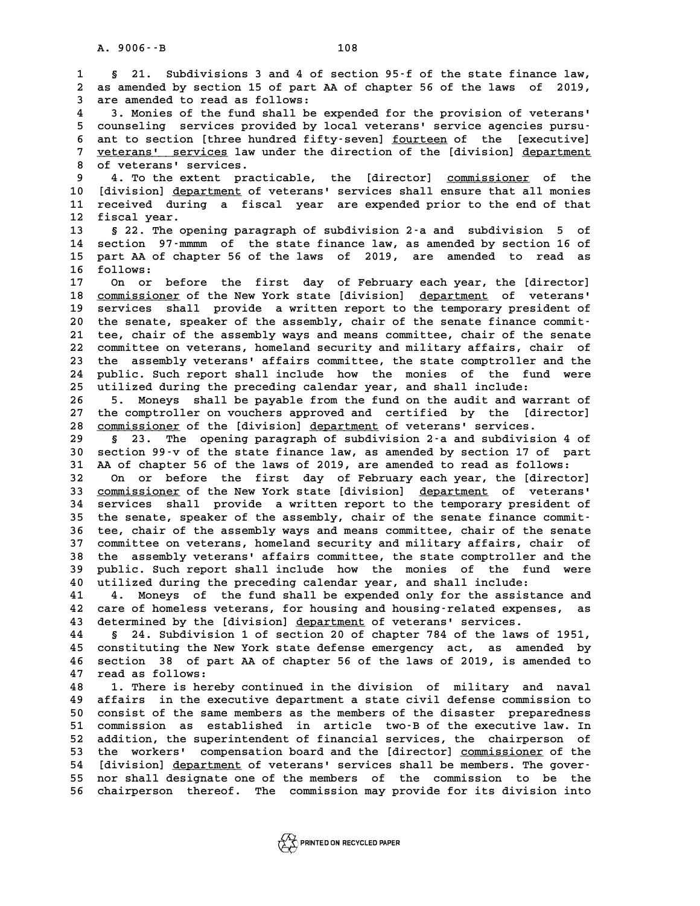A. 9006 - - B<br>1 § 21. Subdivisions 3 and 4 of section 95 - f of the state finance law,<br>2 as amended by section 15 of part AA of chapter 56 of the laws of 2019, **21.** Subdivisions 3 and 4 of section 95-f of the state finance law,<br>2 as amended by section 15 of part AA of chapter 56 of the laws of 2019, **3** 3 and 4 of<br> **3** as amended by section 15 of part A<br> **3** are amended to read as follows: 2 as amended by section 15 of part AA of chapter 56 of the laws of 2019,<br>3 are amended to read as follows:<br>4 3. Monies of the fund shall be expended for the provision of veterans'<br>5 counceling services provided by local ve 3 are amended to read as follows:<br>
4 3. Monies of the fund shall be expended for the provision of veterans'<br>
5 counseling services provided by local veterans' service agencies pursu-<br>
5 ant to soction three burdred fifty s **6 4 3. Monies of the fund shall be expended for the provision of veterans'**<br> **6 counseling services provided by local veterans' service agencies pursu-**<br> **6 ant to section [three hundred fifty-seven]** <u>fourteen</u> of the [e 5 counseling services provided by local veterans' service agencies pursu-<br>6 ant to section [three hundred fifty-seven] <u>fourteen</u> of the [executive]<br>7 <u>veterans' services</u> law under the direction of the [division] <u>departm</u> 6 ant to section [three hun]<br>
7 <u>veterans' services</u> law units of veterans' services. <u>Poterans' services</u> law under the direction of the [division] <u>department</u><br> **9** 4. To the extent practicable, the [director] <u>commissioner</u> of the<br> **1** Idivision] department of veterangl services shall engure that all mon **10 [division] department of veterans' services shall ensure that all monies \_\_\_\_\_\_\_\_\_\_** 9 4. To the extent practicable, the [director] <u>commissioner</u> of the<br>10 [division] <u>department</u> of veterans' services shall ensure that all monies<br>11 received during a fiscal year are expended prior to the end of that 10 [division] <u>depa</u><br>11 received durin<br>12 fiscal year.<br>13 \$ 22 The ope **11 received during a fiscal year are expended prior to the end of that<br>
12 fiscal year.**<br> **13** § 22. The opening paragraph of subdivision 2-a and subdivision 5 of<br>
14 section 07-mmmm of the state finance law as amonded by 12 fiscal year.<br>13 § 22. The opening paragraph of subdivision 2–a and subdivision 5 of<br>14 section 97-mmmm of the state finance law, as amended by section 16 of<br>15 part AA of chapter 56 of the laws of 2019, are amended to r 13 § 22. The opening paragraph of subdivision 2 a and subdivision 5 of<br>14 section 97 mmmm of the state finance law, as amended by section 16 of<br>15 part AA of chapter 56 of the laws of 2019, are amended to read as 14 section 97<br>15 part AA of<br>16 follows:<br><sup>17</sup> OP OF b **17 On or before the first day of February each year, the [director] 16 follows:**<br>17 On or before the first day of February each year, the [director]<br>18 <u>commissioner</u> of the New York state [division] <u>department</u> of veterans'<br>20 services shall provide a written report to the terperary pro 17 on or before the first day of February each year, the [director]<br>18 <u>commissioner</u> of the New York state [division] <u>department</u> of veterans'<br>19 services shall provide a written report to the temporary president of<br>20 t **20 the senate, speaker of the assembly, chair of the senate finance commit-21 tee, chair of the assembly ways and means committee, chair of the senate** 20 the senate, speaker of the assembly, chair of the senate finance commit-<br>21 tee, chair of the assembly ways and means committee, chair of the senate<br>22 committee on veterans, homeland security and military affairs, chai 21 tee, chair of the assembly ways and means committee, chair of the senate<br>22 committee on veterans, homeland security and military affairs, chair of<br>23 the assembly veterans' affairs committee, the state comptroller and 22 committee on veterans, homeland security and military affairs, chair of<br>23 the assembly veterans' affairs committee, the state comptroller and the<br>24 public. Such report shall include how the monies of the fund were<br>25 23 the assembly veterans' affairs committee, the state comptroller and the public. Such report shall include how the monies of the fund were utilized during the preceding calendar year, and shall include:<br>26 5. Moneys shal 24 public. Such report shall include how the monies of the fund were<br>25 utilized during the preceding calendar year, and shall include:<br>26 5. Moneys shall be payable from the fund on the audit and warrant of<br>27 the comptro **25 utilized during the preceding calendar year, and shall include:**<br>26 5. Moneys shall be payable from the fund on the audit and warrant of<br>27 the comptroller on vouchers approved and certified by the [director]<br>28 commis 5. Moneys shall be payable from the fund on the audit and warra:<br>27 the comptroller on vouchers approved and certified by the [dire<br>28 <u>commissioner</u> of the [division] <u>department</u> of veterans' services. 27 the comptroller on vouchers approved and certified by the [director]<br>28 <u>commissioner</u> of the [division] <u>department</u> of veterans' services.<br>39 § 23. The opening paragraph of subdivision 2-a and subdivision 4 of<br>20 Sect **30 section 2018 30 section 10 section 10 section 17 of partners** is expected and subdivision 4 of  $\frac{1}{30}$  section 99-v of the state finance law, as amended by section 17 of part<br>31 A of chapter 56 of the laws of 2019 **31 AA of chapter 56 of the laws of 2019, are amended to read as follows:** 30 section 99 v of the state finance law, as amended by section 17 of part<br>31 AA of chapter 56 of the laws of 2019, are amended to read as follows:<br>32 On or before the first day of February each year, the [director]<br>33 Com 31 AA of chapter 56 of the laws of 2019, are amended to read as follows:<br>32 On or before the first day of February each year, the [director]<br>33 <u>commissioner</u> of the New York state [division] <u>department</u> of veterans'<br>34 s 32 On or before the first day of February each year, the [director]<br>33 <u>commissioner</u> of the New York state [division] <u>department</u> of veterans'<br>34 services shall provide a written report to the temporary president of<br>35 t 33 commissioner of the New York state [division] department of veterans'<br>
34 services shall provide a written report to the temporary president of<br>
35 the senate, speaker of the assembly, chair of the senate finance commit 34 services shall provide a written report to the temporary president of<br>35 the senate, speaker of the assembly, chair of the senate finance commit-<br>36 tee, chair of the assembly ways and means committee, chair of the sena 35 the senate, speaker of the assembly, chair of the senate finance commit-<br>36 tee, chair of the assembly ways and means committee, chair of the senate<br>37 committee on veterans, homeland security and military affairs, chai **36 tee, chair of the assembly ways and means committee, chair of the senate**<br>37 committee on veterans, homeland security and military affairs, chair of<br>38 the assembly veterans' affairs committee, the state comptroller an 37 committee on veterans, homeland security and military affairs, chair of<br>38 the assembly veterans' affairs committee, the state comptroller and the<br>39 public. Such report shall include how the monies of the fund were<br>40 38 the assembly veterans' affairs committee, the state comptroller a<br>39 public. Such report shall include how the monies of the fund<br>40 utilized during the preceding calendar year, and shall include:<br><sup>41</sup> degrades of the f 39 public. Such report shall include how the monies of the fund were<br>40 utilized during the preceding calendar year, and shall include:<br>41 4. Moneys of the fund shall be expended only for the assistance and<br>42 care of home **40** utilized during the preceding calendar year, and shall include:<br>41 4. Moneys of the fund shall be expended only for the assistance and<br>42 care of homeless veterans, for housing and housing-related expenses, as<br>43 dete 41 4. Moneys of the fund shall be expended only for the assista<br>42 care of homeless veterans, for housing and housing-related expens<br>43 determined by the [division] <u>department</u> of veterans' services. 42 care of homeless veterans, for housing and housing-related expenses, as<br>43 determined by the [division] <u>department</u> of veterans' services.<br>44 § 24. Subdivision 1 of section 20 of chapter 784 of the laws of 1951,<br>45 con **43 determined by the [division] <u>department</u> of veterans' services.<br>44 § 24. Subdivision 1 of section 20 of chapter 784 of the laws of 1951,<br>45 constituting the New York state defense emergency act, as amended by**<br>46 sect **44** s 24. Subdivision 1 of section 20 of chapter 784 of the laws of 1951,<br>45 constituting the New York state defense emergency act, as amended by<br>46 section 38 of part AA of chapter 56 of the laws of 2019, is amended to 45 constituting the New York state defense emergency act, as amended by<br>46 section 38 of part AA of chapter 56 of the laws of 2019, is amended to<br>47 read as follows:<br>48 1. There is hereby continued in the division of milit **46 section 38 of part AA of chapter 56 of the laws of 2019, is amended to read as follows:**<br>**48 1. There is hereby continued in the division of military and naval affairs in the executive department a state civil defense 49 affairs in the executive department a state civil defense commission to 50 consist of the same members as the members of the disaster preparedness 49 affairs in the executive department a state civil defense commission to**<br>50 consist of the same members as the members of the disaster preparedness<br>51 commission as established in article two-B of the executive law. In 50 consist of the same members as the members of the disaster preparedness<br>51 commission as established in article two-B of the executive law. In<br>52 addition, the superintendent of financial services, the chairperson of<br>th 51 commission as established in article two-B of the executive law. In<br>52 addition, the superintendent of financial services, the chairperson of<br>53 the workers' compensation board and the [director] <u>commissioner</u> of the<br>5 52 addition, the superintendent of financial services, the chairperson of<br>53 the workers' compensation board and the [director] <u>commissioner</u> of the<br>54 [division] <u>department</u> of veterans' services shall be members. The g 53 the workers' compensation board and the [director] <u>commissioner</u> of the<br>54 [division] <u>department</u> of veterans' services shall be members. The gover-<br>55 nor shall designate one of the members of the commission to be th 53 the workers' compensation board and the [director] commissioner of the [division] <u>department</u> of veterans' services shall be members. The gover-<br>55 nor shall designate one of the members of the commission to be the<br>56

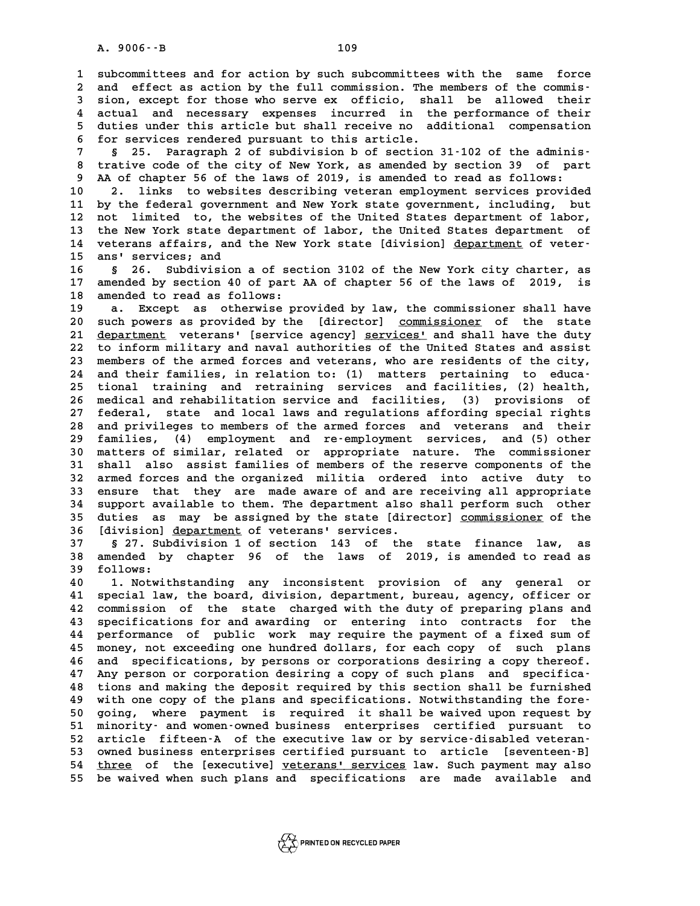**1 subcommittees and for action by such subcommittees with the same force** 1 subcommittees and for action by such subcommittees with the same force<br>2 and effect as action by the full commission. The members of the commis-<br>3 sion except for those who serve ex officio, shall be alloyed their 3 subcommittees and for action by such subcommittees with the same force<br>
3 and effect as action by the full commission. The members of the commis-<br>
3 sion, except for those who serve ex officio, shall be allowed their<br>
<sup>4</sup> 2 and effect as action by the full commission. The members of the commis-<br>3 sion, except for those who serve ex officio, shall be allowed their<br>4 actual and necessary expenses incurred in the performance of their<br>5 duties 5 sion, except for those who serve ex officio, shall be allowed their<br>4 actual and necessary expenses incurred in the performance of their<br>5 duties under this article but shall receive no additional compensation<br>5 for acyv 4 actual and necessary expenses incurred in th<br>5 duties under this article but shall receive no ad<br>6 for services rendered pursuant to this article.<br>7 5 25 Paragraph 2 of subdivision b of soction

5 duties under this article but shall receive no additional compensation<br>
6 for services rendered pursuant to this article.<br>
7 § 25. Paragraph 2 of subdivision b of section 31-102 of the adminis-<br>
8 trative code of the cit **8 for services rendered pursuant to this article.**<br> **8 25. Paragraph 2 of subdivision b of section 31-102 of the adminis-**<br> **8 trative code of the city of New York, as amended by section 39 of part**<br> **8 AA of shantor 56 o 9 9 4 Paragraph 2 of subdivision b of section 31-102 of the adminis<br>
8 trative code of the city of New York, as amended by section 39 of par<br>
9 AA of chapter 56 of the laws of 2019, is amended to read as follows:<br>
2 1inks** 8 trative code of the city of New York, as amended by section 39 of part<br>9 AA of chapter 56 of the laws of 2019, is amended to read as follows:<br>10 2. links to websites describing veteran employment services provided<br>11 by

**11 by the federal government and New York state government, including, but**<br> **11 by the federal government and New York state government, including, but**<br> **11 by the federal government and New York state government, inclu** 10 2. links to websites describing veteran employment services provided<br>11 by the federal government and New York state government, including, but<br>12 not limited to, the websites of the United States department of labor,<br><sup></sup> 11 by the federal government and New York state government, including, but<br>12 not limited to, the websites of the United States department of labor,<br>13 the New York state department of labor, the United States department o 12 not limited to, the websites of the United States department of labor,<br>13 the New York state department of labor, the United States department of<br>14 veterans affairs, and the New York state [division] <u>department</u> of ve 13 the New York state department of labor, the United States department of<br>14 veterans affairs, and the New York state [division] <u>department</u> of veter-<br>15 ans' services; and<br>16 8 26. Subdivision a of section 3102 of the N **14 veterans affairs, and the New York state [division] <u>department</u> of veter-<br>15 ans' services; and<br>16 § 26. Subdivision a of section 3102 of the New York city charter, as<br>17 appended by section 40 of part Ab of shapter 5** 

**15 ans' services; and<br>16 § 26. Subdivision a of section 3102 of the New York city charter, as<br>17 amended by section 40 of part AA of chapter 56 of the laws of 2019, is<br>18 amended to read as follows:** 16 § 26. Subdivision a of sec<br>17 amended by section 40 of part<br>18 amended to read as follows:<br><sup>19</sup> a Frantian Cherrico pr 17 amended by section 40 of part AA of chapter 56 of the laws of 2019, is<br>18 amended to read as follows:<br>19 a. Except as otherwise provided by law, the commissioner shall have<br>20 such powers as provided by the [director] c

**20 such powers as as follows:**<br> **20 such powers as provided by the [director]** commissioner of the state<br> **20 such powers as provided by the [director]** commissioner of the state<br> **21 department** upterans! [service agency **20** a. Except as otherwise provided by law, the commissioner shall have 20 such powers as provided by the [director] <u>commissioner</u> of the state  $\frac{1}{2}$  department veterans' [service agency] services' and shall have the 20 such powers as provided by the [director] <u>commissioner</u> of the state<br>21 <u>department</u> veterans' [service agency] <u>services'</u> and shall have the duty<br>22 to inform military and naval authorities of the United States and a 21 <u>department</u> veterans' [service agency] <u>services'</u> and shall have the duty<br>22 to inform military and naval authorities of the United States and assist<br>23 members of the armed forces and veterans, who are residents of t 22 to inform military and naval authorities of the United States and assist<br>23 members of the armed forces and veterans, who are residents of the city,<br>24 and their families, in relation to: (1) matters pertaining to educa 23 members of the armed forces and veterans, who are residents of the city,<br>24 and their families, in relation to: (1) matters pertaining to educa-<br>25 tional training and retraining services and facilities, (2) health,<br>26 24 and their families, in relation to: (1) matters pertaining to educa-<br>25 tional training and retraining services and facilities, (2) health,<br>26 medical and rehabilitation service and facilities, (3) provisions of<br>27 fode 25 tional training and retraining services and facilities, (2) health,<br>26 medical and rehabilitation service and facilities, (3) provisions of<br>27 federal, state and local laws and regulations affording special rights<br>28 an 26 medical and rehabilitation service and facilities, (3) provisions of<br>27 federal, state and local laws and regulations affording special rights<br>28 and privileges to members of the armed forces and veterans and their<br><sup>29</sup> 27 federal, state and local laws and regulations affording special rights<br>28 and privileges to members of the armed forces and veterans and their<br>29 families, (4) employment and re-employment services, and (5) other<br>20 mat 28 and privileges to members of the armed forces and veterans and their<br>29 families, (4) employment and re-employment services, and (5) other<br>30 matters of similar, related or appropriate nature. The commissioner<br>31 shall **39 families, (4) employment and re-employment services, and (5) other<br>30 matters of similar, related or appropriate nature. The commissioner<br>31 shall also assist families of members of the reserve components of the<br>32 arm** 30 matters of similar, related or appropriate nature. The commissioner<br>31 shall also assist families of members of the reserve components of the<br>32 armed forces and the organized militia ordered into active duty to<br>33 ensu 31 shall also assist families of members of the reserve components of the<br>32 armed forces and the organized militia ordered into active duty to<br>33 ensure that they are made aware of and are receiving all appropriate<br><sup>34</sup> s 32 armed forces and the organized militia ordered into active duty to<br>33 ensure that they are made aware of and are receiving all appropriate<br>34 support available to them. The department also shall perform such other<br>35 du 33 ensure that they are made aware of and are receiving all appropriate<br>34 support available to them. The department also shall perform such other<br>35 duties as may be assigned by the state [director] <u>commissioner</u> of the<br> 34 support available to them. The department also<br>35 duties as may be assigned by the state [dire<br>36 [division] <u>department</u> of veterans' services.<br><sup>27</sup> 5.<sup>27</sup> Subdivision 1 of sostion 142 of the 35 duties as may be assigned by the state [director] commissioner of the<br>36 [division] <u>department</u> of veterans' services.<br>37 § 27. Subdivision 1 of section 143 of the state finance law, as<br>28. aported by chapter 36 of the

**36 [division] <u>department</u> of veterans' services.<br>37 § 27. Subdivision 1 of section 143 of the state finance law, as<br>38 amended by chapter 96 of the laws of 2019, is amended to read as<br>50 follows: 37 \$27.** Sub<br> **38** amended by<br> **39** follows: **40 1. Notwithstanding any inconsistent provision of any general or**<br>**40 1. Notwithstanding any inconsistent provision of any general or**<br>**41 special law the board division department bureau agency officer or** 

1. Notwithstanding any inconsistent provision of any general or<br>41 special law, the board, division, department, bureau, agency, officer or<br>42 commission of the state charged with the duty of preparing plans and **42 commission of the state charged with the duty of preparing plans and** 41 special law, the board, division, department, bureau, agency, officer or<br>42 commission of the state charged with the duty of preparing plans and<br>43 specifications for and awarding or entering into contracts for the<br>44 p 42 commission of the state charged with the duty of preparing plans and<br>43 specifications for and awarding or entering into contracts for the<br>44 performance of public work may require the payment of a fixed sum of<br><sup>45</sup> mon 43 specifications for and awarding or entering into contracts for the<br>44 performance of public work may require the payment of a fixed sum of<br>45 money, not exceeding one hundred dollars, for each copy of such plans<br>46 and **44 performance of public work may require the payment of a fixed sum of money, not exceeding one hundred dollars, for each copy of such plans and specifications, by persons or corporations desiring a copy thereof.**<br> **45 a** money, not exceeding one hundred dollars, for each copy of such plans<br>
46 and specifications, by persons or corporations desiring a copy thereof.<br>
47 Any person or corporation desiring a copy of such plans and specifica-<br> and specifications, by persons or corporations desiring a copy thereof.<br>47 Any person or corporation desiring a copy of such plans and specifica-<br>48 tions and making the deposit required by this section shall be furnished<br> Any person or corporation desiring a copy of such plans and specifica-<br>48 tions and making the deposit required by this section shall be furnished<br>49 with one copy of the plans and specifications. Notwithstanding the fore-48 tions and making the deposit required by this section shall be furnished<br>49 with one copy of the plans and specifications. Notwithstanding the fore-<br>50 going, where payment is required it shall be waived upon request by with one copy of the plans and specifications. Notwithstanding the fore-<br>50 going, where payment is required it shall be waived upon request by<br>51 minority- and women-owned business enterprises certified pursuant to<br>52 art 50 going, where payment is required it shall be waived upon request by<br>
51 minority and women owned business enterprises certified pursuant to<br>
52 article fifteen-A of the executive law or by service-disabled veteran-<br>
53 51 minority and women owned business enterprises certified pursuant to<br>52 article fifteen-A of the executive law or by service-disabled veteran-<br>53 owned business enterprises certified pursuant to article [seventeen-B]<br>54  $three$  of the [executive] veterans' services law. Such payment may also</u> **55 be waived when such plans and specifications are made available and**

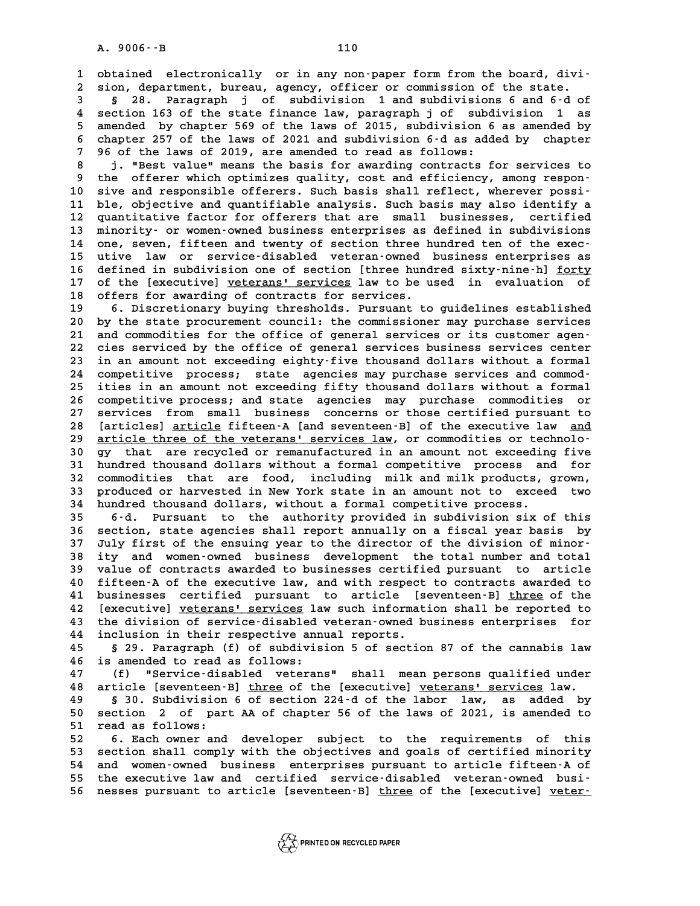A. 9006 · - B<br>
1 obtained electronically or in any non-paper form from the board, divi-<br>
<sup>2</sup> sion department bureau aconou officer or commission of the state **2** obtained electronically or in any non-paper form from the board, divi-<br>2 sion, department, bureau, agency, officer or commission of the state.<br>3 6 28 Paragraph i of subdivision 1 and subdivisions 6 and 6.d of **3 1** obtained electronically or in any non-paper form from the board, division, department, bureau, agency, officer or commission of the state.<br> **3** § 28. Paragraph j of subdivision 1 and subdivisions 6 and 6-d of<br> **1**

2 sion, department, bureau, agency, officer or commission of the state.<br>
5 28. Paragraph j of subdivision 1 and subdivisions 6 and 6-d of<br>
4 section 163 of the state finance law, paragraph j of subdivision 1 as<br>
5 appended **5 28. Paragraph j of subdivision 1 and subdivisions 6 and 6-d of**<br>**4 section 163 of the state finance law, paragraph j of subdivision 1 as<br>5 amended by chapter 569 of the laws of 2015, subdivision 6 as amended by<br>6 abonto 6 4** section 163 of the state finance law, paragraph j of subdivision 1 as<br>
5 amended by chapter 569 of the laws of 2015, subdivision 6 as amended by<br>
6 chapter 257 of the laws of 2021 and subdivision 6-d as added by chap 5 amended by chapter 569 of the laws of 2015, subdivision 6 as amended by<br>6 chapter 257 of the laws of 2021 and subdivision 6-d as added by chapter<br>7 96 of the laws of 2019, are amended to read as follows:<br>**8** j. "Best val 8 chapter 257 of the laws of 2021 and subdivision 6-d as added by chapter<br> **8 j. "Best value" means the basis for awarding contracts for services to**<br> **8 j. "Best value" means the basis for awarding contracts for services** 

**9 the offerer which optimizes quality, cost and efficiency, among respon-**<sup>1</sup> 3 since and responsible offerers and responsible offerers. Such basis shall reflect, wherever possi-<br> **10** sive and responsible offerers. Such basis shall reflect, wherever possi-<br>
<sup>11</sup> ble objective and quantifiable a 9 the offerer which optimizes quality, cost and efficiency, among respon-<br>10 sive and responsible offerers. Such basis shall reflect, wherever possi-<br>11 ble, objective and quantifiable analysis. Such basis may also identif 10 sive and responsible offerers. Such basis shall reflect, wherever possi-<br>11 ble, objective and quantifiable analysis. Such basis may also identify a<br>12 quantitative factor for offerers that are small businesses, certifi 11 ble, objective and quantifiable analysis. Such basis may also identify a<br>12 quantitative factor for offerers that are small businesses, certified<br>13 minority or women-owned business enterprises as defined in subdivision 11 ble, objective and quantifiable analysis. Such basis may also identify a<br>12 quantitative factor for offerers that are small businesses, certified<br>13 minority or women owned business enterprises as defined in subdivision 13 minority or women owned business enterprises as defined in subdivisions<br>14 one, seven, fifteen and twenty of section three hundred ten of the exec-<br>15 utive law or service-disabled veteran-owned business enterprises as<br> 14 one, seven, fifteen and twenty of section three hundred ten of the exec-<br>15 utive law or service-disabled veteran-owned business enterprises as<br>16 defined in subdivision one of section [three hundred sixty-nine-h] <u>fort</u> 15 utive law or service-disabled veteran-owned business enterprises as<br>16 defined in subdivision one of section [three hundred sixty-nine-h] <u>forty</u><br>17 of the [executive] <u>veterans' services</u> law to be used in evaluation o 16 defined in subdivision one of section [three hund<br>17 of the [executive] <u>veterans' services</u> law to be u<br>18 offers for awarding of contracts for services.<br>19 fe Discretionary buying thresholds Burguant to 17 of the [executive] <u>veterans' services</u> law to be used in evaluation of<br>18 offers for awarding of contracts for services.<br>19 6. Discretionary buying thresholds. Pursuant to guidelines established<br>20 by the state procure

18 offers for awarding of contracts for services.<br>19 6. Discretionary buying thresholds. Pursuant to guidelines established<br>20 by the state procurement council: the commissioner may purchase services<br>21 and commodities for 19 6. Discretionary buying thresholds. Pursuant to guidelines established<br>
20 by the state procurement council: the commissioner may purchase services<br>
21 and commodities for the office of general services or its customer 20 by the state procurement council: the commissioner may purchase services<br>21 and commodities for the office of general services or its customer agen-<br>22 cies serviced by the office of general services business services c 21 and commodities for the office of general services or its customer agen-<br>22 cies serviced by the office of general services business services center<br>23 in an amount not exceeding eighty-five thousand dollars without a f 22 cies serviced by the office of general services business services center<br>
23 in an amount not exceeding eighty-five thousand dollars without a formal<br>
24 competitive process; state agencies may purchase services and com 23 in an amount not exceeding eighty-five thousand dollars without a formal<br>24 competitive process; state agencies may purchase services and commod-<br>25 ities in an amount not exceeding fifty thousand dollars without a form 24 competitive process; state agencies may purchase services and commod-<br>25 ities in an amount not exceeding fifty thousand dollars without a formal<br>26 competitive process; and state agencies may purchase commodities or<br>27 25 ities in an amount not exceeding fifty thousand dollars without a formal<br>26 competitive process; and state agencies may purchase commodities or<br>27 services from small business concerns or those certified pursuant to<br>28 26 competitive process; and state agencies may purchase commodities or<br>27 services from small business concerns or those certified pursuant to<br>28 [articles] <u>article</u> fifteen-A [and seventeen-B] of the executive law <u>and</u><br> 27 services from small business concerns or those certified pursuant to<br>28 [articles] <u>article</u> fifteen A [and seventeen B] of the executive law <u>and</u><br>29 <u>article three of the veterans' services law</u>, or commodities or tec 18 [articles] <u>article</u> fifteen A [and seventeen B] of the executive law and<br>
29 <u>article three of the veterans' services law</u>, or commodities or technology<br>
30 gy that are recycled or remanufactured in an amount not excee 29 <u>article three of the veterans' services law</u>, or commodities or technolo-<br>30 gy that are recycled or remanufactured in an amount not exceeding five<br>31 hundred thousand dollars without a formal competitive process and f **30** gy that are recycled or remanufactured in an amount not exceeding five<br>31 hundred thousand dollars without a formal competitive process and for<br>32 commodities that are food, including milk and milk products, grown,<br>33 31 hundred thousand dollars without a formal competitive process and for<br>32 commodities that are food, including milk and milk products, grown,<br>33 produced or harvested in New York state in an amount not to exceed two<br><sup>34</sup> 32 commodities that are food, including milk and milk products,<br>33 produced or harvested in New York state in an amount not to excee<br>34 hundred thousand dollars, without a formal competitive process.<br>35 f.d. Durguant to th 33 produced or harvested in New York state in an amount not to exceed two<br>34 hundred thousand dollars, without a formal competitive process.<br>35 6-d. Pursuant to the authority provided in subdivision six of this<br>26 decise a

**34 hundred thousand dollars, without a formal competitive process.**<br>35 6-d. Pursuant to the authority provided in subdivision six of this<br>36 section, state agencies shall report annually on a fiscal year basis by<br>37 Iuly **35 6-d. Pursuant to the authority provided in subdivision six of this**<br> **36 section, state agencies shall report annually on a fiscal year basis by**<br> **37 July first of the ensuing year to the director of the division of m** 36 section, state agencies shall report annually on a fiscal year basis by<br>37 July first of the ensuing year to the director of the division of minor-<br>38 ity and women-owned business development the total number and total<br> **37 July first of the ensuing year to the director of the division of minor-<br>38 ity and women-owned business development the total number and total<br>39 value of contracts awarded to businesses certified pursuant to article<br> 40 ity and women-owned business development the total number and total**<br>**40 fifteen-A of the executive law, and with respect to contracts awarded to**<br>**41 husinesses certified pursuant to article (seventeen-B) three of the** 39 value of contracts awarded to businesses certified pursuant to article 40 fifteen-A of the executive law, and with respect to contracts awarded to businesses certified pursuant to article [seventeen-B] <u>three</u> of the [e **42** [executive] <u>veterans' services</u> law such information shall be reported to <br>43 the division of service-disabled veteran-owned business enterprises for 41 businesses certified pursuant to article [seventeen-B] <u>three</u> of the<br>42 [executive] <u>veterans' services</u> law such information shall be reported to<br>43 the division of service-disabled veteran-owned business enterprises 42 [executive] <u>veterans' services</u> law such informat<br>43 the division of service-disabled veteran-owned b<br>44 inclusion in their respective annual reports.<br><sup>45</sup> 5.29 Paragraph (f) of subdivision 5.05 postion **43** the division of service-disabled veteran-owned business enterprises for<br>**44** inclusion in their respective annual reports.<br>**45** § 29. Paragraph (f) of subdivision 5 of section 87 of the cannabis law<br>*46* is areaded to

44 inclusion in their respective annual reports.<br>45 § 29. Paragraph (f) of subdivision 5 of section 87 of the cannabis law<br>46 is amended to read as follows:<br>47 (f) "Service-disabled veterans" shall mean persons qualified u 45 § 29. Paragraph (f) of subdivision 5 of section 87 of the cannabis law<br>46 is amended to read as follows:<br>47 (f) "Service-disabled veterans" shall mean persons qualified under<br>48 article [seventeen-B] three of the [execu

**48** article [seventeen-B] <u>three</u> of the [executive] <u>veterans' services</u> law.<br>49 § 30. Subdivision 6 of section 224-d of the labor law, as added **49 § 30. Subdivision 6 of section 224-d of the labor law, as added by 48 article [seventeen-B] <u>three</u> of the [executive] <u>veterans' services</u> law.<br>49 § 30. Subdivision 6 of section 224 of the labor law, as added by<br>50 section 2 of part AA of chapter 56 of the laws of 2021, is amended to<br>51** 49 § 30. Subdivision<br>50 section 2 of par<br>51 read as follows:<br>52 § Fach ounce and 50 section 2 of part AA of chapter 56 of the laws of 2021, is amended to<br>51 read as follows:<br>52 6. Each owner and developer subject to the requirements of this<br>53 section shall comply with the objectives and goals of certi

51 read as follows:<br>52 6. Each owner and developer subject to the requirements of this<br>53 section shall comply with the objectives and goals of certified minority<br>54 and waren.owned business enterprises pursuant to article **52** 6. Each owner and developer subject to the requirements of this<br> **53** section shall comply with the objectives and goals of certified minority<br> **54** and women-owned business enterprises pursuant to article fifteen-A o 53 section shall comply with the objectives and goals of certified minority<br>
54 and women-owned business enterprises pursuant to article fifteen-A of<br>
55 the executive law and certified service-disabled veteran-owned busi-54 and women-owned business enterprises pursuant to article fifteen-A of<br>55 the executive law and certified service-disabled veteran-owned busi-<br>56 nesses pursuant to article [seventeen-B] <u>three</u> of the [executive] <u>veter</u>

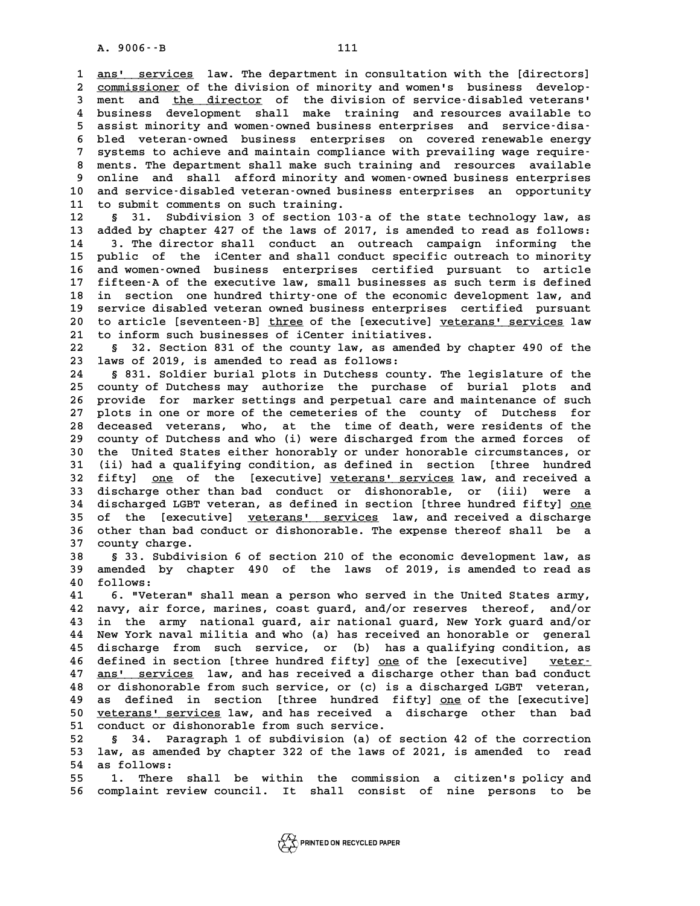A. 9006 · -B<br>1 <u>ans' services</u> law. The department in consultation with the [directors] 1 <u>ans' services</u> law. The department in consultation with the [directors]<br>2 <u>commissioner</u> of the division of minority and women's business develop-<br>3 ment and the director of the division of service-disabled veterans! **3** ans' services law. The department in consultation with the [directors]<br> **2** <u>commissioner</u> of the division of minority and women's business develop-<br> **3** ment and <u>the director</u> of the division of service-disabled vete 2 <u>commissioner</u> of the division of minority and women's business development and <u>the director</u> of the division of service-disabled veterans'<br>4 business development shall make training and resources available to<br>5 againt **5** and the director of the division of service-disabled veterans<sup>1</sup><br>4 business development shall make training and resources available to<br>5 assist minority and women-owned business enterprises and service-disa-<br>blod uptor 4 business development shall make training and resources available to<br>5 assist minority and women-owned business enterprises and service-disa-<br>6 bled veteran-owned business enterprises on covered renewable energy<br>7 sustans 5 assist minority and women-owned business enterprises and service-disa-<br>6 bled veteran-owned business enterprises on covered renewable energy<br>7 systems to achieve and maintain compliance with prevailing wage require-<br>8 mo 8 assist minority and women-owned business enterprises and service-disa-<br>6 bled veteran-owned business enterprises on covered renewable energy<br>7 systems to achieve and maintain compliance with prevailing wage require-<br>8 me **9 systems to achieve and maintain compliance with prevailing wage require-<br>
8 ments. The department shall make such training and resources available**<br> **9 online and shall afford minority and women-owned business enterpris** 8 ments. The department shall make such training and resources available<br>9 online and shall afford minority and women-owned business enterprises<br>10 and service-disabled veteran-owned business enterprises an opportunity<br>11 9 online and shall afford minority and<br>10 and service-disabled veteran-owned busi:<br>11 to submit comments on such training.<br><sup>12</sup> 5<sup>21</sup> Subdivision 3 of sostion 103. **10** and service-disabled veteran-owned business enterprises an opportunity<br>11 to submit comments on such training.<br>12 § 31. Subdivision 3 of section 103-a of the state technology law, as<br>3dded by chanter 427 of the laws o

11 to submit comments on such training.<br>
12 § 31. Subdivision 3 of section 103 a of the state technology law, as<br>
13 added by chapter 427 of the laws of 2017, is amended to read as follows:<br>
14 3. The director shall conduc 12 § 31. Subdivision 3 of section 103 - a of the state technology law, as<br>13 added by chapter 427 of the laws of 2017, is amended to read as follows:<br>14 3. The director shall conduct an outreach campaign informing the<br>15 p added by chapter 427 of the laws of 2017, is amended to read as follows:<br>14 3. The director shall conduct an outreach campaign informing the<br>15 public of the iCenter and shall conduct specific outreach to minority<br>16 and w 14 3. The director shall conduct an outreach campaign informing the<br>15 public of the iCenter and shall conduct specific outreach to minority<br>16 and women-owned business enterprises certified pursuant to article<br><sup>17</sup> fiftee **15 public of the iCenter and shall conduct specific outreach to minority**<br>16 and women-owned business enterprises certified pursuant to article<br>17 fifteen-A of the executive law, small businesses as such term is defined<br>i **16 and women-owned business enterprises certified pursuant to article**<br>17 fifteen-A of the executive law, small businesses as such term is defined<br>18 in section one hundred thirty-one of the economic development law, and<br> 17 fifteen-A of the executive law, small businesses as such term is defined<br>18 in section one hundred thirty-one of the economic development law, and<br>19 service disabled veteran owned business enterprises certified pursuan 18 in section one hundred thirty-one of the economic development law, and<br>19 service disabled veteran owned business enterprises certified pursuant<br>20 to article [seventeen-B] three of the [executive] <u>veterans' services</u> 19 service disabled veteran owned business enterprises<br>20 to article [seventeen-B] <u>three</u> of the [executive] <u>ve</u><br>21 to inform such businesses of iCenter initiatives.<br>22 5 32 Sostion 231 of the sounty law as amonded by 20 to article [seventeen-B] <u>three</u> of the [executive] <u>veterans' services</u> law<br>21 to inform such businesses of iCenter initiatives.<br>22 § 32. Section 831 of the county law, as amended by chapter 490 of the<br>23 laws of 2019,

21 to inform such businesses of iCenter initiative<br>22 § 32. Section 831 of the county law, as amended<br>23 laws of 2019, is amended to read as follows:<br>24 § 831 Soldior burial plats in Dutchess counti **22 § 32. Section 831 of the county law, as amended by chapter 490 of the**<br> **23 laws of 2019, is amended to read as follows:**<br> **24 § 831. Soldier burial plots in Dutchess county. The legislature of the**<br> **25 GOUTALLY OF PU** 

23 laws of 2019, is amended to read as follows:<br>24 § 831. Soldier burial plots in Dutchess county. The legislature of the<br>25 county of Dutchess may authorize the purchase of burial plots and<br>26 provide for marker aptings a 8 24 S 831. Soldier burial plots in Dutchess county. The legislature of the<br>25 county of Dutchess may authorize the purchase of burial plots and<br>26 provide for marker settings and perpetual care and maintenance of such<br>27 25 county of Dutchess may authorize the purchase of burial plots and<br>26 provide for marker settings and perpetual care and maintenance of such<br>27 plots in one or more of the cemeteries of the county of Dutchess for<br>28 dece 26 provide for marker settings and perpetual care and maintenance of such<br>27 plots in one or more of the cemeteries of the county of Dutchess for<br>28 deceased veterans, who, at the time of death, were residents of the<br>29 de Plots in one or more of the cemeteries of the county of Dutchess for<br>28 deceased veterans, who, at the time of death, were residents of the<br>29 county of Dutchess and who (i) were discharged from the armed forces of<br><sup>20</sup> th deceased veterans, who, at the time of death, were residents of the<br>29 county of Dutchess and who (i) were discharged from the armed forces of<br>30 the United States either honorably or under honorable circumstances, or<br><sup>31</sup> **39 county of Dutchess and who (i) were discharged from the armed forces of the United States either honorably or under honorable circumstances, or (ii) had a qualifying condition, as defined in section [three hundred** 30 the United States either honorably or under honorable circumstances, or<br>31 (ii) had a qualifying condition, as defined in section [three hundred<br>32 fifty] <u>one</u> of the [executive] <u>veterans' services</u> law, and received 31 (ii) had a qualifying condition, as defined in section [three hundred<br>32 fifty] <u>one</u> of the [executive] <u>veterans' services</u> law, and received a<br>33 discharge other than bad conduct or dishonorable, or (iii) were a<br>34 d 32 fifty] <u>one</u> of the [executive] <u>veterans' services</u> law, and received a<br>33 discharge other than bad conduct or dishonorable, or (iii) were a 33 discharge other than bad conduct or dishonorable, or (iii) were a<br>34 discharged LGBT veteran, as defined in section [three hundred fifty] <u>one</u><br>35 of the [executive] <u>veterans' services</u> law, and received a discharge<br>26 **34 discharged LGBT veteran, as defined in section [three hundred fifty] <u>one</u><br>35 of the [executive] <u>veterans' services</u> law, and received a discharge<br>36 other than bad conduct or dishonorable. The expense thereof shall b** 35 of the [executive] <u>veterans' services</u> law, and received a discharge<br>36 other than bad conduct or dishonorable. The expense thereof shall be a<br>37 county charge.<br>38 33. Subdivision 6 of section 210 of the economic devel 36 other than bad conduct or dishonorable. The expense thereof shall be a<br>37 county charge.<br>38 § 33. Subdivision 6 of section 210 of the economic development law, as<br>39 amended by chapter 490 of the laws of 2019, is amende

**39 amended by chapter 490 of the laws of 2019, is amended to read as 40 5 33.** Sub<br> **40** follows:<br> **41 6 Weter** and the laws of 2019, is amended to read as<br>40 follows:<br>41 6. "Veteran" shall mean a person who served in the United States army,<br>42 navy air force marines seest ward and/or reserves thereof and/or

**42 navy, air force, marines, coast guard, and/or reserves thereof, and/or 41 6. "Veteran" shall mean a person who served in the United States army,<br>42 navy, air force, marines, coast guard, and/or reserves thereof, and/or<br>43 in the army national guard, air national guard, New York guard and/or<br> 42 navy, air force, marines, coast guard, and/or reserves thereof, and/or**<br>**43 in the army national guard, air national guard, New York guard and/or**<br>**44 New York naval militia and who (a) has received an honorable or gen** 43 in the army national guard, air national guard, New York guard and/or<br>44 New York naval militia and who (a) has received an honorable or general<br>45 discharge from such service, or (b) has a qualifying condition, as<br>46 d New York naval militia and who (a) has received an honorable or general<br>45 discharge from such service, or (b) has a qualifying condition, as<br>46 defined in section [three hundred fifty] <u>one</u> of the [executive] <u>veter-</u><br>47 discharge from such service, or (b) has a qualifying condition, as<br>46 defined in section [three hundred fifty] <u>one</u> of the [executive] <u>veter-</u><br>47 <u>ans' services</u> law, and has received a discharge other than bad conduct<br>4 **46 defined in section [three hundred fifty] <u>one</u> of the [executive] <u>veter-</u><br>47 <u>ans' services</u> law, and has received a discharge other than bad conduct<br>48 or dishonorable from such service, or (c) is a discharged LGBT v 47** <u>ans' services</u> law, and has received a discharge other than bad conduct<br>48 or dishonorable from such service, or (c) is a discharged LGBT veteran,<br>49 as defined in section [three hundred fifty] <u>one</u> of the [executiv 48 or dishonorable from such service, or (c) is a discharged LGBT veteran,<br>49 as defined in section [three hundred fifty] <u>one</u> of the [executive]<br>50 <u>veterans' services</u> law, and has received a discharge other than bad<br>51 49 as defined in section [three hundred fi<br>50 <u>veterans' services</u> law, and has received a<br>51 conduct or dishonorable from such service.<br>52 5 34 Paragraph 1 of subdivision (a) of 5 **50 <u>veterans' services</u> law, and has received a discharge other than bad**<br>51 conduct or dishonorable from such service.<br>52 § 34. Paragraph 1 of subdivision (a) of section 42 of the correction<br>53 law as amended by chante

51 conduct or dishonorable from such service.<br>52 § 34. Paragraph 1 of subdivision (a) of section 42 of the correction<br>53 law, as amended by chapter 322 of the laws of 2021, is amended to read<br>54 35 follows: 52 § 34. Para<br>53 law, as amende<br>54 as follows:<br>55 <sup>1</sup> mbore of **53 law, as amended by chapter 322 of the laws of 2021, is amended to read<br>54 as follows:<br>55 1. There shall be within the commission a citizen's policy and<br>56 commlaint review council it shall consist of nine persons to be** 

54 as follows:<br>55 1. There shall be within the commission a citizen's policy and<br>56 complaint review council. It shall consist of nine persons to be

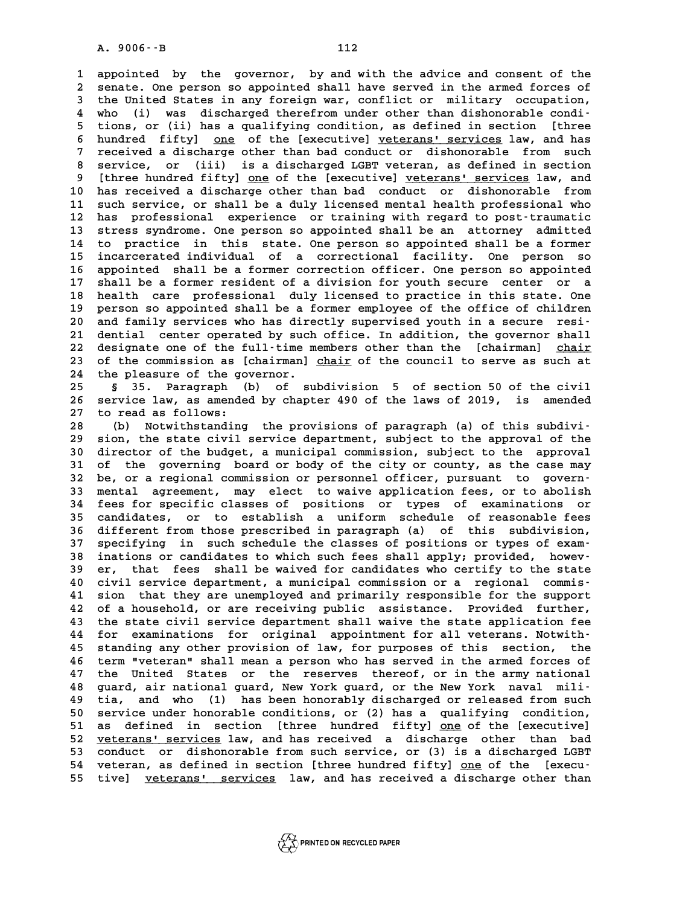**1 appointed by the governor, by and with the advice and consent of the 2** appointed by the governor, by and with the advice and consent of the<br>2 senate. One person so appointed shall have served in the armed forces of<br>3 the United States in any foreign war, confligt or military occupation **3** appointed by the governor, by and with the advice and consent of the senate. One person so appointed shall have served in the armed forces of the United States in any foreign war, conflict or military occupation,<br>  $\frac{$ 2 senate. One person so appointed shall have served in the armed forces of<br>
3 the United States in any foreign war, conflict or military occupation,<br>
4 who (i) was discharged therefrom under other than dishonorable condi-<br> <sup>3</sup> the United States in any foreign war, conflict or military occupation,<br>
4 who (i) was discharged therefrom under other than dishonorable condi-<br>
5 tions, or (ii) has a qualifying condition, as defined in section [three 4 who (i) was discharged therefrom under other than dishonorable conditions, or (ii) has a qualifying condition, as defined in section [three<br>6 hundred fifty] <u>one</u> of the [executive] <u>veterans' services</u> law, and has<br>rece **7 received a discharge other than bad conduct or dishonorable from such** 8 hundred fifty] <u>one</u> of the [executive] <u>veterans' services</u> law, and has<br>7 received a discharge other than bad conduct or dishonorable from such<br>8 service, or (iii) is a discharged LGBT veteran, as defined in section<br>9 [three hundred fifty] one of the [executive] veterans' services law, and 8 service, or (iii) is a discharged LGBT veteran, as defined in section<br>9 [three hundred fifty] <u>one</u> of the [executive] <u>veterans' services</u> law, and<br>10 has received a discharge other than bad conduct or dishonorable from 9 [three hundred fifty] <u>one</u> of the [executive] <u>veterans' services</u> law, and<br>10 has received a discharge other than bad conduct or dishonorable from<br>11 such service, or shall be a duly licensed mental health professional 10 has received a discharge other than bad conduct or dishonorable from<br>11 such service, or shall be a duly licensed mental health professional who<br>12 has professional experience or training with regard to post-traumatic<br>1 11 such service, or shall be a duly licensed mental health professional who<br>12 has professional experience or training with regard to post-traumatic<br>13 stress syndrome. One person so appointed shall be an attorney admitted 12 has professional experience or training with regard to post-traumatic<br>13 stress syndrome. One person so appointed shall be an attorney admitted<br>14 to practice in this state. One person so appointed shall be a former<br>15 13 stress syndrome. One person so appointed shall be an attorney admitted<br>14 to practice in this state. One person so appointed shall be a former<br>15 incarcerated individual of a correctional facility. One person so<br>16 inca 14 to practice in this state. One person so appointed shall be a former<br>15 incarcerated individual of a correctional facility. One person so<br>16 appointed shall be a former correction officer. One person so appointed<br>17 sha 15 incarcerated individual of a correctional facility. One person so<br>16 appointed shall be a former correction officer. One person so appointed<br>17 shall be a former resident of a division for youth secure center or a<br>healt 16 appointed shall be a former correction officer. One person so appointed<br>17 shall be a former resident of a division for youth secure center or a<br>18 health care professional duly licensed to practice in this state. One<br>n **17 shall be a former resident of a division for youth secure center or a**<br>18 health care professional duly licensed to practice in this state. One<br>19 person so appointed shall be a former employee of the office of childre 18 health care professional duly licensed to practice in this state. One<br>
19 person so appointed shall be a former employee of the office of children<br>
20 and family services who has directly supervised youth in a secure re 19 person so appointed shall be a former employee of the office of children<br>20 and family services who has directly supervised youth in a secure resi-<br>21 dential center operated by such office. In addition, the governor sh 20 and family services who has directly supervised youth in a secure resi-<br>21 dential center operated by such office. In addition, the governor shall<br>22 designate one of the full-time members other than the [chairman] <u>cha</u> 21 dential center operated by such office. In addition, the governor shall<br>22 designate one of the full-time members other than the [chairman] <u>chair</u><br>23 of the commission as [chairman] <u>chair</u> of the council to serve as s 22 designate one of the full-time m<br>23 of the commission as [chairman]<br>24 the pleasure of the governor.<br>25 5 25 Paragraph (b) of sui

23 of the commission as [chairman] <u>chair</u> of the council to serve as such at<br>24 the pleasure of the governor.<br>25 § 35. Paragraph (b) of subdivision 5 of section 50 of the civil<br>26 service law, as amended by chapter 490 of 24 the pleasure of the governor.<br>25 § 35. Paragraph (b) of subdivision 5 of section 50 of the civil<br>26 service law, as amended by chapter 490 of the laws of 2019, is amended<br>27 to read as follows: 25 § 35. Paragraph (1)<br>26 service law, as amende<br>27 to read as follows:<br>28 (b) Notwithstanding 26 service law, as amended by chapter 490 of the laws of 2019, is amended<br>
27 to read as follows:<br>
28 (b) Notwithstanding the provisions of paragraph (a) of this subdivi-<br>
29 sion the state sivil service department, subjec

27 to read as follows:<br>
28 (b) Notwithstanding the provisions of paragraph (a) of this subdivi-<br>
29 sion, the state civil service department, subject to the approval of the<br>
20 director of the budget a municipal commission (b) Notwithstanding the provisions of paragraph (a) of this subdivi-<br>29 sion, the state civil service department, subject to the approval of the<br>30 director of the budget, a municipal commission, subject to the approval<br>31 **39 sion, the state civil service department, subject to the approval of the director of the budget, a municipal commission, subject to the approval of the governing board or body of the city or county, as the case may**<br> 30 director of the budget, a municipal commission, subject to the approval<br>31 of the governing board or body of the city or county, as the case may<br>32 be, or a regional commission or personnel officer, pursuant to govern-<br> 31 of the governing board or body of the city or county, as the case may<br>32 be, or a regional commission or personnel officer, pursuant to govern-<br>33 mental agreement, may elect to waive application fees, or to abolish<br><sup>34</sup> 32 be, or a regional commission or personnel officer, pursuant to govern-<br>33 mental agreement, may elect to waive application fees, or to abolish<br>34 fees for specific classes of positions or types of examinations or **35 candidates, or to establish a uniform schedule of reasonable fees 34 fees for specific classes of positions or types of examinations or candidates, or to establish a uniform schedule of reasonable fees different from those prescribed in paragraph (a) of this subdivision, anonifying in q** 35 candidates, or to establish a uniform schedule of reasonable fees<br>36 different from those prescribed in paragraph (a) of this subdivision,<br>37 specifying in such schedule the classes of positions or types of exam-<br>inctio 36 different from those prescribed in paragraph (a) of this subdivision,<br>37 specifying in such schedule the classes of positions or types of exam-<br>38 inations or candidates to which such fees shall apply; provided, howev-<br> 37 specifying in such schedule the classes of positions or types of exam-<br>38 inations or candidates to which such fees shall apply; provided, howev-<br>39 er, that fees shall be waived for candidates who certify to the state<br> 38 inations or candidates to which such fees shall apply; provided, however, that fees shall be waived for candidates who certify to the state civil service department, a municipal commission or a regional commis-<br>
<sup>40</sup> ci **41 signal is that fees shall be waived for candidates who certify to the state**<br>40 civil service department, a municipal commission or a regional commis-<br>41 sion that they are unemployed and primarily responsible for the 40 civil service department, a municipal commission or a regional commis-<br>41 sion that they are unemployed and primarily responsible for the support<br>42 of a household, or are receiving public assistance. Provided further,<br> 41 sion that they are unemployed and primarily responsible for the support<br>42 of a household, or are receiving public assistance. Provided further,<br>43 the state civil service department shall waive the state application fe 42 of a household, or are receiving public assistance. Provided further,<br>43 the state civil service department shall waive the state application fee<br>44 for examinations for original appointment for all veterans. Notwith-<br>4 **43 the state civil service department shall waive the state application fee**<br>**44 for examinations for original appointment for all veterans. Notwith-**<br>**45 standing any other provision of law, for purposes of this section, 44 for examinations for original appointment for all veterans. Notwith-**<br>**45 standing any other provision of law, for purposes of this section, the term "veteran" shall mean a person who has served in the armed forces of<br>** 45 standing any other provision of law, for purposes of this section, the<br>46 term "veteran" shall mean a person who has served in the armed forces of<br>47 the United States or the reserves thereof, or in the army national<br>48 46 term "veteran" shall mean a person who has served in the armed forces of<br>47 the United States or the reserves thereof, or in the army national<br>48 guard, air national guard, New York guard, or the New York naval mili-<br>19 47 the United States or the reserves thereof, or in the army national<br>48 guard, air national guard, New York guard, or the New York naval mili-<br>49 tia, and who (1) has been honorably discharged or released from such<br>50 ger 48 guard, air national guard, New York guard, or the New York naval mili-<br>49 tia, and who (1) has been honorably discharged or released from such<br>50 service under honorable conditions, or (2) has a qualifying condition, **50** tia, and who (1) has been honorably discharged or released from such<br>50 service under honorable conditions, or (2) has a qualifying condition,<br>51 as defined in section [three hundred fifty] <u>one</u> of the [executive]<br>52 50 service under honorable conditions, or (2) has a qualifying condition,<br>51 as defined in section [three hundred fifty] <u>one</u> of the [executive]<br>52 <u>veterans' services</u> law, and has received a discharge other than bad<br>53 51 as defined in section [three hundred fifty] <u>one</u> of the [executive]<br>52 <u>veterans' services</u> law, and has received a discharge other than bad<br>53 conduct or dishonorable from such service, or (3) is a discharged LGBT<br>54 52 <u>veterans' services</u> law, and has received a discharge other than bad<br>53 conduct or dishonorable from such service, or (3) is a discharged LGBT<br>54 veteran, as defined in section [three hundred fifty] <u>one</u> of the [execu 55 tive] veterans' services law, and has received a discharge other than

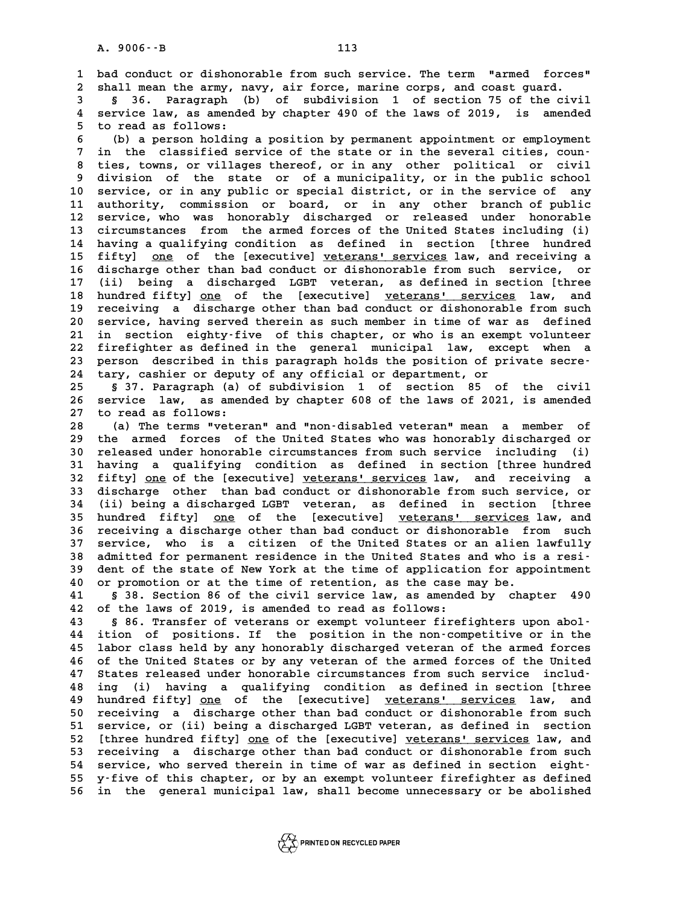**1 bad conduct or dishonorable from such service. The term "armed forces" 2** bad conduct or dishonorable from such service. The term "armed forces<br>2 shall mean the army, navy, air force, marine corps, and coast guard.<br>3 5 36 Persoranh (b) of subdivision 1 of section 75 of the givi

**3 § 36. Paragraph (b) of subdivision 1 of section 75 of the civil** a shall mean the army, navy, air force, marine corps, and coast guard.<br>
4 S 36. Paragraph (b) of subdivision 1 of section 75 of the civil<br>
4 service law, as amended by chapter 490 of the laws of 2019, is amended<br>
5 to road **5 36. Paragraph (1)**<br>**4 service law, as amende**<br>5 to read as follows:<br>(b) a paragraphelding **6 (a) a service law, as amended by chapter 490 of the laws of 2019, is amended**<br> **6 (b) a person holding a position by permanent appointment or employment**<br> **6** (b) a person holding a position by permanent appointment or

<sup>1</sup> **7** in the classified service of the state or in the several cities, coun-<br>
<sup>7</sup> in the classified service of the state or in the several cities, coun-<br>
<sup>2</sup> ties terms or willess thereof or in any other political or siv **8 (b) a person holding a position by permanent appointment or employment**<br> **8 in the classified service of the state or in the several cities, coun-**<br> **8 division of the state or of a municipality or in the public school** I in the classified service of the state or in the several cities, coun-<br>8 ties, towns, or villages thereof, or in any other political or civil<br>9 division of the state or of a municipality, or in the public school<br>0 servic 10 10 8 service, or in a service, or in any other political or civil<br>
10 division of the state or of a municipality, or in the public school<br>
10 service, or in any public or special district, or in the service of any<br>
11 a 9 division of the state or of a municipality, or in the public school<br>10 service, or in any public or special district, or in the service of any<br>11 authority, commission or board, or in any other branch of public<br>12 servic 10 service, or in any public or special district, or in the service of any<br>11 authority, commission or board, or in any other branch of public<br>12 service, who was honorably discharged or released under honorable<br>13 circums 11 authority, commission or board, or in any other branch of public<br>12 service, who was honorably discharged or released under honorable<br>13 circumstances from the armed forces of the United States including (i)<br>14 having a 12 service, who was honorably discharged or released under honorable<br>13 circumstances from the armed forces of the United States including (i)<br>14 having a qualifying condition as defined in section [three hundred<br>15 fiftyl 13 circumstances from the armed forces of the United States including (i)<br>14 having a qualifying condition as defined in section [three hundred<br>15 fifty] <u>one</u> of the [executive] <u>veterans' services</u> law, and receiving a<br>d 14 having a qualifying condition as defined in section [three hundred<br>15 fifty] <u>one</u> of the [executive] <u>veterans' services</u> law, and receiving a<br>16 discharge other than bad conduct or dishonorable from such service, or<br>1 15 fifty] <u>one</u> of the [executive] <u>veterans' services</u> law, and receiving a<br>16 discharge other than bad conduct or dishonorable from such service, or<br>17 (ii) being a discharged LGBT veteran, as defined in section [three<br>h **16 discharge other than bad conduct or dishonorable from such service, or** (ii) being a discharged LGBT veteran, as defined in section [three hundred fifty] <u>one</u> of the [executive] <u>veterans' services</u> law, and<br>no requir 17 (ii) being a discharged LGBT veteran, as defined in section [three<br>18 hundred fifty] <u>one</u> of the [executive] <u>veterans' services</u> law, and<br>19 receiving a discharge other than bad conduct or dishonorable from such<br>20 se 18 hundred fiftyl <u>one</u> of the [executive] <u>veterans' services</u> law, and<br>19 receiving a discharge other than bad conduct or dishonorable from such<br>20 service, having served therein as such member in time of war as defined<br> receiving a discharge other than bad conduct or dishonorable from such 20 service, having served therein as such member in time of war as defined<br>21 in section eighty-five of this chapter, or who is an exempt volunteer<br>22 firefighter as defined in the general municipal law, except when a<br>23 p 21 in section eighty-five of this chapter, or who is an exempt volunteer<br>
22 firefighter as defined in the general municipal law, except when a<br>
23 person described in this paragraph holds the position of private secre-<br>
2 22 firefighter as defined in the general municipal law, exc<br>23 person described in this paragraph holds the position of pr<br>24 tary, cashier or deputy of any official or department, or<br>25 5.27 Personal (a) of subdivision 1 23 person described in this paragraph holds the position of private secre-<br>24 tary, cashier or deputy of any official or department, or<br>25 § 37. Paragraph (a) of subdivision 1 of section 85 of the civil<br>26 service law, as

**24 tary, cashier or deputy of any official or department, or S 37. Paragraph (a) of subdivision 1 of section 85 of the civil as amended by chapter 608 of the laws of 2021, is amended 27 to read as follows:** 25 § 37. Paragraph (a)<br>26 service law, as amen<br>27 to read as follows:<br><sup>29</sup> (a) The terms linetor 26 service law, as amended by chapter 608 of the laws of 2021, is amended<br>27 to read as follows:<br>28 (a) The terms "veteran" and "non-disabled veteran" mean a member of<br>29 the armed forger of the United States who was bener

<sup>27</sup> to read as follows:<br>
28 (a) The terms "veteran" and "non-disabled veteran" mean a member of<br>
29 the armed forces of the United States who was honorably discharged or<br>
20 released under benerable girgumstances from qua **30 (a) The terms "veteran" and "non-disabled veteran" mean a member of the armed forces of the United States who was honorably discharged or released under honorable circumstances from such service including (i)**<br> **31 hav** 29 the armed forces of the United States who was honorably discharged or<br>30 released under honorable circumstances from such service including (i)<br>31 having a qualifying condition as defined in section [three hundred<br><sup>32</sup> 30 released under honorable circumstances from such service including (i)<br>31 having a qualifying condition as defined in section [three hundred<br>32 fifty] <u>one</u> of the [executive] <u>veterans' services</u> law, and receiving a<br>3 **31 having a qualifying condition as defined in section [three hundred**<br>**32 fifty]** <u>one</u> of the [executive] <u>veterans' services</u> law, and receiving a<br>**33 discharge other than bad conduct or dishonorable from such service,** 32 fifty] <u>one</u> of the [executive] <u>veterans' services</u> law, and receiving a<br>33 discharge other than bad conduct or dishonorable from such service, or<br>34 (ii) being a discharged LGBT veteran, as defined in section [three<br>b 33 discharge other than bad conduct or dishonorable from such service, or<br>34 (ii) being a discharged LGBT veteran, as defined in section [three<br>35 hundred fifty] <u>one</u> of the [executive] <u>veterans' services</u> law, and<br>26 re 34 (ii) being a discharged LGBT veteran, as defined in section [three<br>35 hundred fifty] <u>one</u> of the [executive] <u>veterans' services</u> law, and<br>36 receiving a discharge other than bad conduct or dishonorable from such<br>27 co 35 hundred fifty] <u>one</u> of the [executive] <u>veterans' services</u> law, and<br>36 receiving a discharge other than bad conduct or dishonorable from such<br>37 service, who is a citizen of the United States or an alien lawfully<br>28 a 36 receiving a discharge other than bad conduct or dishonorable from such<br>37 service, who is a citizen of the United States or an alien lawfully<br>38 admitted for permanent residence in the United States and who is a resi-<br><sup></sup> 37 service, who is a citizen of the United States or an alien lawfully<br>38 admitted for permanent residence in the United States and who is a resi-<br>39 dent of the state of New York at the time of application for appointment **40 38 admitted for permanent residence in the United States and who is<br>
40 or promotion or at the time of retention, as the case may be.**<br>
41 538 Section 86 of the givil service law as amended by chan dent of the state of New York at the time of application for appointment<br>40 or promotion or at the time of retention, as the case may be.<br>41 § 38. Section 86 of the civil service law, as amended by chapter 490<br>42 of the la

**42 of the laws of 2019, is amended to read as follows:**

**43 § 86. Transfer of veterans or exempt volunteer firefighters upon abol-42** of the laws of 2019, is amended to read as follows:<br> **43** § 86. Transfer of veterans or exempt volunteer firefighters upon abol-<br> **44** ition of positions. If the position in the non-competitive or in the<br> **45** labor g **43 66.** Transfer of veterans or exempt volunteer firefighters upon abol-<br>44 ition of positions. If the position in the non-competitive or in the<br>45 labor class held by any honorably discharged veteran of the armed force **44 ition of positions. If the position in the non-competitive or in the 1abor class held by any honorably discharged veteran of the armed forces of the United States or by any veteran of the armed forces of the United**<br>**4** 45 labor class held by any honorably discharged veteran of the armed forces<br>46 of the United States or by any veteran of the armed forces of the United<br>47 States released under honorable circumstances from such service inc 46 of the United States or by any veteran of the armed forces of the United<br>47 States released under honorable circumstances from such service includ-<br>48 ing (i) having a qualifying condition as defined in section [three<br>h 47 States released under honorable circumstances from such service includ-<br>48 ing (i) having a qualifying condition as defined in section [three<br>49 hundred fifty] <u>one</u> of the [executive] <u>veterans' services</u> law, and<br>50 r **50 finallying a discharge on than 10 reference in the section in the parameter of the [executive] <u>veterans' services</u> law, and receiving a discharge other than bad conduct or dishonorable from such<br>
50 receiving a discha** A sumdred fifty one of the [executive] <u>veterans' services</u> law, and<br>50 receiving a discharge other than bad conduct or dishonorable from such<br>51 service, or (ii) being a discharged LGBT veteran, as defined in section<br>52 t 50 receiving a discharge other than bad conduct or dishonorable from such<br>51 service, or (ii) being a discharged LGBT veteran, as defined in section<br>52 [three hundred fifty] <u>one</u> of the [executive] <u>veterans' services</u> la 51 service, or (ii) being a discharged LGBT veteran, as defined in section<br>52 [three hundred fifty] <u>one</u> of the [executive] <u>veterans' services</u> law, and<br>53 receiving a discharge other than bad conduct or dishonorable fro 52 [three hundred fifty] <u>one</u> of the [executive] <u>veterans' services</u> law, and<br>53 receiving a discharge other than bad conduct or dishonorable from such<br>54 service, who served therein in time of war as defined in section **53 receiving a discharge other than bad conduct or dishonorable from such service, who served therein in time of war as defined in section eight-**<br>55 y-five of this chapter, or by an exempt volunteer firefighter as define 53 receiving a discharge other than bad conduct or dishonorable from such<br>54 service, who served therein in time of war as defined in section eight-<br>55 y-five of this chapter, or by an exempt volunteer firefighter as defin

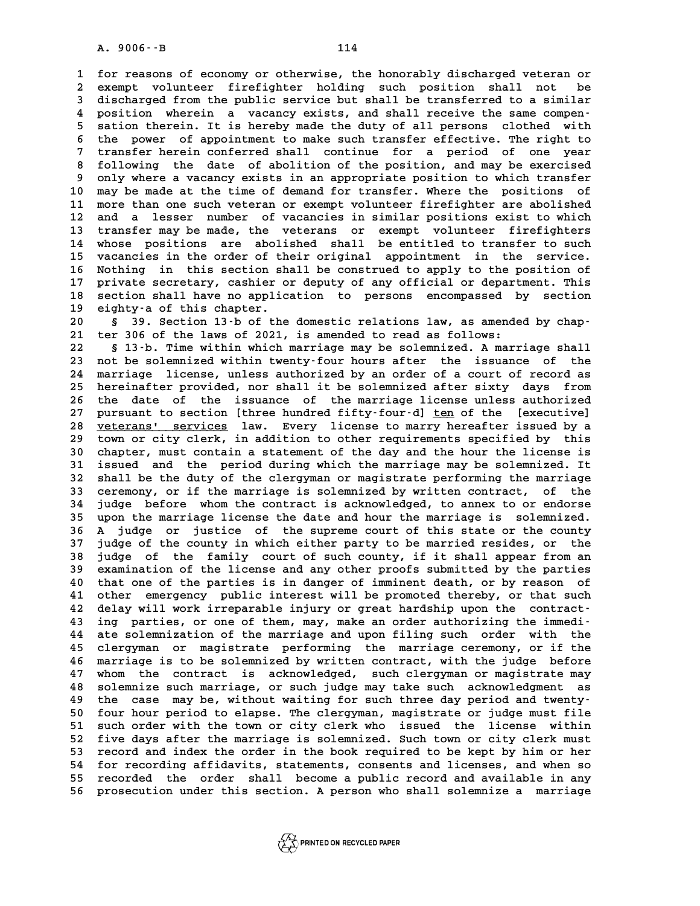**1 for reasons of economy or otherwise, the honorably discharged veteran or** 1 for reasons of economy or otherwise, the honorably discharged veteran or<br>2 exempt volunteer firefighter holding such position shall not be<br>3 discharged from the public service but shall be transferred to a similar 1 for reasons of economy or otherwise, the honorably discharged veteran or<br>2 exempt volunteer firefighter holding such position shall not be<br>3 discharged from the public service but shall be transferred to a similar<br><sup>4</sup> po 2 exempt volunteer firefighter holding such position shall not be<br>3 discharged from the public service but shall be transferred to a similar<br>4 position wherein a vacancy exists, and shall receive the same compen-<br>5 sation 3 discharged from the public service but shall be transferred to a similar<br>4 position wherein a vacancy exists, and shall receive the same compen-<br>5 sation therein. It is hereby made the duty of all persons clothed with<br>th **4 position wherein a vacancy exists, and shall receive the same compensation therein. It is hereby made the duty of all persons clothed with**<br>6 the power of appointment to make such transfer effective. The right to<br>7 tran 5 sation therein. It is hereby made the duty of all persons clothed with<br>6 the power of appointment to make such transfer effective. The right to<br>7 transfer herein conferred shall continue for a period of one year<br>6 follow 8 the power of appointment to make such transfer effective. The right to<br>7 transfer herein conferred shall continue for a period of one year<br>8 following the date of abolition of the position, and may be exercised<br>9 only wh transfer herein conferred shall continue for a period of one year 10 following the date of abolition of the position, and may be exercised<br>
10 may be made at the time of demand for transfer. Where the positions of<br>
11 more than one such weteran or exempt volunteer firefighter are abolish 9 only where a vacancy exists in an appropriate position to which transfer<br>10 may be made at the time of demand for transfer. Where the positions of<br>11 more than one such veteran or exempt volunteer firefighter are abolish 10 may be made at the time of demand for transfer. Where the positions of<br>11 more than one such veteran or exempt volunteer firefighter are abolished<br>12 and a lesser number of vacancies in similar positions exist to which<br> 11 more than one such veteran or exempt volunteer firefighter are abolished<br>12 and a lesser number of vacancies in similar positions exist to which<br>13 transfer may be made, the veterans or exempt volunteer firefighters<br>14 12 and a lesser number of vacancies in similar positions exist to which<br>13 transfer may be made, the veterans or exempt volunteer firefighters<br>14 whose positions are abolished shall be entitled to transfer to such<br>15 upgar 13 transfer may be made, the veterans or exempt volunteer firefighters<br>14 whose positions are abolished shall be entitled to transfer to such<br>15 vacancies in the order of their original appointment in the service.<br>16 Nothi 14 whose positions are abolished shall be entitled to transfer to such<br>15 vacancies in the order of their original appointment in the service.<br>16 Nothing in this section shall be construed to apply to the position of<br>17 pr 16 Nothing in this section shall be construed to apply to the position of<br>17 private secretary, cashier or deputy of any official or department. This<br>18 section shall have no application to persons encompassed by section 16 Nothing in this section shall be construed to apply to the position of<br>17 private secretary, cashier or deputy of any official or department. This<br>18 section shall have no application to persons encompassed by section<br>1 17 private secretary, cashier or deputy of any official or department. This section shall have no application to persons encompassed by section 19 eighty-a of this chapter.<br>20 \$ 39. Section 13-b of the domestic relations l **20 § 10 section shall have no application to persons encompassed by section**<br> **20 § 39. Section 13-b of the domestic relations law, as amended by chap-**<br> **21 ter 306 of the laws of 2021 is amended to read as follows.** 

**21 ter 306 of the laws of 2021, is amended to read as follows:** <sup>20</sup> § <sup>39</sup>. Section 13<sup>-</sup>b of the domestic relations law, as amended by chap-<br>
<sup>21</sup> ter 306 of the laws of 2021, is amended to read as follows:<br>
<sup>22</sup> § 13-b. Time within which marriage may be solemnized. A marriage shall

21 ter 306 of the laws of 2021, is amended to read as follows:<br>22 § 13-b. Time within which marriage may be solemnized. A marriage shall<br>23 not be solemnized within twenty-four hours after the issuance of the<br>24 marriage l 8 13-b. Time within which marriage may be solemnized. A marriage shall<br>23 not be solemnized within twenty-four hours after the issuance of the<br>24 marriage license, unless authorized by an order of a court of record as<br>25 h 23 not be solemnized within twenty-four hours after the issuance of the<br>24 marriage license, unless authorized by an order of a court of record as<br>25 hereinafter provided, nor shall it be solemnized after sixty days from<br>2 24 marriage license, unless authorized by an order of a court of record as<br>25 hereinafter provided, nor shall it be solemnized after sixty days from<br>26 the date of the issuance of the marriage license unless authorized<br>27 25 hereinafter provided, nor shall it be solemnized after sixty days from<br>26 the date of the issuance of the marriage license unless authorized<br>27 pursuant to section [three hundred fifty-four-d] <u>ten</u> of the [executive]<br>2 26 the date of the issuance of the marriage license unless authorized<br>27 pursuant to section [three hundred fifty-four-d] <u>ten</u> of the [executive]<br>28 <u>veterans' services</u> law. Every license to marry hereafter issued by a<br>t 27 pursuant to section [three hundred fifty-four-d] <u>ten</u> of the [executive]<br>28 <u>veterans' services</u> law. Every license to marry hereafter issued by a<br>29 town or city clerk, in addition to other requirements specified by t **30 veterans' services law. Every license to marry hereafter issued by a**<br>29 town or city clerk, in addition to other requirements specified by this<br>30 chapter, must contain a statement of the day and the hour the license 29 town or city clerk, in addition to other requirements specified by this<br>30 chapter, must contain a statement of the day and the hour the license is<br>31 issued and the period during which the marriage may be solemnized. I 30 chapter, must contain a statement of the day and the hour the license is<br>31 issued and the period during which the marriage may be solemnized. It<br>32 shall be the duty of the clergyman or magistrate performing the marria 31 issued and the period during which the marriage may be solemnized. It<br>32 shall be the duty of the clergyman or magistrate performing the marriage<br>33 ceremony, or if the marriage is solemnized by written contract, of the 32 shall be the duty of the clergyman or magistrate performing the marriage<br>33 ceremony, or if the marriage is solemnized by written contract, of the<br>34 judge before whom the contract is acknowledged, to annex to or endors 33 ceremony, or if the marriage is solemnized by written contract, of the<br>34 judge before whom the contract is acknowledged, to annex to or endorse<br>35 upon the marriage license the date and hour the marriage is solemnized. 34 judge before whom the contract is acknowledged, to annex to or endorse<br>35 upon the marriage license the date and hour the marriage is solemnized.<br>36 A judge or justice of the supreme court of this state or the county<br><sup>3</sup> 35 upon the marriage license the date and hour the marriage is solemnized.<br>36 A judge or justice of the supreme court of this state or the county<br>37 judge of the county in which either party to be married resides, or the<br><sup></sup> **36 A** judge or justice of the supreme court of this state or the county<br>37 judge of the county in which either party to be married resides, or the<br>38 judge of the family court of such county, if it shall appear from an<br>29 37 judge of the county in which either party to be married resides, or the<br>38 judge of the family court of such county, if it shall appear from an<br>39 examination of the license and any other proofs submitted by the parties **40 that one of the parties is in danger of imminent death, or by reason of 41 other emergency public interest will be proofs submitted by the parties**<br>40 that one of the parties is in danger of imminent death, or by reason of<br>41 other emergency public interest will be promoted thereby, or that s 40 that one of the parties is in danger of imminent death, or by reason of<br>41 other emergency public interest will be promoted thereby, or that such<br>42 delay will work irreparable injury or great hardship upon the contract 41 other emergency public interest will be promoted thereby, or that such<br>42 delay will work irreparable injury or great hardship upon the contract-<br>43 ing parties, or one of them, may, make an order authorizing the immedi **42 delay will work irreparable injury or great hardship upon the contract-<br>43 ing parties, or one of them, may, make an order authorizing the immedi-<br>44 ate solemnization of the marriage and upon filing such order with th** 43 ing parties, or one of them, may, make an order authorizing the immedi-<br>44 ate solemnization of the marriage and upon filing such order with the<br>45 clergyman or magistrate performing the marriage ceremony, or if the<br>46 44 ate solemnization of the marriage and upon filing such order with the<br>45 clergyman or magistrate performing the marriage ceremony, or if the<br>46 marriage is to be solemnized by written contract, with the judge before<br><sup>47</sup> 45 clergyman or magistrate performing the marriage ceremony, or if the<br>46 marriage is to be solemnized by written contract, with the judge before<br>47 whom the contract is acknowledged, such clergyman or magistrate may<br>48 so 46 marriage is to be solemnized by written contract, with the judge before<br>47 whom the contract is acknowledged, such clergyman or magistrate may<br>48 solemnize such marriage, or such judge may take such acknowledgment as<br>th 47 whom the contract is acknowledged, such clergyman or magistrate may<br>48 solemnize such marriage, or such judge may take such acknowledgment as<br>49 the case may be, without waiting for such three day period and twenty-<br>50 49 the case may be, without waiting for such three day period and twenty-<br>50 four hour period to elapse. The clergyman, magistrate or judge must file<br>51 such order with the town or city clerk who issued the license within 49 the case may be, without waiting for such three day period and twenty-<br>50 four hour period to elapse. The clergyman, magistrate or judge must file<br>51 such order with the town or city clerk who issued the license within 50 four hour period to elapse. The clergyman, magistrate or judge must file<br>51 such order with the town or city clerk who issued the license within<br>52 five days after the marriage is solemnized. Such town or city clerk mus 51 such order with the town or city clerk who issued the license within<br>52 five days after the marriage is solemnized. Such town or city clerk must<br>53 record and index the order in the book required to be kept by him or he 52 five days after the marriage is solemnized. Such town or city clerk must<br>53 record and index the order in the book required to be kept by him or her<br>54 for recording affidavits, statements, consents and licenses, and wh 53 record and index the order in the book required to be kept by him or her<br>54 for recording affidavits, statements, consents and licenses, and when so<br>55 recorded the order shall become a public record and available in an 54 for recording affidavits, statements, consents and licenses, and when so<br>55 recorded the order shall become a public record and available in any<br>56 prosecution under this section. A person who shall solemnize a marriage

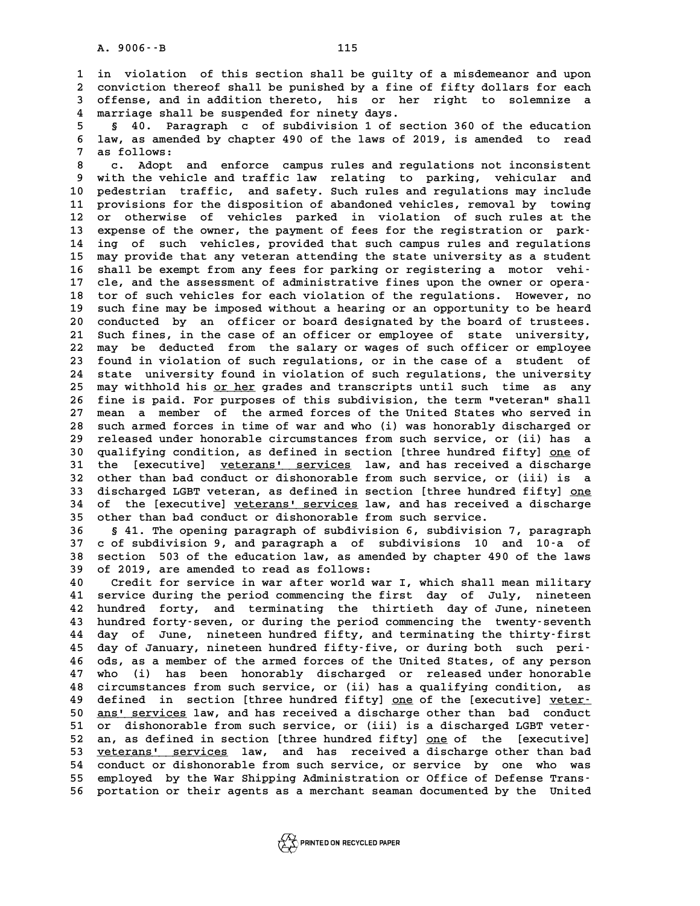A. 9006 --B<br>1 in violation of this section shall be guilty of a misdemeanor and upon<br>2 conviction thereof shall be punished by a fine of fifty dellars for each **2** in violation of this section shall be guilty of a misdemeanor and upon<br>2 conviction thereof shall be punished by a fine of fifty dollars for each<br>3 offense, and in addition thereto, his or her right, to solemnize a 1 in violation of this section shall be guilty of a misdemeanor and upon<br>2 conviction thereof shall be punished by a fine of fifty dollars for each<br>3 offense, and in addition thereto, his or her right to solemnize a<br>4 marr 2 conviction thereof shall be punished by a fine<br>3 offense, and in addition thereto, his or her<br>4 marriage shall be suspended for ninety days.<br>5 5 40 personals a of subdivision 1 of 500 **5 3 offense, and in addition thereto, his or her right to solemnize a<br><b>4** marriage shall be suspended for ninety days.<br>**5 6 40.** Paragraph c of subdivision 1 of section 360 of the education<br>**6 1011** 2012 are app

**6 law, as amended by chapter 490 of the laws of 2019, is amended to read** 5 **5 40. Para**<br>6 law, as amende<br>7 as follows: **8 law, as amended by chapter 490 of the laws of 2019, is amended to read<br>
<b>8 c. Adopt and enforce campus rules and regulations not inconsistent**<br> **8** with the vobiale and traffic law, relating to parking, vobigular and

8 c. Adopt and enforce campus rules and regulations not inconsistent<br>9 with the vehicle and traffic law relating to parking, vehicular and<br>10 pedestrian traffic, and safety. Such rules and regulations may include 10 **10 pedestrian traffic is and regulations not inconsistent**<br>
10 **pedestrian traffic, and safety.** Such rules and regulations may include<br>
11 **provisions** for the disposition of abandoned vehicles removal by towing 9 with the vehicle and traffic law relating to parking, vehicular and<br>10 pedestrian traffic, and safety. Such rules and regulations may include<br>11 provisions for the disposition of abandoned vehicles, removal by towing<br>12 10 pedestrian traffic, and safety. Such rules and regulations may include<br>11 provisions for the disposition of abandoned vehicles, removal by towing<br>12 or otherwise of vehicles parked in violation of such rules at the<br><sup>13</sup> 11 provisions for the disposition of abandoned vehicles, removal by towing<br>
12 or otherwise of vehicles parked in violation of such rules at the<br>
13 expense of the owner, the payment of fees for the registration or park-<br> 12 or otherwise of vehicles parked in violation of such rules at the<br>13 expense of the owner, the payment of fees for the registration or park-<br>14 ing of such vehicles, provided that such campus rules and regulations<br>15 ma **15 may provide that any veteran attending the state university as a student** 14 ing of such vehicles, provided that such campus rules and regulations<br>
15 may provide that any veteran attending the state university as a student<br>
16 shall be exempt from any fees for parking or registering a motor veh 15 may provide that any veteran attending the state university as a student<br>16 shall be exempt from any fees for parking or registering a motor vehi-<br>17 cle, and the assessment of administrative fines upon the owner or ope **16 shall be exempt from any fees for parking or registering a motor vehi-**<br>17 cle, and the assessment of administrative fines upon the owner or opera-<br>18 tor of such vehicles for each violation of the regulations. However 17 cle, and the assessment of administrative fines upon the owner or opera-<br>18 tor of such vehicles for each violation of the regulations. However, no<br>19 such fine may be imposed without a hearing or an opportunity to be h 18 tor of such vehicles for each violation of the regulations. However, no<br>19 such fine may be imposed without a hearing or an opportunity to be heard<br>20 conducted by an officer or board designated by the board of trustees 21 such fine may be imposed without a hearing or an opportunity to be heard<br>20 conducted by an officer or board designated by the board of trustees.<br>21 Such fines, in the case of an officer or employee of state university, 20 conducted by an officer or board designated by the board of trustees.<br>21 Such fines, in the case of an officer or employee of state university,<br>22 may be deducted from the salary or wages of such officer or employee<br>23 21 Such fines, in the case of an officer or employee of state university,<br>22 may be deducted from the salary or wages of such officer or employee<br>23 found in violation of such regulations, or in the case of a student of<br>24 22 may be deducted from the salary or wages of such officer or employee<br>23 found in violation of such regulations, or in the case of a student of<br>24 state university found in violation of such regulations, the university<br>2 23 found in violation of such regulations, or in the case of a student of<br>24 state university found in violation of such regulations, the university<br>25 may withhold his <u>or her</u> grades and transcripts until such time as an 24 state university found in violation of such regulations, the university<br>25 may withhold his <u>or her</u> grades and transcripts until such time as any<br>26 fine is paid. For purposes of this subdivision, the term "veteran" sh 25 may withhold his <u>or her</u> grades and transcripts until such time as any<br>26 fine is paid. For purposes of this subdivision, the term "veteran" shall<br>27 mean a member of the armed forces of the United States who served in **26 fine is paid. For purposes of this subdivision, the term "veteran" shall**<br>27 mean a member of the armed forces of the United States who served in<br>28 such armed forces in time of war and who (i) was honorably discharged 27 mean a member of the armed forces of the United States who served in<br>28 such armed forces in time of war and who (i) was honorably discharged or<br>29 released under honorable circumstances from such service, or (ii) has a such armed forces in time of war and who (i) was honorably discharged or<br>29 released under honorable circumstances from such service, or (ii) has a<br>30 qualifying condition, as defined in section [three hundred fifty] <u>one</u> 29 released under honorable circumstances from such service, or (ii) has a<br>30 qualifying condition, as defined in section [three hundred fifty] <u>one</u> of<br>31 the [executive] <u>veterans' services</u> law, and has received a disch 30 qualifying condition, as defined in section [three hundred fifty] <u>one</u> of<br>31 the [executive] <u>veterans' services</u> law, and has received a discharge<br>32 other than bad conduct or dishonorable from such service, or (iii) 31 the [executive] <u>veterans' services</u> law, and has received a discharge<br>32 other than bad conduct or dishonorable from such service, or (iii) is a<br>33 discharged LGBT veteran, as defined in section [three hundred fifty] <u></u> 32 other than bad conduct or dishonorable from such service, or (iii) is a<br>33 discharged LGBT veteran, as defined in section [three hundred fifty] <u>one</u><br>34 of the [executive] <u>veterans' services</u> law, and has received a di 33 discharged LGBT veteran, as defined in section [three hundred fifty] <u>one</u><br>34 of the [executive] <u>veterans' services</u> law, and has received a discharge<br>35 other than bad conduct or dishonorable from such service.<br>8 41. **34 of the [executive] <u>veterans' services</u> law, and has received a discharge<br>35 other than bad conduct or dishonorable from such service.<br>36 § 41. The opening paragraph of subdivision 6, subdivision 7, paragraph**<br>37 © of

35 other than bad conduct or dishonorable from such service.<br>36 § 41. The opening paragraph of subdivision 6, subdivision 7, paragraph<br>37 c of subdivision 9, and paragraph a of subdivisions 10 and 10-a of<br>38 section 503 of **36 s** 41. The opening paragraph of subdivision 6, subdivision 7, paragraph<br>37 c of subdivision 9, and paragraph a of subdivisions 10 and 10-a of<br>38 section 503 of the education law, as amended by chapter 490 of the laws 37 c of subdivision 9, and paragraph a of sub<br>38 section 503 of the education law, as amend<br>39 of 2019, are amended to read as follows:<br>40 crodit for sorvice in war after world war **40 Section 503 of the education law, as amended by chapter 490 of the laws<br>
39 of 2019, are amended to read as follows:**<br>
40 Credit for service in war after world war I, which shall mean military<br>
41 service during the pe

of 2019, are amended to read as follows:<br>
40 Credit for service in war after world war I, which shall mean military<br>
41 service during the period commencing the first day of July, nineteen<br>
42 hundred forty, and terminatin **40** Credit for service in war after world war I, which shall mean military<br>41 service during the period commencing the first day of July, nineteen<br>42 hundred forty, and terminating the thirtieth day of June, nineteen<br>23 h 41 service during the period commencing the first day of July, nineteen<br>42 hundred forty, and terminating the thirtieth day of June, nineteen<br>43 hundred forty-seven, or during the period commencing the twenty-seventh<br>44 da A2 hundred forty, and terminating the thirtieth day of June, nineteen<br>43 hundred forty-seven, or during the period commencing the twenty-seventh<br>44 day of June, nineteen hundred fifty, and terminating the thirty-first<br>day A hundred forty-seven, or during the period commencing the twenty-seventh<br> **44 day of June, nineteen hundred fifty, and terminating the thirty-first**<br> **45 day of January, nineteen hundred fifty-five, or during both such pe 44 day of June, nineteen hundred fifty, and terminating the thirty-first**<br>45 day of January, nineteen hundred fifty-five, or during both such peri-<br>46 ods, as a member of the armed forces of the United States, of any pers 45 day of January, nineteen hundred fifty-five, or during both such peri-<br>46 ods, as a member of the armed forces of the United States, of any person<br>47 who (i) has been honorably discharged or released under honorable<br>48 **46 ods, as a member of the armed forces of the United States, of any person**<br>**47 who (i) has been honorably discharged or released under honorable**<br>**48 circumstances from such service, or (ii) has a qualifying condition, 47 who (i) has been honorably discharged or released under honorable<br>48 circumstances from such service, or (ii) has a qualifying condition, as<br>49 defined in section [three hundred fifty] <u>one</u> of the [executive] <u>veter-</u>** 48 circumstances from such service, or (ii) has a qualifying condition, as<br>49 defined in section [three hundred fifty] <u>one</u> of the [executive] <u>veter-</u><br>50 <u>ans' services</u> law, and has received a discharge other than bad c defined in section [three hundred fifty] <u>one</u> of the [executive] <u>veter-</u><br>
50 <u>ans' services</u> law, and has received a discharge other than bad conduct<br>
51 or dishonorable from such service, or (iii) is a discharged LGBT v **50** <u>ans' services</u> law, and has received a discharge other than bad conduct<br>
51 or dishonorable from such service, or (iii) is a discharged LGBT veter-<br>
52 an, as defined in section [three hundred fifty] <u>one</u> of the [ex 51 or dishonorable from such service, or (iii) is a discharged LGBT veter-<br>52 an, as defined in section [three hundred fifty] <u>one</u> of the [executive]<br>53 veterans' services law, and has received a discharge other than bad<br> 52 an, as defined in section [three hundred fifty] <u>one</u> of the [executive]<br>53 <u>veterans' services</u> law, and has received a discharge other than bad<br>54 conduct or dishonorable from such service, or service by one who was<br>5 53 <u>veterans' services</u> law, and has received a discharge other than bad<br>
54 conduct or dishonorable from such service, or service by one who was<br>
55 employed by the War Shipping Administration or Office of Defense Trans-54 conduct or dishonorable from such service, or service by one who was<br>55 employed by the War Shipping Administration or Office of Defense Trans-<br>56 portation or their agents as a merchant seaman documented by the United

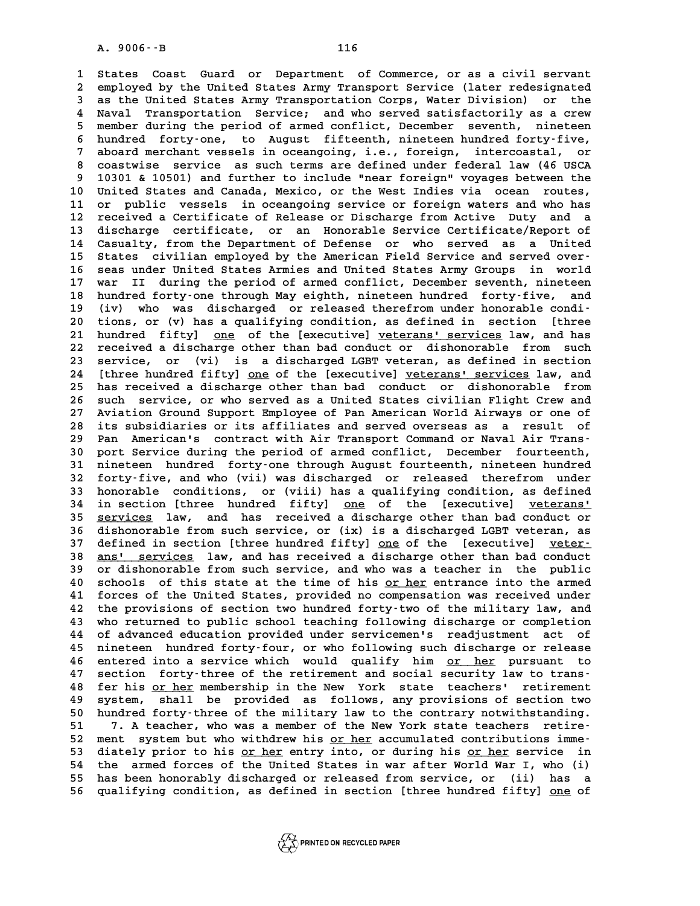**1 States Coast Guard or Department of Commerce, or as a civil servant** 1 States Coast Guard or Department of Commerce, or as a civil servant<br>2 employed by the United States Army Transport Service (later redesignated<br>3 as the United States Army Transportation Corps, Water Division), or the **3 as the United States Army Transport Service (later redesignated as the United States Army Transport Service (later redesignated as the United States Army Transportation Corps, Water Division) or the<br>A Naval Transportati** 2 employed by the United States Army Transport Service (later redesignated<br>3 as the United States Army Transportation Corps, Water Division) or the<br>4 Naval Transportation Service; and who served satisfactorily as a crew<br>5 3 as the United States Army Transportation Corps, Water Division) or the<br>4 Naval Transportation Service; and who served satisfactorily as a crew<br>5 member during the period of armed conflict, December seventh, nineteen<br>5 hu A Naval Transportation Service; and who served satisfactorily as a crew<br>
5 member during the period of armed conflict, December seventh, nineteen<br>
6 hundred forty-one, to August fifteenth, nineteen hundred forty-five,<br>
7 a 5 member during the period of armed conflict, December seventh, nineteen<br>6 hundred forty-one, to August fifteenth, nineteen hundred forty-five,<br>7 aboard merchant vessels in oceangoing, i.e., foreign, intercoastal, or<br>8 coa 8 hundred forty-one, to August fifteenth, nineteen hundred forty-five,<br>
7 aboard merchant vessels in oceangoing, i.e., foreign, intercoastal, or<br>
8 coastwise service as such terms are defined under federal law (46 USCA<br>
8 **9 10301 and merchant vessels in oceangoing, i.e., foreign, intercoastal, or** coastwise service as such terms are defined under federal law (46 USCA 10301 & 10501) and further to include "near foreign" voyages between the<br> 8 coastwise service as such terms are defined under federal law (46 USCA<br>
9 10301 & 10501) and further to include "near foreign" voyages between the<br>
10 United States and Canada, Mexico, or the West Indies via ocean routes 10301 & 10501) and further to include "near foreign" voyages between the<br>10 United States and Canada, Mexico, or the West Indies via ocean routes,<br>11 or public vessels in oceangoing service or foreign waters and who has<br>22 10 United States and Canada, Mexico, or the West Indies via ocean routes,<br>11 or public vessels in oceangoing service or foreign waters and who has<br>12 received a Certificate of Release or Discharge from Active Duty and a<br>13 11 or public vessels in oceangoing service or foreign waters and who has<br>12 received a Certificate of Release or Discharge from Active Duty and a<br>13 discharge certificate, or an Honorable Service Certificate/Report of<br>14 C 12 received a Certificate of Release or Discharge from Active Duty and a<br>13 discharge certificate, or an Honorable Service Certificate/Report of<br>14 Casualty, from the Department of Defense or who served as a United<br>15 Stat 13 discharge certificate, or an Honorable Service Certificate/Report of<br>14 Casualty, from the Department of Defense or who served as a United<br>15 States civilian employed by the American Field Service and served over-<br>16 Se 14 Casualty, from the Department of Defense or who served as a United<br>15 States civilian employed by the American Field Service and served over-<br>16 seas under United States Armies and United States Army Groups in world<br>17 15 States civilian employed by the American Field Service and served over-<br>16 seas under United States Armies and United States Army Groups in world<br>17 war II during the period of armed conflict, December seventh, nineteen **18 hundred forty-one through May eighth, nineteen hundred forty-five, and** 17 war II during the period of armed conflict, December seventh, nineteen<br>
18 hundred forty-one through May eighth, nineteen hundred forty-five, and<br>
19 (iv) who was discharged or released therefrom under honorable condi-<br> 18 hundred forty-one through May eighth, nineteen hundred forty-five, and<br>19 (iv) who was discharged or released therefrom under honorable condi-<br>20 tions, or (v) has a qualifying condition, as defined in section [three<br>21 19 (iv) who was discharged or released therefrom under honorable condi-<br>20 tions, or (v) has a qualifying condition, as defined in section [three<br>21 hundred fifty] <u>one</u> of the [executive] <u>veterans' services</u> law, and has 20 tions, or (v) has a qualifying condition, as defined in section [three<br>21 hundred fifty] <u>one</u> of the [executive] <u>veterans' services</u> law, and has<br>22 received a discharge other than bad conduct or dishonorable from suc 21 hundred fifty] <u>one</u> of the [executive] <u>veterans' services</u> law, and has<br>22 received a discharge other than bad conduct or dishonorable from such<br>23 service, or (vi) is a discharged LGBT veteran, as defined in section<br> 22 received a discharge other than bad conduct or dishonorable from such<br>23 service, or (vi) is a discharged LGBT veteran, as defined in section<br>24 [three hundred fifty] <u>one</u> of the [executive] <u>veterans' services</u> law, a 23 service, or (vi) is a discharged LGBT veteran, as defined in section<br>24 [three hundred fifty] <u>one</u> of the [executive] <u>veterans' services</u> law, and<br>25 has received a discharge other than bad conduct or dishonorable fro 24 [three hundred fifty] <u>one</u> of the [executive] <u>veterans' services</u> law, and<br>25 has received a discharge other than bad conduct or dishonorable from<br>26 such service, or who served as a United States civilian Flight Crew 25 has received a discharge other than bad conduct or dishonorable from<br>26 such service, or who served as a United States civilian Flight Crew and<br>27 Aviation Ground Support Employee of Pan American World Airways or one of 26 such service, or who served as a United States civilian Flight Crew and<br>27 Aviation Ground Support Employee of Pan American World Airways or one of<br>28 its subsidiaries or its affiliates and served overseas as a result o 27 Aviation Ground Support Employee of Pan American World Airways or one of<br>28 its subsidiaries or its affiliates and served overseas as a result of<br>29 Pan American's contract with Air Transport Command or Naval Air Trans-28 its subsidiaries or its affiliates and served overseas as a result of<br>29 Pan American's contract with Air Transport Command or Naval Air Trans-<br>30 port Service during the period of armed conflict, December fourteenth,<br>3 Pan American's contract with Air Transport Command or Naval Air Trans-<br>30 port Service during the period of armed conflict, December fourteenth,<br>31 nineteen hundred forty-one through August fourteenth, nineteen hundred<br>32 30 port Service during the period of armed conflict, December fourteenth,<br>31 nineteen hundred forty-one through August fourteenth, nineteen hundred<br>32 forty-five, and who (vii) was discharged or released therefrom under<br>33 31 nineteen hundred forty-one through August fourteenth, nineteen hundred<br>32 forty-five, and who (vii) was discharged or released therefrom under<br>33 honorable conditions, or (viii) has a qualifying condition, as defined<br><sup>3</sup> 32 forty-five, and who (vii) was discharged or released therefrom under<br>33 honorable conditions, or (viii) has a qualifying condition, as defined<br>34 in section [three hundred fifty] <u>one</u> of the [executive] <u>veterans'</u><br>35 33 honorable conditions, or (viii) has a qualifying condition, as defined<br>34 in section [three hundred fifty] <u>one</u> of the [executive] <u>veterans'</u><br>35 <u>services</u> law, and has received a discharge other than bad conduct or<br>3 **34 in section [three hundred fifty] <u>one</u> of the [executive] <u>veterans'</u><br>35 <u>services</u> law, and has received a discharge other than bad conduct or<br>36 dishonorable from such service, or (ix) is a discharged LGBT veteran, a** 35 <u>services</u> law, and has received a discharge other than bad conduct or<br>36 dishonorable from such service, or (ix) is a discharged LGBT veteran, as<br>37 defined in section [three hundred fifty] <u>one</u> of the [executive] <u>ve</u> **36 dishonorable from such service, or (ix) is a discharged LGBT veteran, as<br>37 defined in section [three hundred fifty] <u>one</u> of the [executive] <u>veter-</u><br>38 <u>ans' services</u> law, and has received a discharge other than bad 37 defined in section [three hundred fifty] <u>one</u> of the [executive] <u>veter-</u><br><b>38 <u>ans' services</u>** law, and has received a discharge other than bad conduct<br>**39 or dishonorable from such service**, and who was a teacher in **40 38 ans' services** law, and has received a discharge other than bad conduct<br> **40 schools** of this state at the time of his <u>or her</u> entrance into the armed<br> **40 schools** of the United States, provided no compensation wa 39 or dishonorable from such service, and who was a teacher in the public<br>40 schools of this state at the time of his <u>or her</u> entrance into the armed<br>41 forces of the United States, provided no compensation was received u 40 schools of this state at the time of his <u>or her</u> entrance into the armed<br>41 forces of the United States, provided no compensation was received under<br>42 the provisions of section two hundred forty-two of the military la 41 forces of the United States, provided no compensation was received under<br>42 the provisions of section two hundred forty-two of the military law, and<br>43 who returned to public school teaching following discharge or compl 42 the provisions of section two hundred forty-two of the military law, and<br>43 who returned to public school teaching following discharge or completion<br>44 of advanced education provided under servicemen's readjustment act 43 who returned to public school teaching following discharge or completion<br>44 of advanced education provided under servicemen's readjustment act of<br>45 nineteen hundred forty-four, or who following such discharge or releas 44 of advanced education provided under servicemen's readjustment act of<br>45 nineteen hundred forty-four, or who following such discharge or release<br>46 entered into a service which would qualify him <u>or her</u> pursuant to<br>47 45 nineteen hundred forty-four, or who following such discharge or release<br>46 entered into a service which would qualify him <u>or her</u> pursuant to<br>47 section forty-three of the retirement and social security law to trans-<br>4 46 entered into a service which would qualify him <u>or her</u> pursuant to<br>47 section forty-three of the retirement and social security law to trans-<br>48 fer his <u>or her</u> membership in the New York state teachers' retirement<br>29 47 section forty-three of the retirement and social security law to trans-<br>48 fer his <u>or her</u> membership in the New York state teachers' retirement<br>49 system, shall be provided as follows, any provisions of section two<br>50 **50 for his <u>or her</u> membership in the New York state teachers' retirement<br>
49 system, shall be provided as follows, any provisions of section two<br>
50 hundred forty-three of the military law to the contrary notwithstanding 50** system, shall be provided as follows, any provisions of section two<br>
50 hundred forty-three of the military law to the contrary notwithstanding.<br>
51 7. A teacher, who was a member of the New York state teachers retire 50 hundred forty-three of the military law to the contrary notwithstanding.<br>51 7. A teacher, who was a member of the New York state teachers retire-<br>52 ment system but who withdrew his <u>or her</u> accumulated contributions im 51 7. A teacher, who was a member of the New York state teachers retire-<br>52 ment system but who withdrew his <u>or her</u> accumulated contributions imme-<br>53 diately prior to his <u>or her</u> entry into, or during his <u>or her</u> serv 52 ment system but who withdrew his <u>or her</u> accumulated contributions imme-<br>53 diately prior to his <u>or her</u> entry into, or during his <u>or her</u> service in<br>54 the armed forces of the United States in war after World War I, 53 diately prior to his <u>or her</u> entry into, or during his <u>or her</u> service in<br>54 the armed forces of the United States in war after World War I, who (i)<br>55 has been honorably discharged or released from service, or (ii) h 53 diately prior to his <u>or her</u> entry into, or during his <u>or her</u> service in<br>54 the armed forces of the United States in war after World War I, who (i)<br>55 has been honorably discharged or released from service, or (ii) h

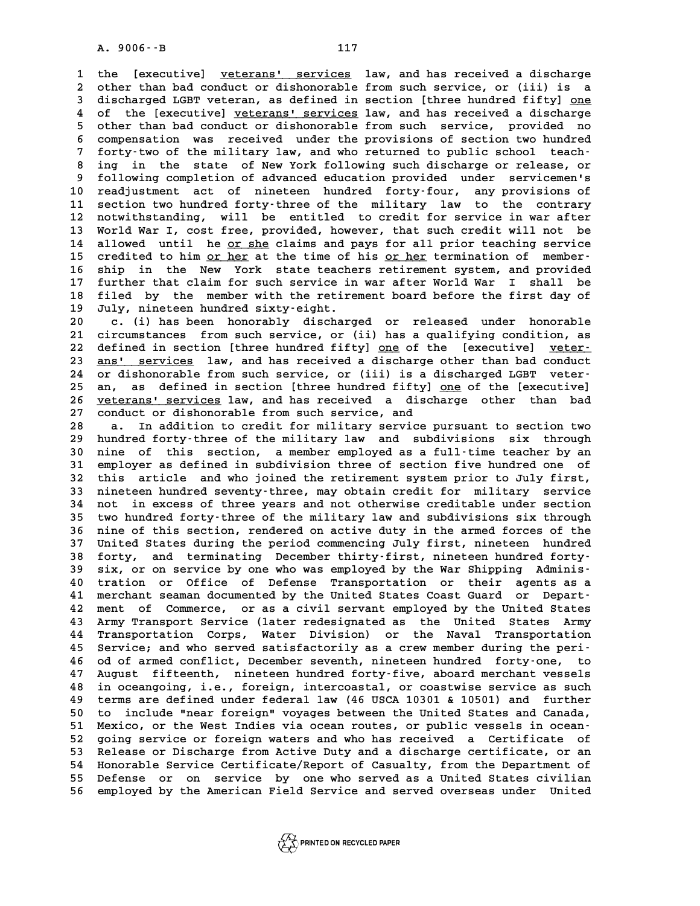A. 9006 · - B<br>117<br>1 the [executive] <u>veterans' services</u> law, and has received a discharge<br>2 other than had conduct or dishenerable from such service or (iii) is **2** the [executive] <u>veterans' services</u> law, and has received a discharge<br>2 other than bad conduct or dishonorable from such service, or (iii) is a<br>3 discharged LGBT veterar, as defined in section [three hundred fifty] on **3** the [executive] <u>veterans' services</u> law, and has received a discharge<br>2 other than bad conduct or dishonorable from such service, or (iii) is a<br>3 discharged LGBT veteran, as defined in section [three hundred fifty] <u>o</u> 2 other than bad conduct or dishonorable from such service, or (iii) is a<br>3 discharged LGBT veteran, as defined in section [three hundred fifty] <u>one</u><br>4 of the [executive] <u>veterans' services</u> law, and has received a disch 3 discharged LGBT veteran, as defined in section [three hundred fifty] <u>one</u><br>4 of the [executive] <u>veterans' services</u> law, and has received a discharge<br>5 other than bad conduct or dishonorable from such service, provided 4 of the [executive] <u>veterans' services</u> law, and has received a discharge<br>5 other than bad conduct or dishonorable from such service, provided no<br>6 compensation was received under the provisions of section two hundred<br>7 5 other than bad conduct or dishonorable from such service, provided no<br>6 compensation was received under the provisions of section two hundred<br>7 forty-two of the military law, and who returned to public school teach-<br>8 in 8 compensation was received under the provisions of section two hundred<br>7 forty-two of the military law, and who returned to public school teach-<br>8 ing in the state of New York following such discharge or release, or<br>9 fol forty-two of the military law, and who returned to public school teach-**10 readjustment act of nineteen hundred forty-four, any provisions of** 9 following completion of advanced education provided under servicemen's<br>10 readjustment act of nineteen hundred forty-four, any provisions of<br>11 section two hundred forty-three of the military law to the contrary<br>12 notwi 10 readjustment act of nineteen hundred forty-four, any provisions of<br>11 section two hundred forty-three of the military law to the contrary<br>12 notwithstanding, will be entitled to credit for service in war after<br><sup>13 Morld</sup> 11 section two hundred forty-three of the military law to the contrary<br>12 notwithstanding, will be entitled to credit for service in war after<br>13 World War I, cost free, provided, however, that such credit will not be<br>14 a 12 notwithstanding, will be entitled to credit for service in war after<br>13 World War I, cost free, provided, however, that such credit will not be<br>14 allowed until he <u>or she</u> claims and pays for all prior teaching service **13 World War I, cost free, provided, however, that such credit will not be allowed until he <u>or she</u> claims and pays for all prior teaching service oredited to him <u>or her</u> at the time of his <u>or her</u> termination of membe** 14 allowed until he <u>or she</u> claims and pays for all prior teaching service<br>15 credited to him <u>or her</u> at the time of his <u>or her</u> termination of member-<br>16 ship in the New York state teachers retirement system, and provi 15 credited to him <u>or her</u> at the time of his <u>or her</u> termination of member-<br>16 ship in the New York state teachers retirement system, and provided<br>17 further that claim for such service in war after World War I shall be 16 ship in the New York state teachers retirement system, and provided<br>17 further that claim for such service in war after World War I shall be<br>18 filed by the member with the retirement board before the first day of<br>19 Iu 17 further that claim for such service in<br>18 filed by the member with the retire:<br>19 July, nineteen hundred sixty-eight.<br>20 a (i) has been benerably dischars

18 filed by the member with the retirement board before the first day of<br>19 July, nineteen hundred sixty-eight.<br>20 c. (i) has been honorably discharged or released under honorable<br>21 circumstances from such service, or (ii **21 circumstances from such service, or (ii) has a qualifying condition, as** 20 c. (i) has been honorably discharged or released under honorable<br>21 circumstances from such service, or (ii) has a qualifying condition, as<br>22 defined in section [three hundred fifty] <u>one</u> of the [executive] <u>veter-</u><br>2 21 circumstances from such service, or (ii) has a qualifying condition, as<br>22 defined in section [three hundred fifty] <u>one</u> of the [executive] <u>veter-</u><br>23 <u>ans' services</u> law, and has received a discharge other than bad c 22 defined in section [three hundred fifty] <u>one</u> of the [executive] <u>veter</u><br>23 <u>ans' services</u> law, and has received a discharge other than bad conduct<br>24 or dishonorable from such service, or (iii) is a discharged LGBT v 23 <u>ans' services</u> law, and has received a discharge other than bad conduct<br>24 or dishonorable from such service, or (iii) is a discharged LGBT veter-<br>25 an, as defined in section [three hundred fifty] <u>one</u> of the [execut 24 or dishonorable from such service, or (iii) is a discharged LGBT veter-<br>25 an, as defined in section [three hundred fifty] <u>one</u> of the [executive]<br>26 veterans' services law, and has received a discharge other than bad<br> 25 an, as defined in section [three hundred fifty]<br>26 <u>veterans' services</u> law, and has received a disc<br>27 conduct or dishonorable from such service, and<br>28 and in addition to gradit for military corrice. **26 <u>veterans' services</u> law, and has received a discharge other than bad<br>27 conduct or dishonorable from such service, and<br>28 a. In addition to credit for military service pursuant to section two<br>29 hundred fortu-three of** 

conduct or dishonorable from such service, and<br>
28 a. In addition to credit for military service pursuant to section two<br>
29 hundred forty-three of the military law and subdivisions six through<br>
20 nine of this section a m **30 a. In addition to credit for military service pursuant to section two**<br>**29 hundred forty-three of the military law and subdivisions six through**<br>**30 nine of this section, a member employed as a full-time teacher by an** 29 hundred forty-three of the military law and subdivisions six through<br>30 nine of this section, a member employed as a full-time teacher by an<br>31 employer as defined in subdivision three of section five hundred one of<br><sup>32</sup> 30 nine of this section, a member employed as a full-time teacher by an amployer as defined in subdivision three of section five hundred one of 32 this article and who joined the retirement system prior to July first, nine this article and who joined the retirement system prior to July first, 32 this article and who joined the retirement system prior to July first,<br>33 nineteen hundred seventy-three, may obtain credit for military service<br>34 not in excess of three years and not otherwise creditable under section 33 nineteen hundred seventy-three, may obtain credit for military service<br>34 not in excess of three years and not otherwise creditable under section<br>35 two hundred forty-three of the military law and subdivisions six throu 34 not in excess of three years and not otherwise creditable under section<br>35 two hundred forty-three of the military law and subdivisions six through<br>36 nine of this section, rendered on active duty in the armed forces of 35 two hundred forty-three of the military law and subdivisions six through<br>36 nine of this section, rendered on active duty in the armed forces of the<br>37 United States during the period commencing July first, nineteen hun 36 nine of this section, rendered on active duty in the armed forces of the<br>37 United States during the period commencing July first, nineteen hundred<br>38 forty, and terminating December thirty-first, nineteen hundred forty 37 United States during the period commencing July first, nineteen hundred<br>38 forty, and terminating December thirty-first, nineteen hundred forty-<br>39 six, or on service by one who was employed by the War Shipping Adminis-**40 forty, and terminating December thirty-first, nineteen hundred forty-**<br> **40 tration or Office of Defense Transportation or their agents as a**<br> **40 tration or Office of Defense Transportation or their agents as a**<br> **41** 39 six, or on service by one who was employed by the War Shipping Adminis-<br>40 tration or Office of Defense Transportation or their agents as a<br>41 merchant seaman documented by the United States Coast Guard or Depart-<br>42 me 40 tration or Office of Defense Transportation or their agents as a<br>41 merchant seaman documented by the United States Coast Guard or Depart-<br>42 ment of Commerce, or as a civil servant employed by the United States<br><sup>43</sup> Ar 41 merchant seaman documented by the United States Coast Guard or Depart-<br>42 ment of Commerce, or as a civil servant employed by the United States<br>43 Army Transport Service (later redesignated as the United States Army<br>44 42 ment of Commerce, or as a civil servant employed by the United States<br>43 Army Transport Service (later redesignated as the United States Army<br>44 Transportation Corps, Water Division) or the Naval Transportation<br>45 Servi A Army Transport Service (later redesignated as the United States Army<br>
44 Transportation Corps, Water Division) or the Naval Transportation<br>
45 Service; and who served satisfactorily as a crew member during the peri-<br>
<sup>16</sup> **44 Transportation Corps, Water Division) or the Naval Transportation**<br>45 Service; and who served satisfactorily as a crew member during the peri-<br>46 od of armed conflict, December seventh, nineteen hundred forty-one, to<br>4 45 Service; and who served satisfactorily as a crew member during the peri-<br>46 od of armed conflict, December seventh, nineteen hundred forty-one, to<br>47 August fifteenth, nineteen hundred forty-five, aboard merchant vessel **46 od of armed conflict, December seventh, nineteen hundred forty-one, to<br>47 August fifteenth, nineteen hundred forty-five, aboard merchant vessels<br>48 in oceangoing, i.e., foreign, intercoastal, or coastwise service as su 47 August fifteenth, nineteen hundred forty-five, aboard merchant vessels**<br>**48 in oceangoing, i.e., foreign, intercoastal, or coastwise service as such<br>49 terms are defined under federal law (46 USCA 10301 & 10501) and fu 50 to include The Wave Tend Tend Tend 10 to the State State State State 10501**<br>**49 terms are defined under federal law (46 USCA 10301 & 10501) and further**<br>50 to include "near foreign" voyages between the United States an **50 terms are defined under federal law (46 USCA 10301 & 10501) and further<br>
50 to include "near foreign" voyages between the United States and Canada,<br>
51 Mexico, or the West Indies via ocean routes, or public vessels in 50 to include "near foreign" voyages between the United States and Canada,<br>51 Mexico, or the West Indies via ocean routes, or public vessels in ocean-<br>52 going service or foreign waters and who has received a Certificate** 51 Mexico, or the West Indies via ocean routes, or public vessels in ocean-<br>52 going service or foreign waters and who has received a Certificate of<br>53 Release or Discharge from Active Duty and a discharge certificate, or **54 Honorable Service Certificate/Report of Casualty, from the Department of** Follow Extends or Discharge from Active Duty and a discharge certificate, or an<br>
54 Honorable Service Certificate/Report of Casualty, from the Department of<br>
55 Defense or on service by one who served as a United States ci 54 Honorable Service Certificate/Report of Casualty, from the Department of<br>55 Defense or on service by one who served as a United States civilian<br>56 employed by the American Field Service and served overseas under United

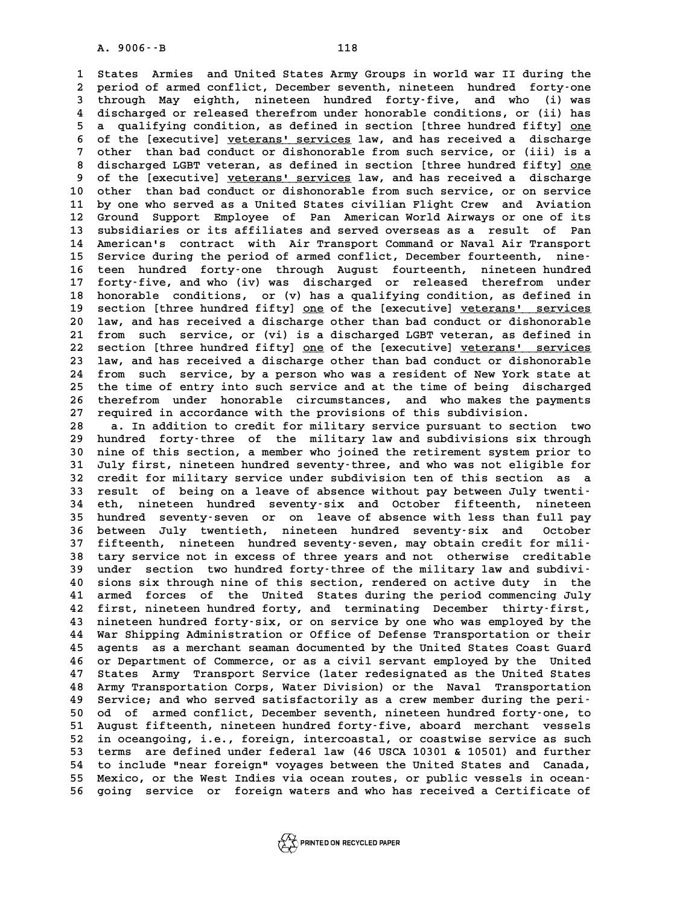**1 States Armies and United States Army Groups in world war II during the** 1 States Armies and United States Army Groups in world war II during the<br>2 period of armed conflict, December seventh, nineteen hundred forty-one<br>3 through May eighth, nineteen hundred forty-five, and who (i) was 1 States Armies and United States Army Groups in world war II during the<br>2 period of armed conflict, December seventh, nineteen hundred forty-one<br>3 through May eighth, nineteen hundred forty-five, and who (i) was<br>4 dischar 2 period of armed conflict, December seventh, nineteen hundred forty-one<br>3 through May eighth, nineteen hundred forty-five, and who (i) was<br>4 discharged or released therefrom under honorable conditions, or (ii) has<br>5 a qua 5 through May eighth, nineteen hundred forty-five, and who (i) was<br>4 discharged or released therefrom under honorable conditions, or (ii) has<br>5 a qualifying condition, as defined in section [three hundred fifty] <u>one</u><br>5 a 4 discharged or released therefrom under honorable conditions, or (ii) has<br>5 a qualifying condition, as defined in section [three hundred fifty] <u>one</u><br>6 of the [executive] <u>veterans' services</u> law, and has received a disch 5 a qualifying condition, as defined in section [three hundred fifty] <u>one</u><br>6 of the [executive] <u>veterans' services</u> law, and has received a discharge<br>7 other than bad conduct or dishonorable from such service, or (iii) i 6 of the [executive] <u>veterans' services</u> law, and has received a discharge<br>7 other than bad conduct or dishonorable from such service, or (iii) is a<br>8 discharged LGBT veteran, as defined in section [three hundred fifty] <u></u> 9 of the [executive] veteran, as defined in section [three hundred fifty] one<br>9 of the [executive] <u>veterans' services</u> law, and has received a discharge<br>9 of the [executive] <u>veterans' services</u> law, and has received a di 10 discharged LGBT veteran, as defined in section [three hundred fifty] one<br>
10 of the [executive] <u>veterans' services</u> law, and has received a discharge<br>
10 other than bad conduct or dishonorable from such service, or on 9 of the [executive] <u>veterans' services</u> law, and has received a discharge<br>10 other than bad conduct or dishonorable from such service, or on service<br>11 by one who served as a United States civilian Flight Crew and Aviati 10 other than bad conduct or dishonorable from such service, or on service<br>11 by one who served as a United States civilian Flight Crew and Aviation<br>12 Ground Support Employee of Pan American World Airways or one of its<br>13 11 by one who served as a United States civilian Flight Crew and Aviation<br>12 Ground Support Employee of Pan American World Airways or one of its<br>13 subsidiaries or its affiliates and served overseas as a result of Pan<br>14 A 12 Ground Support Employee of Pan American World Airways or one of its<br>13 subsidiaries or its affiliates and served overseas as a result of Pan<br>14 American's contract with Air Transport Command or Naval Air Transport<br>15 Se 13 subsidiaries or its affiliates and served overseas as a result of Pan<br>14 American's contract with Air Transport Command or Naval Air Transport<br>15 Service during the period of armed conflict, December fourteenth, nine-<br>1 **16 teen hundred forty-one through August fourteenth, nineteen hundred** 15 Service during the period of armed conflict, December fourteenth, nine-<br>16 teen hundred forty-one through August fourteenth, nineteen hundred<br>17 forty-five, and who (iv) was discharged or released therefrom under<br>hereig 16 teen hundred forty-one through August fourteenth, nineteen hundred<br>17 forty-five, and who (iv) was discharged or released therefrom under<br>18 honorable conditions, or (v) has a qualifying condition, as defined in<br>19 sect 17 forty-five, and who (iv) was discharged or released therefrom under<br>18 honorable conditions, or (v) has a qualifying condition, as defined in<br>19 section [three hundred fifty] <u>one</u> of the [executive] <u>veterans' services</u> 18 honorable conditions, or (v) has a qualifying condition, as defined in<br>19 section [three hundred fifty] <u>one</u> of the [executive] <u>veterans' services</u><br>20 law, and has received a discharge other than bad conduct or dishon **20 section [three hundred fifty] <u>one</u> of the [executive] <u>veterans' services</u><br>
20 law, and has received a discharge other than bad conduct or dishonorable<br>
21 from such service, or (vi) is a discharged LGBT veteran, as d** 10 law, and has received a discharge other than bad conduct or dishonorable<br>
21 from such service, or (vi) is a discharged LGBT veteran, as defined in<br>
22 section [three hundred fifty] <u>one</u> of the [executive] <u>veterans' s</u> 21 from such service, or (vi) is a discharged LGBT veteran, as defined in<br>22 section [three hundred fifty] <u>one</u> of the [executive] <u>veterans' services</u><br>23 law, and has received a discharge other than bad conduct or dishon 22 section [three hundred fifty] <u>one</u> of the [executive] <u>veterans' services</u><br>23 law, and has received a discharge other than bad conduct or dishonorable<br>24 from such service, by a person who was a resident of New York st 23 law, and has received a discharge other than bad conduct or dishonorable<br>24 from such service, by a person who was a resident of New York state at<br>25 the time of entry into such service and at the time of being discharg 24 from such service, by a person who was a resident of New York state at<br>25 the time of entry into such service and at the time of being discharged<br>26 therefrom under honorable circumstances, and who makes the payments<br>27 25 the time of entry into such service and at the time of being disc<sup>26</sup><br>26 therefrom under honorable circumstances, and who makes the paragaired in accordance with the provisions of this subdivision. 26 therefrom under honorable circumstances, and who makes the payments<br>27 required in accordance with the provisions of this subdivision.<br>28 a. In addition to credit for military service pursuant to section two<br>29 hundred

**27 required in accordance with the provisions of this subdivision.**<br> **28 a. In addition to credit for military service pursuant to section two**<br> **29 hundred forty-three of the military law and subdivisions six through<br>
20 30 a.** In addition to credit for military service pursuant to section two<br>29 hundred forty-three of the military law and subdivisions six through<br>30 nine of this section, a member who joined the retirement system prior 29 hundred forty-three of the military law and subdivisions six through<br>30 nine of this section, a member who joined the retirement system prior to<br>31 July first, nineteen hundred seventy-three, and who was not eligible fo 30 nine of this section, a member who joined the retirement system prior to<br>31 July first, nineteen hundred seventy-three, and who was not eligible for<br>32 credit for military service under subdivision ten of this section a 31 July first, nineteen hundred seventy-three, and who was not eligible for<br>32 credit for military service under subdivision ten of this section as a<br>33 result of being on a leave of absence without pay between July twenti 32 credit for military service under subdivision ten of this section as a<br>33 result of being on a leave of absence without pay between July twenti-<br>34 eth, nineteen hundred seventy-six and October fifteenth, nineteen<br>bundr **33 result of being on a leave of absence without pay between July twenti-**<br>**34 eth, nineteen hundred seventy-six and October fifteenth, nineteen**<br>**35 hundred seventy-seven or on leave of absence with less than full pay**<br> **34 eth, nineteen hundred seventy-six and October fifteenth, nineteen**<br>35 hundred seventy-seven or on leave of absence with less than full pay<br>36 between July twentieth, nineteen hundred seventy-six and October<br>37 fifteent 35 hundred seventy-seven or on leave of absence with less than full pay<br>36 between July twentieth, nineteen hundred seventy-six and October<br>37 fifteenth, nineteen hundred seventy-seven, may obtain credit for mili-<br>28 torus 36 between July twentieth, nineteen hundred seventy-six and October<br>37 fifteenth, nineteen hundred seventy-seven, may obtain credit for mili-<br>38 tary service not in excess of three years and not otherwise creditable<br>29 und 37 fifteenth, nineteen hundred seventy-seven, may obtain credit for mili-<br>38 tary service not in excess of three years and not otherwise creditable<br>39 under section two hundred forty-three of the military law and subdivi-<br> **40 10 38 tary service not in excess of three years and not otherwise creditable**<br> **40 sions six through nine of this section, rendered on active duty in the**<br> **41 armed forces of the United States during the period commen** 39 under section two hundred forty-three of the military law and subdivi-<br>40 sions six through nine of this section, rendered on active duty in the<br>41 armed forces of the United States during the period commencing July<br>42 **42 first, nineteen hundred forty, and terminating December thirty-first,** 41 armed forces of the United States during the period commencing July<br>42 first, nineteen hundred forty, and terminating December thirty-first,<br>43 nineteen hundred forty-six, or on service by one who was employed by the<br>44 **42 first, nineteen hundred forty, and terminating December thirty-first,<br>43 nineteen hundred forty-six, or on service by one who was employed by the<br>44 War Shipping Administration or Office of Defense Transportation or th** 43 nineteen hundred forty-six, or on service by one who was employed by the<br>44 War Shipping Administration or Office of Defense Transportation or their<br>45 agents as a merchant seaman documented by the United States Coast G War Shipping Administration or Office of Defense Transportation or their<br>45 agents as a merchant seaman documented by the United States Coast Guard<br>46 or Department of Commerce, or as a civil servant employed by the United 45 agents as a merchant seaman documented by the United States Coast Guard<br>46 or Department of Commerce, or as a civil servant employed by the United<br>47 States Army Transport Service (later redesignated as the United State **46 or Department of Commerce, or as a civil servant employed by the United States Army Transport Service (later redesignated as the United States Army Transportation Corps, Water Division) or the Naval Transportation<br>All** 47 States Army Transport Service (later redesignated as the United States<br>48 Army Transportation Corps, Water Division) or the Naval Transportation<br>49 Service; and who served satisfactorily as a crew member during the peri **50 od of armed conflict, December seventh, nineteen hundred forty-one, to 51 Service; and who served satisfactorily as a crew member during the peri-**<br>
50 od of armed conflict, December seventh, nineteen hundred forty-one, to<br>
51 August fifteenth, nineteen hundred forty-five, aboard merchant ve 50 od of armed conflict, December seventh, nineteen hundred forty-one, to<br>51 August fifteenth, nineteen hundred forty-five, aboard merchant vessels<br>52 in oceangoing, i.e., foreign, intercoastal, or coastwise service as suc **51 August fifteenth, nineteen hundred forty-five, aboard merchant vessels<br>52 in oceangoing, i.e., foreign, intercoastal, or coastwise service as such<br>53 terms are defined under federal law (46 USCA 10301 & 10501) and furt** 52 in oceangoing, i.e., foreign, intercoastal, or coastwise service as such<br>53 terms are defined under federal law (46 USCA 10301 & 10501) and further<br>54 to include "near foreign" voyages between the United States and Cana 53 terms are defined under federal law (46 USCA 10301 & 10501) and further<br>54 to include "near foreign" voyages between the United States and Canada,<br>55 Mexico, or the West Indies via ocean routes, or public vessels in oce 53 terms are defined under federal law (46 USCA 10301 & 10501) and further<br>54 to include "near foreign" voyages between the United States and Canada,<br>55 Mexico, or the West Indies via ocean routes, or public vessels in oce

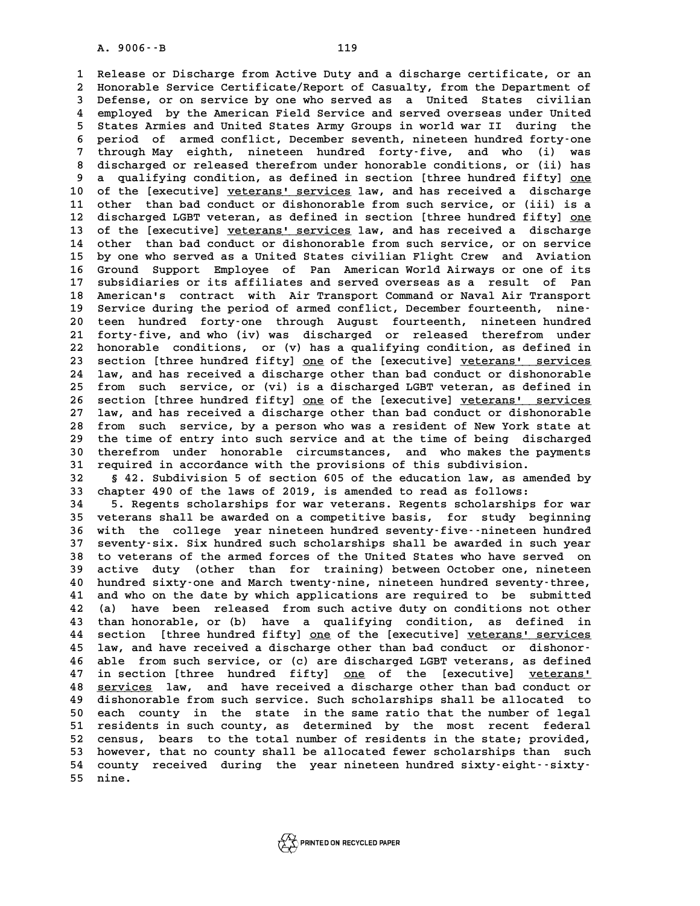**1 Release or Discharge from Active Duty and a discharge certificate, or an 2** Release or Discharge from Active Duty and a discharge certificate, or an<br>2 Honorable Service Certificate/Report of Casualty, from the Department of<br>3 Defense, or on service by one who served as a United States, givilia **3 Release or Discharge from Active Duty and a discharge certificate, or an<br>2 Honorable Service Certificate/Report of Casualty, from the Department of<br>3 Defense, or on service by one who served as a United States civilian<br>** A Honorable Service Certificate/Report of Casualty, from the Department of<br>3 Defense, or on service by one who served as a United States civilian<br>4 employed by the American Field Service and served overseas under United<br>5 **5 Defense, or on service by one who served as a United States civilian**<br>4 employed by the American Field Service and served overseas under United<br>5 States Armies and United States Army Groups in world war II during the<br>5 4 employed by the American Field Service and served overseas under United<br>5 States Armies and United States Army Groups in world war II during the<br>6 period of armed conflict, December seventh, nineteen hundred forty-one<br><sup>7</sup> 5 States Armies and United States Army Groups in world war II during the<br>6 period of armed conflict, December seventh, nineteen hundred forty-one<br>7 through May eighth, nineteen hundred forty-five, and who (i) was<br>discharge 8 period of armed conflict, December seventh, nineteen hundred forty-one<br>7 through May eighth, nineteen hundred forty-five, and who (i) was<br>8 discharged or released therefrom under honorable conditions, or (ii) has<br>2 a qua through May eighth, nineteen hundred forty-five, and who (i) was<br>8 discharged or released therefrom under honorable conditions, or (ii) has<br>9 a qualifying condition, as defined in section [three hundred fifty] <u>one</u><br>0 of t 8 discharged or released therefrom under honorable conditions, or (ii) has<br>9 a qualifying condition, as defined in section [three hundred fifty] <u>one</u><br>10 of the [executive] <u>veterans' services</u> law, and has received a disc 9 a qualifying condition, as defined in section [three hundred fifty] <u>one</u><br>10 of the [executive] <u>veterans' services</u> law, and has received a discharge<br>11 other than bad conduct or dishonorable from such service, or (iii) 10 of the [executive] <u>veterans' services</u> law, and has received a discharge<br>11 other than bad conduct or dishonorable from such service, or (iii) is a<br>12 discharged LGBT veteran, as defined in section [three hundred fifty 11 other than bad conduct or dishonorable from such service, or (iii) is a<br>12 discharged LGBT veteran, as defined in section [three hundred fifty] <u>one</u><br>13 of the [executive] <u>veterans' services</u> law, and has received a di 12 discharged LGBT veteran, as defined in section [three hundred fifty] <u>one</u><br>13 of the [executive] <u>veterans' services</u> law, and has received a discharge<br>14 other than bad conduct or dishonorable from such service, or on 13 of the [executive] <u>veterans' services</u> law, and has received a discharge<br>14 other than bad conduct or dishonorable from such service, or on service<br>15 by one who served as a United States civilian Flight Crew and Aviat 14 other than bad conduct or dishonorable from such service, or on service<br>15 by one who served as a United States civilian Flight Crew and Aviation<br>16 Ground Support Employee of Pan American World Airways or one of its<br>17 **15 by one who served as a United States civilian Flight Crew and Aviation**<br>16 Ground Support Employee of Pan American World Airways or one of its<br>17 subsidiaries or its affiliates and served overseas as a result of Pan<br>18 16 Ground Support Employee of Pan American World Airways or one of its<br>17 subsidiaries or its affiliates and served overseas as a result of Pan<br>18 American's contract with Air Transport Command or Naval Air Transport<br>20 Se 17 subsidiaries or its affiliates and served overseas as a result of Pan<br>
18 American's contract with Air Transport Command or Naval Air Transport<br>
19 Service during the period of armed conflict, December fourteenth, nine-**20 American's contract with Air Transport Command or Naval Air Transport**<br>19 Service during the period of armed conflict, December fourteenth, nine-<br>20 teen hundred forty-one through August fourteenth, nineteen hundred<br>21 **20 Service during the period of armed conflict, December fourteenth, nine-<br>
20 teen hundred forty-one through August fourteenth, nineteen hundred**<br>
21 forty-five, and who (iv) was discharged or released therefrom under<br>
2 20 teen hundred forty-one through August fourteenth, nineteen hundred<br>21 forty-five, and who (iv) was discharged or released therefrom under<br>22 honorable conditions, or (v) has a qualifying condition, as defined in<br>23 sect 21 forty-five, and who (iv) was discharged or released therefrom under<br>22 honorable conditions, or (v) has a qualifying condition, as defined in<br>23 section [three hundred fifty] <u>one</u> of the [executive] <u>veterans' services</u> 22 honorable conditions, or (v) has a qualifying condition, as defined in<br>23 section [three hundred fifty] <u>one</u> of the [executive] <u>veterans' services</u><br>24 law, and has received a discharge other than bad conduct or dishon 23 section [three hundred fifty] <u>one</u> of the [executive] <u>veterans' services</u><br>24 law, and has received a discharge other than bad conduct or dishonorable<br>25 from such service, or (vi) is a discharged LGBT veteran, as defi 24 law, and has received a discharge other than bad conduct or dishonorable<br>25 from such service, or (vi) is a discharged LGBT veteran, as defined in<br>26 section [three hundred fifty] <u>one</u> of the [executive] <u>veterans' ser</u> 25 from such service, or (vi) is a discharged LGBT veteran, as defined in<br>26 section [three hundred fifty] <u>one</u> of the [executive] <u>veterans' services</u><br>27 law, and has received a discharge other than bad conduct or dishon 26 section [three hundred fifty] <u>one</u> of the [executive] <u>veterans' services</u><br>27 law, and has received a discharge other than bad conduct or dishonorable<br>28 from such service, by a person who was a resident of New York st 27 law, and has received a discharge other than bad conduct or dishonorable<br>28 from such service, by a person who was a resident of New York state at<br>29 the time of entry into such service and at the time of being discharg 28 from such service, by a person who was a resident of New York state at<br>29 the time of entry into such service and at the time of being discharged<br>30 therefrom under honorable circumstances, and who makes the payments<br>31 29 the time of entry into such service and at the time of being disc<sup>30</sup><br>30 therefrom under honorable circumstances, and who makes the paragain required in accordance with the provisions of this subdivision. 30 therefrom under honorable circumstances, and who makes the payments<br>31 required in accordance with the provisions of this subdivision.<br>32 § 42. Subdivision 5 of section 605 of the education law, as amended by<br>33 shapter

**31 required in accordance with the provisions of this subdivision.**<br>**32** § 42. Subdivision 5 of section 605 of the education law, as amended by<br>33 chapter 490 of the laws of 2019, is amended to read as follows:<br>5. Regents

**34 5. Regents scholarships for war veterans. Regents scholarships for war** 33 chapter 490 of the laws of 2019, is amended to read as follows:<br>34 5. Regents scholarships for war veterans. Regents scholarships for war<br>35 veterans shall be awarded on a competitive basis, for study beginning<br>36 with **5. Regents scholarships for war veterans. Regents scholarships for war<br>
35 veterans shall be awarded on a competitive basis, for study beginning<br>
36 with the college year nineteen hundred seventy-five--nineteen hundred<br>
3** 35 veterans shall be awarded on a competitive basis, for study beginning<br>36 with the college year nineteen hundred seventy-five--nineteen hundred<br>37 seventy-six. Six hundred such scholarships shall be awarded in such year<br> **36 with the college year nineteen hundred seventy-five--nineteen hundred**<br>37 seventy-six. Six hundred such scholarships shall be awarded in such year<br>38 to veterans of the armed forces of the United States who have served 37 seventy-six. Six hundred such scholarships shall be awarded in such year<br>38 to veterans of the armed forces of the United States who have served on<br>39 active duty (other than for training) between October one, nineteen<br> 40 to veterans of the armed forces of the United States who have served on<br>
40 active duty (other than for training) between October one, nineteen<br>
40 hundred sixty-one and March twenty-nine, nineteen hundred seventy-three active duty (other than for training) between October one, nineteen 40 hundred sixty-one and March twenty-nine, nineteen hundred seventy-three, 41 and who on the date by which applications are required to be submitted (a) **42 (a) have been released from such active duty on conditions not other 43 than honorable, or (b) have a qualifying condition, as defined in** 42 (a) have been released from such active duty on conditions not other<br>43 than honorable, or (b) have a qualifying condition, as defined in<br>44 section [three hundred fifty] <u>one</u> of the [executive] <u>veterans' services</u><br>15 43 than honorable, or (b) have a qualifying condition, as defined in<br>44 section [three hundred fifty] <u>one</u> of the [executive] <u>veterans' services</u><br>45 law, and have received a discharge other than bad conduct or dishonor-<br> **44 section [three hundred fifty] <u>one</u> of the [executive] <u>veterans' services</u><br>45 law, and have received a discharge other than bad conduct or dishonor-<br>46 able from such service, or (c) are discharged LGBT veterans, as d 45 law, and have received a discharge other than bad conduct or dishonor-<br>46 able from such service, or (c) are discharged LGBT veterans, as defined<br>47 in section [three hundred fifty] <u>one</u> of the [executive] veterans'<br>2 46 able from such service, or (c) are discharged LGBT veterans, as defined<br>47 in section [three hundred fifty] <u>one</u> of the [executive] <u>veterans'</u><br>48 <u>services</u> law, and have received a discharge other than bad conduct o** 47 in section [three hundred fifty] <u>one</u> of the [executive] <u>veterans'</u><br>48 <u>services</u> law, and have received a discharge other than bad conduct or<br>49 dishonorable from such service. Such scholarships shall be allocated to **50 SERVICES 1 aw, and have received a discharge other than bad conduct or** dishonorable from such service. Such scholarships shall be allocated to each county in the state in the same ratio that the number of legal<br> **1** r dishonorable from such service. Such scholarships shall be allocated to<br>50 each county in the state in the same ratio that the number of legal<br>51 residents in such county, as determined by the most recent federal<br>52 consus 50 each county in the state in the same ratio that the number of legal<br>51 residents in such county, as determined by the most recent federal<br>52 census, bears to the total number of residents in the state; provided,<br>53 bewe 51 residents in such county, as determined by the most recent federal<br>52 census, bears to the total number of residents in the state; provided,<br>53 however, that no county shall be allocated fewer scholarships than such<br>54 52 census, bears to the total number of residents in the state; provided,<br>53 however, that no county shall be allocated fewer scholarships than such<br>54 county received during the year nineteen hundred sixty-eight--sixty-<br>5 53 howev<br>54 count<br>55 nine.

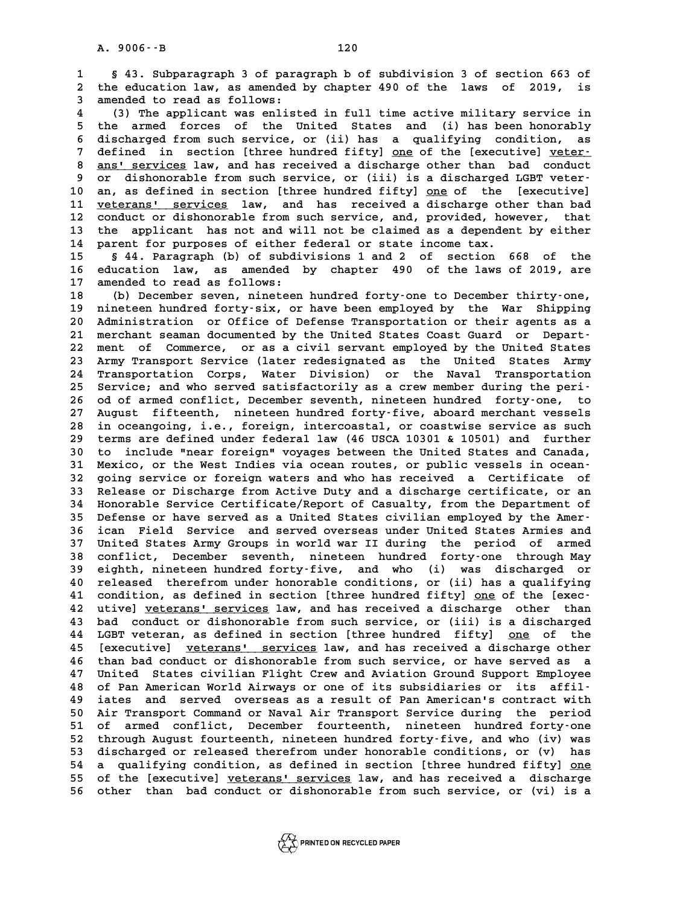**1 § 43. Subparagraph 3 of paragraph b of subdivision 3 of section 663 of 2** 1 S 43. Subparagraph 3 of paragraph b of subdivision 3 of section 663 of<br>2 the education law, as amended by chapter 490 of the laws of 2019, is **3** 43. Subparagraph 3 of para<br>
2 the education law, as amended 3<br>
3 amended to read as follows: 2 the education law, as amended by chapter 490 of the laws of 2019, is<br>3 amended to read as follows:<br>4 (3) The applicant was enlisted in full time active military service in<br>5 the armod forces of the United States and (i)

3 amended to read as follows:<br>4 (3) The applicant was enlisted in full time active military service in<br>5 the armed forces of the United States and (i) has been honorably<br>6 discharged from such acruise ar (ii) has a gualify 4 (3) The applicant was enlisted in full time active military service in<br>5 the armed forces of the United States and (i) has been honorably<br>6 discharged from such service, or (ii) has a qualifying condition, as<br>7 defined i 5 the armed forces of the United States and (i) has been honorably<br>6 discharged from such service, or (ii) has a qualifying condition, as<br>7 defined in section [three hundred fifty] <u>one</u> of the [executive] <u>veter-</u><br>2 and c 6 discharged from such service, or (ii) has a qualifying condition, as<br>7 defined in section [three hundred fifty] <u>one</u> of the [executive] <u>veter-</u><br>8 <u>ans' services</u> law, and has received a discharge other than bad conduct defined in section [three hundred fifty] <u>one</u> of the [executive] <u>veter-</u><br>8 <u>ans' services</u> law, and has received a discharge other than bad conduct<br>9 or dishonorable from such service, or (iii) is a discharged LGBT veter 8 <u>ans' services</u> law, and has received a discharge other than bad conduct<br>
9 or dishonorable from such service, or (iii) is a discharged LGBT veter-<br>
10 an, as defined in section [three hundred fifty] <u>one</u> of the [execut 9 or dishonorable from such service, or (iii) is a discharged LGBT veter-<br>10 an, as defined in section [three hundred fifty] <u>one</u> of the [executive]<br>11 <u>veterans' services</u> law, and has received a discharge other than bad **10 an, as defined in section [three hundred fifty] <u>one</u> of the [executive]<br>11 <u>veterans' services</u> law, and has received a discharge other than bad<br>12 conduct or dishonorable from such service, and, provided, however, th** 11 veterans' services law, and has received a discharge other than bad<br>12 conduct or dishonorable from such service, and, provided, however, that<br>13 the applicant has not and will not be claimed as a dependent by either<br>14 12 conduct or dishonorable from such service, and, provided, how<br>13 the applicant has not and will not be claimed as a dependen<br>14 parent for purposes of either federal or state income tax.<br>15 5.44 Paragraph (b) of subdivi 13 the applicant has not and will not be claimed as a dependent by either<br>14 parent for purposes of either federal or state income tax.<br>15 § 44. Paragraph (b) of subdivisions 1 and 2 of section 668 of the<br>16 education law

14 parent for purposes of either federal or state income tax.<br>15 § 44. Paragraph (b) of subdivisions 1 and 2 of section 668 of the<br>16 education law, as amended by chapter 490 of the laws of 2019, are<br>17 emeraded to read as 15 § 44. Paragraph (b) of subdi<br>16 education law, as amended 17 amended to read as follows:<br><sup>19</sup> (b) December seven pineteen 16 education law, as amended by chapter 490 of the laws of 2019, are<br>17 amended to read as follows:<br>18 (b) December seven, nineteen hundred forty-one to December thirty-one,<br>19 pineteen hundred forty-six or have been emplo

17 amended to read as follows:<br>18 (b) December seven, nineteen hundred forty-one to December thirty-one,<br>19 nineteen hundred forty-six, or have been employed by the War Shipping<br>20 Administration or Office of Defense Trans **20 Administration or Office of Defense Transportation or Office of Defense Transportation or their agents as a**<br>20 Administration or Office of Defense Transportation or their agents as a<br>21 merchant seaman documented by t 19 nineteen hundred forty-six, or have been employed by the War Shipping<br>
20 Administration or Office of Defense Transportation or their agents as a<br>
21 merchant seaman documented by the United States Coast Guard or Depart 20 Administration or Office of Defense Transportation or their agents as a<br>21 merchant seaman documented by the United States Coast Guard or Depart-<br>22 ment of Commerce, or as a civil servant employed by the United States<br> 21 merchant seaman documented by the United States Coast Guard or Depart-<br>22 ment of Commerce, or as a civil servant employed by the United States<br>23 Army Transport Service (later redesignated as the United States Army<br>24 22 ment of Commerce, or as a civil servant employed by the United States<br>23 Army Transport Service (later redesignated as the United States Army<br>24 Transportation Corps, Water Division) or the Naval Transportation<br>25 Servi 23 Army Transport Service (later redesignated as the United States Army<br>24 Transportation Corps, Water Division) or the Naval Transportation<br>25 Service; and who served satisfactorily as a crew member during the peri-<br>26 A 24 Transportation Corps, Water Division) or the Naval Transportation<br>25 Service; and who served satisfactorily as a crew member during the peri-<br>26 od of armed conflict, December seventh, nineteen hundred forty-one, to<br>27 25 Service; and who served satisfactorily as a crew member during the peri-<br>26 od of armed conflict, December seventh, nineteen hundred forty-one, to<br>27 August fifteenth, nineteen hundred forty-five, aboard merchant vessel 26 od of armed conflict, December seventh, nineteen hundred forty-one, to<br>27 August fifteenth, nineteen hundred forty-five, aboard merchant vessels<br>28 in oceangoing, i.e., foreign, intercoastal, or coastwise service as suc **27 August fifteenth, nineteen hundred forty-five, aboard merchant vessels<br>28 in oceangoing, i.e., foreign, intercoastal, or coastwise service as such<br>29 terms are defined under federal law (46 USCA 10301 & 10501) and furt** 28 in oceangoing, i.e., foreign, intercoastal, or coastwise service as such<br>29 terms are defined under federal law (46 USCA 10301 & 10501) and further<br>30 to include "near foreign" voyages between the United States and Cana 29 terms are defined under federal law (46 USCA 10301 & 10501) and further<br>30 to include "near foreign" voyages between the United States and Canada,<br>31 Mexico, or the West Indies via ocean routes, or public vessels in oce **30 to include "near foreign" voyages between the United States and Canada,<br>31 Mexico, or the West Indies via ocean routes, or public vessels in ocean-<br>32 going service or foreign waters and who has received a Certificate 31 Mexico, or the West Indies via ocean routes, or public vessels in ocean-**<br>**32 going service or foreign waters and who has received a Certificate of**<br>**33 Release or Discharge from Active Duty and a discharge certificate 32 going service or foreign waters and who has received a Certificate of Release or Discharge from Active Duty and a discharge certificate, or an Honorable Service Certificate/Report of Casualty, from the Department of \** Release or Discharge from Active Duty and a discharge certificate, or an<br>
34 Honorable Service Certificate/Report of Casualty, from the Department of<br>
35 Defense or have served as a United States civilian employed by the A **34 Honorable Service Certificate/Report of Casualty, from the Department of Defense or have served as a United States civilian employed by the American Field Service and served overseas under United States Armies and<br>27 U 35 Defense or have served as a United States civilian employed by the Amer-**<br>36 ican Field Service and served overseas under United States Armies and<br>37 United States Army Groups in world war II during the period of armed **36 ican Field Service and served overseas under United States Armies and<br>37 United States Army Groups in world war II during the period of armed<br>38 conflict, December seventh, nineteen hundred forty-one through May**<br>29 ci **37 United States Army Groups in world war II during the period of armed conflict, December seventh, nineteen hundred forty-one through May eighth, nineteen hundred forty-five, and who (i) was discharged or released theref** 38 conflict, December seventh, nineteen hundred forty-one through May<br>39 eighth, nineteen hundred forty-five, and who (i) was discharged or<br>40 released therefrom under honorable conditions, or (ii) has a qualifying<br>41 cond 39 eighth, nineteen hundred forty-five, and who (i) was discharged or released therefrom under honorable conditions, or (ii) has a qualifying 41 condition, as defined in section [three hundred fifty] <u>one</u> of the [exec-<br>42 **42** utive] <u>veterans' services</u> law, and has received a discharge other than<br>43 bad conduct or dishonorable from such service, or (iii) is a discharged 41 condition, as defined in section [three hundred fifty] <u>one</u> of the [exec-<br>42 utive] <u>veterans' services</u> law, and has received a discharge other than<br>43 bad conduct or dishonorable from such service, or (iii) is a disc **42 utivel <u>veterans' services</u> law, and has received a discharge other than<br>43 bad conduct or dishonorable from such service, or (iii) is a discharged<br>44 LGBT veteran, as defined in section [three hundred fifty] <u>one</u> of 43 bad conduct or dishonorable from such service, or (iii) is a discharged LGBT veteran, as defined in section [three hundred fifty] <u>one</u> of the [executive] <u>veterans' services</u> law, and has received a discharge other<br><b>4 44 LGBT veteran, as defined in section [three hundred fifty] one of the [executive] <u>veterans' services</u> law, and has received a discharge other 46 than bad conduct or dishonorable from such service, or have served as a 4 45 [executive] <u>veterans' services</u> law, and has received a discharge other<br>46 than bad conduct or dishonorable from such service, or have served as a<br>47 United States civilian Flight Crew and Aviation Ground Support Empl** 46 than bad conduct or dishonorable from such service, or have served as a<br>47 United States civilian Flight Crew and Aviation Ground Support Employee<br>48 of Pan American World Airways or one of its subsidiaries or its affil **47 United States civilian Flight Crew and Aviation Ground Support Employee**<br>48 of Pan American World Airways or one of its subsidiaries or its affil-<br>49 iates and served overseas as a result of Pan American's contract wit **50 AIR AIR ISLAM AIR SERVICE SERVICES AND SERVICE SERVICES AND SERVICE SERVICES AND SERVICE SERVICE SERVICE SERVICE SERVICE SERVICE SERVICE SERVICE SERVICE SERVICE SERVICE SERVICE SERVICE SERVICE SERVICE SERVICE SERVICE S 49 iates and served overseas as a result of Pan American's contract with**<br>50 Air Transport Command or Naval Air Transport Service during the period<br>51 of armed conflict, December fourteenth, nineteen hundred forty-one<br>52 **50 Air Transport Command or Naval Air Transport Service during the period**<br>**51 of armed conflict, December fourteenth, nineteen hundred forty-one**<br>**52 through August fourteenth, nineteen hundred forty-five, and who (iv) w** 51 of armed conflict, December fourteenth, nineteen hundred forty-one<br>52 through August fourteenth, nineteen hundred forty-five, and who (iv) was<br>53 discharged or released therefrom under honorable conditions, or (v) has<br>5 52 through August fourteenth, nineteen hundred forty-five, and who (iv) was<br>53 discharged or released therefrom under honorable conditions, or (v) has<br>54 a qualifying condition, as defined in section [three hundred fifty] 53 discharged or released therefrom under honorable conditions, or (v) has<br>54 a qualifying condition, as defined in section [three hundred fifty] <u>one</u><br>55 of the [executive] <u>veterans' services</u> law, and has received a dis 55 of the [executive] <u>veterans' services</u> law, and has received a discharge<br>56 other than bad conduct or dishonorable from such service, or (vi) is a

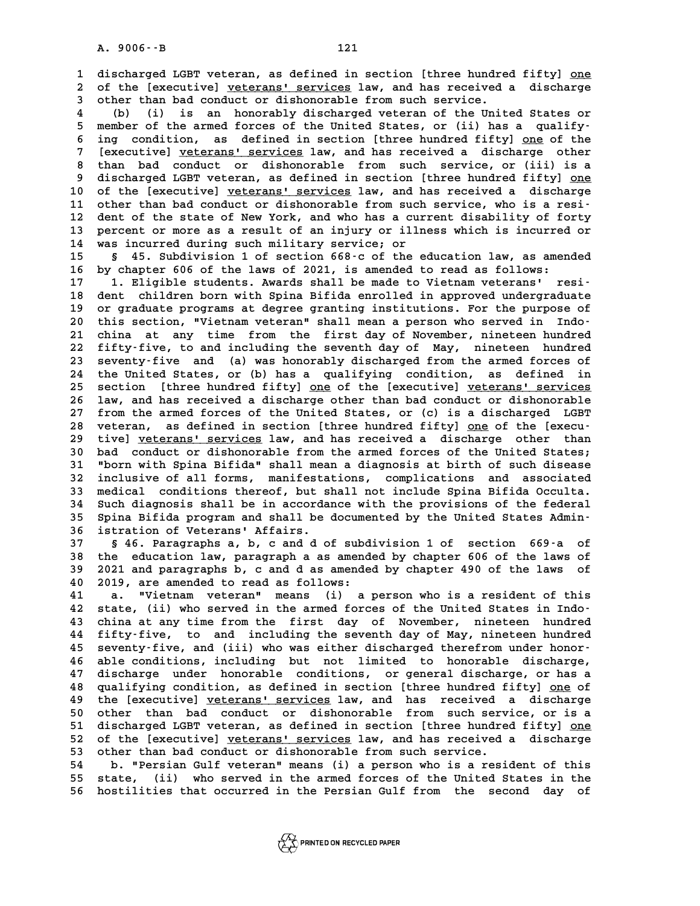A. 9006 · - B<br>1 discharged LGBT veteran, as defined in section [three hundred fifty] <u>one</u><br>2 of the [ovegutive] veterans] services law, and has reseaved a discharge 1 discharged LGBT veteran, as defined in section [three hundred fifty] <u>one</u><br>2 of the [executive] <u>veterans' services</u> law, and has received a discharge<br>3 other than had conduct or disbonorable from such service 1 discharged LGBT veteran, as defined in section [three hundre<br>2 of the [executive] <u>veterans' services</u> law, and has received<br>3 other than bad conduct or dishonorable from such service.<br>(b) (i) is an honorably discharged

2 of the [executive] <u>veterans' services</u> law, and has received a discharge<br>3 other than bad conduct or dishonorable from such service.<br>4 (b) (i) is an honorably discharged veteran of the United States or<br>5 member of the a **5 member of the armed forces of the United States, or (ii) has a qualify-**(b) (i) is an honorably discharged veteran of the United States or<br>
5 member of the armed forces of the United States, or (ii) has a qualify-<br>
6 ing condition, as defined in section [three hundred fifty] <u>one</u> of the<br>
7 [o 5 member of the armed forces of the United States, or (ii) has a qualify-<br>6 ing condition, as defined in section [three hundred fifty] <u>one</u> of the<br>7 [executive] <u>veterans' services</u> law, and has received a discharge other **8 ing condition, as defined in section [three hundred fifty] <u>one</u> of the<br>
7 [executive] <u>veterans' services</u> law, and has received a discharge other<br>
8 than bad conduct or dishonorable from such service, or (iii) is a<br>
d** 9 (executive) <u>veterans' services</u> law, and has received a discharge other<br>8 than bad conduct or dishonorable from such service, or (iii) is a<br>9 discharged LGBT veteran, as defined in section [three hundred fifty] <u>one</u><br>10 8 than bad conduct or dishonorable from such service, or (iii) is a<br>9 discharged LGBT veteran, as defined in section [three hundred fifty] <u>one</u><br>10 of the [executive] <u>veterans' services</u> law, and has received a discharge<br> 9 discharged LGBT veteran, as defined in section [three hundred fifty] <u>one</u><br>10 of the [executive] <u>veterans' services</u> law, and has received a discharge<br>11 other than bad conduct or dishonorable from such service, who is **10** of the [executive] <u>veterans' services</u> law, and has received a discharge<br>11 other than bad conduct or dishonorable from such service, who is a resi-<br>12 dent of the state of New York, and who has a current disability 11 other than bad conduct or dishonorable from such service, who is a resi-<br>12 dent of the state of New York, and who has a current disability of forty<br>13 percent or more as a result of an injury or illness which is incurr 12 dent of the state of New York, and who has a cur<br>13 percent or more as a result of an injury or illn<br>14 was incurred during such military service; or<br>15 feeting file of the 2 13 percent or more as a result of an injury or illness which is incurred or<br>14 was incurred during such military service; or<br>15 § 45. Subdivision 1 of section 668-c of the education law, as amended<br>16 by chapter 606 of the

**14** was incurred during such military service; or<br>15 § 45. Subdivision 1 of section 668-c of the education law, as amen<br>16 by chapter 606 of the laws of 2021, is amended to read as follows:<br>17 1. Fligible students, August 15 § 45. Subdivision 1 of section 668-c of the education law, as amended<br>16 by chapter 606 of the laws of 2021, is amended to read as follows:<br>17 1. Eligible students. Awards shall be made to Vietnam veterans' resi-<br><sup>18</sup> d

**16 by chapter 606 of the laws of 2021, is amended to read as follows:**<br>17 1. Eligible students. Awards shall be made to Vietnam veterans' resi-<br>18 dent children born with Spina Bifida enrolled in approved undergraduate<br>2 17 1. Eligible students. Awards shall be made to Vietnam veterans' resi-<br>18 dent children born with Spina Bifida enrolled in approved undergraduate<br>19 or graduate programs at degree granting institutions. For the purpose o 18 dent children born with Spina Bifida enrolled in approved undergraduate<br>19 or graduate programs at degree granting institutions. For the purpose of<br>20 this section, "Vietnam veteran" shall mean a person who served in In 19 or graduate programs at degree granting institutions. For the purpose of<br>20 this section, "Vietnam veteran" shall mean a person who served in Indo-<br>21 china at any time from the first day of November, nineteen hundred<br>2 20 this section, "Vietnam veteran" shall mean a person who served in Indo-<br>21 china at any time from the first day of November, nineteen hundred<br>22 fifty-five, to and including the seventh day of May, nineteen hundred<br>23 s 21 china at any time from the first day of November, nineteen hundred<br>22 fifty-five, to and including the seventh day of May, nineteen hundred<br>23 seventy-five and (a) was honorably discharged from the armed forces of<br>24 th 22 fifty-five, to and including the seventh day of May, nineteen hundred<br>23 seventy-five and (a) was honorably discharged from the armed forces of<br>24 the United States, or (b) has a qualifying condition, as defined in<br>25 s 23 seventy-five and (a) was honorably discharged from the armed forces of<br>24 the United States, or (b) has a qualifying condition, as defined in<br>25 section [three hundred fifty] <u>one</u> of the [executive] <u>veterans' services</u> 24 the United States, or (b) has a qualifying condition, as defined in<br>25 section [three hundred fifty] <u>one</u> of the [executive] <u>veterans' services</u><br>26 law, and has received a discharge other than bad conduct or dishonora 25 section [three hundred fifty] <u>one</u> of the [executive] <u>veterans' services</u><br>26 law, and has received a discharge other than bad conduct or dishonorable<br>27 from the armed forces of the United States, or (c) is a discharg 28 veteran, as defined in section [three hundred fifty] <u>one</u> of the [execu-<br>29 tive] veterans' services law, and has received a discharge other than 27 from the armed forces of the United States, or (c) is a discharged LGBT<br>28 veteran, as defined in section [three hundred fifty] <u>one</u> of the [execu-<br>29 tive] <u>veterans' services</u> law, and has received a discharge other **30 bad conduct or dishonorable from the armed fifty and the fexecu-**<br>**29 tive yeterans' services law, and has received a** discharge other than<br>**30 bad conduct or dishonorable from the armed forces of the United States;** 29 tive] <u>veterans' services</u> law, and has received a discharge other than<br>30 bad conduct or dishonorable from the armed forces of the United States;<br>31 "born with Spina Bifida" shall mean a diagnosis at birth of such dise **30 bad conduct or dishonorable from the armed forces of the United States;**<br>**31 "born with Spina Bifida" shall mean a diagnosis at birth of such disease**<br>**32 inclusive of all forms, manifestations, complications and assoc 31 "born with Spina Bifida" shall mean a diagnosis at birth of such disease**<br>32 inclusive of all forms, manifestations, complications and associated<br>33 medical conditions thereof, but shall not include Spina Bifida Occult 32 inclusive of all forms, manifestations, complications and associated<br>33 medical conditions thereof, but shall not include Spina Bifida Occulta.<br>34 Such diagnosis shall be in accordance with the provisions of the federal 33 medical conditions thereof, but shall not include Spina Bifida Occulta.<br>34 Such diagnosis shall be in accordance with the provisions of the federal<br>35 Spina Bifida program and shall be documented by the United States Ad 34 Such diagnosis shall be in accorda<br>35 Spina Bifida program and shall be<br>36 istration of Veterans' Affairs.<br><sup>37</sup> 5.46 Baragraphs a but a and d.2 **35 Spina Bifida program and shall be documented by the United States Admin-**<br>**36 istration of Veterans' Affairs.**<br>**37 § 46. Paragraphs a, b, c and d of subdivision 1 of section 669-a of**<br>**38 the education law, paragraph a** 

**38 the education law, paragraph a as amended by chapter 606 of the laws of 59 2021 and paragraphs a, b, c and d of subdivision 1 of section 669-a of**<br> **38 the education law, paragraph a as amended by chapter 606 of the laws of**<br> **2021 and paragraphs b, c and d as amended by chapter 490 of the la 40 2019, are amended to read as follows: 40 2021 and paragraphs b, c and d as amended by chapter 490 of the laws of<br>
40 2019, are amended to read as follows:<br>
<b>41 a. "Vietnam veteran" means (i) a person who is a resident of this**<br>
42 state (ii) who sexued in the

According the amended to read as follows:<br> **41** a. "Vietnam veteran" means (i) a person who is a resident of this<br> **42** state, (ii) who served in the armed forces of the United States in Indo-<br> **43** china at any time from **41 a. "Vietnam veteran" means (i) a person who is a resident of this<br>42 state, (ii) who served in the armed forces of the United States in Indo-<br>43 china at any time from the first day of November, nineteen hundred** 42 state, (ii) who served in the armed forces of the United States in Indo-<br>43 china at any time from the first day of November, nineteen hundred<br>44 fifty-five, to and including the seventh day of May, nineteen hundred<br>45 43 china at any time from the first day of November, nineteen hundred<br>44 fifty-five, to and including the seventh day of May, nineteen hundred<br>45 seventy-five, and (iii) who was either discharged therefrom under honor-<br><sup>16</sup> 44 fifty-five, to and including the seventh day of May, nineteen hundred<br>45 seventy-five, and (iii) who was either discharged therefrom under honor-<br>46 able conditions, including but not limited to honorable discharge,<br>47 45 seventy-five, and (iii) who was either discharged therefrom under honor-<br>46 able conditions, including but not limited to honorable discharge,<br>47 discharge under honorable conditions, or general discharge, or has a<br>48 g 46 able conditions, including but not limited to honorable discharge,<br>47 discharge under honorable conditions, or general discharge, or has a<br>48 qualifying condition, as defined in section [three hundred fifty] <u>one</u> of<br>th discharge under honorable conditions, or general discharge, or has a<br>48 qualifying condition, as defined in section [three hundred fifty] <u>one</u> of<br>49 the [executive] <u>veterans' services</u> law, and has received a discharge<br>5 48 qualifying condition, as defined in section [three hundred fifty] <u>one</u> of<br>49 the [executive] <u>veterans' services</u> law, and has received a discharge<br>50 other than bad conduct or dishonorable from such service, or is a<br>5 49 the [executive] <u>veterans' services</u> law, and has received a discharge<br>50 other than bad conduct or dishonorable from such service, or is a<br>51 discharged LGBT veteran, as defined in section [three hundred fifty] <u>one</u><br>5 50 other than bad conduct or dishonorable from such service, or is a<br>51 discharged LGBT veteran, as defined in section [three hundred fifty] <u>one</u><br>52 of the [executive] <u>veterans' services</u> law, and has received a discharg 51 discharged LGBT veteran, as defined in section [three hundre 52 of the [executive] <u>veterans' services</u> law, and has received 53 other than bad conduct or dishonorable from such service.

52 of the [executive] <u>veterans' services</u> law, and has received a discharge<br>53 other than bad conduct or dishonorable from such service.<br>54 b. "Persian Gulf veteran" means (i) a person who is a resident of this<br>55 state, **55 state, (ii) who served in the armed forces of the United States in the 56 hostilities that occurred in the Persian Gulf from the second day of**

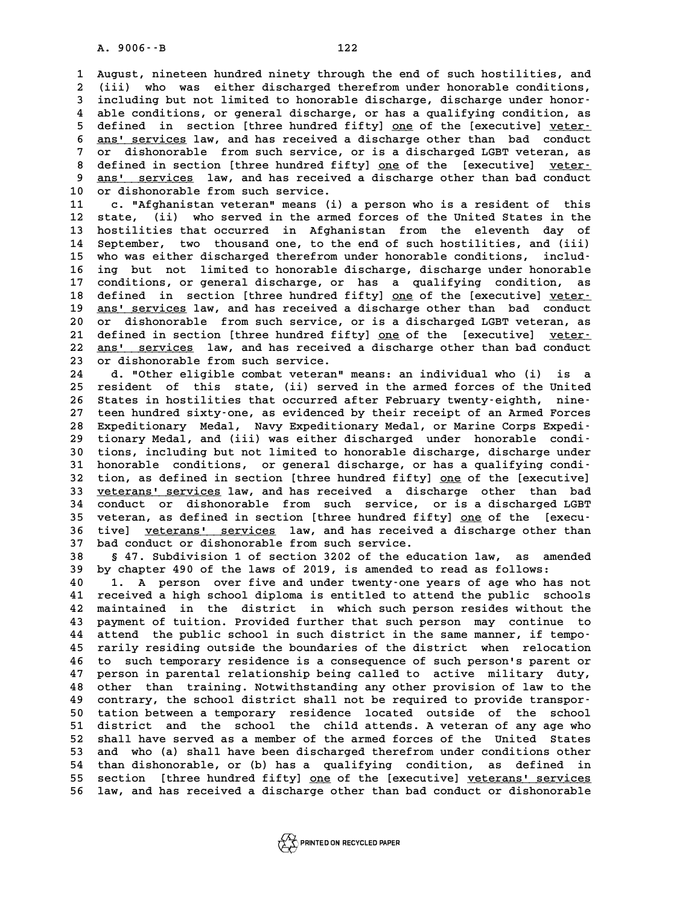A. 9006 -- B<br>1 August, nineteen hundred ninety through the end of such hostilities, and<br>2 (iii) who was oither discharged therefrom under benerable conditions **2** August, nineteen hundred ninety through the end of such hostilities, and<br>2 (iii) who was either discharged therefrom under honorable conditions,<br>3 including but not limited to bonorable discharge discharge under bonor. August, nineteen hundred ninety through the end of such hostilities, and<br>
2 (iii) who was either discharged therefrom under honorable conditions,<br>
3 including but not limited to honorable discharge, discharge under honor-<br> 4 (iii) who was either discharged therefrom under honorable conditions,<br>3 including but not limited to honorable discharge, discharge under honor-<br>4 able conditions, or general discharge, or has a qualifying condition, as<br> including but not limited to honorable discharge, discharge under honor-<br>4 able conditions, or general discharge, or has a qualifying condition, as<br>5 defined in section [three hundred fifty] <u>one</u> of the [executive] <u>veter</u> 4 able conditions, or general discharge, or has a qualifying condition, as<br>5 defined in section [three hundred fifty] <u>one</u> of the [executive] <u>veter-</u><br>6 <u>ans' services</u> law, and has received a discharge other than bad con **7** defined in section [three hundred fifty] <u>one</u> of the [executive] <u>veter-</u><br>6 <u>ans' services</u> law, and has received a discharge other than bad conduct<br>7 or dishonorable from such service, or is a discharged LGBT veteran 8 ans' services law, and has received a discharge other than bad conduct<br>
7 or dishonorable from such service, or is a discharged LGBT veteran, as<br>
8 defined in section [three hundred fifty] <u>one</u> of the [executive] <u>veter</u> or dishonorable from such service, or is a discharged LGBT veteran, as<br>8 defined in section [three hundred fifty] <u>one</u> of the [executive] <u>veter-</u><br>9 <u>ans' services</u> law, and has received a discharge other than bad conduct 8 defined in section [three hundred fif<br>
9 <u>ans' services</u> law, and has received<br>
10 or dishonorable from such service.<br>
11 c "Afghanistan veteran" means (i) **11 c. "Afghanistan veteran" means (i) a person who is a resident of this**<br> **11 c. "Afghanistan veteran" means (i) a person who is a resident of this**<br> **12 state** (ii) who served in the armed forces of the United States in

10 or dishonorable from such service.<br>
11 c. "Afghanistan veteran" means (i) a person who is a resident of this<br>
12 state, (ii) who served in the armed forces of the United States in the<br>
13 hostilities that occurred in Af 11 c. "Afghanistan veteran" means (i) a person who is a resident of this<br>12 state, (ii) who served in the armed forces of the United States in the<br>13 hostilities that occurred in Afghanistan from the eleventh day of<br>14 Sep 12 state, (ii) who served in the armed forces of the United States in the<br>13 hostilities that occurred in Afghanistan from the eleventh day of<br>14 September, two thousand one, to the end of such hostilities, and (iii)<br>15 wh 13 hostilities that occurred in Afghanistan from the eleventh day of<br>14 September, two thousand one, to the end of such hostilities, and (iii)<br>15 who was either discharged therefrom under honorable conditions, includ-<br><sup>16</sup> 14 September, two thousand one, to the end of such hostilities, and (iii)<br>15 who was either discharged therefrom under honorable conditions, includ-<br>16 ing but not limited to honorable discharge, discharge under honorable<br> **15 who was either discharged therefrom under honorable conditions, includ-**<br>**16 ing but not limited to honorable discharge, discharge under honorable**<br>**17 conditions, or general discharge, or has a qualifying condition, a 16** ing but not limited to honorable discharge, discharge under honorable<br>17 conditions, or general discharge, or has a qualifying condition, as<br>18 defined in section [three hundred fifty] <u>one</u> of the [executive] <u>veter</u> 17 conditions, or general discharge, or has a qualifying condition, as<br>18 defined in section [three hundred fifty] <u>one</u> of the [executive] <u>veter-</u><br>19 <u>ans' services</u> law, and has received a discharge other than bad condu **20 18 defined in section [three hundred fifty] <u>one</u> of the [executive] <u>veter-</u><br>
<b>20 or dishonorable from such service, or is a discharged LGBT veteran, as**<br> **21 defined in section [three hundred fifty]** one of the [exec **21 defined in section and has received a discharge other than bad conduct**<br>20 or dishonorable from such service, or is a discharged LGBT veteran, as<br>21 defined in section [three hundred fifty] <u>one</u> of the [executive] <u>ve</u> 20 or dishonorable from such service, or is a discharged LGBT veteran, as<br>21 defined in section [three hundred fifty] <u>one</u> of the [executive] <u>veter-</u><br>22 <u>ans' services</u> law, and has received a discharge other than bad co 21 defined in section [three hundred fif<br>22 <u>ans' services</u> law, and has received<br>23 or dishonorable from such service. **22 <u>ans' services</u> law, and has received a discharge other than bad conduct<br>23 or dishonorable from such service.<br>24 d. "Other eligible combat veteran" means: an individual who (i) is a<br>25 resident of this state (ii) serv** 

23 or dishonorable from such service.<br>24 d. "Other eligible combat veteran" means: an individual who (i) is a<br>25 resident of this state, (ii) served in the armed forces of the United<br>26 States in bostilities that equured o d. "Other eligible combat veteran" means: an individual who (i) is a<br>
25 resident of this state, (ii) served in the armed forces of the United<br>
26 States in hostilities that occurred after February twenty-eighth, nine-<br>
27 25 resident of this state, (ii) served in the armed forces of the United<br>26 States in hostilities that occurred after February twenty-eighth, nine-<br>27 teen hundred sixty-one, as evidenced by their receipt of an Armed Force 26 States in hostilities that occurred after February twenty-eighth, nine-<br>
27 teen hundred sixty-one, as evidenced by their receipt of an Armed Forces<br>
28 Expeditionary Medal, Navy Expeditionary Medal, or Marine Corps Exp 27 teen hundred sixty-one, as evidenced by their receipt of an Armed Forces<br>28 Expeditionary Medal, Navy Expeditionary Medal, or Marine Corps Expedi-<br>29 tionary Medal, and (iii) was either discharged under honorable condi-Expeditionary Medal, Navy Expeditionary Medal, or Marine Corps Expedi-<br>29 tionary Medal, and (iii) was either discharged under honorable condi-<br>30 tions, including but not limited to honorable discharge, discharge under<br>31 30 tions, including but not limited to honorable discharge, discharge under<br>31 honorable conditions, or general discharge, or has a qualifying condi-<br>32 tion, as defined in section [three hundred fifty] <u>one</u> of the [execu 30 tions, including but not limited to honorable discharge, discharge under<br>31 honorable conditions, or general discharge, or has a qualifying condi-<br>32 tion, as defined in section [three hundred fifty] <u>one</u> of the [execu 31 honorable conditions, or general discharge, or has a qualifying condi-<br>32 tion, as defined in section [three hundred fifty] <u>one</u> of the [executive]<br>33 <u>veterans' services</u> law, and has received a discharge other than b 32 tion, as defined in section [three hundred fifty] <u>one</u> of the [executive]<br>33 <u>veterans' services</u> law, and has received a discharge other than bad<br>34 conduct or dishonorable from such service, or is a discharged LGBT<br>2 33 <u>veterans' services</u> law, and has received a discharge other than bad<br>34 conduct or dishonorable from such service, or is a discharged LGBT<br>35 veteran, as defined in section [three hundred fifty] <u>one</u> of the [execu-<br>26 34 conduct or dishonorable from such service, or is a discharged LGBT<br>35 veteran, as defined in section [three hundred fifty] <u>one</u> of the [execu-<br>36 tive] <u>veterans' services</u> law, and has received a discharge other than<br> 35 veteran, as defined in section [three hundred fif<br>36 tive] <u>veterans' services</u> law, and has received<br>37 bad conduct or dishonorable from such service.<br>38 5.47 Subdivision 1 of section 3202 of the odus **36 tive]** <u>veterans' services</u> law, and has received a discharge other than<br>37 bad conduct or dishonorable from such service.<br>38 § 47. Subdivision 1 of section 3202 of the education law, as amended<br>39 by chapter 490 of th

**37 bad conduct or dishonorable from such service.**<br> **38 5** 47. Subdivision 1 of section 3202 of the education law, as amended to read as follows:<br> **39** by chapter 490 of the laws of 2019, is amended to read as follows: **40 1. A person 1 start of section 3202 of the education law, as amended**<br>**40 1. A person over five and under twenty-one years of age who has not**<br>**40 1. A person over five and under twenty-one years of age who has not**<br>**4** 

**41 by chapter 490 of the laws of 2019, is amended to read as follows:**<br>**40 1.** A person over five and under twenty-one years of age who has not<br>**41 received a high school diploma is entitled to attend the public schools**<br> 1. A person over five and under twenty-one years of age who has not<br>41 received a high school diploma is entitled to attend the public schools<br>42 maintained in the district in which such person resides without the<br>43 narme **41 received a high school diploma is entitled to attend the public schools**<br>**42 maintained in the district in which such person resides without the**<br>**43 payment of tuition. Provided further that such person may continue t** 42 maintained in the district in which such person resides without the<br>43 payment of tuition. Provided further that such person may continue to<br>44 attend the public school in such district in the same manner, if tempo-<br><sup>45</sup> 43 payment of tuition. Provided further that such person may continue to<br>44 attend the public school in such district in the same manner, if tempo-<br>45 rarily residing outside the boundaries of the district when relocation<br> **44 attend the public school in such district in the same manner, if tempo-**<br>45 rarily residing outside the boundaries of the district when relocation<br>46 to such temporary residence is a consequence of such person's parent 45 rarily residing outside the boundaries of the district when relocation<br>46 to such temporary residence is a consequence of such person's parent or<br>47 person in parental relationship being called to active military duty,<br> **46 to such temporary residence is a consequence of such person's parent or** person in parental relationship being called to active military duty, <br>48 other than training. Notwithstanding any other provision of law to the<br> 47 person in parental relationship being called to active military duty,<br>48 other than training. Notwithstanding any other provision of law to the<br>49 contrary, the school district shall not be required to provide transpor-**50** the school district shall not be required to provide transportation between a temporary residence located outside of the school district and the school the child attends a veteral of any age who **50 contrary, the school district shall not be required to provide transpor-**<br>50 tation between a temporary residence located outside of the school<br>51 district and the school the child attends. A veteran of any age who<br>52 50 tation between a temporary residence located outside of the school<br>51 district and the school the child attends. A veteran of any age who<br>52 shall have served as a member of the armed forces of the United States<br>53 and 51 district and the school the child attends. A veteran of any age who<br>52 shall have served as a member of the armed forces of the United States<br>53 and who (a) shall have been discharged therefrom under conditions other<br>54 52 shall have served as a member of the armed forces of the United States<br>53 and who (a) shall have been discharged therefrom under conditions other<br>54 than dishonorable, or (b) has a qualifying condition, as defined in<br>55 53 and who (a) shall have been discharged therefrom under conditions other<br>54 than dishonorable, or (b) has a qualifying condition, as defined in<br>55 section [three hundred fifty] <u>one</u> of the [executive] <u>veterans' service</u> 55 section [three hundred fifty] <u>one</u> of the [executive] <u>veterans' services</u><br>56 law, and has received a discharge other than bad conduct or dishonorable

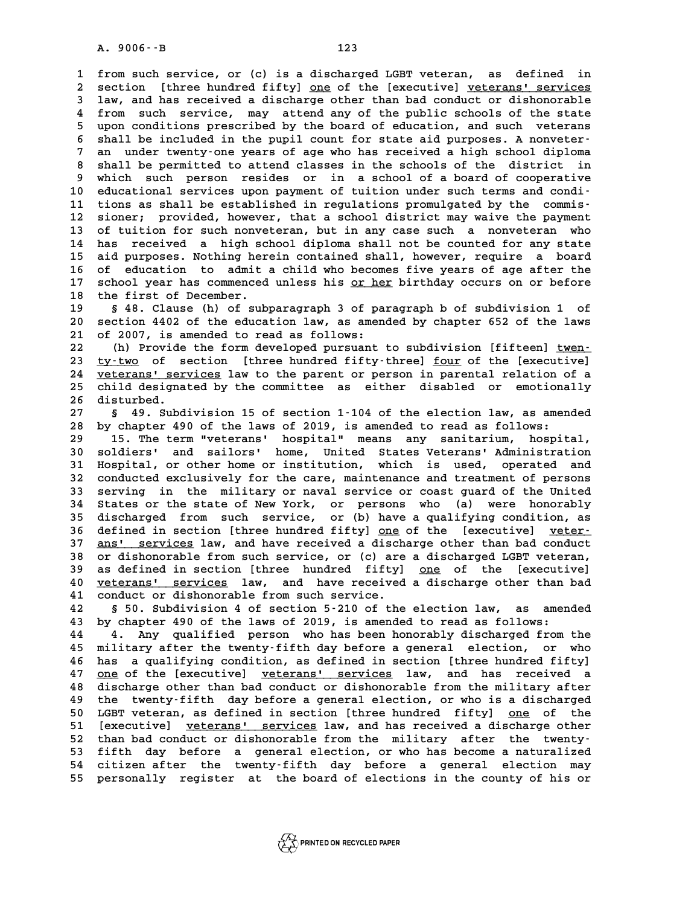**1 from such service, or (c) is a discharged LGBT veteran, as defined in** 1 from such service, or (c) is a discharged LGBT veteran, as defined in<br>2 section [three hundred fifty] <u>one</u> of the [executive] <u>veterans' services</u><br>3 law, and has received a discharge other than had conduct or disbonorab 1 from such service, or (c) is a discharged LGBT veteran, as defined in<br>2 section [three hundred fifty] <u>one</u> of the [executive] <u>veterans' services</u><br>3 law, and has received a discharge other than bad conduct or dishonorab a faction [three hundred fifty] <u>one</u> of the [executive] <u>veterans' services</u><br>3 law, and has received a discharge other than bad conduct or dishonorable<br>4 from such service, may attend any of the public schools of the stat **5 law, and has received a discharge other than bad conduct or dishonorable**<br>**4 from such service, may attend any of the public schools of the state**<br>**5 upon conditions prescribed by the board of education, and such vetera** 4 from such service, may attend any of the public schools of the state<br>
5 upon conditions prescribed by the board of education, and such veterans<br>
6 shall be included in the pupil count for state aid purposes. A nonveter-<br> 5 upon conditions prescribed by the board of education, and such veterans<br>6 shall be included in the pupil count for state aid purposes. A nonveter-<br>7 an under twenty-one years of age who has received a high school diploma 8 shall be included in the pupil count for state aid purposes. A nonveter-<br>
7 an under twenty-one years of age who has received a high school diploma<br>
8 shall be permitted to attend classes in the schools of the district i **9 an under twenty-one years of age who has received a high school diploma**<br> **9 which such person resides or in a school of a board of cooperative**<br> **9 which such person resides or in a school of a board of cooperative**<br> 8 shall be permitted to attend classes in the schools of the district in<br>9 which such person resides or in a school of a board of cooperative<br>10 educational services upon payment of tuition under such terms and condi-<br><sup>11</sup> 9 which such person resides or in a school of a board of cooperative<br>
10 educational services upon payment of tuition under such terms and condi-<br>
11 tions as shall be established in regulations promulgated by the commis-<br> 10 educational services upon payment of tuition under such terms and condi-<br>11 tions as shall be established in regulations promulgated by the commis-<br>12 sioner; provided, however, that a school district may waive the paym 11 tions as shall be established in regulations promulgated by the commis-<br>12 sioner; provided, however, that a school district may waive the payment<br>13 of tuition for such nonveteran, but in any case such a nonveteran who 12 sioner; provided, however, that a school district may waive the payment<br>13 of tuition for such nonveteran, but in any case such a nonveteran who<br>14 has received a high school diploma shall not be counted for any state<br>1 13 of tuition for such nonveteran, but in any case such a nonveteran who<br>14 has received a high school diploma shall not be counted for any state<br>15 aid purposes. Nothing herein contained shall, however, require a board<br>16 14 has received a high school diploma shall not be counted for any state<br>15 aid purposes. Nothing herein contained shall, however, require a board<br>16 of education to admit a child who becomes five years of age after the<br>17 15 aid purposes. Nothing herein contained shall, however, require a board<br>16 of education to admit a child who becomes five years of age after the<br>17 school year has commenced unless his <u>or her</u> birthday occurs on or befo 16 of education to admit<br>17 school year has commenced<br>18 the first of December.<br>19 5 48 Slaupe (b) of sub-17 school year has commenced unless his <u>or her</u> birthday occurs on or before<br>18 the first of December.<br>19 § 48. Clause (h) of subparagraph 3 of paragraph b of subdivision 1 of<br>20 section 4402 of the education law, as amen

**20 18 the first of December.**<br> **20 5 48. Clause (h) of subparagraph 3 of paragraph b of subdivision 1 of section 4402 of the education law, as amended by chapter 652 of the laws<br>
21 of 2007, is amended to read as follows:** 19 § 48. Clause (h) of subparagraph 3 of pa<br>20 section 4402 of the education law, as amended to read as follows:<br>22 (h) Provide the form developed purguant 20 section 4402 of the education law, as amended by chapter 652 of the laws<br>21 of 2007, is amended to read as follows:<br>22 (h) Provide the form developed pursuant to subdivision [fifteen] <u>twen-</u><br>23 tyting of section [three

21 of 2007, is amended to read as follows:<br>
22 (h) Provide the form developed pursuant to subdivision [fifteen] <u>twen</u>-<br>
23 <u>ty-two</u> of section [three hundred fifty-three] <u>four</u> of the [executive]<br>
24 upterangl services l (h) Provide the form developed pursuant to subdivision [fifteen] <u>twen</u><br>23 <u>ty-two</u> of section [three hundred fifty-three] <u>four</u> of the [executive]<br>24 <u>veterans' services</u> law to the parent or person in parental relation 23 ty-two of section [three hundred fifty-three] <u>four</u> of the [executive]<br>24 <u>veterans' services</u> law to the parent or person in parental relation of a<br>25 child designated by the committee as either disabled or emotionall 24 <u>veterans' ser</u><br>25 child designa<br>26 disturbed.<br>27 s 49 subd **25 child designated by the committee as either disabled or emotionally**<br>26 disturbed.<br>27 § 49. Subdivision 15 of section 1-104 of the election law, as amended<br>28 by chapter 420 of the laws of 2019 is amended to read as fo

26 disturbed.<br>
27 § 49. Subdivision 15 of section 1-104 of the election law, as amended<br>
28 by chapter 490 of the laws of 2019, is amended to read as follows:<br>
29 15. The term "veterans' hospital" means any sanitarium, hos

**29 15. The term "veterans' hospital" means any sanitarium, hospital,** by chapter 490 of the laws of 2019, is amended to read as follows:<br>15. The term "veterans' hospital" means any sanitarium, hospital,<br>30 soldiers' and sailors' home, United States Veterans' Administration<br><sup>31</sup> Bospital or o 15. The term "veterans' hospital" means any sanitarium, hospital,<br>30 soldiers' and sailors' home, United States Veterans' Administration<br>31 Hospital, or other home or institution, which is used, operated and<br>32 Sorduated a 30 soldiers' and sailors' home, United States Veterans' Administration<br>31 Hospital, or other home or institution, which is used, operated and<br>32 conducted exclusively for the care, maintenance and treatment of persons<br>33 s 31 Hospital, or other home or institution, which is used, operated and<br>32 conducted exclusively for the care, maintenance and treatment of persons<br>33 serving in the military or naval service or coast guard of the United 32 conducted exclusively for the care, maintenance and treatment of persons<br>33 serving in the military or naval service or coast guard of the United<br>34 States or the state of New York, or persons who (a) were honorably<br>35 33 serving in the military or naval service or coast guard of the United<br>34 States or the state of New York, or persons who (a) were honorably<br>35 discharged from such service, or (b) have a qualifying condition, as<br>36 defi 34 States or the state of New York, or persons who (a) were honorably<br>35 discharged from such service, or (b) have a qualifying condition, as<br>36 defined in section [three hundred fifty] <u>one</u> of the [executive] <u>veter-</u><br>27 35 discharged from such service, or (b) have a qualifying condition, as<br>36 defined in section [three hundred fifty] <u>one</u> of the [executive] <u>veter-</u><br>37 <u>ans' services</u> law, and have received a discharge other than bad con **36 defined in section [three hundred fifty] <u>one</u> of the [executive] <u>veter-</u><br>37 <u>ans' services</u> law, and have received a discharge other than bad conduct<br>38 or dishonorable from such service, or (c) are a discharged LGBT 37** <u>ans' services</u> law, and have received a discharge other than bad conduct<br>38 or dishonorable from such service, or (c) are a discharged LGBT veteran,<br>39 as defined in section [three hundred fifty] <u>one</u> of the [execut 38 or dishonorable from such service, or (c) are a discharged LGBT veteran,<br>39 as defined in section [three hundred fifty] <u>one</u> of the [executive]<br>40 <u>veterans' services</u> law, and have received a discharge other than bad<br> as defined in section [three hundred fifty] <u>one</u> of the [executive]<br>40 <u>veterans' services</u> law, and have received a discharge other than bad<br>41 conduct or dishonorable from such service.<br>42 § 50. Subdivision 4 of section

**42 § 50. Subdivision 4 of section 5-210 of the election law, as amended 43 by chapter 490 of the laws of 2019, is amended to read as follows: 42** § 50. Subdivision 4 of section 5-210 of the election law, as amended<br>43 by chapter 490 of the laws of 2019, is amended to read as follows:<br>44 Any qualified person who has been honorably discharged from the<br>15 military

**43 by chapter 490 of the laws of 2019, is amended to read as follows:**<br>**44 a. Any qualified person who has been honorably discharged from the**<br>**45 military after the twenty-fifth day before a general election, or who**<br>**16 44 4.** Any qualified person who has been honorably discharged from the<br>45 military after the twenty-fifth day before a general election, or who<br>46 has a qualifying condition, as defined in section [three hundred fifty]<br> 45 military after the twenty-fifth day before a general election, or who<br>46 has a qualifying condition, as defined in section [three hundred fifty]<br>47 <u>one</u> of the [executive] <u>veterans' services</u> law, and has received a<br>4 As a qualifying condition, as defined in section [three hundred fifty]<br>47 <u>one</u> of the [executive] <u>veterans' services</u> law, and has received a<br>48 discharge other than bad conduct or dishonorable from the military after<br>th 47 <u>one</u> of the [executive] <u>veterans' services</u> law, and has received a<br>48 discharge other than bad conduct or dishonorable from the military after<br>49 the twenty-fifth day before a general election, or who is a discharged the twenty-fifth day before a general election, or who is a discharged<br>**50 LGBT veteran, as defined in section** [three hundred fifty] <u>one</u> of the<br>51 [executive] veterans' services law, and has received a discharge other the twenty-fifth day before a general election, or who is a discharged<br>
50 LGBT veteran, as defined in section [three hundred fifty] <u>one</u> of the<br>
51 [executive] <u>veterans' services</u> law, and has received a discharge other **50 LGBT veteran, as defined in section [three hundred fifty] <u>one</u> of the [executive] <u>veterans' services</u> law, and has received a discharge other<br>
52 than bad conduct or dishonorable from the military after the twenty-<br>** 51 [executive] <u>veterans' services</u> law, and has received a discharge other<br>52 than bad conduct or dishonorable from the military after the twenty-<br>53 fifth day before a general election, or who has become a naturalized<br>54 52 than bad conduct or dishonorable from the military after the twenty-<br>53 fifth day before a general election, or who has become a naturalized<br>54 citizen after the twenty-fifth day before a general election may<br>55 persona 53 fifth day before a general-election, or who has become a naturalized<br>54 citizen after the twenty-fifth day before a general election may<br>55 personally register at the board of elections in the county of his or

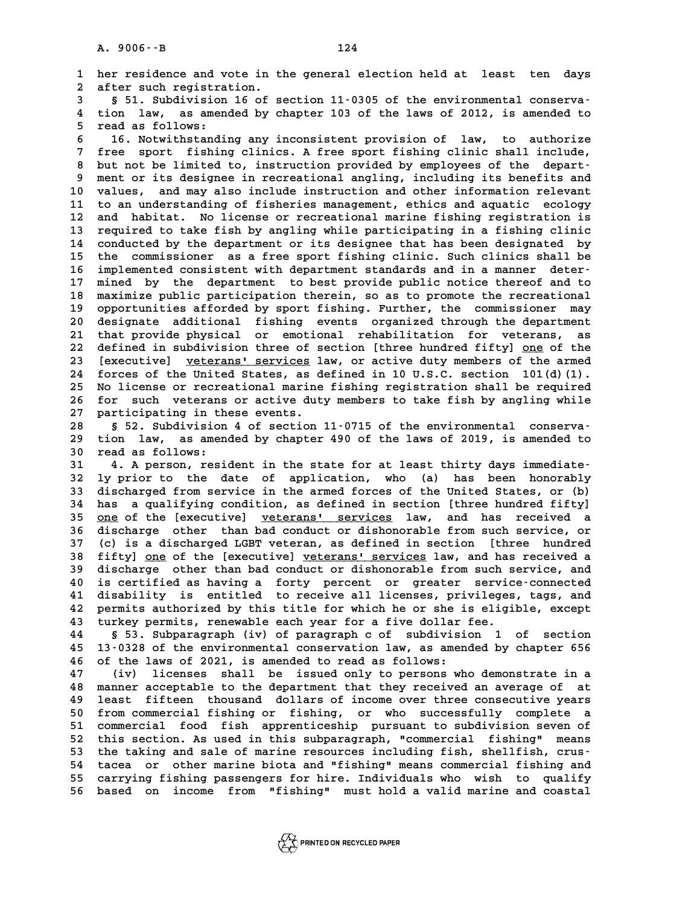**1 her residence and vote in the general election held at least ten days 2** her residence and vote in the after such registration.<br>2 after such registration. 1 her residence and vote in the general election held at least ten days<br>
2 after such registration.<br>
3 § 51. Subdivision 16 of section 11-0305 of the environmental conserva-<br>
<sup>4</sup> tion, law, as amonded by shapter 103 of the

after such registration.<br> **4 s 51. Subdivision 16 of section 11**-0305 of the environmental conserva-<br> **4 tion law, as amended by chapter 103 of the laws of 2012, is amended to**<br> **5 read as follows: 5 51. Subdivision**<br>**4 tion law, as amen**<br>**5 read as follows:**<br>5 16 Notwithstandi **6 16. Notwithstanding any inconsistent provision of law, to authorize**

**7 7 Freed as follows:**<br> **6** 16. Notwithstanding any inconsistent provision of law, to authorize<br> **7** free sport fishing clinics. A free sport fishing clinic shall include,<br>
a but not be limited to instruction provided b **8 16. Notwithstanding any inconsistent provision of law, to authorize<br>
<b>8 but not be limited to, instruction provided by employees of the depart-**<br> **8 but not be limited to, instruction provided by employees of the depart** Free sport fishing clinics. A free sport fishing clinic shall include,<br>
8 but not be limited to, instruction provided by employees of the depart-<br>
9 ment or its designee in recreational angling, including its benefits and<br> 8 but not be limited to, instruction provided by employees of the depart-<br>9 ment or its designee in recreational angling, including its benefits and<br>10 values, and may also include instruction and other information relevan 9 ment or its designee in recreational angling, including its benefits and<br>10 values, and may also include instruction and other information relevant<br>11 to an understanding of fisheries management, ethics and aquatic ecolo 10 values, and may also include instruction and other information relevant<br>11 to an understanding of fisheries management, ethics and aquatic ecology<br>12 and habitat. No license or recreational marine fishing registration i 11 to an understanding of fisheries management, ethics and aquatic ecology<br>12 and habitat. No license or recreational marine fishing registration is<br>13 required to take fish by angling while participating in a fishing clin 12 and habitat. No license or recreational marine fishing registration is<br>13 required to take fish by angling while participating in a fishing clinic<br>14 conducted by the department or its designee that has been designated 12 and habitat. No license or recreational marine fishing registration is<br>13 required to take fish by angling while participating in a fishing clinic<br>14 conducted by the department or its designee that has been designated **16 implemented consistent with department standards and in a manner deter-15 the commissioner as a free sport fishing clinic. Such clinics shall be**<br>**16 implemented consistent with department standards and in a manner deter-**<br>**17 mined by the department to best provide public notice thereof and 16 implemented consistent with department standards and in a manner deter-**<br>17 mined by the department to best provide public notice thereof and to<br>18 maximize public participation therein, so as to promote the recreation 17 mined by the department to best provide public notice thereof and to<br>18 maximize public participation therein, so as to promote the recreational<br>19 opportunities afforded by sport fishing. Further, the commissioner may<br> 18 maximize public participation therein, so as to promote the recreational<br>19 opportunities afforded by sport fishing. Further, the commissioner may<br>20 designate additional fishing events organized through the department<br> 19 opportunities afforded by sport fishing. Further, the commissioner may<br>20 designate additional fishing events organized through the department<br>21 that provide physical or emotional rehabilitation for veterans, as<br>22 def 20 designate additional fishing events organized through the department<br>21 that provide physical or emotional rehabilitation for veterans, as<br>22 defined in subdivision three of section [three hundred fifty] <u>one</u> of the<br><sup>2</sup> 21 that provide physical or emotional rehabilitation for veterans, as<br>22 defined in subdivision three of section [three hundred fifty] <u>one</u> of the<br>23 [executive] <u>veterans' services</u> law, or active duty members of the arm 22 defined in subdivision three of section [three hundred fifty] <u>one</u> of the<br>23 [executive] <u>veterans' services</u> law, or active duty members of the armed<br>24 forces of the United States, as defined in 10 U.S.C. section 101 23 [executive] <u>veterans' services</u> law, or active duty members of the armed<br>24 forces of the United States, as defined in 10 U.S.C. section 101(d)(1).<br>25 No license or recreational marine fishing registration shall be req 24 forces of the United States, as defined in 10 U.S.C. section 101(d)(1).<br>25 No license or recreational marine fishing registration shall be required<br>26 for such veterans or active duty members to take fish by angling whi 25 No license or recreational marine<br>26 for such veterans or active dut<br>27 participating in these events.<br>28 for Subdivision 4 of section

27 participating in these events.<br>28 § 52. Subdivision 4 of section 11–0715 of the environmental conserva-<br>29 tion law, as amended by chapter 490 of the laws of 2019, is amended to **27 participating in these events.**<br>28 § 52. Subdivision 4 of section 11-0715 of the environmental conserva-<br>29 tion law, as amended by chapter 490 of the laws of 2019, is amended to 28 § 52. Subdivision<br>29 tion law, as amen<br>30 read as follows:<br><sup>31</sup> *A* berson resi <sup>29</sup> tion law, as amended by chapter 490 of the laws of 2019, is amended to<br>
30 read as follows:<br>
31 4. A person, resident in the state for at least thirty days immediate-<br>
<sup>32</sup> ly prior to the date of application, who (a)

**30** read as follows:<br> **31** 4. A person, resident in the state for at least thirty days immediate-<br> **32** ly prior to the date of application, who (a) has been honorably<br> **33** discharged from service in the armed forces of **4. A person, resident in the state for at least thirty days immediate-**<br>**32 ly prior to the date of application, who (a) has been honorably**<br>**33 discharged from service in the armed forces of the United States, or (b)**<br>**2** 12 ly prior to the date of application, who (a) has been honorably<br>33 discharged from service in the armed forces of the United States, or (b)<br>34 has a qualifying condition, as defined in section [three hundred fifty]<br>25 a 33 discharged from service in the armed forces of the United States, or (b)<br>34 has a qualifying condition, as defined in section [three hundred fifty]<br>35 <u>one</u> of the [executive] <u>veterans' services</u> law, and has received **34 has a qualifying condition, as defined in section [three hundred fifty]**<br> **35 <u>one</u> of the [executive] <u>veterans' services</u> law, and has received a<br>
36 discharge other than bad conduct or dishonorable from such service** 35 <u>one</u> of the [executive] <u>veterans' services</u> law, and has received a<br>36 discharge other than bad conduct or dishonorable from such service, or<br>37 (c) is a discharged LGBT veteran, as defined in section [three hundred<br>3 36 discharge other than bad conduct or dishonorable from such service, or<br>37 (c) is a discharged LGBT veteran, as defined in section [three hundred<br>38 fifty] <u>one</u> of the [executive] <u>veterans' services</u> law, and has recei **37** (c) is a discharged LGBT veteran, as defined in section [three hundred<br>38 fifty] <u>one</u> of the [executive] <u>veterans' services</u> law, and has received a<br>39 discharge other than bad conduct or dishonorable from such serv **40 10 38 fifty one of the [executive] <u>veterans' services</u> law, and has received a<br>
40 is certified as having a forty percent or greater service-connected**<br>
40 is certified as having a forty percent or greater service-con discharge other than bad conduct or dishonorable from such service, and<br>40 is certified as having a forty percent or greater service-connected<br>41 disability is entitled to receive all licenses, privileges, tags, and<br>22 per **40** is certified as having a forty percent or greater service-connected<br>**41** disability is entitled to receive all licenses, privileges, tags, and<br>**42** permits authorized by this title for which he or she is eligible, exc 41 disability is entitled to receive all licenses, privileges<br>42 permits authorized by this title for which he or she is eligil<br>43 turkey permits, renewable each year for a five dollar fee.<br>44 5.53 Subbarazzanh (iv) of par 42 permits authorized by this title for which he or she is eligible, except<br>43 turkey permits, renewable each year for a five dollar fee.<br>44 § 53. Subparagraph (iv) of paragraph c of subdivision 1 of section<br>45. 13.0328 of

**43 turkey permits, renewable each year for a five dollar fee.**<br>44 § 53. Subparagraph (iv) of paragraph c of subdivision 1 of section<br>45 13.0328 of the environmental conservation law, as amended by chapter 656<br>46 of the la **44** S 53. Subparagraph (iv) of paragraph c of subdivisi-<br> **45** 13.0328 of the environmental conservation law, as amended to read as follows:<br> **46** of the laws of 2021, is amended to read as follows: 13-0328 of the environmental conservation law, as amended by chapter 656<br>46 of the laws of 2021, is amended to read as follows:<br>47 (iv) licenses shall be issued only to persons who demonstrate in a<br>48 manner acceptable to

**46 of the laws of 2021, is amended to read as follows:**<br> **47** (iv) licenses shall be issued only to persons who demonstrate in a<br> **48 manner acceptable to the department that they received an average of at**<br> **19 locat fif 47** (iv) licenses shall be issued only to persons who demonstrate in a<br>48 manner acceptable to the department that they received an average of at<br>49 least fifteen thousand dollars of income over three consecutive years<br>50 A fifteen the department that they received an average of at<br>
49 least fifteen thousand dollars of income over three consecutive years<br>
50 from commercial fishing or fishing, or who successfully complete a<br>
51 commercial f **19 least fifteen thousand dollars of income over three consecutive years**<br>
50 from commercial fishing or fishing, or who successfully complete a<br>
51 commercial food fish apprenticeship pursuant to subdivision seven of<br>
52 50 from commercial fishing or fishing, or who successfully complete a<br>51 commercial food fish apprenticeship pursuant to subdivision seven of<br>52 this section. As used in this subparagraph, "commercial fishing" means<br>53 the 51 commercial food fish apprenticeship pursuant to subdivision seven of this section. As used in this subparagraph, "commercial fishing" means the taking and sale of marine resources including fish, shellfish, crus-<br>54 tac 52 this section. As used in this subparagraph, "commercial fishing" means<br>53 the taking and sale of marine resources including fish, shellfish, crus-<br>54 tacea or other marine biota and "fishing" means commercial fishing an 53 the taking and sale of marine resources including fish, shellfish, crus-<br>54 tacea or other marine biota and "fishing" means commercial fishing and<br>55 carrying fishing passengers for hire. Individuals who wish to qualify 55 carrying fishing passengers for hire. Individuals who wish to qualify<br>56 based on income from "fishing" must hold a valid marine and coastal

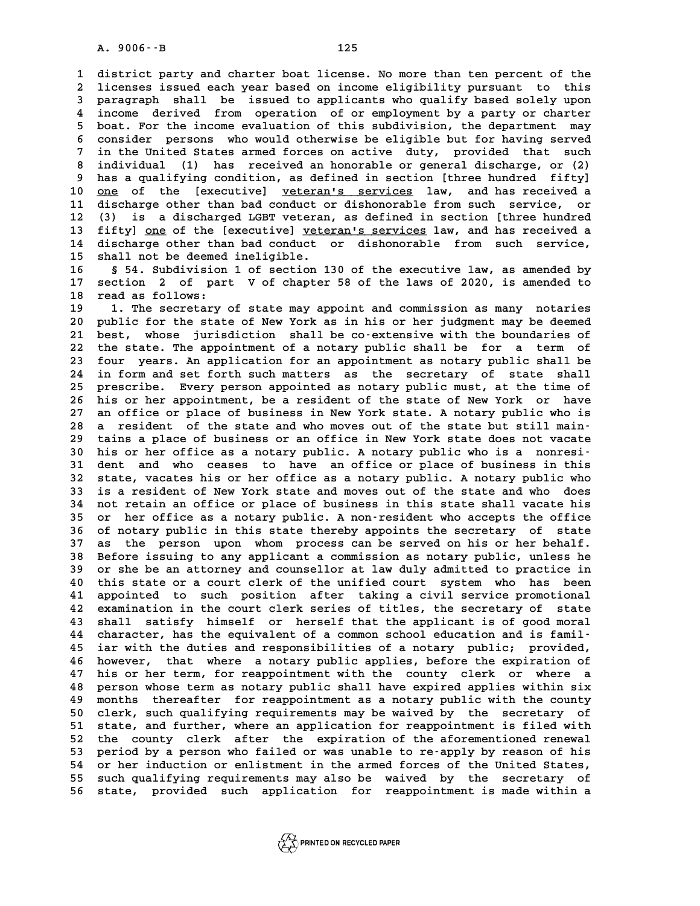**1 district party and charter boat license. No more than ten percent of the 2** district party and charter boat license. No more than ten percent of the<br>2 licenses issued each year based on income eligibility pursuant to this<br>3 paragraph, shall, be issued to applicants who guality based solely upo 1 district party and charter boat license. No more than ten percent of the<br>2 licenses issued each year based on income eligibility pursuant to this<br>3 paragraph shall be issued to applicants who qualify based solely upon<br>in 2 licenses issued each year based on income eligibility pursuant to this<br>3 paragraph shall be issued to applicants who qualify based solely upon<br>4 income derived from operation of or employment by a party or charter<br>best F **5** paragraph shall be issued to applicants who qualify based solely upon<br>4 income derived from operation of or employment by a party or charter<br>5 boat. For the income evaluation of this subdivision, the department may<br>5 c 4 income derived from operation of or employment by a party or charter<br>5 boat. For the income evaluation of this subdivision, the department may<br>6 consider persons who would otherwise be eligible but for having served<br>in t **7** boat. For the income evaluation of this subdivision, the department may<br>6 consider persons who would otherwise be eligible but for having served<br>7 in the United States armed forces on active duty, provided that such<br>in **8 consider persons who would otherwise be eligible but for having served**<br> **8 individual (1) has received an honorable or general discharge, or (2)**<br> **8 individual (1) has received an honorable or general discharge, or (2** 9 in the United States armed forces on active duty, provided that such<br>
8 individual (1) has received an honorable or general discharge, or (2)<br>
9 has a qualifying condition, as defined in section [three hundred fifty]<br>
10 8 individual (1) has received an honorable or general discharge, or (2)<br>9 has a qualifying condition, as defined in section [three hundred fifty]<br>10 <u>one</u> of the [executive] <u>veteran's services</u> law, and has received a<br>11 9 has a qualifying condition, as defined in section [three hundred fifty]<br>10 <u>one</u> of the [executive] <u>veteran's services</u> law, and has received a<br>11 discharge other than bad conduct or dishonorable from such service, or<br>1 10 <u>one</u> of the [executive] <u>veteran's services</u> law, and has received a<br>11 discharge other than bad conduct or dishonorable from such service, or<br>12 (3) is a discharged LGBT veteran, as defined in section [three hundred<br>1 11 discharge other than bad conduct or dishonorable from such service, or<br>12 (3) is a discharged LGBT veteran, as defined in section [three hundred<br>13 fifty] <u>one</u> of the [executive] <u>veteran's services</u> law, and has recei 12 (3) is a discharged LGBT veteran, as defined in section [three hundred<br>13 fifty] <u>one</u> of the [executive] <u>veteran's services</u> law, and has received a<br>14 discharge other than bad conduct or dishonorable from such servic 13 fifty] <u>one</u> of the [executive] <u>vete</u><br>14 discharge other than bad conduct<br>15 shall not be deemed ineligible.

14 discharge other than bad conduct or dishonorable from such service,<br>15 shall not be deemed ineligible.<br>16 § 54. Subdivision 1 of section 130 of the executive law, as amended by<br>17 section 2 of part V of chapter 58 of th **15 shall not be deemed ineligible.<br>16 § 54. Subdivision 1 of section 130 of the executive law, as amended by<br>17 section 2 of part V of chapter 58 of the laws of 2020, is amended to<br>18 read as follows.** 16 **g** 54. Subdivision<br>17 section 2 of par<br>18 read as follows: 17 section 2 of part V of chapter 58 of the laws of 2020, is amended to<br>18 read as follows:<br>19 1. The secretary of state may appoint and commission as many notaries<br>20 public for the state of Nov York 29 in his or her judg

**20 public for the secretary of state may appoint and commission as many notaries**<br>**20 public for the state of New York as in his or her judgment may be deemed**<br>21 best whose jurisdiction, shall be co-extensive with the bo 19 1. The secretary of state may appoint and commission as many notaries<br>20 public for the state of New York as in his or her judgment may be deemed<br>21 best, whose jurisdiction shall be co-extensive with the boundaries of<br> 20 public for the state of New York as in his or her judgment may be deemed<br>21 best, whose jurisdiction shall be co-extensive with the boundaries of<br>22 the state. The appointment of a notary public shall be for a term of<br><sup></sup> 21 best, whose jurisdiction shall be co-extensive with the boundaries of<br>22 the state. The appointment of a notary public shall be for a term of<br>23 four years. An application for an appointment as notary public shall be<br>24 22 the state. The appointment of a notary public shall be for a term of<br>23 four years. An application for an appointment as notary public shall be<br>24 in form and set forth such matters as the secretary of state shall<br>25 pr 23 four years. An application for an appointment as notary public shall be<br>24 in form and set forth such matters as the secretary of state shall<br>25 prescribe. Every person appointed as notary public must, at the time of<br>bi 24 in form and set forth such matters as the secretary of state shall<br>25 prescribe. Every person appointed as notary public must, at the time of<br>26 his or her appointment, be a resident of the state of New York or have<br>27 25 prescribe. Every person appointed as notary public must, at the time of<br>26 his or her appointment, be a resident of the state of New York or have<br>27 an office or place of business in New York state. A notary public who 26 his or her appointment, be a resident of the state of New York or have<br>
27 an office or place of business in New York state. A notary public who is<br>
28 a resident of the state and who moves out of the state but still ma **29 tains a place of business or an office in New York state does not vacate** 28 a resident of the state and who moves out of the state but still main-<br>29 tains a place of business or an office in New York state does not vacate<br>30 his or her office as a notary public. A notary public who is a nonres 29 tains a place of business or an office in New York state does not vacate<br>30 his or her office as a notary public. A notary public who is a nonresi-<br>31 dent and who ceases to have an office or place of business in this<br>3 30 his or her office as a notary public. A notary public who is a nonresi-<br>31 dent and who ceases to have an office or place of business in this<br>32 state, vacates his or her office as a notary public. A notary public who 31 dent and who ceases to have an office or place of business in this<br>32 state, vacates his or her office as a notary public. A notary public who<br>33 is a resident of New York state and moves out of the state and who does<br>3 32 state, vacates his or her office as a notary public. A notary public who<br>33 is a resident of New York state and moves out of the state and who does<br>34 not retain an office or place of business in this state shall vacate 33 is a resident of New York state and moves out of the state and who does<br>34 not retain an office or place of business in this state shall vacate his<br>35 or her office as a notary public. A non-resident who accepts the off 34 not retain an office or place of business in this state shall vacate his<br>35 or her office as a notary public. A non-resident who accepts the office<br>36 of notary public in this state thereby appoints the secretary of sta 35 or her office as a notary public. A non-resident who accepts the office<br>36 of notary public in this state thereby appoints the secretary of state<br>37 as the person upon whom process can be served on his or her behalf.<br>28 36 of notary public in this state thereby appoints the secretary of state<br>37 as the person upon whom process can be served on his or her behalf.<br>38 Before issuing to any applicant a commission as notary public, unless he<br>2 **37 as the person upon whom process can be served on his or her behalf.**<br>**38 Before issuing to any applicant a commission as notary public, unless he**<br>**39 or she be an attorney and counsellor at law duly admitted to practi** Before issuing to any applicant a commission as notary public, unless he<br>applied to this state or a court clerk of the unified court system who has been<br>approximated to such position after taking a civil service promotiona 39 or she be an attorney and counsellor at law duly admitted to practice in 40 this state or a court clerk of the unified court system who has been 41 appointed to such position after taking a civil service promotional exa **42 examination in the court clerk series of titles, the secretary of state** 41 appointed to such position after taking a civil service promotional<br>42 examination in the court clerk series of titles, the secretary of state<br>43 shall satisfy himself or herself that the applicant is of good moral<br>44 s 42 examination in the court clerk series of titles, the secretary of state<br>43 shall satisfy himself or herself that the applicant is of good moral<br>44 character, has the equivalent of a common school education and is famil-43 shall satisfy himself or herself that the applicant is of good moral<br>44 character, has the equivalent of a common school education and is famil-<br>45 iar with the duties and responsibilities of a notary public; provided,<br> 44 character, has the equivalent of a common school education and is famil-<br>45 iar with the duties and responsibilities of a notary public; provided,<br>46 however, that where a notary public applies, before the expiration of **45 iar with the duties and responsibilities of a notary public; provided,<br>46 however, that where a notary public applies, before the expiration of<br>47 his or her term, for reappointment with the county clerk or where a<br>18** A bowever, that where a notary public applies, before the expiration of<br>47 his or her term, for reappointment with the county clerk or where a<br>48 person whose term as notary public shall have expired applies within six<br>19 A person whose term, for reappointment with the county clerk or where a<br>48 person whose term as notary public shall have expired applies within six<br>49 months thereafter for reappointment as a notary public with the county<br> **50 person whose term as notary public shall have expired applies within six**<br>**49 months thereafter for reappointment as a notary public with the county**<br>**50 clerk, such qualifying requirements may be waived by the secreta 50** months thereafter for reappointment as a notary public with the county<br>50 clerk, such qualifying requirements may be waived by the secretary of<br>51 state, and further, where an application for reappointment is filed wi 50 clerk, such qualifying requirements may be waived by the secretary of<br>51 state, and further, where an application for reappointment is filed with<br>52 the county clerk after the expiration of the aforementioned renewal<br>53 51 state, and further, where an application for reappointment is filed with<br>52 the county clerk after the expiration of the aforementioned renewal<br>53 period by a person who failed or was unable to re-apply by reason of his 52 the county clerk after the expiration of the aforementioned renewal<br>53 period by a person who failed or was unable to re-apply by reason of his<br>54 or her induction or enlistment in the armed forces of the United States, 53 period by a person who failed or was unable to re-apply by reason of his<br>54 or her induction or enlistment in the armed forces of the United States,<br>55 such qualifying requirements may also be waived by the secretary of 54 or her induction or enlistment in the armed forces of the United States,<br>55 such qualifying requirements may also be waived by the secretary of<br>56 state, provided such application for reappointment is made within a

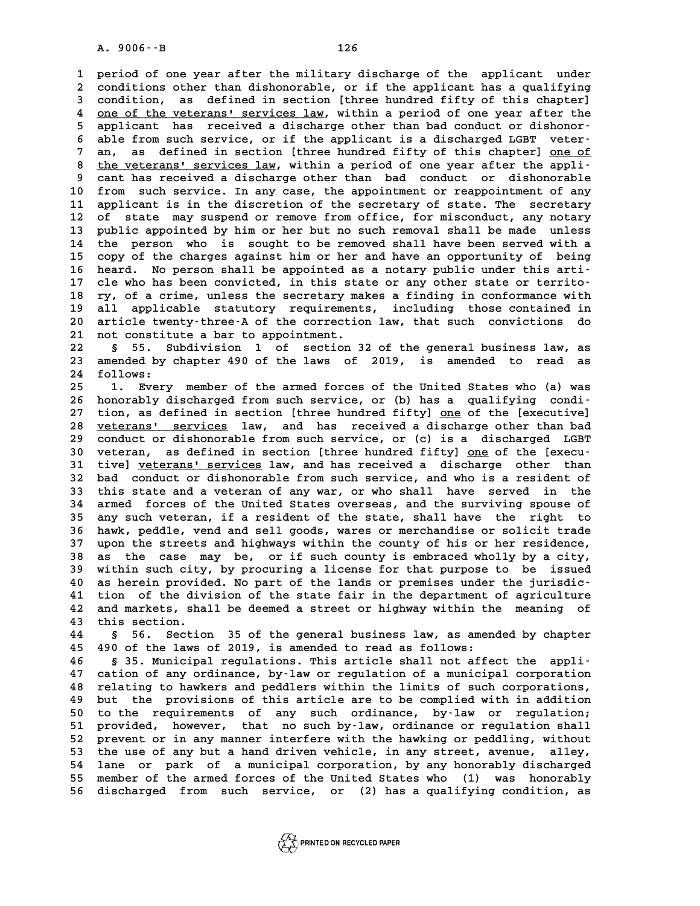A. 9006 --B<br>1 period of one year after the military discharge of the applicant under<br>2 conditions other than disksporable or if the applicant has a gualifying **2** period of one year after the military discharge of the applicant under<br>2 conditions other than dishonorable, or if the applicant has a qualifying<br>3 condition, as defined in section [three bundred fifty of this chanter] 1 period of one year after the military discharge of the applicant under<br>2 conditions other than dishonorable, or if the applicant has a qualifying<br>3 condition, as defined in section [three hundred fifty of this chapter]<br>2 conditions other than dishonorable, or if the applicant has a qualifying<br>3 condition, as defined in section [three hundred fifty of this chapter]<br>4 <u>one of the veterans' services law</u>, within a period of one year after the 3 condition, as defined in section [three hundred fifty of this chapter]<br>
4 <u>one of the veterans' services law</u>, within a period of one year after the<br>
5 applicant has received a discharge other than bad conduct or dishono 4 <u>one of the veterans' services law</u>, within a period of one year after the<br>
5 applicant has received a discharge other than bad conduct or dishonor-<br>
6 able from such service, or if the applicant is a discharged LGBT vet **7** applicant has received a discharge other than bad conduct or dishonor-<br>6 able from such service, or if the applicant is a discharged LGBT veter-<br>7 an, as defined in section [three hundred fifty of this chapter] <u>one of</u> 8 able from such service, or if the applicant is a discharged LGBT veter-<br>7 an, as defined in section [three hundred fifty of this chapter] <u>one of</u><br>8 <u>the veterans' services law</u>, within a period of one year after the app **9 an, as defined in section [three hundred fifty of this chapter] <u>one of</u><br>
<u>the veterans' services law</u>, within a period of one year after the applicant has received a discharge other than bad conduct or dishonorable**<br> 10 **10 form such services 10 m** a period of one year after the appli-<br>
10 from such service. In any case, the appointment or reappointment of any<br>
11 applicant is in the discretion of the secretary of state. The secretary 9 cant has received a discharge other than bad conduct or dishonorable<br>10 from such service. In any case, the appointment or reappointment of any<br>11 applicant is in the discretion of the secretary of state. The secretary<br><sup></sup> 10 from such service. In any case, the appointment or reappointment of any<br>11 applicant is in the discretion of the secretary of state. The secretary<br>12 of state may suspend or remove from office, for misconduct, any notar 11 applicant is in the discretion of the secretary of state. The secretary<br>12 of state may suspend or remove from office, for misconduct, any notary<br>13 public appointed by him or her but no such removal shall be made unles 12 of state may suspend or remove from office, for misconduct, any notary<br>13 public appointed by him or her but no such removal shall be made unless<br>14 the person who is sought to be removed shall have been served with a<br>1 14 the person who is sought to be removed shall have been served with a<br>15 copy of the charges against him or her and have an opportunity of being<br>16 heard. No person shall be appointed as a potary public under this arti-14 the person who is sought to be removed shall have been served with a<br>15 copy of the charges against him or her and have an opportunity of being<br>16 heard. No person shall be appointed as a notary public under this arti-<br> 15 copy of the charges against him or her and have an opportunity of being<br>16 heard. No person shall be appointed as a notary public under this arti-<br>17 cle who has been convicted, in this state or any other state or terri 16 heard. No person shall be appointed as a notary public under this arti-<br>17 cle who has been convicted, in this state or any other state or territo-<br>18 ry, of a crime, unless the secretary makes a finding in conformance 17 cle who has been convicted, in this state or any other state or territo-<br>18 ry, of a crime, unless the secretary makes a finding in conformance with<br>19 all applicable statutory requirements, including those contained in 18 ry, of a crime, unless the secretary makes a finding in conformance with<br>19 all applicable statutory requirements, including those contained in<br>20 article twenty-three-A of the correction law, that such convictions do<br>2 all applicable statutory requirements, including those contained in<br>
20 article twenty-three-A of the correction law, that such convictions do<br>
21 not constitute a bar to appointment.<br>
22 § 55. Subdivision 1 of section 32 20 article twenty-three-A of the correction law, that such convictions do<br>21 not constitute a bar to appointment.<br>22 § 55. Subdivision 1 of section 32 of the general business law, as<br>23 amended by chapter 490 of the laws o

21 not constitute a bar to appointment.<br>22 § 55. Subdivision 1 of section 32 of the general business law, as<br>23 amended by chapter 490 of the laws of 2019, is amended to read as<br>24 follows: 22 § 55. S<br>
23 amended by<br>
24 follows:<br>
25 <sup>1</sup> Exerv 23 amended by chapter 490 of the laws of 2019, is amended to read as<br>24 follows:<br>25 1. Every member of the armed forces of the United States who (a) was<br>26 honorably discharged from such service ar (b) has a gualifying son

24 follows:<br>25 1. Every member of the armed forces of the United States who (a) was<br>26 honorably discharged from such service, or (b) has a qualifying condi-<br>27 tior 23 defined in Section [three burdred fifty] ane of the [ **25 1. Every member of the armed forces of the United States who (a) was<br>26 honorably discharged from such service, or (b) has a qualifying condi-<br>27 tion, as defined in section [three hundred fifty] <u>one</u> of the [executiv** 26 honorably discharged from such service, or (b) has a qualifying condi-<br>27 tion, as defined in section [three hundred fifty] <u>one</u> of the [executive]<br>28 <u>veterans' services</u> law, and has received a discharge other than b 27 tion, as defined in section [three hundred fifty] <u>one</u> of the [executive]<br>28 <u>veterans' services</u> law, and has received a discharge other than bad<br>29 conduct or dishonorable from such service, or (c) is a discharged LG **38 <u>veterans' services</u> law, and has received a discharge other than bad**<br>29 conduct or dishonorable from such service, or (c) is a discharged LGBT<br>30 veteran, as defined in section [three hundred fifty] <u>one</u> of the [exe 29 conduct or dishonorable from such service, or (c) is a discharged LGBT<br>30 veteran, as defined in section [three hundred fifty] <u>one</u> of the [execu-<br>31 tive] <u>veterans' services</u> law, and has received a discharge other t 30 veteran, as defined in section [three hundred fifty] <u>one</u> of the [execu-<br>31 tive] <u>veterans' services</u> law, and has received a discharge other than<br>32 bad conduct or dishonorable from such service, and who is a residen 31 tive] <u>veterans' services</u> law, and has received a discharge other than<br>32 bad conduct or dishonorable from such service, and who is a resident of<br>33 this state and a veteran of any war, or who shall have served in the<br> 32 bad conduct or dishonorable from such service, and who is a resident of<br>33 this state and a veteran of any war, or who shall have served in the<br>34 armed forces of the United States overseas, and the surviving spouse of<br> 33 this state and a veteran of any war, or who shall have served in the<br>34 armed forces of the United States overseas, and the surviving spouse of<br>35 any such veteran, if a resident of the state, shall have the right to<br>26 34 armed forces of the United States overseas, and the surviving spouse of<br>35 any such veteran, if a resident of the state, shall have the right to<br>36 hawk, peddle, vend and sell goods, wares or merchandise or solicit trad **35 any such veteran, if a resident of the state, shall have the right to hawk, peddle, vend and sell goods, wares or merchandise or solicit trade upon the streets and highways within the county of his or her residence, 36 hawk, peddle, vend and sell goods, wares or merchandise or solicit trade**<br>37 upon the streets and highways within the county of his or her residence,<br>38 as the case may be, or if such county is embraced wholly by a cit **37 upon the streets and highways within the county of his or her residence,<br>38 as the case may be, or if such county is embraced wholly by a city,<br>39 within such city, by procuring a license for that purpose to be issued<br> 40 as the case may be, or if such county is embraced wholly by a city,**<br> **40 as herein provided.** No part of the lands or premises under the jurisdic-<br> **41 tion of the division of the state fair in the department of agric** 39 within such city, by procuring a license for that purpose to be issued<br>40 as herein provided. No part of the lands or premises under the jurisdic-<br>41 tion of the division of the state fair in the department of agricultu **40** as herein provided. No part of the lands or premises under the jurisdic-<br>41 tion of the division of the state fair in the department of agriculture<br>42 and markets, shall be deemed a street or highway within the meanin 41 tion of the div<br>42 and markets, sha<br>43 this section.<br><sup>44</sup> 5 55 Section 42 and markets, shall be deemed a street or highway within the meaning of<br>43 this section.<br>44 § 56. Section 35 of the general business law, as amended by chapter<br><sup>45</sup> <sup>490 of the laws of 2019, is amended to read as follows</sup>

43 this section.<br>44 § 56. Section 35 of the general business law, as amended by chapter<br>45 490 of the laws of 2019, is amended to read as follows:<br>46 § 35. Municipal regulations. This article shall not affect the appli-

**46 § 35. Municipal regulations. This article shall not affect the appli-45 490 of the laws of 2019, is amended to read as follows:**<br> **46** § 35. Municipal regulations. This article shall not affect the appli-<br> **47 cation of any ordinance, by-law or regulation of a municipal corporation**<br> **48 P** 8 15. Municipal regulations. This article shall not affect the appli-<br>47 cation of any ordinance, by-law or regulation of a municipal corporation<br>48 relating to hawkers and peddlers within the limits of such corporations,<br> 47 cation of any ordinance, by-law or regulation of a municipal corporation<br>48 relating to hawkers and peddlers within the limits of such corporations,<br>49 but the provisions of this article are to be complied with in addit For the relating to hawkers and peddlers within the limits of such corporations,<br>
49 but the provisions of this article are to be complied with in addition<br>
50 to the requirements of any such ordinance, by-law or regulatio but the provisions of this article are to be complied with in addition<br>50 to the requirements of any such ordinance, by-law or regulation;<br>51 provided, however, that no such by-law, ordinance or regulation shall<br>52 provent 50 to the requirements of any such ordinance, by-law or regulation;<br>51 provided, however, that no such by-law, ordinance or regulation shall<br>52 prevent or in any manner interfere with the hawking or peddling, without<br>53 th 51 provided, however, that no such by-law, ordinance or regulation shall<br>52 prevent or in any manner interfere with the hawking or peddling, without<br>53 the use of any but a hand driven vehicle, in any street, avenue, alley 52 prevent or in any manner interfere with the hawking or peddling, without<br>53 the use of any but a hand driven vehicle, in any street, avenue, alley,<br>54 lane or park of a municipal corporation, by any honorably discharged the use of any but a hand driven vehicle, in any street, avenue, alley,<br>
the arm or park of a municipal corporation, by any honorably discharged<br>
55 member of the armed forces of the United States who (1) was honorably<br>
56 55 member of the armed forces of the United States who (1) was honorably<br>56 discharged from such service, or (2) has a qualifying condition, as

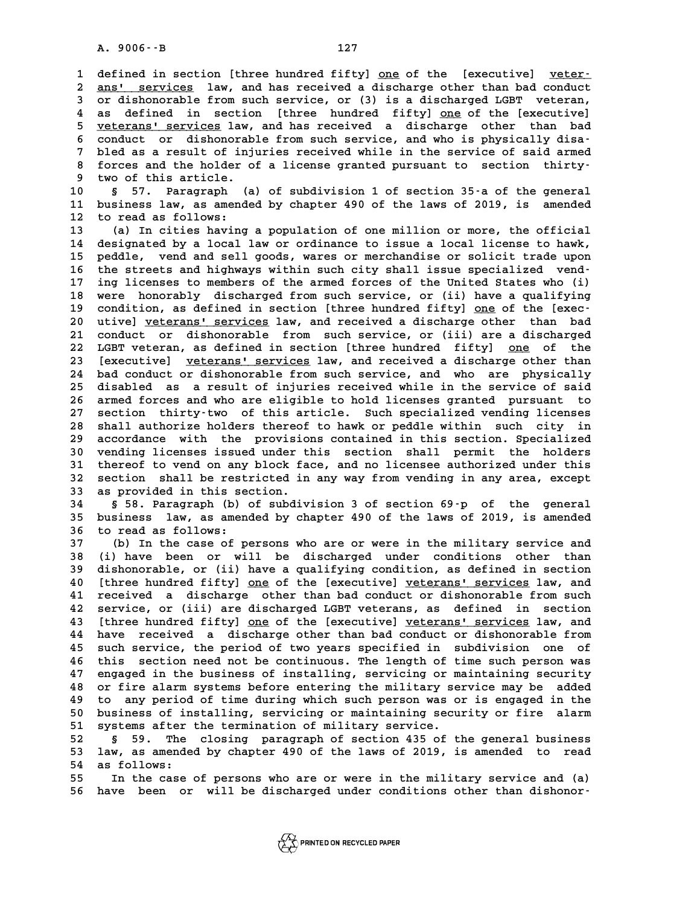**127**<br>**1** defined in section [three hundred fifty] <u>one</u> of the [executive] <u>veter-</u><br>2 angle servises law and bas reseived a dissbarge sther than bad senduate **2** defined in section [three hundred fifty] <u>one</u> of the [executive] <u>veter-</u><br>2 <u>ans' services</u> law, and has received a discharge other than bad conduct<br>3 or disbenerable from such service, or (3) is a discharged LGBT, ve **3** defined in section [three hundred fifty] <u>one</u> of the [executive] <u>veter-</u><br>2 <u>ans' services</u> law, and has received a discharge other than bad conduct<br>3 or dishonorable from such service, or (3) is a discharged LGBT vet **4 ans' services** law, and has received a discharge other than bad conduct<br>
3 or dishonorable from such service, or (3) is a discharged LGBT veteran,<br>
4 as defined in section [three hundred fifty] <u>one</u> of the [executive]<br> 3 or dishonorable from such service, or (3) is a discharged LGBT veteran,<br>4 as defined in section [three hundred fifty] <u>one</u> of the [executive]<br>5 <u>veterans' services</u> law, and has received a discharge other than bad<br>5 ser 4 as defined in section [three hundred fifty] <u>one</u> of the [executive]<br>
5 <u>veterans' services</u> law, and has received a discharge other than bad<br>
6 conduct or dishonorable from such service, and who is physically disa-<br>
<sup>7</sup> 5 **<u>veterans' services</u> law, and has received a discharge other than bad**<br>6 conduct or dishonorable from such service, and who is physically disa-<br>7 bled as a result of injuries received while in the service of said armed<br> 6 conduct or dishonorable from such service, and who is physically disa-<br>
<sup>7</sup> bled as a result of injuries received while in the service of said armed<br>
<sup>8</sup> forces and the holder of a license granted pursuant to section thi 9 bled as a result of inj<br>8 forces and the holder o<br>9 two of this article.<br>0 5 57 **Paragraph** (2

**10 § 57. Paragraph (a) of subdivision 1 of section 35-a of the general** <sup>9</sup> two of this article.<br>
10 § 57. Paragraph (a) of subdivision 1 of section 35-a of the general<br>
11 business law, as amended by chapter 490 of the laws of 2019, is amended<br>
<sup>12</sup> to read as follows: 10 § 57. Paragraph (1<br>11 business law, as amend<br>12 to read as follows:<br><sup>13</sup> (a) In gities baying 11 business law, as amended by chapter 490 of the laws of 2019, is amended<br>12 to read as follows:<br>13 (a) In cities having a population of one million or more, the official<br>14 decimented by a local law or exdigate to issue

12 to read as follows:<br>13 (a) In cities having a population of one million or more, the official<br>14 designated by a local law or ordinance to issue a local license to hawk,<br>15 peddle. vend and sell goods, wares or merchand **15 peddle, vend and sell goods, wares or merchandise or solicit trade upon** 14 designated by a local law or ordinance to issue a local license to hawk,<br>15 peddle, vend and sell goods, wares or merchandise or solicit trade upon<br>16 the streets and highways within such city shall issue specialized ve peddle, vend and sell goods, wares or merchandise or solicit trade upon<br>16 the streets and highways within such city shall issue specialized vend-<br>17 ing licenses to members of the armed forces of the United States who (i) **16** the streets and highways within such city shall issue specialized vend-<br>17 ing licenses to members of the armed forces of the United States who (i)<br>18 were honorably discharged from such service, or (ii) have a qualif 17 ing licenses to members of the armed forces of the United States who (i)<br>18 were honorably discharged from such service, or (ii) have a qualifying<br>19 condition, as defined in section [three hundred fifty] <u>one</u> of the [ **20 18 were honorably discharged from such service, or (ii) have a qualifying<br>
19 condition, as defined in section [three hundred fifty] <u>one</u> of the [exec-<br>
20 utive] <u>veterans' services</u> law, and received a discharge oth** 19 condition, as defined in section [three hundred fifty] <u>one</u> of the [exec-<br>20 utive] <u>veterans' services</u> law, and received a discharge other than bad<br>21 conduct or dishonorable from such service, or (iii) are a dischar 20 utive] <u>veterans' services</u> law, and received a discharge other than bad<br>21 conduct or dishonorable from such service, or (iii) are a discharged<br>22 LGBT veteran, as defined in section [three hundred fifty] <u>one</u> of the<br> 21 conduct or dishonorable from such service, or (iii) are a discharged<br>22 LGBT veteran, as defined in section [three hundred fifty] <u>one</u> of the<br>23 [executive] <u>veterans' services</u> law, and received a discharge other than LGBT veteran, as defined in section [three hundred fifty] <u>one</u> of the<br>23 [executive] <u>veterans' services</u> law, and received a discharge other than<br>24 bad conduct or dishonorable from such service, and who are physically<br>2 23 [executive] <u>veterans' services</u> law, and received a discharge other than<br>24 bad conduct or dishonorable from such service, and who are physically<br>25 disabled as a result of injuries received while in the service of sai 24 bad conduct or dishonorable from such service, and who are physically<br>25 disabled as a result of injuries received while in the service of said<br>26 armed forces and who are eligible to hold licenses granted pursuant to<br>2 25 disabled as a result of injuries received while in the service of said<br>26 armed forces and who are eligible to hold licenses granted pursuant to<br>27 section thirty-two of this article. Such specialized vending licenses<br>2 **28 shall authorize holders thereof to hawk or peddle within such city in** 27 section thirty-two of this article. Such specialized vending licenses<br>28 shall authorize holders thereof to hawk or peddle within such city in<br>29 accordance with the provisions contained in this section. Specialized<br>20 **30 shall authorize holders thereof to hawk or peddle within such city in**<br>29 accordance with the provisions contained in this section. Specialized<br>30 vending licenses issued under this section shall permit the holders<br>31 accordance with the provisions contained in this section. Specialized<br>30 vending licenses issued under this section shall permit the holders<br>31 thereof to vend on any block face, and no licensee authorized under this<br>32 se 30 vending licenses issued under this section shall permit the holders<br>31 thereof to vend on any block face, and no licensee authorized under this<br>32 section shall be restricted in any way from vending in any area, except<br> 31 thereof to vend on any block face, and no licensee authorized under this section shall be restricted in any way from vending in any area, except as provided in this section.<br>34 § 58. Paragraph (b) of subdivision 3 of se **32 section shall be restricted in any way from vending in any area, except**<br>**33 as provided in this section.**<br>**34 § 58. Paragraph (b) of subdivision 3 of section 69-p of the general**<br>**25. huginess law as amended by chante** 

**33 as provided in this section.**<br>**34 § 58. Paragraph (b) of subdivision 3 of section 69-p of the general<br>35 business law, as amended by chapter 490 of the laws of 2019, is amended<br>26 to read as follows: 34 s** 58. Paragraph (b)<br>35 business law, as amen<br>36 to read as follows:<br>37 (b) In the same of D **35 business law, as amended by chapter 490 of the laws of 2019, is amended**<br>36 to read as follows:<br>37 (b) In the case of persons who are or were in the military service and<br>(b) have been ar will be discharged under sendit

**36 to read as follows:**<br> **37** (b) In the case of persons who are or were in the military service and<br> **38** (i) have been or will be discharged under conditions other than<br> **29** discharamable or (ii) have a suplifying sond **37** (b) In the case of persons who are or were in the military service and<br>38 (i) have been or will be discharged under conditions other than<br>39 dishonorable, or (ii) have a qualifying condition, as defined in section<br>40 40 (i) have been or will be discharged under conditions other than<br>
40 dishonorable, or (ii) have a qualifying condition, as defined in section<br>
40 [three hundred fifty] <u>one</u> of the [executive] <u>veterans' services</u> law, a 39 dishonorable, or (ii) have a qualifying condition, as defined in section 40 [three hundred fifty] <u>one</u> of the [executive] <u>veterans' services</u> law, and received a discharge other than bad conduct or dishonorable from s **42 service, or (iii) are discharged LGBT veterans, as defined in section** 41 received a discharge other than bad conduct or dishonorable from such<br>42 service, or (iii) are discharged LGBT veterans, as defined in section<br>43 [three hundred fifty] <u>one</u> of the [executive] <u>veterans' services</u> law, 42 service, or (iii) are discharged LGBT veterans, as defined in section<br>43 [three hundred fifty] <u>one</u> of the [executive] <u>veterans' services</u> law, and<br>44 have received a discharge other than bad conduct or dishonorable f 43 [three hundred fifty] <u>one</u> of the [executive] <u>veterans' services</u> law, and<br>44 have received a discharge other than bad conduct or dishonorable from<br>45 such service, the period of two years specified in subdivision one Ad have received a discharge other than bad conduct or dishonorable from<br>45 such service, the period of two years specified in subdivision one of<br>46 this section need not be continuous. The length of time such person was<br>4 45 such service, the period of two years specified in subdivision one of<br>46 this section need not be continuous. The length of time such person was<br>47 engaged in the business of installing, servicing or maintaining securit **46 this section need not be continuous. The length of time such person was**<br>47 engaged in the business of installing, servicing or maintaining security<br>48 or fire alarm systems before entering the military service may be 47 engaged in the business of installing, servicing or maintaining security<br>48 or fire alarm systems before entering the military service may be added<br>49 to any period of time during which such person was or is engaged in 48 or fire alarm systems before entering the military service may be added<br>49 to any period of time during which such person was or is engaged in the<br>50 business of installing, servicing or maintaining security or fire ala **51 systems after the termination of military service.** 50 business of installing, servicing or maintaining security or fire alarm<br>51 systems after the termination of military service.<br>52 § 59. The closing paragraph of section 435 of the general business<br>53 law as amended by ch

51 systems after the termination of military service.<br>52 § 59. The closing paragraph of section 435 of the general business<br>53 law, as amended by chapter 490 of the laws of 2019, is amended to read<br>54 35 follows: 52 § 59. The<br>53 law, as amende<br>54 as follows:<br>55 The S330 **53 law, as amended by chapter 490 of the laws of 2019, is amended to read<br>54 as follows:**<br>55 In the case of persons who are or were in the military service and (a)<br>56 hours heap or will be discharged under senditions sher

54 as follows:<br>55 In the case of persons who are or were in the military service and (a)<br>56 have been or will be discharged under conditions other than dishonor<sup>.</sup>

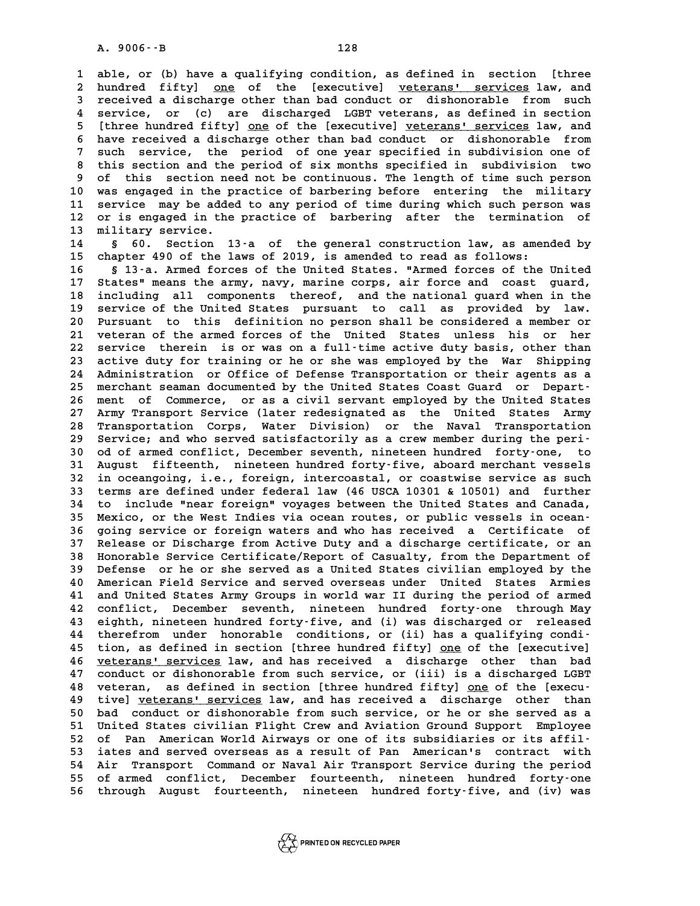**1 able, or (b) have a qualifying condition, as defined in section [three 2** able, or (b) have a qualifying condition, as defined in section [three<br>2 hundred fifty] <u>one</u> of the [executive] <u>veterans' services</u> law, and<br>3 received a discharge other than had conduct or disbonorable from such 2 hundred fifty] <u>one</u> of the [executive] <u>veterans' services</u> law, and<br>3 received a discharge other than bad conduct or dishonorable from such<br>4 service, or (c) are discharged LGBT veterans, as defined in section 2 hundred fifty] <u>one</u> of the [executive] <u>veterans' services</u> law, and<br>3 received a discharge other than bad conduct or dishonorable from such<br>4 service, or (c) are discharged LGBT veterans, as defined in section<br>5 ithree For the discover of the service, or (c) are discharged LGBT veterans, as defined in section<br>4 service, or (c) are discharged LGBT veterans, as defined in section<br>5 [three hundred fifty] <u>one</u> of the [executive] <u>veterans' </u> **6 follow 1 and 1 and 1 and 1 and 1 and 1 and 1 and 1 and 1 and 1 and 1 and 1 and 1 and 1 and 1 and 1 and 1 and 1 and 1 and 1 and 1 and 1 and 1 and 1 and 1 and 1 and 1 and 1 and 1 and 1 and 1 and 1 and 1 and 1 and 1 and 1** <sup>1</sup> 5 (three hundred fifty) <u>one</u> of the [executive] <u>veterans' services</u> law, and<br>
<sup>1</sup> such service, the period of one year specified in subdivision one of<br>
<sup>1</sup> such service, the period of one year specified in subdivisio **8 have received a discharge other than bad conduct or dishonorable from**<br>**8 this section and the period of six months specified in subdivision two**<br>**8 this section and the period of six months specified in subdivision two** 9 such service, the period of one year specified in subdivision one of<br>**9** of this section need not be continuous. The length of time such person<br>10 was engaged in the practice of barbering before entering the military 10 this section and the period of six months specified in subdivision two<br>
10 was engaged in the practice of barbering before entering the military<br>
11 service may be added to any period of time during which such person wa 9 of this section need not be continuous. The length of time such person<br>10 was engaged in the practice of barbering before entering the military<br>11 service may be added to any period of time during which such person was<br>2 10 was engaged in the practice of barbering before entering the military<br>11 service may be added to any period of time during which such person was<br>12 or is engaged in the practice of barbering after the termination of<br><sup>13</sup> 11 service may be added to any period of time during which such person was<br>12 or is engaged in the practice of barbering after the termination of<br>13 military service.<br>14 § 60. Section 13<sup>-</sup>a of the general construction law 12 or is engaged in the practice of barbering after the termination of<br>13 military service.<br>14 § 60. Section 13-a of the general construction law, as amended by<br>15 shantor 480 of the laws of 2018, is amended to read as fol

13 military service.<br>14 § 60. Section 13<sup>-</sup>a of the general construction law, as amend<br>15 chapter 490 of the laws of 2019, is amended to read as follows:<br>16 § 1300 lyred forces of the United States, Wired forces of the

15 chapter 490 of the laws of 2019, is amended to read as follows:<br>16 § 13-a. Armed forces of the United States. "Armed forces of the United<br>17 States" means the army, navy, marine corps, air force and coast quard, **15 chapter 490 of the laws of 2019, is amended to read as follows:**<br>16 § 13-a. Armed forces of the United States. "Armed forces of the United<br>17 States" means the army, navy, marine corps, air force and coast guard,<br>inclu **16 S** 13-a. Armed forces of the United States. "Armed forces of the United<br>17 States" means the army, navy, marine corps, air force and coast guard,<br>18 including all components thereof, and the national guard when in the<br> 17 States" means the army, navy, marine corps, air force and coast guard,<br>18 including all components thereof, and the national guard when in the<br>19 service of the United States pursuant to call as provided by law.<br>20 Burg 18 including all components thereof, and the national guard when in the<br>19 service of the United States pursuant to call as provided by law.<br>20 Pursuant to this definition no person shall be considered a member or<br>21 veter 19 service of the United States pursuant to call as provided by law.<br>20 Pursuant to this definition no person shall be considered a member or<br>21 veteran of the armed forces of the United States unless his or her Pursuant to this definition no person shall be considered a member or<br>21 veteran of the armed forces of the United States unless his or her<br>22 service therein is or was on a full-time active duty basis, other than<br>23 activ 21 veteran of the armed forces of the United States unless his or her<br>22 service therein is or was on a full-time active duty basis, other than<br>23 active duty for training or he or she was employed by the War Shipping<br>24 A 22 service therein is or was on a full-time active duty basis, other than<br>23 active duty for training or he or she was employed by the War Shipping<br>24 Administration or Office of Defense Transportation or their agents as a 23 active duty for training or he or she was employed by the War Shipping<br>
24 Administration or Office of Defense Transportation or their agents as a<br>
25 merchant seaman documented by the United States Coast Guard or Depar 24 Administration or Office of Defense Transportation or their agents as a<br>25 merchant seaman documented by the United States Coast Guard or Depart-<br>26 ment of Commerce, or as a civil servant employed by the United States<br> **27 Army Transport Service (later redesignated as the United States Army 28 Transportation Corps, Water Division) or the Naval Transportation** 27 Army Transport Service (later redesignated as the United States Army<br>28 Transportation Corps, Water Division) or the Naval Transportation<br>29 Service; and who served satisfactorily as a crew member during the peri-<br>20 ed **30 Transportation Corps, Water Division) or the Naval Transportation**<br> **30 Service; and who served satisfactorily as a crew member during the peri-**<br> **30 od of armed conflict, December seventh, nineteen hundred forty-one,** Service; and who served satisfactorily as a crew member during the peri-<br>30 od of armed conflict, December seventh, nineteen hundred forty-one, to<br>31 August fifteenth, nineteen hundred forty-five, aboard merchant vessels<br><sup></sup> 30 od of armed conflict, December seventh, nineteen hundred forty-one, to<br>31 August fifteenth, nineteen hundred forty-five, aboard merchant vessels<br>32 in oceangoing, i.e., foreign, intercoastal, or coastwise service as suc **31 August fifteenth, nineteen hundred forty-five, aboard merchant vessels**<br>32 in oceangoing, i.e., foreign, intercoastal, or coastwise service as such<br>33 terms are defined under federal law (46 USCA 10301 & 10501) and fur 32 in oceangoing, i.e., foreign, intercoastal, or coastwise service as such<br>33 terms are defined under federal law (46 USCA 10301 & 10501) and further<br>34 to include "near foreign" voyages between the United States and Cana 33 terms are defined under federal law (46 USCA 10301 & 10501) and further<br>34 to include "near foreign" voyages between the United States and Canada,<br>35 Mexico, or the West Indies via ocean routes, or public vessels in oce **34 to include "near foreign" voyages between the United States and Canada,<br>35 Mexico, or the West Indies via ocean routes, or public vessels in ocean-<br>36 going service or foreign waters and who has received a Certificate 35 Mexico, or the West Indies via ocean routes, or public vessels in ocean-**<br>36 going service or foreign waters and who has received a Certificate of<br>37 Release or Discharge from Active Duty and a discharge certificate, o **36 going service or foreign waters and who has received a Certificate of Release or Discharge from Active Duty and a discharge certificate, or an Honorable Service Certificate/Report of Casualty, from the Department of \** Release or Discharge from Active Duty and a discharge certificate, or an<br>38 Honorable Service Certificate/Report of Casualty, from the Department of<br>39 Defense or he or she served as a United States civilian employed by th **40 American Field Service Certificate/Report of Casualty, from the Department of Defense or he or she served as a United States civilian employed by the American Field Service and served overseas under United States Armie** 39 Defense or he or she served as a United States civilian employed by the<br>40 American Field Service and served overseas under United States Armies<br>41 and United States Army Groups in world war II during the period of arme **42 conflict, December seventh, nineteen hundred forty-one through May** 41 and United States Army Groups in world war II during the period of armed<br>42 conflict, December seventh, nineteen hundred forty-one through May<br>43 eighth, nineteen hundred forty-five, and (i) was discharged or released<br>4 42 conflict, December seventh, nineteen hundred forty-one through May<br>43 eighth, nineteen hundred forty-five, and (i) was discharged or released<br>44 therefrom under honorable conditions, or (ii) has a qualifying condi-<br><sup>15</sup> 43 eighth, nineteen hundred forty-five, and (i) was discharged or released<br>44 therefrom under honorable conditions, or (ii) has a qualifying condi-<br>45 tion, as defined in section [three hundred fifty] <u>one</u> of the [executi 44 therefrom under honorable conditions, or (ii) has a qualifying condi-<br>45 tion, as defined in section [three hundred fifty] <u>one</u> of the [executive]<br>46 <u>veterans' services</u> law, and has received a discharge other than ba **47 conduct or dishonorable from such service, or (iii) is a discharged LGBT 46 <u>veterans' services</u> law, and has received a discharge other than bad<br>47 conduct or dishonorable from such service, or (iii) is a discharged LGBT<br>48 veteran, as defined in section [three hundred fifty] <u>one</u> of the [ex** conduct or dishonorable from such service, or (iii) is a discharged LGBT<br>48 veteran, as defined in section [three hundred fifty] <u>one</u> of the [execu-<br>49 tive] <u>veterans' services</u> law, and has received a discharge other th **48 veteran, as defined in section [three hundred fifty] <u>one</u> of the [execu-<br>49 tive] <u>veterans' services</u> law, and has received a discharge other than<br>50 bad conduct or dishonorable from such service, or he or she served 51 United States civilian Flight Crew and has received a discharge other than**<br>
50 bad conduct or dishonorable from such service, or he or she served as a<br>
51 United States civilian Flight Crew and Aviation Ground Support 50 bad conduct or dishonorable from such service, or he or she served as a<br>
51 United States civilian Flight Crew and Aviation Ground Support Employee<br>
52 of Pan American World Airways or one of its subsidiaries or its aff 51 United States civilian Flight Crew and Aviation Ground Support Employee<br>52 of Pan American World Airways or one of its subsidiaries or its affil-<br>53 iates and served overseas as a result of Pan American's contract with<br> **54 Air Transport Command or Naval Air Transport Service during the period 55 of armed conflict, December fourteenth, nineteen hundred forty-one 56 through August fourteenth, nineteen hundred forty-five, and (iv) was**

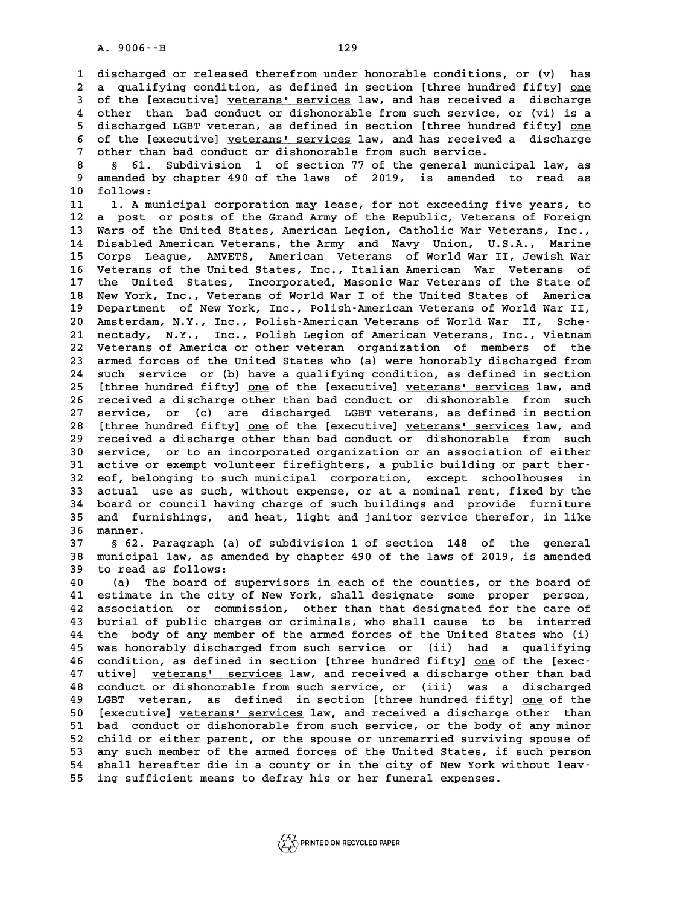**129**<br>**1** discharged or released therefrom under honorable conditions, or (v) has<br>**2** a gualifying condition as defined in section [three hundred fifty] one **2** discharged or released therefrom under honorable conditions, or (v) has<br>2 a qualifying condition, as defined in section [three hundred fifty] <u>one</u><br>3 of the [exequtive] veterans! services law, and has received a discha 1 discharged or released therefrom under honorable conditions, or (v) has<br>2 a qualifying condition, as defined in section [three hundred fifty] <u>one</u><br>3 of the [executive] <u>veterans' services</u> law, and has received a discha 2 a qualifying condition, as defined in section [three hundred fifty] <u>one</u><br>3 of the [executive] <u>veterans' services</u> law, and has received a discharge<br>4 other than bad conduct or dishonorable from such service, or (vi) is 5 of the [executive] <u>veterans' services</u> law, and has received a discharge<br>4 other than bad conduct or dishonorable from such service, or (vi) is a<br>5 discharged LGBT veteran, as defined in section [three hundred fifty] <u>o</u> 4 other than bad conduct or dishonorable from such service, or (vi) is a<br>5 discharged LGBT veteran, as defined in section [three hundred fifty] <u>one</u><br>6 of the [executive] <u>veterans' services</u> law, and has received a discha 5 discharged LGBT veteran, as defined in section [three hundre<br>6 of the [executive] <u>veterans' services</u> law, and has received<br>7 other than bad conduct or dishonorable from such service.<br>8 5 51 Subdivision 1 of section 77 **8 of the [executive] <u>veterans' services</u> law, and has received a discharge<br>
7 other than bad conduct or dishonorable from such service.<br>
8 § 61. Subdivision 1 of section 77 of the general municipal law, as<br>
8 arounded by** 

**9 amended by chapter 490 of the laws of 2019, is amended to read as** 8 **5 61.** S<br>9 amended by<br>10 follows: 9 amended by chapter 490 of the laws of 2019, is amended to read as<br>10 follows:<br>11 1. A municipal corporation may lease, for not exceeding five years, to<br>12 a post or posts of the Crand Army of the Popublic Motorans of For

**10 follows:**<br>**11 1. A municipal corporation may lease, for not exceeding five years, to<br>12 a post or posts of the Grand Army of the Republic, Veterans of Foreign<br>13 Wars of the United States, American Legion, Catholi** 11 1. A municipal corporation may lease, for not exceeding five years, to<br>12 a post or posts of the Grand Army of the Republic, Veterans of Foreign<br>13 Wars of the United States, American Legion, Catholic War Veterans, Inc. 12 a post or posts of the Grand Army of the Republic, Veterans of Foreign<br>13 Wars of the United States, American Legion, Catholic War Veterans, Inc.,<br>14 Disabled American Veterans, the Army and Navy Union, U.S.A., Marine<br>1 13 Wars of the United States, American Legion, Catholic War Veterans, Inc.,<br>14 Disabled American Veterans, the Army and Navy Union, U.S.A., Marine<br>15 Corps League, AMVETS, American Veterans of World War II, Jewish War<br>16 V 13 Wars of the United States, American Legion, Catholic War Veterans, Inc., 14 Disabled American Veterans, the Army and Navy Union, U.S.A., Marine 15 Corps League, AMVETS, American Veterans of World War II, Jewish War 16 V 15 Corps League, AMVETS, American Veterans of World War II, Jewish War<br>16 Veterans of the United States, Inc., Italian American War Veterans of<br>17 the United States, Incorporated, Masonic War Veterans of the State of<br>18 No 16 Veterans of the United States, Inc., Italian American War Veterans of<br>17 the United States, Incorporated, Masonic War Veterans of the State of<br>18 New York, Inc., Veterans of World War I of the United States of America<br>1 **17 the United States, Incorporated, Masonic War Veterans of the State of New York, Inc., Veterans of World War I of the United States of America**<br>19 Department of New York, Inc., Polish-American Veterans of World War II,<br> 18 New York, Inc., Veterans of World War I of the United States of America<br>19 Department of New York, Inc., Polish-American Veterans of World War II,<br>20 Amsterdam, N.Y., Inc., Polish-American Veterans of World War II, Sche 19 Department of New York, Inc., Polish-American Veterans of World War II,<br>20 Amsterdam, N.Y., Inc., Polish-American Veterans of World War II, Sche-<br>21 nectady, N.Y., Inc., Polish Legion of American Veterans, Inc., Vietnam 20 Amsterdam, N.Y., Inc., Polish-American Veterans of World War II, Sche-<br>21 nectady, N.Y., Inc., Polish Legion of American Veterans, Inc., Vietnam<br>22 Veterans of America or other veteran organization of members of the<br><sup>23</sup> 21 nectady, N.Y., Inc., Polish Legion of American Veterans, Inc., Vietnam<br>22 Veterans of America or other veteran organization of members of the<br>23 armed forces of the United States who (a) were honorably discharged from<br>2 22 Veterans of America or other veteran organization of members of the<br>23 armed forces of the United States who (a) were honorably discharged from<br>24 such service or (b) have a qualifying condition, as defined in section<br>2 23 armed forces of the United States who (a) were honorably discharged from<br>24 such service or (b) have a qualifying condition, as defined in section<br>25 [three hundred fifty] <u>one</u> of the [executive] <u>veterans' services</u> l 24 such service or (b) have a qualifying condition, as defined in section<br>25 [three hundred fifty] <u>one</u> of the [executive] <u>veterans' services</u> law, and<br>26 received a discharge other than bad conduct or dishonorable from 25 [three hundred fifty] <u>one</u> of the [executive] <u>veterans' services</u> law, and<br>26 received a discharge other than bad conduct or dishonorable from such<br>27 service, or (c) are discharged LGBT veterans, as defined in sectio 26 received a discharge other than bad conduct or dishonorable from such<br>27 service, or (c) are discharged LGBT veterans, as defined in section<br>28 [three hundred fifty] <u>one</u> of the [executive] <u>veterans' services</u> law, an 27 service, or (c) are discharged LGBT veterans, as defined in section<br>28 [three hundred fifty] <u>one</u> of the [executive] <u>veterans' services</u> law, and<br>29 received a discharge other than bad conduct or dishonorable from suc 18 [three hundred fifty] <u>one</u> of the [executive] <u>veterans' services</u> law, and<br>29 received a discharge other than bad conduct or dishonorable from such<br>30 service, or to an incorporated organization or an association of e 29 received a discharge other than bad conduct or dishonorable from such<br>30 service, or to an incorporated organization or an association of either<br>31 active or exempt volunteer firefighters, a public building or part ther 30 service, or to an incorporated organization or an association of either<br>31 active or exempt volunteer firefighters, a public building or part ther-<br>32 eof, belonging to such municipal corporation, except schoolhouses in **31 active or exempt volunteer firefighters, a public building or part ther-**<br>**32 eof, belonging to such municipal corporation, except schoolhouses in**<br>**33 actual use as such, without expense, or at a nominal rent, fixed b** 32 eof, belonging to such municipal corporation, except schoolhouses in actual use as such, without expense, or at a nominal rent, fixed by the board or council having charge of such buildings and provide furniture and fur 33 actual use as such, without expense, or at a nominal rent, fixed by the<br>34 board or council having charge of such buildings and provide furniture<br>35 and furnishings, and heat, light and janitor service therefor, in like 34 board or c<br>35 and furni<br>36 manner.

**35 and furnishings, and heat, light and janitor service therefor, in like manner.**<br>**37 § 62. Paragraph (a) of subdivision 1 of section 148 of the general**<br>**38 municipal law, as amended by chapter 490 of the laws of 2019, 36 manner.**<br>37 § 62. Paragraph (a) of subdivision 1 of section 148 of the general<br>38 municipal law, as amended by chapter 490 of the laws of 2019, is amended<br>39 to read as follows: **37 562. Paragraph (a)**<br>**38 municipal law, as amen**<br>**39** to read as follows:<br><sup>40</sup> (a) The beard of sup **40 (a) The board of supervisors in each of the laws of 2019, is amended**<br> **40** (a) The board of supervisors in each of the counties, or the board of<br> **41** estimate in the gity of New York, shall designate, some proper per

40 (a) The board of supervisors in each of the counties, or the board of<br>41 estimate in the city of New York, shall designate some proper person,<br>42 association or commission, other than that designated for the care of **42 association or commission, other than that designated for the care of 43 burial of public charges or criminals, who shall cause to be interred** 42 association or commission, other than that designated for the care of<br>43 burial of public charges or criminals, who shall cause to be interred<br>44 the body of any member of the armed forces of the United States who (i)<br>4 A burial of public charges or criminals, who shall cause to be interred<br>
44 the body of any member of the armed forces of the United States who (i)<br>
45 was honorably discharged from such service or (ii) had a qualifying<br>
2 the body of any member of the armed forces of the United States who (i)<br>45 was honorably discharged from such service or (ii) had a qualifying<br>46 condition, as defined in section [three hundred fifty] <u>one</u> of the [exec-<br><sup></sup> **45 was honorably discharged from such service or (ii) had a qualifying<br>46 condition, as defined in section [three hundred fifty] <u>one</u> of the [exec-<br>47 utive] <u>veterans' services</u> law, and received a discharge other than** 46 condition, as defined in section [three hundred fifty] <u>one</u> of the [exec-<br>47 utive] <u>veterans' services</u> law, and received a discharge other than bad<br>48 conduct or dishonorable from such service, or (iii) was a dischar **47 utivel <u>veterans' services</u> law, and received a discharge other than bad<br>48 conduct or dishonorable from such service, or (iii) was a discharged<br>49 LGBT veteran, as defined in section [three hundred fifty] <u>one</u> of the** 48 conduct or dishonorable from such service, or (iii) was a discharged<br>49 LGBT veteran, as defined in section [three hundred fifty] <u>one</u> of the<br>50 [executive] <u>veterans' services</u> law, and received a discharge other than **50 LGBT veteran, as defined in section [three hundred fifty] <u>one</u> of the [executive] <u>veterans' services</u> law, and received a discharge other than bad conduct or dishonorable from such service, or the body of any minor<br>** 50 [executive] <u>veterans' services</u> law, and received a discharge other than<br>51 bad conduct or dishonorable from such service, or the body of any minor<br>52 child or either parent, or the spouse or unremarried surviving spou 51 bad conduct or dishonorable from such service, or the body of any minor<br>52 child or either parent, or the spouse or unremarried surviving spouse of<br>53 any such member of the armed forces of the United States, if such pe 52 child or either parent, or the spouse or unremarried surviving spouse of 53 any such member of the armed forces of the United States, if such person 54 shall hereafter die in a county or in the city of New York without **55 ing sufficient means to defray his or her funeral expenses.**

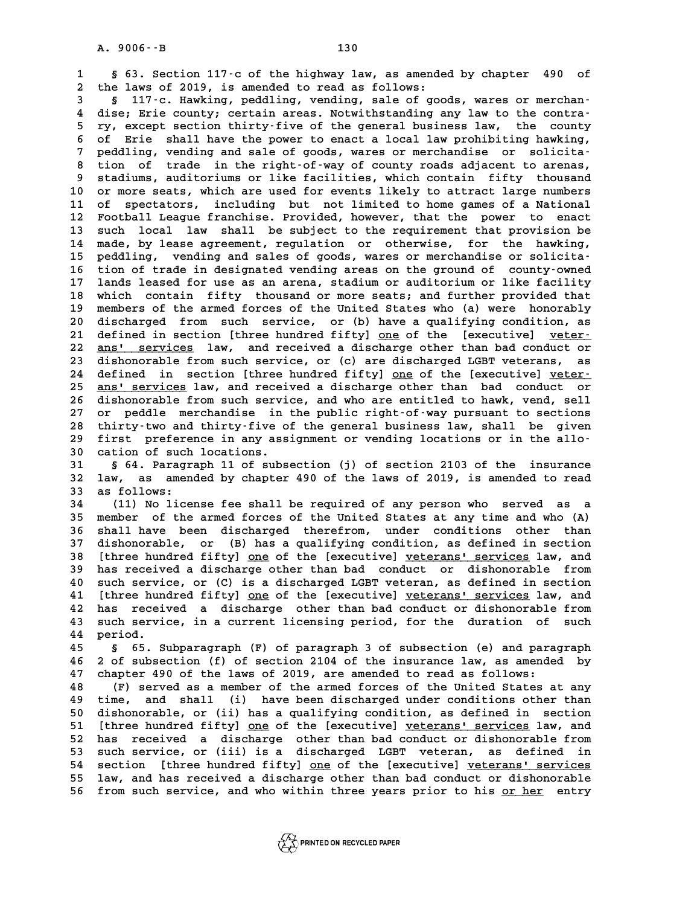**130**<br>**1** § 63. Section 117-c of the highway law, as amended by chapter 490 of<br><sup>2</sup> the law of 2019, is amended to read as follows: **2** 1 S 63. Section 117-c of the highway law, as amended to read as follows:<br>2 the laws of 2019, is amended to read as follows: **8 63. Section 117-c of the highway law, as amended by chapter 490 of<br>
<b>2 the laws of 2019, is amended to read as follows:**<br> **3 8 117-c. Hawking, peddling, vending, sale of goods, wares or merchan-**<br> **4** digo, Frie gount

the laws of 2019, is amended to read as follows:<br> **4 6 117-c.** Hawking, peddling, vending, sale of goods, wares or merchan-<br> **4** dise; Erie county; certain areas. Notwithstanding any law to the contra-<br> **5** ry, except **5 117-c. Hawking, peddling, vending, sale of goods, wares or merchan-**<br>**4 dise; Erie county; certain areas. Notwithstanding any law to the contra-**<br>**5 ry, except section thirty-five of the general business law, the county** 4 dise; Erie county; certain areas. Notwithstanding any law to the contra-<br>
5 ry, except section thirty-five of the general business law, the county<br>
6 of Erie shall have the power to enact a local law prohibiting hawking, **7 per section thirty-five of the general business law, the county<br>
<b>6 G Erie shall have the power to enact a local law prohibiting hawking,<br>
7 peddling, vending and sale of goods, wares or merchandise or solicita-<br>
<sup>1</sup> ti** 8 of Erie shall have the power to enact a local law prohibiting hawking,<br>
8 peddling, vending and sale of goods, wares or merchandise or solicita-<br>
8 tion of trade in the right-of-way of county roads adjacent to arenas,<br>
9 9 peddling, vending and sale of goods, wares or merchandise or solicita-<br>8 tion of trade in the right-of-way of county roads adjacent to arenas,<br>9 stadiums, auditoriums or like facilities, which contain fifty thousand<br>10 o 8 tion of trade in the right-of-way of county roads adjacent to arenas,<br>9 stadiums, auditoriums or like facilities, which contain fifty thousand<br>10 or more seats, which are used for events likely to attract large numbers<br><sup></sup> 9 stadiums, auditoriums or like facilities, which contain fifty thousand<br>10 or more seats, which are used for events likely to attract large numbers<br>11 of spectators, including but not limited to home games of a National<br><sup></sup> 10 or more seats, which are used for events likely to attract large numbers<br>11 of spectators, including but not limited to home games of a National<br>12 Football League franchise. Provided, however, that the power to enact<br>1 11 of spectators, including but not limited to home games of a National<br>12 Football League franchise. Provided, however, that the power to enact<br>13 such local law shall be subject to the requirement that provision be<br>14 ma 12 Football League franchise. Provided, however, that the power to enact<br>13 such local law shall be subject to the requirement that provision be<br>14 made, by lease agreement, regulation or otherwise, for the hawking,<br>15 nod 13 such local law shall be subject to the requirement that provision be<br>14 made, by lease agreement, regulation or otherwise, for the hawking,<br>15 peddling, vending and sales of goods, wares or merchandise or solicita-<br>16 t 14 made, by lease agreement, regulation or otherwise, for the hawking,<br>15 peddling, vending and sales of goods, wares or merchandise or solicita-<br>16 tion of trade in designated vending areas on the ground of county-owned<br>1 15 peddling, vending and sales of goods, wares or merchandise or solicita-<br>16 tion of trade in designated vending areas on the ground of county-owned<br>17 lands leased for use as an arena, stadium or auditorium or like facil 16 tion of trade in designated vending areas on the ground of county-owned<br>17 lands leased for use as an arena, stadium or auditorium or like facility<br>18 which contain fifty thousand or more seats; and further provided tha 17 lands leased for use as an arena, stadium or auditorium or like facility<br>18 which contain fifty thousand or more seats; and further provided that<br>19 members of the armed forces of the United States who (a) were honorabl 18 which contain fifty thousand or more seats; and further provided that<br>19 members of the armed forces of the United States who (a) were honorably<br>20 discharged from such service, or (b) have a qualifying condition, as<br>21 members of the armed forces of the United States who (a) were honorably 20 discharged from such service, or (b) have a qualifying condition, as<br>21 defined in section [three hundred fifty] <u>one</u> of the [executive] <u>veter-</u><br>22 <u>ans' services</u> law, and received a discharge other than bad conduct 21 defined in section [three hundred fifty] <u>one</u> of the [executive] <u>veter-</u><br>22 <u>ans' services</u> law, and received a discharge other than bad conduct or<br>23 dishonorable from such service, or (c) are discharged LGBT veteran 22 <u>ans' services</u> law, and received a discharge other than bad conduct or<br>23 dishonorable from such service, or (c) are discharged LGBT veterans, as<br>24 defined in section [three hundred fifty] <u>one</u> of the [executive] <u>ve</u> dishonorable from such service, or (c) are discharged LGBT veterans, as<br>24 defined in section [three hundred fifty] <u>one</u> of the [executive] <u>veter-</u><br>25 <u>ans' services</u> law, and received a discharge other than bad conduct 24 defined in section [three hundred fifty] <u>one</u> of the [executive] <u>veter-</u><br>25 <u>ans' services</u> law, and received a discharge other than bad conduct or<br>26 dishonorable from such service, and who are entitled to hawk, vend **25 <u>ans' services</u> law, and received a discharge other than bad conduct or dishonorable from such service, and who are entitled to hawk, vend, sell or peddle merchandise in the public right-of-way pursuant to sections**<br>20 26 dishonorable from such service, and who are entitled to hawk, vend, sell<br>27 or peddle merchandise in the public right-of-way pursuant to sections<br>28 thirty-two and thirty-five of the general business law, shall be given 27 or peddle merchandise in the public right-of-way pursuant to sections<br>
28 thirty-two and thirty-five of the general business law, shall be given<br>
29 first preference in any assignment or vending locations or in the allo 28 thirty-two and thirty-five o<br>29 first preference in any ass<br>30 cation of such locations.

**31 \$ 64. Paragraph 11 of subsection (j) of section 2103 of the insurance**<br>**31 \$ 64. Paragraph 11 of subsection (j) of section 2103 of the insurance**<br>**32 law, as amended by chapter 490 of the laws of 2019, is amended to re** 30 cation of such locations.<br>31 § 64. Paragraph 11 of subsection (j) of section 2103 of the insurance<br>32 law, as amended by chapter 490 of the laws of 2019, is amended to read<br><sup>33</sup> <sup>35</sup> follows. **31 5 64. Paragr.**<br> **32 law, as amen.**<br> **33 as follows:**<br> **34** (11) No lige **32 law, as amended by chapter 490 of the laws of 2019, is amended to read<br>33 as follows:**<br>(11) No license fee shall be required of any person who served as a<br>35 member of the armed forces of the United States at any time

**33 as follows:**<br> **34** (11) No license fee shall be required of any person who served as a<br> **35 member of the armed forces of the United States at any time and who (A)**<br> **26 shall bays been discharged therefrom** under sond **34** (11) No license fee shall be required of any person who served as a<br>35 member of the armed forces of the United States at any time and who (A)<br>36 shall have been discharged therefrom, under conditions other than 35 member of the armed forces of the United States at any time and who (A)<br>36 shall have been discharged therefrom, under conditions other than<br>37 dishonorable, or (B) has a qualifying condition, as defined in section<br><sup>38</sup> 36 shall have been discharged therefrom, under conditions other than<br>37 dishonorable, or (B) has a qualifying condition, as defined in section<br>38 [three hundred fifty] <u>one</u> of the [executive] <u>veterans' services</u> law, and **37 dishonorable, or (B) has a qualifying condition, as defined in section**<br>**38 [three hundred fifty]** <u>one</u> of the [executive] <u>veterans' services</u> law, and<br>**39 has received a discharge other than bad conduct or dishonora 40 such service, or (C) is a discharged LGBT veteran, as defined in section** 39 has received a discharge other than bad conduct or dishonorable from<br>40 such service, or (C) is a discharged LGBT veteran, as defined in section<br>41 [three hundred fifty] <u>one</u> of the [executive] <u>veterans' services</u> law 40 such service, or (C) is a discharged LGBT veteran, as defined in section<br>41 [three hundred fifty] <u>one</u> of the [executive] <u>veterans' services</u> law, and<br>42 has received a discharge other than bad conduct or dishonorable 41 [three hundred fifty] <u>one</u> of the [executive] <u>veterans' services</u> law, and<br>42 has received a discharge other than bad conduct or dishonorable from<br>43 such service, in a current licensing period, for the duration of su **42** has recei<br>**43** such servi<br>**44** period.<br>45 65 0 93 such service, in a current licensing period, for the duration of such<br>44 period.<br>**65. Subparagraph (F)** of paragraph 3 of subsection (e) and paragraph<br>46 2 of subsection (f) of section 2104 of the insurance law, as amen

**44 period.**<br>45 § 65. Subparagraph (F) of paragraph 3 of subsection (e) and paragraph<br>46 2 of subsection (f) of section 2104 of the insurance law, as amended by<br>47 shantor 480 of the laws of 2018, are amended to read as fo 45 S 65. Subparagraph (F) of paragraph 3 of subsection (e) and para<br>46 2 of subsection (f) of section 2104 of the insurance law, as amende<br>47 chapter 490 of the laws of 2019, are amended to read as follows:<br><sup>48</sup> (F) sexued

46 2 of subsection (f) of section 2104 of the insurance law, as amended by<br>47 chapter 490 of the laws of 2019, are amended to read as follows:<br>48 (F) served as a member of the armed forces of the United States at any<br>49 ti **49 time, and shall (i) have been discharged under conditions other than 48** (F) served as a member of the armed forces of the United States at any<br>**49 time, and shall (i) have been discharged under conditions other than**<br>50 dishonorable, or (ii) has a qualifying condition, as defined in secti 49 time, and shall (i) have been discharged under conditions other than<br>50 dishonorable, or (ii) has a qualifying condition, as defined in section<br>51 [three hundred fifty] <u>one</u> of the [executive] <u>veterans' services</u> law, 50 dishonorable, or (ii) has a qualifying condition, as defined in section<br>51 [three hundred fifty] <u>one</u> of the [executive] <u>veterans' services</u> law, and<br>52 has received a discharge other than bad conduct or dishonorable 51 [three hundred fifty] <u>one</u> of the [executive] <u>veterans' services</u> law, and<br>52 has received a discharge other than bad conduct or dishonorable from<br>53 such service, or (iii) is a discharged LGBT veteran, as defined in<br> 52 has received a discharge other than bad conduct or dishonorable from<br>53 such service, or (iii) is a discharged LGBT veteran, as defined in<br>54 section [three hundred fifty] <u>one</u> of the [executive] <u>veterans' services</u><br>5 53 such service, or (iii) is a discharged LGBT veteran, as defined in<br>54 section [three hundred fifty] <u>one</u> of the [executive] <u>veterans' services</u><br>55 law, and has received a discharge other than bad conduct or dishonorab 54 section [three hundred fifty] <u>one</u> of the [executive] <u>veterans' services</u><br>55 law, and has received a discharge other than bad conduct or dishonorable<br>56 from such service, and who within three years prior to his <u>or h</u>

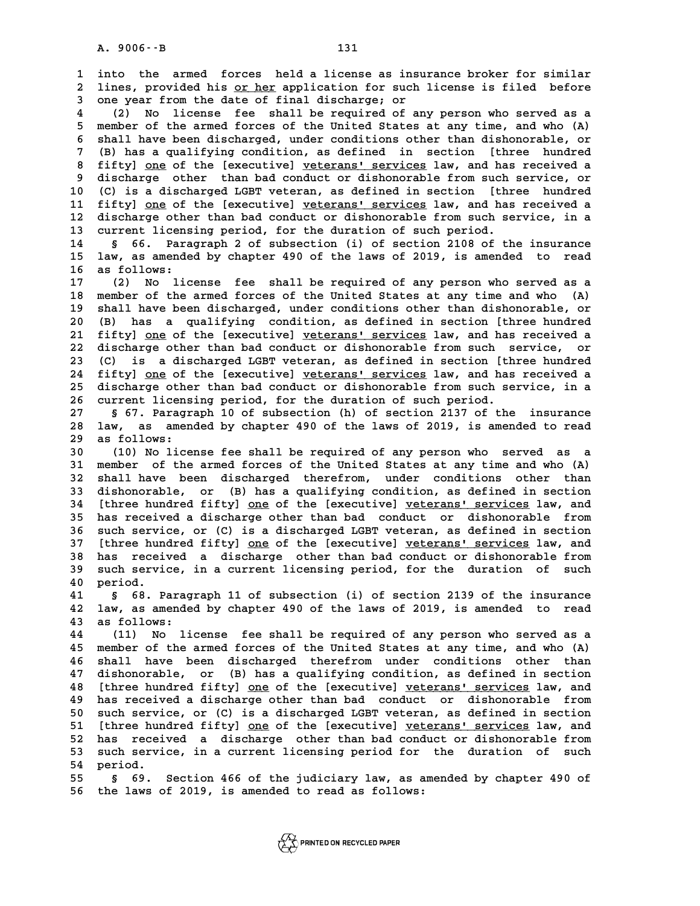**1 into the armed forces held a license as insurance broker for similar** 1 into the armed forces held a license as insurance broker for similar<br>2 lines, provided his <u>or her</u> application for such license is filed before<br>3 one year from the date of final discharge: or 1 into the armed forces held a license as insu<br>2 lines, provided his <u>or her</u> application for such<br>3 one year from the date of final discharge; or<br>4 (2) No ligense for shall be required of any

2 lines, provided his <u>or her</u> application for such license is filed before<br>3 one year from the date of final discharge; or<br>4 (2) No license fee shall be required of any person who served as a<br>5 member of the armed forces **5** one year from the date of final discharge; or<br> **5** member of the armed forces of the United States at any time, and who (A)<br> **5** member of the armed forces of the United States at any time, and who (A) **6 6 shall be required of any person who served as a**<br>**6 shall have been discharged, under conditions other than dishonorable, or**<br>**6 shall have been discharged, under conditions other than dishonorable, or** 5 member of the armed forces of the United States at any time, and who (A)<br>6 shall have been discharged, under conditions other than dishonorable, or<br>7 (B) has a qualifying condition, as defined in section [three hundred<br>6 8 shall have been discharged, under conditions other than dishonorable, or<br>
8 (B) has a qualifying condition, as defined in section [three hundred<br>
8 fifty] <u>one</u> of the [executive] <u>veterans' services</u> law, and has receiv 9 (B) has a qualifying condition, as defined in section [three hundred 8 fifty] <u>one</u> of the [executive] <u>veterans' services</u> law, and has received a discharge other than bad conduct or dishonorable from such service, or ( **10 (C) is a discharged LGBT veteran, as defined in section [three hundred** 9 discharge other than bad conduct or dishonorable from such service, or<br>10 (C) is a discharged LGBT veteran, as defined in section [three hundred<br>11 fifty] <u>one</u> of the [executive] <u>veterans' services</u> law, and has receiv 10 (C) is a discharged LGBT veteran, as defined in section [three hundred<br>11 fifty] <u>one</u> of the [executive] <u>veterans' services</u> law, and has received a<br>12 discharge other than bad conduct or dishonorable from such servic 11 fifty] <u>one</u> of the [executive] <u>veterans' services</u> law, and has received a<br>12 discharge other than bad conduct or dishonorable from such service, in a<br>13 current licensing period, for the duration of such period.<br>14 § 12 discharge other than bad conduct or dishonorable from such service, in a<br>13 current licensing period, for the duration of such period.<br>14 § 66. Paragraph 2 of subsection (i) of section 2108 of the insurance<br>15 law 25 ar

13 current licensing period, for the duration of such period.<br>14 § 66. Paragraph 2 of subsection (i) of section 2108 of the insurance<br>15 law, as amended by chapter 490 of the laws of 2019, is amended to read<br>16 20 follows: **14 § 66. Para**<br>**15 law, as amende**<br>**16 as follows:**<br><sup>17</sup> (2) No lig **15 law, as amended by chapter 490 of the laws of 2019, is amended to read<br>16 as follows:**<br>17 (2) No license fee shall be required of any person who served as a<br>18 member of the armed forces of the United States at any tim

16 as follows:<br>17 (2) No license fee shall be required of any person who served as a<br>18 member of the armed forces of the United States at any time and who (A)<br>19 shall have been discharged, under conditions other than dis **17** (2) No license fee shall be required of any person who served as a<br>18 member of the armed forces of the United States at any time and who (A)<br>19 shall have been discharged, under conditions other than dishonorable, or 18 member of the armed forces of the United States at any time and who (A)<br>19 shall have been discharged, under conditions other than dishonorable, or<br>20 (B) has a qualifying condition, as defined in section [three hundred **20** shall have been discharged, under conditions other than dishonorable, or<br>20 (B) has a qualifying condition, as defined in section [three hundred<br>21 fifty] <u>one</u> of the [executive] <u>veterans' services</u> law, and has rec **20** (B) has a qualifying condition, as defined in section [three hundred<br>21 fifty] <u>one</u> of the [executive] <u>veterans' services</u> law, and has received a<br>22 discharge other than bad conduct or dishonorable from such servic 21 fifty] <u>one</u> of the [executive] <u>veterans' services</u> law, and has received a<br>22 discharge other than bad conduct or dishonorable from such service, or<br>23 (C) is a discharged LGBT veteran, as defined in section [three hu 22 discharge other than bad conduct or dishonorable from such service, or<br>23 (C) is a discharged LGBT veteran, as defined in section [three hundred<br>24 fifty] <u>one</u> of the [executive] <u>veterans' services</u> law, and has recei 23 (C) is a discharged LGBT veteran, as defined in section [three hundred<br>24 fifty] <u>one</u> of the [executive] <u>veterans' services</u> law, and has received a<br>25 discharge other than bad conduct or dishonorable from such servic 24 fifty] <u>one</u> of the [executive] <u>veterans' services</u> law, and has<br>25 discharge other than bad conduct or dishonorable from such se<br>26 current licensing period, for the duration of such period.<br>27 5.57 Personable of subs 25 discharge other than bad conduct or dishonorable from such service, in a<br>26 current licensing period, for the duration of such period.<br>27 § 67. Paragraph 10 of subsection (h) of section 2137 of the insurance<br>28 law, as

26 current licensing period, for the duration of such period.<br>27 § 67. Paragraph 10 of subsection (h) of section 2137 of the insurance<br>28 law, as amended by chapter 490 of the laws of 2019, is amended to read<br>29 35 follows 27 § 67. Paragr<br>28 law, as amen<br>29 as follows:<br><sup>20</sup> (10) No ligo **30 law, as amended by chapter 490 of the laws of 2019, is amended to read<br>29 as follows:**<br>30 (10) No license fee shall be required of any person who served as a<br>31 member of the armed forges of the United States at any ti

**31 member of the armed forces of the United States at any time and who (A) 30** (10) No license fee shall be required of any person who served as a<br>31 member of the armed forces of the United States at any time and who (A)<br>32 shall have been discharged therefrom, under conditions other than<br>33 di 31 member of the armed forces of the United States at any time and who (A)<br>32 shall have been discharged therefrom, under conditions other than<br>33 dishonorable, or (B) has a qualifying condition, as defined in section<br><sup>34</sup> 32 shall have been discharged therefrom, under conditions other than<br>33 dishonorable, or (B) has a qualifying condition, as defined in section<br>34 [three hundred fifty] <u>one</u> of the [executive] <u>veterans' services</u> law, and **33 dishonorable, or (B) has a qualifying condition, as defined in section**<br>**34 [three hundred fifty]** <u>one</u> of the [executive] <u>veterans' services</u> law, and<br>**35 has received a discharge other than bad conduct or dishonora 34 [three hundred fifty] <u>one</u> of the [executive] veterans' services law, and<br>35 has received a discharge other than bad conduct or dishonorable from<br>36 such service, or (C) is a discharged LGBT veteran, as defined in sec 35** has received a discharge other than bad conduct or dishonorable from<br>36 such service, or (C) is a discharged LGBT veteran, as defined in section<br>37 [three hundred fifty] <u>one</u> of the [executive] <u>veterans' services</u> l 36 such service, or (C) is a discharged LGBT veteran, as defined in section<br>37 [three hundred fifty] <u>one</u> of the [executive] <u>veterans' services</u> law, and<br>38 has received a discharge other than bad conduct or dishonorable 37 [three hundred fifty] <u>one</u> of the [executive] <u>veterans' services</u> law, and<br>38 has received a discharge other than bad conduct or dishonorable from<br>39 such service, in a current licensing period, for the duration of su 38 has received a discharge other than bad conduct or dishonorable from<br>39 such service, in a current licensing period, for the duration of such<br>40 period.<br>**41** § 68. Paragraph 11 of subsection (i) of section 2139 of the i

**41 § 68. Paragraph 11 of subsection (i) of section 2139 of the insurance 40 period.**<br>41 § 68. Paragraph 11 of subsection (i) of section 2139 of the insurance<br>42 law, as amended by chapter 490 of the laws of 2019, is amended to read<br>43 as follows: **41** § 68. Parag<br>**42 law, as amende**<br>**43 as follows:**<br>*44* (11) No li **42 law, as amended by chapter 490 of the laws of 2019, is amended to read<br>43 as follows:**<br>44 (11) No license fee shall be required of any person who served as a<br>45 member of the armod forces of the United States at any ti

**43 as follows:**<br>**44** (11) No license fee shall be required of any person who served as a<br>45 member of the armed forces of the United States at any time, and who (A)<br>46 shall bars been discharged therefrom under senditions **44** (11) No license fee shall be required of any person who served as a<br>45 member of the armed forces of the United States at any time, and who (A)<br>46 shall have been discharged therefrom under conditions other than 45 member of the armed forces of the United States at any time, and who (A)<br>46 shall have been discharged therefrom under conditions other than<br>47 dishonorable, or (B) has a qualifying condition, as defined in section<br>18 i 46 shall have been discharged therefrom under conditions other than<br>47 dishonorable, or (B) has a qualifying condition, as defined in section<br>48 [three hundred fifty] <u>one</u> of the [executive] <u>veterans' services</u> law, and<br> **47 dishonorable, or (B) has a qualifying condition, as defined in section**<br>48 [three hundred fifty] <u>one</u> of the [executive] <u>veterans' services</u> law, and<br>49 has received a discharge other than bad conduct or dishonorable 48 [three hundred fifty] <u>one</u> of the [executive] <u>veterans' services</u> law, and<br>49 has received a discharge other than bad conduct or dishonorable from<br>50 such service, or (C) is a discharged LGBT veteran, as defined in se A has received a discharge other than bad conduct or dishonorable from<br>50 such service, or (C) is a discharged LGBT veteran, as defined in section<br>51 [three hundred fifty] <u>one</u> of the [executive] <u>veterans' services</u> law, 50 such service, or (C) is a discharged LGBT veteran, as defined in section<br>51 [three hundred fifty] <u>one</u> of the [executive] <u>veterans' services</u> law, and<br>52 has received a discharge other than bad conduct or dishonorable 51 [three hundred fifty] <u>one</u> of the [executive] <u>veterans' services</u> law, and<br>52 has received a discharge other than bad conduct or dishonorable from<br>53 such service, in a current licensing period for the duration of suc 52 has received a discharge other than bad conduct or dishonorable from<br>53 such service, in a current licensing period for the duration of such<br>54 period.<br>55 \$ 69. Section 466 of the judiciary law, as amended by chapter 49

**55 § 69. Section 466 of the judiciary law, as amended by chapter 490 of 56 the laws of 2019, is amended to read as follows:**

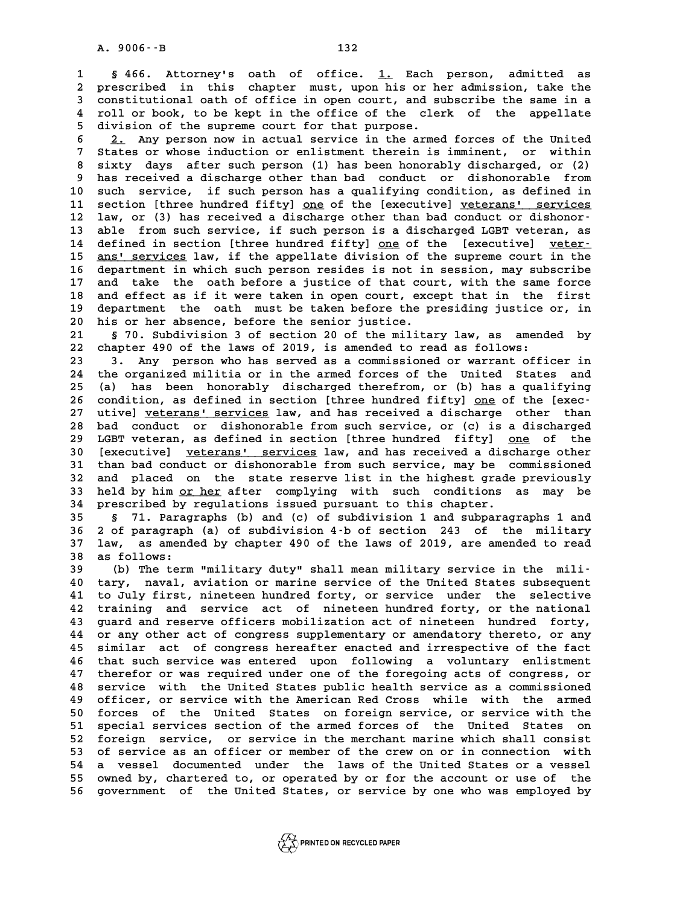**132**<br> **1 § 466. Attorney's oath of office. <u>1.</u> Each person, admitted as<br>
<sup>2</sup> proscribed in this shapter must upon his or ber admission take the 2** 1 5 466. Attorney's oath of office. <u>1.</u> Each person, admitted as<br>2 prescribed in this chapter must, upon his or her admission, take the<br>3 constitutional oath of office in open court, and subscribe the same in a **8 466. Attorney's oath of office. <u>1</u>. Each person, admitted as<br>2 prescribed in this chapter must, upon his or her admission, take the<br>3 constitutional oath of office in open court, and subscribe the same in a<br>4 roll or b** 2 prescribed in this chapter must, upon his or her admission, take the<br>3 constitutional oath of office in open court, and subscribe the same in a<br>4 roll or book, to be kept in the office of the clerk of the appellate<br>5 div 3 constitutional oath of office in open court, and s<br>4 roll or book, to be kept in the office of the cle<br>5 division of the supreme court for that purpose. **6 2. Any person now in actual service of the clerk of the appellate<br>
<b>6 2.** Any person now in actual service in the armed forces of the United<br> **6 2.** Any person now in actual service in the armed forces of the United<br> **8** 

<sup>5</sup> division of the supreme court for that purpose.<br>
<sup>6</sup> 2. Any person now in actual service in the armed forces of the United<br>
<sup>7</sup> States or whose induction or enlistment therein is imminent, or within<br>
<sup>8</sup> sittle days of 8 **8 8 3.** Any person now in actual service in the armed forces of the United<br>
8 sixty days after such person (1) has been honorably discharged, or (2)<br>
8 has resolved a discharge other than had conduct or disbonarable fro 9 **States or whose induction or enlistment therein is imminent, or within**<br>8 sixty days after such person (1) has been honorably discharged, or (2)<br>9 has received a discharge other than bad conduct or dishonorable from<br>9 s 8 sixty days after such person (1) has been honorably discharged, or (2)<br>9 has received a discharge other than bad conduct or dishonorable from<br>10 such service, if such person has a qualifying condition, as defined in<br>11 s 9 has received a discharge other than bad conduct or dishonorable from<br>10 such service, if such person has a qualifying condition, as defined in<br>11 section [three hundred fifty] <u>one</u> of the [executive] <u>veterans' services</u> 10 such service, if such person has a qualifying condition, as defined in<br>
11 section [three hundred fifty] <u>one</u> of the [executive] <u>veterans' services</u><br>
12 law, or (3) has received a discharge other than bad conduct or d 11 section [three hundred fifty] <u>one</u> of the [executive] <u>veterans' services</u><br>12 law, or (3) has received a discharge other than bad conduct or dishonor-<br>13 able from such service, if such person is a discharged LGBT vete 13 able from such service, if such person is a discharged LGBT veteran, as<br>14 defined in section [three hundred fifty] <u>one</u> of the [executive] <u>veter-</u><br>15 ans' services law, if the appellate division of the supreme court **15 <u>ans' services</u> law, if the appellate division of the supreme court in the 16 department in which such person resides is not in session, may subscribe 14 defined in section [three hundred fifty] <u>one</u> of the [executive] <u>veter-</u><br>15 <u>ans' services</u> law, if the appellate division of the supreme court in the<br>16 department in which such person resides is not in session, may 15 ans' services law, if the appellate division of the supreme court in the department in which such person resides is not in session, may subscribe and take the oath before a justice of that court, with the same force**<br>1 **16 department in which such person resides is not in session, may subscribe**<br>17 and take the oath before a justice of that court, with the same force<br>18 and effect as if it were taken in open court, except that in the fir 17 and take the oath before a justice of that court, with the same force 18 and effect as if it were taken in open court, except that in the first department the oath must be taken before the presiding justice or, in his o 20 and effect as if it were taken in open court, except that in the first<br>
20 department the oath must be taken before the presiding justice or, in<br>
20 his or her absence, before the senior justice.<br>
21 § 70. Subdivision 3 **20 department the oath must be taken before the presiding justice or, in**<br>20 his or her absence, before the senior justice.<br>21 § 70. Subdivision 3 of section 20 of the military law, as amended by<br>22 chapter 490 of the law

20 his or her absence, before the senior justice.<br>
21 § 70. Subdivision 3 of section 20 of the military law, as amend<br>
22 chapter 490 of the laws of 2019, is amended to read as follows:<br>
23 <sup>3</sup> Any person who has served as 8 70. Subdivision 3 of section 20 of the military law, as amended by<br>22 chapter 490 of the laws of 2019, is amended to read as follows:<br>23 3. Any person who has served as a commissioned or warrant officer in<br>24 the organiz

22 chapter 490 of the laws of 2019, is amended to read as follows:<br>23 3. Any person who has served as a commissioned or warrant officer in<br>24 the organized militia or in the armed forces of the United States and<br>25 (a) has **23 3. Any person who has served as a commissioned or warrant officer in**<br>24 the organized militia or in the armed forces of the United States and<br>25 (a) has been honorably discharged therefrom, or (b) has a qualifying<br>26 24 the organized militia or in the armed forces of the United States and<br>25 (a) has been honorably discharged therefrom, or (b) has a qualifying<br>26 condition, as defined in section [three hundred fifty] <u>one</u> of the [exec-25 (a) has been honorably discharged therefrom, or (b) has a qualifying<br>26 condition, as defined in section [three hundred fifty] <u>one</u> of the [exec-<br>27 utive] <u>veterans' services</u> law, and has received a discharge other t 26 condition, as defined in section [three hundred fifty] <u>one</u> of the [exec-<br>27 utive] <u>veterans' services</u> law, and has received a discharge other than<br>28 bad conduct or dishonorable from such service, or (c) is a discha 27 utive] <u>veterans' services</u> law, and has received a discharge other than<br>28 bad conduct or dishonorable from such service, or (c) is a discharged<br>29 LGBT veteran, as defined in section [three hundred fifty] <u>one</u> of the **38 bad conduct or dishonorable from such service, or (c) is a discharged<br>
<b>29 LGBT veteran, as defined in section [three hundred fifty]** <u>one</u> of the<br> **30 [executive]** <u>veterans' services</u> law, and has received a discharg **139 LGBT veteran, as defined in section [three hundred fifty] <u>one</u> of the<br>
30 [executive] <u>veterans' services</u> law, and has received a discharge other<br>
31 than bad conduct or dishonorable from such service, may be commis 30 [executive]** <u>veterans' services</u> law, and has received a discharge other<br>31 than bad conduct or dishonorable from such service, may be commissioned<br>32 and placed on the state reserve list in the highest grade previous 31 than bad conduct or dishonorable from such service, may be commissioned<br>32 and placed on the state reserve list in the highest grade previously<br>33 held by him <u>or her</u> after complying with such conditions as may be<br>34 p 32 and placed on the state reserve list in the highest grade previously<br>33 held by him <u>or her</u> after complying with such conditions as may be<br>34 prescribed by regulations issued pursuant to this chapter.<br>35 § 71. Paragrap

**35 § 71. Paragraphs (b) and (c) of subdivision 1 and subparagraphs 1 and 34 prescribed by regulations issued pursuant to this chapter.**<br> **35 § 71. Paragraphs (b) and (c) of subdivision 1 and subparagraphs 1 and**<br> **36 2 of paragraph (a) of subdivision 4-b of section 243 of the military**<br> **37 la 35 5 71. Paragraphs (b) and (c) of subdivision 1 and subparagraphs 1 and 36 2 of paragraph (a) of subdivision 4-b of section 243 of the military 1aw, as amended by chapter 490 of the laws of 2019, are amended to read<br>28 36 2 of paragraph**<br> **37 law, as amend**<br> **38 as follows:**<br> **39** (b) The term **37 law, as amended by chapter 490 of the laws of 2019, are amended to read<br>
<b>38 as follows:**<br>
(b) The term "military duty" shall mean military service in the mili-<br>
10 tary 10 pays) aviation or marino service of the Unite

**40 as follows:**<br> **40 (b) The term "military duty" shall mean military service in the mili-<br>
<b>40 tary, naval, aviation or marine service of the United States subsequent**<br> **41 to July first, pineteen bundred forty, or servi 40** (b) The term "military duty" shall mean military service in the mili-<br>40 tary, naval, aviation or marine service of the United States subsequent<br>41 to July first, nineteen hundred forty, or service under the selective **40 tary, naval, aviation or marine service of the United States subsequent**<br>**41 to July first, nineteen hundred forty, or service under the selective**<br>**42 training and service act of nineteen hundred forty, or the nationa** 41 to July first, nineteen hundred forty, or service under the selective<br>42 training and service act of nineteen hundred forty, or the national<br>43 guard and reserve officers mobilization act of nineteen hundred forty,<br>44 o 42 training and service act of nineteen hundred forty, or the national<br>43 guard and reserve officers mobilization act of nineteen hundred forty,<br>44 or any other act of congress supplementary or amendatory thereto, or any<br>4 43 guard and reserve officers mobilization act of nineteen hundred forty,<br>44 or any other act of congress supplementary or amendatory thereto, or any<br>45 similar act of congress hereafter enacted and irrespective of the fac 44 or any other act of congress supplementary or amendatory thereto, or any<br>45 similar act of congress hereafter enacted and irrespective of the fact<br>46 that such service was entered upon following a voluntary enlistment<br>4 45 similar act of congress hereafter enacted and irrespective of the fact<br>46 that such service was entered upon following a voluntary enlistment<br>47 therefor or was required under one of the foregoing acts of congress, or<br>4 46 that such service was entered upon following a voluntary enlistment<br>47 therefor or was required under one of the foregoing acts of congress, or<br>48 service with the United States public health service as a commissioned<br>4 47 therefor or was required under one of the foregoing acts of congress, or<br>48 service with the United States public health service as a commissioned<br>49 officer, or service with the American Red Cross while with the armed<br> **50 forces of the United States on foreign service, or service with the 51** special service with the American Red Cross while with the armed forces of the United States on foreign service, or service with the special services section of the armed forces of the United States on foreign service 50 forces of the United States on foreign service, or service with the<br>51 special services section of the armed forces of the United States on<br>52 foreign service, or service in the merchant marine which shall consist<br>53 of 51 special services section of the armed forces of the United States on<br>52 foreign service, or service in the merchant marine which shall consist<br>53 of service as an officer or member of the crew on or in connection with<br>5 52 foreign service, or service in the merchant marine which shall consist<br>53 of service as an officer or member of the crew on or in connection with<br>54 a vessel documented under the laws of the United States or a vessel<br>55 53 of service as an officer or member of the crew on or in connection with<br>54 a vessel documented under the laws of the United States or a vessel<br>55 owned by, chartered to, or operated by or for the account or use of the<br>5 54 a vessel documented under the laws of the United States or a vessel<br>55 owned by, chartered to, or operated by or for the account or use of the<br>56 government of the United States, or service by one who was employed by

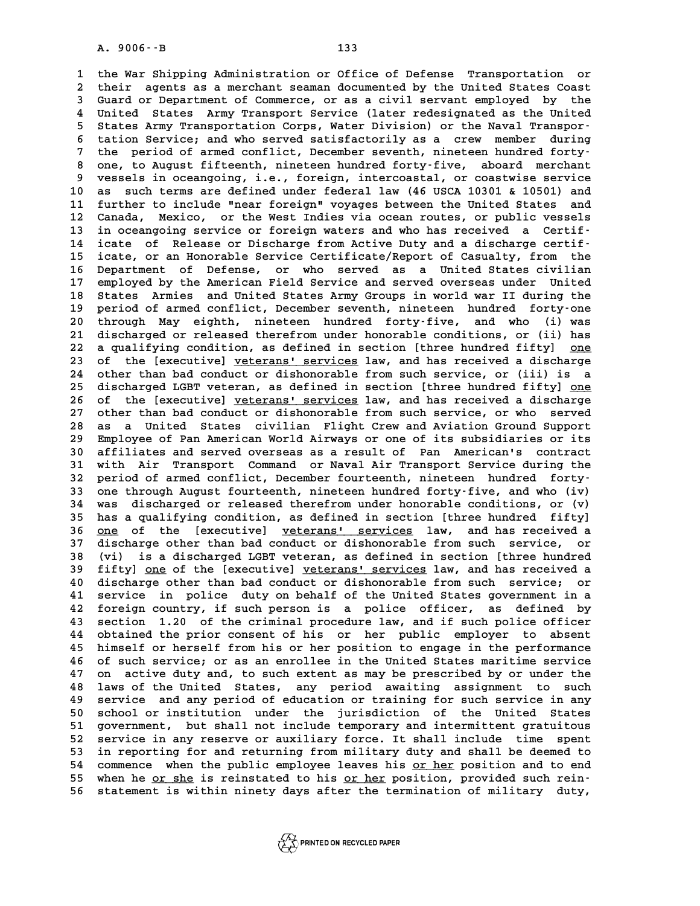**1 the War Shipping Administration or Office of Defense Transportation or** 1 the War Shipping Administration or Office of Defense Transportation or<br>2 their agents as a merchant seaman documented by the United States Coast<br>3 Guard or Pepartment of Commerce or 35 a givil servant employed by the 1 the War Shipping Administration or Office of Defense Transportation or<br>2 their agents as a merchant seaman documented by the United States Coast<br>3 Guard or Department of Commerce, or as a civil servant employed by the<br>4 their agents as a merchant seaman documented by the United States Coast<br>3 Guard or Department of Commerce, or as a civil servant employed by the<br>4 United States Army Transport Service (later redesignated as the United<br>5 St 5 States Coast 3 Guard or Department of Commerce, or as a civil servant employed by the United States Army Transport Service (later redesignated as the United States Army Transport Service (later redesignated as the United 4 United States Army Transport Service (later redesignated as the United<br>5 States Army Transportation Corps, Water Division) or the Naval Transpor-<br>6 tation Service; and who served satisfactorily as a crew member during<br>th **7 the period of armed conflict, December seventh, nineteen hundred forty-**8 tation Service; and who served satisfactorily as a crew member during<br>
8 the period of armed conflict, December seventh, nineteen hundred forty-<br>
8 one, to August fifteenth, nineteen hundred forty-five, aboard merchant<br> **9 vessels in oceangoing, i.e., foreign, intercoastal, or coastwise service** 8 one, to August fifteenth, nineteen hundred forty-five, aboard merchant<br>9 vessels in oceangoing, i.e., foreign, intercoastal, or coastwise service<br>10 as such terms are defined under federal law (46 USCA 10301 & 10501) and 9 vessels in oceangoing, i.e., foreign, intercoastal, or coastwise service<br>10 as such terms are defined under federal law (46 USCA 10301 & 10501) and<br>11 further to include "near foreign" voyages between the United States a **10 as such terms are defined under federal law (46 USCA 10301 & 10501) and<br>11 further to include "near foreign" voyages between the United States and<br>12 Canada, Mexico, or the West Indies via ocean routes, or public vesse** 11 further to include "near foreign" voyages between the United States and<br>
12 Canada, Mexico, or the West Indies via ocean routes, or public vessels<br>
13 in oceangoing service or foreign waters and who has received a Certi 12 Canada, Mexico, or the West Indies via ocean routes, or public vessels<br>
13 in oceangoing service or foreign waters and who has received a Certif-<br>
14 icate of Release or Discharge from Active Duty and a discharge certif 13 in oceangoing service or foreign waters and who has received a Certif-<br>14 icate of Release or Discharge from Active Duty and a discharge certif-<br>15 icate, or an Honorable Service Certificate/Report of Casualty, from the 14 icate of Release or Discharge from Active Duty and a discharge certif-<br>15 icate, or an Honorable Service Certificate/Report of Casualty, from the<br>16 Department of Defense, or who served as a United States civilian<br>27 em 15 icate, or an Honorable Service Certificate/Report of Casualty, from the<br>16 Department of Defense, or who served as a United States civilian<br>17 employed by the American Field Service and served overseas under United<br>18 S 16 Department of Defense, or who served as a United States civilian<br>17 employed by the American Field Service and served overseas under United<br>18 States Armies and United States Army Groups in world war II during the<br>porti 17 employed by the American Field Service and served overseas under United<br>18 States Armies and United States Army Groups in world war II during the<br>19 period of armed conflict, December seventh, nineteen hundred forty-one 18 States Armies and United States Army Groups in world war II during the<br>19 period of armed conflict, December seventh, nineteen hundred forty-one<br>20 through May eighth, nineteen hundred forty-five, and who (i) was<br>21 dis period of armed conflict, December seventh, nineteen hundred forty-one through May eighth, nineteen hundred forty-five, and who (i) was<br>21 discharged or released therefrom under honorable conditions, or (ii) has<br>22 a qualifying condition, as defined in section [three hundred fifty] <u>one</u><br>23 o 21 discharged or released therefrom under honorable conditions, or (ii) has<br>22 a qualifying condition, as defined in section [three hundred fifty] <u>one</u><br>23 of the [executive] <u>veterans' services</u> law, and has received a di 22 a qualifying condition, as defined in section [three hundred fifty] <u>one</u><br>23 of the [executive] <u>veterans' services</u> law, and has received a discharge<br>24 other than bad conduct or dishonorable from such service, or (iii 23 of the [executive] <u>veterans' services</u> law, and has received a discharge<br>24 other than bad conduct or dishonorable from such service, or (iii) is a<br>25 discharged LGBT veteran, as defined in section [three hundred fifty 24 other than bad conduct or dishonorable from such service, or (iii) is a<br>25 discharged LGBT veteran, as defined in section [three hundred fifty] <u>one</u><br>26 of the [executive] <u>veterans' services</u> law, and has received a di 25 discharged LGBT veteran, as defined in section [three hundred fifty] <u>one</u><br>26 of the [executive] <u>veterans' services</u> law, and has received a discharge<br>27 other than bad conduct or dishonorable from such service, or who 26 of the [executive] <u>veterans' services</u> law, and has received a discharge<br>27 other than bad conduct or dishonorable from such service, or who served<br>28 as a United States civilian Flight Crew and Aviation Ground Support 27 other than bad conduct or dishonorable from such service, or who served<br>28 as a United States civilian Flight Crew and Aviation Ground Support<br>29 Employee of Pan American World Airways or one of its subsidiaries or its<br> 28 as a United States civilian Flight Crew and Aviation Ground Support<br>29 Employee of Pan American World Airways or one of its subsidiaries or its<br>30 affiliates and served overseas as a result of Pan American's contract<br>31 **29 Employee of Pan American World Airways or one of its subsidiaries or its<br>30 affiliates and served overseas as a result of Pan American's contract<br>31 with Air Transport Command or Naval Air Transport Service during the<br>** 30 affiliates and served overseas as a result of Pan American's contract<br>
31 with Air Transport Command or Naval Air Transport Service during the<br>
32 period of armed conflict, December fourteenth, nineteen hundred forty-<br> 31 with Air Transport Command or Naval Air Transport Service during the<br>32 period of armed conflict, December fourteenth, nineteen hundred forty-<br>33 one through August fourteenth, nineteen hundred forty-five, and who (iv)<br> 32 period of armed conflict, December fourteenth, nineteen hundred forty-<br>33 one through August fourteenth, nineteen hundred forty-five, and who (iv)<br>34 was discharged or released therefrom under honorable conditions, or ( 33 one through August fourteenth, nineteen hundred forty-five, and who (iv)<br>34 was discharged or released therefrom under honorable conditions, or (v)<br>35 has a qualifying condition, as defined in section [three hundred fif **34 was discharged or released therefrom under honorable conditions, or (v)**<br>35 has a qualifying condition, as defined in section [three hundred fifty]<br>36 <u>one</u> of the [executive] <u>veterans' services</u> law, and has received **35 has a qualifying condition, as defined in section [three hundred fifty]**<br>36 <u>one</u> of the [executive] <u>veterans' services</u> law, and has received a<br>37 discharge other than bad conduct or dishonorable from such service, o **36 <u>one</u> of the [executive] <u>veterans' services</u> law, and has received a<br>37 discharge other than bad conduct or dishonorable from such service, or<br>38 (vi) is a discharged LGBT veteran, as defined in section [three hundred** 37 discharge other than bad conduct or dishonorable from such service, or<br>38 (vi) is a discharged LGBT veteran, as defined in section [three hundred<br>39 fifty] <u>one</u> of the [executive] <u>veterans' services</u> law, and has rece **40 40 discharged CGBT veteran, as defined in section [three hundred**<br>**40 discharge other than bad conduct or dishonorable from such service; or**<br>**40 discharge other than bad conduct or dishonorable from such service; or**<br> 39 fifty] <u>one</u> of the [executive] <u>veterans' services</u> law, and has received a 40 discharge other than bad conduct or dishonorable from such service; or 41 service in police duty on behalf of the United States government **40 discharge other than bad conduct or dishonorable from such service; or service in police duty on behalf of the United States government in a foreign country, if such person is a police officer, as defined by**<br>**42 forei** 41 service in police duty on behalf of the United States government in a<br>42 foreign country, if such person is a police officer, as defined by<br>43 section 1.20 of the criminal procedure law, and if such police officer<br>44 ob 42 foreign country, if such person is a police officer, as defined by<br>43 section 1.20 of the criminal procedure law, and if such police officer<br>44 obtained the prior consent of his or her public employer to absent<br><sup>45</sup> him 43 section 1.20 of the criminal procedure law, and if such police officer<br>44 obtained the prior consent of his or her public employer to absent<br>45 himself or herself from his or her position to engage in the performance<br>46 44 obtained the prior consent of his or her public employer to absent<br>45 himself or herself from his or her position to engage in the performance<br>46 of such service; or as an enrollee in the United States maritime service<br> 45 himself or herself from his or her position to engage in the performance<br>46 of such service; or as an enrollee in the United States maritime service<br>47 on active duty and, to such extent as may be prescribed by or under 46 of such service; or as an enrollee in the United States maritime service<br>47 on active duty and, to such extent as may be prescribed by or under the<br>48 laws of the United States, any period awaiting assignment to such<br>49 47 on active duty and, to such extent as may be prescribed by or under the<br>48 laws of the United States, any period awaiting assignment to such<br>49 service and any period of education or training for such service in any<br>50 18 laws of the United States, any period awaiting assignment to such<br>
49 service and any period of education or training for such service in any<br>
50 school or institution under the jurisdiction of the United States<br>
51 sev **50 service and any period of education or training for such service in any school or institution under the jurisdiction of the United States government, but shall not include temporary and intermittent gratuitous**<br>52 serv 50 school or institution under the jurisdiction of the United States<br>51 government, but shall not include temporary and intermittent gratuitous<br>52 service in any reserve or auxiliary force. It shall include time spent<br>53 i 51 government, but shall not include temporary and intermittent gratuitous<br>52 service in any reserve or auxiliary force. It shall include time spent<br>53 in reporting for and returning from military duty and shall be deemed 52 service in any reserve or auxiliary force. It shall include time spent<br>53 in reporting for and returning from military duty and shall be deemed to<br>54 commence when the public employee leaves his <u>or her</u> position and to 53 in reporting for and returning from military duty and shall be deemed to<br>54 commence when the public employee leaves his <u>or her</u> position and to end<br>55 when he <u>or she</u> is reinstated to his <u>or her</u> position, provided



55 when he <u>or she</u> is reinstated to his <u>or her</u> position, provided such rein-<br>56 statement is within ninety days after the termination of military duty,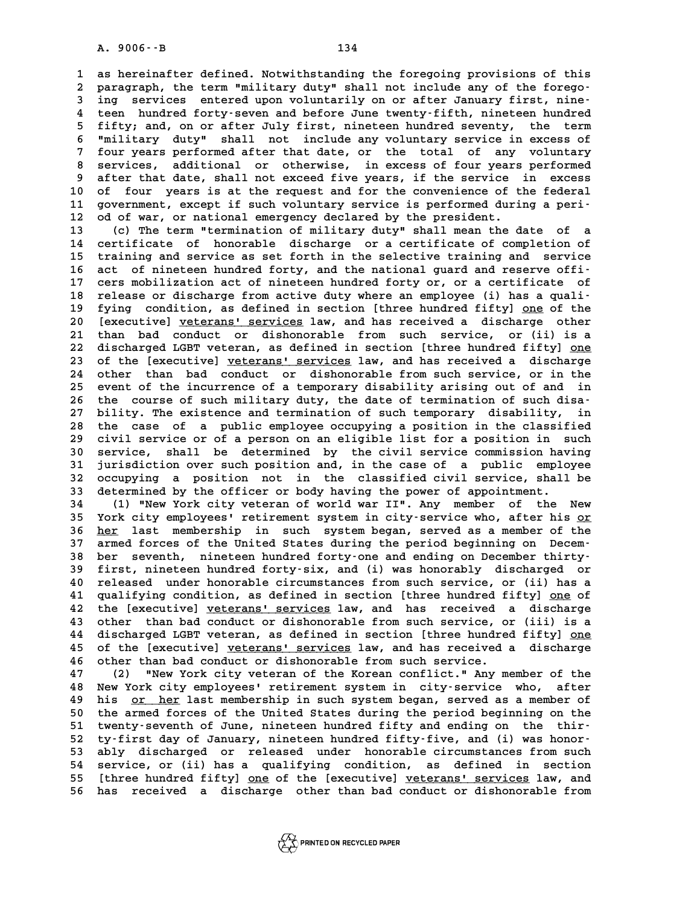**1 as hereinafter defined. Notwithstanding the foregoing provisions of this** 1 as hereinafter defined. Notwithstanding the foregoing provisions of this<br>2 paragraph, the term "military duty" shall not include any of the forego-<br><sup>3</sup> ing services, entered upon voluntarily on or after January first, ni 1 as hereinafter defined. Notwithstanding the foregoing provisions of this<br>2 paragraph, the term "military duty" shall not include any of the forego-<br>3 ing services entered upon voluntarily on or after January first, nine-2 paragraph, the term "military duty" shall not include any of the forego-<br>3 ing services entered upon voluntarily on or after January first, nine-<br>4 teen hundred forty-seven and before June twenty-fifth, nineteen hundred<br> **5 ing services entered upon voluntarily on or after January first, nine-**<br>4 teen hundred forty-seven and before June twenty-fifth, nineteen hundred<br>5 fifty; and, on or after July first, nineteen hundred seventy, the term<br> **6 "military duty" shall not include any voluntary service in excess of** 5 fifty; and, on or after July first, nineteen hundred seventy, the term<br>6 "military duty" shall not include any voluntary service in excess of<br>7 four years performed after that date, or the total of any voluntary<br>8 servic **8 "military duty" shall not include any voluntary service in excess of<br>
7 four years performed after that date, or the total of any voluntary<br>
8 services, additional or otherwise, in excess of four years performed<br>
1 afte** 9 **19 and 19 after that date, or the total of any voluntary**<br>**9 services, additional or otherwise, in excess of four years performed**<br>**9 after that date, shall not exceed five years, if the service in excess**<br>**10 of four y** 8 services, additional or otherwise, in excess of four years performed<br>
9 after that date, shall not exceed five years, if the service in excess<br>
10 of four years is at the request and for the convenience of the federal<br>
1 9 after that date, shall not exceed five years, if the service in excess<br>10 of four years is at the request and for the convenience of the federal<br>11 government, except if such voluntary service is performed during a peri-10 of four years is at the request and for the convenience of the government, except if such voluntary service is performed durimination of the president.<br>12 od of war, or national emergency declared by the president.

11 government, except if such voluntary service is performed during a peri-<br>12 od of war, or national emergency declared by the president.<br>13 (c) The term "termination of military duty" shall mean the date of a<br>14 certific 12 od of war, or national emergency declared by the president.<br>
13 (c) The term "termination of military duty" shall mean the date of a<br>
14 certificate of honorable discharge or a certificate of completion of<br>
15 training 13 (c) The term "termination of military duty" shall mean the date of a<br>14 certificate of honorable discharge or a certificate of completion of<br>15 training and service as set forth in the selective training and service<br>16 14 certificate of honorable discharge or a certificate of completion of<br>15 training and service as set forth in the selective training and service<br>16 act of nineteen hundred forty, and the national guard and reserve offi-<br> 15 training and service as set forth in the selective training and service<br>16 act of nineteen hundred forty, and the national guard and reserve offi-<br>17 cers mobilization act of nineteen hundred forty or, or a certificate 16 act of nineteen hundred forty, and the national guard and reserve offi-<br>17 cers mobilization act of nineteen hundred forty or, or a certificate of<br>18 release or discharge from active duty where an employee (i) has a qua 17 cers mobilization act of nineteen hundred forty or, or a certificate of<br>18 release or discharge from active duty where an employee (i) has a quali-<br>19 fying condition, as defined in section [three hundred fifty] <u>one</u> o 18 release or discharge from active duty where an employee (i) has a quali-<br>19 fying condition, as defined in section [three hundred fifty] <u>one</u> of the<br>20 [executive] <u>veterans' services</u> law, and has received a discharge 19 fying condition, as defined in section [three hundred fifty] <u>one</u> of the<br>20 [executive] <u>veterans' services</u> law, and has received a discharge other<br>21 than bad conduct or dishonorable from such service, or (ii) is a<br>2 It are the section of the section of the section of the section of the section of the section  $22$  discharged LGBT veteran, as defined in section [three hundred fifty] one<br>22 discharged LGBT veteran, as defined in section 21 than bad conduct or dishonorable from such service, or (ii) is a<br>22 discharged LGBT veteran, as defined in section [three hundred fifty] <u>one</u><br>23 of the [executive] <u>veterans' services</u> law, and has received a discharge 22 discharged LGBT veteran, as defined in section [three hundred fifty] <u>one</u><br>23 of the [executive] <u>veterans' services</u> law, and has received a discharge<br>24 other than bad conduct or dishonorable from such service, or in 23 of the [executive] <u>veterans' services</u> law, and has received a discharge<br>24 other than bad conduct or dishonorable from such service, or in the<br>25 event of the incurrence of a temporary disability arising out of and in 24 other than bad conduct or dishonorable from such service, or in the<br>
25 event of the incurrence of a temporary disability arising out of and in<br>
26 the course of such military duty, the date of termination of such disa-25 event of the incurrence of a temporary disability arising out of and in<br>26 the course of such military duty, the date of termination of such disa-<br>27 bility. The existence and termination of such temporary disability, i 26 the course of such military duty, the date of termination of such disa-<br>27 bility. The existence and termination of such temporary disability, in<br>28 the case of a public employee occupying a position in the classified<br>2 27 bility. The existence and termination of such temporary disability, in<br>28 the case of a public employee occupying a position in the classified<br>29 civil service or of a person on an eligible list for a position in such<br>2 28 the case of a public employee occupying a position in the classified<br>29 civil service or of a person on an eligible list for a position in such<br>30 service, shall be determined by the civil service commission having<br><sup>31</sup> 29 civil service or of a person on an eligible list for a position in such<br>30 service, shall be determined by the civil service commission having<br>31 jurisdiction over such position and, in the case of a public employee<br>22 30 service, shall be determined by the civil service commission having<br>31 jurisdiction over such position and, in the case of a public employee<br>32 occupying a position not in the classified civil service, shall be<br>33 deter 31 jurisdiction over such position and, in the case of a public employ occupying a position not in the classified civil service, shall<br>33 determined by the officer or body having the power of appointment.<br><sup>34</sup> (1) Wey York

32 occupying a position not in the classified civil service, shall be<br>33 determined by the officer or body having the power of appointment.<br>34 (1) "New York city veteran of world war II". Any member of the New<br>35 York city 33 determined by the officer or body having the power of appointment.<br>34 (1) "New York city veteran of world war II". Any member of the New<br>35 York city employees' retirement system in city-service who, after his <u>or</u><br>26 h **34** (1) "New York city veteran of world war II". Any member of the New York city employees' retirement system in city-service who, after his <u>or</u> 16 her last membership in such system began, served as a member of the prin **35 York city employees' retirement system in city service who, after his or her last membership in such system began, served as a member of the armed forces of the United States during the period beginning on Decem-<br>
<b>SPA** 36 <u>her</u> last membership in such system began, served as a member of the armed forces of the United States during the period beginning on December seventh, nineteen hundred forty-one and ending on December thirty-<br> **39** fi **37** armed forces of the United States during the period beginning on Decem-<br>38 ber seventh, nineteen hundred forty-one and ending on December thirty-<br>39 first, nineteen hundred forty-six, and (i) was honorably discharged **40 degree 10 released under the metally conditional service conditions in the service, or (ii) has a**<br>40 released under honorable circumstances from such service, or (ii) has a<br>41 gualifying condition as defined in sectio 39 first, nineteen hundred forty-six, and (i) was honorably discharged or<br>40 released under honorable circumstances from such service, or (ii) has a<br>41 qualifying condition, as defined in section [three hundred fifty] <u>one</u> 40 released under honorable circumstances from such service, or (ii) has a<br>41 qualifying condition, as defined in section [three hundred fifty] <u>one</u> of<br>42 the [executive] <u>veterans' services</u> law, and has received a disch 41 qualifying condition, as defined in section [three hundred fifty] <u>one</u> of<br>42 the [executive] <u>veterans' services</u> law, and has received a discharge<br>43 other than bad conduct or dishonorable from such service, or (iii) 42 the [executive] <u>veterans' services</u> law, and has received a discharge<br>43 other than bad conduct or dishonorable from such service, or (iii) is a<br>44 discharged LGBT veteran, as defined in section [three hundred fifty] <u></u> 43 other than bad conduct or dishonorable from such service, or (iii) is a<br>44 discharged LGBT veteran, as defined in section [three hundred fifty] <u>one</u><br>45 of the [executive] veterans' services law, and has received a disc **44 discharged LGBT veteran, as defined in section [three hundre**<br>45 of the [executive] <u>veterans' services</u> law, and has received<br>46 other than bad conduct or dishonorable from such service.<br>47 (2) Wery York gity yeteran 45 of the [executive] <u>veterans' services</u> law, and has received a discharge<br>46 other than bad conduct or dishonorable from such service.<br>47 (2) "New York city veteran of the Korean conflict." Any member of the<br>48 New York

**46 other than bad conduct or dishonorable from such service.**<br> **47** (2) "New York city veteran of the Korean conflict." Any member of the<br> **48 New York city employees' retirement system in city-service who, after**<br> **19 bi** 47 (2) "New York city veteran of the Korean conflict." Any member of the<br>48 New York city employees' retirement system in city-service who, after<br>49 his <u>or her</u> last membership in such system began, served as a member of<br> **50 New York city employees' retirement system in city-service who, after**<br>**49 his <u>or her</u> last membership in such system began, served as a member of<br>50 the armed forces of the United States during the period beginning o** 49 his <u>or her</u> last membership in such system began, served as a member of<br>50 the armed forces of the United States during the period beginning on the<br>51 twenty-seventh of June, nineteen hundred fifty and ending on the th 50 the armed forces of the United States during the period beginning on the thir-<br>51 twenty-seventh of June, nineteen hundred fifty and ending on the thir-<br>52 ty-first day of January, nineteen hundred fifty-five, and (i) w 51 twenty-seventh of June, nineteen hundred fifty and ending on the thir-<br>52 ty-first day of January, nineteen hundred fifty-five, and (i) was honor-<br>53 ably discharged or released under honorable circumstances from such<br>5 52 ty-first day of January, nineteen hundred fifty-five, and (i) was honor-<br>53 ably discharged or released under honorable circumstances from such<br>54 service, or (ii) has a qualifying condition, as defined in section<br>55 it 53 ably discharged or released under honorable circumstances from such<br>54 service, or (ii) has a qualifying condition, as defined in section<br>55 [three hundred fifty] <u>one</u> of the [executive] <u>veterans' services</u> law, and<br>5 54 service, or (ii) has a qualifying condition, as defined in section<br>55 [three hundred fifty] <u>one</u> of the [executive] <u>veterans' services</u> law, and<br>56 has received a discharge other than bad conduct or dishonorable from

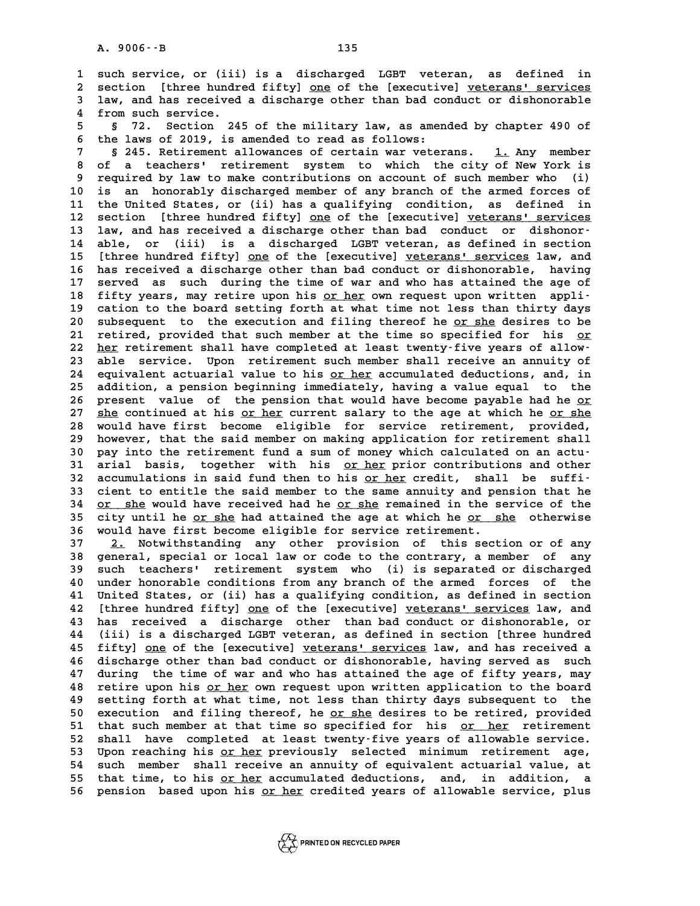**1 such service, or (iii) is a discharged LGBT veteran, as defined in 2** such service, or (iii) is a discharged LGBT veteran, as defined in<br>2 section [three hundred fifty] <u>one</u> of the [executive] <u>veterans' services</u><br>3 law, and has received a discharge other than had conduct or disbonorabl **3** such service, or (iii) is a discharged LGBT veteran, as defined in<br>2 section [three hundred fifty] <u>one</u> of the [executive] <u>veterans' services</u><br>3 law, and has received a discharge other than bad conduct or dishonorabl 2 section [three hundred fifty] <u>one</u> of the [executive] <u>veterans' services</u><br>3 law, and has received a discharge other than bad conduct or dishonorable<br>4 from such service.<br>5 8 72. Section 245 of the military law, as amen

**5 1 aw, and has received a discharge other than bad conduct or dishonorable**<br>**5 § 72.** Section 245 of the military law, as amended by chapter 490 of<br>**6** the laws of 2019, is amended to read as follows: 4 from such service.<br>
5 § 72. Section 245 of the military law, as amen<br>
6 the laws of 2019, is amended to read as follows:<br>
7 § 245 Botirowship llowsness of sertin war weter **8** 72. Section 245 of the military law, as amended by chapter 490 of<br> **6** the laws of 2019, is amended to read as follows:<br> **8** 245. Retirement allowances of certain war veterans. <u>1.</u> Any member<br> **8** 25. Any processes in

8 245. Retirement allowances of certain war veterans. 1. Any member<br>8 of a teachers' retirement system to which the city of New York is<br>9 required by law to make contributions on account of such member who (i) **9 required by law to make contributions on account of such member who (i)** 8 of a teachers' retirement system to which the city of New York is<br>9 required by law to make contributions on account of such member who (i)<br>10 is an honorably discharged member of any branch of the armed forces of<br>11 the 9 required by law to make contributions on account of such member who (i)<br>10 is an honorably discharged member of any branch of the armed forces of<br>11 the United States, or (ii) has a qualifying condition, as defined in<br>12 10 is an honorably discharged member of any branch of the armed forces of<br>11 the United States, or (ii) has a qualifying condition, as defined in<br>12 section [three hundred fifty] <u>one</u> of the [executive] <u>veterans' service</u> 11 the United States, or (ii) has a qualifying condition, as defined in<br>
12 section [three hundred fifty] <u>one</u> of the [executive] <u>veterans' services</u><br>
13 law, and has received a discharge other than bad conduct or dishon 12 section [three hundred fifty] <u>one</u> of the [executive] <u>veterans' services</u><br>13 law, and has received a discharge other than bad conduct or dishonor-<br>14 able, or (iii) is a discharged LGBT veteran, as defined in section<br> **13 law, and has received a discharge other than bad conduct or dishonor-**<br>**14 able, or (iii) is a discharged LGBT veteran, as defined in section**<br>**15 [three hundred fifty]** <u>one</u> of the [executive] veterans' services law, **14 able, or (iii) is a discharged LGBT veteran, as defined in section**<br>15 [three hundred fifty] <u>one</u> of the [executive] <u>veterans' services</u> law, and<br>16 has received a discharge other than bad conduct or dishonorable, ha 15 [three hundred fifty] <u>one</u> of the [executive] <u>veterans' services</u> law, and<br>16 has received a discharge other than bad conduct or dishonorable, having<br>17 served as such during the time of war and who has attained the a **16** has received a discharge other than bad conduct or dishonorable, having<br>17 served as such during the time of war and who has attained the age of<br>18 fifty years, may retire upon his <u>or her</u> own request upon written ap 17 served as such during the time of war and who has attained the age of<br>18 fifty years, may retire upon his <u>or her</u> own request upon written appli-<br>19 cation to the board setting forth at what time not less than thirty d 18 fifty years, may retire upon his <u>or her</u> own request upon written appli-<br>19 cation to the board setting forth at what time not less than thirty days<br>20 subsequent to the execution and filing thereof he <u>or she</u> desires 20 cation to the board setting forth at what time not less than thirty days<br>20 subsequent to the execution and filing thereof he <u>or she</u> desires to be<br>21 retired, provided that such member at the time so specified for his 20 subsequent to the execution and filing thereof he <u>or she</u> desires to be<br>21 retired, provided that such member at the time so specified for his <u>or</u><br>22 <u>her</u> retirement shall have completed at least twenty-five years of 21 retired, provided that such member at the time so specified for his or<br>22 <u>her</u> retirement shall have completed at least twenty-five years of allow-<br>23 able service. Upon retirement such member shall receive an annuity 22 <u>her</u> retirement shall have completed at least twenty-five years of allow-<br>23 able service. Upon retirement such member shall receive an annuity of<br>24 equivalent actuarial value to his <u>or her</u> accumulated deductions, a 23 able service. Upon retirement such member shall receive an annuity of equivalent actuarial value to his <u>or her</u> accumulated deductions, and, in addition, a pension beginning immediately, having a value equal to the pre 24 equivalent actuarial value to his <u>or her</u> accumulated deductions, and, in<br>25 addition, a pension beginning immediately, having a value equal to the<br>26 present value of the pension that would have become payable had he addition, a pension beginning immediately, having a value equal to the<br>26 present value of the pension that would have become payable had he <u>or<br>27 she</u> continued at his <u>or her</u> current salary to the age at which he <u>or s</u> 26 present value of the pension that would have become payable had he <u>or</u><br>27 <u>she</u> continued at his <u>or her</u> current salary to the age at which he <u>or she</u><br>28 would have first become eligible for service retirement, provi 27 <u>she</u> continued at his <u>or her</u> current salary to the age at which he <u>or she</u><br>28 would have first become eligible for service retirement, provided,<br>29 however, that the said member on making application for retirement % 28 would have first become eligible for service retirement, provided,<br>
29 however, that the said member on making application for retirement shall<br>
30 pay into the retirement fund a sum of money which calculated on an ac **39 however, that the said member on making application for retirement shall**<br>30 pay into the retirement fund a sum of money which calculated on an actu-<br>31 arial basis, together with his <u>or her</u> prior contributions and o 30 pay into the retirement fund a sum of money which calculated on an actu-<br>31 arial basis, together with his <u>or her</u> prior contributions and other<br>32 accumulations in said fund then to his <u>or her</u> credit, shall be suffi 31 arial basis, together with his <u>or her</u> prior contributions and other<br>32 accumulations in said fund then to his <u>or her</u> credit, shall be suffi-<br>33 cient to entitle the said member to the same annuity and pension that h 32 accumulations in said fund then to his <u>or her</u> credit, shall be suffi-<br>33 cient to entitle the said member to the same annuity and pension that he<br>34 <u>or she</u> would have received had he <u>or she</u> remained in the service 33 cient to entitle the said member to the same annuity and pension that he<br>34 <u>or she</u> would have received had he <u>or she</u> remained in the service of the<br>35 city until he <u>or she</u> had attained the age at which he <u>or she</u> 34 <u>or she</u> would have received had he <u>or she</u> remained in the s<br>35 city until he <u>or she</u> had attained the age at which he <u>or s</u><br>36 would have first become eligible for service retirement. 35 city until he <u>or she</u> had attained the age at which he <u>or she</u> otherwise<br>36 would have first become eligible for service retirement.<br>37 <u>2.</u> Notwithstanding any other provision of this section or of any<br>28 concept ano

**36 would have first become eligible for service retirement.**<br> **37** <u>2.</u> Notwithstanding any other provision of this section or of any<br> **38 general, special or local law or code to the contrary, a member of any**<br> **39 guch 37 2.** Notwithstanding any other provision of this section or of any<br>38 general, special or local law or code to the contrary, a member of any<br>39 such teachers' retirement system who (i) is separated or discharged<br>40 unde **40 under the conditions from any original server in the server of the such teachers' retirement system who (i) is separated or discharged under honorable conditions from any branch of the armed forces of the<br>All United St** 39 such teachers' retirement system who (i) is separated or discharged<br>40 under honorable conditions from any branch of the armed forces of the<br>41 United States, or (ii) has a qualifying condition, as defined in section<br>42 42 [three hundred fifty] <u>one</u> of the [executive] <u>veterans' services</u> law, and<br>43 has received a discharge other than bad conduct or dishonorable, or 41 United States, or (ii) has a qualifying condition, as defined in section<br>42 [three hundred fifty] <u>one</u> of the [executive] <u>veterans' services</u> law, and<br>43 has received a discharge other than bad conduct or dishonorable 42 [three hundred fifty] <u>one</u> of the [executive] <u>veterans' services</u> law, and<br>43 has received a discharge other than bad conduct or dishonorable, or<br>44 (iii) is a discharged LGBT veteran, as defined in section [three hun As has received a discharge other than bad conduct or dishonorable, or<br>
44 (iii) is a discharged LGBT veteran, as defined in section [three hundred<br>
45 fifty] <u>one</u> of the [executive] <u>veterans' services</u> law, and has rece 44 (iii) is a discharged LGBT veteran, as defined in section [three hundred 45 fifty] <u>one</u> of the [executive] <u>veterans' services</u> law, and has received a discharge other than bad conduct or dishonorable, having served as 45 fifty] <u>one</u> of the [executive] <u>veterans' services</u> law, and has received a<br>46 discharge other than bad conduct or dishonorable, having served as such<br>47 during the time of war and who has attained the age of fifty yea **46 discharge other than bad conduct or dishonorable, having served as such during the time of war and who has attained the age of fifty years, may retire upon his <u>or her</u> own request upon written application to the board** 47 during the time of war and who has attained the age of fifty years, may<br>48 retire upon his <u>or her</u> own request upon written application to the board<br>49 setting forth at what time, not less than thirty days subsequent t for the setting forth at what time, not less than thirty days subsequent to the board<br>49 setting forth at what time, not less than thirty days subsequent to the<br>50 execution and filing thereof, he <u>or she</u> desires to be re **50** setting forth at what time, not less than thirty days subsequent to the execution and filing thereof, he <u>or she</u> desires to be retired, provided that such member at that time so specified for his <u>or her</u> retirement<br> 50 execution and filing thereof, he <u>or she</u> desires to be retired, provided<br>51 that such member at that time so specified for his <u>or her</u> retirement<br>52 shall have completed at least twenty-five years of allowable service 51 that such member at that time so specified for his <u>or her</u> retirement<br>52 shall have completed at least twenty-five years of allowable service.<br>53 Upon reaching his <u>or her</u> previously selected minimum retirement age,<br>5 52 shall have completed at least twenty-five years of allowable service.<br>53 Upon reaching his <u>or her</u> previously selected minimum retirement age,<br>54 such member shall receive an annuity of equivalent actuarial value, at<br>5 53 Upon reaching his <u>or her</u> previously selected minimum retirement age,<br>54 such member shall receive an annuity of equivalent actuarial value, at<br>55 that time, to his <u>or her</u> accumulated deductions, and, in addition, a<br> 55 that time, to his <u>or her</u> accumulated deductions, and, in addition, a<br>56 pension based upon his <u>or her</u> credited years of allowable service, plus

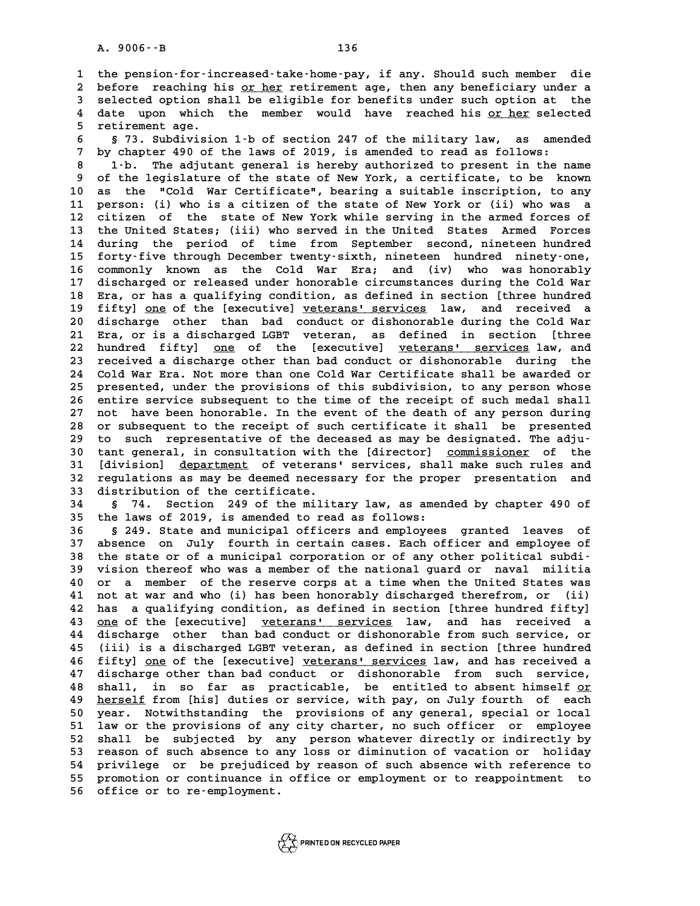**1 the pension-for-increased-take-home-pay, if any. Should such member die** the pension-for-increased-take-home-pay, if any. Should such member die<br>2 before reaching his <u>or her</u> retirement age, then any beneficiary under a<br>3 selected option shall be eligible for benefits under such option at the 1 the pension-for-increased-take-home-pay, if any. Should such member die<br>2 before reaching his <u>or her</u> retirement age, then any beneficiary under a<br>3 selected option shall be eligible for benefits under such option at th before reaching his <u>or her</u> retirement age, then any beneficiary under a<br>3 selected option shall be eligible for benefits under such option at the<br>4 date upon which the member would have reached his <u>or her</u> selected<br>5 re 2 before reaching his <u>or her</u> retirement age, then any beneficiary under a<br>3 selected option shall be eligible for benefits under such option at the<br>4 date upon which the member would have reached his <u>or her</u> selected<br>5 4 date upon which the member would have reached his <u>or her</u> selected<br>5 retirement age.<br>6 § 73. Subdivision 1-b of section 247 of the military law, as amended<br>7 by chapter 490 of the laws of 2019, is amended to read as fol

**7** by chapter and the laws of section 247 of the military law, as amended to read as follows:<br> **1** by chapter 490 of the laws of 2019, is amended to read as follows:<br>
<sup>2</sup> 1.b. The adjutant conoral is bereky authorized to **8 73. Subdivision 1-b of section 247 of the military law, as amended<br>
7 by chapter 490 of the laws of 2019, is amended to read as follows:<br>
1-b. The adjutant general is hereby authorized to present in the name<br>
2. of the** 

**9 of the laws of 2019, is amended to read as follows:**<br>**9 of the legislature of the state of New York, a certificate, to be known**<br>**9 of the legislature of the state of New York, a certificate, to be known**<br>**10 as the "Co** 1-b. The adjutant general is hereby authorized to present in the name<br>9 of the legislature of the state of New York, a certificate, to be known<br>10 as the "Cold War Certificate", bearing a suitable inscription, to any<br>11 pe 9 of the legislature of the state of New York, a certificate, to be known<br>10 as the "Cold War Certificate", bearing a suitable inscription, to any<br>11 person: (i) who is a citizen of the state of New York or (ii) who was a<br> 10 as the "Cold War Certificate", bearing a suitable inscription, to any<br>11 person: (i) who is a citizen of the state of New York or (ii) who was a<br>12 citizen of the state of New York while serving in the armed forces of<br>t 11 person: (i) who is a citizen of the state of New York or (ii) who was a<br>12 citizen of the state of New York while serving in the armed forces of<br>13 the United States; (iii) who served in the United States Armed Forces<br>1 12 citizen of the state of New York while serving in the armed forces of<br>13 the United States; (iii) who served in the United States Armed Forces<br>14 during the period of time from September second, nineteen hundred<br>15 fort 12 citizen of the state of New York while serving in the armed forces of<br>13 the United States; (iii) who served in the United States Armed Forces<br>14 during the period of time from September second, nineteen hundred<br>15 fort 14 during the period of time from September second, nineteen hundred<br>15 forty-five through December twenty-sixth, nineteen hundred ninety-one,<br>16 commonly known as the Cold War Era; and (iv) who was honorably<br>17 discharged **15 forty-five through December twenty-sixth, nineteen hundred ninety-one,<br>16 commonly known as the Cold War Era; and (iv) who was honorably<br>17 discharged or released under honorable circumstances during the Cold War** 16 commonly known as the Cold War Era; and (iv) who was honorably<br>17 discharged or released under honorable circumstances during the Cold War<br>18 Era, or has a qualifying condition, as defined in section [three hundred<br>19 f 17 discharged or released under honorable circumstances during the Cold War<br>18 Era, or has a qualifying condition, as defined in section [three hundred<br>19 fifty] <u>one</u> of the [executive] <u>veterans' services</u> law, and recei 18 Era, or has a qualifying condition, as defined in section [three hundred<br>19 fifty] <u>one</u> of the [executive] <u>veterans' services</u> law, and received a<br>20 discharge other than bad conduct or dishonorable during the Cold Wa 19 fifty] <u>one</u> of the [executive] <u>veterans' services</u> law, and received a<br>20 discharge other than bad conduct or dishonorable during the Cold War<br>21 Era, or is a discharged LGBT veteran, as defined in section [three discharge other than bad conduct or dishonorable during the Cold War<br>21 Era, or is a discharged LGBT veteran, as defined in section [three<br>22 hundred fifty] <u>one</u> of the [executive] <u>veterans' services</u> law, and<br>23 receive 21 Era, or is a discharged LGBT veteran, as defined in section [three<br>22 hundred fifty] <u>one</u> of the [executive] <u>veterans' services</u> law, and<br>23 received a discharge other than bad conduct or dishonorable during the<br>24 Co 22 hundred fifty] <u>one</u> of the [executive] <u>veterans' services</u> law, and<br>23 received a discharge other than bad conduct or dishonorable during the<br>24 Cold War Era. Not more than one Cold War Certificate shall be awarded or 23 received a discharge other than bad conduct or dishonorable during the<br>24 Cold War Era. Not more than one Cold War Certificate shall be awarded or<br>25 presented, under the provisions of this subdivision, to any person wh **26 entire service subsequent to the time of the receipt of such medal shall 27 not have been honorable. In the event of the death of any person during** 26 entire service subsequent to the time of the receipt of such medal shall<br>27 not have been honorable. In the event of the death of any person during<br>28 or subsequent to the receipt of such certificate it shall be present 27 not have been honorable. In the event of the death of any person during<br>28 or subsequent to the receipt of such certificate it shall be presented<br>29 to such representative of the deceased as may be designated. The adju-38 or subsequent to the receipt of such certificate it shall be presented<br>
29 to such representative of the deceased as may be designated. The adju-<br>
30 tant general, in consultation with the [director] <u>commissioner</u> of t 29 to such representative of the deceased as may be designated. The adju-<br>30 tant general, in consultation with the [director] <u>commissioner</u> of the<br>31 [division] <u>department</u> of veterans' services, shall make such rules a 30 tant general, in consultation with the [director] commissioner of the<br>31 [division] <u>department</u> of veterans' services, shall make such rules and<br>32 distribution of the certificate 31 [division] <u>department</u> of veterans<br>32 regulations as may be deemed necess<br>33 distribution of the certificate. **32 regulations as may be deemed necessary for the proper presentation and distribution of the certificate.**<br>**34** § 74. Section 249 of the military law, as amended by chapter 490 of<br>**35** the laws of 2019, is amended to rea

**35 the laws of 2019, is amended to read as follows: 5 74.** Section 249 of the military law, as amended by chapter 490 of<br>35 the laws of 2019, is amended to read as follows:<br>**5 249.** State and municipal officers and employees granted leaves of<br>37 absence on July fourth in c

**37 absence on July fourth in certain cases. Each officer and employee of 36 5** 249. State and municipal officers and employees granted leaves of absence on July fourth in certain cases. Each officer and employee of the state or of a municipal corporation or of any other political subdi-<br> **38 37 absence on July fourth in certain cases. Each officer and employee of the state or of a municipal corporation or of any other political subdi-<br>39 vision thereof who was a member of the national guard or naval militia<br>4 40 or a municipal corporation or of any other political subdi-**<br> **40 or a member of the reserve corps at a time when the United States was**<br> **40 or a member of the reserve corps at a time when the United States was**<br> **41** 39 vision thereof who was a member of the national guard or naval militia<br>40 or a member of the reserve corps at a time when the United States was<br>41 not at war and who (i) has been honorably discharged therefrom, or (ii)<br> **42 has a qualifying condition, as defined in section [three hundred fifty]** 41 not at war and who (i) has been honorably discharged therefrom, or (ii)<br>42 has a qualifying condition, as defined in section [three hundred fifty]<br>43 <u>one</u> of the [executive] <u>veterans' services</u> law, and has received a A2 has a qualifying condition, as defined in section [three hundred fifty]<br>43 <u>one</u> of the [executive] <u>veterans' services</u> law, and has received a<br>44 discharge other than bad conduct or dishonorable from such service, or<br> 43 <u>one</u> of the [executive] <u>veterans' services</u> law, and has received a<br>44 discharge other than bad conduct or dishonorable from such service, or<br>45 (iii) is a discharged LGBT veteran, as defined in section [three hundred 44 discharge other than bad conduct or dishonorable from such service, or<br>45 (iii) is a discharged LGBT veteran, as defined in section [three hundred<br>46 fifty] <u>one</u> of the [executive] <u>veterans' services</u> law, and has rec 45 (iii) is a discharged LGBT veteran, as defined in section [three hundred 46 fifty] <u>one</u> of the [executive] <u>veterans' services</u> law, and has received a discharge other than bad conduct or dishonorable from such service **46 fifty** one of the [executive] <u>veterans' services</u> law, and has received a<br>47 discharge other than bad conduct or dishonorable from such service,<br>48 shall, in so far as practicable, be entitled to absent himself <u>or</u><br>b **47 discharge other than bad conduct or dishonorable from such service,<br>48 shall, in so far as practicable, be entitled to absent himself <u>or</u><br>herself from [his] duties or service, with pay, on July fourth of each<br>so were 50 year.** In so far as practicable, be entitled to absent himself or herself from [his] duties or service, with pay, on July fourth of each year. Notwithstanding the provisions of any general, special or local<br> **130 or th 50 herself from [his] duties or service, with pay, on July fourth of each**<br>50 year. Notwithstanding the provisions of any general, special or local<br>51 law or the provisions of any city charter, no such officer or employee **50 year.** Notwithstanding the provisions of any general, special or local<br>51 law or the provisions of any city charter, no such officer or employee<br>52 shall be subjected by any person whatever directly or indirectly by<br>53 51 law or the provisions of any city charter, no such officer or employee<br>52 shall be subjected by any person whatever directly or indirectly by<br>53 reason of such absence to any loss or diminution of vacation or holiday<br>54 52 shall be subjected by any person whatever directly or indirectly by<br>53 reason of such absence to any loss or diminution of vacation or holiday<br>54 privilege or be prejudiced by reason of such absence with reference to<br>55 53 reason of such absence to any loss or diminution of vacation or holiday<br>54 privilege or be prejudiced by reason of such absence with reference to<br>55 promotion or continuance in office or employment or to reappointment t 54 privilege or be prejudiced by reason of such absence with reference to promotion or continuance in office or employment or to reappointment to office or to re-employment.

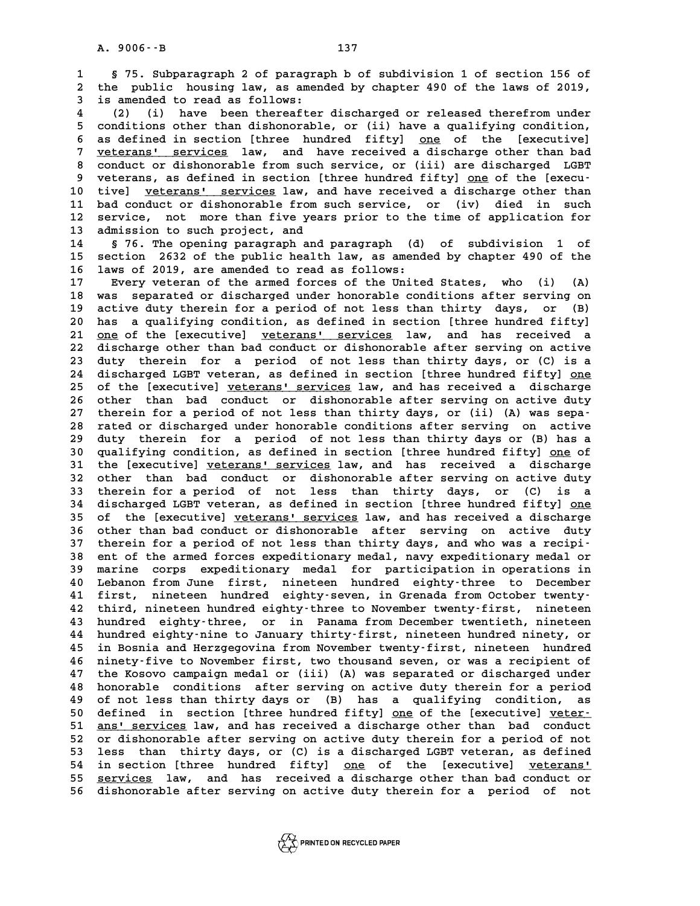**1 § 75. Subparagraph 2 of paragraph b of subdivision 1 of section 156 of 2** 1 S 75. Subparagraph 2 of paragraph b of subdivision 1 of section 156 of<br>2 the public housing law, as amended by chapter 490 of the laws of 2019, **3 3 is americal as is americal as follows:**<br> **3** is amended to read as follows:<br> **4** (2) (i) have been thereafter 2 the public housing law, as amended by chapter 490 of the laws of 2019,<br>3 is amended to read as follows:<br>4 (2) (i) have been thereafter discharged or released therefrom under<br>5 conditions other than disbenezable or (ii) h

**5** is amended to read as follows:<br> **4** (2) (i) have been thereafter discharged or released therefrom under<br> **5** conditions other than dishonorable, or (ii) have a qualifying condition,<br> **6** as defined in section [three hu (2) (i) have been thereafter discharged or released therefrom under<br>
5 conditions other than dishonorable, or (ii) have a qualifying condition,<br>
6 as defined in section [three hundred fifty] <u>one</u> of the [executive]<br>
7 upt 5 conditions other than dishonorable, or (ii) have a qualifying condition,<br>6 as defined in section [three hundred fifty] <u>one</u> of the [executive]<br>7 <u>veterans' services</u> law, and have received a discharge other than bad<br>2 c 8 as defined in section [three hundred fifty] <u>one</u> of the [executive]<br> **8 veterans' services** law, and have received a discharge other than bad<br>
8 conduct or dishonorable from such service, or (iii) are discharged LGBT<br>
2 9 veterans' services law, and have received a discharge other than bad<br>8 conduct or dishonorable from such service, or (iii) are discharged LGBT<br>9 veterans, as defined in section [three hundred fifty] <u>one</u> of the [execu-<br> 8 conduct or dishonorable from such service, or (iii) are discharged LGBT<br>9 veterans, as defined in section [three hundred fifty] <u>one</u> of the [execu-<br>10 tive] <u>veterans' services</u> law, and have received a discharge other 9 veterans, as defined in section [three hundred fifty] <u>one</u> of the [execu-<br>10 tive] <u>veterans' services</u> law, and have received a discharge other than<br>11 bad conduct or dishonorable from such service, or (iv) died in suc 10 tive] <u>veterans' services</u> law, and have received a discharge other than<br>11 bad conduct or dishonorable from such service, or (iv) died in such<br>12 service, not more than five years prior to the time of application for<br>1 11 bad conduct or dishonorable from such service, or (iv) died in such<br>12 service, not more than five years prior to the time of application for<br>13 admission to such project, and<br>14 § 76. The opening paragraph and paragrap

**14 § 76. The opening paragraph and paragraph (d) of subdivision 1 of 13 admission to such project, and<br>14 § 76. The opening paragraph and paragraph (d) of subdivision 1 of<br>15 section 2632 of the public health law, as amended by chapter 490 of the<br>16 laws of 2019, are amended to read as fol** 14 § 76. The opening paragraph and paragraph (d)<br>15 section 2632 of the public health law, as amend<br>16 laws of 2019, are amended to read as follows:<br><sup>17</sup> Fucture 10 the armod forces of the Unite **15 section 2632 of the public health law, as amended by chapter 490 of the laws of 2019, are amended to read as follows:**<br>**17 Every veteran of the armed forces of the United States, who (i) (A)**<br>18 West connected or disch

**16 laws of 2019, are amended to read as follows:**<br> **17 Every veteran of the armed forces of the United States, who (i) (A)**<br> **18 was separated or discharged under honorable conditions after serving on**<br> **19 active duty th** Every veteran of the armed forces of the United States, who (i) (A)<br>18 was separated or discharged under honorable conditions after serving on<br>19 active duty therein for a period of not less than thirty days, or (B)<br>20 has **20 has separated or discharged under honorable conditions after serving on active duty therein for a period of not less than thirty days, or (B)<br>
20 has a qualifying condition, as defined in section [three hundred fifty]** 20 has a qualifying condition, as defined in section [three hundred fifty]<br>21 <u>one</u> of the [executive] <u>veterans' services</u> law, and has received a 20 has a qualifying condition, as defined in section [three hundred fifty]<br>21 <u>one</u> of the [executive] <u>veterans' services</u> law, and has received a<br>22 discharge other than bad conduct or dishonorable after serving on activ 21 <u>one</u> of the [executive] <u>veterans' services</u> law, and has received a<br>22 discharge other than bad conduct or dishonorable after serving on active<br>23 duty therein for a period of not less than thirty days, or (C) is a<br>24 discharge other than bad conduct or dishonorable after serving on active<br>23 duty therein for a period of not less than thirty days, or (C) is a<br>24 discharged LGBT veteran, as defined in section [three hundred fifty] <u>one</u><br> 23 duty therein for a period of not less than thirty days, or (C) is a<br>24 discharged LGBT veteran, as defined in section [three hundred fifty] <u>one</u><br>25 of the [executive] <u>veterans' services</u> law, and has received a discha 24 discharged LGBT veteran, as defined in section [three hundred fifty] <u>one</u><br>25 of the [executive] <u>veterans' services</u> law, and has received a discharge<br>26 other than bad conduct or dishonorable after serving on active d 25 of the [executive] <u>veterans' services</u> law, and has received a discharge<br>26 other than bad conduct or dishonorable after serving on active duty<br>27 therein for a period of not less than thirty days, or (ii) (A) was sepa 26 other than bad conduct or dishonorable after serving on active duty<br>27 therein for a period of not less than thirty days, or (ii) (A) was sepa-<br>28 rated or discharged under honorable conditions after serving on active<br>2 27 therein for a period of not less than thirty days, or (ii) (A) was sepa-<br>28 rated or discharged under honorable conditions after serving on active<br>29 duty therein for a period of not less than thirty days or (B) has a<br>2 28 rated or discharged under honorable conditions after serving on active<br>29 duty therein for a period of not less than thirty days or (B) has a<br>30 qualifying condition, as defined in section [three hundred fifty] <u>one</u> of 39 duty therein for a period of not less than thirty days or (B) has a<br>30 qualifying condition, as defined in section [three hundred fifty] <u>one</u> of<br>31 the [executive] <u>veterans' services</u> law, and has received a discharge **30 qualifying condition, as defined in section [three hundred fifty] <u>one</u> of<br>31 the [executive] <u>veterans' services</u> law, and has received a discharge<br>32 other than bad conduct or dishonorable after serving on active dut** 31 the [executive] <u>veterans' services</u> law, and has received a discharge<br>32 other than bad conduct or dishonorable after serving on active duty<br>33 therein for a period of not less than thirty days, or (C) is a<br>34 discharg 32 other than bad conduct or dishonorable after serving on active duty<br>33 therein for a period of not less than thirty days, or (C) is a<br>34 discharged LGBT veteran, as defined in section [three hundred fifty] <u>one</u><br>25 of t 33 therein for a period of not less than thirty days, or (C) is a<br>34 discharged LGBT veteran, as defined in section [three hundred fifty] <u>one</u><br>35 of the [executive] <u>veterans' services</u> law, and has received a discharge<br>2 **34 discharged LGBT veteran, as defined in section [three hundred fifty] <u>one</u><br>35 of the [executive] <u>veterans' services</u> law, and has received a discharge<br>36 other than bad conduct or dishonorable after serving on active** 35 of the [executive] <u>veterans' services</u> law, and has received a discharge<br>36 other than bad conduct or dishonorable after serving on active duty<br>37 therein for a period of not less than thirty days, and who was a recipi 36 other than bad conduct or dishonorable after serving on active duty<br>37 therein for a period of not less than thirty days, and who was a recipi-<br>38 ent of the armed forces expeditionary medal, navy expeditionary medal or 37 therein for a period of not less than thirty days, and who was a recipi-<br>38 ent of the armed forces expeditionary medal, navy expeditionary medal or<br>39 marine corps expeditionary medal for participation in operations in **40 August 20 Example 10 Lebanon from June forces expeditionary medal, navy expeditionary medal or marine corps expeditionary medal for participation in operations in 40 Lebanon from June first, nineteen hundred eighty-thr** 39 marine corps expeditionary medal for participation in operations in<br>40 Lebanon from June first, nineteen hundred eighty-three to December<br>41 first, nineteen hundred eighty-seven, in Grenada from October twenty-<br><sup>42</sup> thi **40 Lebanon from June first, nineteen hundred eighty-three to December<br>
41 first, nineteen hundred eighty-seven, in Grenada from October twenty-<br>
42 third, nineteen hundred eighty-three to November twenty-first, nineteen<br> 41 first, nineteen hundred eighty-seven, in Grenada from October twenty-**<br> **42 third, nineteen hundred eighty-three to November twenty-first, nineteen**<br> **43 hundred eighty-three, or in Panama from December twentieth, nine 42 third, nineteen hundred eighty-three to November twenty-first, nineteen<br>43 hundred eighty-three, or in Panama from December twentieth, nineteen<br>44 hundred eighty-nine to January thirty-first, nineteen hundred ninety, o** A in Bosnia and Herzgegovina from December twentieth, nineteen<br> **44 hundred eighty-nine to January thirty-first, nineteen hundred ninety, or**<br> **45 in Bosnia and Herzgegovina from November twenty-first, nineteen hundred**<br> 44 hundred eighty-nine to January thirty-first, nineteen hundred ninety, or<br>45 in Bosnia and Herzgegovina from November twenty-first, nineteen hundred<br>46 ninety-five to November first, two thousand seven, or was a recipien **45 in Bosnia and Herzgegovina from November twenty-first, nineteen hundred**<br>46 ninety-five to November first, two thousand seven, or was a recipient of<br>47 the Kosovo campaign medal or (iii) (A) was separated or discharged **46 ninety-five to November first, two thousand seven, or was a recipient of the Kosovo campaign medal or (iii) (A) was separated or discharged under honorable conditions after serving on active duty therein for a period o** 47 the Kosovo campaign medal or (iii) (A) was separated or discharged under<br>48 honorable conditions after serving on active duty therein for a period<br>49 of not less than thirty days or (B) has a qualifying condition, as<br>50 **50 defined in section after serving on active duty therein for a period**<br>**49 of not less than thirty days or** (B) has a qualifying condition, as<br>50 defined in section [three hundred fifty] <u>one</u> of the [executive] <u>veter-</u> **50** of not less than thirty days or (B) has a qualifying condition, as<br>50 defined in section [three hundred fifty] <u>one</u> of the [executive] <u>veter-</u><br>51 <u>ans' services</u> law, and has received a discharge other than bad cond 50 defined in section [three hundred fifty] <u>one</u> of the [executive] <u>veter-</u><br>51 <u>ans' services</u> law, and has received a discharge other than bad conduct<br>52 or dishonorable after serving on active duty therein for a period 51 <u>ans' services</u> law, and has received a discharge other than bad conduct<br>52 or dishonorable after serving on active duty therein for a period of not<br>53 less than thirty days, or (C) is a discharged LGBT veteran, as defi 52 or dishonorable after serving on active duty therein for a period of not<br>53 less than thirty days, or (C) is a discharged LGBT veteran, as defined<br>54 in section [three hundred fifty] <u>one</u> of the [executive] <u>veterans'</u> **53 less than thirty days, or (C) is a discharged LGBT veteran, as defined**<br> **54 in section [three hundred fifty]** <u>one</u> of the [executive] <u>veterans'</u><br> **55 services** law, and has received a discharge other than bad conduc 54 in section [three hundred fifty] <u>one</u> of the [executive] <u>veterans'</u><br>55 <u>services</u> law, and has received a discharge other than bad conduct or<br>56 dishonorable after serving on active duty therein for a period of not

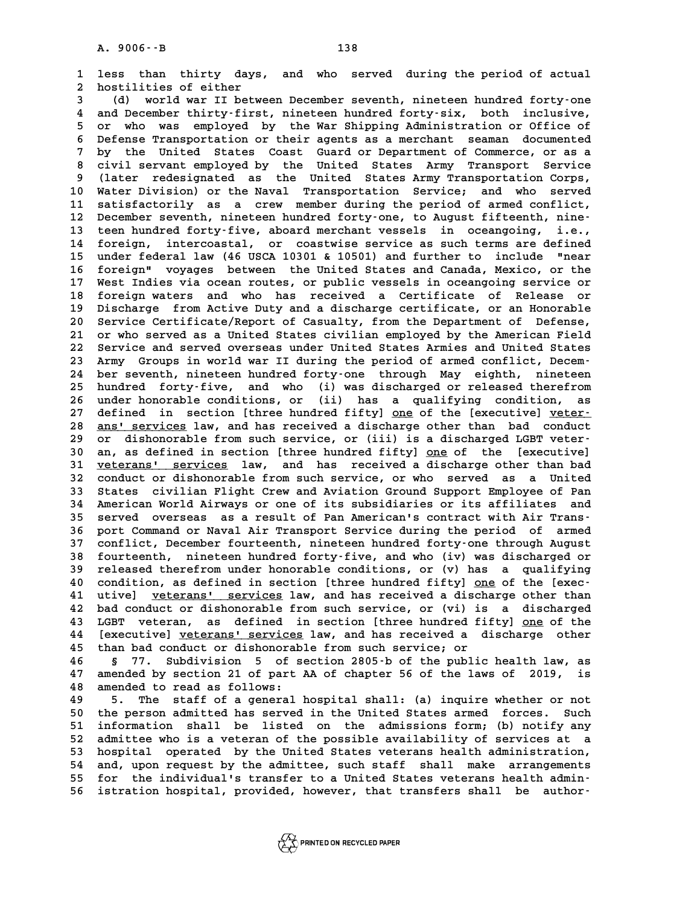**1 less than thirty days, and who served during the period of actual 2** less than thirty days<br>2 hostilities of either<br>3 (d) world war II betw **1 less than thirty days, and who served during the period of actual<br>
2 hostilities of either<br>
3 (d) world war II between December seventh, nineteen hundred forty-one<br>
4 and December thirty-first pineteen hundred forty-gir** 

**4 and December 1 and December 1 and December 1 and December thirty-first, nineteen hundred forty-one**<br>**4 and December thirty-first, nineteen hundred forty-six, both inclusive,**<br>5 and Pecember and Puncil and Puncil and Pun **5 (d) world war II between December seventh, nineteen hundred forty-one**<br>**4 and December thirty-first, nineteen hundred forty-six, both inclusive,**<br>**5 or who was employed by the War Shipping Administration or Office of**<br> 4 and December thirty-first, nineteen hundred forty-six, both inclusive,<br>5 or who was employed by the War Shipping Administration or Office of<br>6 Defense Transportation or their agents as a merchant seaman documented<br>7 by t 5 or who was employed by the War Shipping Administration or Office of<br>6 Defense Transportation or their agents as a merchant seaman documented<br>7 by the United States Coast Guard or Department of Commerce, or as a<br>8 simil s 8 Defense Transportation or their agents as a merchant seaman documented<br> **8 civil servant employed by the United States Army Transport Service**<br> **8 civil servant employed by the United States Army Transport Service**<br>
(lat 9 by the United States Coast Guard or Department of Commerce, or as a<br>8 civil servant employed by the United States Army Transport Service<br>9 (later redesignated as the United States Army Transportation Corps, 8 civil servant employed by the United States Army Transport Service<br>9 (later redesignated as the United States Army Transportation Corps,<br>10 Water Division) or the Naval Transportation Service; and who served<br>11 satisfact 9 (later redesignated as the United States Army Transportation Corps,<br>10 Water Division) or the Naval Transportation Service; and who served<br>11 satisfactorily as a crew member during the period of armed conflict,<br>12 Decemb 10 Water Division) or the Naval Transportation Service; and who served<br>
11 satisfactorily as a crew member during the period of armed conflict,<br>
12 December seventh, nineteen hundred forty-one, to August fifteenth, nine-<br> 11 satisfactorily as a crew member during the period of armed conflict,<br>12 December seventh, nineteen hundred forty-one, to August fifteenth, nine-<br>13 teen hundred forty-five, aboard merchant vessels in oceangoing, i.e.,<br>1 12 December seventh, nineteen hundred forty-one, to August fifteenth, nine-<br>13 teen hundred forty-five, aboard merchant vessels in oceangoing, i.e.,<br>14 foreign, intercoastal, or coastwise service as such terms are defined<br> 13 teen hundred forty-five, aboard merchant vessels in oceangoing, i.e.,<br>14 foreign, intercoastal, or coastwise service as such terms are defined<br>15 under federal law (46 USCA 10301 & 10501) and further to include "near<br>16 14 foreign, intercoastal, or coastwise service as such terms are defined<br>15 under federal law (46 USCA 10301 & 10501) and further to include "near<br>16 foreign" voyages between the United States and Canada, Mexico, or the<br>17 15 under federal law (46 USCA 10301 & 10501) and further to include "near<br>16 foreign" voyages between the United States and Canada, Mexico, or the<br>17 West Indies via ocean routes, or public vessels in oceangoing service or 16 foreign" voyages between the United States and Canada, Mexico, or the<br>17 West Indies via ocean routes, or public vessels in oceangoing service or<br>18 foreign waters and who has received a Certificate of Release or<br>19 Dis 17 West Indies via ocean routes, or public vessels in oceangoing service or 18 foreign waters and who has received a Certificate of Release or 19 Discharge from Active Duty and a discharge certificate, or an Honorable 20 S 18 foreign waters and who has received a Certificate of Release or<br>19 Discharge from Active Duty and a discharge certificate, or an Honorable<br>20 Service Certificate/Report of Casualty, from the Department of Defense,<br>21 or Discharge from Active Duty and a discharge certificate, or an Honorable<br>20 Service Certificate/Report of Casualty, from the Department of Defense,<br>21 or who served as a United States civilian employed by the American Field 20 Service Certificate/Report of Casualty, from the Department of Defense,<br>21 or who served as a United States civilian employed by the American Field<br>22 Service and served overseas under United States Armies and United St 21 or who served as a United States civilian employed by the American Field<br>22 Service and served overseas under United States Armies and United States<br>23 Army Groups in world war II during the period of armed conflict, De 22 Service and served overseas under United States Armies and United States<br>23 Army Groups in world war II during the period of armed conflict, Decem-<br>24 ber seventh, nineteen hundred forty-one through May eighth, nineteen Army Groups in world war II during the period of armed conflict, Decem-<br>24 ber seventh, nineteen hundred forty-one through May eighth, nineteen<br>25 hundred forty-five, and who (i) was discharged or released therefrom<br>26 und 24 ber seventh, nineteen hundred forty-one through May eighth, nineteen<br>25 hundred forty-five, and who (i) was discharged or released therefrom<br>26 under honorable conditions, or (ii) has a qualifying condition, as<br>27 defin 25 hundred forty-five, and who (i) was discharged or released therefrom<br>26 under honorable conditions, or (ii) has a qualifying condition, as<br>27 defined in section [three hundred fifty] <u>one</u> of the [executive] <u>veter-</u><br>28 26 under honorable conditions, or (ii) has a qualifying condition, as<br>27 defined in section [three hundred fifty] <u>one</u> of the [executive] <u>veter-</u><br>28 <u>ans' services</u> law, and has received a discharge other than bad conduc 27 defined in section [three hundred fifty] <u>one</u> of the [executive] <u>veter</u>-<br>28 <u>ans' services</u> law, and has received a discharge other than bad conduct<br>29 or dishonorable from such service, or (iii) is a discharged LGBT **38 <u>ans' services</u> law, and has received a discharge other than bad conduct<br>29 or dishonorable from such service, or (iii) is a discharged LGBT veter-<br>30 an, as defined in section [three hundred fifty] <u>one</u> of the [execu** 39 or dishonorable from such service, or (iii) is a discharged LGBT veter-<br>30 an, as defined in section [three hundred fifty] <u>one</u> of the [executive]<br>31 <u>veterans' services</u> law, and has received a discharge other than ba **30 an, as defined in section [three hundred fifty] <u>one</u> of the [executive]<br>31 <u>veterans' services</u> law, and has received a discharge other than bad<br>32 conduct or dishonorable from such service, or who served as a United<br>** 31 <u>veterans' services</u> law, and has received a discharge other than bad<br>32 conduct or dishonorable from such service, or who served as a United<br>33 States civilian Flight Crew and Aviation Ground Support Employee of Pan<br>34 32 conduct or dishonorable from such service, or who served as a United<br>33 States civilian Flight Crew and Aviation Ground Support Employee of Pan<br>34 American World Airways or one of its subsidiaries or its affiliates and 33 States civilian Flight Crew and Aviation Ground Support Employee of Pan American World Airways or one of its subsidiaries or its affiliates and served overseas as a result of Pan American's contract with Air Trans-<br><sup>26</sup> **34 American World Airways or one of its subsidiaries or its affiliates and<br>35 served overseas as a result of Pan American's contract with Air Trans-<br>36 port Command or Naval Air Transport Service during the period of arme** 35 served overseas as a result of Pan American's contract with Air Trans-<br>36 port Command or Naval Air Transport Service during the period of armed<br>37 conflict, December fourteenth, nineteen hundred forty-one through Augus **36 port Command or Naval Air Transport Service during the period of armed<br>37 conflict, December fourteenth, nineteen hundred forty-one through August<br>38 fourteenth, nineteen hundred forty-five, and who (iv) was discharged 37** conflict, December fourteenth, nineteen hundred forty-one through August<br>38 fourteenth, nineteen hundred forty-five, and who (iv) was discharged or<br>39 released therefrom under honorable conditions, or (v) has a qualif **40 fourteenth, nineteen hundred forty-five, and who (iv) was discharged or<br>
<b>40 condition, as defined in section [three hundred fifty]** <u>one</u> of the [exec-<br> **41 utivel veterans!** services law, and has received a discharge 39 released therefrom under honorable conditions, or (v) has a qualifying<br>40 condition, as defined in section [three hundred fifty] <u>one</u> of the [exec-<br>41 utive] <u>veterans' services</u> law, and has received a discharge other 40 condition, as defined in section [three hundred fifty] <u>one</u> of the [exec-<br>41 utive] <u>veterans' services</u> law, and has received a discharge other than<br>42 bad conduct or dishonorable from such service, or (vi) is a disch **41 utive] <u>veterans' services</u> law, and has received a discharge other than<br>42 bad conduct or dishonorable from such service, or (vi) is a discharged<br>43 LGBT veteran, as defined in section [three hundred fifty] <u>one</u> of t** 42 bad conduct or dishonorable from such service, or (vi) is a discharged<br>43 LGBT veteran, as defined in section [three hundred fifty] <u>one</u> of the<br>44 [executive] <u>veterans' services</u> law, and has received a discharge othe **43 LGBT veteran, as defined in section [three hundred fifty] <u>one</u> of the [executive] <u>veterans' services</u> law, and has received a discharge other than bad conduct or dishonorable from such service; or<br><b>46 8** 77. Subdiv

44 [executive] <u>veterans' services</u> law, and has received a discharge other<br>45 than bad conduct or dishonorable from such service; or<br>46 § 77. Subdivision 5 of section 2805-b of the public health law, as<br>47 amended by sect **47 amended by section 21 of part AA of chapter 56 of the laws of 2019, is** 46 § 77. Subdivision 5 of s<br>47 amended by section 21 of part<br>48 amended to read as follows:<br><sup>49</sup> <sup>E</sup> mbo staff of a conoral **47 amended by section 21 of part AA of chapter 56 of the laws of 2019, is<br>48 amended to read as follows:**<br>5. The staff of a general hospital shall: (a) inquire whether or not<br>50 the person admitted has sexued in the Unite

**48 amended to read as follows:**<br>49 5. The staff of a general hospital shall: (a) inquire whether or not<br>50 the person admitted has served in the United States armed forces. Such<br>51 information shall be listed on the admis 5. The staff of a general hospital shall: (a) inquire whether or not<br>50 the person admitted has served in the United States armed forces. Such<br>51 information shall be listed on the admissions form; (b) notify any<br>52 admitt 50 the person admitted has served in the United States armed forces. Such<br>51 information shall be listed on the admissions form; (b) notify any<br>52 admittee who is a veteran of the possible availability of services at a<br>bos 51 information shall be listed on the admissions form; (b) notify any<br>52 admittee who is a veteran of the possible availability of services at a<br>53 hospital operated by the United States veterans health administration,<br>54 52 admittee who is a veteran of the possible availability of services at a<br>53 hospital operated by the United States veterans health administration,<br>54 and, upon request by the admittee, such staff shall make arrangements<br> 53 hospital operated by the United States veterans health administration,<br>
54 and, upon request by the admittee, such staff shall make arrangements<br>
55 for the individual's transfer to a United States veterans health admin **56 istration hospital, provided, however, that transfers shall be author-**

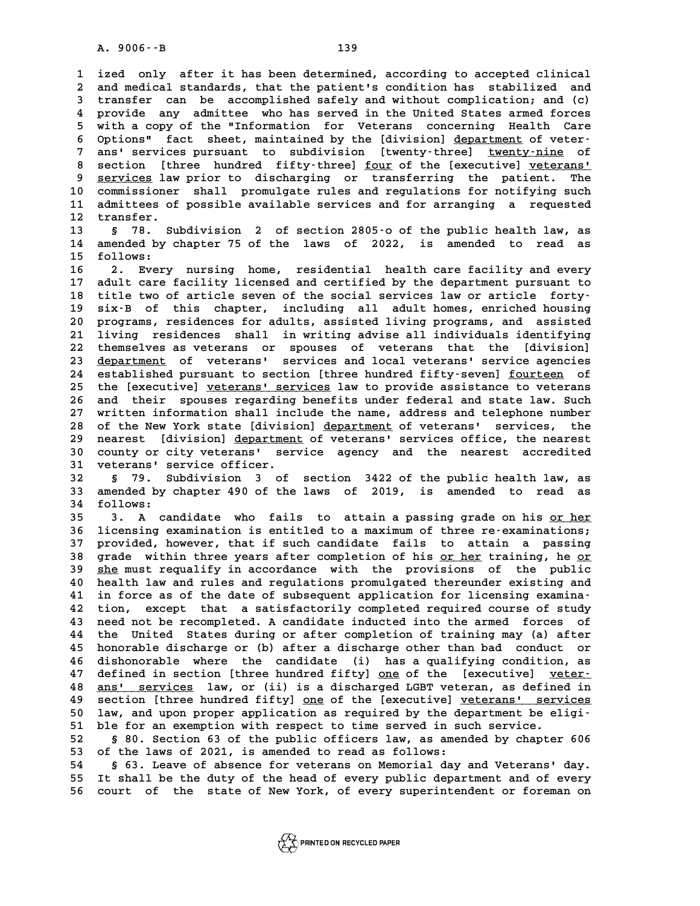**A. 9006--B 139**

A. 9006 - - B<br>1 ized only after it has been determined, according to accepted clinical<br>2 and modical standards, that the patiently condition has stabilized and **2** ized only after it has been determined, according to accepted clinical<br>2 and medical standards, that the patient's condition has stabilized and<br>3 transfer can be accomplished safely and without complication, and (c) ized only after it has been determined, according to accepted clinical<br>
2 and medical standards, that the patient's condition has stabilized and<br>
3 transfer can be accomplished safely and without complication; and (c)<br>
<sup>1</sup> 2 and medical standards, that the patient's condition has stabilized and<br>3 transfer can be accomplished safely and without complication; and (c)<br>4 provide any admittee who has served in the United States armed forces<br>5 wit 3 transfer can be accomplished safely and without complication; and (c)<br>4 provide any admittee who has served in the United States armed forces<br>5 with a copy of the "Information for Veterans concerning Health Care<br>6 Option 4 provide any admittee who has served in the United States armed forces<br>5 with a copy of the "Information for Veterans concerning Health Care<br>6 Options" fact sheet, maintained by the [division] <u>department</u> of veter-<br>7 and **7** with a copy of the "Information for Veterans concerning Health Care<br>6 Options" fact sheet, maintained by the [division] <u>department</u> of veter-<br>7 ans' services pursuant to subdivision [twenty-three] <u>twenty-nine</u> of<br>8 a 6 Options" fact sheet, maintained by the [division] <u>department</u> of veter-<br>7 ans' services pursuant to subdivision [twenty-three] <u>twenty-nine</u> of<br>8 section [three hundred fifty-three] <u>four</u> of the [executive] <u>veterans'</u> **9** ans' services pursuant to subdivision [twenty-three] <u>twenty-nine</u> of<br>8 section [three hundred fifty-three] <u>four</u> of the [executive] <u>veterans'</u><br>9 <u>services</u> law prior to discharging or transferring the patient. The<br>2 8 section [three hundred fifty-three] <u>four</u> of the [executive] <u>veterans'</u><br>9 <u>services</u> law prior to discharging or transferring the patient. The<br>10 commissioner shall promulgate rules and regulations for notifying such<br>1 9 <u>services</u> law prior to discharging or transferring the patient. The commissioner shall promulgate rules and regulations for notifying such<br>11 admittees of possible available services and for arranging a requested<br>12 tra 10 commissioner<br>11 admittees of<br>12 transfer.<br><sup>13 5 79</sup> Sui

**11 admittees of possible available services and for arranging a requested<br>12 transfer.**<br>**13 § 78. Subdivision 2 of section 2805-o of the public health law, as<br>14 amended by chapter 75 of the laws of 2022, is amended to re** 12 transfer.<br>13 § 78. Subdivision 2 of section 2805 o of the public health law, as<br>14 amended by chapter 75 of the laws of 2022, is amended to read as<br>15 follows: 13 § 78. S<br>14 amended by<br>15 follows:<br>16 <sup>2</sup> Execut 14 amended by chapter 75 of the laws of 2022, is amended to read as<br>15 follows:<br>16 2. Every nursing home, residential health care facility and every<br>17 adult game facility ligensed and certified by the department purguant

15 follows:<br>16 2. Every nursing home, residential health care facility and every<br>17 adult care facility licensed and certified by the department pursuant to<br>18 title type of artigle gaves of the social services lay or arti 16 2. Every nursing home, residential health care facility and every<br>
17 adult care facility licensed and certified by the department pursuant to<br>
18 title two of article seven of the social services law or article forty-<br> 17 adult care facility licensed and certified by the department pursuant to<br>18 title two of article seven of the social services law or article forty-<br>19 six-B of this chapter, including all adult homes, enriched housing<br>2 18 title two of article seven of the social services law or article forty-<br>19 six-B of this chapter, including all adult homes, enriched housing<br>20 programs, residences for adults, assisted living programs, and assisted<br>21 19 six-B of this chapter, including all adult homes, enriched housing<br>20 programs, residences for adults, assisted living programs, and assisted<br>21 living residences shall in writing advise all individuals identifying<br>22 t 20 programs, residences for adults, assisted living programs, and assisted<br>21 living residences shall in writing advise all individuals identifying<br>22 themselves as veterans or spouses of veterans that the [division]<br>23 de 21 living residences shall in writing advise all individuals identifying<br>22 themselves as veterans or spouses of veterans that the [division]<br>23 <u>department</u> of veterans' services and local veterans' service agencies<br>24 es 22 themselves as veterans or spouses of veterans that the [division]<br>23 <u>department</u> of veterans' services and local veterans' service agencies<br>24 established pursuant to section [three hundred fifty-seven] <u>fourteen</u> of<br>2 23 <u>department</u> of veterans' services and local veterans' service agencies<br>24 established pursuant to section [three hundred fifty-seven] <u>fourteen</u> of<br>25 the [executive] <u>veterans' services</u> law to provide assistance to v 24 established pursuant to section [three hundred fifty-seven] <u>fourteen</u> of<br>25 the [executive] <u>veterans' services</u> law to provide assistance to veterans<br>26 and their spouses regarding benefits under federal and state law 25 the [executive] <u>veterans' services</u> law to provide assistance to veterans<br>26 and their spouses regarding benefits under federal and state law. Such<br>27 written information shall include the name, address and telephone n 26 and their spouses regarding benefits under federal and state law. Such<br>27 written information shall include the name, address and telephone number<br>28 of the New York state [division] <u>department</u> of veterans' services, 27 written information shall include the name, address and telephone number<br>28 of the New York state [division] <u>department</u> of veterans' services, the<br>29 nearest [division] <u>department</u> of veterans' services office, the n 28 of the New York state [division] <u>department</u> of veterans' services, the<br>29 nearest [division] <u>department</u> of veterans' services office, the nearest<br>30 county or city veterans' service agency and the nearest accredited 29 nearest [division] <u>departmen</u><br>30 county or city veterans' ser<br>31 veterans' service officer.<br><sup>32</sup> 5 <sup>79</sup> Subdivision <sup>3</sup> **30 county or city veterans' service agency and the nearest accredited veterans' service officer.**<br>**32** § 79. Subdivision 3 of section 3422 of the public health law, as<br>**33 amended by chapter 490 of the laws** of 2019, is a

**31 veterans' service officer.**<br>**32 § 79. Subdivision 3 of section 3422 of the public health law, as<br>33 amended by chapter 490 of the laws of 2019, is amended to read as<br><sup>34</sup> follows: 32 §** 79. **S**<br>**33** amended by<br>**34** follows: 33 amended by chapter 490 of the laws of 2019, is amended to read as<br>34 follows:<br>35 3. A candidate who fails to attain a passing grade on his <u>or her</u><br>26 licensing our instituted to a maximum of three re-evaninations:

34 follows:<br>35 3. A candidate who fails to attain a passing grade on his <u>or her</u><br>36 licensing examination is entitled to a maximum of three re-examinations;<br>37 provided, however, that if such candidate fails to attain a p **37 provided, however, that if such candidate fails to attain a passing 36 licensing examination is entitled to a maximum of three re-examinations;**<br>37 provided, however, that if such candidate fails to attain a passing<br>38 grade within three years after completion of his <u>or her</u> training, he 37 provided, however, that if such candidate fails to attain a passing<br>38 grade within three years after completion of his <u>or her</u> training, he <u>or</u><br>39 <u>she</u> must requalify in accordance with the provisions of the public<br> 38 grade within three years after completion of his <u>or her</u> training, he <u>or</u><br>39 <u>she</u> must requalify in accordance with the provisions of the public<br>40 health law and rules and regulations promulgated thereunder existing 39 <u>she</u> must requalify in accordance with the provisions of the public<br>40 health law and rules and regulations promulgated thereunder existing and<br>41 in force as of the date of subsequent application for licensing examina **40** health law and rules and regulations promulgated thereunder existing and<br>41 in force as of the date of subsequent application for licensing examina-<br>42 tion, except that a satisfactorily completed required course of s **41 in force as of the date of subsequent application for licensing examina-**<br>**42 tion, except that a satisfactorily completed required course of study**<br>**43 need not be recompleted. A candidate inducted into the armed forc** 42 tion, except that a satisfactorily completed required course of study<br>43 need not be recompleted. A candidate inducted into the armed forces of<br>44 the United States during or after completion of training may (a) after<br>2 43 need not be recompleted. A candidate inducted into the armed forces of<br>44 the United States during or after completion of training may (a) after<br>45 honorable discharge or (b) after a discharge other than bad conduct or<br> 44 the United States during or after completion of training may (a) after<br>45 honorable discharge or (b) after a discharge other than bad conduct or<br>46 dishonorable where the candidate (i) has a qualifying condition, as<br>47 A bonorable discharge or (b) after a discharge other than bad conduct or<br>46 dishonorable where the candidate (i) has a qualifying condition, as<br>47 defined in section [three hundred fifty] <u>one</u> of the [executive] <u>veter-</u><br> **46 dishonorable where the candidate (i) has a qualifying condition, as<br>47 defined in section [three hundred fifty] <u>one</u> of the [executive] <u>veter-</u><br>48 <u>ans' services</u> law, or (ii) is a discharged LGBT veteran, as defined 47 defined in section [three hundred fifty] <u>one</u> of the [executive] <u>veter-</u><br>48 <u>ans' services</u> law, or (ii) is a discharged LGBT veteran, as defined in<br>50 law and upon propor application as required by the department be** 48 <u>ans' services</u> law, or (ii) is a discharged LGBT veteran, as defined in<br>49 section [three hundred fifty] <u>one</u> of the [executive] <u>veterans' services</u><br>50 law, and upon proper application as required by the department b **50 section [three hundred fifty] <u>one</u> of the [executive] <u>veterans' serv</u><br>50 law, and upon proper application as required by the department be el<br>51 ble for an exemption with respect to time served in such service.<br>52 5 50 law, and upon proper application as required by the department be eligi-**<br> **51 ble for an exemption with respect to time served in such service.**<br> **52** § 80. Section 63 of the public officers law, as amended by chapter

51 ble for an exemption with respect to time served in su<br>52 § 80. Section 63 of the public officers law, as amended<br>53 of the laws of 2021, is amended to read as follows:<br>54 § 53 Jeans of absorse for unterprise an Memoria § 80. Section 63 of the public officers law, as amended by chapter 606<br>53 of the laws of 2021, is amended to read as follows:<br>54 § 63. Leave of absence for veterans on Memorial day and Veterans' day.<br>55 It shall be the dut

**55 It shall be the duty of the head of every public department and of every 56 court of the state of New York, of every superintendent or foreman on**

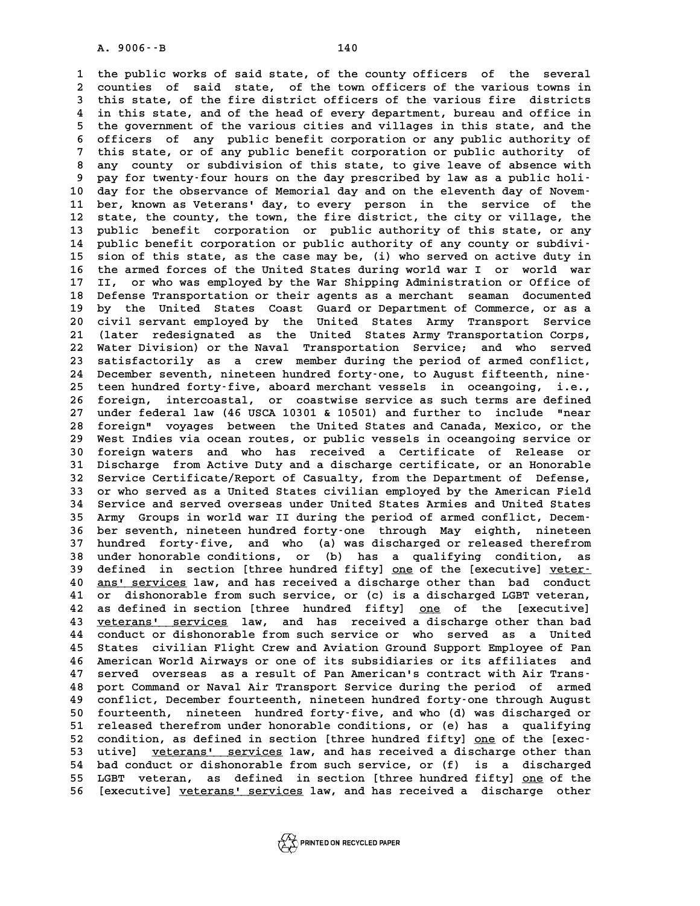**1 the public works of said state, of the county officers of the several** 1 the public works of said state, of the county officers of the several<br>2 counties of said state, of the town officers of the various towns in<br>3 this state of the fire district officers of the various fire districts 1 the public works of said state, of the county officers of the several<br>2 counties of said state, of the town officers of the various towns in<br>3 this state, of the fire district officers of the various fire districts<br>4 in 2 counties of said state, of the town officers of the various towns in<br>3 this state, of the fire district officers of the various fire districts<br>4 in this state, and of the head of every department, bureau and office in<br>5 5 this state, of the fire district officers of the various fire districts<br>4 in this state, and of the head of every department, bureau and office in<br>5 the government of the various cities and villages in this state, and th 4 in this state, and of the head of every department, bureau and office in<br>5 the government of the various cities and villages in this state, and the<br>6 officers of any public benefit corporation or any public authority of<br> <sup>5</sup> the government of the various cities and villages in this state, and the officers of any public benefit corporation or any public authority of this state, or of any public benefit corporation or public authority of  $\sim$ **8 officers of any public benefit corporation or any public authority of**<br> **8 any county or subdivision of this state, to give leave of absence with**<br> **8 any county or subdivision of this state, to give leave of absence wi** 9 this state, or of any public benefit corporation or public authority of any county or subdivision of this state, to give leave of absence with 9 pay for twenty-four hours on the day prescribed by law as a public holi-<br> **10 day for the observance of Memorial day and on the eleventh day of Novem-**9 pay for twenty-four hours on the day prescribed by law as a public holi-<br>10 day for the observance of Memorial day and on the eleventh day of Novem-<br>11 ber, known as Veterans' day, to every person in the service of the<br>1 **10 day for the observance of Memorial day and on the eleventh day of Novem-**<br>11 ber, known as Veterans' day, to every person in the service of the<br>12 state, the county, the town, the fire district, the city or village, th 11 ber, known as Veterans' day, to every person in the service of the<br>12 state, the county, the town, the fire district, the city or village, the<br>13 public benefit corporation or public authority of this state, or any<br>14 p 12 state, the county, the town, the fire district, the city or village, the<br>
13 public benefit corporation or public authority of this state, or any<br>
14 public benefit corporation or public authority of any county or subdi

**15 sion of this state, as the case may be, (i) who served on active duty in 14 public benefit corporation or public authority of any county or subdivi-**<br>15 sion of this state, as the case may be, (i) who served on active duty in<br>16 the armed forces of the United States during world war I or world **15 sion of this state, as the case may be, (i) who served on active duty in**<br>16 the armed forces of the United States during world war I or world war<br>17 II, or who was employed by the War Shipping Administration or Office 16 the armed forces of the United States during world war I or world war<br>17 II, or who was employed by the War Shipping Administration or Office of<br>18 Defense Transportation or their agents as a merchant seaman documented<br> 17 II, or who was employed by the War Shipping Administration or Office of<br>18 Defense Transportation or their agents as a merchant seaman documented<br>19 by the United States Coast Guard or Department of Commerce, or as a<br>20 18 Defense Transportation or their agents as a merchant seaman documented<br>19 by the United States Coast Guard or Department of Commerce, or as a<br>20 civil servant employed by the United States Army Transport Service<br>21 (lat 19 by the United States Coast Guard or Department of Commerce, or as a<br>20 civil servant employed by the United States Army Transport Service<br>21 (later redesignated as the United States Army Transportation Corps, **22 Water Division) or the Naval Transportation Service; and who served** 21 (later redesignated as the United States Army Transportation Corps,<br>22 Water Division) or the Naval Transportation Service; and who served<br>23 satisfactorily as a crew member during the period of armed conflict,<br>24 Decem 22 Water Division) or the Naval Transportation Service; and who served<br>
23 satisfactorily as a crew member during the period of armed conflict,<br>
24 December seventh, nineteen hundred forty-one, to August fifteenth, nine-<br> 23 satisfactorily as a crew member during the period of armed conflict,<br>24 December seventh, nineteen hundred forty-one, to August fifteenth, nine-<br>25 teen hundred forty-five, aboard merchant vessels in oceangoing, i.e.,<br>5 24 December seventh, nineteen hundred forty-one, to August fifteenth, nine-<br>25 teen hundred forty-five, aboard merchant vessels in oceangoing, i.e.,<br>26 foreign, intercoastal, or coastwise service as such terms are defined<br> 25 teen hundred forty-five, aboard merchant vessels in oceangoing, i.e.,<br>26 foreign, intercoastal, or coastwise service as such terms are defined<br>27 under federal law (46 USCA 10301 & 10501) and further to include "near<br>28 26 foreign, intercoastal, or coastwise service as such terms are defined<br>27 under federal law (46 USCA 10301 & 10501) and further to include "near<br>28 foreign" voyages between the United States and Canada, Mexico, or the<br><sup>2</sup> 27 under federal law (46 USCA 10301 & 10501) and further to include "near<br>28 foreign" voyages between the United States and Canada, Mexico, or the<br>29 West Indies via ocean routes, or public vessels in oceangoing service or 28 foreign" voyages between the United States and Canada, Mexico, or the<br>29 West Indies via ocean routes, or public vessels in oceangoing service or<br>30 foreign waters and who has received a Certificate of Release or<br>31 Dis West Indies via ocean routes, or public vessels in oceangoing service or<br>30 foreign waters and who has received a Certificate of Release or<br>31 Discharge from Active Duty and a discharge certificate, or an Honorable<br><sup>32</sup> Se 30 foreign waters and who has received a Certificate of Release or<br>31 Discharge from Active Duty and a discharge certificate, or an Honorable<br>32 Service Certificate/Report of Casualty, from the Department of Defense,<br>33 Or 31 Discharge from Active Duty and a discharge certificate, or an Honorable<br>32 Service Certificate/Report of Casualty, from the Department of Defense,<br>33 or who served as a United States civilian employed by the American Fi 32 Service Certificate/Report of Casualty, from the Department of Defense,<br>33 or who served as a United States civilian employed by the American Field<br>34 Service and served overseas under United States Armies and United St 33 or who served as a United States civilian employed by the American Field<br>34 Service and served overseas under United States Armies and United States<br>35 Army Groups in world war II during the period of armed conflict, De **34 Service and served overseas under United States Armies and United States**<br>**35 Army Groups in world war II during the period of armed conflict, Decem-**<br>**36 ber seventh, nineteen hundred forty-one through May eighth, nin 35 Army Groups in world war II during the period of armed conflict, Decem-**<br>36 ber seventh, nineteen hundred forty-one through May eighth, nineteen<br>37 hundred forty-five, and who (a) was discharged or released therefrom<br>2 **36 ber seventh, nineteen hundred forty-one through May eighth, nineteen**<br>**37 hundred forty-five, and who (a) was discharged or released therefrom**<br>**38 under honorable conditions, or (b) has a qualifying condition, as**<br>**39** 37 hundred forty-five, and who (a) was discharged or released therefrom<br>38 under honorable conditions, or (b) has a qualifying condition, as<br>39 defined in section [three hundred fifty] <u>one</u> of the [executive] <u>veter-</u><br>40 38 under honorable conditions, or (b) has a qualifying condition, as<br>39 defined in section [three hundred fifty] <u>one</u> of the [executive] <u>veter-</u><br>40 <u>ans' services</u> law, and has received a discharge other than bad conduct **40 defined in section [three hundred fifty] <u>one</u> of the [executive] <u>veter</u>-<br>
<b>40 <u>ans' services</u>** law, and has received a discharge other than bad conduct<br> **41 or dishonorable from such service, or (c) is a discharged L 42 as defined in section [three hundred fifty] one of the [executive] \_\_\_** 43 <u>veterans' services</u> law, and has received a discharge other than bad<br>44 conduct or dishonorable from such service or who served as a United 42 as defined in section [three hundred fifty] <u>one</u> of the [executive]<br>43 <u>veterans' services</u> law, and has received a discharge other than bad<br>44 conduct or dishonorable from such service or who served as a United<br>45 Sta **43 <u>veterans' services</u> law, and has received a discharge other than bad<br>44 conduct or dishonorable from such service or who served as a United<br>45 States civilian Flight Crew and Aviation Ground Support Employee of Pan<br>46 44 conduct or dishonorable from such service or who served as a United States civilian Flight Crew and Aviation Ground Support Employee of Pan<br>46 American World Airways or one of its subsidiaries or its affiliates and<br>47** 45 States civilian Flight Crew and Aviation Ground Support Employee of Pan<br>46 American World Airways or one of its subsidiaries or its affiliates and<br>47 served overseas as a result of Pan American's contract with Air Trans A american World Airways or one of its subsidiaries or its affiliates and<br>47 served overseas as a result of Pan American's contract with Air Trans-<br>48 port Command or Naval Air Transport Service during the period of armed<br> **47 served overseas as a result of Pan American's contract with Air Trans-**<br>**48 port Command or Naval Air Transport Service during the period of armed conflict, December fourteenth, nineteen hundred forty-one through Augus 50 fourt Command or Naval Air Transport Service during the period of armed<br>
49 conflict, December fourteenth, nineteen hundred forty-one through August<br>
50 fourteenth, nineteen hundred forty-five, and who (d) was discharg 51** conflict, December fourteenth, nineteen hundred forty-one through August<br>50 fourteenth, nineteen hundred forty-five, and who (d) was discharged or<br>51 released therefrom under honorable conditions, or (e) has a qualify 50 fourteenth, nineteen hundred forty-five, and who (d) was discharged or<br>51 released therefrom under honorable conditions, or (e) has a qualifying<br>52 condition, as defined in section [three hundred fifty] <u>one</u> of the [ex 51 released therefrom under honorable conditions, or (e) has a qualifying<br>52 condition, as defined in section [three hundred fifty] <u>one</u> of the [exec-<br>53 utive] <u>veterans' services</u> law, and has received a discharge other **54 bad conduct or dishonorable from such service, or (f) is a discharged 55 LGBT veteran, as defined in section [three hundred fifty] <u>one</u> of the<br>56 Jexecutivel veterans' services law, and has received a discharge other** [executive] veterans' services law, and has received a discharge other

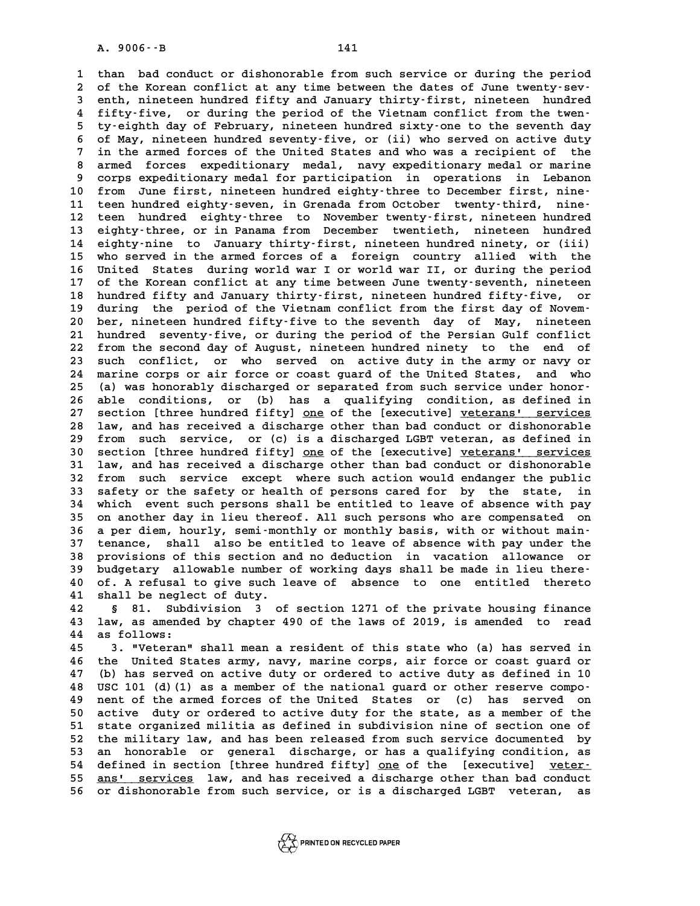**1 than bad conduct or dishonorable from such service or during the period** 1 than bad conduct or dishonorable from such service or during the period<br>2 of the Korean conflict at any time between the dates of June twenty-sev-<br>3 enth nineteen hundred fifty and January thirty-first pineteen, hundred 1 than bad conduct or dishonorable from such service or during the period<br>2 of the Korean conflict at any time between the dates of June twenty-sev-<br>3 enth, nineteen hundred fifty and January thirty-first, nineteen hundred 2 of the Korean conflict at any time between the dates of June twenty-severth, nineteen hundred fifty and January thirty-first, nineteen hundred fifty-five, or during the period of the Vietnam conflict from the twen-<br>
<sup>1</sup> **5** enth, nineteen hundred fifty and January thirty-first, nineteen hundred<br>4 fifty-five, or during the period of the Vietnam conflict from the twen-<br>5 ty-eighth day of February, nineteen hundred sixty-one to the seventh d 4 fifty-five, or during the period of the Vietnam conflict from the twen-<br>5 ty-eighth day of February, nineteen hundred sixty-one to the seventh day<br>6 of May, nineteen hundred seventy-five, or (ii) who served on active dut **5 ty-eighth day of February, nineteen hundred sixty-one to the seventh day<br>6 of May, nineteen hundred seventy-five, or (ii) who served on active duty<br>7 in the armed forces of the United States and who was a recipient of t 8 of May, nineteen hundred seventy-five, or (ii) who served on active duty**<br>7 in the armed forces of the United States and who was a recipient of the<br>8 armed forces expeditionary medal, navy expeditionary medal or marine<br> 7 in the armed forces of the United States and who was a recipient of the<br>8 armed forces expeditionary medal, navy expeditionary medal or marine<br>9 corps expeditionary medal for participation in operations in Lebanon<br>10 fro 8 armed forces expeditionary medal, navy expeditionary medal or marine<br>
9 corps expeditionary medal for participation in operations in Lebanon<br>
10 from June first, nineteen hundred eighty-three to December first, nine-<br>
<sup>1</sup> 9 corps expeditionary medal for participation in operations in Lebanon<br>
10 from June first, nineteen hundred eighty-three to December first, nine-<br>
11 teen hundred eighty-seven, in Grenada from October twenty-third, nine-<br> 10 from June first, nineteen hundred eighty-three to December first, nine-<br>11 teen hundred eighty-seven, in Grenada from October twenty-third, nine-<br>12 teen hundred eighty-three to November twenty-first, nineteen hundred<br>1 11 teen hundred eighty-seven, in Grenada from October twenty-third, nine-<br>12 teen hundred eighty-three to November twenty-first, nineteen hundred<br>13 eighty-three, or in Panama from December twentieth, nineteen hundred<br>14 e 12 teen hundred eighty-three to November twenty-first, nineteen hundred<br>13 eighty-three, or in Panama from December twentieth, nineteen hundred<br>14 eighty-nine to January thirty-first, nineteen hundred ninety, or (iii)<br>15 w 13 eighty-three, or in Panama from December twentieth, nineteen hundred<br>14 eighty-nine to January thirty-first, nineteen hundred ninety, or (iii)<br>15 who served in the armed forces of a foreign country allied with the<br>16 Un 14 eighty-nine to January thirty-first, nineteen hundred ninety, or (iii)<br>15 who served in the armed forces of a foreign country allied with the<br>16 United States during world war I or world war II, or during the period<br>17 **15 who served in the armed forces of a foreign country allied with the United States during world war I or world war II, or during the period 17 of the Korean conflict at any time between June twenty-seventh, nineteen**<br>19 16 United States during world war I or world war II, or during the period<br>17 of the Korean conflict at any time between June twenty-seventh, nineteen<br>18 hundred fifty and January thirty-first, nineteen hundred fifty-five, 17 of the Korean conflict at any time between June twenty-seventh, nineteen<br>18 hundred fifty and January thirty-first, nineteen hundred fifty-five, or<br>19 during the period of the Vietnam conflict from the first day of Nove 18 hundred fifty and January thirty-first, nineteen hundred fifty-five, or<br>19 during the period of the Vietnam conflict from the first day of Novem-<br>20 ber, nineteen hundred fifty-five to the seventh day of May, nineteen<br>2 19 during the period of the Vietnam conflict from the first day of Novem-<br>20 ber, nineteen hundred fifty-five to the seventh day of May, nineteen<br>21 hundred seventy-five, or during the period of the Persian Gulf conflict<br>2 20 ber, nineteen hundred fifty-five to the seventh day of May, nineteen<br>21 hundred seventy-five, or during the period of the Persian Gulf conflict<br>22 from the second day of August, nineteen hundred ninety to the end of<br><sup>23</sup> 21 hundred seventy-five, or during the period of the Persian Gulf conflict<br>22 from the second day of August, nineteen hundred ninety to the end of<br>23 such conflict, or who served on active duty in the army or navy or<br>24 ma 22 from the second day of August, nineteen hundred ninety to the end of<br>23 such conflict, or who served on active duty in the army or navy or<br>24 marine corps or air force or coast guard of the United States, and who<br>25 (a) 23 such conflict, or who served on active duty in the army or navy or 24 marine corps or air force or coast guard of the United States, and who (a) was honorably discharged or separated from such service under honor-<br>26 ab **26 able conditions, or (b) has a qualifying condition, as defined in** 27 section [three hundred fifty] <u>one</u> of the [executive] <u>veterans' services</u><br>28 law, and has received a discharge other than bad conduct or dishonorable **26 able conditions, or (b) has a qualifying condition, as defined in**<br>27 section [three hundred fifty] <u>one</u> of the [executive] <u>veterans' services</u><br>28 law, and has received a discharge other than bad conduct or dishonora 27 section [three hundred fifty] <u>one</u> of the [executive] <u>veterans' services</u><br>28 law, and has received a discharge other than bad conduct or dishonorable<br>29 from such service, or (c) is a discharged LGBT veteran, as defin **38 law, and has received a discharge other than bad conduct or dishonorable**<br>**29 from such service, or (c) is a discharged LGBT veteran, as defined in**<br>**30 section [three hundred fifty]** <u>one</u> of the [executive] <u>veterans</u> 29 from such service, or (c) is a discharged LGBT veteran, as defined in section [three hundred fifty] <u>one</u> of the [executive] <u>veterans' services</u> 31 law, and has received a discharge other than bad conduct or dishonorab 30 section [three hundred fifty] <u>one</u> of the [executive] <u>veterans' services</u><br>31 law, and has received a discharge other than bad conduct or dishonorable<br>32 from such service except where such action would endanger the pu **31 law, and has received a discharge other than bad conduct or dishonorable**<br>**32 from such service except where such action would endanger the public**<br>**33 safety or the safety or health of persons cared for by the state,** 32 from such service except where such action would endanger the public<br>33 safety or the safety or health of persons cared for by the state, in<br>34 which event such persons shall be entitled to leave of absence with pay<br>25 33 safety or the safety or health of persons cared for by the state, in<br>34 which event such persons shall be entitled to leave of absence with pay<br>35 on another day in lieu thereof. All such persons who are compensated on<br> 34 which event such persons shall be entitled to leave of absence with pay<br>35 on another day in lieu thereof. All such persons who are compensated on<br>36 a per diem, hourly, semi-monthly or monthly basis, with or without ma 35 on another day in lieu thereof. All such persons who are compensated on<br>36 a per diem, hourly, semi-monthly or monthly basis, with or without main-<br>37 tenance, shall also be entitled to leave of absence with pay under t **36 a per diem, hourly, semi-monthly or monthly basis, with or without main-**<br>37 tenance, shall also be entitled to leave of absence with pay under the<br>38 provisions of this section and no deduction in vacation allowance o 37 tenance, shall also be entitled to leave of absence with pay under the<br>38 provisions of this section and no deduction in vacation allowance or<br>39 budgetary allowable number of working days shall be made in lieu there-<br><sup></sup> 38 provisions of this section and no deduction in vacation allowance or<br>39 budgetary allowable number of working days shall be made in lieu there-<br>40 of. A refusal to give such leave of absence to one entitled thereto<br>41 s budgetary allowable number of working days shall be made in lieu there-<br>40 of. A refusal to give such leave of absence to one entitled thereto<br>41 shall be neglect of duty.<br>42 s 81. Subdivision 3 of section 1271 of the priv **40 of. A refusal to give such leave of absence to one entitled thereto**<br>**41 shall be neglect of duty.**<br>**42 § 81. Subdivision 3 of section 1271 of the private housing finance**<br>**43 law, as amended by chapter 490 of the laws** 

**41 shall be neglect of duty.**<br>42 § 81. Subdivision 3 of section 1271 of the private housing finance<br>43 law, as amended by chapter 490 of the laws of 2019, is amended to read<br>44 35 follows: **42 s** 81. Subd<br>**43 law, as amende**<br>**44 as follows:**<br><sup>45</sup> <sup>3</sup> "Woterar" **43 law, as amended by chapter 490 of the laws of 2019, is amended to read<br>44 as follows:<br>3. "Veteran" shall mean a resident of this state who (a) has served in<br>46 the United States army, navy marine sarra air forse ar sea** 

44 as follows:<br>45 3. "Veteran" shall mean a resident of this state who (a) has served in<br>46 the United States army, navy, marine corps, air force or coast guard or<br>47 (b) has served on active duty or ordered to active duty **47 (b) has served on active duty or ordered to active duty as defined in 10** 46 the United States army, navy, marine corps, air force or coast guard or<br>47 (b) has served on active duty or ordered to active duty as defined in 10<br>48 USC 101 (d)(1) as a member of the national guard or other reserve co 47 (b) has served on active duty or ordered to active duty as defined in 10<br>48 USC 101 (d) (1) as a member of the national guard or other reserve compo-<br>49 nent of the armed forces of the United States or (c) has served on **50 48 USC 101 (d) (1) as a member of the national guard or other reserve compo-**<br>**49 nent of the armed forces of the United States or (c) has served on**<br>**50 active duty or ordered to active duty for the state, as a member 49 nent of the armed forces of the United States or (c) has served on**<br>50 active duty or ordered to active duty for the state, as a member of the<br>51 state organized militia as defined in subdivision nine of section one of 50 active duty or ordered to active duty for the state, as a member of the<br>51 state organized militia as defined in subdivision nine of section one of<br>52 the military law, and has been released from such service documented 51 state organized militia as defined in subdivision nine of section one of<br>52 the military law, and has been released from such service documented by<br>53 an honorable or general discharge, or has a qualifying condition, as 52 the military law, and has been released from such service documented by<br>53 an honorable or general discharge, or has a qualifying condition, as<br>54 defined in section [three hundred fifty] <u>one</u> of the [executive] <u>veter</u> 53 an honorable or general discharge, or has a qualifying condition, as<br>54 defined in section [three hundred fifty] <u>one</u> of the [executive] <u>veter-</u><br>55 <u>ans' services</u> law, and has received a discharge other than bad cond 54 defined in section [three hundred fifty] <u>one</u> of the [executive] <u>veter-</u><br>55 <u>ans' services</u> law, and has received a discharge other than bad conduct<br>56 or dishonorable from such service, or is a discharged LGBT vetera

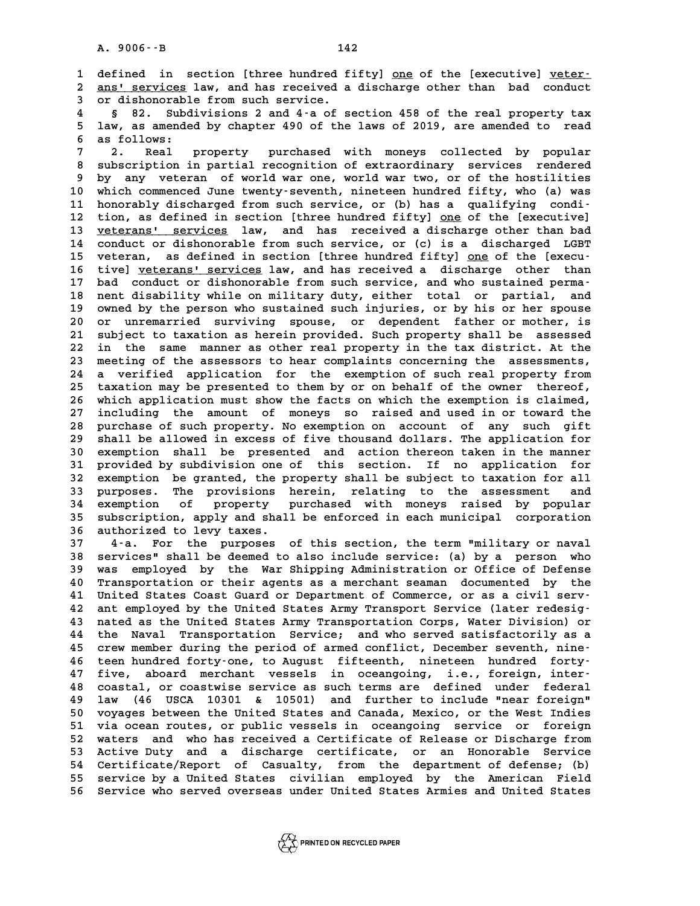**142**<br>**1** defined in section [three hundred fifty] <u>one</u> of the [executive] <u>veter-</u><br>2 angl services law and bas reseived a discharge other than bad senduct 1 defined in section [three hundred fifty] <u>one</u> of the [executive] <u>veter.</u><br>2 <u>ans' services</u> law, and has received a discharge other than bad conduct 1 defined in section [three hundred f<br>2 <u>ans' services</u> law, and has received a<br>3 or dishonorable from such service. **4 ans' services law, and has received a discharge other than bad conduct**<br>3 or dishonorable from such service.<br>4 8 82. Subdivisions 2 and 4-a of section 458 of the real property tax<br>5 law as amonded by chapter 490 of the

**5 law, as amended by chapter 490 of the laws of 2019, are amended to read** 4 § 82. Subd<br>5 law, as amende<br>6 as follows:<br><sup>7</sup> <sup>2</sup> <sup>Boal</sup> 5 law, as amended by chapter 490 of the laws of 2019, are amended to read<br>6 as follows:<br>7 2. Real property purchased with moneys collected by popular<br>8 subscription in portial researching of subscription corrises repeated

8 as follows:<br> **8 subscription in partial recognition of extraordinary services rendered**<br> **8 subscription in partial recognition of extraordinary services rendered**<br> **9 by any veteran of world war one, world war two, or o 9 by any veteran of world war one, world war two, or of the hostilities** 8 subscription in partial recognition of extraordinary services rendered<br>
9 by any veteran of world war one, world war two, or of the hostilities<br>
10 which commenced June twenty-seventh, nineteen hundred fifty, who (a) was 9 by any veteran of world war one, world war two, or of the hostilities<br>
10 which commenced June twenty-seventh, nineteen hundred fifty, who (a) was<br>
11 honorably discharged from such service, or (b) has a qualifying condi which commenced June twenty-seventh, nineteen hundred fifty, who (a) was<br>11 honorably discharged from such service, or (b) has a qualifying condi-<br>12 tion, as defined in section [three hundred fifty] <u>one</u> of the [executiv 13 veterans' services law, and has received a discharge other than bad<br>14 conduct or dishonorable from such service, or (c) is a discharged LGBT 12 tion, as defined in section [three hundred fifty] <u>one</u> of the [executive]<br>13 <u>veterans' services</u> law, and has received a discharge other than bad<br>14 conduct or dishonorable from such service, or (c) is a discharged LG 13 <u>veterans' services</u> law, and has received a discharge other than bad<br>14 conduct or dishonorable from such service, or (c) is a discharged LGBT<br>15 veteran, as defined in section [three hundred fifty] <u>one</u> of the [execu 14 conduct or dishonorable from such service, or (c) is a discharged LGBT<br>15 veteran, as defined in section [three hundred fifty] <u>one</u> of the [execu-<br>16 tive] <u>veterans' services</u> law, and has received a discharge other t 15 veteran, as defined in section [three hundred fifty] <u>one</u> of the [execu-<br>16 tive] <u>veterans' services</u> law, and has received a discharge other than<br>17 bad conduct or dishonorable from such service, and who sustained pe **16 tive** veterans' services law, and has received a discharge other than<br>
17 bad conduct or dishonorable from such service, and who sustained perma-<br>
18 nent disability while on military duty, either total or partial, and 17 bad conduct or dishonorable from such service, and who sustained perma-<br>18 nent disability while on military duty, either total or partial, and<br>19 owned by the person who sustained such injuries, or by his or her spouse 18 nent disability while on military duty, either total or partial, and<br>19 owned by the person who sustained such injuries, or by his or her spouse<br>20 or unremarried surviving spouse, or dependent father or mother, is<br>21 s 19 owned by the person who sustained such injuries, or by his or her spouse<br>20 or unremarried surviving spouse, or dependent father or mother, is<br>21 subject to taxation as herein provided. Such property shall be assessed 20 or unremarried surviving spouse, or dependent father or mother, is<br>21 subject to taxation as herein provided. Such property shall be assessed<br>22 in the same manner as other real property in the tax district. At the<br>23 m 21 subject to taxation as herein provided. Such property shall be assessed<br>22 in the same manner as other real property in the tax district. At the<br>23 meeting of the assessors to hear complaints concerning the assessments, 22 in the same manner as other real property in the tax district. At the<br>23 meeting of the assessors to hear complaints concerning the assessments,<br>24 a verified application for the exemption of such real property from<br>25 23 meeting of the assessors to hear complaints concerning the assessments,<br>24 a verified application for the exemption of such real property from<br>25 taxation may be presented to them by or on behalf of the owner thereof,<br>2 24 a verified application for the exemption of such real property from<br>25 taxation may be presented to them by or on behalf of the owner thereof,<br>26 which application must show the facts on which the exemption is claimed,<br> 25 taxation may be presented to them by or on behalf of the owner thereof,<br>26 which application must show the facts on which the exemption is claimed,<br>27 including the amount of moneys so raised and used in or toward the<br>2 which application must show the facts on which the exemption is claimed,<br>27 including the amount of moneys so raised and used in or toward the<br>28 purchase of such property. No exemption on account of any such gift<br>29 shall 27 including the amount of moneys so raised and used in or toward the<br>28 purchase of such property. No exemption on account of any such gift<br>29 shall be allowed in excess of five thousand dollars. The application for<br>20 pr 28 purchase of such property. No exemption on account of any such gift<br>29 shall be allowed in excess of five thousand dollars. The application for<br>30 exemption shall be presented and action thereon taken in the manner<br>31 p **30** shall be allowed in excess of five thousand dollars. The application for<br>30 exemption shall be presented and action thereon taken in the manner<br>31 provided by subdivision one of this section. If no application for<br>32 30 exemption shall be presented and action thereon taken in the manner<br>31 provided by subdivision one of this section. If no application for<br>32 exemption be granted, the property shall be subject to taxation for all<br>33 pur 31 provided by subdivision one of this section. If no application for<br>32 exemption be granted, the property shall be subject to taxation for all<br>33 purposes. The provisions herein, relating to the assessment and<br>34 exempti 32 exemption be granted, the property shall be subject to taxation for all 33 purposes. The provisions herein, relating to the assessment and<br>34 exemption of property purchased with moneys raised by popular<br>35 subscription, apply and shall be enforced in each municipal corporation 34 exemption of property<br>35 subscription, apply and shal<br>36 authorized to levy taxes. 35 subscription, apply and shall be enforced in each municipal corporation<br>36 authorized to levy taxes.<br>37 4-a. For the purposes of this section, the term "military or naval<br>28 degrees of the planet to also include service

**36 authorized to levy taxes.**<br>37 4-a. For the purposes of this section, the term "military or naval<br>38 services" shall be deemed to also include service: (a) by a person who<br>39 year omnloyed by the War Shinning Administra **4-a. For the purposes of this section, the term "military or naval<br>38 services" shall be deemed to also include service: (a) by a person who<br>39 was employed by the War Shipping Administration or Office of Defense**<br>40 Tran **40 Services" shall be deemed to also include service: (a) by a person who**<br>**40 Transportation or their agents as a merchant seaman documented by the**<br>**40 Transportation or their agents as a merchant seaman documented by t** 39 was employed by the War Shipping Administration or Office of Defense<br>40 Transportation or their agents as a merchant seaman documented by the<br>41 United States Coast Guard or Department of Commerce, or as a civil serv-<br>4 **42 ant employed by the United States Army Transport Service (later redesig-43 nated as the United States Army Transportation Corps, Water Division) or** 42 ant employed by the United States Army Transport Service (later redesig-<br>43 nated as the United States Army Transportation Corps, Water Division) or<br>44 the Naval Transportation Service; and who served satisfactorily as a pated as the United States Army Transportation Corps, Water Division) or<br>
44 the Naval Transportation Service; and who served satisfactorily as a<br>
45 crew member during the period of armed conflict, December seventh, nin 44 the Naval Transportation Service; and who served satisfactorily as a<br>45 crew member during the period of armed conflict, December seventh, nine-<br>46 teen hundred forty-one, to August fifteenth, nineteen hundred forty-<br><sup>4</sup> 45 crew member during the period of armed conflict, December seventh, nine-<br>46 teen hundred forty-one, to August fifteenth, nineteen hundred forty-<br>47 five, aboard merchant vessels in oceangoing, i.e., foreign, inter-<br>28 c **46 teen hundred forty-one, to August fifteenth, nineteen hundred forty-**<br>**47 five, aboard merchant vessels in oceangoing, i.e., foreign, inter-**<br>**48 coastal, or coastwise service as such terms are defined under federal**<br>1 **47 five, aboard merchant vessels in oceangoing, i.e., foreign, inter-**<br>**48 coastal, or coastwise service as such terms are defined under federal**<br>**49 law (46 USCA 10301 & 10501) and further to include "near foreign"**<br>50 v **50 48 coastal, or coastwise service as such terms are defined under federal**<br>**50 voyages between the United States and Canada, Mexico, or the West Indies**<br>**51 via ogean routes or public vessels in ogeangoing service or fo 19 law (46 USCA 10301 & 10501) and further to include "near foreign"**<br>
50 voyages between the United States and Canada, Mexico, or the West Indies<br>
51 via ocean routes, or public vessels in oceangoing service or foreign<br> **50 voyages between the United States and Canada, Mexico, or the West Indies<br>51 via ocean routes, or public vessels in oceangoing service or foreign<br>52 waters and who has received a Certificate of Release or Discharge from** 51 via ocean routes, or public vessels in oceangoing service or foreign<br>52 waters and who has received a Certificate of Release or Discharge from<br>53 Active Duty and a discharge certificate, or an Honorable Service<br>54 Certi 52 waters and who has received a Certificate of Release or Discharge from<br>53 Active Duty and a discharge certificate, or an Honorable Service<br>54 Certificate/Report of Casualty, from the department of defense; (b)<br>55 servic 53 Active Duty and a discharge certificate, or an Honorable Service<br>54 Certificate/Report of Casualty, from the department of defense; (b)<br>55 service by a United States civilian employed by the American Field<br>56 Service th 54 Certificate/Report of Casualty, from the department-of-defense; (b)<br>55 service-by-a-United-States civilian employed by the American Field<br>56 Service-who-served-overseas-under-United-States-Armies-and-United-States

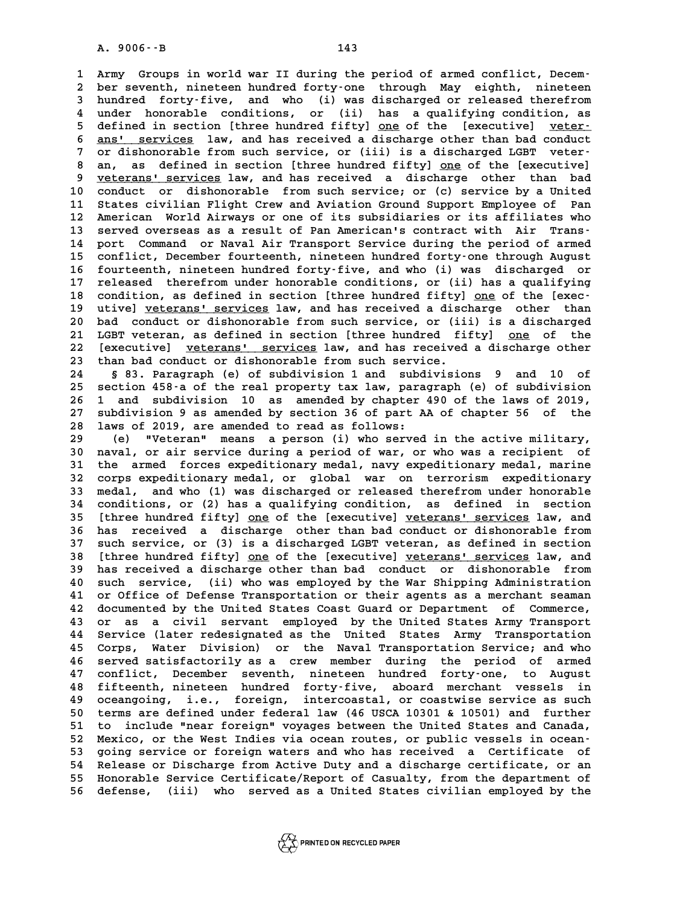A. 9006<sup>--B</sup><br>1 Army Groups in world war II during the period of armed conflict, Decem-<br>2 ber geventh pineteen bundred ferty-one through May eighth pineteen **2** Army Groups in world war II during the period of armed conflict, Decem-<br>2 ber seventh, nineteen hundred forty-one through May eighth, nineteen<br>3 bundred, forty-five, and who (i) was discharged or released therefrom **3 hundred forty-five and war II during the period of armed conflict, Decem-**<br>2 ber seventh, nineteen hundred forty-one through May eighth, nineteen<br>3 hundred forty-five, and who (i) was discharged or released therefrom<br>4 2 ber seventh, nineteen hundred forty-one through May eighth, nineteen<br>3 hundred forty-five, and who (i) was discharged or released therefrom<br>4 under honorable conditions, or (ii) has a qualifying condition, as<br>5 dofined i 3 hundred forty-five, and who (i) was discharged or released therefrom<br>4 under honorable conditions, or (ii) has a qualifying condition, as<br>5 defined in section [three hundred fifty] <u>one</u> of the [executive] <u>veter-</u><br>5 and 4 under honorable conditions, or (ii) has a qualifying condition, as<br>5 defined in section [three hundred fifty] <u>one</u> of the [executive] <u>veter-</u><br>6 <u>ans' services</u> law, and has received a discharge other than bad conduct<br>2 **7** defined in section [three hundred fifty] <u>one</u> of the [executive] <u>veter-</u><br> **6** ans' services law, and has received a discharge other than bad conduct<br> **7** or dishonorable from such service, or (iii) is a discharged LG 8 ans' services law, and has received a discharge other than bad conduct<br>
7 or dishonorable from such service, or (iii) is a discharged LGBT veter-<br>
8 an, as defined in section [three hundred fifty] <u>one</u> of the [executive 9 or dishonorable from such service, or (iii) is a discharged LGBT veter-<br>8 an, as defined in section [three hundred fifty] <u>one</u> of the [executive]<br>9 <u>veterans' services</u> law, and has received a discharge other than bad<br>1 8 an, as defined in section [three hundred fifty] <u>one</u> of the [executive]<br>9 <u>veterans' services</u> law, and has received a discharge other than bad<br>10 conduct or dishonorable from such service; or (c) service by a United<br>11 9 <u>veterans' services</u> law, and has received a discharge other than bad<br>10 conduct or dishonorable from such service; or (c) service by a United<br>11 States civilian Flight Crew and Aviation Ground Support Employee of Pan<br>12 **10** Conduct or dishonorable from such service; or (c) service by a United<br>11 States civilian Flight Crew and Aviation Ground Support Employee of Pan<br>12 American World Airways or one of its subsidiaries or its affiliates w 11 States civilian Flight Crew and Aviation Ground Support Employee of Pan<br>12 American World Airways or one of its subsidiaries or its affiliates who<br>13 served overseas as a result of Pan American's contract with Air Trans 12 American World Airways or one of its subsidiaries or its affiliates who<br>13 served overseas as a result of Pan American's contract with Air Trans-<br>14 port Command or Naval Air Transport Service during the period of armed 13 served overseas as a result of Pan American's contract with Air Trans-<br>14 port Command or Naval Air Transport Service during the period of armed<br>15 conflict, December fourteenth, nineteen hundred forty-one through Augus 14 port Command or Naval Air Transport Service during the period of armed<br>15 conflict, December fourteenth, nineteen hundred forty-one through August<br>16 fourteenth, nineteen hundred forty-five, and who (i) was discharged o **15 conflict, December fourteenth, nineteen hundred forty-one through August**<br>16 fourteenth, nineteen hundred forty-five, and who (i) was discharged or<br>17 released therefrom under honorable conditions, or (ii) has a qualif 16 fourteenth, nineteen hundred forty-five, and who (i) was discharged or<br>17 released therefrom under honorable conditions, or (ii) has a qualifying<br>18 condition, as defined in section [three hundred fifty] <u>one</u> of the [e 17 released therefrom under honorable conditions, or (ii) has a qualifying<br>18 condition, as defined in section [three hundred fifty] <u>one</u> of the [exec-<br>19 utive] <u>veterans' services</u> law, and has received a discharge othe 20 **20 bad condition, as defined in section** [three hundred fifty] <u>one</u> of the [exec-<br>19 utive] <u>veterans' services</u> law, and has received a discharge other than<br>20 bad conduct or dishonorable from such service, or (iii) 19 utive] <u>veterans' services</u> law, and has received a discharge other than<br>20 bad conduct or dishonorable from such service, or (iii) is a discharged<br>21 LGBT veteran, as defined in section [three hundred fifty] <u>one</u> of t 20 bad conduct or dishonorable from such service, or (iii) is a discharged<br>21 LGBT veteran, as defined in section [three hundred fifty] <u>one</u> of the<br>22 [executive] <u>veterans' services</u> law, and has received a discharge oth 21 LGBT veteran, as defined in section [three hundred fi<br>
22 [executive] <u>veterans' services</u> law, and has received<br>
23 than bad conduct or dishonorable from such service.<br>
24 5.23 Paragraph (c) of subdivision 1 and subdiv **22 [executive] <u>veterans' services</u> law, and has received a discharge other<br>
23 than bad conduct or dishonorable from such service.<br>
24 § 83. Paragraph (e) of subdivision 1 and subdivisions 9 and 10 of<br>
25 Section 452:2 o** 

23 than bad conduct or dishonorable from such service.<br>
24 § 83. Paragraph (e) of subdivision 1 and subdivisions 9 and 10 of<br>
25 section 458-a of the real property tax law, paragraph (e) of subdivision<br>
26 1 and subdivisio 8 1 24 24 26 1 and subdivision 1 and subdivisions 9 and 10 of<br>
25 section 458-a of the real property tax law, paragraph (e) of subdivision<br>
26 1 and subdivision 10 as amended by chapter 490 of the laws of 2019,<br>
27 subdivi 25 section 458-a of the real property tax law, paragraph (e) of subdivision<br>26 1 and subdivision 10 as amended by chapter 490 of the laws of 2019,<br>27 subdivision 9 as amended by section 36 of part AA of chapter 56 of the 26 1 and subdivision 10 as amended by chapter 490 of the laws of 2019,<br>27 subdivision 9 as amended by section 36 of part AA of chapter 56 of the<br>28 laws of 2019, are amended to read as follows:<br>29 (e) "Veteran" means a per 27 subdivision 9 as amended by section 36 of part AA of chapter 56 of the<br>28 laws of 2019, are amended to read as follows:<br>29 (e) "Veteran" means a person (i) who served in the active military,<br>30 naval, or air service dur

**30 naval, or air service during a period of war, or who was a recipient of 39** (e) "Veteran" means a person (i) who served in the active military,<br>30 naval, or air service during a period of war, or who was a recipient of<br>31 the armed forces expeditionary medal, navy expeditionary medal, marine<br> **30 naval, or air service during a period of war, or who was a recipient of<br>31 the armed forces expeditionary medal, navy expeditionary medal, marine<br>32 corps expeditionary medal, or global war on terrorism expeditionary<br>3** 31 the armed forces expeditionary medal, navy expeditionary medal, marine<br>32 corps expeditionary medal, or global war on terrorism expeditionary<br>33 medal, and who (1) was discharged or released therefrom under honorable<br>24 32 corps expeditionary medal, or global war on terrorism expeditionary<br>33 medal, and who (1) was discharged or released therefrom under honorable<br>34 conditions, or (2) has a qualifying condition, as defined in section<br>35 [ 35 [three hundred fifty] <u>one</u> of the [executive] <u>veterans' services</u> law, and<br>36 has received a discharge other than bad conduct or dishonorable from 34 conditions, or (2) has a qualifying condition, as defined in section<br>35 [three hundred fifty] <u>one</u> of the [executive] <u>veterans' services</u> law, and<br>36 has received a discharge other than bad conduct or dishonorable fro **35 [three hundred fifty] <u>one</u> of the [executive] veterans' services law, and<br>36 has received a discharge other than bad conduct or dishonorable from<br>37 such service, or (3) is a discharged LGBT veteran, as defined in sec 36 has received a discharge other than bad conduct or dishonorable from<br>37 such service, or (3) is a discharged LGBT veteran, as defined in section<br>38 [three hundred fifty] <u>one</u> of the [executive] <u>veterans' services</u> la** 37 such service, or (3) is a discharged LGBT veteran, as defined in section<br>38 [three hundred fifty] <u>one</u> of the [executive] <u>veterans' services</u> law, and<br>39 has received a discharge other than bad conduct or dishonorable 18 [three hundred fifty] <u>one</u> of the [executive] <u>veterans' services</u> law, and<br>
19 has received a discharge other than bad conduct or dishonorable from<br>
40 such service, (ii) who was employed by the War Shipping Administr All has received a discharge other than bad conduct or dishonorable from<br>40 such service, (ii) who was employed by the War Shipping Administration<br>41 or Office of Defense Transportation or their agents as a merchant seaman **42 documented by the United States Coast Guard or Department of Commerce, 43 or as a civil servant employed by the United States Army Transport 42 documented by the United States Coast Guard or Department of Commerce,<br>43 or as a civil servant employed by the United States Army Transport<br>44 Service (later redesignated as the United States Army Transportation<br>6 Cor 43 or as a civil servant employed by the United States Army Transport**<br>44 Service (later redesignated as the United States Army Transportation<br>45 Corps, Water Division) or the Naval Transportation Service; and who<br>46 Serv **44 Service (later redesignated as the United States Army Transportation**<br>45 Corps, Water Division) or the Naval Transportation Service; and who<br>46 served satisfactorily as a crew member during the period of armed<br>47 serii 45 Corps, Water Division) or the Naval Transportation Service; and who<br>46 served satisfactorily as a crew member during the period of armed<br>47 conflict, December seventh, nineteen hundred forty-one, to August **46 served satisfactorily as a crew member during the period of armed conflict, December seventh, nineteen hundred forty-one, to August 18 fifteenth, nineteen hundred forty-five, aboard merchant vessels in<br>18 connecing i.e** 47 conflict, December seventh, nineteen hundred forty-one, to August<br>48 fifteenth, nineteen hundred forty-five, aboard merchant vessels in<br>49 oceangoing, i.e., foreign, intercoastal, or coastwise service as such<br>50 terms a **50 terms are defined in the set of the set of the set of the set of the set of the set of terms are defined under federal law (46 USCA 10301 & 10501) and further<br>
50 terms are defined under federal law (46 USCA 10301 & 10 51 oceangoing, i.e., foreign, intercoastal, or coastwise service as such terms are defined under federal law (46 USCA 10301 & 10501) and further to include "near foreign" voyages between the United States and Canada,**<br> **1** 50 terms are defined under federal law (46 USCA 10301 & 10501) and further<br>51 to include "near foreign" voyages between the United States and Canada,<br>52 Mexico, or the West Indies via ocean routes, or public vessels in oce 51 to include "near foreign" voyages between the United States and Canada,<br>52 Mexico, or the West Indies via ocean routes, or public vessels in ocean-<br>53 going service or foreign waters and who has received a Certificate o 52 Mexico, or the West Indies via ocean routes, or public vessels in ocean-<br>53 going service or foreign waters and who has received a Certificate of<br>54 Release or Discharge from Active Duty and a discharge certificate, or 53 going service or foreign waters and who has received a Certificate of<br>54 Release or Discharge from Active Duty and a discharge certificate, or an<br>55 Honorable Service Certificate/Report of Casualty, from the department 55 Honorable Service Certificate/Report of Casualty, from the department of<br>56 defense, (iii) who served as a United States civilian employed by the

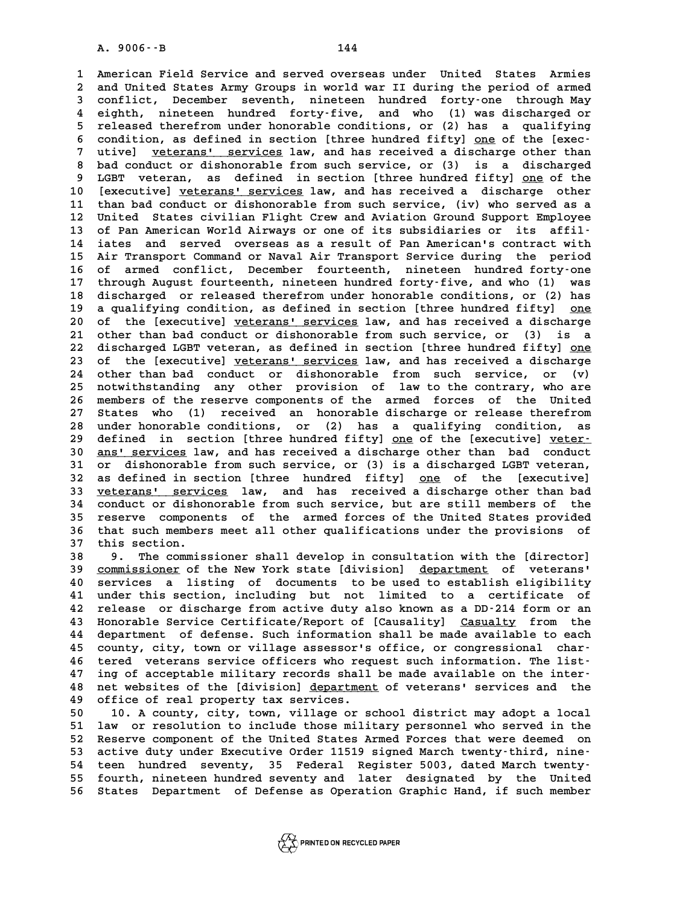**1 American Field Service and served overseas under United States Armies 2** American Field Service and served overseas under United States Armies<br>2 and United States Army Groups in world war II during the period of armed<br>3 conflict - December seventh , nineteen hundred forty.one through May **3** American Field Service and served overseas under United States Armies<br> **3 and United States Army Groups in world war II during the period of armed**<br> **3 conflict, December seventh, nineteen hundred forty-one through May** 2 and United States Army Groups in world war II during the period of armed<br>3 conflict, December seventh, nineteen hundred forty-one through May<br>4 eighth, nineteen hundred forty-five, and who (1) was discharged or<br>5 release 3 conflict, December seventh, nineteen hundred forty-one through May<br>4 eighth, nineteen hundred forty-five, and who (1) was discharged or<br>5 released therefrom under honorable conditions, or (2) has a qualifying<br>5 condition 4 eighth, nineteen hundred forty-five, and who (1) was discharged or<br>5 released therefrom under honorable conditions, or (2) has a qualifying<br>6 condition, as defined in section [three hundred fifty] <u>one</u> of the [exec-<br>7 u 7 released therefrom under honorable conditions, or (2) has a qualifying<br>6 condition, as defined in section [three hundred fifty] <u>one</u> of the [exec-<br>7 utive] <u>veterans' services</u> law, and has received a discharge other th **8** condition, as defined in section [three hundred fifty] <u>one</u> of the [exec-<br>
7 utive] <u>veterans' services</u> law, and has received a discharge other than<br>
8 bad conduct or dishonorable from such service, or (3) is a disch 9 utive] <u>veterans' services</u> law, and has received a discharge other than<br>
8 bad conduct or dishonorable from such service, or (3) is a discharged<br>
9 LGBT veteran, as defined in section [three hundred fifty] <u>one</u> of the<br> 8 bad conduct or dishonorable from such service, or (3) is a discharged<br>9 LGBT veteran, as defined in section [three hundred fifty] <u>one</u> of the<br>10 [executive] <u>veterans' services</u> law, and has received a discharge other<br>1 10 LGBT veteran, as defined in section [three hundred fifty] <u>one</u> of the<br>10 [executive] <u>veterans' services</u> law, and has received a discharge other<br>11 than bad conduct or dishonorable from such service, (iv) who served a 10 [executive] <u>veterans' services</u> law, and has received a discharge other<br>11 than bad conduct or dishonorable from such service, (iv) who served as a<br>12 United States civilian Flight Crew and Aviation Ground Support Empl 11 than bad conduct or dishonorable from such service, (iv) who served as a<br>12 United States civilian Flight Crew and Aviation Ground Support Employee<br>13 of Pan American World Airways or one of its subsidiaries or its affi 12 United States civilian Flight Crew and Aviation Ground Support Employee<br>13 of Pan American World Airways or one of its subsidiaries or its affil-<br>14 iates and served overseas as a result of Pan American's contract with<br> 13 of Pan American World Airways or one of its subsidiaries or its affil-<br>14 iates and served overseas as a result of Pan American's contract with<br>15 Air Transport Command or Naval Air Transport Service during the period<br>1 14 iates and served overseas as a result of Pan American's contract with<br>15 Air Transport Command or Naval Air Transport Service during the period<br>16 of armed conflict, December fourteenth, nineteen hundred forty-one<br>17 th Air Transport Command or Naval Air Transport Service during the period<br>16 of armed conflict, December fourteenth, nineteen hundred forty-one<br>17 through August fourteenth, nineteen hundred forty-five, and who (1) was<br>discha **16 of armed conflict, December fourteenth, nineteen hundred forty-one**<br>17 through August fourteenth, nineteen hundred forty-five, and who (1) was<br>18 discharged or released therefrom under honorable conditions, or (2) has<br> 17 through August fourteenth, nineteen hundred forty-five, and who (1) was<br>18 discharged or released therefrom under honorable conditions, or (2) has<br>19 a qualifying condition, as defined in section [three hundred fifty] <u></u> 18 discharged or released therefrom under honorable conditions, or (2) has<br>19 a qualifying condition, as defined in section [three hundred fifty] <u>one</u><br>20 of the [executive] <u>veterans' services</u> law, and has received a dis **20** a qualifying condition, as defined in section [three hundred fifty] <u>one</u><br>20 of the [executive] <u>veterans' services</u> law, and has received a discharge<br>21 other than bad conduct or dishonorable from such service, or (3 20 of the [executive] <u>veterans' services</u> law, and has received a discharge<br>21 other than bad conduct or dishonorable from such service, or (3) is a<br>22 discharged LGBT veteran, as defined in section [three hundred fifty] 21 other than bad conduct or dishonorable from such service, or (3) is a<br>22 discharged LGBT veteran, as defined in section [three hundred fifty] <u>one</u><br>23 of the [executive] <u>veterans' services</u> law, and has received a disc 22 discharged LGBT veteran, as defined in section [three hundred fifty] <u>one</u><br>23 of the [executive] <u>veterans' services</u> law, and has received a discharge<br>24 other than bad conduct or dishonorable from such service, or (v) 23 of the [executive] <u>veterans' services</u> law, and has received a discharge<br>24 other than bad conduct or dishonorable from such service, or (v)<br>25 notwithstanding any other provision of law to the contrary, who are<br>26 nom 24 other than bad conduct or dishonorable from such service, or (v)<br>25 notwithstanding any other provision of law to the contrary, who are<br>26 members of the reserve components of the armed forces of the United<br>27 States wh 25 notwithstanding any other provision of law to the contrary, who are<br>26 members of the reserve components of the armed forces of the United<br>27 States who (1) received an honorable discharge or release therefrom<br>28 under 26 members of the reserve components of the armed forces of the United 27 States who (1) received an honorable discharge or release therefrom 28 under honorable conditions, or (2) has a qualifying condition, as defined in 27 States who (1) received an honorable discharge or release therefrom<br>28 under honorable conditions, or (2) has a qualifying condition, as<br>29 defined in section [three hundred fifty] <u>one</u> of the [executive] <u>veter-</u><br>20 a and the probable conditions, or (2) has a qualifying condition, as<br>
29 defined in section [three hundred fifty] <u>one</u> of the [executive] <u>veter</u><br>
30 <u>ans' services</u> law, and has received a discharge other than bad conduct<br> **39 defined in section [three hundred fifty] <u>one</u> of the [executive] <u>veter-</u><br>30 <u>ans' services</u> law, and has received a discharge other than bad conduct<br>31 or dishonorable from such service, or (3) is a discharged LGBT v 30** <u>ans' services</u> law, and has received a discharge other than bad conduct<br>31 or dishonorable from such service, or (3) is a discharged LGBT veteran,<br>32 as defined in section [three hundred fifty] <u>one</u> of the [executiv 31 or dishonorable from such service, or (3) is a discharged LGBT veteran,<br>32 as defined in section [three hundred fifty] <u>one</u> of the [executive]<br>33 <u>veterans' services</u> law, and has received a discharge other than bad<br>24 32 as defined in section [three hundred fifty] <u>one</u> of the [executive]<br>33 <u>veterans' services</u> law, and has received a discharge other than bad<br>34 conduct or dishonorable from such service, but are still members of the 33 <u>veterans' services</u> law, and has received a discharge other than bad<br>34 conduct or dishonorable from such service, but are still members of the<br>35 reserve components of the armed forces of the United States provided<br>26 34 conduct or dishonorable from such service, but are still members of the<br>35 reserve components of the armed forces of the United States provided<br>36 that such members meet all other qualifications under the provisions of<br> 35 reserve compone<br>36 that such member<br>37 this section.

that such members meet all other qualifications under the provisions of<br>37 this section.<br>38 9. The commissioner shall develop in consultation with the [director]<br>39 <u>commissioner</u> of the New York state [division] <u>departme</u> <sup>1</sup><br>
37 this section.<br>
38 9. The commissioner shall develop in consultation with the [director]<br>
39 <u>commissioner</u> of the New York state [division] <u>department</u> of veterans'<br>
40 secusions a listing of degunants to be used 9. The commissioner shall develop in consultation with the [director]<br> **40** <u>commissioner</u> of the New York state [division] <u>department</u> of veterans'<br> **40** services a listing of documents to be used to establish eligibilit **41 under this section, including but not limited to a certificate of 40** services a listing of documents to be used to establish eligibility<br>41 under this section, including but not limited to a certificate of<br>42 release or discharge from active duty also known as a DD-214 form or an<br>43 Ho 41 under this section, including but not limited to a certificate of<br>42 release or discharge from active duty also known as a DD-214 form or an<br>43 Honorable Service Certificate/Report of [Causality] <u>Casualty</u> from the<br>44 **42 release or discharge from active duty also known as a DD-214 form or an<br>43 Honorable Service Certificate/Report of [Causality] <u>Casualty</u> from the<br>44 department of defense. Such information shall be made available to e** 43 Honorable Service Certificate/Report of [Causality] Casualty from the<br>44 department of defense. Such information shall be made available to each<br>45 county, city, town or village assessor's office, or congressional char-44 department of defense. Such information shall be made available to each<br>45 county, city, town or village assessor's office, or congressional char-<br>46 tered veterans service officers who request such information. The lis **47 ing of acceptable military records shall be made available on the inter-**46 tered veterans service officers who request such information. The list-<br>47 ing of acceptable military records shall be made available on the inter-<br>48 net websites of the [division] <u>department</u> of veterans' services an **47 ing of acceptable military records shall<br>48 net websites of the [division] <u>departmen</u><br>49 office of real property tax services.<br>50 10 A county sity town willows or 5 50 10. A counting 10. A counting 10. A counting 10. A county, city, town, village or school district may adopt a local<br>
10. A county, city, town, village or school district may adopt a local<br>
11. A county, city, town, vil** 

**50 office of real property tax services.**<br>
50 10. A county, city, town, village or school district may adopt a local<br>
51 law or resolution to include those military personnel who served in the<br>
52 Beserve serpeated fits U **10. A county, city, town, village or school district may adopt a local**<br> **51 law or resolution to include those military personnel who served in the**<br> **52 Reserve component of the United States Armed Forces that were deem** 51 law or resolution to include those military personnel who served in the<br>
52 Reserve component of the United States Armed Forces that were deemed on<br>
53 active duty under Executive Order 11519 signed March twenty-third, **54 teen hundred seventy, 35 Federal Register 5003, dated March twenty-**53 active duty under Executive Order 11519 signed March twenty-third, nine-<br>54 teen hundred seventy, 35 Federal Register 5003, dated March twenty-<br>55 fourth, nineteen hundred seventy and later designated by the United<br>56 S 54 teen hundred seventy, 35 Federal Register 5003, dated March twenty<br>55 fourth, nineteen hundred seventy and later designated by the United<br>56 States Department of Defense as Operation Graphic Hand, if such member

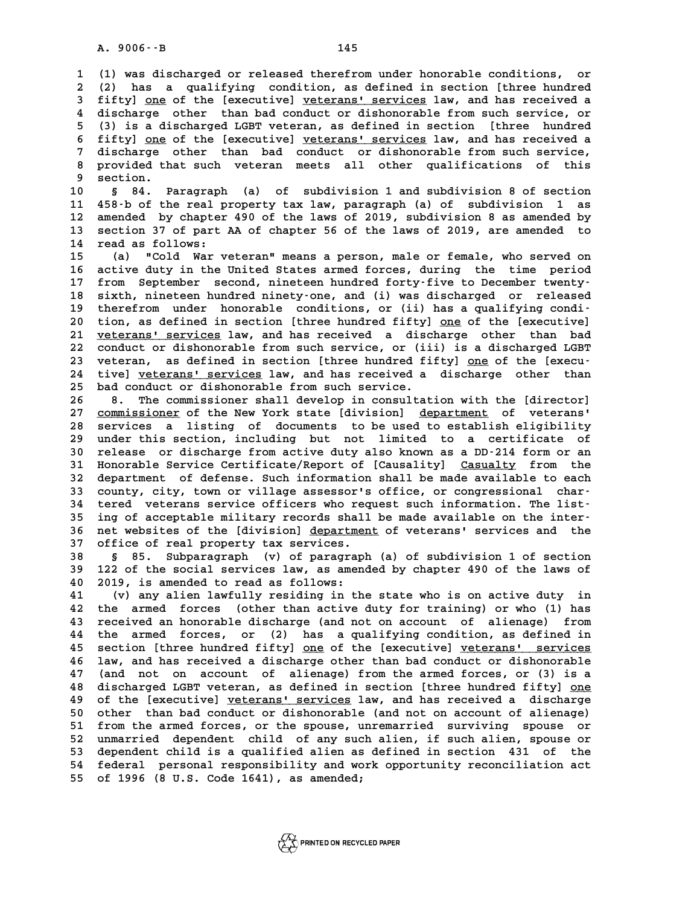**1 (1) was discharged or released therefrom under honorable conditions, or 2 (2) has a qualifying condition, as defined in section [three hundred** 1 (1) was discharged or released therefrom under honorable conditions, or<br>2 (2) has a qualifying condition, as defined in section [three hundred<br>3 fifty] <u>one</u> of the [executive] <u>veterans' services</u> law, and has received 2 (2) has a qualifying condition, as defined in section [three hundred<br>3 fifty] <u>one</u> of the [executive] <u>veterans' services</u> law, and has received a<br>4 discharge other than bad conduct or dishonorable from such service, or **5 fifty one of the [executive] veterans' services law, and has received a**<br>**4 discharge other than bad conduct or dishonorable from such service, or**<br>**5** (3) is a discharged LGBT veteran, as defined in section [three hund 4 discharge other than bad conduct or dishonorable from such service, or<br>
5 (3) is a discharged LGBT veteran, as defined in section [three hundred<br>
6 fifty] <u>one</u> of the [executive] <u>veterans' services</u> law, and has receiv <sup>5</sup> (3) is a discharged LGBT veteran, as defined in section [three hundred<br>6 fifty] <u>one</u> of the [executive] <u>veterans' services</u> law, and has received a<br>7 discharge other than bad conduct or dishonorable from such service **8 fifty** one of the [executive] veterans' services law, and has received a<br>**8 discharge other than bad conduct or dishonorable from such service,<br>8 provided that such veteran meets all other qualifications of this** 7 discharge other than bad conduct or dishonorable from such service,<br>8 provided that such veteran meets all other qualifications of this<br>9 section.<br>10 § 84. Paragraph (a) of subdivision 1 and subdivision 8 of section

**10 § 84. Paragraph (a) of subdivision 1 and subdivision 8 of section 11 458-b of the real property tax law, paragraph (a) of subdivision 1 as 10 5** 84. Paragraph (a) of subdivision 1 and subdivision 8 of section<br>11 458 b of the real property tax law, paragraph (a) of subdivision 1 as<br>12 amended by chapter 490 of the laws of 2019, subdivision 8 as amended by<br>1 11 458 b of the real property tax law, paragraph (a) of subdivision 1 as<br>12 amended by chapter 490 of the laws of 2019, subdivision 8 as amended by<br>13 section 37 of part AA of chapter 56 of the laws of 2019, are amended to 12 amended by chapter<br>13 section 37 of part<br>14 read as follows:<br>15 (a) "Cold War w 13 section 37 of part AA of chapter 56 of the laws of 2019, are amended to<br>14 read as follows:<br>15 (a) "Cold War veteran" means a person, male or female, who served on<br>16 active duty in the United States armed forces, durin

14 read as follows:<br>15 (a) "Cold War veteran" means a person, male or female, who served on<br>16 active duty in the United States armed forces, during the time period<br>17 from Sontember 50000d pineteen hundred fortu-five to D **15** (a) "Cold War veteran" means a person, male or female, who served on active duty in the United States armed forces, during the time period 17 from September second, nineteen hundred forty-five to December twenty-<br> **18** 16 active duty in the United States armed forces, during the time period<br>17 from September second, nineteen hundred forty-five to December twenty-<br>18 sixth, nineteen hundred ninety-one, and (i) was discharged or released<br>t 17 from September second, nineteen hundred forty-five to December twenty-<br>18 sixth, nineteen hundred ninety-one, and (i) was discharged or released<br>19 therefrom under honorable conditions, or (ii) has a qualifying condi-<br>2 18 sixth, nineteen hundred ninety-one, and (i) was discharged or released<br>19 therefrom under honorable conditions, or (ii) has a qualifying condi-<br>20 tion, as defined in section [three hundred fifty] <u>one</u> of the [executiv 19 therefrom under honorable conditions, or (ii) has a qualifying condi-<br>20 tion, as defined in section [three hundred fifty] <u>one</u> of the [executive]<br>21 <u>veterans' services</u> law, and has received a discharge other than ba 20 tion, as defined in section [three hundred fifty] <u>one</u> of the [executive]<br>21 <u>veterans' services</u> law, and has received a discharge other than bad<br>22 conduct or dishonorable from such service, or (iii) is a discharged **21 <u>veterans'</u> services law, and has received a discharge other than bad<br>22 conduct or dishonorable from such service, or (iii) is a discharged LGBT<br>23 veteran, as defined in section [three hundred fifty] <u>one</u> of the [ex** 22 conduct or dishonorable from such service, or (iii) is a discharged LGBT<br>23 veteran, as defined in section [three hundred fifty] <u>one</u> of the [execu-<br>24 tive] <u>veterans' services</u> law, and has received a discharge other 23 veteran, as defined in section [three hundred fi<br>24 tive] <u>veterans' services</u> law, and has received a<br>25 bad conduct or dishonorable from such service.<br>26 <sup>o</sup> mbo commissioner shall develop in separation 24 tive] <u>veterans' services</u> law, and has received a discharge other than<br>25 bad conduct or dishonorable from such service.<br>26 8. The commissioner shall develop in consultation with the [director]<br>27 commissioner of the N

25 bad conduct or dishonorable from such service.<br>
26 8. The commissioner shall develop in consultation with the [director]<br>
27 <u>commissioner</u> of the New York state [division] <u>department</u> of veterans'<br>
28 services a listi **26 8. The commissioner shall develop in consultation with the [director]**<br> **27 <u>commissioner</u> of the New York state [division] <u>department</u> of veterans'<br>
28 services a listing of documents to be used to establish eligibil** 27 <u>commissioner</u> of the New York state [division] <u>department</u> of veterans'<br>28 services a listing of documents to be used to establish eligibility<br>29 under this section, including but not limited to a certificate of<br>20 re **30 services a listing of documents to be used to establish eligibility**<br> **29 under this section, including but not limited to a certificate of**<br> **30 release or discharge from active duty also known as a DD-214 form or an** 29 under this section, including but not limited to a certificate of 30 release or discharge from active duty also known as a DD-214 form or an 31 Honorable Service Certificate/Report of [Causality] Casualty from the depar 30 release or discharge from active duty also known as a DD-214 form or an<br>31 Honorable Service Certificate/Report of [Causality] <u>Casualty</u> from the<br>32 department of defense. Such information shall be made available to ea 31 Honorable Service Certificate/Report of [Causality] Casualty from the<br>32 department of defense. Such information shall be made available to each<br>33 county, city, town or village assessor's office, or congressional char-32 department of defense. Such information shall be made available to each<br>33 county, city, town or village assessor's office, or congressional char-<br>34 tered veterans service officers who request such information. The lis 33 county, city, town or village assessor's office, or congressional char-<br>34 tered veterans service officers who request such information. The list-<br>35 ing of acceptable military records shall be made available on the int 34 tered veterans service officers who request such information. The list-<br>35 ing of acceptable military records shall be made available on the inter-<br>36 net websites of the [division] <u>department</u> of veterans' services an 35 ing of acceptable military records shall be made available on the inter-<br>36 net websites of the [division] <u>department</u> of veterans' services and the<br>37 office of real property tax services.<br>38 \$ 85. Subparagraph (v) of **36 net websites of the [division] <u>department</u> of veterans' services and the<br>37 office of real property tax services.<br>38 § 85. Subparagraph (v) of paragraph (a) of subdivision 1 of section<br>39 122 of the social services la** 

**37 office of real property tax services.**<br> **38 § 85. Subparagraph (v) of paragraph (a) of subdivision 1 of section**<br> **39 122 of the social services law, as amended by chapter 490 of the laws of** 8 85. Subparagraph (v) of paragrap<br> **40 2019, is amended to read as follows:**<br> **40 2019, is amended to read as follows:**<br> **41** (v) any alien lawfully residing in th

122 of the social services law, as amended by chapter 490 of the laws of 40 2019, is amended to read as follows:<br>41 (v) any alien lawfully residing in the state who is on active duty in<br>42 the armed forces (other than acti **42 the armed forces (other than active duty for training) or who (1) has 43 received an honorable discharge (and not on account of alienage) from 44 the armed forces, or (2) has a qualifying condition, as defined in** 43 received an honorable discharge (and not on account of alienage) from<br>44 the armed forces, or (2) has a qualifying condition, as defined in<br>45 section [three hundred fifty] <u>one</u> of the [executive] <u>veterans' services</u><br> 44 the armed forces, or (2) has a qualifying condition, as defined in<br>45 section [three hundred fifty] <u>one</u> of the [executive] <u>veterans' services</u><br>46 law, and has received a discharge other than bad conduct or dishonorab **45 section [three hundred fifty] <u>one</u> of the [executive] <u>veterans' services</u><br>46 law, and has received a discharge other than bad conduct or dishonorable<br>47 (and not on account of alienage) from the armed forces, or (3) 46 law, and has received a discharge other than bad conduct or dishonorable**<br>**47 (and not on account of alienage) from the armed forces, or (3) is a**<br>**48 discharged LGBT veteran, as defined in section [three hundred fifty** 47 (and not on account of alienage) from the armed forces, or (3) is a<br>48 discharged LGBT veteran, as defined in section [three hundred fifty] <u>one</u><br>49 of the [executive] <u>veterans' services</u> law, and has received a discha discharged LGBT veteran, as defined in section [three hundred fifty] <u>one</u><br>49 of the [executive] <u>veterans' services</u> law, and has received a discharge<br>50 other than bad conduct or dishonorable (and not on account of alien **51 from the armed forces, or the spouse, unremarried surviving spouse or** 50 other than bad conduct or dishonorable (and not on account of alienage)<br>51 from the armed forces, or the spouse, unremarried surviving spouse or<br>52 unmarried dependent child of any such alien, if such alien, spouse or<br>5 51 from the armed forces, or the spouse, unremarried surviving spouse or<br>52 unmarried dependent child of any such alien, if such alien, spouse or<br>53 dependent child is a qualified alien as defined in section 431 of the<br>54 52 unmarried dependent child of any such alien, if such alien, spouse or<br>53 dependent child is a qualified alien as defined in section 431 of the<br>54 federal personal responsibility and work opportunity reconciliation act<br>5 **55 of 1996 (8 U.S. Code 1641), as amended;**

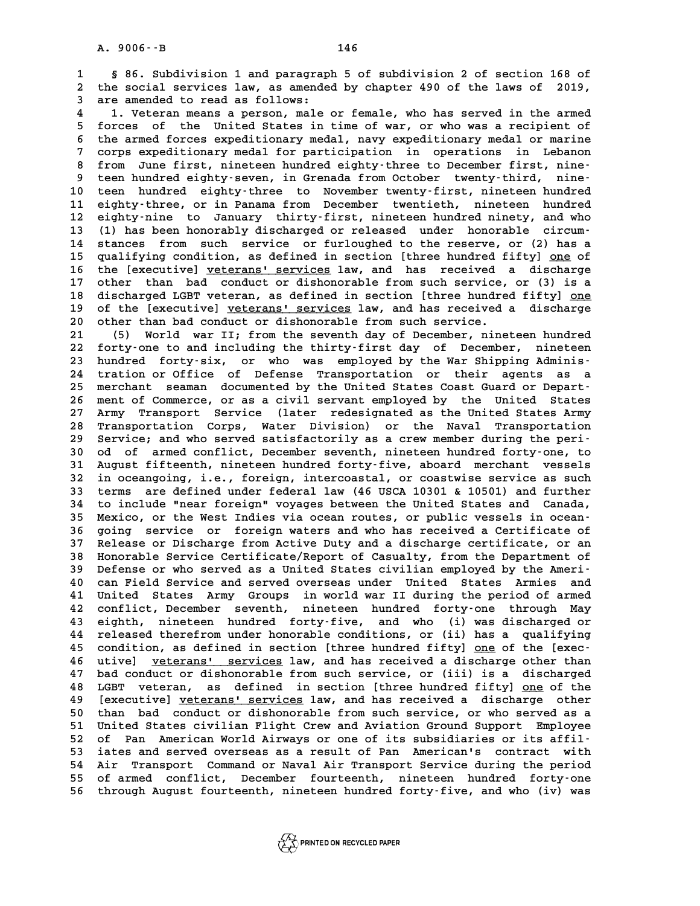**1 § 86. Subdivision 1 and paragraph 5 of subdivision 2 of section 168 of 2** 1 S 86. Subdivision 1 and paragraph 5 of subdivision 2 of section 168 of<br>2 the social services law, as amended by chapter 490 of the laws of 2019, **3 86. Subdivision 1 and paragrap**<br> **2** the social services law, as amended<br> **3** are amended to read as follows: 2 the social services law, as amended by chapter 490 of the laws of 2019,<br>3 are amended to read as follows:<br>4 1. Veteran means a person, male or female, who has served in the armed<br>5 forces of the United States in time of

3 are amended to read as follows:<br>
4 1. Veteran means a person, male or female, who has served in the armed<br>
5 forces of the United States in time of war, or who was a recipient of<br>
6 the armed forces expeditionary medal, **6 the armed forces expeditionary medal, navy expeditionary medal or marine** 5 forces of the United States in time of war, or who was a recipient of<br>6 the armed forces expeditionary medal, navy expeditionary medal or marine<br>7 corps expeditionary medal for participation in operations in Lebanon<br>5 fr 6 the armed forces expeditionary medal, navy expeditionary medal or marine<br>
7 corps expeditionary medal for participation in operations in Lebanon<br>
8 from June first, nineteen hundred eighty-three to December first, nine-<br> P corps expeditionary medal for participation in operations in Lebanon<br>
8 from June first, nineteen hundred eighty-three to December first, nine-<br>
9 teen hundred eighty-seven, in Grenada from October twenty-third, nine-<br>
1 8 from June first, nineteen hundred eighty-three to December first, nine-<br>10 teen hundred eighty-seven, in Grenada from October twenty-third, nine-<br>10 teen hundred eighty-three to November twenty-first, nineteen hundred<br>11 9 teen hundred eighty-seven, in Grenada from October twenty-third, nine-<br>10 teen hundred eighty-three to November twenty-first, nineteen hundred<br>11 eighty-three, or in Panama from December twentieth, nineteen hundred<br>22 ei 10 teen hundred eighty-three to November twenty-first, nineteen hundred<br>11 eighty-three, or in Panama from December twentieth, nineteen hundred<br>12 eighty-nine to January thirty-first, nineteen hundred ninety, and who<br>13 (1 11 eighty-three, or in Panama from December twentieth, nineteen hundred<br>
12 eighty-nine to January thirty-first, nineteen hundred ninety, and who<br>
13 (1) has been honorably discharged or released under honorable circum-<br>
<sup></sup> 12 eighty-nine to January thirty-first, nineteen hundred ninety, and who<br>13 (1) has been honorably discharged or released under honorable circum-<br>14 stances from such service or furloughed to the reserve, or (2) has a<br>15 q 14 stances from such service or furloughed to the reserve, or (2) has a<br>15 qualifying condition, as defined in section [three hundred fifty] <u>one</u> of<br>16 the lexecutivel veterans' services law, and, has, received, a dischar 14 stances from such service or furloughed to the reserve, or (2) has a<br>15 qualifying condition, as defined in section [three hundred fifty] <u>one</u> of<br>16 the [executive] <u>veterans' services</u> law, and has received a discharg qualifying condition, as defined in section [three hundred fifty] <u>one</u> of<br>16 the [executive] <u>veterans' services</u> law, and has received a discharge<br>17 other than bad conduct or dishonorable from such service, or (3) is a<br> **16** the [executive] <u>veterans' services</u> law, and has received a discharge other than bad conduct or dishonorable from such service, or (3) is a discharged LGBT veteran, as defined in section [three hundred fifty] <u>one</u> o 17 other than bad conduct or dishonorable from such service, or (3) is a<br>18 discharged LGBT veteran, as defined in section [three hundred fifty] <u>one</u><br>19 of the [executive] <u>veterans' services</u> law, and has received a disc 18 discharged LGBT veteran, as defined in section [three hundre<br>19 of the [executive] <u>veterans' services</u> law, and has received<br>20 other than bad conduct or dishonorable from such service.<br>21 (5) World war II: from the se

20 of the [executive] <u>veterans' services</u> law, and has received a discharge<br>20 other than bad conduct or dishonorable from such service.<br>21 (5) World war II; from the seventh day of December, nineteen hundred<br>22 forty-one 20 other than bad conduct or dishonorable from such service.<br>
21 (5) World war II; from the seventh day of December, nineteen hundred<br>
22 forty-one to and including the thirty-first day of December, nineteen<br>
23 hundred fo 21 (5) World war II; from the seventh day of December, nineteen hundred<br>
22 forty-one to and including the thirty-first day of December, nineteen<br>
23 hundred forty-six, or who was employed by the War Shipping Adminis-<br>
24 22 forty-one to and including the thirty-first day of December, nineteen<br>23 hundred forty-six, or who was employed by the War Shipping Adminis-<br>24 tration or Office of Defense Transportation or their agents as a<br>25 meraban 23 hundred forty-six, or who was employed by the War Shipping Adminis-<br>24 tration or Office of Defense Transportation or their agents as a<br>25 merchant seaman documented by the United States Coast Guard or Depart-<br>26 mert o 24 tration or Office of Defense Transportation or their agents as a<br>25 merchant seaman documented by the United States Coast Guard or Depart-<br>26 ment of Commerce, or as a civil servant employed by the United States<br>27 Army 25 merchant seaman documented by the United States Coast Guard or Depart-<br>26 ment of Commerce, or as a civil servant employed by the United States<br>27 Army Transport Service (later redesignated as the United States Army<br>28 26 ment of Commerce, or as a civil servant employed by the United States 27 Army Transport Service (later redesignated as the United States Army 28 Transportation Corps, Water Division) or the Naval Transportation 29 Servi 27 Army Transport Service (later redesignated as the United States Army<br>28 Transportation Corps, Water Division) or the Naval Transportation<br>29 Service; and who served satisfactorily as a crew member during the peri-<br>20 ed **30 Transportation Corps, Water Division) or the Naval Transportation**<br> **30 Service; and who served satisfactorily as a crew member during the peri-**<br> **30 od of armed conflict, December seventh, nineteen hundred forty-one,** Service; and who served satisfactorily as a crew member during the peri-<br>30 od of armed conflict, December seventh, nineteen hundred forty-one, to<br>31 August fifteenth, nineteen hundred forty-five, aboard merchant vessels<br><sup></sup> 30 od of armed conflict, December seventh, nineteen hundred forty-one, to<br>31 August fifteenth, nineteen hundred forty-five, aboard merchant vessels<br>32 in oceangoing, i.e., foreign, intercoastal, or coastwise service as suc **31 August fifteenth, nineteen hundred forty-five, aboard merchant vessels<br>32 in oceangoing, i.e., foreign, intercoastal, or coastwise service as such<br>33 terms are defined under federal law (46 USCA 10301 & 10501) and furt** 32 in oceangoing, i.e., foreign, intercoastal, or coastwise service as such<br>33 terms are defined under federal law (46 USCA 10301 & 10501) and further<br>34 to include "near foreign" voyages between the United States and Cana 33 terms are defined under federal law (46 USCA 10301 & 10501) and further<br>34 to include "near foreign" voyages between the United States and Canada,<br>35 Mexico, or the West Indies via ocean routes, or public vessels in oce **34 to include "near foreign" voyages between the United States and Canada,<br>35 Mexico, or the West Indies via ocean routes, or public vessels in ocean-<br>36 going service or foreign waters and who has received a Certificate 35 Mexico, or the West Indies via ocean routes, or public vessels in ocean-**<br>36 going service or foreign waters and who has received a Certificate of<br>37 Release or Discharge from Active Duty and a discharge certificate, o **36 going service or foreign waters and who has received a Certificate of Release or Discharge from Active Duty and a discharge certificate, or an Honorable Service Certificate/Report of Casualty, from the Department of De** Release or Discharge from Active Duty and a discharge certificate, or an<br>
38 Honorable Service Certificate/Report of Casualty, from the Department of<br>
39 Defense or who served as a United States civilian employed by the Am **40 a 30 B and Service Certificate/Report of Casualty, from the Department of Defense or who served as a United States civilian employed by the Ameri-**<br>**40 can Field Service and served overseas under United States Armies a** 19 Defense or who served as a United States civilian employed by the Ameri-<br>
40 can Field Service and served overseas under United States Armies and<br>
41 United States Army Groups in world war II during the period of armed<br> 40 can Field Service and served overseas under United States Armies and<br>41 United States Army Groups in world war II during the period of armed<br>42 conflict, December seventh, nineteen hundred forty-one through May<br>43 eight 41 United States Army Groups in world war II during the period of armed<br>42 conflict, December seventh, nineteen hundred forty-one through May<br>43 eighth, nineteen hundred forty-five, and who (i) was discharged or<br>44 release 42 conflict, December seventh, nineteen hundred forty-one through May<br>43 eighth, nineteen hundred forty-five, and who (i) was discharged or<br>44 released therefrom under honorable conditions, or (ii) has a qualifying<br>25 cond 43 eighth, nineteen hundred forty-five, and who (i) was discharged or<br>44 released therefrom under honorable conditions, or (ii) has a qualifying<br>45 condition, as defined in section [three hundred fifty] <u>one</u> of the [exec-**44 released therefrom under honorable conditions, or (ii) has a qualifying<br>45 condition, as defined in section [three hundred fifty] <u>one</u> of the [exec-<br>46 utive] <u>veterans' services</u> law, and has received a discharge oth** 45 condition, as defined in section [three hundred fifty] <u>one</u> of the [exec-<br>46 utive] <u>veterans' services</u> law, and has received a discharge other than<br>47 bad conduct or dishonorable from such service, or (iii) is a disc **46 utivel <u>veterans' services</u> law, and has received a discharge other than<br>47 bad conduct or dishonorable from such service, or (iii) is a discharged<br>48 LGBT veteran, as defined in section [three hundred fifty] <u>one</u> of** 47 bad conduct or dishonorable from such service, or (iii) is a discharged<br>48 LGBT veteran, as defined in section [three hundred fifty] <u>one</u> of the<br>49 [executive] <u>veterans' services</u> law, and has received a discharge oth **50 than bad conduct or dishonorable from such service, or who served as a 50 [executive] <u>veterans' services</u> law, and has received a discharge other<br>50 than bad conduct or dishonorable from such service, or who served as a<br>51 United States civilian Flight Crew and Aviation Ground Support Emplo** 50 than bad conduct or dishonorable from such service, or who served as a<br>
51 United States civilian Flight Crew and Aviation Ground Support Employee<br>
52 of Pan American World Airways or one of its subsidiaries or its affi 51 United States civilian Flight Crew and Aviation Ground Support Employee<br>52 of Pan American World Airways or one of its subsidiaries or its affil-<br>53 iates and served overseas as a result of Pan American's contract with<br> 52 of Pan American World Airways or one of its subsidiaries or its affil-<br>53 iates and served overseas as a result of Pan American's contract with<br>54 Air Transport Command or Naval Air Transport Service during the period<br>5 53 iates and served overseas as a result of Pan American's contract with<br>54 Air Transport Command or Naval Air Transport Service during the period<br>55 of armed conflict, December fourteenth, nineteen hundred forty-one<br>56 th 54 Air Transport Command or Naval Air Transport Service during the period<br>55 of armed conflict, December fourteenth, nineteen hundred forty-one<br>56 through August fourteenth, nineteen hundred forty-five, and who (iv) was

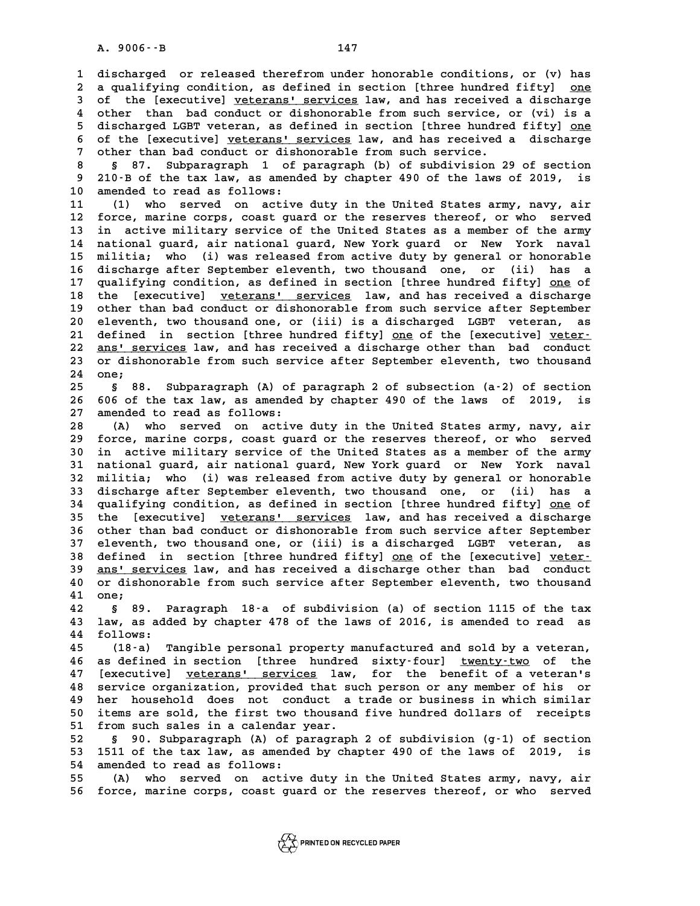**1 discharged or released therefrom under honorable conditions, or (v) has 2** discharged or released therefrom under honorable conditions, or (v) has<br>2 a qualifying condition, as defined in section [three hundred fifty] <u>one</u><br>3 of the lexequiivel veterans' services law, and has received a discha 1 discharged or released therefrom under honorable conditions, or (v) has<br>2 a qualifying condition, as defined in section [three hundred fifty] <u>one</u><br>3 of the [executive] <u>veterans' services</u> law, and has received a discha a qualifying condition, as defined in section [three hundred fifty] <u>one</u><br>3 of the [executive] <u>veterans' services</u> law, and has received a discharge<br>4 other than bad conduct or dishonorable from such service, or (vi) is a 5 of the [executive] <u>veterans' services</u> law, and has received a discharge<br>4 other than bad conduct or dishonorable from such service, or (vi) is a<br>5 discharged LGBT veteran, as defined in section [three hundred fifty] <u>o</u> 4 other than bad conduct or dishonorable from such service, or (vi) is a<br>5 discharged LGBT veteran, as defined in section [three hundred fifty] <u>one</u><br>6 of the [executive] <u>veterans' services</u> law, and has received a discha 5 discharged LGBT veteran, as defined in section [three hundre<br>6 of the [executive] <u>veterans' services</u> law, and has received<br>7 other than bad conduct or dishonorable from such service. **8 of the [executive] <u>veterans' services</u> law, and has received a discharge<br>
7 other than bad conduct or dishonorable from such service.<br>
8 87. Subparagraph 1 of paragraph (b) of subdivision 29 of section<br>
8 210.5 of the** 

9 210-B other than bad conduct or dishonorable from such service.<br>
9 210-B of the tax law, as amended by chapter 490 of the laws of 2019, is<br>
9 2019, is 8 **5 87.** Subparagraph 1 of 1<br>
9 210 B of the tax law, as amend<br>
10 amended to read as follows:<br>
11 (1) who served on active 11 (1) a served on active duty in the United States army, navy, air<br>
11 (1) who served on active duty in the United States army, navy, air<br>
12 force marine corps coast wird or the reserves thereof or who served

10 amended to read as follows:<br>
11 (1) who served on active duty in the United States army, navy, air<br>
12 force, marine corps, coast guard or the reserves thereof, or who served<br>
13 in active military service of the United 11 (1) who served on active duty in the United States army, navy, air<br>12 force, marine corps, coast guard or the reserves thereof, or who served<br>13 in active military service of the United States as a member of the army<br>14 12 force, marine corps, coast guard or the reserves thereof, or who served<br>13 in active military service of the United States as a member of the army<br>14 national guard, air national guard, New York guard or New York naval<br> 13 in active military service of the United States as a member of the army<br>14 national guard, air national guard, New York guard or New York naval<br>15 militia; who (i) was released from active duty by general or honorable<br>1 14 national guard, air national guard, New York guard or New York naval<br>15 militia; who (i) was released from active duty by general or honorable<br>16 discharge after September eleventh, two thousand one, or (ii) has a<br>17 qu 15 militia; who (i) was released from active duty by general or honorable<br>16 discharge after September eleventh, two thousand one, or (ii) has a<br>17 qualifying condition, as defined in section [three hundred fifty] <u>one</u> of 16 discharge after September eleventh, two thousand one, or (ii) has a<br>17 qualifying condition, as defined in section [three hundred fifty] <u>one</u> of<br>18 the [executive] <u>veterans' services</u> law, and has received a discharge 17 qualifying condition, as defined in section [three hundred fifty] <u>one</u> of<br>18 the [executive] <u>veterans' services</u> law, and has received a discharge<br>19 other than bad conduct or dishonorable from such service after Sept 18 the [executive] <u>veterans' services</u> law, and has received a discharge<br>19 other than bad conduct or dishonorable from such service after September<br>20 eleventh, two thousand one, or (iii) is a discharged LGBT veteran, as 21 other than bad conduct or dishonorable from such service after September<br>20 eleventh, two thousand one, or (iii) is a discharged LGBT veteran, as<br>21 defined in section [three hundred fifty] <u>one</u> of the [executive] <u>vet</u> 20 eleventh, two thousand one, or (iii) is a discharged LGBT veteran, as<br>21 defined in section [three hundred fifty] <u>one</u> of the [executive] <u>veter-</u><br>22 <u>ans' services</u> law, and has received a discharge other than bad con 21 defined in section [three hundred fifty] <u>one</u> of the [executive] <u>veter-</u><br>22 <u>ans' services</u> law, and has received a discharge other than bad conduct<br>23 or dishonorable from such service after September eleventh, two t 22 <u>ans'se</u><br>23 or dish<br>24 one;<br><sup>25 s</sup> <sup>99</sup> 23 or dishonorable from such service after September eleventh, two thousand<br>24 one;<br>25 § 88. Subparagraph (A) of paragraph 2 of subsection (a-2) of section<br>26 606 of the tax law, as amended by chapter 490 of the laws of 20

24 one;<br>25 § 88. Subparagraph (A) of paragraph 2 of subsection (a–2) of section<br>26 606 of the tax law, as amended by chapter 490 of the laws of 2019, is<br>27 amended to read as follows: 25 **§ 88. Subparagraph (A) of 26 606 of the tax law, as amended**<br>27 amended to read as follows:<br>28 (A) the serves are astive

**28 (A) who served on active duty in the United States army, navy, air 29 force, marine corps, coast guard or the reserves thereof, or who served 30 in active military service of the United States as a member of the army 39 force, marine corps, coast guard or the reserves thereof, or who served**<br>30 in active military service of the United States as a member of the army<br>31 national guard, air national guard, New York guard or New York nava 30 in active military service of the United States as a member of the army<br>31 national guard, air national guard, New York guard or New York naval<br>32 militia; who (i) was released from active duty by general or honorable<br>3 **31 national guard, air national guard, New York guard or New York naval**<br>**32 militia; who (i) was released from active duty by general or honorable**<br>**33 discharge after September eleventh, two thousand one, or (ii) has a** 32 militia; who (i) was released from active duty by general or honorable<br>33 discharge after September eleventh, two thousand one, or (ii) has a<br>34 qualifying condition, as defined in section [three hundred fifty] <u>one</u> of 33 discharge after September eleventh, two thousand one, or (ii) has a<br>34 qualifying condition, as defined in section [three hundred fifty] <u>one</u> of<br>35 the [executive] <u>veterans' services</u> law, and has received a discharge **34 qualifying condition, as defined in section [three hundred fifty] <u>one</u> of<br>35 the [executive] <u>veterans' services</u> law, and has received a discharge<br>36 other than bad conduct or dishonorable from such service after Sep 35 the [executive] <u>veterans' services</u> law, and has received a discharge other than bad conduct or dishonorable from such service after September eleventh, two thousand one, or (iii) is a discharged LGBT veteran, as defi** 36 other than bad conduct or dishonorable from such service after September<br>37 eleventh, two thousand one, or (iii) is a discharged LGBT veteran, as<br>38 defined in section [three hundred fifty] <u>one</u> of the [executive] <u>vet</u> 37 eleventh, two thousand one, or (iii) is a discharged LGBT veteran, as<br>38 defined in section [three hundred fifty] <u>one</u> of the [executive] <u>veter-</u><br>39 <u>ans' services</u> law, and has received a discharge other than bad con **40 38 defined in section [three hundred fifty] <u>one</u> of the [executive] <u>veter-</u><br><b>40 or dishonorable from such service after September eleventh, two thousand**<br>41 ope: ans' services law, and has received a discharge other than bad conduct<br>40 or dishonorable from such service after September eleventh, two thousand<br>41 one;<br>**8** 89. Paragraph 18-a of subdivision (a) of section 1115 of the ta

**42 § 89. Paragraph 18-a of subdivision (a) of section 1115 of the tax 41 one;<br>42 § 89. Paragraph 18–a of subdivision (a) of section 1115 of the tax<br>43 law, as added by chapter 478 of the laws of 2016, is amended to read as<br>44 follows: 42 6** 89. P<br>**43 law, as add**<br>**44 follows:**<br>45 (19.0) m **43 law, as added by chapter 478 of the laws of 2016, is amended to read as<br>44 follows: (18-a) Tangible personal property manufactured and sold by a veteran,<br>45 and aftined in section, three, hundred, givty-four, twenty-ty** 

44 follows:<br>45 (18.a) Tangible personal property manufactured and sold by a veteran,<br>46 as defined in section [three hundred sixty-four] <u>twenty-two</u> of the<br>47 [executive] veterans' services law, for the benefit of a veter **47** [executive] <u>veterans' services</u> law, for the benefit of a veteran's<br>48 service organization, provided that such person or any member of his or **46 as defined in section [three hundred sixty-four] <u>twenty-two</u> of the [executive] <u>veterans' services</u> law, for the benefit of a veteran's service organization, provided that such person or any member of his or<br>As servi** 47 [executive] <u>veterans' services</u> law, for the benefit of a veteran's<br>48 service organization, provided that such person or any member of his or<br>49 her household does not conduct a trade or business in which similar<br>50 i **50 ideology are sold, the first two thousand five hundred dollars of receipts**<br>**50 items are sold, the first two thousand five hundred dollars of receipts**<br>**51 from such sales in a galendar wear** 49 her household does not conduct a<br>50 items are sold, the first two thousand<br>51 from such sales in a calendar year.<br>52 f 90 Subparagraph (A) of paragraph 50 items are sold, the first two thousand five hundred dollars of receipts<br>51 from such sales in a calendar year.<br>52 § 90. Subparagraph (A) of paragraph 2 of subdivision (g-1) of section<br>53 1511 of the tax law as amended b

51 from such sales in a calendar year.<br>52 § 90. Subparagraph (A) of paragraph 2 of subdivision (g-1) of section<br>53 1511 of the tax law, as amended by chapter 490 of the laws of 2019, is<br>54 amended to read as follows: 52 § 90. Subparagraph (A) of p<br>53 1511 of the tax law, as amende<br>54 amended to read as follows:<br>55 (A) who served ap active 53 1511 of the tax law, as amended by chapter 490 of the laws of 2019, is<br>54 amended to read as follows:<br>55 (A) who served on active duty in the United States army, navy, air<br>56 force marine served acest wird ar the reserv

54 amended to read as follows:<br>55 (A) who served on active duty in the United States army, navy, air<br>56 force, marine corps, coast guard or the reserves thereof, or who served

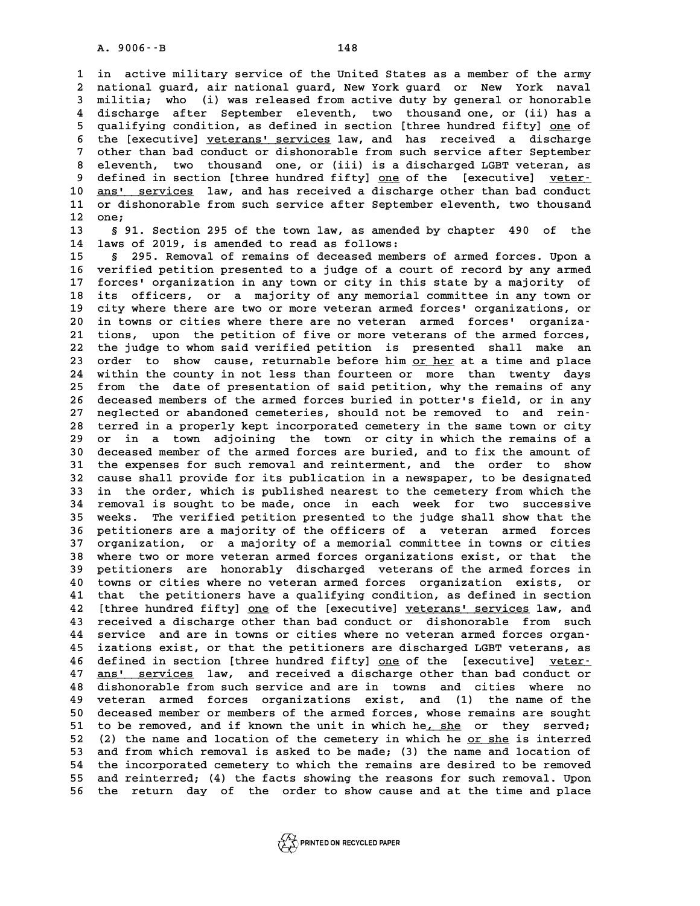**1 in active military service of the United States as a member of the army 2** in active military service of the United States as a member of the army<br>2 national guard, air national guard, New York guard or New York naval<br>3 militia: who (i) was released from active duty by general or bonorable 1 in active military service of the United States as a member of the army<br>2 national guard, air national guard, New York guard or New York naval<br>3 militia; who (i) was released from active duty by general or honorable<br>4 di 2 national guard, air national guard, New York guard or New York naval<br>3 militia; who (i) was released from active duty by general or honorable<br>4 discharge after September eleventh, two thousand one, or (ii) has a<br>5 gualif 5 militia; who (i) was released from active duty by general or honorable<br>4 discharge after September eleventh, two thousand one, or (ii) has a<br>5 qualifying condition, as defined in section [three hundred fifty] <u>one</u> of<br>th 4 discharge after September eleventh, two thousand one, or (ii) has a<br>5 qualifying condition, as defined in section [three hundred fifty] <u>one</u> of<br>6 the [executive] <u>veterans' services</u> law, and has received a discharge<br>7 5 qualifying condition, as defined in section [three hundred fifty] <u>one</u> of<br>6 the [executive] <u>veterans' services</u> law, and has received a discharge<br>7 other than bad conduct or dishonorable from such service after Septemb 8 the [executive] <u>veterans' services</u> law, and has received a discharge<br>7 other than bad conduct or dishonorable from such service after September<br>8 eleventh, two thousand one, or (iii) is a discharged LGBT veteran, as<br>9 9 other than bad conduct or dishonorable from such service after September<br>
8 eleventh, two thousand one, or (iii) is a discharged LGBT veteran, as<br>
9 defined in section [three hundred fifty] <u>one</u> of the [executive] <u>vete</u> 8 eleventh, two thousand one, or (iii) is a discharged LGBT veteran, as<br>9 defined in section [three hundred fifty] <u>one</u> of the [executive] <u>veter-</u><br>10 <u>ans' services</u> law, and has received a discharge other than bad condu 9 defined in section [three hundred fifty] <u>one</u> of the [executive] <u>veter-</u><br>10 <u>ans' services</u> law, and has received a discharge other than bad conduct<br>11 or dishonorable from such service after September eleventh, two th 10 <u>ans' s</u><br>11 or dish<br>12 one;<br><sup>13</sup> 8 91 **11 or dishonorable from such service after September eleventh, two thousand**<br>12 one;<br>**5 91. Section 295 of the town law, as amended by chapter 490 of the**<br>14 laws of 2019, is amended to read as follows:

12 one;<br>13 § 91. Section 295 of the town law, as amended<br>14 laws of 2019, is amended to read as follows:<br>15 § 295 Pemeural of remains of deseased member **13** § 91. Section 295 of the town law, as amended by chapter 490 of the<br>14 laws of 2019, is amended to read as follows:<br>15 § 295. Removal of remains of deceased members of armed forces. Upon a<br>16 uportiod poition processe

**14 laws of 2019, is amended to read as follows:**<br>
15 § 295. Removal of remains of deceased members of armed forces. Upon a<br>
16 verified petition presented to a judge of a court of record by any armed<br>
17 forces! examinati 15 § 295. Removal of remains of deceased members of armed forces. Upon a<br>16 verified petition presented to a judge of a court of record by any armed<br>17 forces' organization in any town or city in this state by a majority o 16 verified petition presented to a judge of a court of record by any armed<br>17 forces' organization in any town or city in this state by a majority of<br>18 its officers, or a majority of any memorial committee in any town or 17 forces' organization in any town or city in this state by a majority of 18 its officers, or a majority of any memorial committee in any town or city where there are two or more veteran armed forces' organizations, or in 18 its officers, or a majority of any memorial committee in any town or<br>
19 city where there are two or more veteran armed forces' organizations, or<br>
20 in towns or cities where there are no veteran armed forces' organiza-20 city where there are two or more veteran armed forces' organizations, or<br>20 in towns or cities where there are no veteran armed forces' organiza-<br>21 tions, upon the petition of five or more veterans of the armed forces, 20 in towns or cities where there are no veteran armed forces' organiza-<br>21 tions, upon the petition of five or more veterans of the armed forces,<br>22 the judge to whom said verified petition is presented shall make an<br>23 o 21 tions, upon the petition of five or more veterans of the armed forces,<br>22 the judge to whom said verified petition is presented shall make an<br>23 order to show cause, returnable before him <u>or her</u> at a time and place<br>24 22 the judge to whom said verified petition is presented shall make an<br>23 order to show cause, returnable before him <u>or her</u> at a time and place<br>24 within the county in not less than fourteen or more than twenty days<br>25 f 23 order to show cause, returnable before him <u>or her</u> at a time and place<br>24 within the county in not less than fourteen or more than twenty days<br>25 from the date of presentation of said petition, why the remains of any<br>2 **26 deceased members of the armed forces buried in potter's field, or in any 27 neglected or abandoned cemeteries, should not be removed to and rein-**26 deceased members of the armed forces buried in potter's field, or in any<br>27 neglected or abandoned cemeteries, should not be removed to and rein-<br>28 terred in a properly kept incorporated cemetery in the same town or ci 27 neglected or abandoned cemeteries, should not be removed to and rein-<br>28 terred in a properly kept incorporated cemetery in the same town or city<br>29 or in a town adjoining the town or city in which the remains of a<br>30 d 28 terred in a properly kept incorporated cemetery in the same town or city<br>29 or in a town adjoining the town or city in which the remains of a<br>30 deceased member of the armed forces are buried, and to fix the amount of<br><sup></sup> 29 or in a town adjoining the town or city in which the remains of a<br>30 deceased member of the armed forces are buried, and to fix the amount of<br>31 the expenses for such removal and reinterment, and the order to show<br>32 ca 30 deceased member of the armed forces are buried, and to fix the amount of<br>31 the expenses for such removal and reinterment, and the order to show<br>32 cause shall provide for its publication in a newspaper, to be designate 31 the expenses for such removal and reinterment, and the order to show<br>32 cause shall provide for its publication in a newspaper, to be designated<br>33 in the order, which is published nearest to the cemetery from which the 32 cause shall provide for its publication in a newspaper, to be designated<br>33 in the order, which is published nearest to the cemetery from which the<br>34 removal is sought to be made, once in each week for two successive<br>3 33 in the order, which is published nearest to the cemetery from which the<br>34 removal is sought to be made, once in each week for two successive<br>35 weeks. The verified petition presented to the judge shall show that the<br>26 34 removal is sought to be made, once in each week for two successive<br>35 weeks. The verified petition presented to the judge shall show that the<br>36 petitioners are a majority of the officers of a veteran armed forces<br>27 ex **35 weeks. The verified petition presented to the judge shall show that the petitioners are a majority of the officers of a veteran armed forces**<br>37 organization, or a majority of a memorial committee in towns or cities<br>38 36 petitioners are a majority of the officers of a veteran armed forces<br>37 organization, or a majority of a memorial committee in towns or cities<br>38 where two or more veteran armed forces organizations exist, or that the<br>2 **37 organization, or a majority of a memorial committee in towns or cities**<br>38 where two or more veteran armed forces organizations exist, or that the<br>39 petitioners are honorably discharged veterans of the armed forces in **40 to 30 where two or more veteran armed forces organizations exist, or that the**<br> **40 towns or cities where no veteran armed forces organization exists, or**<br> **40 towns or cities where no veteran armed forces organization** 39 petitioners are honorably discharged veterans of the armed forces in<br>40 towns or cities where no veteran armed forces organization exists, or<br>41 that the petitioners have a qualifying condition, as defined in section<br>42 40 towns or cities where no veteran armed forces organization exists, or<br>41 that the petitioners have a qualifying condition, as defined in section<br>42 [three hundred fifty] <u>one</u> of the [executive] <u>veterans' services</u> law 41 that the petitioners have a qualifying condition, as defined in section<br>42 [three hundred fifty] <u>one</u> of the [executive] <u>veterans' services</u> law, and<br>43 received a discharge other than bad conduct or dishonorable from 42 [three hundred fifty] <u>one</u> of the [executive] <u>veterans' services</u> law, and<br>43 received a discharge other than bad conduct or dishonorable from such<br>44 service and are in towns or cities where no veteran armed forces o 42 [three hundred fifty] <u>one</u> of the [executive] <u>veterans' services</u> law, and<br>43 received a discharge other than bad conduct or dishonorable from such<br>44 service and are in towns or cities where no veteran armed forces o **44** service and are in towns or cities where no veteran armed forces organ-<br>45 izations exist, or that the petitioners are discharged LGBT veterans, as<br>46 defined in section [three hundred fifty] <u>one</u> of the [executive] **45 izations exist, or that the petitioners are discharged LGBT veterans, as<br>46 defined in section [three hundred fifty] <u>one</u> of the [executive] <u>veter-</u><br>47 <u>ans' services</u> law, and received a discharge other than bad con 46 defined in section [three hundred fifty] <u>one</u> of the [executive] <u>veter-</u><br>47 <u>ans' services</u> law, and received a discharge other than bad conduct or<br>48 dishonorable from such service and are in towns and cities where 47 <u>ans' services</u> law, and received a discharge other than bad conduct or dishonorable from such service and are in towns and cities where no veteran armed forces organizations exist, and (1) the name of the deceased mem** dishonorable from such service and are in towns and cities where no<br>49 veteran armed forces organizations exist, and (1) the name of the<br>50 deceased member or members of the armed forces, whose remains are sought<br>51 to be **50** veteran armed forces organizations exist, and (1) the name of the<br>50 deceased member or members of the armed forces, whose remains are sought<br>51 to be removed, and if known the unit in which he, she or they served;<br>52 **50 deceased member or members of the armed forces, whose remains are sought<br>
51 to be removed, and if known the unit in which he<u>, she</u> or they served;<br>
52 (2) the name and location of the cemetery in which he <u>or she</u> is** 51 to be removed, and if known the unit in which he<u>, she</u> or they served;<br>52 (2) the name and location of the cemetery in which he <u>or she</u> is interred<br>53 and from which removal is asked to be made; (3) the name and locat 52 (2) the name and location of the cemetery in which he <u>or she</u> is interred<br>53 and from which removal is asked to be made; (3) the name and location of<br>54 the incorporated cemetery to which the remains are desired to be 53 and from which removal is asked to be made; (3) the name and location of<br>54 the incorporated cemetery to which the remains are desired to be removed<br>55 and reinterred; (4) the facts showing the reasons for such removal. 55 and reinterred; (4) the facts showing the reasons for such removal. Upon<br>56 the return day of the order to show cause and at the time and place

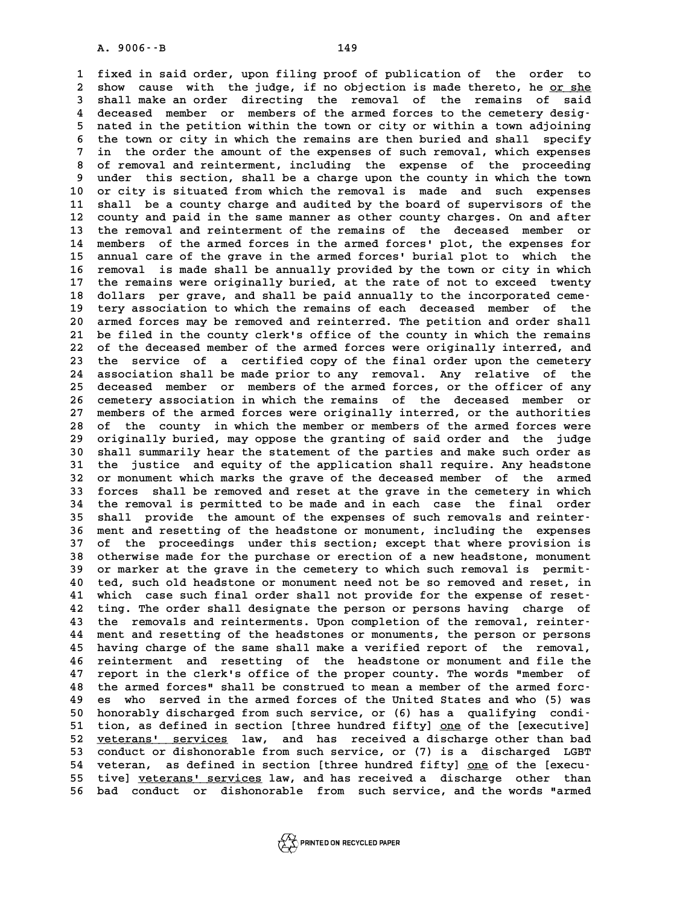**1 fixed in said order, upon filing proof of publication of the order to 2** fixed in said order, upon filing proof of publication of the order to<br>2 show cause with the judge, if no objection is made thereto, he <u>or she</u><br>3 shall make an order directing, the removal of the remains of said 1 fixed in said order, upon filing proof of publication of the order to<br>2 show cause with the judge, if no objection is made thereto, he <u>or she</u><br>3 shall make an order directing the removal of the remains of said<br>4 decease 2 show cause with the judge, if no objection is made thereto, he <u>or she</u><br>
3 shall make an order directing the removal of the remains of said<br>
4 deceased member or members of the armed forces to the cemetery desig-<br>
5 nate 5 shall make an order directing the removal of the remains of said<br>4 deceased member or members of the armed forces to the cemetery desig-<br>5 nated in the petition within the town or city or within a town adjoining<br>the town deceased member or members of the armed forces to the cemetery desig-<br>
5 nated in the petition within the town or city or within a town adjoining<br>
6 the town or city in which the remains are then buried and shall specify<br> 5 nated in the petition within the town or city or within a town adjoining<br>6 the town or city in which the remains are then buried and shall specify<br>7 in the order the amount of the expenses of such removal, which expenses 6 the town or city in which the remains are then buried and shall specify<br>7 in the order the amount of the expenses of such removal, which expenses<br>8 of removal and reinterment, including the expense of the proceeding<br>19 u 9 in the order the amount of the expenses of such removal, which expenses<br>8 of removal and reinterment, including the expense of the proceeding<br>9 under this section, shall be a charge upon the county in which the town<br>10 o 8 of removal and reinterment, including the expense of the proceeding<br>9 under this section, shall be a charge upon the county in which the town<br>10 or city is situated from which the removal is made and such expenses<br><sup>11</sup> s 9 under this section, shall be a charge upon the county in which the town<br>10 or city is situated from which the removal is made and such expenses<br>11 shall be a county charge and audited by the board of supervisors of the<br>2 10 or city is situated from which the removal is made and such expenses<br>11 shall be a county charge and audited by the board of supervisors of the<br>12 county and paid in the same manner as other county charges. On and after 11 shall be a county charge and audited by the board of supervisors of the<br>12 county and paid in the same manner as other county charges. On and after<br>13 the removal and reinterment of the remains of the deceased member or 12 county and paid in the same manner as other county charges. On and after<br>13 the removal and reinterment of the remains of the deceased member or<br>14 members of the armed forces in the armed forces' plot, the expenses for 13 the removal and reinterment of the remains of the deceased member or<br>14 members of the armed forces in the armed forces' plot, the expenses for<br>15 annual care of the grave in the armed forces' burial plot to which the<br>1 14 members of the armed forces in the armed forces' plot, the expenses for<br>15 annual care of the grave in the armed forces' burial plot to which the<br>16 removal is made shall be annually provided by the town or city in whic 15 annual care of the grave in the armed forces' burial plot to which the<br>16 removal is made shall be annually provided by the town or city in which<br>17 the remains were originally buried, at the rate of not to exceed twent 16 removal is made shall be annually provided by the town or city in which<br>17 the remains were originally buried, at the rate of not to exceed twenty<br>18 dollars per grave, and shall be paid annually to the incorporated cem 17 the remains were originally buried, at the rate of not to exceed twenty<br>18 dollars per grave, and shall be paid annually to the incorporated ceme-<br>19 tery association to which the remains of each deceased member of the<br> **20 arms are state in the set of the incorporated ceme-**<br> **20 armed forces may be removed and reinterred. The petition and order shall**<br> **21 be filed in the county clerkly office of the county in which the remains** 19 tery association to which the remains of each deceased member of the 20 armed forces may be removed and reinterred. The petition and order shall 21 be filed in the county clerk's office of the county in which the remain 20 armed forces may be removed and reinterred. The petition and order shall<br>21 be filed in the county clerk's office of the county in which the remains<br>22 of the deceased member of the armed forces were originally interred 21 be filed in the county clerk's office of the county in which the remains<br>22 of the deceased member of the armed forces were originally interred, and<br>23 the service of a certified copy of the final order upon the cemeter 22 of the deceased member of the armed forces were originally interred, and<br>23 the service of a certified copy of the final order upon the cemetery<br>24 association shall be made prior to any removal. Any relative of the<br>25 23 the service of a certified copy of the final order upon the cemetery<br>24 association shall be made prior to any removal. Any relative of the<br>25 deceased member or members of the armed forces, or the officer of any<br>26 cem 24 association shall be made prior to any removal. Any relative of the<br>25 deceased member or members of the armed forces, or the officer of any<br>26 cemetery association in which the remains of the deceased member or<br>27 memb 25 deceased member or members of the armed forces, or the officer of any<br>26 cemetery association in which the remains of the deceased member or<br>27 members of the armed forces were originally interred, or the authorities<br>28 26 cemetery association in which the remains of the deceased member or<br>27 members of the armed forces were originally interred, or the authorities<br>28 of the county in which the member or members of the armed forces were<br>29 27 members of the armed forces were originally interred, or the authorities<br>28 of the county in which the member or members of the armed forces were<br>29 originally buried, may oppose the granting of said order and the judge 28 of the county in which the member or members of the armed forces were<br>29 originally buried, may oppose the granting of said order and the judge<br>30 shall summarily hear the statement of the parties and make such order as 39 originally buried, may oppose the granting of said order and the judge<br>30 shall summarily hear the statement of the parties and make such order as<br>31 the justice and equity of the application shall require. Any headston 30 shall summarily hear the statement of the parties and make such order as<br>31 the justice and equity of the application shall require. Any headstone<br>32 or monument which marks the grave of the deceased member of the armed 31 the justice and equity of the application shall require. Any headstone<br>32 or monument which marks the grave of the deceased member of the armed<br>33 forces shall be removed and reset at the grave in the cemetery in which<br> 32 or monument which marks the grave of the deceased member of the armed<br>33 forces shall be removed and reset at the grave in the cemetery in which<br>34 the removal is permitted to be made and in each case the final order<br>35 33 forces shall be removed and reset at the grave in the cemetery in which<br>34 the removal is permitted to be made and in each case the final order<br>35 shall provide the amount of the expenses of such removals and reinter-<br>3 34 the removal is permitted to be made and in each case the final order<br>35 shall provide the amount of the expenses of such removals and reinter-<br>36 ment and resetting of the headstone or monument, including the expenses<br>3 35 shall provide the amount of the expenses of such removals and reinter-<br>36 ment and resetting of the headstone or monument, including the expenses<br>37 of the proceedings under this section; except that where provision is<br> 36 ment and resetting of the headstone or monument, including the expenses<br>37 of the proceedings under this section; except that where provision is<br>38 otherwise made for the purchase or erection of a new headstone, monumen 37 of the proceedings under this section; except that where provision is<br>38 otherwise made for the purchase or erection of a new headstone, monument<br>39 or marker at the grave in the cemetery to which such removal is permit 38 otherwise made for the purchase or erection of a new headstone, monument<br>39 or marker at the grave in the cemetery to which such removal is permit-<br>40 ted, such old headstone or monument need not be so removed and reset 39 or marker at the grave in the cemetery to which such removal is permit-<br>40 ted, such old headstone or monument need not be so removed and reset, in<br>41 which case such final order shall not provide for the expense of res the ted, such old headstone or monument need not be so removed and reset, in<br>
41 which case such final order shall not provide for the expense of reset-<br>
42 ting. The order shall designate the person or persons having char 41 which case such final order shall not provide for the expense of reset-<br>42 ting. The order shall designate the person or persons having charge of<br>43 the removals and reinterments. Upon completion of the removal, reinter 42 ting. The order shall designate the person or persons having charge of<br>43 the removals and reinterments. Upon completion of the removal, reinter-<br>44 ment and resetting of the headstones or monuments, the person or perso the removals and reinterments. Upon completion of the removal, reinter-<br>44 ment and resetting of the headstones or monuments, the person or persons<br>45 having charge of the same shall make a verified report of the removal,<br> 44 ment and resetting of the headstones or monuments, the person or persons<br>45 having charge of the same shall make a verified report of the removal,<br>46 reinterment and resetting of the headstone or monument and file the<br>4 A provide the same shall make a verified report of the removal,<br>46 reinterment and resetting of the headstone or monument and file the<br>47 report in the clerk's office of the proper county. The words "member of<br>the armed fo 46 reinterment and resetting of the headstone or monument and file the<br>47 report in the clerk's office of the proper county. The words "member of<br>48 the armed forces" shall be construed to mean a member of the armed forc-<br> 47 report in the clerk's office of the proper county. The words "member of<br>48 the armed forces" shall be construed to mean a member of the armed forc-<br>49 es who served in the armed forces of the United States and who (5) w the armed forces" shall be construed to mean a member of the armed forc-<br>
49 es who served in the armed forces of the United States and who (5) was<br>
50 honorably discharged from such service, or (6) has a qualifying condi-**50** es who served in the armed forces of the United States and who (5) was<br>50 honorably discharged from such service, or (6) has a qualifying condi-<br>51 tion, as defined in section [three hundred fifty] <u>one</u> of the [execu 50 honorably discharged from such service, or (6) has a qualifying condi-<br>51 tion, as defined in section [three hundred fifty] <u>one</u> of the [executive]<br>52 <u>veterans' services</u> law, and has received a discharge other than b 51 tion, as defined in section [three hundred fifty] <u>one</u> of the [executive]<br>52 <u>veterans' services</u> law, and has received a discharge other than bad<br>53 conduct or dishonorable from such service, or (7) is a discharged LG 52 <u>veterans' services</u> law, and has received a discharge other than bad<br>53 conduct or dishonorable from such service, or (7) is a discharged LGBT<br>54 veteran, as defined in section [three hundred fifty] <u>one</u> of the [execu 53 conduct or dishonorable from such service, or (7) is a discharged LGBT<br>54 veteran, as defined in section [three hundred fifty] <u>one</u> of the [execu-<br>55 tive] <u>veterans' services</u> law, and has received a discharge other t 54 veteran, as defined in section [three hundred fifty] <u>one</u> of the [execu-<br>55 tive] <u>veterans' services</u> law, and has received a discharge other than<br>56 bad conduct or dishonorable from such service, and the words "armed

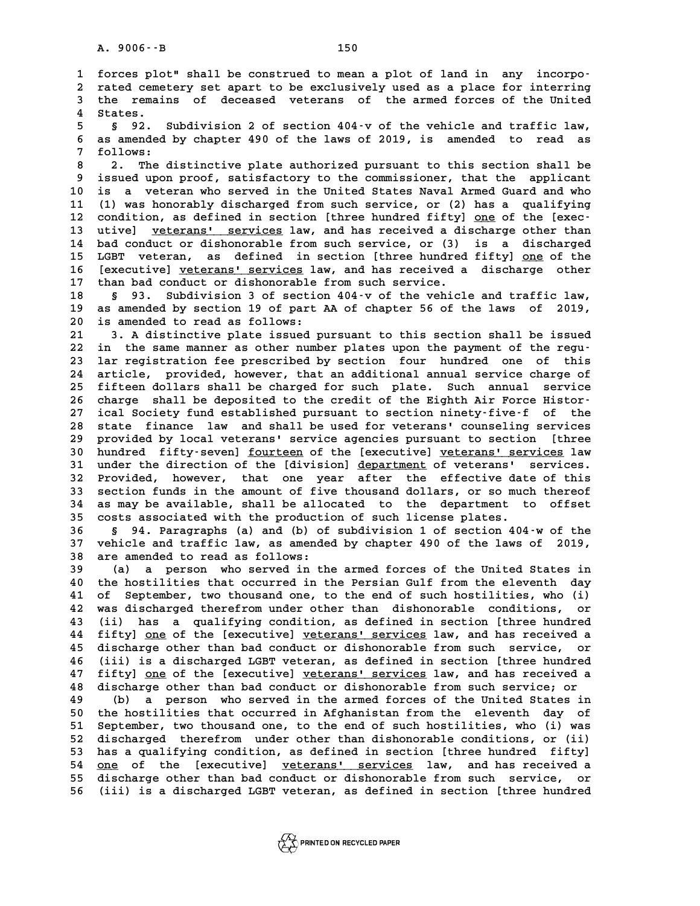A. 9006 · - B<br>150<br>1 forces plot" shall be construed to mean a plot of land in any incorpo-<br>2 rated comptany act anart to be evaluaivaly used as a place for interving **2** forces plot" shall be construed to mean a plot of land in any incorpo-<br>2 rated cemetery set apart to be exclusively used as a place for interring<br>3 the remains of deceased veterans of the armed forces of the United 1 forces plot" shall be construed to mean a plot of land in any incorpo-<br>2 rated cemetery set apart to be exclusively used as a place for interring<br>3 the remains of deceased veterans of the armed forces of the United<br>4 Sta 2 rated ceme<br>3 the remai:<br>4 States. 3 the remains of deceased veterans of the armed forces of the United<br>4 States.<br>5 § 92. Subdivision 2 of section 404-v of the vehicle and traffic law,<br>5 as arounded by sharter 400 of the laws of 2019, is arounded to read as

**4 States.**<br>5 § 92. Subdivision 2 of section 404–v of the vehicle and traffic law,<br>6 as amended by chapter 490 of the laws of 2019, is amended to read as<br>7 follows: **5 8 92. 8**<br>**6** as amended 1<br>**7** follows: **8** as amended by chapter 490 of the laws of 2019, is amended to read as<br> **8** 2. The distinctive plate authorized pursuant to this section shall be<br> **8** issued upon proof satisfactory to the commissioner that the applicant

9 19 100008:<br> **9 2.** The distinctive plate authorized pursuant to this section shall be<br> **9** issued upon proof, satisfactory to the commissioner, that the applicant<br> **10** is a veteran who served in the United States Naval 10 10 10 is a veteran who series are the United States Naval Armed Guard and who<br>
10 is a veteran who served in the United States Naval Armed Guard and who<br>
11 (1) was bonorably discharged from such service or (2) has a gu 9 issued upon proof, satisfactory to the commissioner, that the applicant<br>10 is a veteran who served in the United States Naval Armed Guard and who<br>11 (1) was honorably discharged from such service, or (2) has a qualifying 10 is a veteran who served in the United States Naval Armed Guard and who<br>11 (1) was honorably discharged from such service, or (2) has a qualifying<br>12 condition, as defined in section [three hundred fifty] <u>one</u> of the [e 11 (1) was honorably discharged from such service, or (2) has a qualifying<br>12 condition, as defined in section [three hundred fifty] <u>one</u> of the [exec-<br>13 utive] <u>veterans' services</u> law, and has received a discharge othe **14 bad conduct or dishonorable from such service, or (3) is a discharged** 13 utive] <u>veterans' services</u> law, and has received a discharge other than<br>14 bad conduct or dishonorable from such service, or (3) is a discharged<br>15 LGBT veteran, as defined in section [three hundred fifty] <u>one</u> of the 14 bad conduct or dishonorable from such service, or (3) is a discharged<br>15 LGBT veteran, as defined in section [three hundred fifty] <u>one</u> of the<br>16 [executive] <u>veterans' services</u> law, and has received a discharge other 15 LGBT veteran, as defined in section [three hundred<br>16 [executive] <u>veterans' services</u> law, and has received a<br>17 than bad conduct or dishonorable from such service. 16 [executive] <u>veterans' services</u> law, and has received a discharge other<br>17 than bad conduct or dishonorable from such service.<br>18 § 93. Subdivision 3 of section 404-v of the vehicle and traffic law,<br>19 as amended by se

17 than bad conduct or dishonorable from such service.<br>18 § 93. Subdivision 3 of section 404 v of the vehicle and traffic law,<br>19 as amended by section 19 of part AA of chapter 56 of the laws of 2019,<br>20 is amended to read 18 § 93. Subdivision 3 of section<br>19 as amended by section 19 of part<br>20 is amended to read as follows:<br>21 <sup>3</sup> Adistinative plate issued pr **20 as amended by section 19 of part AA of chapter 56 of the laws of 2019,<br>
20 is amended to read as follows:<br>
21 3. A distinctive plate issued pursuant to this section shall be issued<br>
22 in the same manner as other numbe** 

20 is amended to read as follows:<br>
21 3. A distinctive plate issued pursuant to this section shall be issued<br>
22 in the same manner as other number plates upon the payment of the regu-<br>
23 lar registration fee prescribed b 21 3. A distinctive plate issued pursuant to this section shall be issued<br>22 in the same manner as other number plates upon the payment of the regu-<br>23 lar registration fee prescribed by section four hundred one of this<br>24 22 in the same manner as other number plates upon the payment of the regu-<br>23 lar registration fee prescribed by section four hundred one of this<br>24 article, provided, however, that an additional annual service charge of<br>2 23 lar registration fee prescribed by section four hundred one of this<br>24 article, provided, however, that an additional annual service charge of<br>25 fifteen dollars shall be charged for such plate. Such annual service<br>26 s 24 article, provided, however, that an additional annual service charge of<br>
25 fifteen dollars shall be charged for such plate. Such annual service<br>
26 charge shall be deposited to the credit of the Eighth Air Force Histor 25 fifteen dollars shall be charged for such plate. Such annual service<br>26 charge shall be deposited to the credit of the Eighth Air Force Histor-<br>27 ical Society fund established pursuant to section ninety-five-f of the<br>2 26 charge shall be deposited to the credit of the Eighth Air Force Histor-<br>27 ical Society fund established pursuant to section ninety-five-f of the<br>28 state finance law and shall be used for veterans' counseling services<br> 27 ical Society fund established pursuant to section ninety-five-f of the<br>28 state finance law and shall be used for veterans' counseling services<br>29 provided by local veterans' service agencies pursuant to section [three<br> 38 state finance law and shall be used for veterans' counseling services<br>29 provided by local veterans' service agencies pursuant to section [three<br>30 hundred fifty-seven] <u>fourteen</u> of the [executive] <u>veterans' services</u> 29 provided by local veterans' service agencies pursuant to section [three<br>30 hundred fifty-seven] <u>fourteen</u> of the [executive] <u>veterans' services</u> law<br>31 under the direction of the [division] <u>department</u> of veterans' s 30 hundred fifty-seven] <u>fourteen</u> of the [executive] <u>veterans' services</u> law<br>31 under the direction of the [division] <u>department</u> of veterans' services.<br>32 Provided, however, that one year after the effective date of th 31 under the direction of the [division] <u>department</u> of veterans' services.<br>32 Provided, however, that one year after the effective date of this<br>33 section funds in the amount of five thousand dollars, or so much thereof 32 Provided, however, that one year after the effective date of this<br>33 section funds in the amount of five thousand dollars, or so much thereof<br>34 as may be available, shall be allocated to the department to offset<br>35 sec 33 section funds in the amount of five thousand dollars, or so much thereof<br>34 as may be available, shall be allocated to the department to offset<br>35 costs associated with the production of such license plates.<br>8 94. Parag

**36 § 94. Paragraphs (a) and (b) of subdivision 1 of section 404-w of the 35 costs associated with the production of such license plates.**<br>36 § 94. Paragraphs (a) and (b) of subdivision 1 of section 404 w of the<br>37 vehicle and traffic law, as amended by chapter 490 of the laws of 2019,<br>38 are a **36 5** 94. Paragraphs (a) and (b) of<br>37 vehicle and traffic law, as amended<br>38 are amended to read as follows: **37 vehicle and traffic law, as amended by chapter 490 of the laws of 2019,<br>38 are amended to read as follows:**<br>(a) a person who served in the armed forces of the United States in<br>the bestilities that equinod in the Persia

are amended to read as follows:<br>
40 (a) a person who served in the armed forces of the United States in<br>
40 the hostilities that occurred in the Persian Gulf from the eleventh day<br>
41 of September, two thousand one, to the **41 of September, two thousand one, to the end of such hostilities, who (i) 42 was discharged therefrom under other than dishonorable conditions, or 43 (ii) has a qualifying condition, as defined in section [three hundred 42 was discharged therefrom under other than dishonorable conditions, or**<br>**43** (ii) has a qualifying condition, as defined in section [three hundred<br>**44** fifty] <u>one</u> of the [executive] <u>veterans' services</u> law, and has r **43** (ii) has a qualifying condition, as defined in section [three hundred<br>**44** fifty] <u>one</u> of the [executive] <u>veterans' services</u> law, and has received a<br>45 discharge other than bad conduct or dishonorable from such ser **44 fifty** one of the [executive] <u>veterans' services</u> law, and has received a<br>45 discharge other than bad conduct or dishonorable from such service, or<br>46 (iii) is a discharged LGBT veteran, as defined in section [three h 45 discharge other than bad conduct or dishonorable from such service, or<br>46 (iii) is a discharged LGBT veteran, as defined in section [three hundred<br>47 fifty] <u>one</u> of the [executive] <u>veterans' services</u> law, and has rec **46** (ii) is a discharged LGBT veteran, as defined in section [three hundred<br>**47** fifty] <u>one</u> of the [executive] <u>veterans' services</u> law, and has received a<br>48 discharge other than bad conduct or dishonorable from such s **47 fifty] <u>one</u> of the [executive] <u>veterans' services</u> law, and has received a<br>48 discharge other than bad conduct or dishonorable from such service; or<br>49 (b) a person who served in the armed forces of the United States** 

discharge other than bad conduct or dishonorable from such service; or<br>
49 (b) a person who served in the armed forces of the United States in<br>
50 the hostilities that occurred in Afghanistan from the eleventh day of<br>
51 S **50** (b) a person who served in the armed forces of the United States in<br>50 the hostilities that occurred in Afghanistan from the eleventh day of<br>51 September, two thousand one, to the end of such hostilities, who (i) was<br> 50 the hostilities that occurred in Afghanistan from the eleventh day of<br>51 September, two thousand one, to the end of such hostilities, who (i) was<br>52 discharged therefrom under other than dishonorable conditions, or (ii) 51 September, two thousand one, to the end of such hostilities, who (i) was discharged therefrom under other than dishonorable conditions, or (ii) has a qualifying condition, as defined in section [three hundred fifty] one 54 <u>one</u> of the [executive] <u>veterans' services</u> law, and has received a<br>55 discharge other than bad conduct or dishonorable from such service, or **55 discharge other than bad conduct or dishonorable from such service, or 56 (iii) is a discharged LGBT veteran, as defined in section [three hundred**

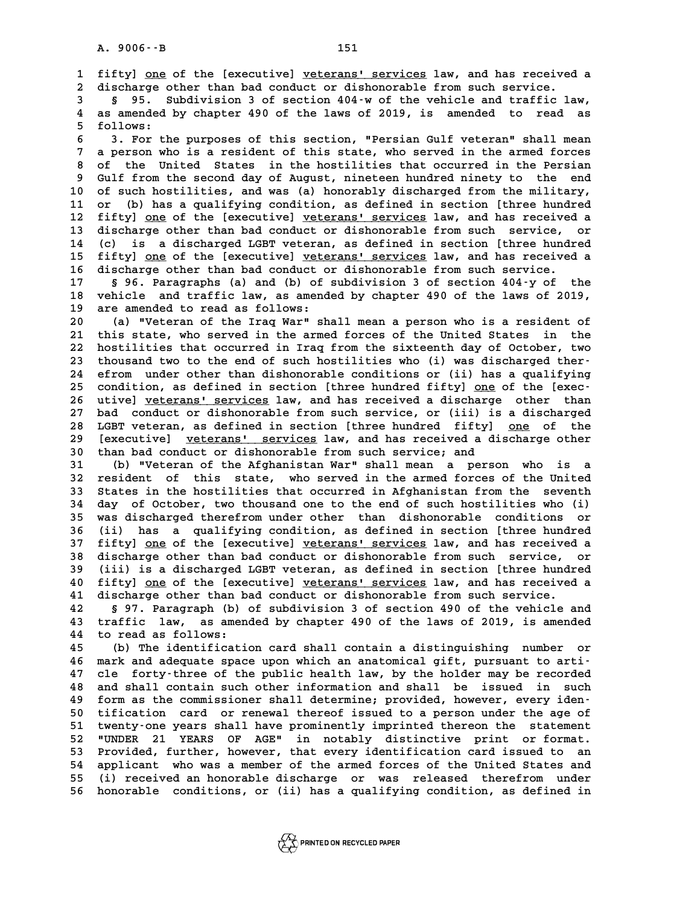A. 9006 · - B<br>1 fifty] <u>one</u> of the [executive] <u>veterans' services</u> law, and has received a<br>2 discharge other than had senduat or diskeperable from such service **2** fifty] <u>one</u> of the [executive] <u>veterans' services</u> law, and has received<br>2 discharge other than bad conduct or dishonorable from such service.<br>3 6 8 Subdivision 3 of section 404.y of the vehicle and traffic lab **3 1 fifty** <u>one</u> of the [executive] <u>veterans' services</u> law, and has received a<br>**3** discharge other than bad conduct or dishonorable from such service.<br>**5** 95. Subdivision 3 of section 404-w of the vehicle and traffi

discharge other than bad conduct or dishonorable from such service.<br> **4 as amended by chapter 490 of the laws of 2019, is amended to read as**<br> **5** follows: **5 5 5 5**<br>**5** follows:<br>**5 follows: 4 as amended by chapter 490 of the laws of 2019, is amended to read as<br>5 follows:<br>6 3. For the purposes of this section, "Persian Gulf veteran" shall mean<br>7 a person who is a resident of this state, who sexued in the arme** 

<sup>5</sup> follows:<br>
<sup>5</sup> 3. For the purposes of this section, "Persian Gulf veteran" shall mean<br>
<sup>7</sup> a person who is a resident of this state, who served in the armed forces<br>
<sup>8</sup> e<sup>fthe United States in the bestilities that essur</sup> **8 3. For the purposes of this section, "Persian Gulf veteran" shall mean**<br> **8 of the United States in the hostilities that occurred in the Persian**<br> **8 Oulf from the second day of August** pipping bundred pipping the the e **9 Gulf from the second day of this state, who served in the armed forces**<br>**9 Gulf from the second day of August, nineteen hundred ninety to the end**<br>**9 Gulf from the second day of August, nineteen hundred ninety to the en** 8 of the United States in the hostilities that occurred in the Persian<br>9 Gulf from the second day of August, nineteen hundred ninety to the end<br>10 of such hostilities, and was (a) honorably discharged from the military,<br>11 9 Gulf from the second day of August, nineteen hundred ninety to the end<br>10 of such hostilities, and was (a) honorably discharged from the military,<br>11 or (b) has a qualifying condition, as defined in section [three hundre 10 of such hostilities, and was (a) honorably discharged from the military,<br>11 or (b) has a qualifying condition, as defined in section [three hundred<br>12 fifty] <u>one</u> of the [executive] <u>veterans' services</u> law, and has re 11 or (b) has a qualifying condition, as defined in section [three hundred<br>12 fifty] <u>one</u> of the [executive] <u>veterans' services</u> law, and has received a<br>13 discharge other than bad conduct or dishonorable from such servi 12 fifty] <u>one</u> of the [executive] <u>veterans' services</u> law, and has received a<br>13 discharge other than bad conduct or dishonorable from such service, or<br>14 (c) is a discharged LGBT veteran, as defined in section [three hu 13 discharge other than bad conduct or dishonorable from such service, or<br>14 (c) is a discharged LGBT veteran, as defined in section [three hundred<br>15 fifty] <u>one</u> of the [executive] <u>veterans' services</u> law, and has recei 14 (c) is a discharged LGBT veteran, as defined in section [three hundr<br>15 fifty] <u>one</u> of the [executive] <u>veterans' services</u> law, and has received<br>16 discharge other than bad conduct or dishonorable from such service.<br>1 **15 fifty]** <u>one</u> of the [executive] <u>veterans' services</u> law, and has received a<br>16 discharge other than bad conduct or dishonorable from such service.<br>17 § 96. Paragraphs (a) and (b) of subdivision 3 of section 404-y of

**16 discharge other than bad conduct or dishonorable from such service.**<br>17 § 96. Paragraphs (a) and (b) of subdivision 3 of section 404 y of the<br>18 vehicle and traffic law, as amended by chapter 490 of the laws of 2019,<br>1 17 § 96. Paragraphs (a) and (b) of<br>18 vehicle and traffic law, as amend<br>19 are amended to read as follows:<br><sup>20</sup> (a) "Veteran of the Iraq War" ab **20 13 (a) 18 (a) 18 (a) 18 (a) 18 (a) 19 are amended to read as follows:**<br> **20** (a) "Veteran of the Iraq War" shall mean a person who is a resident of<br> **21** this state, who served in the armed forces of the United States,

20 **21 13 are amended to read as follows:**<br>
20 **21 this state, who served in the armed forces of the United States in the**<br>
22 hostilities that occurred in Iraq from the sixteenth day of October, two **20** (a) "Veteran of the Iraq War" shall mean a person who is a resident of this state, who served in the armed forces of the United States in the hostilities that occurred in Iraq from the sixteenth day of October, two th 21 this state, who served in the armed forces of the United States in the<br>
22 hostilities that occurred in Iraq from the sixteenth day of October, two<br>
23 thousand two to the end of such hostilities who (i) was discharged 22 hostilities that occurred in Iraq from the sixteenth day of October, two<br>23 thousand two to the end of such hostilities who (i) was discharged ther-<br>24 efrom under other than dishonorable conditions or (ii) has a qualif 23 thousand two to the end of such hostilities who (i) was discharged ther-<br>24 efrom under other than dishonorable conditions or (ii) has a qualifying<br>25 condition, as defined in section [three hundred fifty] <u>one</u> of the 24 efrom under other than dishonorable conditions or (ii) has a qualifying<br>25 condition, as defined in section [three hundred fifty] <u>one</u> of the [exec-<br>26 utive] <u>veterans' services</u> law, and has received a discharge othe 25 condition, as defined in section [three hundred fifty] <u>one</u> of the [exec-<br>26 utive] <u>veterans' services</u> law, and has received a discharge other than<br>27 bad conduct or dishonorable from such service, or (iii) is a disc 26 utive] <u>veterans' services</u> law, and has received a discharge other than<br>27 bad conduct or dishonorable from such service, or (iii) is a discharged<br>28 LGBT veteran, as defined in section [three hundred fifty] <u>one</u> of t 27 bad conduct or dishonorable from such service, or (iii) is a discharged<br>28 LGBT veteran, as defined in section [three hundred fifty] <u>one</u> of the<br>29 [executive] <u>veterans' services</u> law, and has received a discharge oth **1887 veteran, as defined in section [three hundred fifty]**<br> **30 than bad conduct or dishonorable from such service; and**<br> **30 than bad conduct or dishonorable from such service; and**<br> **31** (b) Weteran of the Afghanistan W 29 [executive] <u>veterans' services</u> law, and has received a discharge other<br>30 than bad conduct or dishonorable from such service; and<br>31 (b) "Veteran of the Afghanistan War" shall mean a person who is a<br>32 resident of thi

**30 than bad conduct or dishonorable from such service; and**<br>**31** (b) "Veteran of the Afghanistan War" shall mean a person who is a<br>**32 resident of this state, who served in the armed forces of the United<br><b>33** States in th **31** (b) "Veteran of the Afghanistan War" shall mean a person who is a<br>32 resident of this state, who served in the armed forces of the United<br>33 States in the hostilities that occurred in Afghanistan from the seventh<br>34 d **32 resident of this state, who served in the armed forces of the United States in the hostilities that occurred in Afghanistan from the seventh day of October, two thousand one to the end of such hostilities who (i)**<br>25 w 33 States in the hostilities that occurred in Afghanistan from the seventh<br>34 day of October, two thousand one to the end of such hostilities who (i)<br>35 was discharged therefrom under other than dishonorable conditions or<br> **34 day of October, two thousand one to the end of such hostilities who (i)**<br>35 was discharged therefrom under other than dishonorable conditions or<br>36 (ii) has a qualifying condition, as defined in section [three hundred<br> **35 was discharged therefrom under other than dishonorable conditions or**<br>36 (ii) has a qualifying condition, as defined in section [three hundred<br>37 fifty] <u>one</u> of the [executive] <u>veterans' services</u> law, and has receiv **36 (ii) has a qualifying condition, as defined in section [three hundred**<br>**37 fifty]** <u>one</u> of the [executive] <u>veterans' services</u> law, and has received a<br>**38 discharge other than bad conduct or dishonorable from such se 37 fifty** one of the [executive] <u>veterans' services</u> law, and has received a<br>38 discharge other than bad conduct or dishonorable from such service, or<br>39 (iii) is a discharged LGBT veteran, as defined in section [three h discharge other than bad conduct or dishonorable from such service, or<br>
40 (iii) is a discharged LGBT veteran, as defined in section [three hundred<br>
40 fifty] <u>one</u> of the [executive] <u>veterans' services</u> law, and has rece 40 (iii) is a discharged LGBT veteran, as defined in section [three hundred 40 fifty] <u>one</u> of the [executive] <u>veterans' services</u> law, and has received a discharge other than bad conduct or dishonorable from such service

**42 § 97. Paragraph (b) of subdivision 3 of section 490 of the vehicle and 41 discharge other than bad conduct or dishonorable from such service.**<br> **42** § 97. Paragraph (b) of subdivision 3 of section 490 of the vehicle and<br> **43** traffic law, as amended by chapter 490 of the laws of 2019, is ame **42** § 97. Paragraph (b)<br>**43** traffic law, as amen<br>44 to read as follows:<br><sup>45</sup> (b) The identificati **43 traffic law, as amended by chapter 490 of the laws of 2019, is amended<br>44 to read as follows:**<br>(b) The identification card shall contain a distinguishing number or<br>46 mark and adomate gases were which as anatomical gif

44 to read as follows:<br>
45 (b) The identification card shall contain a distinguishing number or<br>
46 mark and adequate space upon which an anatomical gift, pursuant to arti-<br>
47 cle forty-three of the public health law, by (b) The identification card shall contain a distinguishing number or<br>46 mark and adequate space upon which an anatomical gift, pursuant to arti-<br>47 cle forty-three of the public health law, by the holder may be recorded<br>28 A mark and adequate space upon which an anatomical gift, pursuant to arti-<br>47 cle forty-three of the public health law, by the holder may be recorded<br>48 and shall contain such other information and shall be issued in such<br> 47 cle forty-three of the public health law, by the holder may be recorded<br>48 and shall contain such other information and shall be issued in such<br>49 form as the commissioner shall determine; provided, however, every iden-48 and shall contain such other information and shall be issued in such<br>49 form as the commissioner shall determine; provided, however, every iden-<br>50 tification card or renewal thereof issued to a person under the age of<br> **50 form as the commissioner shall determine; provided, however, every identification card or renewal thereof issued to a person under the age of<br>51 twenty-one years shall have prominently imprinted thereon the statement<br>5** 50 tification card or renewal thereof issued to a person under the age of<br>51 twenty-one years shall have prominently imprinted thereon the statement<br>52 "UNDER 21 YEARS OF AGE" in notably distinctive print or format.<br>53 Pro 51 twenty-one years shall have prominently imprinted thereon the statement<br>52 "UNDER 21 YEARS OF AGE" in notably distinctive print or format.<br>53 Provided, further, however, that every identification card issued to an<br>54 pr **52 "UNDER 21 YEARS OF AGE" in notably distinctive print or format.**<br> **53 Provided, further, however, that every identification card issued to an applicant who was a member of the armed forces of the United States and<br>
<b>54 53 Provided, further, however, that every identification card issued to an applicant who was a member of the armed forces of the United States and (i) received an honorable discharge or was released therefrom under**<br>**55 (** 54 applicant who was a member of the armed forces of the United States and<br>55 (i) received an honorable discharge or was released therefrom under<br>56 honorable conditions, or (ii) has a qualifying condition, as defined in

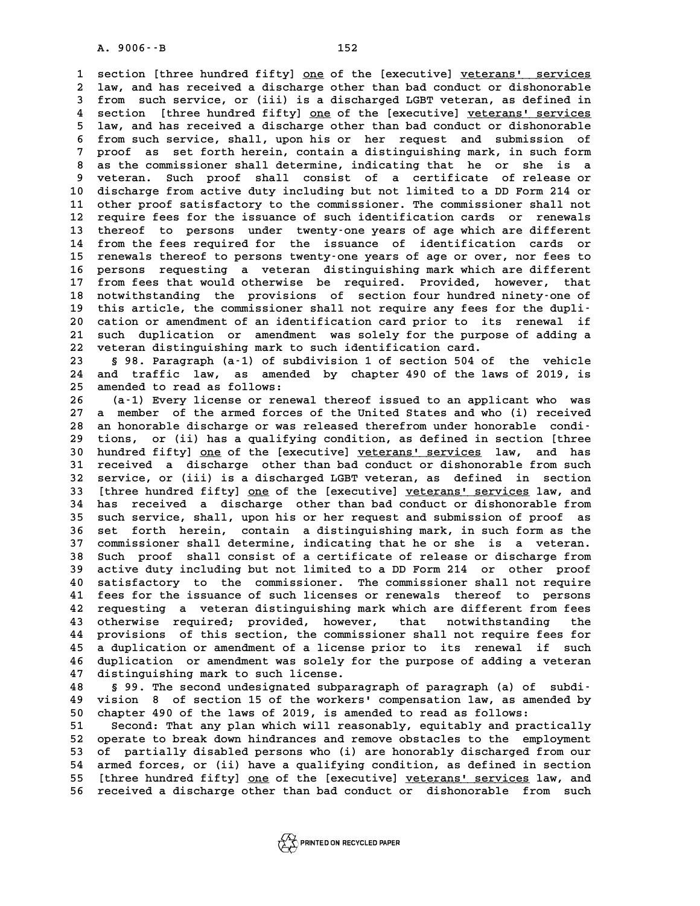**152**<br>**1** section [three hundred fifty] <u>one</u> of the [executive] <u>veterans' services</u><br>2 law and bas reseived a dissbarse other than bad sendust or disbenerable **2** is section [three hundred fifty] <u>one</u> of the [executive] <u>veterans' services</u><br>2 law, and has received a discharge other than bad conduct or dishonorable<br>3 from such service or (iii) is a discharged LCBT veterar as def **3 following 1 following Services**<br> **3 hav, and has received a discharge other than bad conduct or dishonorable**<br> **3 from such service, or (iii) is a discharged LGBT veteran, as defined in**<br> **4** section (three bundred fift 1 aw, and has received a discharge other than bad conduct or dishonorable<br>3 from such service, or (iii) is a discharged LGBT veteran, as defined in<br>4 section [three hundred fifty] <u>one</u> of the [executive] <u>veterans' servic</u> **5 from such service, or (iii) is a discharged LGBT veteran, as defined in<br>
4 section [three hundred fifty] <u>one</u> of the [executive] <u>veterans' services</u><br>
5 law, and has received a discharge other than bad conduct or disho 6 following 4 following Services**<br> **6 from such service, shall, upon his or her request and submission of**<br> **6 from such service, shall, upon his or her request and submission of**<br> **7 proof as set forth herein, contain a 7 law, and has received a discharge other than bad conduct or dishonorable**<br>**6 from such service, shall, upon his or her request and submission of**<br>**7 proof as set forth herein, contain a distinguishing mark, in such form 8 6 as the commission of** the commission of proof as set forth herein, contain a distinguishing mark, in such form<br> **8 as the commissioner shall determine, indicating that he or she is a**<br> **8 upters a** such a proof shall 9 proof as set forth herein, contain a distinguishing mark, in such form<br>8 as the commissioner shall determine, indicating that he or she is a<br>9 veteran. Such proof shall consist of a certificate of release or<br>10 discharge 8 as the commissioner shall determine, indicating that he or she is a<br>9 veteran. Such proof shall consist of a certificate of release or<br>10 discharge from active duty including but not limited to a DD Form 214 or<br>11 other 9 veteran. Such proof shall consist of a certificate of release or<br>10 discharge from active duty including but not limited to a DD Form 214 or<br>11 other proof satisfactory to the commissioner. The commissioner shall not<br>12 10 discharge from active duty including but not limited to a DD Form 214 or<br>11 other proof satisfactory to the commissioner. The commissioner shall not<br>12 require fees for the issuance of such identification cards or renew 11 other proof satisfactory to the commissioner. The commissioner shall not<br>12 require fees for the issuance of such identification cards or renewals<br>13 thereof to persons under twenty-one years of age which are different<br> 12 require fees for the issuance of such identification cards or renewals<br>13 thereof to persons under twenty-one years of age which are different<br>14 from the fees required for the issuance of identification cards or<br>15 ren 13 thereof to persons under twenty-one years of age which are different<br>14 from the fees required for the issuance of identification cards or<br>15 renewals thereof to persons twenty-one years of age or over, nor fees to<br>16 p 14 from the fees required for the issuance of identification cards or<br>15 renewals thereof to persons twenty-one years of age or over, nor fees to<br>16 persons requesting a veteran distinguishing mark which are different<br>17 f 15 renewals thereof to persons twenty-one years of age or over, nor fees to<br>16 persons requesting a veteran distinguishing mark which are different<br>17 from fees that would otherwise be required. Provided, however, that<br>18 16 persons requesting a veteran distinguishing mark which are different<br>17 from fees that would otherwise be required. Provided, however, that<br>18 notwithstanding the provisions of section four hundred ninety-one of<br>this ar 17 from fees that would otherwise be required. Provided, however, that<br>
18 notwithstanding the provisions of section four hundred ninety-one of<br>
19 this article, the commissioner shall not require any fees for the dupli-<br> 18 notwithstanding the provisions of section four hundred ninety-one of<br>19 this article, the commissioner shall not require any fees for the dupli-<br>20 cation or amendment of an identification card prior to its renewal if<br>2 19 this article, the commissioner shall not require any fees for the dupli-<br>20 cation or amendment of an identification card prior to its renewal if<br>21 such duplication or amendment was solely for the purpose of adding a<br>2 20 cation or amendment of an identification card prior to its<br>21 such duplication or amendment was solely for the purpos<br>22 veteran distinguishing mark to such identification card.<br>23 5.98 Paragraph (a.1) of subdivision 1 21 such duplication or amendment was solely for the purpose of adding a<br>22 veteran distinguishing mark to such identification card.<br>23 § 98. Paragraph (a-1) of subdivision 1 of section 504 of the vehicle<br>24 and traffic law

**22 veteran distinguishing mark to such identification card.**<br>23 § 98. Paragraph (a-1) of subdivision 1 of section 504 of the vehicle<br>24 and traffic law, as amended by chapter 490 of the laws of 2019, is<br>25 amended to read 23 § 98. Paragraph (a-1) of sub<br>24 and traffic law, as amende<br>25 amended to read as follows:<br>26 (a<sup>-1)</sup> Firew liseage ar ready 24 and traffic law, as amended by chapter 490 of the laws of 2019, is<br>25 amended to read as follows:<br>26 (a-1) Every license or renewal thereof issued to an applicant who was<br>27 amershop of the armed forces of the United St

25 amended to read as follows:<br>26 (a-1) Every license or renewal thereof issued to an applicant who was<br>27 a member of the armed forces of the United States and who (i) received<br>28 an honorable discharge or was released th **28 an honorable discharge or was released therefrom under honorable condi-29 tions, or (ii) has a qualifying condition, as defined in section [three** 30 hundred fifty] <u>one</u> of the [executive] <u>veterans' services</u> law, and has<br>31 received a discharge other than bad conduct or dishonorable from such 29 tions, or (ii) has a qualifying condition, as defined in section [three<br>30 hundred fifty] <u>one</u> of the [executive] <u>veterans' services</u> law, and has<br>31 received a discharge other than bad conduct or dishonorable from su 30 hundred fifty) <u>one</u> of the [executive] <u>veterans' services</u> law, and has<br>31 received a discharge other than bad conduct or dishonorable from such<br>32 service, or (iii) is a discharged LGBT veteran, as defined in section 31 received a discharge other than bad conduct or dishonorable from such<br>32 service, or (iii) is a discharged LGBT veteran, as defined in section<br>33 [three hundred fifty] <u>one</u> of the [executive] <u>veterans' services</u> law, 32 service, or (iii) is a discharged LGBT veteran, as defined in section<br>33 [three hundred fifty] <u>one</u> of the [executive] <u>veterans' services</u> law, and<br>34 has received a discharge other than bad conduct or dishonorable fr 33 [three hundred fifty] <u>one</u> of the [executive] <u>veterans' services</u> law, and<br>34 has received a discharge other than bad conduct or dishonorable from<br>35 such service, shall, upon his or her request and submission of proo **34 has received a discharge other than bad conduct or dishonorable from**<br>**35 such service, shall, upon his or her request and submission of proof as<br><b>36 set forth herein, contain a distinguishing mark, in such form as the** 35 such service, shall, upon his or her request and submission of proof as<br>36 set forth herein, contain a distinguishing mark, in such form as the<br>37 commissioner shall determine, indicating that he or she is a veteran. 36 set forth herein, contain a distinguishing mark, in such form as the commissioner shall determine, indicating that he or she is a veteran.<br>38 Such proof shall consist of a certificate of release or discharge from<br>39 act 37 commissioner shall determine, indicating that he or she is a veteran.<br>38 Such proof shall consist of a certificate of release or discharge from<br>39 active duty including but not limited to a DD Form 214 or other proof<br>40 38 Such proof shall consist of a certificate of release or discharge from<br>39 active duty including but not limited to a DD Form 214 or other proof<br>40 satisfactory to the commissioner. The commissioner shall not require<br>41 **41 fees for the issuance of such licenses or renewals thereof to persons** 40 satisfactory to the commissioner. The commissioner shall not require<br>41 fees for the issuance of such licenses or renewals thereof to persons<br>42 requesting a veteran distinguishing mark which are different from fees<br>23 41 fees for the issuance of such licenses or renewals thereof to persons<br>42 requesting a veteran distinguishing mark which are different from fees<br>43 otherwise required; provided, however, that notwithstanding the<br>44 provi **44 provisions of this section, the commissioner shall not require fees for** 43 otherwise required; provided, however, that notwithstanding the<br>44 provisions of this section, the commissioner shall not require fees for<br>45 a duplication or amendment of a license prior to its renewal if such<br>46 dupli **44 provisions of this section, the commissioner shall not require fees for<br>45 a duplication or amendment of a license prior to its renewal if such<br>46 duplication or amendment was solely for the purpose of adding a veteran** 45 a duplication or amendment of a license<br>46 duplication or amendment was solely fo<br>47 distinguishing mark to such license.<br>48 5 99 mbs second updosignated subpara distinguishing mark to such license.<br> **48** § 99. The second undesignated subparagraph of paragraph (a) of subdi-<br> **49** vision 8 of section 15 of the workers' compensation law, as amended by

**49 vision 8 of section 15 of the workers' compensation law, as amended by 50 chapter 490 of the laws of 2019, is amended to read as follows: 51** Section 15 of the workers' compensation law, as amended by<br> **51** Second: That any plan which will reasonably, equitably and practically<br> **51** Second: That any plan which will reasonably, equitably and practically<br> **52** 

50 chapter 490 of the laws of 2019, is amended to read as follows:<br>51 Second: That any plan which will reasonably, equitably and practically<br>52 operate to break down hindrances and remove obstacles to the employment<br>53 of 52 operate to break down hindrances and remove obstacles to the employment<br>53 of partially disabled persons who (i) are honorably discharged from our<br>54 armed forces, or (ii) have a qualifying condition, as defined in sect 52 operate to break down hindrances and remove obstacles to the employment<br>53 of partially disabled persons who (i) are honorably discharged from our<br>54 armed forces, or (ii) have a qualifying condition, as defined in sect 53 of partially disabled persons who (i) are honorably discharged from our<br>54 armed forces, or (ii) have a qualifying condition, as defined in section<br>55 [three hundred fifty] <u>one</u> of the [executive] <u>veterans' services</u> 54 armed forces, or (ii) have a qualifying condition, as defined in section<br>55 [three hundred fifty] <u>one</u> of the [executive] <u>veterans' services</u> law, and<br>56 received a discharge other than bad conduct or dishonorable fro

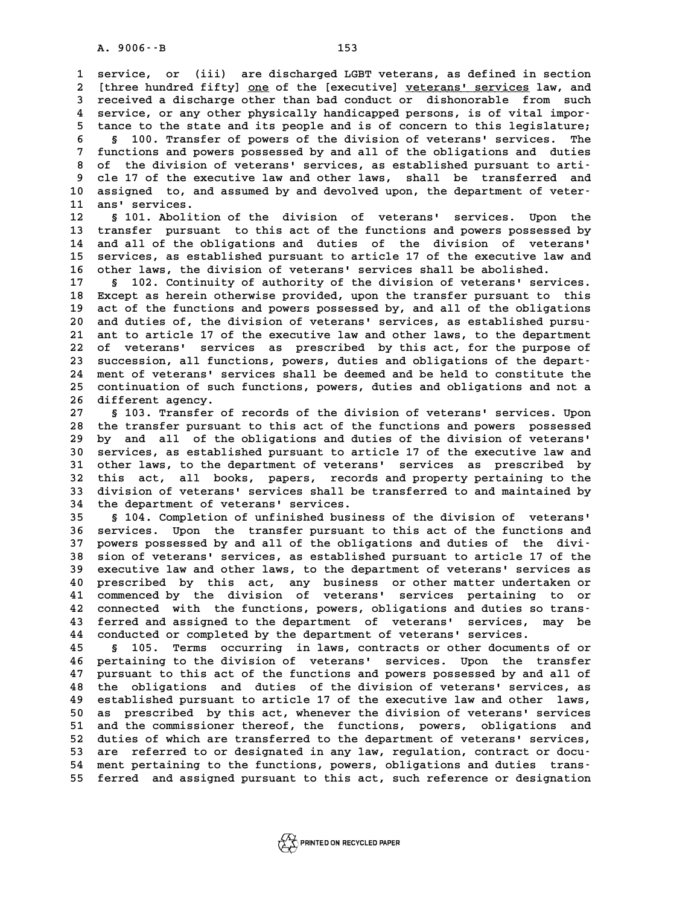**1 service, or (iii) are discharged LGBT veterans, as defined in section 2** service, or (iii) are discharged LGBT veterans, as defined in section<br>2 [three hundred fifty] <u>one</u> of the [executive] <u>veterans' services</u> law, and<br>3 received a discharge other than had conduct or disbonorable from su **3 1 service,** or (iii) are discharged LGBT veterans, as defined in section<br> **2** [three hundred fifty] <u>one</u> of the [executive] <u>veterans' services</u> law, and<br> **3** received a discharge other than bad conduct or dishonor 2 [three hundred fifty] <u>one</u> of the [executive] <u>veterans' services</u> law, and<br>3 received a discharge other than bad conduct or dishonorable from such<br>4 service, or any other physically handicapped persons, is of vital imp 3 received a discharge other than bad conduct or dishonorable from such<br>4 service, or any other physically handicapped persons, is of vital impor-<br>5 tance to the state and its people and is of concern to this legislature;<br> **6 4 Service, or any other physically handicapped persons, is of vital importance to the state and its people and is of concern to this legislature;<br><b>6** § 100. Transfer of powers of the division of veterans' services. The<br> 5 tance to the state and its people and is of concern to this legislature;<br>
5 100. Transfer of powers of the division of veterans' services. The<br>
7 functions and powers possessed by and all of the obligations and duties<br>
2 8 100. Transfer of powers of the division of veterans' services. The<br>
7 functions and powers possessed by and all of the obligations and duties<br>
8 of the division of veterans' services, as established pursuant to arti-<br>
<sup>8</sup> Functions and powers possessed by and all of the obligations and duties<br>8 of the division of veterans' services, as established pursuant to arti-<br>9 cle 17 of the executive law and other laws, shall be transferred and<br>8 aga 8 of the division of veterans' services, as established pursuant to arti-<br>
9 cle 17 of the executive law and other laws, shall be transferred and<br>
10 assigned to, and assumed by and devolved upon, the department of veter-<br> 9 cle 17 of the exe<br>10 assigned to, and<br>11 ans' services.<br><sup>12</sup> 5.101 Abolitic **10** assigned to, and assumed by and devolved upon, the department of veter-<br> **11** ans' services.<br> **12** § 101. Abolition of the division of veterans' services. Upon the<br> **13** transfer pursuant to this act of the functions

**11 ans' services.**<br>
12 § 101. Abolition of the division of veterans' services. Upon the<br>
13 transfer pursuant to this act of the functions and powers possessed by<br>
14 and all of the chligations and duties of the division 12 § 101. Abolition of the division of veterans' services. Upon the<br>13 transfer pursuant to this act of the functions and powers possessed by<br>14 and all of the obligations and duties of the division of veterans'<br>15 service 13 transfer pursuant to this act of the functions and powers possessed by<br>14 and all of the obligations and duties of the division of veterans'<br>15 services, as established pursuant to article 17 of the executive law and<br>16 14 and all of the obligations and duties of the division of veterans'<br>15 services, as established pursuant to article 17 of the executive law and<br>16 other laws, the division of veterans' services shall be abolished.<br>17 § 1

**17 § 102. Continuity of authority of the division of veterans' services. 16 other laws, the division of veterans' services shall be abolished.**<br> **17** § 102. Continuity of authority of the division of veterans' services.<br> **18 Except as herein otherwise provided, upon the transfer pursuant to th** 17 § 102. Continuity of authority of the division of veterans' services.<br>18 Except as herein otherwise provided, upon the transfer pursuant to this<br>19 act of the functions and powers possessed by, and all of the obligation Except as herein otherwise provided, upon the transfer pursuant to this<br>
19 act of the functions and powers possessed by, and all of the obligations<br>
20 and duties of, the division of veterans' services, as established pur 19 act of the functions and powers possessed by, and all of the obligations<br>20 and duties of, the division of veterans' services, as established pursu-<br>21 ant to article 17 of the executive law and other laws, to the depar 20 and duties of, the division of veterans' services, as established pursu-<br>21 ant to article 17 of the executive law and other laws, to the department<br>22 of veterans' services as prescribed by this act, for the purpose of 21 ant to article 17 of the executive law and other laws, to the department<br>
22 of veterans' services as prescribed by this act, for the purpose of<br>
23 succession, all functions, powers, duties and obligations of the depar 22 of veterans' services as prescribed by this act, for the purpose of<br>23 succession, all functions, powers, duties and obligations of the depart-<br>24 ment of veterans' services shall be deemed and be held to constitute the 23 succession, all functions, powers, duties and obligations of the depart-<br>24 ment of veterans' services shall be deemed and be held to constitute the<br>25 continuation of such functions, powers, duties and obligations and 24 ment of veterans' se<br>25 continuation of such<br>26 different agency.<br><sup>27</sup> 5.103 mranafor of **25 continuation of such functions, powers, duties and obligations and not a**<br>26 different agency.<br>27 § 103. Transfer of records of the division of veterans' services. Upon<br>the transfer purguant to this ast of the function

26 different agency.<br>
27 § 103. Transfer of records of the division of veterans' services. Upon<br>
28 the transfer pursuant to this act of the functions and powers possessed<br>
29 by and all of the obligations and duties of th 8 103. Transfer of records of the division of veterans' services. Upon<br>
28 the transfer pursuant to this act of the functions and powers possessed<br>
29 by and all of the obligations and duties of the division of veterans'<br> 28 the transfer pursuant to this act of the functions and powers possessed<br>29 by and all of the obligations and duties of the division of veterans'<br>30 services, as established pursuant to article 17 of the executive law an by and all of the obligations and duties of the division of veterans'<br>30 services, as established pursuant to article 17 of the executive law and<br>31 other laws, to the department of veterans' services as prescribed by<br><sup>32</sup> 30 services, as established pursuant to article 17 of the executive law and<br>31 other laws, to the department of veterans' services as prescribed by<br>32 this act, all books, papers, records and property pertaining to the<br>33 31 other laws, to the department of veterans' services as prescribed by<br>32 this act, all books, papers, records and property pertaining to the<br>33 division of veterans' services shall be transferred to and maintained by<br><sup>34</sup> 32 this act, all books, papers, records and property pertaining to the division of veterans' services shall be transferred to and maintained by the department of veterans' services.<br>35 \$ 104. Completion of unfinished busin division of veterans' services shall be transferred to and maintained by

<sup>34</sup> the department of veterans' services.<br>
35 § 104. Completion of unfinished business of the division of veterans'<br>
36 services. Upon the transfer pursuant to this act of the functions and<br>
<sup>37</sup> powers possessed by and a **35 5** 104. Completion of unfinished business of the division of veterans'<br>
36 services. Upon the transfer pursuant to this act of the functions and<br>
37 powers possessed by and all of the obligations and duties of the di 36 services. Upon the transfer pursuant to this act of the functions and<br>37 powers possessed by and all of the obligations and duties of the divi-<br>38 sion of veterans' services, as established pursuant to article 17 of the 37 powers possessed by and all of the obligations and duties of the divi-<br>38 sion of veterans' services, as established pursuant to article 17 of the<br>39 executive law and other laws, to the department of veterans' services 38 sion of veterans' services, as established pursuant to article 17 of the<br>39 executive law and other laws, to the department of veterans' services as<br>40 prescribed by this act, any business or other matter undertaken or<br> **40** executive law and other laws, to the department of veterans' services as<br>40 prescribed by this act, any business or other matter undertaken or<br>41 commenced by the division of veterans' services pertaining to or<br>42 con 40 prescribed by this act, any business or other matter undertaken or<br>41 commenced by the division of veterans' services pertaining to or<br>42 connected with the functions, powers, obligations and duties so trans-<br><sup>43</sup> ferre 41 commenced by the division of veterans' services pertaining to or<br>42 connected with the functions, powers, obligations and duties so trans-<br>43 ferred and assigned to the department of veterans' services, may be<br>44 conduc 42 connected with the functions, powers, obligations and duties so trans-<br>43 ferred and assigned to the department of veterans' services, may be<br>44 conducted or completed by the department of veterans' services.<br>45 § 105. 43 ferred and assigned to the department of veterans' services, may be<br>44 conducted or completed by the department of veterans' services.<br>45 § 105. Terms occurring in laws, contracts or other documents of or<br>46 pertaining

**46 pertaining to the division of veterans' services. Upon the transfer 45 § 105. Terms occurring in laws, contracts or other documents of or<br>46 pertaining to the division of veterans' services. Upon the transfer<br>47 pursuant to this act of the functions and powers possessed by and all of<br>the 46 pertaining to the division of veterans' services. Upon the transfer<br>47 pursuant to this act of the functions and powers possessed by and all of<br>48 the obligations and duties of the division of veterans' services, as<br>29 47** pursuant to this act of the functions and powers possessed by and all of the obligations and duties of the division of veterans' services, as established pursuant to article 17 of the executive law and other laws, 48 the obligations and duties of the division of veterans' services, as<br>49 established pursuant to article 17 of the executive law and other laws,<br>50 as prescribed by this act, whenever the division of veterans' services<br>5 **49 established pursuant to article 17 of the executive law and other laws,<br>50 as prescribed by this act, whenever the division of veterans' services<br>51 and the commissioner thereof, the functions, powers, obligations and<br>** 50 as prescribed by this act, whenever the division of veterans' services<br>51 and the commissioner thereof, the functions, powers, obligations and<br>52 duties of which are transferred to the department of veterans' services,<br> 51 and the commissioner thereof, the functions, powers, obligations and<br>
52 duties of which are transferred to the department of veterans' services,<br>
53 are referred to or designated in any law, regulation, contract or doc 52 duties of which are transferred to the department of veterans' services,<br>
53 are referred to or designated in any law, regulation, contract or docu-<br>
54 ment pertaining to the functions, powers, obligations and duties t 53 are referred to or designated in any law, regulation, contract or docu-<br>54 ment pertaining to the functions, powers, obligations and duties trans-<br>55 ferred and assigned pursuant to this act, such reference or designati

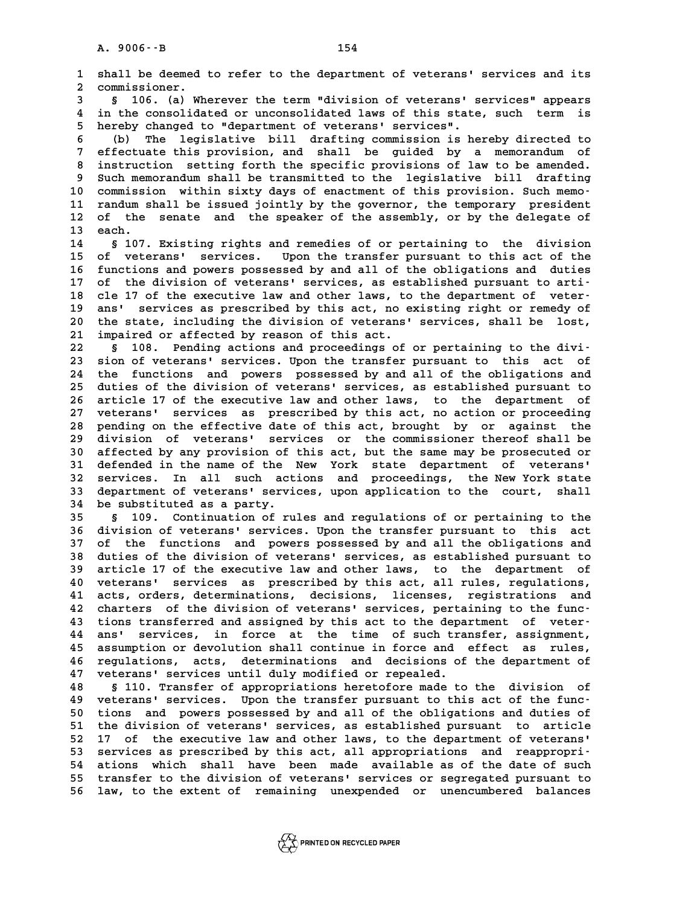**1 shall be deemed to refer to the department of veterans' services and its 2** shall be deemed<br>2 commissioner.<br>3 5 106 (a) Wh **3 \$ 106. (a) Wherever the department of veterans' services and its**<br>**3 \$ 106. (a) Wherever the term "division of veterans' services" appears**<br>**4** in the consolidated or unconsolidated laws of this state, such term is

**4 in the commissioner.**<br>
4 in the consolidated or unconsolidated laws of this state, such term is<br>
4 in the consolidated or unconsolidated laws of this state, such term is<br>
5 horeby shapeed to "department of uptorangl ser 5 106. (a) Wherever the term "division of veterans' s<br>4 in the consolidated or unconsolidated laws of this state<br>5 hereby changed to "department of veterans' services".<br>(b) The logislative hill drafting commission is be 4 in the consolidated or unconsolidated laws of this state, such term is<br>
5 hereby changed to "department of veterans' services".<br>
6 (b) The legislative bill drafting commission is hereby directed to<br>
7 offectuate this pro

**7** hereby changed to "department of veterans' services".<br> **6** (b) The legislative bill drafting commission is hereby directed to<br> **7** effectuate this provision, and shall be guided by a memorandum of<br>
instruction sotting **8 (b)** The legislative bill drafting commission is hereby directed to<br>7 effectuate this provision, and shall be guided by a memorandum of<br>8 instruction setting forth the specific provisions of law to be amended.<br>8 Such me 9 effectuate this provision, and shall be guided by a memorandum of<br>8 instruction setting forth the specific provisions of law to be amended.<br>9 Such memorandum shall be transmitted to the legislative bill drafting<br>20 commi 8 instruction setting forth the specific provisions of law to be amended.<br>
9 Such memorandum shall be transmitted to the legislative bill drafting<br>
10 commission within sixty days of enactment of this provision. Such memo-9 Such memorandum shall be transmitted to the legislative bill drafting<br>10 commission within sixty days of enactment of this provision. Such memo-<br>11 randum shall be issued jointly by the governor, the temporary president<br> 10 commission within sixty days of enactment of this provision. Such memo-<br>11 randum shall be issued jointly by the governor, the temporary president<br>12 of the senate and the speaker of the assembly, or by the delegate of<br> 11 randum shall be issued jointly by the governor, the temporary president<br>12 of the senate and the speaker of the assembly, or by the delegate of<br>13 each.<br>14 8 107. Existing rights and remedies of or pertaining to the div 12 of the senate and the speaker of the assembly, or by the delegate of each.<br>13 each.<br>15 § 107. Existing rights and remedies of or pertaining to the division<br>15 of veterans' services. Upon the transfer pursuant to this ac

14 S 107. Existing rights and remedies of or pertaining to the division<br>15 of veterans' services. Upon the transfer pursuant to this act of the<br>16 functions and powers possessed by and all of the obligations and duties 14 § 107. Existing rights and remedies of or pertaining to the division<br>15 of veterans' services. Upon the transfer pursuant to this act of the<br>16 functions and powers possessed by and all of the obligations and duties<br>17 15 of veterans' services. Upon the transfer pursuant to this act of the functions and powers possessed by and all of the obligations and duties<br>17 of the division of veterans' services, as established pursuant to arti-<br><sup>19</sup> 16 functions and powers possessed by and all of the obligations and duties<br>17 of the division of veterans' services, as established pursuant to arti-<br>18 cle 17 of the executive law and other laws, to the department of vete 17 of the division of veterans' services, as established pursuant to arti-<br>18 cle 17 of the executive law and other laws, to the department of veter-<br>19 ans' services as prescribed by this act, no existing right or remedy 20 the state of the executive law and other laws, to the department of veter-<br>19 ans' services as prescribed by this act, no existing right or remedy of<br>20 the state, including the division of veterans' services, shall be 19 ans' services as prescribed by this act, no expansion of veterans'<br>21 impaired or affected by reason of this act.<br>22 5 108 **Donding actions and proceedings** of 20 the state, including the division of veterans' services, shall be lost,<br>
21 impaired or affected by reason of this act.<br>
22 § 108. Pending actions and proceedings of or pertaining to the divi-<br>
23 sion of veterans' serv

21 impaired or affected by reason of this act.<br>22 § 108. Pending actions and proceedings of or pertaining to the divi-<br>23 sion of veterans' services. Upon the transfer pursuant to this act of<br>24 the functions and powers po **22 s** 108. Pending actions and proceedings of or pertaining to the divi-<br> **23** sion of veterans' services. Upon the transfer pursuant to this act of<br>
24 the functions and powers possessed by and all of the obligations a 23 sion of veterans' services. Upon the transfer pursuant to this act of<br>24 the functions and powers possessed by and all of the obligations and<br>25 duties of the division of veterans' services, as established pursuant to<br>2 24 the functions and powers possessed by and all of the obligations and<br>25 duties of the division of veterans' services, as established pursuant to<br>26 article 17 of the executive law and other laws, to the department of<br>27 25 duties of the division of veterans' services, as established pursuant to<br>26 article 17 of the executive law and other laws, to the department of<br>27 veterans' services as prescribed by this act, no action or proceeding<br>2 26 article 17 of the executive law and other laws, to the department of veterans' services as prescribed by this act, no action or proceeding 28 pending on the effective date of this act, brought by or against the division 27 veterans' services as prescribed by this act, no action or proceeding<br>28 pending on the effective date of this act, brought by or against the<br>29 division of veterans' services or the commissioner thereof shall be<br>20 aff 28 pending on the effective date of this act, brought by or against the<br>29 division of veterans' services or the commissioner thereof shall be<br>30 affected by any provision of this act, but the same may be prosecuted or<br>31 division of veterans' services or the commissioner thereof shall be<br>30 affected by any provision of this act, but the same may be prosecuted or<br>31 defended in the name of the New York state department of veterans'<br><sup>32</sup> ser 30 affected by any provision of this act, but the same may be prosecuted or 31 defended in the name of the New York state department of veterans' services. In all such actions and proceedings, the New York state<br>33 departm 31 defended in the name of the New York state department of veterans'<br>32 services. In all such actions and proceedings, the New York state<br>33 department of veterans' services, upon application to the court, shall 32 services. In all such actions and proceedings, the New York state<br>33 department of veterans' services, upon application to the court, shall<br>34 be substituted as a party.<br>35 § 109. Continuation of rules and regulations o **33 department of veterans' services, upon application to the court, shall**<br> **34 be substituted as a party.**<br> **35** § 109. Continuation of rules and regulations of or pertaining to the<br> **36** division of unterval services. U

**34 be substituted as a party.**<br> **35 § 109. Continuation of rules and regulations of or pertaining to the division of veterans' services. Upon the transfer pursuant to this act**<br> **37 of the functions and powers possessed b 35 § 109. Continuation of rules and regulations of or pertaining to the division of veterans' services. Upon the transfer pursuant to this act of the functions and powers possessed by and all the obligations and<br>20 divise 36 division of veterans' services. Upon the transfer pursuant to this act**<br>37 of the functions and powers possessed by and all the obligations and<br>38 duties of the division of veterans' services, as established pursuant t 37 of the functions and powers possessed by and all the obligations and<br>38 duties of the division of veterans' services, as established pursuant to<br>39 article 17 of the executive law and other laws, to the department of<br>40 **40 veterans' services as prescribed by this act, all rules, regulations,** 39 article 17 of the executive law and other laws, to the department of veterans' services as prescribed by this act, all rules, regulations, 41 acts, orders, determinations, decisions, licenses, registrations and charters 40 veterans' services as prescribed by this act, all rules, regulations,<br>41 acts, orders, determinations, decisions, licenses, registrations and<br>42 charters of the division of veterans' services, pertaining to the func-<br><sup>4</sup> 41 acts, orders, determinations, decisions, licenses, registrations and<br>
42 charters of the division of veterans' services, pertaining to the func-<br>
43 tions transferred and assigned by this act to the department of veter-**44 ans' services, in force at the time of such transfer, assignment,** 43 tions transferred and assigned by this act to the department of veter-<br>44 ans' services, in force at the time of such transfer, assignment,<br>45 assumption or devolution shall continue in force and effect as rules,<br>46 reg 44 ans' services, in force at the time of such transfer, assignment,<br>45 assumption or devolution shall continue in force and effect as rules,<br>46 regulations, acts, determinations and decisions of the department of<br>47 veter 45 assumption or devolution shall continue in force and<br>46 regulations, acts, determinations and decisions of<br>47 veterans' services until duly modified or repealed.<br>48 5 110 Transfor of appropriations bereigenessed to **46 regulations, acts, determinations and decisions of the department of**<br>**47 veterans' services until duly modified or repealed.**<br>**48** § 110. Transfer of appropriations heretofore made to the division of<br>**49 veterans' ser** 

**49 veterans' services. Upon the transfer pursuant to this act of the func-50 tions and powers possessed by and all of the obligations and duties of** 49 veterans' services. Upon the transfer pursuant to this act of the func-<br>50 tions and powers possessed by and all of the obligations and duties of<br>51 the division of veterans' services, as established pursuant to article 50 tions and powers possessed by and all of the obligations and duties of<br>51 the division of veterans' services, as established pursuant to article<br>52 17 of the executive law and other laws, to the department of veterans'<br> 51 the division of veterans' services, as established pursuant to article<br>
52 17 of the executive law and other laws, to the department of veterans'<br>
53 services as prescribed by this act, all appropriations and reappropri 52 17 of the executive law and other laws, to the department of veterans'<br>53 services as prescribed by this act, all appropriations and reappropri-<br>54 ations which shall have been made available as of the date of such<br>55 t 53 services as prescribed by this act, all appropriations and reappropri-<br>54 ations which shall have been made available as of the date of such<br>55 transfer to the division of veterans' services or segregated pursuant to<br>56 53 services as prescribed by this act, all appropriations and reappropri-<br>54 ations which shall have been made available as of the date of such<br>55 transfer to the division of veterans' services or segregated pursuant to<br>56

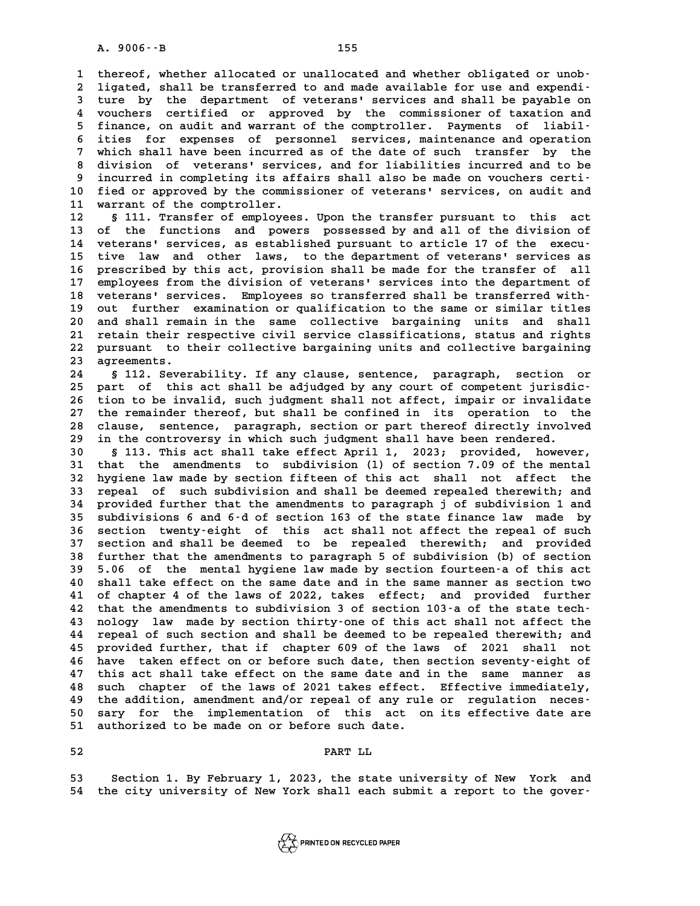A. 9006 -- B<br>1 thereof, whether allocated or unallocated and whether obligated or unob-<br><sup>2</sup> ligated shall be transformed to and made available for use and expendi-1 thereof, whether allocated or unallocated and whether obligated or unob-<br>2 ligated, shall be transferred to and made available for use and expendi-<br><sup>3</sup> ture, by the department of veterans' services and shall be payable o **3 ture by the department of veterans' services and shall be payable on** 1 ligated, shall be transferred to and made available for use and expenditure by the department of veterans' services and shall be payable on<br>4 vouchers certified or approved by the commissioner of taxation and<br>5 finance o 3 ture by the department of veterans' services and shall be payable on<br>4 vouchers certified or approved by the commissioner of taxation and<br>5 finance, on audit and warrant of the comptroller. Payments of liabil-<br>5 itiog fo 4 vouchers certified or approved by the commissioner of taxation and<br>5 finance, on audit and warrant of the comptroller. Payments of liabil-<br>6 ities for expenses of personnel services, maintenance and operation<br>7 which sha 5 finance, on audit and warrant of the comptroller. Payments of liabil-<br>6 ities for expenses of personnel services, maintenance and operation<br>7 which shall have been incurred as of the date of such transfer by the<br><sup>8</sup> divi 8 ities for expenses of personnel services, maintenance and operation<br>7 which shall have been incurred as of the date of such transfer by the<br>8 division of veterans' services, and for liabilities incurred and to be<br>8 incur 7 which shall have been incurred as of the date of such transfer by the<br>8 division of veterans' services, and for liabilities incurred and to be<br>9 incurred in completing its affairs shall also be made on vouchers certi-8 division of veterans' services, and for liabilities incurred and to be<br>9 incurred in completing its affairs shall also be made on vouchers certi-<br>10 fied or approved by the commissioner of veterans' services, on audit an 9 incurred in completing its aff<br>10 fied or approved by the commis<br>11 warrant of the comptroller.<br><sup>12</sup> f<sup>111</sup> Transfor of employees 10 fied or approved by the commissioner of veterans' services, on audit and<br>11 warrant of the comptroller.<br>12 § 111. Transfer of employees. Upon the transfer pursuant to this act<br>13 of the functions and powers possessed by

11 warrant of the comptroller.<br>12 § 111. Transfer of employees. Upon the transfer pursuant to this act<br>13 of the functions and powers possessed by and all of the division of<br>14 upterarel services as established pursuant to 12 § 111. Transfer of employees. Upon the transfer pursuant to this act<br>
13 of the functions and powers possessed by and all of the division of<br>
14 veterans' services, as established pursuant to article 17 of the execu-<br>
1 13 of the functions and powers possessed by and all of the division of<br>14 veterans' services, as established pursuant to article 17 of the execu-<br>15 tive law and other laws, to the department of veterans' services as<br>16 pr 14 veterans' services, as established pursuant to article 17 of the execu-<br>15 tive law and other laws, to the department of veterans' services as<br>16 prescribed by this act, provision shall be made for the transfer of all<br>1 15 tive law and other laws, to the department of veterans' services as<br>16 prescribed by this act, provision shall be made for the transfer of all<br>17 employees from the division of veterans' services into the department of<br> 16 prescribed by this act, provision shall be made for the transfer of all<br>17 employees from the division of veterans' services into the department of<br>18 veterans' services. Employees so transferred shall be transferred wi **17 employees from the division of veterans' services into the department of**<br>18 veterans' services. Employees so transferred shall be transferred with-<br>19 out further examination or qualification to the same or similar ti 18 veterans' services. Employees so transferred shall be transferred with-<br>19 out further examination or qualification to the same or similar titles<br>20 and shall remain in the same collective bargaining units and shall<br>21 20 out further examination or qualification to the same or similar titles<br>20 and shall remain in the same collective bargaining units and shall<br>21 retain their respective civil service classifications, status and rights<br>22 20 and shall remain in the same collective bargaining units and shall<br>21 retain their respective civil service classifications, status and rights<br>22 pursuant to their collective bargaining units and collective bargaining<br>2 21 retain their r<br>22 pursuant to the<br>23 agreements. **22 pursuant to their collective bargaining units and collective bargaining<br>23 agreements.**<br>8 112. Severability. If any clause, sentence, paragraph, section or<br>25 part of this ast shall be adiudeed by any court of compoten

23 agreements.<br>
24 § 112. Severability. If any clause, sentence, paragraph, section or<br>
25 part of this act shall be adjudged by any court of competent jurisdic<br>
26 tion to be invalid, such judgment shall not affect, impai **24** S 112. Severability. If any clause, sentence, paragraph, section or part of this act shall be adjudged by any court of competent jurisdic-<br>26 tion to be invalid, such judgment shall not affect, impair or invalidate<br>27 25 part of this act shall be adjudged by any court of competent jurisdic-<br>26 tion to be invalid, such judgment shall not affect, impair or invalidate<br>27 the remainder thereof, but shall be confined in its operation to the<br> 26 tion to be invalid, such judgment shall not affect, impair or invalidate<br>27 the remainder thereof, but shall be confined in its operation to the<br>28 clause, sentence, paragraph, section or part thereof directly involved<br> 27 the remainder thereof, but shall be confined in its operation to the clause, sentence, paragraph, section or part thereof directly involved in the controversy in which such judgment shall have been rendered. clause, sentence, paragraph, section or part thereof directly involved<br>29 in the controversy in which such judgment shall have been rendered.<br>30 § 113. This act shall take effect April 1, 2023; provided, however,<br>31 that t

19 in the controversy in which such judgment shall have been rendered.<br> **30** § 113. This act shall take effect April 1, 2023; provided, however,<br>
31 that the amendments to subdivision (1) of section 7.09 of the mental **30** § 113. This act shall take effect April 1, 2023; provided, however,<br>31 that the amendments to subdivision (1) of section 7.09 of the mental<br>32 hygiene law made by section fifteen of this act shall not affect the<br>33 re 31 that the amendments to subdivision (1) of section 7.09 of the mental<br>32 hygiene law made by section fifteen of this act shall not affect the<br>33 repeal of such subdivision and shall be deemed repealed therewith; and<br>34 p **32 hygiene law made by section fifteen of this act shall not affect the repeal of such subdivision and shall be deemed repealed therewith; and<br>34 provided further that the amendments to paragraph j of subdivision 1 and<br>35** 33 repeal of such subdivision and shall be deemed repealed therewith; and<br>34 provided further that the amendments to paragraph j of subdivision 1 and<br>35 subdivisions 6 and 6-d of section 163 of the state finance law made b **36 section twenty-eight of this act shall not affect the repeal of such** 35 subdivisions 6 and 6-d of section 163 of the state finance law made by<br>36 section twenty-eight of this act shall not affect the repeal of such<br>37 section and shall be deemed to be repealed therewith; and provided<br><sup>38</sup> f **36 section twenty-eight of this act shall not affect the repeal of such section and shall be deemed to be repealed therewith; and provided further that the amendments to paragraph 5 of subdivision (b) of section<br>38 furthe** 37 section and shall be deemed to be repealed therewith; and provided<br>38 further that the amendments to paragraph 5 of subdivision (b) of section<br>39 5.06 of the mental hygiene law made by section fourteen-a of this act<br>40 40 further that the amendments to paragraph 5 of subdivision (b) of section<br>40 shall take effect on the same date and in the same manner as section two<br>41 of chapter 4 of the laws of 2022, takes effect; and provided furthe **41 of chapter 4 of the laws of 2022, takes effect; and provided further 42 that the amendments to subdivision 3 of section 103-a of the state tech-**41 of chapter 4 of the laws of 2022, takes effect; and provided further<br>42 that the amendments to subdivision 3 of section 103-a of the state tech-<br>43 nology law made by section thirty-one of this act shall not affect the<br> 42 that the amendments to subdivision 3 of section 103-a of the state tech-<br>43 nology law made by section thirty-one of this act shall not affect the<br>44 repeal of such section and shall be deemed to be repealed therewith; A provided further and the section thirty-one of this act shall not affect the<br> **44** repeal of such section and shall be deemed to be repealed therewith; and<br> **45** provided further, that if chapter 609 of the laws of 2021 **44 repeal of such section and shall be deemed to be repealed therewith; and<br>45 provided further, that if chapter 609 of the laws of 2021 shall not<br>46 have taken effect on or before such date, then section seventy-eight of** 45 provided further, that if chapter 609 of the laws of 2021 shall not<br>46 have taken effect on or before such date, then section seventy-eight of<br>47 this act shall take effect on the same date and in the same manner as<br><sup>48</sup> As have taken effect on or before such date, then section seventy-eight of<br>47 this act shall take effect on the same date and in the same manner as<br>48 such chapter of the laws of 2021 takes effect. Effective immediately,<br>t 47 this act shall take effect on the same date and in the same manner as<br>48 such chapter of the laws of 2021 takes effect. Effective immediately,<br>49 the addition, amendment and/or repeal of any rule or regulation neces-<br>50 48 such chapter of the laws of 2021 takes effect. Effective immediately,<br>49 the addition, amendment and/or repeal of any rule or regulation neces-<br>50 sary for the implementation of this act on its effective date are<br>51 aut 49 the addition, amendment and/or repeal of any rule or regulation neces-<br>50 sary for the implementation of this act on its effective date are<br>51 authorized to be made on or before such date. 51 authorized to be made on or before such date.<br>52 PART LL

**53 Section 1. By February 1, 2023, the state university of New York and 54 the city university of New York shall each submit a report to the gover-**

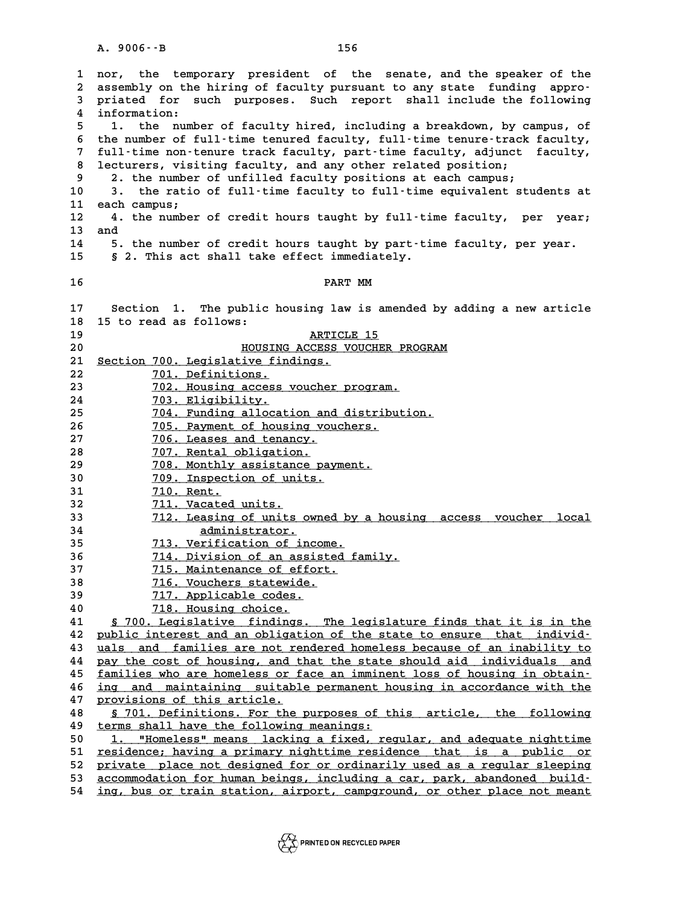**1 nor, the temporary president of the senate, and the speaker of the** 1 nor, the temporary president of the senate, and the speaker of the<br>2 assembly on the hiring of faculty pursuant to any state funding appro-<br>3 priated for such purposes, Such report shall inglude the following 1 nor, the temporary president of the senate, and the speaker of the assembly on the hiring of faculty pursuant to any state funding appro-<br>3 priated for such purposes. Such report shall include the following<br>4 information 2 assembly on the hiring of faculty pursuant to any state funding appro-<br>3 priated for such purposes. Such report shall include the following<br>4 information:<br>5 1. the number of faculty hired, including a breakdown, by campu 3 priated for such purposes. Such report shall include the following<br>4 information:<br>5 1. the number of faculty hired, including a breakdown, by campus, of<br>5 the number of full-time tenuned faculty, full-time tenune-track f Information:<br>
5 1. the number of faculty hired, including a breakdown, by campus, of<br>
6 the number of full-time tenured faculty, full-time tenure-track faculty,<br>
7 full-time pen-tenure track faculty, part-time faculty, adj 1. the number of faculty hired, including a breakdown, by campus, of<br>
6 the number of full-time tenured faculty, full-time tenure-track faculty,<br>
7 full-time non-tenure track faculty, part-time faculty, adjunct faculty,<br>
1 8 the number of full-time tenured faculty, full-time tenure-track faculty,<br>
7 full-time non-tenure track faculty, part-time faculty, adjunct faculty,<br>
8 lecturers, visiting faculty, and any other related position;<br>
9 2. th 9 1011-time non-tenure track faculty, part-time faculty, adjunct faculty,<br>**9** 2. the number of unfilled faculty positions at each campus;<br>10 3. the ratio of full-time faculty to full-time equivalent students at 10 11 3. the number of unfilled faculty positions at each campus;<br>
10 3. the ratio of full-time faculty to full-time equivalent students at<br>
11 each campus: 2. the number of unfilled faculty positions at each campus;<br>10 3. the ratio of full-time faculty to full-time equivalent<br>11 each campus;<br>12 4. the number of credit hours taught by full-time faculty, **10** 3. the ratio of full-time faculty to full-time equivalent students at<br>11 each campus;<br>4. the number of credit hours taught by full-time faculty, per year;<br><sup>13 and</sup> 11 each campus;<br>12 4. the num<br>13 and<br>14 5. the num 12 4. the number of credit hours taught by full-time faculty, per year;<br>13 and<br>14 5. the number of credit hours taught by part-time faculty, per year.<br>15 8.2. This act shall take effect immediately. 5. the number of credit hours taught by part-time faculty, per year. **15** § 2. This act shall take effect immediately.<br>16 **PART MM 17 Section 1. The public housing law is amended by adding a new article 18 15 to read as follows:** 17 Section 1. The public housing law is ame:<br>18 15 to read as follows:<br>19 **ARTICLE 15**<br>20 **DOUSING ACCESS VOUCUED** 18 15 to read as follows:<br> **20 hOUSING ACCESS VOUCHER PROGRAM**<br> **21 Section 700. Legislative findings. 21 Section 700. Legislative findings. \_\_\_\_\_\_\_\_\_\_\_\_\_\_\_\_\_\_\_\_\_\_\_\_\_\_\_\_\_\_\_\_\_\_** 20 <u>HOUSING</u><br>21 <u>Section 700. Legislative fin</u><br>22 701. Definitions.<br>23 702 Housing 200051. 21 <u>Section 700. Legislative findings.</u><br>22 701. Definitions.<br>23 702. Housing access voucher program.<br>24 703 Fligibility. 22 701. Definitions.<br>
23 702. Housing access voucher program.<br>
24 703. Eligibility.<br>
25 704. Funding allocation and distribu 25 704. Funding allocation and distribution.<br>26 705. Payment of housing vouchers. 24 703. Eligibility.<br>
25 704. Funding allocation and distribu<br>
26 705. Payment of housing vouchers.<br>
27 706 Logges and tenangy 25 704. Funding allocation and<br>
26 705. Payment of housing you<br>
27 706. Leases and tenancy. 26 705. Payment of housing vo<sup>1</sup><br>
27 706. Leases and tenancy.<br>
28 707. Rental obligation.<br>
29 708 Monthly assistance pair 27 706. Leases and tenancy.<br>
28 707. Rental obligation.<br>
29 708. Monthly assistance payment.<br>
20 709 Inspection of units. 28 707. Rental obligation.<br> **29 708. Monthly assistance paym**<br> **30** 709. Inspection of units.<br> **31** 710 Pent **29 708. Monthly<br>
<b>30** 709. Inspecti<br> **31** 710. Rent.<br> **22** 711. Vasated **30** 709. Inspection of uni<br> **31** 710. Rent.<br> **32** 711. Vacated units.<br> **33** 712. Logging of units. **33 712. Leasing of units owned by a housing access voucher local \_\_\_\_\_\_\_\_\_\_\_\_\_\_\_\_\_\_\_\_\_\_\_\_\_\_\_\_\_\_\_\_\_\_\_\_\_\_\_\_\_\_\_\_\_\_\_\_\_\_\_\_\_\_\_\_\_\_\_\_\_\_\_\_** 32 **111.** Vacated units.<br>
33 **12. Leasing of units ow.**<br>
34 **administrator.**<br>
35 713 Verification of ind. 33 712. Leasing of units owned by<br>
34 administrator.<br>
35 713. Verification of income.<br>
<sup>26</sup> 714 Division of an aggisted far 34 administrator.<br>
35 713. Verification of income.<br>
36 714. Division of an assisted family.<br>
<sup>27</sup> <sup>715</sup> Maintenance of offert 35 713. Verification of income.<br> **36** 714. Division of an assisted f.<br> **37** 715. Maintenance of effort.<br> **38** 716 Voughors statewide 36 714. Division of an assiste<br>
37 715. Maintenance of effort.<br>
38 716. Vouchers statewide.<br>
39 717 Applicable codes 37 715. Maintenance of effor<br>
38 716. Vouchers statewide.<br>
39 717. Applicable codes.<br>
<sup>719</sup> Housing shoise 38 716. Vouchers statewide<br> **40** 717. Applicable codes.<br> **40** 718. Housing choice. **40 117. Applicable codes.**<br> **40 118. Housing choice.**<br> **41 g** 700. Legislative findings. The legislature finds that it is in the<br> **42** public interest and an ebligation of the state to engure, that individen **40** 718. Housing choice.<br> **41** § 700. Legislative findings. The legislature finds that it is in the<br> **42** public interest and an obligation of the state to ensure that individ-<br> **43** upla and familias are not repeated beg **41** <u>§ 700. Legislative findings. The legislature finds that it is in the public interest and an obligation of the state to ensure that individ-<br>43 <u>uals and families are not rendered homeless because of an inability to</u><br></u> 42 <u>public interest and an obligation of the state to ensure that individ-</u><br>43 <u>uals and families are not rendered homeless because of an inability to</u><br>44 <u>pay the cost of housing, and that the state should aid individuals</u> a take an imaging and tamilies are not rendered homeless because of an inability to<br> **44** pay the cost of housing, and that the state should aid individuals and<br>
<u>families who are homeless or face an imminent loss of housi</u> **44** pay the cost of housing, and that the state should aid individuals and<br>45 <u>families who are homeless or face an imminent loss of housing in obtain-<br>46 ing and maintaining suitable permanent housing in accordance with </u> 45 **<u>families who are homeless or f</u><br>46 <u>ing and maintaining suitabl</u><br>47 <u>provisions of this article.</u><br>48 5 701 Dofinitions Ear the: 46** <u>ing and maintaining suitable permanent housing in accordance with the provisions of this article.<br>48 <u>§ 701. Definitions. For the purposes of this article, the following</u><br>terms shall have the following meanings:</u> **47** provisions of this article.<br> **48** <u>\$ 701. Definitions. For the purposes of the following meanings:</u><br> **49** terms shall have the following meanings:<br> **50.** 1. Wereless means lasking a fixed re-**50 1. Definitions. For the purposes of this article, the following<br>
<u>terms shall have the following meanings:</u><br>
<u>1. "Homeless" means lacking a fixed, regular, and adequate nighttime</u><br>
residence: having a primary nighttime** the statust of the semilog of the semings:<br> **1.** "Homeless" means lacking a fixed, regular, and adequate nighttime<br>
<u>1. Thomeless"</u> means lacking a fixed, regular, and adequate nighttime<br> **private** place not designed for o 1. "Homeless" means lacking a fixed, regular, and adequate nighttime<br>
<u>private</u> place not designed for or ordinarily used as a regular sleeping<br>
private place not designed for or ordinarily used as a regular sleeping<br>
priv 51 <u>residence; having a primary nighttime residence that is a public or</u><br>52 <u>private place not designed for or ordinarily used as a regular sleeping<br>accommodation for human beings, including a car, park, abandoned build-<br>5</u> 53 <u>accommodation for human beings, including a car, park, abandoned build-<br>54 ing, bus or train station, airport, campground, or other place not meant</u>

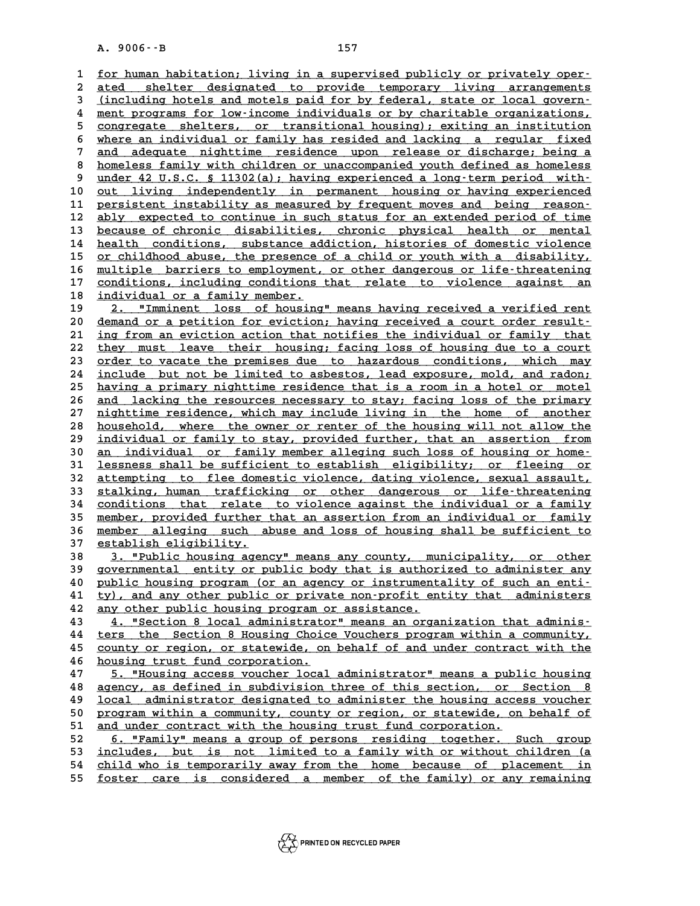A. 9006 · - B<br> **1** for human habitation; living in a supervised publicly or privately oper-<br>
2 ated shelter designated to provide temperary living arrapsements 1 <u>for human habitation; living in a supervised publicly or privately oper-</u><br>2 <u>ated shelter designated to provide temporary living arrangements</u><br>3 (including botels and motels paid for by federal state or logal govern. 1 for human habitation; living in a supervised publicly or privately oper-<br>2 ated shelter designated to provide temporary living arrangements<br>3 (including hotels and motels paid for by federal, state or local govern-<br>4 mon ated shelter designated to provide temporary living arrangements<br>
including hotels and motels paid for by federal, state or local govern-<br>
<u>ment programs for low-income individuals or by charitable organizations,</u><br>
congres 3 (including hotels and motels paid for by federal, state or local govern-<br>
<u>ment programs for low-income individuals or by charitable organizations,</u><br>
<u>congregate shelters, or transitional housing); exiting an institution</u> 4 <u>ment programs for low-income individuals or by charitable organizations,<br>5 congregate shelters, or transitional housing); exiting an institution<br>6 where an individual or family has resided and lacking a regular fixed<br>2 </u> 5 congregate shelters, or transitional housing); exiting an institution<br>
where an individual or family has resided and lacking a regular fixed<br>
7 and adequate nighttime residence upon release or discharge; being a<br>
begales 8 where an individual or family has resided and lacking a regular fixed<br>
<sup>7</sup> and adequate nighttime residence upon release or discharge; being a<br>
<u>homeless family with children or unaccompanied youth defined as homeless</u><br> and adequate nighttime residence upon release or discharge; being a<br>
<u>homeless family with children or unaccompanied youth defined as homeless</u><br>
<u>under 42 U.S.C. § 11302(a); having experienced a long-term period with-</u><br>
ou 8 <u>homeless family with children or unaccompanied youth defined as homeless</u><br>9 <u>under 42 U.S.C. § 11302(a); having experienced</u> a long-term period with-<br>10 <u>out living independently in permanent housing or having experienc</u> 9 under 42 U.S.C. § 11302(a); having experienced a long-term period with-<br>
10 <u>out living independently in permanent housing or having experienced</u><br>
11 persistent instability as measured by frequent moves and being reasonout living independently in permanent housing or having experienced<br>
11 persistent instability as measured by frequent moves and being reason-<br>
12 ably expected to continue in such status for an extended period of time<br>
21 11 <u>persistent instability</u> as measured by frequent moves and being reason-<br>
12 ably expected to continue in such status for an extended period of time<br>
13 because of chronic disabilities, chronic physical health or mental ably expected to continue in such status for an extended period of time<br>
13 <u>because of chronic disabilities, chronic physical health or mental</u><br>
14 <u>health conditions, substance addiction, histories of domestic violence</u><br> 12 <u>ably expected to continue in such status for an extended period of time<br>13 because of chronic disabilities, chronic physical health or mental<br>14 health conditions, substance addiction, histories of domestic violence<br>15</u> 14 <u>health conditions, substance addiction, histories of domestic violence</u><br>15 <u>or childhood abuse, the presence of a child or youth with a disability,</u><br>16 <u>multiple barriers to employment, or other dangerous or life-threa</u> or childhood abuse, the presence of a child or youth with a disability,<br>16 <u>multiple barriers to employment</u>, or other dangerous or life-threatening<br>20 conditions, including conditions that relate to violence against an<br>20 16 <u>multiple barriers to employment,</u><br>17 <u>conditions, including conditions</u><br>18 <u>individual or a family member.</u><br>2 **ILITER** 17 conditions, including conditions that relate to violence against an<br>
18 <u>individual or a family member.</u><br>
19 2. "Imminent loss of housing" means having received a verified rent<br>
20 demand or a petition for eviction; hav **20 18 individual or a family member.**<br> **20 <u>demand or a petition for eviction; having received a court order result-**<br> **20** demand or a petition action that potifies the individual or family, that</u> 2. "Imminent loss of housing" means having received a verified rent<br>
20 <u>demand or a petition for eviction; having received a court order result-</u><br>
21 <u>ing from an eviction action that notifies the individual or family tha</u> 21 <u>ing from an eviction action that notifies the individual or family that</u><br>22 <u>they must leave their housing; facing loss of housing due to a court</u><br>23 <u>order to vacate the premises due to hazardous conditions, which may</u> 21 <u>ing from an eviction action that notifies the individual or family that</u><br>22 <u>they must leave their housing; facing loss of housing due to a court</u><br>23 <u>order to vacate the premises due to hazardous conditions, which may</u> 22 <u>they must leave their housing; facing loss of housing due to a court</u><br>23 <u>order to vacate the premises due</u> to hazardous conditions, which may<br>24 include but not be limited to asbestos, lead exposure, mold, and radon;<br> 23 order to vacate the premises due to hazardous conditions, which may<br>24 <u>include but not be limited to asbestos, lead exposure, mold, and radon;</u><br>25 having a primary nighttime residence that is a room in a hotel or motel include but not be limited to asbestos, lead exposure, mold, and radon;<br>25 having a primary nighttime residence that is a room in a hotel or motel<br>26 and lacking the resources necessary to stay; facing loss of the primary<br> having a primary nighttime residence that is a room in a hotel or motel<br>
26 and lacking the resources necessary to stay; facing loss of the primary<br>
27 nighttime residence, which may include living in the home of another<br> 26 and lacking the resources necessary to stay; facing loss of the primary<br>27 <u>nighttime residence, which may include living in the home of another</u><br>28 <u>household, where the owner or renter of the housing will not allow th</u> a <u>indiptime</u> residence, which may include living in the home of another<br>
28 household, where the owner or renter of the housing will not allow the<br>
29 individual or family to stay, provided further, that an assertion from **28 household, where the owner or renter of the housing will not allow the individual or family to stay, provided further, that an assertion from an individual or family member alleging such loss of housing or home-**<br>**30** individual or family to stay, provided further, that an assertion from<br>30 <u>an individual or family member alleging such loss of housing or home</u><br>31 <u>lessness shall be sufficient to establish eligibility; or fleeing or</u><br>32 30 an individual or family member alleging such loss of housing or home-<br>31 <u>lessness shall be sufficient to establish eligibility; or fleeing or</u><br>32 <u>attempting to flee domestic violence, dating violence, sexual assault,</u> **11** lessness shall be sufficient to establish eligibility; or fleeing or attempting to flee domestic violence, dating violence, sexual assault, stalking, human trafficking or other dangerous or life-threatening conditions 32 <u>attempting to flee domestic violence, dating violence, sexual assault,</u><br>33 <u>stalking, human trafficking or other dangerous or life-threatening</u><br>24 <u>conditions that relate to violence against the individual or a family</u> 33 stalking, human trafficking or other dangerous or life-threatening<br>
34 <u>conditions that relate to violence against the individual or a family</u><br>
35 member, provided further that an assertion from an individual or family<br> 34 <u>conditions that relate to violence against the individual or a family member, provided further that an assertion from an individual or family member alleging such abuse and loss of housing shall be sufficient to actabl</u> 35 member, provided further<br>36 member alleging such a<br>37 establish eligibility. 36 <u>member alleging such abuse and loss of housing shall be sufficient to establish eligibility.<br>38 3. "Public housing agency" means any county, municipality, or other<br>39 governmental entity or public body that is authoriz</u> **37** establish eligibility.<br> **38** <u>3. "Public housing agency" means any county, municipality, or other<br> **39** governmental entity or public body that is authorized to administer any<br>
public bouging program (or an agency or </u> 38 3. "Public housing agency" means any county, municipality, or other<br>
40 <u>public housing program</u> (or an agency or instrumentality of such an enti-<br>
<sup>11</sup> ty) and any other public or private pop, profit entity that admini 40 governmental entity or public body that is authorized to administer any public housing program (or an agency or instrumentality of such an enti-<br>
41 ty), and any other public or private non-profit entity that administer **40** <u>public housing program (or an agency or instrument</u><br> **41** <u>any other public housing program or assistance.</u><br> **42** <u>any other public housing program or assistance.</u><br> **43 4 1** Section 8 local administrator means an **41 (b)**, and any other public or private non-profit entity that administers<br> **42 any other public housing program or assistance.**<br> **43 4. "Section 8 local administrator" means an organization that adminis-**<br> **44** tors t **42 any other public housing program or assistance.**<br> **43 4. "Section 8 local administrator" means an organization that adminis-**<br> **44 ters the Section 8 Housing Choice Vouchers program within a community,**<br> **45 coun** 43 4. "Section 8 local administrator" means an organization that adminis-<br>44 ters the Section 8 Housing Choice Vouchers program within a community,<br><u>county or region, or statewide</u>, on behalf of and under contract with the **44** <u>ters the Section 8 Housing Choic</u><br>45 <u>county or region, or statewide, on</u><br>46 <u>housing trust fund corporation.</u><br>47 **5** Wousing 200000 Wousher local **45** county or region, or statewide, on behalf of and under contract with the<br>46 housing trust fund corporation.<br>47 5. "Housing access voucher local administrator" means a public housing<br>28 access to a defined in subdivisi **48 agency, as defined in subdivision three of this section, or Section 8 \_\_\_\_\_\_\_\_\_\_\_\_\_\_\_\_\_\_\_\_\_\_\_\_\_\_\_\_\_\_\_\_\_\_\_\_\_\_\_\_\_\_\_\_\_\_\_\_\_\_\_\_\_\_\_\_\_\_\_\_\_\_\_\_\_\_\_\_\_\_\_\_** 47 5. "Housing access voucher local administrator" means a public housing<br>48 <u>agency, as defined in subdivision three of this section, or Section 8</u><br><u>10cal administrator designated to administer the housing access voucher</u> **50 agency, as defined in subdivision three of this section, or Section 8**<br> **19 local administrator designated to administer the housing access voucher**<br> **program within a community, county or region, or statewide, on beha 10cal administrator designated to administer the housing acce**<br> **program within a community, county or region, or statewide, on**<br> **and under contract with the housing trust fund corporation.**<br> **52** 6 Wesmily moors a group 50 program within a community, county or region, or statewide, on behalf of<br>51 and under contract with the housing trust fund corporation.<br>52 6. "Family" means a group of persons residing together. Such group<br>53 includes b 51 and under contract with the housing trust fund corporation.<br>52 6. "Family" means a group of persons residing together. Such group<br>53 <u>includes, but is not limited to a family with or without children (a</u><br>54 child who is 52 <u>6. "Family" means a group of persons residing together. Such group</u><br>53 <u>includes, but is not limited to a family with or without children (a<br>child who is temporarily away from the home because of placement in<br>55 foster</u> 53 <u>includes, but is not limited to a family with or without children (a</u><br>54 <u>child who is temporarily away from the home because of placement in</u><br>55 <u>foster care is considered a member of the family) or any remaining</u>

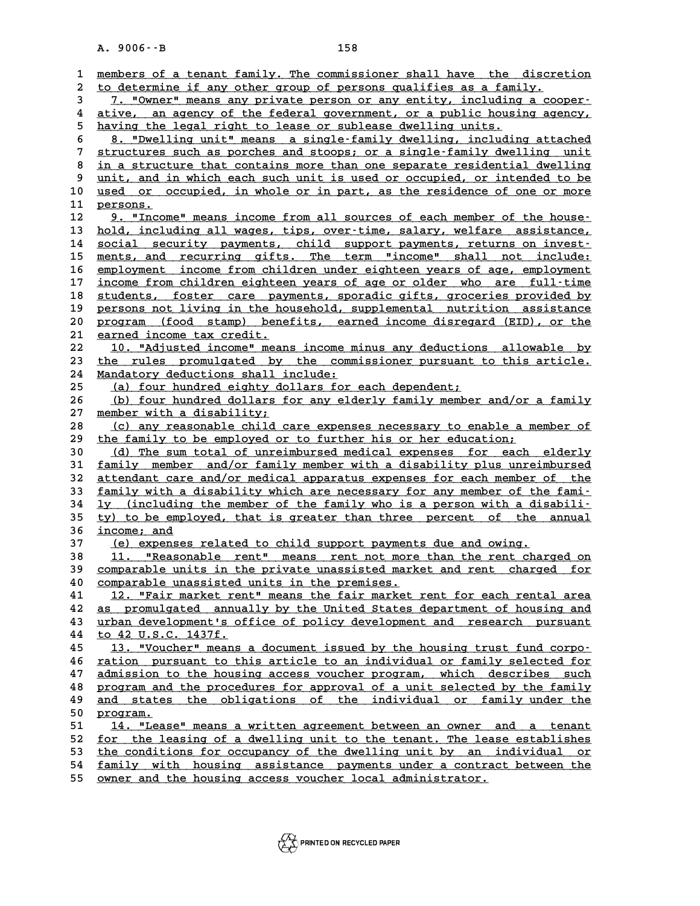|          | A. 9006--B<br>158                                                                                                                                 |
|----------|---------------------------------------------------------------------------------------------------------------------------------------------------|
|          |                                                                                                                                                   |
| 1        | members of a tenant family. The commissioner shall have the discretion                                                                            |
| 2        | to determine if any other group of persons qualifies as a family.                                                                                 |
| 3<br>4   | 7. "Owner" means any private person or any entity, including a cooper-<br>ative, an agency of the federal government, or a public housing agency, |
| 5        | having the legal right to lease or sublease dwelling units.                                                                                       |
| 6        | 8. "Dwelling unit" means a single-family dwelling, including attached                                                                             |
| 7        | structures such as porches and stoops; or a single-family dwelling unit                                                                           |
| 8        | in a structure that contains more than one separate residential dwelling                                                                          |
| 9        | unit, and in which each such unit is used or occupied, or intended to be                                                                          |
| 10       | used or occupied, in whole or in part, as the residence of one or more                                                                            |
| 11       | persons.                                                                                                                                          |
| 12       | 9. "Income" means income from all sources of each member of the house-                                                                            |
| 13       | hold, including all wages, tips, over-time, salary, welfare assistance,                                                                           |
| 14       | social security payments, child support payments, returns on invest-                                                                              |
| 15       | ments, and recurring gifts. The term "income" shall not include:                                                                                  |
| 16       | employment income from children under eighteen years of age, employment                                                                           |
| 17       | income from children eighteen years of age or older who are full-time                                                                             |
| 18       | students, foster care payments, sporadic gifts, groceries provided by                                                                             |
| 19       | persons not living in the household, supplemental nutrition assistance                                                                            |
| 20<br>21 | program (food stamp) benefits, earned income disregard (EID), or the<br>earned income tax credit.                                                 |
| 22       | 10. "Adjusted income" means income minus any deductions allowable by                                                                              |
| 23       | the rules promulgated by the commissioner pursuant to this article.                                                                               |
| 24       | Mandatory deductions shall include:                                                                                                               |
| 25       | (a) four hundred eighty dollars for each dependent;                                                                                               |
| 26       | (b) four hundred dollars for any elderly family member and/or a family                                                                            |
| 27       | member with a disability;                                                                                                                         |
| 28       | (c) any reasonable child care expenses necessary to enable a member of                                                                            |
| 29       | the family to be employed or to further his or her education;                                                                                     |
| 30       | (d) The sum total of unreimbursed medical expenses for each elderly                                                                               |
| 31       | family member and/or family member with a disability plus unreimbursed                                                                            |
| 32       | attendant care and/or medical apparatus expenses for each member of the                                                                           |
| 33       | family with a disability which are necessary for any member of the fami-                                                                          |
| 34       | ly (including the member of the family who is a person with a disabili-                                                                           |
| 35       | ty) to be employed, that is greater than three percent of the annual                                                                              |
| 36       | income; and                                                                                                                                       |
| 37       | (e) expenses related to child support payments due and owing.                                                                                     |
| 38       | 11. "Reasonable rent" means rent not more than the rent charged on                                                                                |
| 39<br>40 | comparable units in the private unassisted market and rent charged for<br>comparable unassisted units in the premises.                            |
| 41       | 12. "Fair market rent" means the fair market rent for each rental area                                                                            |
| 42       | as promulgated annually by the United States department of housing and                                                                            |
| 43       | urban development's office of policy development and research pursuant                                                                            |
| 44       | <u>to 42 U.S.C. 1437f.</u>                                                                                                                        |
| 45       | 13. "Voucher" means a document issued by the housing trust fund corpo-                                                                            |
| 46       | ration pursuant to this article to an individual or family selected for                                                                           |
| 47       | admission to the housing access voucher program, which describes such                                                                             |
| 48       | program and the procedures for approval of a unit selected by the family                                                                          |
| 49       | and states the obligations of the individual or family under the                                                                                  |
| 50       | program.                                                                                                                                          |
| 51       | 14. "Lease" means a written agreement between an owner and a tenant                                                                               |
| 52       | for the leasing of a dwelling unit to the tenant. The lease establishes                                                                           |
| 53       | the conditions for occupancy of the dwelling unit by an individual or                                                                             |
| 54       | family with housing assistance payments under a contract between the                                                                              |
| 55       | owner and the housing access voucher local administrator.                                                                                         |

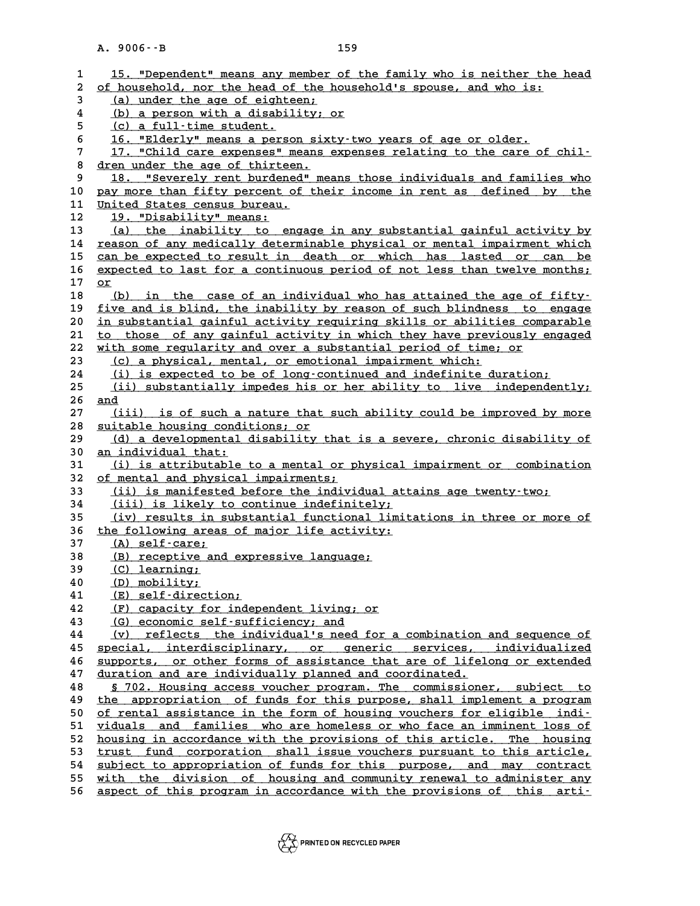|                  | $A. 9006 - B$<br>159                                                                                                       |
|------------------|----------------------------------------------------------------------------------------------------------------------------|
|                  |                                                                                                                            |
| $\mathbf{1}$     | 15. "Dependent" means any member of the family who is neither the head                                                     |
| $\mathbf 2$<br>3 | of household, nor the head of the household's spouse, and who is:                                                          |
|                  | (a) under the age of eighteen;                                                                                             |
| 4<br>5           | (b) a person with a disability; or<br>(c) a full-time student.                                                             |
| 6                | 16. "Elderly" means a person sixty-two years of age or older.                                                              |
| 7                | 17. "Child care expenses" means expenses relating to the care of chil-                                                     |
| 8                | dren under the age of thirteen.                                                                                            |
| 9                | "Severely rent burdened" means those individuals and families who<br>18.                                                   |
| 10               | pay more than fifty percent of their income in rent as defined by the                                                      |
| 11               | United States census bureau.                                                                                               |
| 12               | 19. "Disability" means:                                                                                                    |
| 13               | (a) the inability to engage in any substantial gainful activity by                                                         |
| 14               | reason of any medically determinable physical or mental impairment which                                                   |
| 15               | can be expected to result in death or which has lasted or can be                                                           |
| 16               | expected to last for a continuous period of not less than twelve months;                                                   |
| 17               | or                                                                                                                         |
| 18               | (b) in the case of an individual who has attained the age of fifty-                                                        |
| 19               | five and is blind, the inability by reason of such blindness to engage                                                     |
| 20               | in substantial gainful activity requiring skills or abilities comparable                                                   |
| 21               | to those of any gainful activity in which they have previously engaged                                                     |
| 22               | with some regularity and over a substantial period of time; or                                                             |
| 23               | (c) a physical, mental, or emotional impairment which:<br>(i) is expected to be of long-continued and indefinite duration; |
| 24<br>25         | (ii) substantially impedes his or her ability to live independently;                                                       |
| 26               | and                                                                                                                        |
| 27               | (iii) is of such a nature that such ability could be improved by more                                                      |
| 28               | suitable housing conditions; or                                                                                            |
| 29               | (d) a developmental disability that is a severe, chronic disability of                                                     |
| 30               | <u>an individual that:</u>                                                                                                 |
| 31               | (i) is attributable to a mental or physical impairment or combination                                                      |
| 32               | of mental and physical impairments;                                                                                        |
| 33               | (ii) is manifested before the individual attains age twenty-two;                                                           |
| 34               | (iii) is likely to continue indefinitely;                                                                                  |
| 35               | (iv) results in substantial functional limitations in three or more of                                                     |
| 36               | the following areas of major life activity:                                                                                |
| 37               | (A) self-care;                                                                                                             |
| 38               | (B) receptive and expressive language;                                                                                     |
| 39               | (C) learning;                                                                                                              |
| 40               | (D) mobility;                                                                                                              |
| 41<br>42         | (E) self-direction;<br>(F) capacity for independent living; or                                                             |
| 43               | (G) economic self-sufficiency; and                                                                                         |
| 44               | (v) reflects the individual's need for a combination and sequence of                                                       |
| 45               | special, interdisciplinary, or generic services, individualized                                                            |
| 46               | supports, or other forms of assistance that are of lifelong or extended                                                    |
| 47               | duration and are individually planned and coordinated.                                                                     |
| 48               | § 702. Housing access voucher program. The commissioner, subject to                                                        |
| 49               | the appropriation of funds for this purpose, shall implement a program                                                     |
| 50               | of rental assistance in the form of housing vouchers for eligible indi-                                                    |
| 51               | viduals and families who are homeless or who face an imminent loss of                                                      |
| 52               | housing in accordance with the provisions of this article. The housing                                                     |
| 53               | trust fund corporation shall issue vouchers pursuant to this article,                                                      |
| 54               | subject to appropriation of funds for this purpose, and may contract                                                       |
| 55               | with the division of housing and community renewal to administer any                                                       |
| 56               | aspect of this program in accordance with the provisions of this arti-                                                     |

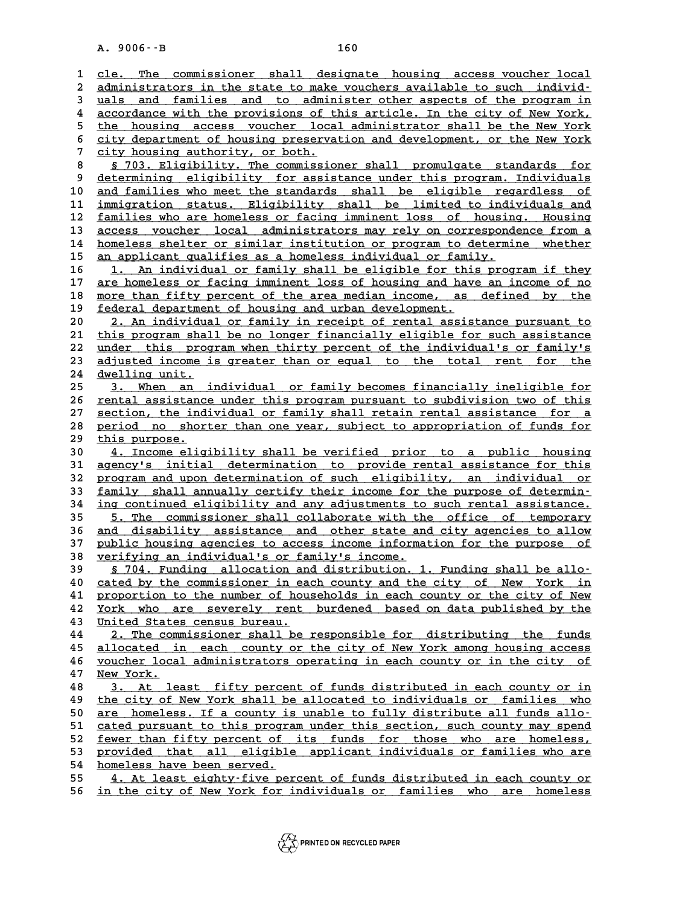A. 9006 · - B<br>
1 cle. The commissioner shall designate housing access voucher local<br>
2 administrators in the state to make vouchers available to such individ-2 <u>administrators in the state to make vouchers available to such individ-</u><br>3 uals and families and to administer other aspects of the program in 2 cle. The commissioner shall designate housing access voucher local<br>
2 administrators in the state to make vouchers available to such individ-<br>
3 uals and families and to administer other aspects of the program in<br>
23 acc administrators in the state to make vouchers available to such individ-<br> **4 accordance with the provisions of this article. In the city of New York,**<br> **4 accordance with the provisions of this article. In the city of New Y** <u>uals and families and to administer other aspects of the program in<br>4 accordance with the provisions of this article. In the city of New York,<br>5 the housing access voucher local administrator shall be the New York<br>5 situ </u> 4 accordance with the provisions of this article. In the city of New York,<br>5 the housing access voucher local administrator shall be the New York<br>6 city department of housing preservation and development, or the New York<br>7 5 the housing access voucher local administrator shall be the New York<br>
6 city department of housing preservation and development, or the New York<br>
7 city housing authority, or both.<br>
8 \$ 703. Eligibility. The commissioner 8 <u>city department of housing preservation and development, or the New York<br>
8 <u>\$ 703. Eligibility, The commissioner shall</u> promulgate standards for<br>
9 determining eligibility for assistance under this program. Individuals</u> 9 <u>determining eligibility for assistance under this program. Individuals</u><br>10 and families who meet the standards shall be eligible regardless of 8 <u>§ 703. Eligibility. The commissioner shall promulgate standards for</u><br>
9 <u>determining eligibility for assistance under this program. Individuals</u><br>
10 <u>and families who meet the standards shall be eligible regardless of</u><br> 9 determining eligibility for assistance under this program. Individuals<br>10 <u>and families who meet the standards shall be eligible regardless of</u><br>11 <u>immigration status. Eligibility shall be limited to individuals and</u><br>fam and families who meet the standards shall be eligible regardless of<br>
11 <u>immigration status. Eligibility shall be limited to individuals and</u><br>
12 <u>families who are homeless or facing imminent loss of housing. Housing</u><br>
200 11 <u>immigration status. Eligibility shall be limited to individuals and</u><br>12 <u>families who are homeless or facing imminent loss of housing. Housing</u><br>13 <u>access voucher local administrators may rely on correspondence from a</u> 14 <u>homeless shelter or similar institution or program to determine whether</u><br>15 an applicant qualifies as a homeless individual or family. **15** <u>an applicant qualifies as a homeless individual or family.</u><br>16 **1.** An individual or family shall be eligible for this pr **14** homeless shelter or similar institution or program to determine whether<br> **15** <u>an applicant qualifies as a homeless individual or family.</u><br> **16** <u>1. An individual or family shall be eligible for this program if they</u><br> an applicant qualifies as a homeless individual or family.<br>
16 1. An individual or family shall be eligible for this program if they<br>
17 <u>are homeless or facing imminent loss of housing and have an income of no</u><br>
18 more t 16 1. An individual or family shall be eligible for this program if they<br>17 <u>are homeless or facing imminent loss of housing and have an income of no<br>18 more than fifty percent of the area median income, as defined by the<br></u> **19 federal department of housing and urban development. \_\_\_\_\_\_\_\_\_\_\_\_\_\_\_\_\_\_\_\_\_\_\_\_\_\_\_\_\_\_\_\_\_\_\_\_\_\_\_\_\_\_\_\_\_\_\_\_\_\_\_\_** 18 <u>more than fifty percent of the area median income, as defined by the federal department of housing and urban development.<br>20 <u>2. An individual or family in receipt of rental assistance pursuant to</u><br>21 this program shal</u> 19 <u>federal department of housing and urban development.</u><br>20 2. An individual or family in receipt of rental assistance pursuant to<br>21 this program shall be no longer financially eligible for such assistance<br>22 under this 20 2. An individual or family in receipt of rental assistance pursuant to<br>
21 this program shall be no longer financially eligible for such assistance<br>
22 under this program when thirty percent of the individual's or famil 21 this program shall be no longer financially eligible for such assistance<br>22 <u>under this program when thirty percent of the individual's or family's<br>23 adjusted income is greater than or equal to the total rent for the<br>2</u> 22 <u>under this prog</u><br>23 <u>adjusted income i</u><br>24 <u>dwelling unit.</u> 23 <u>adjusted income is greater than or equal to the total rent for the</u><br>24 <u>dwelling unit.</u><br>25 <u>3. When an individual or family becomes financially ineligible for</u><br>26 <u>rental assistance under this program pursuant to subdi</u> **24 <u>dwelling unit.</u><br>25 3. When an individual or family becomes financially ineligible for<br>26 rental assistance under this program pursuant to subdivision two of this<br>27 section the individual or family shall retain rental** 3. When an individual or family becomes financially ineligible for<br>
26 <u>rental assistance under this program pursuant to subdivision two of this</u><br>
27 section, the individual or family shall retain rental assistance for a<br> 26 <u>rental assistance under this program pursuant to subdivision two of this<br>27 <u>section, the individual or family shall retain rental assistance for a</u><br>28 period no shorter than one year, subject to appropriation of funds</u> 27 <u>section, the ind</u><br>
28 <u>period no shore</u><br>
29 this purpose. **38 period no shorter than one year, subject to appropriation of funds for<br>
<u>this purpose.</u><br>
<b>30** 4. Income eligibility shall be verified prior to a public housing<br> **31 agency's initial determination to provide rental assi** <sup>29</sup> this purpose.<br>
<sup>30</sup> 4. Income eligibility shall be verified prior to a public housing<br>
31 agency's initial determination to provide rental assistance for this<br>
<sup>32</sup> arecram and upon determination of such eligibility a **4. Income eligibility shall be verified prior to a public housing<br>
<b>32 program and upon determination of such eligibility, an individual or**<br> **32 family shall annually certify their income for the purpose of determin** 31 <u>agency's initial determination to provide rental assistance for this<br>32 program and upon determination of such eligibility, an individual or<br>33 <u>family shall annually certify their income for the purpose of determin-</u><br></u> 32 <u>program and upon determination of such eligibility, an individual or family shall annually certify their income for the purpose of determin-<br>
<u>ing continued eligibility and any adjustments to such rental assistance.</u><br>
</u> **<u>family shall annually certify their income for the purpose of determin-</u><br>
<b>34** <u>ing continued eligibility and any adjustments to such rental assistance.</u><br>
<u>5. The commissioner shall collaborate with the office of tempora</u> **34** <u>ing continued eligibility and any adjustments to such rental assistance.<br>
5. The commissioner shall collaborate with the office of temporary<br> **and disability assistance and other state and city agencies to allow**<br> **a</u>** 35 5. The commissioner shall collaborate with the office of temporary<br>36 <u>and disability</u> assistance and other state and city agencies to allow<br>37 <u>public housing agencies to access income information for the purpose of</u><br>2 36 and disability assistance and other state and city agencies to allow<br>37 <u>public housing agencies to access income information for the purpose of</u><br>38 <u>verifying an individual's or family's income.</u><br><u>5 704. Funding alloca</u> 37 <u>public housing agencies to access income information for the purpose of</u><br>38 <u>verifying an individual's or family's income.</u><br><u>39 § 704. Funding allocation and distribution. 1. Funding shall be allo-</u><br>40 cated by the com 40 <u>cated by the commissioner in each county and the city of New York in</u><br>41 proportion to the number of households in each county or the city of New 41 <u>proportion to the number of households in each county or the city of New</u><br>42 York who are severely rent burdened based on data published by the 40 cated by the commissioner in each county and the city of New York in proportion to the number of households in each county or the city of New York who are severely rent burdened based on data published by the Inited Sta 41 proportion to the number of hou<br>42 <u>York who are severely rent</u><br>43 <u>United States census bureau.</u><br>44 <sup>2</sup> The sermissioner shall be **42** <u>Vork who are severely rent burdened based on data published by the United States census bureau.<br>44 2. The commissioner shall be responsible for distributing the funds<br>21 allocated in each county or the gity of New Yo</u> **43** <u>United States census bureau.</u><br>44 2. The commissioner shall be responsible for distributing the funds<br>45 allocated in each county or the city of New York among housing access<br>46 wougher local administrators exercting **44** 2. The commissioner shall be responsible for distributing the funds<br>45 <u>allocated in each county or the city of New York among housing access</u><br><u>youcher local administrators operating in each county or in the city of</u><br> **45** <u>allocated i</u><br>46 <u>voucher loca</u><br>47 <u>New York.</u><br>2 At lo **46** <u>voucher local administrators operating in each county or in the city of</u><br>47 <u>New York.</u><br>48 3. At least fifty percent of funds distributed in each county or in<br>the gity of New York shall be allocated to individuals or **As the community of New York shall be allocated to individuals or families who**<br> **49** the city of New York shall be allocated to individuals or families who<br> **2008** are bermeloss If a sounty is unable to fully distribute 3. At least fifty percent of funds distributed in each county or in<br>
49 <u>the city of New York shall be allocated to individuals or families who</u><br>
50 <u>are homeless. If a county is unable to fully distribute all funds allo-</u> the city of New York shall be allocated to individuals or families who<br>
50 <u>are homeless. If a county is unable to fully distribute all funds allo-</u><br>
<u>cated pursuant to this program under this section, such county may spen</u> 50 <u>are homeless. If a county is unable to fully distribute all funds allo-</u><br>51 <u>cated pursuant to this program under this section, such county may spend</u><br>52 <u>fewer than fifty percent of its funds for those who are homeles</u> 51 <u>cated pursuant to this program under this section, such county may spend</u><br>52 <u>fewer than fifty percent of its funds for those who are homeless,<br>provided that all eligible applicant individuals or families who are<br>54 ho</u> 52 <u>fewer than fifty percent of</u><br>53 <u>provided that all eligible</u><br>54 <u>homeless have been served.</u><br>55 *4* at locat eighty-five per 54 <u>homeless have been served.</u><br>55 <u>4. At least eighty-five percent of funds distributed in each county or</u><br>56 in the city of New York for individuals or families who are homeless in the city of New York for individuals or families who are homeless

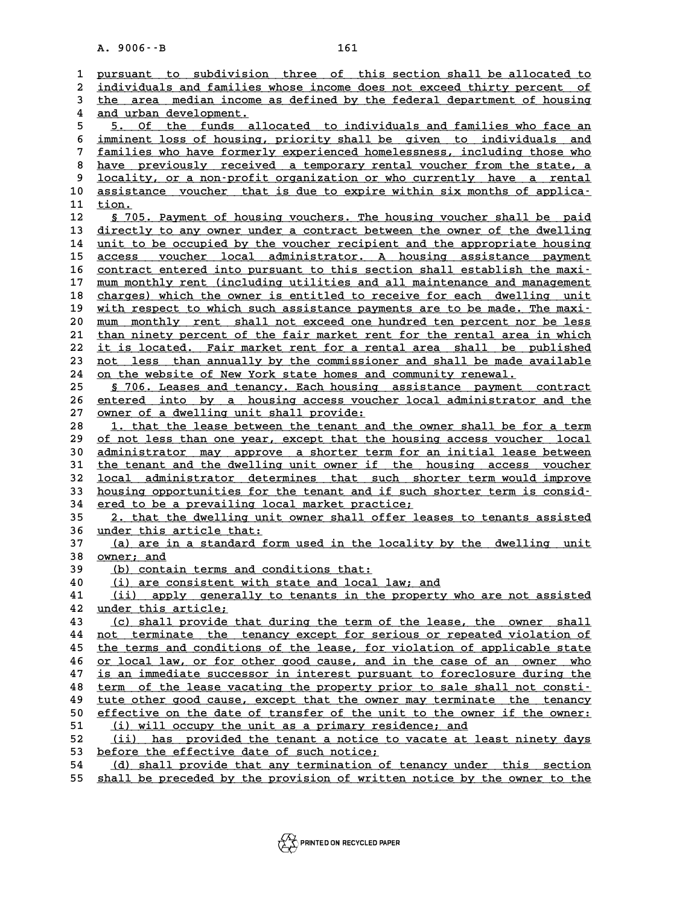|          | $A. 9006 - B$<br>161                                                                                                                 |
|----------|--------------------------------------------------------------------------------------------------------------------------------------|
|          |                                                                                                                                      |
| 1        | pursuant to subdivision three of this section shall be allocated to                                                                  |
| 2<br>3   | individuals and families whose income does not exceed thirty percent of                                                              |
| 4        | the area median income as defined by the federal department of housing                                                               |
| 5        | and urban development.<br>5. Of the funds allocated to individuals and families who face an                                          |
| 6        | imminent loss of housing, priority shall be given to individuals and                                                                 |
| 7        | families who have formerly experienced homelessness, including those who                                                             |
| 8        | have previously received a temporary rental voucher from the state, a                                                                |
| 9        | locality, or a non-profit organization or who currently have a rental                                                                |
| 10       | assistance voucher that is due to expire within six months of applica-                                                               |
| 11       | tion.                                                                                                                                |
| 12       | § 705. Payment of housing vouchers. The housing voucher shall be paid                                                                |
| 13       | directly to any owner under a contract between the owner of the dwelling                                                             |
| 14       | unit to be occupied by the voucher recipient and the appropriate housing                                                             |
| 15       | access voucher local administrator. A housing assistance payment                                                                     |
| 16       | contract entered into pursuant to this section shall establish the maxi-                                                             |
| 17       | mum monthly rent (including utilities and all maintenance and management                                                             |
| 18       | charges) which the owner is entitled to receive for each dwelling unit                                                               |
| 19       | with respect to which such assistance payments are to be made. The maxi-                                                             |
| 20       | mum monthly rent shall not exceed one hundred ten percent nor be less                                                                |
| 21       | than ninety percent of the fair market rent for the rental area in which                                                             |
| 22       | it is located. Fair market rent for a rental area shall be published                                                                 |
| 23       | not less than annually by the commissioner and shall be made available                                                               |
| 24<br>25 | on the website of New York state homes and community renewal.<br>§ 706. Leases and tenancy. Each housing assistance payment contract |
| 26       | entered into by a housing access voucher local administrator and the                                                                 |
| 27       | owner of a dwelling unit shall provide:                                                                                              |
| 28       | 1. that the lease between the tenant and the owner shall be for a term                                                               |
| 29       | of not less than one year, except that the housing access voucher local                                                              |
| 30       | administrator may approve a shorter term for an initial lease between                                                                |
| 31       | the tenant and the dwelling unit owner if the housing access voucher                                                                 |
| 32       | local administrator determines that such shorter term would improve                                                                  |
| 33       | housing opportunities for the tenant and if such shorter term is consid-                                                             |
| 34       | ered to be a prevailing local market practice;                                                                                       |
| 35       | 2. that the dwelling unit owner shall offer leases to tenants assisted                                                               |
| 36       | under this article that:                                                                                                             |
| 37       | (a) are in a standard form used in the locality by the dwelling unit                                                                 |
| 38<br>39 | owner; and                                                                                                                           |
| 40       | (b) contain terms and conditions that:<br>(i) are consistent with state and local law; and                                           |
| 41       | (ii) apply generally to tenants in the property who are not assisted                                                                 |
| 42       | under this article;                                                                                                                  |
| 43       | (c) shall provide that during the term of the lease, the owner shall                                                                 |
| 44       | not terminate the tenancy except for serious or repeated violation of                                                                |
| 45       | the terms and conditions of the lease, for violation of applicable state                                                             |
| 46       | or local law, or for other good cause, and in the case of an owner who                                                               |
| 47       | is an immediate successor in interest pursuant to foreclosure during the                                                             |
| 48       | term of the lease vacating the property prior to sale shall not consti-                                                              |
| 49       | tute other good cause, except that the owner may terminate the tenancy                                                               |
| 50       | effective on the date of transfer of the unit to the owner if the owner:                                                             |
| 51       | (i) will occupy the unit as a primary residence; and                                                                                 |
| 52       | (ii) has provided the tenant a notice to vacate at least ninety days                                                                 |
| 53       | before the effective date of such notice;                                                                                            |
| 54       | (d) shall provide that any termination of tenancy under this section                                                                 |
| 55       | shall be preceded by the provision of written notice by the owner to the                                                             |

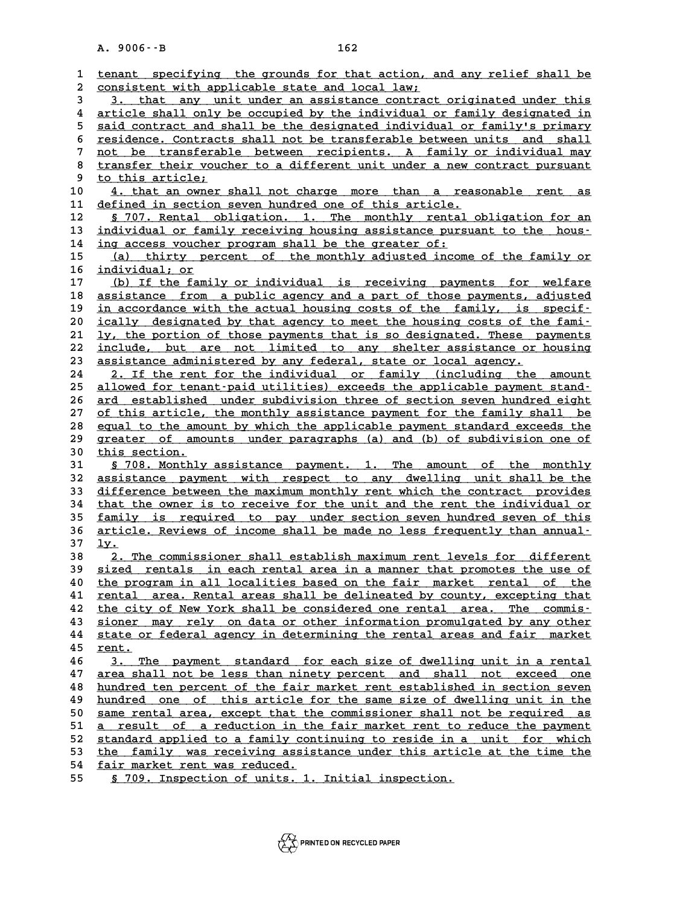|          | $A. 9006 - B$<br>162                                                                                                                                |
|----------|-----------------------------------------------------------------------------------------------------------------------------------------------------|
|          |                                                                                                                                                     |
| 1        | tenant specifying the grounds for that action, and any relief shall be                                                                              |
| 2        | consistent with applicable state and local law;                                                                                                     |
| 3        | 3. that any unit under an assistance contract originated under this                                                                                 |
| 4        | article shall only be occupied by the individual or family designated in                                                                            |
| 5        | said contract and shall be the designated individual or family's primary                                                                            |
| 6<br>7   | residence. Contracts shall not be transferable between units and shall<br>not be transferable between recipients. A family or individual may        |
| 8        | transfer their voucher to a different unit under a new contract pursuant                                                                            |
| 9        | to this article;                                                                                                                                    |
| 10       | 4. that an owner shall not charge more than a reasonable rent as                                                                                    |
| 11       | defined in section seven hundred one of this article.                                                                                               |
| 12       | § 707. Rental obligation. 1. The monthly rental obligation for an                                                                                   |
| 13       | individual or family receiving housing assistance pursuant to the hous-                                                                             |
| 14       | ing access voucher program shall be the greater of:                                                                                                 |
| 15       | (a) thirty percent of the monthly adjusted income of the family or                                                                                  |
| 16       | individual; or                                                                                                                                      |
| 17       | (b) If the family or individual is receiving payments for welfare                                                                                   |
| 18       | assistance from a public agency and a part of those payments, adjusted                                                                              |
| 19       | in accordance with the actual housing costs of the family, is specif-                                                                               |
| 20       | ically designated by that agency to meet the housing costs of the fami-                                                                             |
| 21       | ly, the portion of those payments that is so designated. These payments                                                                             |
| 22       | include, but are not limited to any shelter assistance or housing                                                                                   |
| 23       | assistance administered by any federal, state or local agency.                                                                                      |
| 24       | 2. If the rent for the individual or family (including the amount                                                                                   |
| 25       | allowed for tenant-paid utilities) exceeds the applicable payment stand-                                                                            |
| 26       | ard established under subdivision three of section seven hundred eight                                                                              |
| 27<br>28 | of this article, the monthly assistance payment for the family shall be<br>equal to the amount by which the applicable payment standard exceeds the |
| 29       | greater of amounts under paragraphs (a) and (b) of subdivision one of                                                                               |
| 30       | this section.                                                                                                                                       |
| 31       | § 708. Monthly assistance payment. 1. The amount of the monthly                                                                                     |
| 32       | assistance payment with respect to any dwelling unit shall be the                                                                                   |
| 33       | difference between the maximum monthly rent which the contract provides                                                                             |
| 34       | that the owner is to receive for the unit and the rent the individual or                                                                            |
| 35       | family is required to pay under section seven hundred seven of this                                                                                 |
| 36       | article. Reviews of income shall be made no less frequently than annual-                                                                            |
| 37       | <u>ly.</u>                                                                                                                                          |
| 38       | 2. The commissioner shall establish maximum rent levels for different                                                                               |
| 39       | sized rentals in each rental area in a manner that promotes the use of                                                                              |
| 40       | the program in all localities based on the fair market rental of the                                                                                |
| 41       | rental area. Rental areas shall be delineated by county, excepting that                                                                             |
| 42       | the city of New York shall be considered one rental area. The commis-                                                                               |
| 43       | sioner may rely on data or other information promulgated by any other                                                                               |
| 44       | state or federal agency in determining the rental areas and fair market                                                                             |
| 45<br>46 | rent.<br>3. The payment standard for each size of dwelling unit in a rental                                                                         |
| 47       | area shall not be less than ninety percent and shall not exceed one                                                                                 |
| 48       | hundred ten percent of the fair market rent established in section seven                                                                            |
| 49       | hundred one of this article for the same size of dwelling unit in the                                                                               |
| 50       | same rental area, except that the commissioner shall not be required as                                                                             |
| 51       | a result of a reduction in the fair market rent to reduce the payment                                                                               |
| 52       | standard applied to a family continuing to reside in a unit for which                                                                               |
| 53       | the family was receiving assistance under this article at the time the                                                                              |
| 54       | fair market rent was reduced.                                                                                                                       |
| 55       | § 709. Inspection of units. 1. Initial inspection.                                                                                                  |

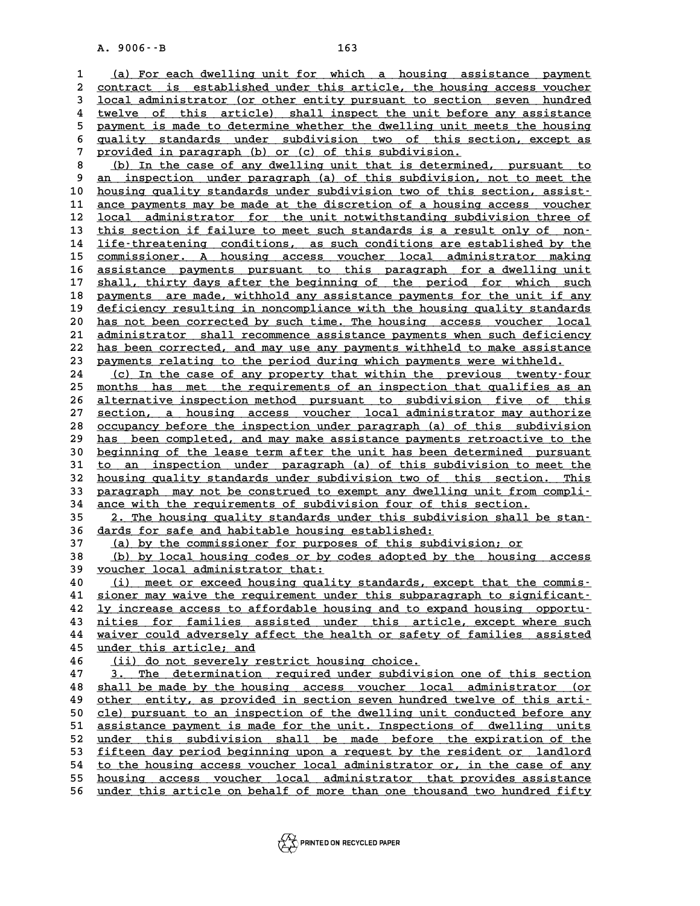A. 9006 · - B<br> **163**<br>
<u>(a) For each dwelling unit for which a housing assistance payment</u><br>
2 contract is established under this article, the bousing assess vousbor <u>(a) For each dwelling unit for which a housing assistance payment</u><br>2 <u>contract is established under this article, the housing access voucher</u><br>3 logal administrator (or other entity pursuant to section, seven, hundred 1 (a) For each dwelling unit for which a housing assistance payment<br>
2 contract is established under this article, the housing access voucher<br>
3 local administrator (or other entity pursuant to section seven hundred<br>
4 twe 2 contract is established under this article, the housing access voucher<br>
1 <u>ocal administrator</u> (or other entity pursuant to section seven hundred<br>
4 <u>twelve of this article</u>) shall inspect the unit before any assistance<br> **5** local administrator (or other entity pursuant to section seven hundred<br> **4** twelve of this article) shall inspect the unit before any assistance<br> **payment is made to determine whether the dwelling unit meets the housin** 4 <u>twelve of this article) shall inspect the unit before any assistance</u><br>5 payment is made to determine whether the dwelling unit meets the housing<br>6 quality standards under subdivision two of this section, except as<br>7 pro 7 payment is made to determine whether the dwelling unit meets the housing<br> **6 quality standards under subdivision two of this section, except as**<br> **7 provided in paragraph (b) or (c) of this subdivision.**<br> **8** (b) In the 8 <u>quality standards under subdivision two of this section, except as</u><br>
8 <u>(b) In the case of any dwelling unit that is determined, pursuant to</u><br>
9 an inspection under paragraph (a) of this subdivision, not to meet the

9 <u>an inspection under paragraph (a) of this subdivision, not to meet the</u><br>10 housing quality standards under subdivision two of this section, assist 10 **10 10 10 the case of any dwelling unit that is determined, pursuant to**<br>
10 <u>an inspection under paragraph</u> (a) of this subdivision, not to meet the<br>
10 housing quality standards under subdivision two of this section, 9 <u>an inspection under paragraph (a) of this subdivision, not to meet the housing quality standards under subdivision two of this section, assist-<br>11 <u>ance payments may be made at the discretion of a housing access voucher</u></u> housing quality standards under subdivision two of this section, assist-<br>
11 ance payments may be made at the discretion of a housing access voucher<br>
12 <u>local administrator</u> for the unit notwithstanding subdivision three 11 ance payments may be made at the discretion of a housing access voucher<br>
12 local administrator for the unit notwithstanding subdivision three of<br>
13 this section if failure to meet such standards is a result only of no **12** <u>local administrator for the unit notwithstanding subdivision three of</u><br> **13** <u>this section if failure to meet such standards is a result only of non-</u><br> **14** <u>life-threatening conditions, as such conditions are establ</u> 12 <u>local administrator for the unit notwithstanding subdivision three of</u><br>this section if failure to meet such standards is a result only of non-<br>14 <u>life-threatening conditions</u>, as such conditions are established by the **16** assistance payments pursuant to this paragraph for a dwelling unit <br>17 shall, thirty days after the beginning of the period for which such **15 commissioner.** A housing access voucher local administrator making<br>16 assistance payments pursuant to this paragraph for a dwelling unit<br>17 shall, thirty days after the beginning of the period for which such<br>20 payment **16** assistance payments pursuant to this paragraph for a dwelling unit shall, thirty days after the beginning of the period for which such payments are made, withhold any assistance payments for the unit if any deficiency 17 shall, thirty days after the beginning of the period for which such<br>18 payments are made, withhold any assistance payments for the unit if any<br><u>deficiency resulting in noncompliance with the housing quality standards</u><br>h 20 hayments are made, withhold any assistance payments for the unit if any<br>
20 <u>has not been corrected by such time. The housing access voucher local</u><br>
21 administrator shall recommence assistance payments when such defici deficiency resulting in noncompliance with the housing quality standards<br>
20 has not been corrected by such time. The housing access voucher local<br>
21 <u>administrator shall recommence assistance payments when such deficienc</u> has not been corrected by such time. The housing access voucher local<br>
21 <u>administrator shall recommence</u> assistance payments when such deficiency<br>
22 has been corrected, and may use any payments withheld to make assistan 21 <u>administrator shall recommence assistance payments when such deficiency</u><br>22 has been corrected, and may use any payments withheld to make assistance<br>23 payments relating to the period during which payments were withhel 22 has been corrected, and may use any payments withheld to make assistance<br>
23 payments relating to the period during which payments were withheld.<br>
24 (c) In the case of any property that within the previous twenty-four<br>

**23 payments relating to the period during which payments were withheld.**<br> **24** (c) In the case of any property that within the previous twenty-four<br> **25** months has met the requirements of an inspection that qualifies as 24 (c) In the case of any property that within the previous twenty-four<br>25 <u>months has met the requirements of an inspection that qualifies as an</u><br>26 <u>alternative inspection method</u> pursuant to subdivision five of this<br>27 25 <u>months has met the requirements of an inspection that qualifies as an alternative inspection method pursuant to subdivision five of this section, a housing access voucher local administrator may authorize component bef</u> 26 <u>alternative inspection method pursuant to subdivision five of this section, a housing access voucher local administrator may authorize occupancy before the inspection under paragraph (a) of this subdivision has been co</u> **27 section, a** housing access voucher local administrator may authorize<br> **28** <u>occupancy before the inspection under paragraph</u> (a) of this subdivision<br> **has been completed, and may make assistance payments retroactive** occupancy before the inspection under paragraph (a) of this subdivision<br> **has been completed, and may make assistance payments retroactive to the**<br> **beginning of the lease term after the unit has been determined pursuant**<br> 29 has been completed, and may make assistance payments retroactive to the<br>30 <u>beginning of the lease term after the unit has been determined pursuant</u><br>31 <u>to an inspection under paragraph</u> (a) of this subdivision to meet beginning of the lease term after the unit has been determined pursuant<br>
31 to an inspection under paragraph (a) of this subdivision to meet the<br>
32 housing quality standards under subdivision two of this section. This<br>
33 31 <u>to an inspection under paragraph (a) of this subdivision to meet the housing quality standards under subdivision two of this section. This paragraph may not be construed to exempt any dwelling unit from compli-<br>
24 app</u> **32 housing quality standards under subdivision two of this section.**<br> **33 paragraph may not be construed to exempt any dwelling unit from c**<br>
<u>ance with the requirements of subdivision four of this section.</u><br> **35** 2 The b 33 paragraph may not be construed to exempt any dwelling unit from compli-<br>34 <u>ance with the requirements of subdivision four of this section.</u><br><u>2. The housing quality standards under this subdivision shall be stan-</u><br>dards

34 ance with the requirements of subdivision four of th<br>35 <u>2. The housing quality standards under this subdiv</u><br>36 <u>dards for safe and habitable housing established:</u><br>27 (a) by the commissioner for nurposes of this subdi-35 2. The housing quality standards under this subdivision shall b<br>36 <u>dards for safe and habitable housing established:</u><br>37 (a) by the commissioner for purposes of this subdivision; or<br>(b) by local bousing esdea ar by esd

**36 dards for safe and habitable housing established:**<br> **37** (a) by the commissioner for purposes of this subdivision; or<br> **(b)** by local housing codes or by codes adopted by the housing access<br> **29** wougher local administ 37 (a) by the commissioner for purpos<br>38 (b) by local housing codes or by c<br>39 <u>voucher local administrator that:</u><br>(i) most ar avased housing guality <u>(b) by local housing codes or by codes adopted by the housing access</u><br>39 <u>voucher local administrator that:</u><br>40 <u>(i) meet or exceed housing quality standards, except that the commis-</u><br>41 sioner may waive the requirement u

**49** <u>voucher local administrator that:</u><br> **40** (i) meet or exceed housing quality standards, except that the commis-<br> **41** sioner may waive the requirement under this subparagraph to significant-<br> **42** ly increase agoogs t 40 (i) meet or exceed housing quality standards, except that the commis-<br>41 sioner may waive the requirement under this subparagraph to significant-<br>42 ly increase access to affordable housing and to expand housing opportu 41 <u>sioner may waive the requirement under this subparagraph to significant-</u><br>42 <u>ly increase access to affordable housing and to expand housing opportu-</u><br><u>aities for families assisted under this article, except where such</u> **42** <u>ly increase access to affordable housing and to expand housing opportu-</u><br>43 <u>mities for families assisted under this article, except where such<br>waiver could adversely affect the health or safety of families assisted<br></u> 43 <u>nities for families ass</u><br>44 <u>waiver could adversely aff</u><br>45 <u>under this article; and</u><br>46 (ii) de not seueraly res <u>waiver could adversely affect the health or safety of families assisted<br>
45 under this article; and<br>
46 (ii) do not severely restrict housing choice.<br>
47 3. The determination required under subdivision one of this section</u>

**47** 3. The determination required under subdivision one of this section<br>**48** shall be made by the housing access voucher local administrator (or **46** (ii) do not severely restrict housing choice.<br> **47** 3. The determination required under subdivision one of this section<br> **48** shall be made by the housing access voucher local administrator (or<br>
ather ontitures provid **47** 3. The determination required under subdivision one of this section<br>48 shall be made by the housing access voucher local administrator (or<br><u>other entity, as provided in section seven hundred twelve of this arti-</u><br> $\frac{$ \$8 shall be made by the housing access voucher local administrator (or other entity, as provided in section seven hundred twelve of this arti-<br>
<u>cle)</u> pursuant to an inspection of the dwelling unit conducted before any<br>
as other entity, as provided in section seven hundred twelve of this arti-<br>
50 <u>cle</u>) pursuant to an inspection of the dwelling unit conducted before any<br>
51 assistance payment is made for the unit. Inspections of dwelling un 50 <u>cle) pursuant to an inspection of the dwelling unit conducted before any assistance payment is made for the unit. Inspections of dwelling units under this subdivision shall be made before the expiration of the fifteen </u> 51 assistance payment is made for the unit. Inspections of dwelling units<br>52 <u>under this subdivision shall be made before the expiration of the</u><br>53 <u>fifteen day period beginning upon a request by the resident or landlord</u><br> 52 <u>under this subdivision shall be made before the expiration of the fifteen day period beginning upon a request by the resident or landlord to the housing access voucher local administrator or, in the case of any housing</u> 53 <u>fifteen day period beginning upon a request by the resident or landlord</u><br>54 <u>to the housing access voucher local administrator or, in the case of any</u><br>55 housing access voucher local administrator that provides assista 54 to the housing access voucher local administrator or, in the case of any<br>55 <u>housing access voucher local administrator that provides assistance</u><br>56 <u>under this article on behalf of more than one thousand two hundred fi</u>

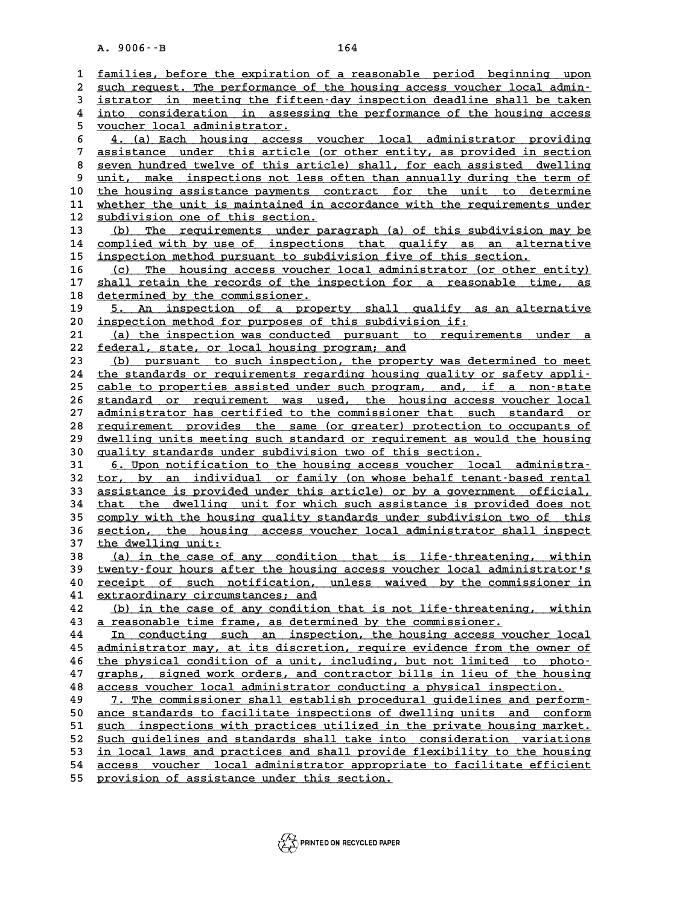|          | $A. 9006 - B$<br>164                                                                                                                                               |
|----------|--------------------------------------------------------------------------------------------------------------------------------------------------------------------|
|          |                                                                                                                                                                    |
| 1        | families, before the expiration of a reasonable period beginning upon                                                                                              |
| 2        | such request. The performance of the housing access voucher local admin-                                                                                           |
| 3<br>4   | istrator in meeting the fifteen-day inspection deadline shall be taken<br>into consideration in assessing the performance of the housing access                    |
| 5        | voucher local administrator.                                                                                                                                       |
| 6        | 4. (a) Each housing access voucher local administrator providing                                                                                                   |
| 7        | assistance under this article (or other entity, as provided in section                                                                                             |
| 8        | seven hundred twelve of this article) shall, for each assisted dwelling                                                                                            |
| 9        | unit, make inspections not less often than annually during the term of                                                                                             |
| 10       | the housing assistance payments contract for the unit to determine                                                                                                 |
| 11       | whether the unit is maintained in accordance with the requirements under                                                                                           |
| 12       | subdivision one of this section.                                                                                                                                   |
| 13       | (b) The requirements under paragraph (a) of this subdivision may be                                                                                                |
| 14       | complied with by use of inspections that qualify as an alternative                                                                                                 |
| 15<br>16 | inspection method pursuant to subdivision five of this section.<br>The housing access voucher local administrator (or other entity)<br>$\left( \mathbf{c} \right)$ |
| 17       | shall retain the records of the inspection for a reasonable time, as                                                                                               |
| 18       | determined by the commissioner.                                                                                                                                    |
| 19       | 5. An inspection of a property shall qualify as an alternative                                                                                                     |
| 20       | inspection method for purposes of this subdivision if:                                                                                                             |
| 21       | (a) the inspection was conducted pursuant to requirements under<br>- a                                                                                             |
| 22       | federal, state, or local housing program; and                                                                                                                      |
| 23       | (b) pursuant to such inspection, the property was determined to meet                                                                                               |
| 24       | the standards or requirements regarding housing quality or safety appli-                                                                                           |
| 25       | cable to properties assisted under such program, and, if a non-state                                                                                               |
| 26       | standard or requirement was used, the housing access voucher local                                                                                                 |
| 27<br>28 | administrator has certified to the commissioner that such standard or<br>requirement provides the same (or greater) protection to occupants of                     |
| 29       | dwelling units meeting such standard or requirement as would the housing                                                                                           |
| 30       | quality standards under subdivision two of this section.                                                                                                           |
| 31       | 6. Upon notification to the housing access voucher local administra-                                                                                               |
| 32       | tor, by an individual or family (on whose behalf tenant-based rental                                                                                               |
| 33       | assistance is provided under this article) or by a government official,                                                                                            |
| 34       | that the dwelling unit for which such assistance is provided does not                                                                                              |
| 35       | comply with the housing quality standards under subdivision two of this                                                                                            |
| 36       | section, the housing access voucher local administrator shall inspect                                                                                              |
| 37       | the dwelling unit:                                                                                                                                                 |
| 38       | (a) in the case of any condition that is life-threatening, within<br>twenty-four hours after the housing access voucher local administrator's                      |
| 39<br>40 | receipt of such notification, unless waived by the commissioner in                                                                                                 |
| 41       | extraordinary circumstances; and                                                                                                                                   |
| 42       | (b) in the case of any condition that is not life-threatening, within                                                                                              |
| 43       | a reasonable time frame, as determined by the commissioner.                                                                                                        |
| 44       | In conducting such an inspection, the housing access voucher local                                                                                                 |
| 45       | administrator may, at its discretion, require evidence from the owner of                                                                                           |
| 46       | the physical condition of a unit, including, but not limited to photo-                                                                                             |
| 47       | graphs, signed work orders, and contractor bills in lieu of the housing                                                                                            |
| 48       | access voucher local administrator conducting a physical inspection.                                                                                               |
| 49       | 7. The commissioner shall establish procedural quidelines and perform-                                                                                             |
| 50       | ance standards to facilitate inspections of dwelling units and conform                                                                                             |
| 51<br>52 | such inspections with practices utilized in the private housing market.<br>Such guidelines and standards shall take into consideration variations                  |
| 53       | in local laws and practices and shall provide flexibility to the housing                                                                                           |
| 54       | access voucher local administrator appropriate to facilitate efficient                                                                                             |
| 55       | provision of assistance under this section.                                                                                                                        |
|          |                                                                                                                                                                    |

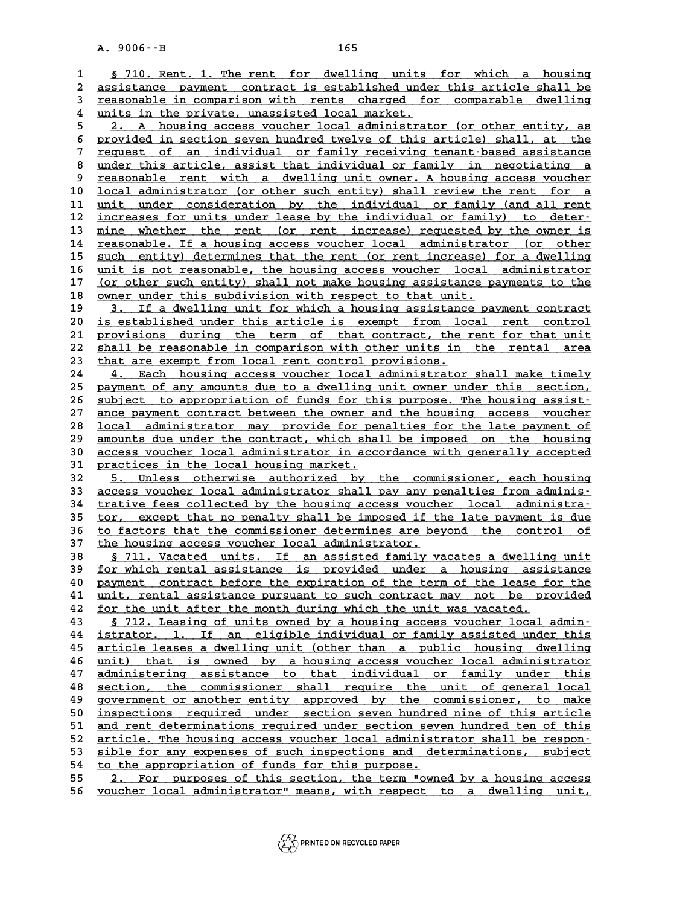|             | $A. 9006 - B$<br>165                                                                                                                      |
|-------------|-------------------------------------------------------------------------------------------------------------------------------------------|
| $\mathbf 1$ | § 710. Rent. 1. The rent for dwelling units for which a housing                                                                           |
| $\mathbf 2$ | assistance payment contract is established under this article shall be                                                                    |
| 3           | reasonable in comparison with rents charged for comparable dwelling                                                                       |
| 4           | units in the private, unassisted local market.                                                                                            |
| 5           | 2. A housing access voucher local administrator (or other entity, as                                                                      |
| 6           | provided in section seven hundred twelve of this article) shall, at the                                                                   |
| 7           | an individual or family receiving tenant-based assistance<br>request of                                                                   |
| 8           | under this article, assist that individual or family in negotiating a                                                                     |
| 9           | reasonable rent with a dwelling unit owner. A housing access voucher                                                                      |
| 10          | local administrator (or other such entity) shall review the rent for a                                                                    |
| 11          | unit under consideration by the individual or family (and all rent                                                                        |
| 12          | increases for units under lease by the individual or family) to deter-                                                                    |
| 13          | mine whether the rent (or rent increase) requested by the owner is                                                                        |
| 14          | reasonable. If a housing access voucher local administrator (or other                                                                     |
| 15          | such entity) determines that the rent (or rent increase) for a dwelling                                                                   |
| 16          | unit is not reasonable, the housing access voucher local administrator                                                                    |
| 17<br>18    | (or other such entity) shall not make housing assistance payments to the<br>owner under this subdivision with respect to that unit.       |
| 19          | 3. If a dwelling unit for which a housing assistance payment contract                                                                     |
| 20          | is established under this article is exempt from local rent control                                                                       |
| 21          | provisions during the term of that contract, the rent for that unit                                                                       |
| 22          | shall be reasonable in comparison with other units in the rental area                                                                     |
| 23          | that are exempt from local rent control provisions.                                                                                       |
| 24          | 4. Each housing access voucher local administrator shall make timely                                                                      |
| 25          | payment of any amounts due to a dwelling unit owner under this section,                                                                   |
| 26          | subject to appropriation of funds for this purpose. The housing assist-                                                                   |
| 27          | ance payment contract between the owner and the housing access voucher                                                                    |
| 28          | administrator may provide for penalties for the late payment of<br>local                                                                  |
| 29          | amounts due under the contract, which shall be imposed on the housing                                                                     |
| 30<br>31    | access voucher local administrator in accordance with generally accepted<br>practices in the local housing market.                        |
| 32          | 5. Unless otherwise authorized by the commissioner, each housing                                                                          |
| 33          | access voucher local administrator shall pay any penalties from adminis-                                                                  |
| 34          | trative fees collected by the housing access voucher local administra-                                                                    |
| 35          | tor, except that no penalty shall be imposed if the late payment is due                                                                   |
| 36          | to factors that the commissioner determines are beyond the control of                                                                     |
| 37          | the housing access voucher local administrator.                                                                                           |
| 38          | § 711. Vacated units. If an assisted family vacates a dwelling unit                                                                       |
| 39          | for which rental assistance is provided under a housing assistance                                                                        |
| 40          | payment contract before the expiration of the term of the lease for the                                                                   |
| 41          | unit, rental assistance pursuant to such contract may not be provided                                                                     |
| 42<br>43    | for the unit after the month during which the unit was vacated.<br>§ 712. Leasing of units owned by a housing access voucher local admin- |
| 44          | istrator. 1. If an eligible individual or family assisted under this                                                                      |
| 45          | article leases a dwelling unit (other than a public housing dwelling                                                                      |
| 46          | unit) that is owned by a housing access voucher local administrator                                                                       |
| 47          | administering assistance to that individual or family under this                                                                          |
| 48          | section, the commissioner shall require the unit of general local                                                                         |
| 49          | government or another entity approved by the commissioner, to make                                                                        |
| 50          | inspections required under section seven hundred nine of this article                                                                     |
| 51          | and rent determinations required under section seven hundred ten of this                                                                  |
| 52          | article. The housing access voucher local administrator shall be respon-                                                                  |
| 53          | sible for any expenses of such inspections and determinations, subject                                                                    |
| 54          | to the appropriation of funds for this purpose.                                                                                           |
| 55          | 2. For purposes of this section, the term "owned by a housing access                                                                      |
| 56          | voucher local administrator" means, with respect to a dwelling unit,                                                                      |

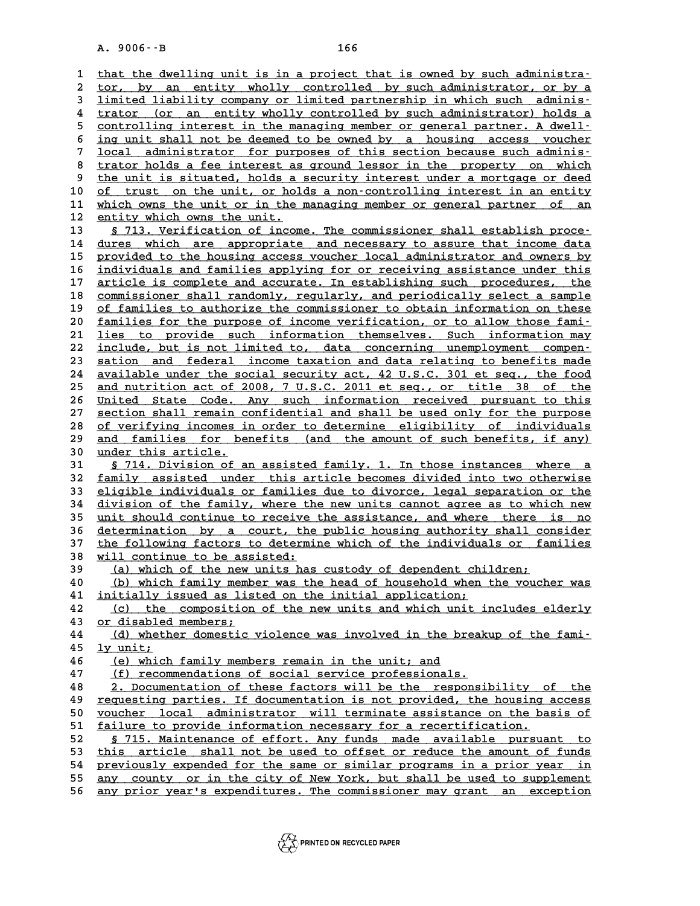A. 9006 · - B<br>166<br>1 <u>that the dwelling unit is in a project that is owned by such administra-</u><br>2 tor, by an entity wholly controlled by such administrator, or by a 2 that the dwelling unit is in a project that is owned by such administra-<br>2 <u>tor, by an entity wholly controlled by such administrator, or by a</u><br>3 limited liability company or limited partnership in which such adminis. 1 that the dwelling unit is in a project that is owned by such administrate<br>
2 tor, by an entity wholly controlled by such administrator, or by a<br>
3 limited liability company or limited partnership in which such adminis-<br> 2 tor, by an entity wholly controlled by such administrator, or by a<br>
4 <u>limited liability company or limited partnership in which such administrator</u><br>
4 trator (or an entity wholly controlled by such administrator) holds 3 <u>limited liability company or limited partnership in which such administrator (or an entity wholly controlled by such administrator) holds a controlling interest in the managing member or general partner. A dwell-<br>  $\frac{1$ 4 trator (or an entity wholly controlled by such administrator) holds a<br>5 <u>controlling interest in the managing member or general partner. A dwell-</u><br>6 <u>ing unit shall not be deemed to be owned by a housing access voucher</u><br> 5 controlling interest in the managing member or general partner. A dwell-<br>ing unit shall not be deemed to be owned by a housing access voucher<br> $\frac{1}{2}$  local administrator for purposes of this section because such admini **8** ing unit shall not be deemed to be owned by a housing access voucher<br> **1** local administrator for purposes of this section because such adminis-<br> **Exact and the property on which**<br> **Exact a** fee interest as ground less **9** local administrator for purposes of this section because such adminis-<br> **B** the unit is situated, holds a security interest under a mortgage or deed<br> **p** of trust on the unit or bolds a pop sentrolling interest in an e 8 <u>trator holds a fee interest as ground lessor in the property on which</u><br>
9 <u>the unit is situated, holds a security interest under a mortgage or deed</u><br>
10 <u>of trust on the unit, or holds a non-controlling interest in an e</u> the unit is situated, holds a security interest under a mortgage or deed<br>
10 of trust on the unit, or holds a non-controlling interest in an entity<br>
11 which owns the unit or in the managing member or general partner of an 10 of trust on the unit, or holds a non-controlling interest in an entity<br>11 which owns the unit or in the managing member or general partner of an<br>12 <u>entity which owns the unit.</u><br>13 § 713. Verification of income. The com which owns the unit or in the managing member or general partner of an<br>
12 <u>entity which owns the unit.</u><br>
13 <u>§ 713. Verification of income. The commissioner shall establish proce-</u><br>
14 dures which are appropriate and poss 12 <u>entity which owns the unit.</u><br>
13 § 713. Verification of income. The commissioner shall establish proce-<br>
14 dures which are appropriate and necessary to assure that income data<br>
15 provided to the bouging 200000 voughe 14 <u>dures which are appropriate and necessary to assure that income data</u><br>15 <u>provided to the housing access voucher local administrator and owners by</u><br>16 individuals and families applying for or receiving assistance under 14 <u>dures which are appropriate and necessary to assure that income data</u><br>15 <u>provided to the housing access voucher local administrator and owners by</u><br>16 <u>individuals and families applying for or receiving assistance unde</u> provided to the housing access voucher local administrator and owners by<br>
16 <u>individuals and families applying for or receiving assistance under this<br>
217 article is complete and accurate. In establishing such procedures,</u> imart individuals and families applying for or receiving assistance under this<br>
17 article is complete and accurate. In establishing such procedures, the<br>
18 <u>commissioner shall randomly, regularly, and periodically select</u> 17 <u>article is complete and accurate. In establishing such procedures, the commissioner shall randomly, regularly, and periodically select a sample of families to authorize the commissioner to obtain information on these f</u> 20 **20 13 20 commissioner shall randomly, regularly, and periodically select a sample**<br>19 of families to authorize the commissioner to obtain information on these<br>20 **families for the purpose of income verification, or t** 19 of families to authorize the commissioner to obtain information on these<br>20 families for the purpose of income verification, or to allow those fami-<br>21 <u>lies to provide such information themselves. Such information may</u> 22 <u>include, but is not limited to, data concerning unemployment compen-</u><br>23 <u>sation and federal income taxation and data relating to benefits made</u> 21 <u>lies to provide such information themselves. Such information may</u><br>22 <u>include, but is not limited to, data concerning unemployment compen-</u><br>23 <u>sation and federal income taxation and data relating to benefits made</u><br>24 22 <u>include, but is not limited to, data concerning unemployment compen-</u><br>23 <u>sation and federal income taxation and data relating to benefits made</u><br>24 <u>available under the social security act, 42 U.S.C. 301 et seq., the f</u> 23 <u>sation and federal income taxation and data relating to benefits made<br>24 available under the social security act, 42 U.S.C. 301 et seq., the food<br>25 and nutrition act of 2008, 7 U.S.C. 2011 et seq., or title 38 of the<br></u> **24** available under the social security act, 42 U.S.C. 301 et seq., the food<br>25 and nutrition act of 2008, 7 U.S.C. 2011 et seq., or title 38 of the<br>26 United State Code. Any such information received pursuant to this<br>27 25 and nutrition act of 2008, 7 U.S.C. 2011 et seq., or title 38 of the United State Code. Any such information received pursuant to this section shall remain confidential and shall be used only for the purpose of registin **26 United State Code. Any such information received pursuant to this**<br> **27 section shall remain confidential and shall be used only for the purpose**<br>
<u>28 of verifying incomes in order to determine eligibility of individua</u> **27** section shall remain confidential and shall be used only for the purpose<br>
<u>of verifying incomes in order to determine eligibility of individuals</u><br>
<u>and families for benefits (and the amount of such benefits, if any)</u><br> 28 <u>of verifying incomes i</u><br>
29 <u>and families for bee</u><br>
30 <u>under this article.</u><br>
31 5 714 Division of a and families for benefits (and the amount of such benefits, if any)<br> **30** <u>under this article.</u><br>
<u>5 714. Division of an assisted family. 1. In those instances where a</u><br> **32** family assisted under this article becomes divid 30 <u>under this article.</u><br>
31 <u>§ 714. Division of an assisted family. 1. In those instances where a</u><br>
32 <u>family assisted under this article becomes divided into two otherwise</u><br>
33 eligible individuals or families due to di **31** § 714. Division of an assisted family. 1. In those instances where a<br>32 <u>family assisted under this article becomes divided into two otherwise</u><br><u>aligible individuals or families due to divorce, legal separation or the</u> **32 <u>family</u> assisted under this article becomes divided into two otherwise<br>33 eligible individuals or families due to divorce, legal separation or the<br>34 division of the family, where the new units cannot agree as to whic** 33 eligible individuals or families due to divorce, legal separation or the division of the family, where the new units cannot agree as to which new unit should continue to receive the assistance, and where there is no det division of the family, where the new units cannot agree as to which new<br>35 <u>unit should continue to receive the assistance, and where there is no</u><br>36 <u>determination by a court, the public housing authority shall consider</u> 35 unit should continue to receive the assistance, and where there is no<br>36 determination by a court, the public housing authority shall consider<br>37 the following factors to determine which of the individuals or families<br>3 36 <u>determination by a court, the public housing authority shall consider<br>37 <u>the following factors to determine which of the individuals or families</u><br>38 <u>will continue to be assisted:</u><br>39 (a) which of the new units has cu</u> 37 the following factors to determine which of the individuals or families<br>38 <u>will continue to be assisted:</u><br><u>(a) which of the new units has custody of dependent children;</u><br>(b) which family member was the head of househol **40** <u>(b) which family member was the head of household when the voucher was</u> <br>**41** initially issued as listed on the initial application; 40 (a) which of the new units has custody of dependent children;<br>
40 (b) which family member was the head of household when the vote<br>
41 <u>initially</u> issued as listed on the initial application;<br>
42 (c) the composition of t 42 <u>(c) the composition of the new units and which unit includes elderly</u><br>43 <u>or disabled members;</u> 41 <u>initially issued as listed on the initial application;</u><br>42 <u>(c) the composition of the new units and which unit</u><br>43 <u>or disabled members;</u><br>44 (d) whether domestic violence was involved in the bre **42** (c) the composition of the new units and which unit includes elderly<br> **43** <u>or disabled members;</u><br> **44** (d) whether domestic violence was involved in the breakup of the fami-<br> **45** ly unit. **43** <u>or disabled</u><br>**44** (d) wheth<br>**45** ly unit; **44 (d) whether domestic violence was involved in the b**<br> **45** <u>**1y unit;** (e) which family members remain in the unit; and<br> **47** (f) recommondations of social service professionals</u> 45 <u>ly unit;</u><br>46 <u>(e) which family members remain in the unit; and<br>47 <u>(f) recommendations of social service professionals.</u><br>48 2. Documentation of these factors will be the respor</u> **48 (e) which family members remain in the unit; and<br>
47 (f) recommendations of social service professionals.<br>
<u>2. Documentation of these factors will be the responsibility of the</u><br>
<b>programments** is not provided the bougi **47** (f) recommendations of social service professionals.<br> **48** 2. Documentation of these factors will be the responsibility of the<br> **2. Documentation of these factors will be provided, the housing access**<br> **2. Documentati** 2. Documentation of these factors will be the responsibility of the<br> **19** requesting parties. If documentation is not provided, the housing access<br> **basis of provide** internation peoples in the post of the basis of<br> **191 19** requesting parties. If documentation is not provided, the housing<br>
50 <u>voucher local administrator will terminate assistance on the ba<br>
<u>failure to provide information necessary for a recertification.</u><br>
52 . 8.715 Mai</u> For section of the basis of the basis of the basis of the basis of the lumination interesting to the section of the section of the section of the section of the section of the section of the section of the section of the s 51 <u>failure to provide information necessary for a recertification.</u><br>52 § 715. Maintenance of effort. Any funds made available pursuant to<br>this article shall not be used to offset or reduce the amount of funds<br>54 proviousl 52 <u>§ 715. Maintenance of effort. Any funds made available pursuant to</u><br>53 <u>this article shall not be used to offset or reduce the amount of funds</u><br>54 previously expended for the same or similar programs in a prior year in this article shall not be used to offset or reduce the amount of funds<br>
previously expended for the same or similar programs in a prior year in<br>
55 <u>any county or in the city of New York, but shall be used to supplement</u><br> 54 <u>previously expended for the same or similar programs in a prior year in</u><br>55 <u>any county or in the city of New York, but shall be used to supplement</u><br>56 <u>any prior year's expenditures</u>. The commissioner may grant an exc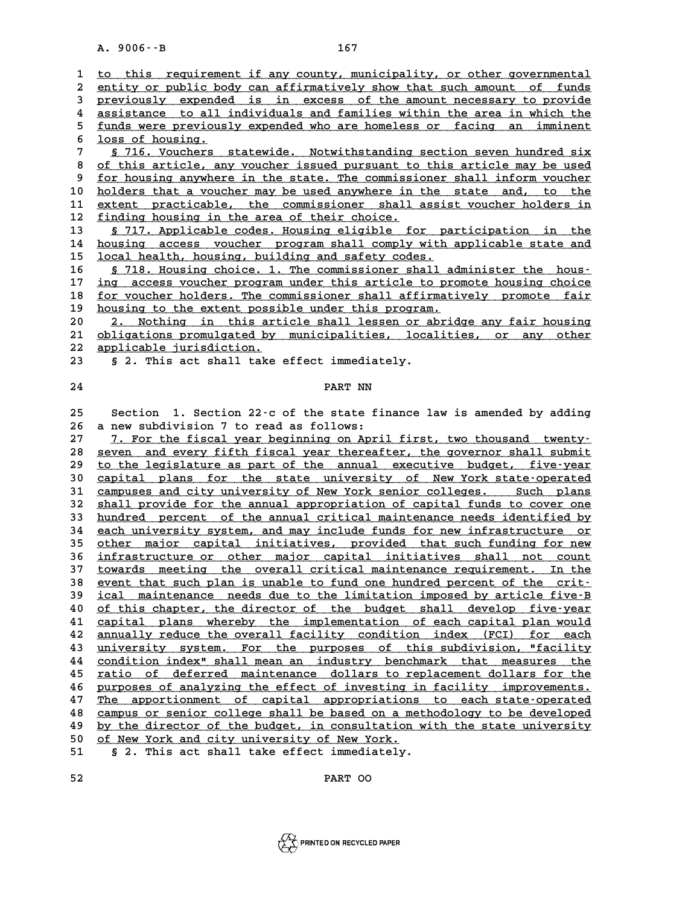A. 9006 · - B<br>
1 to this requirement if any county, municipality, or other governmental<br>
2 ontitu or public body can affirmatively show that such amount of funds 2 <u>to this requirement if any county, municipality, or other governmental</u><br>2 <u>entity or public body can affirmatively show that such amount of funds</u><br>3 previously, expended is in excess of the amount pecessary to provide 1 to this requirement if any county, municipality, or other governmental<br>
2 entity or public body can affirmatively show that such amount of funds<br>
3 previously expended is in excess of the amount necessary to provide<br>
200 2 entity or public body can affirmatively show that such amount of funds<br>3 previously expended is in excess of the amount necessary to provide<br>4 assistance to all individuals and families within the area in which the<br>funds Fundager 1 and the separator of the amount necessary to provide<br> **4** assistance to all individuals and families within the area in which the<br>
<u>funds were previously expended who are homeless or facing an imminent</u><br>  $\frac{1}{2$ 4 <u>assistance to all individuals and families within the area in which the funds were previously expended who are homeless or facing an imminent<br>6 loss of housing.<br>7 § 716. Vouchers statewide. Notwithstanding section seven</u> 5 <u>funds were previously expended who are homeless or facing an imminent<br>
6 loss of housing.<br>
7 <u>§ 716. Vouchers statewide.</u> Notwithstanding section seven hundred six<br>
8 of this article, any voucher issued pursuant to this</u> 8 <u>loss of housing.</u><br>
8 716. Vouchers statewide. Notwithstanding section seven hundred six<br>
8 <u>of this article, any voucher issued pursuant to this article may be used</u><br>
5 for buusing apurabors in the state. The commission **9 16. Vouchers statewide.** Notwithstanding section seven hundred six<br> **8 of this article, any voucher issued pursuant to this article may be used**<br> **19 for housing anywhere in the state. The commissioner shall inform vouc** 8 of this article, any voucher issued pursuant to this article may be used<br>
9 for housing anywhere in the state. The commissioner shall inform voucher<br>
10 holders that a voucher may be used anywhere in the state and, to th **10** for housing anywhere in the state. The commissioner shall inform voucher<br>10 holders that a voucher may be used anywhere in the state and, to the<br>11 extent practicable, the commissioner shall assist voucher holders in<br> 10 holders that a voucher may be used anywhere in<br>
11 <u>extent practicable</u>, the commissioner shall<br>
12 finding housing in the area of their choice.<br>
13 5.717 Applicable codes Housing eligible fo 11 <u>extent practicable, the commissioner shall assist voucher holders in</u><br>12 <u>finding housing in the area of their choice.</u><br>13 § 717. Applicable codes. Housing eligible for participation in the<br>14 housing access voucher pr 14 <u>housing access voucher program shall comply with applicable state and</u><br>15 local health, housing, building and safety codes. 15 **local health, housing, building and safety codes.**<br>16 **8 718. Housing choice. 1. The commissioner shall 14** <u>housing access voucher program shall comply with applicable state and <br>
15 <u>local health, housing, building and safety codes.</u><br>
16 <u>§ 718. Housing choice. 1. The commissioner shall administer the hous-</u><br>
17 ing 20000</u> **15** <u>local health, housing, building and safety codes.</u><br> **16** <u>§ 718. Housing choice. 1. The commissioner shall administer the hous-<br> **17** <u>ing access voucher program under this article to promote housing choice</u><br> **18** fo</u> **16** § 718. Housing choice. 1. The commissioner shall administer the hous-<br>17 <u>ing access voucher program</u> under this article to promote housing choice<br><u>for voucher holders. The commissioner shall affirmatively promote fai</u> 17 ing access voucher program under this article to prom<br>
18 <u>for voucher holders</u>. The commissioner shall affirmati<sup>1</sup><br>
19 housing to the extent possible under this program.<br>
20 **12** Nothing in this article shall lesson o 18 <u>for voucher holders. The commissioner shall affirmatively promote fair</u><br>
20 <u>2. Nothing in this article shall lessen or abridge any fair housing</u><br>
21 obligations promulated by municipalities localities or any other **21** <u>housing to the extent possible under this program.</u><br> **21** <u>2. Nothing in this article shall lessen or abridge any fair housing<br> **21** <u>obligations promulgated by municipalities, localities, or any other</u><br> **22** applica</u> 20 <u>2. Nothing in this art</u><br>
21 <u>obligations promulgated by</u><br>
22 <u>applicable jurisdiction.</u><br>
<sup>23</sup> <sup>8</sup> <sup>2</sup> This 20t shall take 21 <u>obligations promulgated by municipalities, loca</u><br>22 <u>applicable jurisdiction.</u><br>23 § 2. This act shall take effect immediately. 22 <u>applicable jurisdiction.</u><br>23 § 2. This act shall take effect immediately.<br>24 **PART NN** PART NN<br>25 Section 1. Section 22<sup>-</sup>c of the state finance law is amended by adding<br>26 A Roy subdivision <sup>7</sup> to read as follows: **26 a new subdivision 7 to read as follows:** Section 1. Section 22-c of the state finance law is amended by adding<br>
26 a new subdivision 7 to read as follows:<br>
27 <u>7. For the fiscal year beginning on April first, two thousand twenty-</u><br>
28 GOVER 2016 2016 11 Submit 26 a new subdivision 7 to read as follows:<br>
27 1. For the fiscal year beginning on April first, two thousand twenty-<br>
28 <u>seven and every fifth fiscal year thereafter, the governor shall submit</u><br>
29 to the legislature as p **7. For the fiscal year beginning on April first, two thousand twenty-**<br> **28 seven and every fifth fiscal year thereafter, the governor shall submit**<br> **29 to the legislature as part of the annual executive budget, five-yea 38 seven and every fifth fiscal year thereafter, the governor shall submit**<br> **29 to the legislature as part of the annual executive budget, five-year**<br> **21 capital plans for the state university of New York state-operated** to the legislature as part of the annual executive budget, five-year<br>30 <u>capital plans for the state university of New York state-operated</u><br>31 campuses and city university of New York senior colleges. Such plans<br>32 shall p 30 capital plans for the state university of New York state-operated<br>31 campuses and city university of New York senior colleges. Such plans<br>32 shall provide for the annual appropriation of capital funds to cover one<br>33 hu 31 campuses and city university of New York senior colleges. Such plans<br>32 shall provide for the annual appropriation of capital funds to cover one<br>33 hundred percent of the annual critical maintenance needs identified by<br> 32 shall provide for the annual appropriation of capital funds to cover one<br>33 hundred percent of the annual critical maintenance needs identified by<br><u>each university system, and may include funds for new infrastructure</u> o 33 <u>hundred percent of the annual critical maintenance needs identified by<br>34 each university system, and may include funds for new infrastructure or<br>35 other major capital initiatives, provided that such funding for new<br>i</u> 34 each university system, and may include funds for new infrastructure or<br>35 <u>other major capital initiatives, provided that such funding for new</u><br>36 <u>infrastructure or other major capital initiatives shall not count</u><br>27 35 other major capital initiatives, provided that such funding for new<br>36 infrastructure or other major capital initiatives shall not count<br>37 towards meeting the overall critical maintenance requirement. In the<br>28 towards 36 infrastructure or other major capital initiatives shall not count<br>37 <u>towards meeting the overall critical maintenance requirement. In the</u><br>38 <u>event that such plan is unable to fund one hundred percent of the crit-</u><br>39 **38** <u>event that such plan is unable to fund one hundred percent of the crit-</u><br>**39** <u>ical maintenance needs due to the limitation imposed by article five-B</u><br>**40** <u>of this chapter</u>, the director of the budget shall develop **40** of this chapter, the director of the budget shall develop five-year<br>41 capital plans whereby the implementation of each capital plan would ical maintenance needs due to the limitation imposed by article five-B<br>
40 of this chapter, the director of the budget shall develop five-year<br>
41 capital plans whereby the implementation of each capital plan would<br>
22 app of this chapter, the director of the budget shall develop five-year<br> **41** capital plans whereby the implementation of each capital plan would<br> **42** annually reduce the overall facility condition index (FCI) for each<br>
initi **41 capital plans whereby the implementation of each capital plan would**<br>42 annually reduce the overall facility condition index (FCI) for each<br>43 university system. For the purposes of this subdivision, "facility<br>24 annih **42 annually reduce the overall facility condition index (FCI) for each**<br>43 <u>university system. For the purposes of this subdivision, "facility</u><br><u>condition index" shall mean an industry benchmark that measures the</u><br>xiio of 43 <u>university system. For the purposes of this subdivision, "facility</u><br>44 <u>condition index" shall mean an industry benchmark that measures the</u><br>45 ratio of deferred maintenance dollars to replacement dollars for the<br>46 nu condition index" shall mean an industry benchmark that measures the<br> **45** ratio of deferred maintenance dollars to replacement dollars for the<br>
purposes of analyzing the effect of investing in facility improvements.<br>
<sup>47</sup> Fraction of deferred maintenance dollars to replacement dollars for the purposes of analyzing the effect of investing in facility improvements.<br>The apportionment of capital appropriations to each state-operated<br>compute a s A campus or senior the effect of investing in facility improvements.<br>The apportionment of capital appropriations to each state-operated<br>48 campus or senior college shall be based on a methodology to be developed<br>49 by the The apportionment of capital appropriations to each state operated<br>48 campus or senior college shall be based on a methodology to be developed<br>by the director of the budget, in consultation with the state university<br>50 of **50 of New York and city university of New York. \_\_\_\_\_\_\_\_\_\_\_\_\_\_\_\_\_\_\_\_\_\_\_\_\_\_\_\_\_\_\_\_\_\_\_\_\_\_\_\_\_\_\_\_ 51 <u>by the director of the budget, in consultation with the state university**<br> **50 <u>of New York and city university of New York.</u><br>
51 § 2. This act shall take effect immediately.**</u> **52 PART OO**

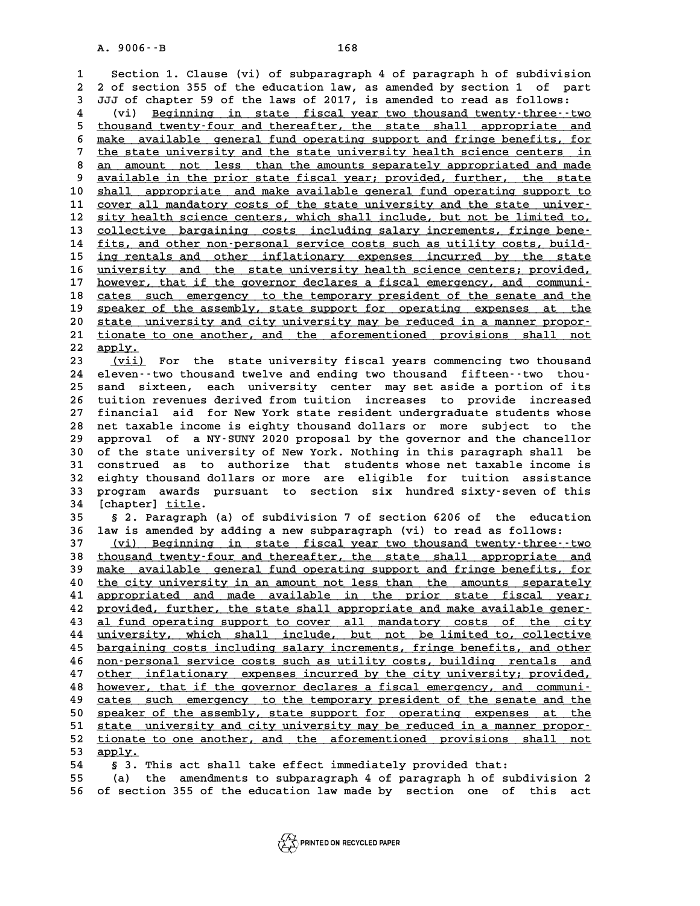**1 Section 1. Clause (vi) of subparagraph 4 of paragraph h of subdivision 2** 2 of section 1. Clause (vi) of subparagraph 4 of paragraph h of subdivision<br>2 2 of section 355 of the education law, as amended by section 1 of part<br>3 JUL of chapter 59 of the laws of 2017, is amended to read as follow **3 1 Section 1. Clause (vi) of subparagraph 4 of paragraph h of subdivision**<br>**2 2 of section 355 of the education law, as amended by section 1 of part**<br>**3 JJJ of chapter 59 of the laws of 2017, is amended to read as follow** 2 2 of section 355 of the education law, as amended by section 1 of part<br>3 JJJ of chapter 59 of the laws of 2017, is amended to read as follows:<br>4 (vi) <u>Beginning in state fiscal year two thousand twenty-three--two</u><br>5 thou **5 JJJ of chapter 59 of the laws of 2017, is amended to read as follows:**<br>
4 (vi) <u>Beginning in state fiscal year two thousand twenty-three--two</u><br>
5 <u>thousand twenty-four and thereafter, the state shall appropriate and</u><br> (vi) <u>Beginning in state fiscal year two thousand twenty-three--two</u><br>
5 <u>thousand twenty-four and thereafter, the state shall appropriate and</u><br>
6 make available general fund operating support and fringe benefits, for<br>
the thousand twenty four and thereafter, the state shall appropriate and<br>  $\frac{make}{nake}$  available general fund operating support and fringe benefits, for<br>  $\frac{m}{n}$  the state university and the state university health science ce 8 <u>make available general fund operating support and fringe benefits, for<br>
7 the state university and the state university health science centers in<br>
8 an amount not less than the amounts separately appropriated and made<br>
</u> the state university and the state university health science centers in<br>an amount not less than the amounts separately appropriated and made<br>available in the prior state fiscal year; provided, further, the state<br>aball appr 8 <u>an amount not less than the amounts separately appropriated and made</u><br>
9 <u>available in the prior state fiscal year; provided, further, the state</u><br>
10 <u>shall appropriate and make available general fund operating support </u> 11 cover all mandatory costs of the state university and the state univer-<br>12 sity health science centers, which shall include, but not be limited to, 12 <u>sity health science centers, which shall include, but not be limited to, in the science contest of the colle<br>13 collective bargaining costs including salary increments, fringe bene-</u> 11 cover all mandatory costs of the state university and the state univer-<br>
12 sity health science centers, which shall include, but not be limited to,<br>
<u>collective bargaining</u> costs including salary increments, fringe ben 12 <u>sity health science centers, which shall include, but not be limited to, collective bargaining costs including salary increments, fringe bene-<br>14 fits, and other non-personal service costs such as utility costs, build-</u> collective bargaining costs including salary increments, fringe bene-<br>
its, and other non-personal service costs such as utility costs, build-<br>
ing rentals and other inflationary expenses incurred by the state<br>
in universi 14 <u>fits, and other non-personal service costs such as utility costs, build-<br>15 <u>ing rentals and other inflationary expenses incurred by the state</u><br>16 <u>university and the state university health science centers; provided,</u></u> ing rentals and other inflationary expenses incurred by the state<br>
16 <u>university and the state university health science centers; provided,</u><br>
17 however, that if the governor declares a fiscal emergency, and communi-<br>
201 I6 <u>university and the state university health science centers; provided,</u><br>17 <u>however, that if the governor declares a fiscal emergency, and communi-</u><br>18 cates such emergency to the temporary president of the senate and t however, that if the governor declares a fiscal emergency, and communi-<br>
18 <u>cates such emergency</u> to the temporary president of the senate and the<br> **properation of the expenses at the**<br>
20 state university and gity univer 20 states such emergency to the temporary president of the senate and the speaker of the assembly, state support for operating expenses at the state university and city university may be reduced in a manner propor-<br>
21 tio 19 speaker of the assembly, state support for operating expenses at the state university and city university may be reduced in a manner propor-<br>21 tionate to one another, and the aforementioned provisions shall not<br>22 appl 21 <u>tionate to one another, and the aforementioned provisions shall not<br>22 <u>apply.</u><br>23 (vii) For the state university fiscal years commencing two thousand</u> 21 tionate to one another, and the aforementioned provisions shall not<br>22 <u>apply.</u><br>23 (vii)</u> For the state university fiscal years commencing two thousand<br>24 eleventive thousand typics and ending two thousand fifteen two t 22 <u>apply.</u><br>23 <u>(vii)</u> For the state university fiscal years commencing two thousand<br>24 eleven--two thousand twelve and ending two thousand fifteen--two thou-<br>25 sand sixteen, each university senter may act aside a pertien 23 <u>(vii)</u> For the state university fiscal years commencing two thousand<br>24 eleven--two thousand twelve and ending two thousand fifteen--two thou-<br>25 sand sixteen, each university center may set aside a portion of its<br>16 t 24 eleven--two thousand twelve and ending two thousand fifteen--two thou-<br>25 sand sixteen, each university center may set aside a portion of its<br>26 tuition revenues derived from tuition increases to provide increased<br>27 fi 25 sand sixteen, each university center may set aside a portion of its<br>26 tuition revenues derived from tuition increases to provide increased<br>27 financial aid for New York state resident undergraduate students whose<br>28 no 26 tuition revenues derived from tuition increases to provide increased<br>27 financial aid for New York state resident undergraduate students whose<br>28 net taxable income is eighty thousand dollars or more subject to the<br>29 a 27 financial aid for New York state resident undergraduate students whose<br>28 net taxable income is eighty thousand dollars or more subject to the<br>29 approval of a NY-SUNY 2020 proposal by the governor and the chancellor<br>20 28 net taxable income is eighty thousand dollars or more subject to the approval of a NY-SUNY 2020 proposal by the governor and the chancellor 30 of the state university of New York. Nothing in this paragraph shall be<br>31 c **39 approval of a NY-SUNY 2020 proposal by the governor and the chancellor**<br>30 of the state university of New York. Nothing in this paragraph shall be<br>31 construed as to authorize that students whose net taxable income is<br> 30 of the state university of New York. Nothing in this paragraph shall be<br>31 construed as to authorize that students whose net taxable income is<br>32 eighty thousand dollars or more are eligible for tuition assistance<br>33 pr 31 construed as to authorize that students whose net taxable income is<br>32 eighty thousand dollars or more are eligible for tuition assistance<br>33 program awards pursuant to section six hundred sixty-seven of this<br><sup>34</sup> [chap 32 eighty thousand dol<br>33 program awards pu<br>34 [chapter] <u>title</u>.<br><sup>25</sup> 5.2 Paragraph (2 33 program awards pursuant to section six hundred sixty-seven of this<br>34 [chapter] <u>title</u>.<br>35 § 2. Paragraph (a) of subdivision 7 of section 6206 of the education<br>26 low is arounded by adding a nov subparagraph (vi) to re **34 [chapter] <u>title</u>.<br>35 § 2. Paragraph (a) of subdivision 7 of section 6206 of the education<br>36 law is amended by adding a new subparagraph (vi) to read as follows:<br>27 (vi) Boginning in state figgal wear two thougand twe 35** § 2. Paragraph (a) of subdivision 7 of section 6206 of the education<br>36 law is amended by adding a new subparagraph (vi) to read as follows:<br>37 (vi) Beginning in state fiscal year two thousand twenty-three--two<br>thousa **36 law is amended by adding a new subparagraph (vi) to read as follows:**<br> **37** (vi) Beginning in state fiscal year two thousand twenty-three--two<br> **38** thousand twenty-four and thereafter, the state shall appropriate and<br> **37** (vi) Beginning in state fiscal year two thousand twenty-three--two<br> **38** thousand twenty-four and thereafter, the state shall appropriate and<br> **make available general fund operating support and fringe benefits, for**<br> thousand twenty-four and thereafter, the state shall appropriate and<br>
39 make available general fund operating support and fringe benefits, for<br>
40 the city university in an amount not less than the amounts separately<br>
41 make available general fund operating support and fringe benefits, for<br>
40 the city university in an amount not less than the amounts separately<br>
41 appropriated and made available in the prior state fiscal year;<br>
12 provi the city university in an amount not less than the amounts separately<br>
41 appropriated and made available in the prior state fiscal year;<br>
42 provided, further, the state shall appropriate and make available gener-<br>
43 al 41 <u>appropriated and made available in the prior state fiscal year;</u><br>42 <u>provided, further, the state shall appropriate and make available gener-</u><br>43 <u>al fund operating support to cover all mandatory costs of the city</u><br>14 **42 provided, further, the state shall appropriate and make available gener-**<br>**43 al fund operating support to cover all mandatory costs of the city**<br>**44 university, which shall include, but not be limited to, collective**<br> **43** al fund operating support to cover all mandatory costs of the city<br>44 university, which shall include, but not be limited to, collective<br>bargaining costs including salary increments, fringe benefits, and other<br>consequ 44 <u>university, which shall include, but not be limited to, collective</u><br>45 <u>bargaining costs including salary increments, fringe benefits, and other</u><br>46 <u>non-personal service costs such as utility costs, building rentals a</u> bargaining costs including salary increments, fringe benefits, and other<br>
46 <u>non-personal service costs such as utility costs, building rentals and</u><br>
47 <u>other inflationary</u> expenses incurred by the city university; provi **48** however, that if the governor declares a fiscal emergency, and communi-<br>49 cates such emergency to the temporary president of the senate and the other inflationary expenses incurred by the city university; provided,<br> **48** however, that if the governor declares a fiscal emergency, and communi-<br>
<u>cates such emergency</u> to the temporary president of the senate and the<br> A speaker, that if the governor declares a fiscal emergency, and communi-<br> **49** cates such emergency to the temporary president of the senate and the<br> **S0** speaker of the assembly, state support for operating expenses at t 39 cates such emergency to the temporary president of the senate and the speaker of the assembly, state support for operating expenses at the state university and city university may be reduced in a manner propor-<br>
51 stat 50 <u>speaker of the assembly, state support for operating expenses at the</u><br>51 <u>state university and city university may be reduced in a manner propor-</u><br>52 <u>tionate to one another, and the aforementioned provisions shall not</u> 51 <u>state un</u><br>52 <u>tionate to</u><br>53 <u>apply.</u><br>54 5 3 mb 52 <u>tionate to one another, and the aforementioned provisions s</u><br>53 <u>apply.</u><br>54 § 3. This act shall take effect immediately provided that:<br>55 (a) the amordments to subparagraph 4 of paragraph h of subd **55 (a) the amendments to subparagraph 4 of paragraph h of subdivision 2 56 of section 355 of the education law made by section one of this act**

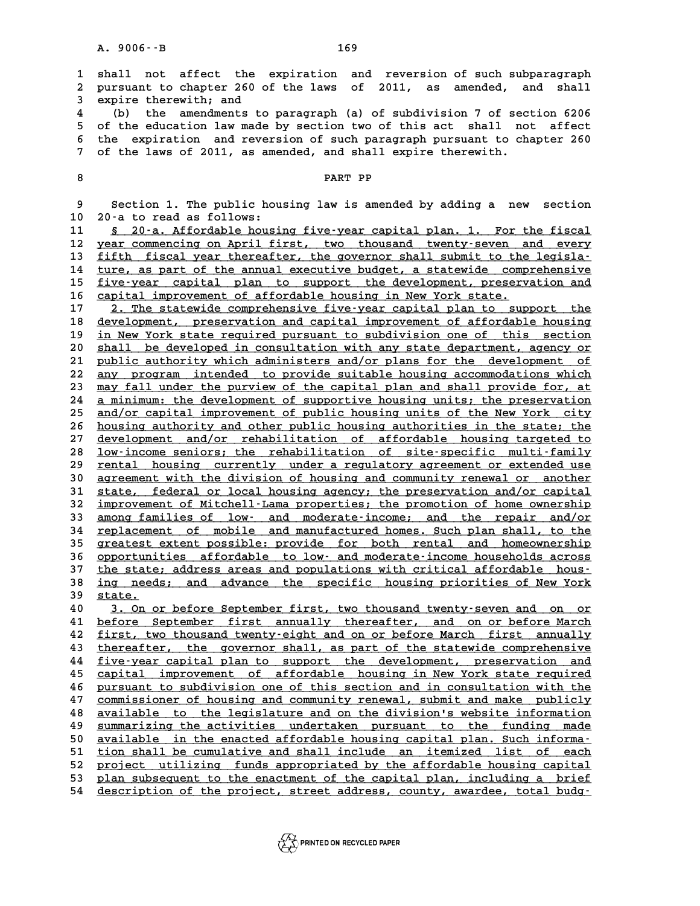**A. 9006--B 169** A. 9006 - B<br>1 shall not affect the expiration and reversion of such subparagraph<br>2 nursuant to chanter 260 of the laws of 2011 25 arror and and shall 1 shall not affect the expiration and reversion-of-such-subparagraph<br>2 pursuant-to-chapter-260 of the-laws of 2011, as amended, and shall 1 shall not affect the<br>2 pursuant to chapter 260<br>3 expire therewith; and<br><sup>4</sup> (b) the amondmonts to 2 pursuant to chapter 260 of the laws of 2011, as amended, and shall<br>3 expire therewith; and<br>4 (b) the amendments to paragraph (a) of subdivision 7 of section 6206<br>5 of the education law made by section two of this act sha **5 of the education law made by section two of this act shall not affect** (b) the amendments to paragraph (a) of subdivision 7 of section 6206<br>5 of the education law made by section two of this act shall not affect<br>6 the expiration and reversion of such paragraph pursuant to chapter 260<br>7 of the 5 of the education law made by section two of this act shall no<br>6 the expiration and reversion of such paragraph pursuant to ch<br>7 of the laws of 2011, as amended, and shall expire therewith. % of the laws of 2011, as amended, and shall expire therewith.<br>8<br>PART PP **9 Section 1. The public housing law is amended by adding a new section<br>Property is amended by adding a new section 9** Section 1. The public hou<br>10 20-a to read as follows:<br>11 8 20-a Affordable bousi Section 1. The public housing law is amended by adding a new section<br>
10 20<sup>-</sup>a to read as follows:<br>
11 <u>§ 20-a. Affordable housing five-year capital plan. 1. For the fiscal</u><br>
12 year commencing on April first, two thousan 12 <u>year commencing on April first, two thousand twenty-seven and every</u><br>13 fifth fiscal year thereafter, the governor shall submit to the legisla-13 <u>fifth fiscal year thereafter, the governor shall submit to the legisla-</u><br>14 ture, as part of the annual executive budget, a statewide comprehensive 14 ture, as part of the annual executive budget, a statewide comprehensive<br>15 five-year capital plan to support the development, preservation and **13** fifth fiscal year thereafter, the governor shall submit to the legisla-<br>14 ture, as part of the annual executive budget, a statewide comprehensive<br>15 five-year capital plan to support the development, preservation and 14 ture, as part of the annual executive budget, a statewide comp<br>
15 <u>five-year capital plan to support the development, preserved<br>
16 capital improvement of affordable housing in New York state.<br>
17 2 The statewide compr</u> 15 <u>five-year capital plan to support the development, preservation and capital improvement of affordable housing in New York state.<br>17 <u>2. The statewide comprehensive five-year capital plan to support the</u><br>dovelopment pre</u> 16 <u>capital improvement of affordable housing in New York state.</u><br>17 2. The statewide comprehensive five-year capital plan to support the<br>18 <u>development, preservation and capital improvement of affordable housing</u><br>in New 17 2. The statewide comprehensive five-year capital plan to support the<br>
18 development, preservation and capital improvement of affordable housing<br>
19 in New York state required pursuant to subdivision one of this section development, preservation and capital improvement of affordable housing<br>
19 <u>in New York state required pursuant to subdivision one of this section</u><br>
20 <u>shall be developed in consultation with any state department, agency</u> in New York state required pursuant to subdivision one of this section<br>
20 shall be developed in consultation with any state department, agency or<br>
21 public authority which administers and/or plans for the development of<br> 20 shall be developed in consultation with any state department, agency or<br>21 public authority which administers and/or plans for the development of<br>22 any program intended to provide suitable housing accommodations which<br> 20 shall be developed in consultation with any state department, agency or public authority which administers and/or plans for the development of any program intended to provide suitable housing accommodations which may fa 22 any program intended to provide suitable housing accommodations which<br>23 <u>may fall under the purview of the capital plan and shall provide for, at</u><br>24 <u>a minimum: the development of supportive housing units; the preserv</u> 23 <u>may fall under the purview of the capital plan and shall provide for, at a minimum: the development of supportive housing units; the preservation and/or capital improvement of public housing units of the New York city </u> 24 <u>a minimum: the development of supportive housing units; the preservation<br>25 and/or capital improvement of public housing units of the New York city<br>26 housing authority and other public housing authorities in the state</u> and/or capital improvement of public housing units of the New York city<br>26 housing authority and other public housing authorities in the state; the<br>27 development and/or rehabilitation of affordable housing targeted to<br>28 **26** <u>housing authority and other public housing authorities in the state; the</u><br>27 <u>development and/or rehabilitation of affordable housing targeted to</u><br>28 <u>low-income seniors; the rehabilitation of site-specific multi-fam</u> development and/or rehabilitation of affordable housing targeted to<br>
28 <u>low-income seniors; the rehabilitation of site-specific multi-family<br>
29 rental housing currently under a regulatory agreement or extended use<br>
20 pe</u> 100 **20 agreement** with the rehabilitation of site-specific multi-family<br>
29 <u>rental housing currently under a regulatory agreement or extended use</u><br>
30 <u>agreement with the division of housing and community renewal or anot</u> 29 <u>rental housing currently under a regulatory agreement or extended use</u><br>30 <u>agreement with the division of housing and community renewal or another</u><br>31 <u>state, federal or local housing agency</u>; the preservation and/or c 30 <u>agreement with the division of housing and community renewal or another<br>31 <u>state, federal or local housing agency</u>; the preservation and/or capital<br>32 <u>improvement of Mitchell-Lama properties; the promotion of home ow</u></u> 33 <u>among families of low- and moderate-income; and the repair and/or</u><br>34 replacement of mobile and manufactured homes. Such plan shall, to the 32 <u>improvement of Mitchell-Lama properties; the promotion of home ownership<br>33 <u>among families of low- and moderate-income; and the repair and/or<br>34 replacement of mobile and manufactured homes. Such plan shall, to the<br>35</u></u> 33 <u>among families of low- and moderate-income; and the repair and/or<br>34 replacement of mobile and manufactured homes. Such plan shall, to the<br>35 greatest extent possible: provide for both rental and homeownership<br>26 great</u> **34 replacement of mobile and manufactured homes. Such plan shall, to the greatest extent possible: provide for both rental and homeownership opportunities affordable to low- and moderate-income households across**<br>the stat 35 <u>greatest extent possible: provide for both rental and homeownership<br>36 opportunities affordable to low- and moderate-income households across<br>37 the state; address areas and populations with critical affordable hous-<br>3</u> 36 opportunities affordable to low- and moderate-income households across<br>37 the state; address areas and populations with critical affordable hous-<br>38 ing needs; and advance the specific housing priorities of New York<br>39 37 <u>the state</u><br>38 <u>ing need</u><br>39 <u>state.</u> ing needs; and advance the specific housing priorities of New York<br>  $\frac{\text{state.}}{3.0}$  or before September first, two thousand twenty-seven and on or<br>  $\frac{1}{2}$  before September first, annually thereafter, and on or before Ma **40** <u>3. On or before September first, two thousand twenty-seven and on or <br>41 <u>before September first annually thereafter, and on or before March</u><br>42 first, two thousand twenty-eight and on or before March first annually</u> 42 <u>first, two thousand twenty-eight and on or before March first annually</u><br>43 thereafter, the governor shall, as part of the statewide comprehensive **41 before September first annually thereafter, and on or before March**<br> **42 first, two thousand twenty-eight and on or before March first annually**<br> **43 thereafter, the governor shall, as part of the statewide comprehensi 42 first, two thousand twenty-eight and on or before March first annually**<br> **43 thereafter, the governor shall, as part of the statewide comprehensive**<br> **44 five-year capital plan to support the development, preservation 43** thereafter, the governor shall, as part of the statewide comprehensive<br>44 five-year capital plan to support the development, preservation and<br>45 capital improvement of affordable housing in New York state required<br>16 **44 <u>five-year capital plan to</u> support the development, preservation and capital improvement of affordable housing in New York state required**<br>46 <u>pursuant to subdivision one of this section and in consultation with the</u><br> detail the subdivision of the section and in consultation with the pursuant to subdivision one of this section and in consultation with the communistioner of housing and community renewal, submit and make publicly availabl **46 pursuant to subdivision one of this section and in consultation with the commissioner of housing and community renewal, submit and make publicly available to the legislature and on the division's website information**<br>4 **47** commissioner of housing and community renewal, submit and make publicly<br> **48** available to the legislature and on the division's website information<br> **49** summarizing the activities undertaken pursuant to the funding available to the legislature and on the division's website information<br> **49** <u>available</u> in the enacted affordable housing capital plan. Such informa-<br> **parally sour-parally and the survey of the such informa-**<br> **parally s** 49 <u>summarizing the activities undertaken pursuant to the funding made</u><br>50 <u>available in the enacted affordable housing capital plan. Such informa-</u><br>51 <u>tion shall be cumulative and shall include an itemized list of each</u><br> **50** available in the enacted affordable housing capital plan. Such informa-<br>51 tion shall be cumulative and shall include an itemized list of each<br>project utilizing funds appropriated by the affordable housing capital<br>pla 51 tion shall be cumulative and shall include an itemized list of each<br>
<u>project utilizing</u> funds appropriated by the affordable housing capital<br>
<u>plan subsequent to the enactment of the capital plan, including a brief</u><br>
d

52 <u>project utilizing funds appropriated by the affordable housing capital</u><br>53 <u>plan subsequent to the enactment of the capital plan, including a brief</u><br>54 <u>description of the project, street address, county, awardee, tota</u>

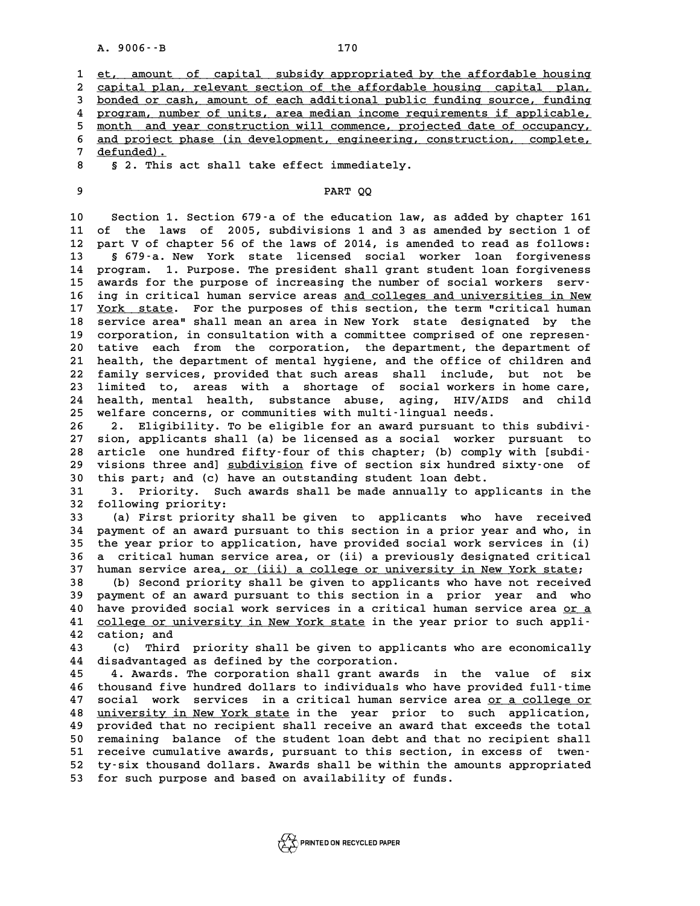**A. 9006--B 170** A. 9006 · · B<br>**1** et, amount of capital subsidy appropriated by the affordable housing

| 1        | et, amount of capital subsidy appropriated by the affordable housing                                                                 |
|----------|--------------------------------------------------------------------------------------------------------------------------------------|
| 2        | capital plan, relevant section of the affordable housing capital plan,                                                               |
| 3        | bonded or cash, amount of each additional public funding source, funding                                                             |
| 4        | program, number of units, area median income requirements if applicable,                                                             |
| 5        | month and year construction will commence, projected date of occupancy,                                                              |
| 6        | and project phase (in development, engineering, construction, complete,                                                              |
| 7        | defunded).                                                                                                                           |
| 8        | § 2. This act shall take effect immediately.                                                                                         |
| 9        | PART QQ                                                                                                                              |
| 10       | Section 1. Section 679 a of the education law, as added by chapter 161                                                               |
| 11       | of the laws of 2005, subdivisions 1 and 3 as amended by section 1 of                                                                 |
| 12       | part V of chapter 56 of the laws of 2014, is amended to read as follows:                                                             |
| 13       | § 679-a. New York state licensed social worker loan<br>forgiveness                                                                   |
| 14       | program. 1. Purpose. The president shall grant student loan forgiveness                                                              |
| 15       | awards for the purpose of increasing the number of social workers<br>serv-                                                           |
| 16       | ing in critical human service areas and colleges and universities in New                                                             |
| 17       | York state. For the purposes of this section, the term "critical human                                                               |
| 18       | service area" shall mean an area in New York state designated by the                                                                 |
| 19       | corporation, in consultation with a committee comprised of one represen-                                                             |
| 20       | tative each from the corporation, the department, the department of                                                                  |
| 21       | health, the department of mental hygiene, and the office of children and                                                             |
| 22       | family services, provided that such areas shall include, but not be                                                                  |
| 23       | limited to, areas with a shortage of social workers in home care,                                                                    |
| 24       | health, mental health, substance abuse, aging, HIV/AIDS and child                                                                    |
| 25       | welfare concerns, or communities with multi-lingual needs.                                                                           |
| 26       | Eligibility. To be eligible for an award pursuant to this subdivi-                                                                   |
| 27       | sion, applicants shall (a) be licensed as a social worker pursuant to                                                                |
| 28       | article one hundred fifty-four of this chapter; (b) comply with [subdi-                                                              |
| 29<br>30 | visions three and] subdivision five of section six hundred sixty-one of<br>this part; and (c) have an outstanding student loan debt. |
| 31       | Priority. Such awards shall be made annually to applicants in the<br>3.                                                              |
| 32       | following priority:                                                                                                                  |
| 33       | (a) First priority shall be given to applicants who have received                                                                    |
| 34       | payment of an award pursuant to this section in a prior year and who, in                                                             |
| 35       | the year prior to application, have provided social work services in (i)                                                             |
| 36       | critical human service area, or (ii) a previously designated critical<br>a -                                                         |
| 37       | human service area, or (iii) a college or university in New York state;                                                              |
| 38       | (b) Second priority shall be given to applicants who have not received                                                               |
| 39       | payment of an award pursuant to this section in a prior year<br>and who                                                              |
| 40       | have provided social work services in a critical human service area or a                                                             |
| 41       | college or university in New York state in the year prior to such appli-                                                             |
| 42       | cation; and                                                                                                                          |
| 43       | (c)<br>Third priority shall be given to applicants who are economically                                                              |
| 44       | disadvantaged as defined by the corporation.                                                                                         |
| 45       | 4. Awards. The corporation shall grant awards<br>in the value of<br>six                                                              |
| 46       | thousand five hundred dollars to individuals who have provided full-time                                                             |
| 47       | social work services in a critical human service area or a college or                                                                |
| 48       | university in New York state in the year prior to such application,                                                                  |
| 49       | provided that no recipient shall receive an award that exceeds the total                                                             |
| 50       | remaining balance of the student loan debt and that no recipient shall                                                               |
| 51       | receive cumulative awards, pursuant to this section, in excess of twen-                                                              |
| 52<br>53 | ty-six thousand dollars. Awards shall be within the amounts appropriated<br>for such purpose and based on availability of funds.     |
|          |                                                                                                                                      |
|          |                                                                                                                                      |

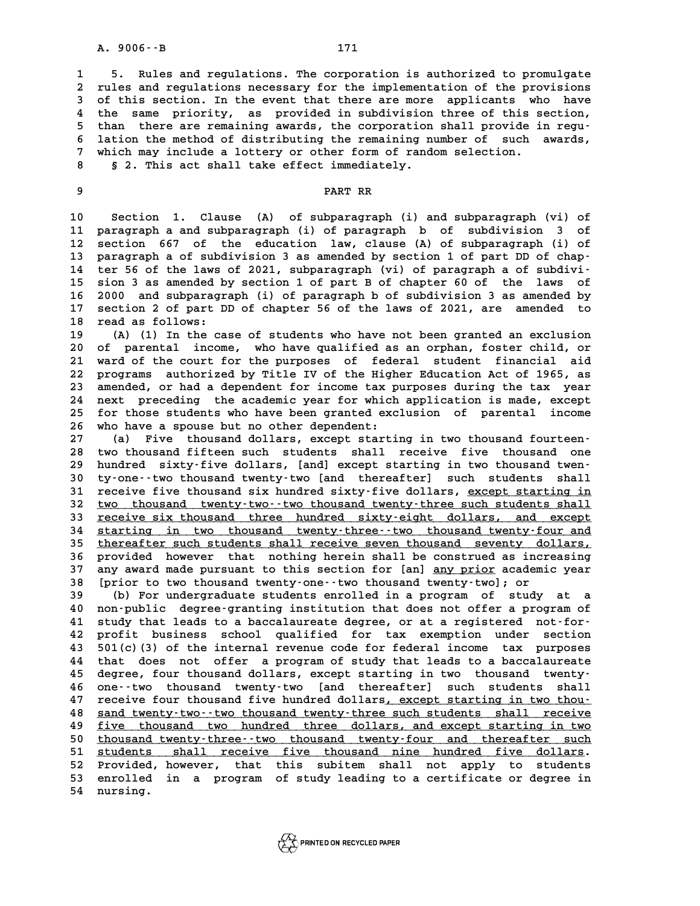**1 5. Rules and regulations. The corporation is authorized to promulgate 2** 1 1 2. Rules and regulations. The corporation is authorized to promulgate<br>2 rules and regulations necessary for the implementation of the provisions<br>3 of this section. In the event that there are more, applicants, who 5. Rules and regulations. The corporation is authorized to promulgate<br>2 rules and regulations necessary for the implementation of the provisions<br>3 of this section. In the event that there are more applicants who have<br>4 the I rules and regulations necessary for the implementation of the provisions<br>3 of this section. In the event that there are more applicants who have<br>4 the same priority, as provided in subdivision three of this section,<br>5 th 3 of this section. In the event that there are more applicants who have<br>
4 the same priority, as provided in subdivision three of this section,<br>
5 than there are remaining awards, the corporation shall provide in regu-<br>
11 4 the same priority, as provided in subdivision three of this section,<br>5 than there are remaining awards, the corporation shall provide in regu-<br>6 lation the method of distributing the remaining number of such awards,<br>7 wh 5 than there are remaining awards, the corporation shall provide in regu-<br>6 lation the method of distributing the remaining number of such awards,<br>7 which may include a lottery or other form of random selection.<br>8 § 2. Thi which may include a lottery or other form of random selection.

8 § 2. This act shall take effect immediately.<br>9 **PART RR** 

**10 Section 1. Clause (A) of subparagraph (i) and subparagraph (vi) of** 10 Section 1. Clause (A) of subparagraph (i) and subparagraph (vi) of<br>11 paragraph a and subparagraph (i) of paragraph b of subdivision 3 of<br>12 Section 557 of the education law glause (A) of subparagraph (i) of **10** Section 1. Clause (A) of subparagraph (i) and subparagraph (vi) of<br> **11** paragraph a and subparagraph (i) of paragraph b of subdivision 3 of<br> **12** section 667 of the education law, clause (A) of subparagraph (i) of<br> 11 paragraph a and subparagraph (i) of paragraph b of subdivision 3 of<br>
12 section 667 of the education law, clause (A) of subparagraph (i) of<br>
13 paragraph a of subdivision 3 as amended by section 1 of part DD of chap-<br>
1 12 section 667 of the education law, clause (A) of subparagraph (i) of<br>
13 paragraph a of subdivision 3 as amended by section 1 of part DD of chap-<br>
14 ter 56 of the laws of 2021, subparagraph (vi) of paragraph a of subdiv 13 paragraph a of subdivision 3 as amended by section 1 of part DD of chap-<br>14 ter 56 of the laws of 2021, subparagraph (vi) of paragraph a of subdivi-<br>15 sion 3 as amended by section 1 of part B of chapter 60 of the laws **14** ter 56 of the laws of 2021, subparagraph (vi) of paragraph a of subdivi-<br>15 sion 3 as amended by section 1 of part B of chapter 60 of the laws of<br>16 2000 and subparagraph (i) of paragraph b of subdivision 3 as amended 15 sion 3 as amended by section 1 of part B of chapter 60 of the laws of<br>16 2000 and subparagraph (i) of paragraph b of subdivision 3 as amended by<br>17 section 2 of part DD of chapter 56 of the laws of 2021, are amended to<br> 16 2000 and subparagr<br>17 section 2 of part D.<br>18 read as follows:<br>19 (0) (1) In the C<sup>3</sup> 17 section 2 of part DD of chapter 56 of the laws of 2021, are amended to<br>18 read as follows:<br>19 (A) (1) In the case of students who have not been granted an exclusion<br>20 of parental income, who have qualified as an orphan

**20 18 of the UPS:**<br> **20 06 parental income, who have qualified as an orphan, foster child, or**<br> **20 of parental income, who have qualified as an orphan, foster child, or**<br> **21 wird of the court for the purposes, of federa 20** (A) (1) In the case of students who have not been granted an exclusion 20 of parental income, who have qualified as an orphan, foster child, or 21 ward of the court for the purposes of federal student financial aid pr 20 of parental income, who have qualified as an orphan, foster child, or<br>21 ward of the court for the purposes of federal student financial aid<br>22 programs authorized by Title IV of the Higher Education Act of 1965, as<br>23 21 ward of the court for the purposes of federal student financial aid<br>22 programs authorized by Title IV of the Higher Education Act of 1965, as<br>23 amended, or had a dependent for income tax purposes during the tax year<br>2 22 programs authorized by Title IV of the Higher Education Act of 1965, as<br>23 amended, or had a dependent for income tax purposes during the tax year<br>24 next preceding the academic year for which application is made, excep 23 amended, or had a dependent for income tax purposes during the tax year<br>24 next preceding the academic year for which application is made, except<br>25 for those students who have been granted exclusion of parental income 25 for those students who have been granted exclusion of parental income<br>26 who have a spouse but no other dependent:<br>27 (a) Five thousand dollars, except starting in two thousand fourteen-

**27 (a) Five thousand dollars, except starting in two thousand fourteen-28 two thousand fifteen such students shall receive five thousand one** 27 (a) Five thousand dollars, except starting in two thousand fourteen-<br>
28 two thousand fifteen such students shall receive five thousand one<br>
29 hundred sixty-five dollars, [and] except starting in two thousand twen-<br>
<sup>2</sup> 28 two thousand fifteen such students shall receive five thousand one<br>29 hundred sixty-five dollars, [and] except starting in two thousand twen-<br>30 ty-one--two thousand twenty-two [and thereafter] such students shall<br>31 re 29 hundred sixty-five dollars, [and] except starting in two thousand twen-<br>30 ty-one--two thousand twenty-two [and thereafter] such students shall<br>31 receive five thousand six hundred sixty-five dollars, except starting in 30 ty-one--two thousand twenty-two [and thereafter] such students shall<br>31 receive five thousand six hundred sixty-five dollars, <u>except starting in</u><br>32 <u>two thousand twenty-two--two thousand twenty-three such students sha</u> 31 receive five thousand six hundred sixty-five dollars, <u>except starting in</u><br>32 <u>two thousand twenty-two--two thousand twenty-three such students shall</u><br>33 <u>receive six thousand three hundred sixty-eight dollars, and exce</u> **32 <u>two thousand twenty-two--two thousand</u> twenty-three such students shall<br>
<b>33** <u>receive six thousand</u> three hundred sixty-eight dollars, and except<br> **34** starting in two thousand twenty-three--two thousand twenty-four Frequive six thousand three hundred sixty-eight dollars, and except<br>
34 starting in two thousand twenty-three--two thousand twenty-four and<br>
35 thereafter such students shall receive seven thousand seventy dollars,<br>
26 pro 34 starting in two thousand twenty-three--two thousand twenty-four and<br>35 <u>thereafter such students shall receive seven thousand seventy dollars,</u><br>36 provided however that nothing herein shall be construed as increasing<br>37 **35 thereafter such students shall receive seven thousand seventy dollars,**<br>36 provided however that nothing herein shall be construed as increasing<br>37 any award made pursuant to this section for [an] <u>any prior</u> academic 36 provided however that nothing herein shall be construed as incr<br>37 any award made pursuant to this section for [an] <u>any prior</u> academi<br>38 [prior to two thousand twenty-one--two thousand twenty-two]; or<br>(b) For undergra **37 any award made pursuant to this section for [an] <u>any prior</u> academic year [prior to two thousand twenty-one--two thousand twenty-two]; or (b) For undergraduate students enrolled in a program of study at a non-public d** 

**40 non-public degree-granting institution that does not offer a program of** 40 (b) For undergraduate students enrolled in a program of study at a<br>
40 non-public degree-granting institution that does not offer a program of<br>
41 study that leads to a baccalaureate degree, or at a registered not-for-<br> 40 non-public degree-granting institution that does not offer a program of<br>41 study that leads to a baccalaureate degree, or at a registered not-for-<br>42 profit business school qualified for tax exemption under section<br>43 5 41 study that leads to a baccalaureate degree, or at a registered not-for-<br>42 profit business school qualified for tax exemption under section<br>43 501(c)(3) of the internal revenue code for federal income tax purposes<br><sup>44</sup> 42 profit business school qualified for tax exemption under section<br>43 501(c)(3) of the internal revenue code for federal income tax purposes<br>44 that does not offer a program of study that leads to a baccalaureate<br>45 dorse 43 501(c)(3) of the internal revenue code for federal income tax purposes<br>44 that does not offer a program of study that leads to a baccalaureate<br>45 degree, four thousand dollars, except starting in two thousand twenty-<br>46 44 that does not offer a program of study that leads to a baccalaureate<br>45 degree, four thousand dollars, except starting in two thousand twenty-<br>46 one--two thousand twenty-two [and thereafter] such students shall<br>17 requ degree, four thousand dollars, except starting in two thousand twenty-<br>46 one--two thousand twenty-two [and thereafter] such students shall<br>47 receive four thousand five hundred dollars<u>, except starting in two thou-</u><br>48 s a terming tweeptrace of thous and time twenty-three such starting in two thouse the sand twenty-two--two thousand<br>The sand twenty-two--two thousand twenty-three such students shall receive<br>Tive thousand two hundred three d Five thousand five hundred dollars, except starting in two thou-<br> **48** <u>sand twenty-two--two thousand twenty-three such students shall receive<br> **19** five thousand two hundred three dollars, and except starting in two<br>
thou</u> \$8 sand twenty-two--two thousand twenty-three such students shall receive<br>  $\frac{five \text{ thousand two hundred three dollars, and except starting in two}}{10000}$ <br>  $\frac{thousand \text{ twenty-three}-two \text{ thousand twenty-four and thereafter such}}{10000}$ <br>  $\frac{full \text{response} - 1}{}$ <br>  $\frac{full \text{response} - 1}{}$ <br>  $\frac{full \text{response} - 1}{}$ five thousand two hundred three dollars, and except starting in two<br>50 <u>thousand twenty-three--two thousand twenty-four and thereafter such<br>51 students shall receive five thousand nine hundred five dollars.<br>52 Provided boy</u> **50** thousand twenty-three-two thousand twenty-four and thereafter such<br>51 students shall receive five thousand nine hundred five dollars.<br>52 Provided, however, that this subitem shall not apply to students<br>53 expected in 51 students shall receive five thousand nine hundred five dollars.<br>52 Provided, however, that this subitem shall not apply to students<br>53 enrolled in a program of study leading to a certificate or degree in<br>54 nursing 51 <u>students shall receive five thousand nine hundred five dollars</u>.<br>52 Provided, however, that this subitem shall not apply to students<br>53 enrolled in a program of study leading to a certificate or degree in<br>54 nursing.

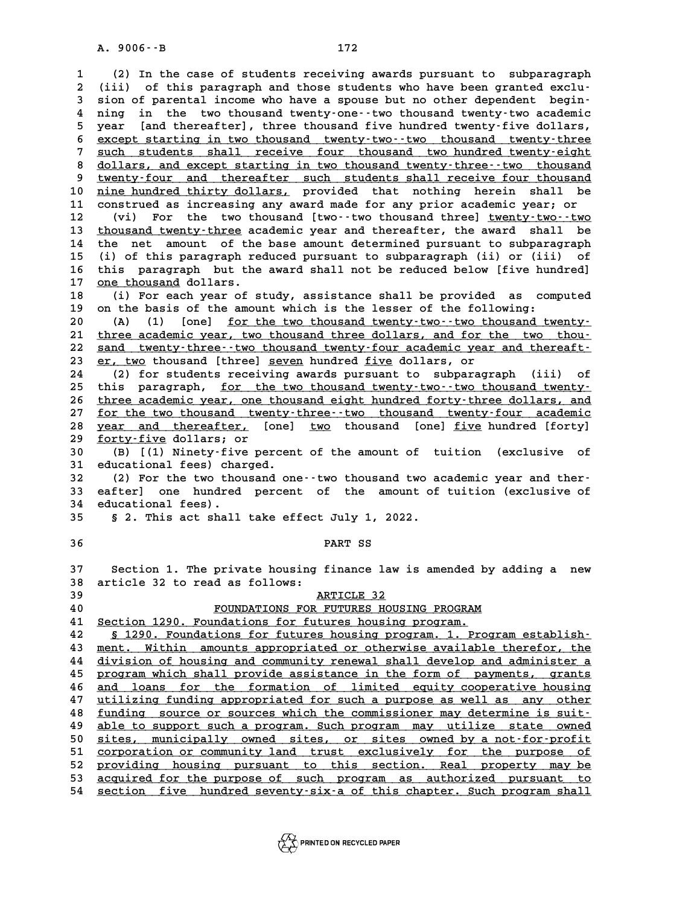**172**<br> **1 (2) In the case of students receiving awards pursuant to subparagraph**<br> **1** (iii) of this paragraph and those students who have been graphed evalu-**2 (2)** In the case of students receiving awards pursuant to subparagraph<br>2 (iii) of this paragraph and those students who have been granted exclu-<br>3 sion of parental income who have a spouse but no other dependent, begin. **3 3 1 3 1 1 1 3 sion of parental income who have students who have been granted exclu-<br>
<b>3 sion of parental income who have a spouse but no other dependent begin-**<br> **4 ning in the two thousand twenty-one--two thousand twe** 4 (iii) of this paragraph and those students who have been granted exclu-<br>3 sion of parental income who have a spouse but no other dependent begin-<br>4 ning in the two thousand twenty-one--two thousand twenty-two academic<br>5 5 sion of parental income who have a spouse but no other dependent begin-<br>4 ning in the two thousand twenty-one--two thousand twenty-two academic<br>5 year [and thereafter], three thousand five hundred twenty-five dollars,<br>5 4 ning in the two-thousand twenty-one--two-thousand twenty-two-academic<br>
5 year [and thereafter], three thousand five hundred twenty-five dollars,<br>
6 except starting in two-thousand twenty-two--two-thousand twenty-three<br>
7 9 year [and thereafter], three thousand five hundred twenty-five dollars,<br>
<u>except starting in two thousand twenty-two--two thousand twenty-three</u><br>
<u>such students shall receive four thousand two hundred twenty-eight</u><br>
doll 8 except starting in two thousand twenty-two--two thousand twenty-three<br>
8 <u>dollars, and except starting in two thousand twenty-three--two thousand</u><br>  $\frac{1}{2}$ <br>  $\frac{1}{2}$ <br>  $\frac{1}{2}$ <br>  $\frac{1}{2}$ <br>  $\frac{1}{2}$ <br>  $\frac{1}{2}$ <br>  $\frac{1}{$ 9 such students shall receive four thousand two hundred twenty-eight<br>
8 dollars, and except starting in two thousand twenty-three--two thousand<br>
9 twenty-four and thereafter such students shall receive four thousand<br>
10 ni 8 dollars, and except starting in two thousand twenty-three--two thousand<br>9 twenty-four and thereafter such students shall receive four thousand<br>10 <u>nine hundred thirty dollars</u>, provided that nothing herein shall be<br>2005 <sup>9</sup> <u>twenty-four and thereafter such students shall receive four thousand<br>
10 <u>nine hundred thirty dollars</u>, provided that nothing herein shall be<br>
11 construed as increasing any award made for any prior academic year; or<br></u> **10** <u>nine hundred thirty dollars</u>, provided that nothing herein shall be<br>11 construed as increasing any award made for any prior academic year; or<br>12 (vi) For the two thousand [two--two thousand three] <u>twenty-two--two</u><br>1 11 construed as increasing any award made for any prior academic year; or<br>12 (vi) For the two thousand [two--two thousand three] <u>twenty-two--two</u><br>13 <u>thousand twenty-three</u> academic year and thereafter, the award shall be (vi) For the two thousand [two--two thousand three] <u>twenty-two--two</u><br>13 <u>thousand twenty-three</u> academic year and thereafter, the award shall be<br>14 the net amount of the base amount determined pursuant to subparagraph<br>15 13 thousand twenty-three academic year and thereafter, the award shall be<br>14 the net amount of the base amount determined pursuant to subparagraph<br>15 (i) of this paragraph reduced pursuant to subparagraph (ii) or (iii) of<br> the net amount of the base amount determined pursuant to subparagraph (i) of this paragraph reduced pursuant to subparagraph (ii) or (iii) of this paragraph but the award shall not be reduced below [five hundred]<br>17 one th 15 (i) of this paragraph re<br>16 this paragraph but the<br>17 <u>one thousand</u> dollars. **16 this paragraph but the award shall not be reduced below [five hundred]**<br>17 <u>one thousand</u> dollars.<br>18 (i) For each year of study, assistance shall be provided as computed<br>19 on the basis of the amount which is the legg **17** <u>one thousand</u> dollars.<br> **18** (i) For each year of study, assistance shall be provided as come<br> **19** on the basis of the amount which is the lesser of the following:<br>
20 (A) (1) [onel for the two thousand two-two-two-(i) For each year of study, assistance shall be provided as computed<br>
19 on the basis of the amount which is the lesser of the following:<br>
20 (A) (1) [one] <u>for the two thousand twenty-two--two thousand twenty-</u><br>
21 three 21 on the basis of the amount which is the lesser of the following:<br>
20 (A) (1) [one] <u>for the two thousand twenty-two--two thousand twenty-</u><br>
21 <u>three academic year, two thousand three dollars, and for the two thou-</u><br>
22 (A) (1) [one] <u>for the two thousand twenty-two--two thousand twenty-</u><br>21 <u>three academic year, two thousand three dollars, and for the two thou-</u><br>22 <u>sand twenty-three--two thousand twenty-four academic year and thereaft-</u> 21 three academic year, two thousand three dollars, and for the same twenty-three--two thousand twenty-four academic year<br>23 <u>er, two</u> thousand [three] <u>seven</u> hundred <u>five</u> dollars, or<br>24 (2) for students receiving away **22 sand twenty-three--two thousand twenty-four academic year and thereaft-**<br> **23 er, two thousand [three] <u>seven</u> hundred <u>five</u> dollars, or<br>
(2) for students receiving awards pursuant to subparagraph (iii) of<br>
this parag 23 er, two thousand [three] <u>seven</u> hundred <u>five</u> dollars, or<br>
24 (2) for students receiving awards pursuant to subparagraph (iii) of<br>
25 this paragraph, <u>for the two thousand twenty-two--two thousand twenty-</u><br>
26 thre** 24 (2) for students receiving awards pursuant to subparagraph (iii) of<br>25 this paragraph, <u>for the two thousand twenty-two--two thousand twenty-</u><br>26 <u>three academic year, one thousand eight hundred forty-three dollars, and</u> this paragraph, <u>for the two thousand twenty-two--two thousand twenty-</u><br>26 <u>three academic year, one thousand eight hundred forty-three dollars, and<br>27 for the two thousand twenty-three--two thousand twenty-four academic<br>2</u> 26 <u>three academic year, one thousand eight hundred forty-three dollars, and for the two thousand twenty-three--two thousand twenty-four academic<br>28 <u>year and thereafter,</u> [one] <u>two</u> thousand [one] <u>five</u> hundred [forty]<br></u> 27 <u>for the two thousand twe</u><br>28 <u>year and thereafter</u>, [<br>29 <u>forty-five</u> dollars; or<br>20 (B) [(1) Ninoty-five po **30 year and thereafter, [one] two thousand [one] <u>five</u> hundred [forty]<br>
<b>30** (B) [(1) Ninety-five percent of the amount of tuition (exclusive of<br> **31** educational fees) charged **30** <u>(B)</u> [(1) Ninety-five percent of the amount of tuition (exclusive of educational fees) charged.<br>**31** educational fees) charged.<br>**32** (2) For the two thousand one--two thousand two academic year and ther-**30** (B) [(1) Ninety-five percent of the amount of tuition (exclusive of educational fees) charged.<br> **32** (2) For the two thousand one--two thousand two academic year and ther-<br> **33** eafterl one hundred percent of the amou **31 educational fees) charged.**<br>32 (2) For the two thousand one--two thousand two academic year and ther-<br>33 eafter] one hundred percent of the amount of tuition (exclusive of<br>34 educational foos) 32 (2) For the two tho<br>33 eafter] one hundred<br>34 educational fees). 33 eafter] one hundred percent of the amount of<br>34 educational fees).<br>35 § 2. This act shall take effect July 1, 2022. **5 5** 2. This act shall take effect July 1, 2022.<br>36 **PART SS 37 Section 1. The private housing finance law is amended by adding a new 37** Section 1. The private housing<br>38 article 32 to read as follows:<br>39 37 Section 1. The private housing finance law<br>38 article 32 to read as follows:<br>39 **ARTICLE 32**<br>40 **DOUNDATIONS FOR FUTURES HOUS** 38 article 32 to read as follows:<br>  $\begin{array}{r} \text{ARTICLE 32} \\ 40 \end{array}$ <br> **EOUNDATIONS FOR FUTURES HOUSING PROGRAM**<br> **41 Section 1290. Foundations for futures housing program. 41** <u>Section 1290. Foundations for futures housing program.</u><br>**42 8** 1290. Foundations for futures housing program. 1. 1 FOUNDATIONS FOR FUTURES HOUSING PROGRAM<br>
41 <u>Section 1290. Foundations for futures housing program.</u><br>
42 <u>§ 1290. Foundations for futures housing program. 1. Program establish.</u><br>
43 mont - Within amounts appropriated or ot **41 Section 1290. Foundations for futures housing program.**<br> **42 g** 1290. Foundations for futures housing program. 1. Program establish-<br> **24 a a a** *n* **a** *n n n n n n n n n* **42** <u>§ 1290. Foundations for futures housing program. 1. Program establish-</u><br>43 <u>ment. Within amounts appropriated or otherwise available therefor, the</u><br>44 <u>division of housing and community renewal shall develop and admi</u> 43 <u>ment. Within amounts appropriated or otherwise available therefor, the</u><br>44 <u>division of housing and community renewal shall develop and administer a</u><br>45 <u>program which shall provide assistance in the form of</u> payments, division of housing and community renewal shall develop and administer a<br>45 <u>program which shall provide assistance in the form of payments, grants</u><br>46 <u>and loans for the formation of limited equity cooperative housing</u><br>17 Frogram which shall provide assistance in the form of payments, grants<br>
46 and loans for the formation of limited equity cooperative housing<br>
47 utilizing funding appropriated for such a purpose as well as any other<br>
fundi and loans for the formation of limited equity cooperative housing<br>47 <u>utilizing funding appropriated for such a purpose as well as any other</u><br>48 <u>funding source or sources which the commissioner may determine is suit-</u><br>49 **47** <u>utilizing funding appropriated for such a purpose as well as any other</u><br>48 <u>funding source or sources which the commissioner may determine is suit-</u><br>able to support such a program. Such program may utilize state owne funding source or sources which the commissioner may determine is suit-<br>
49 able to support such a program. Such program may utilize state owned<br>
50 <u>sites, municipally owned sites, or sites owned by a not-for-profit</u><br>
cor able to support such a program. Such program may utilize state owned<br>
50 <u>sites, municipally owned sites, or sites owned by a not-for-profit</u><br>
51 <u>corporation or community land trust exclusively for the purpose of</u><br>
52 pro 50 <u>sites, municipally owned sites, or sites owned by a not-for-profit</u><br>51 <u>corporation or community land trust exclusively for the purpose of</u><br>52 providing housing pursuant to this section. Real property may be<br>20 acquire 51 corporation or community land trust exclusively for the purpose of<br>52 providing housing pursuant to this section. Real property may be<br>53 <u>acquired for the purpose of such program as authorized pursuant to</u><br>54 section f 52 <u>providing housing pursuant to this section. Real property may-be acquired for the purpose of such program as authorized pursuant to section five hundred seventy-six-a of this chapter. Such program shall</u>